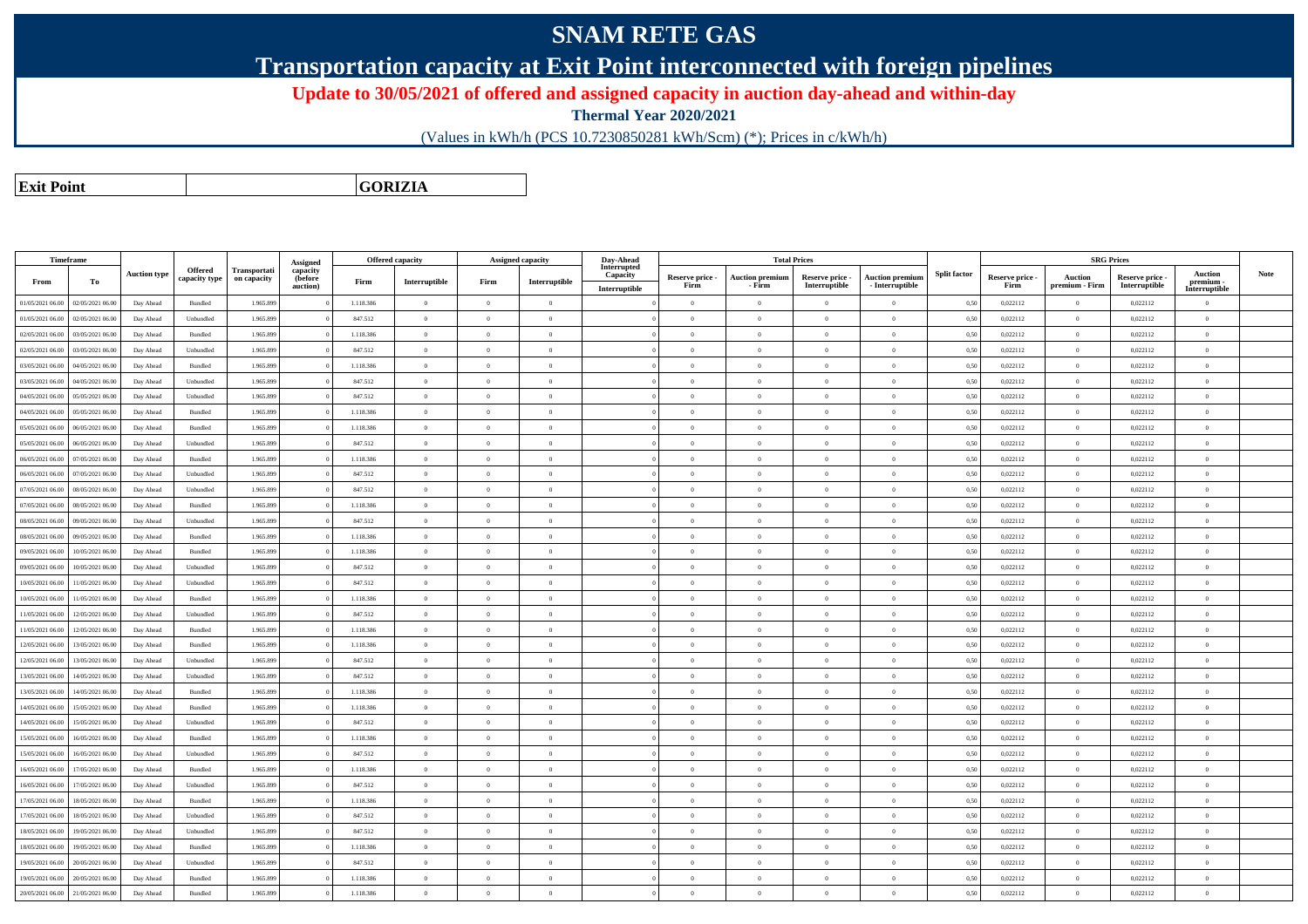## **SNAM RETE GAS**

**Transportation capacity at Exit Point interconnected with foreign pipelines**

**Update to 30/05/2021 of offered and assigned capacity in auction day-ahead and within-day**

**Thermal Year 2020/2021**

(Values in kWh/h (PCS 10.7230850281 kWh/Scm) (\*); Prices in c/kWh/h)

**Exit PointGORIZIA**

|                  | <b>Timeframe</b> |                     | <b>Offered</b> | Transportati | Assigned<br>capacity |           | <b>Offered capacity</b> |                | <b>Assigned capacity</b> | Day-Ahead<br>Interrupted  |                         |                                  | <b>Total Prices</b>              |                                           |                     |                         |                           | <b>SRG Prices</b>                |                                            |      |
|------------------|------------------|---------------------|----------------|--------------|----------------------|-----------|-------------------------|----------------|--------------------------|---------------------------|-------------------------|----------------------------------|----------------------------------|-------------------------------------------|---------------------|-------------------------|---------------------------|----------------------------------|--------------------------------------------|------|
| From             | To               | <b>Auction type</b> | capacity type  | on capacity  | (before<br>auction)  | Firm      | Interruptible           | Firm           | Interruptible            | Capacity<br>Interruptible | Reserve price -<br>Firm | <b>Auction premium</b><br>- Firm | Reserve price -<br>Interruptible | <b>Auction premium</b><br>- Interruptible | <b>Split factor</b> | Reserve price -<br>Firm | Auction<br>premium - Firm | Reserve price -<br>Interruptible | <b>Auction</b><br>premium<br>Interruptible | Note |
| 01/05/2021 06:00 | 02/05/2021 06:00 | Day Ahead           | Bundled        | 1.965,899    |                      | 1.118.386 | $\overline{0}$          | $\Omega$       | $\overline{0}$           |                           | $\Omega$                | $\overline{0}$                   | $\overline{0}$                   | $\theta$                                  | 0.50                | 0,022112                | $\overline{0}$            | 0,022112                         | $\theta$                                   |      |
| 01/05/2021 06:00 | 02/05/2021 06.00 | Day Ahead           | Unbundled      | 1.965.899    |                      | 847.512   | $\overline{0}$          | $\theta$       | $\Omega$                 |                           | $\overline{0}$          | $\overline{0}$                   | $\overline{0}$                   | $\theta$                                  | 0,50                | 0,022112                | $\overline{0}$            | 0,022112                         | $\mathbf{0}$                               |      |
| 02/05/2021 06:00 | 03/05/2021 06.00 | Day Ahead           | Bundled        | 1.965.899    |                      | 1.118.386 | $\overline{0}$          | $\Omega$       | $\overline{0}$           |                           | $\overline{0}$          | $\bf{0}$                         | $\theta$                         | $\theta$                                  | 0,50                | 0,022112                | $\overline{0}$            | 0,022112                         | $\overline{0}$                             |      |
| 02/05/2021 06:00 | 03/05/2021 06.0  | Day Ahead           | Unbundled      | 1.965.899    |                      | 847.512   | $\overline{0}$          | $\Omega$       | $\overline{0}$           |                           | $\bf{0}$                | $\overline{0}$                   | $\overline{0}$                   | $\theta$                                  | 0,50                | 0,022112                | $\overline{0}$            | 0,022112                         | $\,$ 0                                     |      |
| 03/05/2021 06:00 | 04/05/2021 06.00 | Day Ahead           | Bundled        | 1.965.899    |                      | 1.118.386 | $\overline{0}$          | $\overline{0}$ | $\overline{0}$           |                           | $\overline{0}$          | $\bf{0}$                         | $\overline{0}$                   | $\overline{0}$                            | 0,50                | 0,022112                | $\overline{0}$            | 0,022112                         | $\,$ 0 $\,$                                |      |
| 03/05/2021 06:00 | 04/05/2021 06.00 | Day Ahead           | Unbundled      | 1.965.899    |                      | 847.512   | $\overline{0}$          | $\Omega$       | $\overline{0}$           |                           | $\overline{0}$          | $\bf{0}$                         | $\theta$                         | $\theta$                                  | 0,50                | 0,022112                | $\overline{0}$            | 0,022112                         | $\overline{0}$                             |      |
| 04/05/2021 06:00 | 05/05/2021 06.00 | Day Ahead           | Unbundled      | 1.965.899    |                      | 847.512   | $\overline{0}$          | $\Omega$       | $\overline{0}$           |                           | $\overline{0}$          | $\bf{0}$                         | $\Omega$                         | $\theta$                                  | 0,50                | 0,022112                | $\overline{0}$            | 0,022112                         | $\overline{0}$                             |      |
| 04/05/2021 06:00 | 05/05/2021 06:00 | Day Ahead           | <b>Bundled</b> | 1.965,899    |                      | 1.118.386 | $\overline{0}$          | $\Omega$       | $\Omega$                 |                           | $\Omega$                | $\theta$                         | $\Omega$                         | $\theta$                                  | 0,50                | 0,022112                | $\overline{0}$            | 0.022112                         | $\Omega$                                   |      |
| 05/05/2021 06:00 | 06/05/2021 06.00 | Day Ahead           | Bundled        | 1.965.899    |                      | 1.118.386 | $\,$ 0 $\,$             | $\overline{0}$ | $\overline{0}$           |                           | $\overline{0}$          | $\overline{0}$                   | $\Omega$                         | $\theta$                                  | 0,50                | 0,022112                | $\overline{0}$            | 0,022112                         | $\mathbf{0}$                               |      |
| 05/05/2021 06:00 | 06/05/2021 06:0  | Day Ahead           | Unbundled      | 1.965.899    |                      | 847.512   | $\overline{0}$          | $\Omega$       | $\overline{0}$           |                           | $\Omega$                | $\theta$                         | $\Omega$                         | $\theta$                                  | 0.50                | 0,022112                | $\overline{0}$            | 0,022112                         | $\theta$                                   |      |
| 06/05/2021 06:00 | 07/05/2021 06.0  | Day Ahead           | Bundled        | 1.965.899    |                      | 1.118.386 | $\overline{0}$          | $\Omega$       | $\overline{0}$           |                           | $\overline{0}$          | $\bf{0}$                         | $\Omega$                         | $\theta$                                  | 0,50                | 0,022112                | $\overline{0}$            | 0,022112                         | $\overline{0}$                             |      |
| 06/05/2021 06:00 | 07/05/2021 06.00 | Day Ahead           | Unbundled      | 1.965.899    |                      | 847.512   | $\overline{0}$          | $\overline{0}$ | $\overline{0}$           |                           | $\overline{0}$          | $\bf{0}$                         | $\theta$                         | $\overline{0}$                            | 0,50                | 0,022112                | $\overline{0}$            | 0,022112                         | $\,$ 0                                     |      |
| 07/05/2021 06:00 | 08/05/2021 06:00 | Day Ahead           | Unbundled      | 1.965.899    |                      | 847.512   | $\mathbf{0}$            | $\Omega$       | $\theta$                 |                           | $\theta$                | $\bf{0}$                         | $\Omega$                         |                                           | 0,50                | 0,022112                | $\Omega$                  | 0,022112                         | $\overline{0}$                             |      |
| 07/05/2021 06:00 | 08/05/2021 06:00 | Day Ahead           | Bundled        | 1.965.899    |                      | 1.118.386 | $\overline{0}$          | $\theta$       | $\overline{0}$           |                           | $\overline{0}$          | $\bf{0}$                         | $\overline{0}$                   | $\theta$                                  | 0,50                | 0,022112                | $\overline{0}$            | 0,022112                         | $\overline{0}$                             |      |
| 08/05/2021 06:00 | 09/05/2021 06.00 | Day Ahead           | Unbundled      | 1.965.899    |                      | 847.512   | $\overline{0}$          | $\Omega$       | $\theta$                 |                           | $\Omega$                | $\theta$                         | $\Omega$                         | $\theta$                                  | 0,50                | 0,022112                | $\overline{0}$            | 0,022112                         | $\overline{0}$                             |      |
| 08/05/2021 06:00 | 09/05/2021 06.00 | Day Ahead           | Bundled        | 1.965.899    |                      | 1.118.386 | $\overline{0}$          | $\overline{0}$ | $\overline{0}$           |                           | $\bf{0}$                | $\overline{0}$                   | $\overline{0}$                   | $\theta$                                  | 0,50                | 0,022112                | $\overline{0}$            | 0,022112                         | $\overline{0}$                             |      |
| 09/05/2021 06:00 | 10/05/2021 06:00 | Day Ahead           | <b>Bundled</b> | 1.965.899    |                      | 1.118.386 | $\overline{0}$          | $\Omega$       | $\Omega$                 |                           | $\Omega$                | $\theta$                         | $\Omega$                         | $\mathbf{a}$                              | 0,50                | 0,022112                | $\overline{0}$            | 0,022112                         | $\theta$                                   |      |
| 09/05/2021 06:00 | 10/05/2021 06.0  | Day Ahead           | Unbundled      | 1.965.899    |                      | 847.512   | $\overline{0}$          | $\Omega$       | $\overline{0}$           |                           | $\overline{0}$          | $\bf{0}$                         | $\Omega$                         | $\theta$                                  | 0,50                | 0,022112                | $\overline{0}$            | 0,022112                         | $\overline{0}$                             |      |
| 10/05/2021 06:00 | 11/05/2021 06.00 | Day Ahead           | Unbundled      | 1.965.899    |                      | 847.512   | $\overline{0}$          | $\Omega$       | $\overline{0}$           |                           | $\overline{0}$          | $\bf{0}$                         | $\Omega$                         | $\theta$                                  | 0,50                | 0,022112                | $\overline{0}$            | 0,022112                         | $\mathbf{0}$                               |      |
| 10/05/2021 06:00 | 11/05/2021 06:00 | Day Ahead           | Bundled        | 1.965.899    |                      | 1.118.386 | $\,0\,$                 | $\overline{0}$ | $\overline{0}$           |                           | $\overline{0}$          | $\bf{0}$                         | $\theta$                         | $\overline{0}$                            | 0,50                | 0,022112                | $\overline{0}$            | 0,022112                         | $\overline{0}$                             |      |
| 11/05/2021 06:00 | 12/05/2021 06:00 | Day Ahead           | Unbundled      | 1.965.899    |                      | 847.512   | $\overline{0}$          | $\Omega$       | $\overline{0}$           |                           | $\overline{0}$          | $\bf{0}$                         | $\Omega$                         | $\theta$                                  | 0,50                | 0,022112                | $\overline{0}$            | 0,022112                         | $\overline{0}$                             |      |
| 11/05/2021 06:00 | 12/05/2021 06:00 | Day Ahead           | Bundled        | 1.965.899    |                      | 1.118.386 | $\overline{0}$          | $\Omega$       | $\theta$                 |                           | $\theta$                | $\theta$                         | $\Omega$                         | $\mathbf{a}$                              | 0,50                | 0,022112                | $\overline{0}$            | 0,022112                         | $\theta$                                   |      |
| 12/05/2021 06:00 | 13/05/2021 06:00 | Day Ahead           | Bundled        | 1.965.899    |                      | 1.118.386 | $\overline{0}$          | $\Omega$       | $\overline{0}$           |                           | $\overline{0}$          | $\overline{0}$                   | $\Omega$                         | $\theta$                                  | 0,50                | 0,022112                | $\overline{0}$            | 0,022112                         | $\mathbf{0}$                               |      |
| 12/05/2021 06:00 | 13/05/2021 06.00 | Day Ahead           | Unbundled      | 1.965.899    |                      | 847.512   | $\overline{0}$          | $\Omega$       | $\overline{0}$           |                           | $\overline{0}$          | $\overline{0}$                   | $\overline{0}$                   | $\Omega$                                  | 0,50                | 0,022112                | $\overline{0}$            | 0,022112                         | $\overline{0}$                             |      |
| 13/05/2021 06:00 | 14/05/2021 06.0  | Day Ahead           | Unbundled      | 1.965.899    |                      | 847.512   | $\overline{0}$          | $\overline{0}$ | $\overline{0}$           |                           | $\overline{0}$          | $\bf{0}$                         | $\overline{0}$                   | $\theta$                                  | 0,50                | 0,022112                | $\overline{0}$            | 0,022112                         | $\overline{0}$                             |      |
| 13/05/2021 06:00 | 14/05/2021 06.00 | Day Ahead           | Bundled        | 1.965.899    |                      | 1.118.386 | $\bf{0}$                | $\Omega$       | $\overline{0}$           |                           | $\overline{0}$          | $\bf{0}$                         | $\overline{0}$                   | $\theta$                                  | 0,50                | 0,022112                | $\overline{0}$            | 0,022112                         | $\overline{0}$                             |      |
| 14/05/2021 06:00 | 15/05/2021 06:00 | Day Ahead           | Bundled        | 1.965.899    |                      | 1.118.386 | $\theta$                | $\Omega$       | $\theta$                 |                           | $\Omega$                | $\theta$                         | $\Omega$                         | $\theta$                                  | 0,50                | 0,022112                | $\overline{0}$            | 0,022112                         | $\overline{0}$                             |      |
| 14/05/2021 06:00 | 15/05/2021 06:00 | Day Ahead           | Unbundled      | 1.965.899    |                      | 847.512   | $\overline{0}$          | $\overline{0}$ | $\overline{0}$           |                           | $\overline{0}$          | $\bf{0}$                         | $\overline{0}$                   | $\theta$                                  | 0,50                | 0.022112                | $\overline{0}$            | 0.022112                         | $\mathbf{0}$                               |      |
| 15/05/2021 06:00 | 16/05/2021 06:00 | Day Ahead           | Bundled        | 1.965.899    |                      | 1.118.386 | $\overline{0}$          | $\Omega$       | $\overline{0}$           |                           | $\overline{0}$          | $\bf{0}$                         | $\theta$                         | $\theta$                                  | 0,50                | 0,022112                | $\overline{0}$            | 0,022112                         | $\overline{0}$                             |      |
| 15/05/2021 06:00 | 16/05/2021 06:00 | Day Ahead           | Unbundled      | 1.965.899    |                      | 847.512   | $\overline{0}$          | $\overline{0}$ | $\Omega$                 |                           | $\overline{0}$          | $\overline{0}$                   | $\overline{0}$                   | $\theta$                                  | 0,50                | 0,022112                | $\overline{0}$            | 0,022112                         | $\theta$                                   |      |
| 16/05/2021 06:00 | 17/05/2021 06.00 | Day Ahead           | Bundled        | 1.965.899    |                      | 1.118.386 | $\overline{0}$          | $\Omega$       | $\overline{0}$           |                           | $\Omega$                | $\bf{0}$                         | $\Omega$                         | $\theta$                                  | 0,50                | 0,022112                | $\overline{0}$            | 0,022112                         | $\overline{0}$                             |      |
| 16/05/2021 06:00 | 17/05/2021 06.00 | Day Ahead           | Unbundled      | 1.965.899    |                      | 847.512   | $\overline{0}$          | $\Omega$       | $\Omega$                 |                           | $\overline{0}$          | $\bf{0}$                         | $\Omega$                         | $\mathbf{a}$                              | 0,50                | 0,022112                | $\overline{0}$            | 0,022112                         | $\theta$                                   |      |
| 17/05/2021 06:00 | 18/05/2021 06.00 | Day Ahead           | Bundled        | 1.965.899    |                      | 1.118.386 | $\overline{0}$          | $\overline{0}$ | $\overline{0}$           |                           | $\overline{0}$          | $\bf{0}$                         | $\overline{0}$                   | $\overline{0}$                            | 0,50                | 0,022112                | $\overline{0}$            | 0,022112                         | $\overline{0}$                             |      |
| 17/05/2021 06:00 | 18/05/2021 06.00 | Day Ahead           | Unbundled      | 1.965.899    |                      | 847.512   | $\overline{0}$          | $\Omega$       | $\overline{0}$           |                           | $\overline{0}$          | $\bf{0}$                         | $\Omega$                         | $\theta$                                  | 0,50                | 0,022112                | $\overline{0}$            | 0,022112                         | $\overline{0}$                             |      |
| 18/05/2021 06:00 | 19/05/2021 06.00 | Day Ahead           | Unbundled      | 1.965.899    |                      | 847.512   | $\overline{0}$          | $\Omega$       | $\overline{0}$           |                           | $\Omega$                | $\theta$                         | $\Omega$                         | $\theta$                                  | 0,50                | 0,022112                | $\overline{0}$            | 0,022112                         | $\mathbf{0}$                               |      |
| 18/05/2021 06:00 | 19/05/2021 06:00 | Day Ahead           | <b>Bundled</b> | 1.965.899    |                      | 1.118.386 | $\theta$                | $\Omega$       | $\theta$                 |                           | $\Omega$                | $\theta$                         | $\Omega$                         |                                           | 0.50                | 0.022112                | $\Omega$                  | 0.022112                         | $\theta$                                   |      |
| 19/05/2021 06:00 | 20/05/2021 06:00 | Day Ahead           | Unbundled      | 1.965.899    |                      | 847.512   | $\overline{0}$          | $\overline{0}$ | $\overline{0}$           |                           | $\overline{0}$          | $\overline{0}$                   | $\overline{0}$                   | $\theta$                                  | 0,50                | 0,022112                | $\overline{0}$            | 0,022112                         | $\mathbf{0}$                               |      |
| 19/05/2021 06:00 | 20/05/2021 06:00 | Day Ahead           | Bundled        | 1.965.899    |                      | 1.118.386 | $\,$ 0 $\,$             | $\Omega$       | $\overline{0}$           |                           | $\overline{0}$          | $\bf{0}$                         | $\overline{0}$                   | $\theta$                                  | 0,50                | 0,022112                | $\overline{0}$            | 0,022112                         | $\overline{0}$                             |      |
| 20/05/2021 06:00 | 21/05/2021 06.00 | Day Ahead           | Bundled        | 1.965.899    |                      | 1.118.386 | $\mathbf{0}$            | $\Omega$       | $\Omega$                 |                           | $\Omega$                | $\theta$                         | $\theta$                         | $\Omega$                                  | 0,50                | 0,022112                | $\overline{0}$            | 0,022112                         | $\theta$                                   |      |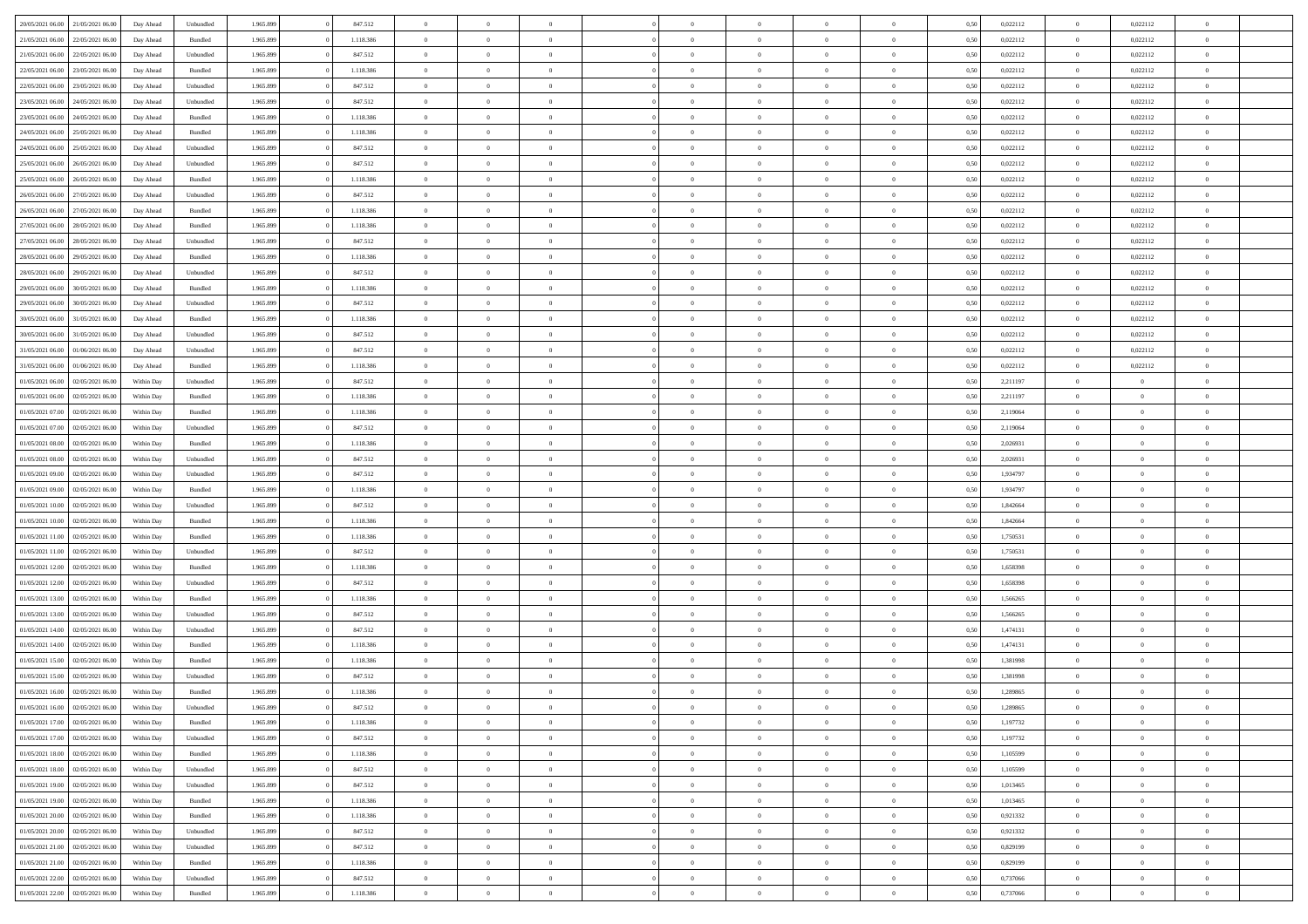| 20/05/2021 06:00 21/05/2021 06:00   |                  | Day Ahead  | Unbundled | 1.965.899 | 847.512   | $\overline{0}$ | $\theta$       |                | $\overline{0}$ | $\bf{0}$       | $\overline{0}$ | $\theta$       | 0,50 | 0,022112 | $\theta$       | 0,022112       | $\overline{0}$           |  |
|-------------------------------------|------------------|------------|-----------|-----------|-----------|----------------|----------------|----------------|----------------|----------------|----------------|----------------|------|----------|----------------|----------------|--------------------------|--|
|                                     |                  |            |           |           |           | $\overline{0}$ | $\overline{0}$ |                |                |                |                |                |      |          |                |                | $\overline{0}$           |  |
| 21/05/2021 06.00                    | 22/05/2021 06.00 | Day Ahead  | Bundled   | 1.965.899 | 1.118.386 |                |                | $\overline{0}$ | $\overline{0}$ | $\,$ 0         | $\bf{0}$       | $\bf{0}$       | 0,50 | 0,022112 | $\,$ 0 $\,$    | 0,022112       |                          |  |
| 21/05/2021 06:00                    | 22/05/2021 06:00 | Day Ahead  | Unbundled | 1.965.899 | 847.512   | $\overline{0}$ | $\overline{0}$ | $\overline{0}$ | $\overline{0}$ | $\bf{0}$       | $\overline{0}$ | $\mathbf{0}$   | 0.50 | 0,022112 | $\overline{0}$ | 0,022112       | $\overline{0}$           |  |
| 22/05/2021 06:00                    | 23/05/2021 06:00 | Day Ahead  | Bundled   | 1.965.899 | 1.118.386 | $\overline{0}$ | $\overline{0}$ | $\overline{0}$ | $\overline{0}$ | $\bf{0}$       | $\overline{0}$ | $\overline{0}$ | 0,50 | 0,022112 | $\,$ 0 $\,$    | 0,022112       | $\overline{0}$           |  |
| 22/05/2021 06:00                    | 23/05/2021 06.00 | Day Ahead  | Unbundled | 1.965.899 | 847.512   | $\overline{0}$ | $\theta$       | $\overline{0}$ | $\overline{0}$ | $\overline{0}$ | $\overline{0}$ | $\bf{0}$       | 0,50 | 0,022112 | $\,$ 0 $\,$    | 0,022112       | $\overline{0}$           |  |
| 23/05/2021 06:00                    | 24/05/2021 06:00 | Day Ahead  | Unbundled | 1.965.899 | 847.512   | $\overline{0}$ | $\overline{0}$ | $\overline{0}$ | $\overline{0}$ | $\bf{0}$       | $\overline{0}$ | $\bf{0}$       | 0.50 | 0,022112 | $\bf{0}$       | 0,022112       | $\overline{0}$           |  |
| 23/05/2021 06:00                    | 24/05/2021 06.00 | Day Ahead  | Bundled   | 1.965.899 | 1.118.386 | $\overline{0}$ | $\overline{0}$ | $\overline{0}$ | $\overline{0}$ | $\bf{0}$       | $\overline{0}$ | $\overline{0}$ | 0,50 | 0,022112 | $\,$ 0 $\,$    | 0,022112       | $\overline{0}$           |  |
| 24/05/2021 06:00                    | 25/05/2021 06.00 | Day Ahead  | Bundled   | 1.965.899 | 1.118.386 | $\overline{0}$ | $\theta$       | $\overline{0}$ | $\overline{0}$ | $\bf{0}$       | $\overline{0}$ | $\bf{0}$       | 0,50 | 0,022112 | $\,$ 0 $\,$    | 0,022112       | $\overline{0}$           |  |
| 24/05/2021 06:00                    | 25/05/2021 06:00 | Day Ahead  | Unbundled | 1.965.899 | 847.512   | $\overline{0}$ | $\overline{0}$ | $\overline{0}$ | $\overline{0}$ | $\bf{0}$       | $\overline{0}$ | $\bf{0}$       | 0.50 | 0,022112 | $\bf{0}$       | 0,022112       | $\overline{0}$           |  |
| 25/05/2021 06:00                    | 26/05/2021 06:00 | Day Ahead  | Unbundled | 1.965.899 | 847.512   | $\overline{0}$ | $\overline{0}$ | $\overline{0}$ | $\overline{0}$ | $\,$ 0         | $\overline{0}$ | $\bf{0}$       | 0,50 | 0,022112 | $\,$ 0 $\,$    | 0,022112       | $\overline{0}$           |  |
|                                     |                  |            |           |           |           |                | $\theta$       |                |                |                |                |                |      |          |                |                |                          |  |
| 25/05/2021 06:00                    | 26/05/2021 06.00 | Day Ahead  | Bundled   | 1.965.899 | 1.118.386 | $\overline{0}$ |                | $\overline{0}$ | $\overline{0}$ | $\,$ 0         | $\overline{0}$ | $\bf{0}$       | 0,50 | 0,022112 | $\,$ 0 $\,$    | 0,022112       | $\overline{0}$           |  |
| 26/05/2021 06:00                    | 27/05/2021 06:00 | Day Ahead  | Unbundled | 1.965.899 | 847.512   | $\overline{0}$ | $\overline{0}$ | $\overline{0}$ | $\overline{0}$ | $\bf{0}$       | $\overline{0}$ | $\mathbf{0}$   | 0.50 | 0,022112 | $\mathbf{0}$   | 0,022112       | $\overline{\phantom{a}}$ |  |
| 26/05/2021 06:00                    | 27/05/2021 06:00 | Day Ahead  | Bundled   | 1.965.899 | 1.118.386 | $\overline{0}$ | $\overline{0}$ | $\overline{0}$ | $\overline{0}$ | $\bf{0}$       | $\overline{0}$ | $\overline{0}$ | 0,50 | 0,022112 | $\,$ 0 $\,$    | 0,022112       | $\overline{0}$           |  |
| 27/05/2021 06:00                    | 28/05/2021 06.00 | Day Ahead  | Bundled   | 1.965.899 | 1.118.386 | $\overline{0}$ | $\theta$       | $\overline{0}$ | $\overline{0}$ | $\overline{0}$ | $\overline{0}$ | $\bf{0}$       | 0,50 | 0,022112 | $\,$ 0 $\,$    | 0,022112       | $\overline{0}$           |  |
| 27/05/2021 06:00                    | 28/05/2021 06:00 | Day Ahead  | Unbundled | 1.965.899 | 847.512   | $\overline{0}$ | $\overline{0}$ | $\overline{0}$ | $\overline{0}$ | $\bf{0}$       | $\overline{0}$ | $\bf{0}$       | 0.50 | 0,022112 | $\bf{0}$       | 0,022112       | $\overline{0}$           |  |
| 28/05/2021 06:00                    | 29/05/2021 06:00 | Day Ahead  | Bundled   | 1.965.899 | 1.118.386 | $\overline{0}$ | $\overline{0}$ | $\overline{0}$ | $\overline{0}$ | $\bf{0}$       | $\overline{0}$ | $\overline{0}$ | 0,50 | 0,022112 | $\,$ 0 $\,$    | 0,022112       | $\overline{0}$           |  |
| 28/05/2021 06:00                    | 29/05/2021 06.00 | Day Ahead  | Unbundled | 1.965.899 | 847.512   | $\overline{0}$ | $\theta$       | $\overline{0}$ | $\overline{0}$ | $\bf{0}$       | $\overline{0}$ | $\bf{0}$       | 0,50 | 0,022112 | $\,$ 0 $\,$    | 0,022112       | $\overline{0}$           |  |
| 29/05/2021 06:00                    | 30/05/2021 06:00 | Day Ahead  | Bundled   | 1.965.899 | 1.118.386 | $\overline{0}$ | $\overline{0}$ | $\overline{0}$ | $\overline{0}$ | $\bf{0}$       | $\overline{0}$ | $\bf{0}$       | 0.50 | 0.022112 | $\bf{0}$       | 0,022112       | $\overline{\phantom{a}}$ |  |
| 29/05/2021 06:00                    | 30/05/2021 06:00 | Day Ahead  | Unbundled | 1.965.899 | 847.512   | $\overline{0}$ | $\overline{0}$ | $\overline{0}$ | $\overline{0}$ | $\bf{0}$       | $\overline{0}$ | $\bf{0}$       | 0,50 | 0,022112 | $\,$ 0 $\,$    | 0,022112       | $\overline{0}$           |  |
| 30/05/2021 06:00                    | 31/05/2021 06.00 | Day Ahead  | Bundled   | 1.965.899 | 1.118.386 | $\overline{0}$ | $\theta$       | $\overline{0}$ | $\overline{0}$ | $\,$ 0         | $\overline{0}$ | $\bf{0}$       | 0,50 | 0,022112 | $\,$ 0 $\,$    | 0,022112       | $\overline{0}$           |  |
| 30/05/2021 06:00                    | 31/05/2021 06:00 | Day Ahead  | Unbundled | 1.965.899 | 847.512   | $\overline{0}$ | $\overline{0}$ | $\overline{0}$ | $\overline{0}$ | $\bf{0}$       | $\overline{0}$ | $\mathbf{0}$   | 0.50 | 0,022112 | $\mathbf{0}$   | 0,022112       | $\overline{\phantom{a}}$ |  |
| 31/05/2021 06:00                    | 01/06/2021 06:00 | Day Ahead  | Unbundled | 1.965.899 | 847.512   | $\overline{0}$ | $\overline{0}$ | $\overline{0}$ | $\overline{0}$ | $\bf{0}$       | $\overline{0}$ | $\overline{0}$ | 0,50 | 0,022112 | $\,$ 0 $\,$    | 0,022112       | $\overline{0}$           |  |
| 31/05/2021 06:00                    | 01/06/2021 06.00 | Day Ahead  | Bundled   | 1.965.899 | 1.118.386 | $\overline{0}$ | $\theta$       | $\overline{0}$ | $\overline{0}$ | $\bf{0}$       | $\overline{0}$ | $\bf{0}$       | 0,50 | 0,022112 | $\,$ 0 $\,$    | 0,022112       | $\overline{0}$           |  |
| 01/05/2021 06:00                    | 02/05/2021 06:00 | Within Day | Unbundled | 1.965.899 | 847.512   | $\overline{0}$ | $\overline{0}$ | $\overline{0}$ | $\overline{0}$ | $\bf{0}$       | $\overline{0}$ | $\bf{0}$       | 0.50 | 2,211197 | $\,0\,$        | $\overline{0}$ | $\overline{0}$           |  |
|                                     |                  |            |           |           |           |                |                |                |                |                |                |                |      |          |                |                |                          |  |
| 01/05/2021 06:00                    | 02/05/2021 06:00 | Within Day | Bundled   | 1.965.899 | 1.118.386 | $\overline{0}$ | $\overline{0}$ | $\overline{0}$ | $\overline{0}$ | $\,$ 0         | $\overline{0}$ | $\overline{0}$ | 0,50 | 2,211197 | $\,0\,$        | $\theta$       | $\overline{0}$           |  |
| 01/05/2021 07:00                    | 02/05/2021 06.00 | Within Day | Bundled   | 1.965.899 | 1.118.386 | $\overline{0}$ | $\theta$       | $\overline{0}$ |                | $\bf{0}$       | $\overline{0}$ | $\bf{0}$       | 0,50 | 2,119064 | $\,$ 0 $\,$    | $\overline{0}$ | $\overline{0}$           |  |
| 01/05/2021 07:00                    | 02/05/2021 06:00 | Within Day | Unbundled | 1.965.899 | 847.512   | $\overline{0}$ | $\overline{0}$ | $\overline{0}$ | $\overline{0}$ | $\bf{0}$       | $\overline{0}$ | $\bf{0}$       | 0.50 | 2,119064 | $\,0\,$        | $\overline{0}$ | $\overline{0}$           |  |
| 01/05/2021 08:00                    | 02/05/2021 06:00 | Within Day | Bundled   | 1.965.899 | 1.118.386 | $\overline{0}$ | $\overline{0}$ | $\overline{0}$ | $\overline{0}$ | $\bf{0}$       | $\overline{0}$ | $\bf{0}$       | 0,50 | 2,026931 | $\,$ 0 $\,$    | $\overline{0}$ | $\overline{0}$           |  |
| 01/05/2021 08:00                    | 02/05/2021 06.00 | Within Day | Unbundled | 1.965.899 | 847.512   | $\bf{0}$       | $\overline{0}$ | $\overline{0}$ | $\overline{0}$ | $\bf{0}$       | $\bf{0}$       | $\bf{0}$       | 0,50 | 2,026931 | $\,$ 0 $\,$    | $\overline{0}$ | $\overline{0}$           |  |
| 01/05/2021 09:00                    | 02/05/2021 06:00 | Within Day | Unbundled | 1.965.899 | 847.512   | $\overline{0}$ | $\overline{0}$ | $\overline{0}$ | $\overline{0}$ | $\bf{0}$       | $\overline{0}$ | $\mathbf{0}$   | 0.50 | 1.934797 | $\bf{0}$       | $\overline{0}$ | $\bf{0}$                 |  |
| 01/05/2021 09:00                    | 02/05/2021 06:00 | Within Dav | Bundled   | 1.965.899 | 1.118.386 | $\overline{0}$ | $\overline{0}$ | $\overline{0}$ | $\overline{0}$ | $\overline{0}$ | $\overline{0}$ | $\overline{0}$ | 0.50 | 1,934797 | $\theta$       | $\overline{0}$ | $\overline{0}$           |  |
| 01/05/2021 10:00                    | 02/05/2021 06.00 | Within Day | Unbundled | 1.965.899 | 847.512   | $\overline{0}$ | $\theta$       | $\overline{0}$ | $\overline{0}$ | $\bf{0}$       | $\overline{0}$ | $\bf{0}$       | 0,50 | 1,842664 | $\,$ 0 $\,$    | $\overline{0}$ | $\overline{0}$           |  |
| 01/05/2021 10:00                    | 02/05/2021 06:00 | Within Day | Bundled   | 1.965.899 | 1.118.386 | $\overline{0}$ | $\overline{0}$ | $\overline{0}$ | $\overline{0}$ | $\bf{0}$       | $\overline{0}$ | $\bf{0}$       | 0.50 | 1.842664 | $\,0\,$        | $\theta$       | $\overline{0}$           |  |
| 01/05/2021 11:00                    | 02/05/2021 06:00 | Within Dav | Bundled   | 1.965.899 | 1.118.386 | $\overline{0}$ | $\overline{0}$ | $\Omega$       | $\overline{0}$ | $\mathbf{0}$   | $\overline{0}$ | $\overline{0}$ | 0.50 | 1,750531 | $\theta$       | $\overline{0}$ | $\overline{0}$           |  |
| 01/05/2021 11:00                    | 02/05/2021 06.00 | Within Day | Unbundled | 1.965.899 | 847.512   | $\overline{0}$ | $\theta$       | $\overline{0}$ | $\overline{0}$ | $\,$ 0         | $\overline{0}$ | $\bf{0}$       | 0,50 | 1,750531 | $\,$ 0 $\,$    | $\overline{0}$ | $\overline{0}$           |  |
| 01/05/2021 12:00                    | 02/05/2021 06:00 | Within Day | Bundled   | 1.965.899 | 1.118.386 | $\overline{0}$ | $\overline{0}$ | $\overline{0}$ | $\overline{0}$ | $\bf{0}$       | $\overline{0}$ | $\bf{0}$       | 0.50 | 1.658398 | $\,0\,$        | $\overline{0}$ | $\overline{\phantom{a}}$ |  |
| 01/05/2021 12:00                    | 02/05/2021 06:00 | Within Dav | Unbundled | 1.965.899 | 847.512   | $\overline{0}$ | $\overline{0}$ | $\overline{0}$ | $\overline{0}$ | $\overline{0}$ | $\overline{0}$ | $\overline{0}$ | 0.50 | 1,658398 | $\theta$       | $\overline{0}$ | $\overline{0}$           |  |
|                                     | 02/05/2021 06.00 | Within Day | Bundled   | 1.965.899 | 1.118.386 | $\bf{0}$       | $\overline{0}$ | $\overline{0}$ | $\overline{0}$ | $\bf{0}$       | $\bf{0}$       | $\bf{0}$       | 0,50 | 1,566265 | $\,$ 0 $\,$    | $\overline{0}$ | $\overline{0}$           |  |
| 01/05/2021 13:00                    |                  |            |           |           |           |                |                |                |                |                |                |                |      |          |                |                |                          |  |
| 01/05/2021 13:00                    | 02/05/2021 06:00 | Within Day | Unbundled | 1.965.899 | 847.512   | $\overline{0}$ | $\overline{0}$ | $\overline{0}$ | $\overline{0}$ | $\bf{0}$       | $\overline{0}$ | $\mathbf{0}$   | 0.50 | 1.566265 | $\bf{0}$       | $\overline{0}$ | $\overline{0}$           |  |
| 01/05/2021 14:00                    | 02/05/2021 06:00 | Within Dav | Unbundled | 1.965.899 | 847.512   | $\overline{0}$ | $\overline{0}$ | $\Omega$       | $\overline{0}$ | $\mathbf{0}$   | $\overline{0}$ | $\overline{0}$ | 0.50 | 1,474131 | $\theta$       | $\overline{0}$ | $\overline{0}$           |  |
| 01/05/2021 14:00                    | 02/05/2021 06.00 | Within Day | Bundled   | 1.965.899 | 1.118.386 | $\overline{0}$ | $\overline{0}$ | $\overline{0}$ | $\overline{0}$ | $\,$ 0         | $\overline{0}$ | $\bf{0}$       | 0,50 | 1,474131 | $\,$ 0 $\,$    | $\overline{0}$ | $\overline{0}$           |  |
| 01/05/2021 15:00                    | 02/05/2021 06:00 | Within Day | Bundled   | 1.965.899 | 1.118.386 | $\overline{0}$ | $\overline{0}$ | $\overline{0}$ | $\overline{0}$ | $\overline{0}$ | $\Omega$       | $\bf{0}$       | 0.50 | 1.381998 | $\,0\,$        | $\theta$       | $\overline{0}$           |  |
| 01/05/2021 15:00                    | 02/05/2021 06:00 | Within Dav | Unbundled | 1.965.899 | 847.512   | $\overline{0}$ | $\Omega$       | $\Omega$       | $\Omega$       | $\bf{0}$       | $\overline{0}$ | $\Omega$       | 0.50 | 1,381998 | $\theta$       | $\theta$       | $\overline{0}$           |  |
| 01/05/2021 16:00                    | 02/05/2021 06:00 | Within Day | Bundled   | 1.965.899 | 1.118.386 | $\overline{0}$ | $\,$ 0 $\,$    | $\overline{0}$ | $\overline{0}$ | $\,$ 0         | $\bf{0}$       | $\bf{0}$       | 0,50 | 1,289865 | $\,$ 0 $\,$    | $\overline{0}$ | $\overline{0}$           |  |
| $01/05/2021$ 16.00 02/05/2021 06.00 |                  | Within Day | Unbundled | 1.965.899 | 847.512   | $\bf{0}$       | $\theta$       |                | $\Omega$       | $\Omega$       |                |                | 0.50 | 1.289865 | $\bf{0}$       | $\theta$       |                          |  |
| 01/05/2021 17:00                    | 02/05/2021 06:00 | Within Day | Bundled   | 1.965.899 | 1.118.386 | $\overline{0}$ | $\overline{0}$ | $\overline{0}$ | $\overline{0}$ | $\overline{0}$ | $\overline{0}$ | $\mathbf{0}$   | 0,50 | 1,197732 | $\theta$       | $\overline{0}$ | $\overline{0}$           |  |
| 01/05/2021 17:00                    | 02/05/2021 06:00 | Within Day | Unbundled | 1.965.899 | 847.512   | $\overline{0}$ | $\bf{0}$       | $\overline{0}$ | $\bf{0}$       | $\overline{0}$ | $\overline{0}$ | $\bf{0}$       | 0,50 | 1,197732 | $\overline{0}$ | $\overline{0}$ | $\bf{0}$                 |  |
| 01/05/2021 18:00                    | 02/05/2021 06:00 | Within Day | Bundled   | 1.965.899 | 1.118.386 | $\overline{0}$ | $\overline{0}$ | $\overline{0}$ | $\overline{0}$ | $\overline{0}$ | $\overline{0}$ | $\mathbf{0}$   | 0.50 | 1,105599 | $\overline{0}$ | $\bf{0}$       | $\bf{0}$                 |  |
| 01/05/2021 18:00                    | 02/05/2021 06:00 | Within Day | Unbundled | 1.965.899 | 847.512   | $\overline{0}$ | $\overline{0}$ | $\overline{0}$ | $\overline{0}$ | $\overline{0}$ | $\overline{0}$ | $\overline{0}$ | 0,50 | 1,105599 | $\overline{0}$ | $\theta$       | $\overline{0}$           |  |
| 01/05/2021 19:00                    | 02/05/2021 06:00 | Within Day | Unbundled | 1.965.899 | 847.512   | $\overline{0}$ | $\overline{0}$ | $\overline{0}$ | $\overline{0}$ | $\bf{0}$       | $\overline{0}$ | $\bf{0}$       | 0,50 | 1,013465 | $\,$ 0 $\,$    | $\overline{0}$ | $\overline{0}$           |  |
| 01/05/2021 19:00                    | 02/05/2021 06:00 | Within Day | Bundled   | 1.965.899 | 1.118.386 | $\overline{0}$ | $\overline{0}$ | $\overline{0}$ | $\overline{0}$ | $\bf{0}$       | $\overline{0}$ | $\mathbf{0}$   | 0.50 | 1.013465 | $\,$ 0 $\,$    | $\overline{0}$ | $\overline{0}$           |  |
| 01/05/2021 20:00                    | 02/05/2021 06:00 | Within Day | Bundled   | 1.965.899 | 1.118.386 | $\overline{0}$ | $\overline{0}$ | $\overline{0}$ | $\overline{0}$ | $\overline{0}$ | $\overline{0}$ | $\overline{0}$ | 0,50 | 0.921332 | $\overline{0}$ | $\theta$       | $\overline{0}$           |  |
|                                     |                  |            |           |           |           |                | $\,$ 0         |                |                | $\,$ 0 $\,$    |                |                |      |          | $\,$ 0 $\,$    | $\overline{0}$ | $\overline{0}$           |  |
| 01/05/2021 20:00                    | 02/05/2021 06:00 | Within Day | Unbundled | 1.965.899 | 847.512   | $\overline{0}$ |                | $\overline{0}$ | $\bf{0}$       |                | $\overline{0}$ | $\bf{0}$       | 0,50 | 0,921332 |                |                |                          |  |
| 01/05/2021 21:00                    | 02/05/2021 06:00 | Within Day | Unbundled | 1.965.899 | 847.512   | $\overline{0}$ | $\overline{0}$ | $\overline{0}$ | $\overline{0}$ | $\bf{0}$       | $\overline{0}$ | $\mathbf{0}$   | 0.50 | 0.829199 | $\mathbf{0}$   | $\bf{0}$       | $\overline{0}$           |  |
| 01/05/2021 21:00                    | 02/05/2021 06:00 | Within Day | Bundled   | 1.965.899 | 1.118.386 | $\overline{0}$ | $\overline{0}$ | $\overline{0}$ | $\overline{0}$ | $\overline{0}$ | $\overline{0}$ | $\overline{0}$ | 0,50 | 0,829199 | $\overline{0}$ | $\overline{0}$ | $\overline{0}$           |  |
| 01/05/2021 22.00                    | 02/05/2021 06:00 | Within Day | Unbundled | 1.965.899 | 847.512   | $\overline{0}$ | $\overline{0}$ | $\overline{0}$ | $\bf{0}$       | $\bf{0}$       | $\overline{0}$ | $\bf{0}$       | 0,50 | 0,737066 | $\bf{0}$       | $\overline{0}$ | $\bf{0}$                 |  |
| 01/05/2021 22.00 02/05/2021 06:00   |                  | Within Day | Bundled   | 1.965.899 | 1.118.386 | $\overline{0}$ | $\,$ 0 $\,$    | $\overline{0}$ | $\overline{0}$ | $\,$ 0 $\,$    | $\overline{0}$ | $\,$ 0 $\,$    | 0,50 | 0,737066 | $\overline{0}$ | $\,$ 0 $\,$    | $\,$ 0 $\,$              |  |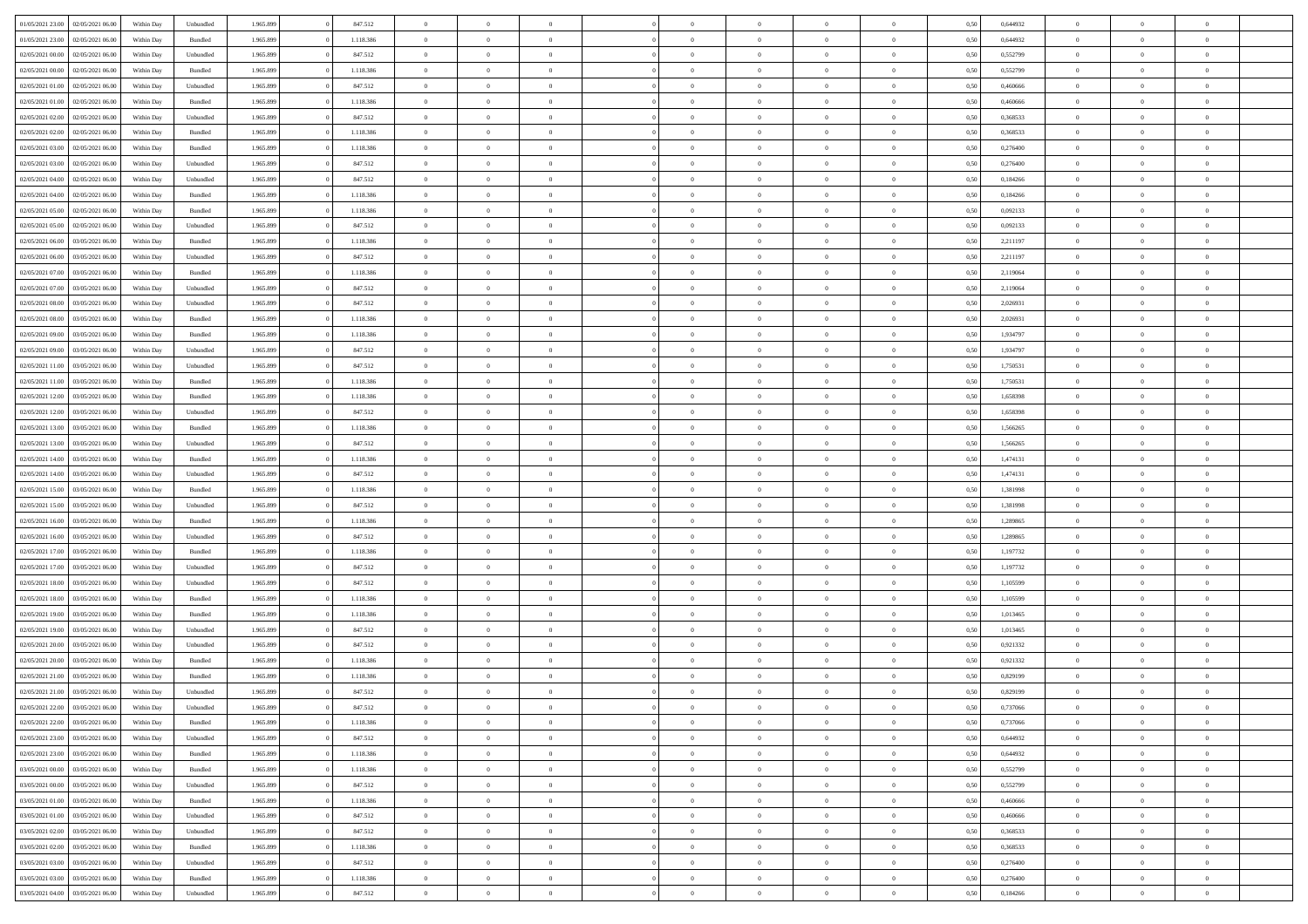| 01/05/2021 23.00 02/05/2021 06:00    | Within Day | Unbundled          | 1.965.899 | 847.512   | $\overline{0}$ | $\overline{0}$ | $\Omega$       | $\Omega$       | $\Omega$       |                | $\overline{0}$ | 0,50 | 0,644932 | $\mathbf{0}$   | $\Omega$       | $\Omega$       |  |
|--------------------------------------|------------|--------------------|-----------|-----------|----------------|----------------|----------------|----------------|----------------|----------------|----------------|------|----------|----------------|----------------|----------------|--|
| 01/05/2021 23:00<br>02/05/2021 06:00 | Within Day | Bundled            | 1.965.899 | 1.118.386 | $\bf{0}$       | $\overline{0}$ | $\overline{0}$ | $\theta$       | $\overline{0}$ | $\overline{0}$ | $\,$ 0         | 0,50 | 0,644932 | $\mathbf{0}$   | $\theta$       | $\bf{0}$       |  |
| 02/05/2021 00:00<br>02/05/2021 06:00 | Within Day | Unbundled          | 1.965.899 | 847.512   | $\overline{0}$ | $\overline{0}$ | $\overline{0}$ | $\bf{0}$       | $\bf{0}$       | $\overline{0}$ | $\mathbf{0}$   | 0,50 | 0,552799 | $\bf{0}$       | $\bf{0}$       | $\bf{0}$       |  |
| 02/05/2021 00:00<br>02/05/2021 06:00 | Within Day | Bundled            | 1.965.899 | 1.118.386 | $\overline{0}$ | $\overline{0}$ | $\overline{0}$ | $\overline{0}$ | $\overline{0}$ | $\overline{0}$ | $\overline{0}$ | 0.50 | 0,552799 | $\mathbf{0}$   | $\overline{0}$ | $\bf{0}$       |  |
|                                      |            |                    |           |           |                |                |                |                |                |                |                |      |          |                |                |                |  |
| 02/05/2021 01:00<br>02/05/2021 06:00 | Within Day | Unbundled          | 1.965.899 | 847.512   | $\bf{0}$       | $\overline{0}$ | $\overline{0}$ | $\theta$       | $\overline{0}$ | $\overline{0}$ | $\bf{0}$       | 0,50 | 0,460666 | $\theta$       | $\theta$       | $\overline{0}$ |  |
| 02/05/2021 01:00<br>02/05/2021 06:00 | Within Day | Bundled            | 1.965.899 | 1.118.386 | $\overline{0}$ | $\overline{0}$ | $\overline{0}$ | $\bf{0}$       | $\overline{0}$ | $\overline{0}$ | $\overline{0}$ | 0,50 | 0,460666 | $\overline{0}$ | $\overline{0}$ | $\overline{0}$ |  |
| 02/05/2021 02:00<br>02/05/2021 06:00 | Within Day | Unbundled          | 1.965.899 | 847.512   | $\overline{0}$ | $\overline{0}$ | $\overline{0}$ | $\overline{0}$ | $\overline{0}$ | $\overline{0}$ | $\mathbf{0}$   | 0.50 | 0,368533 | $\mathbf{0}$   | $\overline{0}$ | $\overline{0}$ |  |
| 02/05/2021 02:00<br>02/05/2021 06:00 | Within Day | Bundled            | 1.965.899 | 1.118.386 | $\bf{0}$       | $\overline{0}$ | $\overline{0}$ | $\theta$       | $\overline{0}$ | $\overline{0}$ | $\bf{0}$       | 0,50 | 0,368533 | $\theta$       | $\theta$       | $\bf{0}$       |  |
| 02/05/2021 03:00<br>02/05/2021 06:00 | Within Day | Bundled            | 1.965.899 | 1.118.386 | $\overline{0}$ | $\overline{0}$ | $\bf{0}$       | $\bf{0}$       | $\bf{0}$       | $\overline{0}$ | $\bf{0}$       | 0,50 | 0,276400 | $\bf{0}$       | $\bf{0}$       | $\bf{0}$       |  |
| 02/05/2021 06:00                     |            | Unbundled          | 1.965.899 | 847.512   | $\overline{0}$ | $\overline{0}$ | $\overline{0}$ | $\overline{0}$ | $\overline{0}$ | $\overline{0}$ | $\overline{0}$ | 0.50 | 0.276400 | $\overline{0}$ | $\overline{0}$ | $\overline{0}$ |  |
| 02/05/2021 03:00                     | Within Day |                    |           |           |                |                |                |                |                |                |                |      |          |                |                |                |  |
| 02/05/2021 04:00<br>02/05/2021 06:00 | Within Day | Unbundled          | 1.965.899 | 847.512   | $\bf{0}$       | $\overline{0}$ | $\overline{0}$ | $\overline{0}$ | $\overline{0}$ | $\overline{0}$ | $\,$ 0         | 0,50 | 0,184266 | $\mathbf{0}$   | $\theta$       | $\bf{0}$       |  |
| 02/05/2021 04:00<br>02/05/2021 06:00 | Within Day | Bundled            | 1.965.899 | 1.118.386 | $\overline{0}$ | $\overline{0}$ | $\overline{0}$ | $\bf{0}$       | $\bf{0}$       | $\overline{0}$ | $\mathbf{0}$   | 0,50 | 0,184266 | $\bf{0}$       | $\bf{0}$       | $\bf{0}$       |  |
| 02/05/2021 05:00<br>02/05/2021 06:00 | Within Day | Bundled            | 1.965.899 | 1.118.386 | $\overline{0}$ | $\overline{0}$ | $\overline{0}$ | $\overline{0}$ | $\overline{0}$ | $\overline{0}$ | $\overline{0}$ | 0.50 | 0.092133 | $\mathbf{0}$   | $\overline{0}$ | $\bf{0}$       |  |
| 02/05/2021 05:00<br>02/05/2021 06:00 | Within Day | Unbundled          | 1.965.899 | 847.512   | $\bf{0}$       | $\overline{0}$ | $\overline{0}$ | $\theta$       | $\overline{0}$ | $\overline{0}$ | $\,$ 0         | 0,50 | 0,092133 | $\theta$       | $\theta$       | $\overline{0}$ |  |
|                                      |            |                    |           |           |                |                |                |                |                |                |                |      |          |                |                |                |  |
| 02/05/2021 06:00<br>03/05/2021 06:00 | Within Day | Bundled            | 1.965.899 | 1.118.386 | $\overline{0}$ | $\overline{0}$ | $\overline{0}$ | $\bf{0}$       | $\overline{0}$ | $\overline{0}$ | $\overline{0}$ | 0,50 | 2,211197 | $\overline{0}$ | $\bf{0}$       | $\overline{0}$ |  |
| 02/05/2021 06:00<br>03/05/2021 06:00 | Within Day | Unbundled          | 1.965.899 | 847.512   | $\overline{0}$ | $\overline{0}$ | $\overline{0}$ | $\overline{0}$ | $\overline{0}$ | $\overline{0}$ | $\mathbf{0}$   | 0.50 | 2,211197 | $\overline{0}$ | $\overline{0}$ | $\overline{0}$ |  |
| 02/05/2021 07:00<br>03/05/2021 06:00 | Within Day | Bundled            | 1.965.899 | 1.118.386 | $\bf{0}$       | $\overline{0}$ | $\overline{0}$ | $\overline{0}$ | $\overline{0}$ | $\overline{0}$ | $\bf{0}$       | 0,50 | 2,119064 | $\theta$       | $\theta$       | $\bf{0}$       |  |
| 02/05/2021 07:00<br>03/05/2021 06:00 | Within Day | Unbundled          | 1.965.899 | 847.512   | $\overline{0}$ | $\overline{0}$ | $\bf{0}$       | $\bf{0}$       | $\bf{0}$       | $\overline{0}$ | $\mathbf{0}$   | 0,50 | 2,119064 | $\bf{0}$       | $\bf{0}$       | $\bf{0}$       |  |
| 02/05/2021 08:00<br>03/05/2021 06:00 | Within Day | Unbundled          | 1.965.899 | 847.512   | $\overline{0}$ | $\overline{0}$ | $\overline{0}$ | $\overline{0}$ | $\overline{0}$ | $\overline{0}$ | $\overline{0}$ | 0.50 | 2.026931 | $\overline{0}$ | $\overline{0}$ | $\overline{0}$ |  |
| 02/05/2021 08:00<br>03/05/2021 06:00 | Within Day | $\mathbf B$ undled | 1.965.899 | 1.118.386 | $\bf{0}$       | $\overline{0}$ | $\overline{0}$ | $\overline{0}$ | $\overline{0}$ | $\overline{0}$ | $\,$ 0         | 0,50 | 2,026931 | $\theta$       | $\theta$       | $\bf{0}$       |  |
|                                      |            |                    |           |           |                |                |                |                |                |                |                |      |          |                |                |                |  |
| 02/05/2021 09:00<br>03/05/2021 06:00 | Within Day | Bundled            | 1.965.899 | 1.118.386 | $\overline{0}$ | $\overline{0}$ | $\overline{0}$ | $\bf{0}$       | $\bf{0}$       | $\overline{0}$ | $\mathbf{0}$   | 0,50 | 1,934797 | $\bf{0}$       | $\bf{0}$       | $\bf{0}$       |  |
| 02/05/2021 09:00<br>03/05/2021 06:00 | Within Day | Unbundled          | 1.965.899 | 847.512   | $\overline{0}$ | $\overline{0}$ | $\overline{0}$ | $\overline{0}$ | $\overline{0}$ | $\overline{0}$ | $\overline{0}$ | 0.50 | 1,934797 | $\overline{0}$ | $\overline{0}$ | $\bf{0}$       |  |
| 02/05/2021 11:00<br>03/05/2021 06:00 | Within Day | Unbundled          | 1.965.899 | 847.512   | $\bf{0}$       | $\overline{0}$ | $\overline{0}$ | $\overline{0}$ | $\overline{0}$ | $\overline{0}$ | $\,$ 0         | 0,50 | 1,750531 | $\mathbf{0}$   | $\theta$       | $\bf{0}$       |  |
| 02/05/2021 11:00<br>03/05/2021 06:00 | Within Day | Bundled            | 1.965.899 | 1.118.386 | $\overline{0}$ | $\overline{0}$ | $\overline{0}$ | $\bf{0}$       | $\overline{0}$ | $\overline{0}$ | $\overline{0}$ | 0,50 | 1,750531 | $\overline{0}$ | $\overline{0}$ | $\overline{0}$ |  |
| 02/05/2021 12:00<br>03/05/2021 06:00 | Within Day | Bundled            | 1.965.899 | 1.118.386 | $\overline{0}$ | $\overline{0}$ | $\overline{0}$ | $\overline{0}$ | $\overline{0}$ | $\overline{0}$ | $\overline{0}$ | 0.50 | 1,658398 | $\overline{0}$ | $\overline{0}$ | $\overline{0}$ |  |
| 02/05/2021 12:00<br>03/05/2021 06:00 | Within Day | Unbundled          | 1.965.899 | 847.512   | $\bf{0}$       | $\overline{0}$ | $\bf{0}$       | $\overline{0}$ | $\overline{0}$ | $\overline{0}$ | $\bf{0}$       | 0,50 | 1,658398 | $\theta$       | $\theta$       | $\bf{0}$       |  |
| 02/05/2021 13:00<br>03/05/2021 06:00 | Within Day | Bundled            | 1.965.899 | 1.118.386 | $\overline{0}$ | $\overline{0}$ | $\bf{0}$       | $\bf{0}$       | $\bf{0}$       | $\overline{0}$ | $\bf{0}$       | 0,50 | 1,566265 | $\bf{0}$       | $\bf{0}$       | $\bf{0}$       |  |
| 03/05/2021 06:00                     |            | Unbundled          | 1.965.899 | 847.512   | $\overline{0}$ | $\overline{0}$ | $\overline{0}$ | $\overline{0}$ | $\overline{0}$ | $\overline{0}$ | $\overline{0}$ | 0.50 | 1.566265 | $\overline{0}$ | $\overline{0}$ | $\bf{0}$       |  |
| 02/05/2021 13:00                     | Within Day |                    |           |           |                |                |                |                |                |                |                |      |          |                |                |                |  |
| 02/05/2021 14:00<br>03/05/2021 06:00 | Within Day | Bundled            | 1.965.899 | 1.118.386 | $\bf{0}$       | $\overline{0}$ | $\overline{0}$ | $\overline{0}$ | $\overline{0}$ | $\overline{0}$ | $\,$ 0         | 0,50 | 1,474131 | $\theta$       | $\theta$       | $\bf{0}$       |  |
| 02/05/2021 14:00<br>03/05/2021 06:00 | Within Day | Unbundled          | 1.965.899 | 847.512   | $\overline{0}$ | $\overline{0}$ | $\overline{0}$ | $\bf{0}$       | $\bf{0}$       | $\overline{0}$ | $\mathbf{0}$   | 0,50 | 1,474131 | $\overline{0}$ | $\bf{0}$       | $\bf{0}$       |  |
| 02/05/2021 15:00<br>03/05/2021 06.00 | Within Day | Bundled            | 1.965.899 | 1.118.386 | $\overline{0}$ | $\overline{0}$ | $\overline{0}$ | $\overline{0}$ | $\overline{0}$ | $\Omega$       | $\overline{0}$ | 0,50 | 1,381998 | $\bf{0}$       | $\Omega$       | $\Omega$       |  |
| 02/05/2021 15:00<br>03/05/2021 06:00 | Within Day | Unbundled          | 1.965.899 | 847.512   | $\bf{0}$       | $\overline{0}$ | $\overline{0}$ | $\theta$       | $\overline{0}$ | $\overline{0}$ | $\,$ 0         | 0,50 | 1,381998 | $\theta$       | $\theta$       | $\bf{0}$       |  |
| 02/05/2021 16:00<br>03/05/2021 06:00 | Within Day | Bundled            | 1.965.899 | 1.118.386 | $\overline{0}$ | $\overline{0}$ | $\overline{0}$ | $\bf{0}$       | $\overline{0}$ | $\overline{0}$ | $\overline{0}$ | 0,50 | 1,289865 | $\overline{0}$ | $\bf{0}$       | $\overline{0}$ |  |
|                                      |            |                    |           |           | $\overline{0}$ | $\overline{0}$ | $\overline{0}$ | $\overline{0}$ | $\overline{0}$ | $\Omega$       | $\overline{0}$ | 0.50 |          | $\overline{0}$ | $\Omega$       | $\Omega$       |  |
| 02/05/2021 16:00<br>03/05/2021 06:00 | Within Day | Unbundled          | 1.965.899 | 847.512   |                |                |                |                |                |                |                |      | 1,289865 |                |                |                |  |
| 02/05/2021 17:00<br>03/05/2021 06:00 | Within Day | Bundled            | 1.965.899 | 1.118.386 | $\bf{0}$       | $\overline{0}$ | $\overline{0}$ | $\overline{0}$ | $\overline{0}$ | $\overline{0}$ | $\bf{0}$       | 0,50 | 1,197732 | $\theta$       | $\theta$       | $\bf{0}$       |  |
| 02/05/2021 17:00<br>03/05/2021 06:00 | Within Day | Unbundled          | 1.965.899 | 847.512   | $\overline{0}$ | $\overline{0}$ | $\overline{0}$ | $\bf{0}$       | $\bf{0}$       | $\overline{0}$ | $\bf{0}$       | 0,50 | 1,197732 | $\bf{0}$       | $\bf{0}$       | $\bf{0}$       |  |
| 02/05/2021 18:00<br>03/05/2021 06.00 | Within Day | Unbundled          | 1.965.899 | 847.512   | $\overline{0}$ | $\overline{0}$ | $\Omega$       | $\overline{0}$ | $\overline{0}$ | $\Omega$       | $\theta$       | 0.50 | 1.105599 | $\overline{0}$ | $\Omega$       | $\Omega$       |  |
| 02/05/2021 18:00<br>03/05/2021 06:00 | Within Day | $\mathbf B$ undled | 1.965.899 | 1.118.386 | $\bf{0}$       | $\overline{0}$ | $\overline{0}$ | $\overline{0}$ | $\overline{0}$ | $\overline{0}$ | $\,$ 0         | 0,50 | 1,105599 | $\theta$       | $\theta$       | $\bf{0}$       |  |
| 02/05/2021 19:00<br>03/05/2021 06:00 | Within Day | Bundled            | 1.965.899 | 1.118.386 | $\overline{0}$ | $\overline{0}$ | $\overline{0}$ | $\bf{0}$       | $\bf{0}$       | $\overline{0}$ | $\mathbf{0}$   | 0,50 | 1,013465 | $\overline{0}$ | $\bf{0}$       | $\bf{0}$       |  |
| 02/05/2021 19:00<br>03/05/2021 06.00 | Within Day | Unbundled          | 1.965.899 | 847.512   | $\overline{0}$ | $\overline{0}$ | $\overline{0}$ | $\overline{0}$ | $\bf{0}$       | $\Omega$       | $\overline{0}$ | 0.50 | 1,013465 | $\overline{0}$ | $\Omega$       | $\Omega$       |  |
|                                      |            |                    |           |           |                |                |                |                |                |                |                |      |          |                |                |                |  |
| 02/05/2021 20:00<br>03/05/2021 06:00 | Within Day | Unbundled          | 1.965.899 | 847.512   | $\bf{0}$       | $\overline{0}$ | $\overline{0}$ | $\overline{0}$ | $\overline{0}$ | $\overline{0}$ | $\,$ 0         | 0,50 | 0,921332 | $\,0\,$        | $\theta$       | $\bf{0}$       |  |
| 02/05/2021 20:00<br>03/05/2021 06:00 | Within Day | Bundled            | 1.965.899 | 1.118.386 | $\overline{0}$ | $\overline{0}$ | $\overline{0}$ | $\bf{0}$       | $\overline{0}$ | $\overline{0}$ | $\overline{0}$ | 0,50 | 0,921332 | $\overline{0}$ | $\bf{0}$       | $\bf{0}$       |  |
| 02/05/2021 21:00<br>03/05/2021 06.00 | Within Day | Bundled            | 1.965.899 | 1.118.386 | $\overline{0}$ | $\Omega$       | $\Omega$       | $\Omega$       | $\overline{0}$ | $\Omega$       | $\overline{0}$ | 0.50 | 0,829199 | $\overline{0}$ | $\Omega$       | $\Omega$       |  |
| 02/05/2021 21.00 03/05/2021 06:00    | Within Day | Unbundled          | 1.965.899 | 847.512   | $\bf{0}$       | $\bf{0}$       | $\overline{0}$ | $\bf{0}$       | $\bf{0}$       | $\overline{0}$ | $\,$ 0         | 0,50 | 0,829199 | $\bf{0}$       | $\,$ 0         | $\,$ 0         |  |
| 02/05/2021 22:00 03/05/2021 06:00    | Within Day | Unbundled          | 1.965.899 | 847.512   | $\bf{0}$       | $\bf{0}$       |                | $\bf{0}$       |                |                |                | 0,50 | 0,737066 | $\bf{0}$       | $\bf{0}$       |                |  |
| 02/05/2021 22:00 03/05/2021 06:00    | Within Day | Bundled            | 1.965.899 | 1.118.386 | $\overline{0}$ | $\overline{0}$ | $\theta$       | $\overline{0}$ | $\overline{0}$ | $\overline{0}$ | $\mathbf{0}$   | 0,50 | 0.737066 | $\overline{0}$ | $\theta$       | $\theta$       |  |
| 02/05/2021 23:00<br>03/05/2021 06:00 | Within Day | Unbundled          | 1.965.899 | 847.512   | $\overline{0}$ | $\overline{0}$ | $\overline{0}$ | $\bf{0}$       | $\overline{0}$ | $\overline{0}$ | $\mathbf{0}$   | 0,50 | 0,644932 | $\,0\,$        | $\overline{0}$ | $\,$ 0 $\,$    |  |
|                                      |            |                    |           |           |                |                |                |                |                |                |                |      |          |                |                |                |  |
| 03/05/2021 06:00<br>02/05/2021 23:00 | Within Day | Bundled            | 1.965.899 | 1.118.386 | $\overline{0}$ | $\overline{0}$ | $\overline{0}$ | $\bf{0}$       | $\overline{0}$ | $\overline{0}$ | $\overline{0}$ | 0,50 | 0,644932 | $\overline{0}$ | $\overline{0}$ | $\overline{0}$ |  |
| 03/05/2021 00:00<br>03/05/2021 06:00 | Within Day | Bundled            | 1.965.899 | 1.118.386 | $\overline{0}$ | $\overline{0}$ | $\overline{0}$ | $\overline{0}$ | $\bf{0}$       | $\overline{0}$ | $\overline{0}$ | 0,50 | 0,552799 | $\overline{0}$ | $\overline{0}$ | $\overline{0}$ |  |
| 03/05/2021 00:00<br>03/05/2021 06:00 | Within Day | Unbundled          | 1.965.899 | 847.512   | $\overline{0}$ | $\overline{0}$ | $\overline{0}$ | $\overline{0}$ | $\overline{0}$ | $\overline{0}$ | $\mathbf{0}$   | 0,50 | 0,552799 | $\,0\,$        | $\theta$       | $\bf{0}$       |  |
| 03/05/2021 01:00 03/05/2021 06:00    | Within Day | Bundled            | 1.965.899 | 1.118.386 | $\overline{0}$ | $\overline{0}$ | $\overline{0}$ | $\overline{0}$ | $\overline{0}$ | $\overline{0}$ | $\overline{0}$ | 0,50 | 0,460666 | $\overline{0}$ | $\overline{0}$ | $\overline{0}$ |  |
| 03/05/2021 01:00<br>03/05/2021 06:00 | Within Day | Unbundled          | 1.965.899 | 847.512   | $\overline{0}$ | $\overline{0}$ | $\overline{0}$ | $\overline{0}$ | $\overline{0}$ | $\overline{0}$ | $\overline{0}$ | 0.50 | 0.460666 | $\overline{0}$ | $\overline{0}$ | $\overline{0}$ |  |
| 03/05/2021 02:00<br>03/05/2021 06:00 | Within Day | Unbundled          | 1.965.899 | 847.512   | $\overline{0}$ | $\overline{0}$ | $\overline{0}$ | $\bf{0}$       | $\bf{0}$       | $\overline{0}$ | $\,$ 0 $\,$    | 0,50 | 0,368533 | $\,0\,$        | $\theta$       | $\,$ 0         |  |
| 03/05/2021 06:00<br>03/05/2021 02:00 | Within Day | Bundled            | 1.965.899 | 1.118.386 | $\overline{0}$ | $\overline{0}$ | $\overline{0}$ | $\bf{0}$       | $\overline{0}$ | $\overline{0}$ | $\overline{0}$ | 0,50 | 0,368533 | $\bf{0}$       | $\bf{0}$       | $\overline{0}$ |  |
|                                      |            |                    |           |           |                |                |                |                |                |                |                |      |          |                |                |                |  |
| 03/05/2021 06:00<br>03/05/2021 03:00 | Within Day | Unbundled          | 1.965.899 | 847.512   | $\overline{0}$ | $\overline{0}$ | $\overline{0}$ | $\overline{0}$ | $\overline{0}$ | $\overline{0}$ | $\overline{0}$ | 0.50 | 0,276400 | $\overline{0}$ | $\overline{0}$ | $\overline{0}$ |  |
| 03/05/2021 03:00<br>03/05/2021 06:00 | Within Day | Bundled            | 1.965.899 | 1.118.386 | $\overline{0}$ | $\overline{0}$ | $\overline{0}$ | $\bf{0}$       | $\bf{0}$       | $\overline{0}$ | $\,$ 0 $\,$    | 0,50 | 0,276400 | $\,0\,$        | $\,0\,$        | $\,$ 0         |  |
| 03/05/2021 04:00 03/05/2021 06:00    | Within Day | Unbundled          | 1.965.899 | 847.512   | $\overline{0}$ | $\overline{0}$ | $\overline{0}$ | $\bf{0}$       | $\overline{0}$ | $\overline{0}$ | $\overline{0}$ | 0,50 | 0,184266 | $\overline{0}$ | $\bf{0}$       | $\overline{0}$ |  |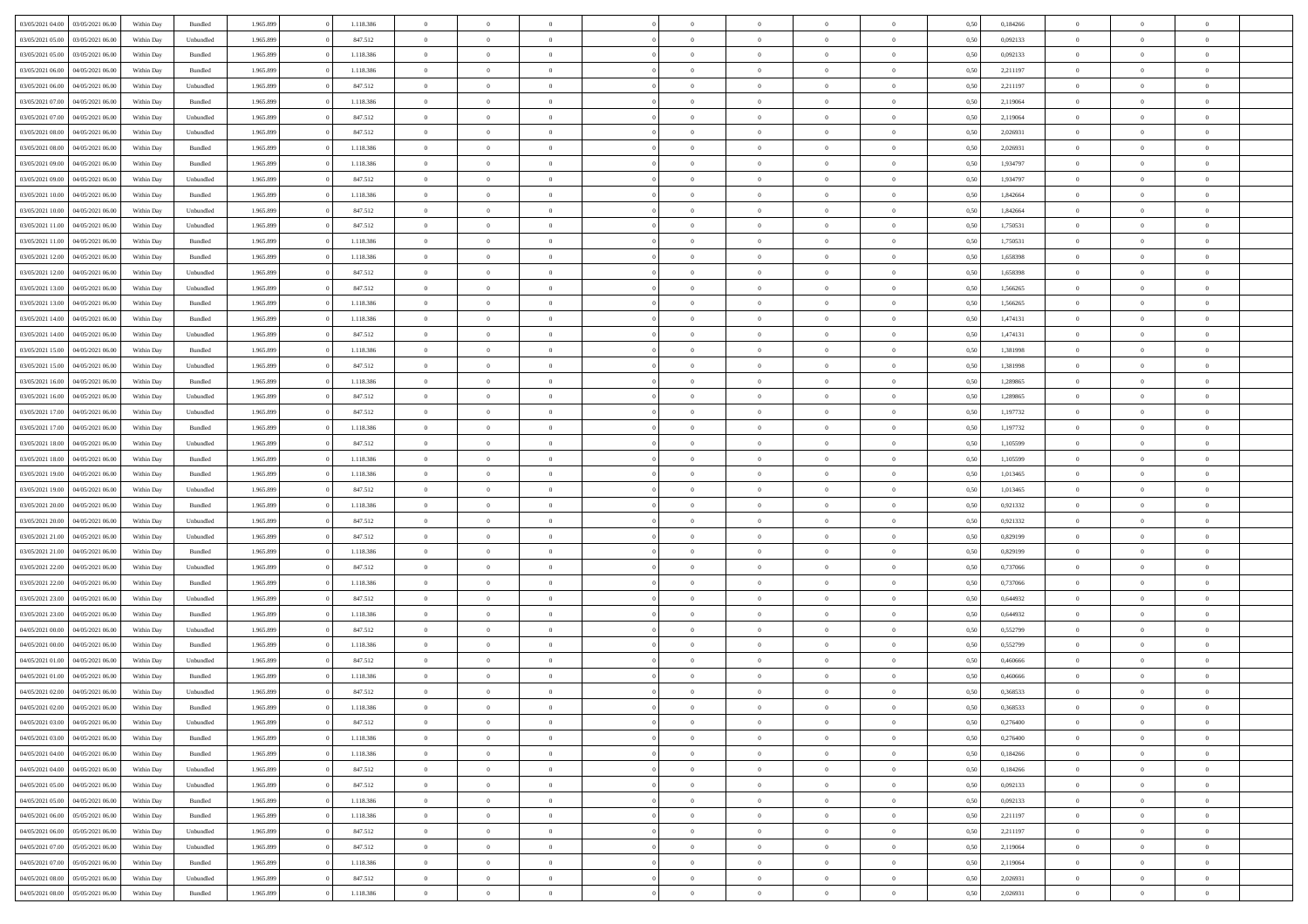| 03/05/2021 04:00                  | 03/05/2021 06:00 | Within Day | Bundled            | 1.965.899 | 1.118.386 | $\overline{0}$ | $\Omega$       |                | $\Omega$       | $\Omega$       | $\theta$       | $\theta$       | 0,50 | 0,184266 | $\theta$       | $\theta$       | $\theta$       |  |
|-----------------------------------|------------------|------------|--------------------|-----------|-----------|----------------|----------------|----------------|----------------|----------------|----------------|----------------|------|----------|----------------|----------------|----------------|--|
|                                   |                  |            |                    |           |           |                |                |                |                |                |                |                |      |          |                |                |                |  |
| 03/05/2021 05:00                  | 03/05/2021 06:00 | Within Day | Unbundled          | 1.965.899 | 847.512   | $\overline{0}$ | $\theta$       | $\overline{0}$ | $\overline{0}$ | $\bf{0}$       | $\overline{0}$ | $\bf{0}$       | 0,50 | 0,092133 | $\theta$       | $\overline{0}$ | $\overline{0}$ |  |
| 03/05/2021 05:00                  | 03/05/2021 06:00 | Within Day | Bundled            | 1.965.899 | 1.118.386 | $\overline{0}$ | $\bf{0}$       | $\overline{0}$ | $\bf{0}$       | $\bf{0}$       | $\bf{0}$       | $\mathbf{0}$   | 0,50 | 0,092133 | $\overline{0}$ | $\overline{0}$ | $\overline{0}$ |  |
| 03/05/2021 06:00                  | 04/05/2021 06:00 | Within Dav | Bundled            | 1.965.899 | 1.118.386 | $\overline{0}$ | $\overline{0}$ | $\overline{0}$ | $\overline{0}$ | $\bf{0}$       | $\overline{0}$ | $\overline{0}$ | 0.50 | 2.211197 | $\theta$       | $\theta$       | $\overline{0}$ |  |
|                                   |                  |            |                    |           |           | $\overline{0}$ | $\theta$       | $\overline{0}$ |                | $\bf{0}$       | $\overline{0}$ |                |      |          | $\,$ 0 $\,$    | $\overline{0}$ | $\overline{0}$ |  |
| 03/05/2021 06:00                  | 04/05/2021 06.00 | Within Day | Unbundled          | 1.965.899 | 847.512   |                |                |                | $\overline{0}$ |                |                | $\bf{0}$       | 0,50 | 2,211197 |                |                |                |  |
| 03/05/2021 07:00                  | 04/05/2021 06.00 | Within Day | Bundled            | 1.965.899 | 1.118.386 | $\overline{0}$ | $\overline{0}$ | $\overline{0}$ | $\bf{0}$       | $\overline{0}$ | $\overline{0}$ | $\mathbf{0}$   | 0,50 | 2,119064 | $\overline{0}$ | $\overline{0}$ | $\bf{0}$       |  |
| 03/05/2021 07:00                  | 04/05/2021 06:00 | Within Dav | Unbundled          | 1.965.899 | 847.512   | $\overline{0}$ | $\overline{0}$ | $\overline{0}$ | $\overline{0}$ | $\overline{0}$ | $\overline{0}$ | $\overline{0}$ | 0.50 | 2,119064 | $\theta$       | $\overline{0}$ | $\overline{0}$ |  |
| 03/05/2021 08:00                  | 04/05/2021 06.00 | Within Day | Unbundled          | 1.965.899 | 847.512   | $\overline{0}$ | $\theta$       | $\overline{0}$ | $\overline{0}$ | $\bf{0}$       | $\overline{0}$ | $\bf{0}$       | 0,50 | 2,026931 | $\theta$       | $\theta$       | $\overline{0}$ |  |
| 03/05/2021 08:00                  | 04/05/2021 06.00 | Within Day | Bundled            | 1.965.899 | 1.118.386 | $\overline{0}$ | $\overline{0}$ | $\overline{0}$ | $\bf{0}$       | $\bf{0}$       | $\bf{0}$       | $\mathbf{0}$   | 0,50 | 2,026931 | $\,0\,$        | $\overline{0}$ | $\overline{0}$ |  |
| 03/05/2021 09:00                  | 04/05/2021 06:00 | Within Dav | Bundled            | 1.965.899 | 1.118.386 | $\overline{0}$ | $\overline{0}$ | $\overline{0}$ | $\overline{0}$ | $\overline{0}$ | $\overline{0}$ | $\overline{0}$ | 0.50 | 1,934797 | $\theta$       | $\overline{0}$ | $\overline{0}$ |  |
|                                   |                  |            |                    |           |           |                |                |                |                |                |                |                |      |          |                |                |                |  |
| 03/05/2021 09:00                  | 04/05/2021 06.00 | Within Day | Unbundled          | 1.965.899 | 847.512   | $\overline{0}$ | $\theta$       | $\overline{0}$ | $\overline{0}$ | $\bf{0}$       | $\overline{0}$ | $\bf{0}$       | 0,50 | 1,934797 | $\,$ 0 $\,$    | $\overline{0}$ | $\overline{0}$ |  |
| 03/05/2021 10:00                  | 04/05/2021 06.00 | Within Day | Bundled            | 1.965.899 | 1.118.386 | $\overline{0}$ | $\overline{0}$ | $\overline{0}$ | $\bf{0}$       | $\bf{0}$       | $\bf{0}$       | $\mathbf{0}$   | 0,50 | 1,842664 | $\overline{0}$ | $\overline{0}$ | $\bf{0}$       |  |
| 03/05/2021 10:00                  | 04/05/2021 06:00 | Within Day | Unbundled          | 1.965.899 | 847.512   | $\overline{0}$ | $\overline{0}$ | $\overline{0}$ | $\overline{0}$ | $\bf{0}$       | $\overline{0}$ | $\overline{0}$ | 0.50 | 1.842664 | $\theta$       | $\theta$       | $\overline{0}$ |  |
| 03/05/2021 11:00                  | 04/05/2021 06.00 | Within Day | Unbundled          | 1.965.899 | 847.512   | $\overline{0}$ | $\theta$       | $\overline{0}$ | $\overline{0}$ | $\bf{0}$       | $\overline{0}$ | $\bf{0}$       | 0,50 | 1,750531 | $\theta$       | $\overline{0}$ | $\overline{0}$ |  |
| 03/05/2021 11:00                  | 04/05/2021 06.00 | Within Day | Bundled            | 1.965.899 | 1.118.386 | $\overline{0}$ | $\overline{0}$ | $\overline{0}$ | $\bf{0}$       | $\overline{0}$ | $\overline{0}$ | $\mathbf{0}$   | 0,50 | 1,750531 | $\overline{0}$ | $\overline{0}$ | $\bf{0}$       |  |
|                                   |                  |            |                    |           |           |                |                |                |                |                |                |                |      |          |                |                |                |  |
| 03/05/2021 12:00                  | 04/05/2021 06:00 | Within Dav | Bundled            | 1.965.899 | 1.118.386 | $\overline{0}$ | $\overline{0}$ | $\overline{0}$ | $\overline{0}$ | $\overline{0}$ | $\overline{0}$ | $\overline{0}$ | 0.50 | 1,658398 | $\theta$       | $\overline{0}$ | $\overline{0}$ |  |
| 03/05/2021 12:00                  | 04/05/2021 06.00 | Within Day | Unbundled          | 1.965.899 | 847.512   | $\overline{0}$ | $\theta$       | $\overline{0}$ | $\overline{0}$ | $\bf{0}$       | $\overline{0}$ | $\bf{0}$       | 0,50 | 1,658398 | $\,$ 0 $\,$    | $\theta$       | $\overline{0}$ |  |
| 03/05/2021 13:00                  | 04/05/2021 06.00 | Within Day | Unbundled          | 1.965.899 | 847.512   | $\overline{0}$ | $\overline{0}$ | $\overline{0}$ | $\bf{0}$       | $\bf{0}$       | $\bf{0}$       | $\mathbf{0}$   | 0,50 | 1,566265 | $\,0\,$        | $\overline{0}$ | $\overline{0}$ |  |
| 03/05/2021 13:00                  | 04/05/2021 06:00 | Within Day | Bundled            | 1.965.899 | 1.118.386 | $\overline{0}$ | $\overline{0}$ | $\overline{0}$ | $\overline{0}$ | $\overline{0}$ | $\overline{0}$ | $\overline{0}$ | 0.50 | 1,566265 | $\theta$       | $\overline{0}$ | $\overline{0}$ |  |
| 03/05/2021 14:00                  | 04/05/2021 06.00 | Within Day | Bundled            | 1.965.899 | 1.118.386 | $\overline{0}$ | $\theta$       | $\overline{0}$ | $\overline{0}$ | $\bf{0}$       | $\overline{0}$ | $\bf{0}$       | 0,50 | 1,474131 | $\,$ 0 $\,$    | $\theta$       | $\overline{0}$ |  |
| 03/05/2021 14:00                  | 04/05/2021 06:00 | Within Day | Unbundled          | 1.965.899 | 847.512   | $\overline{0}$ | $\overline{0}$ | $\overline{0}$ | $\bf{0}$       | $\bf{0}$       | $\bf{0}$       | $\mathbf{0}$   | 0,50 | 1,474131 | $\bf{0}$       | $\overline{0}$ | $\overline{0}$ |  |
|                                   |                  |            |                    |           |           |                |                |                |                |                |                |                |      |          | $\theta$       |                |                |  |
| 03/05/2021 15:00                  | 04/05/2021 06:00 | Within Day | Bundled            | 1.965.899 | 1.118.386 | $\overline{0}$ | $\overline{0}$ | $\overline{0}$ | $\overline{0}$ | $\overline{0}$ | $\overline{0}$ | $\overline{0}$ | 0.50 | 1,381998 |                | $\overline{0}$ | $\overline{0}$ |  |
| 03/05/2021 15:00                  | 04/05/2021 06.00 | Within Day | Unbundled          | 1.965.899 | 847.512   | $\overline{0}$ | $\theta$       | $\overline{0}$ | $\overline{0}$ | $\bf{0}$       | $\overline{0}$ | $\bf{0}$       | 0,50 | 1,381998 | $\,$ 0 $\,$    | $\overline{0}$ | $\overline{0}$ |  |
| 03/05/2021 16:00                  | 04/05/2021 06.00 | Within Day | Bundled            | 1.965.899 | 1.118.386 | $\overline{0}$ | $\overline{0}$ | $\overline{0}$ | $\bf{0}$       | $\overline{0}$ | $\overline{0}$ | $\mathbf{0}$   | 0,50 | 1,289865 | $\overline{0}$ | $\overline{0}$ | $\bf{0}$       |  |
| 03/05/2021 16:00                  | 04/05/2021 06:00 | Within Dav | Unbundled          | 1.965.899 | 847.512   | $\overline{0}$ | $\overline{0}$ | $\overline{0}$ | $\overline{0}$ | $\overline{0}$ | $\overline{0}$ | $\overline{0}$ | 0.50 | 1,289865 | $\theta$       | $\overline{0}$ | $\overline{0}$ |  |
| 03/05/2021 17:00                  | 04/05/2021 06.00 | Within Day | Unbundled          | 1.965.899 | 847.512   | $\overline{0}$ | $\theta$       | $\overline{0}$ | $\overline{0}$ | $\bf{0}$       | $\overline{0}$ | $\bf{0}$       | 0,50 | 1,197732 | $\theta$       | $\theta$       | $\overline{0}$ |  |
| 03/05/2021 17:00                  | 04/05/2021 06.00 | Within Day | Bundled            | 1.965.899 | 1.118.386 | $\overline{0}$ | $\overline{0}$ | $\overline{0}$ | $\bf{0}$       | $\bf{0}$       | $\bf{0}$       | $\bf{0}$       | 0,50 | 1,197732 | $\,0\,$        | $\overline{0}$ | $\overline{0}$ |  |
| 03/05/2021 18:00                  | 04/05/2021 06:00 |            | Unbundled          | 1.965.899 | 847.512   | $\overline{0}$ | $\overline{0}$ | $\overline{0}$ | $\overline{0}$ | $\overline{0}$ | $\overline{0}$ | $\overline{0}$ | 0.50 | 1,105599 | $\theta$       | $\overline{0}$ | $\overline{0}$ |  |
|                                   |                  | Within Day |                    |           |           |                |                |                |                |                |                |                |      |          |                |                |                |  |
| 03/05/2021 18:00                  | 04/05/2021 06.00 | Within Day | Bundled            | 1.965.899 | 1.118.386 | $\overline{0}$ | $\theta$       | $\overline{0}$ | $\overline{0}$ | $\bf{0}$       | $\overline{0}$ | $\bf{0}$       | 0,50 | 1,105599 | $\,$ 0 $\,$    | $\overline{0}$ | $\overline{0}$ |  |
| 03/05/2021 19:00                  | 04/05/2021 06:00 | Within Day | Bundled            | 1.965.899 | 1.118.386 | $\overline{0}$ | $\overline{0}$ | $\overline{0}$ | $\overline{0}$ | $\bf{0}$       | $\overline{0}$ | $\bf{0}$       | 0,50 | 1,013465 | $\bf{0}$       | $\overline{0}$ | $\overline{0}$ |  |
| 03/05/2021 19:00                  | 04/05/2021 06.00 | Within Day | Unbundled          | 1.965.899 | 847.512   | $\bf{0}$       | $\Omega$       | $\overline{0}$ | $\Omega$       | $\Omega$       | $\overline{0}$ | $\overline{0}$ | 0,50 | 1,013465 | $\,0\,$        | $\theta$       | $\theta$       |  |
| 03/05/2021 20:00                  | 04/05/2021 06.00 | Within Day | Bundled            | 1.965.899 | 1.118.386 | $\overline{0}$ | $\theta$       | $\overline{0}$ | $\overline{0}$ | $\bf{0}$       | $\overline{0}$ | $\bf{0}$       | 0,50 | 0,921332 | $\,$ 0 $\,$    | $\theta$       | $\overline{0}$ |  |
| 03/05/2021 20:00                  | 04/05/2021 06:00 | Within Day | Unbundled          | 1.965.899 | 847.512   | $\overline{0}$ | $\overline{0}$ | $\overline{0}$ | $\overline{0}$ | $\bf{0}$       | $\overline{0}$ | $\mathbf{0}$   | 0,50 | 0,921332 | $\bf{0}$       | $\overline{0}$ | $\bf{0}$       |  |
| 03/05/2021 21:00                  | 04/05/2021 06:00 | Within Day | Unbundled          | 1.965.899 | 847.512   | $\overline{0}$ | $\Omega$       | $\Omega$       | $\Omega$       | $\overline{0}$ | $\overline{0}$ | $\overline{0}$ | 0.50 | 0,829199 | $\,0\,$        | $\theta$       | $\theta$       |  |
|                                   |                  |            |                    |           |           | $\overline{0}$ | $\theta$       | $\overline{0}$ |                | $\bf{0}$       | $\overline{0}$ |                |      |          |                |                | $\overline{0}$ |  |
| 03/05/2021 21:00                  | 04/05/2021 06.00 | Within Day | Bundled            | 1.965.899 | 1.118.386 |                |                |                | $\overline{0}$ |                |                | $\bf{0}$       | 0,50 | 0,829199 | $\,$ 0 $\,$    | $\overline{0}$ |                |  |
| 03/05/2021 22.00                  | 04/05/2021 06.00 | Within Day | Unbundled          | 1.965.899 | 847.512   | $\overline{0}$ | $\overline{0}$ | $\overline{0}$ | $\overline{0}$ | $\bf{0}$       | $\bf{0}$       | $\bf{0}$       | 0,50 | 0,737066 | $\bf{0}$       | $\overline{0}$ | $\overline{0}$ |  |
| 03/05/2021 22.00                  | 04/05/2021 06:00 | Within Day | Bundled            | 1.965.899 | 1.118.386 | $\overline{0}$ | $\Omega$       | $\overline{0}$ | $\Omega$       | $\overline{0}$ | $\overline{0}$ | $\overline{0}$ | 0.50 | 0,737066 | $\,$ 0 $\,$    | $\theta$       | $\theta$       |  |
| 03/05/2021 23:00                  | 04/05/2021 06.00 | Within Day | Unbundled          | 1.965.899 | 847.512   | $\overline{0}$ | $\theta$       | $\overline{0}$ | $\overline{0}$ | $\bf{0}$       | $\overline{0}$ | $\bf{0}$       | 0,50 | 0,644932 | $\,$ 0 $\,$    | $\overline{0}$ | $\overline{0}$ |  |
| 03/05/2021 23.00                  | 04/05/2021 06.00 | Within Day | Bundled            | 1.965.899 | 1.118.386 | $\overline{0}$ | $\overline{0}$ | $\overline{0}$ | $\bf{0}$       | $\bf{0}$       | $\bf{0}$       | $\mathbf{0}$   | 0,50 | 0,644932 | $\overline{0}$ | $\overline{0}$ | $\overline{0}$ |  |
| 04/05/2021 00:00                  | 04/05/2021 06.00 | Within Day | Unbundled          | 1.965.899 | 847.512   | $\overline{0}$ | $\Omega$       | $\overline{0}$ | $\Omega$       | $\overline{0}$ | $\overline{0}$ | $\overline{0}$ | 0,50 | 0,552799 | $\,0\,$        | $\theta$       | $\theta$       |  |
| 04/05/2021 00:00                  | 04/05/2021 06.00 | Within Day | Bundled            | 1.965.899 | 1.118.386 | $\overline{0}$ | $\overline{0}$ | $\overline{0}$ | $\overline{0}$ | $\,$ 0         | $\overline{0}$ | $\bf{0}$       | 0,50 | 0,552799 | $\,$ 0 $\,$    | $\overline{0}$ | $\overline{0}$ |  |
|                                   |                  |            |                    |           |           |                |                |                |                |                |                |                |      |          |                |                |                |  |
| 04/05/2021 01.00                  | 04/05/2021 06.00 | Within Day | Unbundled          | 1.965.899 | 847.512   | $\overline{0}$ | $\bf{0}$       | $\overline{0}$ | $\bf{0}$       | $\bf{0}$       | $\overline{0}$ | $\mathbf{0}$   | 0,50 | 0,460666 | $\overline{0}$ | $\overline{0}$ | $\bf{0}$       |  |
| 04/05/2021 01:00                  | 04/05/2021 06:00 | Within Day | Bundled            | 1.965.899 | 1.118.386 | $\overline{0}$ | $\Omega$       | $\Omega$       | $\Omega$       | $\Omega$       | $\Omega$       | $\overline{0}$ | 0.50 | 0.460666 | $\theta$       | $\theta$       | $\theta$       |  |
| 04/05/2021 02.00                  | 04/05/2021 06:00 | Within Day | Unbundled          | 1.965.899 | 847.512   | $\overline{0}$ | $\overline{0}$ | $\overline{0}$ | $\bf{0}$       | $\,$ 0         | $\bf{0}$       | $\bf{0}$       | 0,50 | 0,368533 | $\,0\,$        | $\overline{0}$ | $\overline{0}$ |  |
| 04/05/2021 02:00 04/05/2021 06:00 |                  | Within Day | $\mathbf B$ undled | 1.965.899 | 1.118.386 | $\bf{0}$       | $\bf{0}$       |                |                | $\bf{0}$       |                |                | 0,50 | 0,368533 | $\bf{0}$       | $\overline{0}$ |                |  |
| 04/05/2021 03:00                  | 04/05/2021 06:00 | Within Day | Unbundled          | 1.965.899 | 847.512   | $\overline{0}$ | $\overline{0}$ | $\overline{0}$ | $\Omega$       | $\overline{0}$ | $\overline{0}$ | $\overline{0}$ | 0.50 | 0,276400 | $\theta$       | $\theta$       | $\Omega$       |  |
| 04/05/2021 03:00                  | 04/05/2021 06:00 | Within Day | Bundled            | 1.965.899 | 1.118.386 | $\overline{0}$ | $\bf{0}$       | $\overline{0}$ | $\bf{0}$       | $\,$ 0 $\,$    | $\overline{0}$ | $\,$ 0 $\,$    | 0,50 | 0,276400 | $\,$ 0 $\,$    | $\,$ 0 $\,$    | $\,$ 0         |  |
|                                   |                  |            |                    |           |           |                |                |                |                |                |                |                |      |          |                |                |                |  |
| 04/05/2021 04:00                  | 04/05/2021 06:00 | Within Day | Bundled            | 1.965.899 | 1.118.386 | $\overline{0}$ | $\overline{0}$ | $\overline{0}$ | $\overline{0}$ | $\overline{0}$ | $\overline{0}$ | $\mathbf{0}$   | 0,50 | 0,184266 | $\overline{0}$ | $\bf{0}$       | $\overline{0}$ |  |
| 04/05/2021 04:00                  | 04/05/2021 06:00 | Within Day | Unbundled          | 1.965.899 | 847.512   | $\overline{0}$ | $\overline{0}$ | $\overline{0}$ | $\Omega$       | $\overline{0}$ | $\overline{0}$ | $\overline{0}$ | 0,50 | 0,184266 | $\overline{0}$ | $\,$ 0 $\,$    | $\overline{0}$ |  |
| 04/05/2021 05:00                  | 04/05/2021 06:00 | Within Day | Unbundled          | 1.965.899 | 847.512   | $\overline{0}$ | $\,$ 0         | $\overline{0}$ | $\overline{0}$ | $\,$ 0 $\,$    | $\overline{0}$ | $\mathbf{0}$   | 0,50 | 0,092133 | $\,$ 0 $\,$    | $\overline{0}$ | $\,$ 0         |  |
| 04/05/2021 05:00                  | 04/05/2021 06:00 | Within Day | Bundled            | 1.965.899 | 1.118.386 | $\overline{0}$ | $\overline{0}$ | $\overline{0}$ | $\overline{0}$ | $\overline{0}$ | $\overline{0}$ | $\mathbf{0}$   | 0,50 | 0,092133 | $\overline{0}$ | $\overline{0}$ | $\overline{0}$ |  |
| 04/05/2021 06:00                  | 05/05/2021 06:00 | Within Day | Bundled            | 1.965.899 | 1.118.386 | $\overline{0}$ | $\overline{0}$ | $\overline{0}$ | $\overline{0}$ | $\overline{0}$ | $\overline{0}$ | $\overline{0}$ | 0.50 | 2,211197 | $\overline{0}$ | $\theta$       | $\overline{0}$ |  |
| 04/05/2021 06:00                  | 05/05/2021 06:00 | Within Day | Unbundled          | 1.965.899 | 847.512   | $\overline{0}$ | $\,$ 0         | $\overline{0}$ | $\overline{0}$ | $\bf{0}$       | $\overline{0}$ | $\bf{0}$       | 0,50 | 2,211197 | $\,$ 0 $\,$    | $\overline{0}$ | $\overline{0}$ |  |
| 04/05/2021 07:00                  | 05/05/2021 06:00 | Within Day | Unbundled          | 1.965.899 | 847.512   | $\overline{0}$ | $\bf{0}$       | $\overline{0}$ | $\overline{0}$ | $\overline{0}$ | $\overline{0}$ | $\mathbf{0}$   | 0,50 | 2,119064 | $\overline{0}$ | $\overline{0}$ | $\bf{0}$       |  |
|                                   |                  |            |                    |           |           |                |                |                |                |                |                |                |      |          |                |                |                |  |
| 04/05/2021 07:00                  | 05/05/2021 06:00 | Within Day | Bundled            | 1.965.899 | 1.118.386 | $\overline{0}$ | $\overline{0}$ | $\overline{0}$ | $\Omega$       | $\overline{0}$ | $\overline{0}$ | $\overline{0}$ | 0.50 | 2,119064 | $\overline{0}$ | $\overline{0}$ | $\overline{0}$ |  |
| 04/05/2021 08:00                  | 05/05/2021 06:00 | Within Day | Unbundled          | 1.965.899 | 847.512   | $\overline{0}$ | $\bf{0}$       | $\overline{0}$ | $\bf{0}$       | $\bf{0}$       | $\overline{0}$ | $\mathbf{0}$   | 0,50 | 2,026931 | $\,$ 0 $\,$    | $\,$ 0 $\,$    | $\bf{0}$       |  |
| 04/05/2021 08:00                  | 05/05/2021 06:00 | Within Day | Bundled            | 1.965.899 | 1.118.386 | $\overline{0}$ | $\overline{0}$ | $\overline{0}$ | $\overline{0}$ | $\overline{0}$ | $\overline{0}$ | $\mathbf{0}$   | 0,50 | 2,026931 | $\overline{0}$ | $\bf{0}$       | $\overline{0}$ |  |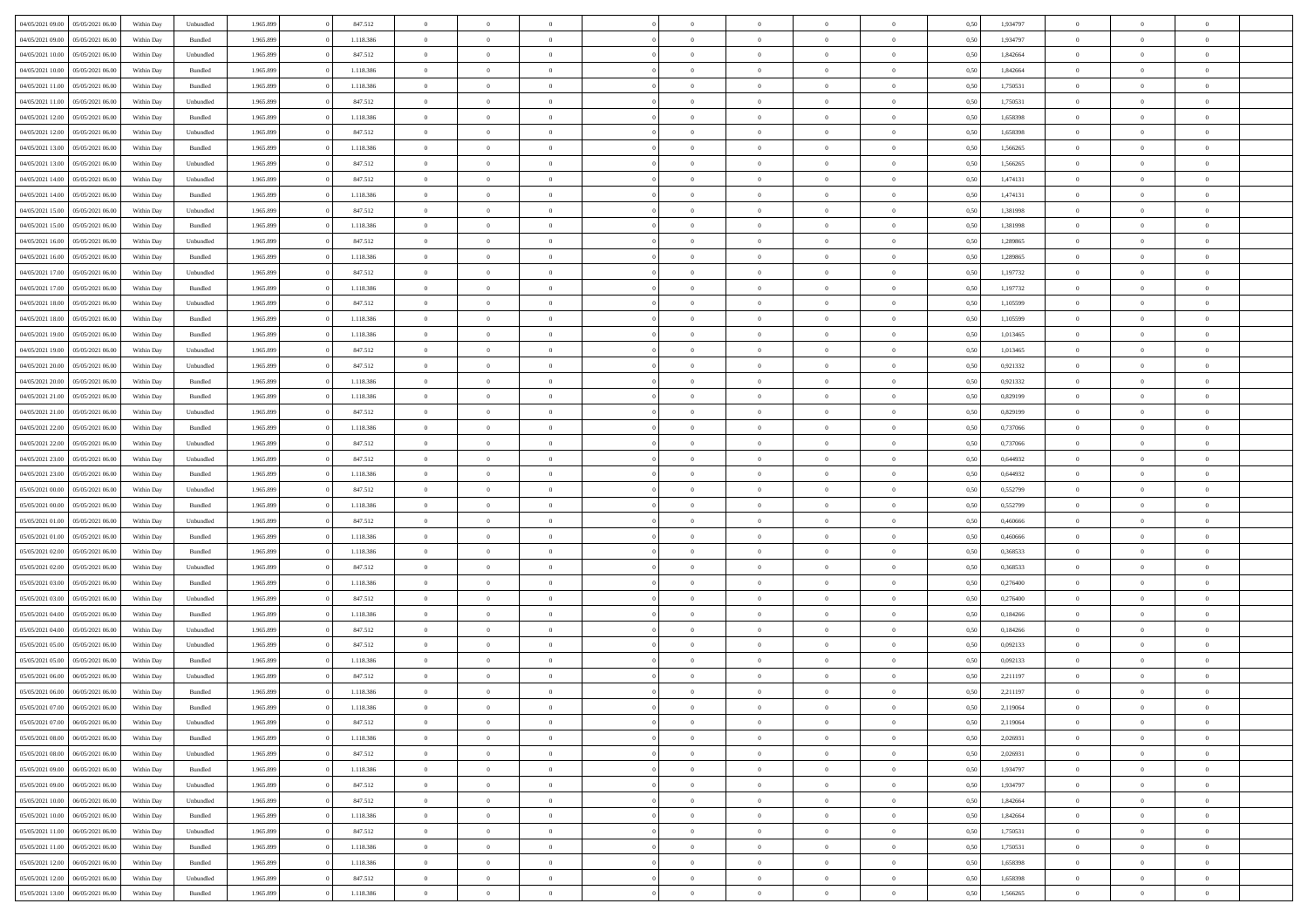| 04/05/2021 09:00                  | 05/05/2021 06:00 | Within Day | Unbundled          | 1.965.899 | 847.512   | $\overline{0}$ | $\theta$       |                | $\Omega$       | $\Omega$       | $\theta$       | $\theta$       | 0,50 | 1,934797 | $\theta$       | $\theta$       | $\theta$       |  |
|-----------------------------------|------------------|------------|--------------------|-----------|-----------|----------------|----------------|----------------|----------------|----------------|----------------|----------------|------|----------|----------------|----------------|----------------|--|
| 04/05/2021 09:00                  | 05/05/2021 06:00 | Within Day | Bundled            | 1.965.899 | 1.118.386 | $\overline{0}$ | $\theta$       | $\overline{0}$ | $\overline{0}$ | $\bf{0}$       | $\overline{0}$ | $\bf{0}$       | 0,50 | 1,934797 | $\theta$       | $\overline{0}$ | $\overline{0}$ |  |
| 04/05/2021 10:00                  | 05/05/2021 06:00 | Within Day | Unbundled          | 1.965.899 | 847.512   | $\overline{0}$ | $\overline{0}$ | $\overline{0}$ | $\overline{0}$ | $\bf{0}$       | $\overline{0}$ | $\mathbf{0}$   | 0,50 | 1,842664 | $\overline{0}$ | $\overline{0}$ | $\bf{0}$       |  |
|                                   |                  |            |                    |           |           |                |                |                |                |                |                |                |      |          | $\theta$       |                |                |  |
| 04/05/2021 10:00                  | 05/05/2021 06:00 | Within Dav | Bundled            | 1.965.899 | 1.118.386 | $\overline{0}$ | $\overline{0}$ | $\overline{0}$ | $\overline{0}$ | $\bf{0}$       | $\overline{0}$ | $\overline{0}$ | 0.50 | 1.842664 |                | $\overline{0}$ | $\overline{0}$ |  |
| 04/05/2021 11:00                  | 05/05/2021 06:00 | Within Day | Bundled            | 1.965.899 | 1.118.386 | $\overline{0}$ | $\theta$       | $\overline{0}$ | $\overline{0}$ | $\bf{0}$       | $\overline{0}$ | $\bf{0}$       | 0,50 | 1,750531 | $\,$ 0 $\,$    | $\overline{0}$ | $\overline{0}$ |  |
| 04/05/2021 11:00                  | 05/05/2021 06:00 | Within Day | Unbundled          | 1.965.899 | 847.512   | $\overline{0}$ | $\overline{0}$ | $\overline{0}$ | $\overline{0}$ | $\overline{0}$ | $\overline{0}$ | $\mathbf{0}$   | 0,50 | 1,750531 | $\overline{0}$ | $\overline{0}$ | $\bf{0}$       |  |
| 04/05/2021 12:00                  | 05/05/2021 06:00 | Within Dav | Bundled            | 1.965.899 | 1.118.386 | $\overline{0}$ | $\overline{0}$ | $\overline{0}$ | $\overline{0}$ | $\overline{0}$ | $\overline{0}$ | $\overline{0}$ | 0.50 | 1,658398 | $\theta$       | $\overline{0}$ | $\overline{0}$ |  |
|                                   |                  |            |                    |           |           |                |                |                |                |                |                |                |      |          |                |                |                |  |
| 04/05/2021 12:00                  | 05/05/2021 06:00 | Within Day | Unbundled          | 1.965.899 | 847.512   | $\overline{0}$ | $\theta$       | $\overline{0}$ | $\overline{0}$ | $\bf{0}$       | $\overline{0}$ | $\bf{0}$       | 0,50 | 1,658398 | $\theta$       | $\theta$       | $\overline{0}$ |  |
| 04/05/2021 13:00                  | 05/05/2021 06:00 | Within Day | Bundled            | 1.965.899 | 1.118.386 | $\overline{0}$ | $\overline{0}$ | $\overline{0}$ | $\bf{0}$       | $\bf{0}$       | $\bf{0}$       | $\mathbf{0}$   | 0,50 | 1,566265 | $\,0\,$        | $\overline{0}$ | $\overline{0}$ |  |
| 04/05/2021 13:00                  | 05/05/2021 06:00 | Within Dav | Unbundled          | 1.965.899 | 847.512   | $\overline{0}$ | $\overline{0}$ | $\overline{0}$ | $\overline{0}$ | $\overline{0}$ | $\overline{0}$ | $\overline{0}$ | 0.50 | 1,566265 | $\theta$       | $\overline{0}$ | $\overline{0}$ |  |
| 04/05/2021 14:00                  | 05/05/2021 06:00 |            |                    | 1.965.899 | 847.512   | $\overline{0}$ | $\theta$       | $\overline{0}$ | $\overline{0}$ | $\bf{0}$       | $\overline{0}$ |                |      | 1,474131 | $\,$ 0 $\,$    | $\overline{0}$ | $\overline{0}$ |  |
|                                   |                  | Within Day | Unbundled          |           |           |                |                |                |                |                |                | $\bf{0}$       | 0,50 |          |                |                |                |  |
| 04/05/2021 14:00                  | 05/05/2021 06:00 | Within Day | Bundled            | 1.965.899 | 1.118.386 | $\overline{0}$ | $\overline{0}$ | $\overline{0}$ | $\bf{0}$       | $\overline{0}$ | $\bf{0}$       | $\mathbf{0}$   | 0,50 | 1,474131 | $\overline{0}$ | $\overline{0}$ | $\bf{0}$       |  |
| 04/05/2021 15:00                  | 05/05/2021 06:00 | Within Day | Unbundled          | 1.965.899 | 847.512   | $\overline{0}$ | $\overline{0}$ | $\overline{0}$ | $\overline{0}$ | $\overline{0}$ | $\overline{0}$ | $\overline{0}$ | 0.50 | 1,381998 | $\theta$       | $\theta$       | $\overline{0}$ |  |
| 04/05/2021 15:00                  | 05/05/2021 06:00 | Within Day | Bundled            | 1.965.899 | 1.118.386 | $\overline{0}$ | $\theta$       | $\overline{0}$ | $\overline{0}$ | $\bf{0}$       | $\overline{0}$ | $\bf{0}$       | 0,50 | 1,381998 | $\theta$       | $\overline{0}$ | $\overline{0}$ |  |
|                                   |                  |            |                    |           |           |                |                |                |                |                |                |                |      |          |                |                |                |  |
| 04/05/2021 16:00                  | 05/05/2021 06:00 | Within Day | Unbundled          | 1.965.899 | 847.512   | $\overline{0}$ | $\overline{0}$ | $\overline{0}$ | $\bf{0}$       | $\overline{0}$ | $\overline{0}$ | $\mathbf{0}$   | 0,50 | 1,289865 | $\overline{0}$ | $\overline{0}$ | $\bf{0}$       |  |
| 04/05/2021 16:00                  | 05/05/2021 06:00 | Within Dav | Bundled            | 1.965.899 | 1.118.386 | $\overline{0}$ | $\overline{0}$ | $\overline{0}$ | $\overline{0}$ | $\overline{0}$ | $\overline{0}$ | $\overline{0}$ | 0.50 | 1,289865 | $\theta$       | $\overline{0}$ | $\overline{0}$ |  |
| 04/05/2021 17:00                  | 05/05/2021 06:00 | Within Day | Unbundled          | 1.965.899 | 847.512   | $\overline{0}$ | $\theta$       | $\overline{0}$ | $\overline{0}$ | $\bf{0}$       | $\overline{0}$ | $\bf{0}$       | 0,50 | 1,197732 | $\,$ 0 $\,$    | $\overline{0}$ | $\overline{0}$ |  |
| 04/05/2021 17.00                  | 05/05/2021 06:00 | Within Day | Bundled            | 1.965.899 | 1.118.386 | $\overline{0}$ | $\overline{0}$ | $\overline{0}$ | $\bf{0}$       | $\bf{0}$       | $\bf{0}$       | $\mathbf{0}$   | 0,50 | 1,197732 | $\bf{0}$       | $\overline{0}$ | $\bf{0}$       |  |
| 04/05/2021 18:00                  | 05/05/2021 06:00 | Within Day | Unbundled          | 1.965.899 | 847.512   | $\overline{0}$ | $\overline{0}$ | $\overline{0}$ | $\overline{0}$ | $\overline{0}$ | $\overline{0}$ | $\overline{0}$ | 0.50 | 1,105599 | $\theta$       | $\overline{0}$ | $\overline{0}$ |  |
|                                   |                  |            |                    |           |           |                |                |                |                |                |                |                |      |          |                |                |                |  |
| 04/05/2021 18:00                  | 05/05/2021 06:00 | Within Day | Bundled            | 1.965.899 | 1.118.386 | $\overline{0}$ | $\theta$       | $\overline{0}$ | $\overline{0}$ | $\bf{0}$       | $\overline{0}$ | $\bf{0}$       | 0,50 | 1,105599 | $\,$ 0 $\,$    | $\overline{0}$ | $\overline{0}$ |  |
| 04/05/2021 19:00                  | 05/05/2021 06:00 | Within Day | Bundled            | 1.965.899 | 1.118.386 | $\overline{0}$ | $\overline{0}$ | $\overline{0}$ | $\bf{0}$       | $\bf{0}$       | $\bf{0}$       | $\mathbf{0}$   | 0,50 | 1,013465 | $\overline{0}$ | $\overline{0}$ | $\bf{0}$       |  |
| 04/05/2021 19:00                  | 05/05/2021 06:00 | Within Day | Unbundled          | 1.965.899 | 847.512   | $\overline{0}$ | $\overline{0}$ | $\overline{0}$ | $\overline{0}$ | $\overline{0}$ | $\overline{0}$ | $\overline{0}$ | 0.50 | 1,013465 | $\theta$       | $\overline{0}$ | $\overline{0}$ |  |
| 04/05/2021 20:00                  | 05/05/2021 06:00 |            |                    | 1.965.899 | 847.512   | $\overline{0}$ | $\theta$       | $\overline{0}$ | $\overline{0}$ | $\bf{0}$       | $\overline{0}$ |                |      | 0,921332 | $\,$ 0 $\,$    | $\overline{0}$ | $\overline{0}$ |  |
|                                   |                  | Within Day | Unbundled          |           |           |                |                |                |                |                |                | $\bf{0}$       | 0,50 |          |                |                |                |  |
| 04/05/2021 20.00                  | 05/05/2021 06:00 | Within Day | Bundled            | 1.965.899 | 1.118.386 | $\overline{0}$ | $\overline{0}$ | $\overline{0}$ | $\bf{0}$       | $\overline{0}$ | $\overline{0}$ | $\mathbf{0}$   | 0,50 | 0,921332 | $\overline{0}$ | $\overline{0}$ | $\bf{0}$       |  |
| 04/05/2021 21:00                  | 05/05/2021 06:00 | Within Dav | Bundled            | 1.965.899 | 1.118.386 | $\overline{0}$ | $\overline{0}$ | $\overline{0}$ | $\overline{0}$ | $\overline{0}$ | $\overline{0}$ | $\overline{0}$ | 0.50 | 0.829199 | $\overline{0}$ | $\overline{0}$ | $\overline{0}$ |  |
| 04/05/2021 21:00                  | 05/05/2021 06:00 | Within Day | Unbundled          | 1.965.899 | 847.512   | $\overline{0}$ | $\theta$       | $\overline{0}$ | $\overline{0}$ | $\bf{0}$       | $\overline{0}$ | $\bf{0}$       | 0,50 | 0,829199 | $\,$ 0 $\,$    | $\overline{0}$ | $\overline{0}$ |  |
| 04/05/2021 22.00                  | 05/05/2021 06:00 | Within Day | Bundled            | 1.965.899 | 1.118.386 | $\overline{0}$ | $\overline{0}$ | $\overline{0}$ | $\bf{0}$       | $\bf{0}$       | $\bf{0}$       | $\mathbf{0}$   | 0,50 | 0,737066 | $\,0\,$        | $\overline{0}$ | $\overline{0}$ |  |
|                                   |                  |            |                    |           |           |                |                |                |                |                |                |                |      |          |                |                |                |  |
| 04/05/2021 22.00                  | 05/05/2021 06:00 | Within Day | Unbundled          | 1.965.899 | 847.512   | $\overline{0}$ | $\overline{0}$ | $\overline{0}$ | $\overline{0}$ | $\overline{0}$ | $\overline{0}$ | $\overline{0}$ | 0.50 | 0,737066 | $\theta$       | $\overline{0}$ | $\overline{0}$ |  |
| 04/05/2021 23:00                  | 05/05/2021 06:00 | Within Day | Unbundled          | 1.965.899 | 847.512   | $\overline{0}$ | $\overline{0}$ | $\overline{0}$ | $\overline{0}$ | $\bf{0}$       | $\overline{0}$ | $\bf{0}$       | 0,50 | 0,644932 | $\,$ 0 $\,$    | $\overline{0}$ | $\overline{0}$ |  |
| 04/05/2021 23.00                  | 05/05/2021 06:00 | Within Day | Bundled            | 1.965.899 | 1.118.386 | $\overline{0}$ | $\overline{0}$ | $\overline{0}$ | $\bf{0}$       | $\overline{0}$ | $\bf{0}$       | $\mathbf{0}$   | 0,50 | 0,644932 | $\bf{0}$       | $\overline{0}$ | $\bf{0}$       |  |
| 05/05/2021 00:00                  | 05/05/2021 06:00 |            |                    | 1.965.899 | 847.512   | $\bf{0}$       | $\Omega$       | $\overline{0}$ | $\Omega$       | $\Omega$       | $\overline{0}$ | $\overline{0}$ | 0,50 | 0,552799 | $\,0\,$        | $\theta$       | $\theta$       |  |
|                                   |                  | Within Day | Unbundled          |           |           |                |                |                |                |                |                |                |      |          |                |                |                |  |
| 05/05/2021 00:00                  | 05/05/2021 06:00 | Within Day | Bundled            | 1.965.899 | 1.118.386 | $\overline{0}$ | $\overline{0}$ | $\overline{0}$ | $\overline{0}$ | $\bf{0}$       | $\overline{0}$ | $\bf{0}$       | 0,50 | 0,552799 | $\,$ 0 $\,$    | $\overline{0}$ | $\overline{0}$ |  |
| 05/05/2021 01:00                  | 05/05/2021 06:00 | Within Day | Unbundled          | 1.965.899 | 847.512   | $\overline{0}$ | $\overline{0}$ | $\overline{0}$ | $\bf{0}$       | $\overline{0}$ | $\overline{0}$ | $\mathbf{0}$   | 0,50 | 0,460666 | $\bf{0}$       | $\overline{0}$ | $\bf{0}$       |  |
| 05/05/2021 01:00                  | 05/05/2021 06:00 | Within Day | Bundled            | 1.965.899 | 1.118.386 | $\overline{0}$ | $\Omega$       | $\overline{0}$ | $\Omega$       | $\overline{0}$ | $\overline{0}$ | $\overline{0}$ | 0.50 | 0.460666 | $\,0\,$        | $\theta$       | $\theta$       |  |
| 05/05/2021 02:00                  | 05/05/2021 06:00 | Within Day | Bundled            | 1.965.899 | 1.118.386 | $\overline{0}$ | $\theta$       | $\overline{0}$ | $\overline{0}$ | $\bf{0}$       | $\overline{0}$ | $\bf{0}$       | 0,50 | 0,368533 | $\,$ 0 $\,$    | $\overline{0}$ | $\overline{0}$ |  |
|                                   |                  |            |                    |           |           |                |                |                |                |                |                |                |      |          |                |                |                |  |
| 05/05/2021 02.00                  | 05/05/2021 06:00 | Within Day | Unbundled          | 1.965.899 | 847.512   | $\overline{0}$ | $\bf{0}$       | $\overline{0}$ | $\bf{0}$       | $\bf{0}$       | $\bf{0}$       | $\mathbf{0}$   | 0,50 | 0,368533 | $\bf{0}$       | $\overline{0}$ | $\bf{0}$       |  |
| 05/05/2021 03:00                  | 05/05/2021 06:00 | Within Day | Bundled            | 1.965.899 | 1.118.386 | $\overline{0}$ | $\Omega$       | $\overline{0}$ | $\Omega$       | $\overline{0}$ | $\overline{0}$ | $\overline{0}$ | 0.50 | 0,276400 | $\,$ 0 $\,$    | $\theta$       | $\theta$       |  |
| 05/05/2021 03:00                  | 05/05/2021 06:00 | Within Day | Unbundled          | 1.965.899 | 847.512   | $\overline{0}$ | $\,$ 0         | $\overline{0}$ | $\overline{0}$ | $\,$ 0         | $\overline{0}$ | $\bf{0}$       | 0,50 | 0,276400 | $\,$ 0 $\,$    | $\overline{0}$ | $\overline{0}$ |  |
| 05/05/2021 04:00                  | 05/05/2021 06:00 | Within Day | Bundled            | 1.965.899 | 1.118.386 | $\overline{0}$ | $\overline{0}$ | $\overline{0}$ | $\bf{0}$       | $\bf{0}$       | $\overline{0}$ | $\mathbf{0}$   | 0,50 | 0,184266 | $\overline{0}$ | $\overline{0}$ | $\bf{0}$       |  |
|                                   |                  |            |                    |           |           |                |                |                |                |                |                |                |      |          |                |                |                |  |
| 05/05/2021 04:00                  | 05/05/2021 06:00 | Within Day | Unbundled          | 1.965.899 | 847.512   | $\overline{0}$ | $\Omega$       | $\overline{0}$ | $\Omega$       | $\bf{0}$       | $\overline{0}$ | $\overline{0}$ | 0,50 | 0,184266 | $\,0\,$        | $\theta$       | $\theta$       |  |
| 05/05/2021 05:00                  | 05/05/2021 06:00 | Within Day | Unbundled          | 1.965.899 | 847.512   | $\overline{0}$ | $\overline{0}$ | $\overline{0}$ | $\overline{0}$ | $\,$ 0         | $\overline{0}$ | $\bf{0}$       | 0,50 | 0,092133 | $\,$ 0 $\,$    | $\overline{0}$ | $\overline{0}$ |  |
| 05/05/2021 05:00                  | 05/05/2021 06:00 | Within Day | Bundled            | 1.965.899 | 1.118.386 | $\overline{0}$ | $\overline{0}$ | $\overline{0}$ | $\bf{0}$       | $\bf{0}$       | $\overline{0}$ | $\mathbf{0}$   | 0,50 | 0,092133 | $\overline{0}$ | $\overline{0}$ | $\bf{0}$       |  |
| 05/05/2021 06:00                  | 06/05/2021 06:00 | Within Day | Unbundled          | 1.965.899 | 847.512   | $\overline{0}$ | $\Omega$       | $\Omega$       | $\Omega$       | $\Omega$       | $\Omega$       | $\overline{0}$ | 0.50 | 2,211197 | $\theta$       | $\theta$       | $\theta$       |  |
| 05/05/2021 06:00                  | 06/05/2021 06:00 |            |                    | 1.965.899 | 1.118.386 | $\overline{0}$ | $\overline{0}$ | $\overline{0}$ | $\bf{0}$       | $\,$ 0         |                |                |      | 2,211197 | $\,0\,$        | $\,0\,$        | $\overline{0}$ |  |
|                                   |                  | Within Day | Bundled            |           |           |                |                |                |                |                | $\bf{0}$       | $\bf{0}$       | 0,50 |          |                |                |                |  |
| 05/05/2021 07:00 06/05/2021 06:00 |                  | Within Day | $\mathbf B$ undled | 1.965.899 | 1.118.386 | $\bf{0}$       | $\bf{0}$       |                |                | $\bf{0}$       |                |                | 0,50 | 2,119064 | $\bf{0}$       | $\overline{0}$ |                |  |
| 05/05/2021 07:00                  | 06/05/2021 06:00 | Within Day | Unbundled          | 1.965.899 | 847.512   | $\overline{0}$ | $\overline{0}$ | $\overline{0}$ | $\Omega$       | $\overline{0}$ | $\overline{0}$ | $\overline{0}$ | 0,50 | 2,119064 | $\theta$       | $\theta$       | $\Omega$       |  |
| 05/05/2021 08:00                  | 06/05/2021 06:00 | Within Day | Bundled            | 1.965.899 | 1.118.386 | $\overline{0}$ | $\bf{0}$       | $\overline{0}$ | $\bf{0}$       | $\,$ 0 $\,$    | $\overline{0}$ | $\,$ 0 $\,$    | 0,50 | 2,026931 | $\,$ 0 $\,$    | $\,$ 0 $\,$    | $\,$ 0         |  |
| 05/05/2021 08:00                  | 06/05/2021 06:00 | Within Day | Unbundled          | 1.965.899 | 847.512   | $\overline{0}$ | $\overline{0}$ | $\overline{0}$ | $\overline{0}$ | $\overline{0}$ | $\overline{0}$ | $\mathbf{0}$   | 0,50 | 2,026931 | $\overline{0}$ | $\bf{0}$       | $\overline{0}$ |  |
|                                   |                  |            |                    |           |           |                |                |                |                |                |                |                |      |          |                |                |                |  |
| 05/05/2021 09:00                  | 06/05/2021 06:00 | Within Day | $\mathbf B$ undled | 1.965.899 | 1.118.386 | $\overline{0}$ | $\overline{0}$ | $\overline{0}$ | $\Omega$       | $\overline{0}$ | $\overline{0}$ | $\overline{0}$ | 0,50 | 1,934797 | $\overline{0}$ | $\theta$       | $\overline{0}$ |  |
| 05/05/2021 09:00                  | 06/05/2021 06:00 | Within Day | Unbundled          | 1.965.899 | 847.512   | $\overline{0}$ | $\,$ 0         | $\overline{0}$ | $\bf{0}$       | $\,$ 0 $\,$    | $\overline{0}$ | $\mathbf{0}$   | 0,50 | 1,934797 | $\,$ 0 $\,$    | $\overline{0}$ | $\,$ 0         |  |
| 05/05/2021 10:00                  | 06/05/2021 06:00 | Within Day | Unbundled          | 1.965.899 | 847.512   | $\overline{0}$ | $\overline{0}$ | $\overline{0}$ | $\overline{0}$ | $\overline{0}$ | $\overline{0}$ | $\mathbf{0}$   | 0,50 | 1,842664 | $\overline{0}$ | $\overline{0}$ | $\overline{0}$ |  |
| 05/05/2021 10:00                  | 06/05/2021 06:00 | Within Day | Bundled            | 1.965.899 | 1.118.386 | $\overline{0}$ | $\overline{0}$ | $\overline{0}$ | $\overline{0}$ | $\overline{0}$ | $\overline{0}$ | $\bf{0}$       | 0.50 | 1,842664 | $\overline{0}$ | $\theta$       | $\overline{0}$ |  |
|                                   |                  |            |                    |           |           |                |                |                |                |                |                |                |      |          |                |                |                |  |
| 05/05/2021 11:00                  | 06/05/2021 06:00 | Within Day | Unbundled          | 1.965.899 | 847.512   | $\overline{0}$ | $\,$ 0         | $\overline{0}$ | $\bf{0}$       | $\bf{0}$       | $\bf{0}$       | $\bf{0}$       | 0,50 | 1,750531 | $\,$ 0 $\,$    | $\overline{0}$ | $\overline{0}$ |  |
| 05/05/2021 11:00                  | 06/05/2021 06:00 | Within Day | Bundled            | 1.965.899 | 1.118.386 | $\overline{0}$ | $\bf{0}$       | $\overline{0}$ | $\overline{0}$ | $\overline{0}$ | $\overline{0}$ | $\mathbf{0}$   | 0,50 | 1,750531 | $\overline{0}$ | $\overline{0}$ | $\bf{0}$       |  |
| 05/05/2021 12:00                  | 06/05/2021 06:00 | Within Day | Bundled            | 1.965.899 | 1.118.386 | $\overline{0}$ | $\overline{0}$ | $\overline{0}$ | $\Omega$       | $\overline{0}$ | $\overline{0}$ | $\overline{0}$ | 0.50 | 1,658398 | $\overline{0}$ | $\overline{0}$ | $\overline{0}$ |  |
| 05/05/2021 12:00                  | 06/05/2021 06:00 | Within Day | Unbundled          | 1.965.899 | 847.512   | $\overline{0}$ | $\bf{0}$       | $\overline{0}$ | $\bf{0}$       | $\bf{0}$       | $\bf{0}$       | $\mathbf{0}$   | 0,50 | 1,658398 | $\,$ 0 $\,$    | $\,$ 0 $\,$    | $\bf{0}$       |  |
|                                   |                  |            |                    |           |           |                |                |                |                |                |                |                |      |          |                |                |                |  |
| 05/05/2021 13:00                  | 06/05/2021 06:00 | Within Day | Bundled            | 1.965.899 | 1.118.386 | $\overline{0}$ | $\overline{0}$ | $\overline{0}$ | $\overline{0}$ | $\overline{0}$ | $\bf{0}$       | $\mathbf{0}$   | 0,50 | 1,566265 | $\overline{0}$ | $\bf{0}$       | $\overline{0}$ |  |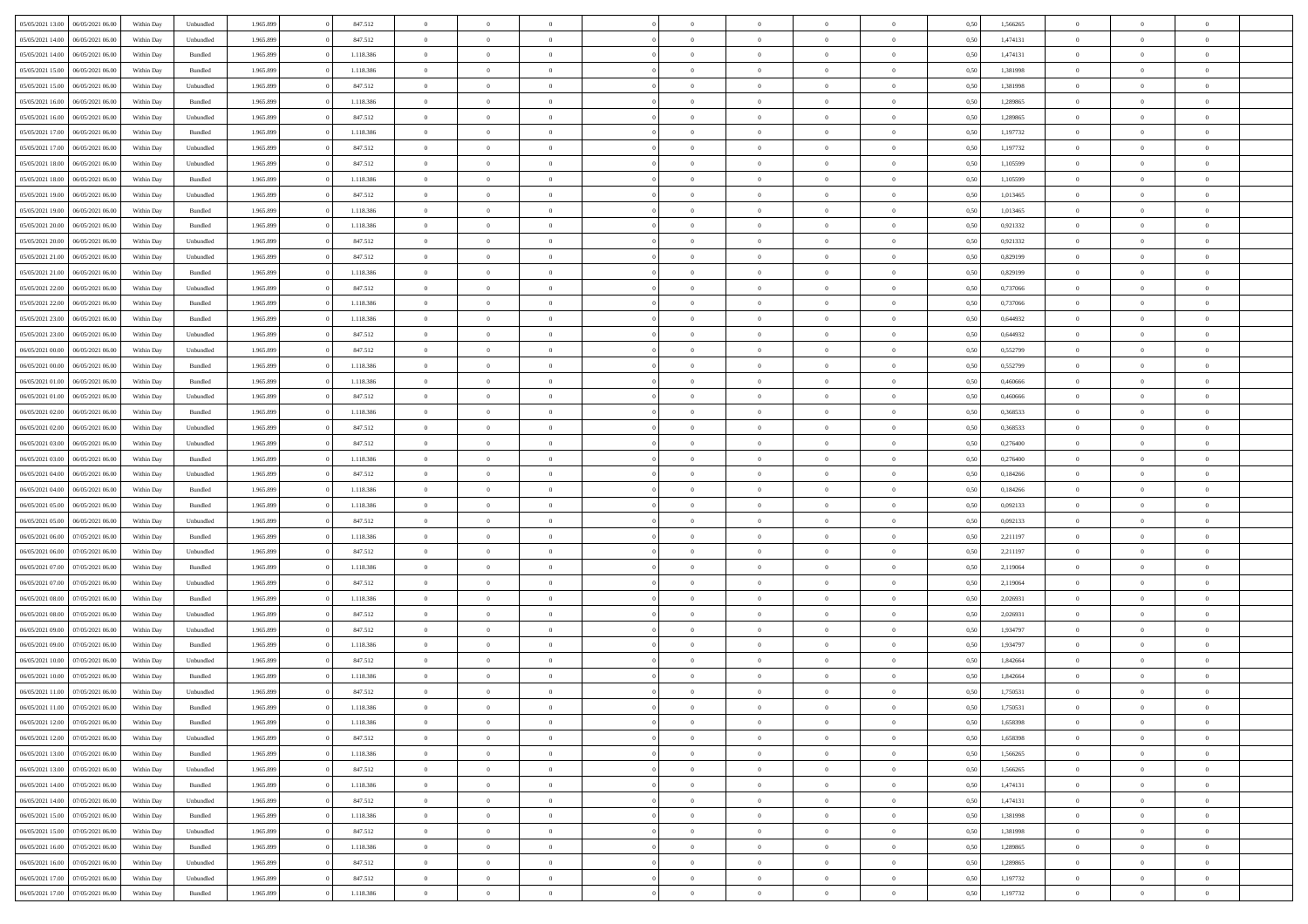| 05/05/2021 13:00 |                  |            |                    |           |           | $\overline{0}$ |                |                |                | $\Omega$       | $\theta$       | $\theta$       |      |          | $\theta$       |                | $\theta$       |  |
|------------------|------------------|------------|--------------------|-----------|-----------|----------------|----------------|----------------|----------------|----------------|----------------|----------------|------|----------|----------------|----------------|----------------|--|
|                  | 06/05/2021 06:00 | Within Day | Unbundled          | 1.965.899 | 847.512   |                | $\theta$       |                | $\Omega$       |                |                |                | 0,50 | 1,566265 |                | $\theta$       |                |  |
| 05/05/2021 14:00 | 06/05/2021 06:00 | Within Day | Unbundled          | 1.965.899 | 847.512   | $\overline{0}$ | $\theta$       | $\overline{0}$ | $\overline{0}$ | $\bf{0}$       | $\overline{0}$ | $\bf{0}$       | 0,50 | 1,474131 | $\theta$       | $\theta$       | $\overline{0}$ |  |
| 05/05/2021 14:00 | 06/05/2021 06:00 | Within Day | Bundled            | 1.965.899 | 1.118.386 | $\overline{0}$ | $\overline{0}$ | $\overline{0}$ | $\bf{0}$       | $\bf{0}$       | $\bf{0}$       | $\mathbf{0}$   | 0,50 | 1,474131 | $\overline{0}$ | $\overline{0}$ | $\overline{0}$ |  |
| 05/05/2021 15:00 | 06/05/2021 06:00 | Within Dav | Bundled            | 1.965.899 | 1.118.386 | $\overline{0}$ | $\overline{0}$ | $\overline{0}$ | $\overline{0}$ | $\bf{0}$       | $\overline{0}$ | $\overline{0}$ | 0.50 | 1.381998 | $\theta$       | $\theta$       | $\overline{0}$ |  |
|                  |                  |            |                    |           |           |                |                |                |                |                |                |                |      |          |                |                |                |  |
| 05/05/2021 15:00 | 06/05/2021 06:00 | Within Day | Unbundled          | 1.965.899 | 847.512   | $\overline{0}$ | $\theta$       | $\overline{0}$ | $\overline{0}$ | $\bf{0}$       | $\overline{0}$ | $\bf{0}$       | 0,50 | 1,381998 | $\theta$       | $\overline{0}$ | $\overline{0}$ |  |
| 05/05/2021 16:00 | 06/05/2021 06:00 | Within Day | Bundled            | 1.965.899 | 1.118.386 | $\overline{0}$ | $\bf{0}$       | $\overline{0}$ | $\bf{0}$       | $\overline{0}$ | $\overline{0}$ | $\mathbf{0}$   | 0,50 | 1,289865 | $\bf{0}$       | $\overline{0}$ | $\bf{0}$       |  |
| 05/05/2021 16:00 | 06/05/2021 06:00 | Within Dav | Unbundled          | 1.965.899 | 847.512   | $\overline{0}$ | $\overline{0}$ | $\overline{0}$ | $\overline{0}$ | $\overline{0}$ | $\overline{0}$ | $\overline{0}$ | 0.50 | 1.289865 | $\theta$       | $\overline{0}$ | $\overline{0}$ |  |
| 05/05/2021 17:00 | 06/05/2021 06:00 | Within Day | Bundled            | 1.965.899 | 1.118.386 | $\overline{0}$ | $\theta$       | $\overline{0}$ | $\overline{0}$ | $\bf{0}$       | $\overline{0}$ | $\bf{0}$       | 0,50 | 1,197732 | $\theta$       | $\theta$       | $\overline{0}$ |  |
|                  |                  |            |                    |           |           |                | $\overline{0}$ |                |                | $\bf{0}$       |                |                |      |          | $\,0\,$        | $\overline{0}$ | $\overline{0}$ |  |
| 05/05/2021 17:00 | 06/05/2021 06:00 | Within Day | Unbundled          | 1.965.899 | 847.512   | $\overline{0}$ |                | $\overline{0}$ | $\bf{0}$       |                | $\bf{0}$       | $\bf{0}$       | 0,50 | 1,197732 |                |                |                |  |
| 05/05/2021 18:00 | 06/05/2021 06:00 | Within Dav | Unbundled          | 1.965.899 | 847.512   | $\overline{0}$ | $\overline{0}$ | $\overline{0}$ | $\overline{0}$ | $\overline{0}$ | $\overline{0}$ | $\overline{0}$ | 0.50 | 1,105599 | $\theta$       | $\overline{0}$ | $\overline{0}$ |  |
| 05/05/2021 18:00 | 06/05/2021 06:00 | Within Day | Bundled            | 1.965.899 | 1.118.386 | $\overline{0}$ | $\theta$       | $\overline{0}$ | $\overline{0}$ | $\bf{0}$       | $\overline{0}$ | $\bf{0}$       | 0,50 | 1,105599 | $\,$ 0 $\,$    | $\overline{0}$ | $\overline{0}$ |  |
| 05/05/2021 19:00 | 06/05/2021 06:00 | Within Day | Unbundled          | 1.965.899 | 847.512   | $\overline{0}$ | $\overline{0}$ | $\overline{0}$ | $\bf{0}$       | $\bf{0}$       | $\bf{0}$       | $\mathbf{0}$   | 0,50 | 1,013465 | $\bf{0}$       | $\overline{0}$ | $\overline{0}$ |  |
| 05/05/2021 19:00 | 06/05/2021 06:00 | Within Day | Bundled            | 1.965.899 | 1.118.386 | $\overline{0}$ | $\overline{0}$ | $\overline{0}$ | $\overline{0}$ | $\bf{0}$       | $\overline{0}$ | $\overline{0}$ | 0.50 | 1.013465 | $\theta$       | $\theta$       | $\overline{0}$ |  |
|                  |                  |            |                    |           |           | $\overline{0}$ | $\theta$       |                |                | $\bf{0}$       |                |                |      |          | $\theta$       |                |                |  |
| 05/05/2021 20:00 | 06/05/2021 06:00 | Within Day | Bundled            | 1.965.899 | 1.118.386 |                |                | $\overline{0}$ | $\overline{0}$ |                | $\overline{0}$ | $\bf{0}$       | 0,50 | 0,921332 |                | $\theta$       | $\overline{0}$ |  |
| 05/05/2021 20.00 | 06/05/2021 06:00 | Within Day | Unbundled          | 1.965.899 | 847.512   | $\overline{0}$ | $\overline{0}$ | $\overline{0}$ | $\bf{0}$       | $\overline{0}$ | $\overline{0}$ | $\mathbf{0}$   | 0,50 | 0,921332 | $\overline{0}$ | $\overline{0}$ | $\bf{0}$       |  |
| 05/05/2021 21:00 | 06/05/2021 06:00 | Within Dav | Unbundled          | 1.965.899 | 847.512   | $\overline{0}$ | $\overline{0}$ | $\overline{0}$ | $\overline{0}$ | $\overline{0}$ | $\overline{0}$ | $\overline{0}$ | 0.50 | 0.829199 | $\theta$       | $\overline{0}$ | $\overline{0}$ |  |
| 05/05/2021 21:00 | 06/05/2021 06:00 | Within Day | Bundled            | 1.965.899 | 1.118.386 | $\overline{0}$ | $\theta$       | $\overline{0}$ | $\overline{0}$ | $\bf{0}$       | $\overline{0}$ | $\bf{0}$       | 0,50 | 0,829199 | $\theta$       | $\theta$       | $\overline{0}$ |  |
| 05/05/2021 22.00 | 06/05/2021 06:00 | Within Day | Unbundled          | 1.965.899 | 847.512   | $\overline{0}$ | $\overline{0}$ | $\overline{0}$ | $\bf{0}$       | $\bf{0}$       | $\bf{0}$       | $\mathbf{0}$   | 0,50 | 0,737066 | $\,0\,$        | $\overline{0}$ | $\overline{0}$ |  |
|                  |                  |            |                    |           |           |                |                |                |                |                |                |                |      |          |                |                |                |  |
| 05/05/2021 22:00 | 06/05/2021 06:00 | Within Day | Bundled            | 1.965.899 | 1.118.386 | $\overline{0}$ | $\overline{0}$ | $\overline{0}$ | $\overline{0}$ | $\overline{0}$ | $\overline{0}$ | $\overline{0}$ | 0.50 | 0,737066 | $\theta$       | $\overline{0}$ | $\overline{0}$ |  |
| 05/05/2021 23:00 | 06/05/2021 06:00 | Within Day | Bundled            | 1.965.899 | 1.118.386 | $\overline{0}$ | $\theta$       | $\overline{0}$ | $\overline{0}$ | $\bf{0}$       | $\overline{0}$ | $\bf{0}$       | 0,50 | 0,644932 | $\,$ 0 $\,$    | $\overline{0}$ | $\overline{0}$ |  |
| 05/05/2021 23.00 | 06/05/2021 06:00 | Within Day | Unbundled          | 1.965.899 | 847.512   | $\overline{0}$ | $\overline{0}$ | $\overline{0}$ | $\bf{0}$       | $\bf{0}$       | $\bf{0}$       | $\bf{0}$       | 0,50 | 0,644932 | $\,0\,$        | $\overline{0}$ | $\overline{0}$ |  |
| 06/05/2021 00:00 | 06/05/2021 06:00 | Within Day | Unbundled          | 1.965.899 | 847.512   | $\overline{0}$ | $\overline{0}$ | $\overline{0}$ | $\overline{0}$ | $\overline{0}$ | $\overline{0}$ | $\overline{0}$ | 0.50 | 0,552799 | $\theta$       | $\overline{0}$ | $\overline{0}$ |  |
| 06/05/2021 00:00 | 06/05/2021 06:00 |            |                    | 1.965.899 | 1.118.386 | $\overline{0}$ | $\theta$       | $\overline{0}$ | $\overline{0}$ | $\bf{0}$       | $\overline{0}$ |                |      | 0,552799 | $\,$ 0 $\,$    | $\overline{0}$ | $\overline{0}$ |  |
|                  |                  | Within Day | Bundled            |           |           |                |                |                |                |                |                | $\bf{0}$       | 0,50 |          |                |                |                |  |
| 06/05/2021 01:00 | 06/05/2021 06:00 | Within Day | Bundled            | 1.965.899 | 1.118.386 | $\overline{0}$ | $\bf{0}$       | $\overline{0}$ | $\bf{0}$       | $\overline{0}$ | $\overline{0}$ | $\mathbf{0}$   | 0,50 | 0,460666 | $\overline{0}$ | $\overline{0}$ | $\bf{0}$       |  |
| 06/05/2021 01:00 | 06/05/2021 06:00 | Within Dav | Unbundled          | 1.965.899 | 847.512   | $\overline{0}$ | $\overline{0}$ | $\overline{0}$ | $\overline{0}$ | $\overline{0}$ | $\overline{0}$ | $\overline{0}$ | 0.50 | 0.460666 | $\theta$       | $\overline{0}$ | $\overline{0}$ |  |
| 06/05/2021 02:00 | 06/05/2021 06:00 | Within Day | Bundled            | 1.965.899 | 1.118.386 | $\overline{0}$ | $\theta$       | $\overline{0}$ | $\overline{0}$ | $\bf{0}$       | $\overline{0}$ | $\bf{0}$       | 0,50 | 0,368533 | $\theta$       | $\theta$       | $\overline{0}$ |  |
| 06/05/2021 02:00 | 06/05/2021 06:00 | Within Day | Unbundled          | 1.965.899 | 847.512   | $\overline{0}$ | $\overline{0}$ | $\overline{0}$ | $\bf{0}$       | $\bf{0}$       | $\bf{0}$       | $\bf{0}$       | 0,50 | 0,368533 | $\,0\,$        | $\overline{0}$ | $\overline{0}$ |  |
| 06/05/2021 03:00 | 06/05/2021 06:00 |            | Unbundled          | 1.965.899 | 847.512   | $\overline{0}$ | $\overline{0}$ | $\overline{0}$ | $\overline{0}$ | $\overline{0}$ | $\overline{0}$ | $\overline{0}$ | 0.50 | 0,276400 | $\theta$       | $\overline{0}$ | $\overline{0}$ |  |
|                  |                  | Within Day |                    |           |           |                |                |                |                |                |                |                |      |          |                |                |                |  |
| 06/05/2021 03:00 | 06/05/2021 06:00 | Within Day | Bundled            | 1.965.899 | 1.118.386 | $\overline{0}$ | $\theta$       | $\overline{0}$ | $\overline{0}$ | $\bf{0}$       | $\overline{0}$ | $\bf{0}$       | 0,50 | 0,276400 | $\,$ 0 $\,$    | $\overline{0}$ | $\overline{0}$ |  |
| 06/05/2021 04:00 | 06/05/2021 06:00 | Within Day | Unbundled          | 1.965.899 | 847.512   | $\overline{0}$ | $\overline{0}$ | $\overline{0}$ | $\bf{0}$       | $\bf{0}$       | $\bf{0}$       | $\bf{0}$       | 0,50 | 0,184266 | $\bf{0}$       | $\overline{0}$ | $\overline{0}$ |  |
| 06/05/2021 04:00 | 06/05/2021 06:00 | Within Day | Bundled            | 1.965.899 | 1.118.386 | $\overline{0}$ | $\Omega$       | $\overline{0}$ | $\Omega$       | $\Omega$       | $\overline{0}$ | $\overline{0}$ | 0,50 | 0,184266 | $\,0\,$        | $\theta$       | $\theta$       |  |
| 06/05/2021 05:00 | 06/05/2021 06:00 | Within Day | Bundled            | 1.965.899 | 1.118.386 | $\overline{0}$ | $\theta$       | $\overline{0}$ | $\overline{0}$ | $\bf{0}$       | $\overline{0}$ | $\bf{0}$       | 0,50 | 0,092133 | $\theta$       | $\theta$       | $\overline{0}$ |  |
|                  |                  |            |                    |           |           |                |                |                |                |                |                |                |      |          |                |                |                |  |
| 06/05/2021 05:00 | 06/05/2021 06:00 | Within Day | Unbundled          | 1.965.899 | 847.512   | $\overline{0}$ | $\overline{0}$ | $\overline{0}$ | $\bf{0}$       | $\bf{0}$       | $\overline{0}$ | $\mathbf{0}$   | 0,50 | 0,092133 | $\bf{0}$       | $\overline{0}$ | $\bf{0}$       |  |
| 06/05/2021 06:00 | 07/05/2021 06:00 | Within Day | Bundled            | 1.965.899 | 1.118.386 | $\overline{0}$ | $\Omega$       | $\Omega$       | $\Omega$       | $\overline{0}$ | $\overline{0}$ | $\overline{0}$ | 0.50 | 2,211197 | $\,0\,$        | $\theta$       | $\theta$       |  |
| 06/05/2021 06:00 | 07/05/2021 06:00 | Within Day | Unbundled          | 1.965.899 | 847.512   | $\overline{0}$ | $\theta$       | $\overline{0}$ | $\overline{0}$ | $\bf{0}$       | $\overline{0}$ | $\bf{0}$       | 0,50 | 2,211197 | $\,$ 0 $\,$    | $\overline{0}$ | $\overline{0}$ |  |
| 06/05/2021 07:00 | 07/05/2021 06:00 | Within Day | Bundled            | 1.965.899 | 1.118.386 | $\overline{0}$ | $\overline{0}$ | $\overline{0}$ | $\bf{0}$       | $\bf{0}$       | $\bf{0}$       | $\bf{0}$       | 0,50 | 2,119064 | $\bf{0}$       | $\overline{0}$ | $\overline{0}$ |  |
| 06/05/2021 07:00 | 07/05/2021 06:00 |            | Unbundled          | 1.965.899 | 847.512   | $\overline{0}$ | $\Omega$       | $\overline{0}$ | $\Omega$       | $\overline{0}$ | $\overline{0}$ | $\overline{0}$ | 0.50 |          | $\,$ 0 $\,$    | $\theta$       | $\theta$       |  |
|                  |                  | Within Day |                    |           |           |                |                |                |                |                |                |                |      | 2,119064 |                |                |                |  |
| 06/05/2021 08:00 | 07/05/2021 06:00 | Within Day | Bundled            | 1.965.899 | 1.118.386 | $\overline{0}$ | $\theta$       | $\overline{0}$ | $\overline{0}$ | $\,$ 0         | $\overline{0}$ | $\bf{0}$       | 0,50 | 2,026931 | $\,$ 0 $\,$    | $\overline{0}$ | $\overline{0}$ |  |
| 06/05/2021 08:00 | 07/05/2021 06:00 | Within Day | Unbundled          | 1.965.899 | 847.512   | $\overline{0}$ | $\overline{0}$ | $\overline{0}$ | $\bf{0}$       | $\bf{0}$       | $\bf{0}$       | $\bf{0}$       | 0,50 | 2,026931 | $\overline{0}$ | $\overline{0}$ | $\overline{0}$ |  |
| 06/05/2021 09:00 | 07/05/2021 06:00 | Within Day | Unbundled          | 1.965.899 | 847.512   | $\overline{0}$ | $\Omega$       | $\overline{0}$ | $\Omega$       | $\overline{0}$ | $\overline{0}$ | $\overline{0}$ | 0,50 | 1,934797 | $\,0\,$        | $\theta$       | $\theta$       |  |
| 06/05/2021 09:00 | 07/05/2021 06:00 | Within Day | Bundled            | 1.965.899 | 1.118.386 | $\overline{0}$ | $\theta$       | $\overline{0}$ | $\overline{0}$ | $\,$ 0         | $\overline{0}$ | $\bf{0}$       | 0,50 | 1,934797 | $\,$ 0 $\,$    | $\overline{0}$ | $\overline{0}$ |  |
| 06/05/2021 10:00 | 07/05/2021 06:00 | Within Day | Unbundled          | 1.965.899 | 847.512   | $\overline{0}$ | $\overline{0}$ | $\overline{0}$ | $\bf{0}$       | $\bf{0}$       | $\overline{0}$ | $\mathbf{0}$   | 0,50 | 1,842664 | $\overline{0}$ | $\overline{0}$ | $\bf{0}$       |  |
|                  |                  |            |                    |           |           |                |                |                |                |                |                |                |      |          |                |                |                |  |
| 06/05/2021 10:00 | 07/05/2021 06:00 | Within Day | Bundled            | 1.965.899 | 1.118.386 | $\overline{0}$ | $\Omega$       | $\Omega$       | $\Omega$       | $\Omega$       | $\Omega$       | $\overline{0}$ | 0.50 | 1.842664 | $\theta$       | $\theta$       | $\theta$       |  |
| 06/05/2021 11:00 | 07/05/2021 06:00 | Within Day | Unbundled          | 1.965.899 | 847.512   | $\overline{0}$ | $\overline{0}$ | $\overline{0}$ | $\bf{0}$       | $\,$ 0         | $\bf{0}$       | $\bf{0}$       | 0,50 | 1,750531 | $\,0\,$        | $\overline{0}$ | $\overline{0}$ |  |
| 06/05/2021 11:00 | 07/05/2021 06:00 | Within Day | $\mathbf B$ undled | 1.965.899 | 1.118.386 | $\bf{0}$       | $\bf{0}$       |                |                | $\bf{0}$       |                |                | 0,50 | 1,750531 | $\bf{0}$       | $\overline{0}$ |                |  |
| 06/05/2021 12:00 | 07/05/2021 06:00 | Within Day | Bundled            | 1.965.899 | 1.118.386 | $\overline{0}$ | $\overline{0}$ | $\overline{0}$ | $\Omega$       | $\overline{0}$ | $\overline{0}$ | $\overline{0}$ | 0,50 | 1.658398 | $\theta$       | $\theta$       | $\theta$       |  |
| 06/05/2021 12:00 | 07/05/2021 06:00 | Within Day | Unbundled          | 1.965.899 | 847.512   | $\overline{0}$ | $\bf{0}$       | $\overline{0}$ | $\bf{0}$       | $\,$ 0 $\,$    | $\overline{0}$ | $\,$ 0 $\,$    | 0,50 | 1,658398 | $\,$ 0 $\,$    | $\,$ 0 $\,$    | $\,$ 0         |  |
|                  |                  |            |                    |           |           |                |                |                |                |                |                |                |      |          |                |                |                |  |
| 06/05/2021 13:00 | 07/05/2021 06:00 | Within Day | Bundled            | 1.965.899 | 1.118.386 | $\overline{0}$ | $\overline{0}$ | $\overline{0}$ | $\overline{0}$ | $\overline{0}$ | $\overline{0}$ | $\mathbf{0}$   | 0,50 | 1,566265 | $\overline{0}$ | $\bf{0}$       | $\overline{0}$ |  |
| 06/05/2021 13:00 | 07/05/2021 06:00 | Within Day | Unbundled          | 1.965.899 | 847.512   | $\overline{0}$ | $\overline{0}$ | $\overline{0}$ | $\Omega$       | $\overline{0}$ | $\overline{0}$ | $\overline{0}$ | 0,50 | 1,566265 | $\overline{0}$ | $\,0\,$        | $\overline{0}$ |  |
| 06/05/2021 14:00 | 07/05/2021 06:00 | Within Day | Bundled            | 1.965.899 | 1.118.386 | $\overline{0}$ | $\,$ 0         | $\overline{0}$ | $\bf{0}$       | $\,$ 0 $\,$    | $\overline{0}$ | $\,$ 0 $\,$    | 0,50 | 1,474131 | $\,$ 0 $\,$    | $\overline{0}$ | $\,$ 0         |  |
| 06/05/2021 14:00 | 07/05/2021 06:00 | Within Day | Unbundled          | 1.965.899 | 847.512   | $\overline{0}$ | $\overline{0}$ | $\overline{0}$ | $\overline{0}$ | $\overline{0}$ | $\overline{0}$ | $\mathbf{0}$   | 0,50 | 1,474131 | $\overline{0}$ | $\overline{0}$ | $\overline{0}$ |  |
|                  | 07/05/2021 06:00 |            |                    |           |           |                | $\overline{0}$ | $\overline{0}$ |                | $\overline{0}$ | $\overline{0}$ |                | 0.50 |          |                | $\theta$       | $\overline{0}$ |  |
| 06/05/2021 15:00 |                  | Within Day | Bundled            | 1.965.899 | 1.118.386 | $\overline{0}$ |                |                | $\overline{0}$ |                |                | $\overline{0}$ |      | 1,381998 | $\overline{0}$ |                |                |  |
| 06/05/2021 15:00 | 07/05/2021 06:00 | Within Day | Unbundled          | 1.965.899 | 847.512   | $\overline{0}$ | $\,$ 0         | $\overline{0}$ | $\bf{0}$       | $\bf{0}$       | $\bf{0}$       | $\bf{0}$       | 0,50 | 1,381998 | $\,$ 0 $\,$    | $\overline{0}$ | $\overline{0}$ |  |
| 06/05/2021 16:00 | 07/05/2021 06:00 | Within Day | Bundled            | 1.965.899 | 1.118.386 | $\overline{0}$ | $\bf{0}$       | $\overline{0}$ | $\overline{0}$ | $\overline{0}$ | $\overline{0}$ | $\mathbf{0}$   | 0,50 | 1,289865 | $\overline{0}$ | $\overline{0}$ | $\bf{0}$       |  |
| 06/05/2021 16:00 | 07/05/2021 06:00 | Within Day | Unbundled          | 1.965.899 | 847.512   | $\overline{0}$ | $\overline{0}$ | $\overline{0}$ | $\Omega$       | $\overline{0}$ | $\overline{0}$ | $\overline{0}$ | 0.50 | 1,289865 | $\overline{0}$ | $\overline{0}$ | $\overline{0}$ |  |
| 06/05/2021 17:00 | 07/05/2021 06:00 | Within Day | Unbundled          | 1.965.899 | 847.512   | $\overline{0}$ | $\bf{0}$       | $\overline{0}$ | $\bf{0}$       | $\bf{0}$       | $\bf{0}$       | $\mathbf{0}$   | 0,50 | 1,197732 | $\,$ 0 $\,$    | $\,$ 0 $\,$    | $\bf{0}$       |  |
|                  |                  |            |                    |           |           |                |                |                |                |                |                |                |      |          |                |                |                |  |
| 06/05/2021 17:00 | 07/05/2021 06:00 | Within Day | Bundled            | 1.965.899 | 1.118.386 | $\overline{0}$ | $\overline{0}$ | $\overline{0}$ | $\overline{0}$ | $\overline{0}$ | $\bf{0}$       | $\mathbf{0}$   | 0,50 | 1,197732 | $\overline{0}$ | $\bf{0}$       | $\overline{0}$ |  |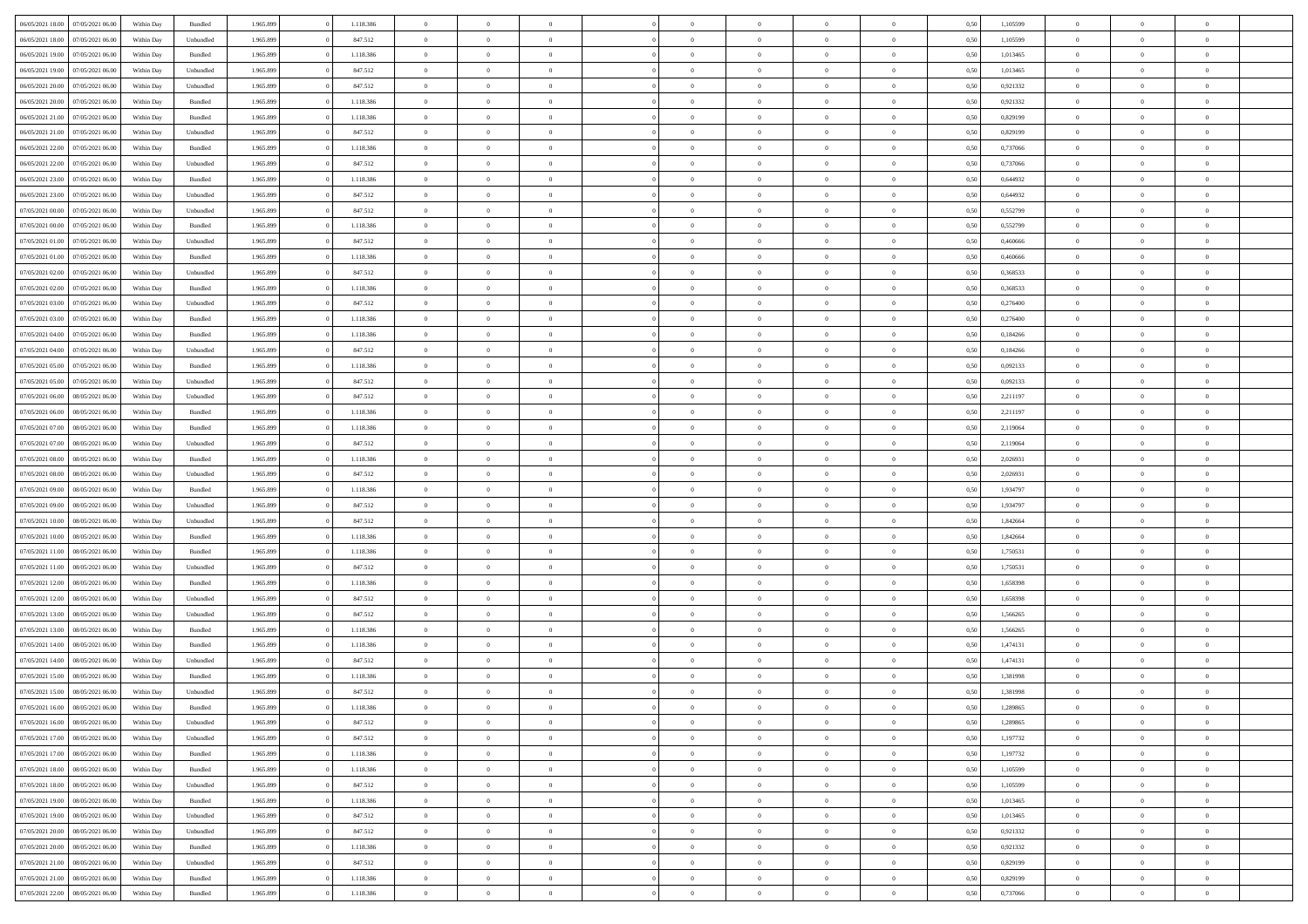| 06/05/2021 18:00                  | 07/05/2021 06:00 | Within Day | Bundled            | 1.965.899 | 1.118.386 | $\overline{0}$ | $\theta$       |                | $\Omega$       | $\Omega$       | $\theta$       | $\theta$       | 0,50 | 1,105599 | $\theta$       | $\theta$       | $\theta$       |  |
|-----------------------------------|------------------|------------|--------------------|-----------|-----------|----------------|----------------|----------------|----------------|----------------|----------------|----------------|------|----------|----------------|----------------|----------------|--|
|                                   |                  |            |                    |           |           |                |                |                |                |                |                |                |      |          |                |                |                |  |
| 06/05/2021 18:00                  | 07/05/2021 06:00 | Within Day | Unbundled          | 1.965.899 | 847.512   | $\overline{0}$ | $\theta$       | $\overline{0}$ | $\overline{0}$ | $\bf{0}$       | $\overline{0}$ | $\bf{0}$       | 0,50 | 1,105599 | $\theta$       | $\overline{0}$ | $\overline{0}$ |  |
| 06/05/2021 19:00                  | 07/05/2021 06:00 | Within Day | Bundled            | 1.965.899 | 1.118.386 | $\overline{0}$ | $\overline{0}$ | $\overline{0}$ | $\bf{0}$       | $\bf{0}$       | $\bf{0}$       | $\mathbf{0}$   | 0,50 | 1,013465 | $\bf{0}$       | $\overline{0}$ | $\bf{0}$       |  |
| 06/05/2021 19:00                  | 07/05/2021 06:00 | Within Dav | Unbundled          | 1.965.899 | 847.512   | $\overline{0}$ | $\overline{0}$ | $\overline{0}$ | $\overline{0}$ | $\bf{0}$       | $\overline{0}$ | $\overline{0}$ | 0.50 | 1,013465 | $\theta$       | $\overline{0}$ | $\overline{0}$ |  |
|                                   |                  |            |                    |           |           |                |                |                |                |                |                |                |      |          |                |                |                |  |
| 06/05/2021 20:00                  | 07/05/2021 06.00 | Within Day | Unbundled          | 1.965.899 | 847.512   | $\overline{0}$ | $\theta$       | $\overline{0}$ | $\overline{0}$ | $\bf{0}$       | $\overline{0}$ | $\bf{0}$       | 0,50 | 0,921332 | $\,$ 0 $\,$    | $\overline{0}$ | $\overline{0}$ |  |
| 06/05/2021 20:00                  | 07/05/2021 06:00 | Within Day | Bundled            | 1.965.899 | 1.118.386 | $\overline{0}$ | $\overline{0}$ | $\overline{0}$ | $\bf{0}$       | $\overline{0}$ | $\overline{0}$ | $\mathbf{0}$   | 0,50 | 0,921332 | $\bf{0}$       | $\overline{0}$ | $\bf{0}$       |  |
| 06/05/2021 21:00                  | 07/05/2021 06:00 | Within Dav | Bundled            | 1.965.899 | 1.118.386 | $\overline{0}$ | $\overline{0}$ | $\overline{0}$ | $\overline{0}$ | $\overline{0}$ | $\overline{0}$ | $\overline{0}$ | 0.50 | 0.829199 | $\theta$       | $\overline{0}$ | $\overline{0}$ |  |
| 06/05/2021 21:00                  | 07/05/2021 06:00 | Within Day | Unbundled          | 1.965.899 | 847.512   | $\overline{0}$ | $\theta$       | $\overline{0}$ | $\overline{0}$ | $\bf{0}$       | $\overline{0}$ | $\bf{0}$       | 0,50 | 0,829199 | $\,$ 0 $\,$    | $\theta$       | $\overline{0}$ |  |
|                                   |                  |            |                    |           |           |                | $\overline{0}$ |                |                | $\bf{0}$       |                |                |      |          | $\,0\,$        | $\overline{0}$ | $\overline{0}$ |  |
| 06/05/2021 22.00                  | 07/05/2021 06:00 | Within Day | Bundled            | 1.965.899 | 1.118.386 | $\overline{0}$ |                | $\overline{0}$ | $\bf{0}$       |                | $\bf{0}$       | $\mathbf{0}$   | 0,50 | 0,737066 |                |                |                |  |
| 06/05/2021 22:00                  | 07/05/2021 06:00 | Within Dav | Unbundled          | 1.965.899 | 847.512   | $\overline{0}$ | $\overline{0}$ | $\overline{0}$ | $\overline{0}$ | $\overline{0}$ | $\overline{0}$ | $\overline{0}$ | 0.50 | 0,737066 | $\theta$       | $\overline{0}$ | $\overline{0}$ |  |
| 06/05/2021 23:00                  | 07/05/2021 06:00 | Within Day | Bundled            | 1.965.899 | 1.118.386 | $\overline{0}$ | $\theta$       | $\overline{0}$ | $\overline{0}$ | $\bf{0}$       | $\overline{0}$ | $\bf{0}$       | 0,50 | 0,644932 | $\,$ 0 $\,$    | $\overline{0}$ | $\overline{0}$ |  |
| 06/05/2021 23.00                  | 07/05/2021 06:00 | Within Day | Unbundled          | 1.965.899 | 847.512   | $\overline{0}$ | $\overline{0}$ | $\overline{0}$ | $\bf{0}$       | $\overline{0}$ | $\bf{0}$       | $\mathbf{0}$   | 0,50 | 0,644932 | $\bf{0}$       | $\overline{0}$ | $\bf{0}$       |  |
| 07/05/2021 00:00                  | 07/05/2021 06:00 | Within Day | Unbundled          | 1.965.899 | 847.512   | $\overline{0}$ | $\overline{0}$ | $\overline{0}$ | $\overline{0}$ | $\overline{0}$ | $\overline{0}$ | $\overline{0}$ | 0.50 | 0,552799 | $\theta$       | $\theta$       | $\overline{0}$ |  |
|                                   |                  |            |                    |           |           | $\overline{0}$ | $\theta$       | $\overline{0}$ | $\overline{0}$ | $\bf{0}$       | $\overline{0}$ |                |      |          | $\,$ 0 $\,$    | $\overline{0}$ | $\overline{0}$ |  |
| 07/05/2021 00:00                  | 07/05/2021 06.00 | Within Day | Bundled            | 1.965.899 | 1.118.386 |                |                |                |                |                |                | $\bf{0}$       | 0,50 | 0,552799 |                |                |                |  |
| 07/05/2021 01:00                  | 07/05/2021 06:00 | Within Day | Unbundled          | 1.965.899 | 847.512   | $\overline{0}$ | $\overline{0}$ | $\overline{0}$ | $\bf{0}$       | $\overline{0}$ | $\overline{0}$ | $\mathbf{0}$   | 0,50 | 0,460666 | $\bf{0}$       | $\overline{0}$ | $\bf{0}$       |  |
| 07/05/2021 01:00                  | 07/05/2021 06:00 | Within Dav | Bundled            | 1.965.899 | 1.118.386 | $\overline{0}$ | $\overline{0}$ | $\overline{0}$ | $\overline{0}$ | $\overline{0}$ | $\overline{0}$ | $\overline{0}$ | 0.50 | 0.460666 | $\overline{0}$ | $\overline{0}$ | $\overline{0}$ |  |
| 07/05/2021 02:00                  | 07/05/2021 06:00 | Within Day | Unbundled          | 1.965.899 | 847.512   | $\overline{0}$ | $\theta$       | $\overline{0}$ | $\overline{0}$ | $\bf{0}$       | $\overline{0}$ | $\bf{0}$       | 0,50 | 0,368533 | $\,$ 0 $\,$    | $\overline{0}$ | $\overline{0}$ |  |
| 07/05/2021 02.00                  | 07/05/2021 06:00 | Within Day | Bundled            | 1.965.899 | 1.118.386 | $\overline{0}$ | $\overline{0}$ | $\overline{0}$ | $\bf{0}$       | $\bf{0}$       | $\bf{0}$       | $\mathbf{0}$   | 0,50 | 0,368533 | $\bf{0}$       | $\overline{0}$ | $\bf{0}$       |  |
|                                   |                  |            |                    |           |           |                |                |                |                |                |                |                |      |          |                |                |                |  |
| 07/05/2021 03:00                  | 07/05/2021 06:00 | Within Dav | Unbundled          | 1.965.899 | 847.512   | $\overline{0}$ | $\overline{0}$ | $\overline{0}$ | $\overline{0}$ | $\overline{0}$ | $\overline{0}$ | $\overline{0}$ | 0.50 | 0,276400 | $\theta$       | $\overline{0}$ | $\overline{0}$ |  |
| 07/05/2021 03:00                  | 07/05/2021 06:00 | Within Day | Bundled            | 1.965.899 | 1.118.386 | $\overline{0}$ | $\theta$       | $\overline{0}$ | $\overline{0}$ | $\bf{0}$       | $\overline{0}$ | $\bf{0}$       | 0,50 | 0,276400 | $\,$ 0 $\,$    | $\overline{0}$ | $\overline{0}$ |  |
| 07/05/2021 04:00                  | 07/05/2021 06:00 | Within Day | Bundled            | 1.965.899 | 1.118.386 | $\overline{0}$ | $\overline{0}$ | $\overline{0}$ | $\bf{0}$       | $\bf{0}$       | $\bf{0}$       | $\mathbf{0}$   | 0,50 | 0,184266 | $\overline{0}$ | $\overline{0}$ | $\bf{0}$       |  |
| 07/05/2021 04:00                  | 07/05/2021 06:00 | Within Day | Unbundled          | 1.965.899 | 847.512   | $\overline{0}$ | $\overline{0}$ | $\overline{0}$ | $\overline{0}$ | $\overline{0}$ | $\overline{0}$ | $\overline{0}$ | 0.50 | 0.184266 | $\theta$       | $\overline{0}$ | $\overline{0}$ |  |
| 07/05/2021 05:00                  | 07/05/2021 06:00 |            | Bundled            | 1.965.899 | 1.118.386 | $\overline{0}$ | $\theta$       | $\overline{0}$ | $\overline{0}$ | $\bf{0}$       | $\overline{0}$ |                |      | 0,092133 | $\,$ 0 $\,$    | $\overline{0}$ | $\overline{0}$ |  |
|                                   |                  | Within Day |                    |           |           |                |                |                |                |                |                | $\bf{0}$       | 0,50 |          |                |                |                |  |
| 07/05/2021 05:00                  | 07/05/2021 06:00 | Within Day | Unbundled          | 1.965.899 | 847.512   | $\overline{0}$ | $\overline{0}$ | $\overline{0}$ | $\bf{0}$       | $\overline{0}$ | $\overline{0}$ | $\mathbf{0}$   | 0,50 | 0,092133 | $\overline{0}$ | $\overline{0}$ | $\bf{0}$       |  |
| 07/05/2021 06:00                  | 08/05/2021 06:00 | Within Dav | Unbundled          | 1.965.899 | 847.512   | $\overline{0}$ | $\overline{0}$ | $\overline{0}$ | $\overline{0}$ | $\overline{0}$ | $\overline{0}$ | $\overline{0}$ | 0.50 | 2,211197 | $\overline{0}$ | $\overline{0}$ | $\overline{0}$ |  |
| 07/05/2021 06:00                  | 08/05/2021 06:00 | Within Day | Bundled            | 1.965.899 | 1.118.386 | $\overline{0}$ | $\theta$       | $\overline{0}$ | $\overline{0}$ | $\bf{0}$       | $\overline{0}$ | $\bf{0}$       | 0,50 | 2,211197 | $\,$ 0 $\,$    | $\overline{0}$ | $\overline{0}$ |  |
| 07/05/2021 07:00                  | 08/05/2021 06:00 | Within Day | Bundled            | 1.965.899 | 1.118.386 | $\overline{0}$ | $\overline{0}$ | $\overline{0}$ | $\bf{0}$       | $\bf{0}$       | $\bf{0}$       | $\mathbf{0}$   | 0,50 | 2,119064 | $\,0\,$        | $\overline{0}$ | $\overline{0}$ |  |
|                                   | 08/05/2021 06:00 |            | Unbundled          | 1.965.899 | 847.512   | $\overline{0}$ | $\overline{0}$ | $\overline{0}$ | $\overline{0}$ | $\overline{0}$ | $\overline{0}$ | $\overline{0}$ | 0.50 | 2,119064 | $\theta$       | $\overline{0}$ | $\overline{0}$ |  |
| 07/05/2021 07:00                  |                  | Within Day |                    |           |           |                |                |                |                |                |                |                |      |          |                |                |                |  |
| 07/05/2021 08:00                  | 08/05/2021 06:00 | Within Day | Bundled            | 1.965.899 | 1.118.386 | $\overline{0}$ | $\overline{0}$ | $\overline{0}$ | $\overline{0}$ | $\bf{0}$       | $\overline{0}$ | $\bf{0}$       | 0,50 | 2,026931 | $\,$ 0 $\,$    | $\overline{0}$ | $\overline{0}$ |  |
| 07/05/2021 08:00                  | 08/05/2021 06:00 | Within Day | Unbundled          | 1.965.899 | 847.512   | $\overline{0}$ | $\overline{0}$ | $\overline{0}$ | $\bf{0}$       | $\bf{0}$       | $\bf{0}$       | $\mathbf{0}$   | 0,50 | 2,026931 | $\overline{0}$ | $\overline{0}$ | $\bf{0}$       |  |
| 07/05/2021 09:00                  | 08/05/2021 06:00 | Within Day | Bundled            | 1.965.899 | 1.118.386 | $\overline{0}$ | $\Omega$       | $\overline{0}$ | $\Omega$       | $\Omega$       | $\overline{0}$ | $\overline{0}$ | 0,50 | 1,934797 | $\,0\,$        | $\theta$       | $\theta$       |  |
| 07/05/2021 09:00                  | 08/05/2021 06:00 | Within Day | Unbundled          | 1.965.899 | 847.512   | $\overline{0}$ | $\overline{0}$ | $\overline{0}$ | $\overline{0}$ | $\bf{0}$       | $\overline{0}$ | $\bf{0}$       | 0,50 | 1,934797 | $\,$ 0 $\,$    | $\overline{0}$ | $\overline{0}$ |  |
|                                   |                  |            |                    |           |           |                |                |                |                |                |                |                |      |          |                |                |                |  |
| 07/05/2021 10:00                  | 08/05/2021 06:00 | Within Day | Unbundled          | 1.965.899 | 847.512   | $\overline{0}$ | $\overline{0}$ | $\overline{0}$ | $\bf{0}$       | $\overline{0}$ | $\overline{0}$ | $\mathbf{0}$   | 0,50 | 1,842664 | $\bf{0}$       | $\overline{0}$ | $\bf{0}$       |  |
| 07/05/2021 10:00                  | 08/05/2021 06:00 | Within Day | Bundled            | 1.965.899 | 1.118.386 | $\overline{0}$ | $\Omega$       | $\overline{0}$ | $\Omega$       | $\overline{0}$ | $\overline{0}$ | $\overline{0}$ | 0.50 | 1,842664 | $\,0\,$        | $\theta$       | $\theta$       |  |
| 07/05/2021 11:00                  | 08/05/2021 06:00 | Within Day | Bundled            | 1.965.899 | 1.118.386 | $\overline{0}$ | $\theta$       | $\overline{0}$ | $\overline{0}$ | $\bf{0}$       | $\overline{0}$ | $\bf{0}$       | 0,50 | 1,750531 | $\,$ 0 $\,$    | $\overline{0}$ | $\overline{0}$ |  |
| 07/05/2021 11:00                  | 08/05/2021 06:00 | Within Day | Unbundled          | 1.965.899 | 847.512   | $\overline{0}$ | $\bf{0}$       | $\overline{0}$ | $\bf{0}$       | $\bf{0}$       | $\bf{0}$       | $\mathbf{0}$   | 0,50 | 1,750531 | $\bf{0}$       | $\overline{0}$ | $\bf{0}$       |  |
| 07/05/2021 12:00                  | 08/05/2021 06:00 | Within Day | Bundled            | 1.965.899 | 1.118.386 | $\overline{0}$ | $\Omega$       | $\overline{0}$ | $\Omega$       | $\overline{0}$ | $\overline{0}$ | $\overline{0}$ | 0.50 | 1.658398 | $\,$ 0 $\,$    | $\theta$       | $\theta$       |  |
|                                   |                  |            |                    |           |           |                |                |                |                |                |                |                |      |          |                |                |                |  |
| 07/05/2021 12:00                  | 08/05/2021 06:00 | Within Day | Unbundled          | 1.965.899 | 847.512   | $\overline{0}$ | $\overline{0}$ | $\overline{0}$ | $\overline{0}$ | $\,$ 0         | $\overline{0}$ | $\bf{0}$       | 0,50 | 1,658398 | $\,$ 0 $\,$    | $\overline{0}$ | $\overline{0}$ |  |
| 07/05/2021 13:00                  | 08/05/2021 06:00 | Within Day | Unbundled          | 1.965.899 | 847.512   | $\overline{0}$ | $\overline{0}$ | $\overline{0}$ | $\bf{0}$       | $\bf{0}$       | $\overline{0}$ | $\mathbf{0}$   | 0,50 | 1,566265 | $\bf{0}$       | $\overline{0}$ | $\bf{0}$       |  |
| 07/05/2021 13:00                  | 08/05/2021 06:00 | Within Day | Bundled            | 1.965.899 | 1.118.386 | $\overline{0}$ | $\Omega$       | $\overline{0}$ | $\Omega$       | $\overline{0}$ | $\overline{0}$ | $\overline{0}$ | 0,50 | 1,566265 | $\,0\,$        | $\theta$       | $\theta$       |  |
| 07/05/2021 14:00                  | 08/05/2021 06:00 | Within Day | Bundled            | 1.965.899 | 1.118.386 | $\overline{0}$ | $\overline{0}$ | $\overline{0}$ | $\overline{0}$ | $\,$ 0         | $\overline{0}$ | $\bf{0}$       | 0,50 | 1,474131 | $\,$ 0 $\,$    | $\overline{0}$ | $\overline{0}$ |  |
| 07/05/2021 14:00                  | 08/05/2021 06:00 | Within Day | Unbundled          | 1.965.899 | 847.512   | $\overline{0}$ | $\overline{0}$ | $\overline{0}$ | $\bf{0}$       | $\bf{0}$       | $\overline{0}$ | $\mathbf{0}$   | 0,50 | 1,474131 | $\bf{0}$       | $\overline{0}$ | $\bf{0}$       |  |
|                                   |                  |            |                    |           |           |                |                |                |                |                |                |                |      |          |                |                |                |  |
| 07/05/2021 15:00                  | 08/05/2021 06:00 | Within Day | Bundled            | 1.965.899 | 1.118.386 | $\overline{0}$ | $\Omega$       | $\Omega$       | $\Omega$       | $\Omega$       | $\Omega$       | $\overline{0}$ | 0.50 | 1.381998 | $\theta$       | $\theta$       | $\theta$       |  |
| 07/05/2021 15:00                  | 08/05/2021 06:00 | Within Day | Unbundled          | 1.965.899 | 847.512   | $\overline{0}$ | $\overline{0}$ | $\overline{0}$ | $\bf{0}$       | $\,$ 0         | $\bf{0}$       | $\bf{0}$       | 0,50 | 1,381998 | $\,0\,$        | $\,$ 0 $\,$    | $\overline{0}$ |  |
| 07/05/2021 16:00 08/05/2021 06:00 |                  | Within Day | $\mathbf B$ undled | 1.965.899 | 1.118.386 | $\bf{0}$       | $\bf{0}$       |                |                | $\bf{0}$       |                |                | 0,50 | 1,289865 | $\bf{0}$       | $\overline{0}$ |                |  |
| 07/05/2021 16:00                  | 08/05/2021 06:00 | Within Day | Unbundled          | 1.965.899 | 847.512   | $\overline{0}$ | $\overline{0}$ | $\overline{0}$ | $\Omega$       | $\overline{0}$ | $\overline{0}$ | $\overline{0}$ | 0,50 | 1,289865 | $\theta$       | $\theta$       | $\theta$       |  |
| 07/05/2021 17:00                  | 08/05/2021 06:00 | Within Day | Unbundled          | 1.965.899 | 847.512   | $\overline{0}$ | $\bf{0}$       | $\overline{0}$ | $\bf{0}$       | $\,$ 0 $\,$    | $\overline{0}$ | $\,$ 0 $\,$    | 0,50 | 1,197732 | $\,$ 0 $\,$    | $\,$ 0 $\,$    | $\,$ 0         |  |
|                                   |                  |            |                    |           |           |                |                |                |                |                |                |                |      |          |                |                |                |  |
| 07/05/2021 17:00                  | 08/05/2021 06:00 | Within Day | Bundled            | 1.965.899 | 1.118.386 | $\overline{0}$ | $\overline{0}$ | $\overline{0}$ | $\overline{0}$ | $\overline{0}$ | $\overline{0}$ | $\mathbf{0}$   | 0,50 | 1,197732 | $\overline{0}$ | $\bf{0}$       | $\overline{0}$ |  |
| 07/05/2021 18:00                  | 08/05/2021 06:00 | Within Day | Bundled            | 1.965.899 | 1.118.386 | $\overline{0}$ | $\overline{0}$ | $\overline{0}$ | $\Omega$       | $\overline{0}$ | $\overline{0}$ | $\overline{0}$ | 0,50 | 1,105599 | $\overline{0}$ | $\,$ 0 $\,$    | $\overline{0}$ |  |
| 07/05/2021 18:00                  | 08/05/2021 06:00 | Within Day | Unbundled          | 1.965.899 | 847.512   | $\overline{0}$ | $\,$ 0         | $\overline{0}$ | $\bf{0}$       | $\,$ 0 $\,$    | $\overline{0}$ | $\,$ 0 $\,$    | 0,50 | 1,105599 | $\,$ 0 $\,$    | $\overline{0}$ | $\,$ 0         |  |
| 07/05/2021 19:00                  | 08/05/2021 06:00 | Within Day | Bundled            | 1.965.899 | 1.118.386 | $\overline{0}$ | $\overline{0}$ | $\overline{0}$ | $\overline{0}$ | $\overline{0}$ | $\overline{0}$ | $\mathbf{0}$   | 0,50 | 1,013465 | $\overline{0}$ | $\overline{0}$ | $\overline{0}$ |  |
|                                   | 08/05/2021 06:00 |            |                    |           |           |                | $\overline{0}$ | $\overline{0}$ |                | $\overline{0}$ | $\overline{0}$ |                | 0.50 |          |                | $\theta$       | $\overline{0}$ |  |
| 07/05/2021 19:00                  |                  | Within Day | Unbundled          | 1.965.899 | 847.512   | $\overline{0}$ |                |                | $\overline{0}$ |                |                | $\overline{0}$ |      | 1,013465 | $\overline{0}$ |                |                |  |
| 07/05/2021 20:00                  | 08/05/2021 06:00 | Within Day | Unbundled          | 1.965.899 | 847.512   | $\overline{0}$ | $\,$ 0         | $\overline{0}$ | $\bf{0}$       | $\bf{0}$       | $\bf{0}$       | $\bf{0}$       | 0,50 | 0,921332 | $\,$ 0 $\,$    | $\overline{0}$ | $\overline{0}$ |  |
| 07/05/2021 20:00                  | 08/05/2021 06:00 | Within Day | Bundled            | 1.965.899 | 1.118.386 | $\overline{0}$ | $\bf{0}$       | $\overline{0}$ | $\overline{0}$ | $\overline{0}$ | $\overline{0}$ | $\mathbf{0}$   | 0,50 | 0,921332 | $\overline{0}$ | $\overline{0}$ | $\bf{0}$       |  |
| 07/05/2021 21:00                  | 08/05/2021 06:00 | Within Day | Unbundled          | 1.965.899 | 847.512   | $\overline{0}$ | $\overline{0}$ | $\overline{0}$ | $\Omega$       | $\overline{0}$ | $\overline{0}$ | $\overline{0}$ | 0.50 | 0,829199 | $\overline{0}$ | $\overline{0}$ | $\overline{0}$ |  |
| 07/05/2021 21:00                  | 08/05/2021 06:00 | Within Day | Bundled            | 1.965.899 | 1.118.386 | $\overline{0}$ | $\bf{0}$       | $\overline{0}$ | $\bf{0}$       | $\bf{0}$       | $\bf{0}$       | $\mathbf{0}$   | 0,50 | 0,829199 | $\,$ 0 $\,$    | $\,$ 0 $\,$    | $\bf{0}$       |  |
|                                   |                  |            |                    |           |           |                |                |                |                |                |                |                |      |          |                |                |                |  |
| 07/05/2021 22.00                  | 08/05/2021 06:00 | Within Day | Bundled            | 1.965.899 | 1.118.386 | $\overline{0}$ | $\overline{0}$ | $\overline{0}$ | $\overline{0}$ | $\overline{0}$ | $\bf{0}$       | $\mathbf{0}$   | 0,50 | 0,737066 | $\overline{0}$ | $\bf{0}$       | $\overline{0}$ |  |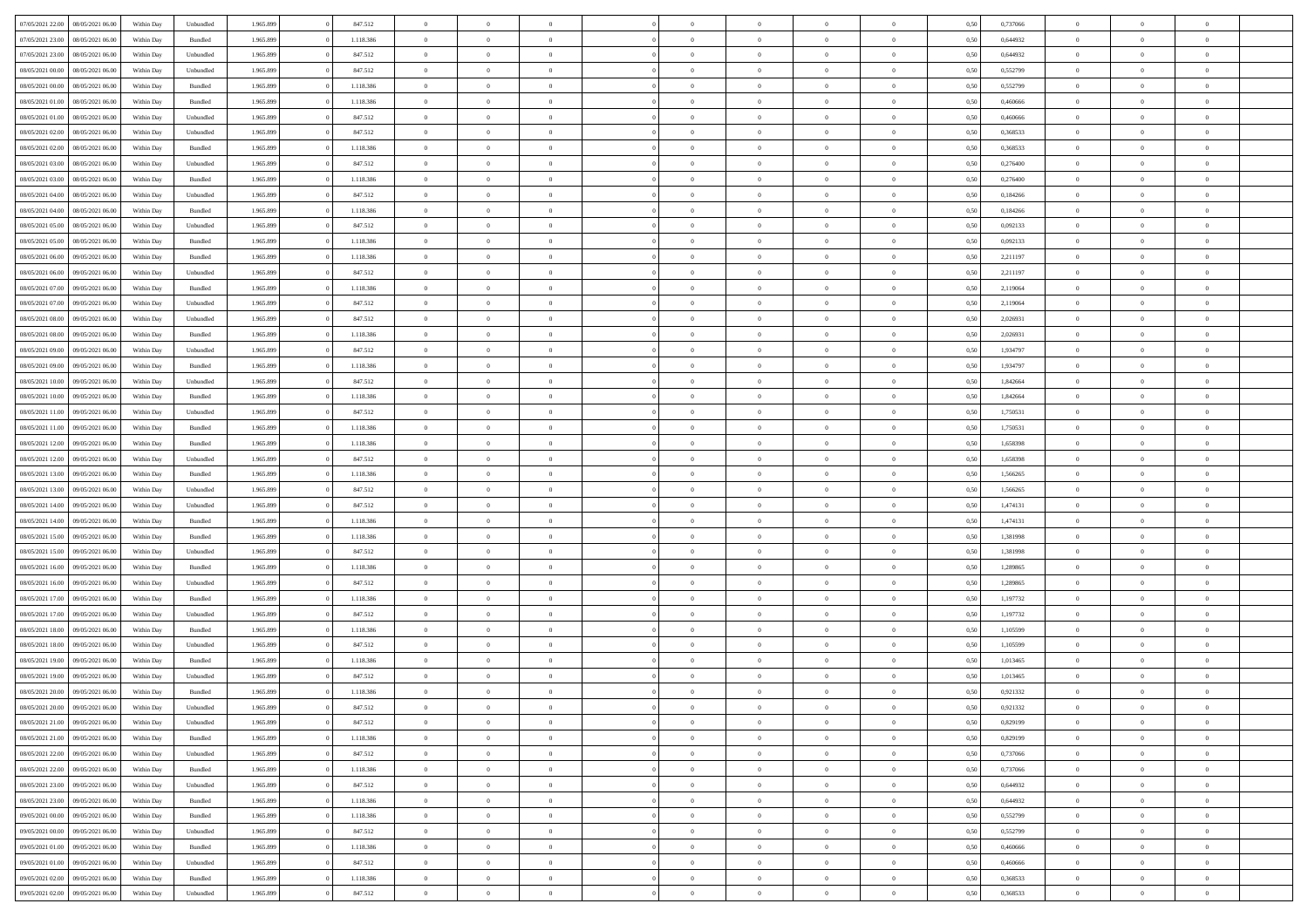| 07/05/2021 22:00 |                  |            |           |           |           | $\overline{0}$ |                |                |                | $\Omega$       | $\theta$       | $\theta$       |      |          | $\theta$       |                | $\theta$       |  |
|------------------|------------------|------------|-----------|-----------|-----------|----------------|----------------|----------------|----------------|----------------|----------------|----------------|------|----------|----------------|----------------|----------------|--|
|                  | 08/05/2021 06:00 | Within Day | Unbundled | 1.965.899 | 847.512   |                | $\theta$       |                | $\Omega$       |                |                |                | 0,50 | 0,737066 |                | $\theta$       |                |  |
| 07/05/2021 23:00 | 08/05/2021 06:00 | Within Day | Bundled   | 1.965.899 | 1.118.386 | $\overline{0}$ | $\theta$       | $\overline{0}$ | $\overline{0}$ | $\bf{0}$       | $\overline{0}$ | $\bf{0}$       | 0,50 | 0,644932 | $\theta$       | $\overline{0}$ | $\overline{0}$ |  |
| 07/05/2021 23.00 | 08/05/2021 06:00 | Within Day | Unbundled | 1.965.899 | 847.512   | $\overline{0}$ | $\overline{0}$ | $\overline{0}$ | $\bf{0}$       | $\bf{0}$       | $\bf{0}$       | $\mathbf{0}$   | 0,50 | 0,644932 | $\bf{0}$       | $\overline{0}$ | $\bf{0}$       |  |
| 08/05/2021 00:00 | 08/05/2021 06:00 | Within Dav | Unbundled | 1.965.899 | 847.512   | $\overline{0}$ | $\overline{0}$ | $\overline{0}$ | $\overline{0}$ | $\bf{0}$       | $\overline{0}$ | $\overline{0}$ | 0.50 | 0,552799 | $\theta$       | $\overline{0}$ | $\overline{0}$ |  |
|                  |                  |            |           |           |           |                |                |                |                |                |                |                |      |          |                |                |                |  |
| 08/05/2021 00:00 | 08/05/2021 06:00 | Within Day | Bundled   | 1.965.899 | 1.118.386 | $\overline{0}$ | $\theta$       | $\overline{0}$ | $\overline{0}$ | $\bf{0}$       | $\overline{0}$ | $\bf{0}$       | 0,50 | 0,552799 | $\,$ 0 $\,$    | $\overline{0}$ | $\overline{0}$ |  |
| 08/05/2021 01:00 | 08/05/2021 06:00 | Within Day | Bundled   | 1.965.899 | 1.118.386 | $\overline{0}$ | $\overline{0}$ | $\overline{0}$ | $\bf{0}$       | $\overline{0}$ | $\overline{0}$ | $\mathbf{0}$   | 0,50 | 0,460666 | $\bf{0}$       | $\overline{0}$ | $\bf{0}$       |  |
| 08/05/2021 01:00 | 08/05/2021 06:00 | Within Dav | Unbundled | 1.965.899 | 847.512   | $\overline{0}$ | $\overline{0}$ | $\overline{0}$ | $\overline{0}$ | $\overline{0}$ | $\overline{0}$ | $\overline{0}$ | 0.50 | 0,460666 | $\theta$       | $\overline{0}$ | $\overline{0}$ |  |
| 08/05/2021 02:00 | 08/05/2021 06:00 | Within Day | Unbundled | 1.965.899 | 847.512   | $\overline{0}$ | $\theta$       | $\overline{0}$ | $\overline{0}$ | $\bf{0}$       | $\overline{0}$ | $\bf{0}$       | 0,50 | 0,368533 | $\theta$       | $\theta$       | $\overline{0}$ |  |
|                  |                  |            |           |           |           |                | $\overline{0}$ |                |                | $\bf{0}$       |                |                |      |          | $\,0\,$        | $\overline{0}$ | $\overline{0}$ |  |
| 08/05/2021 02:00 | 08/05/2021 06:00 | Within Day | Bundled   | 1.965.899 | 1.118.386 | $\overline{0}$ |                | $\overline{0}$ | $\bf{0}$       |                | $\bf{0}$       | $\mathbf{0}$   | 0,50 | 0,368533 |                |                |                |  |
| 08/05/2021 03:00 | 08/05/2021 06:00 | Within Dav | Unbundled | 1.965.899 | 847.512   | $\overline{0}$ | $\overline{0}$ | $\overline{0}$ | $\overline{0}$ | $\overline{0}$ | $\overline{0}$ | $\overline{0}$ | 0.50 | 0,276400 | $\theta$       | $\overline{0}$ | $\overline{0}$ |  |
| 08/05/2021 03:00 | 08/05/2021 06:00 | Within Day | Bundled   | 1.965.899 | 1.118.386 | $\overline{0}$ | $\theta$       | $\overline{0}$ | $\overline{0}$ | $\bf{0}$       | $\overline{0}$ | $\bf{0}$       | 0,50 | 0,276400 | $\,$ 0 $\,$    | $\overline{0}$ | $\overline{0}$ |  |
| 08/05/2021 04:00 | 08/05/2021 06:00 | Within Day | Unbundled | 1.965.899 | 847.512   | $\overline{0}$ | $\overline{0}$ | $\overline{0}$ | $\bf{0}$       | $\bf{0}$       | $\bf{0}$       | $\mathbf{0}$   | 0,50 | 0,184266 | $\bf{0}$       | $\overline{0}$ | $\bf{0}$       |  |
| 08/05/2021 04:00 | 08/05/2021 06:00 | Within Day | Bundled   | 1.965.899 | 1.118.386 | $\overline{0}$ | $\overline{0}$ | $\overline{0}$ | $\overline{0}$ | $\overline{0}$ | $\overline{0}$ | $\overline{0}$ | 0.50 | 0.184266 | $\theta$       | $\theta$       | $\overline{0}$ |  |
|                  |                  |            |           |           |           | $\overline{0}$ | $\theta$       |                |                | $\bf{0}$       |                |                |      |          | $\theta$       |                |                |  |
| 08/05/2021 05:00 | 08/05/2021 06:00 | Within Day | Unbundled | 1.965.899 | 847.512   |                |                | $\overline{0}$ | $\overline{0}$ |                | $\overline{0}$ | $\bf{0}$       | 0,50 | 0,092133 |                | $\overline{0}$ | $\overline{0}$ |  |
| 08/05/2021 05:00 | 08/05/2021 06:00 | Within Day | Bundled   | 1.965.899 | 1.118.386 | $\overline{0}$ | $\overline{0}$ | $\overline{0}$ | $\bf{0}$       | $\overline{0}$ | $\overline{0}$ | $\mathbf{0}$   | 0,50 | 0,092133 | $\bf{0}$       | $\overline{0}$ | $\bf{0}$       |  |
| 08/05/2021 06:00 | 09/05/2021 06:00 | Within Dav | Bundled   | 1.965.899 | 1.118.386 | $\overline{0}$ | $\overline{0}$ | $\overline{0}$ | $\overline{0}$ | $\overline{0}$ | $\overline{0}$ | $\overline{0}$ | 0.50 | 2,211197 | $\overline{0}$ | $\overline{0}$ | $\overline{0}$ |  |
| 08/05/2021 06:00 | 09/05/2021 06:00 | Within Day | Unbundled | 1.965.899 | 847.512   | $\overline{0}$ | $\theta$       | $\overline{0}$ | $\overline{0}$ | $\bf{0}$       | $\overline{0}$ | $\bf{0}$       | 0,50 | 2,211197 | $\,$ 0 $\,$    | $\overline{0}$ | $\overline{0}$ |  |
| 08/05/2021 07:00 | 09/05/2021 06:00 | Within Day | Bundled   | 1.965.899 | 1.118.386 | $\overline{0}$ | $\overline{0}$ | $\overline{0}$ | $\bf{0}$       | $\bf{0}$       | $\bf{0}$       | $\mathbf{0}$   | 0,50 | 2,119064 | $\bf{0}$       | $\overline{0}$ | $\bf{0}$       |  |
|                  |                  |            |           |           |           |                |                |                |                |                |                |                |      |          |                |                |                |  |
| 08/05/2021 07:00 | 09/05/2021 06:00 | Within Day | Unbundled | 1.965.899 | 847.512   | $\overline{0}$ | $\overline{0}$ | $\overline{0}$ | $\overline{0}$ | $\overline{0}$ | $\overline{0}$ | $\overline{0}$ | 0.50 | 2,119064 | $\theta$       | $\overline{0}$ | $\overline{0}$ |  |
| 08/05/2021 08:00 | 09/05/2021 06:00 | Within Day | Unbundled | 1.965.899 | 847.512   | $\overline{0}$ | $\theta$       | $\overline{0}$ | $\overline{0}$ | $\bf{0}$       | $\overline{0}$ | $\bf{0}$       | 0,50 | 2,026931 | $\,$ 0 $\,$    | $\overline{0}$ | $\overline{0}$ |  |
| 08/05/2021 08:00 | 09/05/2021 06:00 | Within Day | Bundled   | 1.965.899 | 1.118.386 | $\overline{0}$ | $\overline{0}$ | $\overline{0}$ | $\bf{0}$       | $\bf{0}$       | $\bf{0}$       | $\mathbf{0}$   | 0,50 | 2,026931 | $\overline{0}$ | $\overline{0}$ | $\bf{0}$       |  |
| 08/05/2021 09:00 | 09/05/2021 06:00 | Within Day | Unbundled | 1.965.899 | 847.512   | $\overline{0}$ | $\overline{0}$ | $\overline{0}$ | $\overline{0}$ | $\overline{0}$ | $\overline{0}$ | $\overline{0}$ | 0.50 | 1,934797 | $\theta$       | $\overline{0}$ | $\overline{0}$ |  |
| 08/05/2021 09:00 | 09/05/2021 06:00 |            |           | 1.965.899 | 1.118.386 | $\overline{0}$ | $\theta$       | $\overline{0}$ | $\overline{0}$ | $\bf{0}$       | $\overline{0}$ |                |      | 1,934797 | $\,$ 0 $\,$    | $\overline{0}$ | $\overline{0}$ |  |
|                  |                  | Within Day | Bundled   |           |           |                |                |                |                |                |                | $\bf{0}$       | 0,50 |          |                |                |                |  |
| 08/05/2021 10:00 | 09/05/2021 06:00 | Within Day | Unbundled | 1.965.899 | 847.512   | $\overline{0}$ | $\overline{0}$ | $\overline{0}$ | $\bf{0}$       | $\overline{0}$ | $\overline{0}$ | $\mathbf{0}$   | 0,50 | 1,842664 | $\overline{0}$ | $\overline{0}$ | $\bf{0}$       |  |
| 08/05/2021 10:00 | 09/05/2021 06:00 | Within Dav | Bundled   | 1.965.899 | 1.118.386 | $\overline{0}$ | $\overline{0}$ | $\overline{0}$ | $\overline{0}$ | $\overline{0}$ | $\overline{0}$ | $\overline{0}$ | 0.50 | 1,842664 | $\theta$       | $\overline{0}$ | $\overline{0}$ |  |
| 08/05/2021 11:00 | 09/05/2021 06:00 | Within Day | Unbundled | 1.965.899 | 847.512   | $\overline{0}$ | $\theta$       | $\overline{0}$ | $\overline{0}$ | $\bf{0}$       | $\overline{0}$ | $\bf{0}$       | 0,50 | 1,750531 | $\theta$       | $\overline{0}$ | $\overline{0}$ |  |
| 08/05/2021 11:00 | 09/05/2021 06:00 | Within Day | Bundled   | 1.965.899 | 1.118.386 | $\overline{0}$ | $\overline{0}$ | $\overline{0}$ | $\bf{0}$       | $\bf{0}$       | $\bf{0}$       | $\mathbf{0}$   | 0,50 | 1,750531 | $\,0\,$        | $\overline{0}$ | $\overline{0}$ |  |
|                  |                  |            |           |           |           |                | $\overline{0}$ |                |                | $\overline{0}$ |                |                |      |          | $\theta$       | $\overline{0}$ | $\overline{0}$ |  |
| 08/05/2021 12:00 | 09/05/2021 06:00 | Within Day | Bundled   | 1.965.899 | 1.118.386 | $\overline{0}$ |                | $\overline{0}$ | $\overline{0}$ |                | $\overline{0}$ | $\overline{0}$ | 0.50 | 1,658398 |                |                |                |  |
| 08/05/2021 12:00 | 09/05/2021 06:00 | Within Day | Unbundled | 1.965.899 | 847.512   | $\overline{0}$ | $\overline{0}$ | $\overline{0}$ | $\overline{0}$ | $\bf{0}$       | $\overline{0}$ | $\bf{0}$       | 0,50 | 1,658398 | $\,$ 0 $\,$    | $\overline{0}$ | $\overline{0}$ |  |
| 08/05/2021 13:00 | 09/05/2021 06:00 | Within Day | Bundled   | 1.965.899 | 1.118.386 | $\overline{0}$ | $\overline{0}$ | $\overline{0}$ | $\bf{0}$       | $\overline{0}$ | $\bf{0}$       | $\mathbf{0}$   | 0,50 | 1,566265 | $\overline{0}$ | $\overline{0}$ | $\bf{0}$       |  |
| 08/05/2021 13:00 | 09/05/2021 06:00 | Within Day | Unbundled | 1.965.899 | 847.512   | $\overline{0}$ | $\theta$       | $\overline{0}$ | $\Omega$       | $\Omega$       | $\overline{0}$ | $\overline{0}$ | 0,50 | 1,566265 | $\,0\,$        | $\theta$       | $\theta$       |  |
| 08/05/2021 14:00 | 09/05/2021 06:00 | Within Day | Unbundled | 1.965.899 | 847.512   | $\overline{0}$ | $\overline{0}$ | $\overline{0}$ | $\overline{0}$ | $\bf{0}$       | $\overline{0}$ | $\bf{0}$       | 0,50 | 1,474131 | $\,$ 0 $\,$    | $\overline{0}$ | $\overline{0}$ |  |
|                  |                  |            |           |           |           |                |                |                |                |                |                |                |      |          |                |                |                |  |
| 08/05/2021 14:00 | 09/05/2021 06:00 | Within Day | Bundled   | 1.965.899 | 1.118.386 | $\overline{0}$ | $\overline{0}$ | $\overline{0}$ | $\bf{0}$       | $\overline{0}$ | $\overline{0}$ | $\mathbf{0}$   | 0,50 | 1,474131 | $\overline{0}$ | $\overline{0}$ | $\bf{0}$       |  |
| 08/05/2021 15:00 | 09/05/2021 06:00 | Within Day | Bundled   | 1.965.899 | 1.118.386 | $\overline{0}$ | $\overline{0}$ | $\overline{0}$ | $\Omega$       | $\overline{0}$ | $\overline{0}$ | $\overline{0}$ | 0.50 | 1,381998 | $\,$ 0 $\,$    | $\theta$       | $\theta$       |  |
| 08/05/2021 15:00 | 09/05/2021 06:00 | Within Day | Unbundled | 1.965.899 | 847.512   | $\overline{0}$ | $\theta$       | $\overline{0}$ | $\overline{0}$ | $\bf{0}$       | $\overline{0}$ | $\bf{0}$       | 0,50 | 1,381998 | $\,$ 0 $\,$    | $\overline{0}$ | $\overline{0}$ |  |
| 08/05/2021 16:00 | 09/05/2021 06:00 | Within Day | Bundled   | 1.965.899 | 1.118.386 | $\overline{0}$ | $\overline{0}$ | $\overline{0}$ | $\bf{0}$       | $\bf{0}$       | $\bf{0}$       | $\mathbf{0}$   | 0,50 | 1,289865 | $\bf{0}$       | $\overline{0}$ | $\bf{0}$       |  |
| 08/05/2021 16:00 | 09/05/2021 06:00 | Within Day | Unbundled | 1.965.899 | 847.512   | $\overline{0}$ | $\Omega$       | $\overline{0}$ | $\Omega$       | $\overline{0}$ | $\overline{0}$ | $\overline{0}$ | 0.50 | 1,289865 | $\,$ 0 $\,$    | $\theta$       | $\theta$       |  |
|                  |                  |            |           |           |           |                |                |                |                |                |                |                |      |          |                |                |                |  |
| 08/05/2021 17:00 | 09/05/2021 06:00 | Within Day | Bundled   | 1.965.899 | 1.118.386 | $\overline{0}$ | $\overline{0}$ | $\overline{0}$ | $\overline{0}$ | $\,$ 0         | $\overline{0}$ | $\bf{0}$       | 0,50 | 1,197732 | $\,$ 0 $\,$    | $\overline{0}$ | $\overline{0}$ |  |
| 08/05/2021 17:00 | 09/05/2021 06:00 | Within Day | Unbundled | 1.965.899 | 847.512   | $\overline{0}$ | $\overline{0}$ | $\overline{0}$ | $\bf{0}$       | $\bf{0}$       | $\overline{0}$ | $\mathbf{0}$   | 0,50 | 1,197732 | $\overline{0}$ | $\overline{0}$ | $\bf{0}$       |  |
| 08/05/2021 18:00 | 09/05/2021 06:00 | Within Day | Bundled   | 1.965.899 | 1.118.386 | $\overline{0}$ | $\Omega$       | $\overline{0}$ | $\Omega$       | $\overline{0}$ | $\overline{0}$ | $\overline{0}$ | 0,50 | 1,105599 | $\,0\,$        | $\theta$       | $\overline{0}$ |  |
| 08/05/2021 18:00 | 09/05/2021 06:00 | Within Day | Unbundled | 1.965.899 | 847.512   | $\overline{0}$ | $\overline{0}$ | $\overline{0}$ | $\overline{0}$ | $\,$ 0         | $\overline{0}$ | $\bf{0}$       | 0,50 | 1,105599 | $\,$ 0 $\,$    | $\overline{0}$ | $\overline{0}$ |  |
| 08/05/2021 19:00 | 09/05/2021 06:00 | Within Day | Bundled   | 1.965.899 | 1.118.386 | $\overline{0}$ | $\overline{0}$ | $\overline{0}$ | $\bf{0}$       | $\bf{0}$       | $\overline{0}$ | $\mathbf{0}$   | 0,50 | 1,013465 | $\overline{0}$ | $\overline{0}$ | $\bf{0}$       |  |
|                  |                  |            |           |           |           |                |                |                |                |                |                |                |      |          |                |                |                |  |
| 08/05/2021 19:00 | 09/05/2021 06:00 | Within Day | Unbundled | 1.965.899 | 847.512   | $\overline{0}$ | $\Omega$       | $\Omega$       | $\Omega$       | $\Omega$       | $\Omega$       | $\overline{0}$ | 0.50 | 1,013465 | $\theta$       | $\theta$       | $\theta$       |  |
| 08/05/2021 20:00 | 09/05/2021 06:00 | Within Day | Bundled   | 1.965.899 | 1.118.386 | $\overline{0}$ | $\overline{0}$ | $\overline{0}$ | $\bf{0}$       | $\,$ 0         | $\bf{0}$       | $\bf{0}$       | 0,50 | 0,921332 | $\,0\,$        | $\,0\,$        | $\overline{0}$ |  |
| 08/05/2021 20:00 | 09/05/2021 06:00 | Within Day | Unbundled | 1.965.899 | 847.512   | $\bf{0}$       | $\bf{0}$       |                |                | $\bf{0}$       |                |                | 0,50 | 0,921332 | $\bf{0}$       | $\overline{0}$ |                |  |
| 08/05/2021 21:00 | 09/05/2021 06:00 | Within Day | Unbundled | 1.965.899 | 847.512   | $\overline{0}$ | $\overline{0}$ | $\overline{0}$ | $\Omega$       | $\overline{0}$ | $\overline{0}$ | $\overline{0}$ | 0.50 | 0,829199 | $\theta$       | $\theta$       | $\theta$       |  |
| 08/05/2021 21:00 | 09/05/2021 06:00 | Within Day | Bundled   | 1.965.899 | 1.118.386 | $\overline{0}$ | $\bf{0}$       | $\overline{0}$ | $\bf{0}$       | $\,$ 0 $\,$    | $\overline{0}$ | $\,$ 0 $\,$    | 0,50 | 0,829199 | $\,$ 0 $\,$    | $\,$ 0 $\,$    | $\,$ 0         |  |
|                  |                  |            |           |           |           |                |                |                |                |                |                |                |      |          |                |                |                |  |
| 08/05/2021 22.00 | 09/05/2021 06:00 | Within Day | Unbundled | 1.965.899 | 847.512   | $\overline{0}$ | $\overline{0}$ | $\overline{0}$ | $\overline{0}$ | $\overline{0}$ | $\overline{0}$ | $\mathbf{0}$   | 0,50 | 0,737066 | $\overline{0}$ | $\bf{0}$       | $\overline{0}$ |  |
| 08/05/2021 22:00 | 09/05/2021 06:00 | Within Day | Bundled   | 1.965.899 | 1.118.386 | $\overline{0}$ | $\overline{0}$ | $\overline{0}$ | $\Omega$       | $\overline{0}$ | $\overline{0}$ | $\overline{0}$ | 0,50 | 0,737066 | $\overline{0}$ | $\theta$       | $\overline{0}$ |  |
| 08/05/2021 23:00 | 09/05/2021 06:00 | Within Day | Unbundled | 1.965.899 | 847.512   | $\overline{0}$ | $\,$ 0         | $\overline{0}$ | $\bf{0}$       | $\,$ 0 $\,$    | $\overline{0}$ | $\mathbf{0}$   | 0,50 | 0,644932 | $\,$ 0 $\,$    | $\overline{0}$ | $\overline{0}$ |  |
| 08/05/2021 23:00 | 09/05/2021 06:00 | Within Day | Bundled   | 1.965.899 | 1.118.386 | $\overline{0}$ | $\overline{0}$ | $\overline{0}$ | $\overline{0}$ | $\overline{0}$ | $\overline{0}$ | $\mathbf{0}$   | 0,50 | 0,644932 | $\overline{0}$ | $\overline{0}$ | $\bf{0}$       |  |
|                  | 09/05/2021 06:00 |            |           |           |           |                | $\overline{0}$ | $\overline{0}$ |                | $\overline{0}$ | $\overline{0}$ |                | 0.50 |          |                | $\theta$       | $\overline{0}$ |  |
| 09/05/2021 00:00 |                  | Within Day | Bundled   | 1.965.899 | 1.118.386 | $\overline{0}$ |                |                | $\overline{0}$ |                |                | $\bf{0}$       |      | 0,552799 | $\overline{0}$ |                |                |  |
| 09/05/2021 00:00 | 09/05/2021 06:00 | Within Day | Unbundled | 1.965.899 | 847.512   | $\overline{0}$ | $\,$ 0         | $\overline{0}$ | $\bf{0}$       | $\bf{0}$       | $\bf{0}$       | $\bf{0}$       | 0,50 | 0,552799 | $\,$ 0 $\,$    | $\overline{0}$ | $\overline{0}$ |  |
| 09/05/2021 01:00 | 09/05/2021 06:00 | Within Day | Bundled   | 1.965.899 | 1.118.386 | $\overline{0}$ | $\bf{0}$       | $\overline{0}$ | $\overline{0}$ | $\overline{0}$ | $\overline{0}$ | $\mathbf{0}$   | 0,50 | 0,460666 | $\overline{0}$ | $\overline{0}$ | $\bf{0}$       |  |
| 09/05/2021 01:00 | 09/05/2021 06:00 | Within Day | Unbundled | 1.965.899 | 847.512   | $\overline{0}$ | $\overline{0}$ | $\overline{0}$ | $\Omega$       | $\overline{0}$ | $\overline{0}$ | $\overline{0}$ | 0.50 | 0.460666 | $\overline{0}$ | $\overline{0}$ | $\overline{0}$ |  |
| 09/05/2021 02:00 | 09/05/2021 06:00 | Within Day | Bundled   | 1.965.899 | 1.118.386 | $\overline{0}$ | $\bf{0}$       | $\overline{0}$ | $\bf{0}$       | $\bf{0}$       | $\bf{0}$       | $\mathbf{0}$   | 0,50 | 0,368533 | $\,$ 0 $\,$    | $\,$ 0 $\,$    | $\bf{0}$       |  |
|                  |                  |            |           |           |           |                |                |                |                |                |                |                |      |          |                |                |                |  |
| 09/05/2021 02:00 | 09/05/2021 06:00 | Within Day | Unbundled | 1.965.899 | 847.512   | $\overline{0}$ | $\overline{0}$ | $\overline{0}$ | $\overline{0}$ | $\overline{0}$ | $\bf{0}$       | $\mathbf{0}$   | 0,50 | 0,368533 | $\overline{0}$ | $\bf{0}$       | $\overline{0}$ |  |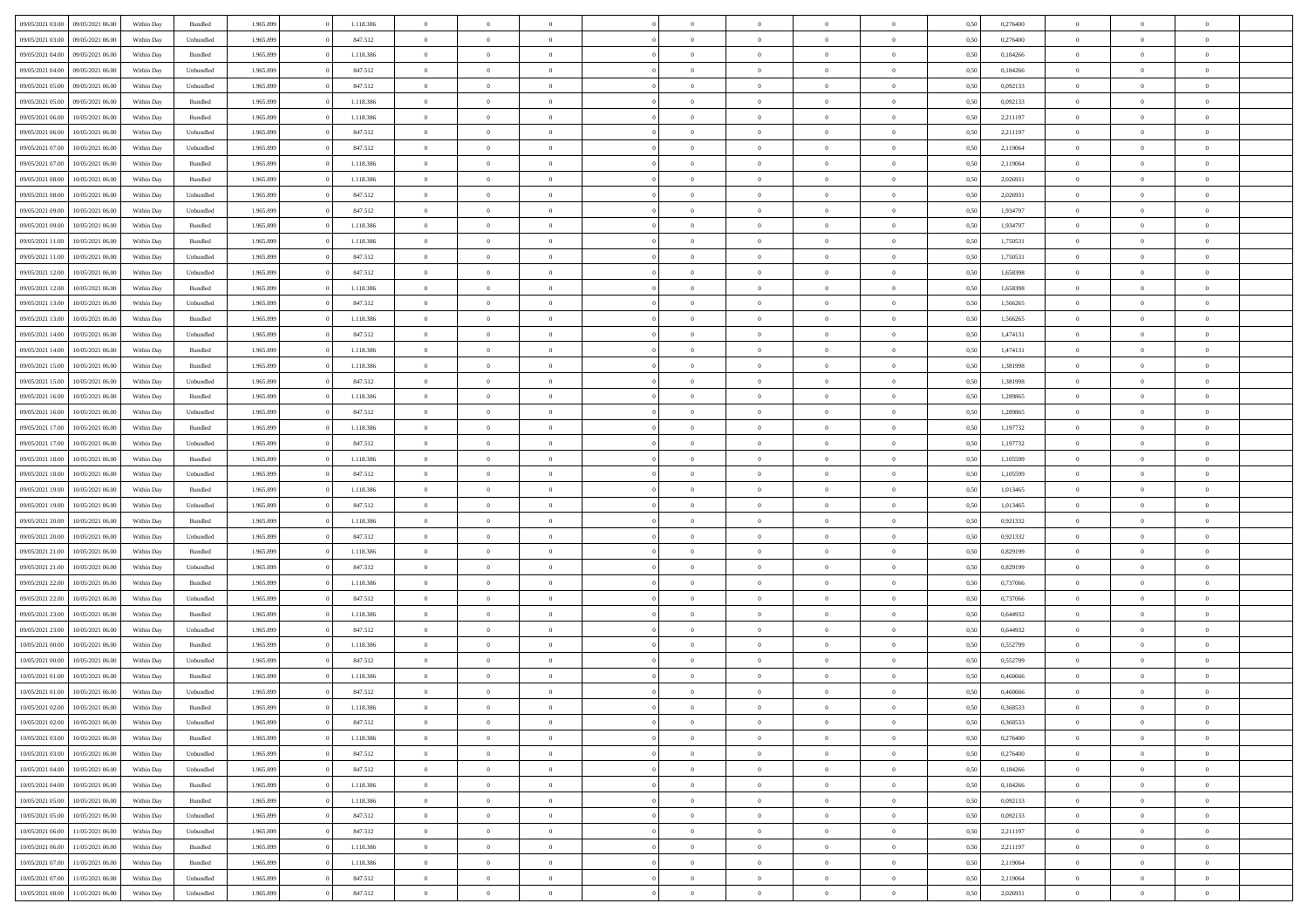| 09/05/2021 03:00 | 09/05/2021 06:00 | Within Day | Bundled   | 1.965.899 | 1.118.386 | $\overline{0}$ | $\theta$       |                | $\Omega$       | $\Omega$       | $\theta$       | $\theta$       | 0,50 | 0,276400 | $\theta$       | $\theta$       | $\theta$       |  |
|------------------|------------------|------------|-----------|-----------|-----------|----------------|----------------|----------------|----------------|----------------|----------------|----------------|------|----------|----------------|----------------|----------------|--|
|                  |                  |            |           |           |           |                |                |                |                |                |                |                |      |          |                |                |                |  |
| 09/05/2021 03:00 | 09/05/2021 06:00 | Within Day | Unbundled | 1.965.899 | 847.512   | $\overline{0}$ | $\theta$       | $\overline{0}$ | $\overline{0}$ | $\bf{0}$       | $\overline{0}$ | $\bf{0}$       | 0,50 | 0,276400 | $\theta$       | $\overline{0}$ | $\overline{0}$ |  |
| 09/05/2021 04:00 | 09/05/2021 06:00 | Within Day | Bundled   | 1.965.899 | 1.118.386 | $\overline{0}$ | $\overline{0}$ | $\overline{0}$ | $\bf{0}$       | $\bf{0}$       | $\bf{0}$       | $\mathbf{0}$   | 0,50 | 0,184266 | $\overline{0}$ | $\overline{0}$ | $\bf{0}$       |  |
| 09/05/2021 04:00 | 09/05/2021 06:00 | Within Day | Unbundled | 1.965.899 | 847.512   | $\overline{0}$ | $\overline{0}$ | $\overline{0}$ | $\overline{0}$ | $\bf{0}$       | $\overline{0}$ | $\overline{0}$ | 0.50 | 0.184266 | $\theta$       | $\theta$       | $\overline{0}$ |  |
| 09/05/2021 05:00 | 09/05/2021 06:00 | Within Day | Unbundled | 1.965.899 | 847.512   | $\overline{0}$ | $\theta$       | $\overline{0}$ | $\overline{0}$ | $\bf{0}$       | $\overline{0}$ | $\bf{0}$       | 0,50 | 0,092133 | $\,$ 0 $\,$    | $\overline{0}$ | $\overline{0}$ |  |
| 09/05/2021 05:00 | 09/05/2021 06:00 | Within Day | Bundled   | 1.965.899 | 1.118.386 | $\overline{0}$ | $\overline{0}$ | $\overline{0}$ | $\bf{0}$       | $\overline{0}$ | $\overline{0}$ | $\mathbf{0}$   | 0,50 | 0,092133 | $\overline{0}$ | $\overline{0}$ | $\bf{0}$       |  |
|                  |                  |            |           |           |           |                | $\overline{0}$ |                |                | $\overline{0}$ |                |                |      |          | $\theta$       | $\overline{0}$ | $\overline{0}$ |  |
| 09/05/2021 06:00 | 10/05/2021 06:00 | Within Dav | Bundled   | 1.965.899 | 1.118.386 | $\overline{0}$ |                | $\overline{0}$ | $\overline{0}$ |                | $\overline{0}$ | $\overline{0}$ | 0.50 | 2,211197 |                |                |                |  |
| 09/05/2021 06:00 | 10/05/2021 06:00 | Within Day | Unbundled | 1.965.899 | 847.512   | $\overline{0}$ | $\theta$       | $\overline{0}$ | $\overline{0}$ | $\bf{0}$       | $\overline{0}$ | $\bf{0}$       | 0,50 | 2,211197 | $\,$ 0 $\,$    | $\theta$       | $\overline{0}$ |  |
| 09/05/2021 07:00 | 10/05/2021 06:00 | Within Day | Unbundled | 1.965.899 | 847.512   | $\overline{0}$ | $\overline{0}$ | $\overline{0}$ | $\bf{0}$       | $\bf{0}$       | $\bf{0}$       | $\mathbf{0}$   | 0,50 | 2,119064 | $\,0\,$        | $\overline{0}$ | $\overline{0}$ |  |
| 09/05/2021 07:00 | 10/05/2021 06:00 | Within Dav | Bundled   | 1.965.899 | 1.118.386 | $\overline{0}$ | $\overline{0}$ | $\overline{0}$ | $\overline{0}$ | $\overline{0}$ | $\overline{0}$ | $\overline{0}$ | 0.50 | 2,119064 | $\theta$       | $\overline{0}$ | $\overline{0}$ |  |
| 09/05/2021 08:00 | 10/05/2021 06:00 | Within Day | Bundled   | 1.965.899 | 1.118.386 | $\overline{0}$ | $\theta$       | $\overline{0}$ | $\overline{0}$ | $\bf{0}$       | $\overline{0}$ | $\bf{0}$       | 0,50 | 2,026931 | $\,$ 0 $\,$    | $\overline{0}$ | $\overline{0}$ |  |
| 09/05/2021 08:00 | 10/05/2021 06:00 | Within Day | Unbundled | 1.965.899 | 847.512   | $\overline{0}$ | $\overline{0}$ | $\overline{0}$ | $\bf{0}$       | $\bf{0}$       | $\bf{0}$       | $\mathbf{0}$   | 0,50 | 2,026931 | $\overline{0}$ | $\overline{0}$ | $\bf{0}$       |  |
| 09/05/2021 09:00 | 10/05/2021 06:00 | Within Day | Unbundled | 1.965.899 | 847.512   | $\overline{0}$ | $\overline{0}$ | $\overline{0}$ | $\overline{0}$ | $\bf{0}$       | $\overline{0}$ | $\overline{0}$ | 0.50 | 1,934797 | $\theta$       | $\theta$       | $\overline{0}$ |  |
| 09/05/2021 09:00 | 10/05/2021 06:00 |            |           | 1.965.899 | 1.118.386 | $\overline{0}$ | $\theta$       | $\overline{0}$ | $\overline{0}$ | $\bf{0}$       | $\overline{0}$ |                |      | 1,934797 | $\theta$       | $\overline{0}$ | $\overline{0}$ |  |
|                  |                  | Within Day | Bundled   |           |           |                |                |                |                |                |                | $\bf{0}$       | 0,50 |          |                |                |                |  |
| 09/05/2021 11:00 | 10/05/2021 06:00 | Within Day | Bundled   | 1.965.899 | 1.118.386 | $\overline{0}$ | $\overline{0}$ | $\overline{0}$ | $\bf{0}$       | $\overline{0}$ | $\overline{0}$ | $\mathbf{0}$   | 0,50 | 1,750531 | $\overline{0}$ | $\overline{0}$ | $\bf{0}$       |  |
| 09/05/2021 11:00 | 10/05/2021 06:00 | Within Dav | Unbundled | 1.965.899 | 847.512   | $\overline{0}$ | $\overline{0}$ | $\overline{0}$ | $\overline{0}$ | $\overline{0}$ | $\overline{0}$ | $\overline{0}$ | 0.50 | 1,750531 | $\theta$       | $\overline{0}$ | $\overline{0}$ |  |
| 09/05/2021 12:00 | 10/05/2021 06:00 | Within Day | Unbundled | 1.965.899 | 847.512   | $\overline{0}$ | $\theta$       | $\overline{0}$ | $\overline{0}$ | $\bf{0}$       | $\overline{0}$ | $\bf{0}$       | 0,50 | 1,658398 | $\,$ 0 $\,$    | $\overline{0}$ | $\overline{0}$ |  |
| 09/05/2021 12:00 | 10/05/2021 06:00 | Within Day | Bundled   | 1.965.899 | 1.118.386 | $\overline{0}$ | $\overline{0}$ | $\overline{0}$ | $\bf{0}$       | $\bf{0}$       | $\bf{0}$       | $\mathbf{0}$   | 0,50 | 1,658398 | $\bf{0}$       | $\overline{0}$ | $\bf{0}$       |  |
| 09/05/2021 13:00 | 10/05/2021 06:00 | Within Dav | Unbundled | 1.965.899 | 847.512   | $\overline{0}$ | $\overline{0}$ | $\overline{0}$ | $\overline{0}$ | $\overline{0}$ | $\overline{0}$ | $\overline{0}$ | 0.50 | 1,566265 | $\theta$       | $\overline{0}$ | $\overline{0}$ |  |
| 09/05/2021 13:00 | 10/05/2021 06:00 | Within Day | Bundled   | 1.965.899 | 1.118.386 | $\overline{0}$ | $\theta$       | $\overline{0}$ | $\overline{0}$ | $\bf{0}$       | $\overline{0}$ | $\bf{0}$       | 0,50 | 1,566265 | $\,$ 0 $\,$    | $\overline{0}$ | $\overline{0}$ |  |
| 09/05/2021 14:00 | 10/05/2021 06:00 | Within Day | Unbundled | 1.965.899 | 847.512   | $\overline{0}$ | $\overline{0}$ | $\overline{0}$ | $\bf{0}$       | $\bf{0}$       | $\bf{0}$       | $\mathbf{0}$   | 0,50 | 1,474131 | $\overline{0}$ | $\overline{0}$ | $\bf{0}$       |  |
|                  | 10/05/2021 06:00 |            | Bundled   | 1.965.899 | 1.118.386 | $\overline{0}$ | $\overline{0}$ | $\overline{0}$ |                | $\overline{0}$ | $\overline{0}$ | $\overline{0}$ | 0.50 | 1,474131 | $\theta$       | $\overline{0}$ | $\overline{0}$ |  |
| 09/05/2021 14:00 |                  | Within Day |           |           |           |                |                |                | $\overline{0}$ |                |                |                |      |          |                |                |                |  |
| 09/05/2021 15:00 | 10/05/2021 06:00 | Within Day | Bundled   | 1.965.899 | 1.118.386 | $\overline{0}$ | $\theta$       | $\overline{0}$ | $\overline{0}$ | $\bf{0}$       | $\overline{0}$ | $\bf{0}$       | 0,50 | 1,381998 | $\,$ 0 $\,$    | $\overline{0}$ | $\overline{0}$ |  |
| 09/05/2021 15:00 | 10/05/2021 06:00 | Within Day | Unbundled | 1.965.899 | 847.512   | $\overline{0}$ | $\overline{0}$ | $\overline{0}$ | $\bf{0}$       | $\overline{0}$ | $\overline{0}$ | $\mathbf{0}$   | 0,50 | 1,381998 | $\bf{0}$       | $\overline{0}$ | $\bf{0}$       |  |
| 09/05/2021 16:00 | 10/05/2021 06:00 | Within Dav | Bundled   | 1.965.899 | 1.118.386 | $\overline{0}$ | $\overline{0}$ | $\overline{0}$ | $\overline{0}$ | $\overline{0}$ | $\overline{0}$ | $\overline{0}$ | 0.50 | 1,289865 | $\theta$       | $\overline{0}$ | $\overline{0}$ |  |
| 09/05/2021 16:00 | 10/05/2021 06:00 | Within Day | Unbundled | 1.965.899 | 847.512   | $\overline{0}$ | $\theta$       | $\overline{0}$ | $\overline{0}$ | $\bf{0}$       | $\overline{0}$ | $\bf{0}$       | 0,50 | 1,289865 | $\,$ 0 $\,$    | $\overline{0}$ | $\overline{0}$ |  |
| 09/05/2021 17:00 | 10/05/2021 06:00 | Within Day | Bundled   | 1.965.899 | 1.118.386 | $\overline{0}$ | $\overline{0}$ | $\overline{0}$ | $\bf{0}$       | $\bf{0}$       | $\bf{0}$       | $\bf{0}$       | 0,50 | 1,197732 | $\,0\,$        | $\overline{0}$ | $\bf{0}$       |  |
| 09/05/2021 17:00 | 10/05/2021 06:00 | Within Day | Unbundled | 1.965.899 | 847.512   | $\overline{0}$ | $\overline{0}$ | $\overline{0}$ | $\overline{0}$ | $\overline{0}$ | $\overline{0}$ | $\overline{0}$ | 0.50 | 1,197732 | $\theta$       | $\overline{0}$ | $\overline{0}$ |  |
| 09/05/2021 18:00 | 10/05/2021 06:00 | Within Day | Bundled   | 1.965.899 | 1.118.386 | $\overline{0}$ | $\overline{0}$ | $\overline{0}$ | $\overline{0}$ | $\bf{0}$       | $\overline{0}$ | $\bf{0}$       | 0,50 | 1,105599 | $\,$ 0 $\,$    | $\overline{0}$ | $\overline{0}$ |  |
|                  |                  |            |           |           |           |                |                |                |                |                |                |                |      |          |                |                |                |  |
| 09/05/2021 18:00 | 10/05/2021 06:00 | Within Day | Unbundled | 1.965.899 | 847.512   | $\overline{0}$ | $\overline{0}$ | $\overline{0}$ | $\bf{0}$       | $\bf{0}$       | $\bf{0}$       | $\bf{0}$       | 0,50 | 1,105599 | $\bf{0}$       | $\overline{0}$ | $\bf{0}$       |  |
| 09/05/2021 19:00 | 10/05/2021 06:00 | Within Day | Bundled   | 1.965.899 | 1.118.386 | $\bf{0}$       | $\Omega$       | $\overline{0}$ | $\Omega$       | $\Omega$       | $\overline{0}$ | $\overline{0}$ | 0,50 | 1,013465 | $\,0\,$        | $\theta$       | $\theta$       |  |
| 09/05/2021 19:00 | 10/05/2021 06:00 | Within Day | Unbundled | 1.965.899 | 847.512   | $\overline{0}$ | $\overline{0}$ | $\overline{0}$ | $\overline{0}$ | $\bf{0}$       | $\overline{0}$ | $\bf{0}$       | 0,50 | 1,013465 | $\,$ 0 $\,$    | $\overline{0}$ | $\overline{0}$ |  |
| 09/05/2021 20.00 | 10/05/2021 06:00 | Within Day | Bundled   | 1.965.899 | 1.118.386 | $\overline{0}$ | $\overline{0}$ | $\overline{0}$ | $\bf{0}$       | $\overline{0}$ | $\overline{0}$ | $\mathbf{0}$   | 0,50 | 0,921332 | $\overline{0}$ | $\overline{0}$ | $\bf{0}$       |  |
| 09/05/2021 20:00 | 10/05/2021 06:00 | Within Day | Unbundled | 1.965.899 | 847.512   | $\overline{0}$ | $\Omega$       | $\Omega$       | $\Omega$       | $\overline{0}$ | $\overline{0}$ | $\overline{0}$ | 0.50 | 0,921332 | $\,$ 0 $\,$    | $\theta$       | $\theta$       |  |
| 09/05/2021 21:00 | 10/05/2021 06:00 | Within Day | Bundled   | 1.965.899 | 1.118.386 | $\overline{0}$ | $\theta$       | $\overline{0}$ | $\overline{0}$ | $\bf{0}$       | $\overline{0}$ | $\bf{0}$       | 0,50 | 0,829199 | $\,$ 0 $\,$    | $\overline{0}$ | $\overline{0}$ |  |
| 09/05/2021 21.00 | 10/05/2021 06:00 | Within Day | Unbundled | 1.965.899 | 847.512   | $\overline{0}$ | $\overline{0}$ | $\overline{0}$ | $\bf{0}$       | $\bf{0}$       | $\bf{0}$       | $\mathbf{0}$   | 0,50 | 0,829199 | $\bf{0}$       | $\overline{0}$ | $\bf{0}$       |  |
| 09/05/2021 22.00 | 10/05/2021 06:00 | Within Day | Bundled   | 1.965.899 | 1.118.386 | $\overline{0}$ | $\Omega$       | $\overline{0}$ | $\Omega$       | $\overline{0}$ | $\overline{0}$ | $\overline{0}$ | 0.50 | 0,737066 | $\,$ 0 $\,$    | $\theta$       | $\theta$       |  |
| 09/05/2021 22:00 | 10/05/2021 06:00 |            |           | 1.965.899 | 847.512   | $\overline{0}$ | $\overline{0}$ | $\overline{0}$ | $\overline{0}$ | $\bf{0}$       | $\overline{0}$ |                |      | 0,737066 | $\,$ 0 $\,$    | $\overline{0}$ | $\overline{0}$ |  |
|                  |                  | Within Day | Unbundled |           |           |                |                |                |                |                |                | $\bf{0}$       | 0,50 |          |                |                |                |  |
| 09/05/2021 23.00 | 10/05/2021 06:00 | Within Day | Bundled   | 1.965.899 | 1.118.386 | $\overline{0}$ | $\overline{0}$ | $\overline{0}$ | $\bf{0}$       | $\bf{0}$       | $\bf{0}$       | $\mathbf{0}$   | 0,50 | 0,644932 | $\overline{0}$ | $\overline{0}$ | $\bf{0}$       |  |
| 09/05/2021 23:00 | 10/05/2021 06:00 | Within Day | Unbundled | 1.965.899 | 847.512   | $\overline{0}$ | $\Omega$       | $\overline{0}$ | $\Omega$       | $\overline{0}$ | $\overline{0}$ | $\overline{0}$ | 0,50 | 0.644932 | $\,0\,$        | $\theta$       | $\theta$       |  |
| 10/05/2021 00:00 | 10/05/2021 06:00 | Within Day | Bundled   | 1.965.899 | 1.118.386 | $\overline{0}$ | $\overline{0}$ | $\overline{0}$ | $\overline{0}$ | $\,$ 0         | $\overline{0}$ | $\bf{0}$       | 0,50 | 0,552799 | $\,$ 0 $\,$    | $\overline{0}$ | $\overline{0}$ |  |
| 10/05/2021 00:00 | 10/05/2021 06:00 | Within Day | Unbundled | 1.965.899 | 847.512   | $\overline{0}$ | $\overline{0}$ | $\overline{0}$ | $\bf{0}$       | $\bf{0}$       | $\overline{0}$ | $\mathbf{0}$   | 0,50 | 0,552799 | $\overline{0}$ | $\overline{0}$ | $\bf{0}$       |  |
| 10/05/2021 01:00 | 10/05/2021 06:00 | Within Day | Bundled   | 1.965.899 | 1.118.386 | $\overline{0}$ | $\Omega$       | $\Omega$       | $\Omega$       | $\Omega$       | $\Omega$       | $\overline{0}$ | 0.50 | 0.460666 | $\theta$       | $\theta$       | $\theta$       |  |
| 10/05/2021 01:00 | 10/05/2021 06:00 | Within Day | Unbundled | 1.965.899 | 847.512   | $\overline{0}$ | $\overline{0}$ | $\overline{0}$ | $\bf{0}$       | $\,$ 0         | $\bf{0}$       | $\bf{0}$       | 0,50 | 0,460666 | $\,0\,$        | $\,$ 0 $\,$    | $\overline{0}$ |  |
| 10/05/2021 02:00 | 10/05/2021 06:00 | Within Day | Bundled   | 1.965.899 | 1.118.386 | $\bf{0}$       | $\bf{0}$       |                |                | $\bf{0}$       |                |                | 0,50 | 0,368533 | $\bf{0}$       | $\overline{0}$ |                |  |
| 10/05/2021 02:00 | 10/05/2021 06:00 | Within Day | Unbundled | 1.965.899 | 847.512   | $\overline{0}$ | $\overline{0}$ | $\overline{0}$ | $\Omega$       | $\overline{0}$ | $\overline{0}$ | $\overline{0}$ | 0.50 | 0.368533 | $\theta$       | $\theta$       | $\Omega$       |  |
|                  |                  |            |           |           |           |                |                |                |                |                |                |                |      |          |                |                |                |  |
| 10/05/2021 03:00 | 10/05/2021 06:00 | Within Day | Bundled   | 1.965.899 | 1.118.386 | $\overline{0}$ | $\bf{0}$       | $\overline{0}$ | $\bf{0}$       | $\,$ 0 $\,$    | $\overline{0}$ | $\,$ 0 $\,$    | 0,50 | 0,276400 | $\,$ 0 $\,$    | $\,$ 0 $\,$    | $\,$ 0         |  |
| 10/05/2021 03:00 | 10/05/2021 06:00 | Within Day | Unbundled | 1.965.899 | 847.512   | $\overline{0}$ | $\overline{0}$ | $\overline{0}$ | $\overline{0}$ | $\overline{0}$ | $\overline{0}$ | $\mathbf{0}$   | 0,50 | 0,276400 | $\overline{0}$ | $\bf{0}$       | $\overline{0}$ |  |
| 10/05/2021 04:00 | 10/05/2021 06:00 | Within Day | Unbundled | 1.965.899 | 847.512   | $\overline{0}$ | $\overline{0}$ | $\overline{0}$ | $\Omega$       | $\overline{0}$ | $\overline{0}$ | $\overline{0}$ | 0,50 | 0,184266 | $\overline{0}$ | $\theta$       | $\overline{0}$ |  |
| 10/05/2021 04:00 | 10/05/2021 06:00 | Within Day | Bundled   | 1.965.899 | 1.118.386 | $\overline{0}$ | $\,$ 0         | $\overline{0}$ | $\overline{0}$ | $\,$ 0 $\,$    | $\overline{0}$ | $\mathbf{0}$   | 0,50 | 0,184266 | $\,$ 0 $\,$    | $\overline{0}$ | $\overline{0}$ |  |
| 10/05/2021 05:00 | 10/05/2021 06:00 | Within Day | Bundled   | 1.965.899 | 1.118.386 | $\overline{0}$ | $\overline{0}$ | $\overline{0}$ | $\overline{0}$ | $\overline{0}$ | $\overline{0}$ | $\mathbf{0}$   | 0,50 | 0,092133 | $\overline{0}$ | $\overline{0}$ | $\bf{0}$       |  |
| 10/05/2021 05:00 | 10/05/2021 06:00 | Within Day | Unbundled | 1.965.899 | 847.512   | $\overline{0}$ | $\overline{0}$ | $\overline{0}$ | $\overline{0}$ | $\overline{0}$ | $\overline{0}$ | $\bf{0}$       | 0.50 | 0,092133 | $\overline{0}$ | $\theta$       | $\overline{0}$ |  |
| 10/05/2021 06:00 | 11/05/2021 06:00 | Within Day | Unbundled | 1.965.899 | 847.512   | $\overline{0}$ | $\,$ 0         | $\overline{0}$ | $\bf{0}$       | $\bf{0}$       | $\bf{0}$       | $\bf{0}$       | 0,50 | 2,211197 | $\,$ 0 $\,$    | $\overline{0}$ | $\overline{0}$ |  |
| 10/05/2021 06:00 | 11/05/2021 06:00 | Within Day | Bundled   | 1.965.899 | 1.118.386 | $\overline{0}$ | $\bf{0}$       | $\overline{0}$ | $\overline{0}$ | $\overline{0}$ | $\overline{0}$ | $\mathbf{0}$   | 0,50 | 2,211197 | $\overline{0}$ | $\overline{0}$ | $\bf{0}$       |  |
|                  |                  |            |           |           |           |                |                |                |                |                |                |                |      |          |                |                |                |  |
| 10/05/2021 07:00 | 11/05/2021 06:00 | Within Day | Bundled   | 1.965.899 | 1.118.386 | $\overline{0}$ | $\overline{0}$ | $\overline{0}$ | $\Omega$       | $\overline{0}$ | $\overline{0}$ | $\overline{0}$ | 0.50 | 2,119064 | $\overline{0}$ | $\overline{0}$ | $\overline{0}$ |  |
| 10/05/2021 07:00 | 11/05/2021 06:00 | Within Day | Unbundled | 1.965.899 | 847.512   | $\overline{0}$ | $\bf{0}$       | $\overline{0}$ | $\bf{0}$       | $\bf{0}$       | $\bf{0}$       | $\mathbf{0}$   | 0,50 | 2,119064 | $\,$ 0 $\,$    | $\,$ 0 $\,$    | $\bf{0}$       |  |
| 10/05/2021 08:00 | 11/05/2021 06:00 | Within Day | Unbundled | 1.965.899 | 847.512   | $\overline{0}$ | $\overline{0}$ | $\overline{0}$ | $\overline{0}$ | $\overline{0}$ | $\bf{0}$       | $\mathbf{0}$   | 0,50 | 2,026931 | $\overline{0}$ | $\bf{0}$       | $\bf{0}$       |  |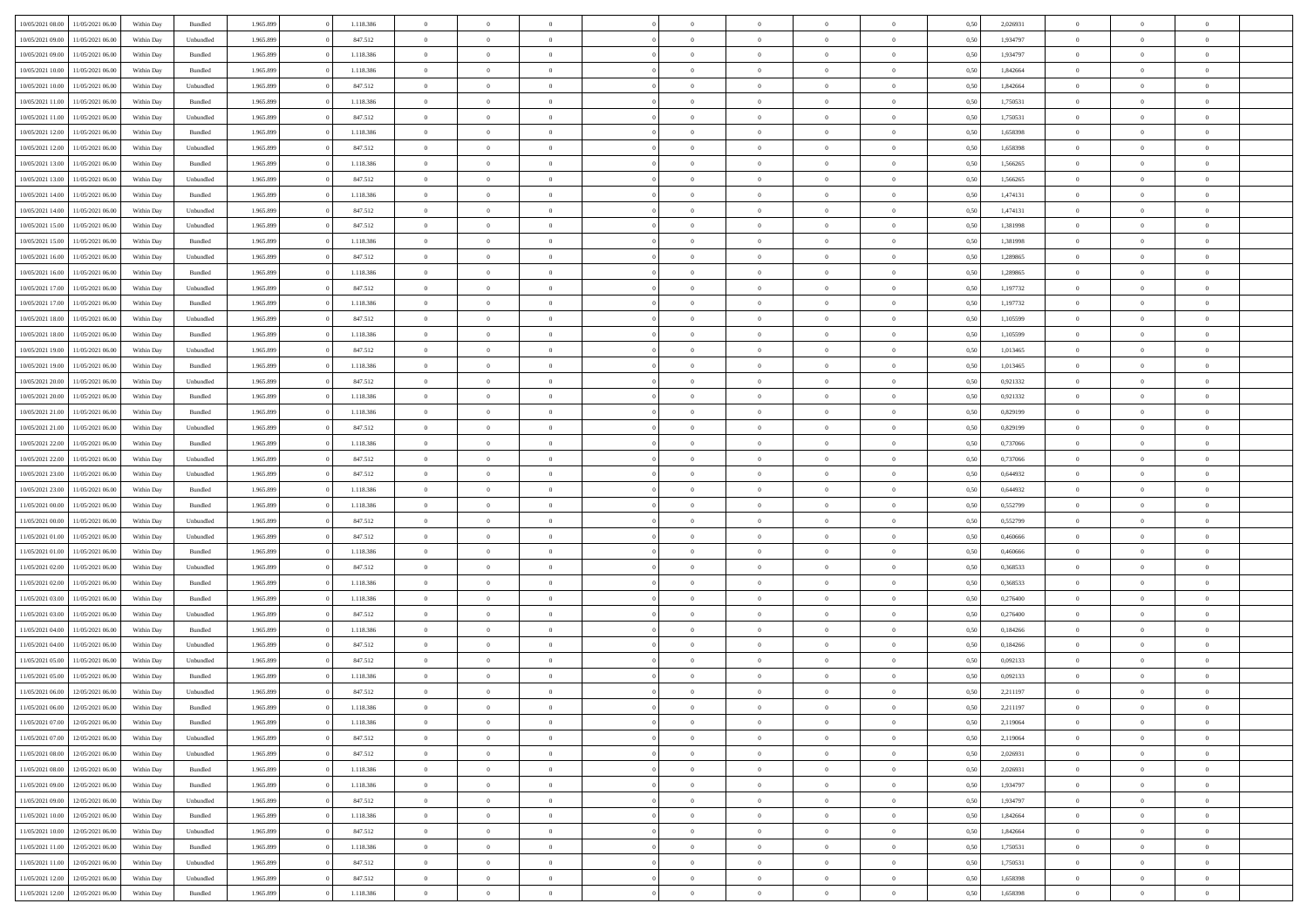| 10/05/2021 08:00 | 11/05/2021 06:00 | Within Day | Bundled            | 1.965.899 | 1.118.386 | $\overline{0}$ | $\theta$       |                | $\Omega$       | $\Omega$       | $\theta$       | $\theta$       | 0,50 | 2,026931 | $\theta$       | $\overline{0}$ | $\theta$       |  |
|------------------|------------------|------------|--------------------|-----------|-----------|----------------|----------------|----------------|----------------|----------------|----------------|----------------|------|----------|----------------|----------------|----------------|--|
|                  |                  |            |                    |           |           |                |                |                |                |                |                |                |      |          |                |                |                |  |
| 10/05/2021 09:00 | 11/05/2021 06:00 | Within Day | Unbundled          | 1.965.899 | 847.512   | $\overline{0}$ | $\theta$       | $\overline{0}$ | $\overline{0}$ | $\bf{0}$       | $\overline{0}$ | $\bf{0}$       | 0,50 | 1,934797 | $\theta$       | $\overline{0}$ | $\overline{0}$ |  |
| 10/05/2021 09:00 | 11/05/2021 06:00 | Within Day | Bundled            | 1.965.899 | 1.118.386 | $\overline{0}$ | $\overline{0}$ | $\overline{0}$ | $\bf{0}$       | $\bf{0}$       | $\bf{0}$       | $\mathbf{0}$   | 0,50 | 1,934797 | $\bf{0}$       | $\overline{0}$ | $\bf{0}$       |  |
| 10/05/2021 10:00 | 11/05/2021 06:00 | Within Dav | Bundled            | 1.965.899 | 1.118.386 | $\overline{0}$ | $\overline{0}$ | $\overline{0}$ | $\overline{0}$ | $\bf{0}$       | $\overline{0}$ | $\overline{0}$ | 0.50 | 1.842664 | $\theta$       | $\overline{0}$ | $\overline{0}$ |  |
|                  |                  |            |                    |           |           | $\overline{0}$ | $\theta$       | $\overline{0}$ | $\overline{0}$ | $\bf{0}$       | $\overline{0}$ |                |      |          | $\,$ 0 $\,$    | $\overline{0}$ | $\overline{0}$ |  |
| 10/05/2021 10:00 | 11/05/2021 06:00 | Within Day | Unbundled          | 1.965.899 | 847.512   |                |                |                |                |                |                | $\bf{0}$       | 0,50 | 1,842664 |                |                |                |  |
| 10/05/2021 11:00 | 11/05/2021 06:00 | Within Day | Bundled            | 1.965.899 | 1.118.386 | $\overline{0}$ | $\overline{0}$ | $\overline{0}$ | $\bf{0}$       | $\overline{0}$ | $\overline{0}$ | $\mathbf{0}$   | 0,50 | 1,750531 | $\bf{0}$       | $\overline{0}$ | $\bf{0}$       |  |
| 10/05/2021 11:00 | 11/05/2021 06:00 | Within Dav | Unbundled          | 1.965.899 | 847.512   | $\overline{0}$ | $\overline{0}$ | $\overline{0}$ | $\overline{0}$ | $\overline{0}$ | $\overline{0}$ | $\overline{0}$ | 0.50 | 1,750531 | $\theta$       | $\overline{0}$ | $\overline{0}$ |  |
| 10/05/2021 12:00 | 11/05/2021 06:00 | Within Day | Bundled            | 1.965.899 | 1.118.386 | $\overline{0}$ | $\theta$       | $\overline{0}$ | $\overline{0}$ | $\bf{0}$       | $\overline{0}$ | $\bf{0}$       | 0,50 | 1,658398 | $\,$ 0 $\,$    | $\theta$       | $\overline{0}$ |  |
| 10/05/2021 12:00 | 11/05/2021 06:00 | Within Day | Unbundled          | 1.965.899 | 847.512   | $\overline{0}$ | $\overline{0}$ | $\overline{0}$ | $\bf{0}$       | $\bf{0}$       | $\bf{0}$       | $\mathbf{0}$   | 0,50 | 1,658398 | $\,0\,$        | $\overline{0}$ | $\overline{0}$ |  |
|                  |                  |            |                    |           |           |                |                |                |                |                |                |                |      |          |                |                |                |  |
| 10/05/2021 13:00 | 11/05/2021 06:00 | Within Dav | Bundled            | 1.965.899 | 1.118.386 | $\overline{0}$ | $\overline{0}$ | $\overline{0}$ | $\overline{0}$ | $\overline{0}$ | $\overline{0}$ | $\overline{0}$ | 0.50 | 1,566265 | $\theta$       | $\overline{0}$ | $\overline{0}$ |  |
| 10/05/2021 13:00 | 11/05/2021 06:00 | Within Day | Unbundled          | 1.965.899 | 847.512   | $\overline{0}$ | $\theta$       | $\overline{0}$ | $\overline{0}$ | $\bf{0}$       | $\overline{0}$ | $\bf{0}$       | 0,50 | 1,566265 | $\,$ 0 $\,$    | $\overline{0}$ | $\overline{0}$ |  |
| 10/05/2021 14:00 | 11/05/2021 06:00 | Within Day | Bundled            | 1.965.899 | 1.118.386 | $\overline{0}$ | $\overline{0}$ | $\overline{0}$ | $\bf{0}$       | $\overline{0}$ | $\bf{0}$       | $\mathbf{0}$   | 0,50 | 1,474131 | $\overline{0}$ | $\overline{0}$ | $\bf{0}$       |  |
| 10/05/2021 14:00 | 11/05/2021 06:00 | Within Day | Unbundled          | 1.965.899 | 847.512   | $\overline{0}$ | $\overline{0}$ | $\overline{0}$ | $\overline{0}$ | $\overline{0}$ | $\overline{0}$ | $\overline{0}$ | 0.50 | 1,474131 | $\theta$       | $\theta$       | $\overline{0}$ |  |
| 10/05/2021 15:00 | 11/05/2021 06:00 | Within Day | Unbundled          | 1.965.899 | 847.512   | $\overline{0}$ | $\theta$       | $\overline{0}$ | $\overline{0}$ | $\bf{0}$       | $\overline{0}$ | $\bf{0}$       | 0,50 | 1,381998 | $\,$ 0 $\,$    | $\overline{0}$ | $\overline{0}$ |  |
|                  |                  |            |                    |           |           |                |                |                |                |                |                |                |      |          |                |                |                |  |
| 10/05/2021 15:00 | 11/05/2021 06:00 | Within Day | Bundled            | 1.965.899 | 1.118.386 | $\overline{0}$ | $\overline{0}$ | $\overline{0}$ | $\bf{0}$       | $\overline{0}$ | $\overline{0}$ | $\mathbf{0}$   | 0,50 | 1,381998 | $\overline{0}$ | $\overline{0}$ | $\bf{0}$       |  |
| 10/05/2021 16:00 | 11/05/2021 06:00 | Within Dav | Unbundled          | 1.965.899 | 847.512   | $\overline{0}$ | $\overline{0}$ | $\overline{0}$ | $\overline{0}$ | $\overline{0}$ | $\overline{0}$ | $\overline{0}$ | 0.50 | 1,289865 | $\overline{0}$ | $\overline{0}$ | $\overline{0}$ |  |
| 10/05/2021 16:00 | 11/05/2021 06:00 | Within Day | Bundled            | 1.965.899 | 1.118.386 | $\overline{0}$ | $\theta$       | $\overline{0}$ | $\overline{0}$ | $\bf{0}$       | $\overline{0}$ | $\bf{0}$       | 0,50 | 1,289865 | $\,$ 0 $\,$    | $\overline{0}$ | $\overline{0}$ |  |
| 10/05/2021 17:00 | 11/05/2021 06:00 | Within Day | Unbundled          | 1.965.899 | 847.512   | $\overline{0}$ | $\overline{0}$ | $\overline{0}$ | $\bf{0}$       | $\overline{0}$ | $\bf{0}$       | $\mathbf{0}$   | 0,50 | 1,197732 | $\bf{0}$       | $\overline{0}$ | $\bf{0}$       |  |
| 10/05/2021 17:00 | 11/05/2021 06:00 |            | Bundled            | 1.965.899 | 1.118.386 | $\overline{0}$ | $\overline{0}$ | $\overline{0}$ | $\overline{0}$ | $\overline{0}$ | $\overline{0}$ | $\overline{0}$ | 0.50 | 1,197732 | $\theta$       | $\overline{0}$ | $\overline{0}$ |  |
|                  |                  | Within Day |                    |           |           |                |                |                |                |                |                |                |      |          |                |                |                |  |
| 10/05/2021 18:00 | 11/05/2021 06:00 | Within Day | Unbundled          | 1.965.899 | 847.512   | $\overline{0}$ | $\theta$       | $\overline{0}$ | $\overline{0}$ | $\bf{0}$       | $\overline{0}$ | $\bf{0}$       | 0,50 | 1,105599 | $\,$ 0 $\,$    | $\overline{0}$ | $\overline{0}$ |  |
| 10/05/2021 18:00 | 11/05/2021 06:00 | Within Day | Bundled            | 1.965.899 | 1.118.386 | $\overline{0}$ | $\overline{0}$ | $\overline{0}$ | $\bf{0}$       | $\bf{0}$       | $\overline{0}$ | $\mathbf{0}$   | 0,50 | 1,105599 | $\bf{0}$       | $\overline{0}$ | $\bf{0}$       |  |
| 10/05/2021 19:00 | 11/05/2021 06:00 | Within Day | Unbundled          | 1.965.899 | 847.512   | $\overline{0}$ | $\overline{0}$ | $\overline{0}$ | $\overline{0}$ | $\overline{0}$ | $\overline{0}$ | $\overline{0}$ | 0.50 | 1,013465 | $\theta$       | $\overline{0}$ | $\overline{0}$ |  |
| 10/05/2021 19:00 | 11/05/2021 06:00 | Within Day | Bundled            | 1.965.899 | 1.118.386 | $\overline{0}$ | $\theta$       | $\overline{0}$ | $\overline{0}$ | $\bf{0}$       | $\overline{0}$ | $\bf{0}$       | 0,50 | 1,013465 | $\,$ 0 $\,$    | $\overline{0}$ | $\overline{0}$ |  |
|                  |                  |            |                    |           |           |                |                |                |                |                |                |                |      |          |                |                |                |  |
| 10/05/2021 20:00 | 11/05/2021 06:00 | Within Day | Unbundled          | 1.965.899 | 847.512   | $\overline{0}$ | $\overline{0}$ | $\overline{0}$ | $\bf{0}$       | $\overline{0}$ | $\overline{0}$ | $\mathbf{0}$   | 0,50 | 0,921332 | $\bf{0}$       | $\overline{0}$ | $\bf{0}$       |  |
| 10/05/2021 20:00 | 11/05/2021 06:00 | Within Dav | Bundled            | 1.965.899 | 1.118.386 | $\overline{0}$ | $\overline{0}$ | $\overline{0}$ | $\overline{0}$ | $\overline{0}$ | $\overline{0}$ | $\overline{0}$ | 0.50 | 0.921332 | $\theta$       | $\overline{0}$ | $\overline{0}$ |  |
| 10/05/2021 21:00 | 11/05/2021 06:00 | Within Day | Bundled            | 1.965.899 | 1.118.386 | $\overline{0}$ | $\theta$       | $\overline{0}$ | $\overline{0}$ | $\bf{0}$       | $\overline{0}$ | $\bf{0}$       | 0,50 | 0,829199 | $\,$ 0 $\,$    | $\overline{0}$ | $\overline{0}$ |  |
| 10/05/2021 21:00 | 11/05/2021 06:00 | Within Day | Unbundled          | 1.965.899 | 847.512   | $\overline{0}$ | $\overline{0}$ | $\overline{0}$ | $\bf{0}$       | $\bf{0}$       | $\bf{0}$       | $\mathbf{0}$   | 0,50 | 0,829199 | $\,0\,$        | $\overline{0}$ | $\bf{0}$       |  |
| 10/05/2021 22:00 | 11/05/2021 06:00 | Within Day | Bundled            | 1.965.899 | 1.118.386 | $\overline{0}$ | $\overline{0}$ | $\overline{0}$ | $\overline{0}$ | $\overline{0}$ | $\overline{0}$ | $\overline{0}$ | 0.50 | 0,737066 | $\theta$       | $\overline{0}$ | $\overline{0}$ |  |
|                  |                  |            |                    |           |           |                |                |                |                |                |                |                |      |          |                |                |                |  |
| 10/05/2021 22:00 | 11/05/2021 06:00 | Within Day | Unbundled          | 1.965.899 | 847.512   | $\overline{0}$ | $\overline{0}$ | $\overline{0}$ | $\overline{0}$ | $\bf{0}$       | $\overline{0}$ | $\bf{0}$       | 0,50 | 0,737066 | $\,$ 0 $\,$    | $\overline{0}$ | $\overline{0}$ |  |
| 10/05/2021 23:00 | 11/05/2021 06:00 | Within Day | Unbundled          | 1.965.899 | 847.512   | $\overline{0}$ | $\overline{0}$ | $\overline{0}$ | $\bf{0}$       | $\overline{0}$ | $\bf{0}$       | $\mathbf{0}$   | 0,50 | 0,644932 | $\bf{0}$       | $\overline{0}$ | $\bf{0}$       |  |
| 10/05/2021 23:00 | 11/05/2021 06.00 | Within Day | Bundled            | 1.965.899 | 1.118.386 | $\bf{0}$       | $\Omega$       | $\overline{0}$ | $\Omega$       | $\Omega$       | $\overline{0}$ | $\overline{0}$ | 0,50 | 0.644932 | $\,0\,$        | $\theta$       | $\theta$       |  |
| 11/05/2021 00:00 | 11/05/2021 06:00 | Within Day | Bundled            | 1.965.899 | 1.118.386 | $\overline{0}$ | $\overline{0}$ | $\overline{0}$ | $\overline{0}$ | $\bf{0}$       | $\overline{0}$ | $\bf{0}$       | 0,50 | 0,552799 | $\,$ 0 $\,$    | $\overline{0}$ | $\overline{0}$ |  |
| 11/05/2021 00:00 | 11/05/2021 06:00 | Within Day | Unbundled          | 1.965.899 | 847.512   | $\overline{0}$ | $\overline{0}$ | $\overline{0}$ | $\bf{0}$       | $\overline{0}$ | $\overline{0}$ | $\mathbf{0}$   | 0,50 | 0,552799 | $\bf{0}$       | $\overline{0}$ | $\bf{0}$       |  |
|                  |                  |            |                    |           |           |                |                |                |                |                |                |                |      |          |                |                |                |  |
| 11/05/2021 01:00 | 11/05/2021 06:00 | Within Day | Unbundled          | 1.965.899 | 847.512   | $\overline{0}$ | $\Omega$       | $\overline{0}$ | $\Omega$       | $\overline{0}$ | $\overline{0}$ | $\overline{0}$ | 0.50 | 0.460666 | $\,0\,$        | $\theta$       | $\theta$       |  |
| 11/05/2021 01:00 | 11/05/2021 06:00 | Within Day | Bundled            | 1.965.899 | 1.118.386 | $\overline{0}$ | $\theta$       | $\overline{0}$ | $\overline{0}$ | $\bf{0}$       | $\overline{0}$ | $\bf{0}$       | 0,50 | 0,460666 | $\,$ 0 $\,$    | $\overline{0}$ | $\overline{0}$ |  |
| 11/05/2021 02:00 | 11/05/2021 06:00 | Within Day | Unbundled          | 1.965.899 | 847.512   | $\overline{0}$ | $\overline{0}$ | $\overline{0}$ | $\bf{0}$       | $\bf{0}$       | $\bf{0}$       | $\mathbf{0}$   | 0,50 | 0,368533 | $\bf{0}$       | $\overline{0}$ | $\bf{0}$       |  |
| 11/05/2021 02:00 | 11/05/2021 06:00 | Within Day | Bundled            | 1.965.899 | 1.118.386 | $\overline{0}$ | $\Omega$       | $\overline{0}$ | $\Omega$       | $\overline{0}$ | $\overline{0}$ | $\overline{0}$ | 0.50 | 0.368533 | $\,$ 0 $\,$    | $\theta$       | $\theta$       |  |
| 11/05/2021 03:00 | 11/05/2021 06:00 | Within Day | Bundled            | 1.965.899 | 1.118.386 | $\overline{0}$ | $\,$ 0         | $\overline{0}$ | $\overline{0}$ | $\,$ 0         | $\overline{0}$ | $\bf{0}$       | 0,50 | 0,276400 | $\,$ 0 $\,$    | $\overline{0}$ | $\overline{0}$ |  |
|                  |                  |            |                    |           |           |                |                |                |                | $\bf{0}$       |                |                |      |          |                | $\overline{0}$ | $\bf{0}$       |  |
| 11/05/2021 03:00 | 11/05/2021 06:00 | Within Day | Unbundled          | 1.965.899 | 847.512   | $\overline{0}$ | $\overline{0}$ | $\overline{0}$ | $\bf{0}$       |                | $\overline{0}$ | $\mathbf{0}$   | 0,50 | 0,276400 | $\overline{0}$ |                |                |  |
| 11/05/2021 04:00 | 11/05/2021 06.00 | Within Day | $\mathbf B$ undled | 1.965.899 | 1.118.386 | $\overline{0}$ | $\Omega$       | $\overline{0}$ | $\Omega$       | $\overline{0}$ | $\overline{0}$ | $\overline{0}$ | 0,50 | 0,184266 | $\,0\,$        | $\theta$       | $\theta$       |  |
| 11/05/2021 04:00 | 11/05/2021 06:00 | Within Day | Unbundled          | 1.965.899 | 847.512   | $\overline{0}$ | $\overline{0}$ | $\overline{0}$ | $\overline{0}$ | $\,$ 0         | $\overline{0}$ | $\bf{0}$       | 0,50 | 0,184266 | $\,$ 0 $\,$    | $\overline{0}$ | $\overline{0}$ |  |
| 11/05/2021 05:00 | 11/05/2021 06:00 | Within Day | Unbundled          | 1.965.899 | 847.512   | $\overline{0}$ | $\overline{0}$ | $\overline{0}$ | $\bf{0}$       | $\bf{0}$       | $\overline{0}$ | $\mathbf{0}$   | 0,50 | 0,092133 | $\overline{0}$ | $\overline{0}$ | $\bf{0}$       |  |
| 11/05/2021 05:00 | 11/05/2021 06.00 | Within Day | Bundled            | 1.965.899 | 1.118.386 | $\overline{0}$ | $\Omega$       | $\Omega$       | $\Omega$       | $\Omega$       | $\Omega$       | $\overline{0}$ | 0.50 | 0.092133 | $\theta$       | $\theta$       | $\theta$       |  |
| 11/05/2021 06:00 | 12/05/2021 06:00 | Within Day | Unbundled          | 1.965.899 | 847.512   | $\overline{0}$ | $\overline{0}$ | $\bf{0}$       | $\bf{0}$       | $\,$ 0         | $\bf{0}$       | $\bf{0}$       | 0,50 | 2,211197 | $\,0\,$        | $\,0\,$        | $\overline{0}$ |  |
|                  |                  |            |                    |           |           |                |                |                |                |                |                |                |      |          |                |                |                |  |
| 11/05/2021 06:00 | 12/05/2021 06:00 | Within Day | $\mathbf B$ undled | 1.965.899 | 1.118.386 | $\bf{0}$       | $\bf{0}$       |                |                | $\bf{0}$       |                |                | 0,50 | 2,211197 | $\bf{0}$       | $\overline{0}$ |                |  |
| 11/05/2021 07:00 | 12/05/2021 06:00 | Within Day | Bundled            | 1.965.899 | 1.118.386 | $\overline{0}$ | $\overline{0}$ | $\overline{0}$ | $\Omega$       | $\overline{0}$ | $\overline{0}$ | $\overline{0}$ | 0.50 | 2,119064 | $\theta$       | $\theta$       | $\theta$       |  |
| 11/05/2021 07:00 | 12/05/2021 06:00 | Within Day | Unbundled          | 1.965.899 | 847.512   | $\overline{0}$ | $\,$ 0         | $\overline{0}$ | $\bf{0}$       | $\,$ 0 $\,$    | $\overline{0}$ | $\,$ 0 $\,$    | 0,50 | 2,119064 | $\,$ 0 $\,$    | $\,$ 0 $\,$    | $\,$ 0         |  |
| 11/05/2021 08:00 | 12/05/2021 06:00 | Within Day | Unbundled          | 1.965.899 | 847.512   | $\overline{0}$ | $\overline{0}$ | $\overline{0}$ | $\overline{0}$ | $\overline{0}$ | $\overline{0}$ | $\mathbf{0}$   | 0,50 | 2,026931 | $\overline{0}$ | $\bf{0}$       | $\overline{0}$ |  |
| 11/05/2021 08:00 | 12/05/2021 06:00 | Within Day | Bundled            | 1.965.899 | 1.118.386 | $\overline{0}$ | $\overline{0}$ | $\overline{0}$ | $\Omega$       | $\overline{0}$ | $\overline{0}$ | $\overline{0}$ | 0,50 | 2,026931 | $\overline{0}$ | $\theta$       | $\overline{0}$ |  |
|                  |                  |            |                    |           |           |                |                |                |                |                |                |                |      |          |                |                |                |  |
| 11/05/2021 09:00 | 12/05/2021 06:00 | Within Day | Bundled            | 1.965.899 | 1.118.386 | $\overline{0}$ | $\,$ 0         | $\overline{0}$ | $\overline{0}$ | $\,$ 0 $\,$    | $\overline{0}$ | $\mathbf{0}$   | 0,50 | 1,934797 | $\,$ 0 $\,$    | $\overline{0}$ | $\overline{0}$ |  |
| 11/05/2021 09:00 | 12/05/2021 06:00 | Within Day | Unbundled          | 1.965.899 | 847.512   | $\overline{0}$ | $\overline{0}$ | $\overline{0}$ | $\overline{0}$ | $\overline{0}$ | $\overline{0}$ | $\mathbf{0}$   | 0,50 | 1,934797 | $\overline{0}$ | $\overline{0}$ | $\bf{0}$       |  |
| 11/05/2021 10:00 | 12/05/2021 06:00 | Within Day | Bundled            | 1.965.899 | 1.118.386 | $\overline{0}$ | $\overline{0}$ | $\overline{0}$ | $\overline{0}$ | $\overline{0}$ | $\overline{0}$ | $\bf{0}$       | 0.50 | 1,842664 | $\overline{0}$ | $\theta$       | $\overline{0}$ |  |
| 11/05/2021 10:00 | 12/05/2021 06:00 | Within Day | Unbundled          | 1.965.899 | 847.512   | $\overline{0}$ | $\,$ 0         | $\overline{0}$ | $\bf{0}$       | $\bf{0}$       | $\bf{0}$       | $\bf{0}$       | 0,50 | 1,842664 | $\,$ 0 $\,$    | $\overline{0}$ | $\overline{0}$ |  |
| 11/05/2021 11:00 | 12/05/2021 06:00 | Within Day | Bundled            | 1.965.899 | 1.118.386 | $\overline{0}$ | $\bf{0}$       | $\overline{0}$ | $\overline{0}$ | $\overline{0}$ | $\overline{0}$ | $\mathbf{0}$   | 0,50 | 1,750531 | $\overline{0}$ | $\overline{0}$ | $\bf{0}$       |  |
|                  |                  |            |                    |           |           |                |                |                |                |                |                |                |      |          |                |                |                |  |
| 11/05/2021 11:00 | 12/05/2021 06:00 | Within Day | Unbundled          | 1.965.899 | 847.512   | $\overline{0}$ | $\overline{0}$ | $\overline{0}$ | $\Omega$       | $\overline{0}$ | $\overline{0}$ | $\overline{0}$ | 0.50 | 1,750531 | $\overline{0}$ | $\overline{0}$ | $\overline{0}$ |  |
| 11/05/2021 12:00 | 12/05/2021 06:00 | Within Day | Unbundled          | 1.965.899 | 847.512   | $\overline{0}$ | $\bf{0}$       | $\overline{0}$ | $\overline{0}$ | $\bf{0}$       | $\bf{0}$       | $\mathbf{0}$   | 0,50 | 1,658398 | $\,$ 0 $\,$    | $\,$ 0 $\,$    | $\bf{0}$       |  |
| 11/05/2021 12:00 | 12/05/2021 06:00 | Within Day | Bundled            | 1.965.899 | 1.118.386 | $\overline{0}$ | $\bf{0}$       | $\overline{0}$ | $\bf{0}$       | $\bf{0}$       | $\bf{0}$       | $\bf{0}$       | 0,50 | 1,658398 | $\overline{0}$ | $\overline{0}$ | $\bf{0}$       |  |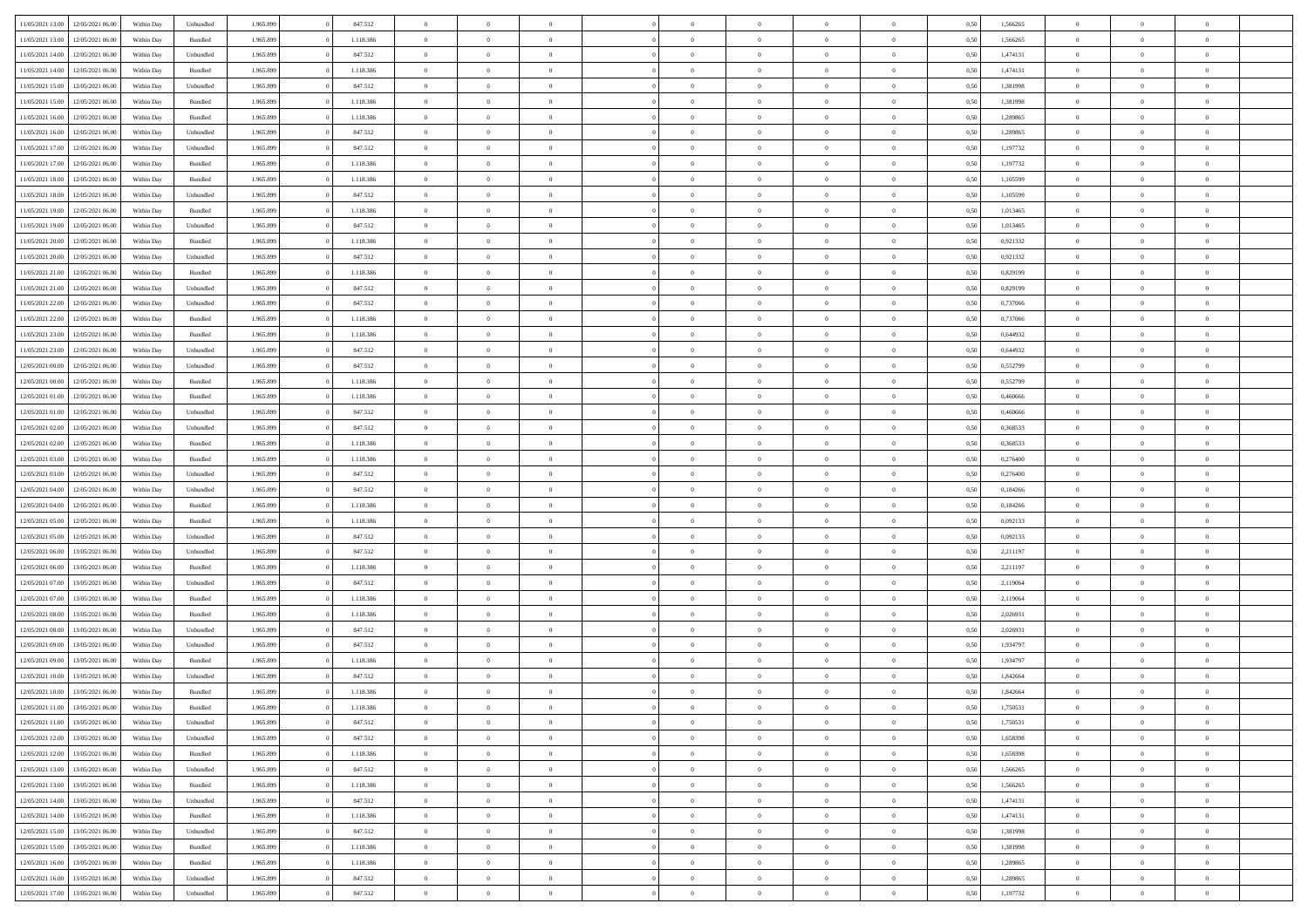| 11/05/2021 13:00                  | 12/05/2021 06:00                  | Within Day | Unbundled          | 1.965.899 | 847.512   | $\overline{0}$ | $\theta$       |                | $\Omega$       | $\Omega$       | $\theta$       | $\theta$       | 0,50 | 1,566265 | $\theta$       | $\theta$       | $\theta$       |  |
|-----------------------------------|-----------------------------------|------------|--------------------|-----------|-----------|----------------|----------------|----------------|----------------|----------------|----------------|----------------|------|----------|----------------|----------------|----------------|--|
|                                   |                                   |            |                    |           |           |                |                |                |                |                |                |                |      |          |                |                |                |  |
| 11/05/2021 13:00                  | 12/05/2021 06:00                  | Within Day | Bundled            | 1.965.899 | 1.118.386 | $\overline{0}$ | $\theta$       | $\overline{0}$ | $\overline{0}$ | $\bf{0}$       | $\overline{0}$ | $\bf{0}$       | 0,50 | 1,566265 | $\theta$       | $\theta$       | $\overline{0}$ |  |
| 11/05/2021 14:00                  | 12/05/2021 06:00                  | Within Day | Unbundled          | 1.965.899 | 847.512   | $\overline{0}$ | $\overline{0}$ | $\overline{0}$ | $\bf{0}$       | $\bf{0}$       | $\bf{0}$       | $\mathbf{0}$   | 0,50 | 1,474131 | $\bf{0}$       | $\overline{0}$ | $\overline{0}$ |  |
| 11/05/2021 14:00                  | 12/05/2021 06:00                  | Within Dav | Bundled            | 1.965.899 | 1.118.386 | $\overline{0}$ | $\overline{0}$ | $\overline{0}$ | $\overline{0}$ | $\bf{0}$       | $\overline{0}$ | $\overline{0}$ | 0.50 | 1,474131 | $\theta$       | $\theta$       | $\overline{0}$ |  |
|                                   |                                   |            |                    |           |           |                |                |                |                |                |                |                |      |          |                |                |                |  |
| 11/05/2021 15:00                  | 12/05/2021 06:00                  | Within Day | Unbundled          | 1.965.899 | 847.512   | $\overline{0}$ | $\theta$       | $\overline{0}$ | $\overline{0}$ | $\bf{0}$       | $\overline{0}$ | $\bf{0}$       | 0,50 | 1,381998 | $\theta$       | $\overline{0}$ | $\overline{0}$ |  |
| 11/05/2021 15:00                  | 12/05/2021 06:00                  | Within Day | Bundled            | 1.965.899 | 1.118.386 | $\overline{0}$ | $\bf{0}$       | $\overline{0}$ | $\bf{0}$       | $\overline{0}$ | $\overline{0}$ | $\mathbf{0}$   | 0,50 | 1,381998 | $\bf{0}$       | $\overline{0}$ | $\bf{0}$       |  |
| 11/05/2021 16:00                  | 12/05/2021 06:00                  | Within Dav | Bundled            | 1.965.899 | 1.118.386 | $\overline{0}$ | $\overline{0}$ | $\overline{0}$ | $\overline{0}$ | $\overline{0}$ | $\overline{0}$ | $\overline{0}$ | 0.50 | 1,289865 | $\theta$       | $\overline{0}$ | $\overline{0}$ |  |
| 11/05/2021 16:00                  | 12/05/2021 06:00                  | Within Day | Unbundled          | 1.965.899 | 847.512   | $\overline{0}$ | $\theta$       | $\overline{0}$ | $\overline{0}$ | $\bf{0}$       | $\overline{0}$ | $\bf{0}$       | 0,50 | 1,289865 | $\theta$       | $\theta$       | $\overline{0}$ |  |
| 11/05/2021 17:00                  | 12/05/2021 06:00                  | Within Day | Unbundled          | 1.965.899 | 847.512   | $\overline{0}$ | $\overline{0}$ | $\overline{0}$ | $\bf{0}$       | $\bf{0}$       | $\bf{0}$       | $\bf{0}$       | 0,50 | 1,197732 | $\,0\,$        | $\overline{0}$ | $\overline{0}$ |  |
|                                   |                                   |            |                    |           |           |                |                |                |                |                |                |                |      |          |                |                |                |  |
| 11/05/2021 17:00                  | 12/05/2021 06:00                  | Within Dav | Bundled            | 1.965.899 | 1.118.386 | $\overline{0}$ | $\overline{0}$ | $\overline{0}$ | $\overline{0}$ | $\overline{0}$ | $\overline{0}$ | $\overline{0}$ | 0.50 | 1,197732 | $\theta$       | $\overline{0}$ | $\overline{0}$ |  |
| 11/05/2021 18:00                  | 12/05/2021 06:00                  | Within Day | Bundled            | 1.965.899 | 1.118.386 | $\overline{0}$ | $\theta$       | $\overline{0}$ | $\overline{0}$ | $\bf{0}$       | $\overline{0}$ | $\bf{0}$       | 0,50 | 1,105599 | $\,$ 0 $\,$    | $\overline{0}$ | $\overline{0}$ |  |
| 11/05/2021 18:00                  | 12/05/2021 06:00                  | Within Day | Unbundled          | 1.965.899 | 847.512   | $\overline{0}$ | $\overline{0}$ | $\overline{0}$ | $\bf{0}$       | $\bf{0}$       | $\bf{0}$       | $\mathbf{0}$   | 0,50 | 1,105599 | $\bf{0}$       | $\overline{0}$ | $\overline{0}$ |  |
| 11/05/2021 19:00                  | 12/05/2021 06:00                  | Within Day | Bundled            | 1.965.899 | 1.118.386 | $\overline{0}$ | $\overline{0}$ | $\overline{0}$ | $\overline{0}$ | $\bf{0}$       | $\overline{0}$ | $\overline{0}$ | 0.50 | 1.013465 | $\theta$       | $\theta$       | $\overline{0}$ |  |
| 11/05/2021 19:00                  | 12/05/2021 06:00                  | Within Day | Unbundled          | 1.965.899 | 847.512   | $\overline{0}$ | $\theta$       | $\overline{0}$ | $\overline{0}$ | $\bf{0}$       | $\overline{0}$ | $\bf{0}$       | 0,50 | 1,013465 | $\theta$       | $\overline{0}$ | $\overline{0}$ |  |
|                                   |                                   |            |                    |           |           |                |                |                |                |                |                |                |      |          |                |                |                |  |
| 11/05/2021 20:00                  | 12/05/2021 06:00                  | Within Day | Bundled            | 1.965.899 | 1.118.386 | $\overline{0}$ | $\overline{0}$ | $\overline{0}$ | $\bf{0}$       | $\overline{0}$ | $\overline{0}$ | $\mathbf{0}$   | 0,50 | 0,921332 | $\overline{0}$ | $\overline{0}$ | $\bf{0}$       |  |
| 11/05/2021 20:00                  | 12/05/2021 06:00                  | Within Dav | Unbundled          | 1.965.899 | 847.512   | $\overline{0}$ | $\overline{0}$ | $\overline{0}$ | $\overline{0}$ | $\overline{0}$ | $\overline{0}$ | $\overline{0}$ | 0.50 | 0.921332 | $\theta$       | $\overline{0}$ | $\overline{0}$ |  |
| 11/05/2021 21:00                  | 12/05/2021 06:00                  | Within Day | Bundled            | 1.965.899 | 1.118.386 | $\overline{0}$ | $\theta$       | $\overline{0}$ | $\overline{0}$ | $\bf{0}$       | $\overline{0}$ | $\bf{0}$       | 0,50 | 0,829199 | $\,$ 0 $\,$    | $\theta$       | $\overline{0}$ |  |
| 11/05/2021 21.00                  | 12/05/2021 06:00                  | Within Day | Unbundled          | 1.965.899 | 847.512   | $\overline{0}$ | $\overline{0}$ | $\overline{0}$ | $\bf{0}$       | $\bf{0}$       | $\bf{0}$       | $\mathbf{0}$   | 0,50 | 0,829199 | $\,0\,$        | $\overline{0}$ | $\overline{0}$ |  |
| 11/05/2021 22:00                  | 12/05/2021 06:00                  | Within Day | Unbundled          | 1.965.899 | 847.512   | $\overline{0}$ | $\overline{0}$ | $\overline{0}$ | $\overline{0}$ | $\overline{0}$ | $\overline{0}$ | $\overline{0}$ | 0.50 | 0,737066 | $\theta$       | $\overline{0}$ | $\overline{0}$ |  |
|                                   |                                   |            |                    |           |           | $\overline{0}$ |                |                |                |                |                |                |      |          |                |                |                |  |
| 11/05/2021 22:00                  | 12/05/2021 06:00                  | Within Day | Bundled            | 1.965.899 | 1.118.386 |                | $\theta$       | $\overline{0}$ | $\overline{0}$ | $\bf{0}$       | $\overline{0}$ | $\bf{0}$       | 0,50 | 0,737066 | $\,$ 0 $\,$    | $\theta$       | $\overline{0}$ |  |
| 11/05/2021 23:00                  | 12/05/2021 06:00                  | Within Day | Bundled            | 1.965.899 | 1.118.386 | $\overline{0}$ | $\overline{0}$ | $\overline{0}$ | $\bf{0}$       | $\bf{0}$       | $\bf{0}$       | $\bf{0}$       | 0,50 | 0,644932 | $\bf{0}$       | $\overline{0}$ | $\overline{0}$ |  |
| 11/05/2021 23:00                  | 12/05/2021 06:00                  | Within Day | Unbundled          | 1.965.899 | 847.512   | $\overline{0}$ | $\overline{0}$ | $\overline{0}$ | $\overline{0}$ | $\bf{0}$       | $\overline{0}$ | $\overline{0}$ | 0.50 | 0,644932 | $\theta$       | $\overline{0}$ | $\overline{0}$ |  |
| 12/05/2021 00:00                  | 12/05/2021 06:00                  | Within Day | Unbundled          | 1.965.899 | 847.512   | $\overline{0}$ | $\theta$       | $\overline{0}$ | $\overline{0}$ | $\bf{0}$       | $\overline{0}$ | $\bf{0}$       | 0,50 | 0,552799 | $\,$ 0 $\,$    | $\overline{0}$ | $\overline{0}$ |  |
| 12/05/2021 00:00                  | 12/05/2021 06:00                  | Within Day | Bundled            | 1.965.899 | 1.118.386 | $\overline{0}$ | $\bf{0}$       | $\overline{0}$ | $\bf{0}$       | $\overline{0}$ | $\overline{0}$ | $\mathbf{0}$   | 0,50 | 0,552799 | $\overline{0}$ | $\overline{0}$ | $\bf{0}$       |  |
| 12/05/2021 01:00                  | 12/05/2021 06:00                  | Within Dav | Bundled            | 1.965.899 | 1.118.386 | $\overline{0}$ | $\overline{0}$ | $\overline{0}$ | $\overline{0}$ | $\overline{0}$ | $\overline{0}$ | $\overline{0}$ | 0.50 | 0.460666 | $\theta$       | $\overline{0}$ | $\overline{0}$ |  |
|                                   |                                   |            |                    |           |           |                |                |                |                |                |                |                |      |          |                |                |                |  |
| 12/05/2021 01:00                  | 12/05/2021 06:00                  | Within Day | Unbundled          | 1.965.899 | 847.512   | $\overline{0}$ | $\theta$       | $\overline{0}$ | $\overline{0}$ | $\bf{0}$       | $\overline{0}$ | $\bf{0}$       | 0,50 | 0,460666 | $\theta$       | $\theta$       | $\overline{0}$ |  |
| 12/05/2021 02:00                  | 12/05/2021 06:00                  | Within Day | Unbundled          | 1.965.899 | 847.512   | $\overline{0}$ | $\overline{0}$ | $\overline{0}$ | $\bf{0}$       | $\bf{0}$       | $\bf{0}$       | $\bf{0}$       | 0,50 | 0,368533 | $\,0\,$        | $\overline{0}$ | $\overline{0}$ |  |
| 12/05/2021 02:00                  | 12/05/2021 06:00                  | Within Day | Bundled            | 1.965.899 | 1.118.386 | $\overline{0}$ | $\overline{0}$ | $\overline{0}$ | $\overline{0}$ | $\overline{0}$ | $\overline{0}$ | $\overline{0}$ | 0.50 | 0,368533 | $\theta$       | $\overline{0}$ | $\overline{0}$ |  |
| 12/05/2021 03:00                  | 12/05/2021 06:00                  | Within Day | Bundled            | 1.965.899 | 1.118.386 | $\overline{0}$ | $\theta$       | $\overline{0}$ | $\overline{0}$ | $\bf{0}$       | $\overline{0}$ | $\bf{0}$       | 0,50 | 0,276400 | $\,$ 0 $\,$    | $\overline{0}$ | $\overline{0}$ |  |
| 12/05/2021 03:00                  | 12/05/2021 06:00                  | Within Day | Unbundled          | 1.965.899 | 847.512   | $\overline{0}$ | $\overline{0}$ | $\overline{0}$ | $\bf{0}$       | $\bf{0}$       | $\bf{0}$       | $\bf{0}$       | 0,50 | 0,276400 | $\bf{0}$       | $\overline{0}$ | $\overline{0}$ |  |
| 12/05/2021 04:00                  | 12/05/2021 06:00                  | Within Day | Unbundled          | 1.965.899 | 847.512   | $\overline{0}$ | $\Omega$       | $\overline{0}$ | $\Omega$       | $\Omega$       | $\overline{0}$ | $\overline{0}$ | 0,50 | 0,184266 | $\,0\,$        | $\theta$       | $\theta$       |  |
| 12/05/2021 04:00                  | 12/05/2021 06:00                  | Within Day | Bundled            | 1.965.899 | 1.118.386 | $\overline{0}$ | $\theta$       | $\overline{0}$ | $\overline{0}$ | $\bf{0}$       | $\overline{0}$ | $\bf{0}$       | 0,50 | 0,184266 | $\,$ 0 $\,$    | $\theta$       | $\overline{0}$ |  |
|                                   |                                   |            |                    |           |           |                |                |                |                |                |                |                |      |          |                |                |                |  |
| 12/05/2021 05:00                  | 12/05/2021 06:00                  | Within Day | Bundled            | 1.965.899 | 1.118.386 | $\overline{0}$ | $\overline{0}$ | $\overline{0}$ | $\bf{0}$       | $\bf{0}$       | $\overline{0}$ | $\mathbf{0}$   | 0,50 | 0,092133 | $\bf{0}$       | $\overline{0}$ | $\bf{0}$       |  |
| 12/05/2021 05:00                  | 12/05/2021 06:00                  | Within Day | Unbundled          | 1.965.899 | 847.512   | $\overline{0}$ | $\Omega$       | $\Omega$       | $\Omega$       | $\bf{0}$       | $\overline{0}$ | $\overline{0}$ | 0.50 | 0.092133 | $\,0\,$        | $\theta$       | $\theta$       |  |
| 12/05/2021 06:00                  | 13/05/2021 06:00                  | Within Day | Unbundled          | 1.965.899 | 847.512   | $\overline{0}$ | $\theta$       | $\overline{0}$ | $\overline{0}$ | $\bf{0}$       | $\overline{0}$ | $\bf{0}$       | 0,50 | 2,211197 | $\,$ 0 $\,$    | $\theta$       | $\overline{0}$ |  |
| 12/05/2021 06:00                  | 13/05/2021 06:00                  | Within Day | Bundled            | 1.965.899 | 1.118.386 | $\overline{0}$ | $\overline{0}$ | $\overline{0}$ | $\overline{0}$ | $\bf{0}$       | $\overline{0}$ | $\bf{0}$       | 0,50 | 2,211197 | $\bf{0}$       | $\overline{0}$ | $\overline{0}$ |  |
| 12/05/2021 07:00                  | 13/05/2021 06:00                  | Within Day | Unbundled          | 1.965.899 | 847.512   | $\overline{0}$ | $\Omega$       | $\overline{0}$ | $\Omega$       | $\overline{0}$ | $\overline{0}$ | $\overline{0}$ | 0.50 | 2,119064 | $\,$ 0 $\,$    | $\theta$       | $\theta$       |  |
| 12/05/2021 07:00                  | 13/05/2021 06:00                  | Within Day | Bundled            | 1.965.899 | 1.118.386 | $\overline{0}$ | $\theta$       | $\overline{0}$ | $\overline{0}$ | $\bf{0}$       | $\overline{0}$ | $\bf{0}$       | 0,50 | 2,119064 | $\,$ 0 $\,$    | $\overline{0}$ | $\overline{0}$ |  |
|                                   |                                   |            |                    |           |           |                |                |                |                |                |                |                |      |          |                |                |                |  |
| 12/05/2021 08:00                  | 13/05/2021 06:00                  | Within Day | Bundled            | 1.965.899 | 1.118.386 | $\overline{0}$ | $\overline{0}$ | $\overline{0}$ | $\overline{0}$ | $\bf{0}$       | $\overline{0}$ | $\bf{0}$       | 0,50 | 2,026931 | $\overline{0}$ | $\overline{0}$ | $\overline{0}$ |  |
| 12/05/2021 08:00                  | 13/05/2021 06:00                  | Within Day | Unbundled          | 1.965.899 | 847.512   | $\overline{0}$ | $\Omega$       | $\overline{0}$ | $\Omega$       | $\overline{0}$ | $\overline{0}$ | $\overline{0}$ | 0.50 | 2,026931 | $\,0\,$        | $\theta$       | $\theta$       |  |
| 12/05/2021 09:00                  | 13/05/2021 06:00                  | Within Day | Unbundled          | 1.965.899 | 847.512   | $\overline{0}$ | $\theta$       | $\overline{0}$ | $\overline{0}$ | $\,$ 0         | $\overline{0}$ | $\bf{0}$       | 0,50 | 1,934797 | $\,$ 0 $\,$    | $\overline{0}$ | $\overline{0}$ |  |
| 12/05/2021 09:00                  | 13/05/2021 06:00                  | Within Day | Bundled            | 1.965.899 | 1.118.386 | $\overline{0}$ | $\overline{0}$ | $\overline{0}$ | $\overline{0}$ | $\bf{0}$       | $\overline{0}$ | $\mathbf{0}$   | 0,50 | 1,934797 | $\overline{0}$ | $\overline{0}$ | $\bf{0}$       |  |
| 12/05/2021 10:00                  | 13/05/2021 06:00                  | Within Day | Unbundled          | 1.965.899 | 847.512   | $\overline{0}$ | $\Omega$       | $\Omega$       | $\Omega$       | $\Omega$       | $\Omega$       | $\overline{0}$ | 0.50 | 1.842664 | $\theta$       | $\theta$       | $\theta$       |  |
| 12/05/2021 10:00                  | 13/05/2021 06:00                  | Within Day | Bundled            | 1.965.899 | 1.118.386 | $\overline{0}$ | $\overline{0}$ | $\overline{0}$ | $\bf{0}$       | $\,$ 0         | $\overline{0}$ | $\bf{0}$       | 0,50 | 1,842664 | $\,0\,$        | $\overline{0}$ | $\overline{0}$ |  |
|                                   |                                   |            |                    |           |           |                |                |                |                |                |                |                |      |          |                |                |                |  |
|                                   | 12/05/2021 11:00 13/05/2021 06:00 | Within Day | $\mathbf B$ undled | 1.965.899 | 1.118.386 | $\bf{0}$       | $\bf{0}$       |                |                | $\bf{0}$       |                |                | 0,50 | 1,750531 | $\bf{0}$       | $\overline{0}$ |                |  |
| 12/05/2021 11:00                  | 13/05/2021 06:00                  | Within Day | Unbundled          | 1.965.899 | 847.512   | $\overline{0}$ | $\overline{0}$ | $\overline{0}$ | $\Omega$       | $\overline{0}$ | $\overline{0}$ | $\overline{0}$ | 0,50 | 1,750531 | $\theta$       | $\theta$       | $\theta$       |  |
| 12/05/2021 12:00                  | 13/05/2021 06:00                  | Within Day | Unbundled          | 1.965.899 | 847.512   | $\overline{0}$ | $\bf{0}$       | $\overline{0}$ | $\overline{0}$ | $\,$ 0 $\,$    | $\overline{0}$ | $\,$ 0 $\,$    | 0,50 | 1,658398 | $\,$ 0 $\,$    | $\,$ 0 $\,$    | $\,$ 0         |  |
| 12/05/2021 12:00                  | 13/05/2021 06:00                  | Within Day | Bundled            | 1.965.899 | 1.118.386 | $\overline{0}$ | $\overline{0}$ | $\overline{0}$ | $\overline{0}$ | $\overline{0}$ | $\overline{0}$ | $\mathbf{0}$   | 0,50 | 1,658398 | $\overline{0}$ | $\bf{0}$       | $\overline{0}$ |  |
| 12/05/2021 13:00                  | 13/05/2021 06:00                  | Within Day | Unbundled          | 1.965.899 | 847.512   | $\overline{0}$ | $\overline{0}$ | $\overline{0}$ | $\Omega$       | $\overline{0}$ | $\overline{0}$ | $\overline{0}$ | 0,50 | 1,566265 | $\overline{0}$ | $\overline{0}$ | $\overline{0}$ |  |
| 12/05/2021 13:00                  | 13/05/2021 06:00                  | Within Day | Bundled            | 1.965.899 | 1.118.386 | $\overline{0}$ | $\,$ 0         | $\overline{0}$ | $\bf{0}$       | $\,$ 0 $\,$    | $\overline{0}$ | $\,$ 0 $\,$    | 0,50 | 1,566265 | $\,$ 0 $\,$    | $\overline{0}$ | $\,$ 0         |  |
|                                   |                                   |            |                    |           |           |                |                |                |                |                |                |                |      |          |                |                |                |  |
| 12/05/2021 14:00                  | 13/05/2021 06:00                  | Within Day | Unbundled          | 1.965.899 | 847.512   | $\overline{0}$ | $\overline{0}$ | $\overline{0}$ | $\overline{0}$ | $\overline{0}$ | $\overline{0}$ | $\mathbf{0}$   | 0,50 | 1,474131 | $\overline{0}$ | $\overline{0}$ | $\overline{0}$ |  |
| 12/05/2021 14:00                  | 13/05/2021 06:00                  | Within Day | Bundled            | 1.965.899 | 1.118.386 | $\overline{0}$ | $\overline{0}$ | $\overline{0}$ | $\overline{0}$ | $\overline{0}$ | $\overline{0}$ | $\bf{0}$       | 0.50 | 1,474131 | $\overline{0}$ | $\theta$       | $\overline{0}$ |  |
| 12/05/2021 15:00                  | 13/05/2021 06:00                  | Within Day | Unbundled          | 1.965.899 | 847.512   | $\overline{0}$ | $\,$ 0         | $\overline{0}$ | $\bf{0}$       | $\bf{0}$       | $\bf{0}$       | $\bf{0}$       | 0,50 | 1,381998 | $\,$ 0 $\,$    | $\overline{0}$ | $\overline{0}$ |  |
| 12/05/2021 15:00                  | 13/05/2021 06:00                  | Within Day | Bundled            | 1.965.899 | 1.118.386 | $\overline{0}$ | $\bf{0}$       | $\overline{0}$ | $\overline{0}$ | $\overline{0}$ | $\overline{0}$ | $\mathbf{0}$   | 0,50 | 1,381998 | $\overline{0}$ | $\overline{0}$ | $\bf{0}$       |  |
| 12/05/2021 16:00                  | 13/05/2021 06:00                  | Within Day | Bundled            | 1.965.899 | 1.118.386 | $\overline{0}$ | $\overline{0}$ | $\overline{0}$ | $\Omega$       | $\overline{0}$ | $\overline{0}$ | $\overline{0}$ | 0.50 | 1,289865 | $\overline{0}$ | $\overline{0}$ | $\overline{0}$ |  |
| 12/05/2021 16:00                  | 13/05/2021 06:00                  |            |                    | 1.965.899 | 847.512   | $\overline{0}$ | $\bf{0}$       |                | $\bf{0}$       | $\bf{0}$       |                |                |      | 1,289865 | $\,$ 0 $\,$    | $\,$ 0 $\,$    | $\bf{0}$       |  |
|                                   |                                   | Within Day | Unbundled          |           |           |                |                | $\overline{0}$ |                |                | $\bf{0}$       | $\mathbf{0}$   | 0,50 |          |                |                |                |  |
| 12/05/2021 17:00 13/05/2021 06:00 |                                   | Within Day | Unbundled          | 1.965.899 | 847.512   | $\overline{0}$ | $\overline{0}$ | $\overline{0}$ | $\overline{0}$ | $\overline{0}$ | $\bf{0}$       | $\mathbf{0}$   | 0,50 | 1,197732 | $\overline{0}$ | $\bf{0}$       | $\overline{0}$ |  |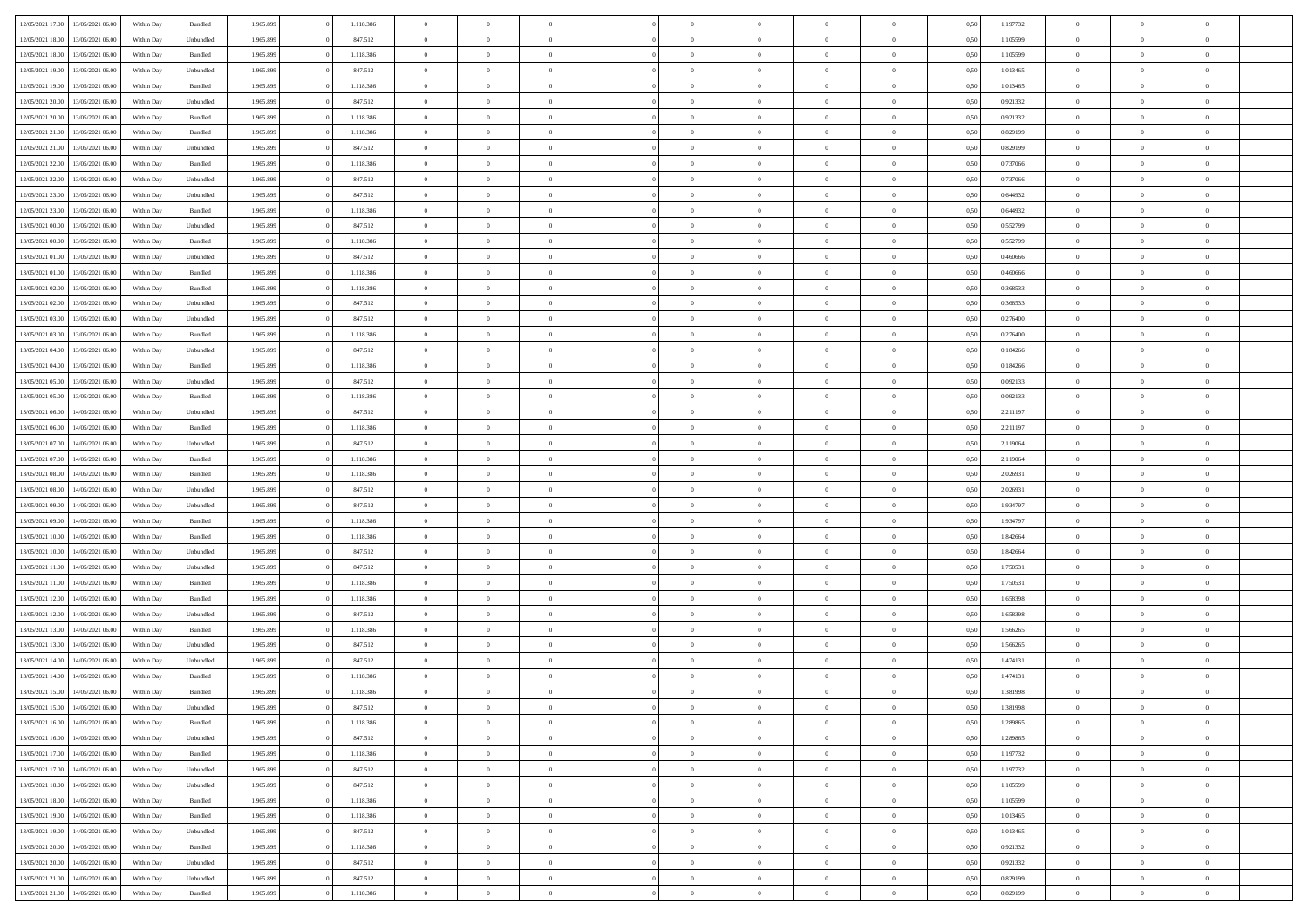| 12/05/2021 17:00 |                  |            |                    |           |           | $\overline{0}$ |                |                |                | $\Omega$       | $\theta$       | $\theta$       |      |          | $\theta$       | $\overline{0}$ |                |  |
|------------------|------------------|------------|--------------------|-----------|-----------|----------------|----------------|----------------|----------------|----------------|----------------|----------------|------|----------|----------------|----------------|----------------|--|
|                  | 13/05/2021 06:00 | Within Day | Bundled            | 1.965.899 | 1.118.386 |                | $\theta$       |                | $\Omega$       |                |                |                | 0,50 | 1,197732 |                |                | $\overline{0}$ |  |
| 12/05/2021 18:00 | 13/05/2021 06:00 | Within Day | Unbundled          | 1.965.899 | 847.512   | $\overline{0}$ | $\theta$       | $\overline{0}$ | $\overline{0}$ | $\bf{0}$       | $\overline{0}$ | $\bf{0}$       | 0,50 | 1,105599 | $\theta$       | $\overline{0}$ | $\overline{0}$ |  |
| 12/05/2021 18:00 | 13/05/2021 06:00 | Within Day | Bundled            | 1.965.899 | 1.118.386 | $\overline{0}$ | $\overline{0}$ | $\overline{0}$ | $\bf{0}$       | $\bf{0}$       | $\bf{0}$       | $\mathbf{0}$   | 0,50 | 1,105599 | $\overline{0}$ | $\overline{0}$ | $\bf{0}$       |  |
| 12/05/2021 19:00 | 13/05/2021 06:00 | Within Dav | Unbundled          | 1.965.899 | 847.512   | $\overline{0}$ | $\overline{0}$ | $\overline{0}$ | $\overline{0}$ | $\bf{0}$       | $\overline{0}$ | $\overline{0}$ | 0.50 | 1,013465 | $\theta$       | $\overline{0}$ | $\overline{0}$ |  |
|                  |                  |            |                    |           |           | $\overline{0}$ | $\theta$       | $\overline{0}$ | $\overline{0}$ | $\bf{0}$       | $\overline{0}$ |                |      |          | $\,$ 0 $\,$    | $\overline{0}$ | $\overline{0}$ |  |
| 12/05/2021 19:00 | 13/05/2021 06:00 | Within Day | Bundled            | 1.965.899 | 1.118.386 |                |                |                |                |                |                | $\bf{0}$       | 0,50 | 1,013465 |                |                |                |  |
| 12/05/2021 20:00 | 13/05/2021 06:00 | Within Day | Unbundled          | 1.965.899 | 847.512   | $\overline{0}$ | $\overline{0}$ | $\overline{0}$ | $\bf{0}$       | $\overline{0}$ | $\overline{0}$ | $\mathbf{0}$   | 0,50 | 0,921332 | $\overline{0}$ | $\overline{0}$ | $\bf{0}$       |  |
| 12/05/2021 20:00 | 13/05/2021 06:00 | Within Dav | Bundled            | 1.965.899 | 1.118.386 | $\overline{0}$ | $\overline{0}$ | $\overline{0}$ | $\overline{0}$ | $\overline{0}$ | $\overline{0}$ | $\overline{0}$ | 0.50 | 0.921332 | $\theta$       | $\overline{0}$ | $\overline{0}$ |  |
| 12/05/2021 21:00 | 13/05/2021 06:00 | Within Day | Bundled            | 1.965.899 | 1.118.386 | $\overline{0}$ | $\theta$       | $\overline{0}$ | $\overline{0}$ | $\bf{0}$       | $\overline{0}$ | $\bf{0}$       | 0,50 | 0,829199 | $\,$ 0 $\,$    | $\theta$       | $\overline{0}$ |  |
| 12/05/2021 21:00 | 13/05/2021 06:00 | Within Day | Unbundled          | 1.965.899 | 847.512   | $\overline{0}$ | $\overline{0}$ | $\overline{0}$ | $\bf{0}$       | $\bf{0}$       | $\bf{0}$       | $\mathbf{0}$   | 0,50 | 0,829199 | $\,0\,$        | $\overline{0}$ | $\overline{0}$ |  |
| 12/05/2021 22:00 | 13/05/2021 06:00 | Within Dav | Bundled            | 1.965.899 | 1.118.386 | $\overline{0}$ | $\overline{0}$ | $\overline{0}$ | $\overline{0}$ | $\overline{0}$ | $\overline{0}$ | $\overline{0}$ | 0.50 | 0,737066 | $\theta$       | $\overline{0}$ | $\overline{0}$ |  |
|                  |                  |            |                    |           |           |                |                |                |                |                |                |                |      |          |                |                |                |  |
| 12/05/2021 22:00 | 13/05/2021 06:00 | Within Day | Unbundled          | 1.965.899 | 847.512   | $\overline{0}$ | $\theta$       | $\overline{0}$ | $\overline{0}$ | $\bf{0}$       | $\overline{0}$ | $\bf{0}$       | 0,50 | 0,737066 | $\,$ 0 $\,$    | $\overline{0}$ | $\overline{0}$ |  |
| 12/05/2021 23:00 | 13/05/2021 06:00 | Within Day | Unbundled          | 1.965.899 | 847.512   | $\overline{0}$ | $\overline{0}$ | $\overline{0}$ | $\bf{0}$       | $\overline{0}$ | $\bf{0}$       | $\mathbf{0}$   | 0,50 | 0,644932 | $\overline{0}$ | $\overline{0}$ | $\bf{0}$       |  |
| 12/05/2021 23:00 | 13/05/2021 06:00 | Within Day | Bundled            | 1.965.899 | 1.118.386 | $\overline{0}$ | $\overline{0}$ | $\overline{0}$ | $\overline{0}$ | $\overline{0}$ | $\overline{0}$ | $\overline{0}$ | 0.50 | 0,644932 | $\theta$       | $\theta$       | $\overline{0}$ |  |
| 13/05/2021 00:00 | 13/05/2021 06:00 | Within Day | Unbundled          | 1.965.899 | 847.512   | $\overline{0}$ | $\theta$       | $\overline{0}$ | $\overline{0}$ | $\bf{0}$       | $\overline{0}$ | $\bf{0}$       | 0,50 | 0,552799 | $\theta$       | $\overline{0}$ | $\overline{0}$ |  |
| 13/05/2021 00:00 | 13/05/2021 06:00 | Within Day | Bundled            | 1.965.899 | 1.118.386 | $\overline{0}$ | $\overline{0}$ | $\overline{0}$ | $\overline{0}$ | $\overline{0}$ | $\overline{0}$ | $\mathbf{0}$   | 0,50 | 0,552799 | $\overline{0}$ | $\overline{0}$ | $\bf{0}$       |  |
|                  |                  |            |                    |           |           |                |                |                |                |                |                |                |      |          |                |                |                |  |
| 13/05/2021 01:00 | 13/05/2021 06:00 | Within Dav | Unbundled          | 1.965.899 | 847.512   | $\overline{0}$ | $\overline{0}$ | $\overline{0}$ | $\overline{0}$ | $\overline{0}$ | $\overline{0}$ | $\overline{0}$ | 0.50 | 0.460666 | $\overline{0}$ | $\overline{0}$ | $\overline{0}$ |  |
| 13/05/2021 01:00 | 13/05/2021 06:00 | Within Day | Bundled            | 1.965.899 | 1.118.386 | $\overline{0}$ | $\theta$       | $\overline{0}$ | $\overline{0}$ | $\bf{0}$       | $\overline{0}$ | $\bf{0}$       | 0,50 | 0,460666 | $\,$ 0 $\,$    | $\overline{0}$ | $\overline{0}$ |  |
| 13/05/2021 02:00 | 13/05/2021 06:00 | Within Day | Bundled            | 1.965.899 | 1.118.386 | $\overline{0}$ | $\overline{0}$ | $\overline{0}$ | $\overline{0}$ | $\bf{0}$       | $\overline{0}$ | $\mathbf{0}$   | 0,50 | 0,368533 | $\bf{0}$       | $\overline{0}$ | $\bf{0}$       |  |
| 13/05/2021 02:00 | 13/05/2021 06:00 | Within Dav | Unbundled          | 1.965.899 | 847.512   | $\overline{0}$ | $\overline{0}$ | $\overline{0}$ | $\overline{0}$ | $\overline{0}$ | $\overline{0}$ | $\overline{0}$ | 0.50 | 0,368533 | $\theta$       | $\overline{0}$ | $\overline{0}$ |  |
| 13/05/2021 03:00 | 13/05/2021 06:00 | Within Day | Unbundled          | 1.965.899 | 847.512   | $\overline{0}$ | $\theta$       | $\overline{0}$ | $\overline{0}$ | $\bf{0}$       | $\overline{0}$ | $\bf{0}$       | 0,50 | 0,276400 | $\,$ 0 $\,$    | $\overline{0}$ | $\overline{0}$ |  |
| 13/05/2021 03:00 | 13/05/2021 06:00 | Within Day | Bundled            | 1.965.899 | 1.118.386 | $\overline{0}$ | $\overline{0}$ | $\overline{0}$ | $\overline{0}$ | $\bf{0}$       | $\overline{0}$ | $\mathbf{0}$   | 0,50 | 0,276400 | $\overline{0}$ | $\overline{0}$ | $\bf{0}$       |  |
|                  |                  |            |                    |           |           |                |                |                |                |                |                |                |      |          | $\theta$       |                |                |  |
| 13/05/2021 04:00 | 13/05/2021 06:00 | Within Day | Unbundled          | 1.965.899 | 847.512   | $\overline{0}$ | $\overline{0}$ | $\overline{0}$ | $\overline{0}$ | $\overline{0}$ | $\overline{0}$ | $\overline{0}$ | 0.50 | 0.184266 |                | $\overline{0}$ | $\overline{0}$ |  |
| 13/05/2021 04:00 | 13/05/2021 06:00 | Within Day | Bundled            | 1.965.899 | 1.118.386 | $\overline{0}$ | $\theta$       | $\overline{0}$ | $\overline{0}$ | $\bf{0}$       | $\overline{0}$ | $\bf{0}$       | 0,50 | 0,184266 | $\,$ 0 $\,$    | $\overline{0}$ | $\overline{0}$ |  |
| 13/05/2021 05:00 | 13/05/2021 06:00 | Within Day | Unbundled          | 1.965.899 | 847.512   | $\overline{0}$ | $\overline{0}$ | $\overline{0}$ | $\overline{0}$ | $\overline{0}$ | $\overline{0}$ | $\mathbf{0}$   | 0,50 | 0,092133 | $\overline{0}$ | $\overline{0}$ | $\bf{0}$       |  |
| 13/05/2021 05:00 | 13/05/2021 06:00 | Within Dav | Bundled            | 1.965.899 | 1.118.386 | $\overline{0}$ | $\overline{0}$ | $\overline{0}$ | $\overline{0}$ | $\overline{0}$ | $\overline{0}$ | $\overline{0}$ | 0.50 | 0,092133 | $\theta$       | $\overline{0}$ | $\overline{0}$ |  |
| 13/05/2021 06:00 | 14/05/2021 06:00 | Within Day | Unbundled          | 1.965.899 | 847.512   | $\overline{0}$ | $\theta$       | $\overline{0}$ | $\overline{0}$ | $\bf{0}$       | $\overline{0}$ | $\bf{0}$       | 0,50 | 2,211197 | $\,$ 0 $\,$    | $\overline{0}$ | $\overline{0}$ |  |
| 13/05/2021 06:00 | 14/05/2021 06:00 | Within Day | Bundled            | 1.965.899 | 1.118.386 | $\overline{0}$ | $\overline{0}$ | $\overline{0}$ | $\overline{0}$ | $\bf{0}$       | $\overline{0}$ | $\mathbf{0}$   | 0,50 | 2,211197 | $\,0\,$        | $\overline{0}$ | $\overline{0}$ |  |
| 13/05/2021 07:00 | 14/05/2021 06:00 |            | Unbundled          | 1.965.899 | 847.512   | $\overline{0}$ | $\overline{0}$ | $\overline{0}$ | $\overline{0}$ | $\overline{0}$ | $\overline{0}$ | $\overline{0}$ | 0.50 | 2,119064 | $\theta$       | $\overline{0}$ | $\overline{0}$ |  |
|                  |                  | Within Day |                    |           |           |                |                |                |                |                |                |                |      |          |                |                |                |  |
| 13/05/2021 07:00 | 14/05/2021 06:00 | Within Day | Bundled            | 1.965.899 | 1.118.386 | $\overline{0}$ | $\overline{0}$ | $\overline{0}$ | $\overline{0}$ | $\bf{0}$       | $\overline{0}$ | $\bf{0}$       | 0,50 | 2,119064 | $\,$ 0 $\,$    | $\overline{0}$ | $\overline{0}$ |  |
| 13/05/2021 08:00 | 14/05/2021 06:00 | Within Day | Bundled            | 1.965.899 | 1.118.386 | $\overline{0}$ | $\overline{0}$ | $\overline{0}$ | $\bf{0}$       | $\overline{0}$ | $\bf{0}$       | $\mathbf{0}$   | 0,50 | 2,026931 | $\overline{0}$ | $\overline{0}$ | $\bf{0}$       |  |
| 13/05/2021 08:00 | 14/05/2021 06:00 | Within Day | Unbundled          | 1.965.899 | 847.512   | $\overline{0}$ | $\Omega$       | $\overline{0}$ | $\Omega$       | $\Omega$       | $\overline{0}$ | $\overline{0}$ | 0,50 | 2,026931 | $\,0\,$        | $\theta$       | $\theta$       |  |
| 13/05/2021 09:00 | 14/05/2021 06:00 | Within Day | Unbundled          | 1.965.899 | 847.512   | $\overline{0}$ | $\overline{0}$ | $\overline{0}$ | $\overline{0}$ | $\bf{0}$       | $\overline{0}$ | $\bf{0}$       | 0,50 | 1,934797 | $\,$ 0 $\,$    | $\overline{0}$ | $\overline{0}$ |  |
| 13/05/2021 09:00 | 14/05/2021 06:00 | Within Day | Bundled            | 1.965.899 | 1.118.386 | $\overline{0}$ | $\overline{0}$ | $\overline{0}$ | $\bf{0}$       | $\overline{0}$ | $\overline{0}$ | $\mathbf{0}$   | 0,50 | 1,934797 | $\overline{0}$ | $\overline{0}$ | $\bf{0}$       |  |
| 13/05/2021 10:00 | 14/05/2021 06:00 | Within Day | Bundled            | 1.965.899 | 1.118.386 | $\overline{0}$ | $\Omega$       | $\overline{0}$ | $\Omega$       | $\overline{0}$ | $\overline{0}$ | $\overline{0}$ | 0.50 | 1,842664 | $\,0\,$        | $\theta$       | $\theta$       |  |
|                  |                  |            |                    |           |           |                |                |                |                |                |                |                |      |          |                |                |                |  |
| 13/05/2021 10:00 | 14/05/2021 06:00 | Within Day | Unbundled          | 1.965.899 | 847.512   | $\overline{0}$ | $\theta$       | $\overline{0}$ | $\overline{0}$ | $\bf{0}$       | $\overline{0}$ | $\bf{0}$       | 0,50 | 1,842664 | $\,$ 0 $\,$    | $\overline{0}$ | $\overline{0}$ |  |
| 13/05/2021 11:00 | 14/05/2021 06:00 | Within Day | Unbundled          | 1.965.899 | 847.512   | $\overline{0}$ | $\overline{0}$ | $\overline{0}$ | $\bf{0}$       | $\bf{0}$       | $\bf{0}$       | $\mathbf{0}$   | 0,50 | 1,750531 | $\bf{0}$       | $\overline{0}$ | $\bf{0}$       |  |
| 13/05/2021 11:00 | 14/05/2021 06:00 | Within Day | Bundled            | 1.965.899 | 1.118.386 | $\overline{0}$ | $\Omega$       | $\overline{0}$ | $\Omega$       | $\overline{0}$ | $\overline{0}$ | $\overline{0}$ | 0.50 | 1,750531 | $\,$ 0 $\,$    | $\theta$       | $\theta$       |  |
| 13/05/2021 12:00 | 14/05/2021 06:00 | Within Day | Bundled            | 1.965.899 | 1.118.386 | $\overline{0}$ | $\overline{0}$ | $\overline{0}$ | $\overline{0}$ | $\,$ 0         | $\overline{0}$ | $\bf{0}$       | 0,50 | 1,658398 | $\,$ 0 $\,$    | $\overline{0}$ | $\overline{0}$ |  |
| 13/05/2021 12:00 | 14/05/2021 06:00 | Within Day | Unbundled          | 1.965.899 | 847.512   | $\overline{0}$ | $\overline{0}$ | $\overline{0}$ | $\bf{0}$       | $\bf{0}$       | $\overline{0}$ | $\mathbf{0}$   | 0,50 | 1,658398 | $\overline{0}$ | $\overline{0}$ | $\bf{0}$       |  |
| 13/05/2021 13:00 | 14/05/2021 06:00 | Within Day | $\mathbf B$ undled | 1.965.899 | 1.118.386 | $\overline{0}$ | $\Omega$       | $\overline{0}$ | $\Omega$       | $\overline{0}$ | $\overline{0}$ | $\overline{0}$ | 0,50 | 1,566265 | $\,0\,$        | $\theta$       | $\theta$       |  |
|                  |                  |            |                    |           |           | $\overline{0}$ | $\overline{0}$ | $\overline{0}$ | $\overline{0}$ |                | $\overline{0}$ |                |      |          | $\,$ 0 $\,$    | $\overline{0}$ | $\overline{0}$ |  |
| 13/05/2021 13:00 | 14/05/2021 06:00 | Within Day | Unbundled          | 1.965.899 | 847.512   |                |                |                |                | $\,$ 0         |                | $\bf{0}$       | 0,50 | 1,566265 |                |                |                |  |
| 13/05/2021 14:00 | 14/05/2021 06:00 | Within Day | Unbundled          | 1.965.899 | 847.512   | $\overline{0}$ | $\overline{0}$ | $\overline{0}$ | $\bf{0}$       | $\bf{0}$       | $\overline{0}$ | $\mathbf{0}$   | 0,50 | 1,474131 | $\overline{0}$ | $\overline{0}$ | $\bf{0}$       |  |
| 13/05/2021 14:00 | 14/05/2021 06:00 | Within Day | Bundled            | 1.965.899 | 1.118.386 | $\overline{0}$ | $\Omega$       | $\Omega$       | $\Omega$       | $\Omega$       | $\Omega$       | $\overline{0}$ | 0.50 | 1,474131 | $\theta$       | $\theta$       | $\theta$       |  |
| 13/05/2021 15:00 | 14/05/2021 06:00 | Within Day | Bundled            | 1.965.899 | 1.118.386 | $\overline{0}$ | $\overline{0}$ | $\overline{0}$ | $\bf{0}$       | $\,$ 0         | $\bf{0}$       | $\bf{0}$       | 0,50 | 1,381998 | $\,0\,$        | $\,0\,$        | $\overline{0}$ |  |
| 13/05/2021 15:00 | 14/05/2021 06:00 | Within Day | Unbundled          | 1.965.899 | 847.512   | $\bf{0}$       | $\bf{0}$       |                |                | $\bf{0}$       |                |                | 0,50 | 1,381998 | $\bf{0}$       | $\overline{0}$ |                |  |
| 13/05/2021 16:00 | 14/05/2021 06:00 | Within Day | Bundled            | 1.965.899 | 1.118.386 | $\overline{0}$ | $\overline{0}$ | $\overline{0}$ | $\Omega$       | $\overline{0}$ | $\overline{0}$ | $\overline{0}$ | 0.50 | 1,289865 | $\theta$       | $\theta$       | $\theta$       |  |
| 13/05/2021 16:00 | 14/05/2021 06:00 | Within Day | Unbundled          | 1.965.899 | 847.512   | $\overline{0}$ | $\,$ 0         | $\overline{0}$ | $\bf{0}$       | $\,$ 0 $\,$    | $\overline{0}$ | $\,$ 0 $\,$    | 0,50 | 1,289865 | $\,$ 0 $\,$    | $\,$ 0 $\,$    | $\,$ 0         |  |
|                  |                  |            |                    |           |           |                |                |                |                |                |                |                |      |          |                |                |                |  |
| 13/05/2021 17:00 | 14/05/2021 06:00 | Within Day | Bundled            | 1.965.899 | 1.118.386 | $\overline{0}$ | $\overline{0}$ | $\overline{0}$ | $\overline{0}$ | $\overline{0}$ | $\overline{0}$ | $\mathbf{0}$   | 0,50 | 1,197732 | $\overline{0}$ | $\bf{0}$       | $\overline{0}$ |  |
| 13/05/2021 17:00 | 14/05/2021 06:00 | Within Day | Unbundled          | 1.965.899 | 847.512   | $\overline{0}$ | $\overline{0}$ | $\overline{0}$ | $\Omega$       | $\overline{0}$ | $\overline{0}$ | $\overline{0}$ | 0,50 | 1,197732 | $\overline{0}$ | $\overline{0}$ | $\overline{0}$ |  |
| 13/05/2021 18:00 | 14/05/2021 06:00 | Within Day | Unbundled          | 1.965.899 | 847.512   | $\overline{0}$ | $\,$ 0         | $\overline{0}$ | $\overline{0}$ | $\,$ 0 $\,$    | $\overline{0}$ | $\mathbf{0}$   | 0,50 | 1,105599 | $\,$ 0 $\,$    | $\overline{0}$ | $\overline{0}$ |  |
| 13/05/2021 18:00 | 14/05/2021 06:00 | Within Day | Bundled            | 1.965.899 | 1.118.386 | $\overline{0}$ | $\overline{0}$ | $\overline{0}$ | $\overline{0}$ | $\overline{0}$ | $\overline{0}$ | $\mathbf{0}$   | 0,50 | 1,105599 | $\overline{0}$ | $\overline{0}$ | $\bf{0}$       |  |
| 13/05/2021 19:00 | 14/05/2021 06:00 | Within Day | Bundled            | 1.965.899 | 1.118.386 | $\overline{0}$ | $\overline{0}$ | $\overline{0}$ | $\overline{0}$ | $\overline{0}$ | $\overline{0}$ | $\bf{0}$       | 0.50 | 1,013465 | $\overline{0}$ | $\theta$       | $\overline{0}$ |  |
| 13/05/2021 19:00 | 14/05/2021 06:00 | Within Day | Unbundled          | 1.965.899 | 847.512   | $\overline{0}$ | $\,$ 0         | $\overline{0}$ | $\overline{0}$ | $\bf{0}$       | $\overline{0}$ | $\bf{0}$       | 0,50 | 1,013465 | $\,$ 0 $\,$    | $\overline{0}$ | $\overline{0}$ |  |
|                  |                  |            |                    |           |           |                |                |                |                |                |                |                |      |          |                |                |                |  |
| 13/05/2021 20:00 | 14/05/2021 06:00 | Within Day | Bundled            | 1.965.899 | 1.118.386 | $\overline{0}$ | $\bf{0}$       | $\overline{0}$ | $\overline{0}$ | $\overline{0}$ | $\overline{0}$ | $\mathbf{0}$   | 0,50 | 0,921332 | $\overline{0}$ | $\overline{0}$ | $\bf{0}$       |  |
| 13/05/2021 20:00 | 14/05/2021 06:00 | Within Day | Unbundled          | 1.965.899 | 847.512   | $\overline{0}$ | $\overline{0}$ | $\overline{0}$ | $\Omega$       | $\overline{0}$ | $\overline{0}$ | $\overline{0}$ | 0.50 | 0,921332 | $\overline{0}$ | $\overline{0}$ | $\overline{0}$ |  |
| 13/05/2021 21:00 | 14/05/2021 06:00 | Within Day | Unbundled          | 1.965.899 | 847.512   | $\overline{0}$ | $\bf{0}$       | $\overline{0}$ | $\bf{0}$       | $\bf{0}$       | $\overline{0}$ | $\mathbf{0}$   | 0,50 | 0,829199 | $\,$ 0 $\,$    | $\,$ 0 $\,$    | $\bf{0}$       |  |
| 13/05/2021 21:00 | 14/05/2021 06:00 | Within Day | Bundled            | 1.965.899 | 1.118.386 | $\overline{0}$ | $\overline{0}$ | $\overline{0}$ | $\overline{0}$ | $\overline{0}$ | $\overline{0}$ | $\mathbf{0}$   | 0,50 | 0,829199 | $\overline{0}$ | $\bf{0}$       | $\overline{0}$ |  |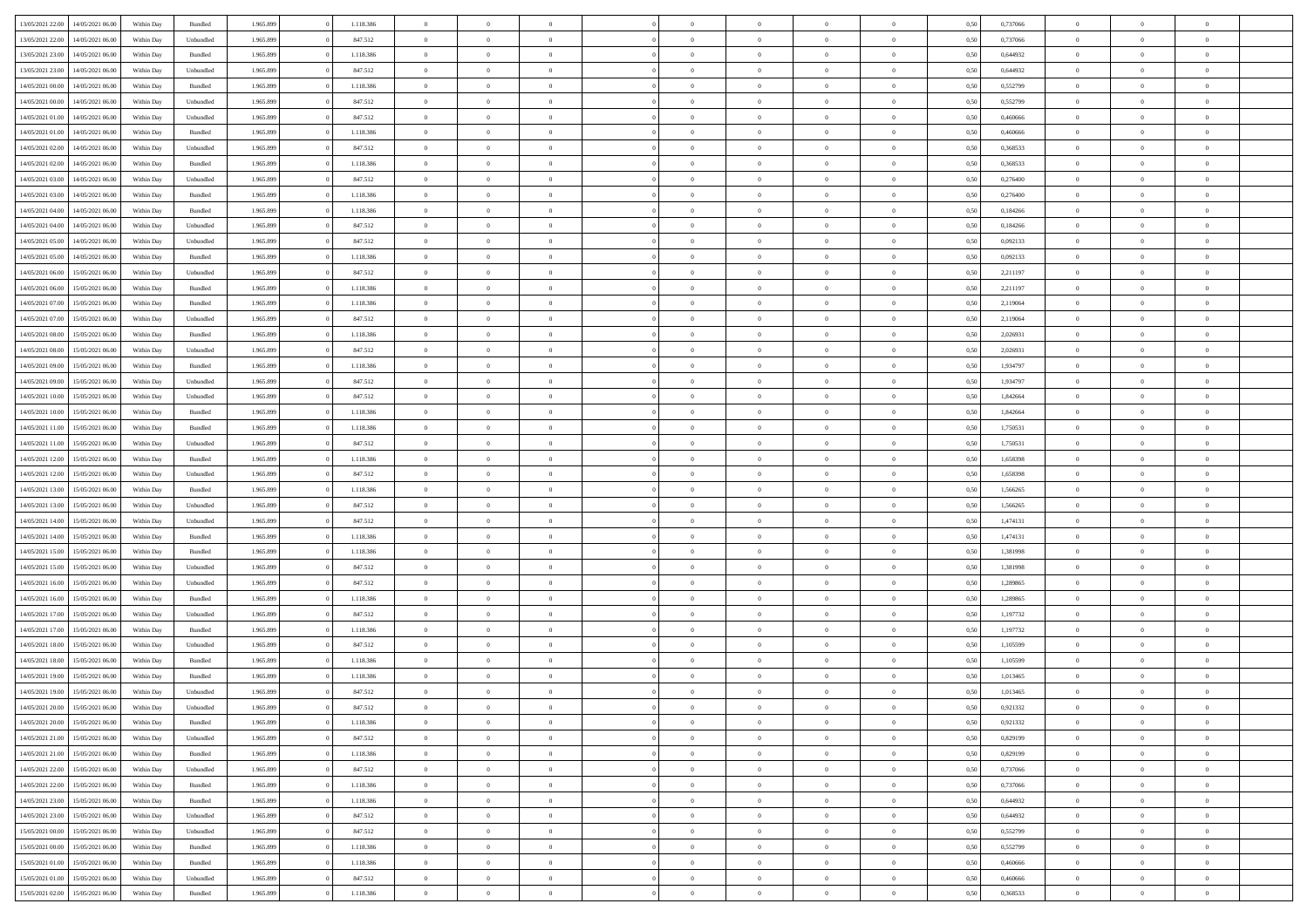| 13/05/2021 22:00 | 14/05/2021 06:00 | Within Day | Bundled   | 1.965.899 | 1.118.386 | $\overline{0}$ | $\theta$       |                | $\Omega$       | $\Omega$       | $\theta$       | $\theta$       | 0,50 | 0,737066 | $\theta$       | $\theta$       | $\theta$       |  |
|------------------|------------------|------------|-----------|-----------|-----------|----------------|----------------|----------------|----------------|----------------|----------------|----------------|------|----------|----------------|----------------|----------------|--|
|                  |                  |            |           |           |           |                |                |                |                |                |                |                |      |          |                |                |                |  |
| 13/05/2021 22:00 | 14/05/2021 06:00 | Within Day | Unbundled | 1.965.899 | 847.512   | $\overline{0}$ | $\theta$       | $\overline{0}$ | $\overline{0}$ | $\bf{0}$       | $\overline{0}$ | $\bf{0}$       | 0,50 | 0,737066 | $\theta$       | $\overline{0}$ | $\overline{0}$ |  |
| 13/05/2021 23:00 | 14/05/2021 06:00 | Within Day | Bundled   | 1.965.899 | 1.118.386 | $\overline{0}$ | $\overline{0}$ | $\overline{0}$ | $\overline{0}$ | $\bf{0}$       | $\overline{0}$ | $\mathbf{0}$   | 0,50 | 0,644932 | $\bf{0}$       | $\overline{0}$ | $\bf{0}$       |  |
| 13/05/2021 23:00 | 14/05/2021 06:00 | Within Day | Unbundled | 1.965.899 | 847.512   | $\overline{0}$ | $\overline{0}$ | $\overline{0}$ | $\overline{0}$ | $\bf{0}$       | $\overline{0}$ | $\overline{0}$ | 0.50 | 0,644932 | $\theta$       | $\theta$       | $\overline{0}$ |  |
| 14/05/2021 00:00 | 14/05/2021 06:00 | Within Day | Bundled   | 1.965.899 | 1.118.386 | $\overline{0}$ | $\theta$       | $\overline{0}$ | $\overline{0}$ | $\bf{0}$       | $\overline{0}$ | $\bf{0}$       | 0,50 | 0,552799 | $\,$ 0 $\,$    | $\overline{0}$ | $\overline{0}$ |  |
|                  |                  |            |           |           |           |                |                |                |                |                |                |                |      |          |                |                |                |  |
| 14/05/2021 00:00 | 14/05/2021 06:00 | Within Day | Unbundled | 1.965.899 | 847.512   | $\overline{0}$ | $\overline{0}$ | $\overline{0}$ | $\overline{0}$ | $\overline{0}$ | $\overline{0}$ | $\mathbf{0}$   | 0,50 | 0,552799 | $\bf{0}$       | $\overline{0}$ | $\bf{0}$       |  |
| 14/05/2021 01:00 | 14/05/2021 06:00 | Within Dav | Unbundled | 1.965.899 | 847.512   | $\overline{0}$ | $\overline{0}$ | $\overline{0}$ | $\overline{0}$ | $\overline{0}$ | $\overline{0}$ | $\overline{0}$ | 0.50 | 0.460666 | $\theta$       | $\overline{0}$ | $\overline{0}$ |  |
| 14/05/2021 01:00 | 14/05/2021 06:00 | Within Day | Bundled   | 1.965.899 | 1.118.386 | $\overline{0}$ | $\theta$       | $\overline{0}$ | $\overline{0}$ | $\bf{0}$       | $\overline{0}$ | $\bf{0}$       | 0,50 | 0,460666 | $\theta$       | $\theta$       | $\overline{0}$ |  |
| 14/05/2021 02:00 | 14/05/2021 06:00 | Within Day | Unbundled | 1.965.899 | 847.512   | $\overline{0}$ | $\overline{0}$ | $\overline{0}$ | $\overline{0}$ | $\bf{0}$       | $\overline{0}$ | $\mathbf{0}$   | 0,50 | 0,368533 | $\,0\,$        | $\overline{0}$ | $\overline{0}$ |  |
| 14/05/2021 02:00 | 14/05/2021 06:00 | Within Dav | Bundled   | 1.965.899 | 1.118.386 | $\overline{0}$ | $\overline{0}$ | $\overline{0}$ | $\overline{0}$ | $\overline{0}$ | $\overline{0}$ | $\overline{0}$ | 0.50 | 0,368533 | $\theta$       | $\overline{0}$ | $\overline{0}$ |  |
| 14/05/2021 03:00 | 14/05/2021 06:00 | Within Day | Unbundled | 1.965.899 | 847.512   | $\overline{0}$ | $\theta$       | $\overline{0}$ | $\overline{0}$ | $\bf{0}$       | $\overline{0}$ | $\bf{0}$       | 0,50 | 0,276400 | $\,$ 0 $\,$    | $\overline{0}$ | $\overline{0}$ |  |
| 14/05/2021 03:00 | 14/05/2021 06:00 | Within Day | Bundled   | 1.965.899 | 1.118.386 | $\overline{0}$ | $\overline{0}$ | $\overline{0}$ | $\bf{0}$       | $\bf{0}$       | $\bf{0}$       | $\mathbf{0}$   | 0,50 | 0,276400 | $\overline{0}$ | $\overline{0}$ | $\bf{0}$       |  |
|                  |                  |            |           |           |           |                |                |                |                |                |                |                |      |          | $\theta$       |                |                |  |
| 14/05/2021 04:00 | 14/05/2021 06:00 | Within Day | Bundled   | 1.965.899 | 1.118.386 | $\overline{0}$ | $\overline{0}$ | $\overline{0}$ | $\overline{0}$ | $\overline{0}$ | $\overline{0}$ | $\overline{0}$ | 0.50 | 0.184266 |                | $\theta$       | $\overline{0}$ |  |
| 14/05/2021 04:00 | 14/05/2021 06:00 | Within Day | Unbundled | 1.965.899 | 847.512   | $\overline{0}$ | $\theta$       | $\overline{0}$ | $\overline{0}$ | $\bf{0}$       | $\overline{0}$ | $\bf{0}$       | 0,50 | 0,184266 | $\theta$       | $\overline{0}$ | $\overline{0}$ |  |
| 14/05/2021 05:00 | 14/05/2021 06:00 | Within Day | Unbundled | 1.965.899 | 847.512   | $\overline{0}$ | $\overline{0}$ | $\overline{0}$ | $\bf{0}$       | $\overline{0}$ | $\overline{0}$ | $\mathbf{0}$   | 0,50 | 0,092133 | $\overline{0}$ | $\overline{0}$ | $\bf{0}$       |  |
| 14/05/2021 05:00 | 14/05/2021 06:00 | Within Dav | Bundled   | 1.965.899 | 1.118.386 | $\overline{0}$ | $\overline{0}$ | $\overline{0}$ | $\overline{0}$ | $\overline{0}$ | $\overline{0}$ | $\overline{0}$ | 0.50 | 0,092133 | $\theta$       | $\overline{0}$ | $\overline{0}$ |  |
| 14/05/2021 06:00 | 15/05/2021 06:00 | Within Day | Unbundled | 1.965.899 | 847.512   | $\overline{0}$ | $\theta$       | $\overline{0}$ | $\overline{0}$ | $\bf{0}$       | $\overline{0}$ | $\bf{0}$       | 0,50 | 2,211197 | $\,$ 0 $\,$    | $\overline{0}$ | $\overline{0}$ |  |
| 14/05/2021 06:00 | 15/05/2021 06:00 | Within Day | Bundled   | 1.965.899 | 1.118.386 | $\overline{0}$ | $\overline{0}$ | $\overline{0}$ | $\bf{0}$       | $\bf{0}$       | $\bf{0}$       | $\mathbf{0}$   | 0,50 | 2,211197 | $\bf{0}$       | $\overline{0}$ | $\bf{0}$       |  |
| 14/05/2021 07:00 | 15/05/2021 06:00 | Within Day | Bundled   | 1.965.899 | 1.118.386 | $\overline{0}$ | $\overline{0}$ | $\overline{0}$ | $\overline{0}$ | $\overline{0}$ | $\overline{0}$ | $\overline{0}$ | 0.50 | 2,119064 | $\theta$       | $\overline{0}$ | $\overline{0}$ |  |
|                  |                  |            |           |           |           | $\overline{0}$ | $\theta$       | $\overline{0}$ |                | $\bf{0}$       | $\overline{0}$ |                |      |          |                |                | $\overline{0}$ |  |
| 14/05/2021 07:00 | 15/05/2021 06:00 | Within Day | Unbundled | 1.965.899 | 847.512   |                |                |                | $\overline{0}$ |                |                | $\bf{0}$       | 0,50 | 2,119064 | $\,$ 0 $\,$    | $\overline{0}$ |                |  |
| 14/05/2021 08:00 | 15/05/2021 06:00 | Within Day | Bundled   | 1.965.899 | 1.118.386 | $\overline{0}$ | $\overline{0}$ | $\overline{0}$ | $\bf{0}$       | $\bf{0}$       | $\bf{0}$       | $\mathbf{0}$   | 0,50 | 2,026931 | $\overline{0}$ | $\overline{0}$ | $\bf{0}$       |  |
| 14/05/2021 08:00 | 15/05/2021 06:00 | Within Day | Unbundled | 1.965.899 | 847.512   | $\overline{0}$ | $\overline{0}$ | $\overline{0}$ | $\overline{0}$ | $\overline{0}$ | $\overline{0}$ | $\overline{0}$ | 0.50 | 2.026931 | $\theta$       | $\overline{0}$ | $\overline{0}$ |  |
| 14/05/2021 09:00 | 15/05/2021 06:00 | Within Day | Bundled   | 1.965.899 | 1.118.386 | $\overline{0}$ | $\theta$       | $\overline{0}$ | $\overline{0}$ | $\bf{0}$       | $\overline{0}$ | $\,$ 0 $\,$    | 0,50 | 1,934797 | $\,$ 0 $\,$    | $\overline{0}$ | $\overline{0}$ |  |
| 14/05/2021 09:00 | 15/05/2021 06:00 | Within Day | Unbundled | 1.965.899 | 847.512   | $\overline{0}$ | $\overline{0}$ | $\overline{0}$ | $\bf{0}$       | $\overline{0}$ | $\overline{0}$ | $\mathbf{0}$   | 0,50 | 1,934797 | $\overline{0}$ | $\overline{0}$ | $\bf{0}$       |  |
| 14/05/2021 10:00 | 15/05/2021 06:00 | Within Dav | Unbundled | 1.965.899 | 847.512   | $\overline{0}$ | $\overline{0}$ | $\overline{0}$ | $\overline{0}$ | $\overline{0}$ | $\overline{0}$ | $\overline{0}$ | 0.50 | 1,842664 | $\theta$       | $\overline{0}$ | $\overline{0}$ |  |
| 14/05/2021 10:00 | 15/05/2021 06:00 | Within Day | Bundled   | 1.965.899 | 1.118.386 | $\overline{0}$ | $\theta$       | $\overline{0}$ | $\overline{0}$ | $\bf{0}$       | $\overline{0}$ | $\bf{0}$       | 0,50 | 1,842664 | $\theta$       | $\overline{0}$ | $\overline{0}$ |  |
|                  |                  |            |           |           |           |                |                |                |                |                |                |                |      |          |                |                |                |  |
| 14/05/2021 11:00 | 15/05/2021 06:00 | Within Day | Bundled   | 1.965.899 | 1.118.386 | $\overline{0}$ | $\overline{0}$ | $\overline{0}$ | $\bf{0}$       | $\bf{0}$       | $\overline{0}$ | $\mathbf{0}$   | 0,50 | 1,750531 | $\,0\,$        | $\overline{0}$ | $\overline{0}$ |  |
| 14/05/2021 11:00 | 15/05/2021 06:00 | Within Day | Unbundled | 1.965.899 | 847.512   | $\overline{0}$ | $\overline{0}$ | $\overline{0}$ | $\overline{0}$ | $\overline{0}$ | $\overline{0}$ | $\overline{0}$ | 0.50 | 1,750531 | $\theta$       | $\overline{0}$ | $\overline{0}$ |  |
| 14/05/2021 12:00 | 15/05/2021 06:00 | Within Day | Bundled   | 1.965.899 | 1.118.386 | $\overline{0}$ | $\overline{0}$ | $\overline{0}$ | $\overline{0}$ | $\bf{0}$       | $\overline{0}$ | $\bf{0}$       | 0,50 | 1,658398 | $\,$ 0 $\,$    | $\overline{0}$ | $\overline{0}$ |  |
| 14/05/2021 12:00 | 15/05/2021 06:00 | Within Day | Unbundled | 1.965.899 | 847.512   | $\overline{0}$ | $\overline{0}$ | $\overline{0}$ | $\overline{0}$ | $\overline{0}$ | $\overline{0}$ | $\bf{0}$       | 0,50 | 1,658398 | $\overline{0}$ | $\overline{0}$ | $\bf{0}$       |  |
| 14/05/2021 13:00 | 15/05/2021 06:00 | Within Day | Bundled   | 1.965.899 | 1.118.386 | $\overline{0}$ | $\Omega$       | $\overline{0}$ | $\Omega$       | $\Omega$       | $\overline{0}$ | $\overline{0}$ | 0,50 | 1,566265 | $\,0\,$        | $\theta$       | $\theta$       |  |
| 14/05/2021 13:00 | 15/05/2021 06:00 | Within Day | Unbundled | 1.965.899 | 847.512   | $\overline{0}$ | $\theta$       | $\overline{0}$ | $\overline{0}$ | $\bf{0}$       | $\overline{0}$ | $\bf{0}$       | 0,50 | 1,566265 | $\,$ 0 $\,$    | $\overline{0}$ | $\overline{0}$ |  |
| 14/05/2021 14:00 | 15/05/2021 06:00 | Within Day | Unbundled | 1.965.899 | 847.512   | $\overline{0}$ | $\overline{0}$ | $\overline{0}$ | $\overline{0}$ | $\overline{0}$ | $\overline{0}$ | $\mathbf{0}$   | 0,50 | 1,474131 | $\overline{0}$ | $\overline{0}$ | $\bf{0}$       |  |
|                  |                  |            |           |           |           |                |                |                |                |                |                |                |      |          |                |                |                |  |
| 14/05/2021 14:00 | 15/05/2021 06:00 | Within Day | Bundled   | 1.965.899 | 1.118.386 | $\overline{0}$ | $\Omega$       | $\overline{0}$ | $\Omega$       | $\overline{0}$ | $\overline{0}$ | $\overline{0}$ | 0.50 | 1,474131 | $\,0\,$        | $\theta$       | $\theta$       |  |
| 14/05/2021 15:00 | 15/05/2021 06:00 | Within Day | Bundled   | 1.965.899 | 1.118.386 | $\overline{0}$ | $\theta$       | $\overline{0}$ | $\overline{0}$ | $\bf{0}$       | $\overline{0}$ | $\bf{0}$       | 0,50 | 1,381998 | $\,$ 0 $\,$    | $\overline{0}$ | $\overline{0}$ |  |
| 14/05/2021 15:00 | 15/05/2021 06:00 | Within Day | Unbundled | 1.965.899 | 847.512   | $\overline{0}$ | $\overline{0}$ | $\overline{0}$ | $\overline{0}$ | $\bf{0}$       | $\overline{0}$ | $\mathbf{0}$   | 0,50 | 1,381998 | $\bf{0}$       | $\overline{0}$ | $\bf{0}$       |  |
| 14/05/2021 16:00 | 15/05/2021 06:00 | Within Day | Unbundled | 1.965.899 | 847.512   | $\overline{0}$ | $\Omega$       | $\overline{0}$ | $\Omega$       | $\overline{0}$ | $\overline{0}$ | $\overline{0}$ | 0.50 | 1,289865 | $\,$ 0 $\,$    | $\theta$       | $\theta$       |  |
| 14/05/2021 16:00 | 15/05/2021 06:00 | Within Day | Bundled   | 1.965.899 | 1.118.386 | $\overline{0}$ | $\,$ 0         | $\overline{0}$ | $\overline{0}$ | $\,$ 0         | $\overline{0}$ | $\bf{0}$       | 0,50 | 1,289865 | $\,$ 0 $\,$    | $\overline{0}$ | $\overline{0}$ |  |
| 14/05/2021 17:00 | 15/05/2021 06:00 | Within Day | Unbundled | 1.965.899 | 847.512   | $\overline{0}$ | $\overline{0}$ | $\overline{0}$ | $\overline{0}$ | $\bf{0}$       | $\overline{0}$ | $\mathbf{0}$   | 0,50 | 1,197732 | $\overline{0}$ | $\overline{0}$ | $\bf{0}$       |  |
| 14/05/2021 17:00 | 15/05/2021 06:00 | Within Day | Bundled   | 1.965.899 | 1.118.386 | $\overline{0}$ | $\Omega$       | $\overline{0}$ | $\Omega$       | $\overline{0}$ | $\overline{0}$ | $\overline{0}$ | 0,50 | 1,197732 | $\,0\,$        | $\theta$       | $\theta$       |  |
| 14/05/2021 18:00 | 15/05/2021 06:00 | Within Day | Unbundled | 1.965.899 | 847.512   | $\overline{0}$ | $\overline{0}$ | $\overline{0}$ | $\overline{0}$ | $\,$ 0         | $\overline{0}$ | $\bf{0}$       | 0,50 | 1,105599 | $\,$ 0 $\,$    | $\overline{0}$ | $\overline{0}$ |  |
|                  |                  |            |           |           |           |                |                |                |                |                |                |                |      |          |                |                |                |  |
| 14/05/2021 18:00 | 15/05/2021 06:00 | Within Day | Bundled   | 1.965.899 | 1.118.386 | $\overline{0}$ | $\overline{0}$ | $\overline{0}$ | $\overline{0}$ | $\bf{0}$       | $\overline{0}$ | $\mathbf{0}$   | 0,50 | 1,105599 | $\overline{0}$ | $\overline{0}$ | $\bf{0}$       |  |
| 14/05/2021 19:00 | 15/05/2021 06:00 | Within Day | Bundled   | 1.965.899 | 1.118.386 | $\overline{0}$ | $\Omega$       | $\Omega$       | $\Omega$       | $\Omega$       | $\overline{0}$ | $\overline{0}$ | 0.50 | 1,013465 | $\theta$       | $\theta$       | $\theta$       |  |
| 14/05/2021 19:00 | 15/05/2021 06:00 | Within Day | Unbundled | 1.965.899 | 847.512   | $\overline{0}$ | $\overline{0}$ | $\overline{0}$ | $\bf{0}$       | $\,$ 0         | $\bf{0}$       | $\bf{0}$       | 0,50 | 1,013465 | $\,0\,$        | $\,0\,$        | $\overline{0}$ |  |
| 14/05/2021 20:00 | 15/05/2021 06:00 | Within Day | Unbundled | 1.965.899 | 847.512   | $\bf{0}$       | $\bf{0}$       |                |                | $\bf{0}$       |                |                | 0,50 | 0,921332 | $\bf{0}$       | $\overline{0}$ |                |  |
| 14/05/2021 20:00 | 15/05/2021 06:00 | Within Day | Bundled   | 1.965.899 | 1.118.386 | $\overline{0}$ | $\overline{0}$ | $\overline{0}$ | $\Omega$       | $\overline{0}$ | $\overline{0}$ | $\overline{0}$ | 0,50 | 0,921332 | $\theta$       | $\theta$       | $\theta$       |  |
| 14/05/2021 21:00 | 15/05/2021 06:00 | Within Day | Unbundled | 1.965.899 | 847.512   | $\overline{0}$ | $\,$ 0         | $\overline{0}$ | $\bf{0}$       | $\,$ 0 $\,$    | $\overline{0}$ | $\,$ 0 $\,$    | 0,50 | 0,829199 | $\,$ 0 $\,$    | $\,$ 0 $\,$    | $\,$ 0         |  |
| 14/05/2021 21.00 | 15/05/2021 06:00 | Within Day | Bundled   | 1.965.899 | 1.118.386 | $\overline{0}$ | $\overline{0}$ | $\overline{0}$ | $\overline{0}$ | $\overline{0}$ | $\overline{0}$ | $\mathbf{0}$   | 0,50 | 0,829199 | $\overline{0}$ | $\bf{0}$       | $\bf{0}$       |  |
|                  |                  |            |           |           |           |                |                |                |                |                |                |                |      |          |                |                |                |  |
| 14/05/2021 22.00 | 15/05/2021 06:00 | Within Day | Unbundled | 1.965.899 | 847.512   | $\overline{0}$ | $\overline{0}$ | $\overline{0}$ | $\Omega$       | $\overline{0}$ | $\overline{0}$ | $\overline{0}$ | 0,50 | 0,737066 | $\overline{0}$ | $\theta$       | $\overline{0}$ |  |
| 14/05/2021 22.00 | 15/05/2021 06:00 | Within Day | Bundled   | 1.965.899 | 1.118.386 | $\overline{0}$ | $\,$ 0         | $\overline{0}$ | $\overline{0}$ | $\,$ 0 $\,$    | $\overline{0}$ | $\mathbf{0}$   | 0,50 | 0,737066 | $\,$ 0 $\,$    | $\overline{0}$ | $\overline{0}$ |  |
| 14/05/2021 23:00 | 15/05/2021 06:00 | Within Day | Bundled   | 1.965.899 | 1.118.386 | $\overline{0}$ | $\overline{0}$ | $\overline{0}$ | $\overline{0}$ | $\overline{0}$ | $\overline{0}$ | $\mathbf{0}$   | 0,50 | 0,644932 | $\overline{0}$ | $\overline{0}$ | $\bf{0}$       |  |
| 14/05/2021 23:00 | 15/05/2021 06:00 | Within Day | Unbundled | 1.965.899 | 847.512   | $\overline{0}$ | $\overline{0}$ | $\overline{0}$ | $\Omega$       | $\overline{0}$ | $\overline{0}$ | $\bf{0}$       | 0.50 | 0.644932 | $\overline{0}$ | $\theta$       | $\overline{0}$ |  |
| 15/05/2021 00:00 | 15/05/2021 06:00 | Within Day | Unbundled | 1.965.899 | 847.512   | $\overline{0}$ | $\,$ 0         | $\overline{0}$ | $\bf{0}$       | $\bf{0}$       | $\bf{0}$       | $\bf{0}$       | 0,50 | 0,552799 | $\,$ 0 $\,$    | $\overline{0}$ | $\overline{0}$ |  |
| 15/05/2021 00:00 | 15/05/2021 06:00 | Within Day | Bundled   | 1.965.899 | 1.118.386 | $\overline{0}$ | $\bf{0}$       | $\overline{0}$ | $\overline{0}$ | $\overline{0}$ | $\overline{0}$ | $\mathbf{0}$   | 0,50 | 0,552799 | $\overline{0}$ | $\overline{0}$ | $\bf{0}$       |  |
| 15/05/2021 01:00 | 15/05/2021 06:00 | Within Day | Bundled   | 1.965.899 | 1.118.386 | $\overline{0}$ | $\overline{0}$ | $\overline{0}$ | $\Omega$       | $\overline{0}$ | $\overline{0}$ | $\overline{0}$ | 0.50 | 0.460666 | $\overline{0}$ | $\overline{0}$ | $\overline{0}$ |  |
| 15/05/2021 01:00 | 15/05/2021 06:00 |            |           | 1.965.899 | 847.512   | $\overline{0}$ | $\bf{0}$       |                | $\bf{0}$       | $\bf{0}$       |                |                |      | 0,460666 | $\,$ 0 $\,$    | $\,$ 0 $\,$    | $\bf{0}$       |  |
|                  |                  | Within Day | Unbundled |           |           |                |                | $\overline{0}$ |                |                | $\bf{0}$       | $\mathbf{0}$   | 0,50 |          |                |                |                |  |
| 15/05/2021 02:00 | 15/05/2021 06:00 | Within Day | Bundled   | 1.965.899 | 1.118.386 | $\overline{0}$ | $\overline{0}$ | $\overline{0}$ | $\overline{0}$ | $\overline{0}$ | $\bf{0}$       | $\mathbf{0}$   | 0,50 | 0,368533 | $\overline{0}$ | $\bf{0}$       | $\bf{0}$       |  |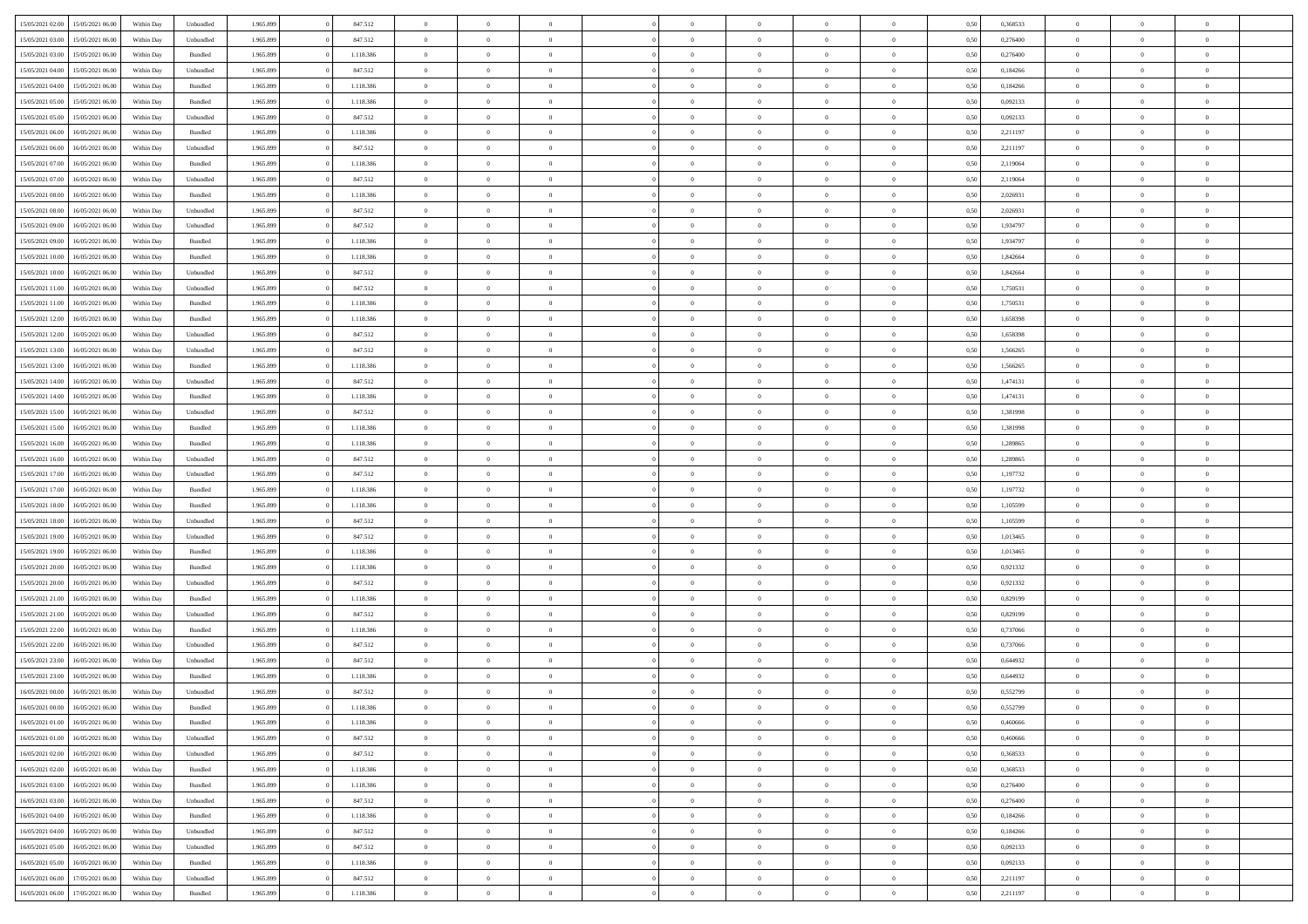| 15/05/2021 02:00 | 15/05/2021 06:00                  | Within Day | Unbundled          | 1.965.899 | 847.512   | $\overline{0}$ | $\theta$       |                | $\Omega$       | $\Omega$       | $\theta$       | $\theta$       | 0,50 | 0,368533 | $\theta$       | $\theta$       | $\theta$       |  |
|------------------|-----------------------------------|------------|--------------------|-----------|-----------|----------------|----------------|----------------|----------------|----------------|----------------|----------------|------|----------|----------------|----------------|----------------|--|
|                  |                                   |            |                    |           |           |                |                |                |                |                |                |                |      |          |                |                |                |  |
| 15/05/2021 03:00 | 15/05/2021 06:00                  | Within Day | Unbundled          | 1.965.899 | 847.512   | $\overline{0}$ | $\theta$       | $\overline{0}$ | $\overline{0}$ | $\bf{0}$       | $\overline{0}$ | $\bf{0}$       | 0,50 | 0,276400 | $\theta$       | $\theta$       | $\overline{0}$ |  |
| 15/05/2021 03:00 | 15/05/2021 06:00                  | Within Day | Bundled            | 1.965.899 | 1.118.386 | $\overline{0}$ | $\overline{0}$ | $\overline{0}$ | $\bf{0}$       | $\bf{0}$       | $\bf{0}$       | $\mathbf{0}$   | 0,50 | 0,276400 | $\overline{0}$ | $\overline{0}$ | $\overline{0}$ |  |
| 15/05/2021 04:00 | 15/05/2021 06:00                  | Within Day | Unbundled          | 1.965.899 | 847.512   | $\overline{0}$ | $\overline{0}$ | $\overline{0}$ | $\overline{0}$ | $\bf{0}$       | $\overline{0}$ | $\overline{0}$ | 0.50 | 0.184266 | $\theta$       | $\theta$       | $\overline{0}$ |  |
|                  |                                   |            |                    |           |           | $\overline{0}$ | $\theta$       | $\overline{0}$ |                | $\bf{0}$       | $\overline{0}$ |                |      |          | $\theta$       | $\overline{0}$ | $\overline{0}$ |  |
| 15/05/2021 04:00 | 15/05/2021 06:00                  | Within Day | Bundled            | 1.965.899 | 1.118.386 |                |                |                | $\overline{0}$ |                |                | $\bf{0}$       | 0,50 | 0,184266 |                |                |                |  |
| 15/05/2021 05:00 | 15/05/2021 06:00                  | Within Day | Bundled            | 1.965.899 | 1.118.386 | $\overline{0}$ | $\bf{0}$       | $\overline{0}$ | $\bf{0}$       | $\overline{0}$ | $\overline{0}$ | $\mathbf{0}$   | 0,50 | 0,092133 | $\overline{0}$ | $\overline{0}$ | $\bf{0}$       |  |
| 15/05/2021 05:00 | 15/05/2021 06:00                  | Within Dav | Unbundled          | 1.965.899 | 847.512   | $\overline{0}$ | $\overline{0}$ | $\overline{0}$ | $\overline{0}$ | $\overline{0}$ | $\overline{0}$ | $\overline{0}$ | 0.50 | 0,092133 | $\theta$       | $\overline{0}$ | $\overline{0}$ |  |
| 15/05/2021 06:00 | 16/05/2021 06:00                  | Within Day | Bundled            | 1.965.899 | 1.118.386 | $\overline{0}$ | $\theta$       | $\overline{0}$ | $\overline{0}$ | $\bf{0}$       | $\overline{0}$ | $\bf{0}$       | 0,50 | 2,211197 | $\theta$       | $\theta$       | $\overline{0}$ |  |
| 15/05/2021 06:00 | 16/05/2021 06:00                  | Within Day | Unbundled          | 1.965.899 | 847.512   | $\overline{0}$ | $\overline{0}$ | $\overline{0}$ | $\bf{0}$       | $\bf{0}$       | $\overline{0}$ | $\bf{0}$       | 0,50 | 2,211197 | $\,0\,$        | $\overline{0}$ | $\overline{0}$ |  |
| 15/05/2021 07:00 | 16/05/2021 06:00                  | Within Dav | Bundled            | 1.965.899 | 1.118.386 | $\overline{0}$ | $\overline{0}$ | $\overline{0}$ | $\overline{0}$ | $\overline{0}$ | $\overline{0}$ | $\overline{0}$ | 0.50 | 2,119064 | $\theta$       | $\overline{0}$ | $\overline{0}$ |  |
|                  |                                   |            |                    |           |           |                |                |                |                |                |                |                |      |          |                |                |                |  |
| 15/05/2021 07:00 | 16/05/2021 06:00                  | Within Day | Unbundled          | 1.965.899 | 847.512   | $\overline{0}$ | $\theta$       | $\overline{0}$ | $\overline{0}$ | $\bf{0}$       | $\overline{0}$ | $\bf{0}$       | 0,50 | 2,119064 | $\,$ 0 $\,$    | $\overline{0}$ | $\overline{0}$ |  |
| 15/05/2021 08:00 | 16/05/2021 06:00                  | Within Day | Bundled            | 1.965.899 | 1.118.386 | $\overline{0}$ | $\overline{0}$ | $\overline{0}$ | $\overline{0}$ | $\bf{0}$       | $\overline{0}$ | $\mathbf{0}$   | 0,50 | 2,026931 | $\bf{0}$       | $\overline{0}$ | $\overline{0}$ |  |
| 15/05/2021 08:00 | 16/05/2021 06:00                  | Within Day | Unbundled          | 1.965.899 | 847.512   | $\overline{0}$ | $\overline{0}$ | $\overline{0}$ | $\overline{0}$ | $\bf{0}$       | $\overline{0}$ | $\overline{0}$ | 0.50 | 2.026931 | $\theta$       | $\theta$       | $\overline{0}$ |  |
| 15/05/2021 09:00 | 16/05/2021 06:00                  | Within Day | Unbundled          | 1.965.899 | 847.512   | $\overline{0}$ | $\theta$       | $\overline{0}$ | $\overline{0}$ | $\bf{0}$       | $\overline{0}$ | $\bf{0}$       | 0,50 | 1,934797 | $\theta$       | $\overline{0}$ | $\overline{0}$ |  |
| 15/05/2021 09:00 | 16/05/2021 06:00                  | Within Day | Bundled            | 1.965.899 | 1.118.386 | $\overline{0}$ | $\overline{0}$ | $\overline{0}$ | $\overline{0}$ | $\overline{0}$ | $\overline{0}$ | $\mathbf{0}$   | 0,50 | 1,934797 | $\bf{0}$       | $\overline{0}$ | $\bf{0}$       |  |
|                  |                                   |            |                    |           |           |                |                |                |                |                |                |                |      |          |                |                |                |  |
| 15/05/2021 10:00 | 16/05/2021 06:00                  | Within Dav | Bundled            | 1.965.899 | 1.118.386 | $\overline{0}$ | $\overline{0}$ | $\overline{0}$ | $\overline{0}$ | $\overline{0}$ | $\overline{0}$ | $\overline{0}$ | 0.50 | 1,842664 | $\theta$       | $\overline{0}$ | $\overline{0}$ |  |
| 15/05/2021 10:00 | 16/05/2021 06:00                  | Within Day | Unbundled          | 1.965.899 | 847.512   | $\overline{0}$ | $\theta$       | $\overline{0}$ | $\overline{0}$ | $\bf{0}$       | $\overline{0}$ | $\bf{0}$       | 0,50 | 1,842664 | $\theta$       | $\theta$       | $\overline{0}$ |  |
| 15/05/2021 11:00 | 16/05/2021 06:00                  | Within Day | Unbundled          | 1.965.899 | 847.512   | $\overline{0}$ | $\overline{0}$ | $\overline{0}$ | $\overline{0}$ | $\bf{0}$       | $\overline{0}$ | $\mathbf{0}$   | 0,50 | 1,750531 | $\,0\,$        | $\overline{0}$ | $\overline{0}$ |  |
| 15/05/2021 11:00 | 16/05/2021 06:00                  | Within Day | Bundled            | 1.965.899 | 1.118.386 | $\overline{0}$ | $\overline{0}$ | $\overline{0}$ | $\overline{0}$ | $\overline{0}$ | $\overline{0}$ | $\overline{0}$ | 0.50 | 1,750531 | $\theta$       | $\overline{0}$ | $\overline{0}$ |  |
| 15/05/2021 12:00 | 16/05/2021 06:00                  | Within Day | Bundled            | 1.965.899 | 1.118.386 | $\overline{0}$ | $\theta$       | $\overline{0}$ | $\overline{0}$ | $\bf{0}$       | $\overline{0}$ | $\bf{0}$       | 0,50 | 1,658398 | $\,$ 0 $\,$    | $\theta$       | $\overline{0}$ |  |
| 15/05/2021 12:00 | 16/05/2021 06:00                  | Within Day | Unbundled          | 1.965.899 | 847.512   | $\overline{0}$ | $\overline{0}$ | $\overline{0}$ | $\overline{0}$ | $\bf{0}$       | $\overline{0}$ | $\bf{0}$       | 0,50 | 1,658398 | $\bf{0}$       | $\overline{0}$ | $\overline{0}$ |  |
|                  |                                   |            |                    |           |           |                |                |                |                |                |                |                |      |          |                |                |                |  |
| 15/05/2021 13:00 | 16/05/2021 06:00                  | Within Day | Unbundled          | 1.965.899 | 847.512   | $\overline{0}$ | $\overline{0}$ | $\overline{0}$ | $\overline{0}$ | $\overline{0}$ | $\overline{0}$ | $\overline{0}$ | 0.50 | 1.566265 | $\theta$       | $\overline{0}$ | $\overline{0}$ |  |
| 15/05/2021 13:00 | 16/05/2021 06:00                  | Within Day | Bundled            | 1.965.899 | 1.118.386 | $\overline{0}$ | $\theta$       | $\overline{0}$ | $\overline{0}$ | $\bf{0}$       | $\overline{0}$ | $\bf{0}$       | 0,50 | 1,566265 | $\,$ 0 $\,$    | $\overline{0}$ | $\overline{0}$ |  |
| 15/05/2021 14:00 | 16/05/2021 06:00                  | Within Day | Unbundled          | 1.965.899 | 847.512   | $\overline{0}$ | $\bf{0}$       | $\overline{0}$ | $\overline{0}$ | $\overline{0}$ | $\overline{0}$ | $\mathbf{0}$   | 0,50 | 1,474131 | $\bf{0}$       | $\overline{0}$ | $\bf{0}$       |  |
| 15/05/2021 14:00 | 16/05/2021 06:00                  | Within Dav | Bundled            | 1.965.899 | 1.118.386 | $\overline{0}$ | $\overline{0}$ | $\overline{0}$ | $\overline{0}$ | $\overline{0}$ | $\overline{0}$ | $\overline{0}$ | 0.50 | 1,474131 | $\overline{0}$ | $\overline{0}$ | $\overline{0}$ |  |
| 15/05/2021 15:00 | 16/05/2021 06:00                  | Within Day | Unbundled          | 1.965.899 | 847.512   | $\overline{0}$ | $\theta$       | $\overline{0}$ | $\overline{0}$ | $\bf{0}$       | $\overline{0}$ | $\bf{0}$       | 0,50 | 1,381998 | $\theta$       | $\theta$       | $\overline{0}$ |  |
| 15/05/2021 15:00 | 16/05/2021 06:00                  | Within Day | Bundled            | 1.965.899 | 1.118.386 | $\overline{0}$ | $\overline{0}$ | $\overline{0}$ | $\overline{0}$ | $\bf{0}$       | $\overline{0}$ | $\bf{0}$       | 0,50 | 1,381998 | $\,0\,$        | $\overline{0}$ | $\overline{0}$ |  |
|                  | 16/05/2021 06:00                  |            | Bundled            | 1.965.899 | 1.118.386 | $\overline{0}$ | $\overline{0}$ | $\overline{0}$ | $\overline{0}$ | $\overline{0}$ | $\overline{0}$ | $\overline{0}$ | 0.50 | 1.289865 | $\theta$       | $\overline{0}$ | $\overline{0}$ |  |
| 15/05/2021 16:00 |                                   | Within Day |                    |           |           |                |                |                |                |                |                |                |      |          |                |                |                |  |
| 15/05/2021 16:00 | 16/05/2021 06:00                  | Within Day | Unbundled          | 1.965.899 | 847.512   | $\overline{0}$ | $\theta$       | $\overline{0}$ | $\overline{0}$ | $\bf{0}$       | $\overline{0}$ | $\bf{0}$       | 0,50 | 1,289865 | $\,$ 0 $\,$    | $\overline{0}$ | $\overline{0}$ |  |
| 15/05/2021 17:00 | 16/05/2021 06:00                  | Within Day | Unbundled          | 1.965.899 | 847.512   | $\overline{0}$ | $\overline{0}$ | $\overline{0}$ | $\bf{0}$       | $\bf{0}$       | $\bf{0}$       | $\bf{0}$       | 0,50 | 1,197732 | $\overline{0}$ | $\overline{0}$ | $\overline{0}$ |  |
| 15/05/2021 17:00 | 16/05/2021 06:00                  | Within Day | Bundled            | 1.965.899 | 1.118.386 | $\overline{0}$ | $\Omega$       | $\overline{0}$ | $\Omega$       | $\Omega$       | $\overline{0}$ | $\overline{0}$ | 0,50 | 1,197732 | $\,0\,$        | $\theta$       | $\theta$       |  |
| 15/05/2021 18:00 | 16/05/2021 06:00                  | Within Day | Bundled            | 1.965.899 | 1.118.386 | $\overline{0}$ | $\theta$       | $\overline{0}$ | $\overline{0}$ | $\bf{0}$       | $\overline{0}$ | $\bf{0}$       | 0,50 | 1,105599 | $\,$ 0 $\,$    | $\overline{0}$ | $\overline{0}$ |  |
| 15/05/2021 18:00 | 16/05/2021 06:00                  | Within Day | Unbundled          | 1.965.899 | 847.512   | $\overline{0}$ | $\overline{0}$ | $\overline{0}$ | $\bf{0}$       | $\bf{0}$       | $\overline{0}$ | $\mathbf{0}$   | 0,50 | 1,105599 | $\overline{0}$ | $\overline{0}$ | $\bf{0}$       |  |
| 15/05/2021 19:00 | 16/05/2021 06:00                  | Within Day | Unbundled          | 1.965.899 | 847.512   | $\overline{0}$ | $\Omega$       | $\Omega$       | $\Omega$       | $\overline{0}$ | $\overline{0}$ | $\overline{0}$ | 0.50 | 1,013465 | $\,0\,$        | $\theta$       | $\theta$       |  |
|                  |                                   |            |                    |           |           | $\overline{0}$ | $\theta$       | $\overline{0}$ |                | $\bf{0}$       | $\overline{0}$ |                |      |          |                | $\theta$       | $\overline{0}$ |  |
| 15/05/2021 19:00 | 16/05/2021 06:00                  | Within Day | Bundled            | 1.965.899 | 1.118.386 |                |                |                | $\overline{0}$ |                |                | $\bf{0}$       | 0,50 | 1,013465 | $\,$ 0 $\,$    |                |                |  |
| 15/05/2021 20:00 | 16/05/2021 06:00                  | Within Day | Bundled            | 1.965.899 | 1.118.386 | $\overline{0}$ | $\overline{0}$ | $\overline{0}$ | $\bf{0}$       | $\bf{0}$       | $\bf{0}$       | $\bf{0}$       | 0,50 | 0,921332 | $\bf{0}$       | $\overline{0}$ | $\overline{0}$ |  |
| 15/05/2021 20:00 | 16/05/2021 06:00                  | Within Day | Unbundled          | 1.965.899 | 847.512   | $\overline{0}$ | $\Omega$       | $\overline{0}$ | $\Omega$       | $\overline{0}$ | $\overline{0}$ | $\overline{0}$ | 0.50 | 0,921332 | $\,$ 0 $\,$    | $\theta$       | $\theta$       |  |
| 15/05/2021 21:00 | 16/05/2021 06:00                  | Within Day | Bundled            | 1.965.899 | 1.118.386 | $\overline{0}$ | $\theta$       | $\overline{0}$ | $\overline{0}$ | $\bf{0}$       | $\overline{0}$ | $\bf{0}$       | 0,50 | 0,829199 | $\,$ 0 $\,$    | $\overline{0}$ | $\overline{0}$ |  |
| 15/05/2021 21.00 | 16/05/2021 06:00                  | Within Day | Unbundled          | 1.965.899 | 847.512   | $\overline{0}$ | $\overline{0}$ | $\overline{0}$ | $\bf{0}$       | $\bf{0}$       | $\bf{0}$       | $\mathbf{0}$   | 0,50 | 0,829199 | $\overline{0}$ | $\overline{0}$ | $\overline{0}$ |  |
| 15/05/2021 22.00 | 16/05/2021 06:00                  | Within Day | Bundled            | 1.965.899 | 1.118.386 | $\overline{0}$ | $\Omega$       | $\overline{0}$ | $\Omega$       | $\overline{0}$ | $\overline{0}$ | $\overline{0}$ | 0,50 | 0,737066 | $\,0\,$        | $\theta$       | $\theta$       |  |
| 15/05/2021 22:00 | 16/05/2021 06:00                  | Within Day | Unbundled          | 1.965.899 | 847.512   | $\overline{0}$ | $\theta$       | $\overline{0}$ | $\overline{0}$ | $\,$ 0         | $\overline{0}$ | $\bf{0}$       | 0,50 | 0,737066 | $\,$ 0 $\,$    | $\overline{0}$ | $\overline{0}$ |  |
|                  |                                   |            |                    |           |           |                |                |                |                |                |                |                |      |          |                |                |                |  |
| 15/05/2021 23.00 | 16/05/2021 06:00                  | Within Day | Unbundled          | 1.965.899 | 847.512   | $\overline{0}$ | $\overline{0}$ | $\overline{0}$ | $\bf{0}$       | $\bf{0}$       | $\bf{0}$       | $\mathbf{0}$   | 0,50 | 0,644932 | $\overline{0}$ | $\overline{0}$ | $\bf{0}$       |  |
| 15/05/2021 23:00 | 16/05/2021 06:00                  | Within Day | Bundled            | 1.965.899 | 1.118.386 | $\overline{0}$ | $\Omega$       | $\Omega$       | $\Omega$       | $\Omega$       | $\Omega$       | $\overline{0}$ | 0.50 | 0.644932 | $\theta$       | $\theta$       | $\theta$       |  |
| 16/05/2021 00:00 | 16/05/2021 06:00                  | Within Day | Unbundled          | 1.965.899 | 847.512   | $\overline{0}$ | $\overline{0}$ | $\overline{0}$ | $\bf{0}$       | $\,$ 0         | $\bf{0}$       | $\bf{0}$       | 0,50 | 0,552799 | $\,0\,$        | $\overline{0}$ | $\overline{0}$ |  |
| 16/05/2021 00:00 | 16/05/2021 06:00                  | Within Day | $\mathbf B$ undled | 1.965.899 | 1.118.386 | $\bf{0}$       | $\bf{0}$       |                |                | $\bf{0}$       |                |                | 0,50 | 0,552799 | $\bf{0}$       | $\overline{0}$ |                |  |
| 16/05/2021 01:00 | 16/05/2021 06:00                  | Within Day | Bundled            | 1.965.899 | 1.118.386 | $\overline{0}$ | $\overline{0}$ | $\overline{0}$ | $\Omega$       | $\overline{0}$ | $\overline{0}$ | $\overline{0}$ | 0.50 | 0.460666 | $\theta$       | $\theta$       | $\theta$       |  |
| 16/05/2021 01:00 | 16/05/2021 06:00                  | Within Day | Unbundled          | 1.965.899 | 847.512   | $\overline{0}$ | $\,$ 0         | $\overline{0}$ | $\bf{0}$       | $\,$ 0 $\,$    | $\overline{0}$ | $\,$ 0 $\,$    | 0,50 | 0,460666 | $\,$ 0 $\,$    | $\,$ 0 $\,$    | $\,$ 0         |  |
|                  |                                   |            |                    |           |           |                |                |                |                |                |                |                |      |          |                |                |                |  |
| 16/05/2021 02:00 | 16/05/2021 06:00                  | Within Day | Unbundled          | 1.965.899 | 847.512   | $\overline{0}$ | $\overline{0}$ | $\overline{0}$ | $\overline{0}$ | $\overline{0}$ | $\overline{0}$ | $\mathbf{0}$   | 0,50 | 0,368533 | $\overline{0}$ | $\bf{0}$       | $\bf{0}$       |  |
| 16/05/2021 02:00 | 16/05/2021 06:00                  | Within Day | Bundled            | 1.965.899 | 1.118.386 | $\overline{0}$ | $\overline{0}$ | $\overline{0}$ | $\Omega$       | $\overline{0}$ | $\overline{0}$ | $\overline{0}$ | 0,50 | 0,368533 | $\overline{0}$ | $\theta$       | $\overline{0}$ |  |
| 16/05/2021 03:00 | 16/05/2021 06:00                  | Within Day | Bundled            | 1.965.899 | 1.118.386 | $\overline{0}$ | $\,$ 0         | $\overline{0}$ | $\overline{0}$ | $\,$ 0 $\,$    | $\overline{0}$ | $\mathbf{0}$   | 0,50 | 0,276400 | $\,$ 0 $\,$    | $\overline{0}$ | $\overline{0}$ |  |
| 16/05/2021 03:00 | 16/05/2021 06:00                  | Within Day | Unbundled          | 1.965.899 | 847.512   | $\overline{0}$ | $\overline{0}$ | $\overline{0}$ | $\overline{0}$ | $\overline{0}$ | $\overline{0}$ | $\mathbf{0}$   | 0,50 | 0,276400 | $\overline{0}$ | $\overline{0}$ | $\bf{0}$       |  |
| 16/05/2021 04:00 | 16/05/2021 06:00                  | Within Day | Bundled            | 1.965.899 | 1.118.386 | $\overline{0}$ | $\overline{0}$ | $\overline{0}$ | $\Omega$       | $\overline{0}$ | $\overline{0}$ | $\bf{0}$       | 0.50 | 0,184266 | $\overline{0}$ | $\theta$       | $\overline{0}$ |  |
| 16/05/2021 04:00 | 16/05/2021 06:00                  | Within Day | Unbundled          | 1.965.899 | 847.512   | $\overline{0}$ | $\,$ 0         | $\overline{0}$ | $\overline{0}$ | $\bf{0}$       | $\overline{0}$ | $\bf{0}$       | 0,50 | 0,184266 | $\,$ 0 $\,$    | $\overline{0}$ | $\overline{0}$ |  |
|                  |                                   |            |                    |           |           |                |                |                |                |                |                |                |      |          |                |                |                |  |
| 16/05/2021 05:00 | 16/05/2021 06:00                  | Within Day | Unbundled          | 1.965.899 | 847.512   | $\overline{0}$ | $\bf{0}$       | $\overline{0}$ | $\overline{0}$ | $\overline{0}$ | $\overline{0}$ | $\mathbf{0}$   | 0,50 | 0,092133 | $\overline{0}$ | $\overline{0}$ | $\bf{0}$       |  |
| 16/05/2021 05:00 | 16/05/2021 06:00                  | Within Day | Bundled            | 1.965.899 | 1.118.386 | $\overline{0}$ | $\overline{0}$ | $\overline{0}$ | $\Omega$       | $\overline{0}$ | $\overline{0}$ | $\overline{0}$ | 0.50 | 0,092133 | $\overline{0}$ | $\overline{0}$ | $\overline{0}$ |  |
| 16/05/2021 06:00 | 17/05/2021 06:00                  | Within Day | Unbundled          | 1.965.899 | 847.512   | $\overline{0}$ | $\bf{0}$       | $\overline{0}$ | $\bf{0}$       | $\bf{0}$       | $\overline{0}$ | $\mathbf{0}$   | 0,50 | 2,211197 | $\,$ 0 $\,$    | $\,$ 0 $\,$    | $\bf{0}$       |  |
|                  | 16/05/2021 06:00 17/05/2021 06:00 | Within Day | Bundled            | 1.965.899 | 1.118.386 | $\overline{0}$ | $\overline{0}$ | $\overline{0}$ | $\overline{0}$ | $\overline{0}$ | $\overline{0}$ | $\mathbf{0}$   | 0,50 | 2,211197 | $\overline{0}$ | $\bf{0}$       | $\bf{0}$       |  |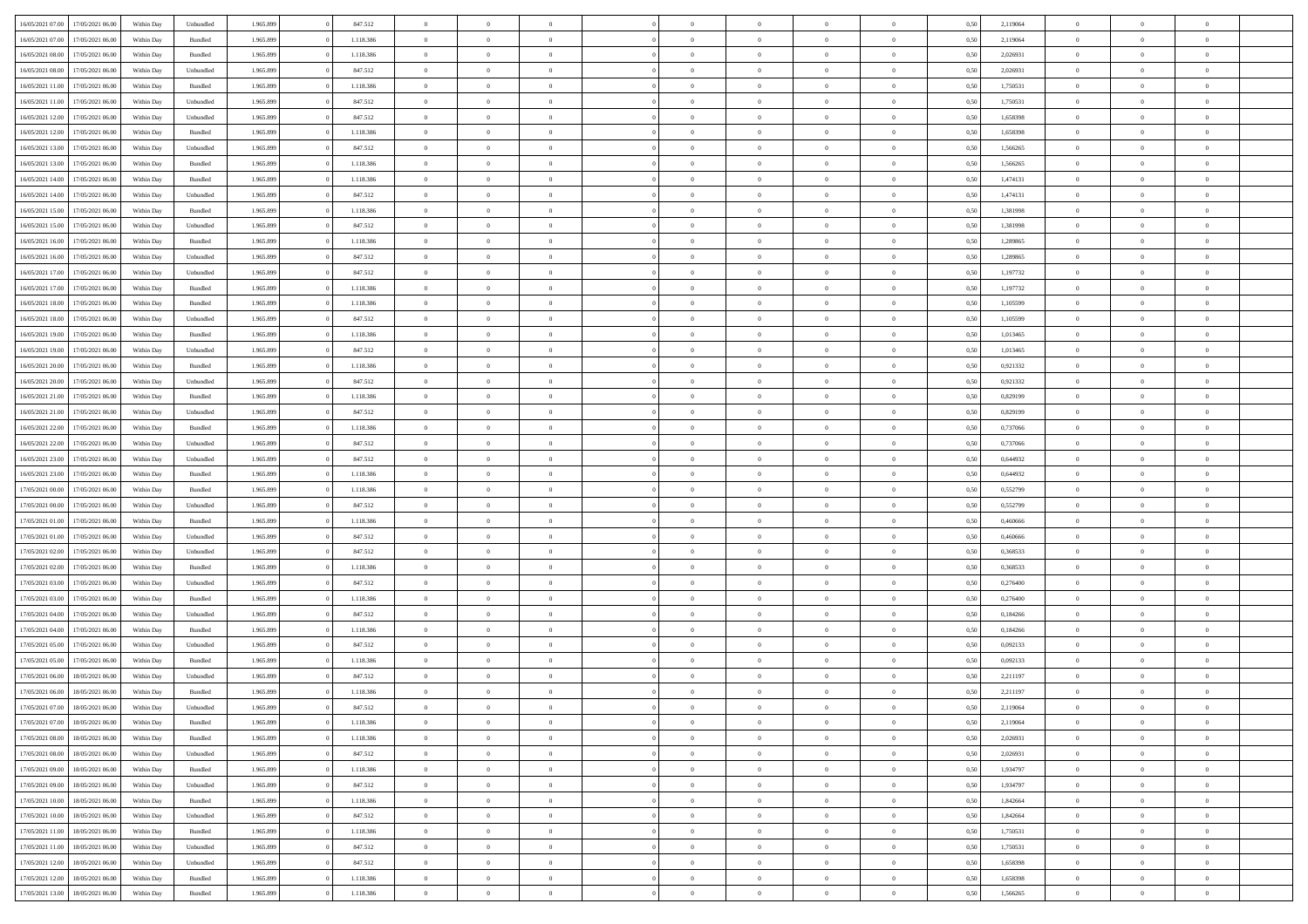| 16/05/2021 07:00 | 17/05/2021 06:00 | Within Day | Unbundled | 1.965.899 | 847.512   | $\overline{0}$ | $\Omega$       |                | $\Omega$       | $\Omega$       | $\theta$       | $\theta$       | 0,50 | 2,119064 | $\theta$       | $\theta$       | $\theta$       |  |
|------------------|------------------|------------|-----------|-----------|-----------|----------------|----------------|----------------|----------------|----------------|----------------|----------------|------|----------|----------------|----------------|----------------|--|
| 16/05/2021 07:00 | 17/05/2021 06:00 | Within Day | Bundled   | 1.965.899 | 1.118.386 | $\overline{0}$ | $\theta$       | $\overline{0}$ | $\overline{0}$ | $\bf{0}$       | $\overline{0}$ | $\bf{0}$       | 0,50 | 2,119064 | $\theta$       | $\overline{0}$ | $\overline{0}$ |  |
| 16/05/2021 08:00 | 17/05/2021 06:00 | Within Day | Bundled   | 1.965.899 | 1.118.386 | $\overline{0}$ | $\overline{0}$ | $\overline{0}$ | $\overline{0}$ | $\bf{0}$       | $\overline{0}$ | $\bf{0}$       | 0,50 | 2,026931 | $\bf{0}$       | $\overline{0}$ | $\overline{0}$ |  |
| 16/05/2021 08:00 | 17/05/2021 06:00 | Within Dav | Unbundled | 1.965.899 | 847.512   | $\overline{0}$ | $\overline{0}$ | $\overline{0}$ | $\overline{0}$ | $\bf{0}$       | $\overline{0}$ | $\overline{0}$ | 0.50 | 2.026931 | $\theta$       | $\theta$       | $\overline{0}$ |  |
| 16/05/2021 11:00 | 17/05/2021 06:00 |            | Bundled   | 1.965.899 | 1.118.386 | $\overline{0}$ | $\theta$       | $\overline{0}$ | $\overline{0}$ | $\bf{0}$       | $\overline{0}$ |                |      | 1,750531 | $\theta$       | $\overline{0}$ | $\overline{0}$ |  |
|                  |                  | Within Day |           |           |           |                |                |                |                |                |                | $\bf{0}$       | 0,50 |          |                |                |                |  |
| 16/05/2021 11:00 | 17/05/2021 06:00 | Within Day | Unbundled | 1.965.899 | 847.512   | $\overline{0}$ | $\bf{0}$       | $\overline{0}$ | $\overline{0}$ | $\overline{0}$ | $\overline{0}$ | $\mathbf{0}$   | 0,50 | 1,750531 | $\bf{0}$       | $\overline{0}$ | $\bf{0}$       |  |
| 16/05/2021 12:00 | 17/05/2021 06:00 | Within Dav | Unbundled | 1.965.899 | 847.512   | $\overline{0}$ | $\overline{0}$ | $\overline{0}$ | $\overline{0}$ | $\overline{0}$ | $\overline{0}$ | $\overline{0}$ | 0.50 | 1,658398 | $\theta$       | $\overline{0}$ | $\overline{0}$ |  |
| 16/05/2021 12:00 | 17/05/2021 06:00 | Within Day | Bundled   | 1.965.899 | 1.118.386 | $\overline{0}$ | $\theta$       | $\overline{0}$ | $\overline{0}$ | $\bf{0}$       | $\overline{0}$ | $\bf{0}$       | 0,50 | 1,658398 | $\theta$       | $\theta$       | $\overline{0}$ |  |
| 16/05/2021 13:00 | 17/05/2021 06:00 | Within Day | Unbundled | 1.965.899 | 847.512   | $\overline{0}$ | $\overline{0}$ | $\overline{0}$ | $\overline{0}$ | $\bf{0}$       | $\overline{0}$ | $\bf{0}$       | 0,50 | 1,566265 | $\,0\,$        | $\overline{0}$ | $\overline{0}$ |  |
| 16/05/2021 13:00 | 17/05/2021 06:00 | Within Dav | Bundled   | 1.965.899 | 1.118.386 | $\overline{0}$ | $\overline{0}$ | $\overline{0}$ | $\overline{0}$ | $\overline{0}$ | $\overline{0}$ | $\overline{0}$ | 0.50 | 1,566265 | $\theta$       | $\overline{0}$ | $\overline{0}$ |  |
|                  |                  |            |           |           |           |                |                |                |                |                |                |                |      |          |                |                |                |  |
| 16/05/2021 14:00 | 17/05/2021 06:00 | Within Day | Bundled   | 1.965.899 | 1.118.386 | $\overline{0}$ | $\theta$       | $\overline{0}$ | $\overline{0}$ | $\bf{0}$       | $\overline{0}$ | $\bf{0}$       | 0,50 | 1,474131 | $\,$ 0 $\,$    | $\overline{0}$ | $\overline{0}$ |  |
| 16/05/2021 14:00 | 17/05/2021 06:00 | Within Day | Unbundled | 1.965.899 | 847.512   | $\overline{0}$ | $\overline{0}$ | $\overline{0}$ | $\bf{0}$       | $\bf{0}$       | $\bf{0}$       | $\mathbf{0}$   | 0,50 | 1,474131 | $\overline{0}$ | $\overline{0}$ | $\bf{0}$       |  |
| 16/05/2021 15:00 | 17/05/2021 06:00 | Within Day | Bundled   | 1.965.899 | 1.118.386 | $\overline{0}$ | $\overline{0}$ | $\overline{0}$ | $\overline{0}$ | $\bf{0}$       | $\overline{0}$ | $\overline{0}$ | 0.50 | 1,381998 | $\theta$       | $\theta$       | $\overline{0}$ |  |
| 16/05/2021 15:00 | 17/05/2021 06:00 | Within Day | Unbundled | 1.965.899 | 847.512   | $\overline{0}$ | $\theta$       | $\overline{0}$ | $\overline{0}$ | $\bf{0}$       | $\overline{0}$ | $\bf{0}$       | 0,50 | 1,381998 | $\theta$       | $\overline{0}$ | $\overline{0}$ |  |
| 16/05/2021 16:00 | 17/05/2021 06:00 | Within Day | Bundled   | 1.965.899 | 1.118.386 | $\overline{0}$ | $\overline{0}$ | $\overline{0}$ | $\bf{0}$       | $\overline{0}$ | $\overline{0}$ | $\mathbf{0}$   | 0,50 | 1,289865 | $\overline{0}$ | $\overline{0}$ | $\bf{0}$       |  |
|                  |                  |            |           |           |           |                |                |                |                |                |                |                |      |          |                |                |                |  |
| 16/05/2021 16:00 | 17/05/2021 06:00 | Within Dav | Unbundled | 1.965.899 | 847.512   | $\overline{0}$ | $\overline{0}$ | $\overline{0}$ | $\overline{0}$ | $\overline{0}$ | $\overline{0}$ | $\overline{0}$ | 0.50 | 1.289865 | $\theta$       | $\overline{0}$ | $\overline{0}$ |  |
| 16/05/2021 17:00 | 17/05/2021 06:00 | Within Day | Unbundled | 1.965.899 | 847.512   | $\overline{0}$ | $\theta$       | $\overline{0}$ | $\overline{0}$ | $\bf{0}$       | $\overline{0}$ | $\bf{0}$       | 0,50 | 1,197732 | $\theta$       | $\theta$       | $\overline{0}$ |  |
| 16/05/2021 17:00 | 17/05/2021 06:00 | Within Day | Bundled   | 1.965.899 | 1.118.386 | $\overline{0}$ | $\overline{0}$ | $\overline{0}$ | $\bf{0}$       | $\bf{0}$       | $\bf{0}$       | $\mathbf{0}$   | 0,50 | 1,197732 | $\bf{0}$       | $\overline{0}$ | $\overline{0}$ |  |
| 16/05/2021 18:00 | 17/05/2021 06:00 | Within Day | Bundled   | 1.965.899 | 1.118.386 | $\overline{0}$ | $\overline{0}$ | $\overline{0}$ | $\overline{0}$ | $\overline{0}$ | $\overline{0}$ | $\overline{0}$ | 0.50 | 1,105599 | $\theta$       | $\overline{0}$ | $\overline{0}$ |  |
| 16/05/2021 18:00 | 17/05/2021 06:00 | Within Day | Unbundled | 1.965.899 | 847.512   | $\overline{0}$ | $\theta$       | $\overline{0}$ | $\overline{0}$ | $\bf{0}$       | $\overline{0}$ | $\bf{0}$       | 0,50 | 1,105599 | $\,$ 0 $\,$    | $\overline{0}$ | $\overline{0}$ |  |
|                  |                  |            |           |           |           |                |                |                |                |                |                |                |      |          |                |                |                |  |
| 16/05/2021 19:00 | 17/05/2021 06:00 | Within Day | Bundled   | 1.965.899 | 1.118.386 | $\overline{0}$ | $\overline{0}$ | $\overline{0}$ | $\bf{0}$       | $\bf{0}$       | $\bf{0}$       | $\bf{0}$       | 0,50 | 1,013465 | $\bf{0}$       | $\overline{0}$ | $\overline{0}$ |  |
| 16/05/2021 19:00 | 17/05/2021 06:00 | Within Day | Unbundled | 1.965.899 | 847.512   | $\overline{0}$ | $\overline{0}$ | $\overline{0}$ | $\overline{0}$ | $\bf{0}$       | $\overline{0}$ | $\overline{0}$ | 0.50 | 1,013465 | $\theta$       | $\overline{0}$ | $\overline{0}$ |  |
| 16/05/2021 20:00 | 17/05/2021 06:00 | Within Day | Bundled   | 1.965.899 | 1.118.386 | $\overline{0}$ | $\theta$       | $\overline{0}$ | $\overline{0}$ | $\bf{0}$       | $\overline{0}$ | $\bf{0}$       | 0,50 | 0,921332 | $\,$ 0 $\,$    | $\overline{0}$ | $\overline{0}$ |  |
| 16/05/2021 20:00 | 17/05/2021 06:00 | Within Day | Unbundled | 1.965.899 | 847.512   | $\overline{0}$ | $\overline{0}$ | $\overline{0}$ | $\bf{0}$       | $\overline{0}$ | $\overline{0}$ | $\mathbf{0}$   | 0,50 | 0,921332 | $\overline{0}$ | $\overline{0}$ | $\bf{0}$       |  |
| 16/05/2021 21:00 | 17/05/2021 06:00 | Within Dav | Bundled   | 1.965.899 | 1.118.386 | $\overline{0}$ | $\overline{0}$ | $\overline{0}$ | $\overline{0}$ | $\overline{0}$ | $\overline{0}$ | $\overline{0}$ | 0.50 | 0.829199 | $\overline{0}$ | $\overline{0}$ | $\overline{0}$ |  |
| 16/05/2021 21:00 | 17/05/2021 06:00 | Within Day | Unbundled | 1.965.899 | 847.512   | $\overline{0}$ | $\theta$       | $\overline{0}$ | $\overline{0}$ | $\bf{0}$       | $\overline{0}$ | $\bf{0}$       | 0,50 | 0,829199 | $\theta$       | $\theta$       | $\overline{0}$ |  |
|                  |                  |            |           |           |           |                | $\overline{0}$ |                |                | $\bf{0}$       |                |                |      |          | $\,0\,$        | $\overline{0}$ | $\overline{0}$ |  |
| 16/05/2021 22.00 | 17/05/2021 06:00 | Within Day | Bundled   | 1.965.899 | 1.118.386 | $\overline{0}$ |                | $\overline{0}$ | $\bf{0}$       |                | $\bf{0}$       | $\bf{0}$       | 0,50 | 0,737066 |                |                |                |  |
| 16/05/2021 22:00 | 17/05/2021 06:00 | Within Day | Unbundled | 1.965.899 | 847.512   | $\overline{0}$ | $\overline{0}$ | $\overline{0}$ | $\overline{0}$ | $\overline{0}$ | $\overline{0}$ | $\overline{0}$ | 0.50 | 0,737066 | $\theta$       | $\overline{0}$ | $\overline{0}$ |  |
| 16/05/2021 23:00 | 17/05/2021 06:00 | Within Day | Unbundled | 1.965.899 | 847.512   | $\overline{0}$ | $\theta$       | $\overline{0}$ | $\overline{0}$ | $\bf{0}$       | $\overline{0}$ | $\bf{0}$       | 0,50 | 0,644932 | $\,$ 0 $\,$    | $\overline{0}$ | $\overline{0}$ |  |
| 16/05/2021 23:00 | 17/05/2021 06:00 | Within Day | Bundled   | 1.965.899 | 1.118.386 | $\overline{0}$ | $\overline{0}$ | $\overline{0}$ | $\bf{0}$       | $\bf{0}$       | $\bf{0}$       | $\bf{0}$       | 0,50 | 0,644932 | $\overline{0}$ | $\overline{0}$ | $\overline{0}$ |  |
| 17/05/2021 00:00 | 17/05/2021 06:00 | Within Day | Bundled   | 1.965.899 | 1.118.386 | $\overline{0}$ | $\Omega$       | $\overline{0}$ | $\Omega$       | $\Omega$       | $\overline{0}$ | $\overline{0}$ | 0,50 | 0,552799 | $\,0\,$        | $\theta$       | $\theta$       |  |
| 17/05/2021 00:00 | 17/05/2021 06:00 | Within Day | Unbundled | 1.965.899 | 847.512   | $\overline{0}$ | $\theta$       | $\overline{0}$ | $\overline{0}$ | $\bf{0}$       | $\overline{0}$ | $\bf{0}$       | 0,50 | 0,552799 | $\,$ 0 $\,$    | $\overline{0}$ | $\overline{0}$ |  |
|                  |                  |            |           |           |           |                |                |                |                | $\bf{0}$       |                |                |      |          |                | $\overline{0}$ | $\bf{0}$       |  |
| 17/05/2021 01:00 | 17/05/2021 06:00 | Within Day | Bundled   | 1.965.899 | 1.118.386 | $\overline{0}$ | $\overline{0}$ | $\overline{0}$ | $\overline{0}$ |                | $\overline{0}$ | $\mathbf{0}$   | 0,50 | 0,460666 | $\bf{0}$       |                |                |  |
| 17/05/2021 01:00 | 17/05/2021 06:00 | Within Day | Unbundled | 1.965.899 | 847.512   | $\overline{0}$ | $\Omega$       | $\Omega$       | $\Omega$       | $\bf{0}$       | $\overline{0}$ | $\overline{0}$ | 0.50 | 0.460666 | $\theta$       | $\theta$       | $\theta$       |  |
| 17/05/2021 02:00 | 17/05/2021 06:00 | Within Day | Unbundled | 1.965.899 | 847.512   | $\overline{0}$ | $\theta$       | $\overline{0}$ | $\overline{0}$ | $\bf{0}$       | $\overline{0}$ | $\bf{0}$       | 0,50 | 0,368533 | $\,$ 0 $\,$    | $\theta$       | $\overline{0}$ |  |
| 17/05/2021 02:00 | 17/05/2021 06:00 | Within Day | Bundled   | 1.965.899 | 1.118.386 | $\overline{0}$ | $\overline{0}$ | $\overline{0}$ | $\overline{0}$ | $\bf{0}$       | $\overline{0}$ | $\bf{0}$       | 0,50 | 0,368533 | $\bf{0}$       | $\overline{0}$ | $\overline{0}$ |  |
| 17/05/2021 03:00 | 17/05/2021 06:00 | Within Day | Unbundled | 1.965.899 | 847.512   | $\overline{0}$ | $\Omega$       | $\overline{0}$ | $\Omega$       | $\overline{0}$ | $\overline{0}$ | $\overline{0}$ | 0.50 | 0,276400 | $\,$ 0 $\,$    | $\theta$       | $\theta$       |  |
| 17/05/2021 03:00 | 17/05/2021 06:00 | Within Day | Bundled   | 1.965.899 | 1.118.386 | $\overline{0}$ | $\theta$       | $\overline{0}$ | $\overline{0}$ | $\bf{0}$       | $\overline{0}$ | $\bf{0}$       | 0,50 | 0,276400 | $\,$ 0 $\,$    | $\overline{0}$ | $\overline{0}$ |  |
|                  |                  |            |           |           |           |                |                |                |                |                |                |                |      |          |                |                |                |  |
| 17/05/2021 04:00 | 17/05/2021 06:00 | Within Day | Unbundled | 1.965.899 | 847.512   | $\overline{0}$ | $\overline{0}$ | $\overline{0}$ | $\overline{0}$ | $\bf{0}$       | $\overline{0}$ | $\bf{0}$       | 0,50 | 0,184266 | $\bf{0}$       | $\overline{0}$ | $\overline{0}$ |  |
| 17/05/2021 04:00 | 17/05/2021 06:00 | Within Day | Bundled   | 1.965.899 | 1.118.386 | $\overline{0}$ | $\Omega$       | $\overline{0}$ | $\Omega$       | $\overline{0}$ | $\overline{0}$ | $\overline{0}$ | 0.50 | 0,184266 | $\,0\,$        | $\theta$       | $\theta$       |  |
| 17/05/2021 05:00 | 17/05/2021 06:00 | Within Day | Unbundled | 1.965.899 | 847.512   | $\overline{0}$ | $\theta$       | $\overline{0}$ | $\overline{0}$ | $\,$ 0         | $\overline{0}$ | $\bf{0}$       | 0,50 | 0,092133 | $\,$ 0 $\,$    | $\overline{0}$ | $\overline{0}$ |  |
| 17/05/2021 05:00 | 17/05/2021 06:00 | Within Day | Bundled   | 1.965.899 | 1.118.386 | $\overline{0}$ | $\overline{0}$ | $\overline{0}$ | $\overline{0}$ | $\bf{0}$       | $\overline{0}$ | $\mathbf{0}$   | 0,50 | 0,092133 | $\bf{0}$       | $\overline{0}$ | $\bf{0}$       |  |
| 17/05/2021 06:00 | 18/05/2021 06:00 | Within Day | Unbundled | 1.965.899 | 847.512   | $\overline{0}$ | $\Omega$       | $\Omega$       | $\Omega$       | $\Omega$       | $\Omega$       | $\overline{0}$ | 0.50 | 2,211197 | $\theta$       | $\theta$       | $\theta$       |  |
| 17/05/2021 06:00 | 18/05/2021 06:00 | Within Day | Bundled   | 1.965.899 | 1.118.386 | $\overline{0}$ | $\overline{0}$ | $\overline{0}$ | $\bf{0}$       | $\,$ 0         | $\overline{0}$ | $\bf{0}$       | 0,50 | 2,211197 | $\,0\,$        | $\,$ 0 $\,$    | $\overline{0}$ |  |
| 17/05/2021 07:00 | 18/05/2021 06:00 | Within Day | Unbundled | 1.965.899 | 847.512   | $\bf{0}$       | $\bf{0}$       |                |                | $\bf{0}$       |                |                | 0,50 | 2,119064 | $\bf{0}$       | $\overline{0}$ |                |  |
|                  |                  |            |           |           |           |                |                |                |                |                |                |                |      |          |                |                |                |  |
| 17/05/2021 07:00 | 18/05/2021 06:00 | Within Day | Bundled   | 1.965.899 | 1.118.386 | $\overline{0}$ | $\overline{0}$ | $\overline{0}$ | $\Omega$       | $\overline{0}$ | $\overline{0}$ | $\overline{0}$ | 0,50 | 2,119064 | $\theta$       | $\theta$       | $\theta$       |  |
| 17/05/2021 08:00 | 18/05/2021 06:00 | Within Day | Bundled   | 1.965.899 | 1.118.386 | $\overline{0}$ | $\,$ 0         | $\overline{0}$ | $\overline{0}$ | $\,$ 0 $\,$    | $\overline{0}$ | $\,$ 0 $\,$    | 0,50 | 2,026931 | $\,$ 0 $\,$    | $\,$ 0 $\,$    | $\,$ 0         |  |
| 17/05/2021 08:00 | 18/05/2021 06:00 | Within Day | Unbundled | 1.965.899 | 847.512   | $\overline{0}$ | $\overline{0}$ | $\overline{0}$ | $\overline{0}$ | $\overline{0}$ | $\overline{0}$ | $\mathbf{0}$   | 0,50 | 2,026931 | $\overline{0}$ | $\bf{0}$       | $\overline{0}$ |  |
| 17/05/2021 09:00 | 18/05/2021 06:00 | Within Day | Bundled   | 1.965.899 | 1.118.386 | $\overline{0}$ | $\overline{0}$ | $\overline{0}$ | $\Omega$       | $\overline{0}$ | $\overline{0}$ | $\overline{0}$ | 0,50 | 1,934797 | $\overline{0}$ | $\theta$       | $\overline{0}$ |  |
| 17/05/2021 09:00 | 18/05/2021 06:00 | Within Day | Unbundled | 1.965.899 | 847.512   | $\overline{0}$ | $\,$ 0         | $\overline{0}$ | $\bf{0}$       | $\,$ 0 $\,$    | $\overline{0}$ | $\,$ 0 $\,$    | 0,50 | 1,934797 | $\,$ 0 $\,$    | $\overline{0}$ | $\overline{0}$ |  |
| 17/05/2021 10:00 | 18/05/2021 06:00 | Within Day | Bundled   | 1.965.899 | 1.118.386 | $\overline{0}$ | $\overline{0}$ | $\overline{0}$ | $\overline{0}$ | $\overline{0}$ | $\overline{0}$ | $\mathbf{0}$   | 0,50 | 1,842664 | $\overline{0}$ | $\overline{0}$ | $\bf{0}$       |  |
|                  |                  |            |           |           |           |                |                |                |                |                |                |                |      |          |                |                |                |  |
| 17/05/2021 10:00 | 18/05/2021 06:00 | Within Day | Unbundled | 1.965.899 | 847.512   | $\overline{0}$ | $\overline{0}$ | $\overline{0}$ | $\overline{0}$ | $\overline{0}$ | $\overline{0}$ | $\bf{0}$       | 0.50 | 1,842664 | $\overline{0}$ | $\theta$       | $\overline{0}$ |  |
| 17/05/2021 11:00 | 18/05/2021 06:00 | Within Day | Bundled   | 1.965.899 | 1.118.386 | $\overline{0}$ | $\,$ 0         | $\overline{0}$ | $\bf{0}$       | $\bf{0}$       | $\bf{0}$       | $\bf{0}$       | 0,50 | 1,750531 | $\,$ 0 $\,$    | $\overline{0}$ | $\overline{0}$ |  |
| 17/05/2021 11:00 | 18/05/2021 06:00 | Within Day | Unbundled | 1.965.899 | 847.512   | $\overline{0}$ | $\bf{0}$       | $\overline{0}$ | $\overline{0}$ | $\overline{0}$ | $\overline{0}$ | $\mathbf{0}$   | 0,50 | 1,750531 | $\overline{0}$ | $\overline{0}$ | $\bf{0}$       |  |
| 17/05/2021 12:00 | 18/05/2021 06:00 | Within Day | Unbundled | 1.965.899 | 847.512   | $\overline{0}$ | $\overline{0}$ | $\overline{0}$ | $\Omega$       | $\overline{0}$ | $\overline{0}$ | $\overline{0}$ | 0.50 | 1,658398 | $\overline{0}$ | $\overline{0}$ | $\overline{0}$ |  |
| 17/05/2021 12:00 | 18/05/2021 06:00 | Within Day | Bundled   | 1.965.899 | 1.118.386 | $\overline{0}$ | $\bf{0}$       | $\overline{0}$ | $\overline{0}$ | $\bf{0}$       | $\bf{0}$       | $\mathbf{0}$   | 0,50 | 1,658398 | $\,$ 0 $\,$    | $\,$ 0 $\,$    | $\bf{0}$       |  |
| 17/05/2021 13:00 | 18/05/2021 06:00 | Within Day | Bundled   | 1.965.899 | 1.118.386 | $\overline{0}$ | $\bf{0}$       | $\overline{0}$ | $\bf{0}$       | $\bf{0}$       | $\bf{0}$       | $\bf{0}$       | 0,50 | 1,566265 | $\overline{0}$ | $\overline{0}$ | $\bf{0}$       |  |
|                  |                  |            |           |           |           |                |                |                |                |                |                |                |      |          |                |                |                |  |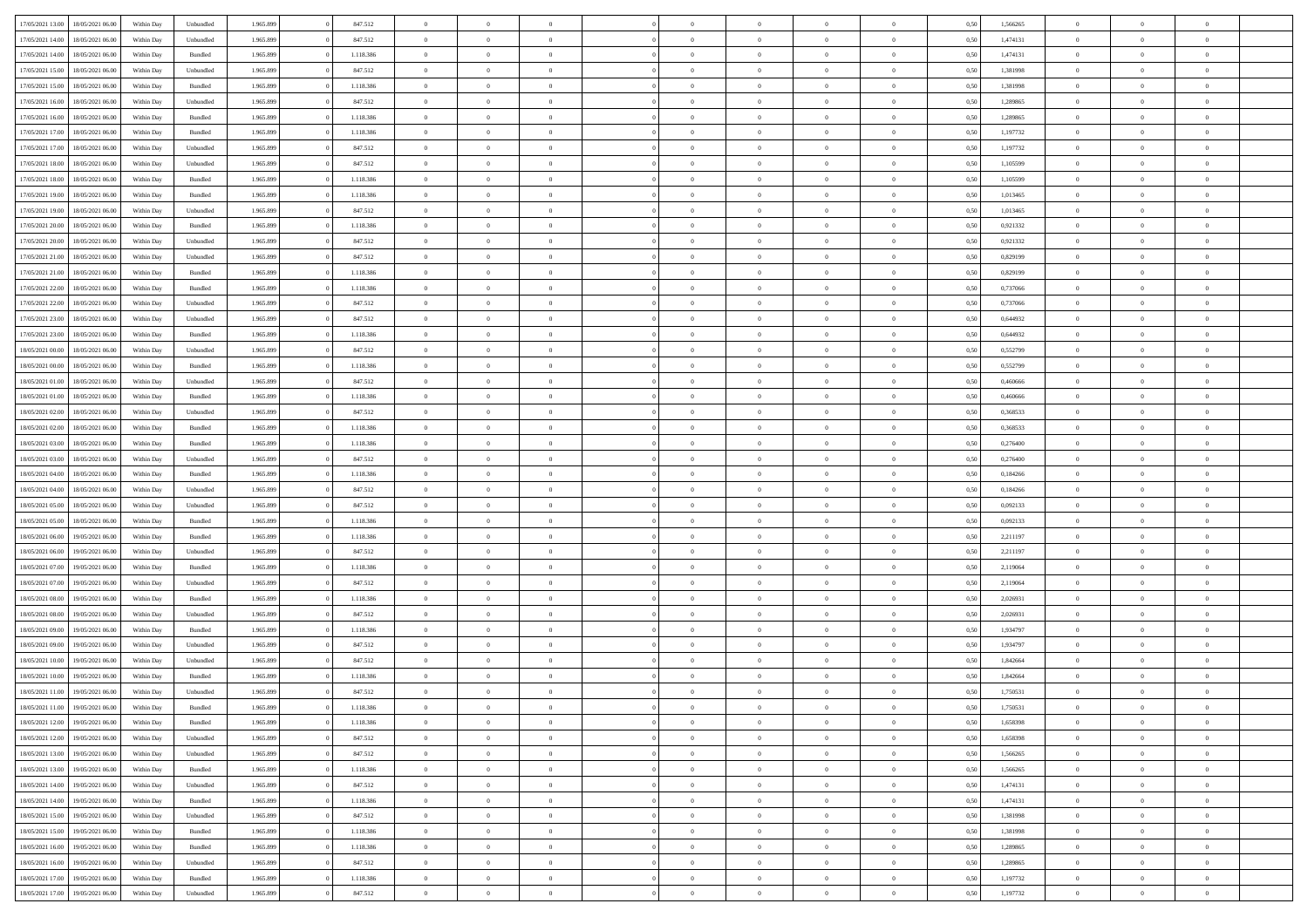| 17/05/2021 13:00 |                  |            |                    |           |           | $\overline{0}$ |                |                |                | $\Omega$       | $\theta$       | $\theta$       |      |          | $\theta$       |                | $\theta$       |  |
|------------------|------------------|------------|--------------------|-----------|-----------|----------------|----------------|----------------|----------------|----------------|----------------|----------------|------|----------|----------------|----------------|----------------|--|
|                  | 18/05/2021 06:00 | Within Day | Unbundled          | 1.965.899 | 847.512   |                | $\theta$       |                | $\Omega$       |                |                |                | 0,50 | 1,566265 |                | $\theta$       |                |  |
| 17/05/2021 14:00 | 18/05/2021 06:00 | Within Day | Unbundled          | 1.965.899 | 847.512   | $\overline{0}$ | $\theta$       | $\overline{0}$ | $\overline{0}$ | $\bf{0}$       | $\overline{0}$ | $\bf{0}$       | 0,50 | 1,474131 | $\theta$       | $\overline{0}$ | $\overline{0}$ |  |
| 17/05/2021 14:00 | 18/05/2021 06:00 | Within Day | Bundled            | 1.965.899 | 1.118.386 | $\overline{0}$ | $\overline{0}$ | $\overline{0}$ | $\bf{0}$       | $\bf{0}$       | $\bf{0}$       | $\mathbf{0}$   | 0,50 | 1,474131 | $\overline{0}$ | $\overline{0}$ | $\overline{0}$ |  |
| 17/05/2021 15:00 | 18/05/2021 06:00 | Within Dav | Unbundled          | 1.965.899 | 847.512   | $\overline{0}$ | $\overline{0}$ | $\overline{0}$ | $\overline{0}$ | $\bf{0}$       | $\overline{0}$ | $\overline{0}$ | 0.50 | 1.381998 | $\theta$       | $\theta$       | $\overline{0}$ |  |
|                  |                  |            |                    |           |           |                |                |                |                |                |                |                |      |          |                |                |                |  |
| 17/05/2021 15:00 | 18/05/2021 06:00 | Within Day | Bundled            | 1.965.899 | 1.118.386 | $\overline{0}$ | $\theta$       | $\overline{0}$ | $\overline{0}$ | $\bf{0}$       | $\overline{0}$ | $\bf{0}$       | 0,50 | 1,381998 | $\theta$       | $\overline{0}$ | $\overline{0}$ |  |
| 17/05/2021 16:00 | 18/05/2021 06:00 | Within Day | Unbundled          | 1.965.899 | 847.512   | $\overline{0}$ | $\bf{0}$       | $\overline{0}$ | $\bf{0}$       | $\overline{0}$ | $\overline{0}$ | $\mathbf{0}$   | 0,50 | 1,289865 | $\overline{0}$ | $\overline{0}$ | $\bf{0}$       |  |
| 17/05/2021 16:00 | 18/05/2021 06:00 | Within Dav | Bundled            | 1.965.899 | 1.118.386 | $\overline{0}$ | $\overline{0}$ | $\overline{0}$ | $\overline{0}$ | $\overline{0}$ | $\overline{0}$ | $\overline{0}$ | 0.50 | 1,289865 | $\theta$       | $\overline{0}$ | $\overline{0}$ |  |
| 17/05/2021 17:00 | 18/05/2021 06:00 | Within Day | Bundled            | 1.965.899 | 1.118.386 | $\overline{0}$ | $\theta$       | $\overline{0}$ | $\overline{0}$ | $\bf{0}$       | $\overline{0}$ | $\bf{0}$       | 0,50 | 1,197732 | $\theta$       | $\theta$       | $\overline{0}$ |  |
|                  |                  |            |                    |           |           |                | $\overline{0}$ |                |                | $\bf{0}$       |                |                |      |          | $\,0\,$        | $\overline{0}$ | $\overline{0}$ |  |
| 17/05/2021 17:00 | 18/05/2021 06:00 | Within Day | Unbundled          | 1.965.899 | 847.512   | $\overline{0}$ |                | $\overline{0}$ | $\bf{0}$       |                | $\bf{0}$       | $\bf{0}$       | 0,50 | 1,197732 |                |                |                |  |
| 17/05/2021 18:00 | 18/05/2021 06:00 | Within Dav | Unbundled          | 1.965.899 | 847.512   | $\overline{0}$ | $\overline{0}$ | $\overline{0}$ | $\overline{0}$ | $\overline{0}$ | $\overline{0}$ | $\overline{0}$ | 0.50 | 1,105599 | $\theta$       | $\overline{0}$ | $\overline{0}$ |  |
| 17/05/2021 18:00 | 18/05/2021 06:00 | Within Day | Bundled            | 1.965.899 | 1.118.386 | $\overline{0}$ | $\theta$       | $\overline{0}$ | $\overline{0}$ | $\bf{0}$       | $\overline{0}$ | $\bf{0}$       | 0,50 | 1,105599 | $\,$ 0 $\,$    | $\overline{0}$ | $\overline{0}$ |  |
| 17/05/2021 19:00 | 18/05/2021 06:00 | Within Day | Bundled            | 1.965.899 | 1.118.386 | $\overline{0}$ | $\overline{0}$ | $\overline{0}$ | $\bf{0}$       | $\bf{0}$       | $\bf{0}$       | $\mathbf{0}$   | 0,50 | 1,013465 | $\overline{0}$ | $\overline{0}$ | $\overline{0}$ |  |
| 17/05/2021 19:00 | 18/05/2021 06:00 | Within Day | Unbundled          | 1.965.899 | 847.512   | $\overline{0}$ | $\overline{0}$ | $\overline{0}$ | $\overline{0}$ | $\bf{0}$       | $\overline{0}$ | $\overline{0}$ | 0.50 | 1.013465 | $\theta$       | $\theta$       | $\overline{0}$ |  |
|                  |                  |            |                    |           |           |                |                |                |                |                |                |                |      |          |                |                |                |  |
| 17/05/2021 20:00 | 18/05/2021 06:00 | Within Day | Bundled            | 1.965.899 | 1.118.386 | $\overline{0}$ | $\theta$       | $\overline{0}$ | $\overline{0}$ | $\bf{0}$       | $\overline{0}$ | $\bf{0}$       | 0,50 | 0,921332 | $\theta$       | $\overline{0}$ | $\overline{0}$ |  |
| 17/05/2021 20:00 | 18/05/2021 06:00 | Within Day | Unbundled          | 1.965.899 | 847.512   | $\overline{0}$ | $\overline{0}$ | $\overline{0}$ | $\overline{0}$ | $\overline{0}$ | $\overline{0}$ | $\mathbf{0}$   | 0,50 | 0,921332 | $\bf{0}$       | $\overline{0}$ | $\bf{0}$       |  |
| 17/05/2021 21:00 | 18/05/2021 06:00 | Within Dav | Unbundled          | 1.965.899 | 847.512   | $\overline{0}$ | $\overline{0}$ | $\overline{0}$ | $\overline{0}$ | $\overline{0}$ | $\overline{0}$ | $\overline{0}$ | 0.50 | 0.829199 | $\theta$       | $\overline{0}$ | $\overline{0}$ |  |
| 17/05/2021 21:00 | 18/05/2021 06:00 | Within Day | Bundled            | 1.965.899 | 1.118.386 | $\overline{0}$ | $\theta$       | $\overline{0}$ | $\overline{0}$ | $\bf{0}$       | $\overline{0}$ | $\bf{0}$       | 0,50 | 0,829199 | $\,$ 0 $\,$    | $\theta$       | $\overline{0}$ |  |
| 17/05/2021 22.00 | 18/05/2021 06:00 | Within Day | Bundled            | 1.965.899 | 1.118.386 | $\overline{0}$ | $\overline{0}$ | $\overline{0}$ | $\overline{0}$ | $\bf{0}$       | $\overline{0}$ | $\mathbf{0}$   | 0,50 | 0,737066 | $\,0\,$        | $\overline{0}$ | $\overline{0}$ |  |
|                  |                  |            |                    |           |           |                |                |                |                |                |                |                |      |          |                |                |                |  |
| 17/05/2021 22:00 | 18/05/2021 06:00 | Within Day | Unbundled          | 1.965.899 | 847.512   | $\overline{0}$ | $\overline{0}$ | $\overline{0}$ | $\overline{0}$ | $\overline{0}$ | $\overline{0}$ | $\overline{0}$ | 0.50 | 0,737066 | $\theta$       | $\overline{0}$ | $\overline{0}$ |  |
| 17/05/2021 23:00 | 18/05/2021 06:00 | Within Day | Unbundled          | 1.965.899 | 847.512   | $\overline{0}$ | $\theta$       | $\overline{0}$ | $\overline{0}$ | $\bf{0}$       | $\overline{0}$ | $\bf{0}$       | 0,50 | 0,644932 | $\,$ 0 $\,$    | $\theta$       | $\overline{0}$ |  |
| 17/05/2021 23.00 | 18/05/2021 06:00 | Within Day | Bundled            | 1.965.899 | 1.118.386 | $\overline{0}$ | $\overline{0}$ | $\overline{0}$ | $\overline{0}$ | $\bf{0}$       | $\overline{0}$ | $\bf{0}$       | 0,50 | 0,644932 | $\bf{0}$       | $\overline{0}$ | $\overline{0}$ |  |
| 18/05/2021 00:00 | 18/05/2021 06:00 | Within Day | Unbundled          | 1.965.899 | 847.512   | $\overline{0}$ | $\overline{0}$ | $\overline{0}$ | $\overline{0}$ | $\overline{0}$ | $\overline{0}$ | $\overline{0}$ | 0.50 | 0,552799 | $\theta$       | $\overline{0}$ | $\overline{0}$ |  |
|                  |                  |            |                    |           |           |                | $\theta$       |                |                | $\bf{0}$       |                |                |      |          |                | $\overline{0}$ |                |  |
| 18/05/2021 00:00 | 18/05/2021 06:00 | Within Day | Bundled            | 1.965.899 | 1.118.386 | $\overline{0}$ |                | $\overline{0}$ | $\overline{0}$ |                | $\overline{0}$ | $\bf{0}$       | 0,50 | 0,552799 | $\,$ 0 $\,$    |                | $\overline{0}$ |  |
| 18/05/2021 01:00 | 18/05/2021 06:00 | Within Day | Unbundled          | 1.965.899 | 847.512   | $\overline{0}$ | $\bf{0}$       | $\overline{0}$ | $\overline{0}$ | $\overline{0}$ | $\overline{0}$ | $\mathbf{0}$   | 0,50 | 0,460666 | $\bf{0}$       | $\overline{0}$ | $\bf{0}$       |  |
| 18/05/2021 01:00 | 18/05/2021 06:00 | Within Dav | Bundled            | 1.965.899 | 1.118.386 | $\overline{0}$ | $\overline{0}$ | $\overline{0}$ | $\overline{0}$ | $\overline{0}$ | $\overline{0}$ | $\overline{0}$ | 0.50 | 0,460666 | $\theta$       | $\overline{0}$ | $\overline{0}$ |  |
| 18/05/2021 02:00 | 18/05/2021 06:00 | Within Day | Unbundled          | 1.965.899 | 847.512   | $\overline{0}$ | $\theta$       | $\overline{0}$ | $\overline{0}$ | $\bf{0}$       | $\overline{0}$ | $\bf{0}$       | 0,50 | 0,368533 | $\theta$       | $\theta$       | $\overline{0}$ |  |
| 18/05/2021 02:00 | 18/05/2021 06:00 | Within Day | Bundled            | 1.965.899 | 1.118.386 | $\overline{0}$ | $\overline{0}$ | $\overline{0}$ | $\overline{0}$ | $\bf{0}$       | $\overline{0}$ | $\bf{0}$       | 0,50 | 0,368533 | $\,0\,$        | $\overline{0}$ | $\overline{0}$ |  |
|                  |                  |            |                    |           |           |                |                |                |                |                |                |                |      |          |                |                |                |  |
| 18/05/2021 03:00 | 18/05/2021 06:00 | Within Day | Bundled            | 1.965.899 | 1.118.386 | $\overline{0}$ | $\overline{0}$ | $\overline{0}$ | $\overline{0}$ | $\overline{0}$ | $\overline{0}$ | $\overline{0}$ | 0.50 | 0,276400 | $\theta$       | $\overline{0}$ | $\overline{0}$ |  |
| 18/05/2021 03:00 | 18/05/2021 06:00 | Within Day | Unbundled          | 1.965.899 | 847.512   | $\overline{0}$ | $\theta$       | $\overline{0}$ | $\overline{0}$ | $\bf{0}$       | $\overline{0}$ | $\bf{0}$       | 0,50 | 0,276400 | $\,$ 0 $\,$    | $\overline{0}$ | $\overline{0}$ |  |
| 18/05/2021 04:00 | 18/05/2021 06:00 | Within Day | Bundled            | 1.965.899 | 1.118.386 | $\overline{0}$ | $\overline{0}$ | $\overline{0}$ | $\overline{0}$ | $\bf{0}$       | $\overline{0}$ | $\bf{0}$       | 0,50 | 0,184266 | $\bf{0}$       | $\overline{0}$ | $\overline{0}$ |  |
| 18/05/2021 04:00 | 18/05/2021 06:00 | Within Day | Unbundled          | 1.965.899 | 847.512   | $\overline{0}$ | $\Omega$       | $\overline{0}$ | $\Omega$       | $\Omega$       | $\overline{0}$ | $\overline{0}$ | 0,50 | 0,184266 | $\,0\,$        | $\theta$       | $\theta$       |  |
| 18/05/2021 05:00 | 18/05/2021 06:00 | Within Day | Unbundled          | 1.965.899 | 847.512   | $\overline{0}$ | $\theta$       | $\overline{0}$ | $\overline{0}$ | $\bf{0}$       | $\overline{0}$ | $\bf{0}$       | 0,50 | 0,092133 | $\,$ 0 $\,$    | $\theta$       | $\overline{0}$ |  |
|                  |                  |            |                    |           |           |                |                |                |                |                |                |                |      |          |                |                |                |  |
| 18/05/2021 05:00 | 18/05/2021 06:00 | Within Day | Bundled            | 1.965.899 | 1.118.386 | $\overline{0}$ | $\overline{0}$ | $\overline{0}$ | $\bf{0}$       | $\bf{0}$       | $\overline{0}$ | $\mathbf{0}$   | 0,50 | 0,092133 | $\overline{0}$ | $\overline{0}$ | $\bf{0}$       |  |
| 18/05/2021 06:00 | 19/05/2021 06:00 | Within Day | Bundled            | 1.965.899 | 1.118.386 | $\overline{0}$ | $\Omega$       | $\Omega$       | $\Omega$       | $\overline{0}$ | $\overline{0}$ | $\overline{0}$ | 0.50 | 2,211197 | $\,0\,$        | $\theta$       | $\theta$       |  |
| 18/05/2021 06:00 | 19/05/2021 06:00 | Within Day | Unbundled          | 1.965.899 | 847.512   | $\overline{0}$ | $\theta$       | $\overline{0}$ | $\overline{0}$ | $\bf{0}$       | $\overline{0}$ | $\bf{0}$       | 0,50 | 2,211197 | $\,$ 0 $\,$    | $\theta$       | $\overline{0}$ |  |
| 18/05/2021 07:00 | 19/05/2021 06:00 | Within Day | Bundled            | 1.965.899 | 1.118.386 | $\overline{0}$ | $\overline{0}$ | $\overline{0}$ | $\bf{0}$       | $\bf{0}$       | $\bf{0}$       | $\bf{0}$       | 0,50 | 2,119064 | $\,0\,$        | $\overline{0}$ | $\overline{0}$ |  |
|                  |                  |            |                    |           |           |                |                |                |                |                |                |                |      |          |                |                |                |  |
| 18/05/2021 07:00 | 19/05/2021 06:00 | Within Day | Unbundled          | 1.965.899 | 847.512   | $\overline{0}$ | $\Omega$       | $\overline{0}$ | $\Omega$       | $\overline{0}$ | $\overline{0}$ | $\overline{0}$ | 0.50 | 2,119064 | $\,$ 0 $\,$    | $\theta$       | $\theta$       |  |
| 18/05/2021 08:00 | 19/05/2021 06:00 | Within Day | Bundled            | 1.965.899 | 1.118.386 | $\overline{0}$ | $\theta$       | $\overline{0}$ | $\overline{0}$ | $\,$ 0         | $\overline{0}$ | $\bf{0}$       | 0,50 | 2,026931 | $\,$ 0 $\,$    | $\overline{0}$ | $\overline{0}$ |  |
| 18/05/2021 08:00 | 19/05/2021 06:00 | Within Day | Unbundled          | 1.965.899 | 847.512   | $\overline{0}$ | $\overline{0}$ | $\overline{0}$ | $\bf{0}$       | $\bf{0}$       | $\bf{0}$       | $\bf{0}$       | 0,50 | 2,026931 | $\overline{0}$ | $\overline{0}$ | $\overline{0}$ |  |
| 18/05/2021 09:00 | 19/05/2021 06:00 | Within Day | Bundled            | 1.965.899 | 1.118.386 | $\overline{0}$ | $\Omega$       | $\overline{0}$ | $\Omega$       | $\overline{0}$ | $\overline{0}$ | $\overline{0}$ | 0,50 | 1,934797 | $\,0\,$        | $\theta$       | $\theta$       |  |
| 18/05/2021 09:00 | 19/05/2021 06:00 | Within Day | Unbundled          | 1.965.899 | 847.512   | $\overline{0}$ | $\theta$       | $\overline{0}$ | $\overline{0}$ | $\,$ 0         | $\overline{0}$ | $\bf{0}$       | 0,50 | 1,934797 | $\,$ 0 $\,$    | $\overline{0}$ | $\overline{0}$ |  |
|                  |                  |            |                    |           |           |                |                |                |                |                |                |                |      |          |                |                |                |  |
| 18/05/2021 10:00 | 19/05/2021 06:00 | Within Day | Unbundled          | 1.965.899 | 847.512   | $\overline{0}$ | $\overline{0}$ | $\overline{0}$ | $\bf{0}$       | $\bf{0}$       | $\bf{0}$       | $\mathbf{0}$   | 0,50 | 1,842664 | $\overline{0}$ | $\overline{0}$ | $\bf{0}$       |  |
| 18/05/2021 10:00 | 19/05/2021 06:00 | Within Day | Bundled            | 1.965.899 | 1.118.386 | $\overline{0}$ | $\Omega$       | $\Omega$       | $\Omega$       | $\Omega$       | $\Omega$       | $\overline{0}$ | 0.50 | 1.842664 | $\theta$       | $\theta$       | $\theta$       |  |
| 18/05/2021 11:00 | 19/05/2021 06:00 | Within Day | Unbundled          | 1.965.899 | 847.512   | $\overline{0}$ | $\overline{0}$ | $\overline{0}$ | $\bf{0}$       | $\,$ 0         | $\bf{0}$       | $\bf{0}$       | 0,50 | 1,750531 | $\,0\,$        | $\overline{0}$ | $\overline{0}$ |  |
| 18/05/2021 11:00 | 19/05/2021 06:00 | Within Day | $\mathbf B$ undled | 1.965.899 | 1.118.386 | $\bf{0}$       | $\bf{0}$       |                |                | $\bf{0}$       |                |                | 0,50 | 1,750531 | $\bf{0}$       | $\overline{0}$ |                |  |
| 18/05/2021 12:00 | 19/05/2021 06:00 | Within Day | Bundled            | 1.965.899 | 1.118.386 | $\overline{0}$ | $\overline{0}$ | $\overline{0}$ | $\Omega$       | $\overline{0}$ | $\overline{0}$ | $\overline{0}$ | 0,50 | 1,658398 | $\theta$       | $\theta$       | $\Omega$       |  |
|                  |                  |            |                    |           |           |                |                |                |                |                |                |                |      |          |                |                |                |  |
| 18/05/2021 12:00 | 19/05/2021 06:00 | Within Day | Unbundled          | 1.965.899 | 847.512   | $\overline{0}$ | $\bf{0}$       | $\overline{0}$ | $\bf{0}$       | $\,$ 0 $\,$    | $\overline{0}$ | $\,$ 0 $\,$    | 0,50 | 1,658398 | $\,$ 0 $\,$    | $\,$ 0 $\,$    | $\,$ 0         |  |
| 18/05/2021 13:00 | 19/05/2021 06:00 | Within Day | Unbundled          | 1.965.899 | 847.512   | $\overline{0}$ | $\overline{0}$ | $\overline{0}$ | $\overline{0}$ | $\overline{0}$ | $\overline{0}$ | $\mathbf{0}$   | 0,50 | 1,566265 | $\overline{0}$ | $\bf{0}$       | $\overline{0}$ |  |
| 18/05/2021 13:00 | 19/05/2021 06:00 | Within Day | Bundled            | 1.965.899 | 1.118.386 | $\overline{0}$ | $\overline{0}$ | $\overline{0}$ | $\Omega$       | $\overline{0}$ | $\overline{0}$ | $\overline{0}$ | 0,50 | 1,566265 | $\overline{0}$ | $\theta$       | $\overline{0}$ |  |
| 18/05/2021 14:00 | 19/05/2021 06:00 | Within Day | Unbundled          | 1.965.899 | 847.512   | $\overline{0}$ | $\,$ 0         | $\overline{0}$ | $\overline{0}$ | $\,$ 0 $\,$    | $\overline{0}$ | $\,$ 0 $\,$    | 0,50 | 1,474131 | $\,$ 0 $\,$    | $\overline{0}$ | $\,$ 0         |  |
|                  |                  |            |                    |           |           |                |                |                |                |                |                |                |      |          |                |                |                |  |
| 18/05/2021 14:00 | 19/05/2021 06:00 | Within Day | Bundled            | 1.965.899 | 1.118.386 | $\overline{0}$ | $\overline{0}$ | $\overline{0}$ | $\overline{0}$ | $\overline{0}$ | $\overline{0}$ | $\mathbf{0}$   | 0,50 | 1,474131 | $\overline{0}$ | $\overline{0}$ | $\overline{0}$ |  |
| 18/05/2021 15:00 | 19/05/2021 06:00 | Within Day | Unbundled          | 1.965.899 | 847.512   | $\overline{0}$ | $\overline{0}$ | $\overline{0}$ | $\overline{0}$ | $\overline{0}$ | $\overline{0}$ | $\bf{0}$       | 0.50 | 1,381998 | $\overline{0}$ | $\theta$       | $\overline{0}$ |  |
| 18/05/2021 15:00 | 19/05/2021 06:00 | Within Day | Bundled            | 1.965.899 | 1.118.386 | $\overline{0}$ | $\,$ 0         | $\overline{0}$ | $\overline{0}$ | $\bf{0}$       | $\overline{0}$ | $\bf{0}$       | 0,50 | 1,381998 | $\,$ 0 $\,$    | $\overline{0}$ | $\overline{0}$ |  |
| 18/05/2021 16:00 | 19/05/2021 06:00 | Within Day | Bundled            | 1.965.899 | 1.118.386 | $\overline{0}$ | $\bf{0}$       | $\overline{0}$ | $\overline{0}$ | $\overline{0}$ | $\overline{0}$ | $\mathbf{0}$   | 0,50 | 1,289865 | $\overline{0}$ | $\overline{0}$ | $\bf{0}$       |  |
| 18/05/2021 16:00 | 19/05/2021 06:00 | Within Day | Unbundled          | 1.965.899 | 847.512   | $\overline{0}$ | $\overline{0}$ | $\overline{0}$ | $\Omega$       | $\overline{0}$ | $\overline{0}$ | $\overline{0}$ | 0.50 | 1,289865 | $\overline{0}$ | $\overline{0}$ | $\overline{0}$ |  |
|                  |                  |            |                    |           |           |                |                |                |                |                |                |                |      |          |                |                |                |  |
| 18/05/2021 17:00 | 19/05/2021 06:00 | Within Day | Bundled            | 1.965.899 | 1.118.386 | $\overline{0}$ | $\bf{0}$       | $\overline{0}$ | $\bf{0}$       | $\bf{0}$       | $\overline{0}$ | $\mathbf{0}$   | 0,50 | 1,197732 | $\,$ 0 $\,$    | $\,$ 0 $\,$    | $\bf{0}$       |  |
| 18/05/2021 17:00 | 19/05/2021 06:00 | Within Day | Unbundled          | 1.965.899 | 847.512   | $\overline{0}$ | $\overline{0}$ | $\overline{0}$ | $\overline{0}$ | $\overline{0}$ | $\overline{0}$ | $\mathbf{0}$   | 0,50 | 1,197732 | $\overline{0}$ | $\bf{0}$       | $\overline{0}$ |  |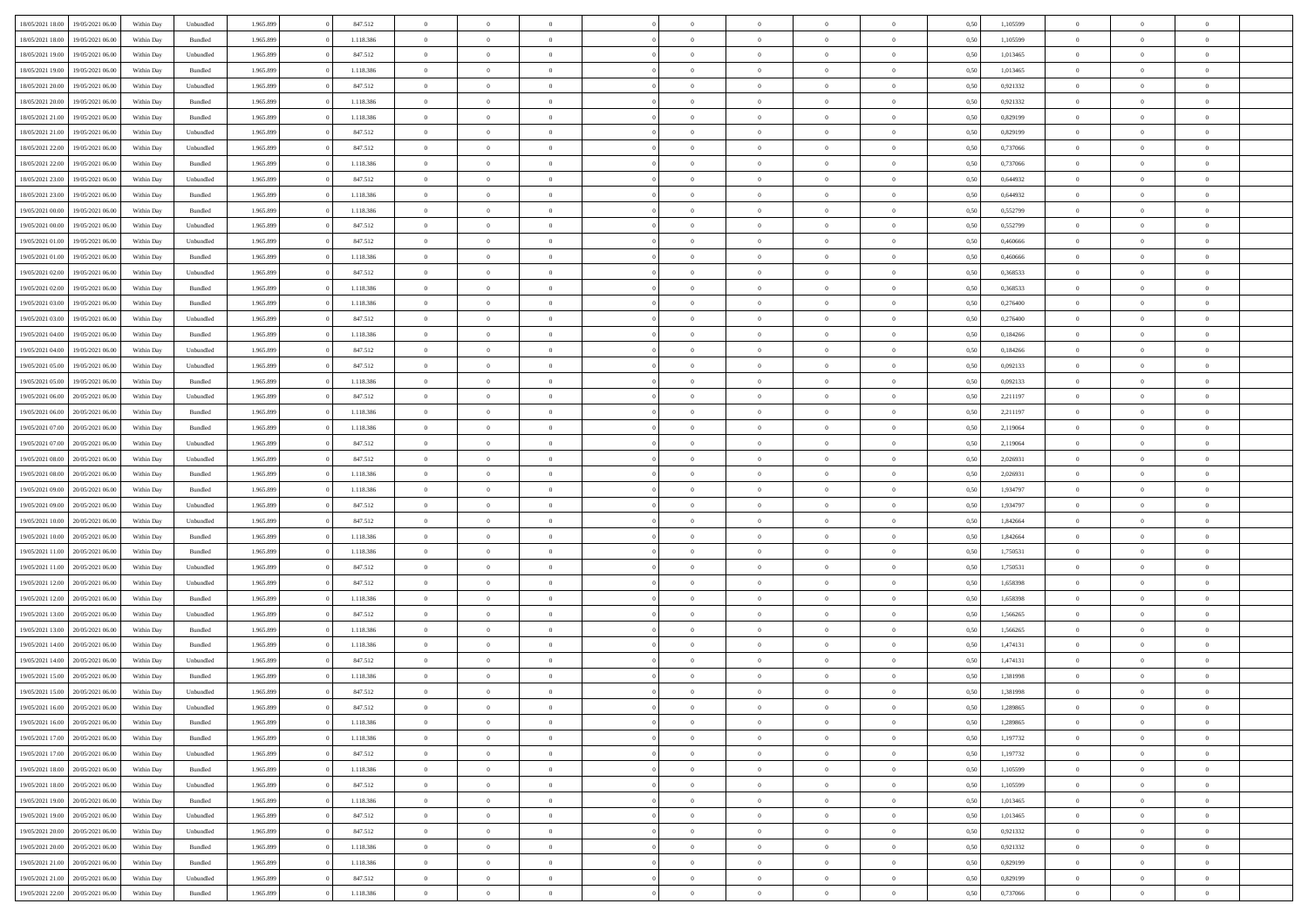|                  |                  |            |           |           |           |                |                |                |                | $\Omega$       | $\theta$       | $\theta$       |      |          | $\theta$       |                | $\theta$       |  |
|------------------|------------------|------------|-----------|-----------|-----------|----------------|----------------|----------------|----------------|----------------|----------------|----------------|------|----------|----------------|----------------|----------------|--|
| 18/05/2021 18:00 | 19/05/2021 06:00 | Within Day | Unbundled | 1.965.899 | 847.512   | $\overline{0}$ | $\theta$       |                | $\Omega$       |                |                |                | 0,50 | 1,105599 |                | $\theta$       |                |  |
| 18/05/2021 18:00 | 19/05/2021 06:00 | Within Day | Bundled   | 1.965.899 | 1.118.386 | $\overline{0}$ | $\theta$       | $\overline{0}$ | $\overline{0}$ | $\bf{0}$       | $\overline{0}$ | $\bf{0}$       | 0,50 | 1,105599 | $\theta$       | $\overline{0}$ | $\overline{0}$ |  |
| 18/05/2021 19:00 | 19/05/2021 06:00 | Within Day | Unbundled | 1.965.899 | 847.512   | $\overline{0}$ | $\bf{0}$       | $\overline{0}$ | $\overline{0}$ | $\bf{0}$       | $\overline{0}$ | $\mathbf{0}$   | 0,50 | 1,013465 | $\bf{0}$       | $\overline{0}$ | $\overline{0}$ |  |
| 18/05/2021 19:00 | 19/05/2021 06:00 | Within Dav | Bundled   | 1.965.899 | 1.118.386 | $\overline{0}$ | $\overline{0}$ | $\overline{0}$ | $\overline{0}$ | $\bf{0}$       | $\overline{0}$ | $\overline{0}$ | 0.50 | 1.013465 | $\theta$       | $\theta$       | $\overline{0}$ |  |
|                  |                  |            |           |           |           |                |                |                |                |                |                |                |      |          |                |                |                |  |
| 18/05/2021 20:00 | 19/05/2021 06:00 | Within Day | Unbundled | 1.965.899 | 847.512   | $\overline{0}$ | $\theta$       | $\overline{0}$ | $\overline{0}$ | $\bf{0}$       | $\overline{0}$ | $\bf{0}$       | 0,50 | 0,921332 | $\,$ 0 $\,$    | $\overline{0}$ | $\overline{0}$ |  |
| 18/05/2021 20:00 | 19/05/2021 06:00 | Within Day | Bundled   | 1.965.899 | 1.118.386 | $\overline{0}$ | $\overline{0}$ | $\overline{0}$ | $\overline{0}$ | $\overline{0}$ | $\overline{0}$ | $\mathbf{0}$   | 0,50 | 0,921332 | $\bf{0}$       | $\overline{0}$ | $\bf{0}$       |  |
| 18/05/2021 21:00 | 19/05/2021 06:00 | Within Dav | Bundled   | 1.965.899 | 1.118.386 | $\overline{0}$ | $\overline{0}$ | $\overline{0}$ | $\overline{0}$ | $\overline{0}$ | $\overline{0}$ | $\overline{0}$ | 0.50 | 0.829199 | $\theta$       | $\overline{0}$ | $\overline{0}$ |  |
| 18/05/2021 21:00 | 19/05/2021 06:00 | Within Day | Unbundled | 1.965.899 | 847.512   | $\overline{0}$ | $\theta$       | $\overline{0}$ | $\overline{0}$ | $\bf{0}$       | $\overline{0}$ | $\bf{0}$       | 0,50 | 0,829199 | $\,$ 0 $\,$    | $\theta$       | $\overline{0}$ |  |
|                  |                  |            |           |           |           |                | $\overline{0}$ |                |                | $\bf{0}$       |                |                |      |          | $\,0\,$        | $\overline{0}$ | $\overline{0}$ |  |
| 18/05/2021 22:00 | 19/05/2021 06:00 | Within Day | Unbundled | 1.965.899 | 847.512   | $\overline{0}$ |                | $\overline{0}$ | $\overline{0}$ |                | $\overline{0}$ | $\mathbf{0}$   | 0,50 | 0,737066 |                |                |                |  |
| 18/05/2021 22:00 | 19/05/2021 06:00 | Within Dav | Bundled   | 1.965.899 | 1.118.386 | $\overline{0}$ | $\overline{0}$ | $\overline{0}$ | $\overline{0}$ | $\overline{0}$ | $\overline{0}$ | $\overline{0}$ | 0.50 | 0,737066 | $\theta$       | $\overline{0}$ | $\overline{0}$ |  |
| 18/05/2021 23:00 | 19/05/2021 06:00 | Within Day | Unbundled | 1.965.899 | 847.512   | $\overline{0}$ | $\theta$       | $\overline{0}$ | $\overline{0}$ | $\bf{0}$       | $\overline{0}$ | $\bf{0}$       | 0,50 | 0,644932 | $\,$ 0 $\,$    | $\overline{0}$ | $\overline{0}$ |  |
| 18/05/2021 23:00 | 19/05/2021 06:00 | Within Day | Bundled   | 1.965.899 | 1.118.386 | $\overline{0}$ | $\overline{0}$ | $\overline{0}$ | $\bf{0}$       | $\bf{0}$       | $\bf{0}$       | $\mathbf{0}$   | 0,50 | 0,644932 | $\overline{0}$ | $\overline{0}$ | $\bf{0}$       |  |
| 19/05/2021 00:00 | 19/05/2021 06:00 | Within Day | Bundled   | 1.965.899 | 1.118.386 | $\overline{0}$ | $\overline{0}$ | $\overline{0}$ | $\overline{0}$ | $\overline{0}$ | $\overline{0}$ | $\overline{0}$ | 0.50 | 0,552799 | $\theta$       | $\theta$       | $\overline{0}$ |  |
|                  |                  |            |           |           |           | $\overline{0}$ | $\theta$       | $\overline{0}$ | $\overline{0}$ | $\bf{0}$       | $\overline{0}$ |                |      |          | $\theta$       | $\overline{0}$ | $\overline{0}$ |  |
| 19/05/2021 00:00 | 19/05/2021 06:00 | Within Day | Unbundled | 1.965.899 | 847.512   |                |                |                |                |                |                | $\bf{0}$       | 0,50 | 0,552799 |                |                |                |  |
| 19/05/2021 01:00 | 19/05/2021 06:00 | Within Day | Unbundled | 1.965.899 | 847.512   | $\overline{0}$ | $\overline{0}$ | $\overline{0}$ | $\bf{0}$       | $\overline{0}$ | $\overline{0}$ | $\mathbf{0}$   | 0,50 | 0,460666 | $\overline{0}$ | $\overline{0}$ | $\bf{0}$       |  |
| 19/05/2021 01:00 | 19/05/2021 06:00 | Within Dav | Bundled   | 1.965.899 | 1.118.386 | $\overline{0}$ | $\overline{0}$ | $\overline{0}$ | $\overline{0}$ | $\overline{0}$ | $\overline{0}$ | $\overline{0}$ | 0.50 | 0.460666 | $\theta$       | $\overline{0}$ | $\overline{0}$ |  |
| 19/05/2021 02:00 | 19/05/2021 06:00 | Within Day | Unbundled | 1.965.899 | 847.512   | $\overline{0}$ | $\theta$       | $\overline{0}$ | $\overline{0}$ | $\bf{0}$       | $\overline{0}$ | $\bf{0}$       | 0,50 | 0,368533 | $\theta$       | $\overline{0}$ | $\overline{0}$ |  |
| 19/05/2021 02:00 | 19/05/2021 06:00 | Within Day | Bundled   | 1.965.899 | 1.118.386 | $\overline{0}$ | $\overline{0}$ | $\overline{0}$ | $\bf{0}$       | $\bf{0}$       | $\bf{0}$       | $\mathbf{0}$   | 0,50 | 0,368533 | $\bf{0}$       | $\overline{0}$ | $\bf{0}$       |  |
|                  |                  |            |           |           |           |                |                |                |                |                |                |                |      |          |                |                |                |  |
| 19/05/2021 03:00 | 19/05/2021 06:00 | Within Dav | Bundled   | 1.965.899 | 1.118.386 | $\overline{0}$ | $\overline{0}$ | $\overline{0}$ | $\overline{0}$ | $\overline{0}$ | $\overline{0}$ | $\overline{0}$ | 0.50 | 0,276400 | $\theta$       | $\overline{0}$ | $\overline{0}$ |  |
| 19/05/2021 03:00 | 19/05/2021 06:00 | Within Day | Unbundled | 1.965.899 | 847.512   | $\overline{0}$ | $\theta$       | $\overline{0}$ | $\overline{0}$ | $\bf{0}$       | $\overline{0}$ | $\bf{0}$       | 0,50 | 0,276400 | $\,$ 0 $\,$    | $\overline{0}$ | $\overline{0}$ |  |
| 19/05/2021 04:00 | 19/05/2021 06:00 | Within Day | Bundled   | 1.965.899 | 1.118.386 | $\overline{0}$ | $\overline{0}$ | $\overline{0}$ | $\bf{0}$       | $\bf{0}$       | $\bf{0}$       | $\mathbf{0}$   | 0,50 | 0,184266 | $\overline{0}$ | $\overline{0}$ | $\bf{0}$       |  |
| 19/05/2021 04:00 | 19/05/2021 06:00 | Within Day | Unbundled | 1.965.899 | 847.512   | $\overline{0}$ | $\overline{0}$ | $\overline{0}$ | $\overline{0}$ | $\overline{0}$ | $\overline{0}$ | $\overline{0}$ | 0.50 | 0.184266 | $\theta$       | $\overline{0}$ | $\overline{0}$ |  |
| 19/05/2021 05:00 | 19/05/2021 06:00 | Within Day | Unbundled | 1.965.899 | 847.512   | $\overline{0}$ | $\theta$       | $\overline{0}$ | $\overline{0}$ | $\bf{0}$       | $\overline{0}$ | $\bf{0}$       | 0,50 | 0,092133 | $\,$ 0 $\,$    | $\overline{0}$ | $\overline{0}$ |  |
|                  |                  |            |           |           |           |                |                |                |                |                |                |                |      |          |                |                |                |  |
| 19/05/2021 05:00 | 19/05/2021 06:00 | Within Day | Bundled   | 1.965.899 | 1.118.386 | $\overline{0}$ | $\overline{0}$ | $\overline{0}$ | $\bf{0}$       | $\overline{0}$ | $\overline{0}$ | $\mathbf{0}$   | 0,50 | 0,092133 | $\overline{0}$ | $\overline{0}$ | $\bf{0}$       |  |
| 19/05/2021 06:00 | 20/05/2021 06:00 | Within Dav | Unbundled | 1.965.899 | 847.512   | $\overline{0}$ | $\overline{0}$ | $\overline{0}$ | $\overline{0}$ | $\overline{0}$ | $\overline{0}$ | $\overline{0}$ | 0.50 | 2,211197 | $\overline{0}$ | $\overline{0}$ | $\overline{0}$ |  |
| 19/05/2021 06:00 | 20/05/2021 06:00 | Within Day | Bundled   | 1.965.899 | 1.118.386 | $\overline{0}$ | $\theta$       | $\overline{0}$ | $\overline{0}$ | $\bf{0}$       | $\overline{0}$ | $\bf{0}$       | 0,50 | 2,211197 | $\,$ 0 $\,$    | $\overline{0}$ | $\overline{0}$ |  |
| 19/05/2021 07:00 | 20/05/2021 06:00 | Within Day | Bundled   | 1.965.899 | 1.118.386 | $\overline{0}$ | $\overline{0}$ | $\overline{0}$ | $\bf{0}$       | $\bf{0}$       | $\bf{0}$       | $\bf{0}$       | 0,50 | 2,119064 | $\,0\,$        | $\overline{0}$ | $\overline{0}$ |  |
|                  | 20/05/2021 06:00 |            | Unbundled | 1.965.899 | 847.512   | $\overline{0}$ | $\overline{0}$ | $\overline{0}$ | $\overline{0}$ | $\overline{0}$ | $\overline{0}$ | $\overline{0}$ | 0.50 | 2,119064 | $\theta$       | $\overline{0}$ | $\overline{0}$ |  |
| 19/05/2021 07:00 |                  | Within Day |           |           |           |                |                |                |                |                |                |                |      |          |                |                |                |  |
| 19/05/2021 08:00 | 20/05/2021 06:00 | Within Day | Unbundled | 1.965.899 | 847.512   | $\overline{0}$ | $\overline{0}$ | $\overline{0}$ | $\overline{0}$ | $\bf{0}$       | $\overline{0}$ | $\bf{0}$       | 0,50 | 2,026931 | $\,$ 0 $\,$    | $\overline{0}$ | $\overline{0}$ |  |
| 19/05/2021 08:00 | 20/05/2021 06:00 | Within Day | Bundled   | 1.965.899 | 1.118.386 | $\overline{0}$ | $\overline{0}$ | $\overline{0}$ | $\overline{0}$ | $\bf{0}$       | $\overline{0}$ | $\bf{0}$       | 0,50 | 2,026931 | $\bf{0}$       | $\overline{0}$ | $\bf{0}$       |  |
| 19/05/2021 09:00 | 20/05/2021 06:00 | Within Day | Bundled   | 1.965.899 | 1.118.386 | $\bf{0}$       | $\Omega$       | $\overline{0}$ | $\Omega$       | $\Omega$       | $\overline{0}$ | $\overline{0}$ | 0,50 | 1,934797 | $\,0\,$        | $\theta$       | $\theta$       |  |
| 19/05/2021 09:00 | 20/05/2021 06:00 | Within Day | Unbundled | 1.965.899 | 847.512   | $\overline{0}$ | $\overline{0}$ | $\overline{0}$ | $\overline{0}$ | $\bf{0}$       | $\overline{0}$ | $\bf{0}$       | 0,50 | 1,934797 | $\,$ 0 $\,$    | $\overline{0}$ | $\overline{0}$ |  |
|                  |                  |            |           |           |           |                |                |                |                |                |                |                |      |          |                |                |                |  |
| 19/05/2021 10:00 | 20/05/2021 06:00 | Within Day | Unbundled | 1.965.899 | 847.512   | $\overline{0}$ | $\overline{0}$ | $\overline{0}$ | $\overline{0}$ | $\overline{0}$ | $\overline{0}$ | $\mathbf{0}$   | 0,50 | 1,842664 | $\bf{0}$       | $\overline{0}$ | $\bf{0}$       |  |
| 19/05/2021 10:00 | 20/05/2021 06:00 | Within Day | Bundled   | 1.965.899 | 1.118.386 | $\overline{0}$ | $\Omega$       | $\Omega$       | $\Omega$       | $\overline{0}$ | $\overline{0}$ | $\overline{0}$ | 0.50 | 1,842664 | $\,0\,$        | $\theta$       | $\theta$       |  |
| 19/05/2021 11:00 | 20/05/2021 06:00 | Within Day | Bundled   | 1.965.899 | 1.118.386 | $\overline{0}$ | $\theta$       | $\overline{0}$ | $\overline{0}$ | $\bf{0}$       | $\overline{0}$ | $\bf{0}$       | 0,50 | 1,750531 | $\,$ 0 $\,$    | $\overline{0}$ | $\overline{0}$ |  |
| 19/05/2021 11:00 | 20/05/2021 06:00 | Within Day | Unbundled | 1.965.899 | 847.512   | $\overline{0}$ | $\overline{0}$ | $\overline{0}$ | $\overline{0}$ | $\bf{0}$       | $\overline{0}$ | $\mathbf{0}$   | 0,50 | 1,750531 | $\bf{0}$       | $\overline{0}$ | $\bf{0}$       |  |
| 19/05/2021 12:00 | 20/05/2021 06:00 | Within Day | Unbundled | 1.965.899 | 847.512   | $\overline{0}$ | $\Omega$       | $\overline{0}$ | $\Omega$       | $\overline{0}$ | $\overline{0}$ | $\overline{0}$ | 0.50 | 1.658398 | $\,$ 0 $\,$    | $\theta$       | $\theta$       |  |
|                  |                  |            |           |           |           |                |                |                |                |                |                |                |      |          |                |                |                |  |
| 19/05/2021 12:00 | 20/05/2021 06:00 | Within Day | Bundled   | 1.965.899 | 1.118.386 | $\overline{0}$ | $\overline{0}$ | $\overline{0}$ | $\overline{0}$ | $\,$ 0         | $\overline{0}$ | $\bf{0}$       | 0,50 | 1,658398 | $\,$ 0 $\,$    | $\overline{0}$ | $\overline{0}$ |  |
| 19/05/2021 13:00 | 20/05/2021 06:00 | Within Day | Unbundled | 1.965.899 | 847.512   | $\overline{0}$ | $\overline{0}$ | $\overline{0}$ | $\overline{0}$ | $\bf{0}$       | $\overline{0}$ | $\mathbf{0}$   | 0,50 | 1,566265 | $\bf{0}$       | $\overline{0}$ | $\bf{0}$       |  |
| 19/05/2021 13:00 | 20/05/2021 06:00 | Within Day | Bundled   | 1.965.899 | 1.118.386 | $\overline{0}$ | $\Omega$       | $\overline{0}$ | $\Omega$       | $\overline{0}$ | $\overline{0}$ | $\overline{0}$ | 0,50 | 1,566265 | $\,0\,$        | $\theta$       | $\theta$       |  |
| 19/05/2021 14:00 | 20/05/2021 06:00 | Within Day | Bundled   | 1.965.899 | 1.118.386 | $\overline{0}$ | $\overline{0}$ | $\overline{0}$ | $\overline{0}$ | $\,$ 0         | $\overline{0}$ | $\bf{0}$       | 0,50 | 1,474131 | $\,$ 0 $\,$    | $\overline{0}$ | $\overline{0}$ |  |
| 19/05/2021 14:00 | 20/05/2021 06:00 | Within Day | Unbundled | 1.965.899 | 847.512   | $\overline{0}$ | $\overline{0}$ | $\overline{0}$ | $\overline{0}$ | $\bf{0}$       | $\overline{0}$ | $\mathbf{0}$   | 0,50 | 1,474131 | $\bf{0}$       | $\overline{0}$ | $\bf{0}$       |  |
|                  |                  |            |           |           |           |                |                |                |                |                |                |                |      |          |                |                |                |  |
| 19/05/2021 15:00 | 20/05/2021 06:00 | Within Day | Bundled   | 1.965.899 | 1.118.386 | $\overline{0}$ | $\Omega$       | $\Omega$       | $\Omega$       | $\Omega$       | $\Omega$       | $\overline{0}$ | 0.50 | 1.381998 | $\theta$       | $\theta$       | $\theta$       |  |
| 19/05/2021 15:00 | 20/05/2021 06:00 | Within Day | Unbundled | 1.965.899 | 847.512   | $\overline{0}$ | $\overline{0}$ | $\overline{0}$ | $\bf{0}$       | $\,$ 0         | $\bf{0}$       | $\bf{0}$       | 0,50 | 1,381998 | $\,0\,$        | $\,$ 0 $\,$    | $\overline{0}$ |  |
| 19/05/2021 16:00 | 20/05/2021 06:00 | Within Day | Unbundled | 1.965.899 | 847.512   | $\bf{0}$       | $\bf{0}$       |                |                | $\bf{0}$       |                |                | 0,50 | 1,289865 | $\bf{0}$       | $\overline{0}$ |                |  |
| 19/05/2021 16:00 | 20/05/2021 06:00 | Within Day | Bundled   | 1.965.899 | 1.118.386 | $\overline{0}$ | $\overline{0}$ | $\overline{0}$ | $\Omega$       | $\overline{0}$ | $\overline{0}$ | $\overline{0}$ | 0.50 | 1,289865 | $\theta$       | $\theta$       | $\theta$       |  |
| 19/05/2021 17:00 | 20/05/2021 06:00 | Within Day | Bundled   | 1.965.899 | 1.118.386 | $\overline{0}$ | $\bf{0}$       | $\overline{0}$ | $\bf{0}$       | $\,$ 0 $\,$    | $\overline{0}$ | $\,$ 0 $\,$    | 0,50 | 1,197732 | $\,$ 0 $\,$    | $\,$ 0 $\,$    | $\,$ 0         |  |
|                  |                  |            |           |           |           |                |                |                |                |                |                |                |      |          |                |                |                |  |
| 19/05/2021 17:00 | 20/05/2021 06:00 | Within Day | Unbundled | 1.965.899 | 847.512   | $\overline{0}$ | $\overline{0}$ | $\overline{0}$ | $\overline{0}$ | $\overline{0}$ | $\overline{0}$ | $\mathbf{0}$   | 0,50 | 1,197732 | $\overline{0}$ | $\bf{0}$       | $\overline{0}$ |  |
| 19/05/2021 18:00 | 20/05/2021 06:00 | Within Day | Bundled   | 1.965.899 | 1.118.386 | $\overline{0}$ | $\overline{0}$ | $\overline{0}$ | $\Omega$       | $\overline{0}$ | $\overline{0}$ | $\overline{0}$ | 0,50 | 1,105599 | $\overline{0}$ | $\overline{0}$ | $\overline{0}$ |  |
| 19/05/2021 18:00 | 20/05/2021 06:00 | Within Day | Unbundled | 1.965.899 | 847.512   | $\overline{0}$ | $\,$ 0         | $\overline{0}$ | $\bf{0}$       | $\,$ 0 $\,$    | $\overline{0}$ | $\,$ 0 $\,$    | 0,50 | 1,105599 | $\,$ 0 $\,$    | $\overline{0}$ | $\overline{0}$ |  |
| 19/05/2021 19:00 | 20/05/2021 06:00 | Within Day | Bundled   | 1.965.899 | 1.118.386 | $\overline{0}$ | $\overline{0}$ | $\overline{0}$ | $\overline{0}$ | $\overline{0}$ | $\overline{0}$ | $\mathbf{0}$   | 0,50 | 1,013465 | $\overline{0}$ | $\overline{0}$ | $\bf{0}$       |  |
|                  | 20/05/2021 06:00 |            |           |           |           |                | $\overline{0}$ | $\overline{0}$ |                | $\overline{0}$ | $\overline{0}$ |                | 0.50 |          |                | $\theta$       | $\overline{0}$ |  |
| 19/05/2021 19:00 |                  | Within Day | Unbundled | 1.965.899 | 847.512   | $\overline{0}$ |                |                | $\overline{0}$ |                |                | $\bf{0}$       |      | 1,013465 | $\overline{0}$ |                |                |  |
| 19/05/2021 20:00 | 20/05/2021 06:00 | Within Day | Unbundled | 1.965.899 | 847.512   | $\overline{0}$ | $\,$ 0         | $\overline{0}$ | $\bf{0}$       | $\bf{0}$       | $\bf{0}$       | $\bf{0}$       | 0,50 | 0,921332 | $\,$ 0 $\,$    | $\overline{0}$ | $\overline{0}$ |  |
| 19/05/2021 20:00 | 20/05/2021 06:00 | Within Day | Bundled   | 1.965.899 | 1.118.386 | $\overline{0}$ | $\bf{0}$       | $\overline{0}$ | $\overline{0}$ | $\overline{0}$ | $\overline{0}$ | $\mathbf{0}$   | 0,50 | 0,921332 | $\overline{0}$ | $\overline{0}$ | $\bf{0}$       |  |
| 19/05/2021 21:00 | 20/05/2021 06:00 | Within Day | Bundled   | 1.965.899 | 1.118.386 | $\overline{0}$ | $\overline{0}$ | $\overline{0}$ | $\Omega$       | $\overline{0}$ | $\overline{0}$ | $\overline{0}$ | 0.50 | 0,829199 | $\overline{0}$ | $\overline{0}$ | $\overline{0}$ |  |
| 19/05/2021 21:00 | 20/05/2021 06:00 | Within Day | Unbundled | 1.965.899 | 847.512   | $\overline{0}$ | $\bf{0}$       | $\overline{0}$ | $\bf{0}$       | $\bf{0}$       | $\bf{0}$       | $\mathbf{0}$   | 0,50 | 0,829199 | $\,$ 0 $\,$    | $\,$ 0 $\,$    | $\bf{0}$       |  |
|                  |                  |            |           |           |           |                |                |                |                |                |                |                |      |          |                |                |                |  |
| 19/05/2021 22.00 | 20/05/2021 06:00 | Within Day | Bundled   | 1.965.899 | 1.118.386 | $\overline{0}$ | $\overline{0}$ | $\overline{0}$ | $\overline{0}$ | $\overline{0}$ | $\bf{0}$       | $\mathbf{0}$   | 0,50 | 0,737066 | $\overline{0}$ | $\bf{0}$       | $\overline{0}$ |  |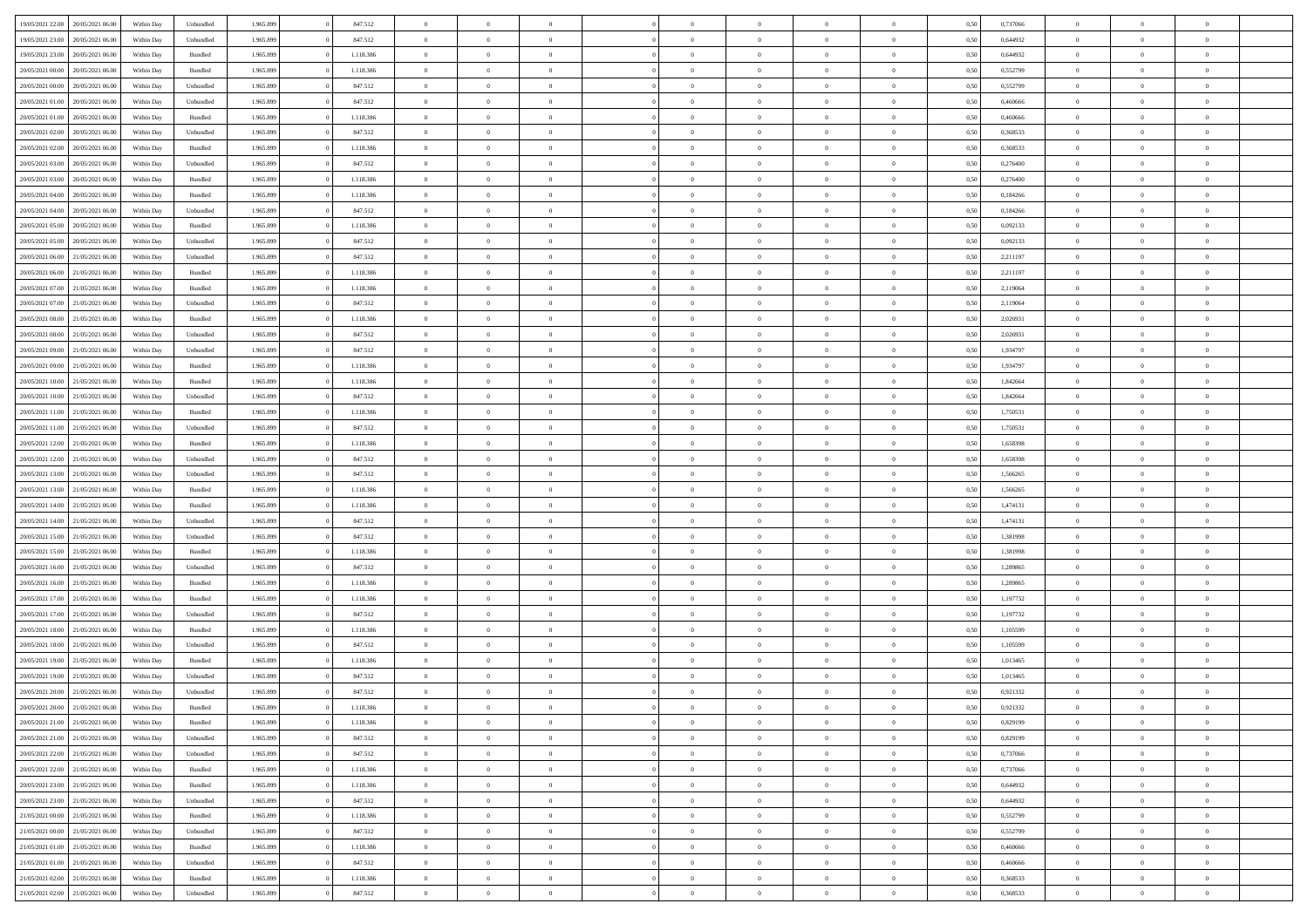| 19/05/2021 22:00                  | 20/05/2021 06:00 | Within Day | Unbundled          | 1.965.899 | 847.512   | $\overline{0}$ | $\Omega$       |                | $\Omega$       | $\Omega$       | $\theta$       | $\theta$       | 0,50 | 0,737066 | $\theta$       | $\theta$       | $\theta$       |  |
|-----------------------------------|------------------|------------|--------------------|-----------|-----------|----------------|----------------|----------------|----------------|----------------|----------------|----------------|------|----------|----------------|----------------|----------------|--|
|                                   |                  |            |                    |           |           |                |                |                |                |                |                |                |      |          |                |                |                |  |
| 19/05/2021 23:00                  | 20/05/2021 06:00 | Within Day | Unbundled          | 1.965.899 | 847.512   | $\overline{0}$ | $\theta$       | $\overline{0}$ | $\overline{0}$ | $\bf{0}$       | $\overline{0}$ | $\bf{0}$       | 0,50 | 0,644932 | $\theta$       | $\overline{0}$ | $\overline{0}$ |  |
| 19/05/2021 23:00                  | 20/05/2021 06:00 | Within Day | Bundled            | 1.965.899 | 1.118.386 | $\overline{0}$ | $\bf{0}$       | $\overline{0}$ | $\bf{0}$       | $\bf{0}$       | $\bf{0}$       | $\mathbf{0}$   | 0,50 | 0,644932 | $\overline{0}$ | $\overline{0}$ | $\bf{0}$       |  |
| 20/05/2021 00:00                  | 20/05/2021 06:00 | Within Day | Bundled            | 1.965.899 | 1.118.386 | $\overline{0}$ | $\overline{0}$ | $\overline{0}$ | $\overline{0}$ | $\bf{0}$       | $\overline{0}$ | $\overline{0}$ | 0.50 | 0,552799 | $\theta$       | $\theta$       | $\overline{0}$ |  |
| 20/05/2021 00:00                  | 20/05/2021 06:00 | Within Day | Unbundled          | 1.965.899 | 847.512   | $\overline{0}$ | $\theta$       | $\overline{0}$ | $\overline{0}$ | $\bf{0}$       | $\overline{0}$ | $\bf{0}$       | 0,50 | 0,552799 | $\,$ 0 $\,$    | $\overline{0}$ | $\overline{0}$ |  |
|                                   |                  |            |                    |           |           |                |                |                |                |                |                |                |      |          |                |                |                |  |
| 20/05/2021 01:00                  | 20/05/2021 06:00 | Within Day | Unbundled          | 1.965.899 | 847.512   | $\overline{0}$ | $\overline{0}$ | $\overline{0}$ | $\bf{0}$       | $\overline{0}$ | $\overline{0}$ | $\mathbf{0}$   | 0,50 | 0,460666 | $\overline{0}$ | $\overline{0}$ | $\bf{0}$       |  |
| 20/05/2021 01:00                  | 20/05/2021 06:00 | Within Dav | Bundled            | 1.965.899 | 1.118.386 | $\overline{0}$ | $\overline{0}$ | $\overline{0}$ | $\overline{0}$ | $\overline{0}$ | $\overline{0}$ | $\overline{0}$ | 0.50 | 0,460666 | $\theta$       | $\overline{0}$ | $\overline{0}$ |  |
| 20/05/2021 02:00                  | 20/05/2021 06:00 | Within Day | Unbundled          | 1.965.899 | 847.512   | $\overline{0}$ | $\theta$       | $\overline{0}$ | $\overline{0}$ | $\bf{0}$       | $\overline{0}$ | $\bf{0}$       | 0,50 | 0,368533 | $\theta$       | $\theta$       | $\overline{0}$ |  |
| 20/05/2021 02:00                  | 20/05/2021 06:00 | Within Day | Bundled            | 1.965.899 | 1.118.386 | $\overline{0}$ | $\overline{0}$ | $\overline{0}$ | $\overline{0}$ | $\bf{0}$       | $\overline{0}$ | $\mathbf{0}$   | 0,50 | 0,368533 | $\,0\,$        | $\overline{0}$ | $\overline{0}$ |  |
| 20/05/2021 03:00                  | 20/05/2021 06:00 | Within Dav | Unbundled          | 1.965.899 | 847.512   | $\overline{0}$ | $\overline{0}$ | $\overline{0}$ | $\overline{0}$ | $\overline{0}$ | $\overline{0}$ | $\overline{0}$ | 0.50 | 0,276400 | $\theta$       | $\overline{0}$ | $\overline{0}$ |  |
|                                   |                  |            |                    |           |           |                |                |                |                |                |                |                |      |          |                |                |                |  |
| 20/05/2021 03:00                  | 20/05/2021 06:00 | Within Day | Bundled            | 1.965.899 | 1.118.386 | $\overline{0}$ | $\theta$       | $\overline{0}$ | $\overline{0}$ | $\bf{0}$       | $\overline{0}$ | $\bf{0}$       | 0,50 | 0,276400 | $\,$ 0 $\,$    | $\overline{0}$ | $\overline{0}$ |  |
| 20/05/2021 04:00                  | 20/05/2021 06:00 | Within Day | Bundled            | 1.965.899 | 1.118.386 | $\overline{0}$ | $\overline{0}$ | $\overline{0}$ | $\overline{0}$ | $\bf{0}$       | $\overline{0}$ | $\mathbf{0}$   | 0,50 | 0,184266 | $\bf{0}$       | $\overline{0}$ | $\bf{0}$       |  |
| 20/05/2021 04:00                  | 20/05/2021 06:00 | Within Day | Unbundled          | 1.965.899 | 847.512   | $\overline{0}$ | $\overline{0}$ | $\overline{0}$ | $\overline{0}$ | $\bf{0}$       | $\overline{0}$ | $\overline{0}$ | 0.50 | 0.184266 | $\theta$       | $\theta$       | $\overline{0}$ |  |
| 20/05/2021 05:00                  | 20/05/2021 06:00 | Within Day | Bundled            | 1.965.899 | 1.118.386 | $\overline{0}$ | $\theta$       | $\overline{0}$ | $\overline{0}$ | $\bf{0}$       | $\overline{0}$ | $\bf{0}$       | 0,50 | 0,092133 | $\theta$       | $\overline{0}$ | $\overline{0}$ |  |
| 20/05/2021 05:00                  | 20/05/2021 06:00 | Within Day | Unbundled          | 1.965.899 | 847.512   | $\overline{0}$ | $\overline{0}$ | $\overline{0}$ | $\overline{0}$ | $\overline{0}$ | $\overline{0}$ | $\mathbf{0}$   | 0,50 | 0,092133 | $\bf{0}$       | $\overline{0}$ | $\bf{0}$       |  |
|                                   |                  |            |                    |           |           |                |                |                |                |                |                |                |      |          |                |                |                |  |
| 20/05/2021 06:00                  | 21/05/2021 06:00 | Within Dav | Unbundled          | 1.965.899 | 847.512   | $\overline{0}$ | $\overline{0}$ | $\overline{0}$ | $\overline{0}$ | $\overline{0}$ | $\overline{0}$ | $\overline{0}$ | 0.50 | 2,211197 | $\overline{0}$ | $\overline{0}$ | $\overline{0}$ |  |
| 20/05/2021 06:00                  | 21/05/2021 06:00 | Within Day | Bundled            | 1.965.899 | 1.118.386 | $\overline{0}$ | $\theta$       | $\overline{0}$ | $\overline{0}$ | $\bf{0}$       | $\overline{0}$ | $\bf{0}$       | 0,50 | 2,211197 | $\,$ 0 $\,$    | $\theta$       | $\overline{0}$ |  |
| 20/05/2021 07:00                  | 21/05/2021 06:00 | Within Day | Bundled            | 1.965.899 | 1.118.386 | $\overline{0}$ | $\overline{0}$ | $\overline{0}$ | $\overline{0}$ | $\bf{0}$       | $\overline{0}$ | $\mathbf{0}$   | 0,50 | 2,119064 | $\bf{0}$       | $\overline{0}$ | $\bf{0}$       |  |
| 20/05/2021 07:00                  | 21/05/2021 06:00 | Within Dav | Unbundled          | 1.965.899 | 847.512   | $\overline{0}$ | $\overline{0}$ | $\overline{0}$ | $\overline{0}$ | $\overline{0}$ | $\overline{0}$ | $\overline{0}$ | 0.50 | 2,119064 | $\theta$       | $\overline{0}$ | $\overline{0}$ |  |
| 20/05/2021 08:00                  | 21/05/2021 06:00 | Within Day | Bundled            | 1.965.899 | 1.118.386 | $\overline{0}$ | $\theta$       | $\overline{0}$ | $\overline{0}$ | $\bf{0}$       | $\overline{0}$ | $\bf{0}$       | 0,50 | 2,026931 | $\,$ 0 $\,$    | $\overline{0}$ | $\overline{0}$ |  |
|                                   |                  |            |                    |           |           |                |                |                |                |                |                |                |      |          |                |                |                |  |
| 20/05/2021 08:00                  | 21/05/2021 06:00 | Within Day | Unbundled          | 1.965.899 | 847.512   | $\overline{0}$ | $\overline{0}$ | $\overline{0}$ | $\overline{0}$ | $\bf{0}$       | $\overline{0}$ | $\mathbf{0}$   | 0,50 | 2,026931 | $\bf{0}$       | $\overline{0}$ | $\bf{0}$       |  |
| 20/05/2021 09:00                  | 21/05/2021 06:00 | Within Day | Unbundled          | 1.965.899 | 847.512   | $\overline{0}$ | $\overline{0}$ | $\overline{0}$ | $\overline{0}$ | $\bf{0}$       | $\overline{0}$ | $\overline{0}$ | 0.50 | 1,934797 | $\theta$       | $\overline{0}$ | $\overline{0}$ |  |
| 20/05/2021 09:00                  | 21/05/2021 06:00 | Within Day | Bundled            | 1.965.899 | 1.118.386 | $\overline{0}$ | $\theta$       | $\overline{0}$ | $\overline{0}$ | $\bf{0}$       | $\overline{0}$ | $\bf{0}$       | 0,50 | 1,934797 | $\,$ 0 $\,$    | $\overline{0}$ | $\overline{0}$ |  |
| 20/05/2021 10:00                  | 21/05/2021 06:00 | Within Day | Bundled            | 1.965.899 | 1.118.386 | $\overline{0}$ | $\overline{0}$ | $\overline{0}$ | $\overline{0}$ | $\overline{0}$ | $\overline{0}$ | $\mathbf{0}$   | 0,50 | 1,842664 | $\bf{0}$       | $\overline{0}$ | $\bf{0}$       |  |
| 20/05/2021 10:00                  | 21/05/2021 06:00 | Within Dav | Unbundled          | 1.965.899 | 847.512   | $\overline{0}$ | $\overline{0}$ | $\overline{0}$ | $\overline{0}$ | $\overline{0}$ | $\overline{0}$ | $\overline{0}$ | 0.50 | 1,842664 | $\theta$       | $\overline{0}$ | $\overline{0}$ |  |
|                                   |                  |            |                    |           |           |                |                |                |                |                |                |                |      |          |                |                |                |  |
| 20/05/2021 11:00                  | 21/05/2021 06:00 | Within Day | Bundled            | 1.965.899 | 1.118.386 | $\overline{0}$ | $\theta$       | $\overline{0}$ | $\overline{0}$ | $\bf{0}$       | $\overline{0}$ | $\bf{0}$       | 0,50 | 1,750531 | $\theta$       | $\theta$       | $\overline{0}$ |  |
| 20/05/2021 11:00                  | 21/05/2021 06:00 | Within Day | Unbundled          | 1.965.899 | 847.512   | $\overline{0}$ | $\overline{0}$ | $\overline{0}$ | $\bf{0}$       | $\bf{0}$       | $\bf{0}$       | $\mathbf{0}$   | 0,50 | 1,750531 | $\,0\,$        | $\overline{0}$ | $\overline{0}$ |  |
| 20/05/2021 12:00                  | 21/05/2021 06:00 | Within Day | Bundled            | 1.965.899 | 1.118.386 | $\overline{0}$ | $\overline{0}$ | $\overline{0}$ | $\overline{0}$ | $\overline{0}$ | $\overline{0}$ | $\overline{0}$ | 0.50 | 1,658398 | $\theta$       | $\overline{0}$ | $\overline{0}$ |  |
| 20/05/2021 12:00                  | 21/05/2021 06:00 | Within Day | Unbundled          | 1.965.899 | 847.512   | $\overline{0}$ | $\theta$       | $\overline{0}$ | $\overline{0}$ | $\bf{0}$       | $\overline{0}$ | $\bf{0}$       | 0,50 | 1,658398 | $\,$ 0 $\,$    | $\overline{0}$ | $\overline{0}$ |  |
| 20/05/2021 13:00                  | 21/05/2021 06:00 | Within Day | Unbundled          | 1.965.899 | 847.512   | $\overline{0}$ | $\bf{0}$       | $\overline{0}$ | $\bf{0}$       | $\bf{0}$       | $\bf{0}$       | $\bf{0}$       | 0,50 | 1,566265 | $\overline{0}$ | $\overline{0}$ | $\bf{0}$       |  |
| 20/05/2021 13:00                  | 21/05/2021 06:00 |            |                    | 1.965.899 | 1.118.386 | $\overline{0}$ | $\Omega$       | $\overline{0}$ | $\Omega$       | $\Omega$       | $\overline{0}$ | $\overline{0}$ | 0,50 | 1,566265 | $\,0\,$        | $\theta$       | $\theta$       |  |
|                                   |                  | Within Day | Bundled            |           |           |                |                |                |                |                |                |                |      |          |                |                |                |  |
| 20/05/2021 14:00                  | 21/05/2021 06:00 | Within Day | Bundled            | 1.965.899 | 1.118.386 | $\overline{0}$ | $\theta$       | $\overline{0}$ | $\overline{0}$ | $\bf{0}$       | $\overline{0}$ | $\bf{0}$       | 0,50 | 1,474131 | $\theta$       | $\overline{0}$ | $\overline{0}$ |  |
| 20/05/2021 14:00                  | 21/05/2021 06:00 | Within Day | Unbundled          | 1.965.899 | 847.512   | $\overline{0}$ | $\overline{0}$ | $\overline{0}$ | $\bf{0}$       | $\overline{0}$ | $\overline{0}$ | $\mathbf{0}$   | 0,50 | 1,474131 | $\overline{0}$ | $\overline{0}$ | $\bf{0}$       |  |
| 20/05/2021 15:00                  | 21/05/2021 06:00 | Within Day | Unbundled          | 1.965.899 | 847.512   | $\overline{0}$ | $\Omega$       | $\Omega$       | $\Omega$       | $\overline{0}$ | $\overline{0}$ | $\overline{0}$ | 0.50 | 1,381998 | $\,$ 0 $\,$    | $\theta$       | $\theta$       |  |
| 20/05/2021 15:00                  | 21/05/2021 06:00 | Within Day | Bundled            | 1.965.899 | 1.118.386 | $\overline{0}$ | $\theta$       | $\overline{0}$ | $\overline{0}$ | $\bf{0}$       | $\overline{0}$ | $\bf{0}$       | 0,50 | 1,381998 | $\,$ 0 $\,$    | $\overline{0}$ | $\overline{0}$ |  |
| 20/05/2021 16:00                  | 21/05/2021 06:00 | Within Day | Unbundled          | 1.965.899 | 847.512   | $\overline{0}$ | $\overline{0}$ | $\overline{0}$ | $\bf{0}$       | $\bf{0}$       | $\bf{0}$       | $\bf{0}$       | 0,50 | 1,289865 | $\bf{0}$       | $\overline{0}$ | $\bf{0}$       |  |
|                                   | 21/05/2021 06:00 |            |                    |           | 1.118.386 | $\overline{0}$ | $\Omega$       |                | $\Omega$       | $\overline{0}$ | $\overline{0}$ |                |      |          | $\,$ 0 $\,$    | $\theta$       | $\theta$       |  |
| 20/05/2021 16:00                  |                  | Within Day | Bundled            | 1.965.899 |           |                |                | $\overline{0}$ |                |                |                | $\overline{0}$ | 0.50 | 1,289865 |                |                |                |  |
| 20/05/2021 17:00                  | 21/05/2021 06:00 | Within Day | Bundled            | 1.965.899 | 1.118.386 | $\overline{0}$ | $\overline{0}$ | $\overline{0}$ | $\overline{0}$ | $\bf{0}$       | $\overline{0}$ | $\bf{0}$       | 0,50 | 1,197732 | $\,$ 0 $\,$    | $\overline{0}$ | $\overline{0}$ |  |
| 20/05/2021 17:00                  | 21/05/2021 06:00 | Within Day | Unbundled          | 1.965.899 | 847.512   | $\overline{0}$ | $\overline{0}$ | $\overline{0}$ | $\bf{0}$       | $\bf{0}$       | $\bf{0}$       | $\mathbf{0}$   | 0,50 | 1,197732 | $\overline{0}$ | $\overline{0}$ | $\bf{0}$       |  |
| 20/05/2021 18:00                  | 21/05/2021 06:00 | Within Day | Bundled            | 1.965.899 | 1.118.386 | $\overline{0}$ | $\Omega$       | $\overline{0}$ | $\Omega$       | $\overline{0}$ | $\overline{0}$ | $\overline{0}$ | 0,50 | 1,105599 | $\,0\,$        | $\theta$       | $\theta$       |  |
| 20/05/2021 18:00                  | 21/05/2021 06:00 | Within Day | Unbundled          | 1.965.899 | 847.512   | $\overline{0}$ | $\overline{0}$ | $\overline{0}$ | $\overline{0}$ | $\,$ 0         | $\overline{0}$ | $\bf{0}$       | 0,50 | 1,105599 | $\,$ 0 $\,$    | $\overline{0}$ | $\overline{0}$ |  |
| 20/05/2021 19:00                  | 21/05/2021 06:00 | Within Day | Bundled            | 1.965.899 | 1.118.386 | $\overline{0}$ | $\overline{0}$ | $\overline{0}$ | $\bf{0}$       | $\bf{0}$       | $\bf{0}$       | $\mathbf{0}$   | 0,50 | 1,013465 | $\overline{0}$ | $\overline{0}$ | $\bf{0}$       |  |
|                                   |                  |            |                    |           |           |                |                |                |                |                |                |                |      |          |                |                |                |  |
| 20/05/2021 19:00                  | 21/05/2021 06:00 | Within Day | Unbundled          | 1.965.899 | 847.512   | $\overline{0}$ | $\Omega$       | $\Omega$       | $\Omega$       | $\Omega$       | $\Omega$       | $\overline{0}$ | 0.50 | 1.013465 | $\theta$       | $\theta$       | $\theta$       |  |
| 20/05/2021 20:00                  | 21/05/2021 06:00 | Within Day | Unbundled          | 1.965.899 | 847.512   | $\overline{0}$ | $\overline{0}$ | $\overline{0}$ | $\bf{0}$       | $\,$ 0         | $\overline{0}$ | $\bf{0}$       | 0,50 | 0,921332 | $\,0\,$        | $\,$ 0 $\,$    | $\overline{0}$ |  |
| 20/05/2021 20:00                  | 21/05/2021 06:00 | Within Day | $\mathbf B$ undled | 1.965.899 | 1.118.386 | $\overline{0}$ | $\bf{0}$       |                |                | $\bf{0}$       |                |                | 0,50 | 0,921332 | $\bf{0}$       | $\overline{0}$ |                |  |
| 20/05/2021 21:00                  | 21/05/2021 06:00 | Within Day | Bundled            | 1.965.899 | 1.118.386 | $\overline{0}$ | $\overline{0}$ | $\overline{0}$ | $\Omega$       | $\overline{0}$ | $\overline{0}$ | $\overline{0}$ | 0.50 | 0,829199 | $\theta$       | $\theta$       | $\theta$       |  |
| 20/05/2021 21:00                  | 21/05/2021 06:00 | Within Day | Unbundled          | 1.965.899 | 847.512   | $\overline{0}$ | $\,$ 0         | $\overline{0}$ | $\overline{0}$ | $\,$ 0 $\,$    | $\overline{0}$ | $\mathbf{0}$   | 0,50 | 0,829199 | $\,$ 0 $\,$    | $\,$ 0 $\,$    | $\,$ 0         |  |
| 20/05/2021 22:00                  | 21/05/2021 06:00 | Within Day | Unbundled          | 1.965.899 | 847.512   | $\overline{0}$ | $\overline{0}$ | $\overline{0}$ | $\overline{0}$ | $\overline{0}$ | $\overline{0}$ | $\mathbf{0}$   | 0,50 | 0,737066 | $\overline{0}$ | $\bf{0}$       | $\overline{0}$ |  |
|                                   |                  |            |                    |           |           |                |                |                |                |                |                |                |      |          |                |                |                |  |
| 20/05/2021 22:00                  | 21/05/2021 06:00 | Within Day | Bundled            | 1.965.899 | 1.118.386 | $\overline{0}$ | $\overline{0}$ | $\overline{0}$ | $\Omega$       | $\overline{0}$ | $\overline{0}$ | $\overline{0}$ | 0,50 | 0,737066 | $\overline{0}$ | $\theta$       | $\overline{0}$ |  |
| 20/05/2021 23:00                  | 21/05/2021 06:00 | Within Day | Bundled            | 1.965.899 | 1.118.386 | $\overline{0}$ | $\,$ 0         | $\overline{0}$ | $\overline{0}$ | $\,$ 0 $\,$    | $\overline{0}$ | $\mathbf{0}$   | 0,50 | 0,644932 | $\,$ 0 $\,$    | $\overline{0}$ | $\overline{0}$ |  |
| 20/05/2021 23:00                  | 21/05/2021 06:00 | Within Day | Unbundled          | 1.965.899 | 847.512   | $\overline{0}$ | $\overline{0}$ | $\overline{0}$ | $\overline{0}$ | $\overline{0}$ | $\overline{0}$ | $\mathbf{0}$   | 0,50 | 0,644932 | $\overline{0}$ | $\overline{0}$ | $\bf{0}$       |  |
| 21/05/2021 00:00                  | 21/05/2021 06:00 | Within Day | Bundled            | 1.965.899 | 1.118.386 | $\overline{0}$ | $\overline{0}$ | $\overline{0}$ | $\Omega$       | $\overline{0}$ | $\overline{0}$ | $\bf{0}$       | 0.50 | 0,552799 | $\overline{0}$ | $\theta$       | $\overline{0}$ |  |
| 21/05/2021 00:00                  | 21/05/2021 06:00 | Within Day | Unbundled          | 1.965.899 | 847.512   | $\overline{0}$ | $\,$ 0         | $\overline{0}$ | $\overline{0}$ | $\bf{0}$       | $\overline{0}$ | $\bf{0}$       | 0,50 | 0,552799 | $\,$ 0 $\,$    | $\overline{0}$ | $\overline{0}$ |  |
| 21/05/2021 01:00                  | 21/05/2021 06:00 | Within Day | Bundled            | 1.965.899 | 1.118.386 | $\overline{0}$ | $\bf{0}$       | $\overline{0}$ | $\overline{0}$ | $\overline{0}$ | $\overline{0}$ | $\mathbf{0}$   | 0,50 | 0,460666 | $\overline{0}$ | $\overline{0}$ | $\bf{0}$       |  |
| 21/05/2021 01:00                  |                  |            |                    |           |           | $\overline{0}$ | $\overline{0}$ | $\overline{0}$ | $\Omega$       | $\overline{0}$ | $\overline{0}$ |                | 0.50 | 0.460666 | $\overline{0}$ | $\overline{0}$ | $\overline{0}$ |  |
|                                   | 21/05/2021 06:00 | Within Day | Unbundled          | 1.965.899 | 847.512   |                |                |                |                |                |                | $\overline{0}$ |      |          |                |                |                |  |
| 21/05/2021 02:00                  | 21/05/2021 06:00 | Within Day | Bundled            | 1.965.899 | 1.118.386 | $\overline{0}$ | $\bf{0}$       | $\overline{0}$ | $\overline{0}$ | $\bf{0}$       | $\overline{0}$ | $\mathbf{0}$   | 0,50 | 0,368533 | $\,$ 0 $\,$    | $\,$ 0 $\,$    | $\bf{0}$       |  |
| 21/05/2021 02.00 21/05/2021 06.00 |                  | Within Day | Unbundled          | 1.965.899 | 847.512   | $\overline{0}$ | $\overline{0}$ | $\overline{0}$ | $\overline{0}$ | $\overline{0}$ | $\overline{0}$ | $\mathbf{0}$   | 0,50 | 0,368533 | $\overline{0}$ | $\bf{0}$       | $\overline{0}$ |  |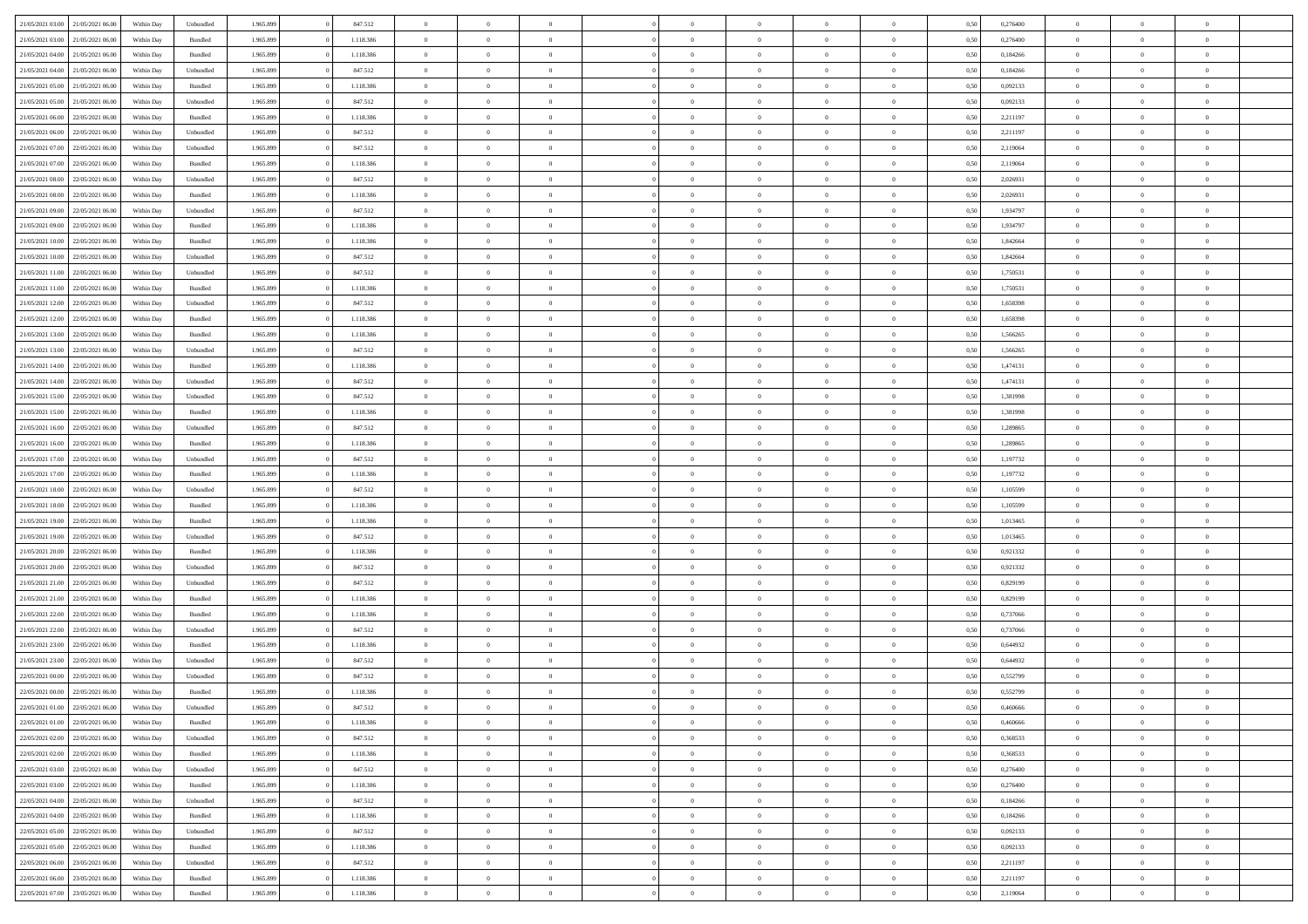| 21/05/2021 03:00                  |                  |            |           |           |           | $\overline{0}$ |                |                |                | $\Omega$       | $\theta$       | $\theta$       |      |          | $\theta$       |                | $\theta$       |  |
|-----------------------------------|------------------|------------|-----------|-----------|-----------|----------------|----------------|----------------|----------------|----------------|----------------|----------------|------|----------|----------------|----------------|----------------|--|
|                                   | 21/05/2021 06:00 | Within Dav | Unbundled | 1.965.899 | 847.512   |                | $\theta$       |                | $\Omega$       |                |                |                | 0,50 | 0,276400 |                | $\theta$       |                |  |
| 21/05/2021 03:00                  | 21/05/2021 06:00 | Within Day | Bundled   | 1.965.899 | 1.118.386 | $\overline{0}$ | $\theta$       | $\overline{0}$ | $\overline{0}$ | $\bf{0}$       | $\overline{0}$ | $\bf{0}$       | 0,50 | 0,276400 | $\theta$       | $\overline{0}$ | $\overline{0}$ |  |
| 21/05/2021 04:00                  | 21/05/2021 06:00 | Within Day | Bundled   | 1.965.899 | 1.118.386 | $\overline{0}$ | $\bf{0}$       | $\overline{0}$ | $\overline{0}$ | $\bf{0}$       | $\overline{0}$ | $\mathbf{0}$   | 0,50 | 0,184266 | $\bf{0}$       | $\overline{0}$ | $\overline{0}$ |  |
| 21/05/2021 04:00                  | 21/05/2021 06:00 | Within Dav | Unbundled | 1.965.899 | 847.512   | $\overline{0}$ | $\overline{0}$ | $\overline{0}$ | $\overline{0}$ | $\bf{0}$       | $\overline{0}$ | $\overline{0}$ | 0.50 | 0.184266 | $\theta$       | $\theta$       | $\overline{0}$ |  |
|                                   |                  |            |           |           |           | $\overline{0}$ | $\theta$       | $\overline{0}$ | $\overline{0}$ | $\bf{0}$       | $\overline{0}$ |                |      |          | $\,$ 0 $\,$    | $\overline{0}$ | $\overline{0}$ |  |
| 21/05/2021 05:00                  | 21/05/2021 06:00 | Within Day | Bundled   | 1.965.899 | 1.118.386 |                |                |                |                |                |                | $\bf{0}$       | 0,50 | 0,092133 |                |                |                |  |
| 21/05/2021 05:00                  | 21/05/2021 06:00 | Within Day | Unbundled | 1.965.899 | 847.512   | $\overline{0}$ | $\overline{0}$ | $\overline{0}$ | $\overline{0}$ | $\overline{0}$ | $\overline{0}$ | $\mathbf{0}$   | 0,50 | 0,092133 | $\bf{0}$       | $\overline{0}$ | $\bf{0}$       |  |
| 21/05/2021 06:00                  | 22/05/2021 06:00 | Within Dav | Bundled   | 1.965.899 | 1.118.386 | $\overline{0}$ | $\overline{0}$ | $\overline{0}$ | $\overline{0}$ | $\overline{0}$ | $\overline{0}$ | $\overline{0}$ | 0.50 | 2,211197 | $\theta$       | $\overline{0}$ | $\overline{0}$ |  |
| 21/05/2021 06:00                  | 22/05/2021 06:00 | Within Day | Unbundled | 1.965.899 | 847.512   | $\overline{0}$ | $\theta$       | $\overline{0}$ | $\overline{0}$ | $\bf{0}$       | $\overline{0}$ | $\bf{0}$       | 0,50 | 2,211197 | $\theta$       | $\theta$       | $\overline{0}$ |  |
| 21/05/2021 07:00                  | 22/05/2021 06:00 | Within Day | Unbundled | 1.965.899 | 847.512   | $\overline{0}$ | $\overline{0}$ | $\overline{0}$ | $\bf{0}$       | $\bf{0}$       | $\bf{0}$       | $\mathbf{0}$   | 0,50 | 2,119064 | $\,0\,$        | $\overline{0}$ | $\overline{0}$ |  |
| 21/05/2021 07:00                  | 22/05/2021 06:00 | Within Dav | Bundled   | 1.965.899 | 1.118.386 | $\overline{0}$ | $\overline{0}$ | $\overline{0}$ | $\overline{0}$ | $\overline{0}$ | $\overline{0}$ | $\overline{0}$ | 0.50 | 2,119064 | $\theta$       | $\overline{0}$ | $\overline{0}$ |  |
|                                   |                  |            |           |           |           |                |                |                |                |                |                |                |      |          |                |                |                |  |
| 21/05/2021 08:00                  | 22/05/2021 06:00 | Within Day | Unbundled | 1.965.899 | 847.512   | $\overline{0}$ | $\theta$       | $\overline{0}$ | $\overline{0}$ | $\bf{0}$       | $\overline{0}$ | $\bf{0}$       | 0,50 | 2,026931 | $\,$ 0 $\,$    | $\overline{0}$ | $\overline{0}$ |  |
| 21/05/2021 08:00                  | 22/05/2021 06:00 | Within Day | Bundled   | 1.965.899 | 1.118.386 | $\overline{0}$ | $\overline{0}$ | $\overline{0}$ | $\bf{0}$       | $\bf{0}$       | $\bf{0}$       | $\mathbf{0}$   | 0,50 | 2,026931 | $\overline{0}$ | $\overline{0}$ | $\bf{0}$       |  |
| 21/05/2021 09:00                  | 22/05/2021 06:00 | Within Day | Unbundled | 1.965.899 | 847.512   | $\overline{0}$ | $\overline{0}$ | $\overline{0}$ | $\overline{0}$ | $\bf{0}$       | $\overline{0}$ | $\overline{0}$ | 0.50 | 1,934797 | $\theta$       | $\theta$       | $\overline{0}$ |  |
| 21/05/2021 09:00                  | 22/05/2021 06:00 | Within Day | Bundled   | 1.965.899 | 1.118.386 | $\overline{0}$ | $\theta$       | $\overline{0}$ | $\overline{0}$ | $\bf{0}$       | $\overline{0}$ | $\bf{0}$       | 0,50 | 1,934797 | $\theta$       | $\overline{0}$ | $\overline{0}$ |  |
| 21/05/2021 10:00                  | 22/05/2021 06:00 | Within Day | Bundled   | 1.965.899 | 1.118.386 | $\overline{0}$ | $\overline{0}$ | $\overline{0}$ | $\bf{0}$       | $\overline{0}$ | $\overline{0}$ | $\mathbf{0}$   | 0,50 | 1,842664 | $\overline{0}$ | $\overline{0}$ | $\bf{0}$       |  |
|                                   |                  |            |           |           |           |                |                |                |                |                |                |                |      |          |                |                |                |  |
| 21/05/2021 10:00                  | 22/05/2021 06:00 | Within Dav | Unbundled | 1.965.899 | 847.512   | $\overline{0}$ | $\overline{0}$ | $\overline{0}$ | $\overline{0}$ | $\overline{0}$ | $\overline{0}$ | $\overline{0}$ | 0.50 | 1,842664 | $\theta$       | $\overline{0}$ | $\overline{0}$ |  |
| 21/05/2021 11:00                  | 22/05/2021 06:00 | Within Day | Unbundled | 1.965.899 | 847.512   | $\overline{0}$ | $\theta$       | $\overline{0}$ | $\overline{0}$ | $\bf{0}$       | $\overline{0}$ | $\bf{0}$       | 0,50 | 1,750531 | $\,$ 0 $\,$    | $\overline{0}$ | $\overline{0}$ |  |
| 21/05/2021 11:00                  | 22/05/2021 06:00 | Within Day | Bundled   | 1.965.899 | 1.118.386 | $\overline{0}$ | $\overline{0}$ | $\overline{0}$ | $\bf{0}$       | $\bf{0}$       | $\bf{0}$       | $\mathbf{0}$   | 0,50 | 1,750531 | $\bf{0}$       | $\overline{0}$ | $\bf{0}$       |  |
| 21/05/2021 12:00                  | 22/05/2021 06:00 | Within Day | Unbundled | 1.965.899 | 847.512   | $\overline{0}$ | $\overline{0}$ | $\overline{0}$ | $\overline{0}$ | $\overline{0}$ | $\overline{0}$ | $\overline{0}$ | 0.50 | 1,658398 | $\theta$       | $\overline{0}$ | $\overline{0}$ |  |
| 21/05/2021 12:00                  | 22/05/2021 06:00 | Within Day | Bundled   | 1.965.899 | 1.118.386 | $\overline{0}$ | $\theta$       | $\overline{0}$ | $\overline{0}$ | $\bf{0}$       | $\overline{0}$ | $\bf{0}$       | 0,50 | 1,658398 | $\,$ 0 $\,$    | $\overline{0}$ | $\overline{0}$ |  |
| 21/05/2021 13:00                  | 22/05/2021 06:00 | Within Day | Bundled   | 1.965.899 | 1.118.386 | $\overline{0}$ | $\overline{0}$ | $\overline{0}$ | $\bf{0}$       | $\bf{0}$       | $\bf{0}$       | $\mathbf{0}$   | 0,50 | 1,566265 | $\overline{0}$ | $\overline{0}$ | $\bf{0}$       |  |
|                                   |                  |            |           |           |           |                |                |                |                |                |                |                |      |          |                |                |                |  |
| 21/05/2021 13:00                  | 22/05/2021 06:00 | Within Day | Unbundled | 1.965.899 | 847.512   | $\overline{0}$ | $\overline{0}$ | $\overline{0}$ | $\overline{0}$ | $\overline{0}$ | $\overline{0}$ | $\overline{0}$ | 0.50 | 1.566265 | $\theta$       | $\overline{0}$ | $\overline{0}$ |  |
| 21/05/2021 14:00                  | 22/05/2021 06:00 | Within Day | Bundled   | 1.965.899 | 1.118.386 | $\overline{0}$ | $\theta$       | $\overline{0}$ | $\overline{0}$ | $\bf{0}$       | $\overline{0}$ | $\,$ 0 $\,$    | 0,50 | 1,474131 | $\,$ 0 $\,$    | $\overline{0}$ | $\overline{0}$ |  |
| 21/05/2021 14:00                  | 22/05/2021 06:00 | Within Day | Unbundled | 1.965.899 | 847.512   | $\overline{0}$ | $\overline{0}$ | $\overline{0}$ | $\bf{0}$       | $\overline{0}$ | $\overline{0}$ | $\mathbf{0}$   | 0,50 | 1,474131 | $\overline{0}$ | $\overline{0}$ | $\bf{0}$       |  |
| 21/05/2021 15:00                  | 22/05/2021 06:00 | Within Dav | Unbundled | 1.965.899 | 847.512   | $\overline{0}$ | $\overline{0}$ | $\overline{0}$ | $\overline{0}$ | $\overline{0}$ | $\overline{0}$ | $\overline{0}$ | 0.50 | 1,381998 | $\overline{0}$ | $\overline{0}$ | $\overline{0}$ |  |
| 21/05/2021 15:00                  | 22/05/2021 06:00 | Within Day | Bundled   | 1.965.899 | 1.118.386 | $\overline{0}$ | $\theta$       | $\overline{0}$ | $\overline{0}$ | $\bf{0}$       | $\overline{0}$ | $\bf{0}$       | 0,50 | 1,381998 | $\,$ 0 $\,$    | $\theta$       | $\overline{0}$ |  |
| 21/05/2021 16:00                  | 22/05/2021 06:00 | Within Day | Unbundled | 1.965.899 | 847.512   | $\overline{0}$ | $\overline{0}$ | $\overline{0}$ | $\overline{0}$ | $\bf{0}$       | $\overline{0}$ | $\mathbf{0}$   | 0,50 | 1,289865 | $\,0\,$        | $\overline{0}$ | $\overline{0}$ |  |
|                                   | 22/05/2021 06:00 |            | Bundled   | 1.965.899 | 1.118.386 | $\overline{0}$ | $\overline{0}$ | $\overline{0}$ | $\overline{0}$ | $\overline{0}$ | $\overline{0}$ | $\overline{0}$ | 0.50 | 1,289865 | $\theta$       | $\overline{0}$ | $\overline{0}$ |  |
| 21/05/2021 16:00                  |                  | Within Day |           |           |           |                |                |                |                |                |                |                |      |          |                |                |                |  |
| 21/05/2021 17:00                  | 22/05/2021 06:00 | Within Day | Unbundled | 1.965.899 | 847.512   | $\overline{0}$ | $\overline{0}$ | $\overline{0}$ | $\overline{0}$ | $\bf{0}$       | $\overline{0}$ | $\bf{0}$       | 0,50 | 1,197732 | $\,$ 0 $\,$    | $\overline{0}$ | $\overline{0}$ |  |
| 21/05/2021 17:00                  | 22/05/2021 06:00 | Within Day | Bundled   | 1.965.899 | 1.118.386 | $\overline{0}$ | $\overline{0}$ | $\overline{0}$ | $\overline{0}$ | $\bf{0}$       | $\overline{0}$ | $\mathbf{0}$   | 0,50 | 1,197732 | $\bf{0}$       | $\overline{0}$ | $\bf{0}$       |  |
| 21/05/2021 18:00                  | 22/05/2021 06:00 | Within Day | Unbundled | 1.965.899 | 847.512   | $\bf{0}$       | $\Omega$       | $\overline{0}$ | $\Omega$       | $\Omega$       | $\overline{0}$ | $\overline{0}$ | 0,50 | 1,105599 | $\,0\,$        | $\theta$       | $\theta$       |  |
| 21/05/2021 18:00                  | 22/05/2021 06:00 | Within Day | Bundled   | 1.965.899 | 1.118.386 | $\overline{0}$ | $\theta$       | $\overline{0}$ | $\overline{0}$ | $\bf{0}$       | $\overline{0}$ | $\bf{0}$       | 0,50 | 1,105599 | $\,$ 0 $\,$    | $\overline{0}$ | $\overline{0}$ |  |
| 21/05/2021 19:00                  | 22/05/2021 06:00 | Within Day | Bundled   | 1.965.899 | 1.118.386 | $\overline{0}$ | $\overline{0}$ | $\overline{0}$ | $\overline{0}$ | $\overline{0}$ | $\overline{0}$ | $\mathbf{0}$   | 0,50 | 1,013465 | $\bf{0}$       | $\overline{0}$ | $\bf{0}$       |  |
| 21/05/2021 19:00                  | 22/05/2021 06:00 | Within Day | Unbundled | 1.965.899 | 847.512   | $\overline{0}$ | $\Omega$       | $\overline{0}$ | $\Omega$       | $\overline{0}$ | $\overline{0}$ | $\overline{0}$ | 0.50 | 1,013465 | $\,0\,$        | $\theta$       | $\theta$       |  |
|                                   |                  |            |           |           |           | $\overline{0}$ | $\theta$       | $\overline{0}$ |                | $\bf{0}$       | $\overline{0}$ |                |      |          |                |                | $\overline{0}$ |  |
| 21/05/2021 20:00                  | 22/05/2021 06:00 | Within Day | Bundled   | 1.965.899 | 1.118.386 |                |                |                | $\overline{0}$ |                |                | $\bf{0}$       | 0,50 | 0,921332 | $\,$ 0 $\,$    | $\overline{0}$ |                |  |
| 21/05/2021 20:00                  | 22/05/2021 06:00 | Within Day | Unbundled | 1.965.899 | 847.512   | $\overline{0}$ | $\overline{0}$ | $\overline{0}$ | $\overline{0}$ | $\bf{0}$       | $\overline{0}$ | $\mathbf{0}$   | 0,50 | 0,921332 | $\bf{0}$       | $\overline{0}$ | $\bf{0}$       |  |
| 21/05/2021 21:00                  | 22/05/2021 06:00 | Within Day | Unbundled | 1.965.899 | 847.512   | $\overline{0}$ | $\Omega$       | $\overline{0}$ | $\Omega$       | $\overline{0}$ | $\overline{0}$ | $\overline{0}$ | 0.50 | 0,829199 | $\,$ 0 $\,$    | $\theta$       | $\theta$       |  |
| 21/05/2021 21:00                  | 22/05/2021 06:00 | Within Day | Bundled   | 1.965.899 | 1.118.386 | $\overline{0}$ | $\overline{0}$ | $\overline{0}$ | $\overline{0}$ | $\,$ 0         | $\overline{0}$ | $\bf{0}$       | 0,50 | 0,829199 | $\,$ 0 $\,$    | $\overline{0}$ | $\overline{0}$ |  |
| 21/05/2021 22:00                  | 22/05/2021 06:00 | Within Day | Bundled   | 1.965.899 | 1.118.386 | $\overline{0}$ | $\overline{0}$ | $\overline{0}$ | $\overline{0}$ | $\bf{0}$       | $\overline{0}$ | $\mathbf{0}$   | 0,50 | 0,737066 | $\bf{0}$       | $\overline{0}$ | $\bf{0}$       |  |
| 21/05/2021 22.00                  | 22/05/2021 06:00 | Within Day | Unbundled | 1.965.899 | 847.512   | $\overline{0}$ | $\Omega$       | $\overline{0}$ | $\Omega$       | $\overline{0}$ | $\overline{0}$ | $\overline{0}$ | 0,50 | 0,737066 | $\,0\,$        | $\theta$       | $\overline{0}$ |  |
| 21/05/2021 23:00                  | 22/05/2021 06:00 | Within Day | Bundled   | 1.965.899 | 1.118.386 | $\overline{0}$ | $\overline{0}$ | $\overline{0}$ | $\overline{0}$ | $\,$ 0         | $\overline{0}$ | $\bf{0}$       | 0,50 | 0,644932 | $\,$ 0 $\,$    | $\overline{0}$ | $\overline{0}$ |  |
|                                   |                  |            |           |           |           |                |                |                |                |                |                |                |      |          |                |                |                |  |
| 21/05/2021 23:00                  | 22/05/2021 06:00 | Within Day | Unbundled | 1.965.899 | 847.512   | $\overline{0}$ | $\overline{0}$ | $\overline{0}$ | $\overline{0}$ | $\bf{0}$       | $\overline{0}$ | $\mathbf{0}$   | 0,50 | 0,644932 | $\bf{0}$       | $\overline{0}$ | $\bf{0}$       |  |
| 22/05/2021 00:00                  | 22/05/2021 06:00 | Within Day | Unbundled | 1.965.899 | 847.512   | $\overline{0}$ | $\Omega$       | $\Omega$       | $\Omega$       | $\Omega$       | $\Omega$       | $\overline{0}$ | 0.50 | 0.552799 | $\theta$       | $\theta$       | $\theta$       |  |
| 22/05/2021 00:00                  | 22/05/2021 06:00 | Within Day | Bundled   | 1.965.899 | 1.118.386 | $\overline{0}$ | $\overline{0}$ | $\overline{0}$ | $\bf{0}$       | $\,$ 0         | $\bf{0}$       | $\bf{0}$       | 0,50 | 0,552799 | $\,0\,$        | $\,$ 0 $\,$    | $\overline{0}$ |  |
| 22/05/2021 01:00                  | 22/05/2021 06:00 | Within Day | Unbundled | 1.965.899 | 847.512   | $\overline{0}$ | $\bf{0}$       |                |                | $\bf{0}$       |                |                | 0,50 | 0,460666 | $\bf{0}$       | $\overline{0}$ |                |  |
| 22/05/2021 01:00                  | 22/05/2021 06:00 | Within Day | Bundled   | 1.965.899 | 1.118.386 | $\overline{0}$ | $\overline{0}$ | $\overline{0}$ | $\Omega$       | $\overline{0}$ | $\overline{0}$ | $\overline{0}$ | 0.50 | 0.460666 | $\theta$       | $\theta$       | $\theta$       |  |
| 22/05/2021 02:00                  | 22/05/2021 06:00 | Within Day | Unbundled | 1.965.899 | 847.512   | $\overline{0}$ | $\,$ 0         | $\overline{0}$ | $\bf{0}$       | $\,$ 0 $\,$    | $\overline{0}$ | $\mathbf{0}$   | 0,50 | 0,368533 | $\,$ 0 $\,$    | $\,$ 0 $\,$    | $\,$ 0         |  |
|                                   |                  |            |           |           |           |                |                |                |                |                |                |                |      |          |                |                |                |  |
| 22/05/2021 02:00                  | 22/05/2021 06:00 | Within Day | Bundled   | 1.965.899 | 1.118.386 | $\overline{0}$ | $\overline{0}$ | $\overline{0}$ | $\overline{0}$ | $\overline{0}$ | $\overline{0}$ | $\mathbf{0}$   | 0,50 | 0,368533 | $\overline{0}$ | $\bf{0}$       | $\bf{0}$       |  |
| 22/05/2021 03:00                  | 22/05/2021 06:00 | Within Day | Unbundled | 1.965.899 | 847.512   | $\overline{0}$ | $\overline{0}$ | $\overline{0}$ | $\Omega$       | $\overline{0}$ | $\overline{0}$ | $\overline{0}$ | 0,50 | 0,276400 | $\overline{0}$ | $\theta$       | $\overline{0}$ |  |
| 22/05/2021 03:00                  | 22/05/2021 06:00 | Within Day | Bundled   | 1.965.899 | 1.118.386 | $\overline{0}$ | $\,$ 0         | $\overline{0}$ | $\overline{0}$ | $\,$ 0 $\,$    | $\overline{0}$ | $\mathbf{0}$   | 0,50 | 0,276400 | $\,$ 0 $\,$    | $\overline{0}$ | $\,$ 0         |  |
| 22/05/2021 04:00                  | 22/05/2021 06:00 | Within Day | Unbundled | 1.965.899 | 847.512   | $\overline{0}$ | $\overline{0}$ | $\overline{0}$ | $\overline{0}$ | $\overline{0}$ | $\overline{0}$ | $\mathbf{0}$   | 0,50 | 0,184266 | $\overline{0}$ | $\overline{0}$ | $\bf{0}$       |  |
| 22/05/2021 04:00                  | 22/05/2021 06:00 | Within Day | Bundled   | 1.965.899 | 1.118.386 | $\overline{0}$ | $\overline{0}$ | $\overline{0}$ | $\Omega$       | $\overline{0}$ | $\overline{0}$ | $\bf{0}$       | 0.50 | 0,184266 | $\overline{0}$ | $\theta$       | $\overline{0}$ |  |
| 22/05/2021 05:00                  | 22/05/2021 06:00 | Within Day | Unbundled | 1.965.899 | 847.512   | $\overline{0}$ | $\,$ 0         | $\overline{0}$ | $\bf{0}$       | $\bf{0}$       | $\bf{0}$       | $\bf{0}$       | 0,50 | 0,092133 | $\,$ 0 $\,$    | $\overline{0}$ | $\overline{0}$ |  |
| 22/05/2021 05:00                  | 22/05/2021 06:00 | Within Day | Bundled   | 1.965.899 | 1.118.386 | $\overline{0}$ | $\bf{0}$       | $\overline{0}$ | $\overline{0}$ | $\overline{0}$ | $\overline{0}$ | $\mathbf{0}$   | 0,50 | 0,092133 | $\overline{0}$ | $\overline{0}$ | $\bf{0}$       |  |
|                                   |                  |            |           |           |           |                |                |                |                |                |                |                |      |          |                |                |                |  |
| 22/05/2021 06:00                  | 23/05/2021 06:00 | Within Day | Unbundled | 1.965.899 | 847.512   | $\overline{0}$ | $\overline{0}$ | $\overline{0}$ | $\Omega$       | $\overline{0}$ | $\overline{0}$ | $\overline{0}$ | 0.50 | 2,211197 | $\overline{0}$ | $\overline{0}$ | $\overline{0}$ |  |
| 22/05/2021 06:00                  | 23/05/2021 06:00 | Within Day | Bundled   | 1.965.899 | 1.118.386 | $\overline{0}$ | $\bf{0}$       | $\overline{0}$ | $\overline{0}$ | $\bf{0}$       | $\bf{0}$       | $\mathbf{0}$   | 0,50 | 2,211197 | $\,$ 0 $\,$    | $\,$ 0 $\,$    | $\bf{0}$       |  |
| 22/05/2021 07:00 23/05/2021 06:00 |                  | Within Day | Bundled   | 1.965.899 | 1.118.386 | $\overline{0}$ | $\overline{0}$ | $\overline{0}$ | $\overline{0}$ | $\overline{0}$ | $\bf{0}$       | $\mathbf{0}$   | 0,50 | 2,119064 | $\overline{0}$ | $\bf{0}$       | $\bf{0}$       |  |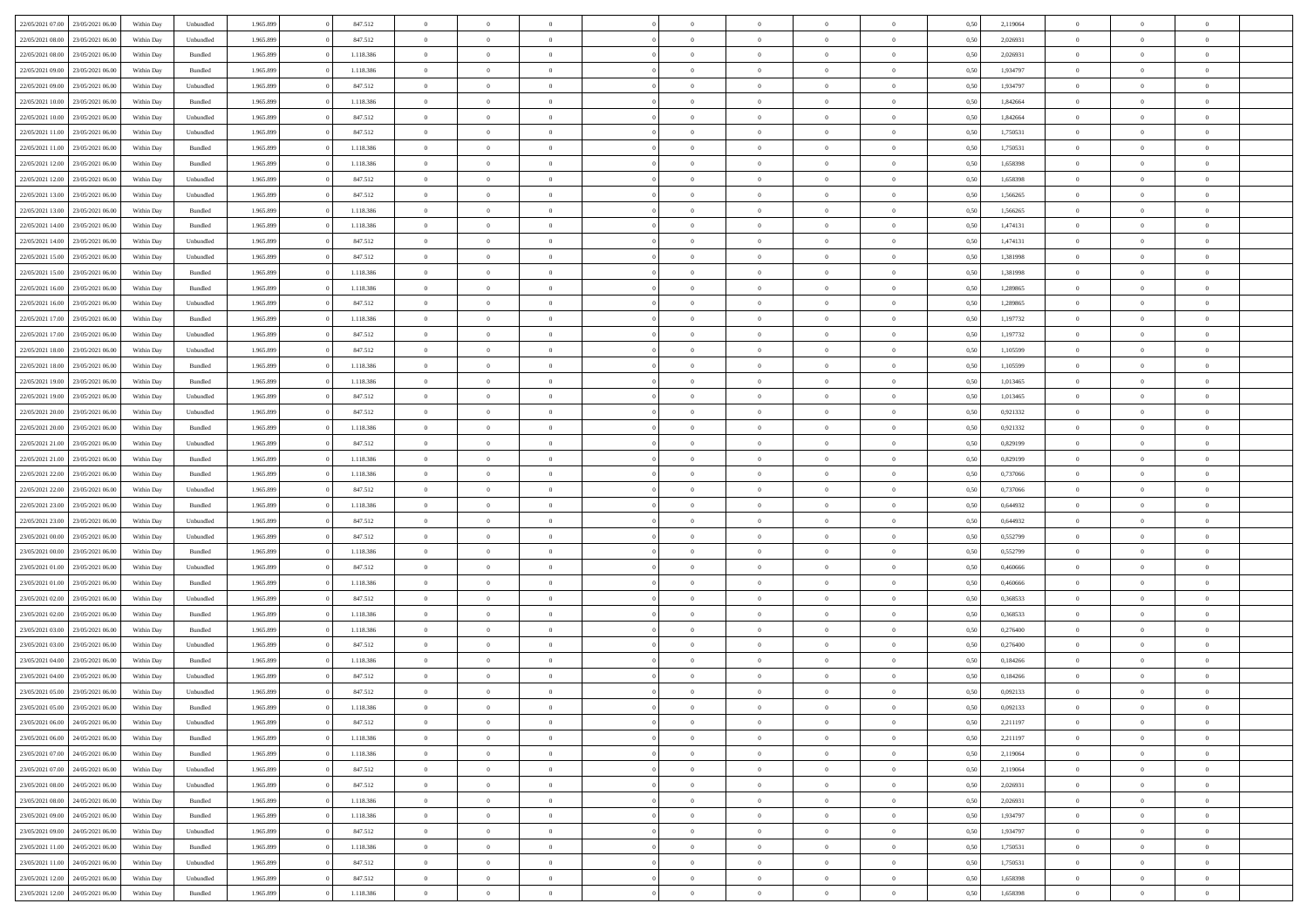|                                   |                  |            |                    |           |           | $\overline{0}$ | $\Omega$       |                |                | $\Omega$       | $\Omega$       | $\theta$       |      |          | $\theta$       |                | $\theta$       |  |
|-----------------------------------|------------------|------------|--------------------|-----------|-----------|----------------|----------------|----------------|----------------|----------------|----------------|----------------|------|----------|----------------|----------------|----------------|--|
| 22/05/2021 07:00                  | 23/05/2021 06:00 | Within Day | Unbundled          | 1.965.899 | 847.512   |                |                |                | $\Omega$       |                |                |                | 0,50 | 2,119064 |                | $\theta$       |                |  |
| 22/05/2021 08:00                  | 23/05/2021 06:00 | Within Day | Unbundled          | 1.965.899 | 847.512   | $\overline{0}$ | $\theta$       | $\overline{0}$ | $\overline{0}$ | $\bf{0}$       | $\overline{0}$ | $\bf{0}$       | 0,50 | 2,026931 | $\theta$       | $\theta$       | $\overline{0}$ |  |
| 22/05/2021 08:00                  | 23/05/2021 06:00 | Within Day | Bundled            | 1.965.899 | 1.118.386 | $\overline{0}$ | $\overline{0}$ | $\overline{0}$ | $\bf{0}$       | $\bf{0}$       | $\bf{0}$       | $\mathbf{0}$   | 0,50 | 2,026931 | $\overline{0}$ | $\overline{0}$ | $\overline{0}$ |  |
| 22/05/2021 09:00                  | 23/05/2021 06:00 | Within Dav | Bundled            | 1.965.899 | 1.118.386 | $\overline{0}$ | $\overline{0}$ | $\overline{0}$ | $\overline{0}$ | $\bf{0}$       | $\overline{0}$ | $\overline{0}$ | 0.50 | 1,934797 | $\theta$       | $\theta$       | $\overline{0}$ |  |
|                                   |                  |            |                    |           |           | $\overline{0}$ | $\theta$       | $\overline{0}$ |                | $\bf{0}$       | $\overline{0}$ |                |      |          | $\theta$       | $\overline{0}$ | $\overline{0}$ |  |
| 22/05/2021 09:00                  | 23/05/2021 06:00 | Within Day | Unbundled          | 1.965.899 | 847.512   |                |                |                | $\overline{0}$ |                |                | $\bf{0}$       | 0,50 | 1,934797 |                |                |                |  |
| 22/05/2021 10:00                  | 23/05/2021 06:00 | Within Day | Bundled            | 1.965.899 | 1.118.386 | $\overline{0}$ | $\bf{0}$       | $\overline{0}$ | $\bf{0}$       | $\overline{0}$ | $\overline{0}$ | $\mathbf{0}$   | 0,50 | 1,842664 | $\overline{0}$ | $\overline{0}$ | $\bf{0}$       |  |
| 22/05/2021 10:00                  | 23/05/2021 06:00 | Within Dav | Unbundled          | 1.965.899 | 847.512   | $\overline{0}$ | $\overline{0}$ | $\overline{0}$ | $\overline{0}$ | $\overline{0}$ | $\overline{0}$ | $\overline{0}$ | 0.50 | 1,842664 | $\theta$       | $\overline{0}$ | $\overline{0}$ |  |
| 22/05/2021 11:00                  | 23/05/2021 06:00 | Within Day | Unbundled          | 1.965.899 | 847.512   | $\overline{0}$ | $\theta$       | $\overline{0}$ | $\overline{0}$ | $\bf{0}$       | $\overline{0}$ | $\bf{0}$       | 0,50 | 1,750531 | $\theta$       | $\theta$       | $\overline{0}$ |  |
| 22/05/2021 11:00                  | 23/05/2021 06:00 | Within Day | Bundled            | 1.965.899 | 1.118.386 | $\overline{0}$ | $\overline{0}$ | $\overline{0}$ | $\overline{0}$ | $\bf{0}$       | $\overline{0}$ | $\bf{0}$       | 0,50 | 1,750531 | $\,0\,$        | $\overline{0}$ | $\overline{0}$ |  |
|                                   |                  |            |                    |           |           |                | $\overline{0}$ |                |                | $\overline{0}$ |                |                |      |          | $\theta$       | $\overline{0}$ | $\overline{0}$ |  |
| 22/05/2021 12:00                  | 23/05/2021 06:00 | Within Dav | Bundled            | 1.965.899 | 1.118.386 | $\overline{0}$ |                | $\overline{0}$ | $\overline{0}$ |                | $\overline{0}$ | $\overline{0}$ | 0.50 | 1,658398 |                |                |                |  |
| 22/05/2021 12:00                  | 23/05/2021 06:00 | Within Day | Unbundled          | 1.965.899 | 847.512   | $\overline{0}$ | $\theta$       | $\overline{0}$ | $\overline{0}$ | $\bf{0}$       | $\overline{0}$ | $\bf{0}$       | 0,50 | 1,658398 | $\,$ 0 $\,$    | $\overline{0}$ | $\overline{0}$ |  |
| 22/05/2021 13:00                  | 23/05/2021 06:00 | Within Day | Unbundled          | 1.965.899 | 847.512   | $\overline{0}$ | $\overline{0}$ | $\overline{0}$ | $\overline{0}$ | $\bf{0}$       | $\overline{0}$ | $\mathbf{0}$   | 0,50 | 1,566265 | $\bf{0}$       | $\overline{0}$ | $\bf{0}$       |  |
| 22/05/2021 13:00                  | 23/05/2021 06:00 | Within Day | Bundled            | 1.965.899 | 1.118.386 | $\overline{0}$ | $\overline{0}$ | $\overline{0}$ | $\overline{0}$ | $\bf{0}$       | $\overline{0}$ | $\overline{0}$ | 0.50 | 1.566265 | $\theta$       | $\theta$       | $\overline{0}$ |  |
| 22/05/2021 14:00                  | 23/05/2021 06:00 | Within Day | Bundled            | 1.965.899 | 1.118.386 | $\overline{0}$ | $\theta$       | $\overline{0}$ | $\overline{0}$ | $\bf{0}$       | $\overline{0}$ | $\bf{0}$       | 0,50 | 1,474131 | $\theta$       | $\overline{0}$ | $\overline{0}$ |  |
|                                   |                  |            |                    |           |           |                |                |                |                |                |                |                |      |          |                |                |                |  |
| 22/05/2021 14:00                  | 23/05/2021 06:00 | Within Day | Unbundled          | 1.965.899 | 847.512   | $\overline{0}$ | $\overline{0}$ | $\overline{0}$ | $\overline{0}$ | $\overline{0}$ | $\overline{0}$ | $\mathbf{0}$   | 0,50 | 1,474131 | $\bf{0}$       | $\overline{0}$ | $\bf{0}$       |  |
| 22/05/2021 15:00                  | 23/05/2021 06:00 | Within Dav | Unbundled          | 1.965.899 | 847.512   | $\overline{0}$ | $\overline{0}$ | $\overline{0}$ | $\overline{0}$ | $\overline{0}$ | $\overline{0}$ | $\overline{0}$ | 0.50 | 1,381998 | $\theta$       | $\overline{0}$ | $\overline{0}$ |  |
| 22/05/2021 15:00                  | 23/05/2021 06:00 | Within Day | Bundled            | 1.965.899 | 1.118.386 | $\overline{0}$ | $\theta$       | $\overline{0}$ | $\overline{0}$ | $\bf{0}$       | $\overline{0}$ | $\bf{0}$       | 0,50 | 1,381998 | $\theta$       | $\theta$       | $\overline{0}$ |  |
| 22/05/2021 16:00                  | 23/05/2021 06:00 | Within Day | Bundled            | 1.965.899 | 1.118.386 | $\overline{0}$ | $\overline{0}$ | $\overline{0}$ | $\overline{0}$ | $\bf{0}$       | $\overline{0}$ | $\mathbf{0}$   | 0,50 | 1,289865 | $\,0\,$        | $\overline{0}$ | $\overline{0}$ |  |
| 22/05/2021 16:00                  | 23/05/2021 06:00 | Within Day | Unbundled          | 1.965.899 | 847.512   | $\overline{0}$ | $\overline{0}$ | $\overline{0}$ | $\overline{0}$ | $\overline{0}$ | $\overline{0}$ | $\overline{0}$ | 0.50 | 1,289865 | $\theta$       | $\overline{0}$ | $\overline{0}$ |  |
| 22/05/2021 17:00                  | 23/05/2021 06:00 | Within Day | Bundled            | 1.965.899 | 1.118.386 | $\overline{0}$ | $\theta$       | $\overline{0}$ | $\overline{0}$ | $\bf{0}$       | $\overline{0}$ | $\bf{0}$       | 0,50 | 1,197732 | $\,$ 0 $\,$    | $\theta$       | $\overline{0}$ |  |
|                                   |                  |            |                    |           |           |                |                |                |                |                |                |                |      |          |                |                |                |  |
| 22/05/2021 17:00                  | 23/05/2021 06:00 | Within Day | Unbundled          | 1.965.899 | 847.512   | $\overline{0}$ | $\overline{0}$ | $\overline{0}$ | $\overline{0}$ | $\bf{0}$       | $\overline{0}$ | $\mathbf{0}$   | 0,50 | 1,197732 | $\bf{0}$       | $\overline{0}$ | $\overline{0}$ |  |
| 22/05/2021 18:00                  | 23/05/2021 06:00 | Within Day | Unbundled          | 1.965.899 | 847.512   | $\overline{0}$ | $\overline{0}$ | $\overline{0}$ | $\overline{0}$ | $\bf{0}$       | $\overline{0}$ | $\overline{0}$ | 0.50 | 1,105599 | $\theta$       | $\overline{0}$ | $\overline{0}$ |  |
| 22/05/2021 18:00                  | 23/05/2021 06:00 | Within Day | Bundled            | 1.965.899 | 1.118.386 | $\overline{0}$ | $\theta$       | $\overline{0}$ | $\overline{0}$ | $\bf{0}$       | $\overline{0}$ | $\bf{0}$       | 0,50 | 1,105599 | $\,$ 0 $\,$    | $\overline{0}$ | $\overline{0}$ |  |
| 22/05/2021 19:00                  | 23/05/2021 06:00 | Within Day | Bundled            | 1.965.899 | 1.118.386 | $\overline{0}$ | $\bf{0}$       | $\overline{0}$ | $\overline{0}$ | $\overline{0}$ | $\overline{0}$ | $\mathbf{0}$   | 0,50 | 1,013465 | $\bf{0}$       | $\overline{0}$ | $\bf{0}$       |  |
| 22/05/2021 19:00                  | 23/05/2021 06:00 | Within Dav | Unbundled          | 1.965.899 | 847.512   | $\overline{0}$ | $\overline{0}$ | $\overline{0}$ | $\overline{0}$ | $\overline{0}$ | $\overline{0}$ | $\overline{0}$ | 0.50 | 1,013465 | $\theta$       | $\overline{0}$ | $\overline{0}$ |  |
| 22/05/2021 20:00                  | 23/05/2021 06:00 | Within Day | Unbundled          | 1.965.899 | 847.512   | $\overline{0}$ | $\theta$       | $\overline{0}$ | $\overline{0}$ | $\bf{0}$       | $\overline{0}$ | $\bf{0}$       | 0,50 | 0,921332 | $\theta$       | $\theta$       | $\overline{0}$ |  |
| 22/05/2021 20:00                  | 23/05/2021 06:00 | Within Day | Bundled            | 1.965.899 | 1.118.386 | $\overline{0}$ | $\overline{0}$ | $\overline{0}$ | $\overline{0}$ | $\bf{0}$       | $\overline{0}$ | $\bf{0}$       | 0,50 | 0,921332 | $\,0\,$        | $\overline{0}$ | $\overline{0}$ |  |
|                                   |                  |            |                    |           |           |                | $\overline{0}$ |                |                | $\overline{0}$ |                |                |      |          | $\theta$       | $\overline{0}$ | $\overline{0}$ |  |
| 22/05/2021 21:00                  | 23/05/2021 06:00 | Within Day | Unbundled          | 1.965.899 | 847.512   | $\overline{0}$ |                | $\overline{0}$ | $\overline{0}$ |                | $\overline{0}$ | $\overline{0}$ | 0.50 | 0.829199 |                |                |                |  |
| 22/05/2021 21:00                  | 23/05/2021 06:00 | Within Day | Bundled            | 1.965.899 | 1.118.386 | $\overline{0}$ | $\theta$       | $\overline{0}$ | $\overline{0}$ | $\bf{0}$       | $\overline{0}$ | $\bf{0}$       | 0,50 | 0,829199 | $\,$ 0 $\,$    | $\overline{0}$ | $\overline{0}$ |  |
| 22/05/2021 22:00                  | 23/05/2021 06:00 | Within Day | Bundled            | 1.965.899 | 1.118.386 | $\overline{0}$ | $\overline{0}$ | $\overline{0}$ | $\overline{0}$ | $\bf{0}$       | $\overline{0}$ | $\bf{0}$       | 0,50 | 0,737066 | $\overline{0}$ | $\overline{0}$ | $\overline{0}$ |  |
| 22/05/2021 22:00                  | 23/05/2021 06:00 | Within Day | Unbundled          | 1.965.899 | 847.512   | $\overline{0}$ | $\Omega$       | $\overline{0}$ | $\Omega$       | $\Omega$       | $\overline{0}$ | $\overline{0}$ | 0,50 | 0,737066 | $\,0\,$        | $\theta$       | $\theta$       |  |
| 22/05/2021 23:00                  | 23/05/2021 06:00 | Within Day | Bundled            | 1.965.899 | 1.118.386 | $\overline{0}$ | $\theta$       | $\overline{0}$ | $\overline{0}$ | $\bf{0}$       | $\overline{0}$ | $\bf{0}$       | 0,50 | 0,644932 | $\theta$       | $\overline{0}$ | $\overline{0}$ |  |
| 22/05/2021 23:00                  | 23/05/2021 06:00 | Within Day | Unbundled          | 1.965.899 | 847.512   | $\overline{0}$ | $\overline{0}$ | $\overline{0}$ | $\bf{0}$       | $\bf{0}$       | $\overline{0}$ | $\mathbf{0}$   | 0,50 | 0,644932 | $\overline{0}$ | $\overline{0}$ | $\bf{0}$       |  |
| 23/05/2021 00:00                  | 23/05/2021 06:00 |            | Unbundled          | 1.965.899 | 847.512   | $\overline{0}$ | $\Omega$       | $\Omega$       | $\Omega$       | $\bf{0}$       | $\overline{0}$ | $\overline{0}$ | 0.50 | 0,552799 | $\,0\,$        | $\theta$       | $\theta$       |  |
|                                   |                  | Within Day |                    |           |           |                |                |                |                |                |                |                |      |          |                |                |                |  |
| 23/05/2021 00:00                  | 23/05/2021 06:00 | Within Day | Bundled            | 1.965.899 | 1.118.386 | $\overline{0}$ | $\theta$       | $\overline{0}$ | $\overline{0}$ | $\bf{0}$       | $\overline{0}$ | $\bf{0}$       | 0,50 | 0,552799 | $\,$ 0 $\,$    | $\theta$       | $\overline{0}$ |  |
| 23/05/2021 01:00                  | 23/05/2021 06:00 | Within Day | Unbundled          | 1.965.899 | 847.512   | $\overline{0}$ | $\overline{0}$ | $\overline{0}$ | $\bf{0}$       | $\bf{0}$       | $\bf{0}$       | $\bf{0}$       | 0,50 | 0,460666 | $\bf{0}$       | $\overline{0}$ | $\overline{0}$ |  |
| 23/05/2021 01:00                  | 23/05/2021 06:00 | Within Day | Bundled            | 1.965.899 | 1.118.386 | $\overline{0}$ | $\Omega$       | $\overline{0}$ | $\Omega$       | $\overline{0}$ | $\overline{0}$ | $\overline{0}$ | 0.50 | 0.460666 | $\theta$       | $\theta$       | $\theta$       |  |
| 23/05/2021 02:00                  | 23/05/2021 06:00 | Within Day | Unbundled          | 1.965.899 | 847.512   | $\overline{0}$ | $\theta$       | $\overline{0}$ | $\overline{0}$ | $\bf{0}$       | $\overline{0}$ | $\bf{0}$       | 0,50 | 0,368533 | $\,$ 0 $\,$    | $\overline{0}$ | $\overline{0}$ |  |
| 23/05/2021 02:00                  | 23/05/2021 06:00 | Within Day | Bundled            | 1.965.899 | 1.118.386 | $\overline{0}$ | $\overline{0}$ | $\overline{0}$ | $\bf{0}$       | $\bf{0}$       | $\bf{0}$       | $\mathbf{0}$   | 0,50 | 0,368533 | $\overline{0}$ | $\overline{0}$ | $\overline{0}$ |  |
| 23/05/2021 03:00                  | 23/05/2021 06:00 | Within Day | Bundled            | 1.965.899 | 1.118.386 | $\overline{0}$ | $\Omega$       | $\overline{0}$ | $\Omega$       | $\overline{0}$ | $\overline{0}$ | $\overline{0}$ | 0.50 | 0,276400 | $\,0\,$        | $\theta$       | $\theta$       |  |
|                                   |                  |            |                    |           |           |                | $\theta$       |                |                |                |                |                |      |          |                |                |                |  |
| 23/05/2021 03:00                  | 23/05/2021 06:00 | Within Day | Unbundled          | 1.965.899 | 847.512   | $\overline{0}$ |                | $\overline{0}$ | $\overline{0}$ | $\bf{0}$       | $\overline{0}$ | $\bf{0}$       | 0,50 | 0,276400 | $\,$ 0 $\,$    | $\overline{0}$ | $\overline{0}$ |  |
| 23/05/2021 04:00                  | 23/05/2021 06:00 | Within Day | Bundled            | 1.965.899 | 1.118.386 | $\overline{0}$ | $\overline{0}$ | $\overline{0}$ | $\bf{0}$       | $\bf{0}$       | $\bf{0}$       | $\mathbf{0}$   | 0,50 | 0,184266 | $\overline{0}$ | $\overline{0}$ | $\bf{0}$       |  |
| 23/05/2021 04:00                  | 23/05/2021 06:00 | Within Day | Unbundled          | 1.965.899 | 847.512   | $\overline{0}$ | $\Omega$       | $\Omega$       | $\Omega$       | $\Omega$       | $\Omega$       | $\overline{0}$ | 0.50 | 0,184266 | $\theta$       | $\theta$       | $\theta$       |  |
| 23/05/2021 05:00                  | 23/05/2021 06:00 | Within Day | Unbundled          | 1.965.899 | 847.512   | $\overline{0}$ | $\,$ 0 $\,$    | $\overline{0}$ | $\bf{0}$       | $\,$ 0         | $\bf{0}$       | $\bf{0}$       | 0,50 | 0,092133 | $\,0\,$        | $\overline{0}$ | $\overline{0}$ |  |
| 23/05/2021 05:00 23/05/2021 06:00 |                  | Within Day | $\mathbf B$ undled | 1.965.899 | 1.118.386 | $\bf{0}$       | $\bf{0}$       |                |                | $\bf{0}$       |                |                | 0,50 | 0,092133 | $\bf{0}$       | $\overline{0}$ |                |  |
| 23/05/2021 06:00                  | 24/05/2021 06:00 | Within Day | Unbundled          | 1.965.899 | 847.512   | $\overline{0}$ | $\overline{0}$ | $\overline{0}$ | $\Omega$       | $\overline{0}$ | $\overline{0}$ | $\overline{0}$ | 0,50 | 2,211197 | $\theta$       | $\theta$       | $\theta$       |  |
| 23/05/2021 06:00                  | 24/05/2021 06.00 | Within Day | Bundled            | 1.965.899 | 1.118.386 | $\overline{0}$ | $\bf{0}$       | $\overline{0}$ | $\bf{0}$       | $\,$ 0 $\,$    | $\overline{0}$ | $\,$ 0 $\,$    | 0,50 | 2,211197 | $\overline{0}$ | $\,$ 0 $\,$    | $\,$ 0         |  |
|                                   |                  |            |                    |           |           |                |                |                |                |                |                |                |      |          |                |                |                |  |
| 23/05/2021 07:00                  | 24/05/2021 06:00 | Within Day | Bundled            | 1.965.899 | 1.118.386 | $\overline{0}$ | $\overline{0}$ | $\overline{0}$ | $\overline{0}$ | $\overline{0}$ | $\overline{0}$ | $\mathbf{0}$   | 0,50 | 2,119064 | $\overline{0}$ | $\bf{0}$       | $\overline{0}$ |  |
| 23/05/2021 07:00                  | 24/05/2021 06:00 | Within Day | Unbundled          | 1.965.899 | 847.512   | $\overline{0}$ | $\overline{0}$ | $\overline{0}$ | $\Omega$       | $\overline{0}$ | $\overline{0}$ | $\overline{0}$ | 0,50 | 2,119064 | $\overline{0}$ | $\overline{0}$ | $\overline{0}$ |  |
| 23/05/2021 08:00                  | 24/05/2021 06.00 | Within Day | Unbundled          | 1.965.899 | 847.512   | $\overline{0}$ | $\,$ 0         | $\overline{0}$ | $\overline{0}$ | $\,$ 0 $\,$    | $\overline{0}$ | $\,$ 0 $\,$    | 0,50 | 2,026931 | $\,$ 0 $\,$    | $\overline{0}$ | $\,$ 0         |  |
| 23/05/2021 08:00                  | 24/05/2021 06:00 | Within Day | Bundled            | 1.965.899 | 1.118.386 | $\overline{0}$ | $\overline{0}$ | $\overline{0}$ | $\overline{0}$ | $\overline{0}$ | $\overline{0}$ | $\mathbf{0}$   | 0,50 | 2,026931 | $\overline{0}$ | $\overline{0}$ | $\overline{0}$ |  |
| 23/05/2021 09:00                  | 24/05/2021 06:00 | Within Day | Bundled            | 1.965.899 | 1.118.386 | $\overline{0}$ | $\overline{0}$ | $\overline{0}$ | $\overline{0}$ | $\overline{0}$ | $\overline{0}$ | $\overline{0}$ | 0.50 | 1,934797 | $\overline{0}$ | $\theta$       | $\overline{0}$ |  |
| 23/05/2021 09:00                  | 24/05/2021 06:00 | Within Day | Unbundled          | 1.965.899 | 847.512   | $\overline{0}$ | $\,$ 0         | $\overline{0}$ | $\overline{0}$ | $\bf{0}$       | $\overline{0}$ | $\bf{0}$       | 0,50 | 1,934797 | $\,$ 0 $\,$    | $\overline{0}$ | $\overline{0}$ |  |
|                                   |                  |            |                    |           |           |                |                |                |                |                |                |                |      |          |                |                |                |  |
| 23/05/2021 11:00                  | 24/05/2021 06:00 | Within Day | Bundled            | 1.965.899 | 1.118.386 | $\overline{0}$ | $\bf{0}$       | $\overline{0}$ | $\overline{0}$ | $\overline{0}$ | $\overline{0}$ | $\mathbf{0}$   | 0,50 | 1,750531 | $\overline{0}$ | $\overline{0}$ | $\bf{0}$       |  |
| 23/05/2021 11:00                  | 24/05/2021 06:00 | Within Day | Unbundled          | 1.965.899 | 847.512   | $\overline{0}$ | $\overline{0}$ | $\overline{0}$ | $\Omega$       | $\overline{0}$ | $\overline{0}$ | $\overline{0}$ | 0.50 | 1,750531 | $\overline{0}$ | $\overline{0}$ | $\overline{0}$ |  |
| 23/05/2021 12:00                  | 24/05/2021 06.00 | Within Day | Unbundled          | 1.965.899 | 847.512   | $\overline{0}$ | $\bf{0}$       | $\overline{0}$ | $\bf{0}$       | $\bf{0}$       | $\overline{0}$ | $\mathbf{0}$   | 0,50 | 1,658398 | $\,$ 0 $\,$    | $\,$ 0 $\,$    | $\bf{0}$       |  |
| 23/05/2021 12:00 24/05/2021 06:00 |                  | Within Day | Bundled            | 1.965.899 | 1.118.386 | $\overline{0}$ | $\overline{0}$ | $\overline{0}$ | $\overline{0}$ | $\overline{0}$ | $\overline{0}$ | $\mathbf{0}$   | 0,50 | 1,658398 | $\overline{0}$ | $\bf{0}$       | $\overline{0}$ |  |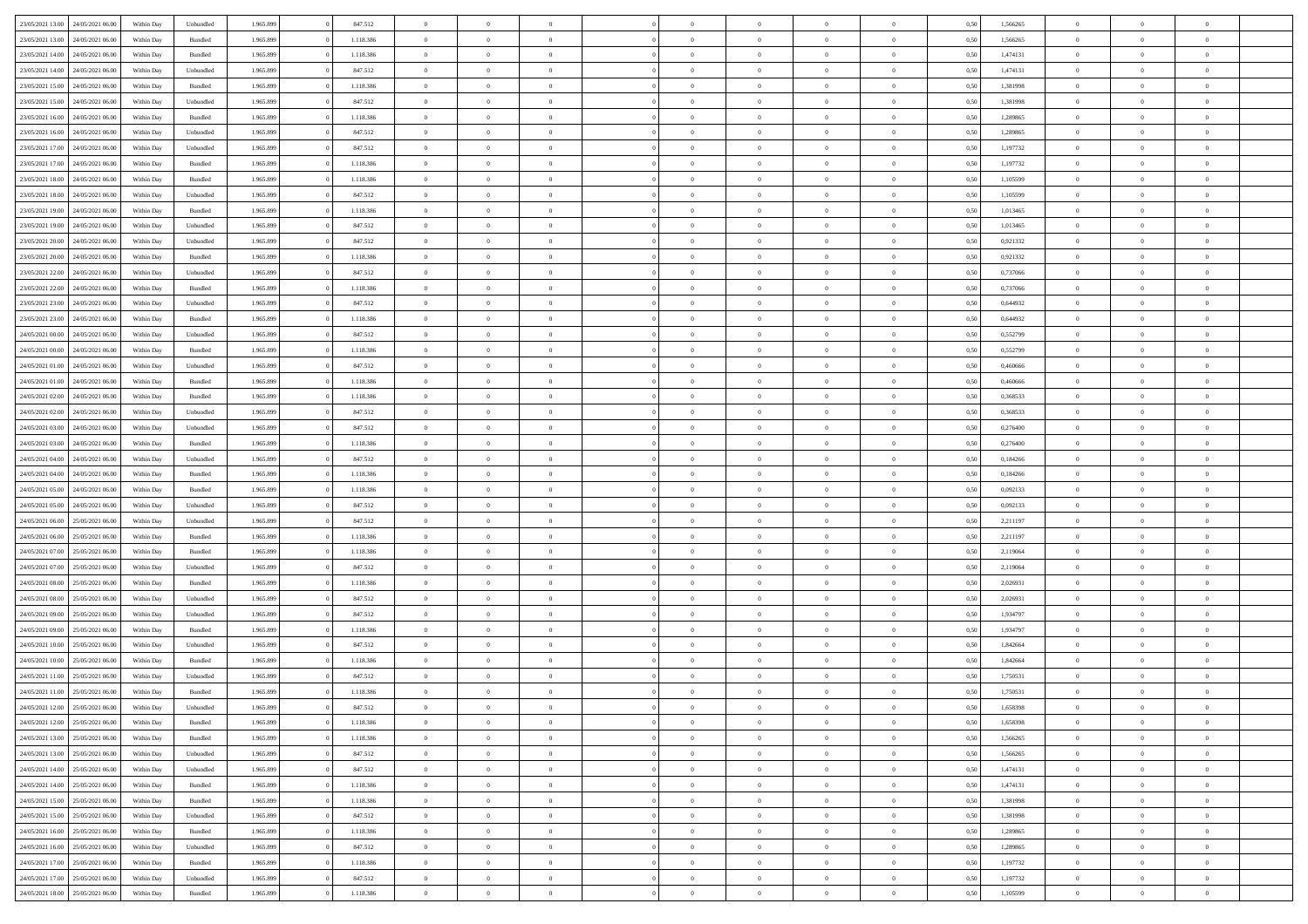| 23/05/2021 13:00                  |                  |            |           |           |           | $\overline{0}$ | $\Omega$       |                |                | $\Omega$       | $\Omega$       | $\theta$       |      |          | $\theta$       |                | $\theta$       |  |
|-----------------------------------|------------------|------------|-----------|-----------|-----------|----------------|----------------|----------------|----------------|----------------|----------------|----------------|------|----------|----------------|----------------|----------------|--|
|                                   | 24/05/2021 06:00 | Within Dav | Unbundled | 1.965.899 | 847.512   |                |                |                | $\Omega$       |                |                |                | 0,50 | 1,566265 |                | $\theta$       |                |  |
| 23/05/2021 13:00                  | 24/05/2021 06.00 | Within Day | Bundled   | 1.965.899 | 1.118.386 | $\overline{0}$ | $\theta$       | $\overline{0}$ | $\overline{0}$ | $\bf{0}$       | $\overline{0}$ | $\bf{0}$       | 0,50 | 1,566265 | $\theta$       | $\theta$       | $\overline{0}$ |  |
| 23/05/2021 14:00                  | 24/05/2021 06:00 | Within Day | Bundled   | 1.965.899 | 1.118.386 | $\overline{0}$ | $\overline{0}$ | $\overline{0}$ | $\overline{0}$ | $\bf{0}$       | $\overline{0}$ | $\mathbf{0}$   | 0,50 | 1,474131 | $\bf{0}$       | $\overline{0}$ | $\overline{0}$ |  |
| 23/05/2021 14:00                  | 24/05/2021 06:00 | Within Dav | Unbundled | 1.965.899 | 847.512   | $\overline{0}$ | $\overline{0}$ | $\overline{0}$ | $\overline{0}$ | $\bf{0}$       | $\overline{0}$ | $\overline{0}$ | 0.50 | 1,474131 | $\theta$       | $\theta$       | $\overline{0}$ |  |
|                                   |                  |            |           |           |           |                |                |                |                |                |                |                |      |          |                |                |                |  |
| 23/05/2021 15:00                  | 24/05/2021 06.00 | Within Day | Bundled   | 1.965.899 | 1.118.386 | $\overline{0}$ | $\theta$       | $\overline{0}$ | $\overline{0}$ | $\bf{0}$       | $\overline{0}$ | $\bf{0}$       | 0,50 | 1,381998 | $\theta$       | $\overline{0}$ | $\overline{0}$ |  |
| 23/05/2021 15:00                  | 24/05/2021 06:00 | Within Day | Unbundled | 1.965.899 | 847.512   | $\overline{0}$ | $\bf{0}$       | $\overline{0}$ | $\overline{0}$ | $\overline{0}$ | $\overline{0}$ | $\mathbf{0}$   | 0,50 | 1,381998 | $\bf{0}$       | $\overline{0}$ | $\bf{0}$       |  |
| 23/05/2021 16:00                  | 24/05/2021 06.00 | Within Dav | Bundled   | 1.965.899 | 1.118.386 | $\overline{0}$ | $\overline{0}$ | $\overline{0}$ | $\overline{0}$ | $\overline{0}$ | $\overline{0}$ | $\overline{0}$ | 0.50 | 1,289865 | $\theta$       | $\overline{0}$ | $\overline{0}$ |  |
| 23/05/2021 16:00                  | 24/05/2021 06.00 | Within Day | Unbundled | 1.965.899 | 847.512   | $\overline{0}$ | $\theta$       | $\overline{0}$ | $\overline{0}$ | $\bf{0}$       | $\overline{0}$ | $\bf{0}$       | 0,50 | 1,289865 | $\theta$       | $\theta$       | $\overline{0}$ |  |
|                                   |                  |            |           |           |           |                | $\overline{0}$ |                |                | $\bf{0}$       |                |                |      |          | $\,0\,$        | $\overline{0}$ | $\overline{0}$ |  |
| 23/05/2021 17:00                  | 24/05/2021 06:00 | Within Day | Unbundled | 1.965.899 | 847.512   | $\overline{0}$ |                | $\overline{0}$ | $\overline{0}$ |                | $\overline{0}$ | $\bf{0}$       | 0,50 | 1,197732 |                |                |                |  |
| 23/05/2021 17:00                  | 24/05/2021 06:00 | Within Dav | Bundled   | 1.965.899 | 1.118.386 | $\overline{0}$ | $\overline{0}$ | $\overline{0}$ | $\overline{0}$ | $\overline{0}$ | $\overline{0}$ | $\overline{0}$ | 0.50 | 1,197732 | $\theta$       | $\overline{0}$ | $\overline{0}$ |  |
| 23/05/2021 18:00                  | 24/05/2021 06.00 | Within Day | Bundled   | 1.965.899 | 1.118.386 | $\overline{0}$ | $\theta$       | $\overline{0}$ | $\overline{0}$ | $\bf{0}$       | $\overline{0}$ | $\bf{0}$       | 0,50 | 1,105599 | $\,$ 0 $\,$    | $\overline{0}$ | $\overline{0}$ |  |
| 23/05/2021 18:00                  | 24/05/2021 06:00 | Within Day | Unbundled | 1.965.899 | 847.512   | $\overline{0}$ | $\overline{0}$ | $\overline{0}$ | $\overline{0}$ | $\bf{0}$       | $\overline{0}$ | $\mathbf{0}$   | 0,50 | 1,105599 | $\bf{0}$       | $\overline{0}$ | $\overline{0}$ |  |
| 23/05/2021 19:00                  | 24/05/2021 06:00 | Within Day | Bundled   | 1.965.899 | 1.118.386 | $\overline{0}$ | $\overline{0}$ | $\overline{0}$ | $\overline{0}$ | $\bf{0}$       | $\overline{0}$ | $\overline{0}$ | 0.50 | 1.013465 | $\theta$       | $\theta$       | $\overline{0}$ |  |
|                                   |                  |            |           |           |           | $\overline{0}$ | $\theta$       |                |                | $\bf{0}$       |                |                |      |          | $\theta$       | $\overline{0}$ |                |  |
| 23/05/2021 19:00                  | 24/05/2021 06.00 | Within Day | Unbundled | 1.965.899 | 847.512   |                |                | $\overline{0}$ | $\overline{0}$ |                | $\overline{0}$ | $\bf{0}$       | 0,50 | 1,013465 |                |                | $\overline{0}$ |  |
| 23/05/2021 20:00                  | 24/05/2021 06:00 | Within Day | Unbundled | 1.965.899 | 847.512   | $\overline{0}$ | $\overline{0}$ | $\overline{0}$ | $\bf{0}$       | $\overline{0}$ | $\overline{0}$ | $\mathbf{0}$   | 0,50 | 0,921332 | $\overline{0}$ | $\overline{0}$ | $\bf{0}$       |  |
| 23/05/2021 20:00                  | 24/05/2021 06:00 | Within Dav | Bundled   | 1.965.899 | 1.118.386 | $\overline{0}$ | $\overline{0}$ | $\overline{0}$ | $\overline{0}$ | $\overline{0}$ | $\overline{0}$ | $\overline{0}$ | 0.50 | 0.921332 | $\theta$       | $\overline{0}$ | $\overline{0}$ |  |
| 23/05/2021 22:00                  | 24/05/2021 06.00 | Within Day | Unbundled | 1.965.899 | 847.512   | $\overline{0}$ | $\theta$       | $\overline{0}$ | $\overline{0}$ | $\bf{0}$       | $\overline{0}$ | $\bf{0}$       | 0,50 | 0,737066 | $\theta$       | $\theta$       | $\overline{0}$ |  |
| 23/05/2021 22:00                  | 24/05/2021 06:00 | Within Day | Bundled   | 1.965.899 | 1.118.386 | $\overline{0}$ | $\overline{0}$ | $\overline{0}$ | $\bf{0}$       | $\bf{0}$       | $\bf{0}$       | $\mathbf{0}$   | 0,50 | 0,737066 | $\,0\,$        | $\overline{0}$ | $\overline{0}$ |  |
|                                   |                  |            |           |           |           |                |                |                |                |                |                |                |      |          |                |                |                |  |
| 23/05/2021 23:00                  | 24/05/2021 06:00 | Within Day | Unbundled | 1.965.899 | 847.512   | $\overline{0}$ | $\overline{0}$ | $\overline{0}$ | $\overline{0}$ | $\overline{0}$ | $\overline{0}$ | $\overline{0}$ | 0.50 | 0,644932 | $\theta$       | $\overline{0}$ | $\overline{0}$ |  |
| 23/05/2021 23:00                  | 24/05/2021 06.00 | Within Day | Bundled   | 1.965.899 | 1.118.386 | $\overline{0}$ | $\theta$       | $\overline{0}$ | $\overline{0}$ | $\bf{0}$       | $\overline{0}$ | $\bf{0}$       | 0,50 | 0,644932 | $\,$ 0 $\,$    | $\theta$       | $\overline{0}$ |  |
| 24/05/2021 00:00                  | 24/05/2021 06:00 | Within Day | Unbundled | 1.965.899 | 847.512   | $\overline{0}$ | $\overline{0}$ | $\overline{0}$ | $\bf{0}$       | $\bf{0}$       | $\bf{0}$       | $\mathbf{0}$   | 0,50 | 0,552799 | $\bf{0}$       | $\overline{0}$ | $\overline{0}$ |  |
| 24/05/2021 00:00                  | 24/05/2021 06:00 | Within Day | Bundled   | 1.965.899 | 1.118.386 | $\overline{0}$ | $\overline{0}$ | $\overline{0}$ | $\overline{0}$ | $\bf{0}$       | $\overline{0}$ | $\overline{0}$ | 0.50 | 0,552799 | $\theta$       | $\overline{0}$ | $\overline{0}$ |  |
|                                   |                  |            |           |           |           |                |                |                |                |                |                |                |      |          |                |                |                |  |
| 24/05/2021 01:00                  | 24/05/2021 06.00 | Within Day | Unbundled | 1.965.899 | 847.512   | $\overline{0}$ | $\theta$       | $\overline{0}$ | $\overline{0}$ | $\bf{0}$       | $\overline{0}$ | $\bf{0}$       | 0,50 | 0,460666 | $\,$ 0 $\,$    | $\overline{0}$ | $\overline{0}$ |  |
| 24/05/2021 01:00                  | 24/05/2021 06:00 | Within Day | Bundled   | 1.965.899 | 1.118.386 | $\overline{0}$ | $\overline{0}$ | $\overline{0}$ | $\bf{0}$       | $\overline{0}$ | $\overline{0}$ | $\mathbf{0}$   | 0,50 | 0,460666 | $\overline{0}$ | $\overline{0}$ | $\bf{0}$       |  |
| 24/05/2021 02:00                  | 24/05/2021 06:00 | Within Dav | Bundled   | 1.965.899 | 1.118.386 | $\overline{0}$ | $\overline{0}$ | $\overline{0}$ | $\overline{0}$ | $\overline{0}$ | $\overline{0}$ | $\overline{0}$ | 0.50 | 0,368533 | $\theta$       | $\overline{0}$ | $\overline{0}$ |  |
| 24/05/2021 02:00                  | 24/05/2021 06.00 | Within Day | Unbundled | 1.965.899 | 847.512   | $\overline{0}$ | $\theta$       | $\overline{0}$ | $\overline{0}$ | $\bf{0}$       | $\overline{0}$ | $\bf{0}$       | 0,50 | 0,368533 | $\theta$       | $\theta$       | $\overline{0}$ |  |
| 24/05/2021 03:00                  | 24/05/2021 06:00 | Within Day | Unbundled | 1.965.899 | 847.512   | $\overline{0}$ | $\overline{0}$ | $\overline{0}$ | $\bf{0}$       | $\bf{0}$       | $\bf{0}$       | $\bf{0}$       | 0,50 | 0,276400 | $\,0\,$        | $\overline{0}$ | $\overline{0}$ |  |
|                                   |                  |            |           |           |           |                |                |                |                |                |                |                |      |          |                |                |                |  |
| 24/05/2021 03:00                  | 24/05/2021 06:00 | Within Day | Bundled   | 1.965.899 | 1.118.386 | $\overline{0}$ | $\overline{0}$ | $\overline{0}$ | $\overline{0}$ | $\overline{0}$ | $\overline{0}$ | $\overline{0}$ | 0.50 | 0.276400 | $\theta$       | $\overline{0}$ | $\overline{0}$ |  |
| 24/05/2021 04:00                  | 24/05/2021 06.00 | Within Day | Unbundled | 1.965.899 | 847.512   | $\overline{0}$ | $\theta$       | $\overline{0}$ | $\overline{0}$ | $\bf{0}$       | $\overline{0}$ | $\bf{0}$       | 0,50 | 0,184266 | $\,$ 0 $\,$    | $\overline{0}$ | $\overline{0}$ |  |
| 24/05/2021 04:00                  | 24/05/2021 06:00 | Within Day | Bundled   | 1.965.899 | 1.118.386 | $\overline{0}$ | $\overline{0}$ | $\overline{0}$ | $\bf{0}$       | $\bf{0}$       | $\bf{0}$       | $\bf{0}$       | 0,50 | 0,184266 | $\overline{0}$ | $\overline{0}$ | $\overline{0}$ |  |
| 24/05/2021 05:00                  | 24/05/2021 06.00 | Within Day | Bundled   | 1.965.899 | 1.118.386 | $\overline{0}$ | $\Omega$       | $\overline{0}$ | $\Omega$       | $\Omega$       | $\overline{0}$ | $\overline{0}$ | 0,50 | 0,092133 | $\,0\,$        | $\theta$       | $\theta$       |  |
| 24/05/2021 05:00                  | 24/05/2021 06.00 | Within Day | Unbundled | 1.965.899 | 847.512   | $\overline{0}$ | $\theta$       | $\overline{0}$ | $\overline{0}$ | $\bf{0}$       | $\overline{0}$ | $\bf{0}$       | 0,50 | 0,092133 | $\theta$       | $\theta$       | $\overline{0}$ |  |
|                                   |                  |            |           |           |           |                |                |                |                |                |                |                |      |          |                |                |                |  |
| 24/05/2021 06:00                  | 25/05/2021 06:00 | Within Day | Unbundled | 1.965.899 | 847.512   | $\overline{0}$ | $\overline{0}$ | $\overline{0}$ | $\overline{0}$ | $\bf{0}$       | $\overline{0}$ | $\mathbf{0}$   | 0,50 | 2,211197 | $\bf{0}$       | $\overline{0}$ | $\bf{0}$       |  |
| 24/05/2021 06:00                  | 25/05/2021 06:00 | Within Day | Bundled   | 1.965.899 | 1.118.386 | $\overline{0}$ | $\Omega$       | $\Omega$       | $\Omega$       | $\bf{0}$       | $\overline{0}$ | $\overline{0}$ | 0.50 | 2,211197 | $\,0\,$        | $\theta$       | $\theta$       |  |
| 24/05/2021 07:00                  | 25/05/2021 06:00 | Within Day | Bundled   | 1.965.899 | 1.118.386 | $\overline{0}$ | $\theta$       | $\overline{0}$ | $\overline{0}$ | $\bf{0}$       | $\overline{0}$ | $\bf{0}$       | 0,50 | 2,119064 | $\,$ 0 $\,$    | $\theta$       | $\overline{0}$ |  |
| 24/05/2021 07:00                  | 25/05/2021 06:00 | Within Day | Unbundled | 1.965.899 | 847.512   | $\overline{0}$ | $\overline{0}$ | $\overline{0}$ | $\overline{0}$ | $\bf{0}$       | $\overline{0}$ | $\bf{0}$       | 0,50 | 2,119064 | $\bf{0}$       | $\overline{0}$ | $\overline{0}$ |  |
|                                   |                  |            |           |           |           |                |                |                |                |                |                |                |      |          |                |                |                |  |
| 24/05/2021 08:00                  | 25/05/2021 06:00 | Within Day | Bundled   | 1.965.899 | 1.118.386 | $\overline{0}$ | $\Omega$       | $\overline{0}$ | $\Omega$       | $\overline{0}$ | $\overline{0}$ | $\overline{0}$ | 0.50 | 2.026931 | $\,$ 0 $\,$    | $\theta$       | $\theta$       |  |
| 24/05/2021 08:00                  | 25/05/2021 06:00 | Within Day | Unbundled | 1.965.899 | 847.512   | $\overline{0}$ | $\theta$       | $\overline{0}$ | $\overline{0}$ | $\,$ 0         | $\overline{0}$ | $\bf{0}$       | 0,50 | 2,026931 | $\,$ 0 $\,$    | $\overline{0}$ | $\overline{0}$ |  |
| 24/05/2021 09:00                  | 25/05/2021 06:00 | Within Day | Unbundled | 1.965.899 | 847.512   | $\overline{0}$ | $\overline{0}$ | $\overline{0}$ | $\overline{0}$ | $\bf{0}$       | $\overline{0}$ | $\mathbf{0}$   | 0,50 | 1,934797 | $\bf{0}$       | $\overline{0}$ | $\overline{0}$ |  |
| 24/05/2021 09:00                  | 25/05/2021 06:00 | Within Day | Bundled   | 1.965.899 | 1.118.386 | $\overline{0}$ | $\Omega$       | $\overline{0}$ | $\Omega$       | $\overline{0}$ | $\overline{0}$ | $\overline{0}$ | 0,50 | 1,934797 | $\,0\,$        | $\theta$       | $\theta$       |  |
| 24/05/2021 10:00                  | 25/05/2021 06:00 | Within Day | Unbundled | 1.965.899 | 847.512   | $\overline{0}$ | $\theta$       | $\overline{0}$ | $\overline{0}$ | $\,$ 0         | $\overline{0}$ | $\bf{0}$       | 0,50 | 1,842664 | $\,$ 0 $\,$    | $\overline{0}$ | $\overline{0}$ |  |
|                                   |                  |            |           |           |           |                |                |                |                |                |                |                |      |          |                |                |                |  |
| 24/05/2021 10:00                  | 25/05/2021 06:00 | Within Day | Bundled   | 1.965.899 | 1.118.386 | $\overline{0}$ | $\overline{0}$ | $\overline{0}$ | $\overline{0}$ | $\bf{0}$       | $\overline{0}$ | $\mathbf{0}$   | 0,50 | 1,842664 | $\bf{0}$       | $\overline{0}$ | $\bf{0}$       |  |
| 24/05/2021 11:00                  | 25/05/2021 06:00 | Within Day | Unbundled | 1.965.899 | 847.512   | $\overline{0}$ | $\Omega$       | $\Omega$       | $\Omega$       | $\Omega$       | $\Omega$       | $\overline{0}$ | 0.50 | 1,750531 | $\theta$       | $\theta$       | $\theta$       |  |
| 24/05/2021 11:00                  | 25/05/2021 06:00 | Within Day | Bundled   | 1.965.899 | 1.118.386 | $\overline{0}$ | $\overline{0}$ | $\overline{0}$ | $\bf{0}$       | $\,$ 0         | $\overline{0}$ | $\bf{0}$       | 0,50 | 1,750531 | $\,0\,$        | $\overline{0}$ | $\overline{0}$ |  |
| 24/05/2021 12:00                  | 25/05/2021 06:00 | Within Day | Unbundled | 1.965.899 | 847.512   | $\bf{0}$       | $\bf{0}$       |                |                | $\bf{0}$       |                |                | 0,50 | 1,658398 | $\bf{0}$       | $\overline{0}$ |                |  |
|                                   | 25/05/2021 06:00 |            |           | 1.965.899 | 1.118.386 | $\overline{0}$ | $\overline{0}$ |                | $\Omega$       | $\overline{0}$ | $\overline{0}$ | $\overline{0}$ |      |          | $\theta$       | $\theta$       | $\theta$       |  |
| 24/05/2021 12:00                  |                  | Within Day | Bundled   |           |           |                |                | $\overline{0}$ |                |                |                |                | 0,50 | 1,658398 |                |                |                |  |
| 24/05/2021 13:00                  | 25/05/2021 06:00 | Within Day | Bundled   | 1.965.899 | 1.118.386 | $\overline{0}$ | $\bf{0}$       | $\overline{0}$ | $\overline{0}$ | $\,$ 0 $\,$    | $\overline{0}$ | $\,$ 0 $\,$    | 0,50 | 1,566265 | $\,$ 0 $\,$    | $\,$ 0 $\,$    | $\,$ 0         |  |
| 24/05/2021 13:00                  | 25/05/2021 06:00 | Within Day | Unbundled | 1.965.899 | 847.512   | $\overline{0}$ | $\overline{0}$ | $\overline{0}$ | $\overline{0}$ | $\overline{0}$ | $\overline{0}$ | $\mathbf{0}$   | 0,50 | 1,566265 | $\overline{0}$ | $\bf{0}$       | $\overline{0}$ |  |
| 24/05/2021 14:00                  | 25/05/2021 06:00 | Within Day | Unbundled | 1.965.899 | 847.512   | $\overline{0}$ | $\overline{0}$ | $\overline{0}$ | $\Omega$       | $\overline{0}$ | $\overline{0}$ | $\overline{0}$ | 0,50 | 1,474131 | $\overline{0}$ | $\overline{0}$ | $\overline{0}$ |  |
| 24/05/2021 14:00                  | 25/05/2021 06:00 | Within Day | Bundled   | 1.965.899 | 1.118.386 | $\overline{0}$ | $\,$ 0         | $\overline{0}$ | $\overline{0}$ | $\,$ 0 $\,$    | $\overline{0}$ | $\,$ 0 $\,$    | 0,50 | 1,474131 | $\,$ 0 $\,$    | $\overline{0}$ | $\,$ 0         |  |
|                                   |                  |            |           |           |           |                |                |                |                |                |                |                |      |          |                |                |                |  |
| 24/05/2021 15:00                  | 25/05/2021 06:00 | Within Day | Bundled   | 1.965.899 | 1.118.386 | $\overline{0}$ | $\overline{0}$ | $\overline{0}$ | $\overline{0}$ | $\overline{0}$ | $\overline{0}$ | $\mathbf{0}$   | 0,50 | 1,381998 | $\overline{0}$ | $\overline{0}$ | $\overline{0}$ |  |
| 24/05/2021 15:00                  | 25/05/2021 06:00 | Within Day | Unbundled | 1.965.899 | 847.512   | $\overline{0}$ | $\overline{0}$ | $\overline{0}$ | $\overline{0}$ | $\overline{0}$ | $\overline{0}$ | $\overline{0}$ | 0.50 | 1,381998 | $\overline{0}$ | $\theta$       | $\overline{0}$ |  |
| 24/05/2021 16:00                  | 25/05/2021 06:00 | Within Day | Bundled   | 1.965.899 | 1.118.386 | $\overline{0}$ | $\,$ 0         | $\overline{0}$ | $\overline{0}$ | $\bf{0}$       | $\bf{0}$       | $\bf{0}$       | 0,50 | 1,289865 | $\,$ 0 $\,$    | $\overline{0}$ | $\overline{0}$ |  |
| 24/05/2021 16:00                  | 25/05/2021 06:00 | Within Day | Unbundled | 1.965.899 | 847.512   | $\overline{0}$ | $\bf{0}$       | $\overline{0}$ | $\overline{0}$ | $\overline{0}$ | $\overline{0}$ | $\mathbf{0}$   | 0,50 | 1,289865 | $\overline{0}$ | $\overline{0}$ | $\bf{0}$       |  |
| 24/05/2021 17:00                  | 25/05/2021 06:00 | Within Day | Bundled   | 1.965.899 | 1.118.386 | $\overline{0}$ | $\overline{0}$ | $\overline{0}$ | $\Omega$       | $\overline{0}$ | $\overline{0}$ | $\overline{0}$ | 0.50 | 1,197732 | $\overline{0}$ | $\overline{0}$ | $\overline{0}$ |  |
|                                   |                  |            |           |           |           |                |                |                |                |                |                |                |      |          |                |                |                |  |
| 24/05/2021 17:00                  | 25/05/2021 06:00 | Within Day | Unbundled | 1.965.899 | 847.512   | $\overline{0}$ | $\bf{0}$       | $\overline{0}$ | $\bf{0}$       | $\bf{0}$       | $\bf{0}$       | $\mathbf{0}$   | 0,50 | 1,197732 | $\,$ 0 $\,$    | $\,$ 0 $\,$    | $\bf{0}$       |  |
| 24/05/2021 18:00 25/05/2021 06:00 |                  | Within Day | Bundled   | 1.965.899 | 1.118.386 | $\overline{0}$ | $\overline{0}$ | $\overline{0}$ | $\overline{0}$ | $\overline{0}$ | $\bf{0}$       | $\mathbf{0}$   | 0,50 | 1,105599 | $\overline{0}$ | $\bf{0}$       | $\overline{0}$ |  |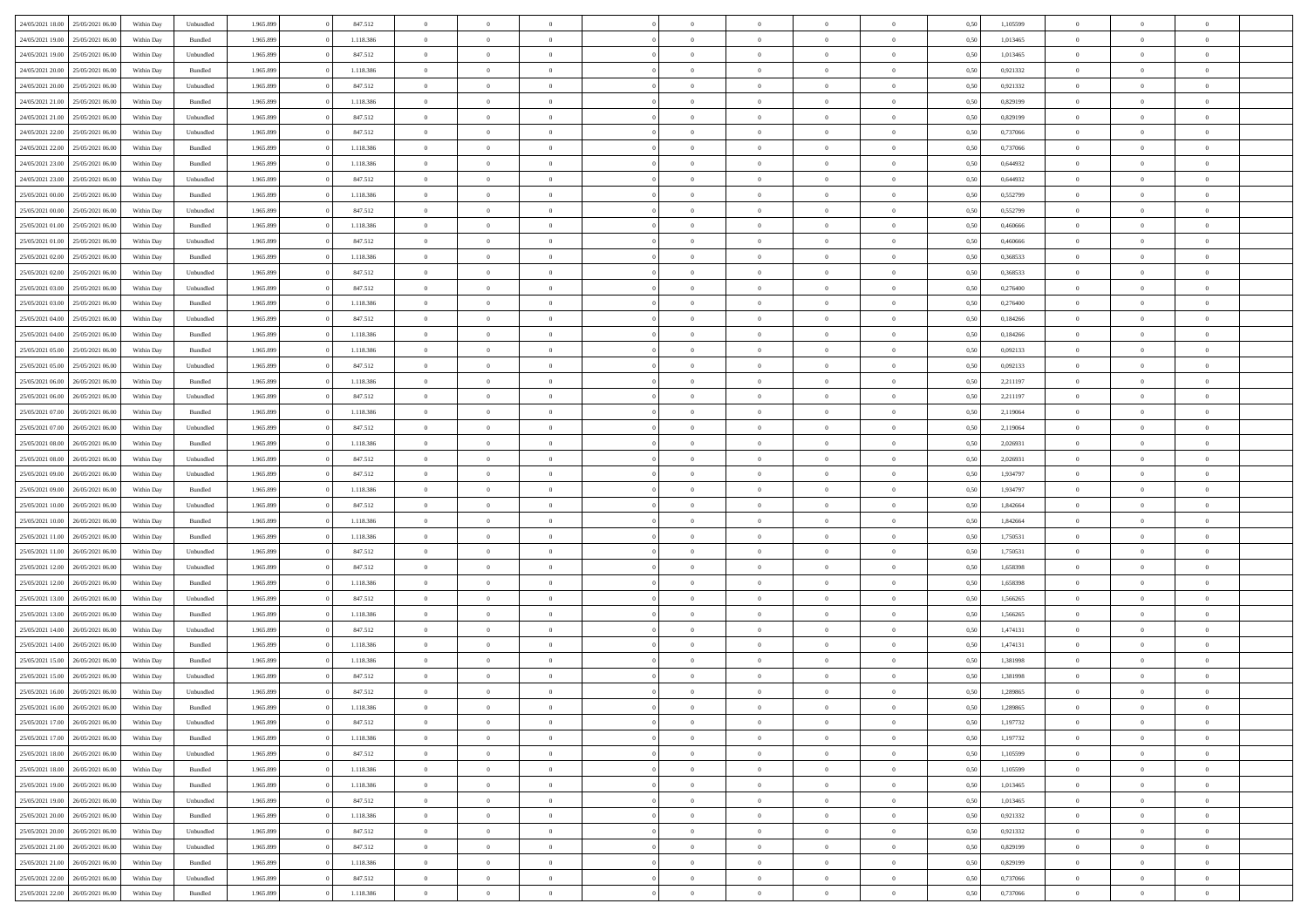| 24/05/2021 18:00 | 25/05/2021 06:00 | Within Dav | Unbundled          | 1.965.899 | 847.512   | $\overline{0}$ | $\Omega$       |                | $\Omega$       | $\Omega$       | $\Omega$       | $\theta$       | 0,50 | 1,105599 | $\theta$       | $\theta$       | $\theta$       |  |
|------------------|------------------|------------|--------------------|-----------|-----------|----------------|----------------|----------------|----------------|----------------|----------------|----------------|------|----------|----------------|----------------|----------------|--|
| 24/05/2021 19:00 | 25/05/2021 06:00 | Within Day | Bundled            | 1.965.899 | 1.118.386 | $\overline{0}$ | $\theta$       | $\overline{0}$ | $\overline{0}$ | $\bf{0}$       | $\overline{0}$ | $\bf{0}$       | 0,50 | 1,013465 | $\theta$       | $\theta$       | $\overline{0}$ |  |
| 24/05/2021 19:00 | 25/05/2021 06:00 | Within Day | Unbundled          | 1.965.899 | 847.512   | $\overline{0}$ | $\bf{0}$       | $\overline{0}$ | $\bf{0}$       | $\bf{0}$       | $\bf{0}$       | $\mathbf{0}$   | 0,50 | 1,013465 | $\overline{0}$ | $\overline{0}$ | $\overline{0}$ |  |
|                  |                  |            |                    |           |           |                |                |                |                |                |                |                |      |          | $\theta$       |                |                |  |
| 24/05/2021 20:00 | 25/05/2021 06:00 | Within Dav | Bundled            | 1.965.899 | 1.118.386 | $\overline{0}$ | $\overline{0}$ | $\overline{0}$ | $\overline{0}$ | $\bf{0}$       | $\overline{0}$ | $\overline{0}$ | 0.50 | 0.921332 |                | $\theta$       | $\overline{0}$ |  |
| 24/05/2021 20:00 | 25/05/2021 06:00 | Within Day | Unbundled          | 1.965.899 | 847.512   | $\overline{0}$ | $\theta$       | $\overline{0}$ | $\overline{0}$ | $\bf{0}$       | $\overline{0}$ | $\bf{0}$       | 0,50 | 0,921332 | $\theta$       | $\overline{0}$ | $\overline{0}$ |  |
| 24/05/2021 21:00 | 25/05/2021 06:00 | Within Day | Bundled            | 1.965.899 | 1.118.386 | $\overline{0}$ | $\overline{0}$ | $\overline{0}$ | $\bf{0}$       | $\overline{0}$ | $\overline{0}$ | $\mathbf{0}$   | 0,50 | 0,829199 | $\overline{0}$ | $\overline{0}$ | $\bf{0}$       |  |
| 24/05/2021 21:00 | 25/05/2021 06:00 | Within Dav | Unbundled          | 1.965.899 | 847.512   | $\overline{0}$ | $\overline{0}$ | $\overline{0}$ | $\overline{0}$ | $\overline{0}$ | $\overline{0}$ | $\overline{0}$ | 0.50 | 0.829199 | $\theta$       | $\overline{0}$ | $\overline{0}$ |  |
|                  |                  |            |                    |           |           |                |                |                |                |                |                |                |      |          |                |                |                |  |
| 24/05/2021 22:00 | 25/05/2021 06:00 | Within Day | Unbundled          | 1.965.899 | 847.512   | $\overline{0}$ | $\theta$       | $\overline{0}$ | $\overline{0}$ | $\bf{0}$       | $\overline{0}$ | $\bf{0}$       | 0,50 | 0,737066 | $\theta$       | $\theta$       | $\overline{0}$ |  |
| 24/05/2021 22:00 | 25/05/2021 06:00 | Within Day | Bundled            | 1.965.899 | 1.118.386 | $\overline{0}$ | $\overline{0}$ | $\overline{0}$ | $\bf{0}$       | $\bf{0}$       | $\bf{0}$       | $\mathbf{0}$   | 0,50 | 0,737066 | $\,0\,$        | $\overline{0}$ | $\overline{0}$ |  |
| 24/05/2021 23:00 | 25/05/2021 06:00 | Within Dav | Bundled            | 1.965.899 | 1.118.386 | $\overline{0}$ | $\overline{0}$ | $\overline{0}$ | $\overline{0}$ | $\overline{0}$ | $\overline{0}$ | $\overline{0}$ | 0.50 | 0,644932 | $\theta$       | $\overline{0}$ | $\overline{0}$ |  |
| 24/05/2021 23:00 | 25/05/2021 06:00 |            |                    | 1.965.899 | 847.512   | $\overline{0}$ | $\theta$       | $\overline{0}$ | $\overline{0}$ | $\bf{0}$       | $\overline{0}$ |                |      | 0,644932 | $\,$ 0 $\,$    | $\overline{0}$ | $\overline{0}$ |  |
|                  |                  | Within Day | Unbundled          |           |           |                |                |                |                |                |                | $\bf{0}$       | 0,50 |          |                |                |                |  |
| 25/05/2021 00:00 | 25/05/2021 06:00 | Within Day | Bundled            | 1.965.899 | 1.118.386 | $\overline{0}$ | $\overline{0}$ | $\overline{0}$ | $\bf{0}$       | $\bf{0}$       | $\bf{0}$       | $\mathbf{0}$   | 0,50 | 0,552799 | $\overline{0}$ | $\overline{0}$ | $\overline{0}$ |  |
| 25/05/2021 00:00 | 25/05/2021 06:00 | Within Day | Unbundled          | 1.965.899 | 847.512   | $\overline{0}$ | $\overline{0}$ | $\overline{0}$ | $\overline{0}$ | $\bf{0}$       | $\overline{0}$ | $\overline{0}$ | 0.50 | 0,552799 | $\theta$       | $\theta$       | $\overline{0}$ |  |
| 25/05/2021 01:00 | 25/05/2021 06:00 | Within Day | Bundled            | 1.965.899 | 1.118.386 | $\overline{0}$ | $\theta$       | $\overline{0}$ | $\overline{0}$ | $\bf{0}$       | $\overline{0}$ | $\bf{0}$       | 0,50 | 0,460666 | $\theta$       | $\overline{0}$ | $\overline{0}$ |  |
|                  |                  |            |                    |           |           |                |                |                |                |                |                |                |      |          |                |                |                |  |
| 25/05/2021 01:00 | 25/05/2021 06:00 | Within Day | Unbundled          | 1.965.899 | 847.512   | $\overline{0}$ | $\overline{0}$ | $\overline{0}$ | $\bf{0}$       | $\overline{0}$ | $\overline{0}$ | $\mathbf{0}$   | 0,50 | 0,460666 | $\overline{0}$ | $\overline{0}$ | $\bf{0}$       |  |
| 25/05/2021 02:00 | 25/05/2021 06:00 | Within Dav | Bundled            | 1.965.899 | 1.118.386 | $\overline{0}$ | $\overline{0}$ | $\overline{0}$ | $\overline{0}$ | $\overline{0}$ | $\overline{0}$ | $\overline{0}$ | 0.50 | 0,368533 | $\theta$       | $\overline{0}$ | $\overline{0}$ |  |
| 25/05/2021 02:00 | 25/05/2021 06:00 | Within Day | Unbundled          | 1.965.899 | 847.512   | $\overline{0}$ | $\theta$       | $\overline{0}$ | $\overline{0}$ | $\bf{0}$       | $\overline{0}$ | $\bf{0}$       | 0,50 | 0,368533 | $\theta$       | $\theta$       | $\overline{0}$ |  |
| 25/05/2021 03:00 | 25/05/2021 06:00 | Within Day | Unbundled          | 1.965.899 | 847.512   | $\overline{0}$ | $\overline{0}$ | $\overline{0}$ | $\overline{0}$ | $\bf{0}$       | $\overline{0}$ | $\mathbf{0}$   | 0,50 | 0,276400 | $\bf{0}$       | $\overline{0}$ | $\overline{0}$ |  |
|                  |                  |            |                    |           |           |                |                |                |                |                |                |                |      |          |                |                |                |  |
| 25/05/2021 03:00 | 25/05/2021 06:00 | Within Day | Bundled            | 1.965.899 | 1.118.386 | $\overline{0}$ | $\overline{0}$ | $\overline{0}$ | $\overline{0}$ | $\overline{0}$ | $\overline{0}$ | $\overline{0}$ | 0.50 | 0,276400 | $\theta$       | $\overline{0}$ | $\overline{0}$ |  |
| 25/05/2021 04:00 | 25/05/2021 06:00 | Within Day | Unbundled          | 1.965.899 | 847.512   | $\overline{0}$ | $\theta$       | $\overline{0}$ | $\overline{0}$ | $\bf{0}$       | $\overline{0}$ | $\bf{0}$       | 0,50 | 0,184266 | $\,$ 0 $\,$    | $\theta$       | $\overline{0}$ |  |
| 25/05/2021 04:00 | 25/05/2021 06:00 | Within Day | Bundled            | 1.965.899 | 1.118.386 | $\overline{0}$ | $\overline{0}$ | $\overline{0}$ | $\overline{0}$ | $\bf{0}$       | $\overline{0}$ | $\mathbf{0}$   | 0,50 | 0,184266 | $\bf{0}$       | $\overline{0}$ | $\overline{0}$ |  |
| 25/05/2021 05:00 | 25/05/2021 06:00 | Within Day | Bundled            | 1.965.899 | 1.118.386 | $\overline{0}$ | $\overline{0}$ | $\overline{0}$ | $\overline{0}$ | $\overline{0}$ | $\overline{0}$ | $\overline{0}$ | 0.50 | 0,092133 | $\theta$       | $\overline{0}$ | $\overline{0}$ |  |
|                  |                  |            |                    |           |           |                |                |                |                |                |                |                |      |          |                |                |                |  |
| 25/05/2021 05:00 | 25/05/2021 06:00 | Within Day | Unbundled          | 1.965.899 | 847.512   | $\overline{0}$ | $\theta$       | $\overline{0}$ | $\overline{0}$ | $\bf{0}$       | $\overline{0}$ | $\bf{0}$       | 0,50 | 0,092133 | $\,$ 0 $\,$    | $\overline{0}$ | $\overline{0}$ |  |
| 25/05/2021 06:00 | 26/05/2021 06:00 | Within Day | Bundled            | 1.965.899 | 1.118.386 | $\overline{0}$ | $\overline{0}$ | $\overline{0}$ | $\overline{0}$ | $\overline{0}$ | $\overline{0}$ | $\mathbf{0}$   | 0,50 | 2,211197 | $\bf{0}$       | $\overline{0}$ | $\bf{0}$       |  |
| 25/05/2021 06:00 | 26/05/2021 06:00 | Within Dav | Unbundled          | 1.965.899 | 847.512   | $\overline{0}$ | $\overline{0}$ | $\overline{0}$ | $\overline{0}$ | $\overline{0}$ | $\overline{0}$ | $\overline{0}$ | 0.50 | 2,211197 | $\overline{0}$ | $\overline{0}$ | $\overline{0}$ |  |
| 25/05/2021 07:00 | 26/05/2021 06:00 | Within Day | Bundled            | 1.965.899 | 1.118.386 | $\overline{0}$ | $\theta$       | $\overline{0}$ | $\overline{0}$ | $\bf{0}$       | $\overline{0}$ | $\bf{0}$       | 0,50 | 2,119064 | $\theta$       | $\theta$       | $\overline{0}$ |  |
|                  |                  |            |                    |           |           |                |                |                |                |                |                |                |      |          |                |                |                |  |
| 25/05/2021 07:00 | 26/05/2021 06:00 | Within Day | Unbundled          | 1.965.899 | 847.512   | $\overline{0}$ | $\overline{0}$ | $\overline{0}$ | $\overline{0}$ | $\bf{0}$       | $\overline{0}$ | $\mathbf{0}$   | 0,50 | 2,119064 | $\,0\,$        | $\overline{0}$ | $\overline{0}$ |  |
| 25/05/2021 08:00 | 26/05/2021 06:00 | Within Day | Bundled            | 1.965.899 | 1.118.386 | $\overline{0}$ | $\overline{0}$ | $\overline{0}$ | $\overline{0}$ | $\overline{0}$ | $\overline{0}$ | $\overline{0}$ | 0.50 | 2.026931 | $\theta$       | $\overline{0}$ | $\overline{0}$ |  |
| 25/05/2021 08:00 | 26/05/2021 06:00 | Within Day | Unbundled          | 1.965.899 | 847.512   | $\overline{0}$ | $\theta$       | $\overline{0}$ | $\overline{0}$ | $\bf{0}$       | $\overline{0}$ | $\bf{0}$       | 0,50 | 2,026931 | $\,$ 0 $\,$    | $\overline{0}$ | $\overline{0}$ |  |
| 25/05/2021 09:00 | 26/05/2021 06:00 | Within Day | Unbundled          | 1.965.899 | 847.512   | $\overline{0}$ | $\overline{0}$ | $\overline{0}$ | $\overline{0}$ | $\bf{0}$       | $\overline{0}$ | $\mathbf{0}$   | 0,50 | 1,934797 | $\bf{0}$       | $\overline{0}$ | $\overline{0}$ |  |
|                  |                  |            |                    |           |           |                |                |                |                |                |                |                |      |          |                |                |                |  |
| 25/05/2021 09:00 | 26/05/2021 06:00 | Within Day | Bundled            | 1.965.899 | 1.118.386 | $\overline{0}$ | $\Omega$       | $\overline{0}$ | $\Omega$       | $\Omega$       | $\overline{0}$ | $\overline{0}$ | 0,50 | 1,934797 | $\,0\,$        | $\theta$       | $\theta$       |  |
| 25/05/2021 10:00 | 26/05/2021 06:00 | Within Day | Unbundled          | 1.965.899 | 847.512   | $\overline{0}$ | $\theta$       | $\overline{0}$ | $\overline{0}$ | $\bf{0}$       | $\overline{0}$ | $\bf{0}$       | 0,50 | 1,842664 | $\theta$       | $\theta$       | $\overline{0}$ |  |
| 25/05/2021 10:00 | 26/05/2021 06:00 | Within Day | Bundled            | 1.965.899 | 1.118.386 | $\overline{0}$ | $\overline{0}$ | $\overline{0}$ | $\overline{0}$ | $\bf{0}$       | $\overline{0}$ | $\mathbf{0}$   | 0,50 | 1,842664 | $\bf{0}$       | $\overline{0}$ | $\bf{0}$       |  |
| 25/05/2021 11:00 | 26/05/2021 06:00 | Within Day | Bundled            | 1.965.899 | 1.118.386 | $\overline{0}$ | $\Omega$       | $\Omega$       | $\Omega$       | $\overline{0}$ | $\overline{0}$ | $\overline{0}$ | 0.50 | 1,750531 | $\,0\,$        | $\theta$       | $\theta$       |  |
|                  |                  |            |                    |           |           |                |                |                |                |                |                |                |      |          |                |                |                |  |
| 25/05/2021 11:00 | 26/05/2021 06:00 | Within Day | Unbundled          | 1.965.899 | 847.512   | $\overline{0}$ | $\theta$       | $\overline{0}$ | $\overline{0}$ | $\bf{0}$       | $\overline{0}$ | $\bf{0}$       | 0,50 | 1,750531 | $\,$ 0 $\,$    | $\theta$       | $\overline{0}$ |  |
| 25/05/2021 12:00 | 26/05/2021 06:00 | Within Day | Unbundled          | 1.965.899 | 847.512   | $\overline{0}$ | $\overline{0}$ | $\overline{0}$ | $\bf{0}$       | $\bf{0}$       | $\bf{0}$       | $\mathbf{0}$   | 0,50 | 1,658398 | $\bf{0}$       | $\overline{0}$ | $\overline{0}$ |  |
| 25/05/2021 12:00 | 26/05/2021 06:00 | Within Day | Bundled            | 1.965.899 | 1.118.386 | $\overline{0}$ | $\Omega$       | $\overline{0}$ | $\Omega$       | $\overline{0}$ | $\overline{0}$ | $\overline{0}$ | 0.50 | 1,658398 | $\,0\,$        | $\theta$       | $\theta$       |  |
| 25/05/2021 13:00 | 26/05/2021 06:00 | Within Day | Unbundled          | 1.965.899 | 847.512   | $\overline{0}$ | $\theta$       | $\overline{0}$ | $\overline{0}$ | $\,$ 0         | $\overline{0}$ | $\bf{0}$       | 0,50 | 1,566265 | $\,$ 0 $\,$    | $\overline{0}$ | $\overline{0}$ |  |
|                  |                  |            |                    |           |           |                |                |                |                |                |                |                |      |          |                |                |                |  |
| 25/05/2021 13:00 | 26/05/2021 06:00 | Within Day | Bundled            | 1.965.899 | 1.118.386 | $\overline{0}$ | $\overline{0}$ | $\overline{0}$ | $\bf{0}$       | $\bf{0}$       | $\bf{0}$       | $\mathbf{0}$   | 0,50 | 1,566265 | $\overline{0}$ | $\overline{0}$ | $\overline{0}$ |  |
| 25/05/2021 14:00 | 26/05/2021 06:00 | Within Day | Unbundled          | 1.965.899 | 847.512   | $\overline{0}$ | $\Omega$       | $\overline{0}$ | $\Omega$       | $\overline{0}$ | $\overline{0}$ | $\overline{0}$ | 0,50 | 1,474131 | $\,0\,$        | $\theta$       | $\theta$       |  |
| 25/05/2021 14:00 | 26/05/2021 06:00 | Within Day | Bundled            | 1.965.899 | 1.118.386 | $\overline{0}$ | $\theta$       | $\overline{0}$ | $\overline{0}$ | $\,$ 0         | $\overline{0}$ | $\bf{0}$       | 0,50 | 1,474131 | $\,$ 0 $\,$    | $\overline{0}$ | $\overline{0}$ |  |
| 25/05/2021 15:00 | 26/05/2021 06:00 | Within Day | Bundled            | 1.965.899 | 1.118.386 | $\overline{0}$ | $\bf{0}$       | $\overline{0}$ | $\bf{0}$       | $\bf{0}$       | $\bf{0}$       | $\mathbf{0}$   | 0,50 | 1,381998 | $\overline{0}$ | $\overline{0}$ | $\bf{0}$       |  |
|                  |                  |            |                    |           |           |                |                |                |                |                |                |                |      |          |                |                |                |  |
| 25/05/2021 15:00 | 26/05/2021 06:00 | Within Day | Unbundled          | 1.965.899 | 847.512   | $\overline{0}$ | $\Omega$       | $\Omega$       | $\Omega$       | $\Omega$       | $\Omega$       | $\overline{0}$ | 0.50 | 1,381998 | $\theta$       | $\theta$       | $\theta$       |  |
| 25/05/2021 16:00 | 26/05/2021 06:00 | Within Day | Unbundled          | 1.965.899 | 847.512   | $\overline{0}$ | $\,$ 0 $\,$    | $\overline{0}$ | $\bf{0}$       | $\,$ 0         | $\bf{0}$       | $\bf{0}$       | 0,50 | 1,289865 | $\,0\,$        | $\overline{0}$ | $\overline{0}$ |  |
| 25/05/2021 16:00 | 26/05/2021 06:00 | Within Day | $\mathbf B$ undled | 1.965.899 | 1.118.386 | $\bf{0}$       | $\bf{0}$       |                |                | $\bf{0}$       |                |                | 0,50 | 1,289865 | $\bf{0}$       | $\overline{0}$ |                |  |
| 25/05/2021 17:00 | 26/05/2021 06:00 | Within Day | Unbundled          | 1.965.899 | 847.512   | $\overline{0}$ | $\overline{0}$ | $\overline{0}$ | $\Omega$       | $\overline{0}$ | $\overline{0}$ | $\overline{0}$ | 0,50 | 1,197732 | $\theta$       | $\theta$       | $\theta$       |  |
|                  |                  |            |                    |           |           |                |                |                |                |                |                |                |      |          |                |                |                |  |
| 25/05/2021 17:00 | 26/05/2021 06:00 | Within Day | Bundled            | 1.965.899 | 1.118.386 | $\overline{0}$ | $\bf{0}$       | $\overline{0}$ | $\bf{0}$       | $\,$ 0 $\,$    | $\overline{0}$ | $\,$ 0 $\,$    | 0,50 | 1,197732 | $\,$ 0 $\,$    | $\,$ 0 $\,$    | $\,$ 0         |  |
| 25/05/2021 18:00 | 26/05/2021 06:00 | Within Day | Unbundled          | 1.965.899 | 847.512   | $\overline{0}$ | $\overline{0}$ | $\overline{0}$ | $\overline{0}$ | $\overline{0}$ | $\overline{0}$ | $\mathbf{0}$   | 0,50 | 1,105599 | $\overline{0}$ | $\bf{0}$       | $\overline{0}$ |  |
| 25/05/2021 18:00 | 26/05/2021 06:00 | Within Day | Bundled            | 1.965.899 | 1.118.386 | $\overline{0}$ | $\overline{0}$ | $\overline{0}$ | $\Omega$       | $\overline{0}$ | $\overline{0}$ | $\overline{0}$ | 0,50 | 1,105599 | $\overline{0}$ | $\overline{0}$ | $\overline{0}$ |  |
| 25/05/2021 19:00 | 26/05/2021 06:00 | Within Day | Bundled            | 1.965.899 | 1.118.386 | $\overline{0}$ | $\,$ 0         | $\overline{0}$ | $\overline{0}$ | $\,$ 0 $\,$    | $\overline{0}$ | $\mathbf{0}$   | 0,50 | 1,013465 | $\,$ 0 $\,$    | $\overline{0}$ | $\overline{0}$ |  |
|                  |                  |            |                    |           |           |                |                |                |                |                |                |                |      |          |                |                |                |  |
| 25/05/2021 19:00 | 26/05/2021 06:00 | Within Day | Unbundled          | 1.965.899 | 847.512   | $\overline{0}$ | $\overline{0}$ | $\overline{0}$ | $\overline{0}$ | $\overline{0}$ | $\overline{0}$ | $\mathbf{0}$   | 0,50 | 1,013465 | $\overline{0}$ | $\overline{0}$ | $\bf{0}$       |  |
| 25/05/2021 20:00 | 26/05/2021 06:00 | Within Day | Bundled            | 1.965.899 | 1.118.386 | $\overline{0}$ | $\overline{0}$ | $\overline{0}$ | $\overline{0}$ | $\overline{0}$ | $\overline{0}$ | $\bf{0}$       | 0.50 | 0,921332 | $\overline{0}$ | $\theta$       | $\overline{0}$ |  |
| 25/05/2021 20:00 | 26/05/2021 06:00 | Within Day | Unbundled          | 1.965.899 | 847.512   | $\overline{0}$ | $\,$ 0         | $\overline{0}$ | $\bf{0}$       | $\bf{0}$       | $\bf{0}$       | $\bf{0}$       | 0,50 | 0,921332 | $\,$ 0 $\,$    | $\overline{0}$ | $\overline{0}$ |  |
| 25/05/2021 21.00 | 26/05/2021 06:00 | Within Day | Unbundled          | 1.965.899 | 847.512   | $\overline{0}$ | $\bf{0}$       | $\overline{0}$ | $\overline{0}$ | $\overline{0}$ | $\overline{0}$ | $\mathbf{0}$   | 0,50 | 0,829199 | $\overline{0}$ | $\overline{0}$ | $\bf{0}$       |  |
|                  |                  |            |                    |           |           |                |                |                |                |                |                |                |      |          |                |                |                |  |
| 25/05/2021 21:00 | 26/05/2021 06:00 | Within Day | Bundled            | 1.965.899 | 1.118.386 | $\overline{0}$ | $\overline{0}$ | $\overline{0}$ | $\Omega$       | $\overline{0}$ | $\overline{0}$ | $\overline{0}$ | 0.50 | 0,829199 | $\overline{0}$ | $\overline{0}$ | $\overline{0}$ |  |
| 25/05/2021 22.00 | 26/05/2021 06:00 | Within Day | Unbundled          | 1.965.899 | 847.512   | $\overline{0}$ | $\bf{0}$       | $\overline{0}$ | $\bf{0}$       | $\bf{0}$       | $\overline{0}$ | $\mathbf{0}$   | 0,50 | 0,737066 | $\,$ 0 $\,$    | $\,$ 0 $\,$    | $\bf{0}$       |  |
| 25/05/2021 22:00 | 26/05/2021 06:00 | Within Day | Bundled            | 1.965.899 | 1.118.386 | $\overline{0}$ | $\overline{0}$ | $\overline{0}$ | $\overline{0}$ | $\overline{0}$ | $\overline{0}$ | $\mathbf{0}$   | 0,50 | 0,737066 | $\overline{0}$ | $\bf{0}$       | $\overline{0}$ |  |
|                  |                  |            |                    |           |           |                |                |                |                |                |                |                |      |          |                |                |                |  |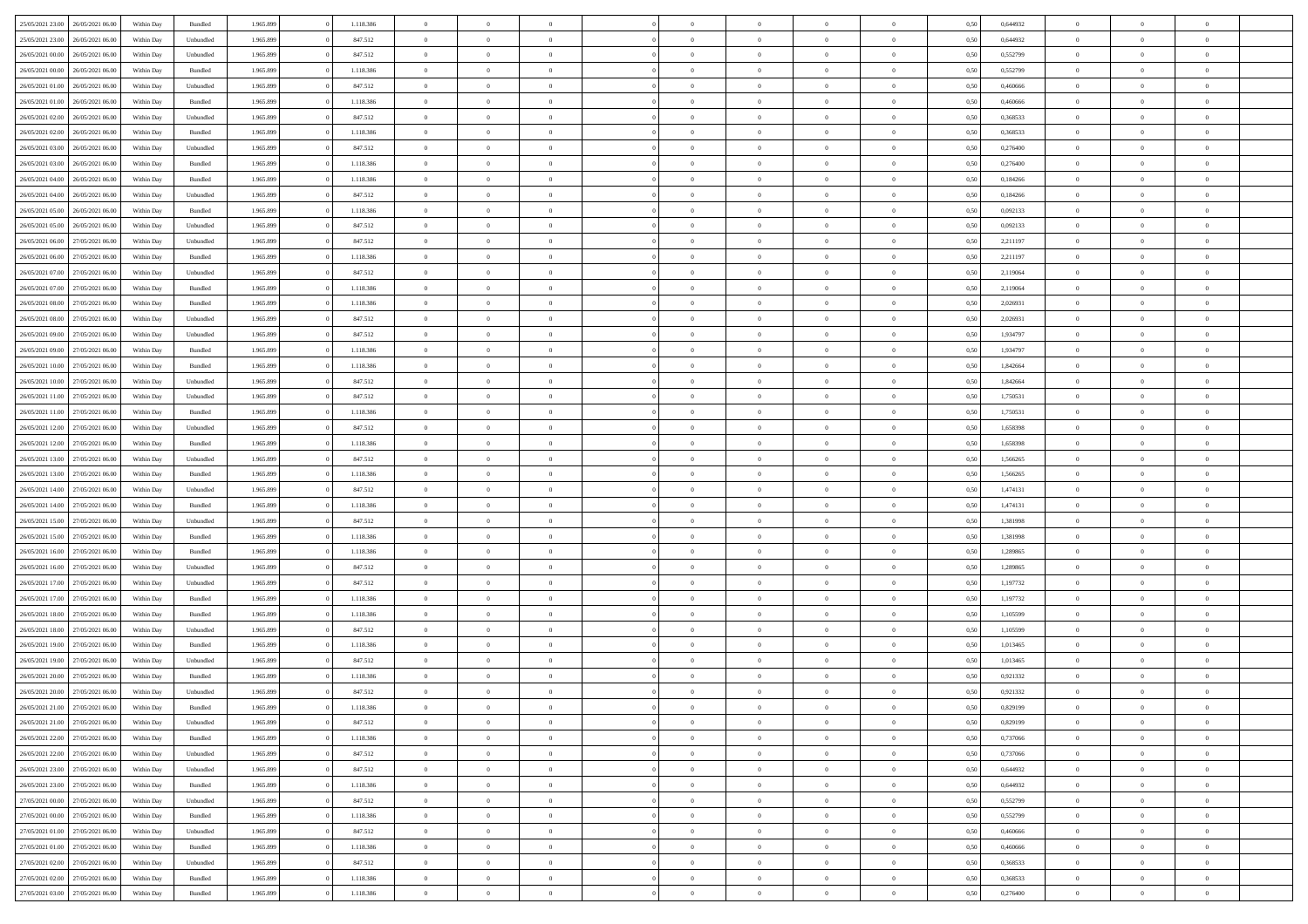| 25/05/2021 23:00                  | 26/05/2021 06:00 | Within Day | Bundled            | 1.965.899 | 1.118.386 | $\overline{0}$ | $\Omega$       |                | $\Omega$       | $\Omega$       | $\theta$       | $\theta$       | 0,50 | 0,644932 | $\theta$       | $\theta$       | $\theta$       |  |
|-----------------------------------|------------------|------------|--------------------|-----------|-----------|----------------|----------------|----------------|----------------|----------------|----------------|----------------|------|----------|----------------|----------------|----------------|--|
|                                   |                  |            |                    |           |           |                |                |                |                |                |                |                |      |          |                |                |                |  |
| 25/05/2021 23:00                  | 26/05/2021 06:00 | Within Day | Unbundled          | 1.965.899 | 847.512   | $\overline{0}$ | $\theta$       | $\overline{0}$ | $\overline{0}$ | $\bf{0}$       | $\overline{0}$ | $\bf{0}$       | 0,50 | 0,644932 | $\theta$       | $\overline{0}$ | $\overline{0}$ |  |
| 26/05/2021 00:00                  | 26/05/2021 06:00 | Within Day | Unbundled          | 1.965.899 | 847.512   | $\overline{0}$ | $\bf{0}$       | $\overline{0}$ | $\overline{0}$ | $\bf{0}$       | $\overline{0}$ | $\mathbf{0}$   | 0,50 | 0,552799 | $\bf{0}$       | $\overline{0}$ | $\overline{0}$ |  |
| 26/05/2021 00:00                  | 26/05/2021 06:00 | Within Dav | Bundled            | 1.965.899 | 1.118.386 | $\overline{0}$ | $\overline{0}$ | $\overline{0}$ | $\overline{0}$ | $\bf{0}$       | $\overline{0}$ | $\overline{0}$ | 0.50 | 0,552799 | $\theta$       | $\theta$       | $\overline{0}$ |  |
| 26/05/2021 01:00                  | 26/05/2021 06:00 | Within Day | Unbundled          | 1.965.899 | 847.512   | $\overline{0}$ | $\theta$       | $\overline{0}$ | $\overline{0}$ | $\bf{0}$       | $\overline{0}$ | $\bf{0}$       | 0,50 | 0,460666 | $\,$ 0 $\,$    | $\overline{0}$ | $\overline{0}$ |  |
| 26/05/2021 01:00                  | 26/05/2021 06:00 | Within Day | Bundled            | 1.965.899 | 1.118.386 | $\overline{0}$ | $\overline{0}$ | $\overline{0}$ | $\overline{0}$ | $\overline{0}$ | $\overline{0}$ | $\mathbf{0}$   | 0,50 | 0,460666 | $\bf{0}$       | $\overline{0}$ | $\bf{0}$       |  |
|                                   |                  |            |                    |           |           |                | $\overline{0}$ |                |                | $\overline{0}$ |                |                |      |          | $\theta$       | $\overline{0}$ | $\overline{0}$ |  |
| 26/05/2021 02:00                  | 26/05/2021 06:00 | Within Dav | Unbundled          | 1.965.899 | 847.512   | $\overline{0}$ |                | $\overline{0}$ | $\overline{0}$ |                | $\overline{0}$ | $\overline{0}$ | 0.50 | 0,368533 |                |                |                |  |
| 26/05/2021 02:00                  | 26/05/2021 06:00 | Within Day | Bundled            | 1.965.899 | 1.118.386 | $\overline{0}$ | $\theta$       | $\overline{0}$ | $\overline{0}$ | $\bf{0}$       | $\overline{0}$ | $\bf{0}$       | 0,50 | 0,368533 | $\theta$       | $\theta$       | $\overline{0}$ |  |
| 26/05/2021 03:00                  | 26/05/2021 06:00 | Within Day | Unbundled          | 1.965.899 | 847.512   | $\overline{0}$ | $\overline{0}$ | $\overline{0}$ | $\overline{0}$ | $\bf{0}$       | $\overline{0}$ | $\mathbf{0}$   | 0,50 | 0,276400 | $\,0\,$        | $\overline{0}$ | $\overline{0}$ |  |
| 26/05/2021 03:00                  | 26/05/2021 06:00 | Within Dav | Bundled            | 1.965.899 | 1.118.386 | $\overline{0}$ | $\overline{0}$ | $\overline{0}$ | $\overline{0}$ | $\overline{0}$ | $\overline{0}$ | $\overline{0}$ | 0.50 | 0,276400 | $\theta$       | $\overline{0}$ | $\overline{0}$ |  |
| 26/05/2021 04:00                  | 26/05/2021 06:00 | Within Day | Bundled            | 1.965.899 | 1.118.386 | $\overline{0}$ | $\theta$       | $\overline{0}$ | $\overline{0}$ | $\bf{0}$       | $\overline{0}$ | $\bf{0}$       | 0,50 | 0,184266 | $\,$ 0 $\,$    | $\overline{0}$ | $\overline{0}$ |  |
| 26/05/2021 04:00                  | 26/05/2021 06:00 | Within Day | Unbundled          | 1.965.899 | 847.512   | $\overline{0}$ | $\overline{0}$ | $\overline{0}$ | $\overline{0}$ | $\bf{0}$       | $\overline{0}$ | $\mathbf{0}$   | 0,50 | 0,184266 | $\bf{0}$       | $\overline{0}$ | $\bf{0}$       |  |
| 26/05/2021 05:00                  | 26/05/2021 06:00 | Within Day | Bundled            | 1.965.899 | 1.118.386 | $\overline{0}$ | $\overline{0}$ | $\overline{0}$ | $\overline{0}$ | $\bf{0}$       | $\overline{0}$ | $\overline{0}$ | 0.50 | 0,092133 | $\theta$       | $\theta$       | $\overline{0}$ |  |
|                                   |                  |            |                    |           |           | $\overline{0}$ | $\theta$       | $\overline{0}$ | $\overline{0}$ | $\bf{0}$       | $\overline{0}$ |                |      |          | $\theta$       | $\overline{0}$ | $\overline{0}$ |  |
| 26/05/2021 05:00                  | 26/05/2021 06:00 | Within Day | Unbundled          | 1.965.899 | 847.512   |                |                |                |                |                |                | $\bf{0}$       | 0,50 | 0,092133 |                |                |                |  |
| 26/05/2021 06:00                  | 27/05/2021 06:00 | Within Day | Unbundled          | 1.965.899 | 847.512   | $\overline{0}$ | $\overline{0}$ | $\overline{0}$ | $\overline{0}$ | $\overline{0}$ | $\overline{0}$ | $\mathbf{0}$   | 0,50 | 2,211197 | $\bf{0}$       | $\overline{0}$ | $\bf{0}$       |  |
| 26/05/2021 06:00                  | 27/05/2021 06:00 | Within Dav | Bundled            | 1.965.899 | 1.118.386 | $\overline{0}$ | $\overline{0}$ | $\overline{0}$ | $\overline{0}$ | $\overline{0}$ | $\overline{0}$ | $\overline{0}$ | 0.50 | 2,211197 | $\overline{0}$ | $\overline{0}$ | $\overline{0}$ |  |
| 26/05/2021 07:00                  | 27/05/2021 06:00 | Within Day | Unbundled          | 1.965.899 | 847.512   | $\overline{0}$ | $\theta$       | $\overline{0}$ | $\overline{0}$ | $\bf{0}$       | $\overline{0}$ | $\bf{0}$       | 0,50 | 2,119064 | $\,$ 0 $\,$    | $\overline{0}$ | $\overline{0}$ |  |
| 26/05/2021 07:00                  | 27/05/2021 06:00 | Within Day | Bundled            | 1.965.899 | 1.118.386 | $\overline{0}$ | $\overline{0}$ | $\overline{0}$ | $\overline{0}$ | $\bf{0}$       | $\bf{0}$       | $\mathbf{0}$   | 0,50 | 2,119064 | $\bf{0}$       | $\overline{0}$ | $\bf{0}$       |  |
| 26/05/2021 08:00                  | 27/05/2021 06:00 | Within Day | Bundled            | 1.965.899 | 1.118.386 | $\overline{0}$ | $\overline{0}$ | $\overline{0}$ | $\overline{0}$ | $\overline{0}$ | $\overline{0}$ | $\overline{0}$ | 0.50 | 2,026931 | $\theta$       | $\overline{0}$ | $\overline{0}$ |  |
| 26/05/2021 08:00                  | 27/05/2021 06:00 | Within Day | Unbundled          | 1.965.899 | 847.512   | $\overline{0}$ | $\theta$       | $\overline{0}$ | $\overline{0}$ | $\bf{0}$       | $\overline{0}$ | $\bf{0}$       | 0,50 | 2,026931 | $\,$ 0 $\,$    | $\overline{0}$ | $\overline{0}$ |  |
|                                   |                  |            |                    |           |           |                |                |                |                |                |                |                |      |          |                |                |                |  |
| 26/05/2021 09:00                  | 27/05/2021 06:00 | Within Day | Unbundled          | 1.965.899 | 847.512   | $\overline{0}$ | $\overline{0}$ | $\overline{0}$ | $\bf{0}$       | $\bf{0}$       | $\bf{0}$       | $\mathbf{0}$   | 0,50 | 1,934797 | $\overline{0}$ | $\overline{0}$ | $\bf{0}$       |  |
| 26/05/2021 09:00                  | 27/05/2021 06:00 | Within Day | Bundled            | 1.965.899 | 1.118.386 | $\overline{0}$ | $\overline{0}$ | $\overline{0}$ | $\overline{0}$ | $\overline{0}$ | $\overline{0}$ | $\overline{0}$ | 0.50 | 1,934797 | $\theta$       | $\overline{0}$ | $\overline{0}$ |  |
| 26/05/2021 10:00                  | 27/05/2021 06:00 | Within Day | Bundled            | 1.965.899 | 1.118.386 | $\overline{0}$ | $\theta$       | $\overline{0}$ | $\overline{0}$ | $\bf{0}$       | $\overline{0}$ | $\,$ 0 $\,$    | 0,50 | 1,842664 | $\,$ 0 $\,$    | $\overline{0}$ | $\overline{0}$ |  |
| 26/05/2021 10:00                  | 27/05/2021 06:00 | Within Day | Unbundled          | 1.965.899 | 847.512   | $\overline{0}$ | $\overline{0}$ | $\overline{0}$ | $\bf{0}$       | $\overline{0}$ | $\overline{0}$ | $\mathbf{0}$   | 0,50 | 1,842664 | $\overline{0}$ | $\overline{0}$ | $\bf{0}$       |  |
| 26/05/2021 11:00                  | 27/05/2021 06:00 | Within Dav | Unbundled          | 1.965.899 | 847.512   | $\overline{0}$ | $\overline{0}$ | $\overline{0}$ | $\overline{0}$ | $\overline{0}$ | $\overline{0}$ | $\overline{0}$ | 0.50 | 1,750531 | $\theta$       | $\overline{0}$ | $\overline{0}$ |  |
| 26/05/2021 11:00                  | 27/05/2021 06:00 | Within Day | Bundled            | 1.965.899 | 1.118.386 | $\overline{0}$ | $\theta$       | $\overline{0}$ | $\overline{0}$ | $\bf{0}$       | $\overline{0}$ | $\bf{0}$       | 0,50 | 1,750531 | $\theta$       | $\theta$       | $\overline{0}$ |  |
| 26/05/2021 12:00                  | 27/05/2021 06:00 | Within Day | Unbundled          | 1.965.899 | 847.512   | $\overline{0}$ | $\overline{0}$ | $\overline{0}$ | $\bf{0}$       | $\bf{0}$       | $\bf{0}$       | $\mathbf{0}$   | 0,50 | 1,658398 | $\,0\,$        | $\overline{0}$ | $\overline{0}$ |  |
| 26/05/2021 12:00                  | 27/05/2021 06:00 |            | Bundled            | 1.965.899 | 1.118.386 | $\overline{0}$ | $\overline{0}$ | $\overline{0}$ | $\overline{0}$ | $\overline{0}$ | $\overline{0}$ | $\overline{0}$ | 0.50 | 1,658398 | $\theta$       | $\overline{0}$ | $\overline{0}$ |  |
|                                   |                  | Within Day |                    |           |           |                |                |                |                |                |                |                |      |          |                |                |                |  |
| 26/05/2021 13:00                  | 27/05/2021 06:00 | Within Day | Unbundled          | 1.965.899 | 847.512   | $\overline{0}$ | $\overline{0}$ | $\overline{0}$ | $\overline{0}$ | $\bf{0}$       | $\overline{0}$ | $\bf{0}$       | 0,50 | 1,566265 | $\,$ 0 $\,$    | $\overline{0}$ | $\overline{0}$ |  |
| 26/05/2021 13:00                  | 27/05/2021 06:00 | Within Day | Bundled            | 1.965.899 | 1.118.386 | $\overline{0}$ | $\overline{0}$ | $\overline{0}$ | $\bf{0}$       | $\bf{0}$       | $\bf{0}$       | $\mathbf{0}$   | 0,50 | 1,566265 | $\overline{0}$ | $\overline{0}$ | $\bf{0}$       |  |
| 26/05/2021 14:00                  | 27/05/2021 06:00 | Within Day | Unbundled          | 1.965.899 | 847.512   | $\overline{0}$ | $\Omega$       | $\overline{0}$ | $\Omega$       | $\Omega$       | $\overline{0}$ | $\overline{0}$ | 0,50 | 1,474131 | $\,0\,$        | $\theta$       | $\theta$       |  |
| 26/05/2021 14:00                  | 27/05/2021 06:00 | Within Day | Bundled            | 1.965.899 | 1.118.386 | $\overline{0}$ | $\theta$       | $\overline{0}$ | $\overline{0}$ | $\bf{0}$       | $\overline{0}$ | $\bf{0}$       | 0,50 | 1,474131 | $\,$ 0 $\,$    | $\overline{0}$ | $\overline{0}$ |  |
| 26/05/2021 15:00                  | 27/05/2021 06:00 | Within Day | Unbundled          | 1.965.899 | 847.512   | $\overline{0}$ | $\overline{0}$ | $\overline{0}$ | $\bf{0}$       | $\overline{0}$ | $\overline{0}$ | $\mathbf{0}$   | 0,50 | 1,381998 | $\overline{0}$ | $\overline{0}$ | $\bf{0}$       |  |
| 26/05/2021 15:00                  | 27/05/2021 06:00 | Within Day | Bundled            | 1.965.899 | 1.118.386 | $\overline{0}$ | $\Omega$       | $\overline{0}$ | $\Omega$       | $\overline{0}$ | $\overline{0}$ | $\overline{0}$ | 0.50 | 1,381998 | $\,$ 0 $\,$    | $\theta$       | $\theta$       |  |
| 26/05/2021 16:00                  | 27/05/2021 06:00 | Within Day | Bundled            | 1.965.899 | 1.118.386 | $\overline{0}$ | $\theta$       | $\overline{0}$ | $\overline{0}$ | $\bf{0}$       | $\overline{0}$ | $\bf{0}$       | 0,50 | 1,289865 | $\,$ 0 $\,$    | $\overline{0}$ | $\overline{0}$ |  |
|                                   |                  |            |                    |           |           |                |                |                |                |                |                |                |      |          |                |                |                |  |
| 26/05/2021 16:00                  | 27/05/2021 06:00 | Within Day | Unbundled          | 1.965.899 | 847.512   | $\overline{0}$ | $\overline{0}$ | $\overline{0}$ | $\overline{0}$ | $\bf{0}$       | $\overline{0}$ | $\mathbf{0}$   | 0,50 | 1,289865 | $\bf{0}$       | $\overline{0}$ | $\bf{0}$       |  |
| 26/05/2021 17:00                  | 27/05/2021 06:00 | Within Day | Unbundled          | 1.965.899 | 847.512   | $\overline{0}$ | $\Omega$       | $\overline{0}$ | $\Omega$       | $\overline{0}$ | $\overline{0}$ | $\overline{0}$ | 0.50 | 1,197732 | $\,$ 0 $\,$    | $\theta$       | $\theta$       |  |
| 26/05/2021 17:00                  | 27/05/2021 06:00 | Within Day | Bundled            | 1.965.899 | 1.118.386 | $\overline{0}$ | $\overline{0}$ | $\overline{0}$ | $\overline{0}$ | $\,$ 0         | $\overline{0}$ | $\bf{0}$       | 0,50 | 1,197732 | $\,$ 0 $\,$    | $\overline{0}$ | $\overline{0}$ |  |
| 26/05/2021 18:00                  | 27/05/2021 06:00 | Within Day | Bundled            | 1.965.899 | 1.118.386 | $\overline{0}$ | $\overline{0}$ | $\overline{0}$ | $\overline{0}$ | $\bf{0}$       | $\overline{0}$ | $\mathbf{0}$   | 0,50 | 1,105599 | $\bf{0}$       | $\overline{0}$ | $\bf{0}$       |  |
| 26/05/2021 18:00                  | 27/05/2021 06:00 | Within Day | Unbundled          | 1.965.899 | 847.512   | $\overline{0}$ | $\Omega$       | $\overline{0}$ | $\Omega$       | $\overline{0}$ | $\overline{0}$ | $\overline{0}$ | 0,50 | 1,105599 | $\,0\,$        | $\theta$       | $\theta$       |  |
| 26/05/2021 19:00                  | 27/05/2021 06:00 | Within Day | Bundled            | 1.965.899 | 1.118.386 | $\overline{0}$ | $\overline{0}$ | $\overline{0}$ | $\overline{0}$ | $\,$ 0         | $\overline{0}$ | $\bf{0}$       | 0,50 | 1,013465 | $\,$ 0 $\,$    | $\overline{0}$ | $\overline{0}$ |  |
| 26/05/2021 19:00                  | 27/05/2021 06:00 | Within Day | Unbundled          | 1.965.899 | 847.512   | $\overline{0}$ | $\overline{0}$ | $\overline{0}$ | $\overline{0}$ | $\bf{0}$       | $\overline{0}$ | $\mathbf{0}$   | 0,50 | 1,013465 | $\bf{0}$       | $\overline{0}$ | $\bf{0}$       |  |
| 26/05/2021 20:00                  | 27/05/2021 06:00 |            | Bundled            | 1.965.899 | 1.118.386 | $\overline{0}$ | $\Omega$       | $\Omega$       | $\Omega$       | $\Omega$       | $\Omega$       | $\overline{0}$ | 0.50 | 0,921332 | $\theta$       | $\theta$       | $\theta$       |  |
|                                   |                  | Within Day |                    |           |           |                |                |                |                |                |                |                |      |          |                |                |                |  |
| 26/05/2021 20:00                  | 27/05/2021 06:00 | Within Day | Unbundled          | 1.965.899 | 847.512   | $\overline{0}$ | $\overline{0}$ | $\overline{0}$ | $\bf{0}$       | $\,$ 0         | $\overline{0}$ | $\bf{0}$       | 0,50 | 0,921332 | $\,0\,$        | $\,0\,$        | $\overline{0}$ |  |
| 26/05/2021 21:00                  | 27/05/2021 06:00 | Within Day | $\mathbf B$ undled | 1.965.899 | 1.118.386 | $\overline{0}$ | $\bf{0}$       |                |                | $\bf{0}$       |                |                | 0,50 | 0,829199 | $\bf{0}$       | $\overline{0}$ |                |  |
| 26/05/2021 21:00                  | 27/05/2021 06:00 | Within Day | Unbundled          | 1.965.899 | 847.512   | $\overline{0}$ | $\overline{0}$ | $\overline{0}$ | $\Omega$       | $\overline{0}$ | $\overline{0}$ | $\overline{0}$ | 0.50 | 0,829199 | $\theta$       | $\theta$       | $\theta$       |  |
| 26/05/2021 22.00                  | 27/05/2021 06:00 | Within Day | Bundled            | 1.965.899 | 1.118.386 | $\overline{0}$ | $\,$ 0         | $\overline{0}$ | $\overline{0}$ | $\,$ 0 $\,$    | $\overline{0}$ | $\mathbf{0}$   | 0,50 | 0,737066 | $\,$ 0 $\,$    | $\,$ 0 $\,$    | $\,$ 0         |  |
| 26/05/2021 22.00                  | 27/05/2021 06:00 | Within Day | Unbundled          | 1.965.899 | 847.512   | $\overline{0}$ | $\overline{0}$ | $\overline{0}$ | $\overline{0}$ | $\overline{0}$ | $\overline{0}$ | $\mathbf{0}$   | 0,50 | 0,737066 | $\overline{0}$ | $\bf{0}$       | $\overline{0}$ |  |
| 26/05/2021 23.00                  | 27/05/2021 06:00 | Within Day | Unbundled          | 1.965.899 | 847.512   | $\overline{0}$ | $\overline{0}$ | $\overline{0}$ | $\Omega$       | $\overline{0}$ | $\overline{0}$ | $\overline{0}$ | 0,50 | 0.644932 | $\overline{0}$ | $\theta$       | $\overline{0}$ |  |
| 26/05/2021 23:00                  | 27/05/2021 06:00 | Within Day | Bundled            | 1.965.899 | 1.118.386 | $\overline{0}$ | $\,$ 0         | $\overline{0}$ | $\overline{0}$ | $\,$ 0 $\,$    | $\overline{0}$ | $\mathbf{0}$   | 0,50 | 0,644932 | $\,$ 0 $\,$    | $\overline{0}$ | $\overline{0}$ |  |
|                                   |                  |            |                    |           |           |                |                |                |                |                |                |                |      |          |                |                |                |  |
| 27/05/2021 00:00                  | 27/05/2021 06:00 | Within Day | Unbundled          | 1.965.899 | 847.512   | $\overline{0}$ | $\overline{0}$ | $\overline{0}$ | $\overline{0}$ | $\overline{0}$ | $\overline{0}$ | $\mathbf{0}$   | 0,50 | 0,552799 | $\overline{0}$ | $\overline{0}$ | $\bf{0}$       |  |
| 27/05/2021 00:00                  | 27/05/2021 06:00 | Within Day | Bundled            | 1.965.899 | 1.118.386 | $\overline{0}$ | $\overline{0}$ | $\overline{0}$ | $\Omega$       | $\overline{0}$ | $\overline{0}$ | $\bf{0}$       | 0.50 | 0,552799 | $\overline{0}$ | $\theta$       | $\overline{0}$ |  |
| 27/05/2021 01:00                  | 27/05/2021 06:00 | Within Day | Unbundled          | 1.965.899 | 847.512   | $\overline{0}$ | $\,$ 0         | $\overline{0}$ | $\overline{0}$ | $\bf{0}$       | $\overline{0}$ | $\bf{0}$       | 0,50 | 0,460666 | $\,$ 0 $\,$    | $\overline{0}$ | $\overline{0}$ |  |
| 27/05/2021 01:00                  | 27/05/2021 06:00 | Within Day | Bundled            | 1.965.899 | 1.118.386 | $\overline{0}$ | $\bf{0}$       | $\overline{0}$ | $\overline{0}$ | $\overline{0}$ | $\overline{0}$ | $\mathbf{0}$   | 0,50 | 0,460666 | $\overline{0}$ | $\overline{0}$ | $\bf{0}$       |  |
| 27/05/2021 02:00                  | 27/05/2021 06:00 | Within Day | Unbundled          | 1.965.899 | 847.512   | $\overline{0}$ | $\overline{0}$ | $\overline{0}$ | $\Omega$       | $\overline{0}$ | $\overline{0}$ | $\overline{0}$ | 0.50 | 0,368533 | $\overline{0}$ | $\overline{0}$ | $\overline{0}$ |  |
| 27/05/2021 02:00                  | 27/05/2021 06:00 | Within Day | Bundled            | 1.965.899 | 1.118.386 | $\overline{0}$ | $\bf{0}$       | $\overline{0}$ | $\overline{0}$ | $\bf{0}$       | $\bf{0}$       | $\mathbf{0}$   | 0,50 | 0,368533 | $\,$ 0 $\,$    | $\,$ 0 $\,$    | $\bf{0}$       |  |
| 27/05/2021 03:00 27/05/2021 06:00 |                  | Within Day | Bundled            | 1.965.899 | 1.118.386 | $\overline{0}$ | $\overline{0}$ | $\overline{0}$ | $\overline{0}$ | $\overline{0}$ | $\bf{0}$       | $\mathbf{0}$   | 0,50 | 0,276400 | $\overline{0}$ | $\bf{0}$       | $\overline{0}$ |  |
|                                   |                  |            |                    |           |           |                |                |                |                |                |                |                |      |          |                |                |                |  |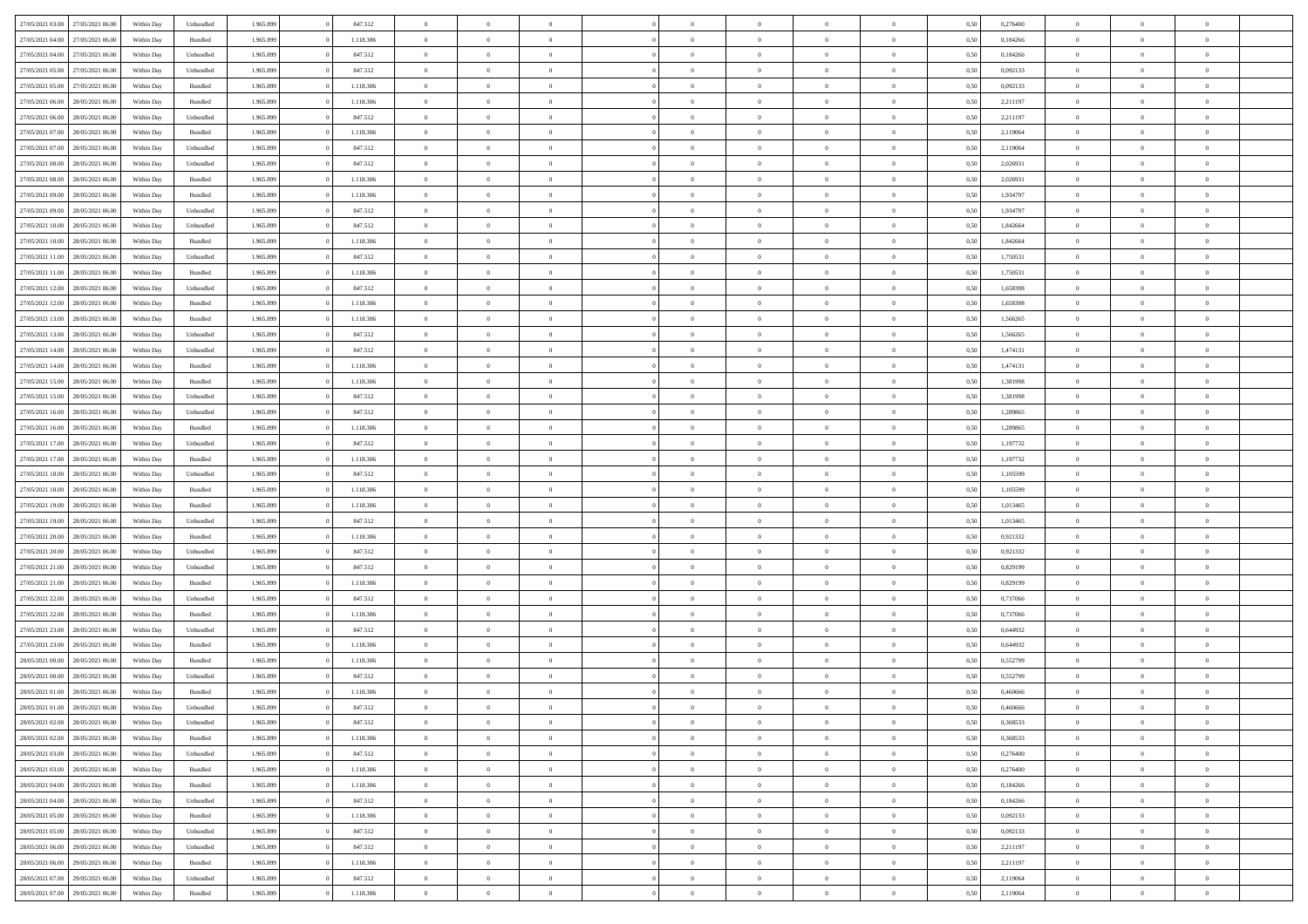| 27/05/2021 03:00 | 27/05/2021 06:00 | Within Day | Unbundled | 1.965.899 | 847.512   | $\overline{0}$ | $\theta$       |                | $\Omega$       | $\Omega$       | $\theta$       | $\theta$       | 0,50 | 0,276400 | $\theta$       | $\theta$       | $\theta$       |  |
|------------------|------------------|------------|-----------|-----------|-----------|----------------|----------------|----------------|----------------|----------------|----------------|----------------|------|----------|----------------|----------------|----------------|--|
| 27/05/2021 04:00 | 27/05/2021 06:00 | Within Day | Bundled   | 1.965.899 | 1.118.386 | $\overline{0}$ | $\theta$       | $\overline{0}$ | $\overline{0}$ | $\bf{0}$       | $\overline{0}$ | $\bf{0}$       | 0,50 | 0,184266 | $\theta$       | $\overline{0}$ | $\overline{0}$ |  |
| 27/05/2021 04:00 | 27/05/2021 06:00 | Within Day | Unbundled | 1.965.899 | 847.512   | $\overline{0}$ | $\bf{0}$       | $\overline{0}$ | $\bf{0}$       | $\bf{0}$       | $\bf{0}$       | $\mathbf{0}$   | 0,50 | 0,184266 | $\overline{0}$ | $\overline{0}$ | $\bf{0}$       |  |
|                  |                  |            |           |           |           |                |                |                |                |                |                |                |      |          | $\theta$       |                |                |  |
| 27/05/2021 05:00 | 27/05/2021 06:00 | Within Dav | Unbundled | 1.965.899 | 847.512   | $\overline{0}$ | $\overline{0}$ | $\overline{0}$ | $\overline{0}$ | $\bf{0}$       | $\overline{0}$ | $\overline{0}$ | 0.50 | 0,092133 |                | $\theta$       | $\overline{0}$ |  |
| 27/05/2021 05:00 | 27/05/2021 06:00 | Within Day | Bundled   | 1.965.899 | 1.118.386 | $\overline{0}$ | $\theta$       | $\overline{0}$ | $\overline{0}$ | $\bf{0}$       | $\overline{0}$ | $\bf{0}$       | 0,50 | 0,092133 | $\,$ 0 $\,$    | $\overline{0}$ | $\overline{0}$ |  |
| 27/05/2021 06:00 | 28/05/2021 06:00 | Within Day | Bundled   | 1.965.899 | 1.118.386 | $\overline{0}$ | $\overline{0}$ | $\overline{0}$ | $\bf{0}$       | $\overline{0}$ | $\overline{0}$ | $\mathbf{0}$   | 0,50 | 2,211197 | $\overline{0}$ | $\overline{0}$ | $\bf{0}$       |  |
| 27/05/2021 06:00 | 28/05/2021 06:00 | Within Dav | Unbundled | 1.965.899 | 847.512   | $\overline{0}$ | $\overline{0}$ | $\overline{0}$ | $\overline{0}$ | $\overline{0}$ | $\overline{0}$ | $\overline{0}$ | 0.50 | 2,211197 | $\theta$       | $\overline{0}$ | $\overline{0}$ |  |
|                  |                  |            |           |           |           |                |                |                |                |                |                |                |      |          |                |                |                |  |
| 27/05/2021 07:00 | 28/05/2021 06:00 | Within Day | Bundled   | 1.965.899 | 1.118.386 | $\overline{0}$ | $\theta$       | $\overline{0}$ | $\overline{0}$ | $\bf{0}$       | $\overline{0}$ | $\bf{0}$       | 0,50 | 2,119064 | $\,$ 0 $\,$    | $\theta$       | $\overline{0}$ |  |
| 27/05/2021 07:00 | 28/05/2021 06:00 | Within Day | Unbundled | 1.965.899 | 847.512   | $\overline{0}$ | $\overline{0}$ | $\overline{0}$ | $\bf{0}$       | $\bf{0}$       | $\bf{0}$       | $\mathbf{0}$   | 0,50 | 2,119064 | $\,0\,$        | $\overline{0}$ | $\overline{0}$ |  |
| 27/05/2021 08:00 | 28/05/2021 06:00 | Within Dav | Unbundled | 1.965.899 | 847.512   | $\overline{0}$ | $\overline{0}$ | $\overline{0}$ | $\overline{0}$ | $\overline{0}$ | $\overline{0}$ | $\overline{0}$ | 0.50 | 2,026931 | $\theta$       | $\overline{0}$ | $\overline{0}$ |  |
| 27/05/2021 08:00 | 28/05/2021 06:00 |            | Bundled   | 1.965.899 | 1.118.386 | $\overline{0}$ | $\theta$       | $\overline{0}$ | $\overline{0}$ | $\bf{0}$       | $\overline{0}$ |                |      | 2,026931 | $\,$ 0 $\,$    | $\overline{0}$ | $\overline{0}$ |  |
|                  |                  | Within Day |           |           |           |                |                |                |                |                |                | $\bf{0}$       | 0,50 |          |                |                |                |  |
| 27/05/2021 09:00 | 28/05/2021 06:00 | Within Day | Bundled   | 1.965.899 | 1.118.386 | $\overline{0}$ | $\overline{0}$ | $\overline{0}$ | $\bf{0}$       | $\bf{0}$       | $\bf{0}$       | $\mathbf{0}$   | 0,50 | 1,934797 | $\overline{0}$ | $\overline{0}$ | $\bf{0}$       |  |
| 27/05/2021 09:00 | 28/05/2021 06:00 | Within Day | Unbundled | 1.965.899 | 847.512   | $\overline{0}$ | $\overline{0}$ | $\overline{0}$ | $\overline{0}$ | $\bf{0}$       | $\overline{0}$ | $\overline{0}$ | 0.50 | 1,934797 | $\theta$       | $\theta$       | $\overline{0}$ |  |
| 27/05/2021 10:00 | 28/05/2021 06:00 | Within Day | Unbundled | 1.965.899 | 847.512   | $\overline{0}$ | $\theta$       | $\overline{0}$ | $\overline{0}$ | $\bf{0}$       | $\overline{0}$ | $\bf{0}$       | 0,50 | 1,842664 | $\theta$       | $\overline{0}$ | $\overline{0}$ |  |
|                  |                  |            |           |           |           |                |                |                |                |                |                |                |      |          |                |                |                |  |
| 27/05/2021 10:00 | 28/05/2021 06:00 | Within Day | Bundled   | 1.965.899 | 1.118.386 | $\overline{0}$ | $\overline{0}$ | $\overline{0}$ | $\bf{0}$       | $\overline{0}$ | $\overline{0}$ | $\mathbf{0}$   | 0,50 | 1,842664 | $\overline{0}$ | $\overline{0}$ | $\bf{0}$       |  |
| 27/05/2021 11:00 | 28/05/2021 06:00 | Within Dav | Unbundled | 1.965.899 | 847.512   | $\overline{0}$ | $\overline{0}$ | $\overline{0}$ | $\overline{0}$ | $\overline{0}$ | $\overline{0}$ | $\overline{0}$ | 0.50 | 1,750531 | $\theta$       | $\overline{0}$ | $\overline{0}$ |  |
| 27/05/2021 11:00 | 28/05/2021 06:00 | Within Day | Bundled   | 1.965.899 | 1.118.386 | $\overline{0}$ | $\theta$       | $\overline{0}$ | $\overline{0}$ | $\bf{0}$       | $\overline{0}$ | $\bf{0}$       | 0,50 | 1,750531 | $\,$ 0 $\,$    | $\overline{0}$ | $\overline{0}$ |  |
| 27/05/2021 12:00 | 28/05/2021 06:00 | Within Day | Unbundled | 1.965.899 | 847.512   | $\overline{0}$ | $\overline{0}$ | $\overline{0}$ | $\bf{0}$       | $\bf{0}$       | $\overline{0}$ | $\mathbf{0}$   | 0,50 | 1,658398 | $\bf{0}$       | $\overline{0}$ | $\bf{0}$       |  |
|                  |                  |            |           |           |           |                | $\overline{0}$ |                |                | $\overline{0}$ |                |                |      |          | $\theta$       | $\overline{0}$ | $\overline{0}$ |  |
| 27/05/2021 12:00 | 28/05/2021 06:00 | Within Dav | Bundled   | 1.965.899 | 1.118.386 | $\overline{0}$ |                | $\overline{0}$ | $\overline{0}$ |                | $\overline{0}$ | $\overline{0}$ | 0.50 | 1,658398 |                |                |                |  |
| 27/05/2021 13:00 | 28/05/2021 06:00 | Within Day | Bundled   | 1.965.899 | 1.118.386 | $\overline{0}$ | $\theta$       | $\overline{0}$ | $\overline{0}$ | $\bf{0}$       | $\overline{0}$ | $\bf{0}$       | 0,50 | 1,566265 | $\,$ 0 $\,$    | $\overline{0}$ | $\overline{0}$ |  |
| 27/05/2021 13:00 | 28/05/2021 06:00 | Within Day | Unbundled | 1.965.899 | 847.512   | $\overline{0}$ | $\overline{0}$ | $\overline{0}$ | $\overline{0}$ | $\bf{0}$       | $\overline{0}$ | $\mathbf{0}$   | 0,50 | 1,566265 | $\bf{0}$       | $\overline{0}$ | $\bf{0}$       |  |
| 27/05/2021 14:00 | 28/05/2021 06:00 | Within Day | Unbundled | 1.965.899 | 847.512   | $\overline{0}$ | $\overline{0}$ | $\overline{0}$ | $\overline{0}$ | $\overline{0}$ | $\overline{0}$ | $\overline{0}$ | 0.50 | 1,474131 | $\theta$       | $\overline{0}$ | $\overline{0}$ |  |
|                  |                  |            |           |           |           | $\overline{0}$ | $\theta$       | $\overline{0}$ | $\overline{0}$ | $\bf{0}$       | $\overline{0}$ |                |      |          | $\,$ 0 $\,$    | $\overline{0}$ | $\overline{0}$ |  |
| 27/05/2021 14:00 | 28/05/2021 06:00 | Within Day | Bundled   | 1.965.899 | 1.118.386 |                |                |                |                |                |                | $\bf{0}$       | 0,50 | 1,474131 |                |                |                |  |
| 27/05/2021 15:00 | 28/05/2021 06:00 | Within Day | Bundled   | 1.965.899 | 1.118.386 | $\overline{0}$ | $\overline{0}$ | $\overline{0}$ | $\overline{0}$ | $\overline{0}$ | $\overline{0}$ | $\mathbf{0}$   | 0,50 | 1,381998 | $\bf{0}$       | $\overline{0}$ | $\bf{0}$       |  |
| 27/05/2021 15:00 | 28/05/2021 06:00 | Within Day | Unbundled | 1.965.899 | 847.512   | $\overline{0}$ | $\overline{0}$ | $\overline{0}$ | $\overline{0}$ | $\overline{0}$ | $\overline{0}$ | $\overline{0}$ | 0.50 | 1,381998 | $\overline{0}$ | $\overline{0}$ | $\overline{0}$ |  |
| 27/05/2021 16:00 | 28/05/2021 06:00 | Within Day | Unbundled | 1.965.899 | 847.512   | $\overline{0}$ | $\theta$       | $\overline{0}$ | $\overline{0}$ | $\bf{0}$       | $\overline{0}$ | $\bf{0}$       | 0,50 | 1,289865 | $\,$ 0 $\,$    | $\theta$       | $\overline{0}$ |  |
|                  |                  |            |           |           |           |                |                |                |                |                |                |                |      |          |                |                |                |  |
| 27/05/2021 16:00 | 28/05/2021 06:00 | Within Day | Bundled   | 1.965.899 | 1.118.386 | $\overline{0}$ | $\overline{0}$ | $\overline{0}$ | $\overline{0}$ | $\bf{0}$       | $\overline{0}$ | $\mathbf{0}$   | 0,50 | 1,289865 | $\,0\,$        | $\overline{0}$ | $\overline{0}$ |  |
| 27/05/2021 17:00 | 28/05/2021 06:00 | Within Day | Unbundled | 1.965.899 | 847.512   | $\overline{0}$ | $\overline{0}$ | $\overline{0}$ | $\overline{0}$ | $\overline{0}$ | $\overline{0}$ | $\overline{0}$ | 0.50 | 1,197732 | $\theta$       | $\overline{0}$ | $\overline{0}$ |  |
| 27/05/2021 17:00 | 28/05/2021 06:00 | Within Day | Bundled   | 1.965.899 | 1.118.386 | $\overline{0}$ | $\overline{0}$ | $\overline{0}$ | $\overline{0}$ | $\bf{0}$       | $\overline{0}$ | $\bf{0}$       | 0,50 | 1,197732 | $\,$ 0 $\,$    | $\overline{0}$ | $\overline{0}$ |  |
| 27/05/2021 18:00 | 28/05/2021 06:00 | Within Day | Unbundled | 1.965.899 | 847.512   | $\overline{0}$ | $\overline{0}$ | $\overline{0}$ | $\overline{0}$ | $\bf{0}$       | $\overline{0}$ | $\mathbf{0}$   | 0,50 | 1,105599 | $\bf{0}$       | $\overline{0}$ | $\bf{0}$       |  |
|                  |                  |            |           |           |           |                |                |                |                |                |                |                |      |          |                |                |                |  |
| 27/05/2021 18:00 | 28/05/2021 06:00 | Within Day | Bundled   | 1.965.899 | 1.118.386 | $\bf{0}$       | $\Omega$       | $\overline{0}$ | $\Omega$       | $\Omega$       | $\overline{0}$ | $\overline{0}$ | 0,50 | 1,105599 | $\,0\,$        | $\theta$       | $\theta$       |  |
| 27/05/2021 19:00 | 28/05/2021 06:00 | Within Day | Bundled   | 1.965.899 | 1.118.386 | $\overline{0}$ | $\theta$       | $\overline{0}$ | $\overline{0}$ | $\bf{0}$       | $\overline{0}$ | $\bf{0}$       | 0,50 | 1,013465 | $\,$ 0 $\,$    | $\overline{0}$ | $\overline{0}$ |  |
| 27/05/2021 19:00 | 28/05/2021 06:00 | Within Day | Unbundled | 1.965.899 | 847.512   | $\overline{0}$ | $\overline{0}$ | $\overline{0}$ | $\overline{0}$ | $\overline{0}$ | $\overline{0}$ | $\mathbf{0}$   | 0,50 | 1,013465 | $\bf{0}$       | $\overline{0}$ | $\bf{0}$       |  |
| 27/05/2021 20:00 | 28/05/2021 06:00 | Within Day | Bundled   | 1.965.899 | 1.118.386 | $\overline{0}$ | $\Omega$       | $\overline{0}$ | $\Omega$       | $\overline{0}$ | $\overline{0}$ | $\overline{0}$ | 0.50 | 0,921332 | $\,$ 0 $\,$    | $\theta$       | $\theta$       |  |
|                  |                  |            |           |           |           |                |                |                |                |                |                |                |      |          |                |                |                |  |
| 27/05/2021 20:00 | 28/05/2021 06:00 | Within Day | Unbundled | 1.965.899 | 847.512   | $\overline{0}$ | $\theta$       | $\overline{0}$ | $\overline{0}$ | $\bf{0}$       | $\overline{0}$ | $\bf{0}$       | 0,50 | 0,921332 | $\,$ 0 $\,$    | $\overline{0}$ | $\overline{0}$ |  |
| 27/05/2021 21:00 | 28/05/2021 06:00 | Within Day | Unbundled | 1.965.899 | 847.512   | $\overline{0}$ | $\overline{0}$ | $\overline{0}$ | $\bf{0}$       | $\bf{0}$       | $\bf{0}$       | $\mathbf{0}$   | 0,50 | 0,829199 | $\bf{0}$       | $\overline{0}$ | $\bf{0}$       |  |
| 27/05/2021 21:00 | 28/05/2021 06:00 | Within Day | Bundled   | 1.965.899 | 1.118.386 | $\overline{0}$ | $\Omega$       | $\overline{0}$ | $\Omega$       | $\overline{0}$ | $\overline{0}$ | $\overline{0}$ | 0.50 | 0,829199 | $\,$ 0 $\,$    | $\theta$       | $\theta$       |  |
| 27/05/2021 22:00 | 28/05/2021 06:00 | Within Day | Unbundled | 1.965.899 | 847.512   | $\overline{0}$ | $\overline{0}$ | $\overline{0}$ | $\overline{0}$ | $\,$ 0         | $\overline{0}$ | $\bf{0}$       | 0,50 | 0,737066 | $\,$ 0 $\,$    | $\overline{0}$ | $\overline{0}$ |  |
|                  |                  |            |           |           |           |                |                |                |                |                |                |                |      |          |                |                |                |  |
| 27/05/2021 22.00 | 28/05/2021 06:00 | Within Day | Bundled   | 1.965.899 | 1.118.386 | $\overline{0}$ | $\overline{0}$ | $\overline{0}$ | $\bf{0}$       | $\bf{0}$       | $\bf{0}$       | $\mathbf{0}$   | 0,50 | 0,737066 | $\overline{0}$ | $\overline{0}$ | $\bf{0}$       |  |
| 27/05/2021 23:00 | 28/05/2021 06:00 | Within Day | Unbundled | 1.965.899 | 847.512   | $\overline{0}$ | $\Omega$       | $\overline{0}$ | $\Omega$       | $\overline{0}$ | $\overline{0}$ | $\overline{0}$ | 0.50 | 0.644932 | $\,0\,$        | $\theta$       | $\theta$       |  |
| 27/05/2021 23:00 | 28/05/2021 06:00 | Within Day | Bundled   | 1.965.899 | 1.118.386 | $\overline{0}$ | $\overline{0}$ | $\overline{0}$ | $\overline{0}$ | $\,$ 0         | $\overline{0}$ | $\bf{0}$       | 0,50 | 0,644932 | $\,$ 0 $\,$    | $\overline{0}$ | $\overline{0}$ |  |
| 28/05/2021 00:00 | 28/05/2021 06:00 | Within Day | Bundled   | 1.965.899 | 1.118.386 | $\overline{0}$ | $\overline{0}$ | $\overline{0}$ | $\bf{0}$       | $\bf{0}$       | $\overline{0}$ | $\mathbf{0}$   | 0,50 | 0,552799 | $\overline{0}$ | $\overline{0}$ | $\bf{0}$       |  |
| 28/05/2021 00:00 | 28/05/2021 06:00 |            |           |           |           | $\overline{0}$ | $\Omega$       | $\Omega$       | $\Omega$       | $\Omega$       | $\Omega$       | $\overline{0}$ | 0.50 | 0,552799 | $\theta$       | $\theta$       | $\theta$       |  |
|                  |                  | Within Day | Unbundled | 1.965.899 | 847.512   |                |                |                |                |                |                |                |      |          |                |                |                |  |
| 28/05/2021 01:00 | 28/05/2021 06:00 | Within Day | Bundled   | 1.965.899 | 1.118.386 | $\overline{0}$ | $\overline{0}$ | $\overline{0}$ | $\bf{0}$       | $\,$ 0         | $\bf{0}$       | $\bf{0}$       | 0,50 | 0,460666 | $\,0\,$        | $\,$ 0 $\,$    | $\overline{0}$ |  |
| 28/05/2021 01:00 | 28/05/2021 06:00 | Within Day | Unbundled | 1.965.899 | 847.512   | $\bf{0}$       | $\bf{0}$       |                |                | $\bf{0}$       |                |                | 0,50 | 0,460666 | $\bf{0}$       | $\overline{0}$ |                |  |
| 28/05/2021 02:00 | 28/05/2021 06:00 | Within Day | Unbundled | 1.965.899 | 847.512   | $\overline{0}$ | $\overline{0}$ | $\overline{0}$ | $\Omega$       | $\overline{0}$ | $\overline{0}$ | $\overline{0}$ | 0.50 | 0.368533 | $\theta$       | $\theta$       | $\theta$       |  |
| 28/05/2021 02:00 | 28/05/2021 06:00 | Within Day | Bundled   | 1.965.899 | 1.118.386 | $\overline{0}$ | $\,$ 0         | $\overline{0}$ | $\bf{0}$       | $\,$ 0 $\,$    | $\overline{0}$ | $\mathbf{0}$   | 0,50 | 0,368533 | $\,$ 0 $\,$    | $\,$ 0 $\,$    | $\,$ 0         |  |
|                  |                  |            |           |           |           |                |                |                |                |                |                |                |      |          |                |                |                |  |
| 28/05/2021 03:00 | 28/05/2021 06:00 | Within Day | Unbundled | 1.965.899 | 847.512   | $\overline{0}$ | $\overline{0}$ | $\overline{0}$ | $\overline{0}$ | $\overline{0}$ | $\overline{0}$ | $\mathbf{0}$   | 0,50 | 0,276400 | $\overline{0}$ | $\bf{0}$       | $\bf{0}$       |  |
| 28/05/2021 03:00 | 28/05/2021 06:00 | Within Day | Bundled   | 1.965.899 | 1.118.386 | $\overline{0}$ | $\overline{0}$ | $\overline{0}$ | $\Omega$       | $\overline{0}$ | $\overline{0}$ | $\overline{0}$ | 0,50 | 0,276400 | $\overline{0}$ | $\theta$       | $\overline{0}$ |  |
| 28/05/2021 04:00 | 28/05/2021 06:00 | Within Day | Bundled   | 1.965.899 | 1.118.386 | $\overline{0}$ | $\,$ 0         | $\overline{0}$ | $\overline{0}$ | $\,$ 0 $\,$    | $\overline{0}$ | $\mathbf{0}$   | 0,50 | 0,184266 | $\,$ 0 $\,$    | $\overline{0}$ | $\overline{0}$ |  |
| 28/05/2021 04:00 | 28/05/2021 06:00 | Within Day | Unbundled | 1.965.899 | 847.512   | $\overline{0}$ | $\overline{0}$ | $\overline{0}$ | $\overline{0}$ | $\overline{0}$ | $\overline{0}$ | $\mathbf{0}$   | 0,50 | 0,184266 | $\overline{0}$ | $\overline{0}$ | $\bf{0}$       |  |
|                  |                  |            |           |           |           |                |                |                |                |                |                |                |      |          |                |                |                |  |
| 28/05/2021 05:00 | 28/05/2021 06:00 | Within Day | Bundled   | 1.965.899 | 1.118.386 | $\overline{0}$ | $\overline{0}$ | $\overline{0}$ | $\Omega$       | $\overline{0}$ | $\overline{0}$ | $\bf{0}$       | 0.50 | 0,092133 | $\overline{0}$ | $\theta$       | $\overline{0}$ |  |
| 28/05/2021 05:00 | 28/05/2021 06:00 | Within Day | Unbundled | 1.965.899 | 847.512   | $\overline{0}$ | $\,$ 0         | $\overline{0}$ | $\bf{0}$       | $\bf{0}$       | $\bf{0}$       | $\bf{0}$       | 0,50 | 0,092133 | $\,$ 0 $\,$    | $\overline{0}$ | $\overline{0}$ |  |
| 28/05/2021 06:00 | 29/05/2021 06:00 | Within Day | Unbundled | 1.965.899 | 847.512   | $\overline{0}$ | $\bf{0}$       | $\overline{0}$ | $\overline{0}$ | $\overline{0}$ | $\overline{0}$ | $\mathbf{0}$   | 0,50 | 2,211197 | $\overline{0}$ | $\overline{0}$ | $\bf{0}$       |  |
|                  |                  |            | Bundled   |           | 1.118.386 | $\overline{0}$ | $\overline{0}$ | $\overline{0}$ | $\Omega$       | $\overline{0}$ | $\overline{0}$ |                | 0.50 |          | $\overline{0}$ | $\overline{0}$ | $\overline{0}$ |  |
| 28/05/2021 06:00 | 29/05/2021 06:00 | Within Day |           | 1.965.899 |           |                |                |                |                |                |                | $\overline{0}$ |      | 2,211197 |                |                |                |  |
| 28/05/2021 07:00 | 29/05/2021 06:00 | Within Day | Unbundled | 1.965.899 | 847.512   | $\overline{0}$ | $\bf{0}$       | $\overline{0}$ | $\overline{0}$ | $\bf{0}$       | $\overline{0}$ | $\mathbf{0}$   | 0,50 | 2,119064 | $\,$ 0 $\,$    | $\,$ 0 $\,$    | $\bf{0}$       |  |
| 28/05/2021 07:00 | 29/05/2021 06:00 | Within Day | Bundled   | 1.965.899 | 1.118.386 | $\overline{0}$ | $\overline{0}$ | $\overline{0}$ | $\overline{0}$ | $\overline{0}$ | $\overline{0}$ | $\mathbf{0}$   | 0,50 | 2,119064 | $\overline{0}$ | $\bf{0}$       | $\bf{0}$       |  |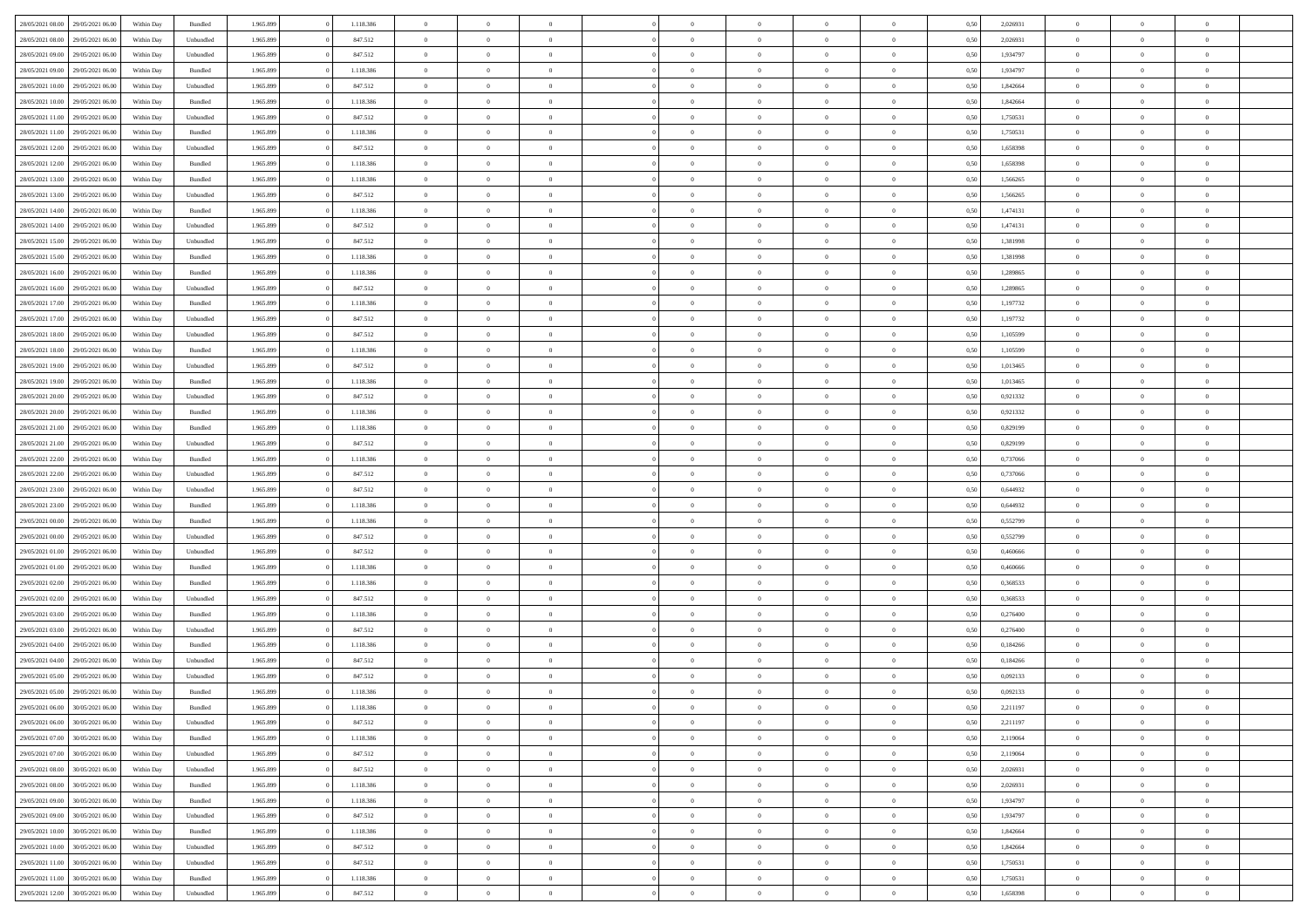| 28/05/2021 08:00 | 29/05/2021 06:00 | Within Day | Bundled            | 1.965.899 | 1.118.386 | $\overline{0}$ | $\Omega$       |                | $\Omega$       | $\Omega$       | $\theta$       | $\theta$       | 0,50 | 2,026931 | $\theta$       | $\theta$       | $\theta$       |  |
|------------------|------------------|------------|--------------------|-----------|-----------|----------------|----------------|----------------|----------------|----------------|----------------|----------------|------|----------|----------------|----------------|----------------|--|
|                  |                  |            |                    |           |           |                |                |                |                |                |                |                |      |          |                |                |                |  |
| 28/05/2021 08:00 | 29/05/2021 06:00 | Within Day | Unbundled          | 1.965.899 | 847.512   | $\overline{0}$ | $\theta$       | $\overline{0}$ | $\overline{0}$ | $\bf{0}$       | $\overline{0}$ | $\bf{0}$       | 0,50 | 2,026931 | $\theta$       | $\overline{0}$ | $\overline{0}$ |  |
| 28/05/2021 09:00 | 29/05/2021 06:00 | Within Day | Unbundled          | 1.965.899 | 847.512   | $\overline{0}$ | $\bf{0}$       | $\overline{0}$ | $\overline{0}$ | $\bf{0}$       | $\overline{0}$ | $\mathbf{0}$   | 0,50 | 1,934797 | $\bf{0}$       | $\overline{0}$ | $\overline{0}$ |  |
| 28/05/2021 09:00 | 29/05/2021 06:00 | Within Dav | Bundled            | 1.965.899 | 1.118.386 | $\overline{0}$ | $\overline{0}$ | $\overline{0}$ | $\overline{0}$ | $\bf{0}$       | $\overline{0}$ | $\overline{0}$ | 0.50 | 1,934797 | $\theta$       | $\theta$       | $\overline{0}$ |  |
| 28/05/2021 10:00 | 29/05/2021 06:00 | Within Day | Unbundled          | 1.965.899 | 847.512   | $\overline{0}$ | $\theta$       | $\overline{0}$ | $\overline{0}$ | $\bf{0}$       | $\overline{0}$ | $\bf{0}$       | 0,50 | 1,842664 | $\,$ 0 $\,$    | $\overline{0}$ | $\overline{0}$ |  |
| 28/05/2021 10:00 | 29/05/2021 06:00 | Within Day | Bundled            | 1.965.899 | 1.118.386 | $\overline{0}$ | $\overline{0}$ | $\overline{0}$ | $\overline{0}$ | $\overline{0}$ | $\overline{0}$ | $\mathbf{0}$   | 0,50 | 1,842664 | $\bf{0}$       | $\overline{0}$ | $\bf{0}$       |  |
|                  |                  |            |                    |           |           |                | $\overline{0}$ |                |                | $\overline{0}$ |                |                |      |          | $\theta$       | $\overline{0}$ | $\overline{0}$ |  |
| 28/05/2021 11:00 | 29/05/2021 06:00 | Within Dav | Unbundled          | 1.965.899 | 847.512   | $\overline{0}$ |                | $\overline{0}$ | $\overline{0}$ |                | $\overline{0}$ | $\overline{0}$ | 0.50 | 1,750531 |                |                |                |  |
| 28/05/2021 11:00 | 29/05/2021 06:00 | Within Day | Bundled            | 1.965.899 | 1.118.386 | $\overline{0}$ | $\theta$       | $\overline{0}$ | $\overline{0}$ | $\bf{0}$       | $\overline{0}$ | $\bf{0}$       | 0,50 | 1,750531 | $\theta$       | $\theta$       | $\overline{0}$ |  |
| 28/05/2021 12:00 | 29/05/2021 06:00 | Within Day | Unbundled          | 1.965.899 | 847.512   | $\overline{0}$ | $\overline{0}$ | $\overline{0}$ | $\overline{0}$ | $\bf{0}$       | $\overline{0}$ | $\mathbf{0}$   | 0,50 | 1,658398 | $\,0\,$        | $\overline{0}$ | $\overline{0}$ |  |
| 28/05/2021 12:00 | 29/05/2021 06:00 | Within Dav | Bundled            | 1.965.899 | 1.118.386 | $\overline{0}$ | $\overline{0}$ | $\overline{0}$ | $\overline{0}$ | $\overline{0}$ | $\overline{0}$ | $\overline{0}$ | 0.50 | 1,658398 | $\theta$       | $\overline{0}$ | $\overline{0}$ |  |
| 28/05/2021 13:00 | 29/05/2021 06:00 | Within Day | Bundled            | 1.965.899 | 1.118.386 | $\overline{0}$ | $\theta$       | $\overline{0}$ | $\overline{0}$ | $\bf{0}$       | $\overline{0}$ | $\bf{0}$       | 0,50 | 1,566265 | $\,$ 0 $\,$    | $\overline{0}$ | $\overline{0}$ |  |
| 28/05/2021 13:00 | 29/05/2021 06:00 | Within Day | Unbundled          | 1.965.899 | 847.512   | $\overline{0}$ | $\overline{0}$ | $\overline{0}$ | $\overline{0}$ | $\bf{0}$       | $\overline{0}$ | $\mathbf{0}$   | 0,50 | 1,566265 | $\bf{0}$       | $\overline{0}$ | $\bf{0}$       |  |
| 28/05/2021 14:00 | 29/05/2021 06:00 | Within Day | Bundled            | 1.965.899 | 1.118.386 | $\overline{0}$ | $\overline{0}$ | $\overline{0}$ | $\overline{0}$ | $\bf{0}$       | $\overline{0}$ | $\overline{0}$ | 0.50 | 1,474131 | $\theta$       | $\theta$       | $\overline{0}$ |  |
|                  |                  |            |                    |           |           | $\overline{0}$ | $\theta$       | $\overline{0}$ | $\overline{0}$ | $\bf{0}$       | $\overline{0}$ |                |      |          | $\theta$       | $\overline{0}$ | $\overline{0}$ |  |
| 28/05/2021 14:00 | 29/05/2021 06:00 | Within Day | Unbundled          | 1.965.899 | 847.512   |                |                |                |                |                |                | $\bf{0}$       | 0,50 | 1,474131 |                |                |                |  |
| 28/05/2021 15:00 | 29/05/2021 06:00 | Within Day | Unbundled          | 1.965.899 | 847.512   | $\overline{0}$ | $\overline{0}$ | $\overline{0}$ | $\overline{0}$ | $\overline{0}$ | $\overline{0}$ | $\mathbf{0}$   | 0,50 | 1,381998 | $\bf{0}$       | $\overline{0}$ | $\bf{0}$       |  |
| 28/05/2021 15:00 | 29/05/2021 06:00 | Within Dav | Bundled            | 1.965.899 | 1.118.386 | $\overline{0}$ | $\overline{0}$ | $\overline{0}$ | $\overline{0}$ | $\overline{0}$ | $\overline{0}$ | $\overline{0}$ | 0.50 | 1,381998 | $\overline{0}$ | $\overline{0}$ | $\overline{0}$ |  |
| 28/05/2021 16:00 | 29/05/2021 06:00 | Within Day | Bundled            | 1.965.899 | 1.118.386 | $\overline{0}$ | $\theta$       | $\overline{0}$ | $\overline{0}$ | $\bf{0}$       | $\overline{0}$ | $\bf{0}$       | 0,50 | 1,289865 | $\,$ 0 $\,$    | $\overline{0}$ | $\overline{0}$ |  |
| 28/05/2021 16:00 | 29/05/2021 06:00 | Within Day | Unbundled          | 1.965.899 | 847.512   | $\overline{0}$ | $\overline{0}$ | $\overline{0}$ | $\overline{0}$ | $\bf{0}$       | $\bf{0}$       | $\mathbf{0}$   | 0,50 | 1,289865 | $\bf{0}$       | $\overline{0}$ | $\bf{0}$       |  |
| 28/05/2021 17:00 | 29/05/2021 06:00 | Within Day | Bundled            | 1.965.899 | 1.118.386 | $\overline{0}$ | $\overline{0}$ | $\overline{0}$ | $\overline{0}$ | $\overline{0}$ | $\overline{0}$ | $\overline{0}$ | 0.50 | 1,197732 | $\theta$       | $\overline{0}$ | $\overline{0}$ |  |
| 28/05/2021 17:00 | 29/05/2021 06:00 | Within Day | Unbundled          | 1.965.899 | 847.512   | $\overline{0}$ | $\theta$       | $\overline{0}$ | $\overline{0}$ | $\bf{0}$       | $\overline{0}$ | $\bf{0}$       | 0,50 | 1,197732 | $\,$ 0 $\,$    | $\overline{0}$ | $\overline{0}$ |  |
|                  |                  |            |                    |           |           |                |                |                |                |                |                |                |      |          |                |                |                |  |
| 28/05/2021 18:00 | 29/05/2021 06:00 | Within Day | Unbundled          | 1.965.899 | 847.512   | $\overline{0}$ | $\overline{0}$ | $\overline{0}$ | $\bf{0}$       | $\bf{0}$       | $\bf{0}$       | $\mathbf{0}$   | 0,50 | 1,105599 | $\overline{0}$ | $\overline{0}$ | $\bf{0}$       |  |
| 28/05/2021 18:00 | 29/05/2021 06:00 | Within Day | Bundled            | 1.965.899 | 1.118.386 | $\overline{0}$ | $\overline{0}$ | $\overline{0}$ | $\overline{0}$ | $\overline{0}$ | $\overline{0}$ | $\overline{0}$ | 0.50 | 1.105599 | $\theta$       | $\overline{0}$ | $\overline{0}$ |  |
| 28/05/2021 19:00 | 29/05/2021 06:00 | Within Day | Unbundled          | 1.965.899 | 847.512   | $\overline{0}$ | $\theta$       | $\overline{0}$ | $\overline{0}$ | $\bf{0}$       | $\overline{0}$ | $\bf{0}$       | 0,50 | 1,013465 | $\,$ 0 $\,$    | $\overline{0}$ | $\overline{0}$ |  |
| 28/05/2021 19:00 | 29/05/2021 06:00 | Within Day | Bundled            | 1.965.899 | 1.118.386 | $\overline{0}$ | $\overline{0}$ | $\overline{0}$ | $\bf{0}$       | $\overline{0}$ | $\overline{0}$ | $\mathbf{0}$   | 0,50 | 1,013465 | $\overline{0}$ | $\overline{0}$ | $\bf{0}$       |  |
| 28/05/2021 20:00 | 29/05/2021 06:00 | Within Dav | Unbundled          | 1.965.899 | 847.512   | $\overline{0}$ | $\overline{0}$ | $\overline{0}$ | $\overline{0}$ | $\overline{0}$ | $\overline{0}$ | $\overline{0}$ | 0.50 | 0.921332 | $\theta$       | $\overline{0}$ | $\overline{0}$ |  |
| 28/05/2021 20:00 | 29/05/2021 06:00 | Within Day | Bundled            | 1.965.899 | 1.118.386 | $\overline{0}$ | $\theta$       | $\overline{0}$ | $\overline{0}$ | $\bf{0}$       | $\overline{0}$ | $\bf{0}$       | 0,50 | 0,921332 | $\,$ 0 $\,$    | $\theta$       | $\overline{0}$ |  |
| 28/05/2021 21.00 | 29/05/2021 06:00 | Within Day | Bundled            | 1.965.899 | 1.118.386 | $\overline{0}$ | $\overline{0}$ | $\overline{0}$ | $\bf{0}$       | $\bf{0}$       | $\bf{0}$       | $\mathbf{0}$   | 0,50 | 0,829199 | $\,0\,$        | $\overline{0}$ | $\overline{0}$ |  |
| 28/05/2021 21:00 | 29/05/2021 06:00 |            | Unbundled          | 1.965.899 | 847.512   | $\overline{0}$ | $\overline{0}$ | $\overline{0}$ | $\overline{0}$ | $\overline{0}$ | $\overline{0}$ | $\overline{0}$ | 0.50 | 0.829199 | $\theta$       | $\overline{0}$ | $\overline{0}$ |  |
|                  |                  | Within Day |                    |           |           |                |                |                |                |                |                |                |      |          |                |                |                |  |
| 28/05/2021 22:00 | 29/05/2021 06:00 | Within Day | Bundled            | 1.965.899 | 1.118.386 | $\overline{0}$ | $\overline{0}$ | $\overline{0}$ | $\overline{0}$ | $\bf{0}$       | $\overline{0}$ | $\bf{0}$       | 0,50 | 0,737066 | $\,$ 0 $\,$    | $\overline{0}$ | $\overline{0}$ |  |
| 28/05/2021 22:00 | 29/05/2021 06:00 | Within Day | Unbundled          | 1.965.899 | 847.512   | $\overline{0}$ | $\overline{0}$ | $\overline{0}$ | $\bf{0}$       | $\bf{0}$       | $\bf{0}$       | $\mathbf{0}$   | 0,50 | 0,737066 | $\overline{0}$ | $\overline{0}$ | $\bf{0}$       |  |
| 28/05/2021 23:00 | 29/05/2021 06:00 | Within Day | Unbundled          | 1.965.899 | 847.512   | $\overline{0}$ | $\Omega$       | $\overline{0}$ | $\Omega$       | $\Omega$       | $\overline{0}$ | $\overline{0}$ | 0,50 | 0.644932 | $\,0\,$        | $\theta$       | $\theta$       |  |
| 28/05/2021 23:00 | 29/05/2021 06:00 | Within Day | Bundled            | 1.965.899 | 1.118.386 | $\overline{0}$ | $\theta$       | $\overline{0}$ | $\overline{0}$ | $\bf{0}$       | $\overline{0}$ | $\bf{0}$       | 0,50 | 0,644932 | $\,$ 0 $\,$    | $\overline{0}$ | $\overline{0}$ |  |
| 29/05/2021 00:00 | 29/05/2021 06:00 | Within Day | Bundled            | 1.965.899 | 1.118.386 | $\overline{0}$ | $\overline{0}$ | $\overline{0}$ | $\bf{0}$       | $\overline{0}$ | $\overline{0}$ | $\mathbf{0}$   | 0,50 | 0,552799 | $\overline{0}$ | $\overline{0}$ | $\bf{0}$       |  |
| 29/05/2021 00:00 | 29/05/2021 06:00 | Within Day | Unbundled          | 1.965.899 | 847.512   | $\overline{0}$ | $\Omega$       | $\overline{0}$ | $\Omega$       | $\overline{0}$ | $\overline{0}$ | $\overline{0}$ | 0.50 | 0,552799 | $\,0\,$        | $\theta$       | $\theta$       |  |
| 29/05/2021 01:00 | 29/05/2021 06:00 | Within Day | Unbundled          | 1.965.899 | 847.512   | $\overline{0}$ | $\theta$       | $\overline{0}$ | $\overline{0}$ | $\bf{0}$       | $\overline{0}$ | $\bf{0}$       | 0,50 | 0,460666 | $\,$ 0 $\,$    | $\overline{0}$ | $\overline{0}$ |  |
|                  |                  |            |                    |           |           |                |                |                |                |                |                |                |      |          |                |                |                |  |
| 29/05/2021 01:00 | 29/05/2021 06:00 | Within Day | Bundled            | 1.965.899 | 1.118.386 | $\overline{0}$ | $\overline{0}$ | $\overline{0}$ | $\bf{0}$       | $\bf{0}$       | $\overline{0}$ | $\mathbf{0}$   | 0,50 | 0,460666 | $\bf{0}$       | $\overline{0}$ | $\bf{0}$       |  |
| 29/05/2021 02:00 | 29/05/2021 06:00 | Within Day | Bundled            | 1.965.899 | 1.118.386 | $\overline{0}$ | $\Omega$       | $\overline{0}$ | $\Omega$       | $\overline{0}$ | $\overline{0}$ | $\overline{0}$ | 0.50 | 0.368533 | $\,$ 0 $\,$    | $\theta$       | $\theta$       |  |
| 29/05/2021 02:00 | 29/05/2021 06:00 | Within Day | Unbundled          | 1.965.899 | 847.512   | $\overline{0}$ | $\overline{0}$ | $\overline{0}$ | $\overline{0}$ | $\,$ 0         | $\overline{0}$ | $\bf{0}$       | 0,50 | 0,368533 | $\,$ 0 $\,$    | $\overline{0}$ | $\overline{0}$ |  |
| 29/05/2021 03:00 | 29/05/2021 06:00 | Within Day | Bundled            | 1.965.899 | 1.118.386 | $\overline{0}$ | $\overline{0}$ | $\overline{0}$ | $\overline{0}$ | $\bf{0}$       | $\overline{0}$ | $\mathbf{0}$   | 0,50 | 0,276400 | $\bf{0}$       | $\overline{0}$ | $\bf{0}$       |  |
| 29/05/2021 03:00 | 29/05/2021 06:00 | Within Day | Unbundled          | 1.965.899 | 847.512   | $\overline{0}$ | $\Omega$       | $\overline{0}$ | $\Omega$       | $\overline{0}$ | $\overline{0}$ | $\overline{0}$ | 0,50 | 0,276400 | $\,0\,$        | $\theta$       | $\theta$       |  |
| 29/05/2021 04:00 | 29/05/2021 06:00 | Within Day | Bundled            | 1.965.899 | 1.118.386 | $\overline{0}$ | $\overline{0}$ | $\overline{0}$ | $\overline{0}$ | $\,$ 0         | $\overline{0}$ | $\bf{0}$       | 0,50 | 0,184266 | $\,$ 0 $\,$    | $\overline{0}$ | $\overline{0}$ |  |
| 29/05/2021 04:00 | 29/05/2021 06:00 | Within Day | Unbundled          | 1.965.899 | 847.512   | $\overline{0}$ | $\overline{0}$ | $\overline{0}$ | $\overline{0}$ | $\bf{0}$       | $\overline{0}$ | $\mathbf{0}$   | 0,50 | 0,184266 | $\bf{0}$       | $\overline{0}$ | $\bf{0}$       |  |
| 29/05/2021 05:00 | 29/05/2021 06:00 |            | Unbundled          | 1.965.899 | 847.512   | $\overline{0}$ | $\Omega$       | $\Omega$       | $\Omega$       | $\Omega$       | $\Omega$       | $\overline{0}$ | 0.50 | 0.092133 | $\theta$       | $\theta$       | $\theta$       |  |
|                  |                  | Within Day |                    |           |           |                |                |                |                |                |                |                |      |          |                |                |                |  |
| 29/05/2021 05:00 | 29/05/2021 06:00 | Within Day | Bundled            | 1.965.899 | 1.118.386 | $\overline{0}$ | $\overline{0}$ | $\overline{0}$ | $\bf{0}$       | $\,$ 0         | $\overline{0}$ | $\bf{0}$       | 0,50 | 0,092133 | $\,0\,$        | $\,$ 0 $\,$    | $\overline{0}$ |  |
| 29/05/2021 06:00 | 30/05/2021 06:00 | Within Day | $\mathbf B$ undled | 1.965.899 | 1.118.386 | $\overline{0}$ | $\bf{0}$       |                |                | $\bf{0}$       |                |                | 0,50 | 2,211197 | $\bf{0}$       | $\overline{0}$ |                |  |
| 29/05/2021 06:00 | 30/05/2021 06:00 | Within Day | Unbundled          | 1.965.899 | 847.512   | $\overline{0}$ | $\overline{0}$ | $\overline{0}$ | $\Omega$       | $\overline{0}$ | $\overline{0}$ | $\overline{0}$ | 0,50 | 2,211197 | $\theta$       | $\theta$       | $\Omega$       |  |
| 29/05/2021 07:00 | 30/05/2021 06:00 | Within Day | Bundled            | 1.965.899 | 1.118.386 | $\overline{0}$ | $\bf{0}$       | $\overline{0}$ | $\overline{0}$ | $\,$ 0 $\,$    | $\overline{0}$ | $\,$ 0 $\,$    | 0,50 | 2,119064 | $\,$ 0 $\,$    | $\,$ 0 $\,$    | $\,$ 0         |  |
| 29/05/2021 07:00 | 30/05/2021 06:00 | Within Day | Unbundled          | 1.965.899 | 847.512   | $\overline{0}$ | $\overline{0}$ | $\overline{0}$ | $\overline{0}$ | $\overline{0}$ | $\overline{0}$ | $\mathbf{0}$   | 0,50 | 2,119064 | $\overline{0}$ | $\bf{0}$       | $\bf{0}$       |  |
| 29/05/2021 08:00 | 30/05/2021 06:00 | Within Day | Unbundled          | 1.965.899 | 847.512   | $\overline{0}$ | $\overline{0}$ | $\overline{0}$ | $\Omega$       | $\overline{0}$ | $\overline{0}$ | $\overline{0}$ | 0,50 | 2,026931 | $\overline{0}$ | $\overline{0}$ | $\overline{0}$ |  |
| 29/05/2021 08:00 | 30/05/2021 06:00 | Within Day | Bundled            | 1.965.899 | 1.118.386 | $\overline{0}$ | $\,$ 0         | $\overline{0}$ | $\overline{0}$ | $\,$ 0 $\,$    | $\overline{0}$ | $\mathbf{0}$   | 0,50 | 2,026931 | $\,$ 0 $\,$    | $\overline{0}$ | $\overline{0}$ |  |
|                  |                  |            |                    |           |           |                |                |                |                |                |                |                |      |          |                |                |                |  |
| 29/05/2021 09:00 | 30/05/2021 06:00 | Within Day | Bundled            | 1.965.899 | 1.118.386 | $\overline{0}$ | $\overline{0}$ | $\overline{0}$ | $\overline{0}$ | $\overline{0}$ | $\overline{0}$ | $\mathbf{0}$   | 0,50 | 1,934797 | $\overline{0}$ | $\overline{0}$ | $\bf{0}$       |  |
| 29/05/2021 09:00 | 30/05/2021 06:00 | Within Day | Unbundled          | 1.965.899 | 847.512   | $\overline{0}$ | $\overline{0}$ | $\overline{0}$ | $\overline{0}$ | $\overline{0}$ | $\overline{0}$ | $\bf{0}$       | 0.50 | 1,934797 | $\overline{0}$ | $\theta$       | $\overline{0}$ |  |
| 29/05/2021 10:00 | 30/05/2021 06:00 | Within Day | Bundled            | 1.965.899 | 1.118.386 | $\overline{0}$ | $\,$ 0         | $\overline{0}$ | $\overline{0}$ | $\bf{0}$       | $\overline{0}$ | $\bf{0}$       | 0,50 | 1,842664 | $\,$ 0 $\,$    | $\overline{0}$ | $\overline{0}$ |  |
| 29/05/2021 10:00 | 30/05/2021 06:00 | Within Day | Unbundled          | 1.965.899 | 847.512   | $\overline{0}$ | $\bf{0}$       | $\overline{0}$ | $\overline{0}$ | $\overline{0}$ | $\overline{0}$ | $\mathbf{0}$   | 0,50 | 1,842664 | $\overline{0}$ | $\overline{0}$ | $\bf{0}$       |  |
| 29/05/2021 11:00 | 30/05/2021 06:00 | Within Day | Unbundled          | 1.965.899 | 847.512   | $\overline{0}$ | $\overline{0}$ | $\overline{0}$ | $\Omega$       | $\overline{0}$ | $\overline{0}$ | $\overline{0}$ | 0.50 | 1,750531 | $\overline{0}$ | $\overline{0}$ | $\overline{0}$ |  |
| 29/05/2021 11:00 | 30/05/2021 06:00 | Within Day | Bundled            | 1.965.899 | 1.118.386 | $\overline{0}$ | $\bf{0}$       | $\overline{0}$ | $\bf{0}$       | $\bf{0}$       | $\overline{0}$ | $\mathbf{0}$   | 0,50 | 1,750531 | $\,$ 0 $\,$    | $\,$ 0 $\,$    | $\bf{0}$       |  |
| 29/05/2021 12:00 | 30/05/2021 06:00 | Within Day | Unbundled          | 1.965.899 | 847.512   | $\overline{0}$ | $\overline{0}$ | $\overline{0}$ | $\overline{0}$ | $\overline{0}$ | $\overline{0}$ | $\mathbf{0}$   | 0,50 | 1,658398 | $\overline{0}$ | $\bf{0}$       | $\bf{0}$       |  |
|                  |                  |            |                    |           |           |                |                |                |                |                |                |                |      |          |                |                |                |  |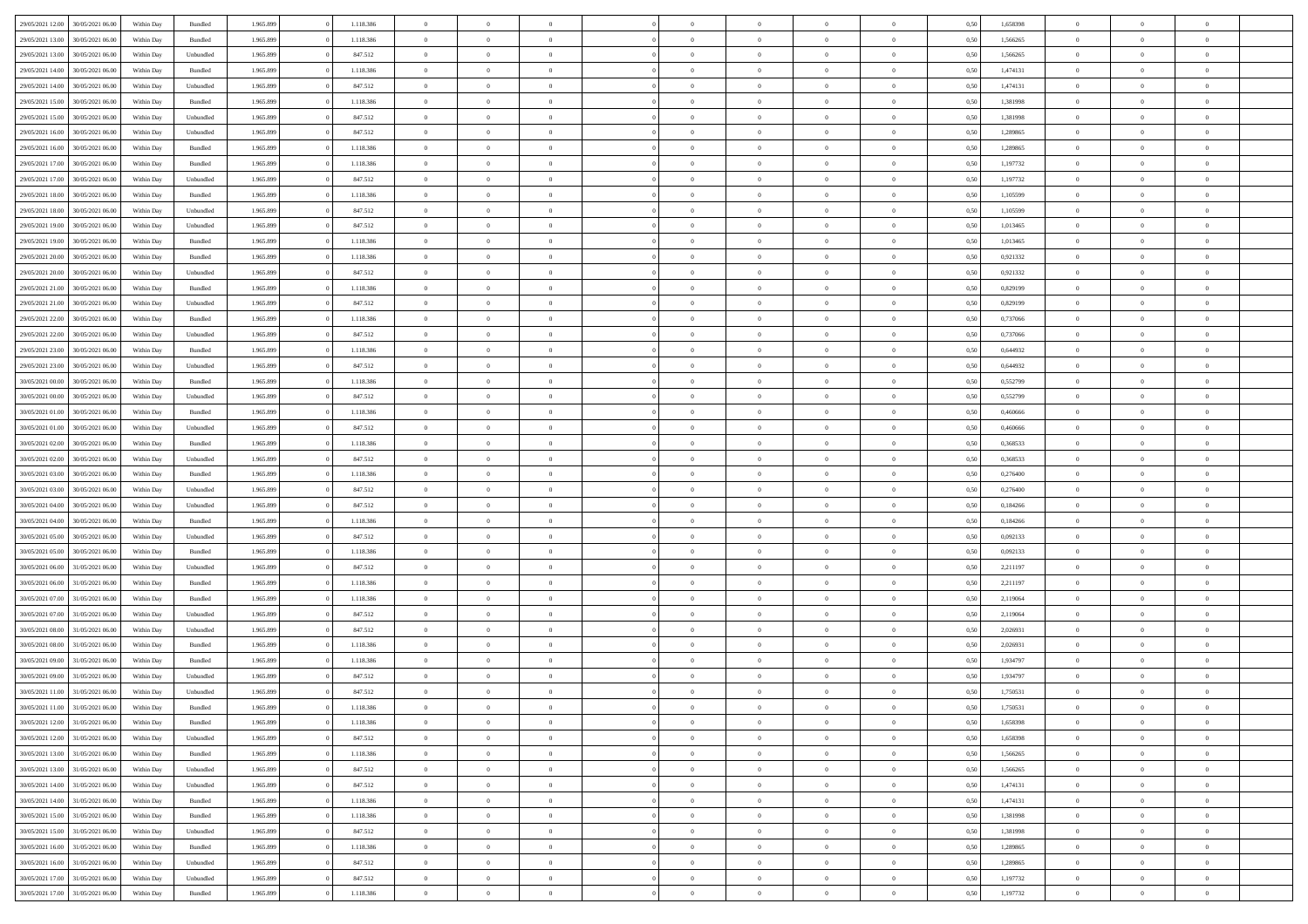| 29/05/2021 12:00 | 30/05/2021 06:00 | Within Day | Bundled   | 1.965.899 | 1.118.386 | $\overline{0}$ | $\Omega$       |                | $\Omega$       | $\Omega$       | $\theta$       | $\theta$       | 0,50 | 1,658398 | $\theta$       | $\theta$       | $\theta$       |  |
|------------------|------------------|------------|-----------|-----------|-----------|----------------|----------------|----------------|----------------|----------------|----------------|----------------|------|----------|----------------|----------------|----------------|--|
|                  |                  |            |           |           |           |                |                |                |                |                |                |                |      |          |                |                |                |  |
| 29/05/2021 13:00 | 30/05/2021 06:00 | Within Day | Bundled   | 1.965.899 | 1.118.386 | $\overline{0}$ | $\theta$       | $\overline{0}$ | $\overline{0}$ | $\bf{0}$       | $\overline{0}$ | $\bf{0}$       | 0,50 | 1,566265 | $\theta$       | $\overline{0}$ | $\overline{0}$ |  |
| 29/05/2021 13:00 | 30/05/2021 06:00 | Within Day | Unbundled | 1.965.899 | 847.512   | $\overline{0}$ | $\overline{0}$ | $\overline{0}$ | $\bf{0}$       | $\bf{0}$       | $\bf{0}$       | $\mathbf{0}$   | 0,50 | 1,566265 | $\overline{0}$ | $\overline{0}$ | $\overline{0}$ |  |
| 29/05/2021 14:00 | 30/05/2021 06:00 | Within Dav | Bundled   | 1.965.899 | 1.118.386 | $\overline{0}$ | $\overline{0}$ | $\overline{0}$ | $\overline{0}$ | $\bf{0}$       | $\overline{0}$ | $\overline{0}$ | 0.50 | 1,474131 | $\theta$       | $\theta$       | $\overline{0}$ |  |
| 29/05/2021 14:00 | 30/05/2021 06:00 | Within Day | Unbundled | 1.965.899 | 847.512   | $\overline{0}$ | $\theta$       | $\overline{0}$ | $\overline{0}$ | $\bf{0}$       | $\overline{0}$ | $\bf{0}$       | 0,50 | 1,474131 | $\,$ 0 $\,$    | $\overline{0}$ | $\overline{0}$ |  |
| 29/05/2021 15:00 | 30/05/2021 06:00 | Within Day | Bundled   | 1.965.899 | 1.118.386 | $\overline{0}$ | $\overline{0}$ | $\overline{0}$ | $\bf{0}$       | $\overline{0}$ | $\overline{0}$ | $\mathbf{0}$   | 0,50 | 1,381998 | $\overline{0}$ | $\overline{0}$ | $\bf{0}$       |  |
|                  |                  |            |           |           |           |                |                |                |                | $\overline{0}$ |                |                |      |          | $\theta$       | $\overline{0}$ | $\overline{0}$ |  |
| 29/05/2021 15:00 | 30/05/2021 06:00 | Within Dav | Unbundled | 1.965.899 | 847.512   | $\overline{0}$ | $\overline{0}$ | $\overline{0}$ | $\overline{0}$ |                | $\overline{0}$ | $\overline{0}$ | 0.50 | 1,381998 |                |                |                |  |
| 29/05/2021 16:00 | 30/05/2021 06:00 | Within Day | Unbundled | 1.965.899 | 847.512   | $\overline{0}$ | $\theta$       | $\overline{0}$ | $\overline{0}$ | $\bf{0}$       | $\overline{0}$ | $\bf{0}$       | 0,50 | 1,289865 | $\theta$       | $\theta$       | $\overline{0}$ |  |
| 29/05/2021 16:00 | 30/05/2021 06:00 | Within Day | Bundled   | 1.965.899 | 1.118.386 | $\overline{0}$ | $\overline{0}$ | $\overline{0}$ | $\bf{0}$       | $\bf{0}$       | $\bf{0}$       | $\mathbf{0}$   | 0,50 | 1,289865 | $\,0\,$        | $\overline{0}$ | $\overline{0}$ |  |
| 29/05/2021 17:00 | 30/05/2021 06:00 | Within Dav | Bundled   | 1.965.899 | 1.118.386 | $\overline{0}$ | $\overline{0}$ | $\overline{0}$ | $\overline{0}$ | $\overline{0}$ | $\overline{0}$ | $\overline{0}$ | 0.50 | 1,197732 | $\theta$       | $\overline{0}$ | $\overline{0}$ |  |
| 29/05/2021 17:00 | 30/05/2021 06:00 | Within Day | Unbundled | 1.965.899 | 847.512   | $\overline{0}$ | $\theta$       | $\overline{0}$ | $\overline{0}$ | $\bf{0}$       | $\overline{0}$ | $\bf{0}$       | 0,50 | 1,197732 | $\,$ 0 $\,$    | $\overline{0}$ | $\overline{0}$ |  |
| 29/05/2021 18:00 | 30/05/2021 06:00 | Within Day | Bundled   | 1.965.899 | 1.118.386 | $\overline{0}$ | $\overline{0}$ | $\overline{0}$ | $\bf{0}$       | $\bf{0}$       | $\bf{0}$       | $\mathbf{0}$   | 0,50 | 1,105599 | $\overline{0}$ | $\overline{0}$ | $\bf{0}$       |  |
| 29/05/2021 18:00 | 30/05/2021 06:00 | Within Day | Unbundled | 1.965.899 | 847.512   | $\overline{0}$ | $\overline{0}$ | $\overline{0}$ | $\overline{0}$ | $\bf{0}$       | $\overline{0}$ | $\overline{0}$ | 0.50 | 1,105599 | $\theta$       | $\theta$       | $\overline{0}$ |  |
| 29/05/2021 19:00 | 30/05/2021 06:00 |            |           | 1.965.899 | 847.512   | $\overline{0}$ | $\theta$       | $\overline{0}$ | $\overline{0}$ | $\bf{0}$       | $\overline{0}$ |                |      | 1,013465 | $\theta$       | $\overline{0}$ | $\overline{0}$ |  |
|                  |                  | Within Day | Unbundled |           |           |                |                |                |                |                |                | $\bf{0}$       | 0,50 |          |                |                |                |  |
| 29/05/2021 19:00 | 30/05/2021 06:00 | Within Day | Bundled   | 1.965.899 | 1.118.386 | $\overline{0}$ | $\overline{0}$ | $\overline{0}$ | $\bf{0}$       | $\overline{0}$ | $\overline{0}$ | $\mathbf{0}$   | 0,50 | 1,013465 | $\overline{0}$ | $\overline{0}$ | $\bf{0}$       |  |
| 29/05/2021 20:00 | 30/05/2021 06:00 | Within Dav | Bundled   | 1.965.899 | 1.118.386 | $\overline{0}$ | $\overline{0}$ | $\overline{0}$ | $\overline{0}$ | $\overline{0}$ | $\overline{0}$ | $\overline{0}$ | 0.50 | 0.921332 | $\theta$       | $\overline{0}$ | $\overline{0}$ |  |
| 29/05/2021 20:00 | 30/05/2021 06:00 | Within Day | Unbundled | 1.965.899 | 847.512   | $\overline{0}$ | $\theta$       | $\overline{0}$ | $\overline{0}$ | $\bf{0}$       | $\overline{0}$ | $\bf{0}$       | 0,50 | 0,921332 | $\,$ 0 $\,$    | $\theta$       | $\overline{0}$ |  |
| 29/05/2021 21:00 | 30/05/2021 06:00 | Within Day | Bundled   | 1.965.899 | 1.118.386 | $\overline{0}$ | $\overline{0}$ | $\overline{0}$ | $\bf{0}$       | $\bf{0}$       | $\bf{0}$       | $\mathbf{0}$   | 0,50 | 0,829199 | $\,0\,$        | $\overline{0}$ | $\overline{0}$ |  |
| 29/05/2021 21:00 | 30/05/2021 06:00 | Within Day | Unbundled | 1.965.899 | 847.512   | $\overline{0}$ | $\overline{0}$ | $\overline{0}$ | $\overline{0}$ | $\overline{0}$ | $\overline{0}$ | $\overline{0}$ | 0.50 | 0.829199 | $\theta$       | $\overline{0}$ | $\overline{0}$ |  |
| 29/05/2021 22:00 | 30/05/2021 06:00 | Within Day | Bundled   | 1.965.899 | 1.118.386 | $\overline{0}$ | $\theta$       | $\overline{0}$ | $\overline{0}$ | $\bf{0}$       | $\overline{0}$ | $\bf{0}$       | 0,50 | 0,737066 | $\,$ 0 $\,$    | $\overline{0}$ | $\overline{0}$ |  |
| 29/05/2021 22.00 | 30/05/2021 06:00 | Within Day | Unbundled | 1.965.899 | 847.512   | $\overline{0}$ | $\overline{0}$ | $\overline{0}$ | $\overline{0}$ | $\bf{0}$       | $\overline{0}$ | $\mathbf{0}$   | 0,50 | 0,737066 | $\bf{0}$       | $\overline{0}$ | $\overline{0}$ |  |
| 29/05/2021 23:00 | 30/05/2021 06:00 | Within Day | Bundled   | 1.965.899 | 1.118.386 | $\overline{0}$ | $\overline{0}$ | $\overline{0}$ | $\overline{0}$ | $\overline{0}$ | $\overline{0}$ | $\overline{0}$ | 0.50 | 0,644932 | $\theta$       | $\overline{0}$ | $\overline{0}$ |  |
|                  |                  |            |           |           |           |                |                |                |                |                |                |                |      |          |                |                |                |  |
| 29/05/2021 23:00 | 30/05/2021 06:00 | Within Day | Unbundled | 1.965.899 | 847.512   | $\overline{0}$ | $\theta$       | $\overline{0}$ | $\overline{0}$ | $\bf{0}$       | $\overline{0}$ | $\bf{0}$       | 0,50 | 0,644932 | $\,$ 0 $\,$    | $\overline{0}$ | $\overline{0}$ |  |
| 30/05/2021 00:00 | 30/05/2021 06:00 | Within Day | Bundled   | 1.965.899 | 1.118.386 | $\overline{0}$ | $\overline{0}$ | $\overline{0}$ | $\overline{0}$ | $\overline{0}$ | $\overline{0}$ | $\mathbf{0}$   | 0,50 | 0,552799 | $\bf{0}$       | $\overline{0}$ | $\bf{0}$       |  |
| 30/05/2021 00:00 | 30/05/2021 06:00 | Within Dav | Unbundled | 1.965.899 | 847.512   | $\overline{0}$ | $\overline{0}$ | $\overline{0}$ | $\overline{0}$ | $\overline{0}$ | $\overline{0}$ | $\overline{0}$ | 0.50 | 0,552799 | $\overline{0}$ | $\overline{0}$ | $\overline{0}$ |  |
| 30/05/2021 01:00 | 30/05/2021 06:00 | Within Day | Bundled   | 1.965.899 | 1.118.386 | $\overline{0}$ | $\theta$       | $\overline{0}$ | $\overline{0}$ | $\bf{0}$       | $\overline{0}$ | $\bf{0}$       | 0,50 | 0,460666 | $\theta$       | $\theta$       | $\overline{0}$ |  |
| 30/05/2021 01:00 | 30/05/2021 06:00 | Within Day | Unbundled | 1.965.899 | 847.512   | $\overline{0}$ | $\overline{0}$ | $\overline{0}$ | $\overline{0}$ | $\bf{0}$       | $\overline{0}$ | $\bf{0}$       | 0,50 | 0,460666 | $\,0\,$        | $\overline{0}$ | $\overline{0}$ |  |
| 30/05/2021 02:00 | 30/05/2021 06:00 | Within Day | Bundled   | 1.965.899 | 1.118.386 | $\overline{0}$ | $\overline{0}$ | $\overline{0}$ | $\overline{0}$ | $\overline{0}$ | $\overline{0}$ | $\overline{0}$ | 0.50 | 0,368533 | $\theta$       | $\overline{0}$ | $\overline{0}$ |  |
| 30/05/2021 02:00 | 30/05/2021 06:00 | Within Day | Unbundled | 1.965.899 | 847.512   | $\overline{0}$ | $\theta$       | $\overline{0}$ | $\overline{0}$ | $\bf{0}$       | $\overline{0}$ | $\bf{0}$       | 0,50 | 0,368533 | $\,$ 0 $\,$    | $\overline{0}$ | $\overline{0}$ |  |
|                  |                  |            |           |           |           |                |                |                |                |                |                |                |      |          |                |                |                |  |
| 30/05/2021 03:00 | 30/05/2021 06:00 | Within Day | Bundled   | 1.965.899 | 1.118.386 | $\overline{0}$ | $\overline{0}$ | $\overline{0}$ | $\overline{0}$ | $\bf{0}$       | $\overline{0}$ | $\bf{0}$       | 0,50 | 0,276400 | $\bf{0}$       | $\overline{0}$ | $\overline{0}$ |  |
| 30/05/2021 03:00 | 30/05/2021 06:00 | Within Day | Unbundled | 1.965.899 | 847.512   | $\bf{0}$       | $\Omega$       | $\overline{0}$ | $\Omega$       | $\Omega$       | $\overline{0}$ | $\overline{0}$ | 0,50 | 0,276400 | $\,0\,$        | $\theta$       | $\theta$       |  |
| 30/05/2021 04:00 | 30/05/2021 06:00 | Within Day | Unbundled | 1.965.899 | 847.512   | $\overline{0}$ | $\theta$       | $\overline{0}$ | $\overline{0}$ | $\bf{0}$       | $\overline{0}$ | $\bf{0}$       | 0,50 | 0,184266 | $\,$ 0 $\,$    | $\overline{0}$ | $\overline{0}$ |  |
| 30/05/2021 04:00 | 30/05/2021 06:00 | Within Day | Bundled   | 1.965.899 | 1.118.386 | $\overline{0}$ | $\overline{0}$ | $\overline{0}$ | $\overline{0}$ | $\bf{0}$       | $\overline{0}$ | $\mathbf{0}$   | 0,50 | 0,184266 | $\bf{0}$       | $\overline{0}$ | $\bf{0}$       |  |
| 30/05/2021 05:00 | 30/05/2021 06:00 | Within Day | Unbundled | 1.965.899 | 847.512   | $\overline{0}$ | $\Omega$       | $\Omega$       | $\Omega$       | $\overline{0}$ | $\overline{0}$ | $\overline{0}$ | 0.50 | 0.092133 | $\,0\,$        | $\theta$       | $\theta$       |  |
| 30/05/2021 05:00 | 30/05/2021 06:00 | Within Day | Bundled   | 1.965.899 | 1.118.386 | $\overline{0}$ | $\theta$       | $\overline{0}$ | $\overline{0}$ | $\bf{0}$       | $\overline{0}$ | $\bf{0}$       | 0,50 | 0,092133 | $\,$ 0 $\,$    | $\overline{0}$ | $\overline{0}$ |  |
| 30/05/2021 06:00 | 31/05/2021 06:00 | Within Day | Unbundled | 1.965.899 | 847.512   | $\overline{0}$ | $\overline{0}$ | $\overline{0}$ | $\bf{0}$       | $\bf{0}$       | $\bf{0}$       | $\mathbf{0}$   | 0,50 | 2,211197 | $\bf{0}$       | $\overline{0}$ | $\overline{0}$ |  |
| 30/05/2021 06:00 | 31/05/2021 06:00 | Within Day | Bundled   | 1.965.899 | 1.118.386 | $\overline{0}$ | $\Omega$       | $\overline{0}$ | $\Omega$       | $\overline{0}$ | $\overline{0}$ | $\overline{0}$ | 0.50 | 2,211197 | $\,$ 0 $\,$    | $\theta$       | $\theta$       |  |
| 30/05/2021 07:00 | 31/05/2021 06:00 |            |           | 1.965.899 | 1.118.386 | $\overline{0}$ | $\theta$       | $\overline{0}$ | $\overline{0}$ | $\,$ 0         | $\overline{0}$ |                |      | 2,119064 | $\,$ 0 $\,$    | $\overline{0}$ | $\overline{0}$ |  |
|                  |                  | Within Day | Bundled   |           |           |                |                |                |                |                |                | $\bf{0}$       | 0,50 |          |                |                |                |  |
| 30/05/2021 07:00 | 31/05/2021 06:00 | Within Day | Unbundled | 1.965.899 | 847.512   | $\overline{0}$ | $\overline{0}$ | $\overline{0}$ | $\bf{0}$       | $\bf{0}$       | $\bf{0}$       | $\mathbf{0}$   | 0,50 | 2,119064 | $\overline{0}$ | $\overline{0}$ | $\overline{0}$ |  |
| 30/05/2021 08:00 | 31/05/2021 06.00 | Within Day | Unbundled | 1.965.899 | 847.512   | $\overline{0}$ | $\Omega$       | $\overline{0}$ | $\Omega$       | $\overline{0}$ | $\overline{0}$ | $\overline{0}$ | 0,50 | 2,026931 | $\,0\,$        | $\theta$       | $\theta$       |  |
| 30/05/2021 08:00 | 31/05/2021 06:00 | Within Day | Bundled   | 1.965.899 | 1.118.386 | $\overline{0}$ | $\theta$       | $\overline{0}$ | $\overline{0}$ | $\,$ 0         | $\overline{0}$ | $\bf{0}$       | 0,50 | 2,026931 | $\,$ 0 $\,$    | $\overline{0}$ | $\overline{0}$ |  |
| 30/05/2021 09:00 | 31/05/2021 06:00 | Within Day | Bundled   | 1.965.899 | 1.118.386 | $\overline{0}$ | $\overline{0}$ | $\overline{0}$ | $\bf{0}$       | $\bf{0}$       | $\overline{0}$ | $\mathbf{0}$   | 0,50 | 1,934797 | $\overline{0}$ | $\overline{0}$ | $\bf{0}$       |  |
| 30/05/2021 09:00 | 31/05/2021 06.00 | Within Day | Unbundled | 1.965.899 | 847.512   | $\overline{0}$ | $\Omega$       | $\Omega$       | $\Omega$       | $\Omega$       | $\Omega$       | $\overline{0}$ | 0.50 | 1,934797 | $\theta$       | $\theta$       | $\theta$       |  |
| 30/05/2021 11:00 | 31/05/2021 06:00 | Within Day | Unbundled | 1.965.899 | 847.512   | $\overline{0}$ | $\overline{0}$ | $\overline{0}$ | $\bf{0}$       | $\,$ 0         | $\bf{0}$       | $\bf{0}$       | 0,50 | 1,750531 | $\,0\,$        | $\overline{0}$ | $\overline{0}$ |  |
| 30/05/2021 11:00 | 31/05/2021 06:00 | Within Day | Bundled   | 1.965.899 | 1.118.386 | $\bf{0}$       | $\bf{0}$       |                |                | $\bf{0}$       |                |                | 0,50 | 1,750531 | $\bf{0}$       | $\overline{0}$ |                |  |
| 30/05/2021 12:00 | 31/05/2021 06:00 | Within Day | Bundled   | 1.965.899 | 1.118.386 | $\overline{0}$ | $\overline{0}$ | $\overline{0}$ | $\Omega$       | $\overline{0}$ | $\overline{0}$ | $\overline{0}$ | 0,50 | 1,658398 | $\theta$       | $\theta$       | $\theta$       |  |
| 30/05/2021 12:00 | 31/05/2021 06:00 |            | Unbundled | 1.965.899 | 847.512   | $\overline{0}$ | $\bf{0}$       | $\overline{0}$ |                | $\,$ 0 $\,$    | $\overline{0}$ | $\,$ 0 $\,$    |      | 1,658398 | $\,$ 0 $\,$    | $\,$ 0 $\,$    | $\,$ 0         |  |
|                  |                  | Within Day |           |           |           |                |                |                | $\bf{0}$       |                |                |                | 0,50 |          |                |                |                |  |
| 30/05/2021 13:00 | 31/05/2021 06:00 | Within Day | Bundled   | 1.965.899 | 1.118.386 | $\overline{0}$ | $\overline{0}$ | $\overline{0}$ | $\overline{0}$ | $\overline{0}$ | $\overline{0}$ | $\mathbf{0}$   | 0,50 | 1,566265 | $\overline{0}$ | $\bf{0}$       | $\overline{0}$ |  |
| 30/05/2021 13:00 | 31/05/2021 06:00 | Within Day | Unbundled | 1.965.899 | 847.512   | $\overline{0}$ | $\overline{0}$ | $\overline{0}$ | $\Omega$       | $\overline{0}$ | $\overline{0}$ | $\overline{0}$ | 0,50 | 1,566265 | $\overline{0}$ | $\,$ 0 $\,$    | $\overline{0}$ |  |
| 30/05/2021 14:00 | 31/05/2021 06:00 | Within Day | Unbundled | 1.965.899 | 847.512   | $\overline{0}$ | $\,$ 0         | $\overline{0}$ | $\bf{0}$       | $\,$ 0 $\,$    | $\overline{0}$ | $\,$ 0 $\,$    | 0,50 | 1,474131 | $\,$ 0 $\,$    | $\overline{0}$ | $\,$ 0         |  |
| 30/05/2021 14:00 | 31/05/2021 06:00 | Within Day | Bundled   | 1.965.899 | 1.118.386 | $\overline{0}$ | $\overline{0}$ | $\overline{0}$ | $\overline{0}$ | $\overline{0}$ | $\overline{0}$ | $\mathbf{0}$   | 0,50 | 1,474131 | $\overline{0}$ | $\overline{0}$ | $\overline{0}$ |  |
| 30/05/2021 15:00 | 31/05/2021 06:00 | Within Day | Bundled   | 1.965.899 | 1.118.386 | $\overline{0}$ | $\overline{0}$ | $\overline{0}$ | $\overline{0}$ | $\overline{0}$ | $\overline{0}$ | $\overline{0}$ | 0.50 | 1,381998 | $\overline{0}$ | $\theta$       | $\overline{0}$ |  |
| 30/05/2021 15:00 | 31/05/2021 06:00 | Within Day | Unbundled | 1.965.899 | 847.512   | $\overline{0}$ | $\,$ 0         | $\overline{0}$ | $\bf{0}$       | $\bf{0}$       | $\bf{0}$       | $\bf{0}$       | 0,50 | 1,381998 | $\,$ 0 $\,$    | $\overline{0}$ | $\overline{0}$ |  |
| 30/05/2021 16:00 | 31/05/2021 06:00 | Within Day | Bundled   | 1.965.899 | 1.118.386 | $\overline{0}$ | $\bf{0}$       | $\overline{0}$ | $\overline{0}$ | $\overline{0}$ | $\overline{0}$ | $\mathbf{0}$   | 0,50 | 1,289865 | $\overline{0}$ | $\overline{0}$ | $\bf{0}$       |  |
|                  |                  |            |           |           |           |                |                |                |                |                |                |                |      |          |                |                |                |  |
| 30/05/2021 16:00 | 31/05/2021 06:00 | Within Day | Unbundled | 1.965.899 | 847.512   | $\overline{0}$ | $\overline{0}$ | $\overline{0}$ | $\Omega$       | $\overline{0}$ | $\overline{0}$ | $\overline{0}$ | 0.50 | 1,289865 | $\overline{0}$ | $\overline{0}$ | $\overline{0}$ |  |
| 30/05/2021 17:00 | 31/05/2021 06:00 | Within Day | Unbundled | 1.965.899 | 847.512   | $\overline{0}$ | $\bf{0}$       | $\overline{0}$ | $\bf{0}$       | $\bf{0}$       | $\overline{0}$ | $\mathbf{0}$   | 0,50 | 1,197732 | $\,$ 0 $\,$    | $\,$ 0 $\,$    | $\bf{0}$       |  |
| 30/05/2021 17:00 | 31/05/2021 06:00 | Within Day | Bundled   | 1.965.899 | 1.118.386 | $\overline{0}$ | $\overline{0}$ | $\overline{0}$ | $\overline{0}$ | $\overline{0}$ | $\overline{0}$ | $\mathbf{0}$   | 0,50 | 1,197732 | $\overline{0}$ | $\bf{0}$       | $\overline{0}$ |  |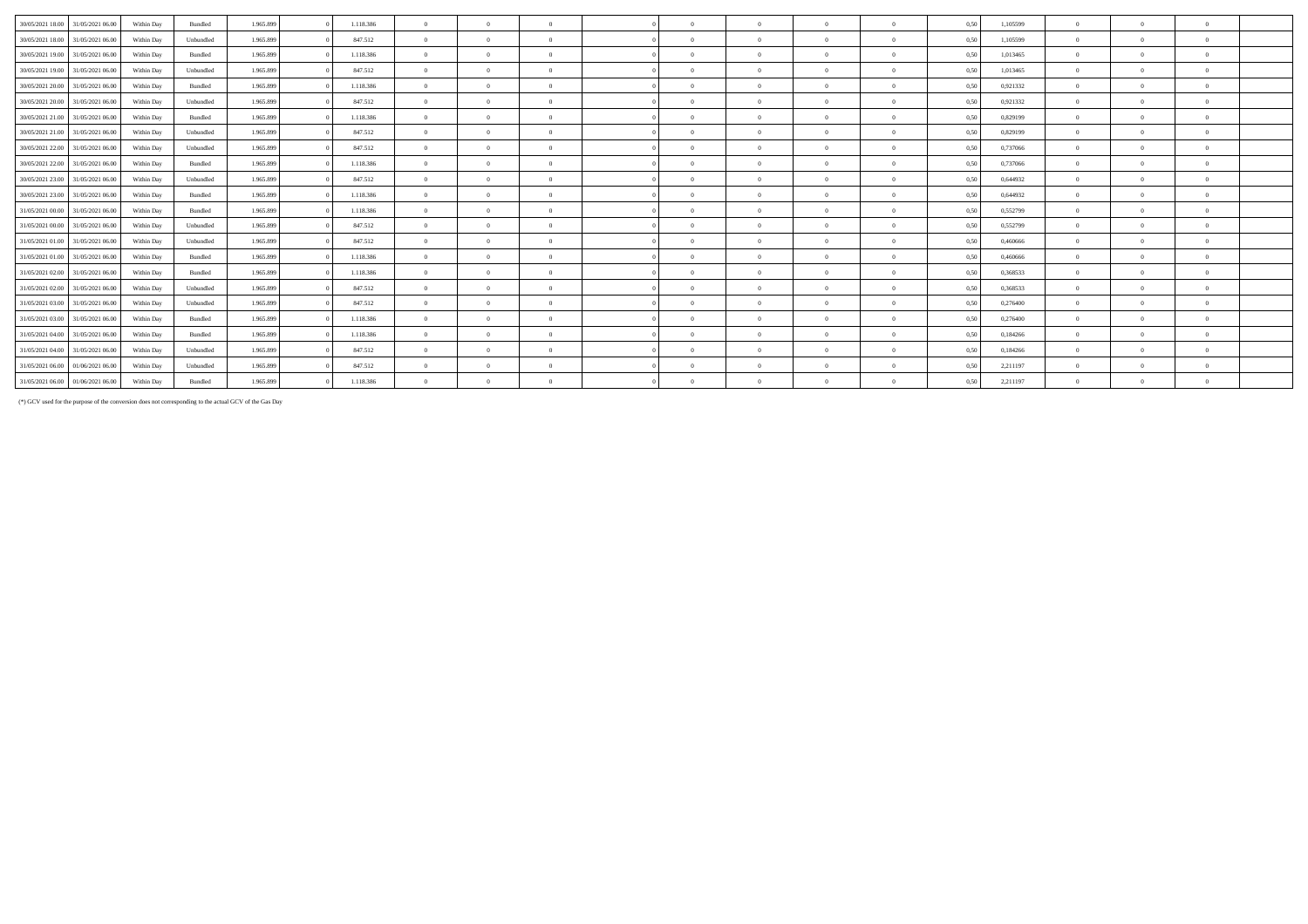| 31/05/2021 06:00                     | Within Day | Bundled   | 1.965.899 | 1.118.386 | $\Omega$       | $\Omega$ | $\Omega$       | $\theta$   | $\Omega$ | $\Omega$ | $\theta$     | 0,50 | 1,105599 | $\Omega$ |          |              |
|--------------------------------------|------------|-----------|-----------|-----------|----------------|----------|----------------|------------|----------|----------|--------------|------|----------|----------|----------|--------------|
| 31/05/2021 06:00                     | Within Day | Unbundled | 1.965.899 | 847.512   | $\Omega$       | $\Omega$ | $\Omega$       | $\Omega$   |          | $\Omega$ | $\Omega$     | 0,50 | 1,105599 |          |          | $\Omega$     |
| 31/05/2021 06:00                     | Within Day | Bundled   | 1.965.899 | 1.118.386 | $\overline{0}$ | $\Omega$ | $\Omega$       | $\Omega$   |          | $\Omega$ | $\Omega$     | 0,50 | 1.013465 | $\Omega$ |          | $\Omega$     |
| 30/05/2021 19:00<br>31/05/2021 06:00 | Within Day | Unbundled | 1.965.899 | 847.512   | $\Omega$       | $\Omega$ | $\Omega$       | $\Omega$   |          | $\Omega$ | $\Omega$     | 0,50 | 1,013465 |          |          | $\Omega$     |
| 31/05/2021 06:00                     | Within Day | Bundled   | 1.965.899 | 1.118.386 | $\Omega$       | $\theta$ | $\overline{0}$ | $\Omega$   | $\Omega$ | $\Omega$ | $\theta$     | 0,50 | 0.921332 | $\Omega$ | $\Omega$ | $\mathbf{a}$ |
| 31/05/2021 06:00                     | Within Day | Unbundled | 1.965.899 | 847.512   | $\Omega$       | $\theta$ | $\Omega$       | $\Omega$   |          | $\Omega$ | $\Omega$     | 0,50 | 0.921332 |          |          | $\Omega$     |
| 31/05/2021 06:00                     | Within Day | Bundled   | 1.965.899 | 1.118.386 | $\Omega$       | $\theta$ | $\overline{0}$ | $\Omega$   |          | $\Omega$ | $\Omega$     | 0,50 | 0,829199 | $\Omega$ |          | $\Omega$     |
| 31/05/2021 06:00                     | Within Day | Unbundled | 1.965.899 | 847.512   | $\Omega$       | $\Omega$ | $\Omega$       | $\Omega$   |          | $\Omega$ | $\Omega$     | 0.50 | 0,829199 | $\Omega$ |          | $\mathbf{a}$ |
| 31/05/2021 06:00                     | Within Day | Unbundled | 1.965.899 | 847.512   | $\overline{0}$ | $\theta$ | $\overline{0}$ | $\Omega$   | $\Omega$ | $\Omega$ | $\Omega$     | 0.50 | 0,737066 | $\Omega$ |          | $\sqrt{2}$   |
| 31/05/2021 06:00                     | Within Day | Bundled   | 1.965.899 | 1.118.386 | $\mathbf{0}$   | $\theta$ | $\Omega$       | $\Omega$   | $\Omega$ | $\Omega$ | $\Omega$     | 0.50 | 0.737066 | $\Omega$ |          | $\mathbf{a}$ |
| 30/05/2021 23.00 31/05/2021 06.00    | Within Day | Unbundled | 1.965.899 | 847.512   | $\Omega$       | $\Omega$ | $\Omega$       | $\Omega$   |          | $\Omega$ | $\Omega$     | 0.50 | 0,644932 | $\Omega$ |          | $\mathbf{a}$ |
| 30/05/2021 23.00 31/05/2021 06:00    | Within Day | Bundled   | 1.965.899 | 1.118.386 | $\Omega$       | $\Omega$ | $\Omega$       | $\Omega$   |          | $\Omega$ | $\Omega$     | 0,50 | 0,644932 |          |          | $\Omega$     |
| 31/05/2021 00:00 31/05/2021 06:00    | Within Day | Bundled   | 1.965.899 | 1.118.386 | $\Omega$       | $\Omega$ | $\Omega$       | $\Omega$   |          | $\Omega$ | $\Omega$     | 0.50 | 0,552799 |          |          |              |
| 31/05/2021 06:00                     | Within Day | Unbundled | 1.965.899 | 847.512   | $\overline{0}$ | $\Omega$ | $\Omega$       | $\Omega$   | $\Omega$ | $\Omega$ | $\Omega$     | 0,50 | 0,552799 | $\Omega$ |          | $\Omega$     |
| 31/05/2021 06:00                     | Within Day | Unbundled | 1.965.899 | 847.512   | $\Omega$       | $\theta$ | $\Omega$       | $\Omega$   |          | $\Omega$ | $\Omega$     | 0.50 | 0.460666 | $\Omega$ |          | $\Omega$     |
| 31/05/2021 06:00                     | Within Day | Bundled   | 1.965.899 | 1.118.386 | $\Omega$       | $\Omega$ | $\Omega$       | $\Omega$   | $\Omega$ | $\Omega$ | $\mathbf{0}$ | 0,50 | 0,460666 | $\Omega$ | $\Omega$ | $\mathbf{a}$ |
| 31/05/2021 06:00                     | Within Day | Bundled   | 1.965.899 | 1.118.386 | $\Omega$       | $\Omega$ | $\Omega$       | $\sqrt{2}$ |          | $\Omega$ | $\Omega$     | 0.50 | 0,368533 | $\Omega$ |          | $\sqrt{2}$   |
| 31/05/2021 06:00                     | Within Dav | Unbundled | 1.965.899 | 847.512   | $\Omega$       | $\Omega$ | $\Omega$       | $\Omega$   |          | $\Omega$ | $\Omega$     | 0.50 | 0.368533 | $\Omega$ |          | $\Omega$     |
| 31/05/2021 06:00                     | Within Day | Unbundled | 1.965.899 | 847.512   | $\Omega$       | $\Omega$ | $\Omega$       | $\Omega$   |          | $\Omega$ | $\Omega$     | 0,50 | 0,276400 | $\Omega$ |          | $\sim$       |
| 31/05/2021 06:00                     | Within Day | Bundled   | 1.965.899 | 1.118.386 | $\Omega$       | $\Omega$ | $\Omega$       | $\Omega$   |          | $\Omega$ | $\Omega$     | 0,50 | 0,276400 | $\Omega$ | $\Omega$ | $\mathbf{a}$ |
| 31/05/2021 06:00                     | Within Day | Bundled   | 1.965.899 | 1.118.386 | $\Omega$       | $\Omega$ | $\Omega$       | $\Omega$   |          | $\Omega$ | $\Omega$     | 0,50 | 0,184266 | $\Omega$ |          | $\Omega$     |
| 31/05/2021 06:00                     | Within Day | Unbundled | 1.965.899 | 847.512   | $\overline{0}$ | $\Omega$ | $\Omega$       | $\Omega$   |          | $\Omega$ | $\Omega$     | 0,50 | 0,184266 | $\Omega$ |          | $\sqrt{2}$   |
| 01/06/2021 06:00                     | Within Day | Unbundled | 1.965.899 | 847.512   | $\Omega$       | $\theta$ | $\Omega$       | $\Omega$   |          | $\Omega$ | $\Omega$     | 0.50 | 2,211197 |          |          | $\Omega$     |
| 01/06/2021 06:00                     | Within Day | Bundled   | 1.965.899 | 1.118.386 | $\Omega$       | $\theta$ | $\Omega$       | $\Omega$   |          |          |              | 0.50 | 2,211197 |          |          |              |
|                                      |            |           |           |           |                |          |                |            |          |          |              |      |          |          |          |              |

(\*) GCV used for the purpose of the conversion does not corresponding to the actual GCV of the Gas Day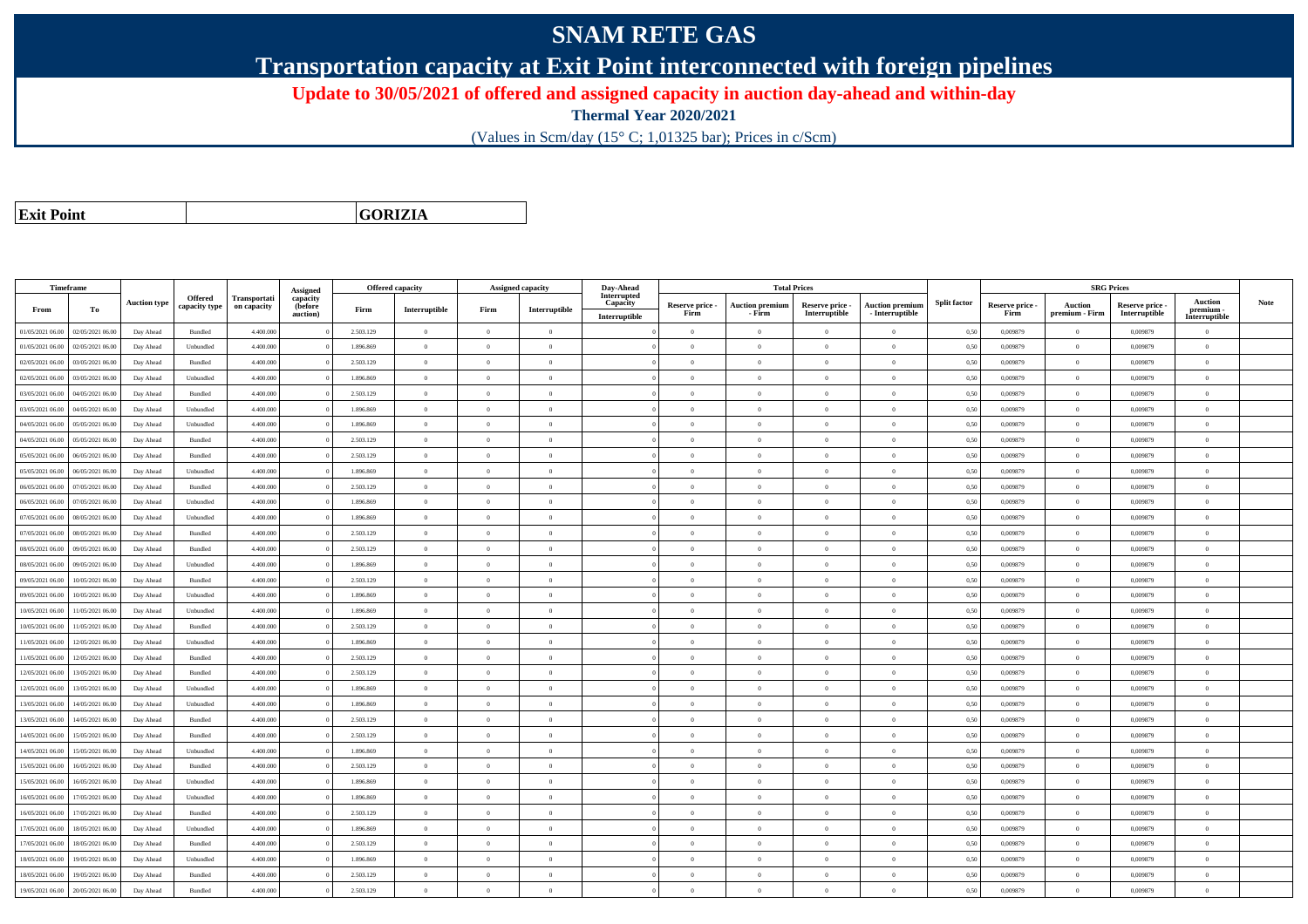## **SNAM RETE GAS**

**Transportation capacity at Exit Point interconnected with foreign pipelines**

**Update to 30/05/2021 of offered and assigned capacity in auction day-ahead and within-day**

**Thermal Year 2020/2021**

(Values in Scm/day (15° C; 1,01325 bar); Prices in c/Scm)

**Exit Point**

**GORIZIA**

|                  | Timeframe        |                     |                          |                                    | Assigned                        |           | <b>Offered capacity</b> |                | <b>Assigned capacity</b> | Day-Ahead                                |                         |                                  | <b>Total Prices</b>              |                                           |                     |                         |                           | <b>SRG Prices</b>                |                                              |      |
|------------------|------------------|---------------------|--------------------------|------------------------------------|---------------------------------|-----------|-------------------------|----------------|--------------------------|------------------------------------------|-------------------------|----------------------------------|----------------------------------|-------------------------------------------|---------------------|-------------------------|---------------------------|----------------------------------|----------------------------------------------|------|
| From             | To               | <b>Auction type</b> | Offered<br>capacity type | <b>Transportati</b><br>on capacity | capacity<br>(before<br>auction) | Firm      | Interruptible           | Firm           | Interruptible            | Interrupted<br>Capacity<br>Interruptible | Reserve price -<br>Firm | <b>Auction premiun</b><br>- Firm | Reserve price -<br>Interruptible | <b>Auction premium</b><br>- Interruptible | <b>Split factor</b> | Reserve price -<br>Firm | Auction<br>premium - Firm | Reserve price -<br>Interruptible | <b>Auction</b><br>premium -<br>Interruptible | Note |
| 01/05/2021 06:00 | 02/05/2021 06:00 | Day Ahead           | Bundled                  | 4.400.000                          |                                 | 2.503.129 | $\overline{0}$          | $\overline{0}$ | $\overline{0}$           |                                          | $\overline{0}$          | $\overline{0}$                   | $\overline{0}$                   | $\overline{0}$                            | 0,50                | 0,009879                | $\overline{0}$            | 0,009879                         | $\overline{0}$                               |      |
| 01/05/2021 06:00 | 02/05/2021 06:00 | Day Ahead           | Unbundled                | 4.400,000                          |                                 | 1.896.869 | $\overline{0}$          | $\Omega$       | $\Omega$                 |                                          | $\theta$                | $\theta$                         | $\Omega$                         | $\Omega$                                  | 0,50                | 0.009879                | $\Omega$                  | 0.009879                         | $\theta$                                     |      |
| 02/05/2021 06:00 | 03/05/2021 06:00 | Day Ahead           | Bundled                  | 4.400.000                          |                                 | 2.503.129 | $\overline{0}$          | $\overline{0}$ | $\theta$                 |                                          | $\theta$                | $\theta$                         | $\overline{0}$                   | $\bf{0}$                                  | 0,50                | 0,009879                | $\overline{0}$            | 0,009879                         | $\overline{0}$                               |      |
| 02/05/2021 06:00 | 03/05/2021 06:00 | Day Ahead           | Unbundled                | 4.400.000                          |                                 | 1.896.869 | $\overline{0}$          | $\overline{0}$ | $\overline{0}$           |                                          | $\theta$                | $\theta$                         | $\overline{0}$                   | $\bf{0}$                                  | 0,50                | 0,009879                | $\mathbf{0}$              | 0,009879                         | $\overline{0}$                               |      |
| 03/05/2021 06:00 | 04/05/2021 06:00 | Day Ahead           | Bundled                  | 4.400.000                          |                                 | 2.503.129 | $\,$ 0 $\,$             | $\overline{0}$ | $\overline{0}$           |                                          | $\overline{0}$          | $\theta$                         | $\overline{0}$                   | $\overline{0}$                            | 0,50                | 0.009879                | $\,$ 0 $\,$               | 0.009879                         | $\theta$                                     |      |
| 03/05/2021 06:00 | 04/05/2021 06.00 | Day Ahead           | Unbundled                | 4.400.000                          |                                 | 1.896.869 | $\overline{0}$          | $\Omega$       | $\Omega$                 |                                          | $\Omega$                | $\Omega$                         | $\Omega$                         | $\bf{0}$                                  | 0,50                | 0,009879                | $\mathbf{0}$              | 0,009879                         | $\theta$                                     |      |
| 04/05/2021 06:00 | 05/05/2021 06:00 | Day Ahead           | Unbundled                | 4,400,000                          |                                 | 1.896.869 | $\overline{0}$          | $\overline{0}$ | $\Omega$                 |                                          | $\Omega$                | $\theta$                         | $\overline{0}$                   | $\theta$                                  | 0,50                | 0.009879                | $\overline{0}$            | 0.009879                         | $\theta$                                     |      |
| 04/05/2021 06:00 | 05/05/2021 06:00 | Day Ahead           | Bundled                  | 4.400.000                          |                                 | 2.503.129 | $\overline{0}$          | $\Omega$       | $\Omega$                 |                                          | $\theta$                | $\theta$                         | $\overline{0}$                   | $\bf{0}$                                  | 0,50                | 0,009879                | $\mathbf{0}$              | 0,009879                         | $\theta$                                     |      |
| 05/05/2021 06:00 | 06/05/2021 06:00 | Day Ahead           | Bundled                  | 4.400,000                          |                                 | 2.503.129 | $\overline{0}$          | $\Omega$       | $\Omega$                 |                                          | $\theta$                | $\theta$                         | $\theta$                         | $\theta$                                  | 0.50                | 0.009879                | $\Omega$                  | 0.009879                         | $\theta$                                     |      |
| 05/05/2021 06:00 | 06/05/2021 06:00 | Day Ahead           | Unbundled                | 4.400.000                          |                                 | 1.896.869 | $\overline{0}$          | $\overline{0}$ | $\Omega$                 |                                          | $\theta$                | $\theta$                         | $\theta$                         | $\bf{0}$                                  | 0,50                | 0,009879                | $\mathbf{0}$              | 0,009879                         | $\overline{0}$                               |      |
| 06/05/2021 06:00 | 07/05/2021 06.00 | Day Ahead           | Bundled                  | 4.400.000                          |                                 | 2.503.129 | $\overline{0}$          | $\overline{0}$ | $\theta$                 |                                          | $\theta$                | $\overline{0}$                   | $\overline{0}$                   | $\bf{0}$                                  | 0,50                | 0.009879                | $\overline{0}$            | 0.009879                         | $\overline{0}$                               |      |
| 06/05/2021 06:00 | 07/05/2021 06:00 | Day Ahead           | Unbundled                | 4.400,000                          |                                 | 1.896.869 | $\overline{0}$          | $\Omega$       | $\Omega$                 |                                          | $\overline{0}$          | $\theta$                         | $\overline{0}$                   | $\overline{0}$                            | 0,50                | 0.009879                | $\,0\,$                   | 0.009879                         | $\theta$                                     |      |
| 07/05/2021 06:00 | 08/05/2021 06:00 | Day Ahead           | Unbundled                | 4.400.000                          |                                 | 1.896.869 | $\overline{0}$          | $\overline{0}$ | $\overline{0}$           |                                          | $\theta$                | $\theta$                         | $\overline{0}$                   | $\bf{0}$                                  | 0,50                | 0,009879                | $\theta$                  | 0,009879                         | $\overline{0}$                               |      |
| 07/05/2021 06:00 | 08/05/2021 06:00 | Day Ahead           | Bundled                  | 4.400.000                          |                                 | 2.503.129 | $\overline{0}$          | $\overline{0}$ | $\overline{0}$           |                                          | $\theta$                | $\theta$                         | $\overline{0}$                   | $\bf{0}$                                  | 0,50                | 0,009879                | $\mathbf{0}$              | 0,009879                         | $\overline{0}$                               |      |
| 08/05/2021 06:00 | 09/05/2021 06:00 | Day Ahead           | Bundled                  | 4.400.000                          |                                 | 2.503.129 | $\overline{0}$          | $\Omega$       | $\Omega$                 |                                          | $\theta$                | $\theta$                         | $\overline{0}$                   | $\bf{0}$                                  | 0,50                | 0,009879                | $\mathbf{0}$              | 0,009879                         | $\theta$                                     |      |
| 08/05/2021 06:00 | 09/05/2021 06:00 | Day Ahead           | Unbundled                | 4.400.000                          |                                 | 1.896.869 | $\overline{0}$          | $\Omega$       | $\Omega$                 |                                          | $\Omega$                | $\theta$                         | $\Omega$                         | $\Omega$                                  | 0,50                | 0,009879                | $\mathbf{0}$              | 0,009879                         | $\theta$                                     |      |
| 09/05/2021 06:00 | 10/05/2021 06:00 | Day Ahead           | $\mathbf B$ undled       | 4,400,000                          |                                 | 2.503.129 | $\overline{0}$          | $\overline{0}$ | $\Omega$                 |                                          | $\Omega$                | $\theta$                         | $\overline{0}$                   | $\theta$                                  | 0,50                | 0.009879                | $\overline{0}$            | 0.009879                         | $\theta$                                     |      |
| 09/05/2021 06:00 | 10/05/2021 06:00 | Day Ahead           | Unbundled                | 4.400.000                          |                                 | 1.896.869 | $\overline{0}$          | $\overline{0}$ | $\overline{0}$           |                                          | $\theta$                | $\theta$                         | $\overline{0}$                   | $\bf{0}$                                  | 0,50                | 0,009879                | $\mathbf{0}$              | 0,009879                         | $\overline{0}$                               |      |
| 10/05/2021 06:00 | 11/05/2021 06:00 | Day Ahead           | Unbundled                | 4,400,000                          |                                 | 1.896.869 | $\overline{0}$          | $\Omega$       | $\Omega$                 |                                          | $\theta$                | $\theta$                         | $\theta$                         | $\theta$                                  | 0.50                | 0.009879                | $\Omega$                  | 0.009879                         | $\theta$                                     |      |
| 10/05/2021 06:00 | 11/05/2021 06:00 | Day Ahead           | Bundled                  | 4,400,000                          |                                 | 2.503.129 | $\overline{0}$          | $\overline{0}$ | $\Omega$                 |                                          | $\Omega$                | $\theta$                         | $\Omega$                         | $\theta$                                  | 0.50                | 0.009879                | $\overline{0}$            | 0.009879                         | $\theta$                                     |      |
| 11/05/2021 06:00 | 12/05/2021 06:00 | Day Ahead           | Unbundled                | 4.400.000                          |                                 | 1.896.869 | $\overline{0}$          | $\Omega$       | $\theta$                 |                                          | $\theta$                | $\theta$                         | $\Omega$                         | $\theta$                                  | 0,50                | 0,009879                | $\Omega$                  | 0.009879                         | $\theta$                                     |      |
| 11/05/2021 06:00 | 12/05/2021 06:00 | Day Ahead           | Bundled                  | 4,400,000                          |                                 | 2.503.129 | $\overline{0}$          | $\Omega$       | $\Omega$                 |                                          | $\theta$                | $\theta$                         | $\theta$                         | $\Omega$                                  | 0,50                | 0.009879                | $\mathbf{0}$              | 0.009879                         | $\theta$                                     |      |
| 12/05/2021 06:00 | 13/05/2021 06:00 | Day Ahead           | Bundled                  | 4.400.000                          |                                 | 2.503.129 | $\overline{0}$          | $\overline{0}$ | $\Omega$                 |                                          | $\theta$                | $\mathbf{a}$                     | $\overline{0}$                   | $\bf{0}$                                  | 0,50                | 0,009879                | $\mathbf{0}$              | 0,009879                         | $\overline{0}$                               |      |
| 12/05/2021 06:00 | 13/05/2021 06:00 | Day Ahead           | Unbundled                | 4.400.000                          |                                 | 1.896.869 | $\overline{0}$          | $\overline{0}$ | $\overline{0}$           |                                          | $\theta$                | $\theta$                         | $\overline{0}$                   | $\overline{0}$                            | 0,50                | 0,009879                | $\mathbf{0}$              | 0,009879                         | $\overline{0}$                               |      |
| 13/05/2021 06:00 | 14/05/2021 06:00 | Day Ahead           | Unbundled                | 4.400.000                          |                                 | 1.896.869 | $\,$ 0 $\,$             | $\overline{0}$ | $\overline{0}$           |                                          | $\overline{0}$          | $\theta$                         | $\overline{0}$                   | $\overline{0}$                            | 0,50                | 0,009879                | $\bf{0}$                  | 0,009879                         | $\overline{0}$                               |      |
| 13/05/2021 06:00 | 14/05/2021 06.00 | Day Ahead           | Bundled                  | 4.400.000                          |                                 | 2.503.129 | $\overline{0}$          | $\overline{0}$ | $\overline{0}$           |                                          | $\theta$                | $\theta$                         | $\theta$                         | $\bf{0}$                                  | 0,50                | 0,009879                | $\overline{0}$            | 0,009879                         | $\overline{0}$                               |      |
| 14/05/2021 06:00 | 15/05/2021 06:00 | Day Ahead           | Bundled                  | 4,400,000                          |                                 | 2.503.129 | $\overline{0}$          | $\Omega$       | $\Omega$                 |                                          | $\theta$                | $\theta$                         | $\Omega$                         | $\theta$                                  | 0,50                | 0.009879                | $\mathbf{0}$              | 0.009879                         | $\theta$                                     |      |
| 14/05/2021 06:00 | 15/05/2021 06:00 | Day Ahead           | Unbundled                | 4.400.000                          |                                 | 1.896.869 | $\overline{0}$          | $\Omega$       | $\Omega$                 |                                          | $\theta$                | $\theta$                         | $\overline{0}$                   | $\bf{0}$                                  | 0,50                | 0,009879                | $\mathbf{0}$              | 0,009879                         | $\overline{0}$                               |      |
| 15/05/2021 06:00 | 16/05/2021 06:00 | Day Ahead           | Bundled                  | 4.400.000                          |                                 | 2.503.129 | $\overline{0}$          | $\Omega$       | $\Omega$                 |                                          | $\Omega$                | $\theta$                         | $\Omega$                         | $\Omega$                                  | 0,50                | 0,009879                | $\theta$                  | 0,009879                         | $\theta$                                     |      |
| 15/05/2021 06:00 | 16/05/2021 06:00 | Day Ahead           | Unbundled                | 4.400,000                          |                                 | 1.896,869 | $\overline{0}$          | $\overline{0}$ | $\Omega$                 |                                          | $\Omega$                | $\theta$                         | $\overline{0}$                   | $\theta$                                  | 0,50                | 0.009879                | $\overline{0}$            | 0.009879                         | $\theta$                                     |      |
| 16/05/2021 06:00 | 17/05/2021 06:00 | Day Ahead           | Unbundled                | 4.400.000                          |                                 | 1.896.869 | $\overline{0}$          | $\overline{0}$ | $\theta$                 |                                          | $\theta$                | $\theta$                         | $\overline{0}$                   | $\bf{0}$                                  | 0,50                | 0,009879                | $\mathbf{0}$              | 0.009879                         | $\theta$                                     |      |
| 16/05/2021 06:00 | 17/05/2021 06:00 | Day Ahead           | Bundled                  | 4,400,000                          |                                 | 2.503.129 | $\overline{0}$          | $\overline{0}$ | $\overline{0}$           |                                          | $\theta$                | $\overline{0}$                   | $\overline{0}$                   | $\overline{0}$                            | 0.50                | 0.009879                | $\mathbf{0}$              | 0.009879                         | $\overline{0}$                               |      |
| 17/05/2021 06:00 | 18/05/2021 06:00 | Day Ahead           | Unbundled                | 4.400.000                          |                                 | 1.896.869 | $\overline{0}$          | $\overline{0}$ | $\overline{0}$           |                                          | $\theta$                | $\theta$                         | $\overline{0}$                   | $\bf{0}$                                  | 0,50                | 0,009879                | $\mathbf{0}$              | 0,009879                         | $\overline{0}$                               |      |
| 17/05/2021 06:00 | 18/05/2021 06:00 | Day Ahead           | Bundled                  | 4.400.000                          |                                 | 2.503.129 | $\overline{0}$          | $\overline{0}$ | $\overline{0}$           |                                          | $\theta$                | $\theta$                         | $\overline{0}$                   | $\bf{0}$                                  | 0,50                | 0,009879                | $\mathbf{0}$              | 0,009879                         | $\overline{0}$                               |      |
| 18/05/2021 06:00 | 19/05/2021 06:00 | Day Ahead           | Unbundled                | 4.400.000                          |                                 | 1.896.869 | $\overline{0}$          | $\Omega$       | $\Omega$                 |                                          | $\theta$                | $\theta$                         | $\Omega$                         | $\Omega$                                  | 0,50                | 0.009879                | $\mathbf{0}$              | 0.009879                         | $\theta$                                     |      |
| 18/05/2021 06:00 | 19/05/2021 06.0  | Day Ahead           | Bundled                  | 4.400.000                          |                                 | 2.503.129 | $\overline{0}$          | $\overline{0}$ | $\theta$                 |                                          | $\theta$                | $\theta$                         | $\overline{0}$                   | $\bf{0}$                                  | 0,50                | 0,009879                | $\theta$                  | 0,009879                         | $\overline{0}$                               |      |
| 19/05/2021 06:00 | 20/05/2021 06:00 | Day Ahead           | Bundled                  | 4,400,000                          |                                 | 2.503.129 | $\Omega$                | $\Omega$       | $\theta$                 |                                          | $\theta$                | $\theta$                         | $\Omega$                         | $\theta$                                  | 0,50                | 0.009879                | $\mathbf{0}$              | 0.009879                         | $\theta$                                     |      |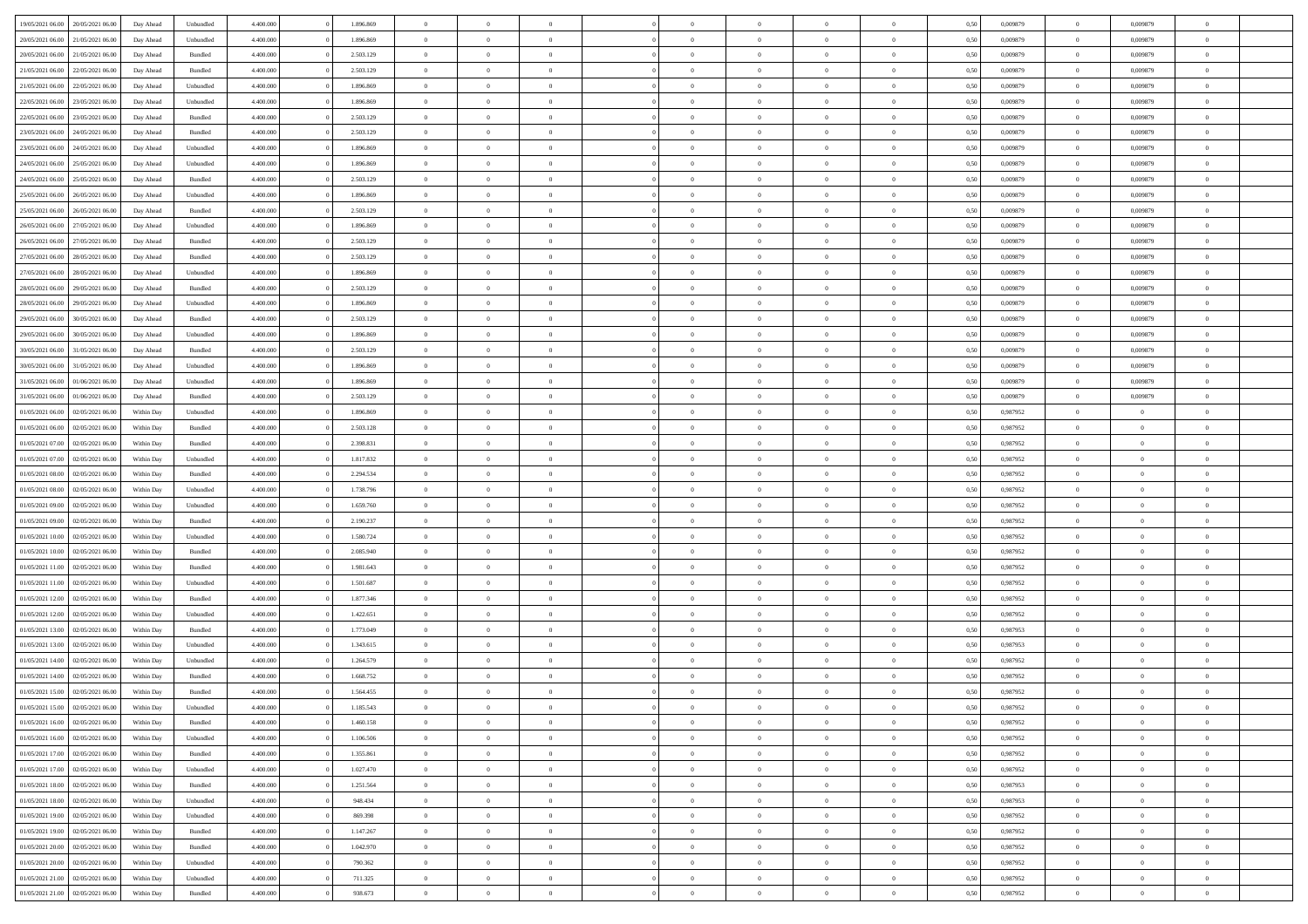| 19/05/2021 06:00 | 20/05/2021 06:00 | Day Ahead  | Unbundled | 4.400.000 | 1.896.869 | $\overline{0}$ | $\Omega$       |                |                | $\theta$       | $\Omega$       | $\Omega$       | 0,50 | 0,009879 | $\mathbf{0}$   | 0,009879       | $\Omega$       |  |
|------------------|------------------|------------|-----------|-----------|-----------|----------------|----------------|----------------|----------------|----------------|----------------|----------------|------|----------|----------------|----------------|----------------|--|
| 20/05/2021 06:00 | 21/05/2021 06:00 | Day Ahead  | Unbundled | 4.400.000 | 1.896.869 | $\overline{0}$ | $\overline{0}$ | $\overline{0}$ |                | $\overline{0}$ | $\overline{0}$ | $\theta$       | 0,50 | 0,009879 | $\bf{0}$       | 0,009879       | $\bf{0}$       |  |
| 20/05/2021 06:00 | 21/05/2021 06:00 | Day Ahead  | Bundled   | 4.400.000 | 2.503.129 | $\overline{0}$ | $\bf{0}$       | $\overline{0}$ | $\overline{0}$ | $\bf{0}$       | $\overline{0}$ | $\bf{0}$       | 0,50 | 0,009879 | $\bf{0}$       | 0,009879       | $\bf{0}$       |  |
| 21/05/2021 06:00 | 22/05/2021 06:00 | Day Ahead  | Bundled   | 4.400.000 | 2.503.129 | $\overline{0}$ | $\overline{0}$ | $\overline{0}$ | $^{\circ}$     | $\overline{0}$ | $\overline{0}$ | $\bf{0}$       | 0.50 | 0,009879 | $\mathbf{0}$   | 0.009879       | $\overline{0}$ |  |
|                  |                  |            |           |           |           |                |                |                |                |                |                |                |      |          |                |                |                |  |
| 21/05/2021 06:00 | 22/05/2021 06:00 | Day Ahead  | Unbundled | 4.400.000 | 1.896.869 | $\overline{0}$ | $\overline{0}$ | $\overline{0}$ |                | $\overline{0}$ | $\overline{0}$ | $\theta$       | 0,50 | 0,009879 | $\bf{0}$       | 0,009879       | $\overline{0}$ |  |
| 22/05/2021 06:00 | 23/05/2021 06:00 | Day Ahead  | Unbundled | 4.400.000 | 1.896.869 | $\overline{0}$ | $\bf{0}$       | $\overline{0}$ | $\overline{0}$ | $\bf{0}$       | $\overline{0}$ | $\bf{0}$       | 0,50 | 0,009879 | $\overline{0}$ | 0,009879       | $\bf{0}$       |  |
| 22/05/2021 06:00 | 23/05/2021 06:00 | Day Ahead  | Bundled   | 4.400.000 | 2.503.129 | $\overline{0}$ | $\overline{0}$ | $\overline{0}$ | $\Omega$       | $\overline{0}$ | $\overline{0}$ | $\bf{0}$       | 0,50 | 0,009879 | $\overline{0}$ | 0,009879       | $\overline{0}$ |  |
| 23/05/2021 06:00 | 24/05/2021 06.00 | Day Ahead  | Bundled   | 4.400.000 | 2.503.129 | $\overline{0}$ | $\overline{0}$ | $\overline{0}$ |                | $\overline{0}$ | $\overline{0}$ | $\theta$       | 0,50 | 0,009879 | $\bf{0}$       | 0,009879       | $\overline{0}$ |  |
|                  |                  |            |           |           |           |                |                |                |                |                |                |                |      |          |                |                |                |  |
| 23/05/2021 06:00 | 24/05/2021 06:00 | Day Ahead  | Unbundled | 4.400.000 | 1.896.869 | $\overline{0}$ | $\overline{0}$ | $\overline{0}$ | $\overline{0}$ | $\bf{0}$       | $\overline{0}$ | $\bf{0}$       | 0,50 | 0,009879 | $\bf{0}$       | 0,009879       | $\bf{0}$       |  |
| 24/05/2021 06:00 | 25/05/2021 06:00 | Day Ahead  | Unbundled | 4.400.000 | 1.896.869 | $\overline{0}$ | $\overline{0}$ | $\overline{0}$ | $\Omega$       | $\overline{0}$ | $\overline{0}$ | $\bf{0}$       | 0.50 | 0,009879 | $\overline{0}$ | 0,009879       | $\overline{0}$ |  |
| 24/05/2021 06:00 | 25/05/2021 06:00 | Day Ahead  | Bundled   | 4.400.000 | 2.503.129 | $\overline{0}$ | $\overline{0}$ | $\overline{0}$ | $\overline{0}$ | $\overline{0}$ | $\overline{0}$ | $\theta$       | 0,50 | 0,009879 | $\,0\,$        | 0,009879       | $\overline{0}$ |  |
| 25/05/2021 06:00 | 26/05/2021 06:00 | Day Ahead  | Unbundled | 4.400.000 | 1.896.869 | $\overline{0}$ | $\bf{0}$       | $\overline{0}$ | $\overline{0}$ | $\bf{0}$       | $\overline{0}$ | $\bf{0}$       | 0,50 | 0,009879 | $\bf{0}$       | 0,009879       | $\bf{0}$       |  |
| 25/05/2021 06:00 | 26/05/2021 06:00 | Day Ahead  | Bundled   | 4.400.000 | 2.503.129 | $\overline{0}$ | $\overline{0}$ | $\overline{0}$ | $^{\circ}$     | $\overline{0}$ | $\overline{0}$ | $\bf{0}$       | 0.50 | 0,009879 | $\mathbf{0}$   | 0.009879       | $\overline{0}$ |  |
|                  |                  |            |           |           |           |                |                |                |                |                |                |                |      |          |                |                |                |  |
| 26/05/2021 06:00 | 27/05/2021 06:00 | Day Ahead  | Unbundled | 4.400.000 | 1.896.869 | $\overline{0}$ | $\overline{0}$ | $\overline{0}$ |                | $\overline{0}$ | $\overline{0}$ | $\theta$       | 0,50 | 0,009879 | $\bf{0}$       | 0,009879       | $\overline{0}$ |  |
| 26/05/2021 06:00 | 27/05/2021 06:00 | Day Ahead  | Bundled   | 4.400.000 | 2.503.129 | $\overline{0}$ | $\bf{0}$       | $\overline{0}$ | $\overline{0}$ | $\bf{0}$       | $\overline{0}$ | $\bf{0}$       | 0,50 | 0,009879 | $\overline{0}$ | 0,009879       | $\bf{0}$       |  |
| 27/05/2021 06:00 | 28/05/2021 06:00 | Day Ahead  | Bundled   | 4.400.000 | 2.503.129 | $\overline{0}$ | $\overline{0}$ | $\overline{0}$ | $\Omega$       | $\overline{0}$ | $\overline{0}$ | $\bf{0}$       | 0.50 | 0,009879 | $\overline{0}$ | 0,009879       | $\overline{0}$ |  |
| 27/05/2021 06:00 | 28/05/2021 06:00 | Day Ahead  | Unbundled | 4.400.000 | 1.896.869 | $\overline{0}$ | $\overline{0}$ | $\overline{0}$ | $\overline{0}$ | $\overline{0}$ | $\overline{0}$ | $\theta$       | 0,50 | 0,009879 | $\bf{0}$       | 0,009879       | $\overline{0}$ |  |
|                  |                  |            |           |           |           |                |                |                |                |                |                |                |      |          |                |                |                |  |
| 28/05/2021 06:00 | 29/05/2021 06:00 | Day Ahead  | Bundled   | 4.400.000 | 2.503.129 | $\overline{0}$ | $\overline{0}$ | $\overline{0}$ | $\overline{0}$ | $\bf{0}$       | $\overline{0}$ | $\bf{0}$       | 0,50 | 0,009879 | $\bf{0}$       | 0,009879       | $\bf{0}$       |  |
| 28/05/2021 06:00 | 29/05/2021 06:00 | Day Ahead  | Unbundled | 4.400.000 | 1.896.869 | $\overline{0}$ | $\overline{0}$ | $\overline{0}$ | $\Omega$       | $\overline{0}$ | $\overline{0}$ | $\bf{0}$       | 0.50 | 0,009879 | $\mathbf{0}$   | 0,009879       | $\overline{0}$ |  |
| 29/05/2021 06:00 | 30/05/2021 06:00 | Day Ahead  | Bundled   | 4.400.000 | 2.503.129 | $\overline{0}$ | $\overline{0}$ | $\overline{0}$ | $\overline{0}$ | $\overline{0}$ | $\overline{0}$ | $\theta$       | 0,50 | 0,009879 | $\bf{0}$       | 0,009879       | $\overline{0}$ |  |
| 29/05/2021 06:00 | 30/05/2021 06.00 | Day Ahead  | Unbundled | 4.400.000 | 1.896.869 | $\overline{0}$ | $\bf{0}$       | $\overline{0}$ | $\overline{0}$ | $\bf{0}$       | $\overline{0}$ | $\bf{0}$       | 0,50 | 0,009879 | $\bf{0}$       | 0,009879       | $\bf{0}$       |  |
| 30/05/2021 06:00 | 31/05/2021 06:00 | Day Ahead  | Bundled   | 4.400.000 | 2.503.129 | $\overline{0}$ | $\overline{0}$ | $\overline{0}$ | $^{\circ}$     | $\overline{0}$ | $\overline{0}$ | $\bf{0}$       | 0.50 | 0,009879 | $\mathbf{0}$   | 0.009879       | $\overline{0}$ |  |
|                  |                  |            |           |           |           |                |                |                |                |                |                |                |      |          |                |                |                |  |
| 30/05/2021 06:00 | 31/05/2021 06:00 | Day Ahead  | Unbundled | 4.400.000 | 1.896.869 | $\overline{0}$ | $\overline{0}$ | $\overline{0}$ |                | $\overline{0}$ | $\overline{0}$ | $\theta$       | 0,50 | 0,009879 | $\bf{0}$       | 0,009879       | $\overline{0}$ |  |
| 31/05/2021 06:00 | 01/06/2021 06:00 | Day Ahead  | Unbundled | 4.400.000 | 1.896.869 | $\overline{0}$ | $\overline{0}$ | $\overline{0}$ | $\overline{0}$ | $\bf{0}$       | $\overline{0}$ | $\bf{0}$       | 0,50 | 0,009879 | $\overline{0}$ | 0,009879       | $\bf{0}$       |  |
| 31/05/2021 06:00 | 01/06/2021 06:00 | Day Ahead  | Bundled   | 4.400.000 | 2.503.129 | $\overline{0}$ | $\overline{0}$ | $\overline{0}$ | $^{\circ}$     | $\overline{0}$ | $\overline{0}$ | $\bf{0}$       | 0.50 | 0,009879 | $\mathbf{0}$   | 0,009879       | $\overline{0}$ |  |
| 01/05/2021 06:00 | 02/05/2021 06:00 | Within Day | Unbundled | 4.400.000 | 1.896.869 | $\overline{0}$ | $\overline{0}$ | $\overline{0}$ | $\overline{0}$ | $\overline{0}$ | $\overline{0}$ | $\theta$       | 0,50 | 0,987952 | $\bf{0}$       | $\overline{0}$ | $\bf{0}$       |  |
|                  |                  |            |           |           |           |                |                |                |                |                |                |                |      |          |                |                |                |  |
| 01/05/2021 06:00 | 02/05/2021 06:00 | Within Day | Bundled   | 4.400.000 | 2.503.128 | $\overline{0}$ | $\overline{0}$ | $\overline{0}$ | $\overline{0}$ | $\,$ 0 $\,$    | $\overline{0}$ | $\bf{0}$       | 0,50 | 0,987952 | $\bf{0}$       | $\overline{0}$ | $\bf{0}$       |  |
| 01/05/2021 07:00 | 02/05/2021 06:00 | Within Dav | Bundled   | 4.400.000 | 2.398.831 | $\overline{0}$ | $\overline{0}$ | $\overline{0}$ | $\Omega$       | $\overline{0}$ | $\overline{0}$ | $\bf{0}$       | 0.50 | 0,987952 | $\mathbf{0}$   | $\overline{0}$ | $\overline{0}$ |  |
| 01/05/2021 07:00 | 02/05/2021 06:00 | Within Day | Unbundled | 4.400.000 | 1.817.832 | $\overline{0}$ | $\overline{0}$ | $\overline{0}$ | $\overline{0}$ | $\overline{0}$ | $\overline{0}$ | $\theta$       | 0,50 | 0,987952 | $\bf{0}$       | $\overline{0}$ | $\bf{0}$       |  |
| 01/05/2021 08:00 | 02/05/2021 06:00 | Within Day | Bundled   | 4.400.000 | 2.294.534 | $\overline{0}$ | $\bf{0}$       | $\overline{0}$ | $\overline{0}$ | $\bf{0}$       | $\overline{0}$ | $\bf{0}$       | 0,50 | 0,987952 | $\bf{0}$       | $\bf{0}$       | $\bf{0}$       |  |
| 01/05/2021 08:00 | 02/05/2021 06:00 | Within Day | Unbundled | 4,400,000 | 1.738.796 | $\overline{0}$ | $\Omega$       | $\Omega$       | $\sqrt{2}$     | $\theta$       | $\overline{0}$ | $\theta$       | 0.50 | 0,987952 | $\,0\,$        | $\Omega$       | $\Omega$       |  |
|                  |                  |            |           |           |           |                |                |                |                |                |                |                |      |          |                |                |                |  |
| 01/05/2021 09:00 | 02/05/2021 06:00 | Within Day | Unbundled | 4.400.000 | 1.659.760 | $\overline{0}$ | $\overline{0}$ | $\overline{0}$ |                | $\overline{0}$ | $\overline{0}$ | $\theta$       | 0,50 | 0,987952 | $\bf{0}$       | $\overline{0}$ | $\overline{0}$ |  |
| 01/05/2021 09:00 | 02/05/2021 06:00 | Within Day | Bundled   | 4.400.000 | 2.190.237 | $\overline{0}$ | $\bf{0}$       | $\overline{0}$ | $\overline{0}$ | $\bf{0}$       | $\overline{0}$ | $\bf{0}$       | 0,50 | 0,987952 | $\bf{0}$       | $\bf{0}$       | $\bf{0}$       |  |
| 01/05/2021 10:00 | 02/05/2021 06:00 | Within Day | Unbundled | 4.400,000 | 1.580.724 | $\overline{0}$ | $\Omega$       | $\Omega$       | $\Omega$       | $\theta$       | $\overline{0}$ | $\mathbf{0}$   | 0.50 | 0,987952 | $\mathbf{0}$   | $\overline{0}$ | $\theta$       |  |
| 01/05/2021 10:00 | 02/05/2021 06:00 | Within Day | Bundled   | 4.400.000 | 2.085.940 | $\overline{0}$ | $\overline{0}$ | $\overline{0}$ | $\overline{0}$ | $\overline{0}$ | $\overline{0}$ | $\theta$       | 0,50 | 0,987952 | $\bf{0}$       | $\overline{0}$ | $\bf{0}$       |  |
|                  |                  |            |           |           |           |                | $\bf{0}$       | $\overline{0}$ | $\overline{0}$ | $\bf{0}$       |                |                |      |          | $\bf{0}$       | $\overline{0}$ |                |  |
| 01/05/2021 11:00 | 02/05/2021 06:00 | Within Day | Bundled   | 4.400.000 | 1.981.643 | $\overline{0}$ |                |                |                |                | $\overline{0}$ | $\bf{0}$       | 0,50 | 0,987952 |                |                | $\bf{0}$       |  |
| 01/05/2021 11:00 | 02/05/2021 06:00 | Within Day | Unbundled | 4,400,000 | 1.501.687 | $\overline{0}$ | $\Omega$       | $\Omega$       | $\Omega$       | $\theta$       | $\overline{0}$ | $\mathbf{0}$   | 0.50 | 0.987952 | $\mathbf{0}$   | $\Omega$       | $\theta$       |  |
| 01/05/2021 12:00 | 02/05/2021 06:00 | Within Day | Bundled   | 4.400.000 | 1.877.346 | $\overline{0}$ | $\overline{0}$ | $\overline{0}$ | $\overline{0}$ | $\overline{0}$ | $\overline{0}$ | $\theta$       | 0,50 | 0,987952 | $\,0\,$        | $\overline{0}$ | $\bf{0}$       |  |
| 01/05/2021 12:00 | 02/05/2021 06:00 | Within Day | Unbundled | 4.400.000 | 1.422.651 | $\overline{0}$ | $\bf{0}$       | $\overline{0}$ | $\overline{0}$ | $\bf{0}$       | $\overline{0}$ | $\bf{0}$       | 0,50 | 0,987952 | $\bf{0}$       | $\bf{0}$       | $\bf{0}$       |  |
| 01/05/2021 13:00 | 02/05/2021 06:00 | Within Day | Bundled   | 4,400,000 | 1.773.049 | $\overline{0}$ | $\Omega$       | $\Omega$       | $\sqrt{2}$     | $\Omega$       | $\overline{0}$ | $\theta$       | 0.50 | 0,987953 | $\bf{0}$       | $\overline{0}$ | $\Omega$       |  |
|                  |                  |            |           |           |           |                |                |                |                |                |                |                |      |          |                |                |                |  |
| 01/05/2021 13:00 | 02/05/2021 06:00 | Within Day | Unbundled | 4.400.000 | 1.343.615 | $\overline{0}$ | $\overline{0}$ | $\overline{0}$ | $\overline{0}$ | $\overline{0}$ | $\overline{0}$ | $\overline{0}$ | 0,50 | 0,987953 | $\,0\,$        | $\overline{0}$ | $\overline{0}$ |  |
| 01/05/2021 14:00 | 02/05/2021 06:00 | Within Day | Unbundled | 4.400.000 | 1.264.579 | $\overline{0}$ | $\bf{0}$       | $\overline{0}$ | $\overline{0}$ | $\bf{0}$       | $\overline{0}$ | $\bf{0}$       | 0,50 | 0,987952 | $\mathbf{0}$   | $\bf{0}$       | $\bf{0}$       |  |
| 01/05/2021 14:00 | 02/05/2021 06:00 | Within Day | Bundled   | 4,400,000 | 1.668.752 | $\Omega$       | $\Omega$       | $\Omega$       | $^{\circ}$     | $\Omega$       | $\overline{0}$ | $\theta$       | 0.50 | 0.987952 | $\overline{0}$ | $\Omega$       | $\theta$       |  |
| 01/05/2021 15:00 | 02/05/2021 06:00 | Within Day | Bundled   | 4.400.000 | 1.564.455 | $\overline{0}$ | $\bf{0}$       | $\overline{0}$ | $\overline{0}$ | $\bf{0}$       | $\overline{0}$ | $\bf{0}$       | 0,50 | 0,987952 | $\bf{0}$       | $\bf{0}$       | $\bf{0}$       |  |
| 01/05/2021 15:00 | 02/05/2021 06:00 | Within Day | Unbundled | 4.400.000 | 1.185.543 | $\bf{0}$       | $\bf{0}$       |                |                |                |                |                | 0,50 | 0,987952 | $\bf{0}$       |                |                |  |
| 01/05/2021 16:00 | 02/05/2021 06:00 |            | Bundled   | 4.400.000 | 1.460.158 | $\overline{0}$ | $\overline{0}$ | $\overline{0}$ | $\Omega$       | $\overline{0}$ | $\overline{0}$ | $\theta$       | 0.50 |          | $\overline{0}$ | $\overline{0}$ | $\overline{0}$ |  |
|                  |                  | Within Day |           |           |           |                |                |                |                |                |                |                |      | 0,987952 |                |                |                |  |
| 01/05/2021 16:00 | 02/05/2021 06:00 | Within Day | Unbundled | 4.400.000 | 1.106.506 | $\overline{0}$ | $\,$ 0 $\,$    | $\overline{0}$ | $\overline{0}$ | $\,$ 0         | $\overline{0}$ | $\bf{0}$       | 0,50 | 0,987952 | $\bf{0}$       | $\,$ 0 $\,$    | $\bf{0}$       |  |
| 01/05/2021 17:00 | 02/05/2021 06:00 | Within Day | Bundled   | 4.400.000 | 1.355.861 | $\overline{0}$ | $\overline{0}$ | $\overline{0}$ | $\overline{0}$ | $\overline{0}$ | $\overline{0}$ | $\bf{0}$       | 0,50 | 0,987952 | $\overline{0}$ | $\overline{0}$ | $\bf{0}$       |  |
| 01/05/2021 17:00 | 02/05/2021 06:00 | Within Day | Unbundled | 4.400,000 | 1.027.470 | $\overline{0}$ | $\overline{0}$ | $\overline{0}$ | $\Omega$       | $\overline{0}$ | $\overline{0}$ | $\mathbf{0}$   | 0.50 | 0,987952 | $\,$ 0 $\,$    | $\bf{0}$       | $\bf{0}$       |  |
| 01/05/2021 18:00 | 02/05/2021 06:00 | Within Day | Bundled   | 4.400.000 | 1.251.564 | $\overline{0}$ | $\,$ 0 $\,$    | $\overline{0}$ | $\overline{0}$ | $\,$ 0         | $\overline{0}$ | $\bf{0}$       | 0,50 | 0,987953 | $\bf{0}$       | $\overline{0}$ | $\bf{0}$       |  |
|                  |                  |            |           |           |           |                |                |                |                |                |                |                |      |          |                |                |                |  |
| 01/05/2021 18:00 | 02/05/2021 06:00 | Within Day | Unbundled | 4.400.000 | 948.434   | $\overline{0}$ | $\overline{0}$ | $\overline{0}$ | $\overline{0}$ | $\overline{0}$ | $\overline{0}$ | $\bf{0}$       | 0,50 | 0,987953 | $\overline{0}$ | $\overline{0}$ | $\bf{0}$       |  |
| 01/05/2021 19:00 | 02/05/2021 06:00 | Within Day | Unbundled | 4.400.000 | 869,398   | $\overline{0}$ | $\overline{0}$ | $\overline{0}$ | $\Omega$       | $\overline{0}$ | $\overline{0}$ | $\mathbf{0}$   | 0.50 | 0,987952 | $\overline{0}$ | $\bf{0}$       | $\overline{0}$ |  |
| 01/05/2021 19:00 | 02/05/2021 06:00 | Within Day | Bundled   | 4.400.000 | 1.147.267 | $\overline{0}$ | $\,$ 0 $\,$    | $\overline{0}$ | $\overline{0}$ | $\bf{0}$       | $\overline{0}$ | $\bf{0}$       | 0,50 | 0,987952 | $\,0\,$        | $\bf{0}$       | $\bf{0}$       |  |
| 01/05/2021 20:00 | 02/05/2021 06:00 | Within Day | Bundled   | 4.400.000 | 1.042.970 | $\overline{0}$ | $\overline{0}$ | $\overline{0}$ | $\overline{0}$ | $\bf{0}$       | $\overline{0}$ | $\bf{0}$       | 0,50 | 0,987952 | $\overline{0}$ | $\bf{0}$       | $\bf{0}$       |  |
|                  |                  |            |           | 4.400,000 | 790.362   |                | $\overline{0}$ | $\overline{0}$ | $\Omega$       | $\overline{0}$ |                |                | 0.50 |          |                | $\overline{0}$ | $\overline{0}$ |  |
| 01/05/2021 20:00 | 02/05/2021 06:00 | Within Day | Unbundled |           |           | $\overline{0}$ |                |                |                |                | $\overline{0}$ | $\mathbf{0}$   |      | 0,987952 | $\bf{0}$       |                |                |  |
| 01/05/2021 21:00 | 02/05/2021 06:00 | Within Day | Unbundled | 4.400.000 | 711.325   | $\overline{0}$ | $\,$ 0 $\,$    | $\overline{0}$ | $\overline{0}$ | $\,$ 0 $\,$    | $\overline{0}$ | $\bf{0}$       | 0,50 | 0,987952 | $\,0\,$        | $\,$ 0 $\,$    | $\bf{0}$       |  |
| 01/05/2021 21:00 | 02/05/2021 06:00 | Within Day | Bundled   | 4.400.000 | 938.673   | $\overline{0}$ | $\overline{0}$ | $\overline{0}$ | $\overline{0}$ | $\bf{0}$       | $\overline{0}$ | $\bf{0}$       | 0,50 | 0,987952 | $\overline{0}$ | $\overline{0}$ | $\bf{0}$       |  |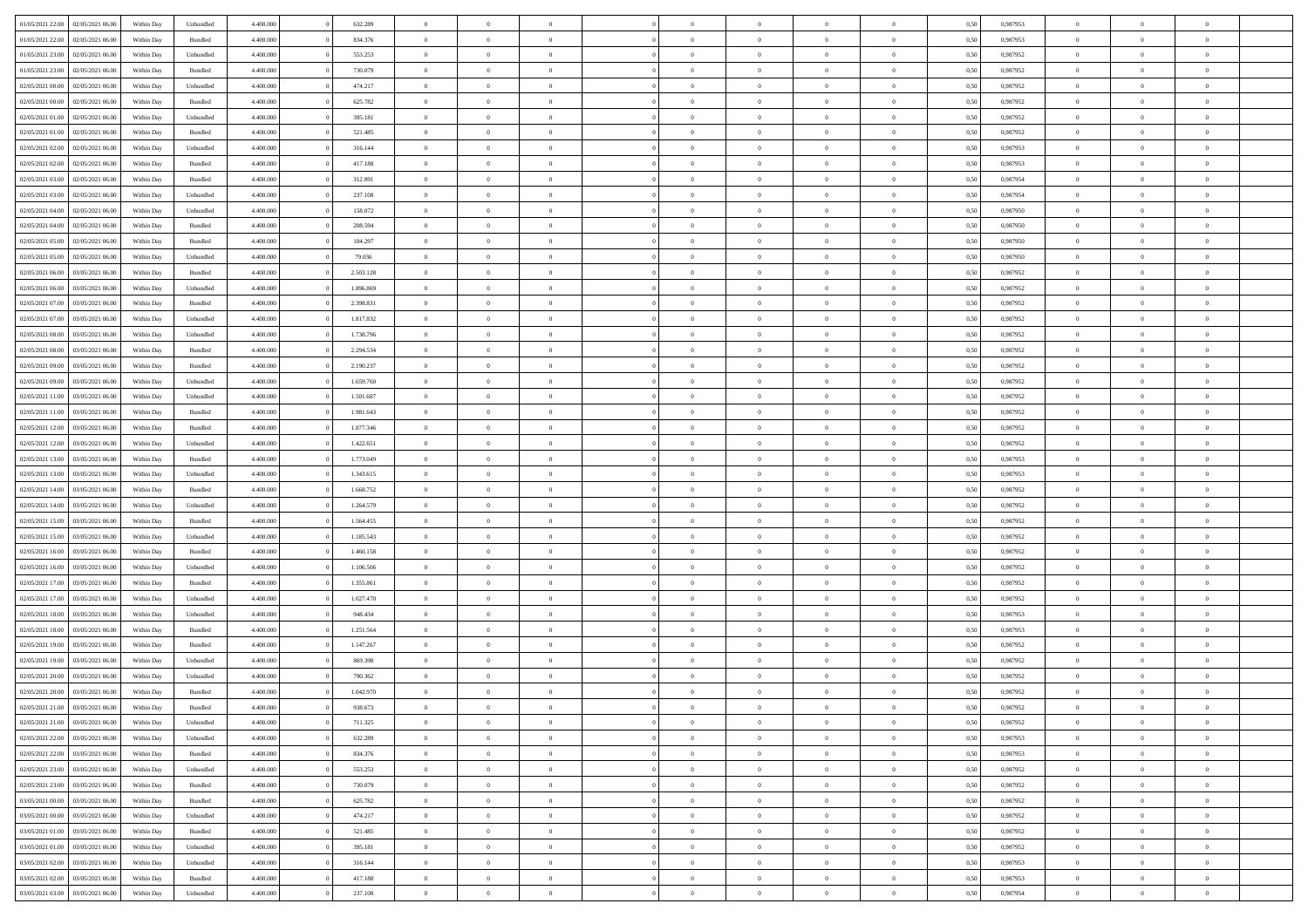| 01/05/2021 22:00 | 02/05/2021 06:00 | Within Day | Unbundled          | 4.400.000 | 632.289   | $\overline{0}$ | $\Omega$       |                | $\Omega$       | $\Omega$       | $\theta$       | $\theta$       | 0.50 | 0.987953 | $\theta$       | $\theta$       | $\theta$       |  |
|------------------|------------------|------------|--------------------|-----------|-----------|----------------|----------------|----------------|----------------|----------------|----------------|----------------|------|----------|----------------|----------------|----------------|--|
| 01/05/2021 22:00 | 02/05/2021 06:00 | Within Day | Bundled            | 4.400.000 | 834.376   | $\overline{0}$ | $\theta$       | $\overline{0}$ | $\overline{0}$ | $\bf{0}$       | $\overline{0}$ | $\bf{0}$       | 0,50 | 0,987953 | $\theta$       | $\theta$       | $\overline{0}$ |  |
| 01/05/2021 23.00 | 02/05/2021 06:00 | Within Day | Unbundled          | 4.400.000 | 553.253   | $\overline{0}$ | $\overline{0}$ | $\overline{0}$ | $\bf{0}$       | $\bf{0}$       | $\bf{0}$       | $\mathbf{0}$   | 0,50 | 0,987952 | $\overline{0}$ | $\overline{0}$ | $\overline{0}$ |  |
|                  |                  |            |                    |           |           |                |                |                |                |                |                |                |      |          | $\theta$       |                |                |  |
| 01/05/2021 23:00 | 02/05/2021 06:00 | Within Day | Bundled            | 4.400.000 | 730.079   | $\overline{0}$ | $\overline{0}$ | $\overline{0}$ | $\overline{0}$ | $\bf{0}$       | $\overline{0}$ | $\overline{0}$ | 0.50 | 0,987952 |                | $\theta$       | $\overline{0}$ |  |
| 02/05/2021 00:00 | 02/05/2021 06:00 | Within Day | Unbundled          | 4.400.000 | 474.217   | $\overline{0}$ | $\theta$       | $\overline{0}$ | $\overline{0}$ | $\bf{0}$       | $\overline{0}$ | $\bf{0}$       | 0,50 | 0,987952 | $\theta$       | $\overline{0}$ | $\overline{0}$ |  |
| 02/05/2021 00:00 | 02/05/2021 06:00 | Within Day | Bundled            | 4.400.000 | 625.782   | $\overline{0}$ | $\bf{0}$       | $\overline{0}$ | $\bf{0}$       | $\overline{0}$ | $\overline{0}$ | $\mathbf{0}$   | 0,50 | 0,987952 | $\overline{0}$ | $\overline{0}$ | $\bf{0}$       |  |
| 02/05/2021 01:00 | 02/05/2021 06:00 | Within Dav | Unbundled          | 4.400.000 | 395.181   | $\overline{0}$ | $\overline{0}$ | $\overline{0}$ | $\overline{0}$ | $\overline{0}$ | $\overline{0}$ | $\overline{0}$ | 0.50 | 0,987952 | $\theta$       | $\overline{0}$ | $\overline{0}$ |  |
|                  |                  |            |                    |           |           |                |                |                |                |                |                |                |      |          |                |                |                |  |
| 02/05/2021 01:00 | 02/05/2021 06:00 | Within Day | Bundled            | 4.400.000 | 521.485   | $\overline{0}$ | $\theta$       | $\overline{0}$ | $\overline{0}$ | $\bf{0}$       | $\overline{0}$ | $\bf{0}$       | 0,50 | 0,987952 | $\theta$       | $\theta$       | $\overline{0}$ |  |
| 02/05/2021 02:00 | 02/05/2021 06:00 | Within Day | Unbundled          | 4.400.000 | 316.144   | $\overline{0}$ | $\overline{0}$ | $\overline{0}$ | $\bf{0}$       | $\bf{0}$       | $\bf{0}$       | $\bf{0}$       | 0,50 | 0,987953 | $\,0\,$        | $\overline{0}$ | $\overline{0}$ |  |
| 02/05/2021 02:00 | 02/05/2021 06:00 | Within Dav | Bundled            | 4.400.000 | 417.188   | $\overline{0}$ | $\overline{0}$ | $\overline{0}$ | $\overline{0}$ | $\overline{0}$ | $\overline{0}$ | $\overline{0}$ | 0.50 | 0,987953 | $\theta$       | $\overline{0}$ | $\overline{0}$ |  |
| 02/05/2021 03:00 | 02/05/2021 06:00 |            | Bundled            | 4.400.000 | 312.891   | $\overline{0}$ | $\theta$       | $\overline{0}$ | $\overline{0}$ | $\bf{0}$       | $\overline{0}$ |                |      | 0,987954 | $\,$ 0 $\,$    | $\overline{0}$ | $\overline{0}$ |  |
|                  |                  | Within Day |                    |           |           |                |                |                |                |                |                | $\bf{0}$       | 0,50 |          |                |                |                |  |
| 02/05/2021 03:00 | 02/05/2021 06:00 | Within Day | Unbundled          | 4.400.000 | 237.108   | $\overline{0}$ | $\overline{0}$ | $\overline{0}$ | $\bf{0}$       | $\bf{0}$       | $\bf{0}$       | $\mathbf{0}$   | 0,50 | 0,987954 | $\bf{0}$       | $\overline{0}$ | $\overline{0}$ |  |
| 02/05/2021 04:00 | 02/05/2021 06:00 | Within Day | Unbundled          | 4.400.000 | 158.072   | $\overline{0}$ | $\overline{0}$ | $\overline{0}$ | $\overline{0}$ | $\bf{0}$       | $\overline{0}$ | $\overline{0}$ | 0.50 | 0,987950 | $\theta$       | $\theta$       | $\overline{0}$ |  |
| 02/05/2021 04:00 | 02/05/2021 06.00 | Within Day | Bundled            | 4.400.000 | 208.594   | $\overline{0}$ | $\theta$       | $\overline{0}$ | $\overline{0}$ | $\bf{0}$       | $\overline{0}$ | $\bf{0}$       | 0,50 | 0,987950 | $\theta$       | $\overline{0}$ | $\overline{0}$ |  |
| 02/05/2021 05:00 | 02/05/2021 06:00 | Within Day | Bundled            | 4.400.000 | 104.297   | $\overline{0}$ | $\overline{0}$ | $\overline{0}$ | $\bf{0}$       | $\overline{0}$ | $\overline{0}$ | $\mathbf{0}$   | 0,50 | 0,987950 | $\bf{0}$       | $\overline{0}$ | $\bf{0}$       |  |
|                  |                  |            |                    |           |           |                |                |                |                |                |                |                |      |          |                |                |                |  |
| 02/05/2021 05:00 | 02/05/2021 06:00 | Within Dav | Unbundled          | 4.400.000 | 79.036    | $\overline{0}$ | $\overline{0}$ | $\overline{0}$ | $\overline{0}$ | $\overline{0}$ | $\overline{0}$ | $\overline{0}$ | 0.50 | 0,987950 | $\theta$       | $\overline{0}$ | $\overline{0}$ |  |
| 02/05/2021 06:00 | 03/05/2021 06:00 | Within Day | Bundled            | 4.400.000 | 2.503.128 | $\overline{0}$ | $\theta$       | $\overline{0}$ | $\overline{0}$ | $\bf{0}$       | $\overline{0}$ | $\bf{0}$       | 0,50 | 0,987952 | $\theta$       | $\theta$       | $\overline{0}$ |  |
| 02/05/2021 06:00 | 03/05/2021 06:00 | Within Day | Unbundled          | 4.400.000 | 1.896.869 | $\overline{0}$ | $\overline{0}$ | $\overline{0}$ | $\bf{0}$       | $\bf{0}$       | $\bf{0}$       | $\mathbf{0}$   | 0,50 | 0,987952 | $\,0\,$        | $\overline{0}$ | $\overline{0}$ |  |
| 02/05/2021 07:00 | 03/05/2021 06:00 | Within Dav | Bundled            | 4.400.000 | 2.398.831 | $\overline{0}$ | $\overline{0}$ | $\overline{0}$ | $\overline{0}$ | $\overline{0}$ | $\overline{0}$ | $\overline{0}$ | 0.50 | 0,987952 | $\theta$       | $\overline{0}$ | $\overline{0}$ |  |
|                  |                  |            |                    |           |           |                |                |                |                |                |                |                |      |          |                |                |                |  |
| 02/05/2021 07:00 | 03/05/2021 06:00 | Within Day | Unbundled          | 4.400.000 | 1.817.832 | $\overline{0}$ | $\theta$       | $\overline{0}$ | $\overline{0}$ | $\bf{0}$       | $\overline{0}$ | $\bf{0}$       | 0,50 | 0,987952 | $\,$ 0 $\,$    | $\overline{0}$ | $\overline{0}$ |  |
| 02/05/2021 08:00 | 03/05/2021 06:00 | Within Day | Unbundled          | 4.400.000 | 1.738.796 | $\overline{0}$ | $\overline{0}$ | $\overline{0}$ | $\bf{0}$       | $\bf{0}$       | $\bf{0}$       | $\bf{0}$       | 0,50 | 0,987952 | $\,0\,$        | $\overline{0}$ | $\overline{0}$ |  |
| 02/05/2021 08:00 | 03/05/2021 06:00 | Within Day | Bundled            | 4.400.000 | 2.294.534 | $\overline{0}$ | $\overline{0}$ | $\overline{0}$ | $\overline{0}$ | $\bf{0}$       | $\overline{0}$ | $\overline{0}$ | 0.50 | 0,987952 | $\theta$       | $\overline{0}$ | $\overline{0}$ |  |
| 02/05/2021 09:00 | 03/05/2021 06:00 | Within Day | Bundled            | 4.400.000 | 2.190.237 | $\overline{0}$ | $\theta$       | $\overline{0}$ | $\overline{0}$ | $\bf{0}$       | $\overline{0}$ | $\bf{0}$       | 0,50 | 0,987952 | $\,$ 0 $\,$    | $\overline{0}$ | $\overline{0}$ |  |
|                  |                  |            |                    |           |           |                |                |                |                |                |                |                |      |          |                |                |                |  |
| 02/05/2021 09:00 | 03/05/2021 06:00 | Within Day | Unbundled          | 4.400.000 | 1.659.760 | $\overline{0}$ | $\bf{0}$       | $\overline{0}$ | $\bf{0}$       | $\overline{0}$ | $\overline{0}$ | $\mathbf{0}$   | 0,50 | 0,987952 | $\bf{0}$       | $\overline{0}$ | $\bf{0}$       |  |
| 02/05/2021 11:00 | 03/05/2021 06:00 | Within Dav | Unbundled          | 4.400.000 | 1.501.687 | $\overline{0}$ | $\overline{0}$ | $\overline{0}$ | $\overline{0}$ | $\overline{0}$ | $\overline{0}$ | $\overline{0}$ | 0.50 | 0,987952 | $\theta$       | $\overline{0}$ | $\overline{0}$ |  |
| 02/05/2021 11:00 | 03/05/2021 06:00 | Within Day | Bundled            | 4.400.000 | 1.981.643 | $\overline{0}$ | $\theta$       | $\overline{0}$ | $\overline{0}$ | $\bf{0}$       | $\overline{0}$ | $\bf{0}$       | 0,50 | 0,987952 | $\theta$       | $\theta$       | $\overline{0}$ |  |
| 02/05/2021 12:00 | 03/05/2021 06:00 | Within Day | Bundled            | 4.400.000 | 1.877.346 | $\overline{0}$ | $\overline{0}$ | $\overline{0}$ | $\bf{0}$       | $\bf{0}$       | $\bf{0}$       | $\bf{0}$       | 0,50 | 0,987952 | $\,0\,$        | $\overline{0}$ | $\overline{0}$ |  |
|                  |                  |            |                    |           |           |                |                |                |                |                |                |                |      |          |                |                |                |  |
| 02/05/2021 12:00 | 03/05/2021 06:00 | Within Day | Unbundled          | 4.400.000 | 1.422.651 | $\overline{0}$ | $\overline{0}$ | $\overline{0}$ | $\overline{0}$ | $\overline{0}$ | $\overline{0}$ | $\overline{0}$ | 0.50 | 0,987952 | $\theta$       | $\overline{0}$ | $\overline{0}$ |  |
| 02/05/2021 13:00 | 03/05/2021 06:00 | Within Day | Bundled            | 4.400.000 | 1.773.049 | $\overline{0}$ | $\theta$       | $\overline{0}$ | $\overline{0}$ | $\bf{0}$       | $\overline{0}$ | $\bf{0}$       | 0,50 | 0,987953 | $\,$ 0 $\,$    | $\overline{0}$ | $\overline{0}$ |  |
| 02/05/2021 13:00 | 03/05/2021 06:00 | Within Day | Unbundled          | 4.400.000 | 1.343.615 | $\overline{0}$ | $\overline{0}$ | $\overline{0}$ | $\bf{0}$       | $\bf{0}$       | $\bf{0}$       | $\bf{0}$       | 0,50 | 0,987953 | $\bf{0}$       | $\overline{0}$ | $\overline{0}$ |  |
| 02/05/2021 14:00 | 03/05/2021 06:00 | Within Day | Bundled            | 4.400,000 | 1.668.752 | $\overline{0}$ | $\Omega$       | $\Omega$       | $\Omega$       | $\Omega$       | $\overline{0}$ | $\overline{0}$ | 0,50 | 0,987952 | $\,0\,$        | $\theta$       | $\theta$       |  |
|                  |                  |            |                    |           |           |                |                |                |                |                |                |                |      |          |                |                |                |  |
| 02/05/2021 14:00 | 03/05/2021 06:00 | Within Day | Unbundled          | 4.400.000 | 1.264.579 | $\overline{0}$ | $\theta$       | $\overline{0}$ | $\overline{0}$ | $\bf{0}$       | $\overline{0}$ | $\bf{0}$       | 0,50 | 0,987952 | $\theta$       | $\overline{0}$ | $\overline{0}$ |  |
| 02/05/2021 15:00 | 03/05/2021 06:00 | Within Day | Bundled            | 4.400.000 | 1.564.455 | $\overline{0}$ | $\overline{0}$ | $\overline{0}$ | $\bf{0}$       | $\bf{0}$       | $\overline{0}$ | $\mathbf{0}$   | 0,50 | 0,987952 | $\bf{0}$       | $\overline{0}$ | $\bf{0}$       |  |
| 02/05/2021 15:00 | 03/05/2021 06:00 | Within Day | Unbundled          | 4.400,000 | 1.185.543 | $\overline{0}$ | $\Omega$       | $\Omega$       | $\Omega$       | $\bf{0}$       | $\overline{0}$ | $\overline{0}$ | 0.50 | 0,987952 | $\,0\,$        | $\theta$       | $\theta$       |  |
| 02/05/2021 16:00 | 03/05/2021 06:00 | Within Day | Bundled            | 4.400.000 | 1.460.158 | $\overline{0}$ | $\theta$       | $\overline{0}$ | $\overline{0}$ | $\bf{0}$       | $\overline{0}$ | $\bf{0}$       | 0,50 | 0,987952 | $\,$ 0 $\,$    | $\theta$       | $\overline{0}$ |  |
|                  |                  |            |                    |           |           |                |                |                |                |                |                |                |      |          |                |                |                |  |
| 02/05/2021 16:00 | 03/05/2021 06:00 | Within Day | Unbundled          | 4.400.000 | 1.106.506 | $\overline{0}$ | $\overline{0}$ | $\overline{0}$ | $\bf{0}$       | $\bf{0}$       | $\bf{0}$       | $\bf{0}$       | 0,50 | 0,987952 | $\,0\,$        | $\overline{0}$ | $\overline{0}$ |  |
| 02/05/2021 17:00 | 03/05/2021 06:00 | Within Day | Bundled            | 4.400,000 | 1.355.861 | $\overline{0}$ | $\Omega$       | $\Omega$       | $\Omega$       | $\theta$       | $\overline{0}$ | $\overline{0}$ | 0.50 | 0.987952 | $\theta$       | $\theta$       | $\theta$       |  |
| 02/05/2021 17:00 | 03/05/2021 06:00 | Within Day | Unbundled          | 4.400.000 | 1.027.470 | $\overline{0}$ | $\theta$       | $\overline{0}$ | $\overline{0}$ | $\bf{0}$       | $\overline{0}$ | $\bf{0}$       | 0,50 | 0,987952 | $\,$ 0 $\,$    | $\overline{0}$ | $\overline{0}$ |  |
| 02/05/2021 18:00 | 03/05/2021 06:00 | Within Day | Unbundled          | 4.400.000 | 948.434   | $\overline{0}$ | $\overline{0}$ | $\overline{0}$ | $\bf{0}$       | $\bf{0}$       | $\bf{0}$       | $\mathbf{0}$   | 0,50 | 0,987953 | $\bf{0}$       | $\overline{0}$ | $\overline{0}$ |  |
|                  |                  |            |                    | 4.400,000 |           | $\overline{0}$ | $\Omega$       |                | $\Omega$       |                |                |                |      |          |                |                | $\theta$       |  |
| 02/05/2021 18:00 | 03/05/2021 06:00 | Within Day | Bundled            |           | 1.251.564 |                |                | $\overline{0}$ |                | $\overline{0}$ | $\overline{0}$ | $\overline{0}$ | 0.50 | 0,987953 | $\,0\,$        | $\theta$       |                |  |
| 02/05/2021 19:00 | 03/05/2021 06:00 | Within Day | Bundled            | 4.400.000 | 1.147.267 | $\overline{0}$ | $\theta$       | $\overline{0}$ | $\overline{0}$ | $\bf{0}$       | $\overline{0}$ | $\bf{0}$       | 0,50 | 0,987952 | $\,$ 0 $\,$    | $\overline{0}$ | $\overline{0}$ |  |
| 02/05/2021 19:00 | 03/05/2021 06:00 | Within Day | Unbundled          | 4.400.000 | 869.398   | $\overline{0}$ | $\overline{0}$ | $\overline{0}$ | $\bf{0}$       | $\bf{0}$       | $\bf{0}$       | $\mathbf{0}$   | 0,50 | 0,987952 | $\overline{0}$ | $\overline{0}$ | $\bf{0}$       |  |
| 02/05/2021 20:00 | 03/05/2021 06:00 | Within Day | Unbundled          | 4.400,000 | 790,362   | $\overline{0}$ | $\Omega$       | $\Omega$       | $\Omega$       | $\Omega$       | $\Omega$       | $\overline{0}$ | 0.50 | 0.987952 | $\theta$       | $\theta$       | $\theta$       |  |
| 02/05/2021 20:00 | 03/05/2021 06:00 | Within Day | Bundled            | 4.400.000 | 1.042.970 | $\overline{0}$ | $\overline{0}$ | $\overline{0}$ | $\bf{0}$       | $\,$ 0         | $\bf{0}$       | $\bf{0}$       | 0,50 | 0,987952 | $\,0\,$        | $\,$ 0 $\,$    | $\overline{0}$ |  |
|                  |                  |            |                    |           |           |                |                |                |                |                |                |                |      |          |                |                |                |  |
| 02/05/2021 21:00 | 03/05/2021 06:00 | Within Day | $\mathbf B$ undled | 4.400.000 | 938.673   | $\bf{0}$       | $\bf{0}$       |                |                | $\bf{0}$       |                |                | 0,50 | 0,987952 | $\bf{0}$       | $\overline{0}$ |                |  |
| 02/05/2021 21:00 | 03/05/2021 06:00 | Within Day | Unbundled          | 4.400.000 | 711.325   | $\overline{0}$ | $\overline{0}$ | $\overline{0}$ | $\Omega$       | $\overline{0}$ | $\overline{0}$ | $\overline{0}$ | 0.50 | 0.987952 | $\theta$       | $\theta$       | $\theta$       |  |
| 02/05/2021 22:00 | 03/05/2021 06:00 | Within Day | Unbundled          | 4.400.000 | 632.289   | $\overline{0}$ | $\bf{0}$       | $\overline{0}$ | $\bf{0}$       | $\,$ 0 $\,$    | $\overline{0}$ | $\,$ 0 $\,$    | 0,50 | 0,987953 | $\,$ 0 $\,$    | $\,$ 0 $\,$    | $\,$ 0         |  |
| 02/05/2021 22.00 | 03/05/2021 06:00 | Within Day | Bundled            | 4.400.000 | 834.376   | $\overline{0}$ | $\overline{0}$ | $\overline{0}$ | $\overline{0}$ | $\overline{0}$ | $\overline{0}$ | $\mathbf{0}$   | 0,50 | 0,987953 | $\overline{0}$ | $\overline{0}$ | $\overline{0}$ |  |
|                  |                  |            |                    |           |           |                |                |                |                |                |                |                |      |          |                |                |                |  |
| 02/05/2021 23:00 | 03/05/2021 06:00 | Within Day | Unbundled          | 4.400,000 | 553.253   | $\overline{0}$ | $\overline{0}$ | $\overline{0}$ | $\Omega$       | $\overline{0}$ | $\overline{0}$ | $\overline{0}$ | 0,50 | 0,987952 | $\overline{0}$ | $\theta$       | $\overline{0}$ |  |
| 02/05/2021 23:00 | 03/05/2021 06:00 | Within Day | Bundled            | 4.400.000 | 730.079   | $\overline{0}$ | $\,$ 0         | $\overline{0}$ | $\bf{0}$       | $\,$ 0 $\,$    | $\overline{0}$ | $\,$ 0 $\,$    | 0,50 | 0,987952 | $\,$ 0 $\,$    | $\overline{0}$ | $\,$ 0         |  |
| 03/05/2021 00:00 | 03/05/2021 06:00 | Within Day | Bundled            | 4.400.000 | 625.782   | $\overline{0}$ | $\overline{0}$ | $\overline{0}$ | $\overline{0}$ | $\overline{0}$ | $\overline{0}$ | $\mathbf{0}$   | 0,50 | 0,987952 | $\overline{0}$ | $\overline{0}$ | $\overline{0}$ |  |
| 03/05/2021 00:00 | 03/05/2021 06:00 | Within Day | Unbundled          | 4.400.000 | 474.217   | $\overline{0}$ | $\overline{0}$ | $\overline{0}$ | $\overline{0}$ | $\overline{0}$ | $\overline{0}$ | $\overline{0}$ | 0.50 | 0,987952 | $\overline{0}$ | $\theta$       | $\overline{0}$ |  |
| 03/05/2021 01:00 | 03/05/2021 06:00 |            | Bundled            | 4.400.000 | 521.485   | $\overline{0}$ | $\,$ 0         |                |                | $\bf{0}$       |                |                |      | 0,987952 | $\,$ 0 $\,$    | $\overline{0}$ | $\overline{0}$ |  |
|                  |                  | Within Day |                    |           |           |                |                | $\overline{0}$ | $\bf{0}$       |                | $\bf{0}$       | $\bf{0}$       | 0,50 |          |                |                |                |  |
| 03/05/2021 01:00 | 03/05/2021 06:00 | Within Day | Unbundled          | 4.400.000 | 395.181   | $\overline{0}$ | $\bf{0}$       | $\overline{0}$ | $\overline{0}$ | $\overline{0}$ | $\overline{0}$ | $\mathbf{0}$   | 0,50 | 0,987952 | $\overline{0}$ | $\overline{0}$ | $\bf{0}$       |  |
| 03/05/2021 02:00 | 03/05/2021 06:00 | Within Day | Unbundled          | 4.400,000 | 316.144   | $\overline{0}$ | $\overline{0}$ | $\overline{0}$ | $\Omega$       | $\overline{0}$ | $\overline{0}$ | $\overline{0}$ | 0.50 | 0,987953 | $\overline{0}$ | $\overline{0}$ | $\overline{0}$ |  |
| 03/05/2021 02:00 | 03/05/2021 06:00 | Within Day | Bundled            | 4.400.000 | 417.188   | $\overline{0}$ | $\bf{0}$       | $\overline{0}$ | $\overline{0}$ | $\bf{0}$       | $\bf{0}$       | $\mathbf{0}$   | 0,50 | 0,987953 | $\,$ 0 $\,$    | $\,$ 0 $\,$    | $\bf{0}$       |  |
|                  |                  |            |                    |           |           |                |                |                |                |                |                |                |      |          |                |                |                |  |
| 03/05/2021 03:00 | 03/05/2021 06:00 | Within Day | Unbundled          | 4.400.000 | 237.108   | $\overline{0}$ | $\bf{0}$       | $\overline{0}$ | $\overline{0}$ | $\bf{0}$       | $\bf{0}$       | $\bf{0}$       | 0,50 | 0,987954 | $\overline{0}$ | $\overline{0}$ | $\bf{0}$       |  |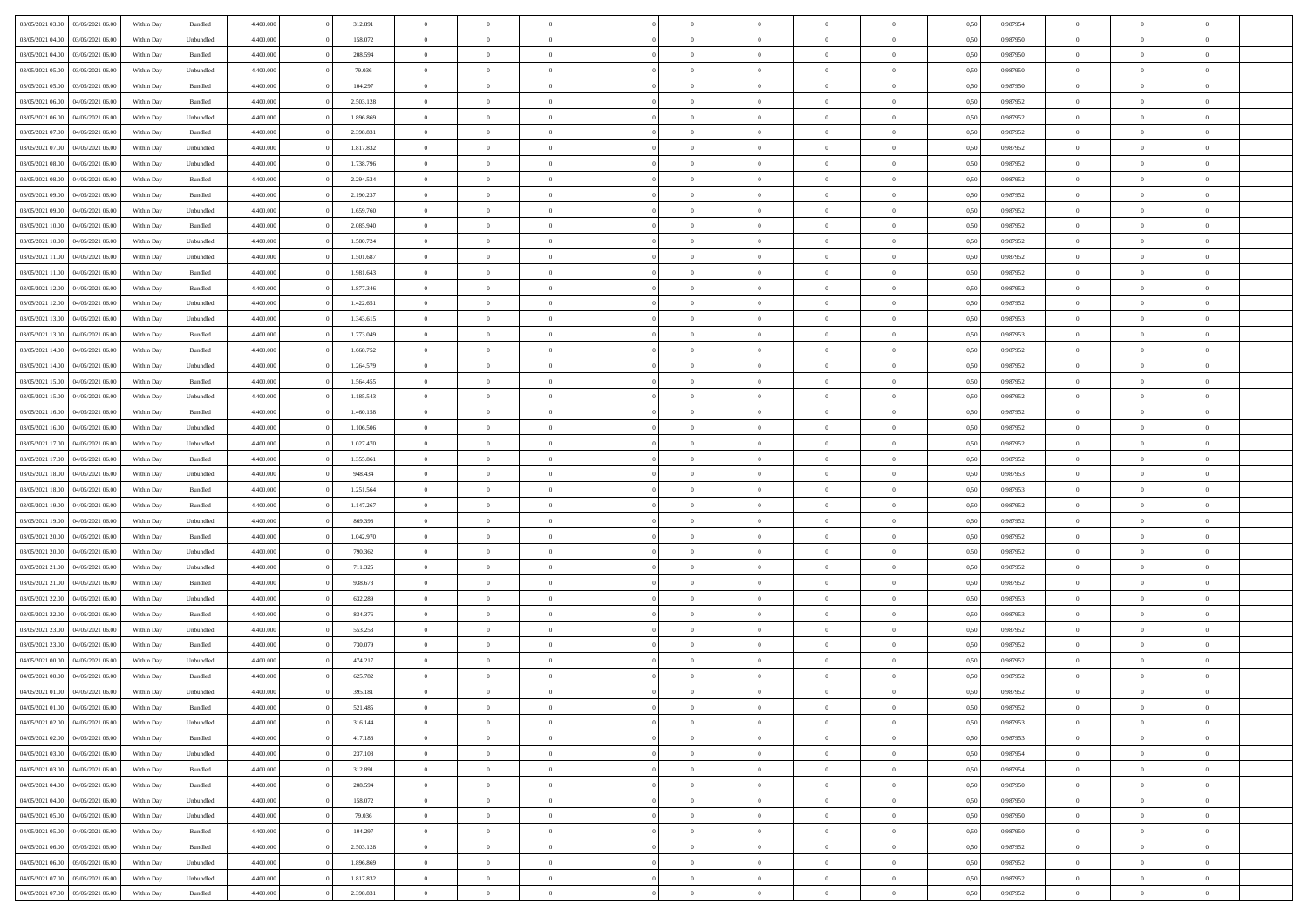| 03/05/2021 03:00 03/05/2021 06:00    | Within Day | Bundled   | 4.400.000              | 312.891            | $\overline{0}$                   | $\overline{0}$       | $\Omega$                   | $\Omega$                   | $\theta$             | $\Omega$                   | $\overline{0}$             | 0,50         | 0,987954             | $\theta$             | $\theta$                   | $\theta$             |  |
|--------------------------------------|------------|-----------|------------------------|--------------------|----------------------------------|----------------------|----------------------------|----------------------------|----------------------|----------------------------|----------------------------|--------------|----------------------|----------------------|----------------------------|----------------------|--|
| 03/05/2021 04:00<br>03/05/2021 06:00 | Within Day | Unbundled | 4.400.000              | 158.072            | $\overline{0}$                   | $\overline{0}$       | $\overline{0}$             | $\overline{0}$             | $\theta$             | $\overline{0}$             | $\bf{0}$                   | 0,50         | 0,987950             | $\theta$             | $\theta$                   | $\overline{0}$       |  |
| 03/05/2021 04:00<br>03/05/2021 06:00 | Within Day | Bundled   | 4.400.000              | 208.594            | $\overline{0}$                   | $\bf{0}$             | $\overline{0}$             | $\overline{0}$             | $\overline{0}$       | $\overline{0}$             | $\bf{0}$                   | 0,50         | 0,987950             | $\bf{0}$             | $\overline{0}$             | $\overline{0}$       |  |
| 03/05/2021 05:00<br>03/05/2021 06:00 | Within Day | Unbundled | 4.400.000              | 79.036             | $\overline{0}$                   | $\overline{0}$       | $\overline{0}$             | $\overline{0}$             | $\theta$             | $\overline{0}$             | $\overline{0}$             | 0.50         | 0.987950             | $\theta$             | $\theta$                   | $\overline{0}$       |  |
| 03/05/2021 05:00<br>03/05/2021 06:00 | Within Day | Bundled   | 4.400.000              | 104.297            | $\overline{0}$                   | $\overline{0}$       | $\overline{0}$             | $\overline{0}$             | $\theta$             | $\overline{0}$             | $\bf{0}$                   | 0,50         | 0,987950             | $\theta$             | $\theta$                   | $\overline{0}$       |  |
| 03/05/2021 06:00<br>04/05/2021 06.00 | Within Day | Bundled   | 4.400.000              | 2.503.128          | $\overline{0}$                   | $\bf{0}$             | $\overline{0}$             | $\overline{0}$             | $\overline{0}$       | $\overline{0}$             | $\bf{0}$                   | 0,50         | 0,987952             | $\bf{0}$             | $\overline{0}$             | $\bf{0}$             |  |
| 03/05/2021 06:00<br>04/05/2021 06:00 | Within Day | Unbundled | 4.400.000              | 1.896.869          | $\overline{0}$                   | $\overline{0}$       | $\overline{0}$             | $\overline{0}$             | $\overline{0}$       | $\overline{0}$             | $\overline{0}$             | 0.5(         | 0,987952             | $\theta$             | $\theta$                   | $\overline{0}$       |  |
| 03/05/2021 07:00<br>04/05/2021 06:00 | Within Day | Bundled   | 4.400.000              | 2.398.831          | $\overline{0}$                   | $\theta$             | $\overline{0}$             | $\overline{0}$             | $\theta$             | $\overline{0}$             | $\bf{0}$                   | 0,50         | 0,987952             | $\theta$             | $\theta$                   | $\overline{0}$       |  |
| 03/05/2021 07:00<br>04/05/2021 06.00 | Within Day | Unbundled | 4.400.000              | 1.817.832          | $\overline{0}$                   | $\bf{0}$             | $\overline{0}$             | $\overline{0}$             | $\overline{0}$       | $\overline{0}$             | $\bf{0}$                   | 0,50         | 0,987952             | $\bf{0}$             | $\bf{0}$                   | $\overline{0}$       |  |
| 04/05/2021 06:00                     |            | Unbundled | 4.400.000              | 1.738.796          | $\overline{0}$                   | $\overline{0}$       | $\overline{0}$             | $\overline{0}$             | $\overline{0}$       | $\overline{0}$             | $\overline{0}$             | 0.5(         | 0,987952             | $\theta$             | $\theta$                   | $\overline{0}$       |  |
| 03/05/2021 08:00                     | Within Day |           |                        |                    |                                  |                      |                            |                            |                      |                            |                            |              |                      |                      |                            |                      |  |
| 03/05/2021 08:00<br>04/05/2021 06:00 | Within Day | Bundled   | 4.400.000              | 2.294.534          | $\bf{0}$                         | $\overline{0}$       | $\overline{0}$             | $\overline{0}$             | $\theta$             | $\overline{0}$             | $\bf{0}$                   | 0,50         | 0,987952             | $\theta$             | $\theta$                   | $\overline{0}$       |  |
| 03/05/2021 09:00<br>04/05/2021 06.00 | Within Day | Bundled   | 4.400.000              | 2.190.237          | $\overline{0}$                   | $\bf{0}$             | $\overline{0}$             | $\overline{0}$             | $\bf{0}$             | $\overline{0}$             | $\bf{0}$                   | 0,50         | 0,987952             | $\bf{0}$             | $\overline{0}$             | $\overline{0}$       |  |
| 03/05/2021 09:00<br>04/05/2021 06:00 | Within Day | Unbundled | 4.400.000              | 1.659.760          | $\overline{0}$                   | $\overline{0}$       | $\overline{0}$             | $\overline{0}$             | $\overline{0}$       | $\overline{0}$             | $\overline{0}$             | 0.5(         | 0,987952             | $\theta$             | $\theta$                   | $\overline{0}$       |  |
| 03/05/2021 10:00<br>04/05/2021 06:00 | Within Day | Bundled   | 4.400.000              | 2.085.940          | $\overline{0}$                   | $\overline{0}$       | $\overline{0}$             | $\overline{0}$             | $\theta$             | $\overline{0}$             | $\bf{0}$                   | 0,50         | 0,987952             | $\theta$             | $\theta$                   | $\overline{0}$       |  |
| 03/05/2021 10:00<br>04/05/2021 06:00 | Within Day | Unbundled | 4.400.000              | 1.580.724          | $\overline{0}$                   | $\bf{0}$             | $\overline{0}$             | $\overline{0}$             | $\overline{0}$       | $\overline{0}$             | $\bf{0}$                   | 0,50         | 0,987952             | $\bf{0}$             | $\overline{0}$             | $\bf{0}$             |  |
| 03/05/2021 11:00<br>04/05/2021 06:00 | Within Day | Unbundled | 4.400.000              | 1.501.687          | $\overline{0}$                   | $\overline{0}$       | $\overline{0}$             | $\overline{0}$             | $\overline{0}$       | $\overline{0}$             | $\overline{0}$             | 0.5(         | 0,987952             | $\theta$             | $\overline{0}$             | $\overline{0}$       |  |
| 03/05/2021 11:00<br>04/05/2021 06:00 | Within Day | Bundled   | 4.400.000              | 1.981.643          | $\bf{0}$                         | $\overline{0}$       | $\overline{0}$             | $\overline{0}$             | $\theta$             | $\overline{0}$             | $\bf{0}$                   | 0,50         | 0,987952             | $\theta$             | $\theta$                   | $\overline{0}$       |  |
| 03/05/2021 12:00<br>04/05/2021 06:00 | Within Day | Bundled   | 4.400.000              | 1.877.346          | $\overline{0}$                   | $\bf{0}$             | $\overline{0}$             | $\overline{0}$             | $\overline{0}$       | $\overline{0}$             | $\bf{0}$                   | 0,50         | 0,987952             | $\bf{0}$             | $\overline{0}$             | $\overline{0}$       |  |
| 03/05/2021 12:00<br>04/05/2021 06:00 | Within Day | Unbundled | 4.400.000              | 1.422.651          | $\overline{0}$                   | $\overline{0}$       | $\overline{0}$             | $\overline{0}$             | $\overline{0}$       | $\overline{0}$             | $\overline{0}$             | 0.5(         | 0,987952             | $\theta$             | $\theta$                   | $\overline{0}$       |  |
| 03/05/2021 13:00<br>04/05/2021 06:00 | Within Day | Unbundled | 4.400.000              | 1.343.615          | $\bf{0}$                         | $\overline{0}$       | $\overline{0}$             | $\overline{0}$             | $\theta$             | $\overline{0}$             | $\bf{0}$                   | 0,50         | 0,987953             | $\theta$             | $\theta$                   | $\overline{0}$       |  |
| 03/05/2021 13:00<br>04/05/2021 06:00 | Within Day | Bundled   | 4.400.000              | 1.773.049          | $\overline{0}$                   | $\bf{0}$             | $\overline{0}$             | $\overline{0}$             | $\overline{0}$       | $\overline{0}$             | $\bf{0}$                   | 0,50         | 0,987953             | $\bf{0}$             | $\overline{0}$             | $\overline{0}$       |  |
| 03/05/2021 14:00<br>04/05/2021 06:00 | Within Day | Bundled   | 4.400.000              | 1.668.752          | $\overline{0}$                   | $\overline{0}$       | $\overline{0}$             | $\overline{0}$             | $\overline{0}$       | $\overline{0}$             | $\overline{0}$             | 0.5(         | 0.987952             | $\theta$             | $\theta$                   | $\overline{0}$       |  |
| 03/05/2021 14:00<br>04/05/2021 06:00 | Within Day | Unbundled | 4.400.000              | 1.264.579          | $\bf{0}$                         | $\overline{0}$       | $\overline{0}$             | $\overline{0}$             | $\theta$             | $\overline{0}$             | $\bf{0}$                   | 0,50         | 0,987952             | $\theta$             | $\theta$                   | $\overline{0}$       |  |
| 03/05/2021 15:00<br>04/05/2021 06:00 | Within Day | Bundled   | 4.400.000              | 1.564.455          | $\overline{0}$                   | $\bf{0}$             | $\overline{0}$             | $\overline{0}$             | $\overline{0}$       | $\overline{0}$             | $\bf{0}$                   | 0,50         | 0,987952             | $\overline{0}$       | $\overline{0}$             | $\bf{0}$             |  |
| 03/05/2021 15:00<br>04/05/2021 06:00 | Within Day | Unbundled | 4.400.000              | 1.185.543          | $\overline{0}$                   | $\overline{0}$       | $\overline{0}$             | $\overline{0}$             | $\overline{0}$       | $\overline{0}$             | $\overline{0}$             | 0.5(         | 0,987952             | $\theta$             | $\theta$                   | $\overline{0}$       |  |
| 03/05/2021 16:00<br>04/05/2021 06:00 | Within Day | Bundled   | 4.400.000              | 1.460.158          | $\overline{0}$                   | $\overline{0}$       | $\overline{0}$             | $\overline{0}$             | $\theta$             | $\overline{0}$             | $\bf{0}$                   | 0,50         | 0,987952             | $\theta$             | $\theta$                   | $\overline{0}$       |  |
| 03/05/2021 16:00<br>04/05/2021 06:00 | Within Day | Unbundled | 4.400.000              | 1.106.506          | $\overline{0}$                   | $\bf{0}$             | $\overline{0}$             | $\overline{0}$             | $\overline{0}$       | $\overline{0}$             | $\bf{0}$                   | 0,50         | 0,987952             | $\bf{0}$             | $\bf{0}$                   | $\overline{0}$       |  |
| 03/05/2021 17:00<br>04/05/2021 06:00 | Within Day | Unbundled | 4.400.000              | 1.027.470          | $\overline{0}$                   | $\overline{0}$       | $\overline{0}$             | $\overline{0}$             | $\overline{0}$       | $\overline{0}$             | $\overline{0}$             | 0.5(         | 0,987952             | $\theta$             | $\theta$                   | $\overline{0}$       |  |
| 03/05/2021 17:00<br>04/05/2021 06:00 | Within Day | Bundled   | 4.400.000              | 1.355.861          | $\bf{0}$                         | $\overline{0}$       | $\overline{0}$             | $\overline{0}$             | $\theta$             | $\overline{0}$             | $\bf{0}$                   | 0,50         | 0,987952             | $\theta$             | $\theta$                   | $\overline{0}$       |  |
| 03/05/2021 18:00<br>04/05/2021 06:00 | Within Day | Unbundled | 4.400.000              | 948.434            | $\overline{0}$                   | $\bf{0}$             | $\overline{0}$             | $\overline{0}$             | $\bf{0}$             | $\overline{0}$             | $\bf{0}$                   | 0,50         | 0,987953             | $\bf{0}$             | $\overline{0}$             | $\overline{0}$       |  |
| 03/05/2021 18:00<br>04/05/2021 06.00 | Within Day | Bundled   | 4,400,000              | 1.251.564          | $\overline{0}$                   | $\overline{0}$       | $\Omega$                   | $\Omega$                   | $\Omega$             | $\theta$                   | $\overline{0}$             | 0.50         | 0,987953             | $\,$ 0 $\,$          | $\Omega$                   | $\theta$             |  |
| 03/05/2021 19:00<br>04/05/2021 06:00 | Within Day | Bundled   | 4.400.000              | 1.147.267          | $\bf{0}$                         | $\overline{0}$       | $\overline{0}$             | $\overline{0}$             | $\theta$             | $\overline{0}$             | $\bf{0}$                   | 0,50         | 0,987952             | $\theta$             | $\theta$                   | $\overline{0}$       |  |
| 03/05/2021 19:00<br>04/05/2021 06:00 | Within Day | Unbundled | 4.400.000              | 869.398            | $\overline{0}$                   | $\bf{0}$             | $\overline{0}$             | $\overline{0}$             | $\bf{0}$             | $\overline{0}$             | $\bf{0}$                   | 0,50         | 0,987952             | $\bf{0}$             | $\overline{0}$             | $\bf{0}$             |  |
| 03/05/2021 20:00<br>04/05/2021 06.00 | Within Day | Bundled   | 4,400,000              | 1.042.970          | $\overline{0}$                   | $\overline{0}$       | $\Omega$                   | $\Omega$                   | $\overline{0}$       | $\Omega$                   | $\overline{0}$             | 0.50         | 0,987952             | $\theta$             | $\theta$                   | $\theta$             |  |
| 03/05/2021 20:00<br>04/05/2021 06:00 | Within Day | Unbundled | 4.400.000              | 790.362            | $\bf{0}$                         | $\overline{0}$       | $\overline{0}$             | $\overline{0}$             | $\theta$             | $\overline{0}$             | $\bf{0}$                   | 0,50         | 0,987952             | $\theta$             | $\theta$                   | $\overline{0}$       |  |
| 03/05/2021 21:00<br>04/05/2021 06.00 | Within Day | Unbundled | 4.400.000              | 711.325            | $\overline{0}$                   | $\bf{0}$             | $\overline{0}$             | $\overline{0}$             | $\overline{0}$       | $\bf{0}$                   | $\bf{0}$                   | 0,50         | 0,987952             | $\bf{0}$             | $\overline{0}$             | $\overline{0}$       |  |
| 03/05/2021 21:00<br>04/05/2021 06:00 | Within Day | Bundled   | 4,400,000              | 938.673            | $\overline{0}$                   | $\overline{0}$       | $\Omega$                   | $\Omega$                   | $\Omega$             | $\Omega$                   | $\overline{0}$             | 0.50         | 0.987952             | $\theta$             | $\Omega$                   | $\theta$             |  |
| 03/05/2021 22:00<br>04/05/2021 06:00 | Within Day | Unbundled | 4.400.000              | 632.289            | $\bf{0}$                         | $\overline{0}$       | $\overline{0}$             | $\overline{0}$             | $\theta$             | $\overline{0}$             | $\bf{0}$                   | 0,50         | 0,987953             | $\theta$             | $\theta$                   | $\overline{0}$       |  |
| 03/05/2021 22:00<br>04/05/2021 06.00 | Within Day | Bundled   | 4.400.000              | 834.376            | $\overline{0}$                   | $\bf{0}$             | $\overline{0}$             | $\overline{0}$             | $\overline{0}$       | $\overline{0}$             | $\bf{0}$                   | 0,50         | 0,987953             | $\bf{0}$             | $\overline{0}$             | $\overline{0}$       |  |
|                                      |            |           | 4,400,000              |                    | $\overline{0}$                   | $\overline{0}$       | $\Omega$                   | $\Omega$                   | $\theta$             | $\theta$                   | $\overline{0}$             | 0.50         |                      | $\,$ 0 $\,$          | $\overline{0}$             | $\theta$             |  |
| 03/05/2021 23:00<br>04/05/2021 06.00 | Within Day | Unbundled |                        | 553.253            |                                  | $\overline{0}$       | $\overline{0}$             | $\overline{0}$             | $\theta$             | $\overline{0}$             |                            |              | 0,987952             | $\theta$             | $\theta$                   | $\overline{0}$       |  |
| 03/05/2021 23:00<br>04/05/2021 06:00 | Within Day | Bundled   | 4.400.000              | 730.079            | $\bf{0}$                         |                      |                            |                            |                      |                            | $\bf{0}$                   | 0,50         | 0,987952             |                      |                            |                      |  |
| 04/05/2021 00:00<br>04/05/2021 06.00 | Within Day | Unbundled | 4.400.000<br>4,400,000 | 474.217<br>625.782 | $\overline{0}$<br>$\overline{0}$ | $\bf{0}$<br>$\Omega$ | $\overline{0}$<br>$\Omega$ | $\overline{0}$<br>$\Omega$ | $\bf{0}$<br>$\Omega$ | $\overline{0}$<br>$\theta$ | $\bf{0}$<br>$\overline{0}$ | 0,50<br>0.50 | 0,987952<br>0.987952 | $\bf{0}$<br>$\theta$ | $\overline{0}$<br>$\Omega$ | $\bf{0}$<br>$\theta$ |  |
| 04/05/2021 00:00<br>04/05/2021 06.00 | Within Day | Bundled   |                        |                    |                                  |                      |                            |                            |                      |                            |                            |              |                      |                      |                            |                      |  |
| 04/05/2021 01:00 04/05/2021 06:00    | Within Day | Unbundled | 4.400.000              | 395.181            | $\bf{0}$                         | $\bf{0}$             | $\overline{0}$             | $\overline{0}$             | $\bf{0}$             | $\bf{0}$                   | $\bf{0}$                   | 0,50         | 0,987952             | $\bf{0}$             | $\,$ 0 $\,$                | $\overline{0}$       |  |
| 04/05/2021 01:00 04/05/2021 06:00    | Within Day | Bundled   | 4.400.000              | 521.485            |                                  |                      |                            |                            |                      |                            |                            | 0,50         | 0,987952             | $\bf{0}$             | $\bf{0}$                   |                      |  |
| 04/05/2021 02:00 04/05/2021 06:00    | Within Day | Unbundled | 4.400.000              | 316.144            | $\theta$                         | $\overline{0}$       | $\Omega$                   | $\theta$                   | $\overline{0}$       | $\theta$                   | $\overline{0}$             | 0.50         | 0.987953             | $\theta$             | $\theta$                   | $\theta$             |  |
| 04/05/2021 02:00<br>04/05/2021 06:00 | Within Day | Bundled   | 4.400.000              | 417.188            | $\overline{0}$                   | $\overline{0}$       | $\overline{0}$             | $\overline{0}$             | $\,$ 0 $\,$          | $\overline{0}$             | $\,$ 0 $\,$                | 0,50         | 0,987953             | $\,$ 0 $\,$          | $\,$ 0 $\,$                | $\,$ 0               |  |
| 04/05/2021 06:00<br>04/05/2021 03:00 | Within Day | Unbundled | 4.400.000              | 237.108            | $\overline{0}$                   | $\overline{0}$       | $\overline{0}$             | $\overline{0}$             | $\mathbf{0}$         | $\overline{0}$             | $\bf{0}$                   | 0,50         | 0,987954             | $\overline{0}$       | $\overline{0}$             | $\overline{0}$       |  |
| 04/05/2021 03:00<br>04/05/2021 06:00 | Within Day | Bundled   | 4.400.000              | 312.891            | $\overline{0}$                   | $\bf{0}$             | $\overline{0}$             | $\overline{0}$             | $\overline{0}$       | $\overline{0}$             | $\bf{0}$                   | 0,50         | 0,987954             | $\bf{0}$             | $\theta$                   | $\overline{0}$       |  |
| 04/05/2021 04:00<br>04/05/2021 06:00 | Within Day | Bundled   | 4.400.000              | 208.594            | $\overline{0}$                   | $\overline{0}$       | $\overline{0}$             | $\overline{0}$             | $\overline{0}$       | $\overline{0}$             | $\bf{0}$                   | 0,50         | 0,987950             | $\,$ 0 $\,$          | $\,$ 0 $\,$                | $\overline{0}$       |  |
| 04/05/2021 06:00<br>04/05/2021 04:00 | Within Day | Unbundled | 4.400.000              | 158.072            | $\overline{0}$                   | $\overline{0}$       | $\overline{0}$             | $\overline{0}$             | $\mathbf{0}$         | $\overline{0}$             | $\mathbf{0}$               | 0,50         | 0,987950             | $\overline{0}$       | $\overline{0}$             | $\overline{0}$       |  |
| 04/05/2021 06:00<br>04/05/2021 05:00 | Within Day | Unbundled | 4.400.000              | 79.036             | $\overline{0}$                   | $\bf{0}$             | $\overline{0}$             | $\overline{0}$             | $\overline{0}$       | $\overline{0}$             | $\bf{0}$                   | 0.50         | 0,987950             | $\overline{0}$       | $\theta$                   | $\overline{0}$       |  |
| 04/05/2021 05:00<br>04/05/2021 06:00 | Within Day | Bundled   | 4.400.000              | 104.297            | $\overline{0}$                   | $\overline{0}$       | $\overline{0}$             | $\overline{0}$             | $\overline{0}$       | $\bf{0}$                   | $\bf{0}$                   | 0,50         | 0,987950             | $\,$ 0 $\,$          | $\,$ 0 $\,$                | $\overline{0}$       |  |
| 05/05/2021 06:00<br>04/05/2021 06:00 | Within Day | Bundled   | 4.400.000              | 2.503.128          | $\overline{0}$                   | $\bf{0}$             | $\overline{0}$             | $\overline{0}$             | $\overline{0}$       | $\overline{0}$             | $\bf{0}$                   | 0,50         | 0,987952             | $\bf{0}$             | $\overline{0}$             | $\bf{0}$             |  |
| 04/05/2021 06:00<br>05/05/2021 06:00 | Within Day | Unbundled | 4.400.000              | 1.896.869          | $\overline{0}$                   | $\overline{0}$       | $\overline{0}$             | $\overline{0}$             | $\overline{0}$       | $\overline{0}$             | $\bf{0}$                   | 0.50         | 0,987952             | $\overline{0}$       | $\overline{0}$             | $\overline{0}$       |  |
| 04/05/2021 07:00<br>05/05/2021 06:00 | Within Day | Unbundled | 4.400.000              | 1.817.832          | $\overline{0}$                   | $\,$ 0               | $\overline{0}$             | $\overline{0}$             | $\overline{0}$       | $\bf{0}$                   | $\bf{0}$                   | 0,50         | 0,987952             | $\,$ 0 $\,$          | $\,$ 0 $\,$                | $\bf{0}$             |  |
| 04/05/2021 07:00 05/05/2021 06:00    | Within Day | Bundled   | 4.400.000              | 2.398.831          | $\overline{0}$                   | $\bf{0}$             | $\overline{0}$             | $\overline{0}$             | $\overline{0}$       | $\overline{0}$             | $\bf{0}$                   | 0,50         | 0,987952             | $\bf{0}$             | $\overline{0}$             | $\bf{0}$             |  |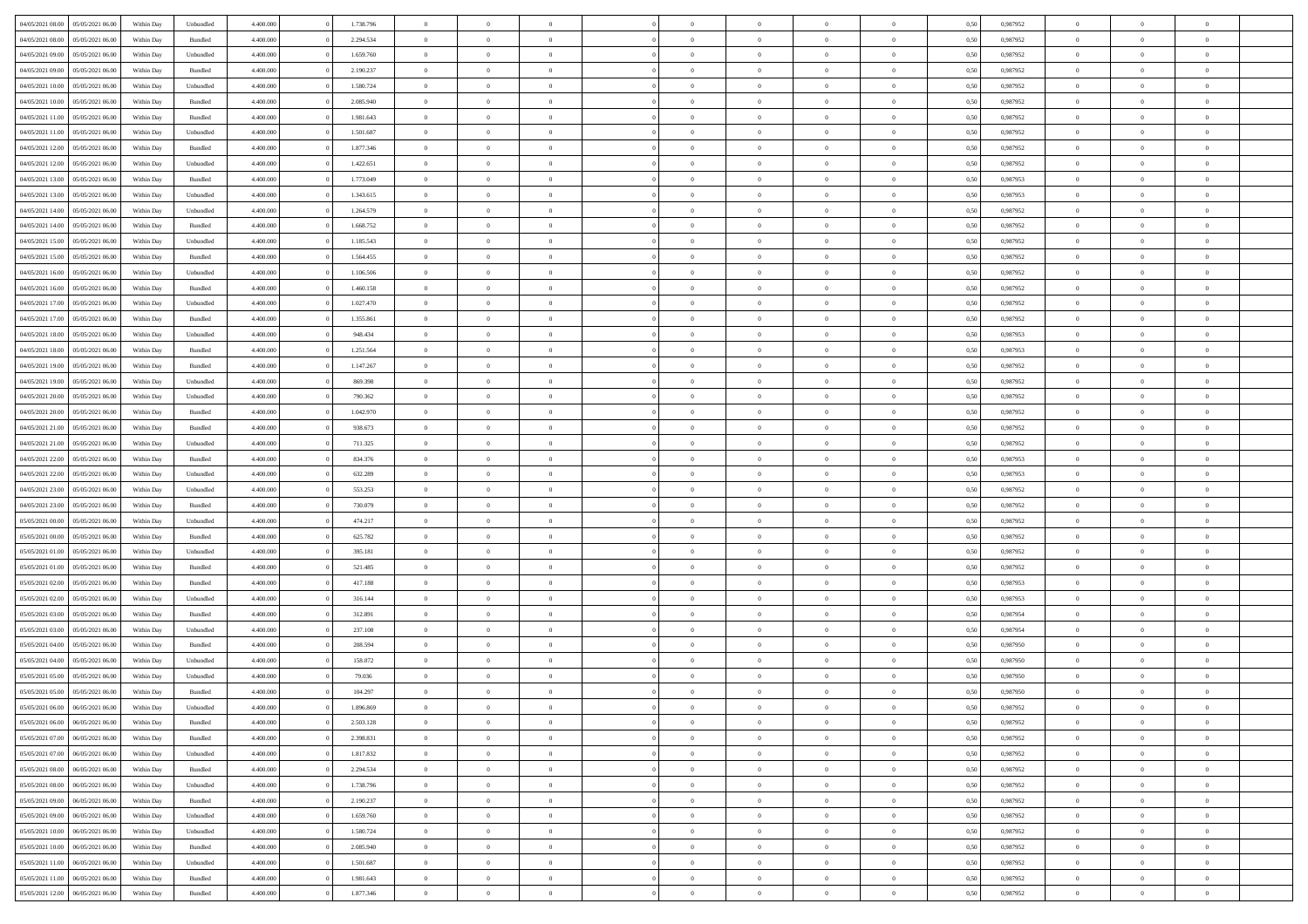| 04/05/2021 08:00                  | 05/05/2021 06:00 | Within Day | Unbundled | 4.400.000 | 1.738.796 | $\overline{0}$ | $\theta$       |                | $\Omega$       | $\Omega$       | $\theta$       | $\theta$       | 0,50 | 0,987952 | $\theta$       | $\overline{0}$ | $\theta$       |  |
|-----------------------------------|------------------|------------|-----------|-----------|-----------|----------------|----------------|----------------|----------------|----------------|----------------|----------------|------|----------|----------------|----------------|----------------|--|
|                                   |                  |            |           |           |           |                |                |                |                |                |                |                |      |          |                |                |                |  |
| 04/05/2021 08:00                  | 05/05/2021 06:00 | Within Day | Bundled   | 4.400.000 | 2.294.534 | $\overline{0}$ | $\overline{0}$ | $\overline{0}$ | $\overline{0}$ | $\bf{0}$       | $\overline{0}$ | $\bf{0}$       | 0,50 | 0,987952 | $\theta$       | $\overline{0}$ | $\overline{0}$ |  |
| 04/05/2021 09:00                  | 05/05/2021 06:00 | Within Day | Unbundled | 4.400.000 | 1.659.760 | $\overline{0}$ | $\overline{0}$ | $\overline{0}$ | $\overline{0}$ | $\bf{0}$       | $\overline{0}$ | $\mathbf{0}$   | 0,50 | 0,987952 | $\bf{0}$       | $\overline{0}$ | $\bf{0}$       |  |
| 04/05/2021 09:00                  | 05/05/2021 06:00 | Within Dav | Bundled   | 4.400.000 | 2.190.237 | $\overline{0}$ | $\overline{0}$ | $\overline{0}$ | $\overline{0}$ | $\bf{0}$       | $\overline{0}$ | $\overline{0}$ | 0.50 | 0,987952 | $\theta$       | $\theta$       | $\overline{0}$ |  |
| 04/05/2021 10:00                  | 05/05/2021 06:00 | Within Day | Unbundled | 4.400.000 | 1.580.724 | $\overline{0}$ | $\theta$       | $\overline{0}$ | $\overline{0}$ | $\bf{0}$       | $\overline{0}$ | $\bf{0}$       | 0,50 | 0,987952 | $\theta$       | $\overline{0}$ | $\overline{0}$ |  |
| 04/05/2021 10:00                  | 05/05/2021 06:00 | Within Day | Bundled   | 4.400.000 | 2.085.940 | $\overline{0}$ | $\overline{0}$ | $\overline{0}$ | $\overline{0}$ | $\overline{0}$ | $\overline{0}$ | $\mathbf{0}$   | 0,50 | 0,987952 | $\bf{0}$       | $\overline{0}$ | $\bf{0}$       |  |
|                                   |                  |            |           |           |           |                | $\overline{0}$ |                |                | $\overline{0}$ |                |                |      |          | $\theta$       | $\overline{0}$ | $\overline{0}$ |  |
| 04/05/2021 11:00                  | 05/05/2021 06:00 | Within Dav | Bundled   | 4.400.000 | 1.981.643 | $\overline{0}$ |                | $\overline{0}$ | $\overline{0}$ |                | $\overline{0}$ | $\overline{0}$ | 0.50 | 0,987952 |                |                |                |  |
| 04/05/2021 11:00                  | 05/05/2021 06:00 | Within Day | Unbundled | 4.400.000 | 1.501.687 | $\overline{0}$ | $\theta$       | $\overline{0}$ | $\overline{0}$ | $\bf{0}$       | $\overline{0}$ | $\bf{0}$       | 0,50 | 0,987952 | $\theta$       | $\theta$       | $\overline{0}$ |  |
| 04/05/2021 12:00                  | 05/05/2021 06:00 | Within Day | Bundled   | 4.400.000 | 1.877.346 | $\overline{0}$ | $\overline{0}$ | $\overline{0}$ | $\overline{0}$ | $\bf{0}$       | $\bf{0}$       | $\bf{0}$       | 0,50 | 0,987952 | $\,0\,$        | $\overline{0}$ | $\bf{0}$       |  |
| 04/05/2021 12:00                  | 05/05/2021 06:00 | Within Dav | Unbundled | 4.400.000 | 1.422.651 | $\overline{0}$ | $\overline{0}$ | $\overline{0}$ | $\overline{0}$ | $\overline{0}$ | $\overline{0}$ | $\overline{0}$ | 0.50 | 0,987952 | $\theta$       | $\overline{0}$ | $\overline{0}$ |  |
| 04/05/2021 13:00                  | 05/05/2021 06:00 | Within Day | Bundled   | 4.400.000 | 1.773.049 | $\overline{0}$ | $\theta$       | $\overline{0}$ | $\overline{0}$ | $\bf{0}$       | $\overline{0}$ | $\bf{0}$       | 0,50 | 0,987953 | $\,$ 0 $\,$    | $\overline{0}$ | $\overline{0}$ |  |
| 04/05/2021 13:00                  | 05/05/2021 06:00 | Within Day | Unbundled | 4.400.000 | 1.343.615 | $\overline{0}$ | $\overline{0}$ | $\overline{0}$ | $\bf{0}$       | $\bf{0}$       | $\bf{0}$       | $\mathbf{0}$   | 0,50 | 0,987953 | $\overline{0}$ | $\overline{0}$ | $\bf{0}$       |  |
| 04/05/2021 14:00                  | 05/05/2021 06:00 | Within Dav | Unbundled | 4.400.000 | 1.264.579 | $\overline{0}$ | $\overline{0}$ | $\overline{0}$ | $\overline{0}$ | $\bf{0}$       | $\overline{0}$ | $\overline{0}$ | 0.50 | 0,987952 | $\theta$       | $\theta$       | $\overline{0}$ |  |
|                                   |                  |            |           |           |           | $\overline{0}$ | $\theta$       | $\overline{0}$ | $\overline{0}$ | $\bf{0}$       | $\overline{0}$ |                |      |          | $\theta$       | $\overline{0}$ | $\overline{0}$ |  |
| 04/05/2021 14:00                  | 05/05/2021 06:00 | Within Day | Bundled   | 4.400.000 | 1.668.752 |                |                |                |                |                |                | $\bf{0}$       | 0,50 | 0,987952 |                |                |                |  |
| 04/05/2021 15:00                  | 05/05/2021 06:00 | Within Day | Unbundled | 4.400.000 | 1.185.543 | $\overline{0}$ | $\overline{0}$ | $\overline{0}$ | $\bf{0}$       | $\overline{0}$ | $\overline{0}$ | $\mathbf{0}$   | 0,50 | 0,987952 | $\overline{0}$ | $\overline{0}$ | $\bf{0}$       |  |
| 04/05/2021 15:00                  | 05/05/2021 06:00 | Within Dav | Bundled   | 4.400.000 | 1.564.455 | $\overline{0}$ | $\overline{0}$ | $\overline{0}$ | $\overline{0}$ | $\overline{0}$ | $\overline{0}$ | $\overline{0}$ | 0.50 | 0,987952 | $\theta$       | $\overline{0}$ | $\overline{0}$ |  |
| 04/05/2021 16:00                  | 05/05/2021 06:00 | Within Day | Unbundled | 4.400.000 | 1.106.506 | $\overline{0}$ | $\theta$       | $\overline{0}$ | $\overline{0}$ | $\bf{0}$       | $\overline{0}$ | $\bf{0}$       | 0,50 | 0,987952 | $\theta$       | $\theta$       | $\overline{0}$ |  |
| 04/05/2021 16:00                  | 05/05/2021 06:00 | Within Day | Bundled   | 4.400.000 | 1.460.158 | $\overline{0}$ | $\overline{0}$ | $\overline{0}$ | $\bf{0}$       | $\bf{0}$       | $\bf{0}$       | $\mathbf{0}$   | 0,50 | 0,987952 | $\,0\,$        | $\overline{0}$ | $\bf{0}$       |  |
| 04/05/2021 17:00                  | 05/05/2021 06:00 | Within Dav | Unbundled | 4.400.000 | 1.027.470 | $\overline{0}$ | $\overline{0}$ | $\overline{0}$ | $\overline{0}$ | $\overline{0}$ | $\overline{0}$ | $\overline{0}$ | 0.50 | 0,987952 | $\theta$       | $\overline{0}$ | $\overline{0}$ |  |
| 04/05/2021 17:00                  | 05/05/2021 06:00 | Within Day | Bundled   | 4.400.000 | 1.355.861 | $\overline{0}$ | $\theta$       | $\overline{0}$ | $\overline{0}$ | $\bf{0}$       | $\overline{0}$ | $\bf{0}$       | 0,50 | 0,987952 | $\,$ 0 $\,$    | $\overline{0}$ | $\overline{0}$ |  |
|                                   |                  |            |           |           |           |                |                |                |                |                |                |                |      |          |                |                |                |  |
| 04/05/2021 18:00                  | 05/05/2021 06:00 | Within Day | Unbundled | 4.400.000 | 948.434   | $\overline{0}$ | $\overline{0}$ | $\overline{0}$ | $\bf{0}$       | $\bf{0}$       | $\bf{0}$       | $\bf{0}$       | 0,50 | 0,987953 | $\overline{0}$ | $\overline{0}$ | $\bf{0}$       |  |
| 04/05/2021 18:00                  | 05/05/2021 06:00 | Within Dav | Bundled   | 4.400.000 | 1.251.564 | $\overline{0}$ | $\overline{0}$ | $\overline{0}$ | $\overline{0}$ | $\bf{0}$       | $\overline{0}$ | $\overline{0}$ | 0.50 | 0,987953 | $\theta$       | $\overline{0}$ | $\overline{0}$ |  |
| 04/05/2021 19:00                  | 05/05/2021 06:00 | Within Day | Bundled   | 4.400.000 | 1.147.267 | $\overline{0}$ | $\theta$       | $\overline{0}$ | $\overline{0}$ | $\bf{0}$       | $\overline{0}$ | $\bf{0}$       | 0,50 | 0,987952 | $\,$ 0 $\,$    | $\overline{0}$ | $\overline{0}$ |  |
| 04/05/2021 19:00                  | 05/05/2021 06:00 | Within Day | Unbundled | 4.400.000 | 869.398   | $\overline{0}$ | $\overline{0}$ | $\overline{0}$ | $\bf{0}$       | $\overline{0}$ | $\overline{0}$ | $\mathbf{0}$   | 0,50 | 0,987952 | $\overline{0}$ | $\overline{0}$ | $\bf{0}$       |  |
| 04/05/2021 20:00                  | 05/05/2021 06:00 | Within Dav | Unbundled | 4.400.000 | 790.362   | $\overline{0}$ | $\overline{0}$ | $\overline{0}$ | $\overline{0}$ | $\overline{0}$ | $\overline{0}$ | $\overline{0}$ | 0.50 | 0,987952 | $\theta$       | $\overline{0}$ | $\overline{0}$ |  |
| 04/05/2021 20:00                  | 05/05/2021 06:00 | Within Day | Bundled   | 4.400.000 | 1.042.970 | $\overline{0}$ | $\theta$       | $\overline{0}$ | $\overline{0}$ | $\bf{0}$       | $\overline{0}$ | $\bf{0}$       | 0,50 | 0,987952 | $\theta$       | $\theta$       | $\overline{0}$ |  |
| 04/05/2021 21.00                  | 05/05/2021 06:00 | Within Day | Bundled   | 4.400.000 | 938.673   | $\overline{0}$ | $\overline{0}$ | $\overline{0}$ | $\bf{0}$       | $\bf{0}$       | $\bf{0}$       | $\bf{0}$       | 0,50 | 0,987952 | $\,0\,$        | $\overline{0}$ | $\bf{0}$       |  |
|                                   | 05/05/2021 06:00 |            | Unbundled | 4.400.000 | 711.325   | $\overline{0}$ | $\overline{0}$ | $\overline{0}$ | $\overline{0}$ | $\overline{0}$ | $\overline{0}$ | $\overline{0}$ | 0.50 | 0,987952 | $\theta$       | $\overline{0}$ | $\overline{0}$ |  |
| 04/05/2021 21:00                  |                  | Within Day |           |           |           |                |                |                |                |                |                |                |      |          |                |                |                |  |
| 04/05/2021 22.00                  | 05/05/2021 06:00 | Within Day | Bundled   | 4.400.000 | 834.376   | $\overline{0}$ | $\theta$       | $\overline{0}$ | $\overline{0}$ | $\bf{0}$       | $\overline{0}$ | $\bf{0}$       | 0,50 | 0,987953 | $\,$ 0 $\,$    | $\overline{0}$ | $\overline{0}$ |  |
| 04/05/2021 22.00                  | 05/05/2021 06:00 | Within Day | Unbundled | 4.400.000 | 632.289   | $\overline{0}$ | $\overline{0}$ | $\overline{0}$ | $\bf{0}$       | $\bf{0}$       | $\bf{0}$       | $\bf{0}$       | 0,50 | 0,987953 | $\overline{0}$ | $\overline{0}$ | $\bf{0}$       |  |
| 04/05/2021 23:00                  | 05/05/2021 06:00 | Within Day | Unbundled | 4.400,000 | 553.253   | $\overline{0}$ | $\Omega$       | $\Omega$       | $\Omega$       | $\Omega$       | $\Omega$       | $\overline{0}$ | 0,50 | 0,987952 | $\,0\,$        | $\theta$       | $\theta$       |  |
| 04/05/2021 23:00                  | 05/05/2021 06:00 | Within Day | Bundled   | 4.400.000 | 730.079   | $\overline{0}$ | $\theta$       | $\overline{0}$ | $\overline{0}$ | $\bf{0}$       | $\overline{0}$ | $\bf{0}$       | 0,50 | 0,987952 | $\theta$       | $\overline{0}$ | $\overline{0}$ |  |
| 05/05/2021 00:00                  | 05/05/2021 06:00 | Within Day | Unbundled | 4.400.000 | 474.217   | $\overline{0}$ | $\overline{0}$ | $\overline{0}$ | $\bf{0}$       | $\overline{0}$ | $\overline{0}$ | $\mathbf{0}$   | 0,50 | 0,987952 | $\overline{0}$ | $\overline{0}$ | $\bf{0}$       |  |
| 05/05/2021 00:00                  | 05/05/2021 06:00 | Within Day | Bundled   | 4.400,000 | 625.782   | $\overline{0}$ | $\Omega$       | $\Omega$       | $\Omega$       | $\overline{0}$ | $\overline{0}$ | $\overline{0}$ | 0.50 | 0,987952 | $\,0\,$        | $\theta$       | $\theta$       |  |
| 05/05/2021 01:00                  | 05/05/2021 06:00 | Within Day | Unbundled | 4.400.000 | 395.181   | $\overline{0}$ | $\theta$       | $\overline{0}$ | $\overline{0}$ | $\bf{0}$       | $\overline{0}$ | $\bf{0}$       | 0,50 | 0,987952 | $\,$ 0 $\,$    | $\overline{0}$ | $\overline{0}$ |  |
|                                   |                  |            |           |           |           |                |                |                |                |                |                |                |      |          |                |                |                |  |
| 05/05/2021 01:00                  | 05/05/2021 06:00 | Within Day | Bundled   | 4.400.000 | 521.485   | $\overline{0}$ | $\overline{0}$ | $\overline{0}$ | $\bf{0}$       | $\bf{0}$       | $\bf{0}$       | $\bf{0}$       | 0,50 | 0,987952 | $\bf{0}$       | $\overline{0}$ | $\bf{0}$       |  |
| 05/05/2021 02:00                  | 05/05/2021 06:00 | Within Day | Bundled   | 4.400,000 | 417.188   | $\overline{0}$ | $\Omega$       | $\Omega$       | $\Omega$       | $\theta$       | $\theta$       | $\overline{0}$ | 0.50 | 0.987953 | $\theta$       | $\theta$       | $\theta$       |  |
| 05/05/2021 02:00                  | 05/05/2021 06:00 | Within Day | Unbundled | 4.400.000 | 316.144   | $\overline{0}$ | $\overline{0}$ | $\overline{0}$ | $\overline{0}$ | $\bf{0}$       | $\overline{0}$ | $\bf{0}$       | 0,50 | 0,987953 | $\,$ 0 $\,$    | $\overline{0}$ | $\overline{0}$ |  |
| 05/05/2021 03:00                  | 05/05/2021 06:00 | Within Day | Bundled   | 4.400.000 | 312.891   | $\overline{0}$ | $\overline{0}$ | $\overline{0}$ | $\overline{0}$ | $\bf{0}$       | $\overline{0}$ | $\mathbf{0}$   | 0,50 | 0,987954 | $\bf{0}$       | $\overline{0}$ | $\bf{0}$       |  |
| 05/05/2021 03:00                  | 05/05/2021 06:00 | Within Day | Unbundled | 4.400,000 | 237.108   | $\overline{0}$ | $\Omega$       | $\Omega$       | $\Omega$       | $\overline{0}$ | $\overline{0}$ | $\overline{0}$ | 0.50 | 0,987954 | $\,0\,$        | $\theta$       | $\theta$       |  |
| 05/05/2021 04:00                  | 05/05/2021 06:00 | Within Day | Bundled   | 4.400.000 | 208.594   | $\overline{0}$ | $\overline{0}$ | $\overline{0}$ | $\overline{0}$ | $\bf{0}$       | $\overline{0}$ | $\bf{0}$       | 0,50 | 0,987950 | $\,$ 0 $\,$    | $\overline{0}$ | $\overline{0}$ |  |
| 05/05/2021 04:00                  | 05/05/2021 06:00 | Within Day | Unbundled | 4.400.000 | 158.072   | $\overline{0}$ | $\overline{0}$ | $\overline{0}$ | $\overline{0}$ | $\bf{0}$       | $\overline{0}$ | $\mathbf{0}$   | 0,50 | 0,987950 | $\bf{0}$       | $\overline{0}$ | $\bf{0}$       |  |
| 05/05/2021 05:00                  | 05/05/2021 06:00 |            | Unbundled | 4.400,000 | 79.036    | $\overline{0}$ | $\Omega$       | $\Omega$       | $\Omega$       | $\Omega$       | $\Omega$       | $\overline{0}$ | 0.50 | 0.987950 | $\theta$       | $\theta$       | $\theta$       |  |
|                                   |                  | Within Day |           |           |           |                |                |                |                |                |                |                |      |          |                |                |                |  |
| 05/05/2021 05:00                  | 05/05/2021 06:00 | Within Day | Bundled   | 4.400.000 | 104.297   | $\overline{0}$ | $\overline{0}$ | $\overline{0}$ | $\bf{0}$       | $\,$ 0         | $\overline{0}$ | $\bf{0}$       | 0,50 | 0,987950 | $\,0\,$        | $\,$ 0 $\,$    | $\overline{0}$ |  |
| 05/05/2021 06:00 06/05/2021 06:00 |                  | Within Day | Unbundled | 4.400.000 | 1.896.869 | $\bf{0}$       | $\bf{0}$       |                |                | $\bf{0}$       |                |                | 0,50 | 0,987952 | $\bf{0}$       | $\overline{0}$ |                |  |
| 05/05/2021 06:00                  | 06/05/2021 06:00 | Within Day | Bundled   | 4.400.000 | 2.503.128 | $\overline{0}$ | $\overline{0}$ | $\overline{0}$ | $\Omega$       | $\overline{0}$ | $\overline{0}$ | $\overline{0}$ | 0.50 | 0.987952 | $\theta$       | $\theta$       | $\theta$       |  |
| 05/05/2021 07:00                  | 06/05/2021 06:00 | Within Day | Bundled   | 4.400.000 | 2.398.831 | $\overline{0}$ | $\,$ 0         | $\overline{0}$ | $\bf{0}$       | $\,$ 0 $\,$    | $\overline{0}$ | $\mathbf{0}$   | 0,50 | 0,987952 | $\,$ 0 $\,$    | $\,$ 0 $\,$    | $\,$ 0         |  |
| 05/05/2021 07:00                  | 06/05/2021 06:00 | Within Day | Unbundled | 4.400.000 | 1.817.832 | $\overline{0}$ | $\overline{0}$ | $\overline{0}$ | $\overline{0}$ | $\overline{0}$ | $\overline{0}$ | $\mathbf{0}$   | 0,50 | 0,987952 | $\overline{0}$ | $\bf{0}$       | $\bf{0}$       |  |
| 05/05/2021 08:00                  | 06/05/2021 06:00 | Within Day | Bundled   | 4.400,000 | 2.294.534 | $\overline{0}$ | $\overline{0}$ | $\overline{0}$ | $\Omega$       | $\overline{0}$ | $\overline{0}$ | $\overline{0}$ | 0,50 | 0,987952 | $\overline{0}$ | $\theta$       | $\overline{0}$ |  |
| 05/05/2021 08:00                  | 06/05/2021 06:00 | Within Day | Unbundled | 4.400.000 | 1.738.796 | $\overline{0}$ | $\,$ 0         | $\overline{0}$ | $\overline{0}$ | $\,$ 0 $\,$    | $\overline{0}$ | $\mathbf{0}$   | 0,50 | 0,987952 | $\,$ 0 $\,$    | $\overline{0}$ | $\overline{0}$ |  |
|                                   |                  |            |           |           |           |                |                |                |                |                |                |                |      |          |                |                |                |  |
| 05/05/2021 09:00                  | 06/05/2021 06:00 | Within Day | Bundled   | 4.400.000 | 2.190.237 | $\overline{0}$ | $\overline{0}$ | $\overline{0}$ | $\overline{0}$ | $\overline{0}$ | $\overline{0}$ | $\mathbf{0}$   | 0,50 | 0,987952 | $\overline{0}$ | $\overline{0}$ | $\bf{0}$       |  |
| 05/05/2021 09:00                  | 06/05/2021 06:00 | Within Day | Unbundled | 4.400.000 | 1.659.760 | $\overline{0}$ | $\overline{0}$ | $\overline{0}$ | $\Omega$       | $\overline{0}$ | $\overline{0}$ | $\bf{0}$       | 0.50 | 0,987952 | $\overline{0}$ | $\theta$       | $\overline{0}$ |  |
| 05/05/2021 10:00                  | 06/05/2021 06:00 | Within Day | Unbundled | 4.400.000 | 1.580.724 | $\overline{0}$ | $\,$ 0         | $\overline{0}$ | $\bf{0}$       | $\bf{0}$       | $\bf{0}$       | $\bf{0}$       | 0,50 | 0,987952 | $\,$ 0 $\,$    | $\overline{0}$ | $\overline{0}$ |  |
| 05/05/2021 10:00                  | 06/05/2021 06:00 | Within Day | Bundled   | 4.400.000 | 2.085.940 | $\overline{0}$ | $\bf{0}$       | $\overline{0}$ | $\overline{0}$ | $\overline{0}$ | $\overline{0}$ | $\mathbf{0}$   | 0,50 | 0,987952 | $\overline{0}$ | $\overline{0}$ | $\bf{0}$       |  |
| 05/05/2021 11:00                  | 06/05/2021 06:00 | Within Day | Unbundled | 4.400,000 | 1.501.687 | $\overline{0}$ | $\overline{0}$ | $\overline{0}$ | $\Omega$       | $\overline{0}$ | $\overline{0}$ | $\overline{0}$ | 0.50 | 0,987952 | $\overline{0}$ | $\overline{0}$ | $\overline{0}$ |  |
| 05/05/2021 11:00                  | 06/05/2021 06:00 | Within Day | Bundled   | 4.400.000 | 1.981.643 | $\overline{0}$ | $\bf{0}$       | $\overline{0}$ | $\overline{0}$ | $\bf{0}$       | $\bf{0}$       | $\mathbf{0}$   | 0,50 | 0,987952 | $\,$ 0 $\,$    | $\,$ 0 $\,$    | $\bf{0}$       |  |
| 05/05/2021 12:00                  | 06/05/2021 06:00 | Within Day | Bundled   | 4.400.000 | 1.877.346 | $\overline{0}$ | $\overline{0}$ | $\overline{0}$ | $\overline{0}$ | $\overline{0}$ | $\overline{0}$ | $\mathbf{0}$   | 0,50 | 0,987952 | $\overline{0}$ | $\bf{0}$       | $\bf{0}$       |  |
|                                   |                  |            |           |           |           |                |                |                |                |                |                |                |      |          |                |                |                |  |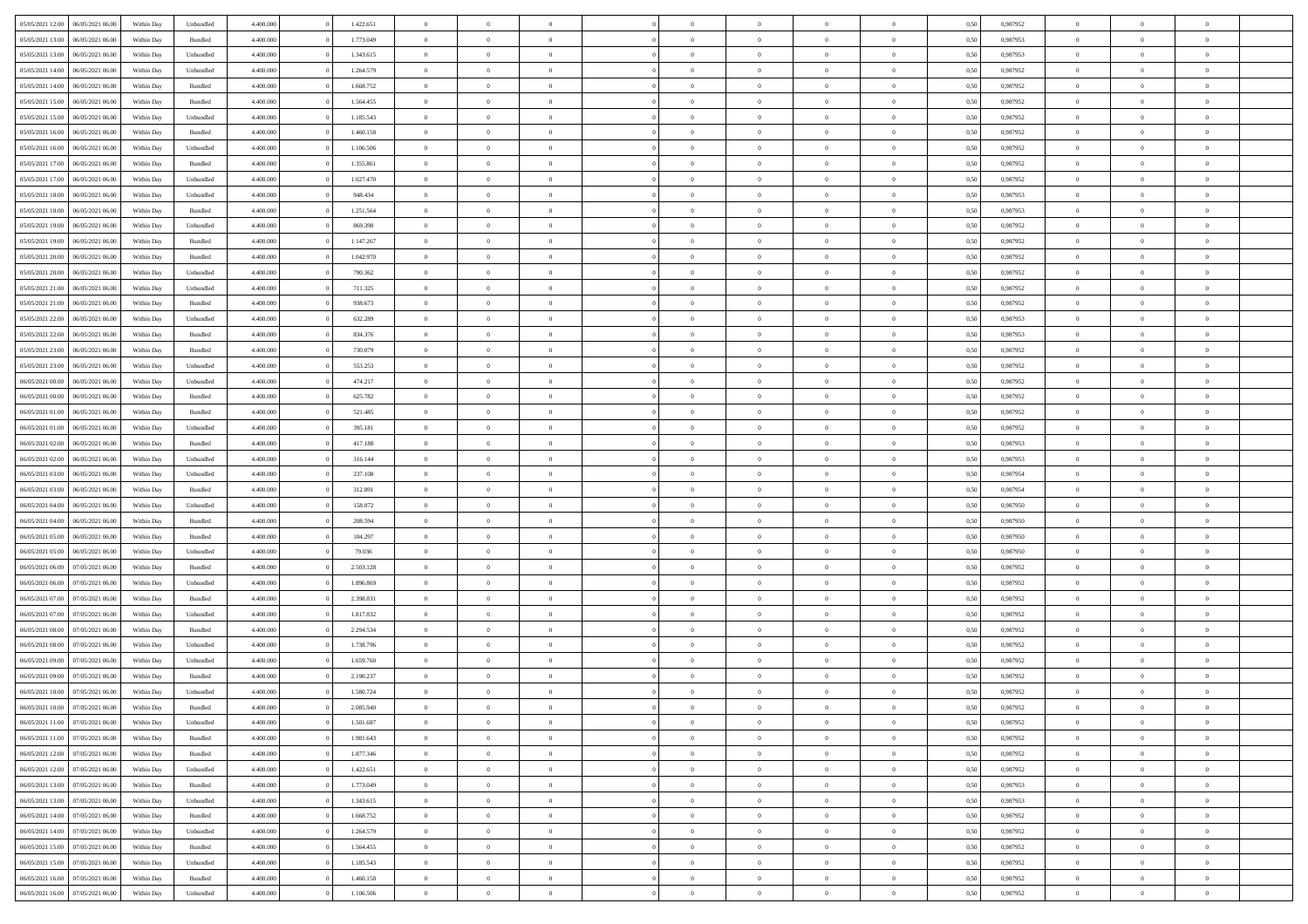| 05/05/2021 12:00 | 06/05/2021 06:00 | Within Day | Unbundled          | 4.400.000 | 1.422.651 | $\overline{0}$ | $\theta$       |                | $\Omega$       | $\Omega$       | $\overline{0}$ | $\theta$       | 0,50 | 0,987952 | $\theta$       | $\overline{0}$ | $\theta$       |  |
|------------------|------------------|------------|--------------------|-----------|-----------|----------------|----------------|----------------|----------------|----------------|----------------|----------------|------|----------|----------------|----------------|----------------|--|
|                  |                  |            |                    |           |           |                |                |                |                |                |                |                |      |          |                |                |                |  |
| 05/05/2021 13:00 | 06/05/2021 06:00 | Within Day | Bundled            | 4.400.000 | 1.773.049 | $\overline{0}$ | $\theta$       | $\overline{0}$ | $\overline{0}$ | $\bf{0}$       | $\overline{0}$ | $\bf{0}$       | 0,50 | 0,987953 | $\theta$       | $\overline{0}$ | $\overline{0}$ |  |
| 05/05/2021 13:00 | 06/05/2021 06:00 | Within Day | Unbundled          | 4.400.000 | 1.343.615 | $\overline{0}$ | $\bf{0}$       | $\overline{0}$ | $\overline{0}$ | $\bf{0}$       | $\overline{0}$ | $\mathbf{0}$   | 0,50 | 0,987953 | $\overline{0}$ | $\overline{0}$ | $\bf{0}$       |  |
| 05/05/2021 14:00 | 06/05/2021 06:00 | Within Day | Unbundled          | 4.400.000 | 1.264.579 | $\overline{0}$ | $\overline{0}$ | $\overline{0}$ | $\overline{0}$ | $\bf{0}$       | $\overline{0}$ | $\overline{0}$ | 0.50 | 0,987952 | $\theta$       | $\theta$       | $\overline{0}$ |  |
| 05/05/2021 14:00 | 06/05/2021 06:00 | Within Day | Bundled            | 4.400.000 | 1.668.752 | $\overline{0}$ | $\theta$       | $\overline{0}$ | $\overline{0}$ | $\bf{0}$       | $\overline{0}$ | $\bf{0}$       | 0,50 | 0,987952 | $\theta$       | $\overline{0}$ | $\overline{0}$ |  |
|                  |                  |            |                    |           |           |                |                |                |                |                |                |                |      |          |                |                |                |  |
| 05/05/2021 15:00 | 06/05/2021 06:00 | Within Day | Bundled            | 4.400.000 | 1.564.455 | $\overline{0}$ | $\overline{0}$ | $\overline{0}$ | $\overline{0}$ | $\overline{0}$ | $\overline{0}$ | $\mathbf{0}$   | 0,50 | 0,987952 | $\overline{0}$ | $\overline{0}$ | $\bf{0}$       |  |
| 05/05/2021 15:00 | 06/05/2021 06:00 | Within Dav | Unbundled          | 4.400.000 | 1.185.543 | $\overline{0}$ | $\overline{0}$ | $\overline{0}$ | $\overline{0}$ | $\overline{0}$ | $\overline{0}$ | $\overline{0}$ | 0.50 | 0,987952 | $\theta$       | $\overline{0}$ | $\overline{0}$ |  |
| 05/05/2021 16:00 | 06/05/2021 06:00 | Within Day | Bundled            | 4.400.000 | 1.460.158 | $\overline{0}$ | $\theta$       | $\overline{0}$ | $\overline{0}$ | $\bf{0}$       | $\overline{0}$ | $\bf{0}$       | 0,50 | 0,987952 | $\theta$       | $\theta$       | $\overline{0}$ |  |
| 05/05/2021 16:00 | 06/05/2021 06:00 | Within Day | Unbundled          | 4.400.000 | 1.106.506 | $\overline{0}$ | $\overline{0}$ | $\overline{0}$ | $\overline{0}$ | $\bf{0}$       | $\overline{0}$ | $\bf{0}$       | 0,50 | 0,987952 | $\,0\,$        | $\overline{0}$ | $\overline{0}$ |  |
| 05/05/2021 17:00 | 06/05/2021 06:00 | Within Dav | Bundled            | 4.400.000 | 1.355.861 | $\overline{0}$ | $\overline{0}$ | $\overline{0}$ | $\overline{0}$ | $\overline{0}$ | $\overline{0}$ | $\overline{0}$ | 0.50 | 0,987952 | $\theta$       | $\overline{0}$ | $\overline{0}$ |  |
| 05/05/2021 17:00 | 06/05/2021 06:00 | Within Day | Unbundled          | 4.400.000 | 1.027.470 | $\overline{0}$ | $\theta$       | $\overline{0}$ | $\overline{0}$ | $\bf{0}$       | $\overline{0}$ | $\bf{0}$       | 0,50 | 0,987952 | $\,$ 0 $\,$    | $\overline{0}$ | $\overline{0}$ |  |
|                  |                  |            |                    |           |           |                |                |                |                |                |                |                |      |          |                |                |                |  |
| 05/05/2021 18:00 | 06/05/2021 06:00 | Within Day | Unbundled          | 4.400.000 | 948.434   | $\overline{0}$ | $\overline{0}$ | $\overline{0}$ | $\overline{0}$ | $\bf{0}$       | $\overline{0}$ | $\mathbf{0}$   | 0,50 | 0,987953 | $\overline{0}$ | $\overline{0}$ | $\bf{0}$       |  |
| 05/05/2021 18:00 | 06/05/2021 06:00 | Within Day | Bundled            | 4.400.000 | 1.251.564 | $\overline{0}$ | $\overline{0}$ | $\overline{0}$ | $\overline{0}$ | $\bf{0}$       | $\overline{0}$ | $\overline{0}$ | 0.50 | 0,987953 | $\theta$       | $\theta$       | $\overline{0}$ |  |
| 05/05/2021 19:00 | 06/05/2021 06:00 | Within Day | Unbundled          | 4.400.000 | 869.398   | $\overline{0}$ | $\theta$       | $\overline{0}$ | $\overline{0}$ | $\bf{0}$       | $\overline{0}$ | $\bf{0}$       | 0,50 | 0,987952 | $\theta$       | $\overline{0}$ | $\overline{0}$ |  |
| 05/05/2021 19:00 | 06/05/2021 06:00 | Within Day | Bundled            | 4.400.000 | 1.147.267 | $\overline{0}$ | $\overline{0}$ | $\overline{0}$ | $\overline{0}$ | $\overline{0}$ | $\overline{0}$ | $\mathbf{0}$   | 0,50 | 0,987952 | $\overline{0}$ | $\overline{0}$ | $\bf{0}$       |  |
| 05/05/2021 20:00 | 06/05/2021 06:00 | Within Dav | Bundled            | 4.400.000 | 1.042.970 | $\overline{0}$ | $\overline{0}$ | $\overline{0}$ | $\overline{0}$ | $\overline{0}$ | $\overline{0}$ | $\overline{0}$ | 0.50 | 0,987952 | $\theta$       | $\overline{0}$ | $\overline{0}$ |  |
| 05/05/2021 20:00 | 06/05/2021 06:00 | Within Day | Unbundled          | 4.400.000 | 790.362   | $\overline{0}$ | $\theta$       | $\overline{0}$ | $\overline{0}$ | $\bf{0}$       | $\overline{0}$ | $\bf{0}$       | 0,50 | 0,987952 | $\theta$       | $\overline{0}$ | $\overline{0}$ |  |
| 05/05/2021 21.00 | 06/05/2021 06:00 | Within Day | Unbundled          | 4.400.000 | 711.325   | $\overline{0}$ | $\overline{0}$ | $\overline{0}$ | $\bf{0}$       | $\bf{0}$       | $\bf{0}$       | $\mathbf{0}$   | 0,50 | 0,987952 | $\,0\,$        | $\overline{0}$ | $\bf{0}$       |  |
| 05/05/2021 21:00 | 06/05/2021 06:00 | Within Day | Bundled            | 4.400.000 | 938.673   | $\overline{0}$ | $\overline{0}$ | $\overline{0}$ | $\overline{0}$ | $\overline{0}$ | $\overline{0}$ | $\overline{0}$ | 0.50 | 0,987952 | $\theta$       | $\overline{0}$ | $\overline{0}$ |  |
|                  |                  |            |                    |           |           | $\overline{0}$ |                |                |                |                |                |                |      |          |                |                |                |  |
| 05/05/2021 22:00 | 06/05/2021 06:00 | Within Day | Unbundled          | 4.400.000 | 632.289   |                | $\theta$       | $\overline{0}$ | $\overline{0}$ | $\bf{0}$       | $\overline{0}$ | $\bf{0}$       | 0,50 | 0,987953 | $\,$ 0 $\,$    | $\overline{0}$ | $\overline{0}$ |  |
| 05/05/2021 22.00 | 06/05/2021 06:00 | Within Day | Bundled            | 4.400.000 | 834.376   | $\overline{0}$ | $\overline{0}$ | $\overline{0}$ | $\bf{0}$       | $\bf{0}$       | $\bf{0}$       | $\mathbf{0}$   | 0,50 | 0,987953 | $\bf{0}$       | $\overline{0}$ | $\bf{0}$       |  |
| 05/05/2021 23:00 | 06/05/2021 06:00 | Within Day | Bundled            | 4.400.000 | 730.079   | $\overline{0}$ | $\overline{0}$ | $\overline{0}$ | $\overline{0}$ | $\overline{0}$ | $\overline{0}$ | $\overline{0}$ | 0.50 | 0,987952 | $\theta$       | $\overline{0}$ | $\overline{0}$ |  |
| 05/05/2021 23:00 | 06/05/2021 06:00 | Within Day | Unbundled          | 4.400.000 | 553.253   | $\overline{0}$ | $\theta$       | $\overline{0}$ | $\overline{0}$ | $\bf{0}$       | $\overline{0}$ | $\bf{0}$       | 0,50 | 0,987952 | $\,$ 0 $\,$    | $\overline{0}$ | $\overline{0}$ |  |
| 06/05/2021 00:00 | 06/05/2021 06:00 | Within Day | Unbundled          | 4.400.000 | 474.217   | $\overline{0}$ | $\overline{0}$ | $\overline{0}$ | $\bf{0}$       | $\overline{0}$ | $\overline{0}$ | $\mathbf{0}$   | 0,50 | 0,987952 | $\overline{0}$ | $\overline{0}$ | $\bf{0}$       |  |
| 06/05/2021 00:00 | 06/05/2021 06:00 | Within Dav | Bundled            | 4.400.000 | 625.782   | $\overline{0}$ | $\overline{0}$ | $\overline{0}$ | $\overline{0}$ | $\overline{0}$ | $\overline{0}$ | $\overline{0}$ | 0.50 | 0,987952 | $\theta$       | $\overline{0}$ | $\overline{0}$ |  |
| 06/05/2021 01:00 | 06/05/2021 06:00 | Within Day | Bundled            | 4.400.000 | 521.485   | $\overline{0}$ | $\theta$       | $\overline{0}$ | $\overline{0}$ | $\bf{0}$       | $\overline{0}$ | $\bf{0}$       | 0,50 | 0,987952 | $\theta$       | $\overline{0}$ | $\overline{0}$ |  |
|                  |                  |            |                    |           |           |                |                |                |                |                |                |                |      |          |                |                |                |  |
| 06/05/2021 01:00 | 06/05/2021 06:00 | Within Day | Unbundled          | 4.400.000 | 395.181   | $\overline{0}$ | $\overline{0}$ | $\overline{0}$ | $\bf{0}$       | $\bf{0}$       | $\bf{0}$       | $\bf{0}$       | 0,50 | 0,987952 | $\,0\,$        | $\overline{0}$ | $\overline{0}$ |  |
| 06/05/2021 02:00 | 06/05/2021 06:00 | Within Day | Bundled            | 4.400.000 | 417.188   | $\overline{0}$ | $\overline{0}$ | $\overline{0}$ | $\overline{0}$ | $\overline{0}$ | $\overline{0}$ | $\overline{0}$ | 0.50 | 0,987953 | $\theta$       | $\overline{0}$ | $\overline{0}$ |  |
| 06/05/2021 02:00 | 06/05/2021 06:00 | Within Day | Unbundled          | 4.400.000 | 316.144   | $\overline{0}$ | $\overline{0}$ | $\overline{0}$ | $\overline{0}$ | $\bf{0}$       | $\overline{0}$ | $\bf{0}$       | 0,50 | 0,987953 | $\,$ 0 $\,$    | $\overline{0}$ | $\overline{0}$ |  |
| 06/05/2021 03:00 | 06/05/2021 06:00 | Within Day | Unbundled          | 4.400.000 | 237.108   | $\overline{0}$ | $\overline{0}$ | $\overline{0}$ | $\bf{0}$       | $\bf{0}$       | $\bf{0}$       | $\bf{0}$       | 0,50 | 0,987954 | $\overline{0}$ | $\overline{0}$ | $\bf{0}$       |  |
| 06/05/2021 03:00 | 06/05/2021 06:00 | Within Day | Bundled            | 4.400,000 | 312.891   | $\overline{0}$ | $\Omega$       | $\overline{0}$ | $\Omega$       | $\Omega$       | $\overline{0}$ | $\overline{0}$ | 0,50 | 0,987954 | $\,0\,$        | $\theta$       | $\theta$       |  |
| 06/05/2021 04:00 | 06/05/2021 06:00 | Within Day | Unbundled          | 4.400.000 | 158.072   | $\overline{0}$ | $\overline{0}$ | $\overline{0}$ | $\overline{0}$ | $\bf{0}$       | $\overline{0}$ | $\bf{0}$       | 0,50 | 0,987950 | $\theta$       | $\overline{0}$ | $\overline{0}$ |  |
|                  |                  |            |                    |           |           |                |                |                |                |                |                |                |      |          |                | $\overline{0}$ | $\bf{0}$       |  |
| 06/05/2021 04:00 | 06/05/2021 06:00 | Within Day | Bundled            | 4.400.000 | 208.594   | $\overline{0}$ | $\overline{0}$ | $\overline{0}$ | $\bf{0}$       | $\overline{0}$ | $\overline{0}$ | $\mathbf{0}$   | 0,50 | 0,987950 | $\overline{0}$ |                |                |  |
| 06/05/2021 05:00 | 06/05/2021 06:00 | Within Day | Bundled            | 4.400,000 | 104.297   | $\overline{0}$ | $\Omega$       | $\Omega$       | $\Omega$       | $\overline{0}$ | $\overline{0}$ | $\overline{0}$ | 0.50 | 0,987950 | $\,0\,$        | $\theta$       | $\theta$       |  |
| 06/05/2021 05:00 | 06/05/2021 06:00 | Within Day | Unbundled          | 4.400.000 | 79.036    | $\overline{0}$ | $\theta$       | $\overline{0}$ | $\overline{0}$ | $\bf{0}$       | $\overline{0}$ | $\bf{0}$       | 0,50 | 0,987950 | $\,$ 0 $\,$    | $\overline{0}$ | $\overline{0}$ |  |
| 06/05/2021 06:00 | 07/05/2021 06:00 | Within Day | Bundled            | 4.400.000 | 2.503.128 | $\overline{0}$ | $\overline{0}$ | $\overline{0}$ | $\bf{0}$       | $\bf{0}$       | $\bf{0}$       | $\bf{0}$       | 0,50 | 0,987952 | $\bf{0}$       | $\overline{0}$ | $\bf{0}$       |  |
| 06/05/2021 06:00 | 07/05/2021 06:00 | Within Day | Unbundled          | 4.400,000 | 1.896.869 | $\overline{0}$ | $\Omega$       | $\Omega$       | $\Omega$       | $\overline{0}$ | $\overline{0}$ | $\overline{0}$ | 0.50 | 0.987952 | $\,$ 0 $\,$    | $\theta$       | $\theta$       |  |
| 06/05/2021 07:00 | 07/05/2021 06:00 | Within Day | Bundled            | 4.400.000 | 2.398.831 | $\overline{0}$ | $\overline{0}$ | $\overline{0}$ | $\overline{0}$ | $\bf{0}$       | $\overline{0}$ | $\bf{0}$       | 0,50 | 0,987952 | $\,$ 0 $\,$    | $\overline{0}$ | $\overline{0}$ |  |
| 06/05/2021 07:00 | 07/05/2021 06:00 | Within Day | Unbundled          | 4.400.000 | 1.817.832 | $\overline{0}$ | $\overline{0}$ | $\overline{0}$ | $\overline{0}$ | $\bf{0}$       | $\overline{0}$ | $\mathbf{0}$   | 0,50 | 0,987952 | $\bf{0}$       | $\overline{0}$ | $\bf{0}$       |  |
|                  |                  |            |                    |           |           |                |                |                |                |                |                |                |      |          |                |                | $\theta$       |  |
| 06/05/2021 08:00 | 07/05/2021 06:00 | Within Day | Bundled            | 4.400,000 | 2.294.534 | $\overline{0}$ | $\Omega$       | $\overline{0}$ | $\Omega$       | $\overline{0}$ | $\overline{0}$ | $\overline{0}$ | 0,50 | 0,987952 | $\,0\,$        | $\theta$       |                |  |
| 06/05/2021 08:00 | 07/05/2021 06:00 | Within Day | Unbundled          | 4.400.000 | 1.738.796 | $\overline{0}$ | $\overline{0}$ | $\overline{0}$ | $\overline{0}$ | $\,$ 0         | $\overline{0}$ | $\bf{0}$       | 0,50 | 0,987952 | $\,$ 0 $\,$    | $\overline{0}$ | $\overline{0}$ |  |
| 06/05/2021 09:00 | 07/05/2021 06:00 | Within Day | Unbundled          | 4.400.000 | 1.659.760 | $\overline{0}$ | $\overline{0}$ | $\overline{0}$ | $\overline{0}$ | $\bf{0}$       | $\overline{0}$ | $\mathbf{0}$   | 0,50 | 0,987952 | $\bf{0}$       | $\overline{0}$ | $\bf{0}$       |  |
| 06/05/2021 09:00 | 07/05/2021 06:00 | Within Day | Bundled            | 4.400,000 | 2.190.237 | $\overline{0}$ | $\Omega$       | $\Omega$       | $\Omega$       | $\Omega$       | $\Omega$       | $\overline{0}$ | 0.50 | 0.987952 | $\theta$       | $\theta$       | $\theta$       |  |
| 06/05/2021 10:00 | 07/05/2021 06:00 | Within Day | Unbundled          | 4.400.000 | 1.580.724 | $\overline{0}$ | $\overline{0}$ | $\overline{0}$ | $\bf{0}$       | $\,$ 0         | $\overline{0}$ | $\bf{0}$       | 0,50 | 0,987952 | $\,0\,$        | $\,$ 0 $\,$    | $\overline{0}$ |  |
| 06/05/2021 10:00 | 07/05/2021 06:00 | Within Day | $\mathbf B$ undled | 4.400.000 | 2.085.940 | $\bf{0}$       | $\bf{0}$       |                |                | $\bf{0}$       |                |                | 0,50 | 0,987952 | $\bf{0}$       | $\overline{0}$ |                |  |
| 06/05/2021 11:00 | 07/05/2021 06:00 | Within Day | Unbundled          | 4.400.000 | 1.501.687 | $\overline{0}$ | $\overline{0}$ | $\overline{0}$ | $\Omega$       | $\overline{0}$ | $\overline{0}$ | $\overline{0}$ | 0.50 | 0.987952 | $\theta$       | $\theta$       | $\theta$       |  |
| 06/05/2021 11:00 | 07/05/2021 06:00 | Within Day | Bundled            | 4.400.000 | 1.981.643 | $\overline{0}$ | $\,$ 0         | $\overline{0}$ | $\overline{0}$ | $\,$ 0 $\,$    | $\overline{0}$ | $\mathbf{0}$   | 0,50 | 0,987952 | $\,$ 0 $\,$    | $\,$ 0 $\,$    | $\,$ 0         |  |
|                  |                  |            |                    |           |           |                |                |                |                |                |                |                |      |          |                |                |                |  |
| 06/05/2021 12:00 | 07/05/2021 06:00 | Within Day | Bundled            | 4.400.000 | 1.877.346 | $\overline{0}$ | $\overline{0}$ | $\overline{0}$ | $\overline{0}$ | $\overline{0}$ | $\overline{0}$ | $\mathbf{0}$   | 0,50 | 0,987952 | $\overline{0}$ | $\bf{0}$       | $\bf{0}$       |  |
| 06/05/2021 12:00 | 07/05/2021 06:00 | Within Day | Unbundled          | 4.400,000 | 1.422.651 | $\overline{0}$ | $\overline{0}$ | $\overline{0}$ | $\Omega$       | $\overline{0}$ | $\overline{0}$ | $\overline{0}$ | 0,50 | 0,987952 | $\overline{0}$ | $\theta$       | $\overline{0}$ |  |
| 06/05/2021 13:00 | 07/05/2021 06:00 | Within Day | Bundled            | 4.400.000 | 1.773.049 | $\overline{0}$ | $\,$ 0         | $\overline{0}$ | $\overline{0}$ | $\,$ 0 $\,$    | $\overline{0}$ | $\mathbf{0}$   | 0,50 | 0,987953 | $\,$ 0 $\,$    | $\overline{0}$ | $\overline{0}$ |  |
| 06/05/2021 13:00 | 07/05/2021 06:00 | Within Day | Unbundled          | 4.400.000 | 1.343.615 | $\overline{0}$ | $\overline{0}$ | $\overline{0}$ | $\overline{0}$ | $\overline{0}$ | $\overline{0}$ | $\mathbf{0}$   | 0,50 | 0,987953 | $\overline{0}$ | $\overline{0}$ | $\bf{0}$       |  |
| 06/05/2021 14:00 | 07/05/2021 06:00 | Within Day | Bundled            | 4.400.000 | 1.668.752 | $\overline{0}$ | $\overline{0}$ | $\overline{0}$ | $\Omega$       | $\overline{0}$ | $\overline{0}$ | $\bf{0}$       | 0.50 | 0,987952 | $\overline{0}$ | $\theta$       | $\overline{0}$ |  |
| 06/05/2021 14:00 | 07/05/2021 06:00 | Within Day | Unbundled          | 4.400.000 | 1.264.579 | $\overline{0}$ | $\,$ 0         | $\overline{0}$ | $\overline{0}$ | $\bf{0}$       | $\overline{0}$ | $\bf{0}$       | 0,50 | 0,987952 | $\,$ 0 $\,$    | $\overline{0}$ | $\overline{0}$ |  |
| 06/05/2021 15:00 | 07/05/2021 06:00 | Within Day | Bundled            | 4.400.000 | 1.564.455 | $\overline{0}$ | $\bf{0}$       | $\overline{0}$ | $\overline{0}$ | $\overline{0}$ | $\overline{0}$ | $\mathbf{0}$   | 0,50 | 0,987952 | $\overline{0}$ | $\overline{0}$ | $\bf{0}$       |  |
|                  | 07/05/2021 06:00 |            |                    | 4.400,000 | 1.185.543 | $\overline{0}$ | $\overline{0}$ | $\overline{0}$ | $\Omega$       | $\overline{0}$ | $\overline{0}$ |                | 0.50 |          | $\overline{0}$ | $\overline{0}$ | $\overline{0}$ |  |
| 06/05/2021 15:00 |                  | Within Day | Unbundled          |           |           |                |                |                |                |                |                | $\overline{0}$ |      | 0,987952 |                |                |                |  |
| 06/05/2021 16:00 | 07/05/2021 06:00 | Within Day | Bundled            | 4.400.000 | 1.460.158 | $\overline{0}$ | $\bf{0}$       | $\overline{0}$ | $\bf{0}$       | $\bf{0}$       | $\bf{0}$       | $\mathbf{0}$   | 0,50 | 0,987952 | $\,$ 0 $\,$    | $\,$ 0 $\,$    | $\bf{0}$       |  |
| 06/05/2021 16:00 | 07/05/2021 06:00 | Within Day | Unbundled          | 4.400.000 | 1.106.506 | $\overline{0}$ | $\overline{0}$ | $\overline{0}$ | $\overline{0}$ | $\overline{0}$ | $\bf{0}$       | $\mathbf{0}$   | 0,50 | 0,987952 | $\overline{0}$ | $\bf{0}$       | $\overline{0}$ |  |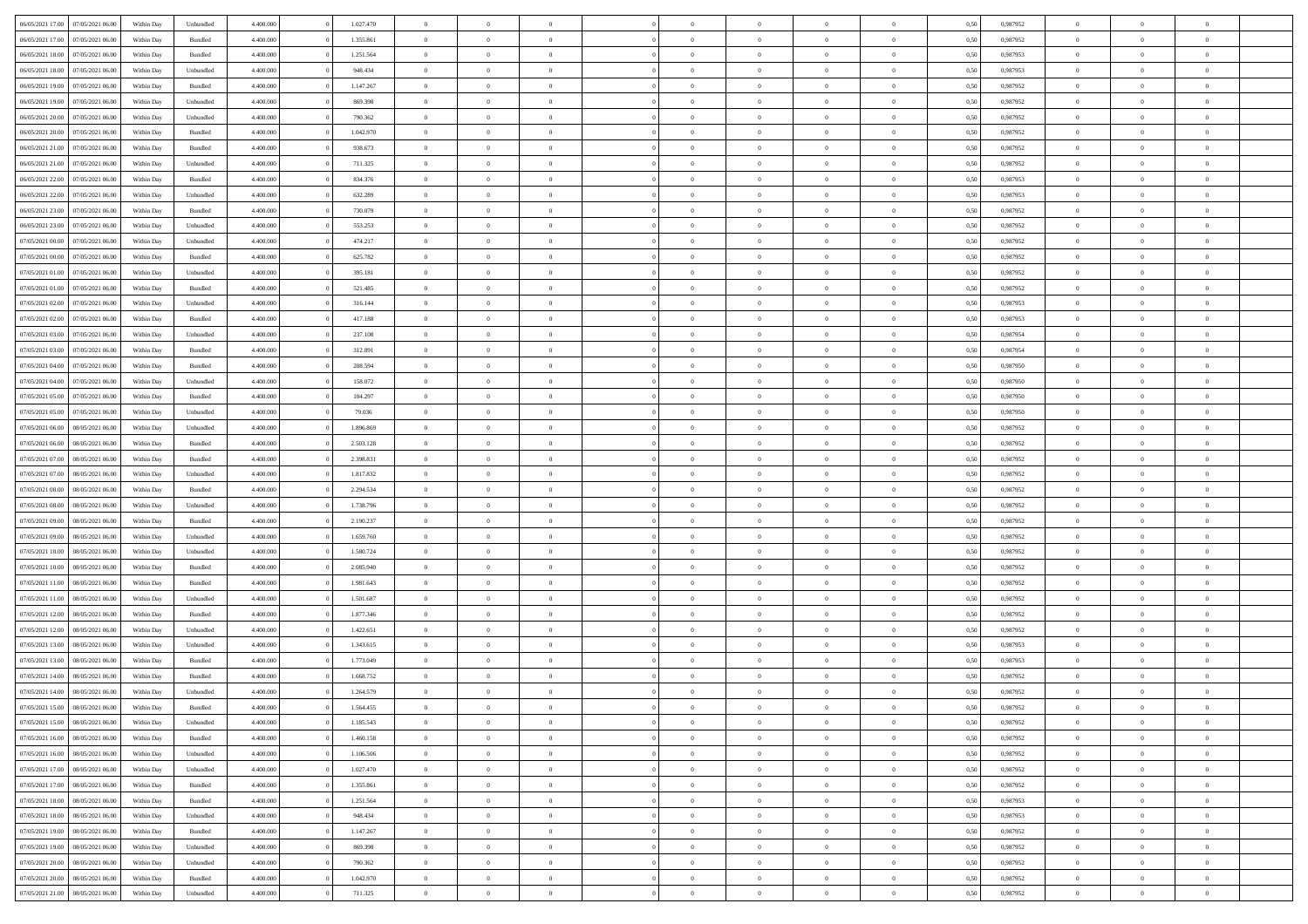| 06/05/2021 17:00 07/05/2021 06:00                        | Within Day | Unbundled | 4.400.000 | 1.027.470 | $\overline{0}$ | $\overline{0}$             | $\Omega$       | $\Omega$       | $\theta$                         | $\Omega$       | $\overline{0}$ | 0,50 | 0,987952 | $\theta$             | $\theta$                   | $\theta$                         |  |
|----------------------------------------------------------|------------|-----------|-----------|-----------|----------------|----------------------------|----------------|----------------|----------------------------------|----------------|----------------|------|----------|----------------------|----------------------------|----------------------------------|--|
| 06/05/2021 17:00<br>07/05/2021 06:00                     | Within Day | Bundled   | 4.400.000 | 1.355.861 | $\overline{0}$ | $\overline{0}$             | $\overline{0}$ | $\overline{0}$ | $\theta$                         | $\overline{0}$ | $\bf{0}$       | 0,50 | 0,987952 | $\theta$             | $\theta$                   | $\overline{0}$                   |  |
| 06/05/2021 18:00<br>07/05/2021 06:00                     | Within Day | Bundled   | 4.400.000 | 1.251.564 | $\overline{0}$ | $\bf{0}$                   | $\overline{0}$ | $\overline{0}$ | $\bf{0}$                         | $\overline{0}$ | $\bf{0}$       | 0,50 | 0,987953 | $\bf{0}$             | $\overline{0}$             | $\overline{0}$                   |  |
| 06/05/2021 18:00<br>07/05/2021 06:00                     | Within Day | Unbundled | 4.400.000 | 948.434   | $\overline{0}$ | $\overline{0}$             | $\overline{0}$ | $\overline{0}$ | $\theta$                         | $\overline{0}$ | $\overline{0}$ | 0.50 | 0,987953 | $\theta$             | $\theta$                   | $\overline{0}$                   |  |
| 06/05/2021 19:00<br>07/05/2021 06:00                     | Within Day | Bundled   | 4.400.000 | 1.147.267 | $\overline{0}$ | $\overline{0}$             | $\overline{0}$ | $\overline{0}$ | $\theta$                         | $\overline{0}$ | $\bf{0}$       | 0,50 | 0,987952 | $\theta$             | $\theta$                   | $\overline{0}$                   |  |
|                                                          |            |           |           |           |                | $\bf{0}$                   |                |                |                                  |                |                |      |          |                      | $\overline{0}$             | $\bf{0}$                         |  |
| 06/05/2021 19:00<br>07/05/2021 06:00<br>06/05/2021 20:00 | Within Day | Unbundled | 4.400.000 | 869.398   | $\overline{0}$ |                            | $\overline{0}$ | $\overline{0}$ | $\overline{0}$                   | $\overline{0}$ | $\bf{0}$       | 0,50 | 0,987952 | $\overline{0}$       |                            |                                  |  |
| 07/05/2021 06:00                                         | Within Day | Unbundled | 4.400.000 | 790.362   | $\overline{0}$ | $\overline{0}$             | $\overline{0}$ | $\overline{0}$ | $\overline{0}$                   | $\overline{0}$ | $\overline{0}$ | 0.5( | 0,987952 | $\theta$             | $\theta$                   | $\overline{0}$                   |  |
| 06/05/2021 20:00<br>07/05/2021 06:00                     | Within Day | Bundled   | 4.400.000 | 1.042.970 | $\overline{0}$ | $\theta$                   | $\overline{0}$ | $\overline{0}$ | $\theta$                         | $\overline{0}$ | $\bf{0}$       | 0,50 | 0,987952 | $\theta$             | $\theta$                   | $\overline{0}$                   |  |
| 06/05/2021 21:00<br>07/05/2021 06:00                     | Within Day | Bundled   | 4.400.000 | 938.673   | $\overline{0}$ | $\bf{0}$                   | $\overline{0}$ | $\overline{0}$ | $\overline{0}$                   | $\overline{0}$ | $\bf{0}$       | 0,50 | 0,987952 | $\bf{0}$             | $\bf{0}$                   | $\overline{0}$                   |  |
| 06/05/2021 21:00<br>07/05/2021 06:00                     | Within Day | Unbundled | 4.400.000 | 711.325   | $\overline{0}$ | $\overline{0}$             | $\overline{0}$ | $\overline{0}$ | $\overline{0}$                   | $\overline{0}$ | $\overline{0}$ | 0.5( | 0,987952 | $\theta$             | $\theta$                   | $\overline{0}$                   |  |
| 06/05/2021 22:00<br>07/05/2021 06:00                     | Within Day | Bundled   | 4.400.000 | 834.376   | $\bf{0}$       | $\overline{0}$             | $\overline{0}$ | $\overline{0}$ | $\theta$                         | $\overline{0}$ | $\bf{0}$       | 0,50 | 0,987953 | $\theta$             | $\theta$                   | $\overline{0}$                   |  |
| 06/05/2021 22:00<br>07/05/2021 06:00                     | Within Day | Unbundled | 4.400.000 | 632.289   | $\overline{0}$ | $\bf{0}$                   | $\overline{0}$ | $\overline{0}$ | $\bf{0}$                         | $\overline{0}$ | $\bf{0}$       | 0,50 | 0,987953 | $\bf{0}$             | $\overline{0}$             | $\overline{0}$                   |  |
| 06/05/2021 23:00<br>07/05/2021 06:00                     | Within Day | Bundled   | 4.400.000 | 730.079   | $\overline{0}$ | $\overline{0}$             | $\overline{0}$ | $\overline{0}$ | $\overline{0}$                   | $\overline{0}$ | $\overline{0}$ | 0.5( | 0,987952 | $\theta$             | $\theta$                   | $\overline{0}$                   |  |
| 06/05/2021 23:00<br>07/05/2021 06:00                     | Within Day | Unbundled | 4.400.000 | 553.253   | $\overline{0}$ | $\overline{0}$             | $\overline{0}$ | $\overline{0}$ | $\theta$                         | $\overline{0}$ | $\,$ 0 $\,$    | 0,50 | 0,987952 | $\theta$             | $\theta$                   | $\overline{0}$                   |  |
| 07/05/2021 00:00<br>07/05/2021 06:00                     | Within Day | Unbundled | 4.400.000 | 474.217   | $\overline{0}$ | $\bf{0}$                   | $\overline{0}$ | $\overline{0}$ | $\overline{0}$                   | $\overline{0}$ | $\bf{0}$       | 0,50 | 0,987952 | $\bf{0}$             | $\overline{0}$             | $\bf{0}$                         |  |
| 07/05/2021 00:00<br>07/05/2021 06:00                     | Within Day | Bundled   | 4.400.000 | 625.782   | $\overline{0}$ | $\overline{0}$             | $\overline{0}$ | $\overline{0}$ | $\overline{0}$                   | $\overline{0}$ | $\overline{0}$ | 0.5( | 0,987952 | $\theta$             | $\theta$                   | $\overline{0}$                   |  |
| 07/05/2021 01:00<br>07/05/2021 06:00                     | Within Day | Unbundled | 4.400.000 | 395.181   | $\bf{0}$       | $\overline{0}$             | $\overline{0}$ | $\overline{0}$ | $\theta$                         | $\overline{0}$ | $\bf{0}$       | 0,50 | 0,987952 | $\theta$             | $\theta$                   | $\overline{0}$                   |  |
|                                                          |            |           |           |           |                |                            |                |                |                                  |                |                |      |          |                      |                            |                                  |  |
| 07/05/2021 01:00<br>07/05/2021 06:00                     | Within Day | Bundled   | 4.400.000 | 521.485   | $\overline{0}$ | $\bf{0}$<br>$\overline{0}$ | $\overline{0}$ | $\overline{0}$ | $\overline{0}$<br>$\overline{0}$ | $\overline{0}$ | $\bf{0}$       | 0,50 | 0,987952 | $\bf{0}$<br>$\theta$ | $\overline{0}$<br>$\theta$ | $\overline{0}$<br>$\overline{0}$ |  |
| 07/05/2021 02:00<br>07/05/2021 06:00                     | Within Day | Unbundled | 4.400.000 | 316.144   | $\overline{0}$ |                            | $\overline{0}$ | $\overline{0}$ |                                  | $\overline{0}$ | $\overline{0}$ | 0.50 | 0,987953 |                      |                            |                                  |  |
| 07/05/2021 02:00<br>07/05/2021 06:00                     | Within Day | Bundled   | 4.400.000 | 417.188   | $\bf{0}$       | $\overline{0}$             | $\overline{0}$ | $\overline{0}$ | $\theta$                         | $\overline{0}$ | $\bf{0}$       | 0,50 | 0,987953 | $\theta$             | $\theta$                   | $\overline{0}$                   |  |
| 07/05/2021 03:00<br>07/05/2021 06:00                     | Within Day | Unbundled | 4.400.000 | 237.108   | $\overline{0}$ | $\bf{0}$                   | $\overline{0}$ | $\overline{0}$ | $\overline{0}$                   | $\overline{0}$ | $\bf{0}$       | 0,50 | 0,987954 | $\bf{0}$             | $\overline{0}$             | $\overline{0}$                   |  |
| 07/05/2021 03:00<br>07/05/2021 06:00                     | Within Day | Bundled   | 4.400.000 | 312.891   | $\overline{0}$ | $\overline{0}$             | $\overline{0}$ | $\overline{0}$ | $\overline{0}$                   | $\overline{0}$ | $\overline{0}$ | 0.5( | 0.987954 | $\theta$             | $\theta$                   | $\overline{0}$                   |  |
| 07/05/2021 04:00<br>07/05/2021 06:00                     | Within Day | Bundled   | 4.400.000 | 208.594   | $\overline{0}$ | $\overline{0}$             | $\overline{0}$ | $\overline{0}$ | $\theta$                         | $\overline{0}$ | $\bf{0}$       | 0,50 | 0,987950 | $\theta$             | $\theta$                   | $\overline{0}$                   |  |
| 07/05/2021 04:00<br>07/05/2021 06:00                     | Within Day | Unbundled | 4.400.000 | 158.072   | $\overline{0}$ | $\bf{0}$                   | $\overline{0}$ | $\overline{0}$ | $\overline{0}$                   | $\overline{0}$ | $\bf{0}$       | 0,50 | 0,987950 | $\overline{0}$       | $\overline{0}$             | $\bf{0}$                         |  |
| 07/05/2021 05:00<br>07/05/2021 06:00                     | Within Day | Bundled   | 4.400.000 | 104.297   | $\overline{0}$ | $\overline{0}$             | $\overline{0}$ | $\overline{0}$ | $\overline{0}$                   | $\overline{0}$ | $\overline{0}$ | 0.5( | 0,987950 | $\theta$             | $\theta$                   | $\overline{0}$                   |  |
| 07/05/2021 05:00<br>07/05/2021 06:00                     | Within Day | Unbundled | 4.400.000 | 79.036    | $\bf{0}$       | $\overline{0}$             | $\overline{0}$ | $\overline{0}$ | $\theta$                         | $\overline{0}$ | $\bf{0}$       | 0,50 | 0,987950 | $\theta$             | $\theta$                   | $\overline{0}$                   |  |
| 07/05/2021 06:00<br>08/05/2021 06:00                     | Within Day | Unbundled | 4.400.000 | 1.896.869 | $\overline{0}$ | $\bf{0}$                   | $\overline{0}$ | $\overline{0}$ | $\overline{0}$                   | $\overline{0}$ | $\bf{0}$       | 0,50 | 0,987952 | $\bf{0}$             | $\bf{0}$                   | $\overline{0}$                   |  |
| 07/05/2021 06:00<br>08/05/2021 06:00                     | Within Day | Bundled   | 4.400.000 | 2.503.128 | $\overline{0}$ | $\overline{0}$             | $\overline{0}$ | $\overline{0}$ | $\overline{0}$                   | $\overline{0}$ | $\overline{0}$ | 0.5( | 0,987952 | $\theta$             | $\theta$                   | $\overline{0}$                   |  |
| 07/05/2021 07:00<br>08/05/2021 06:00                     | Within Day | Bundled   | 4.400.000 | 2.398.831 | $\bf{0}$       | $\overline{0}$             | $\overline{0}$ | $\overline{0}$ | $\theta$                         | $\overline{0}$ | $\bf{0}$       | 0,50 | 0,987952 | $\theta$             | $\theta$                   | $\overline{0}$                   |  |
| 07/05/2021 07:00<br>08/05/2021 06:00                     | Within Day | Unbundled | 4.400.000 | 1.817.832 | $\overline{0}$ | $\bf{0}$                   | $\overline{0}$ | $\overline{0}$ | $\bf{0}$                         | $\overline{0}$ | $\bf{0}$       | 0,50 | 0,987952 | $\bf{0}$             | $\overline{0}$             | $\overline{0}$                   |  |
| 07/05/2021 08:00<br>08/05/2021 06:00                     |            | Bundled   | 4,400,000 | 2.294.534 | $\overline{0}$ | $\overline{0}$             | $\Omega$       | $\Omega$       | $\Omega$                         | $\theta$       | $\overline{0}$ | 0.50 | 0,987952 | $\,$ 0 $\,$          | $\Omega$                   | $\theta$                         |  |
| 07/05/2021 08:00<br>08/05/2021 06:00                     | Within Day |           | 4.400.000 | 1.738.796 | $\bf{0}$       | $\overline{0}$             | $\overline{0}$ | $\overline{0}$ | $\theta$                         | $\overline{0}$ | $\bf{0}$       |      | 0,987952 | $\theta$             | $\theta$                   | $\overline{0}$                   |  |
|                                                          | Within Day | Unbundled |           |           |                |                            |                |                |                                  |                |                | 0,50 |          |                      |                            |                                  |  |
| 07/05/2021 09:00<br>08/05/2021 06:00                     | Within Day | Bundled   | 4.400.000 | 2.190.237 | $\overline{0}$ | $\bf{0}$                   | $\overline{0}$ | $\overline{0}$ | $\overline{0}$                   | $\overline{0}$ | $\bf{0}$       | 0,50 | 0,987952 | $\bf{0}$             | $\overline{0}$             | $\bf{0}$                         |  |
| 07/05/2021 09:00<br>08/05/2021 06:00                     | Within Day | Unbundled | 4,400,000 | 1.659.760 | $\overline{0}$ | $\overline{0}$             | $\Omega$       | $\Omega$       | $\overline{0}$                   | $\Omega$       | $\overline{0}$ | 0.50 | 0,987952 | $\bf{0}$             | $\theta$                   | $\theta$                         |  |
| 07/05/2021 10:00<br>08/05/2021 06:00                     | Within Day | Unbundled | 4.400.000 | 1.580.724 | $\bf{0}$       | $\overline{0}$             | $\overline{0}$ | $\overline{0}$ | $\theta$                         | $\overline{0}$ | $\bf{0}$       | 0,50 | 0,987952 | $\theta$             | $\theta$                   | $\overline{0}$                   |  |
| 07/05/2021 10:00<br>08/05/2021 06:00                     | Within Day | Bundled   | 4.400.000 | 2.085.940 | $\overline{0}$ | $\bf{0}$                   | $\overline{0}$ | $\overline{0}$ | $\overline{0}$                   | $\bf{0}$       | $\bf{0}$       | 0,50 | 0,987952 | $\bf{0}$             | $\overline{0}$             | $\overline{0}$                   |  |
| 07/05/2021 11:00<br>08/05/2021 06:00                     | Within Day | Bundled   | 4,400,000 | 1.981.643 | $\overline{0}$ | $\theta$                   | $\Omega$       | $\Omega$       | $\Omega$                         | $\Omega$       | $\overline{0}$ | 0.50 | 0.987952 | $\theta$             | $\Omega$                   | $\theta$                         |  |
| 07/05/2021 11:00<br>08/05/2021 06:00                     | Within Day | Unbundled | 4.400.000 | 1.501.687 | $\bf{0}$       | $\overline{0}$             | $\overline{0}$ | $\overline{0}$ | $\theta$                         | $\overline{0}$ | $\bf{0}$       | 0,50 | 0,987952 | $\theta$             | $\theta$                   | $\overline{0}$                   |  |
| 07/05/2021 12:00<br>08/05/2021 06:00                     | Within Day | Bundled   | 4.400.000 | 1.877.346 | $\overline{0}$ | $\bf{0}$                   | $\overline{0}$ | $\overline{0}$ | $\overline{0}$                   | $\overline{0}$ | $\bf{0}$       | 0,50 | 0,987952 | $\bf{0}$             | $\overline{0}$             | $\overline{0}$                   |  |
| 07/05/2021 12:00<br>08/05/2021 06:00                     | Within Day | Unbundled | 4,400,000 | 1.422.651 | $\overline{0}$ | $\overline{0}$             | $\Omega$       | $\Omega$       | $\theta$                         | $\Omega$       | $\overline{0}$ | 0.50 | 0,987952 | $\,$ 0 $\,$          | $\overline{0}$             | $\theta$                         |  |
| 07/05/2021 13:00<br>08/05/2021 06:00                     | Within Day | Unbundled | 4.400.000 | 1.343.615 | $\bf{0}$       | $\overline{0}$             | $\overline{0}$ | $\overline{0}$ | $\theta$                         | $\overline{0}$ | $\bf{0}$       | 0,50 | 0,987953 | $\theta$             | $\theta$                   | $\overline{0}$                   |  |
| 07/05/2021 13:00<br>08/05/2021 06:00                     | Within Day | Bundled   | 4.400.000 | 1.773.049 | $\overline{0}$ | $\bf{0}$                   | $\overline{0}$ | $\overline{0}$ | $\bf{0}$                         | $\overline{0}$ | $\bf{0}$       | 0,50 | 0,987953 | $\overline{0}$       | $\overline{0}$             | $\bf{0}$                         |  |
| 07/05/2021 14:00<br>08/05/2021 06:00                     | Within Day | Bundled   | 4,400,000 | 1.668.752 | $\overline{0}$ | $\Omega$                   | $\Omega$       | $\Omega$       | $\Omega$                         | $\theta$       | $\overline{0}$ | 0.50 | 0.987952 | $\theta$             | $\overline{0}$             | $\theta$                         |  |
| 07/05/2021 14:00 08/05/2021 06:00                        | Within Day | Unbundled | 4.400.000 | 1.264.579 | $\bf{0}$       | $\bf{0}$                   | $\overline{0}$ | $\overline{0}$ | $\bf{0}$                         | $\overline{0}$ | $\bf{0}$       | 0,50 | 0,987952 | $\bf{0}$             | $\,$ 0 $\,$                | $\overline{0}$                   |  |
| 07/05/2021 15:00 08/05/2021 06:00                        | Within Day | Bundled   | 4.400.000 | 1.564.455 | $\bf{0}$       |                            |                |                |                                  |                |                | 0,50 | 0,987952 | $\bf{0}$             | $\bf{0}$                   |                                  |  |
|                                                          | Within Day |           | 4.400.000 | 1.185.543 | $\Omega$       | $\overline{0}$             | $\Omega$       | $\theta$       | $\overline{0}$                   | $\theta$       | $\overline{0}$ | 0.50 | 0.987952 | $\theta$             | $\theta$                   | $\Omega$                         |  |
| 07/05/2021 15:00 08/05/2021 06:00                        |            | Unbundled |           |           |                | $\overline{0}$             |                |                | $\overline{0}$                   |                |                |      |          | $\,$ 0 $\,$          | $\,$ 0 $\,$                | $\,$ 0                           |  |
| 07/05/2021 16:00<br>08/05/2021 06:00                     | Within Day | Bundled   | 4.400.000 | 1.460.158 | $\overline{0}$ |                            | $\overline{0}$ | $\overline{0}$ |                                  | $\overline{0}$ | $\,$ 0 $\,$    | 0,50 | 0,987952 |                      |                            |                                  |  |
| 08/05/2021 06:00<br>07/05/2021 16:00                     | Within Day | Unbundled | 4.400.000 | 1.106.506 | $\overline{0}$ | $\overline{0}$             | $\overline{0}$ | $\overline{0}$ | $\overline{0}$                   | $\overline{0}$ | $\bf{0}$       | 0,50 | 0,987952 | $\overline{0}$       | $\bf{0}$                   | $\overline{0}$                   |  |
| 07/05/2021 17:00<br>08/05/2021 06:00                     | Within Day | Unbundled | 4.400.000 | 1.027.470 | $\overline{0}$ | $\bf{0}$                   | $\overline{0}$ | $\overline{0}$ | $\overline{0}$                   | $\overline{0}$ | $\bf{0}$       | 0,50 | 0,987952 | $\bf{0}$             | $\theta$                   | $\overline{0}$                   |  |
| 07/05/2021 17:00<br>08/05/2021 06:00                     | Within Day | Bundled   | 4.400.000 | 1.355.861 | $\overline{0}$ | $\overline{0}$             | $\overline{0}$ | $\overline{0}$ | $\overline{0}$                   | $\overline{0}$ | $\bf{0}$       | 0,50 | 0,987952 | $\,$ 0 $\,$          | $\,$ 0 $\,$                | $\overline{0}$                   |  |
| 07/05/2021 18:00<br>08/05/2021 06:00                     | Within Day | Bundled   | 4.400.000 | 1.251.564 | $\overline{0}$ | $\overline{0}$             | $\overline{0}$ | $\overline{0}$ | $\mathbf{0}$                     | $\overline{0}$ | $\bf{0}$       | 0,50 | 0,987953 | $\overline{0}$       | $\overline{0}$             | $\overline{0}$                   |  |
| 07/05/2021 18:00<br>08/05/2021 06:00                     | Within Day | Unbundled | 4.400.000 | 948.434   | $\overline{0}$ | $\bf{0}$                   | $\overline{0}$ | $\overline{0}$ | $\overline{0}$                   | $\overline{0}$ | $\bf{0}$       | 0.50 | 0,987953 | $\overline{0}$       | $\theta$                   | $\overline{0}$                   |  |
| 07/05/2021 19:00<br>08/05/2021 06:00                     | Within Day | Bundled   | 4.400.000 | 1.147.267 | $\overline{0}$ | $\overline{0}$             | $\overline{0}$ | $\overline{0}$ | $\overline{0}$                   | $\overline{0}$ | $\bf{0}$       | 0,50 | 0,987952 | $\,$ 0 $\,$          | $\,$ 0 $\,$                | $\overline{0}$                   |  |
| 08/05/2021 06:00<br>07/05/2021 19:00                     | Within Day | Unbundled | 4.400.000 | 869.398   | $\overline{0}$ | $\bf{0}$                   | $\overline{0}$ | $\overline{0}$ | $\overline{0}$                   | $\overline{0}$ | $\bf{0}$       | 0,50 | 0,987952 | $\overline{0}$       | $\overline{0}$             | $\bf{0}$                         |  |
| 07/05/2021 20:00<br>08/05/2021 06:00                     | Within Day | Unbundled | 4.400.000 | 790.362   | $\overline{0}$ | $\overline{0}$             | $\overline{0}$ | $\overline{0}$ | $\overline{0}$                   | $\overline{0}$ | $\bf{0}$       | 0.50 | 0,987952 | $\overline{0}$       | $\overline{0}$             | $\overline{0}$                   |  |
| 07/05/2021 20:00<br>08/05/2021 06:00                     | Within Day | Bundled   | 4.400.000 | 1.042.970 | $\overline{0}$ | $\,$ 0                     | $\overline{0}$ | $\overline{0}$ | $\overline{0}$                   | $\overline{0}$ | $\bf{0}$       | 0,50 | 0,987952 | $\,$ 0 $\,$          | $\,$ 0 $\,$                | $\bf{0}$                         |  |
| 07/05/2021 21:00 08/05/2021 06:00                        | Within Day | Unbundled | 4.400.000 | 711.325   | $\overline{0}$ | $\bf{0}$                   | $\overline{0}$ | $\overline{0}$ | $\overline{0}$                   | $\overline{0}$ | $\bf{0}$       | 0,50 | 0,987952 | $\bf{0}$             | $\overline{0}$             | $\bf{0}$                         |  |
|                                                          |            |           |           |           |                |                            |                |                |                                  |                |                |      |          |                      |                            |                                  |  |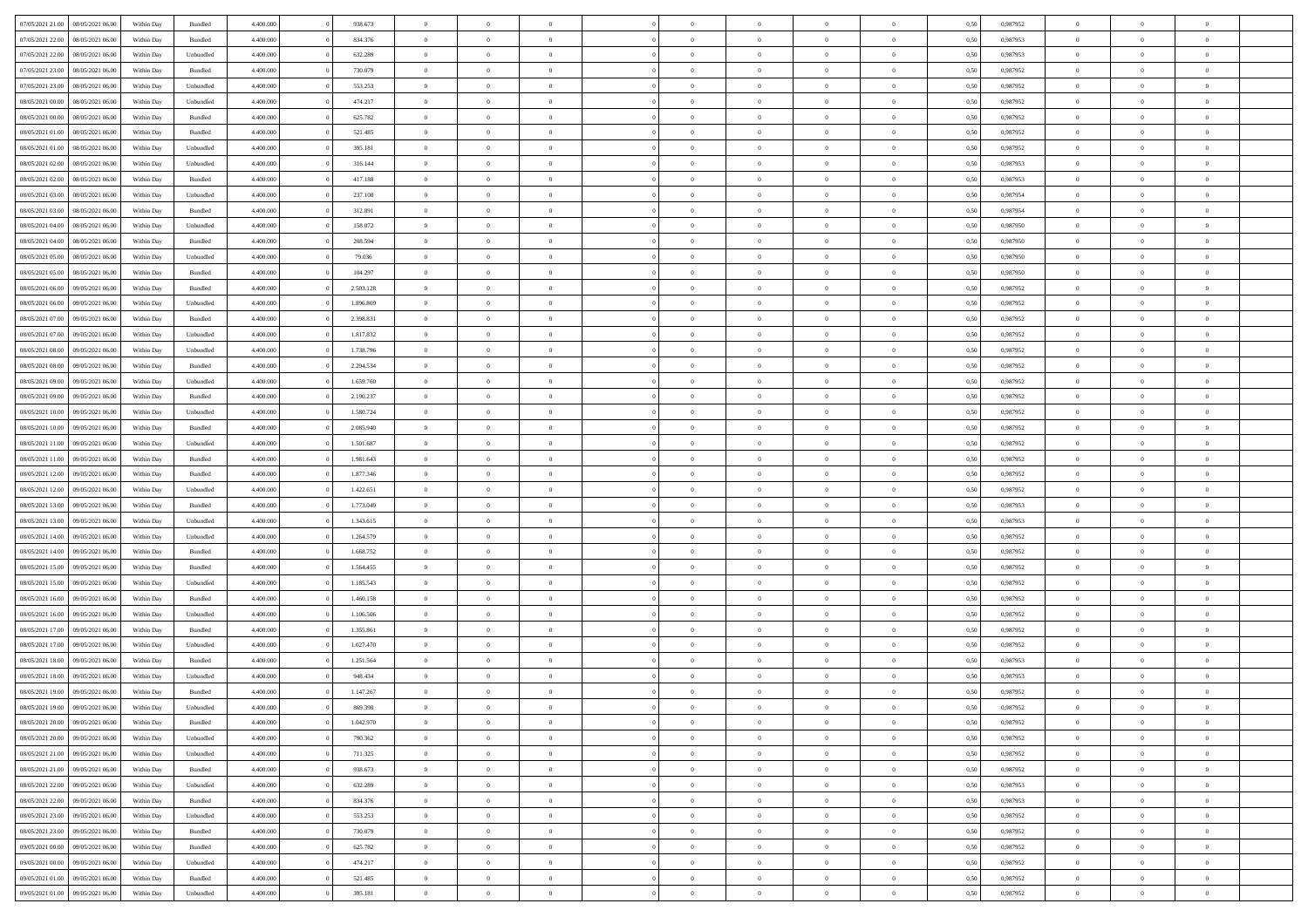| 07/05/2021 21:00 08/05/2021 06:00    | Within Day               | Bundled   | 4.400.000 | 938.673   | $\overline{0}$ | $\overline{0}$ | $\Omega$       | $\Omega$       | $\theta$       | $\Omega$       | $\overline{0}$ | 0,50 | 0,987952 | $\theta$       | $\theta$       | $\theta$       |  |
|--------------------------------------|--------------------------|-----------|-----------|-----------|----------------|----------------|----------------|----------------|----------------|----------------|----------------|------|----------|----------------|----------------|----------------|--|
| 07/05/2021 22.00<br>08/05/2021 06:00 | Within Day               | Bundled   | 4.400.000 | 834.376   | $\overline{0}$ | $\overline{0}$ | $\overline{0}$ | $\overline{0}$ | $\theta$       | $\overline{0}$ | $\bf{0}$       | 0,50 | 0,987953 | $\theta$       | $\theta$       | $\overline{0}$ |  |
| 07/05/2021 22:00<br>08/05/2021 06:00 | Within Day               | Unbundled | 4.400.000 | 632.289   | $\overline{0}$ | $\bf{0}$       | $\overline{0}$ | $\overline{0}$ | $\overline{0}$ | $\overline{0}$ | $\bf{0}$       | 0,50 | 0,987953 | $\bf{0}$       | $\overline{0}$ | $\overline{0}$ |  |
| 07/05/2021 23:00<br>08/05/2021 06:00 | Within Day               | Bundled   | 4.400.000 | 730.079   | $\overline{0}$ | $\overline{0}$ | $\overline{0}$ | $\overline{0}$ | $\theta$       | $\overline{0}$ | $\overline{0}$ | 0.50 | 0,987952 | $\theta$       | $\theta$       | $\overline{0}$ |  |
| 07/05/2021 23:00<br>08/05/2021 06:00 | Within Day               | Unbundled | 4.400.000 | 553.253   | $\overline{0}$ | $\overline{0}$ | $\overline{0}$ | $\overline{0}$ | $\theta$       | $\overline{0}$ | $\bf{0}$       | 0,50 | 0,987952 | $\theta$       | $\theta$       | $\overline{0}$ |  |
| 08/05/2021 00:00<br>08/05/2021 06:00 | Within Day               | Unbundled | 4.400.000 | 474.217   | $\overline{0}$ | $\bf{0}$       | $\overline{0}$ | $\overline{0}$ | $\overline{0}$ | $\overline{0}$ | $\bf{0}$       | 0,50 | 0,987952 | $\bf{0}$       | $\overline{0}$ | $\bf{0}$       |  |
| 08/05/2021 00:00<br>08/05/2021 06:00 | Within Day               | Bundled   | 4.400.000 | 625.782   | $\overline{0}$ | $\overline{0}$ | $\overline{0}$ | $\overline{0}$ | $\overline{0}$ | $\overline{0}$ | $\overline{0}$ | 0.5( | 0,987952 | $\theta$       | $\theta$       | $\overline{0}$ |  |
|                                      |                          |           |           |           |                |                |                |                |                |                |                |      |          |                |                |                |  |
| 08/05/2021 01:00<br>08/05/2021 06:00 | Within Day               | Bundled   | 4.400.000 | 521.485   | $\overline{0}$ | $\theta$       | $\overline{0}$ | $\overline{0}$ | $\theta$       | $\overline{0}$ | $\bf{0}$       | 0,50 | 0,987952 | $\theta$       | $\theta$       | $\overline{0}$ |  |
| 08/05/2021 01:00<br>08/05/2021 06:00 | Within Day               | Unbundled | 4.400.000 | 395.181   | $\overline{0}$ | $\bf{0}$       | $\overline{0}$ | $\overline{0}$ | $\overline{0}$ | $\overline{0}$ | $\bf{0}$       | 0,50 | 0,987952 | $\bf{0}$       | $\bf{0}$       | $\overline{0}$ |  |
| 08/05/2021 02:00<br>08/05/2021 06:00 | Within Day               | Unbundled | 4.400.000 | 316.144   | $\overline{0}$ | $\overline{0}$ | $\overline{0}$ | $\overline{0}$ | $\overline{0}$ | $\overline{0}$ | $\overline{0}$ | 0.50 | 0,987953 | $\theta$       | $\theta$       | $\overline{0}$ |  |
| 08/05/2021 02:00<br>08/05/2021 06:00 | Within Day               | Bundled   | 4.400.000 | 417.188   | $\bf{0}$       | $\overline{0}$ | $\overline{0}$ | $\overline{0}$ | $\theta$       | $\overline{0}$ | $\bf{0}$       | 0,50 | 0,987953 | $\theta$       | $\theta$       | $\overline{0}$ |  |
| 08/05/2021 03:00<br>08/05/2021 06:00 | Within Day               | Unbundled | 4.400.000 | 237.108   | $\overline{0}$ | $\bf{0}$       | $\overline{0}$ | $\overline{0}$ | $\bf{0}$       | $\overline{0}$ | $\bf{0}$       | 0,50 | 0,987954 | $\bf{0}$       | $\overline{0}$ | $\overline{0}$ |  |
| 08/05/2021 03:00<br>08/05/2021 06:00 | Within Day               | Bundled   | 4.400.000 | 312.891   | $\overline{0}$ | $\overline{0}$ | $\overline{0}$ | $\overline{0}$ | $\overline{0}$ | $\overline{0}$ | $\overline{0}$ | 0.5( | 0,987954 | $\theta$       | $\theta$       | $\overline{0}$ |  |
| 08/05/2021 04:00<br>08/05/2021 06:00 | Within Day               | Unbundled | 4.400.000 | 158.072   | $\overline{0}$ | $\overline{0}$ | $\overline{0}$ | $\overline{0}$ | $\theta$       | $\overline{0}$ | $\bf{0}$       | 0,50 | 0,987950 | $\theta$       | $\theta$       | $\overline{0}$ |  |
| 08/05/2021 04:00<br>08/05/2021 06:00 | Within Day               | Bundled   | 4.400.000 | 208.594   | $\overline{0}$ | $\bf{0}$       | $\overline{0}$ | $\overline{0}$ | $\overline{0}$ | $\overline{0}$ | $\bf{0}$       | 0,50 | 0,987950 | $\bf{0}$       | $\overline{0}$ | $\bf{0}$       |  |
| 08/05/2021 05:00<br>08/05/2021 06:00 | Within Day               | Unbundled | 4.400.000 | 79.036    | $\overline{0}$ | $\overline{0}$ | $\overline{0}$ | $\overline{0}$ | $\overline{0}$ | $\overline{0}$ | $\overline{0}$ | 0.5( | 0,987950 | $\theta$       | $\overline{0}$ | $\overline{0}$ |  |
| 08/05/2021 05:00<br>08/05/2021 06:00 | Within Day               | Bundled   | 4.400.000 | 104.297   | $\overline{0}$ | $\overline{0}$ | $\overline{0}$ | $\overline{0}$ | $\theta$       | $\overline{0}$ | $\bf{0}$       | 0,50 | 0,987950 | $\theta$       | $\theta$       | $\overline{0}$ |  |
| 08/05/2021 06:00<br>09/05/2021 06:00 | Within Day               | Bundled   | 4.400.000 | 2.503.128 | $\overline{0}$ | $\bf{0}$       | $\overline{0}$ | $\overline{0}$ | $\overline{0}$ | $\overline{0}$ | $\bf{0}$       | 0,50 | 0,987952 | $\bf{0}$       | $\overline{0}$ | $\overline{0}$ |  |
| 08/05/2021 06:00<br>09/05/2021 06:00 | Within Day               | Unbundled | 4.400.000 | 1.896.869 | $\overline{0}$ | $\overline{0}$ | $\overline{0}$ | $\overline{0}$ | $\overline{0}$ | $\overline{0}$ | $\overline{0}$ | 0.50 | 0,987952 | $\theta$       | $\theta$       | $\overline{0}$ |  |
| 08/05/2021 07:00<br>09/05/2021 06:00 | Within Day               | Bundled   | 4.400.000 | 2.398.831 | $\bf{0}$       | $\overline{0}$ | $\overline{0}$ | $\overline{0}$ | $\theta$       | $\overline{0}$ | $\bf{0}$       | 0,50 | 0,987952 | $\theta$       | $\theta$       | $\overline{0}$ |  |
| 08/05/2021 07:00<br>09/05/2021 06:00 | Within Day               | Unbundled | 4.400.000 | 1.817.832 | $\overline{0}$ | $\bf{0}$       | $\overline{0}$ | $\overline{0}$ | $\overline{0}$ | $\overline{0}$ | $\bf{0}$       | 0,50 | 0,987952 | $\bf{0}$       | $\overline{0}$ | $\overline{0}$ |  |
| 08/05/2021 08:00<br>09/05/2021 06:00 | Within Day               | Unbundled | 4.400.000 | 1.738.796 | $\overline{0}$ | $\overline{0}$ | $\overline{0}$ | $\overline{0}$ | $\overline{0}$ | $\overline{0}$ | $\overline{0}$ | 0.5( | 0,987952 | $\theta$       | $\theta$       | $\overline{0}$ |  |
|                                      |                          |           |           |           |                |                |                |                |                |                |                |      |          | $\theta$       | $\theta$       |                |  |
| 08/05/2021 08:00<br>09/05/2021 06:00 | Within Day               | Bundled   | 4.400.000 | 2.294.534 | $\overline{0}$ | $\overline{0}$ | $\overline{0}$ | $\overline{0}$ | $\theta$       | $\overline{0}$ | $\bf{0}$       | 0,50 | 0,987952 |                |                | $\overline{0}$ |  |
| 08/05/2021 09:00<br>09/05/2021 06:00 | Within Day               | Unbundled | 4.400.000 | 1.659.760 | $\overline{0}$ | $\bf{0}$       | $\overline{0}$ | $\overline{0}$ | $\overline{0}$ | $\overline{0}$ | $\bf{0}$       | 0,50 | 0,987952 | $\bf{0}$       | $\overline{0}$ | $\bf{0}$       |  |
| 08/05/2021 09:00<br>09/05/2021 06:00 | Within Day               | Bundled   | 4.400.000 | 2.190.237 | $\overline{0}$ | $\overline{0}$ | $\overline{0}$ | $\overline{0}$ | $\overline{0}$ | $\overline{0}$ | $\overline{0}$ | 0.5( | 0,987952 | $\theta$       | $\theta$       | $\overline{0}$ |  |
| 08/05/2021 10:00<br>09/05/2021 06:00 | Within Day               | Unbundled | 4.400.000 | 1.580.724 | $\bf{0}$       | $\overline{0}$ | $\overline{0}$ | $\overline{0}$ | $\theta$       | $\overline{0}$ | $\bf{0}$       | 0,50 | 0,987952 | $\theta$       | $\theta$       | $\overline{0}$ |  |
| 08/05/2021 10:00<br>09/05/2021 06:00 | Within Day               | Bundled   | 4.400.000 | 2.085.940 | $\overline{0}$ | $\bf{0}$       | $\overline{0}$ | $\overline{0}$ | $\overline{0}$ | $\overline{0}$ | $\bf{0}$       | 0,50 | 0,987952 | $\bf{0}$       | $\bf{0}$       | $\overline{0}$ |  |
| 08/05/2021 11:00<br>09/05/2021 06:00 | Within Day               | Unbundled | 4.400.000 | 1.501.687 | $\overline{0}$ | $\overline{0}$ | $\overline{0}$ | $\overline{0}$ | $\overline{0}$ | $\overline{0}$ | $\overline{0}$ | 0.5( | 0,987952 | $\theta$       | $\theta$       | $\overline{0}$ |  |
| 08/05/2021 11:00<br>09/05/2021 06:00 | Within Day               | Bundled   | 4.400.000 | 1.981.643 | $\bf{0}$       | $\overline{0}$ | $\overline{0}$ | $\overline{0}$ | $\theta$       | $\overline{0}$ | $\bf{0}$       | 0,50 | 0,987952 | $\theta$       | $\theta$       | $\overline{0}$ |  |
| 08/05/2021 12:00<br>09/05/2021 06:00 | Within Day               | Bundled   | 4.400.000 | 1.877.346 | $\overline{0}$ | $\bf{0}$       | $\overline{0}$ | $\overline{0}$ | $\bf{0}$       | $\overline{0}$ | $\bf{0}$       | 0,50 | 0,987952 | $\bf{0}$       | $\overline{0}$ | $\overline{0}$ |  |
| 08/05/2021 12:00<br>09/05/2021 06.00 | Within Day               | Unbundled | 4,400,000 | 1.422.651 | $\overline{0}$ | $\overline{0}$ | $\Omega$       | $\Omega$       | $\Omega$       | $\theta$       | $\overline{0}$ | 0.50 | 0,987952 | $\,$ 0 $\,$    | $\Omega$       | $\theta$       |  |
| 08/05/2021 13:00<br>09/05/2021 06:00 | Within Day               | Bundled   | 4.400.000 | 1.773.049 | $\overline{0}$ | $\overline{0}$ | $\overline{0}$ | $\overline{0}$ | $\theta$       | $\overline{0}$ | $\bf{0}$       | 0,50 | 0,987953 | $\theta$       | $\theta$       | $\overline{0}$ |  |
| 08/05/2021 13:00<br>09/05/2021 06:00 | Within Day               | Unbundled | 4.400.000 | 1.343.615 | $\overline{0}$ | $\bf{0}$       | $\overline{0}$ | $\overline{0}$ | $\bf{0}$       | $\overline{0}$ | $\bf{0}$       | 0,50 | 0,987953 | $\bf{0}$       | $\overline{0}$ | $\bf{0}$       |  |
| 08/05/2021 14:00<br>09/05/2021 06.00 | Within Day               | Unbundled | 4,400,000 | 1.264.579 | $\overline{0}$ | $\overline{0}$ | $\Omega$       | $\Omega$       | $\overline{0}$ | $\Omega$       | $\overline{0}$ | 0.50 | 0,987952 | $\bf{0}$       | $\Omega$       | $\theta$       |  |
| 08/05/2021 14:00<br>09/05/2021 06:00 | Within Day               | Bundled   | 4.400.000 | 1.668.752 | $\bf{0}$       | $\overline{0}$ | $\overline{0}$ | $\overline{0}$ | $\theta$       | $\overline{0}$ | $\bf{0}$       | 0,50 | 0,987952 | $\theta$       | $\theta$       | $\overline{0}$ |  |
| 08/05/2021 15:00<br>09/05/2021 06:00 | Within Day               | Bundled   | 4.400.000 | 1.564.455 | $\overline{0}$ | $\bf{0}$       | $\overline{0}$ | $\overline{0}$ | $\overline{0}$ | $\overline{0}$ | $\bf{0}$       | 0,50 | 0,987952 | $\bf{0}$       | $\overline{0}$ | $\overline{0}$ |  |
| 08/05/2021 15:00<br>09/05/2021 06:00 | Within Day               | Unbundled | 4,400,000 | 1.185.543 | $\overline{0}$ | $\theta$       | $\Omega$       | $\Omega$       | $\Omega$       | $\Omega$       | $\overline{0}$ | 0.50 | 0.987952 | $\theta$       | $\Omega$       | $\theta$       |  |
| 08/05/2021 16:00<br>09/05/2021 06:00 | Within Day               | Bundled   | 4.400.000 | 1.460.158 | $\bf{0}$       | $\overline{0}$ | $\overline{0}$ | $\overline{0}$ | $\theta$       | $\overline{0}$ | $\bf{0}$       | 0,50 | 0,987952 | $\theta$       | $\theta$       | $\overline{0}$ |  |
| 08/05/2021 16:00<br>09/05/2021 06:00 | Within Day               | Unbundled | 4.400.000 | 1.106.506 | $\overline{0}$ | $\bf{0}$       | $\overline{0}$ | $\overline{0}$ | $\overline{0}$ | $\overline{0}$ | $\bf{0}$       | 0,50 | 0,987952 | $\bf{0}$       | $\overline{0}$ | $\overline{0}$ |  |
| 08/05/2021 17:00<br>09/05/2021 06.00 | Within Day               | Bundled   | 4,400,000 | 1.355.861 | $\overline{0}$ | $\overline{0}$ | $\Omega$       | $\Omega$       | $\theta$       | $\Omega$       | $\overline{0}$ | 0.50 | 0,987952 | $\bf{0}$       | $\overline{0}$ | $\theta$       |  |
| 08/05/2021 17:00<br>09/05/2021 06:00 | Within Day               | Unbundled | 4.400.000 | 1.027.470 | $\bf{0}$       | $\overline{0}$ | $\overline{0}$ | $\overline{0}$ | $\theta$       | $\overline{0}$ | $\bf{0}$       | 0,50 | 0,987952 | $\theta$       | $\theta$       | $\overline{0}$ |  |
| 08/05/2021 18:00<br>09/05/2021 06.00 | Within Day               | Bundled   | 4.400.000 | 1.251.564 | $\overline{0}$ | $\bf{0}$       | $\overline{0}$ | $\overline{0}$ | $\overline{0}$ | $\overline{0}$ | $\bf{0}$       | 0,50 | 0,987953 | $\bf{0}$       | $\overline{0}$ | $\bf{0}$       |  |
| 08/05/2021 18:00<br>09/05/2021 06.00 |                          | Unbundled | 4,400,000 | 948.434   | $\overline{0}$ | $\Omega$       | $\Omega$       | $\Omega$       | $\Omega$       | $\theta$       | $\overline{0}$ | 0.50 | 0.987953 | $\theta$       | $\Omega$       | $\theta$       |  |
| 08/05/2021 19:00<br>09/05/2021 06:00 | Within Day<br>Within Day | Bundled   | 4.400.000 | 1.147.267 | $\bf{0}$       | $\bf{0}$       | $\overline{0}$ | $\overline{0}$ | $\bf{0}$       | $\overline{0}$ | $\bf{0}$       | 0,50 | 0,987952 | $\bf{0}$       | $\,$ 0 $\,$    | $\overline{0}$ |  |
| 08/05/2021 19:00 09/05/2021 06:00    | Within Day               | Unbundled | 4.400.000 | 869.398   |                | $\bf{0}$       |                |                |                |                |                | 0,50 | 0,987952 | $\bf{0}$       | $\bf{0}$       |                |  |
| 08/05/2021 20:00 09/05/2021 06:00    |                          | Bundled   | 4.400.000 | 1.042.970 | $\Omega$       | $\overline{0}$ | $\Omega$       | $\theta$       | $\overline{0}$ | $\overline{0}$ | $\overline{0}$ | 0.50 | 0.987952 | $\theta$       | $\theta$       | $\theta$       |  |
|                                      | Within Day               |           |           |           |                |                |                |                |                |                |                |      |          |                |                |                |  |
| 08/05/2021 20:00<br>09/05/2021 06:00 | Within Day               | Unbundled | 4.400.000 | 790.362   | $\overline{0}$ | $\overline{0}$ | $\overline{0}$ | $\overline{0}$ | $\,$ 0 $\,$    | $\overline{0}$ | $\,$ 0 $\,$    | 0,50 | 0,987952 | $\,$ 0 $\,$    | $\,$ 0 $\,$    | $\,$ 0         |  |
| 09/05/2021 06:00<br>08/05/2021 21:00 | Within Day               | Unbundled | 4.400.000 | 711.325   | $\overline{0}$ | $\overline{0}$ | $\overline{0}$ | $\overline{0}$ | $\mathbf{0}$   | $\overline{0}$ | $\bf{0}$       | 0,50 | 0,987952 | $\overline{0}$ | $\overline{0}$ | $\overline{0}$ |  |
| 09/05/2021 06:00<br>08/05/2021 21:00 | Within Day               | Bundled   | 4.400.000 | 938.673   | $\overline{0}$ | $\bf{0}$       | $\overline{0}$ | $\overline{0}$ | $\overline{0}$ | $\overline{0}$ | $\bf{0}$       | 0,50 | 0,987952 | $\overline{0}$ | $\theta$       | $\overline{0}$ |  |
| 08/05/2021 22:00<br>09/05/2021 06:00 | Within Day               | Unbundled | 4.400.000 | 632.289   | $\overline{0}$ | $\overline{0}$ | $\overline{0}$ | $\overline{0}$ | $\overline{0}$ | $\overline{0}$ | $\,$ 0 $\,$    | 0,50 | 0,987953 | $\,$ 0 $\,$    | $\,$ 0 $\,$    | $\overline{0}$ |  |
| 08/05/2021 22:00<br>09/05/2021 06:00 | Within Day               | Bundled   | 4.400.000 | 834.376   | $\overline{0}$ | $\overline{0}$ | $\overline{0}$ | $\overline{0}$ | $\overline{0}$ | $\overline{0}$ | $\bf{0}$       | 0,50 | 0,987953 | $\overline{0}$ | $\overline{0}$ | $\overline{0}$ |  |
| 08/05/2021 23:00<br>09/05/2021 06:00 | Within Day               | Unbundled | 4.400.000 | 553.253   | $\overline{0}$ | $\bf{0}$       | $\overline{0}$ | $\overline{0}$ | $\overline{0}$ | $\overline{0}$ | $\bf{0}$       | 0.50 | 0,987952 | $\overline{0}$ | $\theta$       | $\overline{0}$ |  |
| 08/05/2021 23:00<br>09/05/2021 06:00 | Within Day               | Bundled   | 4.400.000 | 730.079   | $\overline{0}$ | $\overline{0}$ | $\overline{0}$ | $\overline{0}$ | $\overline{0}$ | $\overline{0}$ | $\bf{0}$       | 0,50 | 0,987952 | $\,$ 0 $\,$    | $\,$ 0 $\,$    | $\overline{0}$ |  |
| 09/05/2021 00:00<br>09/05/2021 06:00 | Within Day               | Bundled   | 4.400.000 | 625.782   | $\overline{0}$ | $\bf{0}$       | $\overline{0}$ | $\overline{0}$ | $\overline{0}$ | $\overline{0}$ | $\bf{0}$       | 0,50 | 0,987952 | $\overline{0}$ | $\overline{0}$ | $\bf{0}$       |  |
| 09/05/2021 00:00<br>09/05/2021 06:00 | Within Day               | Unbundled | 4.400.000 | 474.217   | $\overline{0}$ | $\overline{0}$ | $\overline{0}$ | $\overline{0}$ | $\overline{0}$ | $\overline{0}$ | $\bf{0}$       | 0.50 | 0,987952 | $\overline{0}$ | $\overline{0}$ | $\overline{0}$ |  |
| 09/05/2021 01:00<br>09/05/2021 06:00 | Within Day               | Bundled   | 4.400.000 | 521.485   | $\overline{0}$ | $\,$ 0         | $\overline{0}$ | $\overline{0}$ | $\bf{0}$       | $\bf{0}$       | $\,$ 0 $\,$    | 0,50 | 0,987952 | $\,$ 0 $\,$    | $\,$ 0 $\,$    | $\bf{0}$       |  |
| 09/05/2021 01:00 09/05/2021 06:00    | Within Day               | Unbundled | 4.400.000 | 395.181   | $\overline{0}$ | $\bf{0}$       | $\overline{0}$ | $\overline{0}$ | $\overline{0}$ | $\overline{0}$ | $\bf{0}$       | 0,50 | 0,987952 | $\overline{0}$ | $\bf{0}$       | $\overline{0}$ |  |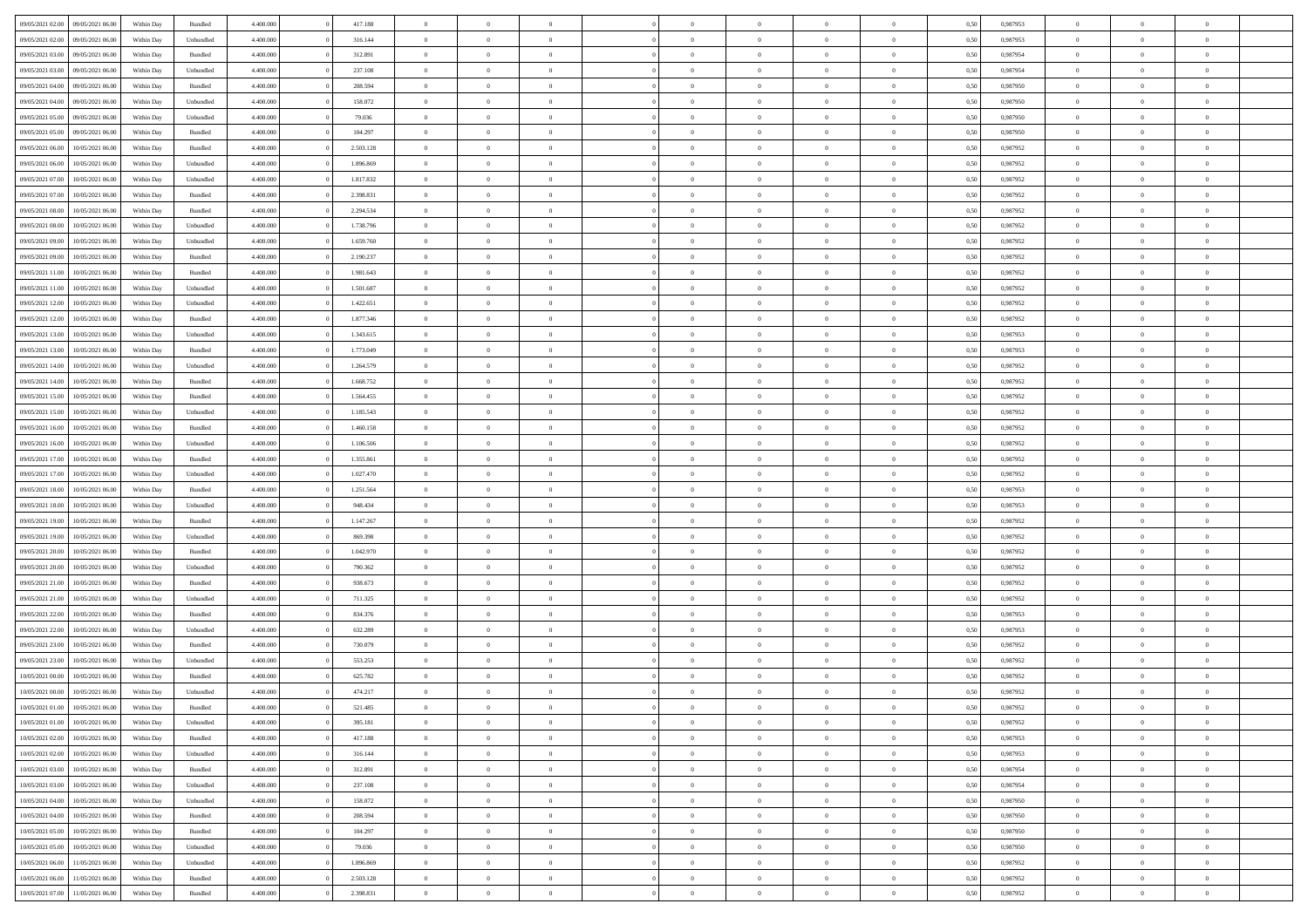| 09/05/2021 02:00 09/05/2021 06:00                        | Within Day               | Bundled              | 4.400.000 | 417.188            | $\overline{0}$ | $\overline{0}$ | $\Omega$       | $\Omega$       | $\theta$       | $\Omega$       | $\overline{0}$          | 0,50         | 0,987953             | $\theta$       | $\theta$       | $\theta$       |  |
|----------------------------------------------------------|--------------------------|----------------------|-----------|--------------------|----------------|----------------|----------------|----------------|----------------|----------------|-------------------------|--------------|----------------------|----------------|----------------|----------------|--|
| 09/05/2021 02:00<br>09/05/2021 06:00                     | Within Day               | Unbundled            | 4.400.000 | 316.144            | $\overline{0}$ | $\overline{0}$ | $\overline{0}$ | $\overline{0}$ | $\theta$       | $\overline{0}$ | $\bf{0}$                | 0,50         | 0,987953             | $\theta$       | $\theta$       | $\overline{0}$ |  |
| 09/05/2021 03:00<br>09/05/2021 06:00                     | Within Day               | Bundled              | 4.400.000 | 312.891            | $\overline{0}$ | $\bf{0}$       | $\overline{0}$ | $\overline{0}$ | $\overline{0}$ | $\overline{0}$ | $\bf{0}$                | 0,50         | 0,987954             | $\bf{0}$       | $\overline{0}$ | $\overline{0}$ |  |
| 09/05/2021 03:00<br>09/05/2021 06:00                     | Within Day               | Unbundled            | 4.400.000 | 237.108            | $\overline{0}$ | $\overline{0}$ | $\overline{0}$ | $\overline{0}$ | $\theta$       | $\overline{0}$ | $\overline{0}$          | 0.50         | 0,987954             | $\theta$       | $\theta$       | $\overline{0}$ |  |
| 09/05/2021 04:00<br>09/05/2021 06:00                     | Within Day               | Bundled              | 4.400.000 | 208.594            | $\overline{0}$ | $\overline{0}$ | $\overline{0}$ | $\overline{0}$ | $\theta$       | $\overline{0}$ | $\bf{0}$                | 0,50         | 0,987950             | $\theta$       | $\theta$       | $\overline{0}$ |  |
| 09/05/2021 04:00<br>09/05/2021 06:00                     | Within Day               | Unbundled            | 4.400.000 | 158.072            | $\overline{0}$ | $\bf{0}$       | $\overline{0}$ | $\overline{0}$ | $\overline{0}$ | $\overline{0}$ | $\bf{0}$                | 0,50         | 0,987950             | $\bf{0}$       | $\overline{0}$ | $\bf{0}$       |  |
| 09/05/2021 05:00<br>09/05/2021 06:00                     | Within Day               | Unbundled            | 4.400.000 | 79.036             | $\overline{0}$ | $\overline{0}$ | $\overline{0}$ | $\overline{0}$ | $\overline{0}$ | $\overline{0}$ | $\overline{0}$          | 0.5(         | 0,987950             | $\theta$       | $\theta$       | $\overline{0}$ |  |
|                                                          |                          |                      |           |                    |                |                |                |                |                |                |                         |              |                      |                |                |                |  |
| 09/05/2021 05:00<br>09/05/2021 06:00                     | Within Day               | Bundled              | 4.400.000 | 104.297            | $\bf{0}$       | $\theta$       | $\overline{0}$ | $\overline{0}$ | $\theta$       | $\overline{0}$ | $\bf{0}$                | 0,50         | 0,987950             | $\theta$       | $\theta$       | $\overline{0}$ |  |
| 09/05/2021 06:00<br>10/05/2021 06:00                     | Within Day               | Bundled              | 4.400.000 | 2.503.128          | $\overline{0}$ | $\bf{0}$       | $\overline{0}$ | $\overline{0}$ | $\overline{0}$ | $\overline{0}$ | $\bf{0}$                | 0,50         | 0,987952             | $\bf{0}$       | $\bf{0}$       | $\overline{0}$ |  |
| 09/05/2021 06:00<br>10/05/2021 06:00                     | Within Day               | Unbundled            | 4.400.000 | 1.896.869          | $\overline{0}$ | $\overline{0}$ | $\overline{0}$ | $\overline{0}$ | $\overline{0}$ | $\overline{0}$ | $\bf{0}$                | 0.50         | 0,987952             | $\theta$       | $\theta$       | $\overline{0}$ |  |
| 09/05/2021 07:00<br>10/05/2021 06:00                     | Within Day               | Unbundled            | 4.400.000 | 1.817.832          | $\bf{0}$       | $\overline{0}$ | $\overline{0}$ | $\overline{0}$ | $\theta$       | $\overline{0}$ | $\bf{0}$                | 0,50         | 0,987952             | $\theta$       | $\theta$       | $\overline{0}$ |  |
| 09/05/2021 07:00<br>10/05/2021 06:00                     | Within Day               | Bundled              | 4.400.000 | 2.398.831          | $\overline{0}$ | $\bf{0}$       | $\overline{0}$ | $\overline{0}$ | $\bf{0}$       | $\overline{0}$ | $\bf{0}$                | 0,50         | 0,987952             | $\bf{0}$       | $\overline{0}$ | $\overline{0}$ |  |
| 09/05/2021 08:00<br>10/05/2021 06:00                     | Within Day               | Bundled              | 4.400.000 | 2.294.534          | $\overline{0}$ | $\overline{0}$ | $\overline{0}$ | $\overline{0}$ | $\overline{0}$ | $\overline{0}$ | $\overline{0}$          | 0.5(         | 0,987952             | $\theta$       | $\theta$       | $\overline{0}$ |  |
| 09/05/2021 08:00<br>10/05/2021 06:00                     | Within Day               | Unbundled            | 4.400.000 | 1.738.796          | $\overline{0}$ | $\overline{0}$ | $\overline{0}$ | $\overline{0}$ | $\theta$       | $\overline{0}$ | $\bf{0}$                | 0,50         | 0,987952             | $\theta$       | $\theta$       | $\overline{0}$ |  |
| 09/05/2021 09:00<br>10/05/2021 06:00                     | Within Day               | Unbundled            | 4.400.000 | 1.659.760          | $\overline{0}$ | $\bf{0}$       | $\overline{0}$ | $\overline{0}$ | $\overline{0}$ | $\overline{0}$ | $\bf{0}$                | 0,50         | 0,987952             | $\bf{0}$       | $\overline{0}$ | $\bf{0}$       |  |
| 09/05/2021 09:00<br>10/05/2021 06:00                     | Within Day               | Bundled              | 4.400.000 | 2.190.237          | $\overline{0}$ | $\overline{0}$ | $\overline{0}$ | $\overline{0}$ | $\overline{0}$ | $\overline{0}$ | $\overline{0}$          | 0.5(         | 0,987952             | $\theta$       | $\overline{0}$ | $\overline{0}$ |  |
| 09/05/2021 11:00<br>10/05/2021 06:00                     | Within Day               | Bundled              | 4.400.000 | 1.981.643          | $\bf{0}$       | $\overline{0}$ | $\overline{0}$ | $\overline{0}$ | $\theta$       | $\overline{0}$ | $\bf{0}$                | 0,50         | 0,987952             | $\theta$       | $\theta$       | $\overline{0}$ |  |
| 09/05/2021 11:00<br>10/05/2021 06:00                     | Within Day               | Unbundled            | 4.400.000 | 1.501.687          | $\overline{0}$ | $\bf{0}$       | $\overline{0}$ | $\overline{0}$ | $\overline{0}$ | $\overline{0}$ | $\bf{0}$                | 0,50         | 0,987952             | $\bf{0}$       | $\overline{0}$ | $\overline{0}$ |  |
| 09/05/2021 12:00<br>10/05/2021 06:00                     | Within Day               | Unbundled            | 4.400.000 | 1.422.651          | $\overline{0}$ | $\overline{0}$ | $\overline{0}$ | $\overline{0}$ | $\overline{0}$ | $\overline{0}$ | $\overline{0}$          | 0.50         | 0,987952             | $\theta$       | $\theta$       | $\overline{0}$ |  |
| 09/05/2021 12:00<br>10/05/2021 06:00                     | Within Day               | Bundled              | 4.400.000 | 1.877.346          | $\bf{0}$       | $\overline{0}$ | $\overline{0}$ | $\overline{0}$ | $\theta$       | $\overline{0}$ | $\bf{0}$                | 0,50         | 0,987952             | $\theta$       | $\theta$       | $\overline{0}$ |  |
| 09/05/2021 13:00<br>10/05/2021 06:00                     | Within Day               | Unbundled            | 4.400.000 | 1.343.615          | $\overline{0}$ | $\bf{0}$       | $\overline{0}$ | $\overline{0}$ | $\overline{0}$ | $\overline{0}$ | $\bf{0}$                | 0,50         | 0,987953             | $\bf{0}$       | $\overline{0}$ | $\overline{0}$ |  |
| 09/05/2021 13:00<br>10/05/2021 06:00                     | Within Day               | Bundled              | 4.400.000 | 1.773.049          | $\overline{0}$ | $\overline{0}$ | $\overline{0}$ | $\overline{0}$ | $\overline{0}$ | $\overline{0}$ | $\overline{0}$          | 0.5(         | 0,987953             | $\theta$       | $\theta$       | $\overline{0}$ |  |
| 09/05/2021 14:00<br>10/05/2021 06:00                     | Within Day               | Unbundled            | 4.400.000 | 1.264.579          | $\overline{0}$ | $\theta$       | $\overline{0}$ | $\overline{0}$ | $\theta$       | $\overline{0}$ | $\bf{0}$                | 0,50         | 0,987952             | $\theta$       | $\theta$       | $\overline{0}$ |  |
| 09/05/2021 14:00<br>10/05/2021 06:00                     | Within Day               | Bundled              | 4.400.000 | 1.668.752          | $\overline{0}$ | $\bf{0}$       | $\overline{0}$ | $\overline{0}$ | $\overline{0}$ | $\overline{0}$ | $\bf{0}$                | 0,50         | 0,987952             | $\overline{0}$ | $\overline{0}$ | $\bf{0}$       |  |
| 09/05/2021 15:00<br>10/05/2021 06:00                     | Within Day               | Bundled              | 4.400.000 | 1.564.455          | $\overline{0}$ | $\overline{0}$ | $\overline{0}$ | $\overline{0}$ | $\overline{0}$ | $\overline{0}$ | $\overline{0}$          | 0.5(         | 0,987952             | $\theta$       | $\theta$       | $\overline{0}$ |  |
| 09/05/2021 15:00<br>10/05/2021 06:00                     | Within Day               | Unbundled            | 4.400.000 | 1.185.543          | $\overline{0}$ | $\overline{0}$ | $\overline{0}$ | $\overline{0}$ | $\theta$       | $\overline{0}$ | $\bf{0}$                | 0,50         | 0,987952             | $\theta$       | $\theta$       | $\overline{0}$ |  |
| 09/05/2021 16:00<br>10/05/2021 06:00                     | Within Day               | Bundled              | 4.400.000 | 1.460.158          | $\overline{0}$ | $\bf{0}$       | $\overline{0}$ | $\overline{0}$ | $\overline{0}$ | $\overline{0}$ | $\bf{0}$                | 0,50         | 0,987952             | $\bf{0}$       | $\bf{0}$       | $\overline{0}$ |  |
| 09/05/2021 16:00<br>10/05/2021 06:00                     | Within Day               | Unbundled            | 4.400.000 | 1.106.506          | $\overline{0}$ | $\overline{0}$ | $\overline{0}$ | $\overline{0}$ | $\overline{0}$ | $\overline{0}$ | $\overline{0}$          | 0.5(         | 0,987952             | $\theta$       | $\theta$       | $\overline{0}$ |  |
| 09/05/2021 17:00<br>10/05/2021 06:00                     | Within Day               | Bundled              | 4.400.000 | 1.355.861          | $\bf{0}$       | $\overline{0}$ | $\overline{0}$ | $\overline{0}$ | $\theta$       | $\overline{0}$ | $\bf{0}$                | 0,50         | 0,987952             | $\theta$       | $\theta$       | $\overline{0}$ |  |
| 09/05/2021 17:00<br>10/05/2021 06:00                     | Within Day               | Unbundled            | 4.400.000 | 1.027.470          | $\overline{0}$ | $\bf{0}$       | $\overline{0}$ | $\overline{0}$ | $\bf{0}$       | $\overline{0}$ | $\bf{0}$                | 0,50         | 0,987952             | $\bf{0}$       | $\overline{0}$ | $\overline{0}$ |  |
| 09/05/2021 18:00<br>10/05/2021 06:00                     | Within Day               | Bundled              | 4,400,000 | 1.251.564          | $\overline{0}$ | $\overline{0}$ | $\Omega$       | $\Omega$       | $\Omega$       | $\theta$       | $\overline{0}$          | 0,50         | 0,987953             | $\,$ 0 $\,$    | $\overline{0}$ | $\theta$       |  |
| 09/05/2021 18:00<br>10/05/2021 06:00                     | Within Day               | Unbundled            | 4.400.000 | 948.434            | $\bf{0}$       | $\overline{0}$ | $\overline{0}$ | $\overline{0}$ | $\theta$       | $\overline{0}$ | $\bf{0}$                | 0,50         | 0,987953             | $\theta$       | $\theta$       | $\overline{0}$ |  |
| 09/05/2021 19:00<br>10/05/2021 06:00                     | Within Day               | Bundled              | 4.400.000 | 1.147.267          | $\overline{0}$ | $\bf{0}$       | $\overline{0}$ | $\overline{0}$ | $\bf{0}$       | $\overline{0}$ | $\bf{0}$                | 0,50         | 0,987952             | $\bf{0}$       | $\overline{0}$ | $\bf{0}$       |  |
| 09/05/2021 19:00<br>10/05/2021 06:00                     | Within Day               | Unbundled            | 4,400,000 | 869,398            | $\overline{0}$ | $\overline{0}$ | $\Omega$       | $\Omega$       | $\overline{0}$ | $\Omega$       | $\overline{0}$          | 0.50         | 0,987952             | $\theta$       | $\theta$       | $\theta$       |  |
| 09/05/2021 20:00<br>10/05/2021 06:00                     | Within Day               | Bundled              | 4.400.000 | 1.042.970          | $\bf{0}$       | $\overline{0}$ | $\overline{0}$ | $\overline{0}$ | $\theta$       | $\overline{0}$ | $\bf{0}$                | 0,50         | 0,987952             | $\theta$       | $\theta$       | $\overline{0}$ |  |
| 09/05/2021 20:00<br>10/05/2021 06:00                     | Within Day               | Unbundled            | 4.400.000 | 790.362            | $\overline{0}$ | $\bf{0}$       | $\overline{0}$ | $\overline{0}$ | $\overline{0}$ | $\bf{0}$       | $\bf{0}$                | 0,50         | 0,987952             | $\bf{0}$       | $\overline{0}$ | $\overline{0}$ |  |
| 09/05/2021 21:00<br>10/05/2021 06:00                     | Within Day               | Bundled              | 4,400,000 | 938.673            | $\overline{0}$ | $\overline{0}$ | $\Omega$       | $\Omega$       | $\Omega$       | $\Omega$       | $\overline{0}$          | 0.50         | 0.987952             | $\theta$       | $\Omega$       | $\theta$       |  |
| 09/05/2021 21:00<br>10/05/2021 06:00                     | Within Day               | Unbundled            | 4.400.000 | 711.325            | $\bf{0}$       | $\overline{0}$ | $\overline{0}$ | $\overline{0}$ | $\theta$       | $\overline{0}$ | $\bf{0}$                | 0,50         | 0,987952             | $\theta$       | $\theta$       | $\overline{0}$ |  |
| 09/05/2021 22.00<br>10/05/2021 06:00                     | Within Day               | Bundled              | 4.400.000 | 834.376            | $\overline{0}$ | $\bf{0}$       | $\overline{0}$ | $\overline{0}$ | $\overline{0}$ | $\overline{0}$ | $\bf{0}$                | 0,50         | 0,987953             | $\bf{0}$       | $\overline{0}$ | $\overline{0}$ |  |
| 09/05/2021 22:00<br>10/05/2021 06:00                     | Within Day               | Unbundled            | 4,400,000 | 632.289            | $\overline{0}$ | $\overline{0}$ | $\Omega$       | $\Omega$       | $\theta$       | $\Omega$       | $\overline{0}$          | 0.50         | 0,987953             | $\,$ 0 $\,$    | $\overline{0}$ | $\theta$       |  |
| 09/05/2021 23:00<br>10/05/2021 06:00                     | Within Day               | Bundled              | 4.400.000 | 730.079            | $\bf{0}$       | $\overline{0}$ | $\overline{0}$ | $\overline{0}$ | $\theta$       | $\overline{0}$ | $\bf{0}$                | 0,50         | 0,987952             | $\theta$       | $\theta$       | $\overline{0}$ |  |
| 09/05/2021 23:00<br>10/05/2021 06:00                     | Within Day               | Unbundled            | 4.400.000 | 553.253            | $\overline{0}$ | $\bf{0}$       | $\overline{0}$ | $\overline{0}$ | $\bf{0}$       | $\overline{0}$ | $\bf{0}$                | 0,50         | 0,987952             | $\overline{0}$ | $\overline{0}$ | $\bf{0}$       |  |
| 10/05/2021 00:00<br>10/05/2021 06:00                     | Within Day               | Bundled              | 4,400,000 | 625.782            | $\overline{0}$ | $\Omega$       | $\Omega$       | $\Omega$       | $\Omega$       | $\theta$       | $\overline{0}$          | 0.50         | 0.987952             | $\theta$       | $\Omega$       | $\theta$       |  |
| 10/05/2021 00:00<br>10/05/2021 06:00                     | Within Day               | Unbundled            | 4.400.000 | 474.217            | $\bf{0}$       | $\bf{0}$       | $\overline{0}$ | $\overline{0}$ | $\bf{0}$       | $\bf{0}$       | $\bf{0}$                | 0,50         | 0,987952             | $\bf{0}$       | $\,0\,$        | $\overline{0}$ |  |
| 10/05/2021 01:00 10/05/2021 06:00                        | Within Day               | Bundled              | 4.400.000 | 521.485            |                | $\bf{0}$       |                |                |                |                |                         | 0,50         | 0,987952             | $\bf{0}$       | $\bf{0}$       |                |  |
| 10/05/2021 01:00 10/05/2021 06:00                        | Within Day               | Unbundled            | 4.400.000 | 395.181            | $\theta$       | $\overline{0}$ | $\Omega$       | $\theta$       | $\overline{0}$ | $\theta$       | $\overline{0}$          | 0.50         | 0.987952             | $\theta$       | $\theta$       | $\theta$       |  |
| 10/05/2021 02:00<br>10/05/2021 06:00                     | Within Day               | Bundled              | 4.400.000 | 417.188            | $\overline{0}$ | $\overline{0}$ | $\overline{0}$ | $\overline{0}$ | $\,$ 0 $\,$    | $\overline{0}$ | $\,$ 0 $\,$             | 0,50         | 0,987953             | $\,$ 0 $\,$    | $\,$ 0 $\,$    | $\,$ 0         |  |
| 10/05/2021 02:00<br>10/05/2021 06:00                     | Within Day               | Unbundled            | 4.400.000 | 316.144            | $\overline{0}$ | $\overline{0}$ | $\overline{0}$ | $\overline{0}$ | $\overline{0}$ | $\overline{0}$ | $\bf{0}$                | 0,50         | 0,987953             | $\overline{0}$ | $\overline{0}$ | $\overline{0}$ |  |
| 10/05/2021 06:00                                         |                          |                      | 4.400.000 |                    | $\overline{0}$ | $\bf{0}$       | $\overline{0}$ | $\overline{0}$ | $\overline{0}$ | $\overline{0}$ |                         |              |                      | $\bf{0}$       | $\theta$       | $\overline{0}$ |  |
| 10/05/2021 03:00<br>10/05/2021 03:00<br>10/05/2021 06:00 | Within Day<br>Within Day | Bundled<br>Unbundled | 4.400.000 | 312.891<br>237.108 | $\overline{0}$ | $\overline{0}$ | $\overline{0}$ | $\overline{0}$ | $\overline{0}$ | $\overline{0}$ | $\bf{0}$<br>$\,$ 0 $\,$ | 0,50<br>0,50 | 0,987954<br>0,987954 | $\,$ 0 $\,$    | $\,$ 0 $\,$    | $\overline{0}$ |  |
|                                                          |                          |                      |           |                    |                |                |                |                |                |                |                         |              |                      |                |                |                |  |
| 10/05/2021 04:00<br>10/05/2021 06:00                     | Within Day               | Unbundled            | 4.400.000 | 158.072            | $\overline{0}$ | $\overline{0}$ | $\overline{0}$ | $\overline{0}$ | $\overline{0}$ | $\overline{0}$ | $\mathbf{0}$            | 0,50         | 0,987950             | $\overline{0}$ | $\overline{0}$ | $\overline{0}$ |  |
| 10/05/2021 04:00<br>10/05/2021 06:00                     | Within Day               | Bundled              | 4.400.000 | 208,594            | $\overline{0}$ | $\bf{0}$       | $\overline{0}$ | $\overline{0}$ | $\overline{0}$ | $\overline{0}$ | $\bf{0}$                | 0.50         | 0,987950             | $\overline{0}$ | $\theta$       | $\overline{0}$ |  |
| 10/05/2021 05:00<br>10/05/2021 06:00                     | Within Day               | Bundled              | 4.400.000 | 104.297            | $\overline{0}$ | $\overline{0}$ | $\overline{0}$ | $\overline{0}$ | $\overline{0}$ | $\bf{0}$       | $\bf{0}$                | 0,50         | 0,987950             | $\,$ 0 $\,$    | $\,$ 0 $\,$    | $\overline{0}$ |  |
| 10/05/2021 06:00<br>10/05/2021 05:00                     | Within Day               | Unbundled            | 4.400.000 | 79.036             | $\overline{0}$ | $\bf{0}$       | $\overline{0}$ | $\overline{0}$ | $\overline{0}$ | $\overline{0}$ | $\bf{0}$                | 0,50         | 0,987950             | $\bf{0}$       | $\overline{0}$ | $\bf{0}$       |  |
| 10/05/2021 06:00<br>11/05/2021 06:00                     | Within Day               | Unbundled            | 4.400.000 | 1.896.869          | $\overline{0}$ | $\overline{0}$ | $\overline{0}$ | $\overline{0}$ | $\overline{0}$ | $\overline{0}$ | $\bf{0}$                | 0.50         | 0,987952             | $\overline{0}$ | $\overline{0}$ | $\overline{0}$ |  |
| 10/05/2021 06:00<br>11/05/2021 06:00                     | Within Day               | Bundled              | 4.400.000 | 2.503.128          | $\overline{0}$ | $\,$ 0         | $\overline{0}$ | $\overline{0}$ | $\bf{0}$       | $\overline{0}$ | $\bf{0}$                | 0,50         | 0,987952             | $\,$ 0 $\,$    | $\,$ 0 $\,$    | $\bf{0}$       |  |
| 10/05/2021 07:00 11/05/2021 06:00                        | Within Day               | Bundled              | 4.400.000 | 2.398.831          | $\overline{0}$ | $\bf{0}$       | $\overline{0}$ | $\overline{0}$ | $\overline{0}$ | $\overline{0}$ | $\bf{0}$                | 0,50         | 0,987952             | $\overline{0}$ | $\bf{0}$       | $\overline{0}$ |  |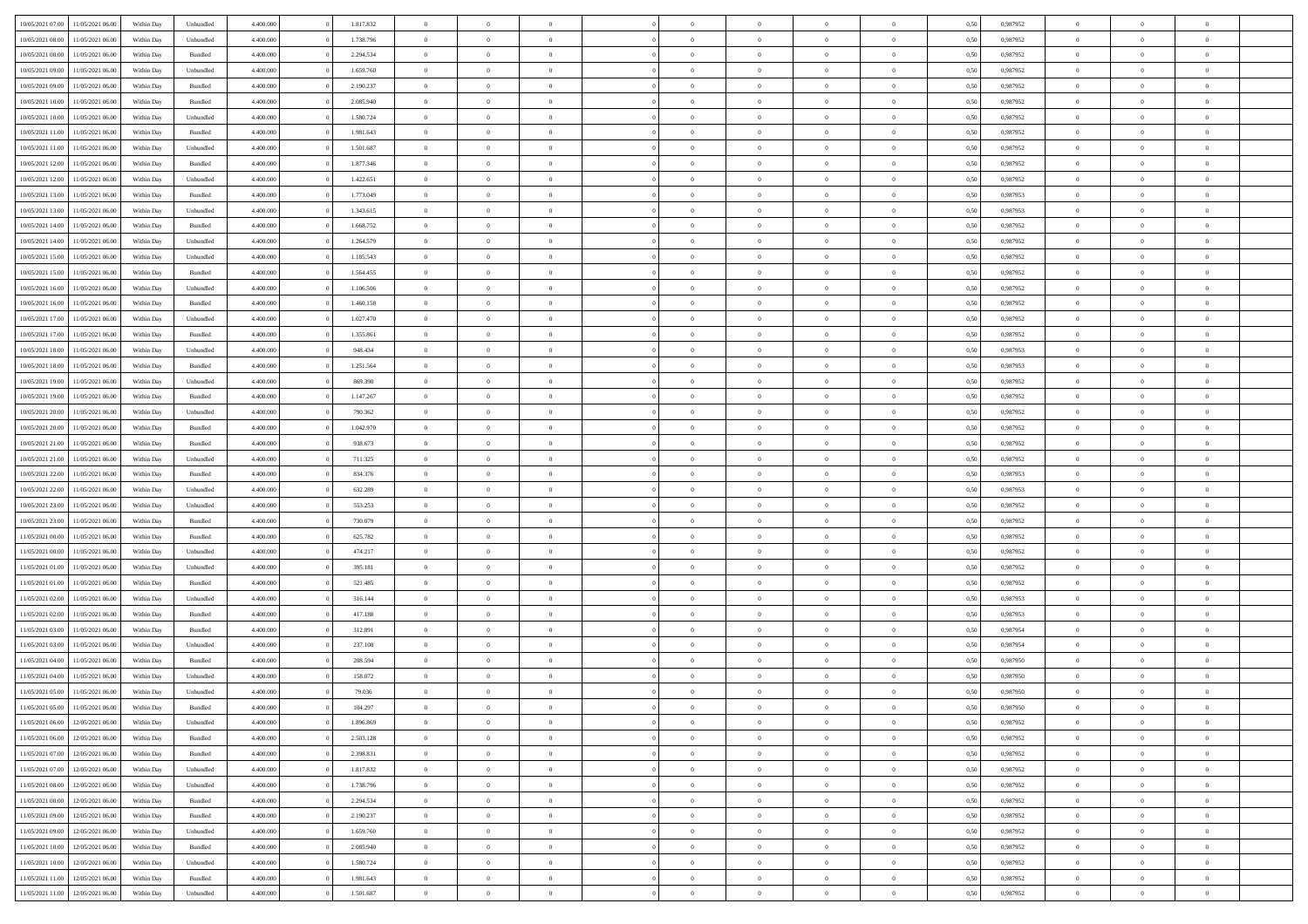| 10/05/2021 07:00 11/05/2021 06:00    | Within Day               | Unbundled | 4.400.000 | 1.817.832 | $\overline{0}$ | $\overline{0}$ | $\Omega$       | $\overline{0}$ | $\theta$       | $\Omega$       | $\overline{0}$ | 0,50 | 0,987952 | $\theta$       | $\theta$       | $\overline{0}$ |  |
|--------------------------------------|--------------------------|-----------|-----------|-----------|----------------|----------------|----------------|----------------|----------------|----------------|----------------|------|----------|----------------|----------------|----------------|--|
| 10/05/2021 08:00<br>11/05/2021 06:00 | Within Day               | Unbundled | 4.400.000 | 1.738.796 | $\overline{0}$ | $\overline{0}$ | $\overline{0}$ | $\overline{0}$ | $\theta$       | $\overline{0}$ | $\bf{0}$       | 0,50 | 0,987952 | $\theta$       | $\theta$       | $\overline{0}$ |  |
| 10/05/2021 08:00<br>11/05/2021 06:00 | Within Day               | Bundled   | 4.400.000 | 2.294.534 | $\overline{0}$ | $\bf{0}$       | $\overline{0}$ | $\overline{0}$ | $\bf{0}$       | $\overline{0}$ | $\bf{0}$       | 0,50 | 0,987952 | $\bf{0}$       | $\overline{0}$ | $\bf{0}$       |  |
| 10/05/2021 09:00<br>11/05/2021 06:00 | Within Day               | Unbundled | 4.400.000 | 1.659.760 | $\overline{0}$ | $\overline{0}$ | $\overline{0}$ | $\overline{0}$ | $\theta$       | $\overline{0}$ | $\overline{0}$ | 0.50 | 0,987952 | $\theta$       | $\theta$       | $\overline{0}$ |  |
| 10/05/2021 09:00<br>11/05/2021 06:00 | Within Day               | Bundled   | 4.400.000 | 2.190.237 | $\overline{0}$ | $\theta$       | $\overline{0}$ | $\overline{0}$ | $\theta$       | $\overline{0}$ | $\bf{0}$       | 0,50 | 0,987952 | $\theta$       | $\theta$       | $\overline{0}$ |  |
| 10/05/2021 10:00<br>11/05/2021 06:00 | Within Day               | Bundled   | 4.400.000 | 2.085.940 | $\overline{0}$ | $\bf{0}$       | $\overline{0}$ | $\overline{0}$ | $\overline{0}$ | $\overline{0}$ | $\bf{0}$       | 0,50 | 0,987952 | $\overline{0}$ | $\overline{0}$ | $\bf{0}$       |  |
| 10/05/2021 10:00<br>11/05/2021 06:00 | Within Day               | Unbundled | 4.400.000 | 1.580.724 | $\overline{0}$ | $\overline{0}$ | $\overline{0}$ | $\overline{0}$ | $\overline{0}$ | $\overline{0}$ | $\bf{0}$       | 0.5( | 0,987952 | $\theta$       | $\theta$       | $\overline{0}$ |  |
|                                      |                          |           |           |           |                |                |                |                |                |                |                |      |          |                |                |                |  |
| 10/05/2021 11:00<br>11/05/2021 06:00 | Within Day               | Bundled   | 4.400.000 | 1.981.643 | $\bf{0}$       | $\overline{0}$ | $\overline{0}$ | $\overline{0}$ | $\theta$       | $\overline{0}$ | $\bf{0}$       | 0,50 | 0,987952 | $\theta$       | $\theta$       | $\overline{0}$ |  |
| 10/05/2021 11:00<br>11/05/2021 06:00 | Within Day               | Unbundled | 4.400.000 | 1.501.687 | $\overline{0}$ | $\bf{0}$       | $\overline{0}$ | $\overline{0}$ | $\overline{0}$ | $\overline{0}$ | $\bf{0}$       | 0,50 | 0,987952 | $\bf{0}$       | $\overline{0}$ | $\overline{0}$ |  |
| 10/05/2021 12:00<br>11/05/2021 06:00 | Within Day               | Bundled   | 4.400.000 | 1.877.346 | $\overline{0}$ | $\overline{0}$ | $\overline{0}$ | $\overline{0}$ | $\overline{0}$ | $\overline{0}$ | $\bf{0}$       | 0.5( | 0,987952 | $\theta$       | $\theta$       | $\overline{0}$ |  |
| 10/05/2021 12:00<br>11/05/2021 06:00 | Within Day               | Unbundled | 4.400.000 | 1.422.651 | $\bf{0}$       | $\overline{0}$ | $\overline{0}$ | $\overline{0}$ | $\theta$       | $\overline{0}$ | $\bf{0}$       | 0,50 | 0,987952 | $\theta$       | $\theta$       | $\overline{0}$ |  |
| 10/05/2021 13:00<br>11/05/2021 06:00 | Within Day               | Bundled   | 4.400.000 | 1.773.049 | $\overline{0}$ | $\bf{0}$       | $\overline{0}$ | $\overline{0}$ | $\bf{0}$       | $\overline{0}$ | $\bf{0}$       | 0,50 | 0,987953 | $\bf{0}$       | $\overline{0}$ | $\bf{0}$       |  |
| 10/05/2021 13:00<br>11/05/2021 06:00 | Within Day               | Unbundled | 4.400.000 | 1.343.615 | $\overline{0}$ | $\overline{0}$ | $\overline{0}$ | $\overline{0}$ | $\overline{0}$ | $\overline{0}$ | $\overline{0}$ | 0.5( | 0,987953 | $\theta$       | $\theta$       | $\overline{0}$ |  |
| 10/05/2021 14:00<br>11/05/2021 06:00 | Within Day               | Bundled   | 4.400.000 | 1.668.752 | $\overline{0}$ | $\theta$       | $\overline{0}$ | $\overline{0}$ | $\theta$       | $\overline{0}$ | $\,$ 0 $\,$    | 0,50 | 0,987952 | $\theta$       | $\theta$       | $\overline{0}$ |  |
| 10/05/2021 14:00<br>11/05/2021 06:00 | Within Day               | Unbundled | 4.400.000 | 1.264.579 | $\overline{0}$ | $\bf{0}$       | $\overline{0}$ | $\overline{0}$ | $\overline{0}$ | $\overline{0}$ | $\bf{0}$       | 0,50 | 0,987952 | $\overline{0}$ | $\overline{0}$ | $\overline{0}$ |  |
| 10/05/2021 15:00<br>11/05/2021 06:00 | Within Day               | Unbundled | 4.400.000 | 1.185.543 | $\overline{0}$ | $\overline{0}$ | $\overline{0}$ | $\overline{0}$ | $\overline{0}$ | $\overline{0}$ | $\overline{0}$ | 0.5( | 0,987952 | $\overline{0}$ | $\overline{0}$ | $\overline{0}$ |  |
| 10/05/2021 15:00<br>11/05/2021 06:00 | Within Day               | Bundled   | 4.400.000 | 1.564.455 | $\bf{0}$       | $\overline{0}$ | $\overline{0}$ | $\overline{0}$ | $\theta$       | $\overline{0}$ | $\bf{0}$       | 0,50 | 0,987952 | $\theta$       | $\theta$       | $\overline{0}$ |  |
| 10/05/2021 16:00<br>11/05/2021 06:00 | Within Day               | Unbundled | 4.400.000 | 1.106.506 | $\overline{0}$ | $\bf{0}$       | $\overline{0}$ | $\overline{0}$ | $\bf{0}$       | $\overline{0}$ | $\bf{0}$       | 0,50 | 0,987952 | $\bf{0}$       | $\overline{0}$ | $\bf{0}$       |  |
| 10/05/2021 16:00<br>11/05/2021 06:00 | Within Day               | Bundled   | 4.400.000 | 1.460.158 | $\overline{0}$ | $\overline{0}$ | $\overline{0}$ | $\overline{0}$ | $\overline{0}$ | $\overline{0}$ | $\overline{0}$ | 0.50 | 0,987952 | $\theta$       | $\theta$       | $\overline{0}$ |  |
| 10/05/2021 17:00<br>11/05/2021 06:00 | Within Day               | Unbundled | 4.400.000 | 1.027.470 | $\bf{0}$       | $\overline{0}$ | $\overline{0}$ | $\overline{0}$ | $\theta$       | $\overline{0}$ | $\bf{0}$       | 0,50 | 0,987952 | $\theta$       | $\theta$       | $\overline{0}$ |  |
| 10/05/2021 17:00<br>11/05/2021 06:00 | Within Day               | Bundled   | 4.400.000 | 1.355.861 | $\overline{0}$ | $\bf{0}$       | $\overline{0}$ | $\overline{0}$ | $\bf{0}$       | $\overline{0}$ | $\bf{0}$       | 0,50 | 0,987952 | $\bf{0}$       | $\overline{0}$ | $\bf{0}$       |  |
| 10/05/2021 18:00<br>11/05/2021 06:00 | Within Day               | Unbundled | 4.400.000 | 948,434   | $\overline{0}$ | $\overline{0}$ | $\overline{0}$ | $\overline{0}$ | $\overline{0}$ | $\overline{0}$ | $\overline{0}$ | 0.5( | 0,987953 | $\theta$       | $\overline{0}$ | $\overline{0}$ |  |
|                                      |                          |           |           |           |                |                |                |                |                |                |                |      |          |                |                |                |  |
| 10/05/2021 18:00<br>11/05/2021 06:00 | Within Day               | Bundled   | 4.400.000 | 1.251.564 | $\bf{0}$       | $\theta$       | $\overline{0}$ | $\overline{0}$ | $\theta$       | $\overline{0}$ | $\bf{0}$       | 0,50 | 0,987953 | $\theta$       | $\theta$       | $\overline{0}$ |  |
| 10/05/2021 19:00<br>11/05/2021 06:00 | Within Day               | Unbundled | 4.400.000 | 869.398   | $\overline{0}$ | $\bf{0}$       | $\overline{0}$ | $\overline{0}$ | $\overline{0}$ | $\overline{0}$ | $\bf{0}$       | 0,50 | 0,987952 | $\overline{0}$ | $\overline{0}$ | $\bf{0}$       |  |
| 10/05/2021 19:00<br>11/05/2021 06:00 | Within Day               | Bundled   | 4.400.000 | 1.147.267 | $\overline{0}$ | $\overline{0}$ | $\overline{0}$ | $\overline{0}$ | $\overline{0}$ | $\overline{0}$ | $\bf{0}$       | 0.5( | 0,987952 | $\overline{0}$ | $\overline{0}$ | $\overline{0}$ |  |
| 10/05/2021 20:00<br>11/05/2021 06:00 | Within Day               | Unbundled | 4.400.000 | 790.362   | $\bf{0}$       | $\overline{0}$ | $\overline{0}$ | $\overline{0}$ | $\theta$       | $\overline{0}$ | $\bf{0}$       | 0,50 | 0,987952 | $\theta$       | $\theta$       | $\overline{0}$ |  |
| 10/05/2021 20:00<br>11/05/2021 06:00 | Within Day               | Bundled   | 4.400.000 | 1.042.970 | $\overline{0}$ | $\bf{0}$       | $\overline{0}$ | $\overline{0}$ | $\overline{0}$ | $\overline{0}$ | $\bf{0}$       | 0,50 | 0,987952 | $\bf{0}$       | $\overline{0}$ | $\bf{0}$       |  |
| 10/05/2021 21:00<br>11/05/2021 06:00 | Within Day               | Bundled   | 4.400.000 | 938.673   | $\overline{0}$ | $\overline{0}$ | $\overline{0}$ | $\overline{0}$ | $\overline{0}$ | $\overline{0}$ | $\overline{0}$ | 0.5( | 0,987952 | $\theta$       | $\theta$       | $\overline{0}$ |  |
| 10/05/2021 21:00<br>11/05/2021 06:00 | Within Day               | Unbundled | 4.400.000 | 711.325   | $\bf{0}$       | $\overline{0}$ | $\overline{0}$ | $\overline{0}$ | $\theta$       | $\overline{0}$ | $\bf{0}$       | 0,50 | 0,987952 | $\,$ 0 $\,$    | $\,$ 0 $\,$    | $\overline{0}$ |  |
| 10/05/2021 22:00<br>11/05/2021 06:00 | Within Day               | Bundled   | 4.400.000 | 834.376   | $\overline{0}$ | $\bf{0}$       | $\overline{0}$ | $\overline{0}$ | $\bf{0}$       | $\overline{0}$ | $\bf{0}$       | 0,50 | 0,987953 | $\bf{0}$       | $\overline{0}$ | $\bf{0}$       |  |
| 10/05/2021 22:00<br>11/05/2021 06:00 | Within Day               | Unbundled | 4,400,000 | 632.289   | $\overline{0}$ | $\overline{0}$ | $\Omega$       | $\Omega$       | $\Omega$       | $\Omega$       | $\bf{0}$       | 0,50 | 0,987953 | $\,$ 0 $\,$    | $\overline{0}$ | $\theta$       |  |
| 10/05/2021 23:00<br>11/05/2021 06:00 | Within Day               | Unbundled | 4.400.000 | 553.253   | $\bf{0}$       | $\theta$       | $\overline{0}$ | $\overline{0}$ | $\theta$       | $\overline{0}$ | $\bf{0}$       | 0,50 | 0,987952 | $\theta$       | $\theta$       | $\overline{0}$ |  |
| 10/05/2021 23:00<br>11/05/2021 06:00 | Within Day               | Bundled   | 4.400.000 | 730.079   | $\overline{0}$ | $\bf{0}$       | $\overline{0}$ | $\overline{0}$ | $\overline{0}$ | $\overline{0}$ | $\bf{0}$       | 0,50 | 0,987952 | $\overline{0}$ | $\overline{0}$ | $\bf{0}$       |  |
| 11/05/2021 00:00<br>11/05/2021 06:00 | Within Day               | Bundled   | 4,400,000 | 625.782   | $\overline{0}$ | $\overline{0}$ | $\Omega$       | $\Omega$       | $\overline{0}$ | $\Omega$       | $\overline{0}$ | 0.50 | 0,987952 | $\bf{0}$       | $\theta$       | $\theta$       |  |
| 11/05/2021 00:00<br>11/05/2021 06:00 | Within Day               | Unbundled | 4.400.000 | 474.217   | $\bf{0}$       | $\overline{0}$ | $\overline{0}$ | $\overline{0}$ | $\theta$       | $\overline{0}$ | $\bf{0}$       | 0,50 | 0,987952 | $\theta$       | $\theta$       | $\overline{0}$ |  |
| 11/05/2021 01:00<br>11/05/2021 06:00 | Within Day               | Unbundled | 4.400.000 | 395.181   | $\overline{0}$ | $\bf{0}$       | $\overline{0}$ | $\overline{0}$ | $\overline{0}$ | $\overline{0}$ | $\bf{0}$       | 0,50 | 0,987952 | $\bf{0}$       | $\overline{0}$ | $\bf{0}$       |  |
| 11/05/2021 01:00<br>11/05/2021 06:00 | Within Day               | Bundled   | 4,400,000 | 521.485   | $\overline{0}$ | $\overline{0}$ | $\Omega$       | $\theta$       | $\overline{0}$ | $\theta$       | $\overline{0}$ | 0.50 | 0.987952 | $\overline{0}$ | $\theta$       | $\theta$       |  |
| 11/05/2021 02:00<br>11/05/2021 06:00 | Within Day               | Unbundled | 4.400.000 | 316.144   | $\bf{0}$       | $\bf{0}$       | $\overline{0}$ | $\overline{0}$ | $\theta$       | $\overline{0}$ | $\bf{0}$       | 0,50 | 0,987953 | $\theta$       | $\,$ 0 $\,$    | $\overline{0}$ |  |
| 11/05/2021 02:00<br>11/05/2021 06:00 | Within Day               | Bundled   | 4.400.000 | 417.188   | $\overline{0}$ | $\bf{0}$       | $\overline{0}$ | $\overline{0}$ | $\bf{0}$       | $\overline{0}$ | $\bf{0}$       | 0,50 | 0,987953 | $\bf{0}$       | $\overline{0}$ | $\bf{0}$       |  |
| 11/05/2021 03:00<br>11/05/2021 06:00 | Within Day               | Bundled   | 4,400,000 | 312.891   | $\overline{0}$ | $\overline{0}$ | $\Omega$       | $\Omega$       | $\overline{0}$ | $\Omega$       | $\bf{0}$       | 0,50 | 0,987954 | $\bf{0}$       | $\overline{0}$ | $\theta$       |  |
| 11/05/2021 03:00<br>11/05/2021 06:00 | Within Day               | Unbundled | 4.400.000 | 237.108   | $\bf{0}$       | $\theta$       | $\overline{0}$ | $\overline{0}$ | $\theta$       | $\overline{0}$ | $\bf{0}$       | 0,50 | 0,987954 | $\theta$       | $\,$ 0 $\,$    | $\overline{0}$ |  |
| 11/05/2021 04:00<br>11/05/2021 06:00 | Within Day               | Bundled   | 4.400.000 | 208.594   | $\overline{0}$ | $\bf{0}$       | $\overline{0}$ | $\overline{0}$ | $\overline{0}$ | $\overline{0}$ | $\bf{0}$       | 0,50 | 0,987950 | $\overline{0}$ | $\overline{0}$ | $\bf{0}$       |  |
| 11/05/2021 04:00<br>11/05/2021 06:00 |                          | Unbundled | 4,400,000 | 158.072   | $\overline{0}$ | $\overline{0}$ | $\Omega$       | $\Omega$       | $\Omega$       | $\theta$       | $\overline{0}$ | 0.50 | 0.987950 | $\theta$       | $\theta$       | $\theta$       |  |
| 11/05/2021 05:00<br>11/05/2021 06:00 | Within Day<br>Within Day | Unbundled | 4.400.000 | 79.036    | $\bf{0}$       | $\bf{0}$       | $\overline{0}$ | $\overline{0}$ | $\overline{0}$ | $\bf{0}$       | $\bf{0}$       | 0,50 | 0,987950 | $\bf{0}$       | $\,$ 0 $\,$    | $\overline{0}$ |  |
| 11/05/2021 05:00 11/05/2021 06:00    | Within Day               | Bundled   | 4.400.000 | 104.297   |                |                |                |                |                |                |                | 0,50 | 0,987950 | $\bf{0}$       | $\bf{0}$       |                |  |
| 11/05/2021 06:00 12/05/2021 06:00    | Within Day               | Unbundled | 4.400.000 | 1.896.869 | $\Omega$       | $\overline{0}$ | $\Omega$       | $\theta$       | $\Omega$       | $\theta$       | $\overline{0}$ | 0.50 | 0.987952 | $\theta$       | $\theta$       | $\theta$       |  |
|                                      |                          |           |           |           |                | $\overline{0}$ |                |                | $\overline{0}$ |                |                |      |          | $\,$ 0 $\,$    | $\,$ 0 $\,$    | $\,$ 0         |  |
| 11/05/2021 06:00<br>12/05/2021 06:00 | Within Day               | Bundled   | 4.400.000 | 2.503.128 | $\overline{0}$ |                | $\overline{0}$ | $\overline{0}$ |                | $\overline{0}$ | $\,$ 0 $\,$    | 0,50 | 0,987952 |                |                |                |  |
| 11/05/2021 07:00 12/05/2021 06:00    | Within Day               | Bundled   | 4.400.000 | 2.398.831 | $\overline{0}$ | $\overline{0}$ | $\overline{0}$ | $\overline{0}$ | $\overline{0}$ | $\overline{0}$ | $\bf{0}$       | 0,50 | 0,987952 | $\overline{0}$ | $\bf{0}$       | $\overline{0}$ |  |
| 11/05/2021 07:00<br>12/05/2021 06:00 | Within Day               | Unbundled | 4.400.000 | 1.817.832 | $\overline{0}$ | $\bf{0}$       | $\overline{0}$ | $\overline{0}$ | $\overline{0}$ | $\overline{0}$ | $\bf{0}$       | 0,50 | 0,987952 | $\bf{0}$       | $\theta$       | $\overline{0}$ |  |
| 11/05/2021 08:00<br>12/05/2021 06:00 | Within Day               | Unbundled | 4.400.000 | 1.738.796 | $\overline{0}$ | $\overline{0}$ | $\overline{0}$ | $\overline{0}$ | $\overline{0}$ | $\overline{0}$ | $\bf{0}$       | 0,50 | 0,987952 | $\,$ 0 $\,$    | $\,$ 0 $\,$    | $\overline{0}$ |  |
| 11/05/2021 08:00<br>12/05/2021 06:00 | Within Day               | Bundled   | 4.400.000 | 2.294.534 | $\overline{0}$ | $\overline{0}$ | $\overline{0}$ | $\overline{0}$ | $\mathbf{0}$   | $\overline{0}$ | $\bf{0}$       | 0,50 | 0,987952 | $\overline{0}$ | $\overline{0}$ | $\overline{0}$ |  |
| 11/05/2021 09:00<br>12/05/2021 06:00 | Within Day               | Bundled   | 4.400.000 | 2.190.237 | $\overline{0}$ | $\bf{0}$       | $\overline{0}$ | $\overline{0}$ | $\overline{0}$ | $\overline{0}$ | $\bf{0}$       | 0.50 | 0,987952 | $\overline{0}$ | $\theta$       | $\overline{0}$ |  |
| 11/05/2021 09:00<br>12/05/2021 06:00 | Within Day               | Unbundled | 4.400.000 | 1.659.760 | $\overline{0}$ | $\,$ 0         | $\overline{0}$ | $\overline{0}$ | $\overline{0}$ | $\overline{0}$ | $\bf{0}$       | 0,50 | 0,987952 | $\,$ 0 $\,$    | $\bf{0}$       | $\overline{0}$ |  |
| 11/05/2021 10:00<br>12/05/2021 06:00 | Within Day               | Bundled   | 4.400.000 | 2.085.940 | $\overline{0}$ | $\bf{0}$       | $\overline{0}$ | $\overline{0}$ | $\overline{0}$ | $\overline{0}$ | $\bf{0}$       | 0,50 | 0,987952 | $\overline{0}$ | $\overline{0}$ | $\bf{0}$       |  |
| 11/05/2021 10:00<br>12/05/2021 06:00 | Within Day               | Unbundled | 4.400.000 | 1.580.724 | $\overline{0}$ | $\overline{0}$ | $\overline{0}$ | $\overline{0}$ | $\overline{0}$ | $\overline{0}$ | $\bf{0}$       | 0.50 | 0,987952 | $\overline{0}$ | $\overline{0}$ | $\overline{0}$ |  |
| 11/05/2021 11:00<br>12/05/2021 06:00 | Within Day               | Bundled   | 4.400.000 | 1.981.643 | $\overline{0}$ | $\,$ 0         | $\overline{0}$ | $\overline{0}$ | $\overline{0}$ | $\bf{0}$       | $\bf{0}$       | 0,50 | 0,987952 | $\,$ 0 $\,$    | $\,$ 0 $\,$    | $\overline{0}$ |  |
| 11/05/2021 11:00 12/05/2021 06:00    | Within Day               | Unbundled | 4.400.000 | 1.501.687 | $\overline{0}$ | $\bf{0}$       | $\overline{0}$ | $\overline{0}$ | $\overline{0}$ | $\overline{0}$ | $\bf{0}$       | 0,50 | 0,987952 | $\overline{0}$ | $\bf{0}$       | $\overline{0}$ |  |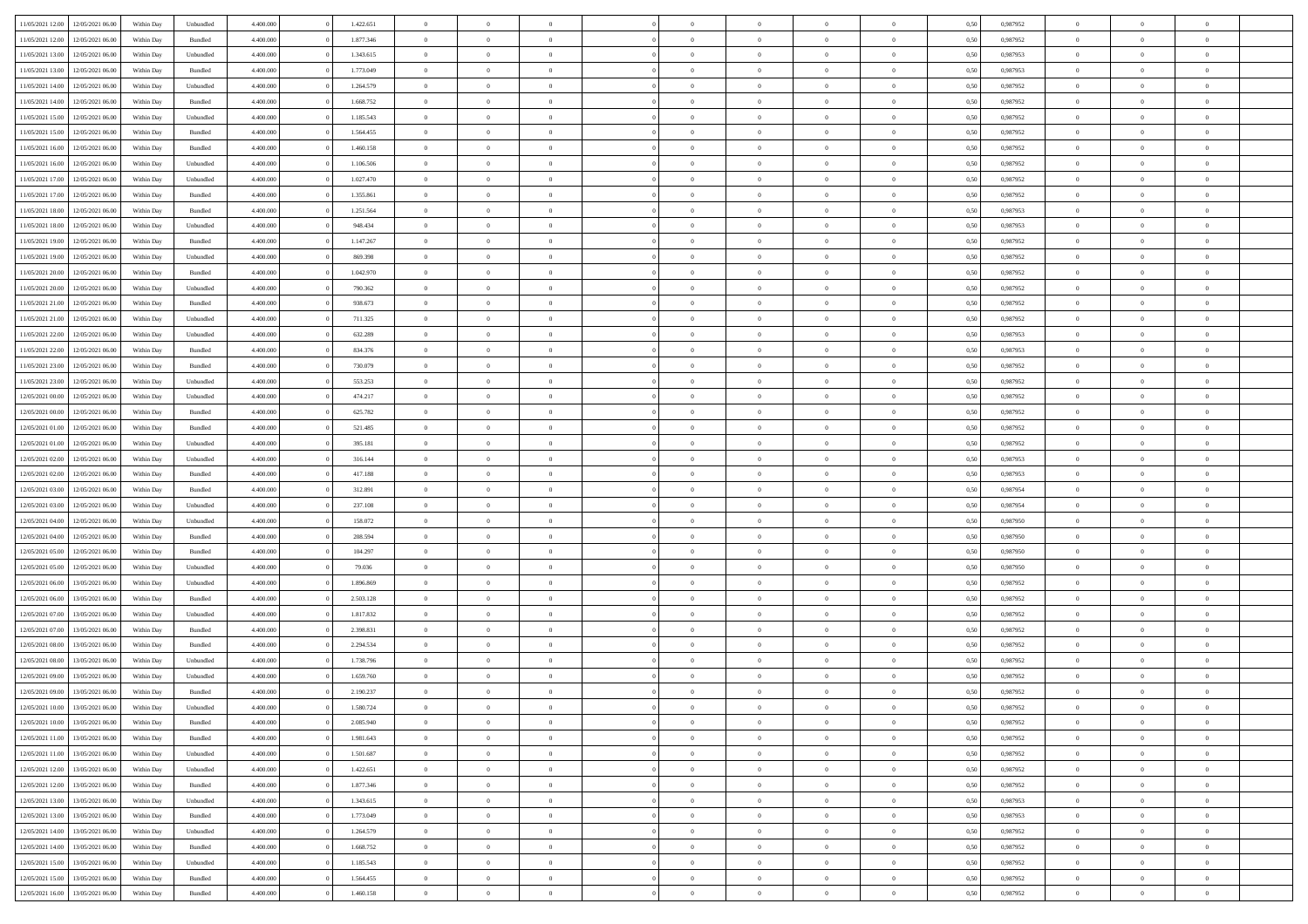| 11/05/2021 12:00                  | 12/05/2021 06:00 | Within Day | Unbundled | 4.400.000 | 1.422.651 | $\overline{0}$ | $\theta$       |                | $\Omega$       | $\Omega$       | $\theta$       | $\theta$       | 0,50 | 0,987952 | $\theta$       | $\overline{0}$ | $\overline{0}$ |  |
|-----------------------------------|------------------|------------|-----------|-----------|-----------|----------------|----------------|----------------|----------------|----------------|----------------|----------------|------|----------|----------------|----------------|----------------|--|
|                                   |                  |            |           |           |           |                |                |                |                |                |                |                |      |          |                |                |                |  |
| 11/05/2021 12:00                  | 12/05/2021 06:00 | Within Day | Bundled   | 4.400.000 | 1.877.346 | $\overline{0}$ | $\theta$       | $\overline{0}$ | $\overline{0}$ | $\bf{0}$       | $\overline{0}$ | $\bf{0}$       | 0,50 | 0,987952 | $\theta$       | $\overline{0}$ | $\overline{0}$ |  |
| 11/05/2021 13:00                  | 12/05/2021 06:00 | Within Day | Unbundled | 4.400.000 | 1.343.615 | $\overline{0}$ | $\bf{0}$       | $\overline{0}$ | $\bf{0}$       | $\bf{0}$       | $\bf{0}$       | $\mathbf{0}$   | 0,50 | 0,987953 | $\overline{0}$ | $\overline{0}$ | $\bf{0}$       |  |
| 11/05/2021 13:00                  | 12/05/2021 06:00 | Within Dav | Bundled   | 4.400.000 | 1.773.049 | $\overline{0}$ | $\overline{0}$ | $\overline{0}$ | $\overline{0}$ | $\bf{0}$       | $\overline{0}$ | $\overline{0}$ | 0.50 | 0,987953 | $\theta$       | $\theta$       | $\overline{0}$ |  |
| 11/05/2021 14:00                  | 12/05/2021 06:00 | Within Day | Unbundled | 4.400.000 | 1.264.579 | $\overline{0}$ | $\theta$       | $\overline{0}$ | $\overline{0}$ | $\bf{0}$       | $\overline{0}$ | $\bf{0}$       | 0,50 | 0,987952 | $\theta$       | $\overline{0}$ | $\overline{0}$ |  |
| 11/05/2021 14:00                  | 12/05/2021 06:00 | Within Day | Bundled   | 4.400.000 | 1.668.752 | $\overline{0}$ | $\overline{0}$ | $\overline{0}$ | $\bf{0}$       | $\overline{0}$ | $\overline{0}$ | $\mathbf{0}$   | 0,50 | 0,987952 | $\overline{0}$ | $\overline{0}$ | $\bf{0}$       |  |
|                                   |                  |            |           |           |           |                | $\overline{0}$ |                |                | $\overline{0}$ |                |                |      |          | $\theta$       | $\overline{0}$ | $\overline{0}$ |  |
| 11/05/2021 15:00                  | 12/05/2021 06:00 | Within Dav | Unbundled | 4.400.000 | 1.185.543 | $\overline{0}$ |                | $\overline{0}$ | $\overline{0}$ |                | $\overline{0}$ | $\overline{0}$ | 0.50 | 0,987952 |                |                |                |  |
| 11/05/2021 15:00                  | 12/05/2021 06:00 | Within Day | Bundled   | 4.400.000 | 1.564.455 | $\overline{0}$ | $\theta$       | $\overline{0}$ | $\overline{0}$ | $\bf{0}$       | $\overline{0}$ | $\bf{0}$       | 0,50 | 0,987952 | $\theta$       | $\theta$       | $\overline{0}$ |  |
| 11/05/2021 16:00                  | 12/05/2021 06:00 | Within Day | Bundled   | 4.400.000 | 1.460.158 | $\overline{0}$ | $\overline{0}$ | $\overline{0}$ | $\bf{0}$       | $\bf{0}$       | $\bf{0}$       | $\bf{0}$       | 0,50 | 0,987952 | $\,0\,$        | $\overline{0}$ | $\overline{0}$ |  |
| 11/05/2021 16:00                  | 12/05/2021 06:00 | Within Dav | Unbundled | 4.400.000 | 1.106.506 | $\overline{0}$ | $\overline{0}$ | $\overline{0}$ | $\overline{0}$ | $\overline{0}$ | $\overline{0}$ | $\overline{0}$ | 0.50 | 0,987952 | $\theta$       | $\overline{0}$ | $\overline{0}$ |  |
| 11/05/2021 17:00                  | 12/05/2021 06:00 | Within Day | Unbundled | 4.400.000 | 1.027.470 | $\overline{0}$ | $\theta$       | $\overline{0}$ | $\overline{0}$ | $\bf{0}$       | $\overline{0}$ | $\bf{0}$       | 0,50 | 0,987952 | $\,$ 0 $\,$    | $\overline{0}$ | $\overline{0}$ |  |
| 11/05/2021 17:00                  | 12/05/2021 06:00 | Within Day | Bundled   | 4.400.000 | 1.355.861 | $\overline{0}$ | $\bf{0}$       | $\overline{0}$ | $\bf{0}$       | $\bf{0}$       | $\bf{0}$       | $\mathbf{0}$   | 0,50 | 0,987952 | $\overline{0}$ | $\overline{0}$ | $\bf{0}$       |  |
| 11/05/2021 18:00                  | 12/05/2021 06:00 | Within Dav | Bundled   | 4.400.000 | 1.251.564 | $\overline{0}$ | $\overline{0}$ | $\overline{0}$ | $\overline{0}$ | $\bf{0}$       | $\overline{0}$ | $\overline{0}$ | 0.50 | 0,987953 | $\theta$       | $\theta$       | $\overline{0}$ |  |
|                                   |                  |            |           |           |           | $\overline{0}$ | $\theta$       | $\overline{0}$ | $\overline{0}$ | $\bf{0}$       | $\overline{0}$ |                |      |          | $\theta$       | $\overline{0}$ | $\overline{0}$ |  |
| 11/05/2021 18:00                  | 12/05/2021 06:00 | Within Day | Unbundled | 4.400.000 | 948.434   |                |                |                |                |                |                | $\bf{0}$       | 0,50 | 0,987953 |                |                |                |  |
| 11/05/2021 19:00                  | 12/05/2021 06:00 | Within Day | Bundled   | 4.400.000 | 1.147.267 | $\overline{0}$ | $\overline{0}$ | $\overline{0}$ | $\bf{0}$       | $\overline{0}$ | $\overline{0}$ | $\mathbf{0}$   | 0,50 | 0,987952 | $\overline{0}$ | $\overline{0}$ | $\bf{0}$       |  |
| 11/05/2021 19:00                  | 12/05/2021 06:00 | Within Dav | Unbundled | 4.400.000 | 869.398   | $\overline{0}$ | $\overline{0}$ | $\overline{0}$ | $\overline{0}$ | $\overline{0}$ | $\overline{0}$ | $\overline{0}$ | 0.50 | 0,987952 | $\theta$       | $\overline{0}$ | $\overline{0}$ |  |
| 11/05/2021 20:00                  | 12/05/2021 06:00 | Within Day | Bundled   | 4.400.000 | 1.042.970 | $\overline{0}$ | $\theta$       | $\overline{0}$ | $\overline{0}$ | $\bf{0}$       | $\overline{0}$ | $\bf{0}$       | 0,50 | 0,987952 | $\theta$       | $\theta$       | $\overline{0}$ |  |
| 11/05/2021 20:00                  | 12/05/2021 06:00 | Within Day | Unbundled | 4.400.000 | 790.362   | $\overline{0}$ | $\overline{0}$ | $\overline{0}$ | $\bf{0}$       | $\bf{0}$       | $\bf{0}$       | $\mathbf{0}$   | 0,50 | 0,987952 | $\bf{0}$       | $\overline{0}$ | $\bf{0}$       |  |
| 11/05/2021 21:00                  | 12/05/2021 06:00 | Within Dav | Bundled   | 4.400.000 | 938.673   | $\overline{0}$ | $\overline{0}$ | $\overline{0}$ | $\overline{0}$ | $\overline{0}$ | $\overline{0}$ | $\overline{0}$ | 0.50 | 0,987952 | $\theta$       | $\overline{0}$ | $\overline{0}$ |  |
| 11/05/2021 21:00                  | 12/05/2021 06:00 | Within Day | Unbundled | 4.400.000 | 711.325   | $\overline{0}$ | $\theta$       | $\overline{0}$ | $\overline{0}$ | $\bf{0}$       | $\overline{0}$ | $\bf{0}$       | 0,50 | 0,987952 | $\,$ 0 $\,$    | $\overline{0}$ | $\overline{0}$ |  |
|                                   |                  |            |           |           |           |                |                |                |                |                |                |                |      |          |                |                |                |  |
| 11/05/2021 22.00                  | 12/05/2021 06:00 | Within Day | Unbundled | 4.400.000 | 632.289   | $\overline{0}$ | $\overline{0}$ | $\overline{0}$ | $\bf{0}$       | $\bf{0}$       | $\bf{0}$       | $\mathbf{0}$   | 0,50 | 0,987953 | $\overline{0}$ | $\overline{0}$ | $\bf{0}$       |  |
| 11/05/2021 22:00                  | 12/05/2021 06:00 | Within Day | Bundled   | 4.400.000 | 834.376   | $\overline{0}$ | $\overline{0}$ | $\overline{0}$ | $\overline{0}$ | $\overline{0}$ | $\overline{0}$ | $\overline{0}$ | 0.50 | 0,987953 | $\theta$       | $\overline{0}$ | $\overline{0}$ |  |
| 11/05/2021 23:00                  | 12/05/2021 06:00 | Within Day | Bundled   | 4.400.000 | 730.079   | $\overline{0}$ | $\theta$       | $\overline{0}$ | $\overline{0}$ | $\bf{0}$       | $\overline{0}$ | $\bf{0}$       | 0,50 | 0,987952 | $\,$ 0 $\,$    | $\overline{0}$ | $\overline{0}$ |  |
| 11/05/2021 23:00                  | 12/05/2021 06:00 | Within Day | Unbundled | 4.400.000 | 553.253   | $\overline{0}$ | $\overline{0}$ | $\overline{0}$ | $\bf{0}$       | $\overline{0}$ | $\overline{0}$ | $\mathbf{0}$   | 0,50 | 0,987952 | $\overline{0}$ | $\overline{0}$ | $\bf{0}$       |  |
| 12/05/2021 00:00                  | 12/05/2021 06:00 | Within Dav | Unbundled | 4.400.000 | 474.217   | $\overline{0}$ | $\overline{0}$ | $\overline{0}$ | $\overline{0}$ | $\overline{0}$ | $\overline{0}$ | $\overline{0}$ | 0.50 | 0,987952 | $\theta$       | $\overline{0}$ | $\overline{0}$ |  |
| 12/05/2021 00:00                  | 12/05/2021 06:00 | Within Day | Bundled   | 4.400.000 | 625.782   | $\overline{0}$ | $\theta$       | $\overline{0}$ | $\overline{0}$ | $\bf{0}$       | $\overline{0}$ | $\bf{0}$       | 0,50 | 0,987952 | $\theta$       | $\theta$       | $\overline{0}$ |  |
| 12/05/2021 01:00                  | 12/05/2021 06:00 | Within Day | Bundled   | 4.400.000 | 521.485   | $\overline{0}$ | $\overline{0}$ | $\overline{0}$ | $\bf{0}$       | $\bf{0}$       | $\bf{0}$       | $\bf{0}$       | 0,50 | 0,987952 | $\,0\,$        | $\overline{0}$ | $\bf{0}$       |  |
|                                   | 12/05/2021 06:00 |            | Unbundled | 4.400.000 | 395.181   | $\overline{0}$ | $\overline{0}$ | $\overline{0}$ | $\overline{0}$ | $\overline{0}$ | $\overline{0}$ | $\overline{0}$ | 0.50 | 0,987952 | $\theta$       | $\overline{0}$ | $\overline{0}$ |  |
| 12/05/2021 01:00                  |                  | Within Day |           |           |           |                |                |                |                |                |                |                |      |          |                |                |                |  |
| 12/05/2021 02:00                  | 12/05/2021 06:00 | Within Day | Unbundled | 4.400.000 | 316.144   | $\overline{0}$ | $\theta$       | $\overline{0}$ | $\overline{0}$ | $\bf{0}$       | $\overline{0}$ | $\bf{0}$       | 0,50 | 0,987953 | $\,$ 0 $\,$    | $\overline{0}$ | $\overline{0}$ |  |
| 12/05/2021 02:00                  | 12/05/2021 06:00 | Within Day | Bundled   | 4.400.000 | 417.188   | $\overline{0}$ | $\overline{0}$ | $\overline{0}$ | $\bf{0}$       | $\bf{0}$       | $\bf{0}$       | $\bf{0}$       | 0,50 | 0,987953 | $\overline{0}$ | $\overline{0}$ | $\bf{0}$       |  |
| 12/05/2021 03:00                  | 12/05/2021 06:00 | Within Day | Bundled   | 4.400,000 | 312.891   | $\overline{0}$ | $\Omega$       | $\Omega$       | $\Omega$       | $\Omega$       | $\overline{0}$ | $\overline{0}$ | 0,50 | 0,987954 | $\,0\,$        | $\theta$       | $\theta$       |  |
| 12/05/2021 03:00                  | 12/05/2021 06:00 | Within Day | Unbundled | 4.400.000 | 237.108   | $\overline{0}$ | $\theta$       | $\overline{0}$ | $\overline{0}$ | $\bf{0}$       | $\overline{0}$ | $\bf{0}$       | 0,50 | 0,987954 | $\theta$       | $\overline{0}$ | $\overline{0}$ |  |
| 12/05/2021 04:00                  | 12/05/2021 06:00 | Within Day | Unbundled | 4.400.000 | 158.072   | $\overline{0}$ | $\overline{0}$ | $\overline{0}$ | $\bf{0}$       | $\overline{0}$ | $\overline{0}$ | $\mathbf{0}$   | 0,50 | 0,987950 | $\overline{0}$ | $\overline{0}$ | $\bf{0}$       |  |
| 12/05/2021 04:00                  | 12/05/2021 06:00 | Within Day | Bundled   | 4.400,000 | 208,594   | $\overline{0}$ | $\Omega$       | $\Omega$       | $\Omega$       | $\overline{0}$ | $\overline{0}$ | $\overline{0}$ | 0.50 | 0,987950 | $\,0\,$        | $\theta$       | $\theta$       |  |
| 12/05/2021 05:00                  | 12/05/2021 06:00 | Within Day | Bundled   | 4.400.000 | 104.297   | $\overline{0}$ | $\theta$       | $\overline{0}$ | $\overline{0}$ | $\bf{0}$       | $\overline{0}$ | $\bf{0}$       | 0,50 | 0,987950 | $\,$ 0 $\,$    | $\overline{0}$ | $\overline{0}$ |  |
|                                   |                  |            |           |           |           |                |                |                |                |                |                |                |      |          |                |                |                |  |
| 12/05/2021 05:00                  | 12/05/2021 06:00 | Within Day | Unbundled | 4.400.000 | 79.036    | $\overline{0}$ | $\overline{0}$ | $\overline{0}$ | $\bf{0}$       | $\bf{0}$       | $\bf{0}$       | $\bf{0}$       | 0,50 | 0,987950 | $\bf{0}$       | $\overline{0}$ | $\bf{0}$       |  |
| 12/05/2021 06:00                  | 13/05/2021 06:00 | Within Day | Unbundled | 4.400,000 | 1.896.869 | $\overline{0}$ | $\Omega$       | $\Omega$       | $\Omega$       | $\overline{0}$ | $\overline{0}$ | $\overline{0}$ | 0.50 | 0.987952 | $\,$ 0 $\,$    | $\theta$       | $\theta$       |  |
| 12/05/2021 06:00                  | 13/05/2021 06:00 | Within Day | Bundled   | 4.400.000 | 2.503.128 | $\overline{0}$ | $\overline{0}$ | $\overline{0}$ | $\overline{0}$ | $\bf{0}$       | $\overline{0}$ | $\bf{0}$       | 0,50 | 0,987952 | $\,$ 0 $\,$    | $\overline{0}$ | $\overline{0}$ |  |
| 12/05/2021 07:00                  | 13/05/2021 06:00 | Within Day | Unbundled | 4.400.000 | 1.817.832 | $\overline{0}$ | $\bf{0}$       | $\overline{0}$ | $\bf{0}$       | $\bf{0}$       | $\bf{0}$       | $\mathbf{0}$   | 0,50 | 0,987952 | $\overline{0}$ | $\overline{0}$ | $\bf{0}$       |  |
| 12/05/2021 07:00                  | 13/05/2021 06:00 | Within Day | Bundled   | 4.400,000 | 2.398.831 | $\overline{0}$ | $\Omega$       | $\overline{0}$ | $\Omega$       | $\overline{0}$ | $\overline{0}$ | $\overline{0}$ | 0,50 | 0,987952 | $\,0\,$        | $\theta$       | $\theta$       |  |
| 12/05/2021 08:00                  | 13/05/2021 06:00 | Within Day | Bundled   | 4.400.000 | 2.294.534 | $\overline{0}$ | $\overline{0}$ | $\overline{0}$ | $\overline{0}$ | $\,$ 0         | $\overline{0}$ | $\bf{0}$       | 0,50 | 0,987952 | $\,$ 0 $\,$    | $\overline{0}$ | $\overline{0}$ |  |
| 12/05/2021 08:00                  | 13/05/2021 06:00 | Within Day | Unbundled | 4.400.000 | 1.738.796 | $\overline{0}$ | $\overline{0}$ | $\overline{0}$ | $\bf{0}$       | $\bf{0}$       | $\overline{0}$ | $\mathbf{0}$   | 0,50 | 0,987952 | $\overline{0}$ | $\overline{0}$ | $\bf{0}$       |  |
| 12/05/2021 09:00                  | 13/05/2021 06:00 | Within Day | Unbundled | 4.400,000 | 1.659.760 | $\overline{0}$ | $\Omega$       | $\Omega$       | $\Omega$       | $\Omega$       | $\Omega$       | $\overline{0}$ | 0.50 | 0.987952 | $\theta$       | $\theta$       | $\theta$       |  |
| 12/05/2021 09:00                  | 13/05/2021 06:00 |            |           | 4.400.000 | 2.190.237 | $\overline{0}$ | $\overline{0}$ | $\overline{0}$ | $\bf{0}$       | $\,$ 0         |                |                |      | 0,987952 | $\,0\,$        | $\,$ 0 $\,$    | $\overline{0}$ |  |
|                                   |                  | Within Day | Bundled   |           |           |                |                |                |                |                | $\bf{0}$       | $\bf{0}$       | 0,50 |          |                |                |                |  |
| 12/05/2021 10:00                  | 13/05/2021 06:00 | Within Day | Unbundled | 4.400.000 | 1.580.724 | $\bf{0}$       | $\bf{0}$       |                |                | $\bf{0}$       |                |                | 0,50 | 0,987952 | $\bf{0}$       | $\overline{0}$ |                |  |
| 12/05/2021 10:00                  | 13/05/2021 06:00 | Within Day | Bundled   | 4.400.000 | 2.085.940 | $\overline{0}$ | $\overline{0}$ | $\overline{0}$ | $\Omega$       | $\overline{0}$ | $\overline{0}$ | $\overline{0}$ | 0.50 | 0.987952 | $\theta$       | $\theta$       | $\theta$       |  |
| 12/05/2021 11:00                  | 13/05/2021 06:00 | Within Day | Bundled   | 4.400.000 | 1.981.643 | $\overline{0}$ | $\,$ 0         | $\overline{0}$ | $\bf{0}$       | $\,$ 0 $\,$    | $\overline{0}$ | $\mathbf{0}$   | 0,50 | 0,987952 | $\,$ 0 $\,$    | $\,$ 0 $\,$    | $\,$ 0         |  |
| 12/05/2021 11:00                  | 13/05/2021 06:00 | Within Day | Unbundled | 4.400.000 | 1.501.687 | $\overline{0}$ | $\overline{0}$ | $\overline{0}$ | $\overline{0}$ | $\overline{0}$ | $\overline{0}$ | $\mathbf{0}$   | 0,50 | 0,987952 | $\overline{0}$ | $\bf{0}$       | $\bf{0}$       |  |
| 12/05/2021 12:00                  | 13/05/2021 06:00 | Within Day | Unbundled | 4.400,000 | 1.422.651 | $\overline{0}$ | $\overline{0}$ | $\overline{0}$ | $\Omega$       | $\overline{0}$ | $\overline{0}$ | $\overline{0}$ | 0,50 | 0,987952 | $\overline{0}$ | $\theta$       | $\overline{0}$ |  |
| 12/05/2021 12:00                  | 13/05/2021 06:00 | Within Day | Bundled   | 4.400.000 | 1.877.346 | $\overline{0}$ | $\,$ 0         | $\overline{0}$ | $\overline{0}$ | $\,$ 0 $\,$    | $\overline{0}$ | $\mathbf{0}$   | 0,50 | 0,987952 | $\,$ 0 $\,$    | $\overline{0}$ | $\overline{0}$ |  |
| 12/05/2021 13:00                  | 13/05/2021 06:00 | Within Day | Unbundled | 4.400.000 | 1.343.615 | $\overline{0}$ | $\overline{0}$ | $\overline{0}$ | $\overline{0}$ | $\overline{0}$ | $\overline{0}$ | $\mathbf{0}$   | 0,50 | 0,987953 | $\overline{0}$ | $\overline{0}$ | $\bf{0}$       |  |
|                                   |                  |            |           |           |           |                |                |                |                |                |                |                |      |          |                |                |                |  |
| 12/05/2021 13:00                  | 13/05/2021 06:00 | Within Day | Bundled   | 4.400.000 | 1.773.049 | $\overline{0}$ | $\overline{0}$ | $\overline{0}$ | $\Omega$       | $\overline{0}$ | $\overline{0}$ | $\bf{0}$       | 0.50 | 0,987953 | $\overline{0}$ | $\theta$       | $\overline{0}$ |  |
| 12/05/2021 14:00                  | 13/05/2021 06:00 | Within Day | Unbundled | 4.400.000 | 1.264.579 | $\overline{0}$ | $\,$ 0         | $\overline{0}$ | $\bf{0}$       | $\bf{0}$       | $\bf{0}$       | $\bf{0}$       | 0,50 | 0,987952 | $\,$ 0 $\,$    | $\overline{0}$ | $\overline{0}$ |  |
| 12/05/2021 14:00                  | 13/05/2021 06:00 | Within Day | Bundled   | 4.400.000 | 1.668.752 | $\overline{0}$ | $\bf{0}$       | $\overline{0}$ | $\overline{0}$ | $\overline{0}$ | $\overline{0}$ | $\mathbf{0}$   | 0,50 | 0,987952 | $\overline{0}$ | $\overline{0}$ | $\bf{0}$       |  |
| 12/05/2021 15:00                  | 13/05/2021 06:00 | Within Day | Unbundled | 4.400,000 | 1.185.543 | $\overline{0}$ | $\overline{0}$ | $\overline{0}$ | $\Omega$       | $\overline{0}$ | $\overline{0}$ | $\bf{0}$       | 0.50 | 0,987952 | $\overline{0}$ | $\overline{0}$ | $\overline{0}$ |  |
| 12/05/2021 15:00                  | 13/05/2021 06:00 | Within Day | Bundled   | 4.400.000 | 1.564.455 | $\overline{0}$ | $\bf{0}$       | $\overline{0}$ | $\overline{0}$ | $\bf{0}$       | $\bf{0}$       | $\mathbf{0}$   | 0,50 | 0,987952 | $\,$ 0 $\,$    | $\,$ 0 $\,$    | $\bf{0}$       |  |
| 12/05/2021 16:00 13/05/2021 06:00 |                  | Within Day | Bundled   | 4.400.000 | 1.460.158 | $\overline{0}$ | $\overline{0}$ | $\overline{0}$ | $\overline{0}$ | $\overline{0}$ | $\bf{0}$       | $\mathbf{0}$   | 0,50 | 0,987952 | $\overline{0}$ | $\bf{0}$       | $\bf{0}$       |  |
|                                   |                  |            |           |           |           |                |                |                |                |                |                |                |      |          |                |                |                |  |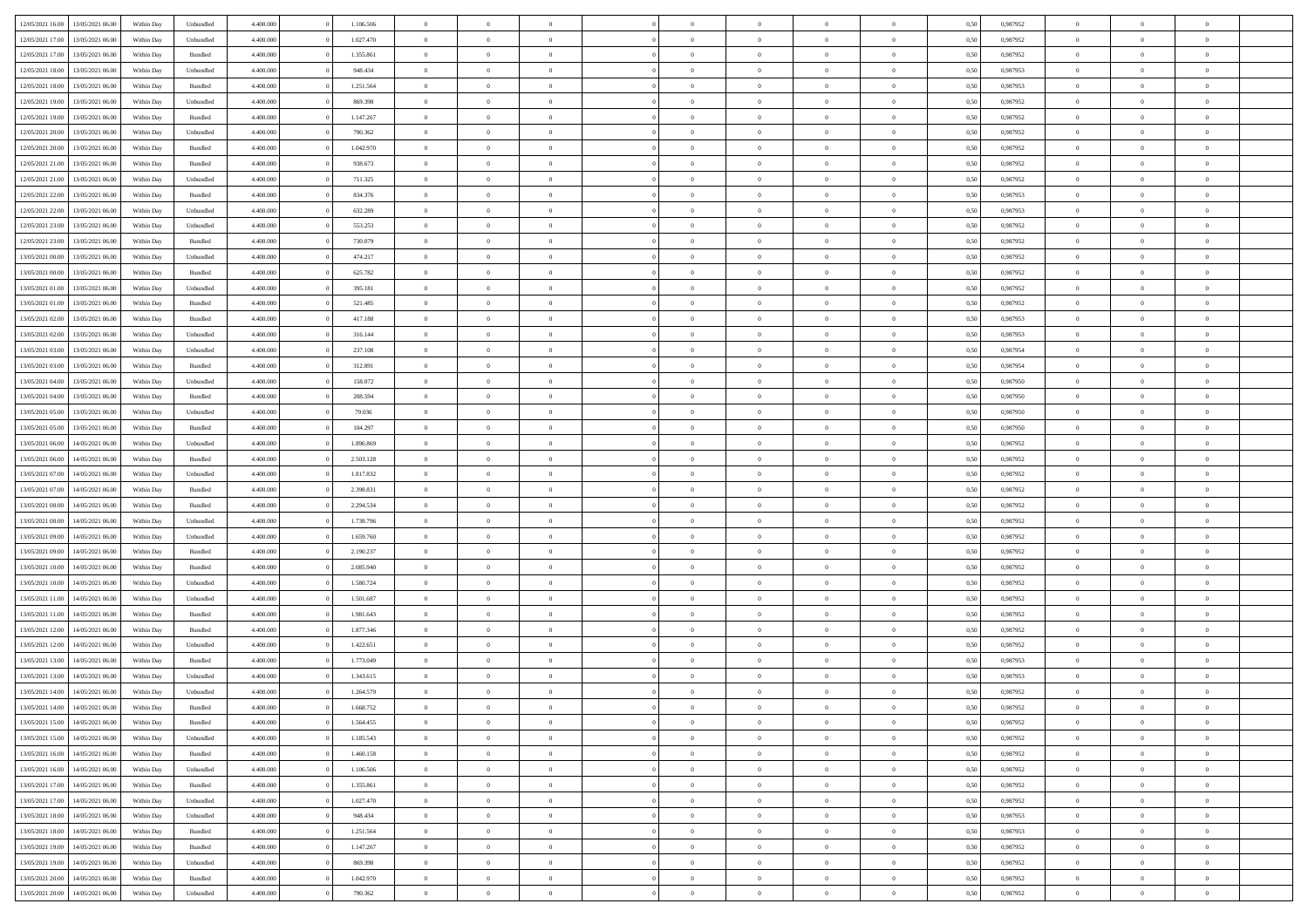| 12/05/2021 16:00 | 13/05/2021 06:00 | Within Day | Unbundled          | 4.400.000 | 1.106.506 | $\overline{0}$ | $\theta$       |                | $\Omega$       | $\Omega$       | $\theta$       | $\theta$       | 0,50 | 0,987952 | $\theta$       | $\overline{0}$ | $\theta$       |  |
|------------------|------------------|------------|--------------------|-----------|-----------|----------------|----------------|----------------|----------------|----------------|----------------|----------------|------|----------|----------------|----------------|----------------|--|
|                  |                  |            |                    |           |           |                |                |                |                |                |                |                |      |          |                |                |                |  |
| 12/05/2021 17:00 | 13/05/2021 06:00 | Within Day | Unbundled          | 4.400.000 | 1.027.470 | $\overline{0}$ | $\theta$       | $\overline{0}$ | $\overline{0}$ | $\bf{0}$       | $\overline{0}$ | $\bf{0}$       | 0,50 | 0,987952 | $\theta$       | $\overline{0}$ | $\overline{0}$ |  |
| 12/05/2021 17:00 | 13/05/2021 06:00 | Within Day | Bundled            | 4.400.000 | 1.355.861 | $\overline{0}$ | $\overline{0}$ | $\overline{0}$ | $\bf{0}$       | $\bf{0}$       | $\bf{0}$       | $\mathbf{0}$   | 0,50 | 0,987952 | $\bf{0}$       | $\overline{0}$ | $\bf{0}$       |  |
| 12/05/2021 18:00 | 13/05/2021 06:00 | Within Day | Unbundled          | 4.400.000 | 948,434   | $\overline{0}$ | $\overline{0}$ | $\overline{0}$ | $\overline{0}$ | $\bf{0}$       | $\overline{0}$ | $\overline{0}$ | 0.50 | 0,987953 | $\theta$       | $\theta$       | $\overline{0}$ |  |
| 12/05/2021 18:00 | 13/05/2021 06:00 | Within Day | Bundled            | 4.400.000 | 1.251.564 | $\overline{0}$ | $\theta$       | $\overline{0}$ | $\overline{0}$ | $\bf{0}$       | $\overline{0}$ | $\bf{0}$       | 0,50 | 0,987953 | $\theta$       | $\overline{0}$ | $\overline{0}$ |  |
| 12/05/2021 19:00 | 13/05/2021 06:00 | Within Day | Unbundled          | 4.400.000 | 869.398   | $\overline{0}$ | $\overline{0}$ | $\overline{0}$ | $\bf{0}$       | $\overline{0}$ | $\overline{0}$ | $\mathbf{0}$   | 0,50 | 0,987952 | $\bf{0}$       | $\overline{0}$ | $\bf{0}$       |  |
| 12/05/2021 19:00 | 13/05/2021 06:00 | Within Dav | Bundled            | 4.400.000 | 1.147.267 | $\overline{0}$ | $\overline{0}$ | $\overline{0}$ | $\overline{0}$ | $\overline{0}$ | $\overline{0}$ | $\overline{0}$ | 0.50 | 0,987952 | $\theta$       | $\overline{0}$ | $\overline{0}$ |  |
|                  |                  |            |                    |           |           |                |                |                |                |                |                |                |      |          |                |                |                |  |
| 12/05/2021 20:00 | 13/05/2021 06:00 | Within Day | Unbundled          | 4.400.000 | 790.362   | $\overline{0}$ | $\theta$       | $\overline{0}$ | $\overline{0}$ | $\bf{0}$       | $\overline{0}$ | $\bf{0}$       | 0,50 | 0,987952 | $\theta$       | $\theta$       | $\overline{0}$ |  |
| 12/05/2021 20:00 | 13/05/2021 06:00 | Within Day | Bundled            | 4.400.000 | 1.042.970 | $\overline{0}$ | $\overline{0}$ | $\overline{0}$ | $\bf{0}$       | $\bf{0}$       | $\bf{0}$       | $\mathbf{0}$   | 0,50 | 0,987952 | $\,0\,$        | $\overline{0}$ | $\overline{0}$ |  |
| 12/05/2021 21:00 | 13/05/2021 06:00 | Within Dav | Bundled            | 4.400.000 | 938.673   | $\overline{0}$ | $\overline{0}$ | $\overline{0}$ | $\overline{0}$ | $\overline{0}$ | $\overline{0}$ | $\overline{0}$ | 0.50 | 0,987952 | $\theta$       | $\overline{0}$ | $\overline{0}$ |  |
| 12/05/2021 21:00 | 13/05/2021 06:00 | Within Day | Unbundled          | 4.400.000 | 711.325   | $\overline{0}$ | $\theta$       | $\overline{0}$ | $\overline{0}$ | $\bf{0}$       | $\overline{0}$ | $\bf{0}$       | 0,50 | 0,987952 | $\,$ 0 $\,$    | $\overline{0}$ | $\overline{0}$ |  |
| 12/05/2021 22:00 | 13/05/2021 06:00 | Within Day | Bundled            | 4.400.000 | 834.376   | $\overline{0}$ | $\overline{0}$ | $\overline{0}$ | $\bf{0}$       | $\bf{0}$       | $\bf{0}$       | $\mathbf{0}$   | 0,50 | 0,987953 | $\bf{0}$       | $\overline{0}$ | $\bf{0}$       |  |
| 12/05/2021 22:00 | 13/05/2021 06:00 | Within Day | Unbundled          | 4.400.000 | 632.289   | $\overline{0}$ | $\overline{0}$ | $\overline{0}$ | $\overline{0}$ | $\bf{0}$       | $\overline{0}$ | $\overline{0}$ | 0.50 | 0,987953 | $\theta$       | $\theta$       | $\overline{0}$ |  |
| 12/05/2021 23:00 | 13/05/2021 06:00 | Within Day | Unbundled          | 4.400.000 | 553.253   | $\overline{0}$ | $\theta$       | $\overline{0}$ | $\overline{0}$ | $\bf{0}$       | $\overline{0}$ | $\bf{0}$       | 0,50 | 0,987952 | $\theta$       | $\overline{0}$ | $\overline{0}$ |  |
|                  |                  |            |                    |           |           |                |                |                |                |                |                |                |      |          |                |                |                |  |
| 12/05/2021 23:00 | 13/05/2021 06:00 | Within Day | Bundled            | 4.400.000 | 730.079   | $\overline{0}$ | $\overline{0}$ | $\overline{0}$ | $\bf{0}$       | $\overline{0}$ | $\overline{0}$ | $\mathbf{0}$   | 0,50 | 0,987952 | $\bf{0}$       | $\overline{0}$ | $\bf{0}$       |  |
| 13/05/2021 00:00 | 13/05/2021 06:00 | Within Dav | Unbundled          | 4.400.000 | 474.217   | $\overline{0}$ | $\overline{0}$ | $\overline{0}$ | $\overline{0}$ | $\overline{0}$ | $\overline{0}$ | $\overline{0}$ | 0.50 | 0,987952 | $\theta$       | $\overline{0}$ | $\overline{0}$ |  |
| 13/05/2021 00:00 | 13/05/2021 06:00 | Within Day | Bundled            | 4.400.000 | 625.782   | $\overline{0}$ | $\theta$       | $\overline{0}$ | $\overline{0}$ | $\bf{0}$       | $\overline{0}$ | $\bf{0}$       | 0,50 | 0,987952 | $\theta$       | $\overline{0}$ | $\overline{0}$ |  |
| 13/05/2021 01:00 | 13/05/2021 06:00 | Within Day | Unbundled          | 4.400.000 | 395.181   | $\overline{0}$ | $\overline{0}$ | $\overline{0}$ | $\bf{0}$       | $\bf{0}$       | $\bf{0}$       | $\mathbf{0}$   | 0,50 | 0,987952 | $\,0\,$        | $\overline{0}$ | $\bf{0}$       |  |
| 13/05/2021 01:00 | 13/05/2021 06:00 | Within Day | Bundled            | 4.400.000 | 521.485   | $\overline{0}$ | $\overline{0}$ | $\overline{0}$ | $\overline{0}$ | $\overline{0}$ | $\overline{0}$ | $\overline{0}$ | 0.50 | 0,987952 | $\theta$       | $\overline{0}$ | $\overline{0}$ |  |
| 13/05/2021 02:00 | 13/05/2021 06:00 | Within Day | Bundled            | 4.400.000 | 417.188   | $\overline{0}$ | $\theta$       | $\overline{0}$ | $\overline{0}$ | $\bf{0}$       | $\overline{0}$ | $\bf{0}$       | 0,50 | 0,987953 | $\,$ 0 $\,$    | $\overline{0}$ | $\overline{0}$ |  |
| 13/05/2021 02:00 | 13/05/2021 06:00 | Within Day | Unbundled          | 4.400.000 | 316.144   | $\overline{0}$ | $\overline{0}$ | $\overline{0}$ | $\bf{0}$       | $\bf{0}$       | $\bf{0}$       | $\mathbf{0}$   | 0,50 | 0,987953 | $\bf{0}$       | $\overline{0}$ | $\bf{0}$       |  |
|                  |                  |            |                    |           |           |                |                |                |                |                |                |                |      |          | $\theta$       |                |                |  |
| 13/05/2021 03:00 | 13/05/2021 06:00 | Within Day | Unbundled          | 4.400.000 | 237.108   | $\overline{0}$ | $\overline{0}$ | $\overline{0}$ | $\overline{0}$ | $\overline{0}$ | $\overline{0}$ | $\overline{0}$ | 0.50 | 0,987954 |                | $\overline{0}$ | $\overline{0}$ |  |
| 13/05/2021 03:00 | 13/05/2021 06:00 | Within Day | Bundled            | 4.400.000 | 312.891   | $\overline{0}$ | $\theta$       | $\overline{0}$ | $\overline{0}$ | $\bf{0}$       | $\overline{0}$ | $\bf{0}$       | 0,50 | 0,987954 | $\,$ 0 $\,$    | $\overline{0}$ | $\overline{0}$ |  |
| 13/05/2021 04:00 | 13/05/2021 06:00 | Within Day | Unbundled          | 4.400.000 | 158.072   | $\overline{0}$ | $\overline{0}$ | $\overline{0}$ | $\bf{0}$       | $\overline{0}$ | $\overline{0}$ | $\mathbf{0}$   | 0,50 | 0,987950 | $\bf{0}$       | $\overline{0}$ | $\bf{0}$       |  |
| 13/05/2021 04:00 | 13/05/2021 06:00 | Within Dav | Bundled            | 4.400.000 | 208.594   | $\overline{0}$ | $\overline{0}$ | $\overline{0}$ | $\overline{0}$ | $\overline{0}$ | $\overline{0}$ | $\overline{0}$ | 0.50 | 0,987950 | $\overline{0}$ | $\overline{0}$ | $\overline{0}$ |  |
| 13/05/2021 05:00 | 13/05/2021 06:00 | Within Day | Unbundled          | 4.400.000 | 79.036    | $\overline{0}$ | $\theta$       | $\overline{0}$ | $\overline{0}$ | $\bf{0}$       | $\overline{0}$ | $\bf{0}$       | 0,50 | 0,987950 | $\theta$       | $\overline{0}$ | $\overline{0}$ |  |
| 13/05/2021 05:00 | 13/05/2021 06:00 | Within Day | Bundled            | 4.400.000 | 104.297   | $\overline{0}$ | $\overline{0}$ | $\overline{0}$ | $\bf{0}$       | $\bf{0}$       | $\bf{0}$       | $\mathbf{0}$   | 0,50 | 0,987950 | $\,0\,$        | $\overline{0}$ | $\overline{0}$ |  |
| 13/05/2021 06:00 | 14/05/2021 06:00 | Within Day | Unbundled          | 4.400.000 | 1.896.869 | $\overline{0}$ | $\overline{0}$ | $\overline{0}$ | $\overline{0}$ | $\overline{0}$ | $\overline{0}$ | $\overline{0}$ | 0.50 | 0,987952 | $\theta$       | $\overline{0}$ | $\overline{0}$ |  |
|                  |                  |            |                    |           |           | $\overline{0}$ |                |                |                |                |                |                |      |          |                |                |                |  |
| 13/05/2021 06:00 | 14/05/2021 06:00 | Within Day | Bundled            | 4.400.000 | 2.503.128 |                | $\theta$       | $\overline{0}$ | $\overline{0}$ | $\bf{0}$       | $\overline{0}$ | $\bf{0}$       | 0,50 | 0,987952 | $\,$ 0 $\,$    | $\overline{0}$ | $\overline{0}$ |  |
| 13/05/2021 07:00 | 14/05/2021 06:00 | Within Day | Unbundled          | 4.400.000 | 1.817.832 | $\overline{0}$ | $\overline{0}$ | $\overline{0}$ | $\bf{0}$       | $\bf{0}$       | $\bf{0}$       | $\mathbf{0}$   | 0,50 | 0,987952 | $\overline{0}$ | $\overline{0}$ | $\bf{0}$       |  |
| 13/05/2021 07:00 | 14/05/2021 06:00 | Within Day | Bundled            | 4.400,000 | 2.398.831 | $\overline{0}$ | $\Omega$       | $\overline{0}$ | $\Omega$       | $\Omega$       | $\overline{0}$ | $\overline{0}$ | 0,50 | 0,987952 | $\,0\,$        | $\theta$       | $\theta$       |  |
| 13/05/2021 08:00 | 14/05/2021 06:00 | Within Day | Bundled            | 4.400.000 | 2.294.534 | $\overline{0}$ | $\theta$       | $\overline{0}$ | $\overline{0}$ | $\bf{0}$       | $\overline{0}$ | $\bf{0}$       | 0,50 | 0,987952 | $\,$ 0 $\,$    | $\overline{0}$ | $\overline{0}$ |  |
| 13/05/2021 08:00 | 14/05/2021 06:00 | Within Day | Unbundled          | 4.400.000 | 1.738.796 | $\overline{0}$ | $\overline{0}$ | $\overline{0}$ | $\bf{0}$       | $\overline{0}$ | $\overline{0}$ | $\mathbf{0}$   | 0,50 | 0,987952 | $\overline{0}$ | $\overline{0}$ | $\bf{0}$       |  |
| 13/05/2021 09:00 | 14/05/2021 06:00 | Within Day | Unbundled          | 4.400,000 | 1.659.760 | $\overline{0}$ | $\Omega$       | $\Omega$       | $\Omega$       | $\overline{0}$ | $\overline{0}$ | $\overline{0}$ | 0.50 | 0,987952 | $\,0\,$        | $\theta$       | $\theta$       |  |
| 13/05/2021 09:00 | 14/05/2021 06:00 | Within Day | Bundled            | 4.400.000 | 2.190.237 | $\overline{0}$ | $\theta$       | $\overline{0}$ | $\overline{0}$ | $\bf{0}$       | $\overline{0}$ | $\bf{0}$       | 0,50 | 0,987952 | $\,$ 0 $\,$    | $\overline{0}$ | $\overline{0}$ |  |
| 13/05/2021 10:00 | 14/05/2021 06:00 | Within Day | Bundled            | 4.400.000 | 2.085.940 | $\overline{0}$ | $\overline{0}$ | $\overline{0}$ | $\bf{0}$       | $\bf{0}$       | $\bf{0}$       | $\mathbf{0}$   | 0,50 | 0,987952 | $\bf{0}$       | $\overline{0}$ | $\bf{0}$       |  |
|                  |                  |            |                    |           |           |                |                |                |                |                |                |                |      |          |                |                |                |  |
| 13/05/2021 10:00 | 14/05/2021 06:00 | Within Day | Unbundled          | 4.400,000 | 1.580.724 | $\overline{0}$ | $\Omega$       | $\overline{0}$ | $\Omega$       | $\overline{0}$ | $\overline{0}$ | $\overline{0}$ | 0.50 | 0.987952 | $\,$ 0 $\,$    | $\theta$       | $\theta$       |  |
| 13/05/2021 11:00 | 14/05/2021 06:00 | Within Day | Unbundled          | 4.400.000 | 1.501.687 | $\overline{0}$ | $\overline{0}$ | $\overline{0}$ | $\overline{0}$ | $\,$ 0         | $\overline{0}$ | $\bf{0}$       | 0,50 | 0,987952 | $\,$ 0 $\,$    | $\overline{0}$ | $\overline{0}$ |  |
| 13/05/2021 11:00 | 14/05/2021 06:00 | Within Day | Bundled            | 4.400.000 | 1.981.643 | $\overline{0}$ | $\bf{0}$       | $\overline{0}$ | $\bf{0}$       | $\bf{0}$       | $\bf{0}$       | $\mathbf{0}$   | 0,50 | 0,987952 | $\bf{0}$       | $\overline{0}$ | $\bf{0}$       |  |
| 13/05/2021 12:00 | 14/05/2021 06:00 | Within Day | Bundled            | 4.400,000 | 1.877.346 | $\overline{0}$ | $\Omega$       | $\overline{0}$ | $\Omega$       | $\overline{0}$ | $\overline{0}$ | $\overline{0}$ | 0,50 | 0,987952 | $\,0\,$        | $\theta$       | $\theta$       |  |
| 13/05/2021 12:00 | 14/05/2021 06:00 | Within Day | Unbundled          | 4.400.000 | 1.422.651 | $\overline{0}$ | $\overline{0}$ | $\overline{0}$ | $\overline{0}$ | $\,$ 0         | $\overline{0}$ | $\bf{0}$       | 0,50 | 0,987952 | $\,$ 0 $\,$    | $\overline{0}$ | $\overline{0}$ |  |
| 13/05/2021 13:00 | 14/05/2021 06:00 | Within Day | Bundled            | 4.400.000 | 1.773.049 | $\overline{0}$ | $\overline{0}$ | $\overline{0}$ | $\bf{0}$       | $\bf{0}$       | $\overline{0}$ | $\mathbf{0}$   | 0,50 | 0,987953 | $\bf{0}$       | $\overline{0}$ | $\bf{0}$       |  |
| 13/05/2021 13:00 | 14/05/2021 06:00 | Within Day | Unbundled          | 4.400,000 | 1.343.615 | $\overline{0}$ | $\Omega$       | $\Omega$       | $\Omega$       | $\Omega$       | $\Omega$       | $\overline{0}$ | 0.50 | 0.987953 | $\theta$       | $\theta$       | $\theta$       |  |
| 13/05/2021 14:00 | 14/05/2021 06:00 | Within Day | Unbundled          | 4.400.000 | 1.264.579 | $\overline{0}$ | $\overline{0}$ | $\overline{0}$ | $\bf{0}$       | $\,$ 0         | $\bf{0}$       | $\bf{0}$       | 0,50 | 0,987952 | $\,0\,$        | $\,$ 0 $\,$    | $\overline{0}$ |  |
|                  |                  |            |                    |           |           |                |                |                |                |                |                |                |      |          |                |                |                |  |
| 13/05/2021 14:00 | 14/05/2021 06:00 | Within Day | $\mathbf B$ undled | 4.400.000 | 1.668.752 | $\bf{0}$       | $\bf{0}$       |                |                | $\bf{0}$       |                |                | 0,50 | 0,987952 | $\bf{0}$       | $\overline{0}$ |                |  |
| 13/05/2021 15:00 | 14/05/2021 06:00 | Within Day | Bundled            | 4.400.000 | 1.564.455 | $\overline{0}$ | $\overline{0}$ | $\overline{0}$ | $\Omega$       | $\overline{0}$ | $\overline{0}$ | $\overline{0}$ | 0.50 | 0.987952 | $\theta$       | $\theta$       | $\theta$       |  |
| 13/05/2021 15:00 | 14/05/2021 06:00 | Within Day | Unbundled          | 4.400.000 | 1.185.543 | $\overline{0}$ | $\,$ 0         | $\overline{0}$ | $\bf{0}$       | $\,$ 0 $\,$    | $\overline{0}$ | $\mathbf{0}$   | 0,50 | 0,987952 | $\,$ 0 $\,$    | $\,$ 0 $\,$    | $\,$ 0         |  |
| 13/05/2021 16:00 | 14/05/2021 06:00 | Within Day | Bundled            | 4.400.000 | 1.460.158 | $\overline{0}$ | $\overline{0}$ | $\overline{0}$ | $\overline{0}$ | $\overline{0}$ | $\overline{0}$ | $\mathbf{0}$   | 0,50 | 0,987952 | $\overline{0}$ | $\bf{0}$       | $\bf{0}$       |  |
| 13/05/2021 16:00 | 14/05/2021 06:00 | Within Day | Unbundled          | 4.400,000 | 1.106.506 | $\overline{0}$ | $\overline{0}$ | $\overline{0}$ | $\Omega$       | $\overline{0}$ | $\overline{0}$ | $\overline{0}$ | 0,50 | 0,987952 | $\overline{0}$ | $\theta$       | $\overline{0}$ |  |
| 13/05/2021 17:00 | 14/05/2021 06:00 | Within Day | Bundled            | 4.400.000 | 1.355.861 | $\overline{0}$ | $\,$ 0         | $\overline{0}$ | $\overline{0}$ | $\,$ 0 $\,$    | $\overline{0}$ | $\mathbf{0}$   | 0,50 | 0,987952 | $\,$ 0 $\,$    | $\overline{0}$ | $\overline{0}$ |  |
| 13/05/2021 17:00 | 14/05/2021 06:00 | Within Day | Unbundled          | 4.400.000 | 1.027.470 | $\overline{0}$ | $\overline{0}$ | $\overline{0}$ | $\overline{0}$ | $\overline{0}$ | $\overline{0}$ | $\mathbf{0}$   | 0,50 | 0,987952 | $\overline{0}$ | $\overline{0}$ | $\bf{0}$       |  |
|                  |                  |            |                    |           |           |                |                |                |                |                |                |                |      |          |                |                |                |  |
| 13/05/2021 18:00 | 14/05/2021 06:00 | Within Day | Unbundled          | 4.400.000 | 948.434   | $\overline{0}$ | $\overline{0}$ | $\overline{0}$ | $\overline{0}$ | $\overline{0}$ | $\overline{0}$ | $\bf{0}$       | 0.50 | 0,987953 | $\overline{0}$ | $\theta$       | $\overline{0}$ |  |
| 13/05/2021 18:00 | 14/05/2021 06:00 | Within Day | Bundled            | 4.400.000 | 1.251.564 | $\overline{0}$ | $\,$ 0         | $\overline{0}$ | $\bf{0}$       | $\bf{0}$       | $\bf{0}$       | $\bf{0}$       | 0,50 | 0,987953 | $\,$ 0 $\,$    | $\overline{0}$ | $\overline{0}$ |  |
| 13/05/2021 19:00 | 14/05/2021 06:00 | Within Day | Bundled            | 4.400.000 | 1.147.267 | $\overline{0}$ | $\bf{0}$       | $\overline{0}$ | $\overline{0}$ | $\overline{0}$ | $\overline{0}$ | $\mathbf{0}$   | 0,50 | 0,987952 | $\overline{0}$ | $\overline{0}$ | $\bf{0}$       |  |
| 13/05/2021 19:00 | 14/05/2021 06:00 | Within Day | Unbundled          | 4.400,000 | 869,398   | $\overline{0}$ | $\overline{0}$ | $\overline{0}$ | $\Omega$       | $\overline{0}$ | $\overline{0}$ | $\overline{0}$ | 0.50 | 0,987952 | $\overline{0}$ | $\overline{0}$ | $\overline{0}$ |  |
| 13/05/2021 20:00 | 14/05/2021 06:00 | Within Day | Bundled            | 4.400.000 | 1.042.970 | $\overline{0}$ | $\bf{0}$       | $\overline{0}$ | $\bf{0}$       | $\bf{0}$       | $\bf{0}$       | $\mathbf{0}$   | 0,50 | 0,987952 | $\,$ 0 $\,$    | $\,$ 0 $\,$    | $\bf{0}$       |  |
| 13/05/2021 20:00 | 14/05/2021 06:00 | Within Day | Unbundled          | 4.400.000 | 790.362   | $\overline{0}$ | $\overline{0}$ | $\overline{0}$ | $\overline{0}$ | $\overline{0}$ | $\bf{0}$       | $\mathbf{0}$   | 0,50 | 0,987952 | $\overline{0}$ | $\bf{0}$       | $\bf{0}$       |  |
|                  |                  |            |                    |           |           |                |                |                |                |                |                |                |      |          |                |                |                |  |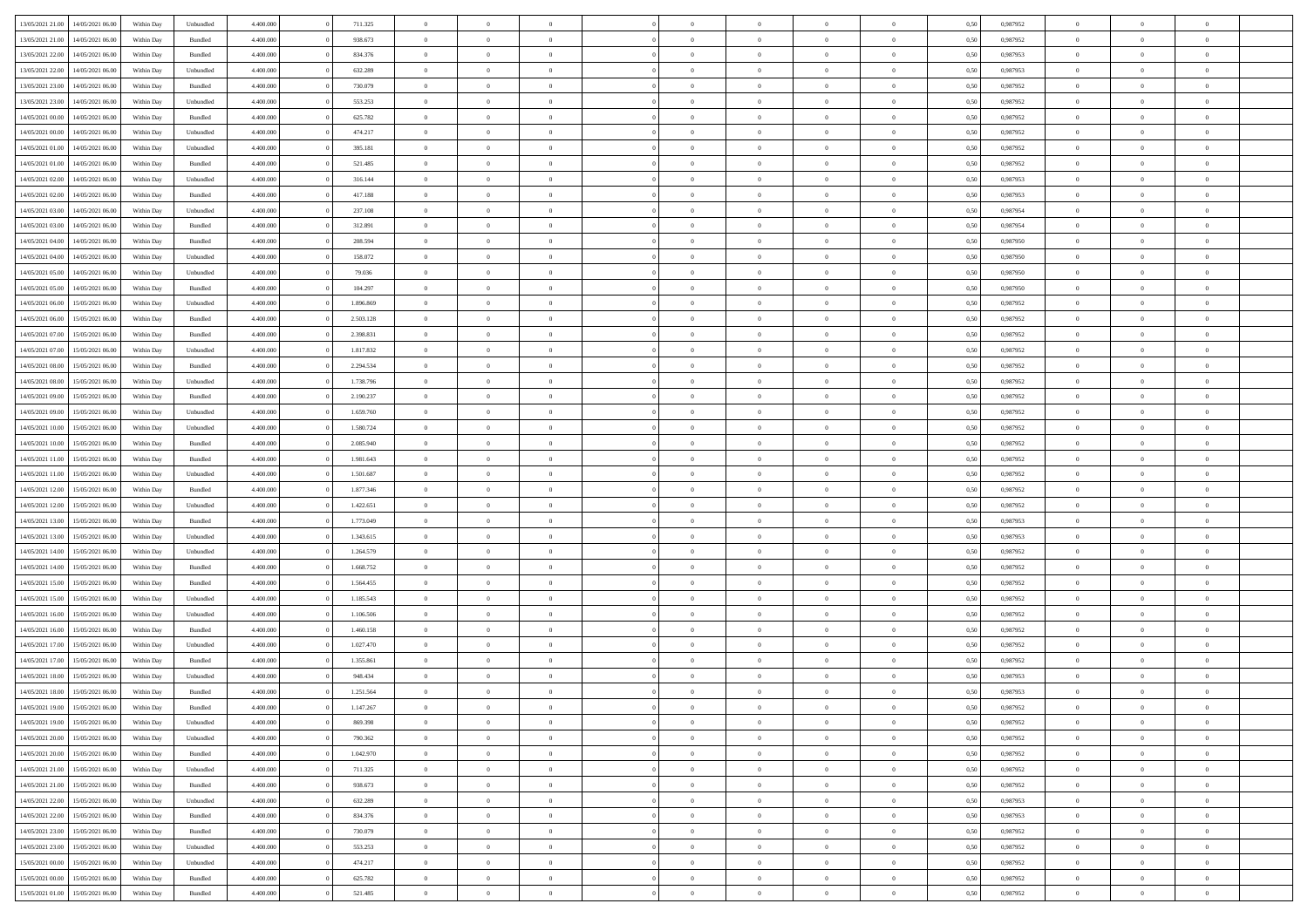| 13/05/2021 21:00 |                  |            |                    |           |           | $\overline{0}$ |                |                |                | $\Omega$       | $\theta$       | $\theta$       |      |          | $\theta$       |                | $\theta$       |  |
|------------------|------------------|------------|--------------------|-----------|-----------|----------------|----------------|----------------|----------------|----------------|----------------|----------------|------|----------|----------------|----------------|----------------|--|
|                  | 14/05/2021 06:00 | Within Day | Unbundled          | 4.400.000 | 711.325   |                | $\theta$       |                | $\Omega$       |                |                |                | 0.50 | 0,987952 |                | $\theta$       |                |  |
| 13/05/2021 21:00 | 14/05/2021 06:00 | Within Day | Bundled            | 4.400.000 | 938.673   | $\overline{0}$ | $\theta$       | $\overline{0}$ | $\overline{0}$ | $\bf{0}$       | $\overline{0}$ | $\bf{0}$       | 0,50 | 0,987952 | $\theta$       | $\overline{0}$ | $\overline{0}$ |  |
| 13/05/2021 22:00 | 14/05/2021 06:00 | Within Day | Bundled            | 4.400.000 | 834.376   | $\overline{0}$ | $\overline{0}$ | $\overline{0}$ | $\bf{0}$       | $\bf{0}$       | $\bf{0}$       | $\mathbf{0}$   | 0,50 | 0,987953 | $\overline{0}$ | $\overline{0}$ | $\overline{0}$ |  |
| 13/05/2021 22:00 | 14/05/2021 06:00 | Within Day | Unbundled          | 4.400.000 | 632.289   | $\overline{0}$ | $\overline{0}$ | $\overline{0}$ | $\overline{0}$ | $\bf{0}$       | $\overline{0}$ | $\overline{0}$ | 0.50 | 0,987953 | $\theta$       | $\theta$       | $\overline{0}$ |  |
| 13/05/2021 23:00 | 14/05/2021 06:00 |            | Bundled            | 4.400.000 | 730.079   | $\overline{0}$ | $\theta$       | $\overline{0}$ | $\overline{0}$ | $\bf{0}$       | $\overline{0}$ |                |      | 0,987952 | $\theta$       | $\overline{0}$ | $\overline{0}$ |  |
|                  |                  | Within Day |                    |           |           |                |                |                |                |                |                | $\bf{0}$       | 0,50 |          |                |                |                |  |
| 13/05/2021 23:00 | 14/05/2021 06:00 | Within Day | Unbundled          | 4.400.000 | 553.253   | $\overline{0}$ | $\bf{0}$       | $\overline{0}$ | $\bf{0}$       | $\overline{0}$ | $\overline{0}$ | $\mathbf{0}$   | 0,50 | 0,987952 | $\overline{0}$ | $\overline{0}$ | $\bf{0}$       |  |
| 14/05/2021 00:00 | 14/05/2021 06:00 | Within Dav | Bundled            | 4.400.000 | 625.782   | $\overline{0}$ | $\overline{0}$ | $\overline{0}$ | $\overline{0}$ | $\overline{0}$ | $\overline{0}$ | $\overline{0}$ | 0.50 | 0,987952 | $\theta$       | $\overline{0}$ | $\overline{0}$ |  |
| 14/05/2021 00:00 | 14/05/2021 06:00 | Within Day | Unbundled          | 4.400.000 | 474.217   | $\overline{0}$ | $\theta$       | $\overline{0}$ | $\overline{0}$ | $\bf{0}$       | $\overline{0}$ | $\bf{0}$       | 0,50 | 0,987952 | $\theta$       | $\theta$       | $\overline{0}$ |  |
| 14/05/2021 01:00 | 14/05/2021 06:00 | Within Day | Unbundled          | 4.400.000 | 395.181   | $\overline{0}$ | $\overline{0}$ | $\overline{0}$ | $\bf{0}$       | $\bf{0}$       | $\bf{0}$       | $\bf{0}$       | 0,50 | 0,987952 | $\,0\,$        | $\overline{0}$ | $\overline{0}$ |  |
| 14/05/2021 01:00 | 14/05/2021 06:00 | Within Dav | Bundled            | 4.400.000 | 521.485   | $\overline{0}$ | $\overline{0}$ | $\overline{0}$ | $\overline{0}$ | $\overline{0}$ | $\overline{0}$ | $\overline{0}$ | 0.50 | 0,987952 | $\theta$       | $\overline{0}$ | $\overline{0}$ |  |
|                  |                  |            |                    |           |           |                |                |                |                |                |                |                |      |          |                |                |                |  |
| 14/05/2021 02:00 | 14/05/2021 06:00 | Within Day | Unbundled          | 4.400.000 | 316.144   | $\overline{0}$ | $\theta$       | $\overline{0}$ | $\overline{0}$ | $\bf{0}$       | $\overline{0}$ | $\bf{0}$       | 0,50 | 0,987953 | $\,$ 0 $\,$    | $\overline{0}$ | $\overline{0}$ |  |
| 14/05/2021 02:00 | 14/05/2021 06:00 | Within Day | Bundled            | 4.400.000 | 417.188   | $\overline{0}$ | $\overline{0}$ | $\overline{0}$ | $\bf{0}$       | $\bf{0}$       | $\bf{0}$       | $\mathbf{0}$   | 0,50 | 0,987953 | $\overline{0}$ | $\overline{0}$ | $\overline{0}$ |  |
| 14/05/2021 03:00 | 14/05/2021 06:00 | Within Day | Unbundled          | 4.400.000 | 237.108   | $\overline{0}$ | $\overline{0}$ | $\overline{0}$ | $\overline{0}$ | $\bf{0}$       | $\overline{0}$ | $\overline{0}$ | 0.50 | 0,987954 | $\theta$       | $\theta$       | $\overline{0}$ |  |
| 14/05/2021 03:00 | 14/05/2021 06:00 | Within Day | Bundled            | 4.400.000 | 312.891   | $\overline{0}$ | $\theta$       | $\overline{0}$ | $\overline{0}$ | $\bf{0}$       | $\overline{0}$ | $\bf{0}$       | 0,50 | 0,987954 | $\theta$       | $\overline{0}$ | $\overline{0}$ |  |
| 14/05/2021 04:00 | 14/05/2021 06:00 | Within Day | Bundled            | 4.400.000 | 208.594   | $\overline{0}$ | $\overline{0}$ | $\overline{0}$ | $\bf{0}$       | $\overline{0}$ | $\overline{0}$ | $\mathbf{0}$   | 0,50 | 0,987950 | $\overline{0}$ | $\overline{0}$ | $\bf{0}$       |  |
|                  |                  |            |                    |           |           |                |                |                |                |                |                |                |      |          |                |                |                |  |
| 14/05/2021 04:00 | 14/05/2021 06:00 | Within Dav | Unbundled          | 4.400.000 | 158.072   | $\overline{0}$ | $\overline{0}$ | $\overline{0}$ | $\overline{0}$ | $\overline{0}$ | $\overline{0}$ | $\overline{0}$ | 0.50 | 0,987950 | $\theta$       | $\overline{0}$ | $\overline{0}$ |  |
| 14/05/2021 05:00 | 14/05/2021 06:00 | Within Day | Unbundled          | 4.400.000 | 79.036    | $\overline{0}$ | $\theta$       | $\overline{0}$ | $\overline{0}$ | $\bf{0}$       | $\overline{0}$ | $\bf{0}$       | 0,50 | 0,987950 | $\theta$       | $\theta$       | $\overline{0}$ |  |
| 14/05/2021 05:00 | 14/05/2021 06:00 | Within Day | Bundled            | 4.400.000 | 104.297   | $\overline{0}$ | $\overline{0}$ | $\overline{0}$ | $\bf{0}$       | $\bf{0}$       | $\bf{0}$       | $\bf{0}$       | 0,50 | 0,987950 | $\,0\,$        | $\overline{0}$ | $\overline{0}$ |  |
| 14/05/2021 06:00 | 15/05/2021 06:00 | Within Day | Unbundled          | 4.400.000 | 1.896.869 | $\overline{0}$ | $\overline{0}$ | $\overline{0}$ | $\overline{0}$ | $\overline{0}$ | $\overline{0}$ | $\overline{0}$ | 0.50 | 0,987952 | $\theta$       | $\overline{0}$ | $\overline{0}$ |  |
| 14/05/2021 06:00 | 15/05/2021 06:00 | Within Day | Bundled            | 4.400.000 | 2.503.128 | $\overline{0}$ | $\theta$       | $\overline{0}$ | $\overline{0}$ | $\bf{0}$       | $\overline{0}$ | $\bf{0}$       | 0,50 | 0,987952 | $\,$ 0 $\,$    | $\theta$       | $\overline{0}$ |  |
|                  |                  |            |                    |           |           |                | $\overline{0}$ |                |                | $\bf{0}$       |                |                |      |          | $\bf{0}$       | $\overline{0}$ | $\overline{0}$ |  |
| 14/05/2021 07:00 | 15/05/2021 06:00 | Within Day | Bundled            | 4.400.000 | 2.398.831 | $\overline{0}$ |                | $\overline{0}$ | $\bf{0}$       |                | $\bf{0}$       | $\bf{0}$       | 0,50 | 0,987952 |                |                |                |  |
| 14/05/2021 07:00 | 15/05/2021 06:00 | Within Day | Unbundled          | 4.400.000 | 1.817.832 | $\overline{0}$ | $\overline{0}$ | $\overline{0}$ | $\overline{0}$ | $\bf{0}$       | $\overline{0}$ | $\overline{0}$ | 0.50 | 0,987952 | $\theta$       | $\overline{0}$ | $\overline{0}$ |  |
| 14/05/2021 08:00 | 15/05/2021 06:00 | Within Day | Bundled            | 4.400.000 | 2.294.534 | $\overline{0}$ | $\theta$       | $\overline{0}$ | $\overline{0}$ | $\bf{0}$       | $\overline{0}$ | $\bf{0}$       | 0,50 | 0,987952 | $\,$ 0 $\,$    | $\overline{0}$ | $\overline{0}$ |  |
| 14/05/2021 08:00 | 15/05/2021 06:00 | Within Day | Unbundled          | 4.400.000 | 1.738.796 | $\overline{0}$ | $\bf{0}$       | $\overline{0}$ | $\bf{0}$       | $\overline{0}$ | $\overline{0}$ | $\mathbf{0}$   | 0,50 | 0,987952 | $\bf{0}$       | $\overline{0}$ | $\bf{0}$       |  |
| 14/05/2021 09:00 | 15/05/2021 06:00 | Within Dav | Bundled            | 4.400.000 | 2.190.237 | $\overline{0}$ | $\overline{0}$ | $\overline{0}$ | $\overline{0}$ | $\overline{0}$ | $\overline{0}$ | $\overline{0}$ | 0.50 | 0,987952 | $\theta$       | $\overline{0}$ | $\overline{0}$ |  |
| 14/05/2021 09:00 | 15/05/2021 06:00 | Within Day | Unbundled          | 4.400.000 | 1.659.760 | $\overline{0}$ | $\theta$       | $\overline{0}$ | $\overline{0}$ | $\bf{0}$       | $\overline{0}$ | $\bf{0}$       | 0,50 | 0,987952 | $\theta$       | $\theta$       | $\overline{0}$ |  |
| 14/05/2021 10:00 | 15/05/2021 06:00 | Within Day | Unbundled          | 4.400.000 | 1.580.724 | $\overline{0}$ | $\overline{0}$ | $\overline{0}$ | $\bf{0}$       | $\bf{0}$       | $\bf{0}$       | $\bf{0}$       | 0,50 | 0,987952 | $\,0\,$        | $\overline{0}$ | $\overline{0}$ |  |
|                  |                  |            |                    |           |           |                | $\overline{0}$ |                |                | $\overline{0}$ |                |                |      |          | $\theta$       | $\overline{0}$ | $\overline{0}$ |  |
| 14/05/2021 10:00 | 15/05/2021 06:00 | Within Day | Bundled            | 4.400.000 | 2.085.940 | $\overline{0}$ |                | $\overline{0}$ | $\overline{0}$ |                | $\overline{0}$ | $\overline{0}$ | 0.50 | 0,987952 |                |                |                |  |
| 14/05/2021 11:00 | 15/05/2021 06:00 | Within Day | Bundled            | 4.400.000 | 1.981.643 | $\overline{0}$ | $\theta$       | $\overline{0}$ | $\overline{0}$ | $\bf{0}$       | $\overline{0}$ | $\bf{0}$       | 0,50 | 0,987952 | $\,$ 0 $\,$    | $\overline{0}$ | $\overline{0}$ |  |
| 14/05/2021 11:00 | 15/05/2021 06:00 | Within Day | Unbundled          | 4.400.000 | 1.501.687 | $\overline{0}$ | $\overline{0}$ | $\overline{0}$ | $\bf{0}$       | $\bf{0}$       | $\bf{0}$       | $\bf{0}$       | 0,50 | 0,987952 | $\bf{0}$       | $\overline{0}$ | $\overline{0}$ |  |
| 14/05/2021 12:00 | 15/05/2021 06:00 | Within Day | Bundled            | 4.400,000 | 1.877.346 | $\overline{0}$ | $\Omega$       | $\Omega$       | $\Omega$       | $\Omega$       | $\overline{0}$ | $\overline{0}$ | 0,50 | 0,987952 | $\,0\,$        | $\theta$       | $\theta$       |  |
| 14/05/2021 12:00 | 15/05/2021 06:00 | Within Day | Unbundled          | 4.400.000 | 1.422.651 | $\overline{0}$ | $\theta$       | $\overline{0}$ | $\overline{0}$ | $\bf{0}$       | $\overline{0}$ | $\bf{0}$       | 0,50 | 0,987952 | $\theta$       | $\overline{0}$ | $\overline{0}$ |  |
| 14/05/2021 13:00 | 15/05/2021 06:00 | Within Day | Bundled            | 4.400.000 | 1.773.049 | $\overline{0}$ | $\overline{0}$ | $\overline{0}$ | $\bf{0}$       | $\bf{0}$       | $\overline{0}$ | $\mathbf{0}$   | 0,50 | 0,987953 | $\overline{0}$ | $\overline{0}$ | $\bf{0}$       |  |
| 14/05/2021 13:00 | 15/05/2021 06:00 |            |                    | 4.400,000 |           | $\overline{0}$ | $\Omega$       | $\Omega$       | $\Omega$       | $\bf{0}$       | $\overline{0}$ | $\overline{0}$ | 0.50 |          | $\,0\,$        | $\theta$       | $\theta$       |  |
|                  |                  | Within Day | Unbundled          |           | 1.343.615 |                |                |                |                |                |                |                |      | 0,987953 |                |                |                |  |
| 14/05/2021 14:00 | 15/05/2021 06:00 | Within Day | Unbundled          | 4.400.000 | 1.264.579 | $\overline{0}$ | $\theta$       | $\overline{0}$ | $\overline{0}$ | $\bf{0}$       | $\overline{0}$ | $\bf{0}$       | 0,50 | 0,987952 | $\,$ 0 $\,$    | $\theta$       | $\overline{0}$ |  |
| 14/05/2021 14:00 | 15/05/2021 06:00 | Within Day | Bundled            | 4.400.000 | 1.668.752 | $\overline{0}$ | $\overline{0}$ | $\overline{0}$ | $\bf{0}$       | $\bf{0}$       | $\bf{0}$       | $\bf{0}$       | 0,50 | 0,987952 | $\,0\,$        | $\overline{0}$ | $\overline{0}$ |  |
| 14/05/2021 15:00 | 15/05/2021 06:00 | Within Day | Bundled            | 4.400,000 | 1.564.455 | $\overline{0}$ | $\Omega$       | $\Omega$       | $\Omega$       | $\theta$       | $\overline{0}$ | $\overline{0}$ | 0.50 | 0.987952 | $\theta$       | $\theta$       | $\theta$       |  |
| 14/05/2021 15:00 | 15/05/2021 06:00 | Within Day | Unbundled          | 4.400.000 | 1.185.543 | $\overline{0}$ | $\theta$       | $\overline{0}$ | $\overline{0}$ | $\bf{0}$       | $\overline{0}$ | $\bf{0}$       | 0,50 | 0,987952 | $\,$ 0 $\,$    | $\overline{0}$ | $\overline{0}$ |  |
| 14/05/2021 16:00 | 15/05/2021 06:00 | Within Day | Unbundled          | 4.400.000 | 1.106.506 | $\overline{0}$ | $\overline{0}$ | $\overline{0}$ | $\bf{0}$       | $\bf{0}$       | $\bf{0}$       | $\bf{0}$       | 0,50 | 0,987952 | $\overline{0}$ | $\overline{0}$ | $\overline{0}$ |  |
| 14/05/2021 16:00 | 15/05/2021 06:00 |            |                    | 4.400,000 | 1.460.158 | $\overline{0}$ | $\Omega$       | $\overline{0}$ | $\Omega$       | $\overline{0}$ | $\overline{0}$ | $\overline{0}$ | 0.50 | 0,987952 | $\,0\,$        | $\theta$       | $\theta$       |  |
|                  |                  | Within Day | Bundled            |           |           |                |                |                |                |                |                |                |      |          |                |                |                |  |
| 14/05/2021 17:00 | 15/05/2021 06:00 | Within Day | Unbundled          | 4.400.000 | 1.027.470 | $\overline{0}$ | $\theta$       | $\overline{0}$ | $\overline{0}$ | $\,$ 0         | $\overline{0}$ | $\bf{0}$       | 0,50 | 0,987952 | $\,$ 0 $\,$    | $\overline{0}$ | $\overline{0}$ |  |
| 14/05/2021 17:00 | 15/05/2021 06:00 | Within Day | Bundled            | 4.400.000 | 1.355.861 | $\overline{0}$ | $\overline{0}$ | $\overline{0}$ | $\bf{0}$       | $\bf{0}$       | $\bf{0}$       | $\mathbf{0}$   | 0,50 | 0,987952 | $\overline{0}$ | $\overline{0}$ | $\bf{0}$       |  |
| 14/05/2021 18:00 | 15/05/2021 06:00 | Within Day | Unbundled          | 4.400,000 | 948,434   | $\overline{0}$ | $\Omega$       | $\Omega$       | $\Omega$       | $\Omega$       | $\Omega$       | $\overline{0}$ | 0.50 | 0.987953 | $\theta$       | $\theta$       | $\theta$       |  |
| 14/05/2021 18:00 | 15/05/2021 06:00 | Within Day | Bundled            | 4.400.000 | 1.251.564 | $\overline{0}$ | $\overline{0}$ | $\overline{0}$ | $\bf{0}$       | $\,$ 0         | $\bf{0}$       | $\bf{0}$       | 0,50 | 0,987953 | $\,0\,$        | $\overline{0}$ | $\overline{0}$ |  |
| 14/05/2021 19:00 | 15/05/2021 06:00 | Within Day | $\mathbf B$ undled | 4.400.000 | 1.147.267 | $\bf{0}$       | $\bf{0}$       |                |                | $\bf{0}$       |                |                | 0,50 | 0,987952 | $\bf{0}$       | $\overline{0}$ |                |  |
| 14/05/2021 19:00 | 15/05/2021 06:00 | Within Day | Unbundled          | 4.400.000 | 869,398   | $\overline{0}$ | $\overline{0}$ | $\overline{0}$ | $\Omega$       | $\overline{0}$ | $\overline{0}$ | $\overline{0}$ | 0,50 | 0.987952 | $\theta$       | $\theta$       | $\theta$       |  |
| 14/05/2021 20:00 | 15/05/2021 06:00 |            | Unbundled          | 4.400.000 | 790.362   | $\overline{0}$ | $\bf{0}$       | $\overline{0}$ |                | $\,$ 0 $\,$    | $\overline{0}$ | $\,$ 0 $\,$    |      | 0,987952 | $\,$ 0 $\,$    | $\,$ 0 $\,$    | $\,$ 0         |  |
|                  |                  | Within Day |                    |           |           |                |                |                | $\bf{0}$       |                |                |                | 0,50 |          |                |                |                |  |
| 14/05/2021 20:00 | 15/05/2021 06:00 | Within Day | Bundled            | 4.400.000 | 1.042.970 | $\overline{0}$ | $\overline{0}$ | $\overline{0}$ | $\overline{0}$ | $\overline{0}$ | $\overline{0}$ | $\mathbf{0}$   | 0,50 | 0,987952 | $\overline{0}$ | $\overline{0}$ | $\overline{0}$ |  |
| 14/05/2021 21:00 | 15/05/2021 06:00 | Within Day | Unbundled          | 4.400,000 | 711.325   | $\overline{0}$ | $\overline{0}$ | $\overline{0}$ | $\Omega$       | $\overline{0}$ | $\overline{0}$ | $\overline{0}$ | 0,50 | 0,987952 | $\overline{0}$ | $\,$ 0 $\,$    | $\overline{0}$ |  |
| 14/05/2021 21:00 | 15/05/2021 06:00 | Within Day | Bundled            | 4.400.000 | 938.673   | $\overline{0}$ | $\,$ 0         | $\overline{0}$ | $\bf{0}$       | $\,$ 0 $\,$    | $\overline{0}$ | $\,$ 0 $\,$    | 0,50 | 0,987952 | $\,$ 0 $\,$    | $\overline{0}$ | $\,$ 0         |  |
| 14/05/2021 22.00 | 15/05/2021 06:00 | Within Day | Unbundled          | 4.400.000 | 632.289   | $\overline{0}$ | $\overline{0}$ | $\overline{0}$ | $\overline{0}$ | $\overline{0}$ | $\overline{0}$ | $\mathbf{0}$   | 0,50 | 0,987953 | $\overline{0}$ | $\overline{0}$ | $\overline{0}$ |  |
| 14/05/2021 22:00 | 15/05/2021 06:00 | Within Day | Bundled            | 4.400,000 | 834,376   | $\overline{0}$ | $\overline{0}$ | $\overline{0}$ | $\overline{0}$ | $\overline{0}$ | $\overline{0}$ | $\overline{0}$ | 0.50 | 0,987953 | $\overline{0}$ | $\theta$       | $\overline{0}$ |  |
| 14/05/2021 23:00 | 15/05/2021 06:00 | Within Day | Bundled            | 4.400.000 | 730.079   | $\overline{0}$ | $\,$ 0         | $\overline{0}$ | $\bf{0}$       | $\bf{0}$       | $\bf{0}$       | $\bf{0}$       | 0,50 | 0,987952 | $\,$ 0 $\,$    | $\overline{0}$ | $\overline{0}$ |  |
|                  |                  |            |                    |           |           |                |                |                |                |                |                |                |      |          |                |                |                |  |
| 14/05/2021 23:00 | 15/05/2021 06:00 | Within Day | Unbundled          | 4.400.000 | 553.253   | $\overline{0}$ | $\overline{0}$ | $\overline{0}$ | $\overline{0}$ | $\overline{0}$ | $\overline{0}$ | $\mathbf{0}$   | 0,50 | 0,987952 | $\overline{0}$ | $\overline{0}$ | $\bf{0}$       |  |
| 15/05/2021 00:00 | 15/05/2021 06:00 | Within Day | Unbundled          | 4.400,000 | 474.217   | $\overline{0}$ | $\overline{0}$ | $\overline{0}$ | $\Omega$       | $\overline{0}$ | $\overline{0}$ | $\overline{0}$ | 0.50 | 0,987952 | $\overline{0}$ | $\overline{0}$ | $\overline{0}$ |  |
| 15/05/2021 00:00 | 15/05/2021 06:00 | Within Day | Bundled            | 4.400.000 | 625.782   | $\overline{0}$ | $\bf{0}$       | $\overline{0}$ | $\bf{0}$       | $\bf{0}$       | $\bf{0}$       | $\mathbf{0}$   | 0,50 | 0,987952 | $\,$ 0 $\,$    | $\,$ 0 $\,$    | $\bf{0}$       |  |
| 15/05/2021 01:00 | 15/05/2021 06:00 | Within Day | Bundled            | 4.400.000 | 521.485   | $\overline{0}$ | $\overline{0}$ | $\overline{0}$ | $\overline{0}$ | $\overline{0}$ | $\bf{0}$       | $\mathbf{0}$   | 0,50 | 0,987952 | $\overline{0}$ | $\bf{0}$       | $\overline{0}$ |  |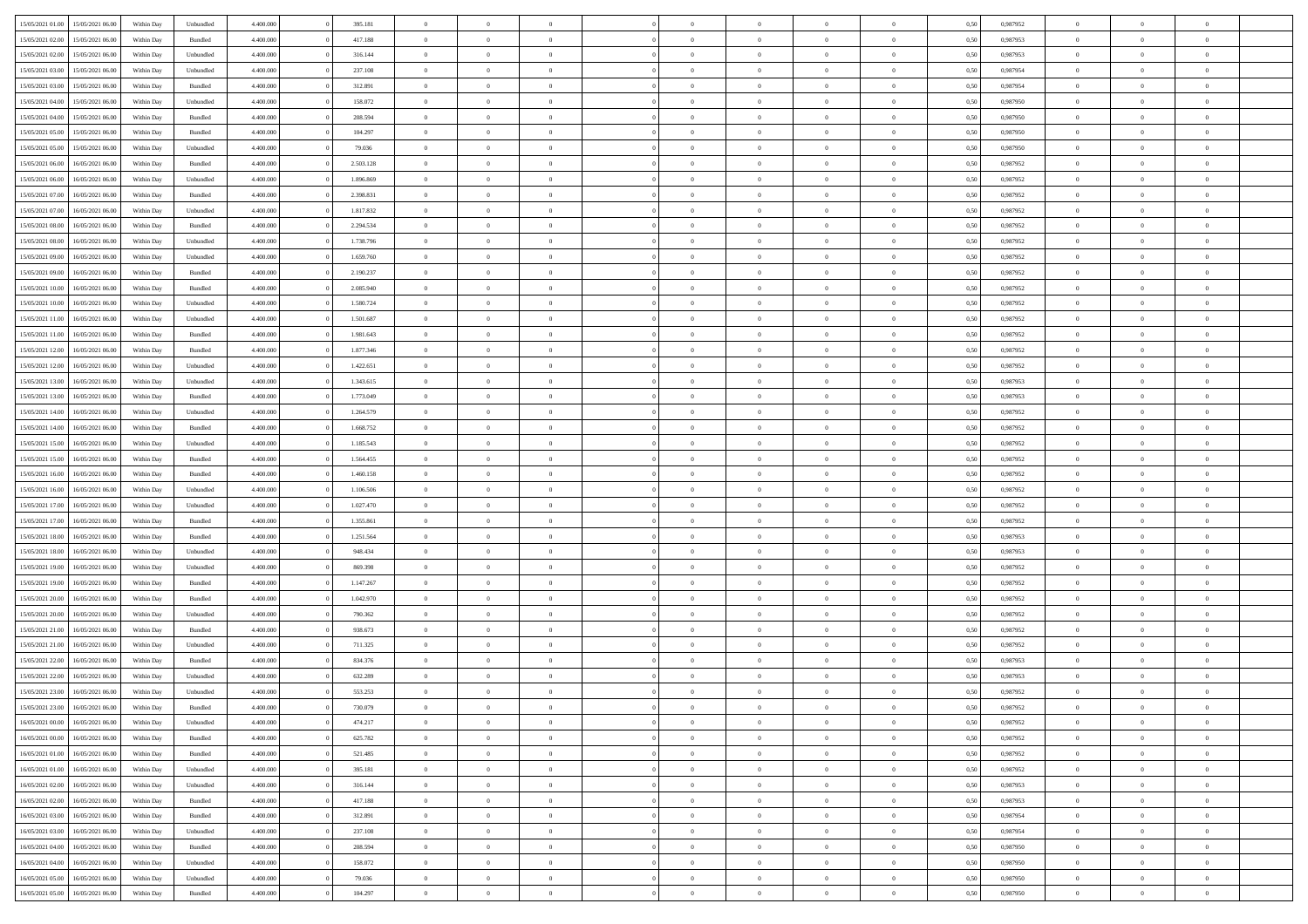| 15/05/2021 01:00 15/05/2021 06:00                        | Within Day | Unbundled            | 4.400.000              | 395.181             | $\overline{0}$                   | $\overline{0}$ | $\Omega$                         | $\Omega$                         | $\theta$       | $\Omega$                         | $\overline{0}$       | 0,50         | 0,987952             | $\theta$       | $\theta$       | $\overline{0}$ |  |
|----------------------------------------------------------|------------|----------------------|------------------------|---------------------|----------------------------------|----------------|----------------------------------|----------------------------------|----------------|----------------------------------|----------------------|--------------|----------------------|----------------|----------------|----------------|--|
| 15/05/2021 02:00<br>15/05/2021 06:00                     | Within Day | Bundled              | 4.400.000              | 417.188             | $\overline{0}$                   | $\overline{0}$ | $\overline{0}$                   | $\overline{0}$                   | $\theta$       | $\overline{0}$                   | $\bf{0}$             | 0,50         | 0,987953             | $\theta$       | $\theta$       | $\overline{0}$ |  |
| 15/05/2021 02:00<br>15/05/2021 06:00                     | Within Day | Unbundled            | 4.400.000              | 316.144             | $\overline{0}$                   | $\bf{0}$       | $\overline{0}$                   | $\overline{0}$                   | $\bf{0}$       | $\overline{0}$                   | $\bf{0}$             | 0,50         | 0,987953             | $\bf{0}$       | $\overline{0}$ | $\overline{0}$ |  |
| 15/05/2021 03:00<br>15/05/2021 06:00                     | Within Day | Unbundled            | 4.400.000              | 237.108             | $\overline{0}$                   | $\overline{0}$ | $\overline{0}$                   | $\overline{0}$                   | $\theta$       | $\overline{0}$                   | $\overline{0}$       | 0.50         | 0,987954             | $\theta$       | $\theta$       | $\overline{0}$ |  |
| 15/05/2021 03:00<br>15/05/2021 06:00                     | Within Day | Bundled              | 4.400.000              | 312.891             | $\overline{0}$                   | $\overline{0}$ | $\overline{0}$                   | $\overline{0}$                   | $\theta$       | $\overline{0}$                   | $\bf{0}$             | 0,50         | 0,987954             | $\theta$       | $\theta$       | $\overline{0}$ |  |
| 15/05/2021 04:00<br>15/05/2021 06:00                     | Within Day | Unbundled            | 4.400.000              | 158.072             | $\overline{0}$                   | $\bf{0}$       | $\overline{0}$                   | $\overline{0}$                   | $\overline{0}$ | $\overline{0}$                   | $\bf{0}$             | 0,50         | 0,987950             | $\bf{0}$       | $\overline{0}$ | $\bf{0}$       |  |
| 15/05/2021 04:00<br>15/05/2021 06:00                     | Within Day | Bundled              | 4.400.000              | 208.594             | $\overline{0}$                   | $\overline{0}$ | $\overline{0}$                   | $\overline{0}$                   | $\overline{0}$ | $\overline{0}$                   | $\overline{0}$       | 0.5(         | 0,987950             | $\theta$       | $\theta$       | $\overline{0}$ |  |
| 15/05/2021 05:00<br>15/05/2021 06:00                     | Within Day | Bundled              | 4.400.000              | 104.297             | $\bf{0}$                         | $\overline{0}$ | $\overline{0}$                   | $\overline{0}$                   | $\theta$       | $\overline{0}$                   | $\bf{0}$             | 0,50         | 0,987950             | $\theta$       | $\theta$       | $\overline{0}$ |  |
|                                                          |            |                      |                        |                     |                                  | $\bf{0}$       |                                  |                                  | $\overline{0}$ |                                  |                      |              |                      | $\bf{0}$       | $\overline{0}$ | $\overline{0}$ |  |
| 15/05/2021 05:00<br>15/05/2021 06:00<br>16/05/2021 06:00 | Within Day | Unbundled<br>Bundled | 4.400.000<br>4.400.000 | 79.036<br>2.503.128 | $\overline{0}$<br>$\overline{0}$ | $\overline{0}$ | $\overline{0}$<br>$\overline{0}$ | $\overline{0}$<br>$\overline{0}$ | $\overline{0}$ | $\overline{0}$<br>$\overline{0}$ | $\bf{0}$<br>$\bf{0}$ | 0,50<br>0.50 | 0,987950<br>0,987952 | $\theta$       | $\theta$       | $\overline{0}$ |  |
| 15/05/2021 06:00                                         | Within Day |                      |                        |                     |                                  |                |                                  |                                  |                |                                  |                      |              |                      |                |                |                |  |
| 15/05/2021 06:00<br>16/05/2021 06:00                     | Within Day | Unbundled            | 4.400.000              | 1.896.869           | $\bf{0}$                         | $\overline{0}$ | $\overline{0}$                   | $\overline{0}$                   | $\theta$       | $\overline{0}$                   | $\bf{0}$             | 0,50         | 0,987952             | $\theta$       | $\theta$       | $\overline{0}$ |  |
| 15/05/2021 07:00<br>16/05/2021 06:00                     | Within Day | Bundled              | 4.400.000              | 2.398.831           | $\overline{0}$                   | $\bf{0}$       | $\overline{0}$                   | $\overline{0}$                   | $\bf{0}$       | $\overline{0}$                   | $\bf{0}$             | 0,50         | 0,987952             | $\bf{0}$       | $\overline{0}$ | $\overline{0}$ |  |
| 15/05/2021 07:00<br>16/05/2021 06:00                     | Within Day | Unbundled            | 4.400.000              | 1.817.832           | $\overline{0}$                   | $\overline{0}$ | $\overline{0}$                   | $\overline{0}$                   | $\overline{0}$ | $\overline{0}$                   | $\overline{0}$       | 0.50         | 0.987952             | $\theta$       | $\theta$       | $\overline{0}$ |  |
| 15/05/2021 08:00<br>16/05/2021 06:00                     | Within Day | Bundled              | 4.400.000              | 2.294.534           | $\bf{0}$                         | $\theta$       | $\overline{0}$                   | $\overline{0}$                   | $\theta$       | $\overline{0}$                   | $\bf{0}$             | 0,50         | 0,987952             | $\theta$       | $\theta$       | $\overline{0}$ |  |
| 15/05/2021 08:00<br>16/05/2021 06:00                     | Within Day | Unbundled            | 4.400.000              | 1.738.796           | $\overline{0}$                   | $\bf{0}$       | $\overline{0}$                   | $\overline{0}$                   | $\overline{0}$ | $\overline{0}$                   | $\bf{0}$             | 0,50         | 0,987952             | $\bf{0}$       | $\overline{0}$ | $\bf{0}$       |  |
| 15/05/2021 09:00<br>16/05/2021 06:00                     | Within Day | Unbundled            | 4.400.000              | 1.659.760           | $\overline{0}$                   | $\overline{0}$ | $\overline{0}$                   | $\overline{0}$                   | $\overline{0}$ | $\overline{0}$                   | $\overline{0}$       | 0.5(         | 0,987952             | $\overline{0}$ | $\overline{0}$ | $\overline{0}$ |  |
| 15/05/2021 09:00<br>16/05/2021 06:00                     | Within Day | Bundled              | 4.400.000              | 2.190.237           | $\bf{0}$                         | $\overline{0}$ | $\overline{0}$                   | $\overline{0}$                   | $\theta$       | $\overline{0}$                   | $\bf{0}$             | 0,50         | 0,987952             | $\theta$       | $\theta$       | $\overline{0}$ |  |
| 15/05/2021 10:00<br>16/05/2021 06:00                     | Within Day | Bundled              | 4.400.000              | 2.085.940           | $\overline{0}$                   | $\bf{0}$       | $\overline{0}$                   | $\overline{0}$                   | $\bf{0}$       | $\overline{0}$                   | $\bf{0}$             | 0,50         | 0,987952             | $\bf{0}$       | $\overline{0}$ | $\overline{0}$ |  |
| 15/05/2021 10:00<br>16/05/2021 06:00                     | Within Day | Unbundled            | 4.400.000              | 1.580.724           | $\overline{0}$                   | $\overline{0}$ | $\overline{0}$                   | $\overline{0}$                   | $\overline{0}$ | $\overline{0}$                   | $\overline{0}$       | 0.50         | 0,987952             | $\theta$       | $\theta$       | $\overline{0}$ |  |
| 15/05/2021 11:00<br>16/05/2021 06:00                     | Within Day | Unbundled            | 4.400.000              | 1.501.687           | $\bf{0}$                         | $\overline{0}$ | $\overline{0}$                   | $\overline{0}$                   | $\theta$       | $\overline{0}$                   | $\bf{0}$             | 0,50         | 0,987952             | $\theta$       | $\theta$       | $\overline{0}$ |  |
| 15/05/2021 11:00<br>16/05/2021 06:00                     | Within Day | Bundled              | 4.400.000              | 1.981.643           | $\overline{0}$                   | $\bf{0}$       | $\overline{0}$                   | $\overline{0}$                   | $\bf{0}$       | $\overline{0}$                   | $\bf{0}$             | 0,50         | 0,987952             | $\bf{0}$       | $\overline{0}$ | $\overline{0}$ |  |
| 15/05/2021 12:00<br>16/05/2021 06:00                     | Within Day | Bundled              | 4.400.000              | 1.877.346           | $\overline{0}$                   | $\overline{0}$ | $\overline{0}$                   | $\overline{0}$                   | $\overline{0}$ | $\overline{0}$                   | $\overline{0}$       | 0.50         | 0,987952             | $\overline{0}$ | $\overline{0}$ | $\overline{0}$ |  |
| 15/05/2021 12:00<br>16/05/2021 06:00                     | Within Day | Unbundled            | 4.400.000              | 1.422.651           | $\bf{0}$                         | $\theta$       | $\overline{0}$                   | $\overline{0}$                   | $\theta$       | $\overline{0}$                   | $\bf{0}$             | 0,50         | 0,987952             | $\theta$       | $\theta$       | $\overline{0}$ |  |
| 15/05/2021 13:00<br>16/05/2021 06:00                     | Within Day | Unbundled            | 4.400.000              | 1.343.615           | $\overline{0}$                   | $\bf{0}$       | $\overline{0}$                   | $\overline{0}$                   | $\overline{0}$ | $\overline{0}$                   | $\bf{0}$             | 0,50         | 0,987953             | $\bf{0}$       | $\overline{0}$ | $\bf{0}$       |  |
| 15/05/2021 13:00<br>16/05/2021 06:00                     | Within Day | Bundled              | 4.400.000              | 1.773.049           | $\overline{0}$                   | $\overline{0}$ | $\overline{0}$                   | $\overline{0}$                   | $\overline{0}$ | $\overline{0}$                   | $\overline{0}$       | 0.5(         | 0,987953             | $\overline{0}$ | $\overline{0}$ | $\overline{0}$ |  |
| 15/05/2021 14:00<br>16/05/2021 06:00                     | Within Day | Unbundled            | 4.400.000              | 1.264.579           | $\bf{0}$                         | $\overline{0}$ | $\overline{0}$                   | $\overline{0}$                   | $\theta$       | $\overline{0}$                   | $\bf{0}$             | 0,50         | 0,987952             | $\theta$       | $\theta$       | $\overline{0}$ |  |
| 15/05/2021 14:00<br>16/05/2021 06:00                     | Within Day | Bundled              | 4.400.000              | 1.668.752           | $\overline{0}$                   | $\bf{0}$       | $\overline{0}$                   | $\overline{0}$                   | $\overline{0}$ | $\overline{0}$                   | $\bf{0}$             | 0,50         | 0,987952             | $\bf{0}$       | $\overline{0}$ | $\overline{0}$ |  |
| 15/05/2021 15:00<br>16/05/2021 06:00                     | Within Day | Unbundled            | 4.400.000              | 1.185.543           | $\overline{0}$                   | $\overline{0}$ | $\overline{0}$                   | $\overline{0}$                   | $\overline{0}$ | $\overline{0}$                   | $\overline{0}$       | 0.5(         | 0,987952             | $\overline{0}$ | $\theta$       | $\overline{0}$ |  |
| 15/05/2021 15:00<br>16/05/2021 06:00                     | Within Day | Bundled              | 4.400.000              | 1.564.455           | $\bf{0}$                         | $\overline{0}$ | $\overline{0}$                   | $\overline{0}$                   | $\theta$       | $\overline{0}$                   | $\bf{0}$             | 0,50         | 0,987952             | $\theta$       | $\theta$       | $\overline{0}$ |  |
| 15/05/2021 16:00<br>16/05/2021 06:00                     | Within Day | Bundled              | 4.400.000              | 1.460.158           | $\overline{0}$                   | $\bf{0}$       | $\overline{0}$                   | $\overline{0}$                   | $\bf{0}$       | $\overline{0}$                   | $\bf{0}$             | 0,50         | 0,987952             | $\bf{0}$       | $\overline{0}$ | $\overline{0}$ |  |
| 15/05/2021 16:00<br>16/05/2021 06:00                     | Within Day | Unbundled            | 4,400,000              | 1.106.506           | $\overline{0}$                   | $\overline{0}$ | $\Omega$                         | $\Omega$                         | $\Omega$       | $\Omega$                         | $\overline{0}$       | 0,50         | 0,987952             | $\,$ 0 $\,$    | $\overline{0}$ | $\theta$       |  |
| 15/05/2021 17:00<br>16/05/2021 06:00                     | Within Day | Unbundled            | 4.400.000              | 1.027.470           | $\bf{0}$                         | $\overline{0}$ | $\overline{0}$                   | $\overline{0}$                   | $\theta$       | $\overline{0}$                   | $\bf{0}$             | 0,50         | 0,987952             | $\theta$       | $\theta$       | $\overline{0}$ |  |
| 15/05/2021 17:00<br>16/05/2021 06:00                     | Within Day | Bundled              | 4.400.000              | 1.355.861           | $\overline{0}$                   | $\bf{0}$       | $\overline{0}$                   | $\overline{0}$                   | $\overline{0}$ | $\overline{0}$                   | $\bf{0}$             | 0,50         | 0,987952             | $\bf{0}$       | $\overline{0}$ | $\bf{0}$       |  |
| 15/05/2021 18:00<br>16/05/2021 06:00                     | Within Day | Bundled              | 4,400,000              | 1.251.564           | $\overline{0}$                   | $\overline{0}$ | $\Omega$                         | $\Omega$                         | $\overline{0}$ | $\Omega$                         | $\overline{0}$       | 0.50         | 0,987953             | $\bf{0}$       | $\theta$       | $\theta$       |  |
| 15/05/2021 18:00<br>16/05/2021 06:00                     | Within Day | Unbundled            | 4.400.000              | 948.434             | $\bf{0}$                         | $\overline{0}$ | $\overline{0}$                   | $\overline{0}$                   | $\theta$       | $\overline{0}$                   | $\bf{0}$             | 0,50         | 0,987953             | $\theta$       | $\theta$       | $\overline{0}$ |  |
| 15/05/2021 19:00<br>16/05/2021 06:00                     | Within Day | Unbundled            | 4.400.000              | 869.398             | $\overline{0}$                   | $\bf{0}$       | $\overline{0}$                   | $\overline{0}$                   | $\overline{0}$ | $\overline{0}$                   | $\bf{0}$             | 0,50         | 0,987952             | $\bf{0}$       | $\overline{0}$ | $\overline{0}$ |  |
| 15/05/2021 19:00<br>16/05/2021 06:00                     | Within Day | Bundled              | 4,400,000              | 1.147.267           | $\overline{0}$                   | $\overline{0}$ | $\Omega$                         | $\Omega$                         | $\Omega$       | $\Omega$                         | $\overline{0}$       | 0.50         | 0.987952             | $\theta$       | $\theta$       | $\theta$       |  |
| 15/05/2021 20:00<br>16/05/2021 06:00                     | Within Day | Bundled              | 4.400.000              | 1.042.970           | $\bf{0}$                         | $\bf{0}$       | $\overline{0}$                   | $\overline{0}$                   | $\theta$       | $\overline{0}$                   | $\bf{0}$             | 0,50         | 0,987952             | $\theta$       | $\theta$       | $\overline{0}$ |  |
| 15/05/2021 20:00<br>16/05/2021 06:00                     | Within Day | Unbundled            | 4.400.000              | 790.362             | $\overline{0}$                   | $\bf{0}$       | $\overline{0}$                   | $\overline{0}$                   | $\bf{0}$       | $\overline{0}$                   | $\bf{0}$             | 0,50         | 0,987952             | $\bf{0}$       | $\overline{0}$ | $\overline{0}$ |  |
| 15/05/2021 21:00<br>16/05/2021 06:00                     | Within Day | Bundled              | 4,400,000              | 938.673             | $\overline{0}$                   | $\overline{0}$ | $\Omega$                         | $\Omega$                         | $\overline{0}$ | $\Omega$                         | $\overline{0}$       | 0,50         | 0,987952             | $\bf{0}$       | $\overline{0}$ | $\theta$       |  |
| 15/05/2021 21:00<br>16/05/2021 06:00                     | Within Day | Unbundled            | 4.400.000              | 711.325             | $\bf{0}$                         | $\overline{0}$ | $\overline{0}$                   | $\overline{0}$                   | $\overline{0}$ | $\overline{0}$                   | $\bf{0}$             | 0,50         | 0,987952             | $\theta$       | $\theta$       | $\overline{0}$ |  |
| 15/05/2021 22.00<br>16/05/2021 06:00                     | Within Day | Bundled              | 4.400.000              | 834.376             | $\overline{0}$                   | $\bf{0}$       | $\overline{0}$                   | $\overline{0}$                   | $\overline{0}$ | $\overline{0}$                   | $\bf{0}$             | 0,50         | 0,987953             | $\overline{0}$ | $\overline{0}$ | $\bf{0}$       |  |
| 15/05/2021 22:00<br>16/05/2021 06:00                     | Within Day | Unbundled            | 4,400,000              | 632.289             | $\overline{0}$                   | $\overline{0}$ | $\Omega$                         | $\Omega$                         | $\Omega$       | $\theta$                         | $\overline{0}$       | 0.50         | 0.987953             | $\theta$       | $\overline{0}$ | $\theta$       |  |
| 15/05/2021 23:00<br>16/05/2021 06:00                     | Within Day | Unbundled            | 4.400.000              | 553.253             | $\bf{0}$                         | $\bf{0}$       | $\overline{0}$                   | $\overline{0}$                   | $\bf{0}$       | $\overline{0}$                   | $\bf{0}$             | 0,50         | 0,987952             | $\bf{0}$       | $\,$ 0 $\,$    | $\overline{0}$ |  |
| 15/05/2021 23:00 16/05/2021 06:00                        | Within Day | Bundled              | 4.400.000              | 730.079             | $\bf{0}$                         | $\bf{0}$       |                                  |                                  |                |                                  |                      | 0,50         | 0,987952             | $\bf{0}$       | $\bf{0}$       |                |  |
| 16/05/2021 00:00 16/05/2021 06:00                        | Within Day |                      | 4.400.000              | 474.217             | $\Omega$                         | $\overline{0}$ | $\Omega$                         | $\theta$                         | $\overline{0}$ | $\theta$                         | $\overline{0}$       | 0.50         | 0.987952             | $\theta$       | $\theta$       | $\theta$       |  |
| 16/05/2021 00:00<br>16/05/2021 06:00                     | Within Day | Unbundled<br>Bundled | 4.400.000              | 625.782             | $\overline{0}$                   | $\overline{0}$ |                                  |                                  | $\,$ 0 $\,$    | $\overline{0}$                   | $\,$ 0 $\,$          |              | 0,987952             | $\,$ 0 $\,$    | $\,$ 0 $\,$    | $\,$ 0         |  |
|                                                          |            |                      |                        |                     |                                  |                | $\overline{0}$                   | $\overline{0}$                   |                |                                  |                      | 0,50         |                      |                |                |                |  |
| 16/05/2021 01:00<br>16/05/2021 06:00                     | Within Day | Bundled              | 4.400.000              | 521.485             | $\overline{0}$                   | $\overline{0}$ | $\overline{0}$                   | $\overline{0}$                   | $\overline{0}$ | $\overline{0}$                   | $\bf{0}$             | 0,50         | 0,987952             | $\overline{0}$ | $\overline{0}$ | $\overline{0}$ |  |
| 16/05/2021 01:00<br>16/05/2021 06:00                     | Within Day | Unbundled            | 4.400.000              | 395.181             | $\overline{0}$                   | $\bf{0}$       | $\overline{0}$                   | $\overline{0}$                   | $\overline{0}$ | $\overline{0}$                   | $\bf{0}$             | 0,50         | 0,987952             | $\overline{0}$ | $\theta$       | $\overline{0}$ |  |
| 16/05/2021 02:00<br>16/05/2021 06:00                     | Within Day | Unbundled            | 4.400.000              | 316.144             | $\overline{0}$                   | $\overline{0}$ | $\overline{0}$                   | $\overline{0}$                   | $\overline{0}$ | $\overline{0}$                   | $\bf{0}$             | 0,50         | 0,987953             | $\,$ 0 $\,$    | $\,$ 0 $\,$    | $\overline{0}$ |  |
| 16/05/2021 02:00<br>16/05/2021 06:00                     | Within Day | Bundled              | 4.400.000              | 417.188             | $\overline{0}$                   | $\overline{0}$ | $\overline{0}$                   | $\overline{0}$                   | $\overline{0}$ | $\overline{0}$                   | $\mathbf{0}$         | 0,50         | 0,987953             | $\overline{0}$ | $\overline{0}$ | $\overline{0}$ |  |
| 16/05/2021 03:00<br>16/05/2021 06:00                     | Within Day | Bundled              | 4.400.000              | 312.891             | $\overline{0}$                   | $\bf{0}$       | $\overline{0}$                   | $\overline{0}$                   | $\overline{0}$ | $\overline{0}$                   | $\bf{0}$             | 0.50         | 0,987954             | $\overline{0}$ | $\theta$       | $\overline{0}$ |  |
| 16/05/2021 03:00<br>16/05/2021 06:00                     | Within Day | Unbundled            | 4.400.000              | 237.108             | $\overline{0}$                   | $\overline{0}$ | $\overline{0}$                   | $\overline{0}$                   | $\overline{0}$ | $\bf{0}$                         | $\bf{0}$             | 0,50         | 0,987954             | $\,$ 0 $\,$    | $\,$ 0 $\,$    | $\overline{0}$ |  |
| 16/05/2021 04:00<br>16/05/2021 06:00                     | Within Day | Bundled              | 4.400.000              | 208.594             | $\overline{0}$                   | $\bf{0}$       | $\overline{0}$                   | $\overline{0}$                   | $\overline{0}$ | $\overline{0}$                   | $\bf{0}$             | 0,50         | 0,987950             | $\overline{0}$ | $\overline{0}$ | $\bf{0}$       |  |
| 16/05/2021 04:00<br>16/05/2021 06:00                     | Within Day | Unbundled            | 4.400.000              | 158.072             | $\overline{0}$                   | $\overline{0}$ | $\overline{0}$                   | $\overline{0}$                   | $\overline{0}$ | $\overline{0}$                   | $\bf{0}$             | 0.50         | 0,987950             | $\overline{0}$ | $\overline{0}$ | $\overline{0}$ |  |
| 16/05/2021 05:00<br>16/05/2021 06:00                     | Within Day | Unbundled            | 4.400.000              | 79.036              | $\overline{0}$                   | $\,$ 0         | $\overline{0}$                   | $\overline{0}$                   | $\bf{0}$       | $\bf{0}$                         | $\bf{0}$             | 0,50         | 0,987950             | $\,$ 0 $\,$    | $\,$ 0 $\,$    | $\bf{0}$       |  |
| 16/05/2021 05:00 16/05/2021 06:00                        | Within Day | Bundled              | 4.400.000              | 104.297             | $\overline{0}$                   | $\bf{0}$       | $\overline{0}$                   | $\overline{0}$                   | $\overline{0}$ | $\overline{0}$                   | $\bf{0}$             | 0,50         | 0,987950             | $\bf{0}$       | $\overline{0}$ | $\bf{0}$       |  |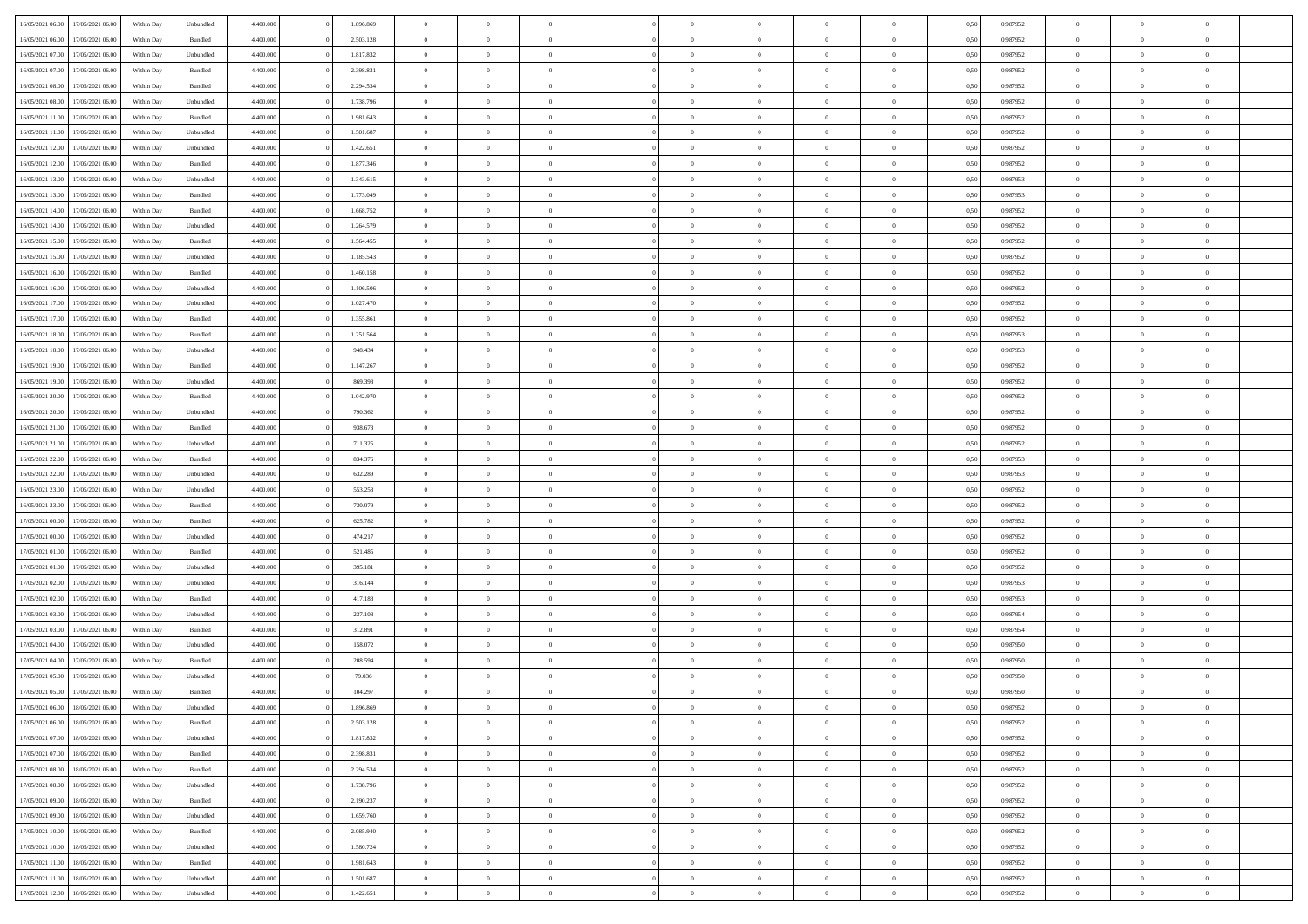| 16/05/2021 06:00 | 17/05/2021 06:00 | Within Day | Unbundled | 4.400.000 | 1.896.869 | $\overline{0}$ | $\theta$       |                | $\Omega$       | $\Omega$       | $\theta$       | $\theta$       | 0,50 | 0,987952 | $\theta$       | $\overline{0}$ | $\theta$       |  |
|------------------|------------------|------------|-----------|-----------|-----------|----------------|----------------|----------------|----------------|----------------|----------------|----------------|------|----------|----------------|----------------|----------------|--|
|                  |                  |            |           |           |           |                |                |                |                |                |                |                |      |          |                |                |                |  |
| 16/05/2021 06:00 | 17/05/2021 06:00 | Within Day | Bundled   | 4.400.000 | 2.503.128 | $\overline{0}$ | $\theta$       | $\overline{0}$ | $\overline{0}$ | $\bf{0}$       | $\overline{0}$ | $\bf{0}$       | 0,50 | 0,987952 | $\theta$       | $\overline{0}$ | $\overline{0}$ |  |
| 16/05/2021 07:00 | 17/05/2021 06:00 | Within Day | Unbundled | 4.400.000 | 1.817.832 | $\overline{0}$ | $\bf{0}$       | $\overline{0}$ | $\bf{0}$       | $\bf{0}$       | $\bf{0}$       | $\mathbf{0}$   | 0,50 | 0,987952 | $\bf{0}$       | $\overline{0}$ | $\bf{0}$       |  |
| 16/05/2021 07:00 | 17/05/2021 06:00 | Within Dav | Bundled   | 4.400.000 | 2.398.831 | $\overline{0}$ | $\overline{0}$ | $\overline{0}$ | $\overline{0}$ | $\bf{0}$       | $\overline{0}$ | $\overline{0}$ | 0.50 | 0,987952 | $\theta$       | $\theta$       | $\overline{0}$ |  |
|                  |                  |            |           |           |           |                |                |                |                |                |                |                |      |          |                |                |                |  |
| 16/05/2021 08:00 | 17/05/2021 06:00 | Within Day | Bundled   | 4.400.000 | 2.294.534 | $\overline{0}$ | $\theta$       | $\overline{0}$ | $\overline{0}$ | $\bf{0}$       | $\overline{0}$ | $\bf{0}$       | 0,50 | 0,987952 | $\theta$       | $\overline{0}$ | $\overline{0}$ |  |
| 16/05/2021 08:00 | 17/05/2021 06:00 | Within Day | Unbundled | 4.400.000 | 1.738.796 | $\overline{0}$ | $\overline{0}$ | $\overline{0}$ | $\bf{0}$       | $\overline{0}$ | $\overline{0}$ | $\mathbf{0}$   | 0,50 | 0,987952 | $\bf{0}$       | $\overline{0}$ | $\bf{0}$       |  |
| 16/05/2021 11:00 | 17/05/2021 06:00 | Within Dav | Bundled   | 4.400.000 | 1.981.643 | $\overline{0}$ | $\overline{0}$ | $\overline{0}$ | $\overline{0}$ | $\overline{0}$ | $\overline{0}$ | $\overline{0}$ | 0.50 | 0,987952 | $\theta$       | $\overline{0}$ | $\overline{0}$ |  |
| 16/05/2021 11:00 | 17/05/2021 06:00 | Within Day | Unbundled | 4.400.000 | 1.501.687 | $\overline{0}$ | $\theta$       | $\overline{0}$ | $\overline{0}$ | $\bf{0}$       | $\overline{0}$ | $\bf{0}$       | 0,50 | 0,987952 | $\theta$       | $\theta$       | $\overline{0}$ |  |
| 16/05/2021 12:00 | 17/05/2021 06:00 | Within Day | Unbundled | 4.400.000 | 1.422.651 | $\overline{0}$ | $\overline{0}$ | $\overline{0}$ | $\bf{0}$       | $\bf{0}$       | $\bf{0}$       | $\bf{0}$       | 0,50 | 0,987952 | $\,0\,$        | $\overline{0}$ | $\overline{0}$ |  |
|                  |                  |            |           |           |           |                | $\overline{0}$ |                |                | $\overline{0}$ |                |                |      |          | $\theta$       | $\overline{0}$ | $\overline{0}$ |  |
| 16/05/2021 12:00 | 17/05/2021 06:00 | Within Dav | Bundled   | 4.400.000 | 1.877.346 | $\overline{0}$ |                | $\overline{0}$ | $\overline{0}$ |                | $\overline{0}$ | $\overline{0}$ | 0.50 | 0,987952 |                |                |                |  |
| 16/05/2021 13:00 | 17/05/2021 06:00 | Within Day | Unbundled | 4.400.000 | 1.343.615 | $\overline{0}$ | $\theta$       | $\overline{0}$ | $\overline{0}$ | $\bf{0}$       | $\overline{0}$ | $\bf{0}$       | 0,50 | 0,987953 | $\,$ 0 $\,$    | $\overline{0}$ | $\overline{0}$ |  |
| 16/05/2021 13:00 | 17/05/2021 06:00 | Within Day | Bundled   | 4.400.000 | 1.773.049 | $\overline{0}$ | $\bf{0}$       | $\overline{0}$ | $\bf{0}$       | $\bf{0}$       | $\bf{0}$       | $\mathbf{0}$   | 0,50 | 0,987953 | $\bf{0}$       | $\overline{0}$ | $\bf{0}$       |  |
| 16/05/2021 14:00 | 17/05/2021 06:00 | Within Dav | Bundled   | 4.400.000 | 1.668.752 | $\overline{0}$ | $\overline{0}$ | $\overline{0}$ | $\overline{0}$ | $\bf{0}$       | $\overline{0}$ | $\overline{0}$ | 0.50 | 0,987952 | $\theta$       | $\theta$       | $\overline{0}$ |  |
| 16/05/2021 14:00 | 17/05/2021 06:00 | Within Day | Unbundled | 4.400.000 | 1.264.579 | $\overline{0}$ | $\theta$       | $\overline{0}$ | $\overline{0}$ | $\bf{0}$       | $\overline{0}$ | $\bf{0}$       | 0,50 | 0,987952 | $\theta$       | $\overline{0}$ | $\overline{0}$ |  |
|                  |                  |            |           |           |           |                |                |                |                |                |                |                |      |          |                |                |                |  |
| 16/05/2021 15:00 | 17/05/2021 06:00 | Within Day | Bundled   | 4.400.000 | 1.564.455 | $\overline{0}$ | $\overline{0}$ | $\overline{0}$ | $\bf{0}$       | $\overline{0}$ | $\overline{0}$ | $\mathbf{0}$   | 0,50 | 0,987952 | $\bf{0}$       | $\overline{0}$ | $\bf{0}$       |  |
| 16/05/2021 15:00 | 17/05/2021 06:00 | Within Dav | Unbundled | 4.400.000 | 1.185.543 | $\overline{0}$ | $\overline{0}$ | $\overline{0}$ | $\overline{0}$ | $\overline{0}$ | $\overline{0}$ | $\overline{0}$ | 0.50 | 0,987952 | $\theta$       | $\overline{0}$ | $\overline{0}$ |  |
| 16/05/2021 16:00 | 17/05/2021 06:00 | Within Day | Bundled   | 4.400.000 | 1.460.158 | $\overline{0}$ | $\theta$       | $\overline{0}$ | $\overline{0}$ | $\bf{0}$       | $\overline{0}$ | $\bf{0}$       | 0,50 | 0,987952 | $\theta$       | $\theta$       | $\overline{0}$ |  |
| 16/05/2021 16:00 | 17/05/2021 06:00 | Within Day | Unbundled | 4.400.000 | 1.106.506 | $\overline{0}$ | $\overline{0}$ | $\overline{0}$ | $\overline{0}$ | $\bf{0}$       | $\overline{0}$ | $\mathbf{0}$   | 0,50 | 0,987952 | $\,0\,$        | $\overline{0}$ | $\bf{0}$       |  |
| 16/05/2021 17:00 | 17/05/2021 06:00 | Within Dav | Unbundled | 4.400.000 | 1.027.470 | $\overline{0}$ | $\overline{0}$ | $\overline{0}$ | $\overline{0}$ | $\overline{0}$ | $\overline{0}$ | $\overline{0}$ | 0.50 | 0,987952 | $\theta$       | $\overline{0}$ | $\overline{0}$ |  |
| 16/05/2021 17:00 | 17/05/2021 06:00 | Within Day | Bundled   | 4.400.000 | 1.355.861 | $\overline{0}$ | $\theta$       | $\overline{0}$ | $\overline{0}$ | $\bf{0}$       | $\overline{0}$ | $\bf{0}$       | 0,50 | 0,987952 | $\,$ 0 $\,$    | $\overline{0}$ | $\overline{0}$ |  |
|                  |                  |            |           |           |           |                |                |                |                |                |                |                |      |          |                |                |                |  |
| 16/05/2021 18:00 | 17/05/2021 06:00 | Within Day | Bundled   | 4.400.000 | 1.251.564 | $\overline{0}$ | $\overline{0}$ | $\overline{0}$ | $\overline{0}$ | $\bf{0}$       | $\overline{0}$ | $\mathbf{0}$   | 0,50 | 0,987953 | $\bf{0}$       | $\overline{0}$ | $\bf{0}$       |  |
| 16/05/2021 18:00 | 17/05/2021 06:00 | Within Day | Unbundled | 4.400.000 | 948,434   | $\overline{0}$ | $\overline{0}$ | $\overline{0}$ | $\overline{0}$ | $\overline{0}$ | $\overline{0}$ | $\overline{0}$ | 0.50 | 0,987953 | $\theta$       | $\overline{0}$ | $\overline{0}$ |  |
| 16/05/2021 19:00 | 17/05/2021 06:00 | Within Day | Bundled   | 4.400.000 | 1.147.267 | $\overline{0}$ | $\theta$       | $\overline{0}$ | $\overline{0}$ | $\bf{0}$       | $\overline{0}$ | $\bf{0}$       | 0,50 | 0,987952 | $\,$ 0 $\,$    | $\overline{0}$ | $\overline{0}$ |  |
| 16/05/2021 19:00 | 17/05/2021 06:00 | Within Day | Unbundled | 4.400.000 | 869.398   | $\overline{0}$ | $\overline{0}$ | $\overline{0}$ | $\overline{0}$ | $\overline{0}$ | $\overline{0}$ | $\mathbf{0}$   | 0,50 | 0,987952 | $\overline{0}$ | $\overline{0}$ | $\bf{0}$       |  |
| 16/05/2021 20:00 | 17/05/2021 06:00 | Within Dav | Bundled   | 4.400.000 | 1.042.970 | $\overline{0}$ | $\overline{0}$ | $\overline{0}$ | $\overline{0}$ | $\overline{0}$ | $\overline{0}$ | $\overline{0}$ | 0.50 | 0,987952 | $\theta$       | $\overline{0}$ | $\overline{0}$ |  |
| 16/05/2021 20:00 | 17/05/2021 06:00 | Within Day | Unbundled | 4.400.000 | 790.362   | $\overline{0}$ | $\theta$       | $\overline{0}$ | $\overline{0}$ | $\bf{0}$       | $\overline{0}$ | $\bf{0}$       | 0,50 | 0,987952 | $\theta$       | $\theta$       | $\overline{0}$ |  |
| 16/05/2021 21.00 | 17/05/2021 06:00 | Within Day | Bundled   | 4.400.000 | 938.673   | $\overline{0}$ | $\overline{0}$ | $\overline{0}$ | $\overline{0}$ | $\bf{0}$       | $\overline{0}$ | $\bf{0}$       | 0,50 | 0,987952 | $\,0\,$        | $\overline{0}$ | $\bf{0}$       |  |
|                  |                  |            |           |           |           |                |                |                |                |                |                |                |      |          |                |                |                |  |
| 16/05/2021 21:00 | 17/05/2021 06:00 | Within Day | Unbundled | 4.400.000 | 711.325   | $\overline{0}$ | $\overline{0}$ | $\overline{0}$ | $\overline{0}$ | $\overline{0}$ | $\overline{0}$ | $\overline{0}$ | 0.50 | 0,987952 | $\theta$       | $\overline{0}$ | $\overline{0}$ |  |
| 16/05/2021 22:00 | 17/05/2021 06:00 | Within Day | Bundled   | 4.400.000 | 834.376   | $\overline{0}$ | $\overline{0}$ | $\overline{0}$ | $\overline{0}$ | $\bf{0}$       | $\overline{0}$ | $\bf{0}$       | 0,50 | 0,987953 | $\,$ 0 $\,$    | $\overline{0}$ | $\overline{0}$ |  |
| 16/05/2021 22:00 | 17/05/2021 06:00 | Within Day | Unbundled | 4.400.000 | 632.289   | $\overline{0}$ | $\overline{0}$ | $\overline{0}$ | $\overline{0}$ | $\bf{0}$       | $\overline{0}$ | $\bf{0}$       | 0,50 | 0,987953 | $\overline{0}$ | $\overline{0}$ | $\bf{0}$       |  |
| 16/05/2021 23:00 | 17/05/2021 06:00 | Within Day | Unbundled | 4.400,000 | 553.253   | $\overline{0}$ | $\Omega$       | $\Omega$       | $\Omega$       | $\Omega$       | $\overline{0}$ | $\overline{0}$ | 0,50 | 0,987952 | $\,0\,$        | $\theta$       | $\theta$       |  |
| 16/05/2021 23:00 | 17/05/2021 06:00 | Within Day | Bundled   | 4.400.000 | 730.079   | $\overline{0}$ | $\theta$       | $\overline{0}$ | $\overline{0}$ | $\bf{0}$       | $\overline{0}$ | $\bf{0}$       | 0,50 | 0,987952 | $\theta$       | $\overline{0}$ | $\overline{0}$ |  |
| 17/05/2021 00:00 | 17/05/2021 06:00 | Within Day | Bundled   | 4.400.000 | 625.782   | $\overline{0}$ | $\overline{0}$ | $\overline{0}$ | $\overline{0}$ | $\overline{0}$ | $\overline{0}$ | $\mathbf{0}$   | 0,50 | 0,987952 | $\overline{0}$ | $\overline{0}$ | $\bf{0}$       |  |
|                  |                  |            |           |           |           |                | $\Omega$       |                |                |                |                |                |      |          |                |                | $\theta$       |  |
| 17/05/2021 00:00 | 17/05/2021 06:00 | Within Day | Unbundled | 4.400,000 | 474.217   | $\overline{0}$ |                | $\Omega$       | $\Omega$       | $\overline{0}$ | $\overline{0}$ | $\overline{0}$ | 0.50 | 0,987952 | $\,0\,$        | $\theta$       |                |  |
| 17/05/2021 01:00 | 17/05/2021 06:00 | Within Day | Bundled   | 4.400.000 | 521.485   | $\overline{0}$ | $\theta$       | $\overline{0}$ | $\overline{0}$ | $\bf{0}$       | $\overline{0}$ | $\bf{0}$       | 0,50 | 0,987952 | $\,$ 0 $\,$    | $\overline{0}$ | $\overline{0}$ |  |
| 17/05/2021 01:00 | 17/05/2021 06:00 | Within Day | Unbundled | 4.400.000 | 395.181   | $\overline{0}$ | $\overline{0}$ | $\overline{0}$ | $\overline{0}$ | $\bf{0}$       | $\overline{0}$ | $\bf{0}$       | 0,50 | 0,987952 | $\bf{0}$       | $\overline{0}$ | $\bf{0}$       |  |
| 17/05/2021 02:00 | 17/05/2021 06:00 | Within Day | Unbundled | 4.400,000 | 316.144   | $\overline{0}$ | $\Omega$       | $\Omega$       | $\Omega$       | $\overline{0}$ | $\overline{0}$ | $\overline{0}$ | 0.50 | 0.987953 | $\,$ 0 $\,$    | $\theta$       | $\theta$       |  |
| 17/05/2021 02:00 | 17/05/2021 06:00 | Within Day | Bundled   | 4.400.000 | 417.188   | $\overline{0}$ | $\overline{0}$ | $\overline{0}$ | $\overline{0}$ | $\bf{0}$       | $\overline{0}$ | $\bf{0}$       | 0,50 | 0,987953 | $\,$ 0 $\,$    | $\overline{0}$ | $\overline{0}$ |  |
| 17/05/2021 03:00 | 17/05/2021 06:00 | Within Day | Unbundled | 4.400.000 | 237.108   | $\overline{0}$ | $\overline{0}$ | $\overline{0}$ | $\bf{0}$       | $\bf{0}$       | $\bf{0}$       | $\mathbf{0}$   | 0,50 | 0,987954 | $\overline{0}$ | $\overline{0}$ | $\bf{0}$       |  |
|                  |                  |            |           |           |           |                |                |                |                |                |                |                |      |          |                |                |                |  |
| 17/05/2021 03:00 | 17/05/2021 06:00 | Within Day | Bundled   | 4.400,000 | 312.891   | $\overline{0}$ | $\Omega$       | $\overline{0}$ | $\Omega$       | $\overline{0}$ | $\overline{0}$ | $\overline{0}$ | 0.50 | 0,987954 | $\,0\,$        | $\theta$       | $\theta$       |  |
| 17/05/2021 04:00 | 17/05/2021 06:00 | Within Day | Unbundled | 4.400.000 | 158.072   | $\overline{0}$ | $\overline{0}$ | $\overline{0}$ | $\overline{0}$ | $\,$ 0         | $\overline{0}$ | $\bf{0}$       | 0,50 | 0,987950 | $\,$ 0 $\,$    | $\overline{0}$ | $\overline{0}$ |  |
| 17/05/2021 04:00 | 17/05/2021 06:00 | Within Day | Bundled   | 4.400.000 | 208.594   | $\overline{0}$ | $\overline{0}$ | $\overline{0}$ | $\bf{0}$       | $\bf{0}$       | $\overline{0}$ | $\mathbf{0}$   | 0,50 | 0,987950 | $\overline{0}$ | $\overline{0}$ | $\bf{0}$       |  |
| 17/05/2021 05:00 | 17/05/2021 06:00 | Within Day | Unbundled | 4.400,000 | 79.036    | $\overline{0}$ | $\Omega$       | $\Omega$       | $\Omega$       | $\Omega$       | $\Omega$       | $\overline{0}$ | 0.50 | 0.987950 | $\theta$       | $\theta$       | $\theta$       |  |
| 17/05/2021 05:00 | 17/05/2021 06:00 | Within Day | Bundled   | 4.400.000 | 104.297   | $\overline{0}$ | $\overline{0}$ | $\bf{0}$       | $\bf{0}$       | $\,$ 0         | $\bf{0}$       | $\bf{0}$       | 0,50 | 0,987950 | $\,0\,$        | $\,$ 0 $\,$    | $\overline{0}$ |  |
| 17/05/2021 06:00 | 18/05/2021 06:00 | Within Day | Unbundled | 4.400.000 | 1.896.869 | $\bf{0}$       | $\bf{0}$       |                |                | $\bf{0}$       |                |                | 0,50 | 0,987952 | $\bf{0}$       | $\overline{0}$ |                |  |
| 17/05/2021 06:00 | 18/05/2021 06:00 | Within Day | Bundled   | 4.400.000 | 2.503.128 | $\overline{0}$ | $\overline{0}$ | $\overline{0}$ | $\Omega$       | $\overline{0}$ | $\overline{0}$ | $\overline{0}$ | 0.50 | 0.987952 | $\theta$       | $\theta$       | $\Omega$       |  |
|                  |                  |            |           |           |           |                |                |                |                |                |                |                |      |          |                |                |                |  |
| 17/05/2021 07:00 | 18/05/2021 06:00 | Within Day | Unbundled | 4.400.000 | 1.817.832 | $\overline{0}$ | $\,$ 0         | $\overline{0}$ | $\bf{0}$       | $\,$ 0 $\,$    | $\overline{0}$ | $\mathbf{0}$   | 0,50 | 0,987952 | $\,$ 0 $\,$    | $\,$ 0 $\,$    | $\,$ 0         |  |
| 17/05/2021 07:00 | 18/05/2021 06:00 | Within Day | Bundled   | 4.400.000 | 2.398.831 | $\overline{0}$ | $\overline{0}$ | $\overline{0}$ | $\overline{0}$ | $\overline{0}$ | $\overline{0}$ | $\mathbf{0}$   | 0,50 | 0,987952 | $\overline{0}$ | $\bf{0}$       | $\bf{0}$       |  |
| 17/05/2021 08:00 | 18/05/2021 06:00 | Within Day | Bundled   | 4.400,000 | 2.294.534 | $\overline{0}$ | $\overline{0}$ | $\overline{0}$ | $\Omega$       | $\overline{0}$ | $\overline{0}$ | $\overline{0}$ | 0,50 | 0,987952 | $\overline{0}$ | $\theta$       | $\overline{0}$ |  |
| 17/05/2021 08:00 | 18/05/2021 06:00 | Within Day | Unbundled | 4.400.000 | 1.738.796 | $\overline{0}$ | $\,$ 0         | $\overline{0}$ | $\overline{0}$ | $\,$ 0 $\,$    | $\overline{0}$ | $\mathbf{0}$   | 0,50 | 0,987952 | $\,$ 0 $\,$    | $\overline{0}$ | $\overline{0}$ |  |
| 17/05/2021 09:00 | 18/05/2021 06:00 | Within Day | Bundled   | 4.400.000 | 2.190.237 | $\overline{0}$ | $\overline{0}$ | $\overline{0}$ | $\overline{0}$ | $\overline{0}$ | $\overline{0}$ | $\mathbf{0}$   | 0,50 | 0,987952 | $\overline{0}$ | $\overline{0}$ | $\bf{0}$       |  |
| 17/05/2021 09:00 | 18/05/2021 06:00 | Within Day | Unbundled | 4.400.000 | 1.659.760 | $\overline{0}$ | $\overline{0}$ | $\overline{0}$ | $\Omega$       | $\overline{0}$ | $\overline{0}$ | $\bf{0}$       | 0.50 | 0,987952 | $\overline{0}$ | $\theta$       | $\overline{0}$ |  |
| 17/05/2021 10:00 | 18/05/2021 06:00 | Within Day | Bundled   | 4.400.000 | 2.085.940 | $\overline{0}$ | $\,$ 0         | $\overline{0}$ | $\bf{0}$       | $\bf{0}$       | $\bf{0}$       | $\bf{0}$       | 0,50 | 0,987952 | $\,$ 0 $\,$    | $\overline{0}$ | $\overline{0}$ |  |
|                  |                  |            |           |           |           |                |                |                |                |                |                |                |      |          |                |                |                |  |
| 17/05/2021 10:00 | 18/05/2021 06:00 | Within Day | Unbundled | 4.400.000 | 1.580.724 | $\overline{0}$ | $\bf{0}$       | $\overline{0}$ | $\overline{0}$ | $\overline{0}$ | $\overline{0}$ | $\mathbf{0}$   | 0,50 | 0,987952 | $\overline{0}$ | $\overline{0}$ | $\bf{0}$       |  |
| 17/05/2021 11:00 | 18/05/2021 06:00 | Within Day | Bundled   | 4.400,000 | 1.981.643 | $\overline{0}$ | $\overline{0}$ | $\overline{0}$ | $\Omega$       | $\overline{0}$ | $\overline{0}$ | $\bf{0}$       | 0.50 | 0,987952 | $\overline{0}$ | $\overline{0}$ | $\overline{0}$ |  |
| 17/05/2021 11:00 | 18/05/2021 06:00 | Within Day | Unbundled | 4.400.000 | 1.501.687 | $\overline{0}$ | $\bf{0}$       | $\overline{0}$ | $\overline{0}$ | $\bf{0}$       | $\bf{0}$       | $\mathbf{0}$   | 0,50 | 0,987952 | $\,$ 0 $\,$    | $\,$ 0 $\,$    | $\bf{0}$       |  |
| 17/05/2021 12:00 | 18/05/2021 06:00 | Within Day | Unbundled | 4.400.000 | 1.422.651 | $\overline{0}$ | $\overline{0}$ | $\overline{0}$ | $\overline{0}$ | $\bf{0}$       | $\bf{0}$       | $\mathbf{0}$   | 0,50 | 0,987952 | $\overline{0}$ | $\bf{0}$       | $\bf{0}$       |  |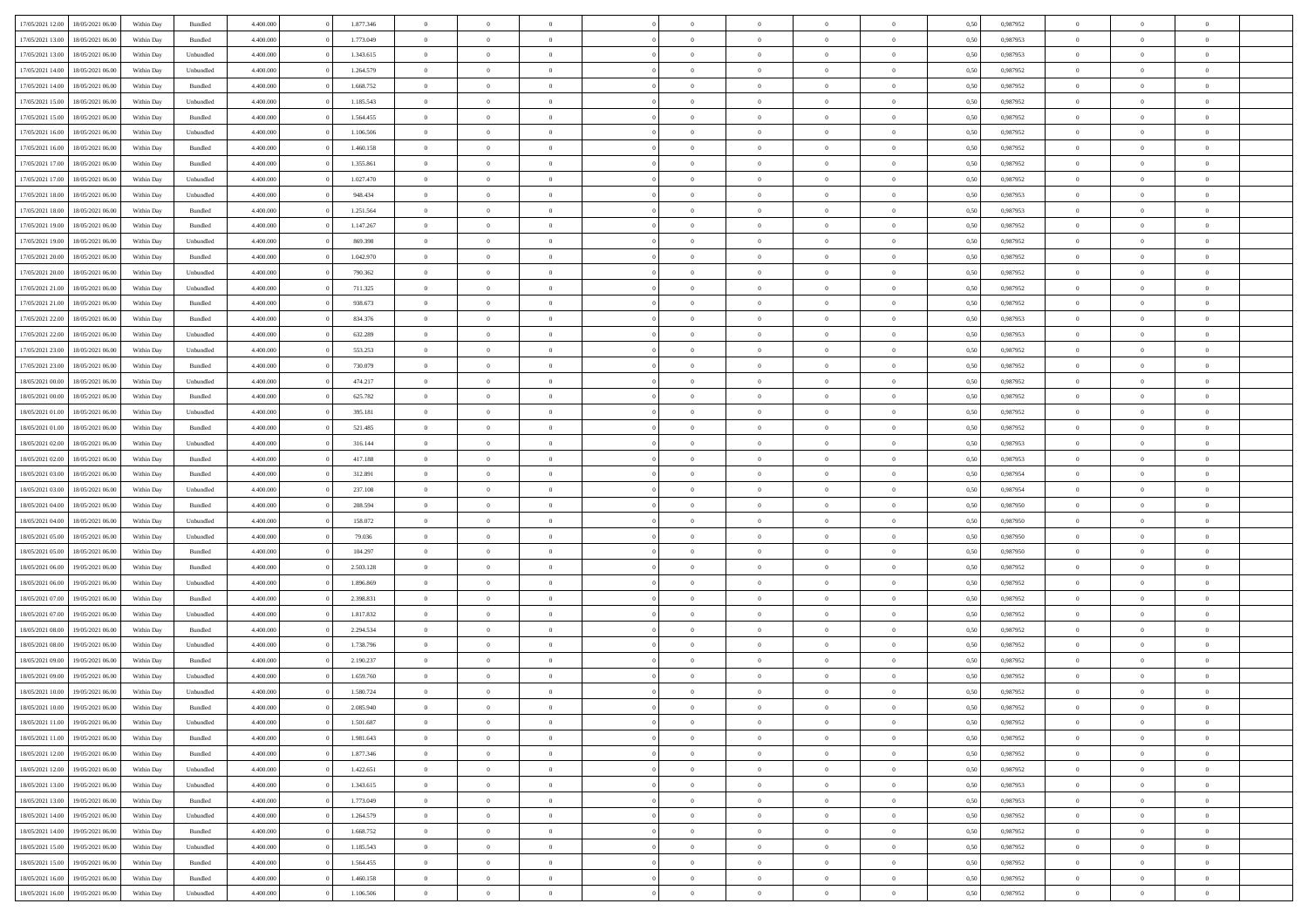| 17/05/2021 12:00                  | 18/05/2021 06:00 | Within Day | Bundled            | 4.400.000 | 1.877.346 | $\overline{0}$ | $\theta$       |                | $\overline{0}$ | $\bf{0}$       | $\overline{0}$ | $\theta$       | 0,50 | 0,987952 | $\theta$       | $\theta$       | $\overline{0}$           |  |
|-----------------------------------|------------------|------------|--------------------|-----------|-----------|----------------|----------------|----------------|----------------|----------------|----------------|----------------|------|----------|----------------|----------------|--------------------------|--|
| 17/05/2021 13:00                  | 18/05/2021 06:00 | Within Day | Bundled            | 4.400.000 | 1.773.049 | $\overline{0}$ | $\overline{0}$ | $\overline{0}$ | $\overline{0}$ | $\,$ 0         | $\bf{0}$       | $\bf{0}$       | 0,50 | 0,987953 | $\,$ 0 $\,$    | $\overline{0}$ | $\overline{0}$           |  |
|                                   |                  |            |                    |           |           |                |                |                |                |                |                |                |      |          |                |                |                          |  |
| 17/05/2021 13:00                  | 18/05/2021 06:00 | Within Day | Unbundled          | 4.400,000 | 1.343.615 | $\overline{0}$ | $\overline{0}$ | $\overline{0}$ | $\overline{0}$ | $\bf{0}$       | $\overline{0}$ | $\mathbf{0}$   | 0.50 | 0.987953 | $\bf{0}$       | $\overline{0}$ | $\overline{0}$           |  |
| 17/05/2021 14:00                  | 18/05/2021 06:00 | Within Day | Unbundled          | 4.400.000 | 1.264.579 | $\overline{0}$ | $\overline{0}$ | $\overline{0}$ | $\overline{0}$ | $\,$ 0         | $\overline{0}$ | $\overline{0}$ | 0,50 | 0,987952 | $\,$ 0 $\,$    | $\overline{0}$ | $\overline{0}$           |  |
| 17/05/2021 14:00                  | 18/05/2021 06:00 | Within Day | Bundled            | 4.400.000 | 1.668.752 | $\overline{0}$ | $\theta$       | $\overline{0}$ |                | $\overline{0}$ | $\overline{0}$ | $\bf{0}$       | 0,50 | 0,987952 | $\,$ 0 $\,$    | $\overline{0}$ | $\overline{0}$           |  |
| 17/05/2021 15:00                  | 18/05/2021 06:00 | Within Day | Unbundled          | 4.400,000 | 1.185.543 | $\overline{0}$ | $\overline{0}$ | $\overline{0}$ | $\overline{0}$ | $\bf{0}$       | $\overline{0}$ | $\bf{0}$       | 0.50 | 0.987952 | $\,0\,$        | $\theta$       | $\overline{0}$           |  |
| 17/05/2021 15:00                  | 18/05/2021 06:00 | Within Day | Bundled            | 4.400.000 | 1.564.455 | $\overline{0}$ | $\overline{0}$ | $\overline{0}$ | $\overline{0}$ | $\bf{0}$       | $\overline{0}$ | $\overline{0}$ | 0,50 | 0,987952 | $\,$ 0 $\,$    | $\theta$       | $\overline{0}$           |  |
| 17/05/2021 16:00                  | 18/05/2021 06:00 | Within Day | Unbundled          | 4.400.000 | 1.106.506 | $\overline{0}$ | $\theta$       | $\overline{0}$ | $\overline{0}$ | $\,$ 0         | $\overline{0}$ | $\bf{0}$       | 0,50 | 0,987952 | $\,$ 0 $\,$    | $\overline{0}$ | $\overline{0}$           |  |
| 17/05/2021 16:00                  | 18/05/2021 06:00 | Within Day | Bundled            | 4.400,000 | 1.460.158 | $\overline{0}$ | $\overline{0}$ | $\overline{0}$ | $\overline{0}$ | $\bf{0}$       | $\overline{0}$ | $\bf{0}$       | 0.50 | 0.987952 | $\,0\,$        | $\overline{0}$ | $\overline{0}$           |  |
| 17/05/2021 17:00                  | 18/05/2021 06:00 | Within Day | Bundled            | 4.400.000 | 1.355.861 | $\overline{0}$ | $\overline{0}$ | $\overline{0}$ | $\overline{0}$ | $\,$ 0         | $\overline{0}$ | $\bf{0}$       | 0,50 | 0,987952 | $\,$ 0 $\,$    | $\overline{0}$ | $\overline{0}$           |  |
| 17/05/2021 17:00                  | 18/05/2021 06:00 | Within Day | Unbundled          | 4.400.000 | 1.027.470 | $\overline{0}$ | $\theta$       | $\overline{0}$ | $\overline{0}$ | $\,$ 0         | $\overline{0}$ | $\bf{0}$       | 0,50 | 0,987952 | $\,$ 0 $\,$    | $\overline{0}$ | $\overline{0}$           |  |
|                                   |                  |            |                    |           |           |                |                |                |                |                |                |                |      |          |                |                |                          |  |
| 17/05/2021 18:00                  | 18/05/2021 06:00 | Within Day | Unbundled          | 4.400,000 | 948.434   | $\overline{0}$ | $\overline{0}$ | $\overline{0}$ | $\overline{0}$ | $\bf{0}$       | $\overline{0}$ | $\mathbf{0}$   | 0.50 | 0.987953 | $\bf{0}$       | $\overline{0}$ | $\overline{\phantom{a}}$ |  |
| 17/05/2021 18:00                  | 18/05/2021 06:00 | Within Day | Bundled            | 4.400.000 | 1.251.564 | $\overline{0}$ | $\overline{0}$ | $\overline{0}$ | $\overline{0}$ | $\,$ 0         | $\overline{0}$ | $\overline{0}$ | 0,50 | 0,987953 | $\,$ 0 $\,$    | $\overline{0}$ | $\overline{0}$           |  |
| 17/05/2021 19:00                  | 18/05/2021 06:00 | Within Day | Bundled            | 4.400.000 | 1.147.267 | $\overline{0}$ | $\theta$       | $\overline{0}$ | $\overline{0}$ | $\bf{0}$       | $\overline{0}$ | $\bf{0}$       | 0,50 | 0,987952 | $\,$ 0 $\,$    | $\overline{0}$ | $\overline{0}$           |  |
| 17/05/2021 19:00                  | 18/05/2021 06:00 | Within Day | Unbundled          | 4.400,000 | 869,398   | $\overline{0}$ | $\overline{0}$ | $\overline{0}$ | $\overline{0}$ | $\,$ 0         | $\overline{0}$ | $\bf{0}$       | 0.50 | 0.987952 | $\,0\,$        | $\theta$       | $\overline{0}$           |  |
| 17/05/2021 20:00                  | 18/05/2021 06:00 | Within Day | Bundled            | 4.400.000 | 1.042.970 | $\overline{0}$ | $\overline{0}$ | $\overline{0}$ | $\overline{0}$ | $\,$ 0         | $\overline{0}$ | $\bf{0}$       | 0,50 | 0,987952 | $\,$ 0 $\,$    | $\theta$       | $\overline{0}$           |  |
| 17/05/2021 20:00                  | 18/05/2021 06:00 | Within Day | Unbundled          | 4.400.000 | 790.362   | $\overline{0}$ | $\theta$       | $\overline{0}$ | $\overline{0}$ | $\,$ 0         | $\overline{0}$ | $\bf{0}$       | 0,50 | 0,987952 | $\,$ 0 $\,$    | $\overline{0}$ | $\overline{0}$           |  |
| 17/05/2021 21:00                  | 18/05/2021 06:00 | Within Day | Unbundled          | 4.400,000 | 711.325   | $\overline{0}$ | $\overline{0}$ | $\overline{0}$ | $\overline{0}$ | $\bf{0}$       | $\overline{0}$ | $\bf{0}$       | 0.50 | 0.987952 | $\,0\,$        | $\overline{0}$ | $\overline{\phantom{a}}$ |  |
| 17/05/2021 21:00                  | 18/05/2021 06:00 | Within Day | Bundled            | 4.400.000 | 938.673   | $\overline{0}$ | $\overline{0}$ | $\overline{0}$ | $\overline{0}$ | $\bf{0}$       | $\overline{0}$ | $\bf{0}$       | 0,50 | 0,987952 | $\,$ 0 $\,$    | $\overline{0}$ | $\overline{0}$           |  |
|                                   | 18/05/2021 06:00 | Within Day | Bundled            | 4.400.000 | 834.376   | $\overline{0}$ | $\theta$       | $\overline{0}$ | $\overline{0}$ | $\,$ 0         | $\overline{0}$ | $\bf{0}$       | 0,50 | 0,987953 | $\,$ 0 $\,$    | $\overline{0}$ | $\overline{0}$           |  |
| 17/05/2021 22:00                  |                  |            |                    |           |           |                |                |                |                |                |                |                |      |          |                |                |                          |  |
| 17/05/2021 22:00                  | 18/05/2021 06:00 | Within Day | Unbundled          | 4.400,000 | 632.289   | $\overline{0}$ | $\overline{0}$ | $\overline{0}$ | $\overline{0}$ | $\bf{0}$       | $\overline{0}$ | $\mathbf{0}$   | 0.50 | 0.987953 | $\bf{0}$       | $\overline{0}$ | $\overline{\phantom{a}}$ |  |
| 17/05/2021 23:00                  | 18/05/2021 06:00 | Within Day | Unbundled          | 4.400.000 | 553.253   | $\overline{0}$ | $\overline{0}$ | $\overline{0}$ | $\overline{0}$ | $\,$ 0         | $\overline{0}$ | $\overline{0}$ | 0,50 | 0,987952 | $\,$ 0 $\,$    | $\overline{0}$ | $\overline{0}$           |  |
| 17/05/2021 23:00                  | 18/05/2021 06:00 | Within Day | Bundled            | 4.400.000 | 730.079   | $\overline{0}$ | $\theta$       | $\overline{0}$ | $\overline{0}$ | $\,$ 0         | $\overline{0}$ | $\bf{0}$       | 0,50 | 0,987952 | $\,$ 0 $\,$    | $\overline{0}$ | $\overline{0}$           |  |
| 18/05/2021 00:00                  | 18/05/2021 06:00 | Within Day | Unbundled          | 4.400,000 | 474.217   | $\overline{0}$ | $\overline{0}$ | $\overline{0}$ | $\overline{0}$ | $\bf{0}$       | $\overline{0}$ | $\bf{0}$       | 0.50 | 0.987952 | $\,0\,$        | $\theta$       | $\overline{0}$           |  |
| 18/05/2021 00:00                  | 18/05/2021 06:00 | Within Day | Bundled            | 4.400.000 | 625.782   | $\overline{0}$ | $\overline{0}$ | $\overline{0}$ | $\overline{0}$ | $\,$ 0         | $\overline{0}$ | $\overline{0}$ | 0,50 | 0,987952 | $\,0\,$        | $\theta$       | $\overline{0}$           |  |
| 18/05/2021 01:00                  | 18/05/2021 06:00 | Within Day | Unbundled          | 4.400.000 | 395.181   | $\overline{0}$ | $\theta$       | $\overline{0}$ |                | $\bf{0}$       | $\overline{0}$ | $\bf{0}$       | 0,50 | 0,987952 | $\,$ 0 $\,$    | $\overline{0}$ | $\overline{0}$           |  |
| 18/05/2021 01:00                  | 18/05/2021 06:00 | Within Day | Bundled            | 4.400,000 | 521.485   | $\overline{0}$ | $\overline{0}$ | $\overline{0}$ | $\overline{0}$ | $\bf{0}$       | $\overline{0}$ | $\bf{0}$       | 0.50 | 0.987952 | $\,0\,$        | $\overline{0}$ | $\overline{0}$           |  |
| 18/05/2021 02:00                  | 18/05/2021 06:00 | Within Day | Unbundled          | 4.400.000 | 316.144   | $\overline{0}$ | $\overline{0}$ | $\overline{0}$ | $\overline{0}$ | $\bf{0}$       | $\overline{0}$ | $\bf{0}$       | 0,50 | 0,987953 | $\,$ 0 $\,$    | $\overline{0}$ | $\overline{0}$           |  |
|                                   | 18/05/2021 06:00 | Within Day | Bundled            | 4.400.000 | 417.188   | $\overline{0}$ | $\overline{0}$ | $\overline{0}$ | $\overline{0}$ | $\bf{0}$       | $\bf{0}$       | $\bf{0}$       | 0,50 | 0,987953 | $\,$ 0 $\,$    | $\overline{0}$ | $\overline{0}$           |  |
| 18/05/2021 02:00                  |                  |            |                    |           |           |                |                |                |                |                |                |                |      |          |                |                |                          |  |
| 18/05/2021 03:00                  | 18/05/2021 06:00 | Within Day | Bundled            | 4.400,000 | 312.891   | $\overline{0}$ | $\overline{0}$ | $\overline{0}$ | $\overline{0}$ | $\bf{0}$       | $\overline{0}$ | $\mathbf{0}$   | 0.50 | 0.987954 | $\bf{0}$       | $\overline{0}$ | $\overline{\phantom{a}}$ |  |
| 18/05/2021 03:00                  | 18/05/2021 06:00 | Within Dav | Unbundled          | 4.400.000 | 237.108   | $\overline{0}$ | $\overline{0}$ | $\overline{0}$ | $\overline{0}$ | $\overline{0}$ | $\overline{0}$ | $\overline{0}$ | 0.50 | 0,987954 | $\theta$       | $\overline{0}$ | $\overline{0}$           |  |
| 18/05/2021 04:00                  | 18/05/2021 06:00 | Within Day | Bundled            | 4.400.000 | 208.594   | $\overline{0}$ | $\theta$       | $\overline{0}$ | $\overline{0}$ | $\,$ 0         | $\overline{0}$ | $\bf{0}$       | 0,50 | 0,987950 | $\,$ 0 $\,$    | $\overline{0}$ | $\overline{0}$           |  |
| 18/05/2021 04:00                  | 18/05/2021 06:00 | Within Day | Unbundled          | 4.400,000 | 158,072   | $\overline{0}$ | $\overline{0}$ | $\overline{0}$ | $\overline{0}$ | $\bf{0}$       | $\overline{0}$ | $\bf{0}$       | 0.50 | 0.987950 | $\,0\,$        | $\theta$       | $\overline{0}$           |  |
| 18/05/2021 05:00                  | 18/05/2021 06:00 | Within Dav | Unbundled          | 4.400.000 | 79.036    | $\overline{0}$ | $\overline{0}$ | $\Omega$       | $\overline{0}$ | $\mathbf{0}$   | $\overline{0}$ | $\overline{0}$ | 0.50 | 0,987950 | $\theta$       | $\overline{0}$ | $\overline{0}$           |  |
| 18/05/2021 05:00                  | 18/05/2021 06:00 | Within Day | Bundled            | 4.400.000 | 104.297   | $\overline{0}$ | $\theta$       | $\overline{0}$ | $\overline{0}$ | $\,$ 0         | $\overline{0}$ | $\bf{0}$       | 0,50 | 0,987950 | $\,$ 0 $\,$    | $\overline{0}$ | $\overline{0}$           |  |
| 18/05/2021 06:00                  | 19/05/2021 06:00 | Within Day | Bundled            | 4.400,000 | 2.503.128 | $\overline{0}$ | $\overline{0}$ | $\overline{0}$ | $\overline{0}$ | $\bf{0}$       | $\overline{0}$ | $\bf{0}$       | 0.50 | 0.987952 | $\,0\,$        | $\overline{0}$ | $\overline{0}$           |  |
| 18/05/2021 06:00                  | 19/05/2021 06:00 | Within Dav | Unbundled          | 4.400.000 | 1.896.869 | $\overline{0}$ | $\overline{0}$ | $\overline{0}$ | $\overline{0}$ | $\overline{0}$ | $\overline{0}$ | $\overline{0}$ | 0.50 | 0,987952 | $\theta$       | $\overline{0}$ | $\overline{0}$           |  |
|                                   | 19/05/2021 06.00 | Within Day | Bundled            | 4.400.000 | 2.398.831 | $\overline{0}$ | $\overline{0}$ | $\overline{0}$ | $\overline{0}$ | $\bf{0}$       | $\bf{0}$       | $\bf{0}$       | 0,50 | 0,987952 | $\,$ 0 $\,$    | $\overline{0}$ | $\overline{0}$           |  |
| 18/05/2021 07:00                  |                  |            |                    |           |           |                |                |                |                |                |                |                |      |          |                |                |                          |  |
| 18/05/2021 07:00                  | 19/05/2021 06:00 | Within Day | Unbundled          | 4.400,000 | 1.817.832 | $\overline{0}$ | $\overline{0}$ | $\overline{0}$ | $\overline{0}$ | $\bf{0}$       | $\overline{0}$ | $\mathbf{0}$   | 0.50 | 0.987952 | $\bf{0}$       | $\overline{0}$ | $\overline{0}$           |  |
| 18/05/2021 08:00                  | 19/05/2021 06:00 | Within Dav | Bundled            | 4.400.000 | 2.294.534 | $\overline{0}$ | $\overline{0}$ | $\Omega$       | $\overline{0}$ | $\mathbf{0}$   | $\overline{0}$ | $\overline{0}$ | 0.50 | 0,987952 | $\theta$       | $\overline{0}$ | $\overline{0}$           |  |
| 18/05/2021 08:00                  | 19/05/2021 06.00 | Within Day | Unbundled          | 4.400.000 | 1.738.796 | $\overline{0}$ | $\theta$       | $\overline{0}$ | $\overline{0}$ | $\,$ 0         | $\overline{0}$ | $\bf{0}$       | 0,50 | 0,987952 | $\,$ 0 $\,$    | $\overline{0}$ | $\overline{0}$           |  |
| 18/05/2021 09:00                  | 19/05/2021 06:00 | Within Day | Bundled            | 4.400,000 | 2.190.237 | $\overline{0}$ | $\theta$       | $\overline{0}$ | $\overline{0}$ | $\bf{0}$       | $\overline{0}$ | $\overline{0}$ | 0.50 | 0,987952 | $\,0\,$        | $\theta$       | $\overline{0}$           |  |
| 18/05/2021 09:00                  | 19/05/2021 06:00 | Within Dav | Unbundled          | 4.400.000 | 1.659.760 | $\overline{0}$ | $\Omega$       | $\Omega$       | $\Omega$       | $\bf{0}$       | $\overline{0}$ | $\bf{0}$       | 0.50 | 0,987952 | $\theta$       | $\theta$       | $\overline{0}$           |  |
| 18/05/2021 10:00                  | 19/05/2021 06:00 | Within Day | Unbundled          | 4.400.000 | 1.580.724 | $\overline{0}$ | $\,$ 0 $\,$    | $\overline{0}$ | $\bf{0}$       | $\,$ 0         | $\bf{0}$       | $\bf{0}$       | 0,50 | 0,987952 | $\,$ 0 $\,$    | $\overline{0}$ | $\overline{0}$           |  |
| 18/05/2021 10:00                  | 19/05/2021 06:00 | Within Day | $\mathbf B$ undled | 4.400.000 | 2.085.940 | $\bf{0}$       | $\bf{0}$       |                | $^{\circ}$     | $\Omega$       |                |                | 0,50 | 0,987952 | $\bf{0}$       | $\bf{0}$       |                          |  |
| 18/05/2021 11:00                  | 19/05/2021 06:00 | Within Day | Unbundled          | 4.400.000 | 1.501.687 | $\overline{0}$ | $\overline{0}$ | $\overline{0}$ | $\overline{0}$ | $\overline{0}$ | $\overline{0}$ | $\mathbf{0}$   | 0,50 | 0,987952 | $\theta$       | $\overline{0}$ | $\overline{0}$           |  |
| 18/05/2021 11:00                  | 19/05/2021 06:00 | Within Day | Bundled            | 4.400.000 | 1.981.643 | $\overline{0}$ | $\overline{0}$ | $\overline{0}$ | $\bf{0}$       | $\overline{0}$ | $\overline{0}$ | $\bf{0}$       | 0,50 | 0,987952 | $\overline{0}$ | $\overline{0}$ | $\bf{0}$                 |  |
|                                   |                  |            |                    |           |           |                |                |                |                |                |                |                |      |          |                |                |                          |  |
| 18/05/2021 12:00                  | 19/05/2021 06:00 | Within Day | Bundled            | 4.400.000 | 1.877.346 | $\overline{0}$ | $\overline{0}$ | $\overline{0}$ | $\overline{0}$ | $\overline{0}$ | $\overline{0}$ | $\mathbf{0}$   | 0.50 | 0.987952 | $\overline{0}$ | $\bf{0}$       | $\overline{0}$           |  |
| 18/05/2021 12:00                  | 19/05/2021 06:00 | Within Day | Unbundled          | 4.400.000 | 1.422.651 | $\overline{0}$ | $\overline{0}$ | $\overline{0}$ | $\overline{0}$ | $\overline{0}$ | $\overline{0}$ | $\overline{0}$ | 0,50 | 0,987952 | $\overline{0}$ | $\theta$       | $\overline{0}$           |  |
| 18/05/2021 13:00                  | 19/05/2021 06:00 | Within Day | Unbundled          | 4.400.000 | 1.343.615 | $\overline{0}$ | $\overline{0}$ | $\overline{0}$ | $\overline{0}$ | $\bf{0}$       | $\overline{0}$ | $\bf{0}$       | 0,50 | 0,987953 | $\,$ 0 $\,$    | $\overline{0}$ | $\overline{0}$           |  |
| 18/05/2021 13:00                  | 19/05/2021 06:00 | Within Day | Bundled            | 4.400.000 | 1.773.049 | $\overline{0}$ | $\overline{0}$ | $\overline{0}$ | $\overline{0}$ | $\bf{0}$       | $\overline{0}$ | $\mathbf{0}$   | 0.50 | 0.987953 | $\,$ 0 $\,$    | $\overline{0}$ | $\overline{0}$           |  |
| 18/05/2021 14:00                  | 19/05/2021 06:00 | Within Day | Unbundled          | 4.400.000 | 1.264.579 | $\overline{0}$ | $\overline{0}$ | $\overline{0}$ | $\overline{0}$ | $\overline{0}$ | $\overline{0}$ | $\overline{0}$ | 0,50 | 0,987952 | $\overline{0}$ | $\overline{0}$ | $\overline{0}$           |  |
| 18/05/2021 14:00                  | 19/05/2021 06:00 | Within Day | Bundled            | 4.400.000 | 1.668.752 | $\overline{0}$ | $\,$ 0         | $\overline{0}$ | $\bf{0}$       | $\overline{0}$ | $\overline{0}$ | $\bf{0}$       | 0,50 | 0,987952 | $\,$ 0 $\,$    | $\overline{0}$ | $\overline{0}$           |  |
| 18/05/2021 15:00                  | 19/05/2021 06:00 | Within Day | Unbundled          | 4.400.000 | 1.185.543 | $\overline{0}$ | $\overline{0}$ | $\overline{0}$ | $\overline{0}$ | $\bf{0}$       | $\overline{0}$ | $\mathbf{0}$   | 0.50 | 0.987952 | $\mathbf{0}$   | $\bf{0}$       | $\bf{0}$                 |  |
| 18/05/2021 15:00                  | 19/05/2021 06:00 | Within Dav | Bundled            | 4.400.000 | 1.564.455 | $\overline{0}$ | $\overline{0}$ | $\overline{0}$ | $\overline{0}$ | $\overline{0}$ | $\overline{0}$ | $\overline{0}$ | 0,50 | 0,987952 | $\overline{0}$ | $\overline{0}$ | $\overline{0}$           |  |
|                                   |                  |            |                    |           |           |                |                |                |                |                |                |                |      |          |                |                |                          |  |
| 18/05/2021 16:00                  | 19/05/2021 06:00 | Within Day | Bundled            | 4.400.000 | 1.460.158 | $\overline{0}$ | $\bf{0}$       | $\overline{0}$ | $\bf{0}$       | $\bf{0}$       | $\overline{0}$ | $\bf{0}$       | 0,50 | 0,987952 | $\bf{0}$       | $\overline{0}$ | $\bf{0}$                 |  |
| 18/05/2021 16:00 19/05/2021 06:00 |                  | Within Day | Unbundled          | 4.400.000 | 1.106.506 | $\,$ 0 $\,$    | $\,$ 0 $\,$    | $\overline{0}$ | $\overline{0}$ | $\,$ 0 $\,$    | $\,$ 0 $\,$    | $\,$ 0 $\,$    | 0,50 | 0,987952 | $\overline{0}$ | $\,$ 0 $\,$    | $\,$ 0 $\,$              |  |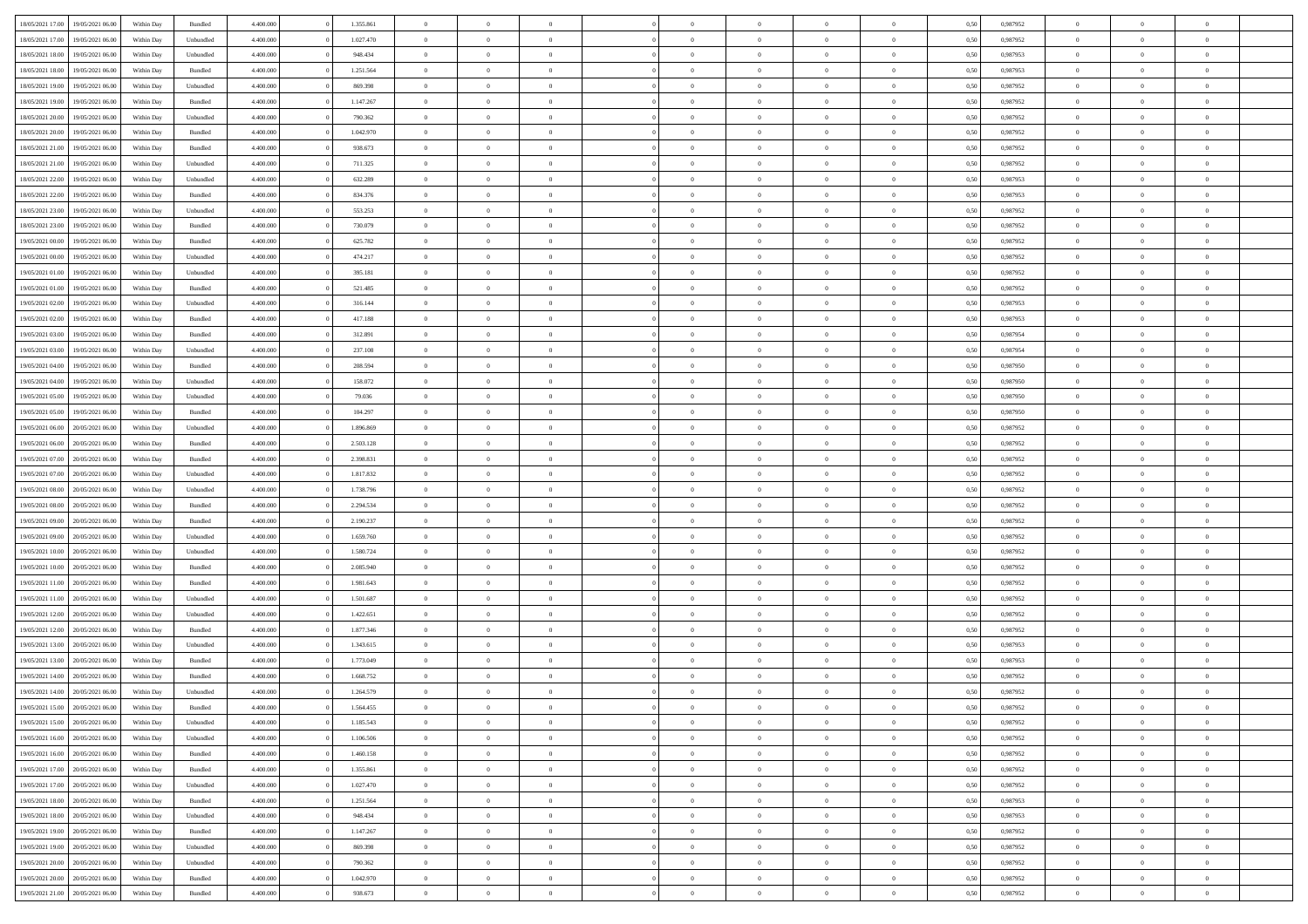| 18/05/2021 17:00 | 19/05/2021 06:00 | Within Day | Bundled            | 4.400.000 | 1.355.861 | $\overline{0}$ | $\Omega$       |                | $\Omega$       | $\Omega$       | $\theta$       | $\theta$       | 0,50 | 0,987952 | $\theta$       | $\theta$       | $\theta$       |  |
|------------------|------------------|------------|--------------------|-----------|-----------|----------------|----------------|----------------|----------------|----------------|----------------|----------------|------|----------|----------------|----------------|----------------|--|
|                  |                  |            |                    |           |           |                |                |                |                |                |                |                |      |          |                |                |                |  |
| 18/05/2021 17:00 | 19/05/2021 06:00 | Within Day | Unbundled          | 4.400.000 | 1.027.470 | $\overline{0}$ | $\theta$       | $\overline{0}$ | $\overline{0}$ | $\bf{0}$       | $\overline{0}$ | $\bf{0}$       | 0,50 | 0,987952 | $\theta$       | $\overline{0}$ | $\overline{0}$ |  |
| 18/05/2021 18:00 | 19/05/2021 06:00 | Within Day | Unbundled          | 4.400.000 | 948.434   | $\overline{0}$ | $\overline{0}$ | $\overline{0}$ | $\overline{0}$ | $\bf{0}$       | $\overline{0}$ | $\mathbf{0}$   | 0,50 | 0,987953 | $\overline{0}$ | $\overline{0}$ | $\bf{0}$       |  |
| 18/05/2021 18:00 | 19/05/2021 06:00 | Within Dav | Bundled            | 4.400.000 | 1.251.564 | $\overline{0}$ | $\overline{0}$ | $\overline{0}$ | $\overline{0}$ | $\bf{0}$       | $\overline{0}$ | $\overline{0}$ | 0.50 | 0,987953 | $\theta$       | $\theta$       | $\overline{0}$ |  |
| 18/05/2021 19:00 | 19/05/2021 06:00 | Within Day | Unbundled          | 4.400.000 | 869.398   | $\overline{0}$ | $\theta$       | $\overline{0}$ | $\overline{0}$ | $\bf{0}$       | $\overline{0}$ | $\bf{0}$       | 0,50 | 0,987952 | $\theta$       | $\overline{0}$ | $\overline{0}$ |  |
| 18/05/2021 19:00 | 19/05/2021 06:00 | Within Day | Bundled            | 4.400.000 | 1.147.267 | $\overline{0}$ | $\overline{0}$ | $\overline{0}$ | $\bf{0}$       | $\overline{0}$ | $\overline{0}$ | $\mathbf{0}$   | 0,50 | 0,987952 | $\overline{0}$ | $\overline{0}$ | $\bf{0}$       |  |
|                  |                  |            |                    |           |           |                | $\overline{0}$ |                |                | $\overline{0}$ |                |                |      |          | $\theta$       | $\overline{0}$ | $\overline{0}$ |  |
| 18/05/2021 20:00 | 19/05/2021 06:00 | Within Dav | Unbundled          | 4.400.000 | 790.362   | $\overline{0}$ |                | $\overline{0}$ | $\overline{0}$ |                | $\overline{0}$ | $\overline{0}$ | 0.50 | 0,987952 |                |                |                |  |
| 18/05/2021 20:00 | 19/05/2021 06:00 | Within Day | Bundled            | 4.400.000 | 1.042.970 | $\overline{0}$ | $\theta$       | $\overline{0}$ | $\overline{0}$ | $\bf{0}$       | $\overline{0}$ | $\bf{0}$       | 0,50 | 0,987952 | $\theta$       | $\theta$       | $\overline{0}$ |  |
| 18/05/2021 21:00 | 19/05/2021 06:00 | Within Day | Bundled            | 4.400.000 | 938.673   | $\overline{0}$ | $\overline{0}$ | $\overline{0}$ | $\bf{0}$       | $\bf{0}$       | $\bf{0}$       | $\mathbf{0}$   | 0,50 | 0,987952 | $\,0\,$        | $\overline{0}$ | $\overline{0}$ |  |
| 18/05/2021 21:00 | 19/05/2021 06:00 | Within Dav | Unbundled          | 4.400.000 | 711.325   | $\overline{0}$ | $\overline{0}$ | $\overline{0}$ | $\overline{0}$ | $\overline{0}$ | $\overline{0}$ | $\overline{0}$ | 0.50 | 0,987952 | $\theta$       | $\overline{0}$ | $\overline{0}$ |  |
| 18/05/2021 22:00 | 19/05/2021 06:00 | Within Day | Unbundled          | 4.400.000 | 632.289   | $\overline{0}$ | $\theta$       | $\overline{0}$ | $\overline{0}$ | $\bf{0}$       | $\overline{0}$ | $\bf{0}$       | 0,50 | 0,987953 | $\,$ 0 $\,$    | $\overline{0}$ | $\overline{0}$ |  |
| 18/05/2021 22:00 | 19/05/2021 06:00 | Within Day | Bundled            | 4.400.000 | 834.376   | $\overline{0}$ | $\overline{0}$ | $\overline{0}$ | $\bf{0}$       | $\bf{0}$       | $\bf{0}$       | $\mathbf{0}$   | 0,50 | 0,987953 | $\overline{0}$ | $\overline{0}$ | $\bf{0}$       |  |
| 18/05/2021 23:00 | 19/05/2021 06:00 | Within Day | Unbundled          | 4.400.000 | 553.253   | $\overline{0}$ | $\overline{0}$ | $\overline{0}$ | $\overline{0}$ | $\bf{0}$       | $\overline{0}$ | $\overline{0}$ | 0.50 | 0,987952 | $\theta$       | $\theta$       | $\overline{0}$ |  |
| 18/05/2021 23:00 | 19/05/2021 06:00 |            |                    | 4.400.000 | 730.079   | $\overline{0}$ | $\theta$       | $\overline{0}$ | $\overline{0}$ | $\bf{0}$       | $\overline{0}$ |                |      | 0,987952 | $\theta$       | $\overline{0}$ | $\overline{0}$ |  |
|                  |                  | Within Day | Bundled            |           |           |                |                |                |                |                |                | $\bf{0}$       | 0,50 |          |                |                |                |  |
| 19/05/2021 00:00 | 19/05/2021 06:00 | Within Day | Bundled            | 4.400.000 | 625.782   | $\overline{0}$ | $\overline{0}$ | $\overline{0}$ | $\bf{0}$       | $\overline{0}$ | $\overline{0}$ | $\mathbf{0}$   | 0,50 | 0,987952 | $\overline{0}$ | $\overline{0}$ | $\bf{0}$       |  |
| 19/05/2021 00:00 | 19/05/2021 06:00 | Within Dav | Unbundled          | 4.400.000 | 474.217   | $\overline{0}$ | $\overline{0}$ | $\overline{0}$ | $\overline{0}$ | $\overline{0}$ | $\overline{0}$ | $\overline{0}$ | 0.50 | 0,987952 | $\theta$       | $\overline{0}$ | $\overline{0}$ |  |
| 19/05/2021 01:00 | 19/05/2021 06:00 | Within Day | Unbundled          | 4.400.000 | 395.181   | $\overline{0}$ | $\theta$       | $\overline{0}$ | $\overline{0}$ | $\bf{0}$       | $\overline{0}$ | $\bf{0}$       | 0,50 | 0,987952 | $\,$ 0 $\,$    | $\overline{0}$ | $\overline{0}$ |  |
| 19/05/2021 01:00 | 19/05/2021 06:00 | Within Day | Bundled            | 4.400.000 | 521.485   | $\overline{0}$ | $\overline{0}$ | $\overline{0}$ | $\bf{0}$       | $\bf{0}$       | $\bf{0}$       | $\mathbf{0}$   | 0,50 | 0,987952 | $\bf{0}$       | $\overline{0}$ | $\bf{0}$       |  |
| 19/05/2021 02:00 | 19/05/2021 06:00 | Within Dav | Unbundled          | 4.400.000 | 316.144   | $\overline{0}$ | $\overline{0}$ | $\overline{0}$ | $\overline{0}$ | $\overline{0}$ | $\overline{0}$ | $\overline{0}$ | 0.50 | 0,987953 | $\theta$       | $\overline{0}$ | $\overline{0}$ |  |
| 19/05/2021 02:00 | 19/05/2021 06:00 | Within Day | Bundled            | 4.400.000 | 417.188   | $\overline{0}$ | $\theta$       | $\overline{0}$ | $\overline{0}$ | $\bf{0}$       | $\overline{0}$ | $\bf{0}$       | 0,50 | 0,987953 | $\,$ 0 $\,$    | $\overline{0}$ | $\overline{0}$ |  |
| 19/05/2021 03:00 | 19/05/2021 06:00 | Within Day | Bundled            | 4.400.000 | 312.891   | $\overline{0}$ | $\overline{0}$ | $\overline{0}$ | $\bf{0}$       | $\bf{0}$       | $\bf{0}$       | $\mathbf{0}$   | 0,50 | 0,987954 | $\overline{0}$ | $\overline{0}$ | $\bf{0}$       |  |
| 19/05/2021 03:00 | 19/05/2021 06:00 | Within Day | Unbundled          | 4.400.000 | 237.108   | $\overline{0}$ | $\overline{0}$ | $\overline{0}$ | $\overline{0}$ | $\overline{0}$ | $\overline{0}$ | $\overline{0}$ | 0.50 | 0,987954 | $\theta$       | $\overline{0}$ | $\overline{0}$ |  |
|                  |                  |            |                    |           |           |                |                |                |                |                |                |                |      |          |                |                |                |  |
| 19/05/2021 04:00 | 19/05/2021 06:00 | Within Day | Bundled            | 4.400.000 | 208.594   | $\overline{0}$ | $\theta$       | $\overline{0}$ | $\overline{0}$ | $\bf{0}$       | $\overline{0}$ | $\bf{0}$       | 0,50 | 0,987950 | $\,$ 0 $\,$    | $\overline{0}$ | $\overline{0}$ |  |
| 19/05/2021 04:00 | 19/05/2021 06:00 | Within Day | Unbundled          | 4.400.000 | 158.072   | $\overline{0}$ | $\overline{0}$ | $\overline{0}$ | $\bf{0}$       | $\overline{0}$ | $\overline{0}$ | $\mathbf{0}$   | 0,50 | 0,987950 | $\overline{0}$ | $\overline{0}$ | $\bf{0}$       |  |
| 19/05/2021 05:00 | 19/05/2021 06:00 | Within Dav | Unbundled          | 4.400.000 | 79.036    | $\overline{0}$ | $\overline{0}$ | $\overline{0}$ | $\overline{0}$ | $\overline{0}$ | $\overline{0}$ | $\overline{0}$ | 0.50 | 0,987950 | $\overline{0}$ | $\overline{0}$ | $\overline{0}$ |  |
| 19/05/2021 05:00 | 19/05/2021 06:00 | Within Day | Bundled            | 4.400.000 | 104.297   | $\overline{0}$ | $\theta$       | $\overline{0}$ | $\overline{0}$ | $\bf{0}$       | $\overline{0}$ | $\bf{0}$       | 0,50 | 0,987950 | $\theta$       | $\overline{0}$ | $\overline{0}$ |  |
| 19/05/2021 06:00 | 20/05/2021 06:00 | Within Day | Unbundled          | 4.400.000 | 1.896.869 | $\overline{0}$ | $\overline{0}$ | $\overline{0}$ | $\bf{0}$       | $\bf{0}$       | $\bf{0}$       | $\bf{0}$       | 0,50 | 0,987952 | $\,0\,$        | $\overline{0}$ | $\bf{0}$       |  |
| 19/05/2021 06:00 | 20/05/2021 06:00 | Within Day | Bundled            | 4.400.000 | 2.503.128 | $\overline{0}$ | $\overline{0}$ | $\overline{0}$ | $\overline{0}$ | $\overline{0}$ | $\overline{0}$ | $\overline{0}$ | 0.50 | 0,987952 | $\theta$       | $\overline{0}$ | $\overline{0}$ |  |
| 19/05/2021 07:00 | 20/05/2021 06:00 |            | Bundled            | 4.400.000 | 2.398.831 | $\overline{0}$ | $\overline{0}$ | $\overline{0}$ | $\overline{0}$ | $\bf{0}$       | $\overline{0}$ |                |      | 0,987952 | $\,$ 0 $\,$    | $\overline{0}$ | $\overline{0}$ |  |
|                  |                  | Within Day |                    |           |           |                |                |                |                |                |                | $\bf{0}$       | 0,50 |          |                |                |                |  |
| 19/05/2021 07:00 | 20/05/2021 06:00 | Within Day | Unbundled          | 4.400.000 | 1.817.832 | $\overline{0}$ | $\overline{0}$ | $\overline{0}$ | $\bf{0}$       | $\bf{0}$       | $\bf{0}$       | $\bf{0}$       | 0,50 | 0,987952 | $\bf{0}$       | $\overline{0}$ | $\bf{0}$       |  |
| 19/05/2021 08:00 | 20/05/2021 06:00 | Within Day | Unbundled          | 4.400,000 | 1.738.796 | $\overline{0}$ | $\Omega$       | $\overline{0}$ | $\Omega$       | $\Omega$       | $\overline{0}$ | $\overline{0}$ | 0,50 | 0,987952 | $\,0\,$        | $\theta$       | $\theta$       |  |
| 19/05/2021 08:00 | 20/05/2021 06:00 | Within Day | Bundled            | 4.400.000 | 2.294.534 | $\overline{0}$ | $\overline{0}$ | $\overline{0}$ | $\overline{0}$ | $\bf{0}$       | $\overline{0}$ | $\bf{0}$       | 0,50 | 0,987952 | $\,$ 0 $\,$    | $\overline{0}$ | $\overline{0}$ |  |
| 19/05/2021 09:00 | 20/05/2021 06:00 | Within Day | Bundled            | 4.400.000 | 2.190.237 | $\overline{0}$ | $\overline{0}$ | $\overline{0}$ | $\bf{0}$       | $\overline{0}$ | $\overline{0}$ | $\mathbf{0}$   | 0,50 | 0,987952 | $\bf{0}$       | $\overline{0}$ | $\bf{0}$       |  |
| 19/05/2021 09:00 | 20/05/2021 06:00 | Within Day | Unbundled          | 4.400,000 | 1.659.760 | $\overline{0}$ | $\Omega$       | $\Omega$       | $\Omega$       | $\overline{0}$ | $\overline{0}$ | $\overline{0}$ | 0.50 | 0,987952 | $\,0\,$        | $\theta$       | $\theta$       |  |
| 19/05/2021 10:00 | 20/05/2021 06:00 | Within Day | Unbundled          | 4.400.000 | 1.580.724 | $\overline{0}$ | $\theta$       | $\overline{0}$ | $\overline{0}$ | $\bf{0}$       | $\overline{0}$ | $\bf{0}$       | 0,50 | 0,987952 | $\,$ 0 $\,$    | $\overline{0}$ | $\overline{0}$ |  |
| 19/05/2021 10:00 | 20/05/2021 06:00 | Within Day | Bundled            | 4.400.000 | 2.085.940 | $\overline{0}$ | $\overline{0}$ | $\overline{0}$ | $\bf{0}$       | $\bf{0}$       | $\bf{0}$       | $\mathbf{0}$   | 0,50 | 0,987952 | $\bf{0}$       | $\overline{0}$ | $\bf{0}$       |  |
|                  | 20/05/2021 06:00 |            |                    | 4.400,000 | 1.981.643 | $\overline{0}$ | $\Omega$       | $\Omega$       | $\Omega$       | $\overline{0}$ | $\overline{0}$ |                |      | 0.987952 | $\,$ 0 $\,$    | $\theta$       | $\theta$       |  |
| 19/05/2021 11:00 |                  | Within Day | Bundled            |           |           |                |                |                |                |                |                | $\overline{0}$ | 0.50 |          |                |                |                |  |
| 19/05/2021 11:00 | 20/05/2021 06:00 | Within Day | Unbundled          | 4.400.000 | 1.501.687 | $\overline{0}$ | $\overline{0}$ | $\overline{0}$ | $\overline{0}$ | $\,$ 0         | $\overline{0}$ | $\bf{0}$       | 0,50 | 0,987952 | $\,$ 0 $\,$    | $\overline{0}$ | $\overline{0}$ |  |
| 19/05/2021 12:00 | 20/05/2021 06:00 | Within Day | Unbundled          | 4.400.000 | 1.422.651 | $\overline{0}$ | $\bf{0}$       | $\overline{0}$ | $\bf{0}$       | $\bf{0}$       | $\bf{0}$       | $\mathbf{0}$   | 0,50 | 0,987952 | $\bf{0}$       | $\overline{0}$ | $\bf{0}$       |  |
| 19/05/2021 12:00 | 20/05/2021 06:00 | Within Day | Bundled            | 4.400,000 | 1.877.346 | $\overline{0}$ | $\Omega$       | $\overline{0}$ | $\Omega$       | $\overline{0}$ | $\overline{0}$ | $\overline{0}$ | 0,50 | 0,987952 | $\,0\,$        | $\theta$       | $\theta$       |  |
| 19/05/2021 13:00 | 20/05/2021 06:00 | Within Day | Unbundled          | 4.400.000 | 1.343.615 | $\overline{0}$ | $\overline{0}$ | $\overline{0}$ | $\overline{0}$ | $\,$ 0         | $\overline{0}$ | $\bf{0}$       | 0,50 | 0,987953 | $\,$ 0 $\,$    | $\overline{0}$ | $\overline{0}$ |  |
| 19/05/2021 13:00 | 20/05/2021 06:00 | Within Day | Bundled            | 4.400.000 | 1.773.049 | $\overline{0}$ | $\overline{0}$ | $\overline{0}$ | $\bf{0}$       | $\bf{0}$       | $\overline{0}$ | $\mathbf{0}$   | 0,50 | 0,987953 | $\bf{0}$       | $\overline{0}$ | $\bf{0}$       |  |
| 19/05/2021 14:00 | 20/05/2021 06:00 | Within Day | Bundled            | 4.400,000 | 1.668.752 | $\overline{0}$ | $\Omega$       | $\Omega$       | $\Omega$       | $\Omega$       | $\Omega$       | $\overline{0}$ | 0.50 | 0.987952 | $\theta$       | $\theta$       | $\theta$       |  |
| 19/05/2021 14:00 | 20/05/2021 06:00 | Within Day | Unbundled          | 4.400.000 | 1.264.579 | $\overline{0}$ | $\overline{0}$ | $\overline{0}$ | $\bf{0}$       | $\,$ 0         | $\bf{0}$       | $\bf{0}$       | 0,50 | 0,987952 | $\,0\,$        | $\,$ 0 $\,$    | $\overline{0}$ |  |
| 19/05/2021 15:00 | 20/05/2021 06:00 | Within Day | $\mathbf B$ undled | 4.400.000 | 1.564.455 | $\bf{0}$       | $\bf{0}$       |                |                | $\bf{0}$       |                |                | 0,50 | 0,987952 | $\bf{0}$       | $\overline{0}$ |                |  |
|                  |                  |            |                    |           |           |                |                |                |                |                |                |                |      |          |                |                |                |  |
| 19/05/2021 15:00 | 20/05/2021 06:00 | Within Day | Unbundled          | 4.400.000 | 1.185.543 | $\overline{0}$ | $\overline{0}$ | $\overline{0}$ | $\Omega$       | $\overline{0}$ | $\overline{0}$ | $\overline{0}$ | 0.50 | 0.987952 | $\theta$       | $\theta$       | $\theta$       |  |
| 19/05/2021 16:00 | 20/05/2021 06:00 | Within Day | Unbundled          | 4.400.000 | 1.106.506 | $\overline{0}$ | $\,$ 0         | $\overline{0}$ | $\bf{0}$       | $\,$ 0 $\,$    | $\overline{0}$ | $\mathbf{0}$   | 0,50 | 0,987952 | $\,$ 0 $\,$    | $\,$ 0 $\,$    | $\,$ 0         |  |
| 19/05/2021 16:00 | 20/05/2021 06:00 | Within Day | Bundled            | 4.400.000 | 1.460.158 | $\overline{0}$ | $\overline{0}$ | $\overline{0}$ | $\overline{0}$ | $\overline{0}$ | $\overline{0}$ | $\mathbf{0}$   | 0,50 | 0,987952 | $\overline{0}$ | $\bf{0}$       | $\bf{0}$       |  |
| 19/05/2021 17:00 | 20/05/2021 06:00 | Within Day | Bundled            | 4.400,000 | 1.355.861 | $\overline{0}$ | $\overline{0}$ | $\overline{0}$ | $\Omega$       | $\overline{0}$ | $\overline{0}$ | $\overline{0}$ | 0,50 | 0,987952 | $\overline{0}$ | $\,$ 0 $\,$    | $\overline{0}$ |  |
| 19/05/2021 17:00 | 20/05/2021 06:00 | Within Day | Unbundled          | 4.400.000 | 1.027.470 | $\overline{0}$ | $\,$ 0         | $\overline{0}$ | $\bf{0}$       | $\,$ 0 $\,$    | $\overline{0}$ | $\mathbf{0}$   | 0,50 | 0,987952 | $\,$ 0 $\,$    | $\overline{0}$ | $\overline{0}$ |  |
| 19/05/2021 18:00 | 20/05/2021 06:00 | Within Day | Bundled            | 4.400.000 | 1.251.564 | $\overline{0}$ | $\overline{0}$ | $\overline{0}$ | $\overline{0}$ | $\overline{0}$ | $\overline{0}$ | $\mathbf{0}$   | 0,50 | 0,987953 | $\overline{0}$ | $\overline{0}$ | $\bf{0}$       |  |
| 19/05/2021 18:00 | 20/05/2021 06:00 | Within Day | Unbundled          | 4.400.000 | 948,434   | $\overline{0}$ | $\overline{0}$ | $\overline{0}$ | $\overline{0}$ | $\overline{0}$ | $\overline{0}$ | $\bf{0}$       | 0.50 | 0,987953 | $\overline{0}$ | $\theta$       | $\overline{0}$ |  |
| 19/05/2021 19:00 | 20/05/2021 06:00 | Within Day | Bundled            | 4.400.000 | 1.147.267 | $\overline{0}$ | $\,$ 0         | $\overline{0}$ | $\bf{0}$       | $\bf{0}$       | $\bf{0}$       | $\bf{0}$       | 0,50 | 0,987952 | $\,$ 0 $\,$    | $\overline{0}$ | $\overline{0}$ |  |
|                  |                  |            |                    |           |           |                |                |                |                |                |                |                |      |          |                |                |                |  |
| 19/05/2021 19:00 | 20/05/2021 06:00 | Within Day | Unbundled          | 4.400.000 | 869.398   | $\overline{0}$ | $\bf{0}$       | $\overline{0}$ | $\overline{0}$ | $\overline{0}$ | $\overline{0}$ | $\mathbf{0}$   | 0,50 | 0,987952 | $\overline{0}$ | $\overline{0}$ | $\bf{0}$       |  |
| 19/05/2021 20:00 | 20/05/2021 06:00 | Within Day | Unbundled          | 4.400,000 | 790.362   | $\overline{0}$ | $\overline{0}$ | $\overline{0}$ | $\Omega$       | $\overline{0}$ | $\overline{0}$ | $\overline{0}$ | 0.50 | 0,987952 | $\overline{0}$ | $\overline{0}$ | $\overline{0}$ |  |
| 19/05/2021 20:00 | 20/05/2021 06:00 | Within Day | Bundled            | 4.400.000 | 1.042.970 | $\overline{0}$ | $\bf{0}$       | $\overline{0}$ | $\bf{0}$       | $\bf{0}$       | $\bf{0}$       | $\mathbf{0}$   | 0,50 | 0,987952 | $\,$ 0 $\,$    | $\,$ 0 $\,$    | $\bf{0}$       |  |
| 19/05/2021 21:00 | 20/05/2021 06:00 | Within Day | Bundled            | 4.400.000 | 938.673   | $\overline{0}$ | $\overline{0}$ | $\overline{0}$ | $\overline{0}$ | $\overline{0}$ | $\bf{0}$       | $\mathbf{0}$   | 0,50 | 0,987952 | $\overline{0}$ | $\bf{0}$       | $\overline{0}$ |  |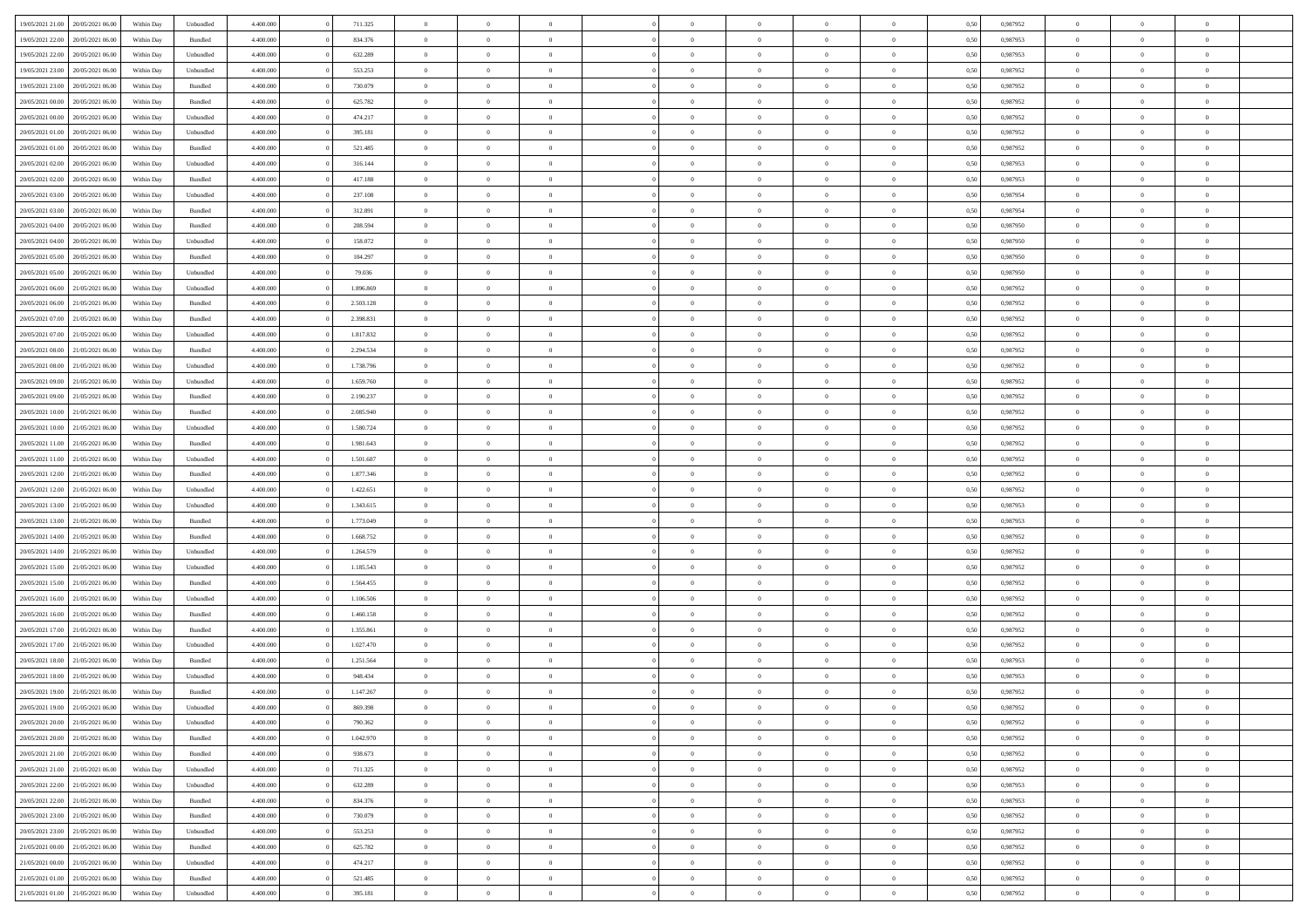| 19/05/2021 21:00                  | 20/05/2021 06:00 | Within Day | Unbundled | 4.400.000 | 711.325   | $\overline{0}$ | $\Omega$       |                | $\Omega$       | $\Omega$       | $\Omega$       | $\theta$       | 0.50 | 0,987952 | $\theta$       | $\theta$       | $\theta$       |  |
|-----------------------------------|------------------|------------|-----------|-----------|-----------|----------------|----------------|----------------|----------------|----------------|----------------|----------------|------|----------|----------------|----------------|----------------|--|
| 19/05/2021 22:00                  | 20/05/2021 06:00 | Within Day | Bundled   | 4.400.000 | 834.376   | $\overline{0}$ | $\theta$       | $\overline{0}$ | $\overline{0}$ | $\bf{0}$       | $\overline{0}$ | $\bf{0}$       | 0,50 | 0,987953 | $\theta$       | $\theta$       | $\overline{0}$ |  |
| 19/05/2021 22:00                  | 20/05/2021 06:00 | Within Day | Unbundled | 4.400.000 | 632.289   | $\overline{0}$ | $\bf{0}$       | $\overline{0}$ | $\bf{0}$       | $\bf{0}$       | $\bf{0}$       | $\mathbf{0}$   | 0,50 | 0,987953 | $\overline{0}$ | $\overline{0}$ | $\overline{0}$ |  |
| 19/05/2021 23:00                  | 20/05/2021 06:00 | Within Day | Unbundled | 4.400.000 | 553.253   | $\overline{0}$ | $\overline{0}$ | $\overline{0}$ | $\overline{0}$ | $\bf{0}$       | $\overline{0}$ | $\overline{0}$ | 0.50 | 0,987952 | $\theta$       | $\theta$       | $\overline{0}$ |  |
| 19/05/2021 23:00                  | 20/05/2021 06:00 |            |           | 4.400.000 | 730.079   | $\overline{0}$ | $\theta$       | $\overline{0}$ | $\overline{0}$ | $\bf{0}$       | $\overline{0}$ |                |      | 0,987952 | $\theta$       | $\overline{0}$ | $\overline{0}$ |  |
|                                   |                  | Within Day | Bundled   |           |           |                |                |                |                |                |                | $\bf{0}$       | 0,50 |          |                |                |                |  |
| 20/05/2021 00:00                  | 20/05/2021 06:00 | Within Day | Bundled   | 4.400.000 | 625.782   | $\overline{0}$ | $\overline{0}$ | $\overline{0}$ | $\bf{0}$       | $\overline{0}$ | $\overline{0}$ | $\mathbf{0}$   | 0,50 | 0,987952 | $\overline{0}$ | $\overline{0}$ | $\bf{0}$       |  |
| 20/05/2021 00:00                  | 20/05/2021 06:00 | Within Dav | Unbundled | 4.400.000 | 474.217   | $\overline{0}$ | $\overline{0}$ | $\overline{0}$ | $\overline{0}$ | $\overline{0}$ | $\overline{0}$ | $\overline{0}$ | 0.50 | 0,987952 | $\theta$       | $\overline{0}$ | $\overline{0}$ |  |
| 20/05/2021 01:00                  | 20/05/2021 06:00 | Within Day | Unbundled | 4.400.000 | 395.181   | $\overline{0}$ | $\theta$       | $\overline{0}$ | $\overline{0}$ | $\bf{0}$       | $\overline{0}$ | $\bf{0}$       | 0,50 | 0,987952 | $\theta$       | $\theta$       | $\overline{0}$ |  |
| 20/05/2021 01:00                  | 20/05/2021 06:00 | Within Day | Bundled   | 4.400.000 | 521.485   | $\overline{0}$ | $\overline{0}$ | $\overline{0}$ | $\bf{0}$       | $\bf{0}$       | $\bf{0}$       | $\bf{0}$       | 0,50 | 0,987952 | $\,0\,$        | $\overline{0}$ | $\overline{0}$ |  |
| 20/05/2021 02:00                  | 20/05/2021 06:00 | Within Dav | Unbundled | 4.400.000 | 316.144   | $\overline{0}$ | $\overline{0}$ | $\overline{0}$ | $\overline{0}$ | $\overline{0}$ | $\overline{0}$ | $\overline{0}$ | 0.50 | 0,987953 | $\theta$       | $\overline{0}$ | $\overline{0}$ |  |
| 20/05/2021 02:00                  | 20/05/2021 06:00 |            | Bundled   | 4.400.000 | 417.188   | $\overline{0}$ | $\theta$       | $\overline{0}$ | $\overline{0}$ | $\bf{0}$       | $\overline{0}$ |                |      | 0,987953 | $\theta$       | $\overline{0}$ | $\overline{0}$ |  |
|                                   |                  | Within Day |           |           |           |                |                |                |                |                |                | $\bf{0}$       | 0,50 |          |                |                |                |  |
| 20/05/2021 03:00                  | 20/05/2021 06:00 | Within Day | Unbundled | 4.400.000 | 237.108   | $\overline{0}$ | $\overline{0}$ | $\overline{0}$ | $\bf{0}$       | $\bf{0}$       | $\bf{0}$       | $\mathbf{0}$   | 0,50 | 0,987954 | $\overline{0}$ | $\overline{0}$ | $\overline{0}$ |  |
| 20/05/2021 03:00                  | 20/05/2021 06:00 | Within Dav | Bundled   | 4.400.000 | 312.891   | $\overline{0}$ | $\overline{0}$ | $\overline{0}$ | $\overline{0}$ | $\bf{0}$       | $\overline{0}$ | $\overline{0}$ | 0.50 | 0,987954 | $\theta$       | $\theta$       | $\overline{0}$ |  |
| 20/05/2021 04:00                  | 20/05/2021 06:00 | Within Day | Bundled   | 4.400.000 | 208.594   | $\overline{0}$ | $\theta$       | $\overline{0}$ | $\overline{0}$ | $\bf{0}$       | $\overline{0}$ | $\bf{0}$       | 0,50 | 0,987950 | $\theta$       | $\overline{0}$ | $\overline{0}$ |  |
| 20/05/2021 04:00                  | 20/05/2021 06:00 | Within Day | Unbundled | 4.400.000 | 158.072   | $\overline{0}$ | $\overline{0}$ | $\overline{0}$ | $\bf{0}$       | $\overline{0}$ | $\overline{0}$ | $\mathbf{0}$   | 0,50 | 0,987950 | $\overline{0}$ | $\overline{0}$ | $\bf{0}$       |  |
| 20/05/2021 05:00                  | 20/05/2021 06:00 | Within Dav | Bundled   | 4.400.000 | 104.297   | $\overline{0}$ | $\overline{0}$ | $\overline{0}$ | $\overline{0}$ | $\overline{0}$ | $\overline{0}$ | $\overline{0}$ | 0.50 | 0,987950 | $\theta$       | $\overline{0}$ | $\overline{0}$ |  |
| 20/05/2021 05:00                  | 20/05/2021 06:00 | Within Day | Unbundled | 4.400.000 | 79.036    | $\overline{0}$ | $\theta$       | $\overline{0}$ | $\overline{0}$ | $\bf{0}$       | $\overline{0}$ | $\bf{0}$       | 0,50 | 0,987950 | $\theta$       | $\theta$       | $\overline{0}$ |  |
| 20/05/2021 06:00                  | 21/05/2021 06:00 | Within Day | Unbundled | 4.400.000 | 1.896.869 | $\overline{0}$ | $\overline{0}$ | $\overline{0}$ | $\bf{0}$       | $\bf{0}$       | $\bf{0}$       | $\bf{0}$       | 0,50 | 0,987952 | $\,0\,$        | $\overline{0}$ | $\overline{0}$ |  |
| 20/05/2021 06:00                  | 21/05/2021 06:00 | Within Dav | Bundled   | 4.400.000 | 2.503.128 | $\overline{0}$ | $\overline{0}$ | $\overline{0}$ | $\overline{0}$ | $\overline{0}$ | $\overline{0}$ | $\overline{0}$ | 0.50 | 0,987952 | $\theta$       | $\overline{0}$ | $\overline{0}$ |  |
|                                   |                  |            |           |           |           |                |                |                |                |                |                |                |      |          |                |                |                |  |
| 20/05/2021 07:00                  | 21/05/2021 06:00 | Within Day | Bundled   | 4.400.000 | 2.398.831 | $\overline{0}$ | $\theta$       | $\overline{0}$ | $\overline{0}$ | $\bf{0}$       | $\overline{0}$ | $\bf{0}$       | 0,50 | 0,987952 | $\,$ 0 $\,$    | $\theta$       | $\overline{0}$ |  |
| 20/05/2021 07:00                  | 21/05/2021 06:00 | Within Day | Unbundled | 4.400.000 | 1.817.832 | $\overline{0}$ | $\overline{0}$ | $\overline{0}$ | $\bf{0}$       | $\bf{0}$       | $\bf{0}$       | $\bf{0}$       | 0,50 | 0,987952 | $\bf{0}$       | $\overline{0}$ | $\overline{0}$ |  |
| 20/05/2021 08:00                  | 21/05/2021 06:00 | Within Day | Bundled   | 4.400.000 | 2.294.534 | $\overline{0}$ | $\overline{0}$ | $\overline{0}$ | $\overline{0}$ | $\bf{0}$       | $\overline{0}$ | $\overline{0}$ | 0.50 | 0,987952 | $\theta$       | $\theta$       | $\overline{0}$ |  |
| 20/05/2021 08:00                  | 21/05/2021 06:00 | Within Day | Unbundled | 4.400.000 | 1.738.796 | $\overline{0}$ | $\theta$       | $\overline{0}$ | $\overline{0}$ | $\bf{0}$       | $\overline{0}$ | $\bf{0}$       | 0,50 | 0,987952 | $\theta$       | $\overline{0}$ | $\overline{0}$ |  |
| 20/05/2021 09:00                  | 21/05/2021 06:00 | Within Day | Unbundled | 4.400.000 | 1.659.760 | $\overline{0}$ | $\bf{0}$       | $\overline{0}$ | $\bf{0}$       | $\overline{0}$ | $\overline{0}$ | $\mathbf{0}$   | 0,50 | 0,987952 | $\overline{0}$ | $\overline{0}$ | $\bf{0}$       |  |
| 20/05/2021 09:00                  | 21/05/2021 06:00 | Within Dav | Bundled   | 4.400.000 | 2.190.237 | $\overline{0}$ | $\overline{0}$ | $\overline{0}$ | $\overline{0}$ | $\overline{0}$ | $\overline{0}$ | $\overline{0}$ | 0.50 | 0,987952 | $\theta$       | $\overline{0}$ | $\overline{0}$ |  |
| 20/05/2021 10:00                  | 21/05/2021 06:00 |            |           | 4.400.000 | 2.085.940 | $\overline{0}$ | $\theta$       | $\overline{0}$ | $\overline{0}$ | $\bf{0}$       | $\overline{0}$ |                |      | 0,987952 | $\theta$       | $\theta$       | $\overline{0}$ |  |
|                                   |                  | Within Day | Bundled   |           |           |                |                |                |                |                |                | $\bf{0}$       | 0,50 |          |                |                |                |  |
| 20/05/2021 10:00                  | 21/05/2021 06:00 | Within Day | Unbundled | 4.400.000 | 1.580.724 | $\overline{0}$ | $\overline{0}$ | $\overline{0}$ | $\bf{0}$       | $\bf{0}$       | $\bf{0}$       | $\bf{0}$       | 0,50 | 0,987952 | $\,0\,$        | $\overline{0}$ | $\overline{0}$ |  |
| 20/05/2021 11:00                  | 21/05/2021 06:00 | Within Day | Bundled   | 4.400.000 | 1.981.643 | $\overline{0}$ | $\overline{0}$ | $\overline{0}$ | $\overline{0}$ | $\overline{0}$ | $\overline{0}$ | $\overline{0}$ | 0.50 | 0,987952 | $\theta$       | $\overline{0}$ | $\overline{0}$ |  |
| 20/05/2021 11:00                  | 21/05/2021 06:00 | Within Day | Unbundled | 4.400.000 | 1.501.687 | $\overline{0}$ | $\theta$       | $\overline{0}$ | $\overline{0}$ | $\bf{0}$       | $\overline{0}$ | $\bf{0}$       | 0,50 | 0,987952 | $\,$ 0 $\,$    | $\overline{0}$ | $\overline{0}$ |  |
| 20/05/2021 12:00                  | 21/05/2021 06:00 | Within Day | Bundled   | 4.400.000 | 1.877.346 | $\overline{0}$ | $\overline{0}$ | $\overline{0}$ | $\bf{0}$       | $\bf{0}$       | $\bf{0}$       | $\bf{0}$       | 0,50 | 0,987952 | $\overline{0}$ | $\overline{0}$ | $\overline{0}$ |  |
| 20/05/2021 12:00                  | 21/05/2021 06:00 | Within Day | Unbundled | 4.400,000 | 1.422.651 | $\overline{0}$ | $\Omega$       | $\Omega$       | $\Omega$       | $\Omega$       | $\Omega$       | $\overline{0}$ | 0.50 | 0,987952 | $\,0\,$        | $\theta$       | $\theta$       |  |
| 20/05/2021 13:00                  | 21/05/2021 06:00 | Within Day | Unbundled | 4.400.000 | 1.343.615 | $\overline{0}$ | $\theta$       | $\overline{0}$ | $\overline{0}$ | $\bf{0}$       | $\overline{0}$ | $\bf{0}$       | 0,50 | 0,987953 | $\theta$       | $\overline{0}$ | $\overline{0}$ |  |
| 20/05/2021 13:00                  | 21/05/2021 06:00 | Within Day | Bundled   | 4.400.000 | 1.773.049 | $\overline{0}$ | $\overline{0}$ | $\overline{0}$ | $\bf{0}$       | $\bf{0}$       | $\overline{0}$ | $\mathbf{0}$   | 0,50 | 0,987953 | $\overline{0}$ | $\overline{0}$ | $\bf{0}$       |  |
|                                   |                  |            |           |           |           |                |                |                |                |                |                |                |      |          |                |                |                |  |
| 20/05/2021 14:00                  | 21/05/2021 06:00 | Within Day | Bundled   | 4.400,000 | 1.668.752 | $\overline{0}$ | $\Omega$       | $\Omega$       | $\Omega$       | $\bf{0}$       | $\overline{0}$ | $\overline{0}$ | 0.50 | 0,987952 | $\theta$       | $\theta$       | $\theta$       |  |
| 20/05/2021 14:00                  | 21/05/2021 06:00 | Within Day | Unbundled | 4.400.000 | 1.264.579 | $\overline{0}$ | $\theta$       | $\overline{0}$ | $\overline{0}$ | $\bf{0}$       | $\overline{0}$ | $\bf{0}$       | 0,50 | 0,987952 | $\theta$       | $\theta$       | $\overline{0}$ |  |
| 20/05/2021 15:00                  | 21/05/2021 06:00 | Within Day | Unbundled | 4.400.000 | 1.185.543 | $\overline{0}$ | $\overline{0}$ | $\overline{0}$ | $\bf{0}$       | $\bf{0}$       | $\bf{0}$       | $\bf{0}$       | 0,50 | 0,987952 | $\,0\,$        | $\overline{0}$ | $\overline{0}$ |  |
| 20/05/2021 15:00                  | 21/05/2021 06:00 | Within Day | Bundled   | 4.400,000 | 1.564.455 | $\overline{0}$ | $\Omega$       | $\Omega$       | $\Omega$       | $\theta$       | $\theta$       | $\overline{0}$ | 0.50 | 0.987952 | $\theta$       | $\theta$       | $\theta$       |  |
| 20/05/2021 16:00                  | 21/05/2021 06:00 | Within Day | Unbundled | 4.400.000 | 1.106.506 | $\overline{0}$ | $\theta$       | $\overline{0}$ | $\overline{0}$ | $\bf{0}$       | $\overline{0}$ | $\bf{0}$       | 0,50 | 0,987952 | $\,$ 0 $\,$    | $\overline{0}$ | $\overline{0}$ |  |
| 20/05/2021 16:00                  | 21/05/2021 06:00 | Within Day | Bundled   | 4.400.000 | 1.460.158 | $\overline{0}$ | $\overline{0}$ | $\overline{0}$ | $\bf{0}$       | $\bf{0}$       | $\bf{0}$       | $\bf{0}$       | 0,50 | 0,987952 | $\overline{0}$ | $\overline{0}$ | $\overline{0}$ |  |
| 20/05/2021 17:00                  | 21/05/2021 06:00 | Within Day | Bundled   | 4.400,000 | 1.355.861 | $\overline{0}$ | $\Omega$       | $\overline{0}$ | $\Omega$       | $\Omega$       | $\overline{0}$ | $\overline{0}$ | 0.50 | 0,987952 | $\,0\,$        | $\theta$       | $\theta$       |  |
| 20/05/2021 17:00                  | 21/05/2021 06:00 | Within Day | Unbundled | 4.400.000 | 1.027.470 | $\overline{0}$ | $\theta$       | $\overline{0}$ | $\overline{0}$ | $\bf{0}$       | $\overline{0}$ | $\bf{0}$       | 0,50 | 0,987952 | $\,$ 0 $\,$    | $\overline{0}$ | $\overline{0}$ |  |
|                                   |                  |            |           |           |           |                |                |                |                |                |                |                |      |          |                |                |                |  |
| 20/05/2021 18:00                  | 21/05/2021 06:00 | Within Day | Bundled   | 4.400.000 | 1.251.564 | $\overline{0}$ | $\overline{0}$ | $\overline{0}$ | $\bf{0}$       | $\bf{0}$       | $\bf{0}$       | $\mathbf{0}$   | 0,50 | 0,987953 | $\overline{0}$ | $\overline{0}$ | $\bf{0}$       |  |
| 20/05/2021 18:00                  | 21/05/2021 06:00 | Within Day | Unbundled | 4.400,000 | 948,434   | $\overline{0}$ | $\Omega$       | $\Omega$       | $\Omega$       | $\Omega$       | $\Omega$       | $\overline{0}$ | 0.50 | 0.987953 | $\theta$       | $\theta$       | $\theta$       |  |
| 20/05/2021 19:00                  | 21/05/2021 06:00 | Within Day | Bundled   | 4.400.000 | 1.147.267 | $\overline{0}$ | $\overline{0}$ | $\overline{0}$ | $\bf{0}$       | $\,$ 0         | $\bf{0}$       | $\bf{0}$       | 0,50 | 0,987952 | $\,0\,$        | $\overline{0}$ | $\overline{0}$ |  |
| 20/05/2021 19:00 21/05/2021 06:00 |                  | Within Day | Unbundled | 4.400.000 | 869.398   | $\bf{0}$       | $\bf{0}$       |                |                | $\bf{0}$       |                |                | 0,50 | 0,987952 | $\bf{0}$       | $\overline{0}$ |                |  |
| 20/05/2021 20:00                  | 21/05/2021 06:00 | Within Day | Unbundled | 4.400.000 | 790,362   | $\overline{0}$ | $\overline{0}$ | $\overline{0}$ | $\Omega$       | $\overline{0}$ | $\overline{0}$ | $\overline{0}$ | 0.50 | 0.987952 | $\theta$       | $\theta$       | $\theta$       |  |
| 20/05/2021 20:00                  | 21/05/2021 06:00 | Within Day | Bundled   | 4.400.000 | 1.042.970 | $\overline{0}$ | $\bf{0}$       | $\overline{0}$ | $\bf{0}$       | $\,$ 0 $\,$    | $\overline{0}$ | $\,$ 0 $\,$    | 0,50 | 0,987952 | $\,$ 0 $\,$    | $\,$ 0 $\,$    | $\,$ 0         |  |
| 20/05/2021 21:00                  | 21/05/2021 06:00 | Within Day | Bundled   | 4.400.000 | 938.673   | $\overline{0}$ | $\overline{0}$ | $\overline{0}$ | $\overline{0}$ | $\overline{0}$ | $\overline{0}$ | $\mathbf{0}$   | 0,50 | 0,987952 | $\overline{0}$ | $\overline{0}$ | $\overline{0}$ |  |
|                                   | 21/05/2021 06:00 | Within Day | Unbundled | 4.400,000 | 711.325   | $\overline{0}$ | $\overline{0}$ | $\overline{0}$ | $\Omega$       | $\overline{0}$ | $\overline{0}$ | $\overline{0}$ | 0,50 | 0,987952 | $\overline{0}$ | $\theta$       | $\overline{0}$ |  |
| 20/05/2021 21:00                  |                  |            |           |           |           |                |                |                |                |                |                |                |      |          |                |                |                |  |
| 20/05/2021 22:00                  | 21/05/2021 06:00 | Within Day | Unbundled | 4.400.000 | 632.289   | $\overline{0}$ | $\,$ 0         | $\overline{0}$ | $\bf{0}$       | $\,$ 0 $\,$    | $\overline{0}$ | $\,$ 0 $\,$    | 0,50 | 0,987953 | $\,$ 0 $\,$    | $\overline{0}$ | $\,$ 0         |  |
| 20/05/2021 22:00                  | 21/05/2021 06:00 | Within Day | Bundled   | 4.400.000 | 834.376   | $\overline{0}$ | $\overline{0}$ | $\overline{0}$ | $\overline{0}$ | $\overline{0}$ | $\overline{0}$ | $\mathbf{0}$   | 0,50 | 0,987953 | $\overline{0}$ | $\overline{0}$ | $\overline{0}$ |  |
| 20/05/2021 23:00                  | 21/05/2021 06:00 | Within Day | Bundled   | 4.400,000 | 730.079   | $\overline{0}$ | $\overline{0}$ | $\overline{0}$ | $\overline{0}$ | $\overline{0}$ | $\overline{0}$ | $\overline{0}$ | 0.50 | 0,987952 | $\overline{0}$ | $\theta$       | $\overline{0}$ |  |
| 20/05/2021 23:00                  | 21/05/2021 06:00 | Within Day | Unbundled | 4.400.000 | 553.253   | $\overline{0}$ | $\,$ 0         | $\overline{0}$ | $\bf{0}$       | $\bf{0}$       | $\bf{0}$       | $\bf{0}$       | 0,50 | 0,987952 | $\,$ 0 $\,$    | $\overline{0}$ | $\overline{0}$ |  |
| 21/05/2021 00:00                  | 21/05/2021 06:00 | Within Day | Bundled   | 4.400.000 | 625.782   | $\overline{0}$ | $\overline{0}$ | $\overline{0}$ | $\overline{0}$ | $\overline{0}$ | $\overline{0}$ | $\mathbf{0}$   | 0,50 | 0,987952 | $\overline{0}$ | $\overline{0}$ | $\bf{0}$       |  |
| 21/05/2021 00:00                  | 21/05/2021 06:00 | Within Day | Unbundled | 4.400,000 | 474.217   | $\overline{0}$ | $\overline{0}$ | $\overline{0}$ | $\Omega$       | $\overline{0}$ | $\overline{0}$ | $\overline{0}$ | 0.50 | 0,987952 | $\overline{0}$ | $\overline{0}$ | $\overline{0}$ |  |
| 21/05/2021 01:00                  | 21/05/2021 06:00 | Within Day | Bundled   | 4.400.000 | 521.485   | $\overline{0}$ | $\bf{0}$       | $\overline{0}$ | $\overline{0}$ | $\bf{0}$       | $\bf{0}$       | $\mathbf{0}$   | 0,50 | 0,987952 | $\,$ 0 $\,$    | $\,$ 0 $\,$    | $\bf{0}$       |  |
|                                   |                  |            |           |           |           |                |                |                |                |                |                |                |      |          |                |                |                |  |
| 21/05/2021 01:00 21/05/2021 06:00 |                  | Within Day | Unbundled | 4.400.000 | 395.181   | $\overline{0}$ | $\bf{0}$       | $\overline{0}$ | $\overline{0}$ | $\bf{0}$       | $\bf{0}$       | $\bf{0}$       | 0,50 | 0,987952 | $\overline{0}$ | $\overline{0}$ | $\bf{0}$       |  |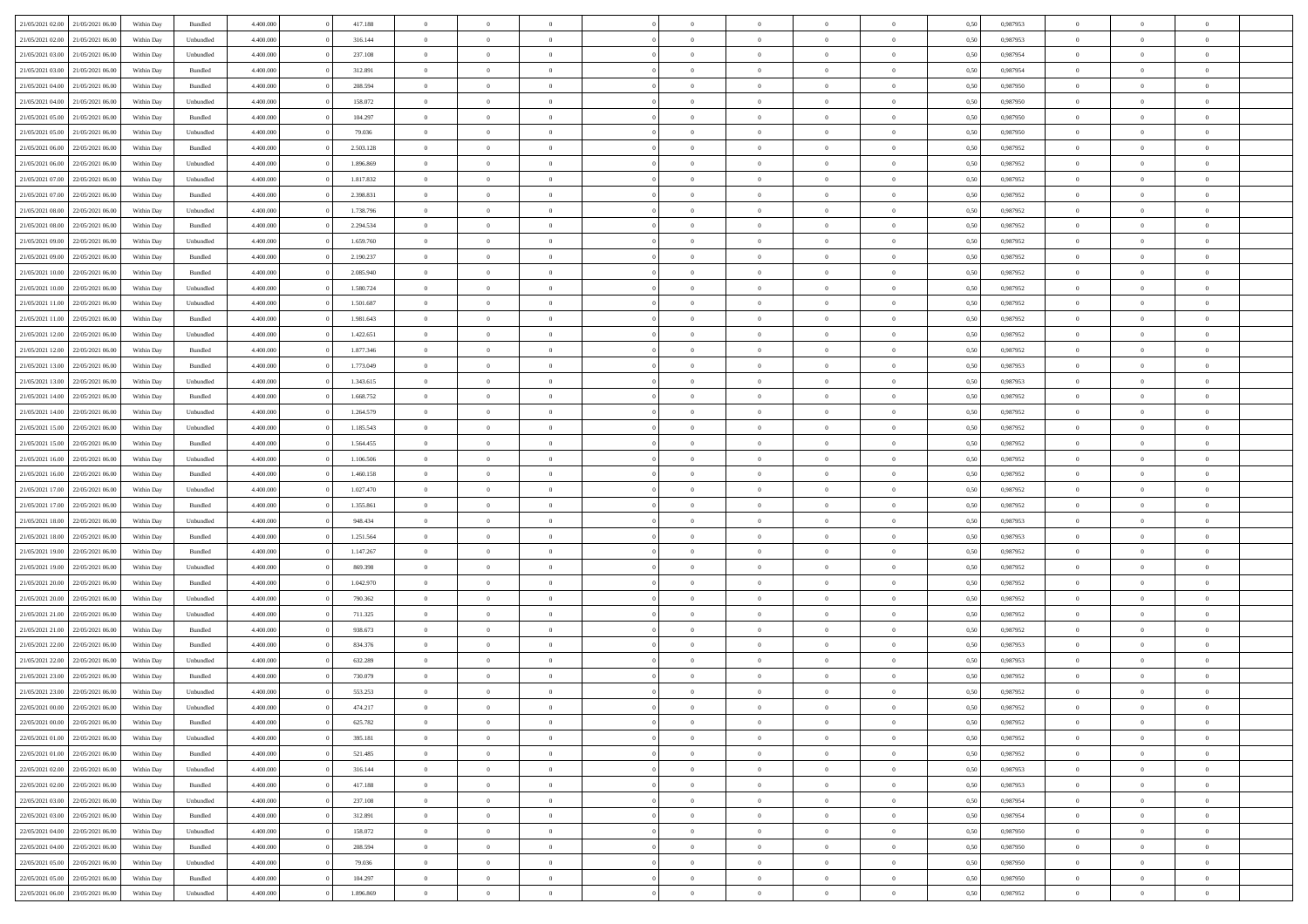| 21/05/2021 02:00                  | 21/05/2021 06:00 | Within Day | Bundled   | 4.400.000 | 417.188   | $\overline{0}$ | $\Omega$       |                | $\Omega$       | $\Omega$       | $\Omega$       | $\theta$       | 0.50 | 0.987953 | $\theta$       | $\theta$       | $\theta$       |  |
|-----------------------------------|------------------|------------|-----------|-----------|-----------|----------------|----------------|----------------|----------------|----------------|----------------|----------------|------|----------|----------------|----------------|----------------|--|
| 21/05/2021 02:00                  | 21/05/2021 06:00 | Within Day | Unbundled | 4.400.000 | 316.144   | $\overline{0}$ | $\theta$       | $\overline{0}$ | $\overline{0}$ | $\bf{0}$       | $\overline{0}$ | $\overline{0}$ | 0,50 | 0,987953 | $\theta$       | $\theta$       | $\overline{0}$ |  |
| 21/05/2021 03:00                  | 21/05/2021 06:00 | Within Day | Unbundled | 4.400.000 | 237.108   | $\overline{0}$ | $\overline{0}$ | $\overline{0}$ | $\bf{0}$       | $\bf{0}$       | $\bf{0}$       | $\bf{0}$       | 0,50 | 0,987954 | $\overline{0}$ | $\overline{0}$ | $\overline{0}$ |  |
| 21/05/2021 03:00                  | 21/05/2021 06:00 | Within Dav | Bundled   | 4.400.000 | 312.891   | $\overline{0}$ | $\overline{0}$ | $\overline{0}$ | $\overline{0}$ | $\bf{0}$       | $\overline{0}$ | $\overline{0}$ | 0.50 | 0,987954 | $\theta$       | $\theta$       | $\overline{0}$ |  |
|                                   |                  |            |           |           |           |                |                |                |                |                |                |                |      |          |                |                |                |  |
| 21/05/2021 04:00                  | 21/05/2021 06:00 | Within Day | Bundled   | 4.400.000 | 208.594   | $\overline{0}$ | $\theta$       | $\overline{0}$ | $\overline{0}$ | $\bf{0}$       | $\overline{0}$ | $\bf{0}$       | 0,50 | 0,987950 | $\theta$       | $\theta$       | $\overline{0}$ |  |
| 21/05/2021 04:00                  | 21/05/2021 06:00 | Within Day | Unbundled | 4.400.000 | 158.072   | $\overline{0}$ | $\bf{0}$       | $\overline{0}$ | $\bf{0}$       | $\overline{0}$ | $\overline{0}$ | $\mathbf{0}$   | 0,50 | 0,987950 | $\overline{0}$ | $\overline{0}$ | $\bf{0}$       |  |
| 21/05/2021 05:00                  | 21/05/2021 06:00 | Within Dav | Bundled   | 4.400.000 | 104.297   | $\overline{0}$ | $\overline{0}$ | $\overline{0}$ | $\overline{0}$ | $\overline{0}$ | $\overline{0}$ | $\overline{0}$ | 0.50 | 0,987950 | $\theta$       | $\overline{0}$ | $\overline{0}$ |  |
| 21/05/2021 05:00                  | 21/05/2021 06:00 | Within Day | Unbundled | 4.400.000 | 79.036    | $\overline{0}$ | $\theta$       | $\overline{0}$ | $\overline{0}$ | $\bf{0}$       | $\overline{0}$ | $\bf{0}$       | 0,50 | 0,987950 | $\theta$       | $\theta$       | $\overline{0}$ |  |
| 21/05/2021 06:00                  | 22/05/2021 06:00 | Within Day | Bundled   | 4.400.000 | 2.503.128 | $\overline{0}$ | $\overline{0}$ | $\overline{0}$ | $\bf{0}$       | $\bf{0}$       | $\bf{0}$       | $\bf{0}$       | 0,50 | 0,987952 | $\,0\,$        | $\overline{0}$ | $\overline{0}$ |  |
| 21/05/2021 06:00                  | 22/05/2021 06:00 | Within Dav | Unbundled | 4.400.000 | 1.896.869 | $\overline{0}$ | $\overline{0}$ | $\overline{0}$ | $\overline{0}$ | $\overline{0}$ | $\overline{0}$ | $\overline{0}$ | 0.50 | 0,987952 | $\theta$       | $\overline{0}$ | $\overline{0}$ |  |
|                                   |                  |            |           |           |           |                |                |                |                |                |                |                |      |          |                |                |                |  |
| 21/05/2021 07:00                  | 22/05/2021 06:00 | Within Day | Unbundled | 4.400.000 | 1.817.832 | $\overline{0}$ | $\theta$       | $\overline{0}$ | $\overline{0}$ | $\bf{0}$       | $\overline{0}$ | $\bf{0}$       | 0,50 | 0,987952 | $\theta$       | $\theta$       | $\overline{0}$ |  |
| 21/05/2021 07:00                  | 22/05/2021 06:00 | Within Day | Bundled   | 4.400.000 | 2.398.831 | $\overline{0}$ | $\overline{0}$ | $\overline{0}$ | $\bf{0}$       | $\bf{0}$       | $\bf{0}$       | $\bf{0}$       | 0,50 | 0,987952 | $\overline{0}$ | $\overline{0}$ | $\overline{0}$ |  |
| 21/05/2021 08:00                  | 22/05/2021 06:00 | Within Day | Unbundled | 4.400.000 | 1.738.796 | $\overline{0}$ | $\overline{0}$ | $\overline{0}$ | $\overline{0}$ | $\bf{0}$       | $\overline{0}$ | $\overline{0}$ | 0.50 | 0,987952 | $\theta$       | $\theta$       | $\overline{0}$ |  |
| 21/05/2021 08:00                  | 22/05/2021 06:00 | Within Day | Bundled   | 4.400.000 | 2.294.534 | $\overline{0}$ | $\theta$       | $\overline{0}$ | $\overline{0}$ | $\bf{0}$       | $\overline{0}$ | $\overline{0}$ | 0,50 | 0,987952 | $\theta$       | $\theta$       | $\overline{0}$ |  |
| 21/05/2021 09:00                  | 22/05/2021 06:00 | Within Day | Unbundled | 4.400.000 | 1.659.760 | $\overline{0}$ | $\overline{0}$ | $\overline{0}$ | $\bf{0}$       | $\overline{0}$ | $\overline{0}$ | $\mathbf{0}$   | 0,50 | 0,987952 | $\overline{0}$ | $\overline{0}$ | $\bf{0}$       |  |
| 21/05/2021 09:00                  | 22/05/2021 06:00 | Within Dav | Bundled   | 4.400.000 | 2.190.237 | $\overline{0}$ | $\overline{0}$ | $\overline{0}$ | $\overline{0}$ | $\overline{0}$ | $\overline{0}$ | $\overline{0}$ | 0.50 | 0,987952 | $\theta$       | $\overline{0}$ | $\overline{0}$ |  |
|                                   |                  |            |           |           |           |                |                |                |                |                |                |                |      |          |                |                |                |  |
| 21/05/2021 10:00                  | 22/05/2021 06:00 | Within Day | Bundled   | 4.400.000 | 2.085.940 | $\overline{0}$ | $\theta$       | $\overline{0}$ | $\overline{0}$ | $\bf{0}$       | $\overline{0}$ | $\bf{0}$       | 0,50 | 0,987952 | $\theta$       | $\theta$       | $\overline{0}$ |  |
| 21/05/2021 10:00                  | 22/05/2021 06:00 | Within Day | Unbundled | 4.400.000 | 1.580.724 | $\overline{0}$ | $\overline{0}$ | $\overline{0}$ | $\bf{0}$       | $\bf{0}$       | $\bf{0}$       | $\bf{0}$       | 0,50 | 0,987952 | $\,0\,$        | $\overline{0}$ | $\overline{0}$ |  |
| 21/05/2021 11:00                  | 22/05/2021 06:00 | Within Dav | Unbundled | 4.400.000 | 1.501.687 | $\overline{0}$ | $\overline{0}$ | $\overline{0}$ | $\overline{0}$ | $\overline{0}$ | $\overline{0}$ | $\overline{0}$ | 0.50 | 0,987952 | $\theta$       | $\overline{0}$ | $\overline{0}$ |  |
| 21/05/2021 11:00                  | 22/05/2021 06:00 | Within Day | Bundled   | 4.400.000 | 1.981.643 | $\overline{0}$ | $\theta$       | $\overline{0}$ | $\overline{0}$ | $\bf{0}$       | $\overline{0}$ | $\bf{0}$       | 0,50 | 0,987952 | $\theta$       | $\theta$       | $\overline{0}$ |  |
| 21/05/2021 12:00                  | 22/05/2021 06:00 | Within Day | Unbundled | 4.400.000 | 1.422.651 | $\overline{0}$ | $\overline{0}$ | $\overline{0}$ | $\bf{0}$       | $\bf{0}$       | $\bf{0}$       | $\bf{0}$       | 0,50 | 0,987952 | $\bf{0}$       | $\overline{0}$ | $\overline{0}$ |  |
|                                   | 22/05/2021 06:00 |            | Bundled   | 4.400.000 | 1.877.346 | $\overline{0}$ | $\overline{0}$ |                |                | $\bf{0}$       | $\overline{0}$ |                | 0.50 | 0,987952 | $\theta$       | $\theta$       | $\overline{0}$ |  |
| 21/05/2021 12:00                  |                  | Within Day |           |           |           |                |                | $\overline{0}$ | $\overline{0}$ |                |                | $\overline{0}$ |      |          |                |                |                |  |
| 21/05/2021 13:00                  | 22/05/2021 06:00 | Within Day | Bundled   | 4.400.000 | 1.773.049 | $\overline{0}$ | $\theta$       | $\overline{0}$ | $\overline{0}$ | $\bf{0}$       | $\overline{0}$ | $\bf{0}$       | 0,50 | 0,987953 | $\theta$       | $\overline{0}$ | $\overline{0}$ |  |
| 21/05/2021 13:00                  | 22/05/2021 06:00 | Within Day | Unbundled | 4.400.000 | 1.343.615 | $\overline{0}$ | $\bf{0}$       | $\overline{0}$ | $\bf{0}$       | $\overline{0}$ | $\overline{0}$ | $\mathbf{0}$   | 0,50 | 0,987953 | $\bf{0}$       | $\overline{0}$ | $\bf{0}$       |  |
| 21/05/2021 14:00                  | 22/05/2021 06:00 | Within Dav | Bundled   | 4.400.000 | 1.668.752 | $\overline{0}$ | $\overline{0}$ | $\overline{0}$ | $\overline{0}$ | $\overline{0}$ | $\overline{0}$ | $\overline{0}$ | 0.50 | 0,987952 | $\theta$       | $\overline{0}$ | $\overline{0}$ |  |
| 21/05/2021 14:00                  | 22/05/2021 06:00 | Within Day | Unbundled | 4.400.000 | 1.264.579 | $\overline{0}$ | $\theta$       | $\overline{0}$ | $\overline{0}$ | $\bf{0}$       | $\overline{0}$ | $\bf{0}$       | 0,50 | 0,987952 | $\theta$       | $\theta$       | $\overline{0}$ |  |
| 21/05/2021 15:00                  | 22/05/2021 06:00 | Within Day | Unbundled | 4.400.000 | 1.185.543 | $\overline{0}$ | $\overline{0}$ | $\overline{0}$ | $\bf{0}$       | $\bf{0}$       | $\bf{0}$       | $\bf{0}$       | 0,50 | 0,987952 | $\,0\,$        | $\overline{0}$ | $\overline{0}$ |  |
|                                   |                  |            |           |           |           |                | $\overline{0}$ |                |                | $\overline{0}$ |                |                |      |          | $\theta$       | $\overline{0}$ |                |  |
| 21/05/2021 15:00                  | 22/05/2021 06:00 | Within Day | Bundled   | 4.400.000 | 1.564.455 | $\overline{0}$ |                | $\overline{0}$ | $\overline{0}$ |                | $\overline{0}$ | $\overline{0}$ | 0.50 | 0,987952 |                |                | $\overline{0}$ |  |
| 21/05/2021 16:00                  | 22/05/2021 06:00 | Within Day | Unbundled | 4.400.000 | 1.106.506 | $\overline{0}$ | $\theta$       | $\overline{0}$ | $\overline{0}$ | $\bf{0}$       | $\overline{0}$ | $\bf{0}$       | 0,50 | 0,987952 | $\,$ 0 $\,$    | $\overline{0}$ | $\overline{0}$ |  |
| 21/05/2021 16:00                  | 22/05/2021 06:00 | Within Day | Bundled   | 4.400.000 | 1.460.158 | $\overline{0}$ | $\overline{0}$ | $\overline{0}$ | $\bf{0}$       | $\bf{0}$       | $\bf{0}$       | $\bf{0}$       | 0,50 | 0,987952 | $\bf{0}$       | $\overline{0}$ | $\overline{0}$ |  |
| 21/05/2021 17:00                  | 22/05/2021 06:00 | Within Day | Unbundled | 4.400,000 | 1.027.470 | $\overline{0}$ | $\Omega$       | $\Omega$       | $\Omega$       | $\Omega$       | $\Omega$       | $\overline{0}$ | 0.50 | 0,987952 | $\,0\,$        | $\Omega$       | $\theta$       |  |
| 21/05/2021 17:00                  | 22/05/2021 06:00 | Within Day | Bundled   | 4.400.000 | 1.355.861 | $\overline{0}$ | $\theta$       | $\overline{0}$ | $\overline{0}$ | $\bf{0}$       | $\overline{0}$ | $\bf{0}$       | 0,50 | 0,987952 | $\theta$       | $\theta$       | $\overline{0}$ |  |
| 21/05/2021 18:00                  | 22/05/2021 06:00 | Within Day | Unbundled | 4.400.000 | 948.434   | $\overline{0}$ | $\overline{0}$ | $\overline{0}$ | $\overline{0}$ | $\bf{0}$       | $\overline{0}$ | $\mathbf{0}$   | 0,50 | 0,987953 | $\overline{0}$ | $\overline{0}$ | $\bf{0}$       |  |
| 21/05/2021 18:00                  | 22/05/2021 06:00 |            | Bundled   | 4.400,000 | 1.251.564 | $\overline{0}$ | $\Omega$       | $\Omega$       | $\Omega$       | $\bf{0}$       | $\Omega$       | $\overline{0}$ | 0.50 | 0,987953 | $\theta$       | $\theta$       | $\theta$       |  |
|                                   |                  | Within Day |           |           |           |                |                |                |                |                |                |                |      |          |                |                |                |  |
| 21/05/2021 19:00                  | 22/05/2021 06:00 | Within Day | Bundled   | 4.400.000 | 1.147.267 | $\overline{0}$ | $\theta$       | $\overline{0}$ | $\overline{0}$ | $\bf{0}$       | $\overline{0}$ | $\bf{0}$       | 0,50 | 0,987952 | $\theta$       | $\theta$       | $\overline{0}$ |  |
| 21/05/2021 19:00                  | 22/05/2021 06:00 | Within Day | Unbundled | 4.400.000 | 869.398   | $\overline{0}$ | $\overline{0}$ | $\overline{0}$ | $\overline{0}$ | $\bf{0}$       | $\overline{0}$ | $\bf{0}$       | 0,50 | 0,987952 | $\,0\,$        | $\overline{0}$ | $\overline{0}$ |  |
| 21/05/2021 20:00                  | 22/05/2021 06:00 | Within Day | Bundled   | 4.400,000 | 1.042.970 | $\overline{0}$ | $\Omega$       | $\Omega$       | $\Omega$       | $\theta$       | $\theta$       | $\overline{0}$ | 0.50 | 0.987952 | $\theta$       | $\theta$       | $\theta$       |  |
| 21/05/2021 20:00                  | 22/05/2021 06:00 | Within Day | Unbundled | 4.400.000 | 790.362   | $\overline{0}$ | $\theta$       | $\overline{0}$ | $\overline{0}$ | $\bf{0}$       | $\overline{0}$ | $\bf{0}$       | 0,50 | 0,987952 | $\,$ 0 $\,$    | $\overline{0}$ | $\overline{0}$ |  |
| 21/05/2021 21:00                  | 22/05/2021 06:00 | Within Day | Unbundled | 4.400.000 | 711.325   | $\overline{0}$ | $\overline{0}$ | $\overline{0}$ | $\overline{0}$ | $\bf{0}$       | $\overline{0}$ | $\bf{0}$       | 0,50 | 0,987952 | $\overline{0}$ | $\overline{0}$ | $\overline{0}$ |  |
| 21/05/2021 21:00                  | 22/05/2021 06:00 | Within Day | Bundled   | 4.400,000 | 938.673   | $\overline{0}$ | $\Omega$       | $\Omega$       | $\Omega$       | $\Omega$       | $\overline{0}$ | $\overline{0}$ | 0.50 | 0,987952 | $\,0\,$        | $\theta$       | $\theta$       |  |
|                                   |                  |            |           |           |           | $\overline{0}$ | $\theta$       | $\overline{0}$ | $\overline{0}$ | $\bf{0}$       | $\overline{0}$ |                |      |          | $\,$ 0 $\,$    | $\overline{0}$ | $\overline{0}$ |  |
| 21/05/2021 22:00                  | 22/05/2021 06:00 | Within Day | Bundled   | 4.400.000 | 834.376   |                |                |                |                |                |                | $\bf{0}$       | 0,50 | 0,987953 |                |                |                |  |
| 21/05/2021 22.00                  | 22/05/2021 06:00 | Within Day | Unbundled | 4.400.000 | 632.289   | $\overline{0}$ | $\overline{0}$ | $\overline{0}$ | $\overline{0}$ | $\bf{0}$       | $\overline{0}$ | $\mathbf{0}$   | 0,50 | 0,987953 | $\overline{0}$ | $\overline{0}$ | $\bf{0}$       |  |
| 21/05/2021 23:00                  | 22/05/2021 06:00 | Within Day | Bundled   | 4.400,000 | 730,079   | $\overline{0}$ | $\Omega$       | $\Omega$       | $\Omega$       | $\Omega$       | $\Omega$       | $\Omega$       | 0.50 | 0.987952 | $\theta$       | $\theta$       | $\theta$       |  |
| 21/05/2021 23:00                  | 22/05/2021 06:00 | Within Day | Unbundled | 4.400.000 | 553.253   | $\overline{0}$ | $\overline{0}$ | $\overline{0}$ | $\bf{0}$       | $\,$ 0         | $\overline{0}$ | $\bf{0}$       | 0,50 | 0,987952 | $\,0\,$        | $\overline{0}$ | $\overline{0}$ |  |
| 22/05/2021 00:00 22/05/2021 06:00 |                  | Within Day | Unbundled | 4.400.000 | 474.217   | $\bf{0}$       | $\bf{0}$       |                |                | $\bf{0}$       |                |                | 0,50 | 0,987952 | $\bf{0}$       | $\overline{0}$ |                |  |
| 22/05/2021 00:00                  | 22/05/2021 06:00 | Within Day | Bundled   | 4.400.000 | 625.782   | $\overline{0}$ | $\overline{0}$ | $\overline{0}$ | $\Omega$       | $\overline{0}$ | $\overline{0}$ | $\overline{0}$ | 0.50 | 0.987952 | $\theta$       | $\theta$       | $\theta$       |  |
| 22/05/2021 01:00                  | 22/05/2021 06:00 | Within Day | Unbundled | 4.400.000 | 395.181   | $\overline{0}$ | $\bf{0}$       | $\overline{0}$ | $\overline{0}$ | $\,$ 0 $\,$    | $\overline{0}$ | $\,$ 0 $\,$    | 0,50 | 0,987952 | $\,$ 0 $\,$    | $\,$ 0 $\,$    | $\,$ 0         |  |
|                                   |                  |            |           |           |           |                |                |                |                |                |                |                |      |          |                |                |                |  |
| 22/05/2021 01:00                  | 22/05/2021 06:00 | Within Day | Bundled   | 4.400.000 | 521.485   | $\overline{0}$ | $\overline{0}$ | $\overline{0}$ | $\overline{0}$ | $\overline{0}$ | $\overline{0}$ | $\mathbf{0}$   | 0,50 | 0,987952 | $\overline{0}$ | $\overline{0}$ | $\overline{0}$ |  |
| 22/05/2021 02:00                  | 22/05/2021 06:00 | Within Day | Unbundled | 4.400.000 | 316.144   | $\overline{0}$ | $\overline{0}$ | $\overline{0}$ | $\Omega$       | $\overline{0}$ | $\overline{0}$ | $\overline{0}$ | 0,50 | 0,987953 | $\overline{0}$ | $\theta$       | $\overline{0}$ |  |
| 22/05/2021 02:00                  | 22/05/2021 06:00 | Within Day | Bundled   | 4.400.000 | 417.188   | $\overline{0}$ | $\,$ 0         | $\overline{0}$ | $\bf{0}$       | $\,$ 0 $\,$    | $\overline{0}$ | $\,$ 0 $\,$    | 0,50 | 0,987953 | $\,$ 0 $\,$    | $\overline{0}$ | $\,$ 0         |  |
| 22/05/2021 03:00                  | 22/05/2021 06:00 | Within Day | Unbundled | 4.400.000 | 237.108   | $\overline{0}$ | $\overline{0}$ | $\overline{0}$ | $\overline{0}$ | $\overline{0}$ | $\overline{0}$ | $\mathbf{0}$   | 0,50 | 0,987954 | $\overline{0}$ | $\overline{0}$ | $\overline{0}$ |  |
| 22/05/2021 03:00                  | 22/05/2021 06:00 | Within Day | Bundled   | 4.400,000 | 312.891   | $\overline{0}$ | $\overline{0}$ | $\overline{0}$ | $\overline{0}$ | $\overline{0}$ | $\overline{0}$ | $\overline{0}$ | 0.50 | 0,987954 | $\overline{0}$ | $\theta$       | $\overline{0}$ |  |
| 22/05/2021 04:00                  | 22/05/2021 06:00 | Within Day | Unbundled | 4.400.000 | 158.072   | $\overline{0}$ | $\,$ 0         | $\overline{0}$ | $\bf{0}$       | $\bf{0}$       | $\bf{0}$       | $\bf{0}$       | 0,50 | 0,987950 | $\,$ 0 $\,$    | $\overline{0}$ | $\overline{0}$ |  |
|                                   |                  |            |           |           |           |                |                |                |                |                |                |                |      |          |                |                |                |  |
| 22/05/2021 04:00                  | 22/05/2021 06:00 | Within Day | Bundled   | 4.400.000 | 208.594   | $\overline{0}$ | $\bf{0}$       | $\overline{0}$ | $\overline{0}$ | $\overline{0}$ | $\overline{0}$ | $\mathbf{0}$   | 0,50 | 0,987950 | $\overline{0}$ | $\overline{0}$ | $\bf{0}$       |  |
| 22/05/2021 05:00                  | 22/05/2021 06:00 | Within Day | Unbundled | 4.400,000 | 79.036    | $\overline{0}$ | $\overline{0}$ | $\overline{0}$ | $\Omega$       | $\overline{0}$ | $\overline{0}$ | $\overline{0}$ | 0.50 | 0,987950 | $\overline{0}$ | $\overline{0}$ | $\overline{0}$ |  |
| 22/05/2021 05:00                  | 22/05/2021 06:00 | Within Day | Bundled   | 4.400.000 | 104.297   | $\overline{0}$ | $\bf{0}$       | $\overline{0}$ | $\overline{0}$ | $\bf{0}$       | $\bf{0}$       | $\mathbf{0}$   | 0,50 | 0,987950 | $\,$ 0 $\,$    | $\,$ 0 $\,$    | $\bf{0}$       |  |
| 22/05/2021 06:00 23/05/2021 06:00 |                  | Within Day | Unbundled | 4.400.000 | 1.896.869 | $\overline{0}$ | $\bf{0}$       | $\overline{0}$ | $\overline{0}$ | $\bf{0}$       | $\bf{0}$       | $\bf{0}$       | 0,50 | 0,987952 | $\overline{0}$ | $\overline{0}$ | $\bf{0}$       |  |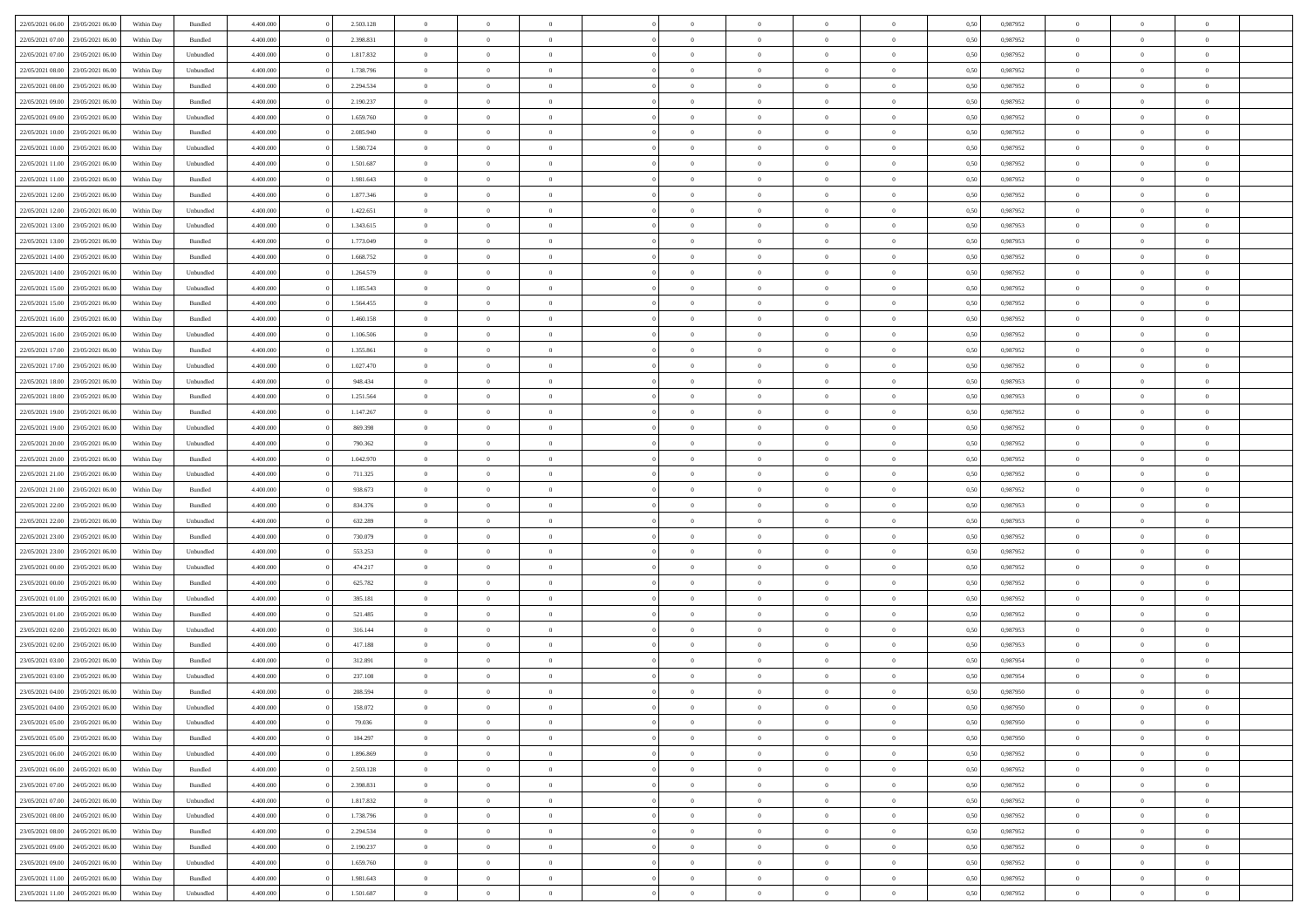| 22/05/2021 06:00 23/05/2021 06:00    | Within Day | Bundled   | 4.400.000 | 2.503.128 | $\overline{0}$ | $\overline{0}$ | $\Omega$       | $\Omega$       | $\theta$       | $\Omega$       | $\overline{0}$ | 0,50 | 0,987952 | $\theta$       | $\theta$       | $\theta$       |  |
|--------------------------------------|------------|-----------|-----------|-----------|----------------|----------------|----------------|----------------|----------------|----------------|----------------|------|----------|----------------|----------------|----------------|--|
| 22/05/2021 07:00<br>23/05/2021 06:00 | Within Day | Bundled   | 4.400.000 | 2.398.831 | $\overline{0}$ | $\overline{0}$ | $\overline{0}$ | $\overline{0}$ | $\theta$       | $\overline{0}$ | $\bf{0}$       | 0,50 | 0,987952 | $\theta$       | $\theta$       | $\overline{0}$ |  |
| 22/05/2021 07:00<br>23/05/2021 06:00 | Within Day | Unbundled | 4.400.000 | 1.817.832 | $\overline{0}$ | $\bf{0}$       | $\overline{0}$ | $\overline{0}$ | $\overline{0}$ | $\overline{0}$ | $\bf{0}$       | 0,50 | 0,987952 | $\bf{0}$       | $\overline{0}$ | $\overline{0}$ |  |
| 22/05/2021 08:00<br>23/05/2021 06:00 | Within Day | Unbundled | 4.400.000 | 1.738.796 | $\overline{0}$ | $\overline{0}$ | $\overline{0}$ | $\overline{0}$ | $\theta$       | $\overline{0}$ | $\overline{0}$ | 0.50 | 0,987952 | $\theta$       | $\theta$       | $\overline{0}$ |  |
| 22/05/2021 08:00<br>23/05/2021 06:00 | Within Day | Bundled   | 4.400.000 | 2.294.534 | $\overline{0}$ | $\overline{0}$ | $\overline{0}$ | $\overline{0}$ | $\theta$       | $\overline{0}$ | $\bf{0}$       | 0,50 | 0,987952 | $\theta$       | $\theta$       | $\overline{0}$ |  |
|                                      |            |           |           |           |                |                |                |                |                |                |                |      |          |                |                |                |  |
| 22/05/2021 09:00<br>23/05/2021 06:00 | Within Day | Bundled   | 4.400.000 | 2.190.237 | $\overline{0}$ | $\bf{0}$       | $\overline{0}$ | $\overline{0}$ | $\overline{0}$ | $\overline{0}$ | $\bf{0}$       | 0,50 | 0,987952 | $\overline{0}$ | $\overline{0}$ | $\bf{0}$       |  |
| 22/05/2021 09:00<br>23/05/2021 06:00 | Within Day | Unbundled | 4.400.000 | 1.659.760 | $\overline{0}$ | $\overline{0}$ | $\overline{0}$ | $\overline{0}$ | $\overline{0}$ | $\overline{0}$ | $\overline{0}$ | 0.5( | 0,987952 | $\theta$       | $\theta$       | $\overline{0}$ |  |
| 22/05/2021 10:00<br>23/05/2021 06:00 | Within Day | Bundled   | 4.400.000 | 2.085.940 | $\overline{0}$ | $\overline{0}$ | $\overline{0}$ | $\overline{0}$ | $\theta$       | $\overline{0}$ | $\bf{0}$       | 0,50 | 0,987952 | $\theta$       | $\theta$       | $\overline{0}$ |  |
| 22/05/2021 10:00<br>23/05/2021 06:00 | Within Day | Unbundled | 4.400.000 | 1.580.724 | $\overline{0}$ | $\bf{0}$       | $\overline{0}$ | $\overline{0}$ | $\overline{0}$ | $\overline{0}$ | $\bf{0}$       | 0,50 | 0,987952 | $\bf{0}$       | $\bf{0}$       | $\overline{0}$ |  |
| 22/05/2021 11:00<br>23/05/2021 06:00 | Within Day | Unbundled | 4.400.000 | 1.501.687 | $\overline{0}$ | $\overline{0}$ | $\overline{0}$ | $\overline{0}$ | $\overline{0}$ | $\overline{0}$ | $\overline{0}$ | 0.5( | 0,987952 | $\theta$       | $\theta$       | $\overline{0}$ |  |
| 22/05/2021 11:00<br>23/05/2021 06:00 | Within Day | Bundled   | 4.400.000 | 1.981.643 | $\bf{0}$       | $\overline{0}$ | $\overline{0}$ | $\overline{0}$ | $\theta$       | $\overline{0}$ | $\bf{0}$       | 0,50 | 0,987952 | $\theta$       | $\theta$       | $\overline{0}$ |  |
| 22/05/2021 12:00<br>23/05/2021 06:00 | Within Day | Bundled   | 4.400.000 | 1.877.346 | $\overline{0}$ | $\bf{0}$       | $\overline{0}$ | $\overline{0}$ | $\bf{0}$       | $\overline{0}$ | $\bf{0}$       | 0,50 | 0,987952 | $\bf{0}$       | $\overline{0}$ | $\overline{0}$ |  |
| 22/05/2021 12:00<br>23/05/2021 06:00 | Within Day | Unbundled | 4.400.000 | 1.422.651 | $\overline{0}$ | $\overline{0}$ | $\overline{0}$ | $\overline{0}$ | $\overline{0}$ | $\overline{0}$ | $\overline{0}$ | 0.5( | 0,987952 | $\theta$       | $\theta$       | $\overline{0}$ |  |
| 22/05/2021 13:00<br>23/05/2021 06:00 | Within Day | Unbundled | 4.400.000 | 1.343.615 | $\overline{0}$ | $\theta$       | $\overline{0}$ | $\overline{0}$ | $\theta$       | $\overline{0}$ | $\bf{0}$       | 0,50 | 0,987953 | $\theta$       | $\theta$       | $\overline{0}$ |  |
| 22/05/2021 13:00<br>23/05/2021 06:00 | Within Day | Bundled   | 4.400.000 | 1.773.049 | $\overline{0}$ | $\bf{0}$       | $\overline{0}$ | $\overline{0}$ | $\overline{0}$ | $\overline{0}$ | $\bf{0}$       | 0,50 | 0,987953 | $\bf{0}$       | $\overline{0}$ | $\bf{0}$       |  |
|                                      |            |           |           |           |                | $\overline{0}$ |                |                |                |                |                |      |          | $\theta$       | $\theta$       | $\overline{0}$ |  |
| 22/05/2021 14:00<br>23/05/2021 06:00 | Within Day | Bundled   | 4.400.000 | 1.668.752 | $\overline{0}$ |                | $\overline{0}$ | $\overline{0}$ | $\overline{0}$ | $\overline{0}$ | $\overline{0}$ | 0.5( | 0,987952 |                |                |                |  |
| 22/05/2021 14:00<br>23/05/2021 06:00 | Within Day | Unbundled | 4.400.000 | 1.264.579 | $\bf{0}$       | $\overline{0}$ | $\overline{0}$ | $\overline{0}$ | $\theta$       | $\overline{0}$ | $\bf{0}$       | 0,50 | 0,987952 | $\theta$       | $\theta$       | $\overline{0}$ |  |
| 22/05/2021 15:00<br>23/05/2021 06:00 | Within Day | Unbundled | 4.400.000 | 1.185.543 | $\overline{0}$ | $\bf{0}$       | $\overline{0}$ | $\overline{0}$ | $\overline{0}$ | $\overline{0}$ | $\bf{0}$       | 0,50 | 0,987952 | $\bf{0}$       | $\overline{0}$ | $\overline{0}$ |  |
| 22/05/2021 15:00<br>23/05/2021 06:00 | Within Day | Bundled   | 4.400.000 | 1.564.455 | $\overline{0}$ | $\overline{0}$ | $\overline{0}$ | $\overline{0}$ | $\overline{0}$ | $\overline{0}$ | $\overline{0}$ | 0.5( | 0,987952 | $\theta$       | $\theta$       | $\overline{0}$ |  |
| 22/05/2021 16:00<br>23/05/2021 06:00 | Within Day | Bundled   | 4.400.000 | 1.460.158 | $\bf{0}$       | $\overline{0}$ | $\overline{0}$ | $\overline{0}$ | $\theta$       | $\overline{0}$ | $\bf{0}$       | 0,50 | 0,987952 | $\theta$       | $\theta$       | $\overline{0}$ |  |
| 22/05/2021 16:00<br>23/05/2021 06:00 | Within Day | Unbundled | 4.400.000 | 1.106.506 | $\overline{0}$ | $\bf{0}$       | $\overline{0}$ | $\overline{0}$ | $\overline{0}$ | $\overline{0}$ | $\bf{0}$       | 0,50 | 0,987952 | $\bf{0}$       | $\overline{0}$ | $\overline{0}$ |  |
| 22/05/2021 17:00<br>23/05/2021 06:00 | Within Day | Bundled   | 4.400.000 | 1.355.861 | $\overline{0}$ | $\overline{0}$ | $\overline{0}$ | $\overline{0}$ | $\overline{0}$ | $\overline{0}$ | $\overline{0}$ | 0.50 | 0.987952 | $\theta$       | $\theta$       | $\overline{0}$ |  |
| 22/05/2021 17:00<br>23/05/2021 06:00 | Within Day | Unbundled | 4.400.000 | 1.027.470 | $\overline{0}$ | $\overline{0}$ | $\overline{0}$ | $\overline{0}$ | $\theta$       | $\overline{0}$ | $\bf{0}$       | 0,50 | 0,987952 | $\theta$       | $\theta$       | $\overline{0}$ |  |
| 22/05/2021 18:00<br>23/05/2021 06:00 | Within Day | Unbundled | 4.400.000 | 948.434   | $\overline{0}$ | $\bf{0}$       | $\overline{0}$ | $\overline{0}$ | $\overline{0}$ | $\overline{0}$ | $\bf{0}$       | 0,50 | 0,987953 | $\overline{0}$ | $\overline{0}$ | $\bf{0}$       |  |
| 22/05/2021 18:00<br>23/05/2021 06:00 | Within Day | Bundled   | 4.400.000 | 1.251.564 | $\overline{0}$ | $\overline{0}$ | $\overline{0}$ | $\overline{0}$ | $\overline{0}$ | $\overline{0}$ | $\overline{0}$ | 0.5( | 0,987953 | $\theta$       | $\theta$       | $\overline{0}$ |  |
| 22/05/2021 19:00<br>23/05/2021 06:00 | Within Day | Bundled   | 4.400.000 | 1.147.267 | $\bf{0}$       | $\overline{0}$ | $\overline{0}$ | $\overline{0}$ | $\theta$       | $\overline{0}$ | $\bf{0}$       | 0,50 | 0,987952 | $\theta$       | $\theta$       | $\overline{0}$ |  |
|                                      |            |           |           |           |                | $\bf{0}$       |                |                | $\overline{0}$ |                |                |      |          | $\bf{0}$       | $\bf{0}$       | $\overline{0}$ |  |
| 22/05/2021 19:00<br>23/05/2021 06:00 | Within Day | Unbundled | 4.400.000 | 869.398   | $\overline{0}$ |                | $\overline{0}$ | $\overline{0}$ |                | $\bf{0}$       | $\bf{0}$       | 0,50 | 0,987952 |                |                |                |  |
| 22/05/2021 20:00<br>23/05/2021 06:00 | Within Day | Unbundled | 4.400.000 | 790.362   | $\overline{0}$ | $\overline{0}$ | $\overline{0}$ | $\overline{0}$ | $\overline{0}$ | $\overline{0}$ | $\overline{0}$ | 0.5( | 0,987952 | $\theta$       | $\theta$       | $\overline{0}$ |  |
| 22/05/2021 20:00<br>23/05/2021 06:00 | Within Day | Bundled   | 4.400.000 | 1.042.970 | $\bf{0}$       | $\overline{0}$ | $\overline{0}$ | $\overline{0}$ | $\theta$       | $\overline{0}$ | $\bf{0}$       | 0,50 | 0,987952 | $\theta$       | $\theta$       | $\overline{0}$ |  |
| 22/05/2021 21:00<br>23/05/2021 06:00 | Within Day | Unbundled | 4.400.000 | 711.325   | $\overline{0}$ | $\bf{0}$       | $\overline{0}$ | $\overline{0}$ | $\bf{0}$       | $\overline{0}$ | $\bf{0}$       | 0,50 | 0,987952 | $\bf{0}$       | $\overline{0}$ | $\overline{0}$ |  |
| 22/05/2021 21:00<br>23/05/2021 06:00 | Within Day | Bundled   | 4,400,000 | 938.673   | $\overline{0}$ | $\overline{0}$ | $\Omega$       | $\Omega$       | $\Omega$       | $\theta$       | $\overline{0}$ | 0.50 | 0,987952 | $\,$ 0 $\,$    | $\Omega$       | $\theta$       |  |
| 22/05/2021 22:00<br>23/05/2021 06:00 | Within Day | Bundled   | 4.400.000 | 834.376   | $\overline{0}$ | $\overline{0}$ | $\overline{0}$ | $\overline{0}$ | $\theta$       | $\overline{0}$ | $\bf{0}$       | 0,50 | 0,987953 | $\theta$       | $\theta$       | $\overline{0}$ |  |
| 22/05/2021 22:00<br>23/05/2021 06:00 | Within Day | Unbundled | 4.400.000 | 632.289   | $\overline{0}$ | $\bf{0}$       | $\overline{0}$ | $\overline{0}$ | $\overline{0}$ | $\overline{0}$ | $\bf{0}$       | 0,50 | 0,987953 | $\bf{0}$       | $\overline{0}$ | $\bf{0}$       |  |
| 22/05/2021 23:00<br>23/05/2021 06:00 | Within Day | Bundled   | 4,400,000 | 730,079   | $\overline{0}$ | $\overline{0}$ | $\Omega$       | $\Omega$       | $\overline{0}$ | $\Omega$       | $\overline{0}$ | 0.50 | 0,987952 | $\theta$       | $\overline{0}$ | $\theta$       |  |
| 22/05/2021 23:00<br>23/05/2021 06:00 | Within Day | Unbundled | 4.400.000 | 553.253   | $\bf{0}$       | $\overline{0}$ | $\overline{0}$ | $\overline{0}$ | $\theta$       | $\overline{0}$ | $\bf{0}$       | 0,50 | 0,987952 | $\theta$       | $\theta$       | $\overline{0}$ |  |
| 23/05/2021 00:00<br>23/05/2021 06:00 | Within Day | Unbundled | 4.400.000 | 474.217   | $\overline{0}$ | $\bf{0}$       | $\overline{0}$ | $\overline{0}$ | $\overline{0}$ | $\bf{0}$       | $\bf{0}$       | 0,50 | 0,987952 | $\bf{0}$       | $\overline{0}$ | $\overline{0}$ |  |
| 23/05/2021 00:00<br>23/05/2021 06:00 | Within Day | Bundled   | 4,400,000 | 625.782   | $\overline{0}$ | $\overline{0}$ | $\Omega$       | $\Omega$       | $\Omega$       | $\Omega$       | $\overline{0}$ | 0.50 | 0.987952 | $\theta$       | $\Omega$       | $\theta$       |  |
| 23/05/2021 01:00<br>23/05/2021 06:00 | Within Day | Unbundled | 4.400.000 | 395.181   | $\bf{0}$       | $\overline{0}$ | $\overline{0}$ | $\overline{0}$ | $\theta$       | $\overline{0}$ | $\bf{0}$       | 0,50 | 0,987952 | $\theta$       | $\theta$       | $\overline{0}$ |  |
| 23/05/2021 01:00<br>23/05/2021 06:00 | Within Day | Bundled   | 4.400.000 | 521.485   | $\overline{0}$ | $\bf{0}$       | $\overline{0}$ | $\overline{0}$ | $\overline{0}$ | $\overline{0}$ | $\bf{0}$       | 0,50 | 0,987952 | $\bf{0}$       | $\overline{0}$ | $\overline{0}$ |  |
|                                      |            |           |           |           |                |                |                |                |                |                |                |      |          |                |                |                |  |
| 23/05/2021 02:00<br>23/05/2021 06:00 | Within Day | Unbundled | 4,400,000 | 316.144   | $\overline{0}$ | $\overline{0}$ | $\Omega$       | $\Omega$       | $\theta$       | $\Omega$       | $\overline{0}$ | 0.50 | 0,987953 | $\,$ 0 $\,$    | $\overline{0}$ | $\theta$       |  |
| 23/05/2021 02:00<br>23/05/2021 06:00 | Within Day | Bundled   | 4.400.000 | 417.188   | $\bf{0}$       | $\overline{0}$ | $\overline{0}$ | $\overline{0}$ | $\theta$       | $\overline{0}$ | $\bf{0}$       | 0,50 | 0,987953 | $\theta$       | $\theta$       | $\overline{0}$ |  |
| 23/05/2021 03:00<br>23/05/2021 06:00 | Within Day | Bundled   | 4.400.000 | 312.891   | $\overline{0}$ | $\bf{0}$       | $\overline{0}$ | $\overline{0}$ | $\bf{0}$       | $\overline{0}$ | $\bf{0}$       | 0,50 | 0,987954 | $\overline{0}$ | $\overline{0}$ | $\bf{0}$       |  |
| 23/05/2021 03:00<br>23/05/2021 06:00 | Within Day | Unbundled | 4,400,000 | 237.108   | $\overline{0}$ | $\Omega$       | $\Omega$       | $\Omega$       | $\Omega$       | $\theta$       | $\overline{0}$ | 0.50 | 0.987954 | $\theta$       | $\Omega$       | $\theta$       |  |
| 23/05/2021 04:00 23/05/2021 06:00    | Within Day | Bundled   | 4.400.000 | 208.594   | $\bf{0}$       | $\bf{0}$       | $\overline{0}$ | $\overline{0}$ | $\bf{0}$       | $\overline{0}$ | $\bf{0}$       | 0,50 | 0,987950 | $\bf{0}$       | $\bf{0}$       | $\overline{0}$ |  |
| 23/05/2021 04:00 23/05/2021 06:00    | Within Day | Unbundled | 4.400.000 | 158.072   |                | $\bf{0}$       |                |                |                |                |                | 0,50 | 0,987950 | $\bf{0}$       | $\bf{0}$       |                |  |
| 23/05/2021 05:00 23/05/2021 06:00    | Within Day | Unbundled | 4.400.000 | 79.036    | $\Omega$       | $\overline{0}$ | $\Omega$       | $\theta$       | $\overline{0}$ | $\theta$       | $\overline{0}$ | 0.50 | 0.987950 | $\theta$       | $\theta$       | $\theta$       |  |
| 23/05/2021 05:00<br>23/05/2021 06:00 | Within Day | Bundled   | 4.400.000 | 104.297   | $\overline{0}$ | $\overline{0}$ | $\overline{0}$ | $\overline{0}$ | $\overline{0}$ | $\overline{0}$ | $\,$ 0 $\,$    | 0,50 | 0,987950 | $\,$ 0 $\,$    | $\,$ 0 $\,$    | $\,$ 0         |  |
| 24/05/2021 06:00<br>23/05/2021 06:00 | Within Day | Unbundled | 4.400.000 | 1.896.869 | $\overline{0}$ | $\overline{0}$ | $\overline{0}$ | $\overline{0}$ | $\overline{0}$ | $\overline{0}$ | $\bf{0}$       | 0,50 | 0,987952 | $\overline{0}$ | $\bf{0}$       | $\overline{0}$ |  |
| 23/05/2021 06:00<br>24/05/2021 06:00 | Within Day | Bundled   | 4.400.000 | 2.503.128 | $\overline{0}$ | $\bf{0}$       | $\overline{0}$ | $\overline{0}$ | $\overline{0}$ | $\overline{0}$ | $\bf{0}$       | 0,50 | 0,987952 | $\bf{0}$       | $\theta$       | $\overline{0}$ |  |
| 23/05/2021 07:00<br>24/05/2021 06:00 | Within Day | Bundled   | 4.400.000 | 2.398.831 | $\overline{0}$ | $\overline{0}$ | $\overline{0}$ | $\overline{0}$ | $\overline{0}$ | $\overline{0}$ | $\bf{0}$       | 0,50 | 0,987952 | $\,$ 0 $\,$    | $\,$ 0 $\,$    | $\overline{0}$ |  |
| 23/05/2021 07:00<br>24/05/2021 06:00 | Within Day | Unbundled | 4.400.000 | 1.817.832 | $\overline{0}$ | $\overline{0}$ | $\overline{0}$ | $\overline{0}$ | $\mathbf{0}$   | $\overline{0}$ | $\bf{0}$       | 0,50 | 0,987952 | $\overline{0}$ | $\overline{0}$ | $\overline{0}$ |  |
|                                      |            |           |           |           |                |                |                |                |                |                |                |      |          |                |                |                |  |
| 23/05/2021 08:00<br>24/05/2021 06:00 | Within Day | Unbundled | 4.400.000 | 1.738.796 | $\overline{0}$ | $\bf{0}$       | $\overline{0}$ | $\overline{0}$ | $\overline{0}$ | $\overline{0}$ | $\bf{0}$       | 0.50 | 0,987952 | $\overline{0}$ | $\theta$       | $\overline{0}$ |  |
| 23/05/2021 08:00<br>24/05/2021 06:00 | Within Day | Bundled   | 4.400.000 | 2.294.534 | $\overline{0}$ | $\overline{0}$ | $\overline{0}$ | $\overline{0}$ | $\overline{0}$ | $\overline{0}$ | $\bf{0}$       | 0,50 | 0,987952 | $\,$ 0 $\,$    | $\bf{0}$       | $\overline{0}$ |  |
| 24/05/2021 06:00<br>23/05/2021 09:00 | Within Day | Bundled   | 4.400.000 | 2.190.237 | $\overline{0}$ | $\bf{0}$       | $\overline{0}$ | $\overline{0}$ | $\overline{0}$ | $\overline{0}$ | $\bf{0}$       | 0,50 | 0,987952 | $\overline{0}$ | $\overline{0}$ | $\bf{0}$       |  |
| 24/05/2021 06:00<br>23/05/2021 09:00 | Within Day | Unbundled | 4.400.000 | 1.659.760 | $\overline{0}$ | $\overline{0}$ | $\overline{0}$ | $\overline{0}$ | $\overline{0}$ | $\overline{0}$ | $\bf{0}$       | 0.50 | 0,987952 | $\overline{0}$ | $\theta$       | $\overline{0}$ |  |
| 23/05/2021 11:00<br>24/05/2021 06:00 | Within Day | Bundled   | 4.400.000 | 1.981.643 | $\overline{0}$ | $\,$ 0         | $\overline{0}$ | $\overline{0}$ | $\bf{0}$       | $\overline{0}$ | $\bf{0}$       | 0,50 | 0,987952 | $\,$ 0 $\,$    | $\,$ 0 $\,$    | $\bf{0}$       |  |
| 23/05/2021 11:00 24/05/2021 06:00    | Within Day | Unbundled | 4.400.000 | 1.501.687 | $\overline{0}$ | $\bf{0}$       | $\overline{0}$ | $\overline{0}$ | $\overline{0}$ | $\overline{0}$ | $\bf{0}$       | 0,50 | 0,987952 | $\overline{0}$ | $\bf{0}$       | $\overline{0}$ |  |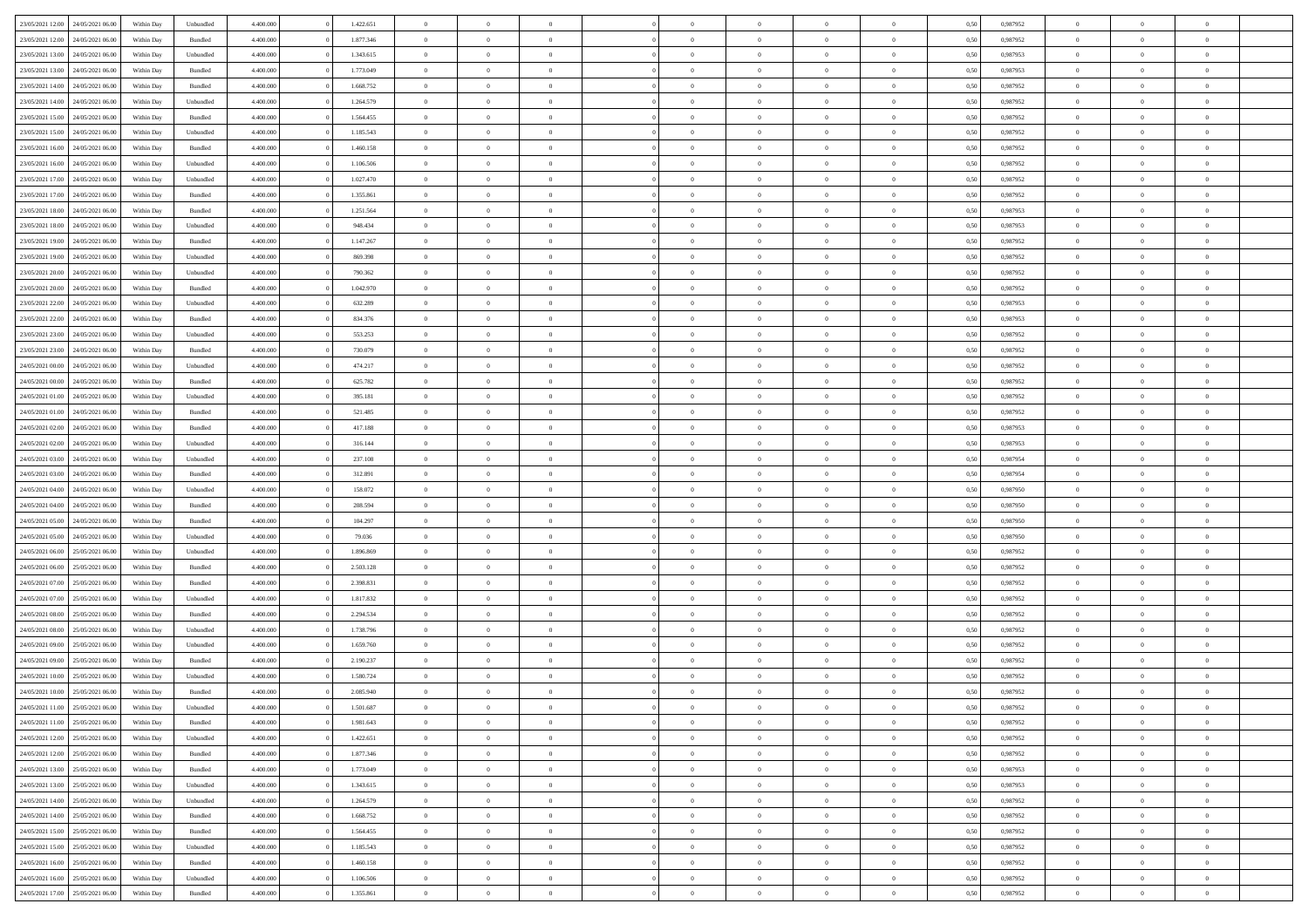| 23/05/2021 12:00                  | 24/05/2021 06:00 | Within Day | Unbundled | 4.400.000 | 1.422.651 | $\overline{0}$ | $\theta$       |                | $\Omega$       | $\Omega$       | $\theta$       | $\theta$       | 0,50 | 0,987952 | $\theta$       | $\overline{0}$ | $\theta$       |  |
|-----------------------------------|------------------|------------|-----------|-----------|-----------|----------------|----------------|----------------|----------------|----------------|----------------|----------------|------|----------|----------------|----------------|----------------|--|
|                                   |                  |            |           |           |           |                |                |                |                |                |                |                |      |          |                |                |                |  |
| 23/05/2021 12:00                  | 24/05/2021 06.00 | Within Day | Bundled   | 4.400.000 | 1.877.346 | $\overline{0}$ | $\theta$       | $\overline{0}$ | $\overline{0}$ | $\bf{0}$       | $\overline{0}$ | $\bf{0}$       | 0,50 | 0,987952 | $\theta$       | $\overline{0}$ | $\overline{0}$ |  |
| 23/05/2021 13:00                  | 24/05/2021 06:00 | Within Day | Unbundled | 4.400.000 | 1.343.615 | $\overline{0}$ | $\bf{0}$       | $\overline{0}$ | $\overline{0}$ | $\bf{0}$       | $\overline{0}$ | $\mathbf{0}$   | 0,50 | 0,987953 | $\overline{0}$ | $\overline{0}$ | $\bf{0}$       |  |
| 23/05/2021 13:00                  | 24/05/2021 06:00 | Within Dav | Bundled   | 4.400.000 | 1.773.049 | $\overline{0}$ | $\overline{0}$ | $\overline{0}$ | $\overline{0}$ | $\bf{0}$       | $\overline{0}$ | $\overline{0}$ | 0.50 | 0,987953 | $\theta$       | $\theta$       | $\overline{0}$ |  |
| 23/05/2021 14:00                  | 24/05/2021 06.00 | Within Day | Bundled   | 4.400.000 | 1.668.752 | $\overline{0}$ | $\theta$       | $\overline{0}$ | $\overline{0}$ | $\bf{0}$       | $\overline{0}$ | $\bf{0}$       | 0,50 | 0,987952 | $\theta$       | $\overline{0}$ | $\overline{0}$ |  |
|                                   |                  |            |           |           |           |                |                |                |                |                |                |                |      |          |                |                |                |  |
| 23/05/2021 14:00                  | 24/05/2021 06:00 | Within Day | Unbundled | 4.400.000 | 1.264.579 | $\overline{0}$ | $\overline{0}$ | $\overline{0}$ | $\overline{0}$ | $\overline{0}$ | $\overline{0}$ | $\mathbf{0}$   | 0,50 | 0,987952 | $\overline{0}$ | $\overline{0}$ | $\bf{0}$       |  |
| 23/05/2021 15:00                  | 24/05/2021 06.00 | Within Dav | Bundled   | 4.400.000 | 1.564.455 | $\overline{0}$ | $\overline{0}$ | $\overline{0}$ | $\overline{0}$ | $\overline{0}$ | $\overline{0}$ | $\overline{0}$ | 0.50 | 0,987952 | $\theta$       | $\overline{0}$ | $\overline{0}$ |  |
| 23/05/2021 15:00                  | 24/05/2021 06.00 | Within Day | Unbundled | 4.400.000 | 1.185.543 | $\overline{0}$ | $\theta$       | $\overline{0}$ | $\overline{0}$ | $\bf{0}$       | $\overline{0}$ | $\bf{0}$       | 0,50 | 0,987952 | $\theta$       | $\theta$       | $\overline{0}$ |  |
| 23/05/2021 16:00                  | 24/05/2021 06:00 | Within Day | Bundled   | 4.400.000 | 1.460.158 | $\overline{0}$ | $\overline{0}$ | $\overline{0}$ | $\bf{0}$       | $\bf{0}$       | $\bf{0}$       | $\bf{0}$       | 0,50 | 0,987952 | $\,0\,$        | $\overline{0}$ | $\overline{0}$ |  |
| 23/05/2021 16:00                  | 24/05/2021 06:00 | Within Dav | Unbundled | 4.400.000 | 1.106.506 | $\overline{0}$ | $\overline{0}$ | $\overline{0}$ | $\overline{0}$ | $\overline{0}$ | $\overline{0}$ | $\overline{0}$ | 0.50 | 0,987952 | $\theta$       | $\overline{0}$ | $\overline{0}$ |  |
| 23/05/2021 17:00                  | 24/05/2021 06.00 | Within Day | Unbundled | 4.400.000 | 1.027.470 | $\overline{0}$ | $\theta$       | $\overline{0}$ | $\overline{0}$ | $\bf{0}$       | $\overline{0}$ | $\bf{0}$       | 0,50 | 0,987952 | $\,$ 0 $\,$    | $\overline{0}$ | $\overline{0}$ |  |
|                                   |                  |            |           |           |           |                |                |                |                |                |                |                |      |          |                |                |                |  |
| 23/05/2021 17:00                  | 24/05/2021 06:00 | Within Day | Bundled   | 4.400.000 | 1.355.861 | $\overline{0}$ | $\bf{0}$       | $\overline{0}$ | $\bf{0}$       | $\bf{0}$       | $\bf{0}$       | $\mathbf{0}$   | 0,50 | 0,987952 | $\overline{0}$ | $\overline{0}$ | $\bf{0}$       |  |
| 23/05/2021 18:00                  | 24/05/2021 06:00 | Within Day | Bundled   | 4.400.000 | 1.251.564 | $\overline{0}$ | $\overline{0}$ | $\overline{0}$ | $\overline{0}$ | $\bf{0}$       | $\overline{0}$ | $\overline{0}$ | 0.50 | 0,987953 | $\theta$       | $\theta$       | $\overline{0}$ |  |
| 23/05/2021 18:00                  | 24/05/2021 06.00 | Within Day | Unbundled | 4.400.000 | 948.434   | $\overline{0}$ | $\theta$       | $\overline{0}$ | $\overline{0}$ | $\bf{0}$       | $\overline{0}$ | $\bf{0}$       | 0,50 | 0,987953 | $\theta$       | $\overline{0}$ | $\overline{0}$ |  |
| 23/05/2021 19:00                  | 24/05/2021 06:00 | Within Day | Bundled   | 4.400.000 | 1.147.267 | $\overline{0}$ | $\overline{0}$ | $\overline{0}$ | $\bf{0}$       | $\overline{0}$ | $\overline{0}$ | $\mathbf{0}$   | 0,50 | 0,987952 | $\overline{0}$ | $\overline{0}$ | $\bf{0}$       |  |
| 23/05/2021 19:00                  | 24/05/2021 06:00 | Within Dav | Unbundled | 4.400.000 | 869.398   | $\overline{0}$ | $\overline{0}$ | $\overline{0}$ | $\overline{0}$ | $\overline{0}$ | $\overline{0}$ | $\overline{0}$ | 0.50 | 0,987952 | $\theta$       | $\overline{0}$ | $\overline{0}$ |  |
| 23/05/2021 20:00                  | 24/05/2021 06.00 | Within Day | Unbundled | 4.400.000 | 790.362   | $\overline{0}$ | $\theta$       | $\overline{0}$ | $\overline{0}$ | $\bf{0}$       | $\overline{0}$ | $\bf{0}$       | 0,50 | 0,987952 | $\theta$       | $\theta$       | $\overline{0}$ |  |
| 23/05/2021 20:00                  | 24/05/2021 06:00 | Within Day | Bundled   | 4.400.000 | 1.042.970 | $\overline{0}$ | $\overline{0}$ | $\overline{0}$ | $\bf{0}$       | $\bf{0}$       | $\bf{0}$       | $\mathbf{0}$   | 0,50 | 0,987952 | $\,0\,$        | $\overline{0}$ | $\bf{0}$       |  |
| 23/05/2021 22:00                  | 24/05/2021 06.00 |            | Unbundled | 4.400.000 | 632.289   | $\overline{0}$ | $\overline{0}$ | $\overline{0}$ | $\overline{0}$ | $\overline{0}$ | $\overline{0}$ | $\overline{0}$ | 0.50 | 0,987953 | $\theta$       | $\overline{0}$ | $\overline{0}$ |  |
|                                   |                  | Within Day |           |           |           |                |                |                |                |                |                |                |      |          |                |                |                |  |
| 23/05/2021 22:00                  | 24/05/2021 06.00 | Within Day | Bundled   | 4.400.000 | 834.376   | $\overline{0}$ | $\theta$       | $\overline{0}$ | $\overline{0}$ | $\bf{0}$       | $\overline{0}$ | $\bf{0}$       | 0,50 | 0,987953 | $\,$ 0 $\,$    | $\overline{0}$ | $\overline{0}$ |  |
| 23/05/2021 23:00                  | 24/05/2021 06:00 | Within Day | Unbundled | 4.400.000 | 553.253   | $\overline{0}$ | $\overline{0}$ | $\overline{0}$ | $\bf{0}$       | $\bf{0}$       | $\bf{0}$       | $\mathbf{0}$   | 0,50 | 0,987952 | $\overline{0}$ | $\overline{0}$ | $\bf{0}$       |  |
| 23/05/2021 23:00                  | 24/05/2021 06:00 | Within Day | Bundled   | 4.400.000 | 730.079   | $\overline{0}$ | $\overline{0}$ | $\overline{0}$ | $\overline{0}$ | $\overline{0}$ | $\overline{0}$ | $\overline{0}$ | 0.50 | 0,987952 | $\theta$       | $\overline{0}$ | $\overline{0}$ |  |
| 24/05/2021 00:00                  | 24/05/2021 06.00 | Within Day | Unbundled | 4.400.000 | 474.217   | $\overline{0}$ | $\theta$       | $\overline{0}$ | $\overline{0}$ | $\bf{0}$       | $\overline{0}$ | $\bf{0}$       | 0,50 | 0,987952 | $\,$ 0 $\,$    | $\overline{0}$ | $\overline{0}$ |  |
| 24/05/2021 00:00                  | 24/05/2021 06:00 | Within Day | Bundled   | 4.400.000 | 625.782   | $\overline{0}$ | $\overline{0}$ | $\overline{0}$ | $\bf{0}$       | $\overline{0}$ | $\overline{0}$ | $\mathbf{0}$   | 0,50 | 0,987952 | $\overline{0}$ | $\overline{0}$ | $\bf{0}$       |  |
| 24/05/2021 01:00                  | 24/05/2021 06:00 | Within Day | Unbundled | 4.400.000 | 395.181   | $\overline{0}$ | $\overline{0}$ | $\overline{0}$ | $\overline{0}$ | $\overline{0}$ | $\overline{0}$ | $\overline{0}$ | 0.50 | 0,987952 | $\theta$       | $\overline{0}$ | $\overline{0}$ |  |
|                                   |                  |            |           |           |           |                |                |                |                |                |                |                |      |          |                |                |                |  |
| 24/05/2021 01:00                  | 24/05/2021 06.00 | Within Day | Bundled   | 4.400.000 | 521.485   | $\overline{0}$ | $\theta$       | $\overline{0}$ | $\overline{0}$ | $\bf{0}$       | $\overline{0}$ | $\bf{0}$       | 0,50 | 0,987952 | $\theta$       | $\theta$       | $\overline{0}$ |  |
| 24/05/2021 02:00                  | 24/05/2021 06:00 | Within Day | Bundled   | 4.400.000 | 417.188   | $\overline{0}$ | $\overline{0}$ | $\overline{0}$ | $\bf{0}$       | $\bf{0}$       | $\bf{0}$       | $\bf{0}$       | 0,50 | 0,987953 | $\,0\,$        | $\overline{0}$ | $\overline{0}$ |  |
| 24/05/2021 02:00                  | 24/05/2021 06:00 | Within Day | Unbundled | 4.400.000 | 316.144   | $\overline{0}$ | $\overline{0}$ | $\overline{0}$ | $\overline{0}$ | $\overline{0}$ | $\overline{0}$ | $\overline{0}$ | 0.50 | 0,987953 | $\theta$       | $\overline{0}$ | $\overline{0}$ |  |
| 24/05/2021 03:00                  | 24/05/2021 06.00 | Within Day | Unbundled | 4.400.000 | 237.108   | $\overline{0}$ | $\theta$       | $\overline{0}$ | $\overline{0}$ | $\bf{0}$       | $\overline{0}$ | $\bf{0}$       | 0,50 | 0,987954 | $\,$ 0 $\,$    | $\overline{0}$ | $\overline{0}$ |  |
| 24/05/2021 03:00                  | 24/05/2021 06:00 | Within Day | Bundled   | 4.400.000 | 312.891   | $\overline{0}$ | $\overline{0}$ | $\overline{0}$ | $\bf{0}$       | $\bf{0}$       | $\overline{0}$ | $\bf{0}$       | 0,50 | 0,987954 | $\overline{0}$ | $\overline{0}$ | $\bf{0}$       |  |
| 24/05/2021 04:00                  | 24/05/2021 06.00 | Within Day | Unbundled | 4.400,000 | 158.072   | $\overline{0}$ | $\Omega$       | $\Omega$       | $\Omega$       | $\Omega$       | $\overline{0}$ | $\overline{0}$ | 0,50 | 0,987950 | $\,0\,$        | $\theta$       | $\theta$       |  |
| 24/05/2021 04:00                  | 24/05/2021 06.00 | Within Day | Bundled   | 4.400.000 | 208.594   | $\overline{0}$ | $\theta$       | $\overline{0}$ | $\overline{0}$ | $\bf{0}$       | $\overline{0}$ | $\bf{0}$       | 0,50 | 0,987950 | $\theta$       | $\overline{0}$ | $\overline{0}$ |  |
|                                   |                  |            |           |           |           |                |                |                |                |                |                |                |      |          |                |                |                |  |
| 24/05/2021 05:00                  | 24/05/2021 06:00 | Within Day | Bundled   | 4.400.000 | 104.297   | $\overline{0}$ | $\overline{0}$ | $\overline{0}$ | $\overline{0}$ | $\overline{0}$ | $\overline{0}$ | $\mathbf{0}$   | 0,50 | 0,987950 | $\overline{0}$ | $\overline{0}$ | $\bf{0}$       |  |
| 24/05/2021 05:00                  | 24/05/2021 06:00 | Within Day | Unbundled | 4.400,000 | 79.036    | $\overline{0}$ | $\Omega$       | $\Omega$       | $\Omega$       | $\bf{0}$       | $\overline{0}$ | $\overline{0}$ | 0.50 | 0,987950 | $\,0\,$        | $\theta$       | $\theta$       |  |
| 24/05/2021 06:00                  | 25/05/2021 06:00 | Within Day | Unbundled | 4.400.000 | 1.896.869 | $\overline{0}$ | $\theta$       | $\overline{0}$ | $\overline{0}$ | $\bf{0}$       | $\overline{0}$ | $\bf{0}$       | 0,50 | 0,987952 | $\,$ 0 $\,$    | $\overline{0}$ | $\overline{0}$ |  |
| 24/05/2021 06:00                  | 25/05/2021 06:00 | Within Day | Bundled   | 4.400.000 | 2.503.128 | $\overline{0}$ | $\overline{0}$ | $\overline{0}$ | $\overline{0}$ | $\bf{0}$       | $\overline{0}$ | $\bf{0}$       | 0,50 | 0,987952 | $\,0\,$        | $\overline{0}$ | $\bf{0}$       |  |
| 24/05/2021 07:00                  | 25/05/2021 06:00 | Within Day | Bundled   | 4.400,000 | 2.398.831 | $\overline{0}$ | $\Omega$       | $\Omega$       | $\Omega$       | $\overline{0}$ | $\overline{0}$ | $\overline{0}$ | 0.50 | 0.987952 | $\,$ 0 $\,$    | $\theta$       | $\theta$       |  |
| 24/05/2021 07:00                  | 25/05/2021 06:00 | Within Day | Unbundled | 4.400.000 | 1.817.832 | $\overline{0}$ | $\theta$       | $\overline{0}$ | $\overline{0}$ | $\bf{0}$       | $\overline{0}$ | $\bf{0}$       | 0,50 | 0,987952 | $\,$ 0 $\,$    | $\overline{0}$ | $\overline{0}$ |  |
|                                   |                  |            |           |           |           |                | $\bf{0}$       |                |                | $\bf{0}$       |                |                |      |          |                | $\overline{0}$ | $\bf{0}$       |  |
| 24/05/2021 08:00                  | 25/05/2021 06:00 | Within Day | Bundled   | 4.400.000 | 2.294.534 | $\overline{0}$ |                | $\overline{0}$ | $\overline{0}$ |                | $\overline{0}$ | $\mathbf{0}$   | 0,50 | 0,987952 | $\overline{0}$ |                |                |  |
| 24/05/2021 08:00                  | 25/05/2021 06:00 | Within Day | Unbundled | 4.400,000 | 1.738.796 | $\overline{0}$ | $\Omega$       | $\overline{0}$ | $\Omega$       | $\overline{0}$ | $\overline{0}$ | $\overline{0}$ | 0.50 | 0,987952 | $\,0\,$        | $\theta$       | $\theta$       |  |
| 24/05/2021 09:00                  | 25/05/2021 06:00 | Within Day | Unbundled | 4.400.000 | 1.659.760 | $\overline{0}$ | $\overline{0}$ | $\overline{0}$ | $\overline{0}$ | $\,$ 0         | $\overline{0}$ | $\bf{0}$       | 0,50 | 0,987952 | $\,$ 0 $\,$    | $\overline{0}$ | $\overline{0}$ |  |
| 24/05/2021 09:00                  | 25/05/2021 06:00 | Within Day | Bundled   | 4.400.000 | 2.190.237 | $\overline{0}$ | $\overline{0}$ | $\overline{0}$ | $\overline{0}$ | $\bf{0}$       | $\overline{0}$ | $\mathbf{0}$   | 0,50 | 0,987952 | $\overline{0}$ | $\overline{0}$ | $\bf{0}$       |  |
| 24/05/2021 10:00                  | 25/05/2021 06:00 | Within Day | Unbundled | 4.400,000 | 1.580.724 | $\overline{0}$ | $\Omega$       | $\Omega$       | $\Omega$       | $\Omega$       | $\Omega$       | $\overline{0}$ | 0.50 | 0.987952 | $\theta$       | $\theta$       | $\theta$       |  |
| 24/05/2021 10:00                  | 25/05/2021 06:00 | Within Day | Bundled   | 4.400.000 | 2.085.940 | $\overline{0}$ | $\overline{0}$ | $\overline{0}$ | $\bf{0}$       | $\,$ 0         | $\overline{0}$ | $\bf{0}$       | 0,50 | 0,987952 | $\,0\,$        | $\,$ 0 $\,$    | $\overline{0}$ |  |
| 24/05/2021 11:00                  | 25/05/2021 06:00 | Within Day | Unbundled | 4.400.000 | 1.501.687 | $\overline{0}$ | $\bf{0}$       |                |                | $\bf{0}$       |                |                | 0,50 | 0,987952 | $\bf{0}$       | $\overline{0}$ |                |  |
| 24/05/2021 11:00                  | 25/05/2021 06:00 | Within Day | Bundled   | 4.400.000 | 1.981.643 | $\overline{0}$ | $\overline{0}$ | $\overline{0}$ | $\Omega$       | $\overline{0}$ | $\overline{0}$ | $\overline{0}$ | 0.50 | 0.987952 | $\theta$       | $\theta$       | $\theta$       |  |
|                                   |                  |            |           |           |           |                | $\,$ 0         |                |                | $\,$ 0 $\,$    |                |                |      |          | $\,$ 0 $\,$    | $\,$ 0 $\,$    | $\,$ 0         |  |
| 24/05/2021 12:00                  | 25/05/2021 06:00 | Within Day | Unbundled | 4.400.000 | 1.422.651 | $\overline{0}$ |                | $\overline{0}$ | $\overline{0}$ |                | $\overline{0}$ | $\mathbf{0}$   | 0,50 | 0,987952 |                |                |                |  |
| 24/05/2021 12:00                  | 25/05/2021 06:00 | Within Day | Bundled   | 4.400.000 | 1.877.346 | $\overline{0}$ | $\overline{0}$ | $\overline{0}$ | $\overline{0}$ | $\overline{0}$ | $\overline{0}$ | $\mathbf{0}$   | 0,50 | 0,987952 | $\overline{0}$ | $\bf{0}$       | $\bf{0}$       |  |
| 24/05/2021 13:00                  | 25/05/2021 06:00 | Within Day | Bundled   | 4.400.000 | 1.773.049 | $\overline{0}$ | $\overline{0}$ | $\overline{0}$ | $\Omega$       | $\overline{0}$ | $\overline{0}$ | $\overline{0}$ | 0,50 | 0,987953 | $\overline{0}$ | $\theta$       | $\overline{0}$ |  |
| 24/05/2021 13:00                  | 25/05/2021 06:00 | Within Day | Unbundled | 4.400.000 | 1.343.615 | $\overline{0}$ | $\,$ 0         | $\overline{0}$ | $\overline{0}$ | $\,$ 0 $\,$    | $\overline{0}$ | $\mathbf{0}$   | 0,50 | 0,987953 | $\,$ 0 $\,$    | $\overline{0}$ | $\overline{0}$ |  |
| 24/05/2021 14:00                  | 25/05/2021 06:00 | Within Day | Unbundled | 4.400.000 | 1.264.579 | $\overline{0}$ | $\overline{0}$ | $\overline{0}$ | $\overline{0}$ | $\overline{0}$ | $\overline{0}$ | $\mathbf{0}$   | 0,50 | 0,987952 | $\overline{0}$ | $\overline{0}$ | $\bf{0}$       |  |
| 24/05/2021 14:00                  | 25/05/2021 06:00 | Within Day | Bundled   | 4.400.000 | 1.668.752 | $\overline{0}$ | $\overline{0}$ | $\overline{0}$ | $\Omega$       | $\overline{0}$ | $\overline{0}$ | $\bf{0}$       | 0.50 | 0,987952 | $\overline{0}$ | $\theta$       | $\overline{0}$ |  |
| 24/05/2021 15:00                  | 25/05/2021 06:00 | Within Day | Bundled   | 4.400.000 | 1.564.455 | $\overline{0}$ | $\,$ 0         | $\overline{0}$ | $\bf{0}$       | $\bf{0}$       | $\bf{0}$       | $\bf{0}$       | 0,50 | 0,987952 | $\,$ 0 $\,$    | $\overline{0}$ | $\overline{0}$ |  |
|                                   |                  |            |           |           |           |                |                |                |                |                |                |                |      |          |                |                |                |  |
| 24/05/2021 15:00                  | 25/05/2021 06:00 | Within Day | Unbundled | 4.400.000 | 1.185.543 | $\overline{0}$ | $\bf{0}$       | $\overline{0}$ | $\overline{0}$ | $\overline{0}$ | $\overline{0}$ | $\mathbf{0}$   | 0,50 | 0,987952 | $\overline{0}$ | $\overline{0}$ | $\bf{0}$       |  |
| 24/05/2021 16:00                  | 25/05/2021 06:00 | Within Day | Bundled   | 4.400,000 | 1.460.158 | $\overline{0}$ | $\overline{0}$ | $\overline{0}$ | $\Omega$       | $\overline{0}$ | $\overline{0}$ | $\bf{0}$       | 0.50 | 0,987952 | $\overline{0}$ | $\overline{0}$ | $\overline{0}$ |  |
| 24/05/2021 16:00                  | 25/05/2021 06:00 | Within Day | Unbundled | 4.400.000 | 1.106.506 | $\overline{0}$ | $\bf{0}$       | $\overline{0}$ | $\overline{0}$ | $\bf{0}$       | $\bf{0}$       | $\mathbf{0}$   | 0,50 | 0,987952 | $\,$ 0 $\,$    | $\,$ 0 $\,$    | $\bf{0}$       |  |
| 24/05/2021 17:00 25/05/2021 06:00 |                  | Within Day | Bundled   | 4.400.000 | 1.355.861 | $\overline{0}$ | $\overline{0}$ | $\overline{0}$ | $\overline{0}$ | $\overline{0}$ | $\bf{0}$       | $\mathbf{0}$   | 0,50 | 0,987952 | $\overline{0}$ | $\bf{0}$       | $\bf{0}$       |  |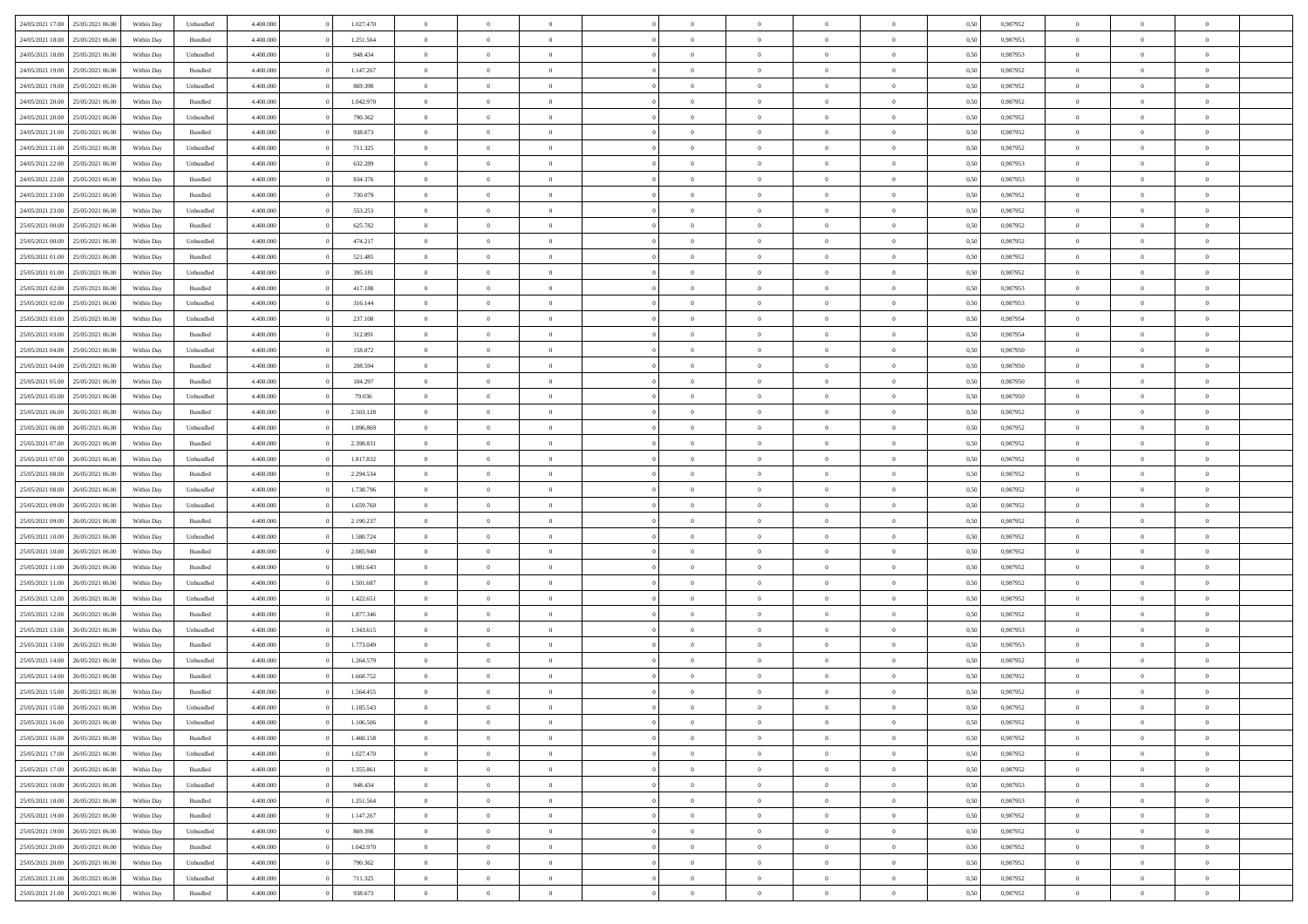| 24/05/2021 17:00 | 25/05/2021 06:00 | Within Day | Unbundled | 4.400.000 | 1.027.470 | $\overline{0}$ | $\theta$       |                | $\Omega$       | $\Omega$       | $\theta$       | $\theta$       | 0,50 | 0,987952 | $\theta$       | $\overline{0}$ | $\theta$       |  |
|------------------|------------------|------------|-----------|-----------|-----------|----------------|----------------|----------------|----------------|----------------|----------------|----------------|------|----------|----------------|----------------|----------------|--|
| 24/05/2021 18:00 | 25/05/2021 06:00 | Within Day | Bundled   | 4.400.000 | 1.251.564 | $\overline{0}$ | $\theta$       | $\overline{0}$ | $\overline{0}$ | $\bf{0}$       | $\overline{0}$ | $\bf{0}$       | 0,50 | 0,987953 | $\theta$       | $\overline{0}$ | $\overline{0}$ |  |
| 24/05/2021 18:00 | 25/05/2021 06:00 | Within Day | Unbundled | 4.400.000 | 948.434   | $\overline{0}$ | $\overline{0}$ | $\overline{0}$ | $\bf{0}$       | $\bf{0}$       | $\bf{0}$       | $\mathbf{0}$   | 0,50 | 0,987953 | $\overline{0}$ | $\overline{0}$ | $\bf{0}$       |  |
|                  |                  |            |           |           |           |                |                |                |                |                |                |                |      |          | $\theta$       |                |                |  |
| 24/05/2021 19:00 | 25/05/2021 06:00 | Within Dav | Bundled   | 4.400.000 | 1.147.267 | $\overline{0}$ | $\overline{0}$ | $\overline{0}$ | $\overline{0}$ | $\bf{0}$       | $\overline{0}$ | $\overline{0}$ | 0.50 | 0,987952 |                | $\theta$       | $\overline{0}$ |  |
| 24/05/2021 19:00 | 25/05/2021 06:00 | Within Day | Unbundled | 4.400.000 | 869.398   | $\overline{0}$ | $\theta$       | $\overline{0}$ | $\overline{0}$ | $\bf{0}$       | $\overline{0}$ | $\bf{0}$       | 0,50 | 0,987952 | $\theta$       | $\overline{0}$ | $\overline{0}$ |  |
| 24/05/2021 20:00 | 25/05/2021 06:00 | Within Day | Bundled   | 4.400.000 | 1.042.970 | $\overline{0}$ | $\overline{0}$ | $\overline{0}$ | $\bf{0}$       | $\overline{0}$ | $\overline{0}$ | $\mathbf{0}$   | 0,50 | 0,987952 | $\overline{0}$ | $\overline{0}$ | $\bf{0}$       |  |
| 24/05/2021 20:00 | 25/05/2021 06:00 | Within Dav | Unbundled | 4.400.000 | 790.362   | $\overline{0}$ | $\overline{0}$ | $\overline{0}$ | $\overline{0}$ | $\overline{0}$ | $\overline{0}$ | $\overline{0}$ | 0.50 | 0,987952 | $\theta$       | $\overline{0}$ | $\overline{0}$ |  |
|                  |                  |            |           |           |           |                |                |                |                |                |                |                |      |          |                |                |                |  |
| 24/05/2021 21:00 | 25/05/2021 06:00 | Within Day | Bundled   | 4.400.000 | 938.673   | $\overline{0}$ | $\theta$       | $\overline{0}$ | $\overline{0}$ | $\bf{0}$       | $\overline{0}$ | $\bf{0}$       | 0,50 | 0,987952 | $\theta$       | $\theta$       | $\overline{0}$ |  |
| 24/05/2021 21:00 | 25/05/2021 06:00 | Within Day | Unbundled | 4.400.000 | 711.325   | $\overline{0}$ | $\overline{0}$ | $\overline{0}$ | $\bf{0}$       | $\bf{0}$       | $\bf{0}$       | $\mathbf{0}$   | 0,50 | 0,987952 | $\,0\,$        | $\overline{0}$ | $\overline{0}$ |  |
| 24/05/2021 22.00 | 25/05/2021 06:00 | Within Dav | Unbundled | 4.400.000 | 632.289   | $\overline{0}$ | $\overline{0}$ | $\overline{0}$ | $\overline{0}$ | $\overline{0}$ | $\overline{0}$ | $\overline{0}$ | 0.50 | 0,987953 | $\theta$       | $\overline{0}$ | $\overline{0}$ |  |
| 24/05/2021 22:00 | 25/05/2021 06:00 |            | Bundled   | 4.400.000 | 834.376   | $\overline{0}$ | $\theta$       | $\overline{0}$ | $\overline{0}$ | $\bf{0}$       | $\overline{0}$ |                |      | 0,987953 | $\,$ 0 $\,$    | $\overline{0}$ | $\overline{0}$ |  |
|                  |                  | Within Day |           |           |           |                |                |                |                |                |                | $\bf{0}$       | 0,50 |          |                |                |                |  |
| 24/05/2021 23:00 | 25/05/2021 06:00 | Within Day | Bundled   | 4.400.000 | 730.079   | $\overline{0}$ | $\overline{0}$ | $\overline{0}$ | $\bf{0}$       | $\bf{0}$       | $\bf{0}$       | $\mathbf{0}$   | 0,50 | 0,987952 | $\bf{0}$       | $\overline{0}$ | $\bf{0}$       |  |
| 24/05/2021 23:00 | 25/05/2021 06:00 | Within Day | Unbundled | 4.400.000 | 553.253   | $\overline{0}$ | $\overline{0}$ | $\overline{0}$ | $\overline{0}$ | $\bf{0}$       | $\overline{0}$ | $\overline{0}$ | 0.50 | 0,987952 | $\theta$       | $\theta$       | $\overline{0}$ |  |
| 25/05/2021 00:00 | 25/05/2021 06:00 | Within Day | Bundled   | 4.400.000 | 625.782   | $\overline{0}$ | $\theta$       | $\overline{0}$ | $\overline{0}$ | $\bf{0}$       | $\overline{0}$ | $\bf{0}$       | 0,50 | 0,987952 | $\theta$       | $\overline{0}$ | $\overline{0}$ |  |
|                  |                  |            |           |           |           |                |                |                |                |                |                |                |      |          |                |                |                |  |
| 25/05/2021 00:00 | 25/05/2021 06:00 | Within Day | Unbundled | 4.400.000 | 474.217   | $\overline{0}$ | $\overline{0}$ | $\overline{0}$ | $\bf{0}$       | $\overline{0}$ | $\overline{0}$ | $\mathbf{0}$   | 0,50 | 0,987952 | $\bf{0}$       | $\overline{0}$ | $\bf{0}$       |  |
| 25/05/2021 01:00 | 25/05/2021 06:00 | Within Dav | Bundled   | 4.400.000 | 521.485   | $\overline{0}$ | $\overline{0}$ | $\overline{0}$ | $\overline{0}$ | $\overline{0}$ | $\overline{0}$ | $\overline{0}$ | 0.50 | 0,987952 | $\theta$       | $\overline{0}$ | $\overline{0}$ |  |
| 25/05/2021 01:00 | 25/05/2021 06:00 | Within Day | Unbundled | 4.400.000 | 395.181   | $\overline{0}$ | $\theta$       | $\overline{0}$ | $\overline{0}$ | $\bf{0}$       | $\overline{0}$ | $\bf{0}$       | 0,50 | 0,987952 | $\theta$       | $\overline{0}$ | $\overline{0}$ |  |
| 25/05/2021 02:00 | 25/05/2021 06:00 | Within Day | Bundled   | 4.400.000 | 417.188   | $\overline{0}$ | $\overline{0}$ | $\overline{0}$ | $\bf{0}$       | $\bf{0}$       | $\bf{0}$       | $\mathbf{0}$   | 0,50 | 0,987953 | $\bf{0}$       | $\overline{0}$ | $\bf{0}$       |  |
|                  |                  |            |           |           |           |                |                |                |                |                |                |                |      |          |                |                |                |  |
| 25/05/2021 02:00 | 25/05/2021 06:00 | Within Day | Unbundled | 4.400.000 | 316.144   | $\overline{0}$ | $\overline{0}$ | $\overline{0}$ | $\overline{0}$ | $\overline{0}$ | $\overline{0}$ | $\overline{0}$ | 0.50 | 0,987953 | $\theta$       | $\overline{0}$ | $\overline{0}$ |  |
| 25/05/2021 03:00 | 25/05/2021 06:00 | Within Day | Unbundled | 4.400.000 | 237.108   | $\overline{0}$ | $\theta$       | $\overline{0}$ | $\overline{0}$ | $\bf{0}$       | $\overline{0}$ | $\bf{0}$       | 0,50 | 0,987954 | $\,$ 0 $\,$    | $\overline{0}$ | $\overline{0}$ |  |
| 25/05/2021 03:00 | 25/05/2021 06:00 | Within Day | Bundled   | 4.400.000 | 312.891   | $\overline{0}$ | $\overline{0}$ | $\overline{0}$ | $\bf{0}$       | $\bf{0}$       | $\bf{0}$       | $\mathbf{0}$   | 0,50 | 0,987954 | $\overline{0}$ | $\overline{0}$ | $\bf{0}$       |  |
| 25/05/2021 04:00 | 25/05/2021 06:00 | Within Day | Unbundled | 4.400.000 | 158.072   | $\overline{0}$ | $\overline{0}$ | $\overline{0}$ | $\overline{0}$ | $\overline{0}$ | $\overline{0}$ | $\overline{0}$ | 0.50 | 0.987950 | $\theta$       | $\overline{0}$ | $\overline{0}$ |  |
|                  |                  |            |           |           |           |                |                |                |                |                |                |                |      |          |                |                |                |  |
| 25/05/2021 04:00 | 25/05/2021 06:00 | Within Day | Bundled   | 4.400.000 | 208.594   | $\overline{0}$ | $\theta$       | $\overline{0}$ | $\overline{0}$ | $\bf{0}$       | $\overline{0}$ | $\bf{0}$       | 0,50 | 0,987950 | $\,$ 0 $\,$    | $\overline{0}$ | $\overline{0}$ |  |
| 25/05/2021 05:00 | 25/05/2021 06:00 | Within Day | Bundled   | 4.400.000 | 104.297   | $\overline{0}$ | $\overline{0}$ | $\overline{0}$ | $\bf{0}$       | $\overline{0}$ | $\overline{0}$ | $\mathbf{0}$   | 0,50 | 0,987950 | $\overline{0}$ | $\overline{0}$ | $\bf{0}$       |  |
| 25/05/2021 05:00 | 25/05/2021 06:00 | Within Dav | Unbundled | 4.400.000 | 79.036    | $\overline{0}$ | $\overline{0}$ | $\overline{0}$ | $\overline{0}$ | $\overline{0}$ | $\overline{0}$ | $\overline{0}$ | 0.50 | 0,987950 | $\theta$       | $\overline{0}$ | $\overline{0}$ |  |
| 25/05/2021 06:00 | 26/05/2021 06:00 | Within Day | Bundled   | 4.400.000 | 2.503.128 | $\overline{0}$ | $\theta$       | $\overline{0}$ | $\overline{0}$ | $\bf{0}$       | $\overline{0}$ | $\bf{0}$       | 0,50 | 0,987952 | $\theta$       | $\theta$       | $\overline{0}$ |  |
|                  |                  |            |           |           |           |                |                |                |                |                |                |                |      |          |                |                |                |  |
| 25/05/2021 06:00 | 26/05/2021 06:00 | Within Day | Unbundled | 4.400.000 | 1.896.869 | $\overline{0}$ | $\overline{0}$ | $\overline{0}$ | $\bf{0}$       | $\bf{0}$       | $\bf{0}$       | $\mathbf{0}$   | 0,50 | 0,987952 | $\,0\,$        | $\overline{0}$ | $\overline{0}$ |  |
| 25/05/2021 07:00 | 26/05/2021 06:00 | Within Day | Bundled   | 4.400.000 | 2.398.831 | $\overline{0}$ | $\overline{0}$ | $\overline{0}$ | $\overline{0}$ | $\overline{0}$ | $\overline{0}$ | $\overline{0}$ | 0.50 | 0,987952 | $\theta$       | $\overline{0}$ | $\overline{0}$ |  |
| 25/05/2021 07:00 | 26/05/2021 06:00 | Within Day | Unbundled | 4.400.000 | 1.817.832 | $\overline{0}$ | $\theta$       | $\overline{0}$ | $\overline{0}$ | $\bf{0}$       | $\overline{0}$ | $\bf{0}$       | 0,50 | 0,987952 | $\,$ 0 $\,$    | $\overline{0}$ | $\overline{0}$ |  |
| 25/05/2021 08:00 | 26/05/2021 06:00 | Within Day | Bundled   | 4.400.000 | 2.294.534 | $\overline{0}$ | $\overline{0}$ | $\overline{0}$ | $\bf{0}$       | $\bf{0}$       | $\overline{0}$ | $\mathbf{0}$   | 0,50 | 0,987952 | $\bf{0}$       | $\overline{0}$ | $\bf{0}$       |  |
|                  |                  |            |           |           |           |                |                |                |                |                |                |                |      |          |                |                |                |  |
| 25/05/2021 08:00 | 26/05/2021 06:00 | Within Day | Unbundled | 4.400,000 | 1.738.796 | $\overline{0}$ | $\Omega$       | $\overline{0}$ | $\Omega$       | $\Omega$       | $\overline{0}$ | $\overline{0}$ | 0,50 | 0,987952 | $\,0\,$        | $\theta$       | $\theta$       |  |
| 25/05/2021 09:00 | 26/05/2021 06:00 | Within Day | Unbundled | 4.400.000 | 1.659.760 | $\overline{0}$ | $\theta$       | $\overline{0}$ | $\overline{0}$ | $\bf{0}$       | $\overline{0}$ | $\bf{0}$       | 0,50 | 0,987952 | $\,$ 0 $\,$    | $\overline{0}$ | $\overline{0}$ |  |
| 25/05/2021 09:00 | 26/05/2021 06:00 | Within Day | Bundled   | 4.400.000 | 2.190.237 | $\overline{0}$ | $\overline{0}$ | $\overline{0}$ | $\overline{0}$ | $\overline{0}$ | $\overline{0}$ | $\mathbf{0}$   | 0,50 | 0,987952 | $\bf{0}$       | $\overline{0}$ | $\bf{0}$       |  |
| 25/05/2021 10:00 | 26/05/2021 06:00 | Within Day | Unbundled | 4.400,000 | 1.580.724 | $\overline{0}$ | $\Omega$       | $\Omega$       | $\Omega$       | $\overline{0}$ | $\overline{0}$ | $\overline{0}$ | 0.50 | 0,987952 | $\,0\,$        | $\theta$       | $\theta$       |  |
|                  |                  |            |           |           |           |                |                |                |                |                |                |                |      |          |                |                |                |  |
| 25/05/2021 10:00 | 26/05/2021 06:00 | Within Day | Bundled   | 4.400.000 | 2.085.940 | $\overline{0}$ | $\theta$       | $\overline{0}$ | $\overline{0}$ | $\bf{0}$       | $\overline{0}$ | $\bf{0}$       | 0,50 | 0,987952 | $\,$ 0 $\,$    | $\overline{0}$ | $\overline{0}$ |  |
| 25/05/2021 11:00 | 26/05/2021 06:00 | Within Day | Bundled   | 4.400.000 | 1.981.643 | $\overline{0}$ | $\overline{0}$ | $\overline{0}$ | $\overline{0}$ | $\bf{0}$       | $\overline{0}$ | $\mathbf{0}$   | 0,50 | 0,987952 | $\bf{0}$       | $\overline{0}$ | $\bf{0}$       |  |
| 25/05/2021 11:00 | 26/05/2021 06:00 | Within Day | Unbundled | 4.400,000 | 1.501.687 | $\overline{0}$ | $\Omega$       | $\overline{0}$ | $\Omega$       | $\overline{0}$ | $\overline{0}$ | $\overline{0}$ | 0.50 | 0.987952 | $\,$ 0 $\,$    | $\theta$       | $\theta$       |  |
| 25/05/2021 12:00 | 26/05/2021 06:00 | Within Day | Unbundled | 4.400.000 | 1.422.651 | $\overline{0}$ | $\overline{0}$ | $\overline{0}$ | $\overline{0}$ | $\,$ 0         | $\overline{0}$ | $\bf{0}$       | 0,50 | 0,987952 | $\,$ 0 $\,$    | $\overline{0}$ | $\overline{0}$ |  |
|                  |                  |            |           |           |           |                |                |                |                |                |                |                |      |          |                |                |                |  |
| 25/05/2021 12:00 | 26/05/2021 06:00 | Within Day | Bundled   | 4.400.000 | 1.877.346 | $\overline{0}$ | $\bf{0}$       | $\overline{0}$ | $\bf{0}$       | $\bf{0}$       | $\bf{0}$       | $\mathbf{0}$   | 0,50 | 0,987952 | $\overline{0}$ | $\overline{0}$ | $\bf{0}$       |  |
| 25/05/2021 13:00 | 26/05/2021 06:00 | Within Day | Unbundled | 4.400,000 | 1.343.615 | $\overline{0}$ | $\Omega$       | $\overline{0}$ | $\Omega$       | $\overline{0}$ | $\overline{0}$ | $\overline{0}$ | 0.50 | 0,987953 | $\,0\,$        | $\theta$       | $\theta$       |  |
| 25/05/2021 13:00 | 26/05/2021 06:00 | Within Day | Bundled   | 4.400.000 | 1.773.049 | $\overline{0}$ | $\overline{0}$ | $\overline{0}$ | $\overline{0}$ | $\,$ 0         | $\overline{0}$ | $\bf{0}$       | 0,50 | 0,987953 | $\,$ 0 $\,$    | $\overline{0}$ | $\overline{0}$ |  |
| 25/05/2021 14:00 | 26/05/2021 06:00 | Within Day | Unbundled | 4.400.000 | 1.264.579 | $\overline{0}$ | $\overline{0}$ | $\overline{0}$ | $\bf{0}$       | $\bf{0}$       | $\overline{0}$ | $\mathbf{0}$   | 0,50 | 0,987952 | $\overline{0}$ | $\overline{0}$ | $\bf{0}$       |  |
| 25/05/2021 14:00 | 26/05/2021 06:00 |            |           | 4.400,000 | 1.668.752 | $\overline{0}$ | $\Omega$       | $\Omega$       | $\Omega$       | $\Omega$       | $\Omega$       | $\overline{0}$ | 0.50 | 0.987952 | $\theta$       | $\theta$       | $\theta$       |  |
|                  |                  | Within Day | Bundled   |           |           |                |                |                |                |                |                |                |      |          |                |                |                |  |
| 25/05/2021 15:00 | 26/05/2021 06:00 | Within Day | Bundled   | 4.400.000 | 1.564.455 | $\overline{0}$ | $\overline{0}$ | $\overline{0}$ | $\bf{0}$       | $\,$ 0         | $\bf{0}$       | $\bf{0}$       | 0,50 | 0,987952 | $\,0\,$        | $\,$ 0 $\,$    | $\overline{0}$ |  |
| 25/05/2021 15:00 | 26/05/2021 06:00 | Within Day | Unbundled | 4.400.000 | 1.185.543 | $\overline{0}$ | $\bf{0}$       |                |                | $\bf{0}$       |                |                | 0,50 | 0,987952 | $\bf{0}$       | $\overline{0}$ |                |  |
| 25/05/2021 16:00 | 26/05/2021 06:00 | Within Day | Unbundled | 4.400.000 | 1.106.506 | $\overline{0}$ | $\overline{0}$ | $\overline{0}$ | $\Omega$       | $\overline{0}$ | $\overline{0}$ | $\overline{0}$ | 0.50 | 0.987952 | $\theta$       | $\theta$       | $\theta$       |  |
| 25/05/2021 16:00 | 26/05/2021 06:00 | Within Day | Bundled   | 4.400.000 | 1.460.158 | $\overline{0}$ | $\bf{0}$       | $\overline{0}$ | $\bf{0}$       | $\,$ 0 $\,$    | $\overline{0}$ | $\mathbf{0}$   | 0,50 | 0,987952 | $\,$ 0 $\,$    | $\,$ 0 $\,$    | $\,$ 0         |  |
|                  |                  |            |           |           |           |                |                |                |                |                |                |                |      |          |                |                |                |  |
| 25/05/2021 17:00 | 26/05/2021 06:00 | Within Day | Unbundled | 4.400.000 | 1.027.470 | $\overline{0}$ | $\overline{0}$ | $\overline{0}$ | $\overline{0}$ | $\overline{0}$ | $\overline{0}$ | $\mathbf{0}$   | 0,50 | 0,987952 | $\overline{0}$ | $\bf{0}$       | $\bf{0}$       |  |
| 25/05/2021 17:00 | 26/05/2021 06:00 | Within Day | Bundled   | 4.400,000 | 1.355.861 | $\overline{0}$ | $\overline{0}$ | $\overline{0}$ | $\Omega$       | $\overline{0}$ | $\overline{0}$ | $\overline{0}$ | 0,50 | 0,987952 | $\overline{0}$ | $\,$ 0 $\,$    | $\overline{0}$ |  |
| 25/05/2021 18:00 | 26/05/2021 06:00 | Within Day | Unbundled | 4.400.000 | 948.434   | $\overline{0}$ | $\,$ 0         | $\overline{0}$ | $\overline{0}$ | $\,$ 0 $\,$    | $\overline{0}$ | $\mathbf{0}$   | 0,50 | 0,987953 | $\,$ 0 $\,$    | $\overline{0}$ | $\overline{0}$ |  |
| 25/05/2021 18:00 | 26/05/2021 06:00 | Within Day | Bundled   | 4.400.000 | 1.251.564 | $\overline{0}$ | $\overline{0}$ | $\overline{0}$ | $\overline{0}$ | $\overline{0}$ | $\overline{0}$ | $\mathbf{0}$   | 0,50 | 0,987953 | $\overline{0}$ | $\overline{0}$ | $\bf{0}$       |  |
|                  |                  |            |           |           |           |                |                |                |                |                |                |                |      |          |                |                |                |  |
| 25/05/2021 19:00 | 26/05/2021 06:00 | Within Day | Bundled   | 4.400.000 | 1.147.267 | $\overline{0}$ | $\overline{0}$ | $\overline{0}$ | $\overline{0}$ | $\overline{0}$ | $\overline{0}$ | $\bf{0}$       | 0.50 | 0,987952 | $\overline{0}$ | $\theta$       | $\overline{0}$ |  |
| 25/05/2021 19:00 | 26/05/2021 06:00 | Within Day | Unbundled | 4.400.000 | 869.398   | $\overline{0}$ | $\,$ 0         | $\overline{0}$ | $\overline{0}$ | $\bf{0}$       | $\overline{0}$ | $\bf{0}$       | 0,50 | 0,987952 | $\,$ 0 $\,$    | $\overline{0}$ | $\overline{0}$ |  |
| 25/05/2021 20:00 | 26/05/2021 06:00 | Within Day | Bundled   | 4.400.000 | 1.042.970 | $\overline{0}$ | $\bf{0}$       | $\overline{0}$ | $\overline{0}$ | $\overline{0}$ | $\overline{0}$ | $\mathbf{0}$   | 0,50 | 0,987952 | $\overline{0}$ | $\overline{0}$ | $\bf{0}$       |  |
| 25/05/2021 20:00 | 26/05/2021 06:00 | Within Day | Unbundled | 4.400,000 | 790.362   | $\overline{0}$ | $\overline{0}$ | $\overline{0}$ | $\Omega$       | $\overline{0}$ | $\overline{0}$ | $\overline{0}$ | 0.50 | 0,987952 | $\overline{0}$ | $\overline{0}$ | $\overline{0}$ |  |
|                  |                  |            |           |           |           |                |                |                |                |                |                |                |      |          |                |                |                |  |
| 25/05/2021 21:00 | 26/05/2021 06:00 | Within Day | Unbundled | 4.400.000 | 711.325   | $\overline{0}$ | $\bf{0}$       | $\overline{0}$ | $\bf{0}$       | $\bf{0}$       | $\overline{0}$ | $\mathbf{0}$   | 0,50 | 0,987952 | $\,$ 0 $\,$    | $\,$ 0 $\,$    | $\bf{0}$       |  |
| 25/05/2021 21:00 | 26/05/2021 06:00 | Within Day | Bundled   | 4.400.000 | 938.673   | $\overline{0}$ | $\overline{0}$ | $\overline{0}$ | $\overline{0}$ | $\overline{0}$ | $\overline{0}$ | $\mathbf{0}$   | 0,50 | 0,987952 | $\overline{0}$ | $\bf{0}$       | $\bf{0}$       |  |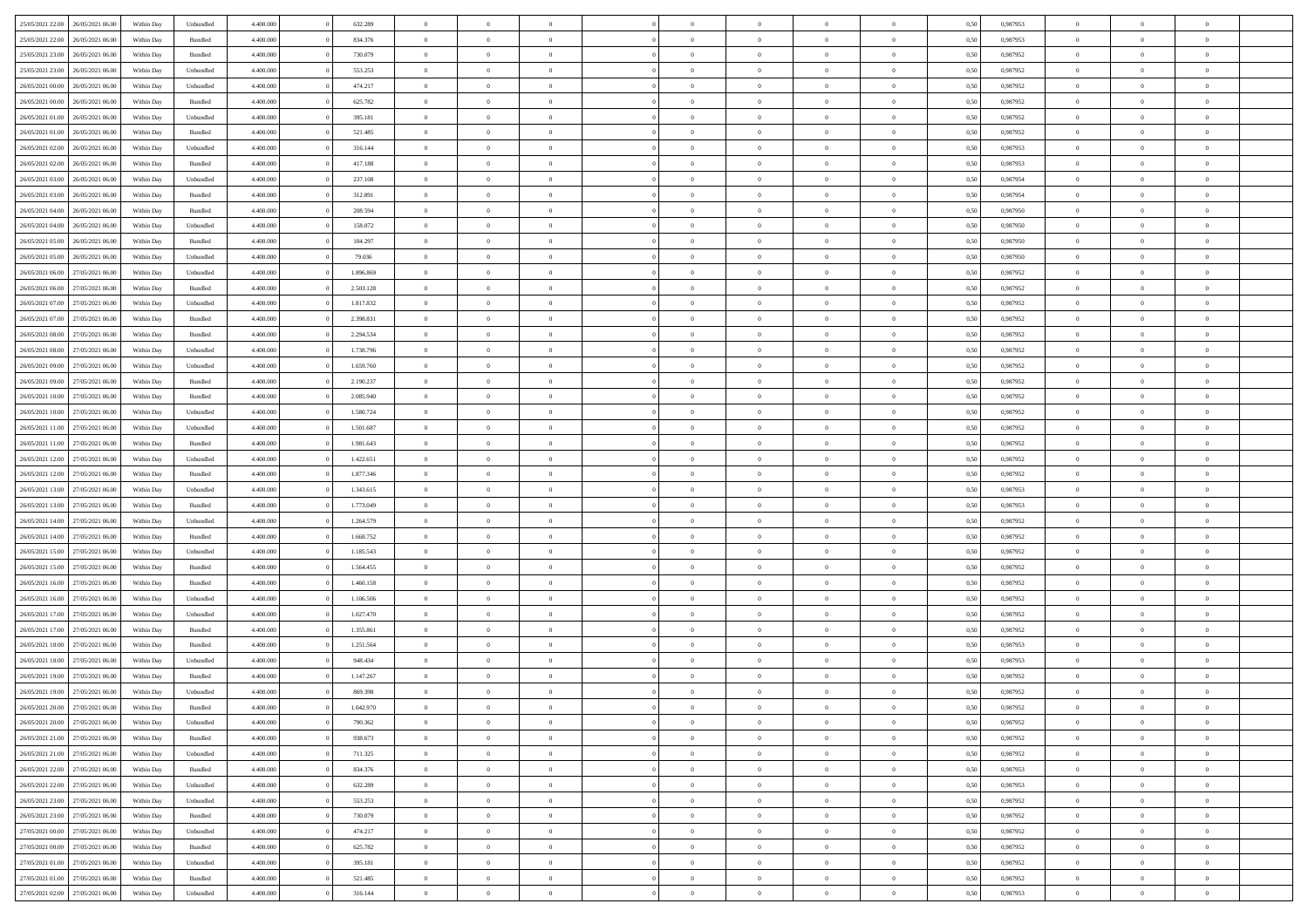| 25/05/2021 22:00 26/05/2021 06:00    | Within Day | Unbundled | 4.400.000 | 632.289   | $\overline{0}$ | $\overline{0}$ | $\Omega$       | $\Omega$       | $\theta$       | $\Omega$       | $\overline{0}$ | 0,50 | 0,987953 | $\theta$                | $\theta$       | $\theta$       |  |
|--------------------------------------|------------|-----------|-----------|-----------|----------------|----------------|----------------|----------------|----------------|----------------|----------------|------|----------|-------------------------|----------------|----------------|--|
| 25/05/2021 22.00<br>26/05/2021 06:00 | Within Day | Bundled   | 4.400.000 | 834.376   | $\overline{0}$ | $\overline{0}$ | $\overline{0}$ | $\overline{0}$ | $\theta$       | $\overline{0}$ | $\bf{0}$       | 0,50 | 0,987953 | $\theta$                | $\theta$       | $\overline{0}$ |  |
| 25/05/2021 23:00<br>26/05/2021 06:00 | Within Day | Bundled   | 4.400.000 | 730.079   | $\overline{0}$ | $\bf{0}$       | $\overline{0}$ | $\overline{0}$ | $\overline{0}$ | $\overline{0}$ | $\bf{0}$       | 0,50 | 0,987952 | $\bf{0}$                | $\overline{0}$ | $\overline{0}$ |  |
| 25/05/2021 23:00<br>26/05/2021 06:00 | Within Day | Unbundled | 4.400.000 | 553.253   | $\overline{0}$ | $\overline{0}$ | $\overline{0}$ | $\overline{0}$ | $\theta$       | $\overline{0}$ | $\overline{0}$ | 0.50 | 0,987952 | $\theta$                | $\theta$       | $\overline{0}$ |  |
| 26/05/2021 00:00<br>26/05/2021 06:00 | Within Day | Unbundled | 4.400.000 | 474.217   | $\overline{0}$ | $\overline{0}$ | $\overline{0}$ | $\overline{0}$ | $\theta$       | $\overline{0}$ | $\bf{0}$       | 0,50 | 0,987952 | $\theta$                | $\theta$       | $\overline{0}$ |  |
| 26/05/2021 00:00<br>26/05/2021 06:00 | Within Day | Bundled   | 4.400.000 | 625.782   | $\overline{0}$ | $\bf{0}$       | $\overline{0}$ | $\overline{0}$ | $\overline{0}$ | $\overline{0}$ | $\bf{0}$       | 0,50 | 0,987952 | $\bf{0}$                | $\overline{0}$ | $\bf{0}$       |  |
| 26/05/2021 01:00<br>26/05/2021 06:00 | Within Day | Unbundled | 4.400.000 | 395.181   | $\overline{0}$ | $\overline{0}$ | $\overline{0}$ | $\overline{0}$ | $\overline{0}$ | $\overline{0}$ | $\overline{0}$ | 0.5( | 0,987952 | $\theta$                | $\theta$       | $\overline{0}$ |  |
| 26/05/2021 01:00<br>26/05/2021 06:00 | Within Day | Bundled   | 4.400.000 | 521.485   | $\overline{0}$ | $\overline{0}$ | $\overline{0}$ | $\overline{0}$ | $\theta$       | $\overline{0}$ | $\bf{0}$       | 0,50 | 0,987952 | $\theta$                | $\theta$       | $\overline{0}$ |  |
|                                      |            |           |           |           |                |                |                |                |                |                |                |      |          |                         |                |                |  |
| 26/05/2021 02:00<br>26/05/2021 06.00 | Within Day | Unbundled | 4.400.000 | 316.144   | $\overline{0}$ | $\bf{0}$       | $\overline{0}$ | $\overline{0}$ | $\overline{0}$ | $\overline{0}$ | $\bf{0}$       | 0,50 | 0,987953 | $\bf{0}$                | $\bf{0}$       | $\overline{0}$ |  |
| 26/05/2021 02:00<br>26/05/2021 06:00 | Within Day | Bundled   | 4.400.000 | 417.188   | $\overline{0}$ | $\overline{0}$ | $\overline{0}$ | $\overline{0}$ | $\overline{0}$ | $\overline{0}$ | $\overline{0}$ | 0.5( | 0,987953 | $\theta$                | $\theta$       | $\overline{0}$ |  |
| 26/05/2021 03:00<br>26/05/2021 06:00 | Within Day | Unbundled | 4.400.000 | 237.108   | $\overline{0}$ | $\overline{0}$ | $\overline{0}$ | $\overline{0}$ | $\theta$       | $\overline{0}$ | $\bf{0}$       | 0,50 | 0,987954 | $\theta$                | $\theta$       | $\overline{0}$ |  |
| 26/05/2021 03:00<br>26/05/2021 06:00 | Within Day | Bundled   | 4.400.000 | 312.891   | $\overline{0}$ | $\bf{0}$       | $\overline{0}$ | $\overline{0}$ | $\bf{0}$       | $\overline{0}$ | $\bf{0}$       | 0,50 | 0,987954 | $\bf{0}$                | $\overline{0}$ | $\overline{0}$ |  |
| 26/05/2021 04:00<br>26/05/2021 06:00 | Within Day | Bundled   | 4.400.000 | 208.594   | $\overline{0}$ | $\overline{0}$ | $\overline{0}$ | $\overline{0}$ | $\overline{0}$ | $\overline{0}$ | $\overline{0}$ | 0.5( | 0.987950 | $\theta$                | $\theta$       | $\overline{0}$ |  |
| 26/05/2021 04:00<br>26/05/2021 06:00 | Within Day | Unbundled | 4.400.000 | 158.072   | $\overline{0}$ | $\overline{0}$ | $\overline{0}$ | $\overline{0}$ | $\theta$       | $\overline{0}$ | $\,$ 0 $\,$    | 0,50 | 0,987950 | $\theta$                | $\theta$       | $\overline{0}$ |  |
| 26/05/2021 05:00<br>26/05/2021 06:00 | Within Day | Bundled   | 4.400.000 | 104.297   | $\overline{0}$ | $\bf{0}$       | $\overline{0}$ | $\overline{0}$ | $\overline{0}$ | $\overline{0}$ | $\bf{0}$       | 0,50 | 0,987950 | $\bf{0}$                | $\overline{0}$ | $\bf{0}$       |  |
| 26/05/2021 05:00<br>26/05/2021 06:00 | Within Day | Unbundled | 4.400.000 | 79.036    | $\overline{0}$ | $\overline{0}$ | $\overline{0}$ | $\overline{0}$ | $\overline{0}$ | $\overline{0}$ | $\overline{0}$ | 0.5( | 0,987950 | $\theta$                | $\theta$       | $\overline{0}$ |  |
| 26/05/2021 06:00<br>27/05/2021 06:00 | Within Day | Unbundled | 4.400.000 | 1.896.869 | $\overline{0}$ | $\theta$       | $\overline{0}$ | $\overline{0}$ | $\theta$       | $\overline{0}$ | $\bf{0}$       | 0,50 | 0,987952 | $\theta$                | $\theta$       | $\overline{0}$ |  |
| 26/05/2021 06:00<br>27/05/2021 06:00 | Within Day | Bundled   | 4.400.000 | 2.503.128 | $\overline{0}$ | $\bf{0}$       | $\overline{0}$ | $\overline{0}$ | $\overline{0}$ | $\overline{0}$ | $\bf{0}$       | 0,50 | 0,987952 | $\bf{0}$                | $\overline{0}$ | $\overline{0}$ |  |
| 26/05/2021 07:00<br>27/05/2021 06:00 | Within Day | Unbundled | 4.400.000 | 1.817.832 | $\overline{0}$ | $\overline{0}$ | $\overline{0}$ | $\overline{0}$ | $\overline{0}$ | $\overline{0}$ | $\overline{0}$ | 0.5( | 0,987952 | $\theta$                | $\theta$       | $\overline{0}$ |  |
| 26/05/2021 07:00<br>27/05/2021 06:00 | Within Day | Bundled   | 4.400.000 | 2.398.831 | $\bf{0}$       | $\overline{0}$ | $\overline{0}$ | $\overline{0}$ | $\theta$       | $\overline{0}$ | $\bf{0}$       | 0,50 | 0,987952 | $\theta$                | $\theta$       | $\overline{0}$ |  |
| 26/05/2021 08:00<br>27/05/2021 06:00 | Within Day | Bundled   | 4.400.000 | 2.294.534 | $\overline{0}$ | $\bf{0}$       | $\overline{0}$ | $\overline{0}$ | $\overline{0}$ | $\overline{0}$ | $\bf{0}$       | 0,50 | 0,987952 | $\bf{0}$                | $\overline{0}$ | $\overline{0}$ |  |
| 26/05/2021 08:00<br>27/05/2021 06:00 | Within Day | Unbundled | 4.400.000 | 1.738.796 | $\overline{0}$ | $\overline{0}$ | $\overline{0}$ | $\overline{0}$ | $\overline{0}$ | $\overline{0}$ | $\overline{0}$ | 0.5( | 0,987952 | $\theta$                | $\theta$       | $\overline{0}$ |  |
| 26/05/2021 09:00<br>27/05/2021 06:00 | Within Day | Unbundled | 4.400.000 | 1.659.760 | $\overline{0}$ | $\overline{0}$ | $\overline{0}$ | $\overline{0}$ | $\theta$       | $\overline{0}$ | $\bf{0}$       | 0,50 | 0,987952 | $\theta$                | $\theta$       | $\overline{0}$ |  |
| 26/05/2021 09:00<br>27/05/2021 06:00 | Within Day | Bundled   | 4.400.000 | 2.190.237 | $\overline{0}$ | $\bf{0}$       | $\overline{0}$ | $\overline{0}$ | $\overline{0}$ | $\overline{0}$ | $\bf{0}$       | 0,50 | 0,987952 | $\overline{0}$          | $\overline{0}$ | $\bf{0}$       |  |
| 26/05/2021 10:00<br>27/05/2021 06:00 | Within Day | Bundled   | 4.400.000 | 2.085.940 | $\overline{0}$ | $\overline{0}$ | $\overline{0}$ | $\overline{0}$ | $\overline{0}$ | $\overline{0}$ | $\overline{0}$ | 0.5( | 0,987952 | $\theta$                | $\theta$       | $\overline{0}$ |  |
| 26/05/2021 10:00<br>27/05/2021 06:00 | Within Day | Unbundled | 4.400.000 | 1.580.724 | $\overline{0}$ | $\theta$       | $\overline{0}$ | $\overline{0}$ | $\theta$       | $\overline{0}$ | $\bf{0}$       | 0,50 | 0,987952 | $\theta$                | $\theta$       | $\overline{0}$ |  |
| 26/05/2021 11:00<br>27/05/2021 06:00 | Within Day | Unbundled | 4.400.000 | 1.501.687 | $\overline{0}$ | $\bf{0}$       | $\overline{0}$ | $\overline{0}$ | $\overline{0}$ | $\overline{0}$ | $\bf{0}$       | 0,50 | 0,987952 | $\bf{0}$                | $\bf{0}$       | $\overline{0}$ |  |
| 26/05/2021 11:00<br>27/05/2021 06:00 | Within Day | Bundled   | 4.400.000 | 1.981.643 | $\overline{0}$ | $\overline{0}$ | $\overline{0}$ | $\overline{0}$ | $\overline{0}$ | $\overline{0}$ | $\overline{0}$ | 0.5( | 0,987952 | $\theta$                | $\theta$       | $\overline{0}$ |  |
|                                      |            |           |           |           |                | $\overline{0}$ | $\overline{0}$ | $\overline{0}$ | $\theta$       | $\overline{0}$ |                |      |          | $\theta$                | $\theta$       | $\overline{0}$ |  |
| 26/05/2021 12:00<br>27/05/2021 06:00 | Within Day | Unbundled | 4.400.000 | 1.422.651 | $\bf{0}$       |                |                |                |                |                | $\bf{0}$       | 0,50 | 0,987952 |                         |                |                |  |
| 26/05/2021 12:00<br>27/05/2021 06:00 | Within Day | Bundled   | 4.400.000 | 1.877.346 | $\overline{0}$ | $\bf{0}$       | $\overline{0}$ | $\overline{0}$ | $\bf{0}$       | $\overline{0}$ | $\bf{0}$       | 0,50 | 0,987952 | $\bf{0}$                | $\overline{0}$ | $\overline{0}$ |  |
| 26/05/2021 13:00<br>27/05/2021 06.00 | Within Day | Unbundled | 4,400,000 | 1.343.615 | $\overline{0}$ | $\overline{0}$ | $\Omega$       | $\Omega$       | $\Omega$       | $\theta$       | $\overline{0}$ | 0.50 | 0,987953 | $\,$ 0 $\,$<br>$\theta$ | $\Omega$       | $\theta$       |  |
| 26/05/2021 13:00<br>27/05/2021 06:00 | Within Day | Bundled   | 4.400.000 | 1.773.049 | $\overline{0}$ | $\overline{0}$ | $\overline{0}$ | $\overline{0}$ | $\theta$       | $\overline{0}$ | $\bf{0}$       | 0,50 | 0,987953 |                         | $\theta$       | $\overline{0}$ |  |
| 26/05/2021 14:00<br>27/05/2021 06:00 | Within Day | Unbundled | 4.400.000 | 1.264.579 | $\overline{0}$ | $\bf{0}$       | $\overline{0}$ | $\overline{0}$ | $\bf{0}$       | $\overline{0}$ | $\bf{0}$       | 0,50 | 0,987952 | $\bf{0}$                | $\overline{0}$ | $\bf{0}$       |  |
| 26/05/2021 14:00<br>27/05/2021 06.00 | Within Day | Bundled   | 4,400,000 | 1.668.752 | $\overline{0}$ | $\overline{0}$ | $\Omega$       | $\Omega$       | $\overline{0}$ | $\Omega$       | $\overline{0}$ | 0.50 | 0,987952 | $\theta$                | $\theta$       | $\theta$       |  |
| 26/05/2021 15:00<br>27/05/2021 06:00 | Within Day | Unbundled | 4.400.000 | 1.185.543 | $\bf{0}$       | $\overline{0}$ | $\overline{0}$ | $\overline{0}$ | $\theta$       | $\overline{0}$ | $\bf{0}$       | 0,50 | 0,987952 | $\theta$                | $\theta$       | $\overline{0}$ |  |
| 26/05/2021 15:00<br>27/05/2021 06.00 | Within Day | Bundled   | 4.400.000 | 1.564.455 | $\overline{0}$ | $\bf{0}$       | $\overline{0}$ | $\overline{0}$ | $\overline{0}$ | $\bf{0}$       | $\bf{0}$       | 0,50 | 0,987952 | $\bf{0}$                | $\bf{0}$       | $\overline{0}$ |  |
| 26/05/2021 16:00<br>27/05/2021 06:00 | Within Day | Bundled   | 4,400,000 | 1.460.158 | $\overline{0}$ | $\theta$       | $\Omega$       | $\Omega$       | $\Omega$       | $\Omega$       | $\overline{0}$ | 0.50 | 0.987952 | $\theta$                | $\Omega$       | $\theta$       |  |
| 26/05/2021 16:00<br>27/05/2021 06:00 | Within Day | Unbundled | 4.400.000 | 1.106.506 | $\bf{0}$       | $\overline{0}$ | $\overline{0}$ | $\overline{0}$ | $\theta$       | $\overline{0}$ | $\bf{0}$       | 0,50 | 0,987952 | $\theta$                | $\theta$       | $\overline{0}$ |  |
| 26/05/2021 17:00<br>27/05/2021 06:00 | Within Day | Unbundled | 4.400.000 | 1.027.470 | $\overline{0}$ | $\bf{0}$       | $\overline{0}$ | $\overline{0}$ | $\overline{0}$ | $\overline{0}$ | $\bf{0}$       | 0,50 | 0,987952 | $\bf{0}$                | $\overline{0}$ | $\overline{0}$ |  |
| 26/05/2021 17:00<br>27/05/2021 06.00 | Within Day | Bundled   | 4,400,000 | 1.355.861 | $\overline{0}$ | $\overline{0}$ | $\Omega$       | $\Omega$       | $\theta$       | $\Omega$       | $\overline{0}$ | 0.50 | 0,987952 | $\,$ 0 $\,$             | $\overline{0}$ | $\theta$       |  |
| 26/05/2021 18:00<br>27/05/2021 06:00 | Within Day | Bundled   | 4.400.000 | 1.251.564 | $\bf{0}$       | $\overline{0}$ | $\overline{0}$ | $\overline{0}$ | $\theta$       | $\overline{0}$ | $\bf{0}$       | 0,50 | 0,987953 | $\theta$                | $\theta$       | $\overline{0}$ |  |
| 26/05/2021 18:00<br>27/05/2021 06.00 | Within Day | Unbundled | 4.400.000 | 948.434   | $\overline{0}$ | $\bf{0}$       | $\overline{0}$ | $\overline{0}$ | $\bf{0}$       | $\overline{0}$ | $\bf{0}$       | 0,50 | 0,987953 | $\bf{0}$                | $\overline{0}$ | $\bf{0}$       |  |
| 26/05/2021 19:00<br>27/05/2021 06.00 | Within Day | Bundled   | 4,400,000 | 1.147.267 | $\overline{0}$ | $\Omega$       | $\Omega$       | $\Omega$       | $\Omega$       | $\theta$       | $\overline{0}$ | 0.50 | 0.987952 | $\theta$                | $\Omega$       | $\theta$       |  |
| 26/05/2021 19:00 27/05/2021 06:00    | Within Day | Unbundled | 4.400.000 | 869.398   | $\bf{0}$       | $\bf{0}$       | $\overline{0}$ | $\overline{0}$ | $\bf{0}$       | $\bf{0}$       | $\bf{0}$       | 0,50 | 0,987952 | $\bf{0}$                | $\bf{0}$       | $\overline{0}$ |  |
| 26/05/2021 20:00 27/05/2021 06:00    | Within Day | Bundled   | 4.400.000 | 1.042.970 | $\bf{0}$       | $\bf{0}$       |                |                |                |                |                | 0,50 | 0,987952 | $\bf{0}$                | $\bf{0}$       |                |  |
| 26/05/2021 20:00 27/05/2021 06:00    | Within Day | Unbundled | 4.400.000 | 790.362   | $\Omega$       | $\overline{0}$ | $\Omega$       | $\theta$       | $\overline{0}$ | $\overline{0}$ | $\overline{0}$ | 0.50 | 0.987952 | $\theta$                | $\theta$       | $\theta$       |  |
| 26/05/2021 21:00 27/05/2021 06:00    | Within Day | Bundled   | 4.400.000 | 938.673   | $\overline{0}$ | $\overline{0}$ | $\overline{0}$ | $\overline{0}$ | $\,$ 0 $\,$    | $\overline{0}$ | $\,$ 0 $\,$    | 0,50 | 0,987952 | $\,$ 0 $\,$             | $\,$ 0 $\,$    | $\,$ 0         |  |
| 26/05/2021 21:00 27/05/2021 06:00    | Within Day | Unbundled | 4.400.000 | 711.325   | $\overline{0}$ | $\overline{0}$ | $\overline{0}$ | $\overline{0}$ | $\bf{0}$       | $\overline{0}$ | $\bf{0}$       | 0,50 | 0,987952 | $\overline{0}$          | $\overline{0}$ | $\overline{0}$ |  |
| 26/05/2021 22:00 27/05/2021 06:00    | Within Day | Bundled   | 4.400.000 | 834.376   | $\overline{0}$ | $\bf{0}$       | $\overline{0}$ | $\overline{0}$ | $\overline{0}$ | $\overline{0}$ | $\bf{0}$       | 0,50 | 0,987953 | $\bf{0}$                | $\theta$       | $\overline{0}$ |  |
| 26/05/2021 22:00<br>27/05/2021 06:00 | Within Day | Unbundled | 4.400.000 | 632.289   | $\overline{0}$ | $\overline{0}$ | $\overline{0}$ | $\overline{0}$ | $\overline{0}$ | $\overline{0}$ | $\,$ 0 $\,$    | 0,50 | 0,987953 | $\,$ 0 $\,$             | $\,$ 0 $\,$    | $\overline{0}$ |  |
| 26/05/2021 23:00 27/05/2021 06:00    | Within Day | Unbundled | 4.400.000 | 553.253   | $\overline{0}$ | $\overline{0}$ | $\overline{0}$ | $\overline{0}$ | $\overline{0}$ | $\overline{0}$ | $\mathbf{0}$   | 0,50 | 0,987952 | $\overline{0}$          | $\overline{0}$ | $\overline{0}$ |  |
| 26/05/2021 23:00 27/05/2021 06:00    | Within Day | Bundled   | 4.400.000 | 730.079   | $\overline{0}$ | $\bf{0}$       | $\overline{0}$ | $\overline{0}$ | $\overline{0}$ | $\overline{0}$ | $\bf{0}$       | 0.50 | 0,987952 | $\overline{0}$          | $\theta$       | $\overline{0}$ |  |
| 27/05/2021 00:00<br>27/05/2021 06:00 | Within Day | Unbundled | 4.400.000 | 474.217   | $\overline{0}$ | $\overline{0}$ | $\overline{0}$ | $\overline{0}$ | $\overline{0}$ | $\bf{0}$       | $\bf{0}$       | 0,50 | 0,987952 | $\,$ 0 $\,$             | $\,$ 0 $\,$    | $\overline{0}$ |  |
|                                      |            |           |           |           |                |                |                |                |                |                |                |      |          |                         |                |                |  |
| 27/05/2021 06:00<br>27/05/2021 00:00 | Within Day | Bundled   | 4.400.000 | 625.782   | $\overline{0}$ | $\bf{0}$       | $\overline{0}$ | $\overline{0}$ | $\overline{0}$ | $\overline{0}$ | $\bf{0}$       | 0,50 | 0,987952 | $\overline{0}$          | $\overline{0}$ | $\bf{0}$       |  |
| 27/05/2021 06:00<br>27/05/2021 01:00 | Within Day | Unbundled | 4.400.000 | 395.181   | $\overline{0}$ | $\overline{0}$ | $\overline{0}$ | $\overline{0}$ | $\overline{0}$ | $\overline{0}$ | $\bf{0}$       | 0.50 | 0,987952 | $\overline{0}$          | $\overline{0}$ | $\overline{0}$ |  |
| 27/05/2021 01:00<br>27/05/2021 06:00 | Within Day | Bundled   | 4.400.000 | 521.485   | $\overline{0}$ | $\,$ 0         | $\overline{0}$ | $\overline{0}$ | $\bf{0}$       | $\bf{0}$       | $\bf{0}$       | 0,50 | 0,987952 | $\,$ 0 $\,$             | $\,$ 0 $\,$    | $\bf{0}$       |  |
| 27/05/2021 02:00 27/05/2021 06:00    | Within Day | Unbundled | 4.400.000 | 316.144   | $\overline{0}$ | $\bf{0}$       | $\overline{0}$ | $\overline{0}$ | $\overline{0}$ | $\overline{0}$ | $\bf{0}$       | 0,50 | 0,987953 | $\overline{0}$          | $\overline{0}$ | $\bf{0}$       |  |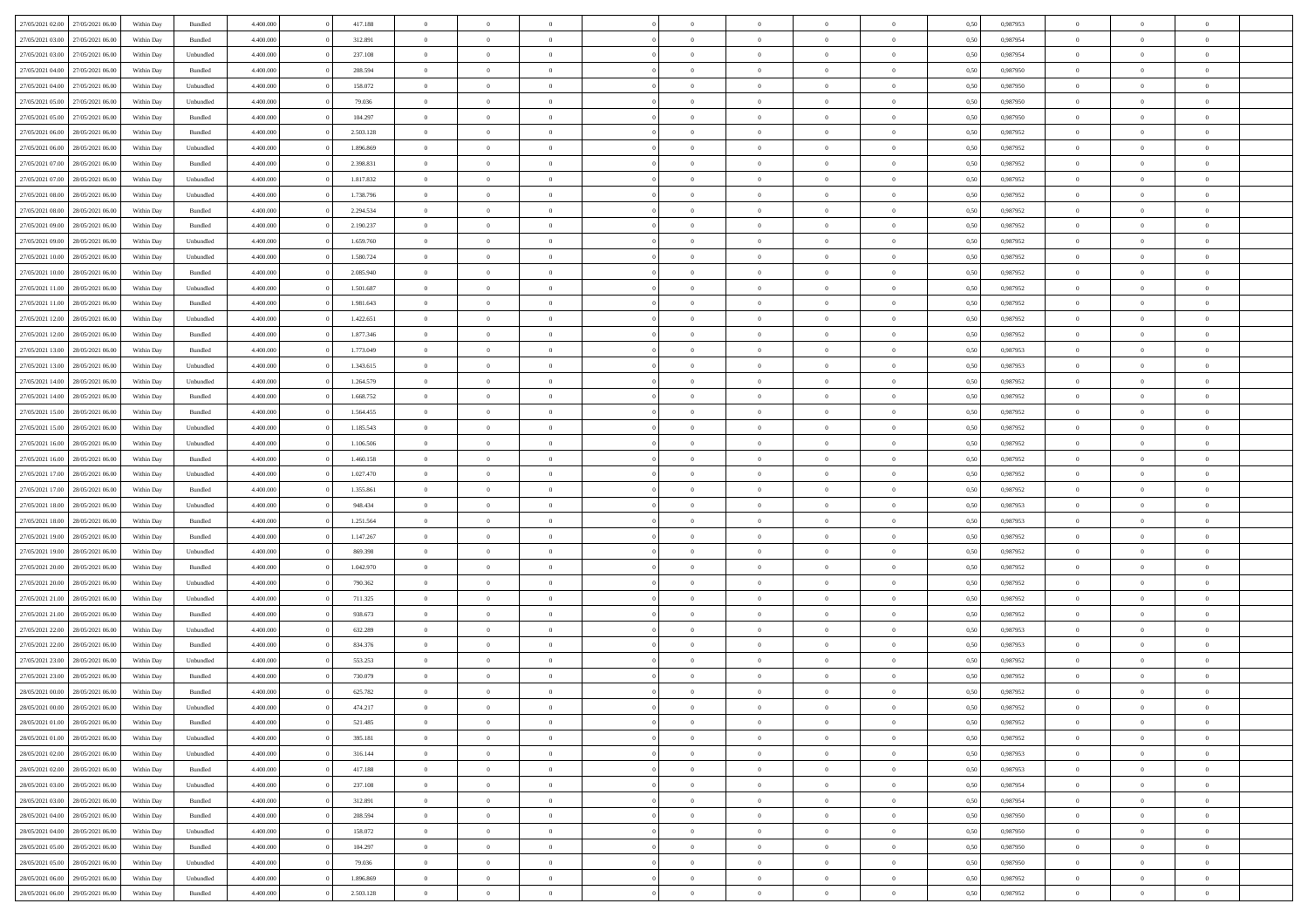| 27/05/2021 02:00 27/05/2021 06:00    | Within Day | Bundled   | 4.400.000 | 417.188   | $\overline{0}$ | $\overline{0}$ | $\Omega$       | $\Omega$       | $\theta$       | $\Omega$       | $\overline{0}$ | 0,50 | 0,987953 | $\theta$                | $\theta$       | $\theta$       |  |
|--------------------------------------|------------|-----------|-----------|-----------|----------------|----------------|----------------|----------------|----------------|----------------|----------------|------|----------|-------------------------|----------------|----------------|--|
| 27/05/2021 03:00<br>27/05/2021 06:00 | Within Day | Bundled   | 4.400.000 | 312.891   | $\overline{0}$ | $\overline{0}$ | $\overline{0}$ | $\overline{0}$ | $\theta$       | $\overline{0}$ | $\bf{0}$       | 0,50 | 0,987954 | $\theta$                | $\theta$       | $\overline{0}$ |  |
| 27/05/2021 03:00<br>27/05/2021 06:00 | Within Day | Unbundled | 4.400.000 | 237.108   | $\overline{0}$ | $\bf{0}$       | $\overline{0}$ | $\overline{0}$ | $\overline{0}$ | $\overline{0}$ | $\bf{0}$       | 0,50 | 0,987954 | $\bf{0}$                | $\overline{0}$ | $\overline{0}$ |  |
| 27/05/2021 04:00<br>27/05/2021 06:00 | Within Day | Bundled   | 4.400.000 | 208,594   | $\overline{0}$ | $\overline{0}$ | $\overline{0}$ | $\overline{0}$ | $\theta$       | $\overline{0}$ | $\overline{0}$ | 0.50 | 0,987950 | $\theta$                | $\theta$       | $\overline{0}$ |  |
| 27/05/2021 04:00<br>27/05/2021 06:00 | Within Day | Unbundled | 4.400.000 | 158.072   | $\overline{0}$ | $\overline{0}$ | $\overline{0}$ | $\overline{0}$ | $\theta$       | $\overline{0}$ | $\bf{0}$       | 0,50 | 0,987950 | $\theta$                | $\theta$       | $\overline{0}$ |  |
| 27/05/2021 05:00<br>27/05/2021 06:00 | Within Day | Unbundled | 4.400.000 | 79.036    | $\overline{0}$ | $\bf{0}$       | $\overline{0}$ | $\overline{0}$ | $\overline{0}$ | $\overline{0}$ | $\bf{0}$       | 0,50 | 0,987950 | $\overline{0}$          | $\overline{0}$ | $\bf{0}$       |  |
| 27/05/2021 05:00<br>27/05/2021 06:00 | Within Day | Bundled   | 4.400.000 | 104.297   | $\overline{0}$ | $\overline{0}$ | $\overline{0}$ | $\overline{0}$ | $\overline{0}$ | $\overline{0}$ | $\overline{0}$ | 0.5( | 0,987950 | $\theta$                | $\theta$       | $\overline{0}$ |  |
| 27/05/2021 06:00<br>28/05/2021 06:00 | Within Day | Bundled   | 4.400.000 | 2.503.128 | $\bf{0}$       | $\overline{0}$ | $\overline{0}$ | $\overline{0}$ | $\theta$       | $\overline{0}$ | $\bf{0}$       | 0,50 | 0,987952 | $\theta$                | $\theta$       | $\overline{0}$ |  |
|                                      |            |           |           |           |                |                |                |                |                |                |                |      |          |                         |                |                |  |
| 27/05/2021 06:00<br>28/05/2021 06:00 | Within Day | Unbundled | 4.400.000 | 1.896.869 | $\overline{0}$ | $\bf{0}$       | $\overline{0}$ | $\overline{0}$ | $\overline{0}$ | $\overline{0}$ | $\bf{0}$       | 0,50 | 0,987952 | $\bf{0}$                | $\bf{0}$       | $\overline{0}$ |  |
| 27/05/2021 07:00<br>28/05/2021 06:00 | Within Day | Bundled   | 4.400.000 | 2.398.831 | $\overline{0}$ | $\overline{0}$ | $\overline{0}$ | $\overline{0}$ | $\overline{0}$ | $\overline{0}$ | $\overline{0}$ | 0.5( | 0,987952 | $\theta$                | $\theta$       | $\overline{0}$ |  |
| 27/05/2021 07:00<br>28/05/2021 06:00 | Within Day | Unbundled | 4.400.000 | 1.817.832 | $\bf{0}$       | $\overline{0}$ | $\overline{0}$ | $\overline{0}$ | $\theta$       | $\overline{0}$ | $\bf{0}$       | 0,50 | 0,987952 | $\theta$                | $\theta$       | $\overline{0}$ |  |
| 27/05/2021 08:00<br>28/05/2021 06:00 | Within Day | Unbundled | 4.400.000 | 1.738.796 | $\overline{0}$ | $\bf{0}$       | $\overline{0}$ | $\overline{0}$ | $\bf{0}$       | $\overline{0}$ | $\bf{0}$       | 0,50 | 0,987952 | $\bf{0}$                | $\overline{0}$ | $\overline{0}$ |  |
| 27/05/2021 08:00<br>28/05/2021 06:00 | Within Day | Bundled   | 4.400.000 | 2.294.534 | $\overline{0}$ | $\overline{0}$ | $\overline{0}$ | $\overline{0}$ | $\overline{0}$ | $\overline{0}$ | $\overline{0}$ | 0.5( | 0,987952 | $\theta$                | $\theta$       | $\overline{0}$ |  |
| 27/05/2021 09:00<br>28/05/2021 06:00 | Within Day | Bundled   | 4.400.000 | 2.190.237 | $\overline{0}$ | $\overline{0}$ | $\overline{0}$ | $\overline{0}$ | $\theta$       | $\overline{0}$ | $\bf{0}$       | 0,50 | 0,987952 | $\theta$                | $\theta$       | $\overline{0}$ |  |
| 27/05/2021 09:00<br>28/05/2021 06:00 | Within Day | Unbundled | 4.400.000 | 1.659.760 | $\overline{0}$ | $\bf{0}$       | $\overline{0}$ | $\overline{0}$ | $\overline{0}$ | $\overline{0}$ | $\bf{0}$       | 0,50 | 0,987952 | $\bf{0}$                | $\overline{0}$ | $\bf{0}$       |  |
| 27/05/2021 10:00<br>28/05/2021 06:00 | Within Day | Unbundled | 4.400.000 | 1.580.724 | $\overline{0}$ | $\overline{0}$ | $\overline{0}$ | $\overline{0}$ | $\overline{0}$ | $\overline{0}$ | $\overline{0}$ | 0.5( | 0,987952 | $\theta$                | $\overline{0}$ | $\overline{0}$ |  |
| 27/05/2021 10:00<br>28/05/2021 06:00 | Within Day | Bundled   | 4.400.000 | 2.085.940 | $\overline{0}$ | $\overline{0}$ | $\overline{0}$ | $\overline{0}$ | $\theta$       | $\overline{0}$ | $\bf{0}$       | 0,50 | 0,987952 | $\theta$                | $\theta$       | $\overline{0}$ |  |
| 27/05/2021 11:00<br>28/05/2021 06:00 | Within Day | Unbundled | 4.400.000 | 1.501.687 | $\overline{0}$ | $\bf{0}$       | $\overline{0}$ | $\overline{0}$ | $\overline{0}$ | $\overline{0}$ | $\bf{0}$       | 0,50 | 0,987952 | $\bf{0}$                | $\overline{0}$ | $\overline{0}$ |  |
| 27/05/2021 11:00<br>28/05/2021 06:00 | Within Day | Bundled   | 4.400.000 | 1.981.643 | $\overline{0}$ | $\overline{0}$ | $\overline{0}$ | $\overline{0}$ | $\overline{0}$ | $\overline{0}$ | $\overline{0}$ | 0.5( | 0,987952 | $\theta$                | $\theta$       | $\overline{0}$ |  |
| 27/05/2021 12:00<br>28/05/2021 06:00 | Within Day | Unbundled | 4.400.000 | 1.422.651 | $\bf{0}$       | $\overline{0}$ | $\overline{0}$ | $\overline{0}$ | $\theta$       | $\overline{0}$ | $\bf{0}$       | 0,50 | 0,987952 | $\theta$                | $\theta$       | $\overline{0}$ |  |
| 27/05/2021 12:00<br>28/05/2021 06:00 | Within Day | Bundled   | 4.400.000 | 1.877.346 | $\overline{0}$ | $\bf{0}$       | $\overline{0}$ | $\overline{0}$ | $\overline{0}$ | $\overline{0}$ | $\bf{0}$       | 0,50 | 0,987952 | $\bf{0}$                | $\overline{0}$ | $\overline{0}$ |  |
| 27/05/2021 13:00<br>28/05/2021 06:00 | Within Day | Bundled   | 4.400.000 | 1.773.049 | $\overline{0}$ | $\overline{0}$ | $\overline{0}$ | $\overline{0}$ | $\overline{0}$ | $\overline{0}$ | $\overline{0}$ | 0.5( | 0,987953 | $\theta$                | $\theta$       | $\overline{0}$ |  |
| 27/05/2021 13:00<br>28/05/2021 06:00 | Within Day | Unbundled | 4.400.000 | 1.343.615 | $\overline{0}$ | $\overline{0}$ | $\overline{0}$ | $\overline{0}$ | $\theta$       | $\overline{0}$ | $\bf{0}$       | 0,50 | 0,987953 | $\theta$                | $\theta$       | $\overline{0}$ |  |
| 27/05/2021 14:00<br>28/05/2021 06:00 | Within Day | Unbundled | 4.400.000 | 1.264.579 | $\overline{0}$ | $\bf{0}$       | $\overline{0}$ | $\overline{0}$ | $\overline{0}$ | $\overline{0}$ | $\bf{0}$       | 0,50 | 0,987952 | $\overline{0}$          | $\overline{0}$ | $\bf{0}$       |  |
| 27/05/2021 14:00<br>28/05/2021 06:00 | Within Day | Bundled   | 4.400.000 | 1.668.752 | $\overline{0}$ | $\overline{0}$ | $\overline{0}$ | $\overline{0}$ | $\overline{0}$ | $\overline{0}$ | $\overline{0}$ | 0.5( | 0,987952 | $\theta$                | $\theta$       | $\overline{0}$ |  |
| 27/05/2021 15:00<br>28/05/2021 06:00 | Within Day | Bundled   | 4.400.000 | 1.564.455 | $\overline{0}$ | $\overline{0}$ | $\overline{0}$ | $\overline{0}$ | $\theta$       | $\overline{0}$ | $\bf{0}$       | 0,50 | 0,987952 | $\theta$                | $\theta$       | $\overline{0}$ |  |
| 27/05/2021 15:00<br>28/05/2021 06:00 | Within Day | Unbundled | 4.400.000 | 1.185.543 | $\overline{0}$ | $\bf{0}$       | $\overline{0}$ | $\overline{0}$ | $\overline{0}$ | $\overline{0}$ | $\bf{0}$       | 0,50 | 0,987952 | $\bf{0}$                | $\bf{0}$       | $\overline{0}$ |  |
| 27/05/2021 16:00<br>28/05/2021 06:00 | Within Day | Unbundled | 4.400.000 | 1.106.506 | $\overline{0}$ | $\overline{0}$ | $\overline{0}$ | $\overline{0}$ | $\overline{0}$ | $\overline{0}$ | $\overline{0}$ | 0.5( | 0,987952 | $\theta$                | $\theta$       | $\overline{0}$ |  |
| 27/05/2021 16:00<br>28/05/2021 06:00 |            | Bundled   | 4.400.000 | 1.460.158 | $\bf{0}$       | $\overline{0}$ | $\overline{0}$ | $\overline{0}$ | $\theta$       | $\overline{0}$ |                |      | 0,987952 | $\theta$                | $\theta$       | $\overline{0}$ |  |
|                                      | Within Day |           |           |           |                |                |                |                |                |                | $\bf{0}$       | 0,50 |          |                         |                |                |  |
| 27/05/2021 17:00<br>28/05/2021 06:00 | Within Day | Unbundled | 4.400.000 | 1.027.470 | $\overline{0}$ | $\bf{0}$       | $\overline{0}$ | $\overline{0}$ | $\bf{0}$       | $\overline{0}$ | $\bf{0}$       | 0,50 | 0,987952 | $\bf{0}$                | $\overline{0}$ | $\overline{0}$ |  |
| 27/05/2021 17:00<br>28/05/2021 06:00 | Within Day | Bundled   | 4,400,000 | 1.355.861 | $\overline{0}$ | $\overline{0}$ | $\Omega$       | $\Omega$       | $\Omega$       | $\theta$       | $\overline{0}$ | 0.50 | 0,987952 | $\,$ 0 $\,$<br>$\theta$ | $\overline{0}$ | $\theta$       |  |
| 27/05/2021 18:00<br>28/05/2021 06:00 | Within Day | Unbundled | 4.400.000 | 948.434   | $\overline{0}$ | $\overline{0}$ | $\overline{0}$ | $\overline{0}$ | $\theta$       | $\overline{0}$ | $\bf{0}$       | 0,50 | 0,987953 |                         | $\theta$       | $\overline{0}$ |  |
| 27/05/2021 18:00<br>28/05/2021 06:00 | Within Day | Bundled   | 4.400.000 | 1.251.564 | $\overline{0}$ | $\bf{0}$       | $\overline{0}$ | $\overline{0}$ | $\bf{0}$       | $\overline{0}$ | $\bf{0}$       | 0,50 | 0,987953 | $\bf{0}$                | $\overline{0}$ | $\bf{0}$       |  |
| 27/05/2021 19:00<br>28/05/2021 06:00 | Within Day | Bundled   | 4,400,000 | 1.147.267 | $\overline{0}$ | $\overline{0}$ | $\Omega$       | $\Omega$       | $\overline{0}$ | $\Omega$       | $\overline{0}$ | 0.50 | 0,987952 | $\theta$                | $\overline{0}$ | $\theta$       |  |
| 27/05/2021 19:00<br>28/05/2021 06:00 | Within Day | Unbundled | 4.400.000 | 869.398   | $\bf{0}$       | $\overline{0}$ | $\overline{0}$ | $\overline{0}$ | $\theta$       | $\overline{0}$ | $\bf{0}$       | 0,50 | 0,987952 | $\theta$                | $\theta$       | $\overline{0}$ |  |
| 27/05/2021 20:00<br>28/05/2021 06:00 | Within Day | Bundled   | 4.400.000 | 1.042.970 | $\overline{0}$ | $\bf{0}$       | $\overline{0}$ | $\overline{0}$ | $\overline{0}$ | $\overline{0}$ | $\bf{0}$       | 0,50 | 0,987952 | $\bf{0}$                | $\overline{0}$ | $\overline{0}$ |  |
| 27/05/2021 20:00<br>28/05/2021 06:00 | Within Day | Unbundled | 4,400,000 | 790.362   | $\overline{0}$ | $\overline{0}$ | $\Omega$       | $\Omega$       | $\Omega$       | $\Omega$       | $\overline{0}$ | 0.50 | 0.987952 | $\theta$                | $\Omega$       | $\theta$       |  |
| 27/05/2021 21:00<br>28/05/2021 06:00 | Within Day | Unbundled | 4.400.000 | 711.325   | $\bf{0}$       | $\overline{0}$ | $\overline{0}$ | $\overline{0}$ | $\theta$       | $\overline{0}$ | $\bf{0}$       | 0,50 | 0,987952 | $\theta$                | $\theta$       | $\overline{0}$ |  |
| 27/05/2021 21:00<br>28/05/2021 06:00 | Within Day | Bundled   | 4.400.000 | 938.673   | $\overline{0}$ | $\bf{0}$       | $\overline{0}$ | $\overline{0}$ | $\overline{0}$ | $\overline{0}$ | $\bf{0}$       | 0,50 | 0,987952 | $\bf{0}$                | $\overline{0}$ | $\overline{0}$ |  |
| 27/05/2021 22:00<br>28/05/2021 06:00 | Within Day | Unbundled | 4,400,000 | 632.289   | $\overline{0}$ | $\overline{0}$ | $\Omega$       | $\Omega$       | $\theta$       | $\theta$       | $\overline{0}$ | 0.50 | 0,987953 | $\bf{0}$                | $\overline{0}$ | $\theta$       |  |
| 27/05/2021 22:00<br>28/05/2021 06:00 | Within Day | Bundled   | 4.400.000 | 834.376   | $\bf{0}$       | $\overline{0}$ | $\overline{0}$ | $\overline{0}$ | $\theta$       | $\overline{0}$ | $\bf{0}$       | 0,50 | 0,987953 | $\theta$                | $\theta$       | $\overline{0}$ |  |
| 27/05/2021 23:00<br>28/05/2021 06:00 | Within Day | Unbundled | 4.400.000 | 553.253   | $\overline{0}$ | $\bf{0}$       | $\overline{0}$ | $\overline{0}$ | $\overline{0}$ | $\overline{0}$ | $\bf{0}$       | 0,50 | 0,987952 | $\bf{0}$                | $\overline{0}$ | $\bf{0}$       |  |
| 27/05/2021 23:00<br>28/05/2021 06:00 | Within Day | Bundled   | 4,400,000 | 730,079   | $\Omega$       | $\Omega$       | $\Omega$       | $\Omega$       | $\Omega$       | $\theta$       | $\overline{0}$ | 0.50 | 0.987952 | $\theta$                | $\Omega$       | $\theta$       |  |
| 28/05/2021 00:00<br>28/05/2021 06:00 | Within Day | Bundled   | 4.400.000 | 625.782   | $\bf{0}$       | $\bf{0}$       | $\overline{0}$ | $\overline{0}$ | $\overline{0}$ | $\overline{0}$ | $\bf{0}$       | 0,50 | 0,987952 | $\bf{0}$                | $\bf{0}$       | $\overline{0}$ |  |
| 28/05/2021 00:00 28/05/2021 06:00    | Within Day | Unbundled | 4.400.000 | 474.217   |                | $\bf{0}$       |                |                |                |                |                | 0,50 | 0,987952 | $\bf{0}$                | $\bf{0}$       |                |  |
| 28/05/2021 01:00 28/05/2021 06:00    | Within Day | Bundled   | 4.400.000 | 521.485   | $\theta$       | $\overline{0}$ | $\Omega$       | $\theta$       | $\overline{0}$ | $\theta$       | $\overline{0}$ | 0.50 | 0.987952 | $\theta$                | $\theta$       | $\theta$       |  |
| 28/05/2021 01:00<br>28/05/2021 06:00 | Within Day | Unbundled | 4.400.000 | 395.181   | $\overline{0}$ | $\overline{0}$ | $\overline{0}$ | $\overline{0}$ | $\,$ 0 $\,$    | $\overline{0}$ | $\,$ 0 $\,$    | 0,50 | 0,987952 | $\,$ 0 $\,$             | $\,$ 0 $\,$    | $\,$ 0         |  |
| 28/05/2021 02:00 28/05/2021 06:00    | Within Day | Unbundled | 4.400.000 | 316.144   | $\overline{0}$ | $\overline{0}$ | $\overline{0}$ | $\overline{0}$ | $\mathbf{0}$   | $\overline{0}$ | $\bf{0}$       | 0,50 | 0,987953 | $\overline{0}$          | $\overline{0}$ | $\overline{0}$ |  |
| 28/05/2021 02:00<br>28/05/2021 06:00 | Within Day | Bundled   | 4.400.000 | 417.188   | $\overline{0}$ | $\bf{0}$       | $\overline{0}$ | $\overline{0}$ | $\overline{0}$ | $\overline{0}$ | $\bf{0}$       | 0,50 | 0,987953 | $\bf{0}$                | $\theta$       | $\overline{0}$ |  |
| 28/05/2021 03:00<br>28/05/2021 06:00 | Within Day | Unbundled | 4.400.000 | 237.108   | $\overline{0}$ | $\overline{0}$ | $\overline{0}$ | $\overline{0}$ | $\overline{0}$ | $\overline{0}$ | $\,$ 0 $\,$    | 0,50 | 0,987954 | $\,$ 0 $\,$             | $\,$ 0 $\,$    | $\overline{0}$ |  |
| 28/05/2021 03:00<br>28/05/2021 06:00 | Within Day | Bundled   | 4.400.000 | 312.891   | $\overline{0}$ | $\overline{0}$ | $\overline{0}$ | $\overline{0}$ | $\overline{0}$ | $\overline{0}$ | $\mathbf{0}$   | 0,50 | 0,987954 | $\overline{0}$          | $\overline{0}$ | $\overline{0}$ |  |
| 28/05/2021 04:00<br>28/05/2021 06:00 | Within Day | Bundled   | 4.400.000 | 208,594   | $\overline{0}$ | $\bf{0}$       | $\overline{0}$ | $\overline{0}$ | $\overline{0}$ | $\overline{0}$ | $\bf{0}$       | 0.50 | 0,987950 | $\overline{0}$          | $\theta$       | $\overline{0}$ |  |
| 28/05/2021 04:00<br>28/05/2021 06:00 | Within Day | Unbundled | 4.400.000 | 158.072   | $\overline{0}$ | $\overline{0}$ | $\overline{0}$ | $\overline{0}$ | $\overline{0}$ | $\overline{0}$ | $\bf{0}$       | 0,50 | 0,987950 | $\,$ 0 $\,$             | $\,$ 0 $\,$    | $\overline{0}$ |  |
| 28/05/2021 06:00                     |            |           |           |           |                | $\bf{0}$       |                |                |                |                |                |      |          |                         | $\overline{0}$ | $\bf{0}$       |  |
| 28/05/2021 05:00                     | Within Day | Bundled   | 4.400.000 | 104.297   | $\overline{0}$ |                | $\overline{0}$ | $\overline{0}$ | $\overline{0}$ | $\overline{0}$ | $\bf{0}$       | 0,50 | 0,987950 | $\bf{0}$                |                |                |  |
| 28/05/2021 05:00<br>28/05/2021 06:00 | Within Day | Unbundled | 4.400.000 | 79.036    | $\overline{0}$ | $\overline{0}$ | $\overline{0}$ | $\overline{0}$ | $\overline{0}$ | $\overline{0}$ | $\bf{0}$       | 0.50 | 0,987950 | $\overline{0}$          | $\overline{0}$ | $\overline{0}$ |  |
| 28/05/2021 06:00<br>29/05/2021 06:00 | Within Day | Unbundled | 4.400.000 | 1.896.869 | $\overline{0}$ | $\,$ 0         | $\overline{0}$ | $\overline{0}$ | $\bf{0}$       | $\overline{0}$ | $\bf{0}$       | 0,50 | 0,987952 | $\,$ 0 $\,$             | $\,$ 0 $\,$    | $\bf{0}$       |  |
| 28/05/2021 06:00 29/05/2021 06:00    | Within Day | Bundled   | 4.400.000 | 2.503.128 | $\overline{0}$ | $\bf{0}$       | $\overline{0}$ | $\overline{0}$ | $\overline{0}$ | $\overline{0}$ | $\bf{0}$       | 0,50 | 0,987952 | $\bf{0}$                | $\overline{0}$ | $\bf{0}$       |  |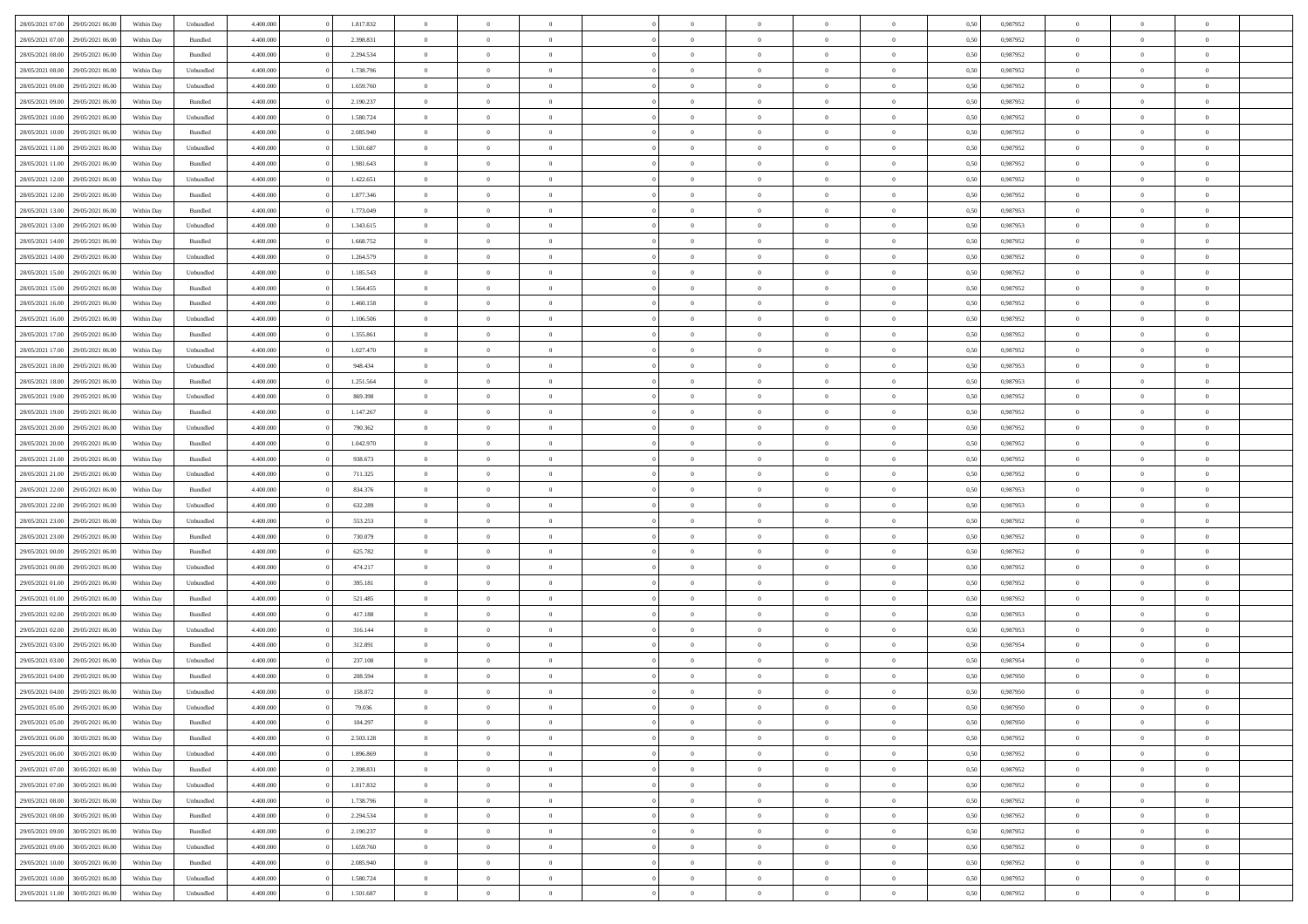| 28/05/2021 07:00 29/05/2021 06:00    | Within Day | Unbundled | 4.400.000 | 1.817.832 | $\overline{0}$ | $\overline{0}$ | $\Omega$       | $\overline{0}$ | $\theta$       | $\Omega$       | $\overline{0}$ | 0,50 | 0,987952 | $\theta$       | $\theta$       | $\overline{0}$ |  |
|--------------------------------------|------------|-----------|-----------|-----------|----------------|----------------|----------------|----------------|----------------|----------------|----------------|------|----------|----------------|----------------|----------------|--|
| 28/05/2021 07:00<br>29/05/2021 06:00 | Within Day | Bundled   | 4.400.000 | 2.398.831 | $\overline{0}$ | $\overline{0}$ | $\overline{0}$ | $\overline{0}$ | $\theta$       | $\overline{0}$ | $\bf{0}$       | 0,50 | 0,987952 | $\theta$       | $\theta$       | $\overline{0}$ |  |
| 28/05/2021 08:00<br>29/05/2021 06.00 | Within Day | Bundled   | 4.400.000 | 2.294.534 | $\overline{0}$ | $\bf{0}$       | $\overline{0}$ | $\overline{0}$ | $\overline{0}$ | $\overline{0}$ | $\bf{0}$       | 0,50 | 0,987952 | $\bf{0}$       | $\overline{0}$ | $\bf{0}$       |  |
| 28/05/2021 08:00<br>29/05/2021 06:00 | Within Day | Unbundled | 4.400.000 | 1.738.796 | $\overline{0}$ | $\overline{0}$ | $\overline{0}$ | $\overline{0}$ | $\theta$       | $\overline{0}$ | $\overline{0}$ | 0.50 | 0,987952 | $\theta$       | $\theta$       | $\overline{0}$ |  |
| 28/05/2021 09:00<br>29/05/2021 06:00 | Within Day | Unbundled | 4.400.000 | 1.659.760 | $\overline{0}$ | $\overline{0}$ | $\overline{0}$ | $\overline{0}$ | $\theta$       | $\overline{0}$ | $\bf{0}$       | 0,50 | 0,987952 | $\theta$       | $\theta$       | $\overline{0}$ |  |
| 28/05/2021 09:00<br>29/05/2021 06.00 | Within Day | Bundled   | 4.400.000 | 2.190.237 | $\overline{0}$ | $\bf{0}$       | $\overline{0}$ | $\overline{0}$ | $\overline{0}$ | $\overline{0}$ | $\bf{0}$       | 0,50 | 0,987952 | $\bf{0}$       | $\overline{0}$ | $\bf{0}$       |  |
| 28/05/2021 10:00<br>29/05/2021 06:00 | Within Dav | Unbundled | 4.400.000 | 1.580.724 | $\overline{0}$ | $\overline{0}$ |                | $\overline{0}$ | $\overline{0}$ | $\overline{0}$ | $\bf{0}$       | 0.5( | 0,987952 | $\theta$       | $\theta$       | $\overline{0}$ |  |
|                                      |            |           |           |           |                |                | $\overline{0}$ |                |                |                |                |      |          |                |                |                |  |
| 28/05/2021 10:00<br>29/05/2021 06:00 | Within Day | Bundled   | 4.400.000 | 2.085.940 | $\bf{0}$       | $\theta$       | $\overline{0}$ | $\overline{0}$ | $\theta$       | $\overline{0}$ | $\bf{0}$       | 0,50 | 0,987952 | $\theta$       | $\theta$       | $\overline{0}$ |  |
| 28/05/2021 11:00<br>29/05/2021 06.00 | Within Day | Unbundled | 4.400.000 | 1.501.687 | $\overline{0}$ | $\bf{0}$       | $\overline{0}$ | $\overline{0}$ | $\overline{0}$ | $\overline{0}$ | $\bf{0}$       | 0,50 | 0,987952 | $\bf{0}$       | $\overline{0}$ | $\overline{0}$ |  |
| 28/05/2021 11:00<br>29/05/2021 06:00 | Within Day | Bundled   | 4.400.000 | 1.981.643 | $\overline{0}$ | $\overline{0}$ | $\overline{0}$ | $\overline{0}$ | $\overline{0}$ | $\overline{0}$ | $\bf{0}$       | 0.50 | 0,987952 | $\theta$       | $\theta$       | $\overline{0}$ |  |
| 28/05/2021 12:00<br>29/05/2021 06:00 | Within Day | Unbundled | 4.400.000 | 1.422.651 | $\bf{0}$       | $\overline{0}$ | $\overline{0}$ | $\overline{0}$ | $\theta$       | $\overline{0}$ | $\bf{0}$       | 0,50 | 0,987952 | $\theta$       | $\theta$       | $\overline{0}$ |  |
| 28/05/2021 12:00<br>29/05/2021 06.00 | Within Day | Bundled   | 4.400.000 | 1.877.346 | $\overline{0}$ | $\bf{0}$       | $\overline{0}$ | $\overline{0}$ | $\bf{0}$       | $\overline{0}$ | $\bf{0}$       | 0,50 | 0,987952 | $\bf{0}$       | $\overline{0}$ | $\bf{0}$       |  |
| 28/05/2021 13:00<br>29/05/2021 06:00 | Within Day | Bundled   | 4.400.000 | 1.773.049 | $\overline{0}$ | $\overline{0}$ | $\overline{0}$ | $\overline{0}$ | $\overline{0}$ | $\overline{0}$ | $\overline{0}$ | 0.5( | 0,987953 | $\theta$       | $\theta$       | $\overline{0}$ |  |
| 28/05/2021 13:00<br>29/05/2021 06:00 | Within Day | Unbundled | 4.400.000 | 1.343.615 | $\overline{0}$ | $\overline{0}$ | $\overline{0}$ | $\overline{0}$ | $\theta$       | $\overline{0}$ | $\,$ 0 $\,$    | 0,50 | 0,987953 | $\theta$       | $\theta$       | $\overline{0}$ |  |
| 28/05/2021 14:00<br>29/05/2021 06.00 | Within Day | Bundled   | 4.400.000 | 1.668.752 | $\overline{0}$ | $\bf{0}$       | $\overline{0}$ | $\overline{0}$ | $\overline{0}$ | $\overline{0}$ | $\bf{0}$       | 0,50 | 0,987952 | $\bf{0}$       | $\overline{0}$ | $\overline{0}$ |  |
| 28/05/2021 14:00<br>29/05/2021 06:00 | Within Day | Unbundled | 4.400.000 | 1.264.579 | $\overline{0}$ | $\overline{0}$ | $\overline{0}$ | $\overline{0}$ | $\overline{0}$ | $\overline{0}$ | $\overline{0}$ | 0.5( | 0,987952 | $\theta$       | $\overline{0}$ | $\overline{0}$ |  |
| 28/05/2021 15:00<br>29/05/2021 06:00 | Within Day | Unbundled | 4.400.000 | 1.185.543 | $\bf{0}$       | $\overline{0}$ | $\overline{0}$ | $\overline{0}$ | $\theta$       | $\overline{0}$ | $\bf{0}$       | 0,50 | 0,987952 | $\theta$       | $\theta$       | $\overline{0}$ |  |
| 28/05/2021 15:00<br>29/05/2021 06.00 | Within Day | Bundled   | 4.400.000 | 1.564.455 | $\overline{0}$ | $\bf{0}$       | $\overline{0}$ | $\overline{0}$ | $\overline{0}$ | $\overline{0}$ | $\bf{0}$       | 0,50 | 0,987952 | $\bf{0}$       | $\overline{0}$ | $\overline{0}$ |  |
| 28/05/2021 16:00<br>29/05/2021 06:00 | Within Day | Bundled   | 4.400.000 | 1.460.158 | $\overline{0}$ | $\overline{0}$ | $\overline{0}$ | $\overline{0}$ | $\overline{0}$ | $\overline{0}$ | $\overline{0}$ | 0.50 | 0,987952 | $\theta$       | $\theta$       | $\overline{0}$ |  |
| 28/05/2021 16:00<br>29/05/2021 06:00 | Within Day | Unbundled | 4.400.000 | 1.106.506 | $\bf{0}$       | $\overline{0}$ | $\overline{0}$ | $\overline{0}$ | $\theta$       | $\overline{0}$ | $\bf{0}$       | 0,50 | 0,987952 | $\theta$       | $\theta$       | $\overline{0}$ |  |
| 28/05/2021 17:00<br>29/05/2021 06.00 | Within Day | Bundled   | 4.400.000 | 1.355.861 | $\overline{0}$ | $\bf{0}$       | $\overline{0}$ | $\overline{0}$ | $\overline{0}$ | $\overline{0}$ | $\bf{0}$       | 0,50 | 0,987952 | $\bf{0}$       | $\overline{0}$ | $\bf{0}$       |  |
| 28/05/2021 17:00<br>29/05/2021 06:00 | Within Day | Unbundled | 4.400.000 | 1.027.470 | $\overline{0}$ | $\overline{0}$ | $\overline{0}$ | $\overline{0}$ | $\overline{0}$ | $\overline{0}$ | $\overline{0}$ | 0.5( | 0,987952 | $\theta$       | $\overline{0}$ | $\overline{0}$ |  |
|                                      |            |           |           |           |                |                |                |                |                |                |                |      |          |                |                |                |  |
| 28/05/2021 18:00<br>29/05/2021 06:00 | Within Day | Unbundled | 4.400.000 | 948.434   | $\overline{0}$ | $\theta$       | $\overline{0}$ | $\overline{0}$ | $\theta$       | $\overline{0}$ | $\bf{0}$       | 0,50 | 0,987953 | $\theta$       | $\theta$       | $\overline{0}$ |  |
| 28/05/2021 18:00<br>29/05/2021 06.00 | Within Day | Bundled   | 4.400.000 | 1.251.564 | $\overline{0}$ | $\bf{0}$       | $\overline{0}$ | $\overline{0}$ | $\overline{0}$ | $\overline{0}$ | $\bf{0}$       | 0,50 | 0,987953 | $\bf{0}$       | $\overline{0}$ | $\bf{0}$       |  |
| 28/05/2021 19:00<br>29/05/2021 06:00 | Within Dav | Unbundled | 4.400.000 | 869.398   | $\overline{0}$ | $\overline{0}$ | $\overline{0}$ | $\overline{0}$ | $\overline{0}$ | $\overline{0}$ | $\overline{0}$ | 0.5( | 0,987952 | $\theta$       | $\theta$       | $\overline{0}$ |  |
| 28/05/2021 19:00<br>29/05/2021 06:00 | Within Day | Bundled   | 4.400.000 | 1.147.267 | $\bf{0}$       | $\overline{0}$ | $\overline{0}$ | $\overline{0}$ | $\theta$       | $\overline{0}$ | $\bf{0}$       | 0,50 | 0,987952 | $\theta$       | $\theta$       | $\overline{0}$ |  |
| 28/05/2021 20:00<br>29/05/2021 06.00 | Within Day | Unbundled | 4.400.000 | 790.362   | $\overline{0}$ | $\bf{0}$       | $\overline{0}$ | $\overline{0}$ | $\overline{0}$ | $\overline{0}$ | $\bf{0}$       | 0,50 | 0,987952 | $\bf{0}$       | $\bf{0}$       | $\overline{0}$ |  |
| 28/05/2021 20:00<br>29/05/2021 06:00 | Within Day | Bundled   | 4.400.000 | 1.042.970 | $\overline{0}$ | $\overline{0}$ | $\overline{0}$ | $\overline{0}$ | $\overline{0}$ | $\overline{0}$ | $\overline{0}$ | 0.5( | 0,987952 | $\theta$       | $\theta$       | $\overline{0}$ |  |
| 28/05/2021 21:00<br>29/05/2021 06:00 | Within Day | Bundled   | 4.400.000 | 938.673   | $\bf{0}$       | $\overline{0}$ | $\overline{0}$ | $\overline{0}$ | $\theta$       | $\overline{0}$ | $\bf{0}$       | 0,50 | 0,987952 | $\theta$       | $\theta$       | $\overline{0}$ |  |
| 28/05/2021 21:00<br>29/05/2021 06.00 | Within Day | Unbundled | 4.400.000 | 711.325   | $\overline{0}$ | $\bf{0}$       | $\overline{0}$ | $\overline{0}$ | $\bf{0}$       | $\overline{0}$ | $\bf{0}$       | 0,50 | 0,987952 | $\bf{0}$       | $\overline{0}$ | $\bf{0}$       |  |
| 28/05/2021 22:00<br>29/05/2021 06.00 | Within Day | Bundled   | 4,400,000 | 834.376   | $\overline{0}$ | $\overline{0}$ | $\Omega$       | $\Omega$       | $\Omega$       | $\Omega$       | $\overline{0}$ | 0.50 | 0,987953 | $\,$ 0 $\,$    | $\overline{0}$ | $\theta$       |  |
| 28/05/2021 22:00<br>29/05/2021 06:00 | Within Day | Unbundled | 4.400.000 | 632.289   | $\bf{0}$       | $\overline{0}$ | $\overline{0}$ | $\overline{0}$ | $\theta$       | $\overline{0}$ | $\bf{0}$       | 0,50 | 0,987953 | $\theta$       | $\theta$       | $\overline{0}$ |  |
| 28/05/2021 23:00<br>29/05/2021 06.00 | Within Day | Unbundled | 4.400.000 | 553.253   | $\overline{0}$ | $\bf{0}$       | $\overline{0}$ | $\overline{0}$ | $\overline{0}$ | $\overline{0}$ | $\bf{0}$       | 0,50 | 0,987952 | $\bf{0}$       | $\overline{0}$ | $\bf{0}$       |  |
| 28/05/2021 23:00<br>29/05/2021 06:00 | Within Day | Bundled   | 4,400,000 | 730,079   | $\overline{0}$ | $\overline{0}$ | $\Omega$       | $\Omega$       | $\overline{0}$ | $\Omega$       | $\overline{0}$ | 0.50 | 0.987952 | $\theta$       | $\theta$       | $\theta$       |  |
| 29/05/2021 00:00<br>29/05/2021 06:00 | Within Day | Bundled   | 4.400.000 | 625.782   | $\bf{0}$       | $\overline{0}$ | $\overline{0}$ | $\overline{0}$ | $\theta$       | $\overline{0}$ | $\bf{0}$       | 0,50 | 0,987952 | $\theta$       | $\theta$       | $\overline{0}$ |  |
| 29/05/2021 00:00<br>29/05/2021 06.00 | Within Day | Unbundled | 4.400.000 | 474.217   | $\overline{0}$ | $\bf{0}$       | $\overline{0}$ | $\overline{0}$ | $\overline{0}$ | $\overline{0}$ | $\bf{0}$       | 0,50 | 0,987952 | $\bf{0}$       | $\overline{0}$ | $\bf{0}$       |  |
| 29/05/2021 01:00<br>29/05/2021 06:00 | Within Day | Unbundled | 4,400,000 | 395.181   | $\overline{0}$ | $\overline{0}$ | $\Omega$       | $\Omega$       | $\Omega$       | $\theta$       | $\overline{0}$ | 0.50 | 0.987952 | $\theta$       | $\Omega$       | $\theta$       |  |
| 29/05/2021 01:00<br>29/05/2021 06:00 | Within Day | Bundled   | 4.400.000 | 521.485   | $\bf{0}$       | $\bf{0}$       | $\overline{0}$ | $\overline{0}$ | $\theta$       | $\overline{0}$ | $\bf{0}$       | 0,50 | 0,987952 | $\theta$       | $\,$ 0 $\,$    | $\overline{0}$ |  |
| 29/05/2021 02:00<br>29/05/2021 06.00 | Within Day | Bundled   | 4.400.000 | 417.188   | $\overline{0}$ | $\bf{0}$       | $\overline{0}$ | $\overline{0}$ | $\overline{0}$ | $\overline{0}$ | $\bf{0}$       | 0,50 | 0,987953 | $\bf{0}$       | $\overline{0}$ | $\bf{0}$       |  |
| 29/05/2021 02:00<br>29/05/2021 06.00 | Within Day | Unbundled | 4,400,000 | 316.144   | $\overline{0}$ | $\overline{0}$ | $\Omega$       | $\Omega$       | $\theta$       | $\Omega$       | $\overline{0}$ | 0.50 | 0,987953 | $\bf{0}$       | $\overline{0}$ | $\theta$       |  |
| 29/05/2021 03:00<br>29/05/2021 06:00 | Within Day | Bundled   | 4.400.000 | 312.891   | $\bf{0}$       | $\theta$       | $\overline{0}$ | $\overline{0}$ | $\theta$       | $\overline{0}$ | $\bf{0}$       | 0,50 | 0,987954 | $\theta$       | $\theta$       | $\overline{0}$ |  |
| 29/05/2021 03:00<br>29/05/2021 06.00 | Within Day | Unbundled | 4.400.000 | 237.108   | $\overline{0}$ | $\bf{0}$       | $\overline{0}$ | $\overline{0}$ | $\overline{0}$ | $\overline{0}$ | $\bf{0}$       | 0,50 | 0,987954 | $\bf{0}$       | $\overline{0}$ | $\bf{0}$       |  |
| 29/05/2021 04:00<br>29/05/2021 06.00 | Within Day | Bundled   | 4,400,000 | 208,594   | $\overline{0}$ | $\Omega$       | $\Omega$       | $\Omega$       | $\Omega$       | $\theta$       | $\overline{0}$ | 0.50 | 0.987950 | $\theta$       | $\overline{0}$ | $\theta$       |  |
| 29/05/2021 04:00<br>29/05/2021 06:00 | Within Day | Unbundled | 4.400.000 | 158.072   | $\bf{0}$       | $\bf{0}$       | $\overline{0}$ | $\overline{0}$ | $\overline{0}$ | $\bf{0}$       | $\bf{0}$       | 0,50 | 0,987950 | $\bf{0}$       | $\,$ 0 $\,$    | $\overline{0}$ |  |
| 29/05/2021 05:00 29/05/2021 06:00    | Within Day | Unbundled | 4.400.000 | 79.036    |                | $\bf{0}$       |                |                |                |                |                | 0,50 | 0,987950 | $\bf{0}$       | $\bf{0}$       |                |  |
| 29/05/2021 05:00 29/05/2021 06:00    | Within Day | Bundled   | 4.400.000 | 104.297   | $\Omega$       | $\overline{0}$ | $\Omega$       | $\theta$       | $\Omega$       | $\theta$       | $\overline{0}$ | 0.50 | 0.987950 | $\theta$       | $\theta$       | $\theta$       |  |
| 29/05/2021 06:00<br>30/05/2021 06:00 | Within Day | Bundled   | 4.400.000 | 2.503.128 | $\overline{0}$ | $\overline{0}$ | $\overline{0}$ | $\overline{0}$ | $\overline{0}$ | $\overline{0}$ | $\,$ 0 $\,$    | 0,50 | 0,987952 | $\,$ 0 $\,$    | $\,$ 0 $\,$    | $\,$ 0         |  |
| 29/05/2021 06:00<br>30/05/2021 06:00 | Within Day | Unbundled | 4.400.000 | 1.896.869 | $\overline{0}$ | $\overline{0}$ | $\overline{0}$ | $\overline{0}$ | $\overline{0}$ | $\overline{0}$ | $\bf{0}$       | 0,50 | 0,987952 | $\overline{0}$ | $\bf{0}$       | $\overline{0}$ |  |
|                                      |            |           |           |           |                |                |                |                |                |                |                |      |          |                |                |                |  |
| 29/05/2021 07:00<br>30/05/2021 06:00 | Within Day | Bundled   | 4.400.000 | 2.398.831 | $\overline{0}$ | $\bf{0}$       | $\overline{0}$ | $\overline{0}$ | $\overline{0}$ | $\overline{0}$ | $\bf{0}$       | 0,50 | 0,987952 | $\bf{0}$       | $\theta$       | $\overline{0}$ |  |
| 29/05/2021 07:00<br>30/05/2021 06:00 | Within Day | Unbundled | 4.400.000 | 1.817.832 | $\overline{0}$ | $\overline{0}$ | $\overline{0}$ | $\overline{0}$ | $\overline{0}$ | $\overline{0}$ | $\bf{0}$       | 0,50 | 0,987952 | $\,$ 0 $\,$    | $\,$ 0 $\,$    | $\overline{0}$ |  |
| 29/05/2021 08:00<br>30/05/2021 06:00 | Within Day | Unbundled | 4.400.000 | 1.738.796 | $\overline{0}$ | $\overline{0}$ | $\overline{0}$ | $\overline{0}$ | $\mathbf{0}$   | $\overline{0}$ | $\bf{0}$       | 0,50 | 0,987952 | $\overline{0}$ | $\overline{0}$ | $\overline{0}$ |  |
| 29/05/2021 08:00<br>30/05/2021 06:00 | Within Day | Bundled   | 4.400.000 | 2.294.534 | $\overline{0}$ | $\bf{0}$       | $\overline{0}$ | $\overline{0}$ | $\overline{0}$ | $\overline{0}$ | $\bf{0}$       | 0.50 | 0,987952 | $\overline{0}$ | $\theta$       | $\overline{0}$ |  |
| 29/05/2021 09:00<br>30/05/2021 06:00 | Within Day | Bundled   | 4.400.000 | 2.190.237 | $\overline{0}$ | $\,$ 0         | $\overline{0}$ | $\overline{0}$ | $\overline{0}$ | $\overline{0}$ | $\bf{0}$       | 0,50 | 0,987952 | $\,$ 0 $\,$    | $\bf{0}$       | $\overline{0}$ |  |
| 29/05/2021 09:00<br>30/05/2021 06:00 | Within Day | Unbundled | 4.400.000 | 1.659.760 | $\overline{0}$ | $\bf{0}$       | $\overline{0}$ | $\overline{0}$ | $\overline{0}$ | $\overline{0}$ | $\bf{0}$       | 0,50 | 0,987952 | $\overline{0}$ | $\overline{0}$ | $\bf{0}$       |  |
| 29/05/2021 10:00<br>30/05/2021 06:00 | Within Day | Bundled   | 4.400.000 | 2.085.940 | $\overline{0}$ | $\overline{0}$ | $\overline{0}$ | $\overline{0}$ | $\overline{0}$ | $\overline{0}$ | $\bf{0}$       | 0.50 | 0,987952 | $\overline{0}$ | $\overline{0}$ | $\overline{0}$ |  |
| 29/05/2021 10:00<br>30/05/2021 06:00 | Within Day | Unbundled | 4.400.000 | 1.580.724 | $\overline{0}$ | $\,$ 0         | $\overline{0}$ | $\overline{0}$ | $\overline{0}$ | $\bf{0}$       | $\bf{0}$       | 0,50 | 0,987952 | $\,$ 0 $\,$    | $\,$ 0 $\,$    | $\overline{0}$ |  |
| 29/05/2021 11:00 30/05/2021 06:00    | Within Day | Unbundled | 4.400.000 | 1.501.687 | $\overline{0}$ | $\bf{0}$       | $\overline{0}$ | $\overline{0}$ | $\overline{0}$ | $\overline{0}$ | $\bf{0}$       | 0,50 | 0,987952 | $\overline{0}$ | $\bf{0}$       | $\overline{0}$ |  |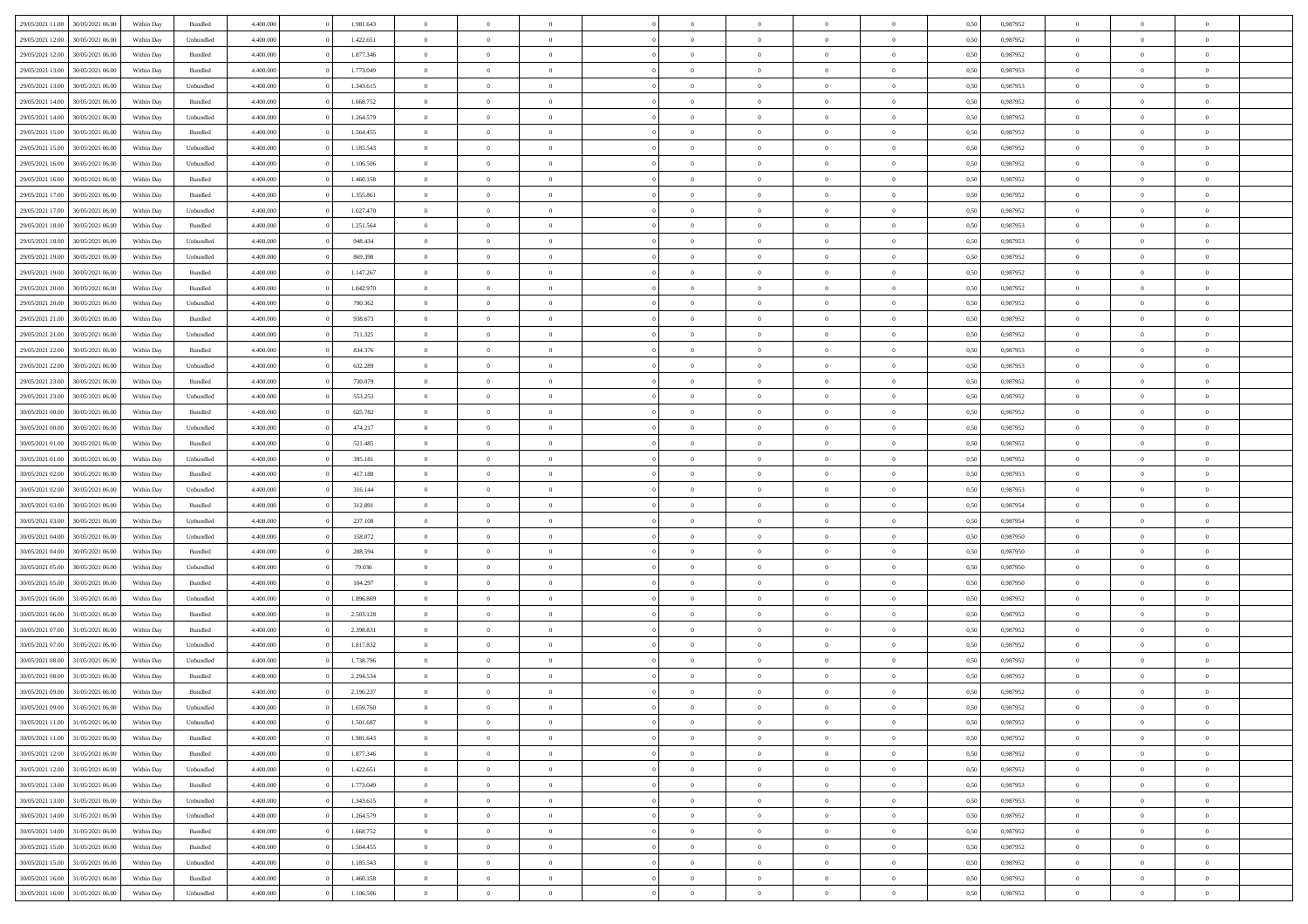| 29/05/2021 11:00 | 30/05/2021 06:00 | Within Day | Bundled   | 4.400.000 | 1.981.643 | $\overline{0}$ | $\Omega$       |                | $\Omega$       | $\Omega$       | $\overline{0}$ | $\theta$       | 0,50 | 0,987952 | $\theta$       | $\theta$       | $\theta$       |  |
|------------------|------------------|------------|-----------|-----------|-----------|----------------|----------------|----------------|----------------|----------------|----------------|----------------|------|----------|----------------|----------------|----------------|--|
|                  |                  |            |           |           |           |                |                |                |                |                |                |                |      |          |                |                |                |  |
| 29/05/2021 12:00 | 30/05/2021 06:00 | Within Day | Unbundled | 4.400.000 | 1.422.651 | $\overline{0}$ | $\theta$       | $\overline{0}$ | $\overline{0}$ | $\bf{0}$       | $\overline{0}$ | $\bf{0}$       | 0,50 | 0,987952 | $\theta$       | $\overline{0}$ | $\overline{0}$ |  |
| 29/05/2021 12:00 | 30/05/2021 06:00 | Within Day | Bundled   | 4.400.000 | 1.877.346 | $\overline{0}$ | $\bf{0}$       | $\overline{0}$ | $\overline{0}$ | $\bf{0}$       | $\overline{0}$ | $\mathbf{0}$   | 0,50 | 0,987952 | $\bf{0}$       | $\overline{0}$ | $\bf{0}$       |  |
| 29/05/2021 13:00 | 30/05/2021 06:00 | Within Dav | Bundled   | 4.400.000 | 1.773.049 | $\overline{0}$ | $\overline{0}$ | $\overline{0}$ | $\overline{0}$ | $\bf{0}$       | $\overline{0}$ | $\overline{0}$ | 0.50 | 0,987953 | $\theta$       | $\theta$       | $\overline{0}$ |  |
| 29/05/2021 13:00 | 30/05/2021 06:00 | Within Day | Unbundled | 4.400.000 | 1.343.615 | $\overline{0}$ | $\theta$       | $\overline{0}$ | $\overline{0}$ | $\bf{0}$       | $\overline{0}$ | $\bf{0}$       | 0,50 | 0,987953 | $\theta$       | $\overline{0}$ | $\overline{0}$ |  |
| 29/05/2021 14:00 | 30/05/2021 06:00 | Within Day | Bundled   | 4.400.000 | 1.668.752 | $\overline{0}$ | $\overline{0}$ | $\overline{0}$ | $\overline{0}$ | $\overline{0}$ | $\overline{0}$ | $\mathbf{0}$   | 0,50 | 0,987952 | $\bf{0}$       | $\overline{0}$ | $\bf{0}$       |  |
|                  |                  |            |           |           |           |                | $\overline{0}$ |                |                | $\overline{0}$ |                |                |      |          | $\theta$       | $\overline{0}$ | $\overline{0}$ |  |
| 29/05/2021 14:00 | 30/05/2021 06:00 | Within Dav | Unbundled | 4.400.000 | 1.264.579 | $\overline{0}$ |                | $\overline{0}$ | $\overline{0}$ |                | $\overline{0}$ | $\overline{0}$ | 0.50 | 0,987952 |                |                |                |  |
| 29/05/2021 15:00 | 30/05/2021 06:00 | Within Day | Bundled   | 4.400.000 | 1.564.455 | $\overline{0}$ | $\theta$       | $\overline{0}$ | $\overline{0}$ | $\bf{0}$       | $\overline{0}$ | $\bf{0}$       | 0,50 | 0,987952 | $\theta$       | $\theta$       | $\overline{0}$ |  |
| 29/05/2021 15:00 | 30/05/2021 06:00 | Within Day | Unbundled | 4.400.000 | 1.185.543 | $\overline{0}$ | $\overline{0}$ | $\overline{0}$ | $\overline{0}$ | $\bf{0}$       | $\overline{0}$ | $\bf{0}$       | 0,50 | 0,987952 | $\,0\,$        | $\overline{0}$ | $\overline{0}$ |  |
| 29/05/2021 16:00 | 30/05/2021 06:00 | Within Dav | Unbundled | 4.400.000 | 1.106.506 | $\overline{0}$ | $\overline{0}$ | $\overline{0}$ | $\overline{0}$ | $\overline{0}$ | $\overline{0}$ | $\overline{0}$ | 0.50 | 0,987952 | $\theta$       | $\overline{0}$ | $\overline{0}$ |  |
| 29/05/2021 16:00 | 30/05/2021 06:00 | Within Day | Bundled   | 4.400.000 | 1.460.158 | $\overline{0}$ | $\theta$       | $\overline{0}$ | $\overline{0}$ | $\bf{0}$       | $\overline{0}$ | $\bf{0}$       | 0,50 | 0,987952 | $\,$ 0 $\,$    | $\overline{0}$ | $\overline{0}$ |  |
| 29/05/2021 17:00 | 30/05/2021 06:00 | Within Day | Bundled   | 4.400.000 | 1.355.861 | $\overline{0}$ | $\overline{0}$ | $\overline{0}$ | $\overline{0}$ | $\bf{0}$       | $\overline{0}$ | $\mathbf{0}$   | 0,50 | 0,987952 | $\bf{0}$       | $\overline{0}$ | $\bf{0}$       |  |
| 29/05/2021 17:00 | 30/05/2021 06:00 | Within Day | Unbundled | 4.400.000 | 1.027.470 | $\overline{0}$ | $\overline{0}$ | $\overline{0}$ | $\overline{0}$ | $\bf{0}$       | $\overline{0}$ | $\overline{0}$ | 0.50 | 0,987952 | $\theta$       | $\theta$       | $\overline{0}$ |  |
|                  |                  |            |           |           |           | $\overline{0}$ | $\theta$       | $\overline{0}$ | $\overline{0}$ | $\bf{0}$       | $\overline{0}$ |                |      |          | $\theta$       | $\overline{0}$ | $\overline{0}$ |  |
| 29/05/2021 18:00 | 30/05/2021 06:00 | Within Day | Bundled   | 4.400.000 | 1.251.564 |                |                |                |                |                |                | $\bf{0}$       | 0,50 | 0,987953 |                |                |                |  |
| 29/05/2021 18:00 | 30/05/2021 06:00 | Within Day | Unbundled | 4.400.000 | 948.434   | $\overline{0}$ | $\overline{0}$ | $\overline{0}$ | $\overline{0}$ | $\overline{0}$ | $\overline{0}$ | $\mathbf{0}$   | 0,50 | 0,987953 | $\bf{0}$       | $\overline{0}$ | $\bf{0}$       |  |
| 29/05/2021 19:00 | 30/05/2021 06:00 | Within Dav | Unbundled | 4.400.000 | 869.398   | $\overline{0}$ | $\overline{0}$ | $\overline{0}$ | $\overline{0}$ | $\overline{0}$ | $\overline{0}$ | $\overline{0}$ | 0.50 | 0,987952 | $\theta$       | $\overline{0}$ | $\overline{0}$ |  |
| 29/05/2021 19:00 | 30/05/2021 06:00 | Within Day | Bundled   | 4.400.000 | 1.147.267 | $\overline{0}$ | $\theta$       | $\overline{0}$ | $\overline{0}$ | $\bf{0}$       | $\overline{0}$ | $\bf{0}$       | 0,50 | 0,987952 | $\theta$       | $\theta$       | $\overline{0}$ |  |
| 29/05/2021 20:00 | 30/05/2021 06:00 | Within Day | Bundled   | 4.400.000 | 1.042.970 | $\overline{0}$ | $\overline{0}$ | $\overline{0}$ | $\overline{0}$ | $\bf{0}$       | $\overline{0}$ | $\mathbf{0}$   | 0,50 | 0,987952 | $\bf{0}$       | $\overline{0}$ | $\bf{0}$       |  |
| 29/05/2021 20:00 | 30/05/2021 06:00 | Within Dav | Unbundled | 4.400.000 | 790.362   | $\overline{0}$ | $\overline{0}$ | $\overline{0}$ | $\overline{0}$ | $\overline{0}$ | $\overline{0}$ | $\overline{0}$ | 0.50 | 0,987952 | $\theta$       | $\overline{0}$ | $\overline{0}$ |  |
| 29/05/2021 21:00 | 30/05/2021 06:00 | Within Day | Bundled   | 4.400.000 | 938.673   | $\overline{0}$ | $\theta$       | $\overline{0}$ | $\overline{0}$ | $\bf{0}$       | $\overline{0}$ | $\bf{0}$       | 0,50 | 0,987952 | $\,$ 0 $\,$    | $\overline{0}$ | $\overline{0}$ |  |
|                  |                  |            |           |           |           |                |                |                |                |                |                |                |      |          |                |                |                |  |
| 29/05/2021 21.00 | 30/05/2021 06:00 | Within Day | Unbundled | 4.400.000 | 711.325   | $\overline{0}$ | $\overline{0}$ | $\overline{0}$ | $\overline{0}$ | $\bf{0}$       | $\overline{0}$ | $\mathbf{0}$   | 0,50 | 0,987952 | $\bf{0}$       | $\overline{0}$ | $\bf{0}$       |  |
| 29/05/2021 22.00 | 30/05/2021 06:00 | Within Day | Bundled   | 4.400.000 | 834.376   | $\overline{0}$ | $\overline{0}$ | $\overline{0}$ | $\overline{0}$ | $\overline{0}$ | $\overline{0}$ | $\overline{0}$ | 0.50 | 0,987953 | $\theta$       | $\overline{0}$ | $\overline{0}$ |  |
| 29/05/2021 22:00 | 30/05/2021 06:00 | Within Day | Unbundled | 4.400.000 | 632.289   | $\overline{0}$ | $\theta$       | $\overline{0}$ | $\overline{0}$ | $\bf{0}$       | $\overline{0}$ | $\bf{0}$       | 0,50 | 0,987953 | $\,$ 0 $\,$    | $\overline{0}$ | $\overline{0}$ |  |
| 29/05/2021 23:00 | 30/05/2021 06:00 | Within Day | Bundled   | 4.400.000 | 730.079   | $\overline{0}$ | $\overline{0}$ | $\overline{0}$ | $\overline{0}$ | $\overline{0}$ | $\overline{0}$ | $\mathbf{0}$   | 0,50 | 0,987952 | $\bf{0}$       | $\overline{0}$ | $\bf{0}$       |  |
| 29/05/2021 23:00 | 30/05/2021 06:00 | Within Dav | Unbundled | 4.400.000 | 553.253   | $\overline{0}$ | $\overline{0}$ | $\overline{0}$ | $\overline{0}$ | $\overline{0}$ | $\overline{0}$ | $\overline{0}$ | 0.50 | 0,987952 | $\theta$       | $\overline{0}$ | $\overline{0}$ |  |
| 30/05/2021 00:00 | 30/05/2021 06:00 | Within Day | Bundled   | 4.400.000 | 625.782   | $\overline{0}$ | $\theta$       | $\overline{0}$ | $\overline{0}$ | $\bf{0}$       | $\overline{0}$ | $\bf{0}$       | 0,50 | 0,987952 | $\theta$       | $\theta$       | $\overline{0}$ |  |
| 30/05/2021 00:00 | 30/05/2021 06:00 | Within Day | Unbundled | 4.400.000 | 474.217   | $\overline{0}$ | $\overline{0}$ | $\overline{0}$ | $\overline{0}$ | $\bf{0}$       | $\overline{0}$ | $\bf{0}$       | 0,50 | 0,987952 | $\,0\,$        | $\overline{0}$ | $\overline{0}$ |  |
|                  | 30/05/2021 06:00 |            | Bundled   | 4.400.000 | 521.485   | $\overline{0}$ | $\overline{0}$ | $\overline{0}$ | $\overline{0}$ | $\overline{0}$ | $\overline{0}$ | $\overline{0}$ | 0.50 | 0,987952 | $\theta$       | $\overline{0}$ | $\overline{0}$ |  |
| 30/05/2021 01:00 |                  | Within Day |           |           |           |                |                |                |                |                |                |                |      |          |                |                |                |  |
| 30/05/2021 01:00 | 30/05/2021 06:00 | Within Day | Unbundled | 4.400.000 | 395.181   | $\overline{0}$ | $\theta$       | $\overline{0}$ | $\overline{0}$ | $\bf{0}$       | $\overline{0}$ | $\bf{0}$       | 0,50 | 0,987952 | $\,$ 0 $\,$    | $\overline{0}$ | $\overline{0}$ |  |
| 30/05/2021 02:00 | 30/05/2021 06:00 | Within Day | Bundled   | 4.400.000 | 417.188   | $\overline{0}$ | $\overline{0}$ | $\overline{0}$ | $\bf{0}$       | $\bf{0}$       | $\bf{0}$       | $\bf{0}$       | 0,50 | 0,987953 | $\overline{0}$ | $\overline{0}$ | $\bf{0}$       |  |
| 30/05/2021 02.00 | 30/05/2021 06:00 | Within Day | Unbundled | 4.400,000 | 316.144   | $\overline{0}$ | $\Omega$       | $\Omega$       | $\Omega$       | $\Omega$       | $\overline{0}$ | $\overline{0}$ | 0,50 | 0,987953 | $\,0\,$        | $\theta$       | $\theta$       |  |
| 30/05/2021 03:00 | 30/05/2021 06:00 | Within Day | Bundled   | 4.400.000 | 312.891   | $\overline{0}$ | $\theta$       | $\overline{0}$ | $\overline{0}$ | $\bf{0}$       | $\overline{0}$ | $\bf{0}$       | 0,50 | 0,987954 | $\theta$       | $\overline{0}$ | $\overline{0}$ |  |
| 30/05/2021 03:00 | 30/05/2021 06:00 | Within Day | Unbundled | 4.400.000 | 237.108   | $\overline{0}$ | $\overline{0}$ | $\overline{0}$ | $\bf{0}$       | $\overline{0}$ | $\overline{0}$ | $\mathbf{0}$   | 0,50 | 0,987954 | $\overline{0}$ | $\overline{0}$ | $\bf{0}$       |  |
| 30/05/2021 04:00 | 30/05/2021 06:00 | Within Day | Unbundled | 4.400,000 | 158,072   | $\overline{0}$ | $\Omega$       | $\Omega$       | $\Omega$       | $\overline{0}$ | $\overline{0}$ | $\overline{0}$ | 0.50 | 0,987950 | $\,0\,$        | $\theta$       | $\theta$       |  |
| 30/05/2021 04:00 | 30/05/2021 06:00 | Within Day | Bundled   | 4.400.000 | 208.594   | $\overline{0}$ | $\theta$       | $\overline{0}$ | $\overline{0}$ | $\bf{0}$       | $\overline{0}$ | $\bf{0}$       | 0,50 | 0,987950 | $\,$ 0 $\,$    | $\overline{0}$ | $\overline{0}$ |  |
|                  |                  |            |           |           |           |                |                |                |                |                |                |                |      |          |                |                |                |  |
| 30/05/2021 05:00 | 30/05/2021 06:00 | Within Day | Unbundled | 4.400.000 | 79.036    | $\overline{0}$ | $\overline{0}$ | $\overline{0}$ | $\bf{0}$       | $\bf{0}$       | $\bf{0}$       | $\bf{0}$       | 0,50 | 0,987950 | $\bf{0}$       | $\overline{0}$ | $\bf{0}$       |  |
| 30/05/2021 05:00 | 30/05/2021 06:00 | Within Day | Bundled   | 4.400,000 | 104.297   | $\overline{0}$ | $\Omega$       | $\Omega$       | $\Omega$       | $\overline{0}$ | $\overline{0}$ | $\overline{0}$ | 0.50 | 0.987950 | $\,$ 0 $\,$    | $\theta$       | $\theta$       |  |
| 30/05/2021 06:00 | 31/05/2021 06:00 | Within Day | Unbundled | 4.400.000 | 1.896.869 | $\overline{0}$ | $\overline{0}$ | $\overline{0}$ | $\overline{0}$ | $\bf{0}$       | $\overline{0}$ | $\bf{0}$       | 0,50 | 0,987952 | $\,$ 0 $\,$    | $\overline{0}$ | $\overline{0}$ |  |
| 30/05/2021 06:00 | 31/05/2021 06:00 | Within Day | Bundled   | 4.400.000 | 2.503.128 | $\overline{0}$ | $\bf{0}$       | $\overline{0}$ | $\overline{0}$ | $\bf{0}$       | $\overline{0}$ | $\mathbf{0}$   | 0,50 | 0,987952 | $\bf{0}$       | $\overline{0}$ | $\bf{0}$       |  |
| 30/05/2021 07:00 | 31/05/2021 06:00 | Within Day | Bundled   | 4.400,000 | 2.398.831 | $\overline{0}$ | $\Omega$       | $\overline{0}$ | $\Omega$       | $\overline{0}$ | $\overline{0}$ | $\overline{0}$ | 0,50 | 0,987952 | $\,0\,$        | $\theta$       | $\theta$       |  |
| 30/05/2021 07:00 | 31/05/2021 06:00 | Within Day | Unbundled | 4.400.000 | 1.817.832 | $\overline{0}$ | $\overline{0}$ | $\overline{0}$ | $\overline{0}$ | $\,$ 0         | $\overline{0}$ | $\bf{0}$       | 0,50 | 0,987952 | $\,$ 0 $\,$    | $\overline{0}$ | $\overline{0}$ |  |
| 30/05/2021 08:00 | 31/05/2021 06:00 | Within Day | Unbundled | 4.400.000 | 1.738.796 | $\overline{0}$ | $\overline{0}$ | $\overline{0}$ | $\overline{0}$ | $\bf{0}$       | $\overline{0}$ | $\mathbf{0}$   | 0,50 | 0,987952 | $\bf{0}$       | $\overline{0}$ | $\bf{0}$       |  |
| 30/05/2021 08:00 | 31/05/2021 06.00 |            | Bundled   | 4.400,000 | 2.294.534 | $\overline{0}$ | $\Omega$       | $\Omega$       | $\Omega$       | $\Omega$       | $\Omega$       | $\overline{0}$ | 0.50 | 0.987952 | $\theta$       | $\theta$       | $\theta$       |  |
|                  |                  | Within Day |           |           |           |                |                |                |                |                |                |                |      |          |                |                |                |  |
| 30/05/2021 09:00 | 31/05/2021 06:00 | Within Day | Bundled   | 4.400.000 | 2.190.237 | $\overline{0}$ | $\overline{0}$ | $\overline{0}$ | $\bf{0}$       | $\,$ 0         | $\overline{0}$ | $\bf{0}$       | 0,50 | 0,987952 | $\,0\,$        | $\,0\,$        | $\overline{0}$ |  |
| 30/05/2021 09:00 | 31/05/2021 06:00 | Within Day | Unbundled | 4.400.000 | 1.659.760 | $\bf{0}$       | $\bf{0}$       |                |                | $\bf{0}$       |                |                | 0,50 | 0,987952 | $\bf{0}$       | $\overline{0}$ |                |  |
| 30/05/2021 11:00 | 31/05/2021 06:00 | Within Day | Unbundled | 4.400.000 | 1.501.687 | $\overline{0}$ | $\overline{0}$ | $\overline{0}$ | $\Omega$       | $\overline{0}$ | $\overline{0}$ | $\overline{0}$ | 0.50 | 0.987952 | $\theta$       | $\theta$       | $\theta$       |  |
| 30/05/2021 11:00 | 31/05/2021 06:00 | Within Day | Bundled   | 4.400.000 | 1.981.643 | $\overline{0}$ | $\,$ 0         | $\overline{0}$ | $\overline{0}$ | $\,$ 0 $\,$    | $\overline{0}$ | $\mathbf{0}$   | 0,50 | 0,987952 | $\,$ 0 $\,$    | $\,$ 0 $\,$    | $\,$ 0         |  |
| 30/05/2021 12:00 | 31/05/2021 06:00 | Within Day | Bundled   | 4.400.000 | 1.877.346 | $\overline{0}$ | $\overline{0}$ | $\overline{0}$ | $\overline{0}$ | $\overline{0}$ | $\overline{0}$ | $\mathbf{0}$   | 0,50 | 0,987952 | $\overline{0}$ | $\bf{0}$       | $\bf{0}$       |  |
| 30/05/2021 12:00 | 31/05/2021 06:00 | Within Day | Unbundled | 4.400,000 | 1.422.651 | $\overline{0}$ | $\overline{0}$ | $\overline{0}$ | $\Omega$       | $\overline{0}$ | $\overline{0}$ | $\overline{0}$ | 0,50 | 0,987952 | $\overline{0}$ | $\theta$       | $\overline{0}$ |  |
| 30/05/2021 13:00 | 31/05/2021 06:00 | Within Day | Bundled   | 4.400.000 | 1.773.049 | $\overline{0}$ | $\,$ 0         | $\overline{0}$ | $\overline{0}$ | $\,$ 0 $\,$    | $\overline{0}$ | $\mathbf{0}$   | 0,50 | 0,987953 | $\,$ 0 $\,$    | $\overline{0}$ | $\overline{0}$ |  |
|                  |                  |            |           |           |           |                |                |                |                |                |                |                |      |          |                |                |                |  |
| 30/05/2021 13:00 | 31/05/2021 06:00 | Within Day | Unbundled | 4.400.000 | 1.343.615 | $\overline{0}$ | $\overline{0}$ | $\overline{0}$ | $\overline{0}$ | $\overline{0}$ | $\overline{0}$ | $\mathbf{0}$   | 0,50 | 0,987953 | $\overline{0}$ | $\overline{0}$ | $\bf{0}$       |  |
| 30/05/2021 14:00 | 31/05/2021 06:00 | Within Day | Unbundled | 4.400.000 | 1.264.579 | $\overline{0}$ | $\overline{0}$ | $\overline{0}$ | $\Omega$       | $\overline{0}$ | $\overline{0}$ | $\bf{0}$       | 0.50 | 0,987952 | $\overline{0}$ | $\theta$       | $\overline{0}$ |  |
| 30/05/2021 14:00 | 31/05/2021 06:00 | Within Day | Bundled   | 4.400.000 | 1.668.752 | $\overline{0}$ | $\,$ 0         | $\overline{0}$ | $\overline{0}$ | $\bf{0}$       | $\overline{0}$ | $\bf{0}$       | 0,50 | 0,987952 | $\,$ 0 $\,$    | $\overline{0}$ | $\overline{0}$ |  |
| 30/05/2021 15:00 | 31/05/2021 06:00 | Within Day | Bundled   | 4.400.000 | 1.564.455 | $\overline{0}$ | $\bf{0}$       | $\overline{0}$ | $\overline{0}$ | $\overline{0}$ | $\overline{0}$ | $\mathbf{0}$   | 0,50 | 0,987952 | $\overline{0}$ | $\overline{0}$ | $\bf{0}$       |  |
| 30/05/2021 15:00 | 31/05/2021 06:00 | Within Day | Unbundled | 4.400,000 | 1.185.543 | $\overline{0}$ | $\overline{0}$ | $\overline{0}$ | $\Omega$       | $\overline{0}$ | $\overline{0}$ | $\bf{0}$       | 0.50 | 0,987952 | $\overline{0}$ | $\overline{0}$ | $\overline{0}$ |  |
| 30/05/2021 16:00 | 31/05/2021 06:00 | Within Day | Bundled   | 4.400.000 | 1.460.158 | $\overline{0}$ | $\bf{0}$       | $\overline{0}$ | $\overline{0}$ | $\bf{0}$       | $\overline{0}$ | $\mathbf{0}$   | 0,50 | 0,987952 | $\,$ 0 $\,$    | $\,$ 0 $\,$    | $\bf{0}$       |  |
| 30/05/2021 16:00 | 31/05/2021 06:00 | Within Day | Unbundled | 4.400.000 | 1.106.506 | $\overline{0}$ | $\overline{0}$ | $\overline{0}$ | $\overline{0}$ | $\overline{0}$ | $\overline{0}$ | $\mathbf{0}$   | 0,50 | 0,987952 | $\overline{0}$ | $\bf{0}$       | $\bf{0}$       |  |
|                  |                  |            |           |           |           |                |                |                |                |                |                |                |      |          |                |                |                |  |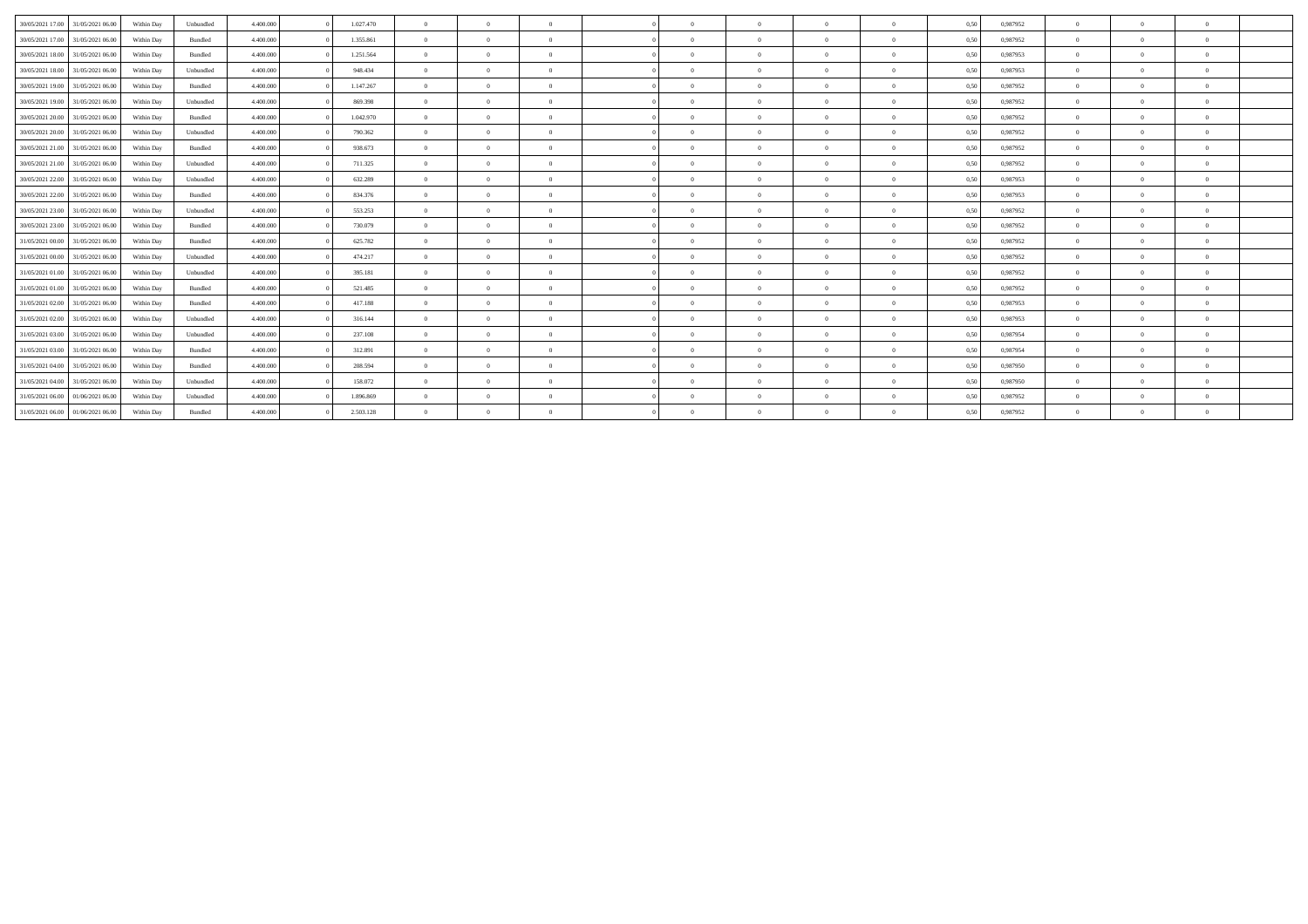| 30/05/2021 17:00 | 31/05/2021 06:00 | Within Day | Unbundled | 4.400,000 | 1.027.470 | $\overline{0}$ | $\theta$ | $\overline{0}$ | $\sqrt{2}$ | $\theta$     | $\Omega$ | $\theta$       | 0,50 | 0,987952 | $\overline{0}$ |          |              |  |
|------------------|------------------|------------|-----------|-----------|-----------|----------------|----------|----------------|------------|--------------|----------|----------------|------|----------|----------------|----------|--------------|--|
| 30/05/2021 17:00 | 31/05/2021 06:00 | Within Day | Bundled   | 4.400.000 | 1.355.861 | $\Omega$       | $\theta$ | $\Omega$       | $\Omega$   | $\theta$     | $\Omega$ | $\Omega$       | 0,50 | 0.987952 | $\overline{0}$ |          |              |  |
| 30/05/2021 18:00 | 31/05/2021 06:00 | Within Day | Bundled   | 4.400,000 | 1.251.564 | $\overline{0}$ | $\Omega$ | $\Omega$       | $\sqrt{2}$ | $\theta$     | $\Omega$ | $\mathbf{a}$   | 0,50 | 0.987953 | $\overline{0}$ |          |              |  |
| 30/05/2021 18:00 | 31/05/2021 06:00 | Within Day | Unbundled | 4.400,000 | 948,434   | $\overline{0}$ | $\theta$ | $\overline{0}$ | $\theta$   | $\mathbf{0}$ | $\theta$ | $\overline{0}$ | 0,50 | 0.987953 | $\overline{0}$ | $\Omega$ | $\theta$     |  |
| 30/05/2021 19:00 | 31/05/2021 06:00 | Within Day | Bundled   | 4.400,000 | 1.147.267 | $\overline{0}$ | $\Omega$ | $\Omega$       |            | $\Omega$     | $\Omega$ | $\theta$       | 0,50 | 0,987952 | $\overline{0}$ |          |              |  |
| 30/05/2021 19:00 | 31/05/2021 06:00 | Within Day | Unbundled | 4.400,000 | 869,398   | $\theta$       | $\Omega$ | $\Omega$       | $\Omega$   | $\sqrt{2}$   | $\Omega$ | $\Omega$       | 0,50 | 0,987952 | $\Omega$       |          |              |  |
| 30/05/2021 20:00 | 31/05/2021 06:00 | Within Day | Bundled   | 4.400.000 | 1.042.970 | $\Omega$       | $\theta$ | $\Omega$       | $\sqrt{2}$ | $\theta$     | $\Omega$ | $\Omega$       | 0,50 | 0.987952 | $\overline{0}$ |          |              |  |
| 30/05/2021 20:00 | 31/05/2021 06:00 | Within Day | Unbundled | 4.400,000 | 790.362   | $\Omega$       | $\Omega$ | $\Omega$       |            | $\Omega$     | $\Omega$ |                | 0,50 | 0.987952 | $\Omega$       |          |              |  |
| 30/05/2021 21.00 | 31/05/2021 06:00 | Within Day | Bundled   | 4.400,000 | 938.673   | $\Omega$       | $\Omega$ | $\Omega$       | $\Omega$   | $\theta$     | $\Omega$ | $\Omega$       | 0,50 | 0.987952 | $\Omega$       |          |              |  |
| 30/05/2021 21.00 | 31/05/2021 06:00 | Within Day | Unbundled | 4.400.000 | 711.325   | $\Omega$       | $\theta$ | $\Omega$       | $\sqrt{2}$ | $\theta$     | $\Omega$ | $\theta$       | 0,50 | 0,987952 | $\overline{0}$ |          | $\theta$     |  |
| 30/05/2021 22.00 | 31/05/2021 06:00 | Within Day | Unbundled | 4.400,000 | 632.289   | $\theta$       | $\Omega$ | $\Omega$       | $\sqrt{2}$ | $\theta$     | $\Omega$ | $\mathbf{a}$   | 0,50 | 0.987953 | $\Omega$       |          |              |  |
| 30/05/2021 22.00 | 31/05/2021 06:00 | Within Dav | Bundled   | 4.400,000 | 834.376   | $\theta$       | $\Omega$ | $\Omega$       | $\sqrt{2}$ | $\theta$     | $\Omega$ | $\mathbf{a}$   | 0.50 | 0.987953 | $\Omega$       |          |              |  |
| 30/05/2021 23:00 | 31/05/2021 06:00 | Within Day | Unbundled | 4.400,000 | 553.253   | $\Omega$       | $\Omega$ | $\Omega$       | $\sqrt{2}$ | $\theta$     | $\Omega$ | $\Omega$       | 0,50 | 0,987952 | $\Omega$       |          |              |  |
| 30/05/2021 23:00 | 31/05/2021 06:00 | Within Day | Bundled   | 4.400.000 | 730.079   | $\Omega$       | $\Omega$ | $\Omega$       | $\sqrt{2}$ | $\theta$     | $\Omega$ | $\theta$       | 0,50 | 0,987952 | $\overline{0}$ |          | $\theta$     |  |
| 31/05/2021 00:00 | 31/05/2021 06:00 | Within Day | Bundled   | 4.400,000 | 625.782   | $\theta$       | $\Omega$ | $\Omega$       | $\Omega$   | $\Omega$     | $\Omega$ | $\Omega$       | 0,50 | 0,987952 | $\Omega$       |          |              |  |
| 31/05/2021 00:00 | 31/05/2021 06:00 | Within Day | Unbundled | 4.400,000 | 474.217   | $\overline{0}$ | $\Omega$ | $\Omega$       | $\Omega$   | $\theta$     | $\Omega$ | $\theta$       | 0,50 | 0,987952 | $\Omega$       |          |              |  |
| 31/05/2021 01:00 | 31/05/2021 06:00 | Within Dav | Unbundled | 4.400,000 | 395.181   | $\Omega$       | $\Omega$ | $\Omega$       | $\Omega$   | $\theta$     | $\Omega$ | $\Omega$       | 0.50 | 0.987952 | $\Omega$       |          |              |  |
| 31/05/2021 01:00 | 31/05/2021 06:00 | Within Day | Bundled   | 4.400,000 | 521.485   | $\overline{0}$ | $\theta$ | $\overline{0}$ | $\sqrt{2}$ | $\bf{0}$     | $\Omega$ | $\mathbf{a}$   | 0.50 | 0,987952 | $\overline{0}$ |          | $\theta$     |  |
| 31/05/2021 02:00 | 31/05/2021 06:00 | Within Day | Bundled   | 4.400,000 | 417.188   | $\overline{0}$ | $\Omega$ | $\Omega$       | $\Omega$   | $\bf{0}$     | $\Omega$ | $\theta$       | 0,50 | 0,987953 | $\overline{0}$ | $\Omega$ | $\theta$     |  |
| 31/05/2021 02:00 | 31/05/2021 06:00 | Within Day | Unbundled | 4.400,000 | 316.144   | $\theta$       | $\Omega$ | $\Omega$       |            | $\Omega$     | $\Omega$ | $\Omega$       | 0,50 | 0.987953 | $\Omega$       |          |              |  |
| 31/05/2021 03:00 | 31/05/2021 06:00 | Within Day | Unbundled | 4.400.000 | 237.108   | $\theta$       | $\theta$ | $\Omega$       | $\sqrt{2}$ | $\theta$     | $\Omega$ | $\mathbf{a}$   | 0,50 | 0,987954 | $\Omega$       |          |              |  |
| 31/05/2021 03:00 | 31/05/2021 06:00 | Within Day | Bundled   | 4.400.000 | 312.891   | $\theta$       | $\Omega$ | $\Omega$       | $\Omega$   | $\sqrt{2}$   | $\Omega$ | $\mathbf{a}$   | 0,50 | 0,987954 | $\Omega$       |          |              |  |
| 31/05/2021 04:00 | 31/05/2021 06:00 | Within Day | Bundled   | 4.400,000 | 208,594   | $\theta$       | $\theta$ | $\overline{0}$ | $\sqrt{2}$ | $\theta$     | $\Omega$ | $\mathbf{a}$   | 0.50 | 0.987950 | $\overline{0}$ |          | $\mathbf{a}$ |  |
| 31/05/2021 04:00 | 31/05/2021 06:00 | Within Day | Unbundled | 4.400,000 | 158.072   | $\overline{0}$ | $\theta$ | $\overline{0}$ | $\sqrt{2}$ | $\theta$     | $\Omega$ | $\mathbf{0}$   | 0,50 | 0,987950 | $\overline{0}$ |          |              |  |
| 31/05/2021 06:00 | 01/06/2021 06.00 | Within Day | Unbundled | 4.400,000 | 1.896.869 | $\Omega$       | $\Omega$ | $\Omega$       | $\Omega$   | $\theta$     | $\Omega$ | $\Omega$       | 0,50 | 0.987952 | $\Omega$       |          |              |  |
| 31/05/2021 06:00 | 01/06/2021 06:00 | Within Day | Bundled   | 4.400.000 | 2.503.128 | $\overline{0}$ | $\Omega$ | $\Omega$       | $\Omega$   | $\Omega$     | $\Omega$ |                | 0,50 | 0.987952 | $\overline{0}$ |          |              |  |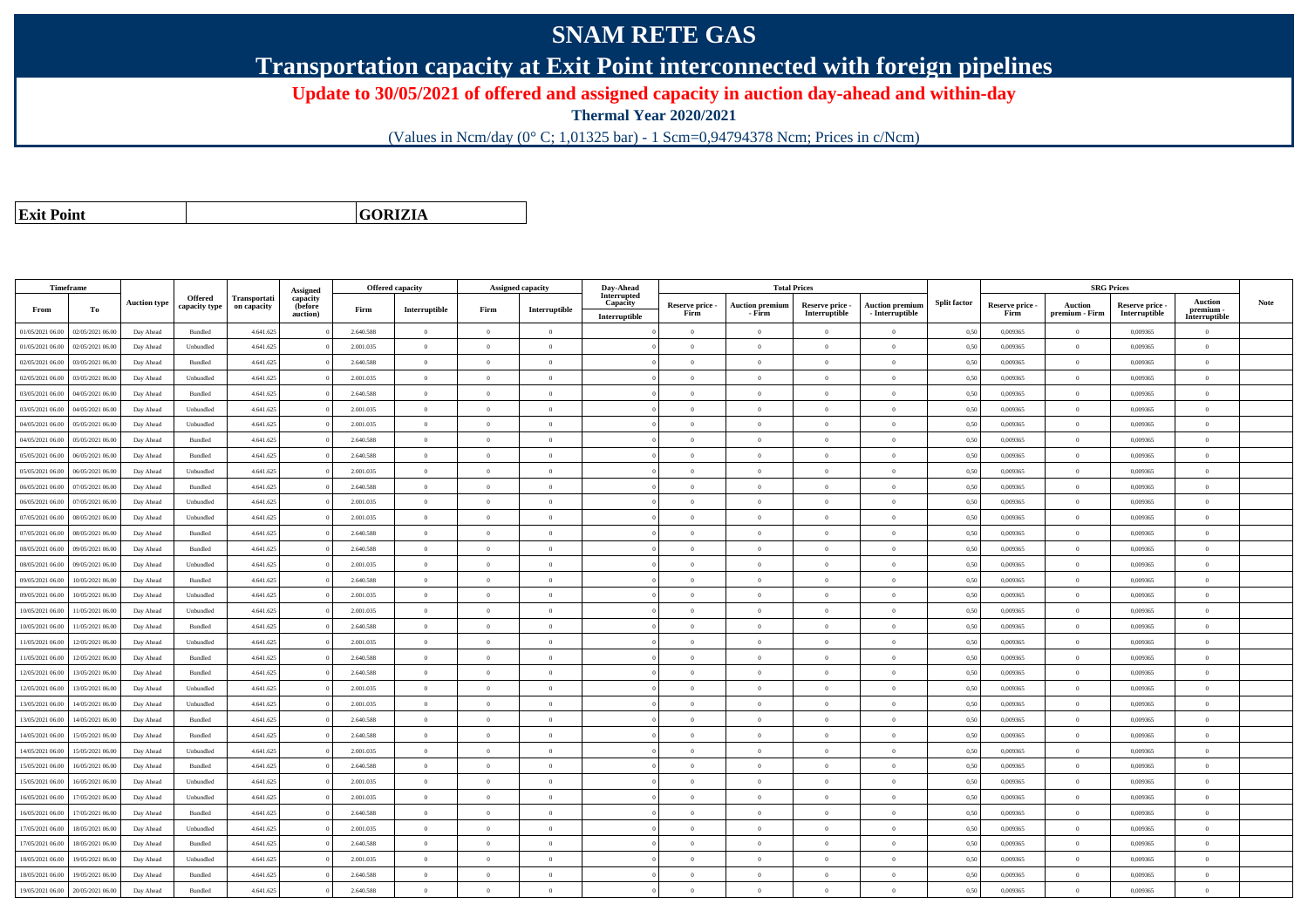## **SNAM RETE GAS**

**Transportation capacity at Exit Point interconnected with foreign pipelines**

**Update to 30/05/2021 of offered and assigned capacity in auction day-ahead and within-day**

**Thermal Year 2020/2021**

(Values in Ncm/day (0° C; 1,01325 bar) - 1 Scm=0,94794378 Ncm; Prices in c/Ncm)

**Exit Point**

**GORIZIA**

|                  | Timeframe        |                     |                |              |                      |           | <b>Offered capacity</b> |                | Assigned capacity | Day-Ahead               |                         |                                  | <b>Total Prices</b>              |                                           |                     |                         | <b>SRG Prices</b>                |                                  |                            |      |
|------------------|------------------|---------------------|----------------|--------------|----------------------|-----------|-------------------------|----------------|-------------------|-------------------------|-------------------------|----------------------------------|----------------------------------|-------------------------------------------|---------------------|-------------------------|----------------------------------|----------------------------------|----------------------------|------|
|                  |                  | <b>Auction type</b> | Offered        | Transportati | Assigned<br>capacity |           |                         |                |                   | Interrupted<br>Capacity |                         |                                  |                                  |                                           | <b>Split factor</b> |                         |                                  |                                  | <b>Auction</b>             | Note |
| From             | To               |                     | capacity type  | on capacity  | (before<br>auction)  | Firm      | Interruptible           | Firm           | Interruptible     | Interruptible           | Reserve price -<br>Firm | <b>Auction premium</b><br>- Firm | Reserve price -<br>Interruptible | <b>Auction premium</b><br>- Interruptible |                     | Reserve price -<br>Firm | <b>Auction</b><br>premium - Firm | Reserve price -<br>Interruptible | premium -<br>Interruptible |      |
| 01/05/2021 06:00 | 02/05/2021 06:00 | Day Ahead           | Bundled        | 4.641.625    |                      | 2.640.588 | $\overline{0}$          | $\theta$       | $\Omega$          |                         | $\Omega$                | $\theta$                         | $\Omega$                         | $\theta$                                  | 0,50                | 0.009365                | $\Omega$                         | 0.009365                         | $\theta$                   |      |
| 01/05/2021 06:00 | 02/05/2021 06.0  | Day Ahead           | Unbundled      | 4.641.625    |                      | 2.001.035 | $\overline{0}$          | $\Omega$       | $\theta$          |                         | $\theta$                | $\Omega$                         | $\overline{0}$                   | $\bf{0}$                                  | 0,50                | 0,009365                | $\theta$                         | 0,009365                         | $\overline{0}$             |      |
| 02/05/2021 06:00 | 03/05/2021 06:00 | Day Ahead           | Bundled        | 4.641.625    |                      | 2.640.588 | $\overline{0}$          | $\Omega$       | $\Omega$          |                         | $\theta$                | $\theta$                         | $\Omega$                         | $\theta$                                  | 0,50                | 0.009365                | $\theta$                         | 0.009365                         | $\theta$                   |      |
| 02/05/2021 06:00 | 03/05/2021 06.00 | Day Ahead           | Unbundled      | 4.641.625    |                      | 2.001.035 | $\overline{0}$          | $\overline{0}$ | $\theta$          |                         | $\theta$                | $\sqrt{2}$                       | $\Omega$                         | $\theta$                                  | 0,50                | 0,009365                | $\theta$                         | 0.009365                         | $\theta$                   |      |
| 03/05/2021 06:00 | 04/05/2021 06.00 | Day Ahead           | Bundled        | 4.641.625    |                      | 2.640.588 | $\overline{0}$          | $\overline{0}$ | $\theta$          |                         | $\theta$                | $\overline{0}$                   | $\theta$                         | $\bf{0}$                                  | 0,50                | 0,009365                | $\theta$                         | 0.009365                         | $\overline{0}$             |      |
| 03/05/2021 06:00 | 04/05/2021 06.00 | Day Ahead           | Unbundled      | 4.641.625    |                      | 2.001.035 | $\overline{0}$          | $\theta$       | $\theta$          |                         | $\theta$                | $\theta$                         | $\overline{0}$                   | $\overline{0}$                            | 0,50                | 0.009365                | $\,$ 0                           | 0.009365                         | $\theta$                   |      |
| 04/05/2021 06.00 | 05/05/2021 06.00 | Day Ahead           | Unbundled      | 4.641.625    |                      | 2.001.035 | $\,$ 0 $\,$             | $\Omega$       | $\theta$          |                         | $\theta$                | $\mathbf{a}$                     | $\Omega$                         | $\bf{0}$                                  | 0,50                | 0,009365                | $\theta$                         | 0,009365                         | $\theta$                   |      |
| 04/05/2021 06:00 | 05/05/2021 06:00 | Day Ahead           | Bundled        | 4.641.625    |                      | 2.640.588 | $\overline{0}$          | $\Omega$       | $\Omega$          |                         | $\Omega$                | $\theta$                         | $\Omega$                         | $\bf{0}$                                  | 0,50                | 0,009365                | $\theta$                         | 0,009365                         | $\overline{0}$             |      |
| 05/05/2021 06:00 | 06/05/2021 06:00 | Day Ahead           | Bundled        | 4.641.625    |                      | 2.640.588 | $\overline{0}$          | $\Omega$       | $\Omega$          |                         | $\theta$                | $\sqrt{2}$                       | $\Omega$                         | $\theta$                                  | 0,50                | 0.009365                | $\theta$                         | 0.009365                         | $\theta$                   |      |
| 05/05/2021 06:00 | 06/05/2021 06.00 | Day Ahead           | Unbundled      | 4.641.625    |                      | 2.001.035 | $\mathbf{0}$            | $\theta$       | $\Omega$          |                         | $\theta$                | $\theta$                         | $\Omega$                         | $\theta$                                  | 0,50                | 0,009365                | $\theta$                         | 0,009365                         | $\theta$                   |      |
| 06/05/2021 06:00 | 07/05/2021 06:00 | Day Ahead           | Bundled        | 4.641.625    |                      | 2.640.588 | $\overline{0}$          | $\overline{0}$ | $\theta$          |                         | $\theta$                | $\overline{0}$                   | $\overline{0}$                   | $\overline{0}$                            | 0,50                | 0.009365                | $\theta$                         | 0.009365                         | $\overline{0}$             |      |
| 06/05/2021 06:00 | 07/05/2021 06.00 | Day Ahead           | Unbundled      | 4.641.625    |                      | 2.001.035 | $\overline{0}$          | $\Omega$       | $\theta$          |                         | $\bf{0}$                | $\theta$                         | $\overline{0}$                   | $\bf{0}$                                  | 0,50                | 0,009365                | $\,$ 0                           | 0,009365                         | $\overline{0}$             |      |
| 07/05/2021 06:00 | 08/05/2021 06:00 | Day Ahead           | Unbundled      | 4.641.625    |                      | 2.001.035 | $\mathbf{0}$            | $\Omega$       | $\Omega$          |                         | $\theta$                |                                  | $\Omega$                         | $\bf{0}$                                  | 0,50                | 0,009365                | $\theta$                         | 0,009365                         | $\overline{0}$             |      |
| 07/05/2021 06:00 | 08/05/2021 06:00 | Day Ahead           | Bundled        | 4.641.625    |                      | 2.640.588 | $\overline{0}$          | $\overline{0}$ | $\theta$          |                         | $\theta$                | $\theta$                         | $\theta$                         | $\bf{0}$                                  | 0,50                | 0,009365                | $\theta$                         | 0.009365                         | $\overline{0}$             |      |
| 08/05/2021 06:00 | 09/05/2021 06.00 | Day Ahead           | Bundled        | 4.641.625    |                      | 2.640.588 | $\overline{0}$          | $\theta$       | $\theta$          |                         | $\theta$                | $\theta$                         | $\Omega$                         | $\bf{0}$                                  | 0,50                | 0,009365                | $\theta$                         | 0,009365                         | $\overline{0}$             |      |
| 08/05/2021 06:00 | 09/05/2021 06:00 | Day Ahead           | Unbundled      | 4.641.625    |                      | 2.001.035 | $\Omega$                | $\Omega$       | $\Omega$          |                         | $\theta$                |                                  | $\Omega$                         | $\theta$                                  | 0.50                | 0.009365                | $\theta$                         | 0.009365                         | $\theta$                   |      |
| 09/05/2021 06:00 | 10/05/2021 06:00 | Day Ahead           | Bundled        | 4.641.625    |                      | 2.640.588 | $\overline{0}$          | $\theta$       | $\Omega$          |                         | $\theta$                | $\theta$                         | $\theta$                         | $\overline{0}$                            | 0,50                | 0.009365                | $\overline{0}$                   | 0.009365                         | $\theta$                   |      |
| 09/05/2021 06:00 | 10/05/2021 06:00 | Day Ahead           | Unbundled      | 4.641.625    |                      | 2.001.035 | $\overline{0}$          | $\theta$       | $\theta$          |                         | $\theta$                | $\Omega$                         | $\theta$                         | $\bf{0}$                                  | 0,50                | 0,009365                | $\theta$                         | 0,009365                         | $\overline{0}$             |      |
| 10/05/2021 06:00 | 1/05/2021 06.00  | Day Ahead           | Unbundled      | 4.641.625    |                      | 2.001.035 | $\overline{0}$          | $\Omega$       | $\Omega$          |                         | $\theta$                | $\theta$                         | $\theta$                         | $\bf{0}$                                  | 0,50                | 0.009365                | $\theta$                         | 0.009365                         | $\theta$                   |      |
| 10/05/2021 06:00 | 1/05/2021 06.00  | Day Ahead           | Bundled        | 4.641.625    |                      | 2.640.588 | $\overline{0}$          | $\theta$       | $\theta$          |                         | $\theta$                | $\sqrt{2}$                       | $\Omega$                         | $\bf{0}$                                  | 0,50                | 0,009365                | $\theta$                         | 0,009365                         | $\theta$                   |      |
| 11/05/2021 06:00 | 12/05/2021 06:00 | Day Ahead           | Unbundled      | 4.641.625    |                      | 2.001.035 | $\overline{0}$          | $\Omega$       | $\theta$          |                         | $\theta$                | $\theta$                         | $\Omega$                         | $\theta$                                  | 0,50                | 0,009365                | $\theta$                         | 0,009365                         | $\theta$                   |      |
| 11/05/2021 06:00 | 12/05/2021 06:00 | Day Ahead           | <b>Bundled</b> | 4.641.625    |                      | 2.640.588 | $\Omega$                | $\sqrt{2}$     | $\Omega$          |                         | $\theta$                | $\sqrt{2}$                       | $\Omega$                         | $\theta$                                  | 0,50                | 0.009365                | $\theta$                         | 0.009365                         | $\theta$                   |      |
| 12/05/2021 06:00 | 13/05/2021 06.00 | Day Ahead           | Bundled        | 4.641.625    |                      | 2.640.588 | $\bf{0}$                | $\theta$       | $\theta$          |                         | $\theta$                | $\Omega$                         | $\Omega$                         | $\bf{0}$                                  | 0,50                | 0,009365                | $\theta$                         | 0,009365                         | $\overline{0}$             |      |
| 12/05/2021 06:00 | 13/05/2021 06:00 | Day Ahead           | Unbundled      | 4.641.625    |                      | 2.001.035 | $\overline{0}$          | $\overline{0}$ | $\theta$          |                         | $\theta$                | $\theta$                         | $\overline{0}$                   | $\bf{0}$                                  | 0,50                | 0,009365                | $\overline{0}$                   | 0,009365                         | $\overline{0}$             |      |
| 13/05/2021 06:00 | 14/05/2021 06.00 | Day Ahead           | Unbundled      | 4.641.625    |                      | 2.001.035 | $\overline{0}$          | $\Omega$       | $\overline{0}$    |                         | $\theta$                | $\theta$                         | $\overline{0}$                   | $\overline{0}$                            | 0,50                | 0,009365                | $\,$ 0                           | 0,009365                         | $\overline{0}$             |      |
| 13/05/2021 06.0  | 4/05/2021 06.0   | Day Ahead           | Bundled        | 4.641.625    |                      | 2.640.588 | $\overline{0}$          | $\overline{0}$ | $\theta$          |                         | $\theta$                | $\theta$                         | $\theta$                         | $\overline{0}$                            | 0,50                | 0,009365                | $\theta$                         | 0,009365                         | $\overline{0}$             |      |
| 14/05/2021 06:00 | 15/05/2021 06:00 | Day Ahead           | <b>Bundled</b> | 4.641.625    |                      | 2.640.588 | $\theta$                | $\theta$       | $\theta$          |                         | $\theta$                | $\theta$                         | $\theta$                         | $\theta$                                  | 0,50                | 0.009365                | $\theta$                         | 0.009365                         | $\theta$                   |      |
| 14/05/2021 06:00 | 15/05/2021 06:00 | Day Ahead           | Unbundled      | 4.641.625    |                      | 2.001.035 | $\overline{0}$          | $\Omega$       | $\Omega$          |                         | $\Omega$                | $\theta$                         | $\Omega$                         | $\bf{0}$                                  | 0,50                | 0,009365                | $\theta$                         | 0.009365                         | $\theta$                   |      |
| 15/05/2021 06:00 | 16/05/2021 06.0  | Day Ahead           | Bundled        | 4.641.625    |                      | 2.640.588 | $\overline{0}$          | $\theta$       | $\theta$          |                         | $\theta$                | $\Omega$                         | $\overline{0}$                   | $\bf{0}$                                  | 0,50                | 0,009365                | $\overline{0}$                   | 0,009365                         | $\overline{0}$             |      |
| 15/05/2021 06:00 | 16/05/2021 06:00 | Day Ahead           | Unbundled      | 4.641.625    |                      | 2.001.035 | $\overline{0}$          | $\overline{0}$ | $\theta$          |                         | $\theta$                | $\theta$                         | $\theta$                         | $\overline{0}$                            | 0,50                | 0,009365                | $\,$ 0                           | 0,009365                         | $\overline{0}$             |      |
| 16/05/2021 06:00 | 17/05/2021 06.00 | Day Ahead           | Unbundled      | 4.641.625    |                      | 2.001.035 | $\overline{0}$          | $\overline{0}$ | $\theta$          |                         | $\theta$                | $\theta$                         | $\theta$                         | $\bf{0}$                                  | 0,50                | 0,009365                | $\theta$                         | 0,009365                         | $\overline{0}$             |      |
| 16/05/2021 06:00 | 7/05/2021 06:00  | Day Ahead           | Bundled        | 4.641.625    |                      | 2.640.588 | $\mathbf{0}$            | $\theta$       | $\Omega$          |                         | $\Omega$                | $\theta$                         | $\Omega$                         | $\bf{0}$                                  | 0,50                | 0,009365                | $\theta$                         | 0,009365                         | $\theta$                   |      |
| 17/05/2021 06:00 | 18/05/2021 06:00 | Day Ahead           | Unbundled      | 4.641.625    |                      | 2.001.035 | $\overline{0}$          | $\Omega$       | $\Omega$          |                         | $\theta$                | $\sqrt{2}$                       | $\Omega$                         | $\theta$                                  | 0,50                | 0.009365                | $\theta$                         | 0.009365                         | $\theta$                   |      |
| 17/05/2021 06:00 | 18/05/2021 06:00 | Day Ahead           | Bundled        | 4.641.625    |                      | 2.640.588 | $\theta$                | $\Omega$       | $\theta$          |                         | $\theta$                | $\theta$                         | $\Omega$                         | $\theta$                                  | 0,50                | 0,009365                | $\theta$                         | 0.009365                         | $\theta$                   |      |
| 18/05/2021 06:00 | 19/05/2021 06.00 | Day Ahead           | Unbundled      | 4.641.625    |                      | 2.001.035 | $\overline{0}$          | $\theta$       | $\theta$          |                         | $\theta$                | $\theta$                         | $\Omega$                         | $\bf{0}$                                  | 0,50                | 0,009365                | $\theta$                         | 0,009365                         | $\overline{0}$             |      |
| 18/05/2021 06:00 | 19/05/2021 06.0  | Day Ahead           | Bundled        | 4.641.625    |                      | 2.640.588 | $\overline{0}$          | $\overline{0}$ | $\theta$          |                         | $\theta$                | $\theta$                         | $\Omega$                         | $\bf{0}$                                  | 0,50                | 0,009365                | $\theta$                         | 0,009365                         | $\overline{0}$             |      |
| 19/05/2021 06:00 | 20/05/2021 06:00 | Day Ahead           | Bundled        | 4.641.625    |                      | 2.640.588 | $\Omega$                | $\Omega$       | $\Omega$          |                         | $\Omega$                | $\theta$                         | $\Omega$                         | $\Omega$                                  | 0,50                | 0,009365                | $\theta$                         | 0,009365                         | $\overline{0}$             |      |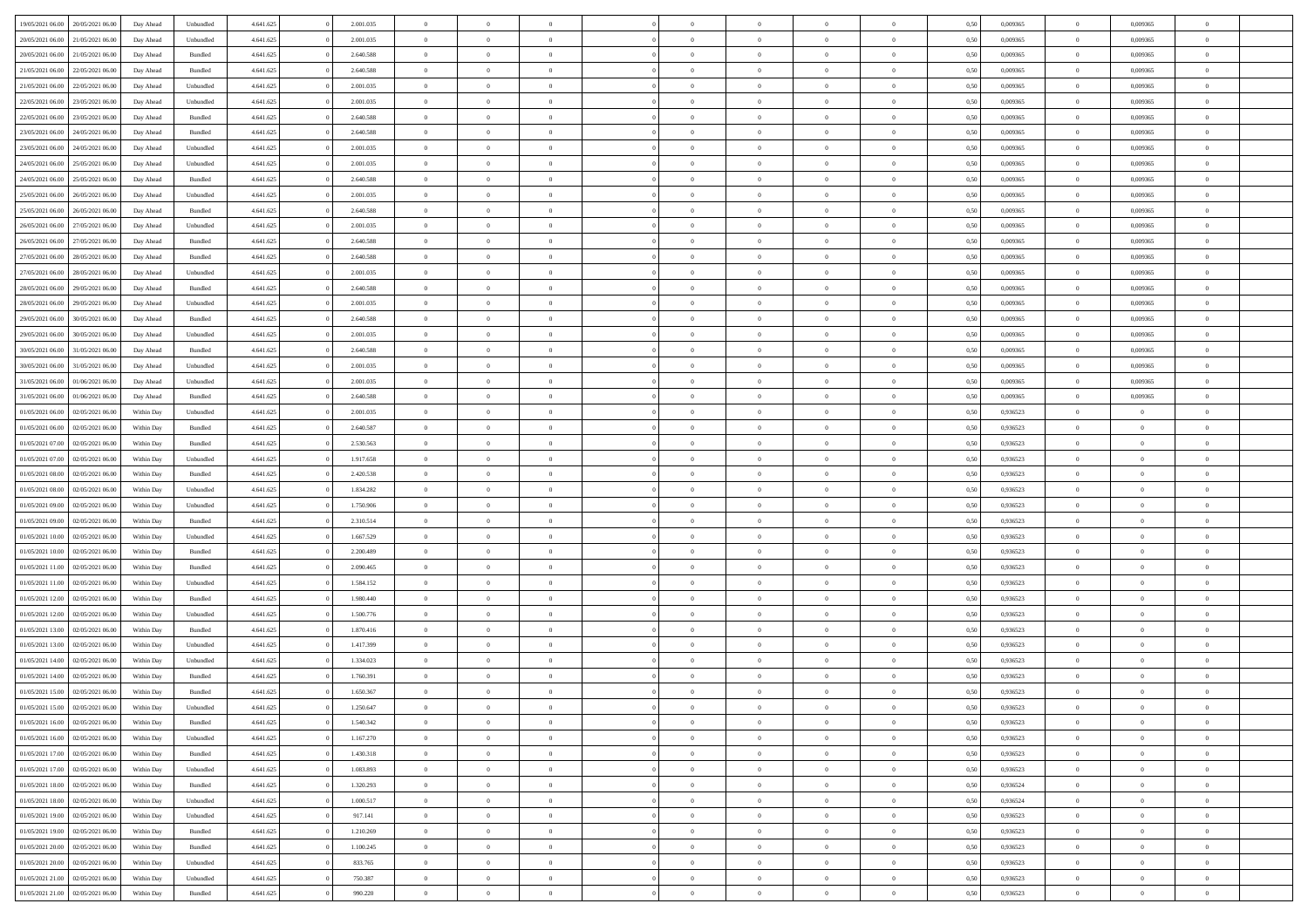| 19/05/2021 06:00 | 20/05/2021 06:00 | Day Ahead  | Unbundled | 4.641.625 | 2.001.035 | $\overline{0}$ | $\Omega$       |                |                | $\theta$       | $\Omega$       | $\Omega$       | 0,50 | 0,009365 | $\mathbf{0}$   | 0,009365       | $\Omega$                   |  |
|------------------|------------------|------------|-----------|-----------|-----------|----------------|----------------|----------------|----------------|----------------|----------------|----------------|------|----------|----------------|----------------|----------------------------|--|
| 20/05/2021 06:00 | 21/05/2021 06:00 | Day Ahead  | Unbundled | 4.641.625 | 2.001.035 | $\overline{0}$ | $\overline{0}$ | $\overline{0}$ |                | $\overline{0}$ | $\overline{0}$ | $\theta$       | 0,50 | 0,009365 | $\bf{0}$       | 0,009365       | $\bf{0}$                   |  |
| 20/05/2021 06:00 | 21/05/2021 06:00 | Day Ahead  | Bundled   | 4.641.625 | 2.640.588 | $\overline{0}$ | $\bf{0}$       | $\overline{0}$ | $\overline{0}$ | $\bf{0}$       | $\overline{0}$ | $\bf{0}$       | 0,50 | 0,009365 | $\bf{0}$       | 0,009365       | $\bf{0}$                   |  |
| 21/05/2021 06:00 | 22/05/2021 06:00 | Day Ahead  | Bundled   | 4.641.625 | 2.640.588 | $\overline{0}$ | $\overline{0}$ | $\overline{0}$ | $^{\circ}$     | $\overline{0}$ | $\overline{0}$ | $\bf{0}$       | 0.50 | 0.009365 | $\mathbf{0}$   | 0.009365       | $\overline{0}$             |  |
| 21/05/2021 06:00 | 22/05/2021 06:00 | Day Ahead  | Unbundled | 4.641.625 | 2.001.035 | $\overline{0}$ | $\overline{0}$ | $\overline{0}$ |                | $\overline{0}$ | $\overline{0}$ | $\theta$       | 0,50 | 0,009365 | $\bf{0}$       | 0,009365       | $\overline{0}$             |  |
|                  |                  |            |           |           |           |                |                |                |                |                |                |                |      |          |                |                |                            |  |
| 22/05/2021 06:00 | 23/05/2021 06:00 | Day Ahead  | Unbundled | 4.641.625 | 2.001.035 | $\overline{0}$ | $\bf{0}$       | $\overline{0}$ | $\overline{0}$ | $\bf{0}$       | $\overline{0}$ | $\bf{0}$       | 0,50 | 0,009365 | $\overline{0}$ | 0,009365       | $\bf{0}$                   |  |
| 22/05/2021 06:00 | 23/05/2021 06:00 | Day Ahead  | Bundled   | 4.641.625 | 2.640.588 | $\overline{0}$ | $\overline{0}$ | $\overline{0}$ | $\Omega$       | $\overline{0}$ | $\overline{0}$ | $\overline{0}$ | 0,50 | 0,009365 | $\overline{0}$ | 0.009365       | $\overline{0}$             |  |
| 23/05/2021 06:00 | 24/05/2021 06.00 | Day Ahead  | Bundled   | 4.641.625 | 2.640.588 | $\overline{0}$ | $\overline{0}$ | $\overline{0}$ |                | $\overline{0}$ | $\overline{0}$ | $\theta$       | 0,50 | 0,009365 | $\bf{0}$       | 0,009365       | $\overline{0}$             |  |
| 23/05/2021 06:00 | 24/05/2021 06:00 | Day Ahead  | Unbundled | 4.641.625 | 2.001.035 | $\overline{0}$ | $\overline{0}$ | $\overline{0}$ | $\overline{0}$ | $\bf{0}$       | $\overline{0}$ | $\bf{0}$       | 0,50 | 0,009365 | $\bf{0}$       | 0,009365       | $\bf{0}$                   |  |
| 24/05/2021 06:00 | 25/05/2021 06:00 | Day Ahead  | Unbundled | 4.641.625 | 2.001.035 | $\overline{0}$ | $\overline{0}$ | $\overline{0}$ | $\Omega$       | $\overline{0}$ | $\overline{0}$ | $\overline{0}$ | 0,50 | 0,009365 | $\mathbf{0}$   | 0,009365       | $\overline{0}$             |  |
| 24/05/2021 06:00 | 25/05/2021 06:00 | Day Ahead  | Bundled   | 4.641.625 | 2.640.588 | $\overline{0}$ | $\overline{0}$ | $\overline{0}$ | $\overline{0}$ | $\overline{0}$ | $\overline{0}$ | $\theta$       | 0,50 | 0,009365 | $\,$ 0 $\,$    | 0,009365       | $\overline{0}$             |  |
|                  |                  |            |           |           |           |                |                |                |                |                |                |                |      |          |                |                |                            |  |
| 25/05/2021 06:00 | 26/05/2021 06:00 | Day Ahead  | Unbundled | 4.641.625 | 2.001.035 | $\overline{0}$ | $\bf{0}$       | $\overline{0}$ | $\overline{0}$ | $\bf{0}$       | $\overline{0}$ | $\bf{0}$       | 0,50 | 0,009365 | $\bf{0}$       | 0,009365       | $\bf{0}$                   |  |
| 25/05/2021 06:00 | 26/05/2021 06:00 | Day Ahead  | Bundled   | 4.641.625 | 2.640.588 | $\overline{0}$ | $\overline{0}$ | $\overline{0}$ | $^{\circ}$     | $\overline{0}$ | $\overline{0}$ | $\bf{0}$       | 0.50 | 0.009365 | $\mathbf{0}$   | 0.009365       | $\overline{0}$             |  |
| 26/05/2021 06:00 | 27/05/2021 06:00 | Day Ahead  | Unbundled | 4.641.625 | 2.001.035 | $\overline{0}$ | $\overline{0}$ | $\overline{0}$ |                | $\overline{0}$ | $\overline{0}$ | $\theta$       | 0,50 | 0,009365 | $\bf{0}$       | 0,009365       | $\overline{0}$             |  |
| 26/05/2021 06:00 | 27/05/2021 06:00 | Day Ahead  | Bundled   | 4.641.625 | 2.640.588 | $\overline{0}$ | $\bf{0}$       | $\overline{0}$ | $\overline{0}$ | $\bf{0}$       | $\overline{0}$ | $\bf{0}$       | 0,50 | 0,009365 | $\bf{0}$       | 0,009365       | $\bf{0}$                   |  |
| 27/05/2021 06:00 | 28/05/2021 06:00 | Day Ahead  | Bundled   | 4.641.625 | 2.640.588 | $\overline{0}$ | $\overline{0}$ | $\overline{0}$ | $\Omega$       | $\overline{0}$ | $\overline{0}$ | $\overline{0}$ | 0,50 | 0,009365 | $\overline{0}$ | 0.009365       | $\overline{0}$             |  |
| 27/05/2021 06:00 | 28/05/2021 06:00 | Day Ahead  | Unbundled | 4.641.625 | 2.001.035 | $\overline{0}$ | $\overline{0}$ | $\overline{0}$ |                | $\overline{0}$ | $\overline{0}$ | $\theta$       | 0,50 | 0,009365 | $\bf{0}$       | 0,009365       | $\overline{0}$             |  |
|                  |                  |            |           |           |           |                | $\overline{0}$ | $\overline{0}$ | $\overline{0}$ | $\bf{0}$       |                |                |      |          | $\bf{0}$       |                |                            |  |
| 28/05/2021 06:00 | 29/05/2021 06:00 | Day Ahead  | Bundled   | 4.641.625 | 2.640.588 | $\overline{0}$ |                |                |                | $\overline{0}$ | $\overline{0}$ | $\bf{0}$       | 0,50 | 0,009365 | $\mathbf{0}$   | 0,009365       | $\bf{0}$<br>$\overline{0}$ |  |
| 28/05/2021 06:00 | 29/05/2021 06:00 | Day Ahead  | Unbundled | 4.641.625 | 2.001.035 | $\overline{0}$ | $\overline{0}$ | $\overline{0}$ | $\Omega$       |                | $\overline{0}$ | $\overline{0}$ | 0.50 | 0,009365 |                | 0.009365       |                            |  |
| 29/05/2021 06:00 | 30/05/2021 06:00 | Day Ahead  | Bundled   | 4.641.625 | 2.640.588 | $\overline{0}$ | $\overline{0}$ | $\overline{0}$ | $\overline{0}$ | $\overline{0}$ | $\overline{0}$ | $\theta$       | 0,50 | 0,009365 | $\bf{0}$       | 0,009365       | $\overline{0}$             |  |
| 29/05/2021 06:00 | 30/05/2021 06.00 | Day Ahead  | Unbundled | 4.641.625 | 2.001.035 | $\overline{0}$ | $\bf{0}$       | $\overline{0}$ | $\overline{0}$ | $\bf{0}$       | $\overline{0}$ | $\bf{0}$       | 0,50 | 0,009365 | $\bf{0}$       | 0,009365       | $\bf{0}$                   |  |
| 30/05/2021 06:00 | 31/05/2021 06:00 | Day Ahead  | Bundled   | 4.641.625 | 2.640.588 | $\overline{0}$ | $\overline{0}$ | $\overline{0}$ | $^{\circ}$     | $\overline{0}$ | $\overline{0}$ | $\bf{0}$       | 0.50 | 0.009365 | $\mathbf{0}$   | 0.009365       | $\overline{0}$             |  |
| 30/05/2021 06:00 | 31/05/2021 06:00 | Day Ahead  | Unbundled | 4.641.625 | 2.001.035 | $\overline{0}$ | $\overline{0}$ | $\overline{0}$ |                | $\overline{0}$ | $\overline{0}$ | $\theta$       | 0,50 | 0,009365 | $\bf{0}$       | 0,009365       | $\overline{0}$             |  |
| 31/05/2021 06:00 | 01/06/2021 06:00 | Day Ahead  | Unbundled | 4.641.625 | 2.001.035 | $\overline{0}$ | $\bf{0}$       | $\overline{0}$ | $\overline{0}$ | $\bf{0}$       | $\overline{0}$ | $\bf{0}$       | 0,50 | 0,009365 | $\overline{0}$ | 0,009365       | $\bf{0}$                   |  |
| 31/05/2021 06:00 | 01/06/2021 06:00 | Day Ahead  | Bundled   | 4.641.625 | 2.640.588 | $\overline{0}$ | $\overline{0}$ | $\overline{0}$ | $^{\circ}$     | $\overline{0}$ | $\overline{0}$ | $\overline{0}$ | 0,50 | 0,009365 | $\mathbf{0}$   | 0,009365       | $\overline{0}$             |  |
|                  |                  |            |           |           |           |                |                |                |                |                |                |                |      |          |                |                |                            |  |
| 01/05/2021 06:00 | 02/05/2021 06:00 | Within Day | Unbundled | 4.641.625 | 2.001.035 | $\overline{0}$ | $\overline{0}$ | $\overline{0}$ |                | $\overline{0}$ | $\overline{0}$ | $\theta$       | 0,50 | 0,936523 | $\bf{0}$       | $\overline{0}$ | $\bf{0}$                   |  |
| 01/05/2021 06:00 | 02/05/2021 06:00 | Within Day | Bundled   | 4.641.625 | 2.640.587 | $\overline{0}$ | $\overline{0}$ | $\overline{0}$ | $\overline{0}$ | $\,$ 0 $\,$    | $\overline{0}$ | $\bf{0}$       | 0,50 | 0,936523 | $\bf{0}$       | $\overline{0}$ | $\bf{0}$                   |  |
| 01/05/2021 07:00 | 02/05/2021 06:00 | Within Dav | Bundled   | 4.641.625 | 2.530.563 | $\overline{0}$ | $\overline{0}$ | $\overline{0}$ | $\Omega$       | $\overline{0}$ | $\overline{0}$ | $\overline{0}$ | 0.50 | 0.936523 | $\mathbf{0}$   | $\overline{0}$ | $\overline{0}$             |  |
| 01/05/2021 07:00 | 02/05/2021 06:00 | Within Day | Unbundled | 4.641.625 | 1.917.658 | $\overline{0}$ | $\overline{0}$ | $\overline{0}$ | $\overline{0}$ | $\overline{0}$ | $\overline{0}$ | $\theta$       | 0,50 | 0,936523 | $\bf{0}$       | $\overline{0}$ | $\bf{0}$                   |  |
| 01/05/2021 08:00 | 02/05/2021 06:00 | Within Day | Bundled   | 4.641.625 | 2.420.538 | $\overline{0}$ | $\bf{0}$       | $\overline{0}$ | $\overline{0}$ | $\bf{0}$       | $\overline{0}$ | $\bf{0}$       | 0,50 | 0,936523 | $\bf{0}$       | $\bf{0}$       | $\bf{0}$                   |  |
| 01/05/2021 08:00 | 02/05/2021 06:00 | Within Day | Unbundled | 4.641.625 | 1.834.282 | $\overline{0}$ | $\Omega$       | $\Omega$       | $\sqrt{2}$     | $\theta$       | $\overline{0}$ | $\mathbf{0}$   | 0.50 | 0,936523 | $\,$ 0 $\,$    | $\Omega$       | $\Omega$                   |  |
|                  |                  |            |           |           |           | $\overline{0}$ | $\overline{0}$ | $\overline{0}$ |                | $\overline{0}$ | $\overline{0}$ | $\theta$       |      |          | $\bf{0}$       | $\overline{0}$ | $\overline{0}$             |  |
| 01/05/2021 09:00 | 02/05/2021 06:00 | Within Day | Unbundled | 4.641.625 | 1.750.906 |                |                |                |                |                |                |                | 0,50 | 0,936523 |                |                |                            |  |
| 01/05/2021 09:00 | 02/05/2021 06:00 | Within Day | Bundled   | 4.641.625 | 2.310.514 | $\overline{0}$ | $\bf{0}$       | $\overline{0}$ | $\overline{0}$ | $\bf{0}$       | $\overline{0}$ | $\bf{0}$       | 0,50 | 0,936523 | $\bf{0}$       | $\bf{0}$       | $\bf{0}$                   |  |
| 01/05/2021 10:00 | 02/05/2021 06:00 | Within Day | Unbundled | 4.641.625 | 1.667.529 | $\overline{0}$ | $\Omega$       | $\Omega$       | $\Omega$       | $\theta$       | $\overline{0}$ | $\mathbf{0}$   | 0.50 | 0,936523 | $\mathbf{0}$   | $\Omega$       | $\theta$                   |  |
| 01/05/2021 10:00 | 02/05/2021 06:00 | Within Day | Bundled   | 4.641.625 | 2.200.489 | $\overline{0}$ | $\overline{0}$ | $\overline{0}$ | $\overline{0}$ | $\overline{0}$ | $\overline{0}$ | $\theta$       | 0,50 | 0,936523 | $\bf{0}$       | $\overline{0}$ | $\bf{0}$                   |  |
| 01/05/2021 11:00 | 02/05/2021 06:00 | Within Day | Bundled   | 4.641.625 | 2.090.465 | $\overline{0}$ | $\overline{0}$ | $\overline{0}$ | $\overline{0}$ | $\bf{0}$       | $\overline{0}$ | $\bf{0}$       | 0,50 | 0,936523 | $\bf{0}$       | $\overline{0}$ | $\bf{0}$                   |  |
| 01/05/2021 11:00 | 02/05/2021 06:00 | Within Day | Unbundled | 4.641.625 | 1.584.152 | $\overline{0}$ | $\Omega$       | $\Omega$       | $\Omega$       | $\theta$       | $\overline{0}$ | $\mathbf{0}$   | 0.50 | 0.936523 | $\mathbf{0}$   | $\Omega$       | $\theta$                   |  |
| 01/05/2021 12:00 | 02/05/2021 06:00 | Within Day | Bundled   | 4.641.625 | 1.980.440 | $\overline{0}$ | $\overline{0}$ | $\overline{0}$ | $\overline{0}$ | $\overline{0}$ | $\overline{0}$ | $\theta$       | 0,50 | 0,936523 | $\,$ 0 $\,$    | $\overline{0}$ | $\bf{0}$                   |  |
|                  |                  |            |           |           |           |                |                |                |                |                |                |                |      |          |                |                |                            |  |
| 01/05/2021 12:00 | 02/05/2021 06:00 | Within Day | Unbundled | 4.641.625 | 1.500.776 | $\overline{0}$ | $\bf{0}$       | $\overline{0}$ | $\overline{0}$ | $\bf{0}$       | $\overline{0}$ | $\bf{0}$       | 0,50 | 0,936523 | $\bf{0}$       | $\bf{0}$       | $\bf{0}$                   |  |
| 01/05/2021 13:00 | 02/05/2021 06:00 | Within Day | Bundled   | 4.641.625 | 1.870.416 | $\overline{0}$ | $\Omega$       | $\Omega$       | $\sqrt{2}$     | $\theta$       | $\overline{0}$ | $\theta$       | 0.50 | 0,936523 | $\overline{0}$ | $\Omega$       | $\Omega$                   |  |
| 01/05/2021 13:00 | 02/05/2021 06:00 | Within Day | Unbundled | 4.641.625 | 1.417.399 | $\overline{0}$ | $\overline{0}$ | $\overline{0}$ | $\overline{0}$ | $\overline{0}$ | $\overline{0}$ | $\theta$       | 0,50 | 0,936523 | $\,$ 0 $\,$    | $\overline{0}$ | $\overline{0}$             |  |
| 01/05/2021 14:00 | 02/05/2021 06:00 | Within Day | Unbundled | 4.641.625 | 1.334.023 | $\overline{0}$ | $\bf{0}$       | $\overline{0}$ | $\overline{0}$ | $\bf{0}$       | $\overline{0}$ | $\bf{0}$       | 0,50 | 0,936523 | $\bf{0}$       | $\bf{0}$       | $\bf{0}$                   |  |
| 01/05/2021 14:00 | 02/05/2021 06:00 | Within Day | Bundled   | 4.641.625 | 1.760.391 | $\Omega$       | $\Omega$       | $\Omega$       | $\sqrt{2}$     | $\Omega$       | $\overline{0}$ | $\theta$       | 0.50 | 0.936523 | $\overline{0}$ | $\Omega$       | $\theta$                   |  |
| 01/05/2021 15:00 | 02/05/2021 06:00 | Within Day | Bundled   | 4.641.625 | 1.650.367 | $\overline{0}$ | $\bf{0}$       | $\overline{0}$ | $\overline{0}$ | $\bf{0}$       | $\overline{0}$ | $\bf{0}$       | 0,50 | 0,936523 | $\bf{0}$       | $\bf{0}$       | $\bf{0}$                   |  |
| 01/05/2021 15:00 | 02/05/2021 06:00 | Within Day | Unbundled | 4.641.625 | 1.250.647 | $\bf{0}$       | $\theta$       |                |                |                |                |                | 0,50 | 0,936523 | $\bf{0}$       |                |                            |  |
|                  | 02/05/2021 06:00 |            |           | 4.641.625 | 1.540.342 | $\overline{0}$ | $\overline{0}$ | $\overline{0}$ | $\Omega$       | $\overline{0}$ | $\overline{0}$ | $\theta$       | 0.50 |          | $\overline{0}$ | $\overline{0}$ | $\overline{0}$             |  |
| 01/05/2021 16:00 |                  | Within Day | Bundled   |           |           |                |                |                |                |                |                |                |      | 0,936523 |                |                |                            |  |
| 01/05/2021 16:00 | 02/05/2021 06:00 | Within Day | Unbundled | 4.641.625 | 1.167.270 | $\overline{0}$ | $\,$ 0 $\,$    | $\overline{0}$ | $\overline{0}$ | $\,$ 0         | $\overline{0}$ | $\bf{0}$       | 0,50 | 0,936523 | $\bf{0}$       | $\,$ 0 $\,$    | $\bf{0}$                   |  |
| 01/05/2021 17:00 | 02/05/2021 06:00 | Within Day | Bundled   | 4.641.625 | 1.430.318 | $\overline{0}$ | $\overline{0}$ | $\overline{0}$ | $\overline{0}$ | $\overline{0}$ | $\overline{0}$ | $\bf{0}$       | 0,50 | 0,936523 | $\overline{0}$ | $\overline{0}$ | $\bf{0}$                   |  |
| 01/05/2021 17:00 | 02/05/2021 06:00 | Within Day | Unbundled | 4.641.625 | 1.083.893 | $\overline{0}$ | $\overline{0}$ | $\overline{0}$ | $\Omega$       | $\overline{0}$ | $\overline{0}$ | $\mathbf{0}$   | 0.50 | 0,936523 | $\,$ 0 $\,$    | $\bf{0}$       | $\bf{0}$                   |  |
| 01/05/2021 18:00 | 02/05/2021 06:00 | Within Day | Bundled   | 4.641.625 | 1.320.293 | $\overline{0}$ | $\,$ 0 $\,$    | $\overline{0}$ | $\overline{0}$ | $\,$ 0         | $\overline{0}$ | $\bf{0}$       | 0,50 | 0,936524 | $\,$ 0 $\,$    | $\overline{0}$ | $\bf{0}$                   |  |
| 01/05/2021 18:00 | 02/05/2021 06:00 | Within Day | Unbundled | 4.641.625 | 1.000.517 | $\overline{0}$ | $\overline{0}$ | $\overline{0}$ | $\overline{0}$ | $\overline{0}$ | $\overline{0}$ | $\bf{0}$       | 0,50 | 0,936524 | $\overline{0}$ | $\overline{0}$ | $\bf{0}$                   |  |
| 01/05/2021 19:00 | 02/05/2021 06:00 | Within Day | Unbundled | 4.641.625 | 917.141   | $\overline{0}$ | $\overline{0}$ | $\overline{0}$ | $\Omega$       | $\overline{0}$ | $\overline{0}$ | $\mathbf{0}$   | 0.50 | 0,936523 | $\,$ 0 $\,$    | $\bf{0}$       | $\overline{0}$             |  |
|                  |                  |            |           |           |           |                | $\overline{0}$ |                | $\overline{0}$ |                |                |                |      |          | $\,$ 0 $\,$    |                |                            |  |
| 01/05/2021 19:00 | 02/05/2021 06:00 | Within Day | Bundled   | 4.641.625 | 1.210.269 | $\overline{0}$ |                | $\overline{0}$ |                | $\bf{0}$       | $\overline{0}$ | $\bf{0}$       | 0,50 | 0,936523 |                | $\bf{0}$       | $\bf{0}$                   |  |
| 01/05/2021 20:00 | 02/05/2021 06:00 | Within Day | Bundled   | 4.641.625 | 1.100.245 | $\overline{0}$ | $\overline{0}$ | $\overline{0}$ | $\overline{0}$ | $\bf{0}$       | $\overline{0}$ | $\bf{0}$       | 0,50 | 0,936523 | $\overline{0}$ | $\bf{0}$       | $\bf{0}$                   |  |
| 01/05/2021 20:00 | 02/05/2021 06:00 | Within Day | Unbundled | 4.641.625 | 833.765   | $\overline{0}$ | $\overline{0}$ | $\overline{0}$ | $\Omega$       | $\overline{0}$ | $\overline{0}$ | $\mathbf{0}$   | 0.50 | 0,936523 | $\bf{0}$       | $\overline{0}$ | $\overline{0}$             |  |
| 01/05/2021 21:00 | 02/05/2021 06:00 | Within Day | Unbundled | 4.641.625 | 750.387   | $\overline{0}$ | $\,$ 0 $\,$    | $\overline{0}$ | $\overline{0}$ | $\,$ 0 $\,$    | $\overline{0}$ | $\bf{0}$       | 0,50 | 0,936523 | $\,$ 0 $\,$    | $\,$ 0 $\,$    | $\bf{0}$                   |  |
| 01/05/2021 21:00 | 02/05/2021 06:00 | Within Day | Bundled   | 4.641.625 | 990.220   | $\overline{0}$ | $\overline{0}$ | $\overline{0}$ | $\overline{0}$ | $\bf{0}$       | $\overline{0}$ | $\bf{0}$       | 0,50 | 0,936523 | $\overline{0}$ | $\overline{0}$ | $\bf{0}$                   |  |
|                  |                  |            |           |           |           |                |                |                |                |                |                |                |      |          |                |                |                            |  |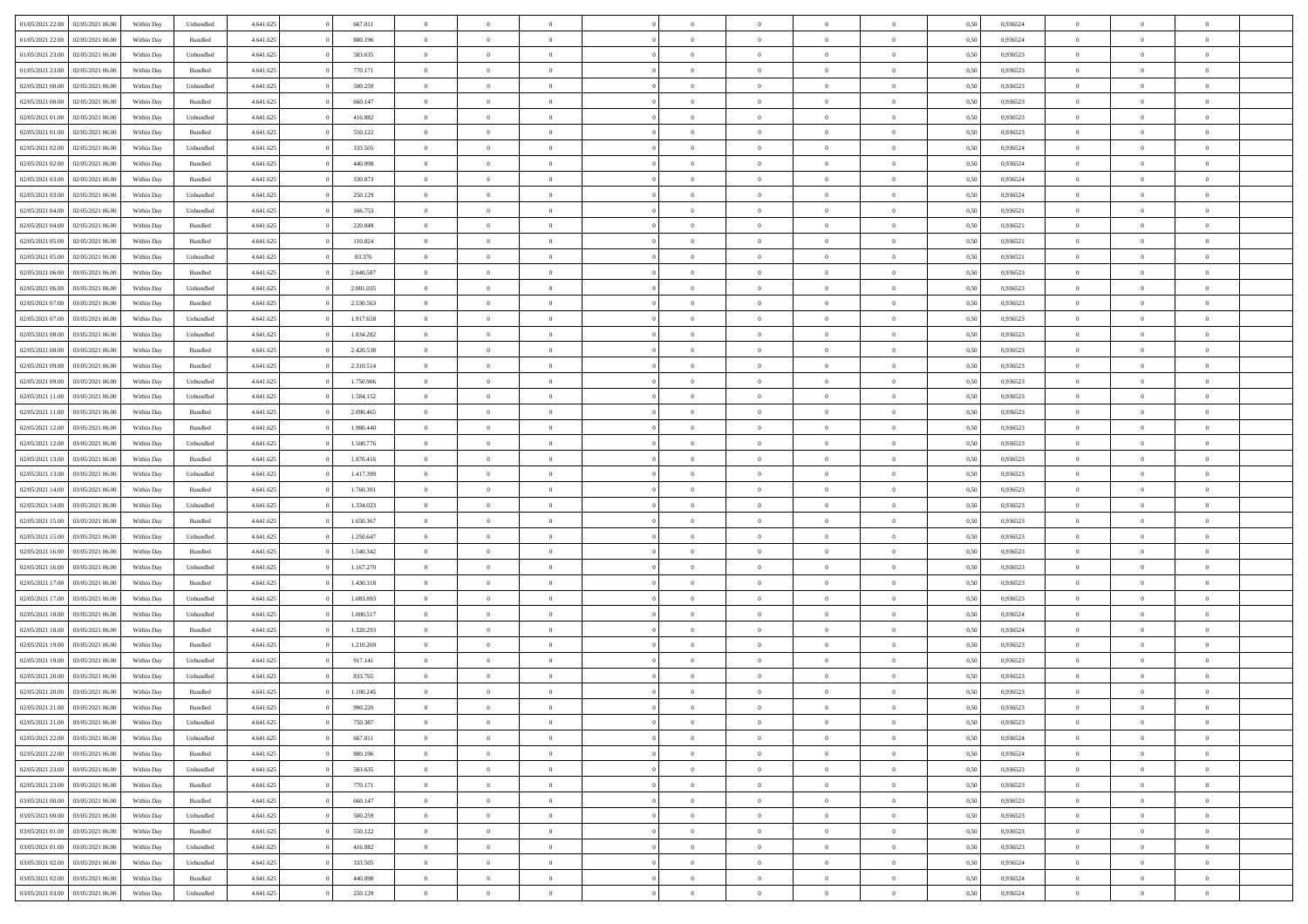| 01/05/2021 22:00 | 02/05/2021 06:00 | Within Day | Unbundled          | 4.641.625 | 667.011   | $\overline{0}$ | $\theta$       |                | $\Omega$       | $\Omega$       | $\overline{0}$ | $\theta$       | 0.50 | 0,936524 | $\theta$       | $\overline{0}$ | $\overline{0}$ |  |
|------------------|------------------|------------|--------------------|-----------|-----------|----------------|----------------|----------------|----------------|----------------|----------------|----------------|------|----------|----------------|----------------|----------------|--|
| 01/05/2021 22.00 | 02/05/2021 06:00 | Within Day | Bundled            | 4.641.625 | 880.196   | $\overline{0}$ | $\overline{0}$ | $\overline{0}$ | $\overline{0}$ | $\bf{0}$       | $\overline{0}$ | $\bf{0}$       | 0,50 | 0,936524 | $\theta$       | $\overline{0}$ | $\overline{0}$ |  |
| 01/05/2021 23.00 | 02/05/2021 06:00 | Within Day | Unbundled          | 4.641.625 | 583.635   | $\overline{0}$ | $\bf{0}$       | $\overline{0}$ | $\bf{0}$       | $\bf{0}$       | $\bf{0}$       | $\mathbf{0}$   | 0,50 | 0,936523 | $\bf{0}$       | $\overline{0}$ | $\bf{0}$       |  |
| 01/05/2021 23:00 | 02/05/2021 06:00 | Within Dav | Bundled            | 4.641.625 | 770.171   | $\overline{0}$ | $\overline{0}$ | $\overline{0}$ | $\overline{0}$ | $\bf{0}$       | $\overline{0}$ | $\overline{0}$ | 0.50 | 0.936523 | $\theta$       | $\theta$       | $\overline{0}$ |  |
|                  |                  |            |                    |           |           |                |                |                |                |                |                |                |      |          |                |                |                |  |
| 02/05/2021 00:00 | 02/05/2021 06:00 | Within Day | Unbundled          | 4.641.625 | 500.259   | $\overline{0}$ | $\theta$       | $\overline{0}$ | $\overline{0}$ | $\bf{0}$       | $\overline{0}$ | $\bf{0}$       | 0,50 | 0,936523 | $\theta$       | $\overline{0}$ | $\overline{0}$ |  |
| 02/05/2021 00:00 | 02/05/2021 06:00 | Within Day | Bundled            | 4.641.625 | 660.147   | $\overline{0}$ | $\overline{0}$ | $\overline{0}$ | $\bf{0}$       | $\overline{0}$ | $\overline{0}$ | $\mathbf{0}$   | 0,50 | 0,936523 | $\bf{0}$       | $\overline{0}$ | $\bf{0}$       |  |
| 02/05/2021 01:00 | 02/05/2021 06:00 | Within Dav | Unbundled          | 4.641.625 | 416.882   | $\overline{0}$ | $\overline{0}$ | $\overline{0}$ | $\overline{0}$ | $\overline{0}$ | $\overline{0}$ | $\overline{0}$ | 0.50 | 0.936523 | $\theta$       | $\overline{0}$ | $\overline{0}$ |  |
| 02/05/2021 01:00 | 02/05/2021 06:00 | Within Day | Bundled            | 4.641.625 | 550.122   | $\overline{0}$ | $\theta$       | $\overline{0}$ | $\overline{0}$ | $\bf{0}$       | $\overline{0}$ | $\bf{0}$       | 0,50 | 0,936523 | $\theta$       | $\theta$       | $\overline{0}$ |  |
|                  |                  |            |                    |           |           |                | $\overline{0}$ |                |                | $\bf{0}$       |                |                |      |          | $\,0\,$        | $\overline{0}$ | $\overline{0}$ |  |
| 02/05/2021 02:00 | 02/05/2021 06:00 | Within Day | Unbundled          | 4.641.625 | 333.505   | $\overline{0}$ |                | $\overline{0}$ | $\bf{0}$       |                | $\bf{0}$       | $\bf{0}$       | 0,50 | 0,936524 |                |                |                |  |
| 02/05/2021 02:00 | 02/05/2021 06:00 | Within Dav | Bundled            | 4.641.625 | 440.098   | $\overline{0}$ | $\overline{0}$ | $\overline{0}$ | $\overline{0}$ | $\overline{0}$ | $\overline{0}$ | $\overline{0}$ | 0.50 | 0,936524 | $\theta$       | $\overline{0}$ | $\overline{0}$ |  |
| 02/05/2021 03:00 | 02/05/2021 06:00 | Within Day | Bundled            | 4.641.625 | 330.073   | $\overline{0}$ | $\theta$       | $\overline{0}$ | $\overline{0}$ | $\bf{0}$       | $\overline{0}$ | $\bf{0}$       | 0,50 | 0,936524 | $\,$ 0 $\,$    | $\overline{0}$ | $\overline{0}$ |  |
| 02/05/2021 03:00 | 02/05/2021 06:00 | Within Day | Unbundled          | 4.641.625 | 250.129   | $\overline{0}$ | $\bf{0}$       | $\overline{0}$ | $\bf{0}$       | $\bf{0}$       | $\bf{0}$       | $\mathbf{0}$   | 0,50 | 0,936524 | $\bf{0}$       | $\overline{0}$ | $\bf{0}$       |  |
| 02/05/2021 04:00 | 02/05/2021 06:00 | Within Day | Unbundled          | 4.641.625 | 166.753   | $\overline{0}$ | $\overline{0}$ | $\overline{0}$ | $\overline{0}$ | $\overline{0}$ | $\overline{0}$ | $\overline{0}$ | 0.50 | 0.936521 | $\theta$       | $\theta$       | $\overline{0}$ |  |
| 02/05/2021 04:00 | 02/05/2021 06.00 | Within Day | Bundled            | 4.641.625 | 220.049   | $\overline{0}$ | $\theta$       | $\overline{0}$ | $\overline{0}$ | $\bf{0}$       | $\overline{0}$ | $\bf{0}$       | 0,50 | 0,936521 | $\theta$       | $\overline{0}$ | $\overline{0}$ |  |
|                  |                  |            |                    |           |           |                |                |                |                |                |                |                |      |          |                |                |                |  |
| 02/05/2021 05:00 | 02/05/2021 06:00 | Within Day | Bundled            | 4.641.625 | 110.024   | $\overline{0}$ | $\overline{0}$ | $\overline{0}$ | $\bf{0}$       | $\overline{0}$ | $\overline{0}$ | $\mathbf{0}$   | 0,50 | 0,936521 | $\bf{0}$       | $\overline{0}$ | $\bf{0}$       |  |
| 02/05/2021 05:00 | 02/05/2021 06:00 | Within Dav | Unbundled          | 4.641.625 | 83.376    | $\overline{0}$ | $\overline{0}$ | $\overline{0}$ | $\overline{0}$ | $\overline{0}$ | $\overline{0}$ | $\overline{0}$ | 0.50 | 0,936521 | $\theta$       | $\overline{0}$ | $\overline{0}$ |  |
| 02/05/2021 06:00 | 03/05/2021 06:00 | Within Day | Bundled            | 4.641.625 | 2.640.587 | $\overline{0}$ | $\theta$       | $\overline{0}$ | $\overline{0}$ | $\bf{0}$       | $\overline{0}$ | $\bf{0}$       | 0,50 | 0,936523 | $\theta$       | $\theta$       | $\overline{0}$ |  |
| 02/05/2021 06:00 | 03/05/2021 06:00 | Within Day | Unbundled          | 4.641.625 | 2.001.035 | $\overline{0}$ | $\overline{0}$ | $\overline{0}$ | $\bf{0}$       | $\bf{0}$       | $\bf{0}$       | $\mathbf{0}$   | 0,50 | 0,936523 | $\,0\,$        | $\overline{0}$ | $\bf{0}$       |  |
| 02/05/2021 07:00 | 03/05/2021 06:00 | Within Dav | Bundled            | 4.641.625 | 2.530.563 | $\overline{0}$ | $\overline{0}$ | $\overline{0}$ | $\overline{0}$ | $\overline{0}$ | $\overline{0}$ | $\overline{0}$ | 0.50 | 0.936523 | $\theta$       | $\overline{0}$ | $\overline{0}$ |  |
|                  |                  |            |                    |           |           | $\overline{0}$ | $\theta$       | $\overline{0}$ |                | $\bf{0}$       | $\overline{0}$ |                |      |          |                |                | $\overline{0}$ |  |
| 02/05/2021 07:00 | 03/05/2021 06:00 | Within Day | Unbundled          | 4.641.625 | 1.917.658 |                |                |                | $\overline{0}$ |                |                | $\bf{0}$       | 0,50 | 0,936523 | $\,$ 0 $\,$    | $\overline{0}$ |                |  |
| 02/05/2021 08:00 | 03/05/2021 06:00 | Within Day | Unbundled          | 4.641.625 | 1.834.282 | $\overline{0}$ | $\overline{0}$ | $\overline{0}$ | $\bf{0}$       | $\bf{0}$       | $\bf{0}$       | $\mathbf{0}$   | 0,50 | 0,936523 | $\,0\,$        | $\overline{0}$ | $\bf{0}$       |  |
| 02/05/2021 08:00 | 03/05/2021 06:00 | Within Day | Bundled            | 4.641.625 | 2.420.538 | $\overline{0}$ | $\overline{0}$ | $\overline{0}$ | $\overline{0}$ | $\overline{0}$ | $\overline{0}$ | $\overline{0}$ | 0.50 | 0.936523 | $\theta$       | $\overline{0}$ | $\overline{0}$ |  |
| 02/05/2021 09:00 | 03/05/2021 06:00 | Within Day | Bundled            | 4.641.625 | 2.310.514 | $\overline{0}$ | $\theta$       | $\overline{0}$ | $\overline{0}$ | $\bf{0}$       | $\overline{0}$ | $\bf{0}$       | 0,50 | 0,936523 | $\,$ 0 $\,$    | $\overline{0}$ | $\overline{0}$ |  |
| 02/05/2021 09:00 | 03/05/2021 06:00 | Within Day | Unbundled          | 4.641.625 | 1.750.906 | $\overline{0}$ | $\overline{0}$ | $\overline{0}$ | $\bf{0}$       | $\overline{0}$ | $\overline{0}$ | $\mathbf{0}$   | 0,50 | 0,936523 | $\bf{0}$       | $\overline{0}$ | $\bf{0}$       |  |
| 02/05/2021 11:00 | 03/05/2021 06:00 | Within Dav | Unbundled          | 4.641.625 | 1.584.152 | $\overline{0}$ | $\overline{0}$ | $\overline{0}$ | $\overline{0}$ | $\overline{0}$ | $\overline{0}$ | $\overline{0}$ | 0.50 | 0.936523 | $\theta$       | $\overline{0}$ | $\overline{0}$ |  |
|                  |                  |            |                    |           |           |                |                |                |                |                |                |                |      |          |                |                |                |  |
| 02/05/2021 11:00 | 03/05/2021 06:00 | Within Day | Bundled            | 4.641.625 | 2.090.465 | $\overline{0}$ | $\theta$       | $\overline{0}$ | $\overline{0}$ | $\bf{0}$       | $\overline{0}$ | $\bf{0}$       | 0,50 | 0,936523 | $\theta$       | $\theta$       | $\overline{0}$ |  |
| 02/05/2021 12:00 | 03/05/2021 06:00 | Within Day | Bundled            | 4.641.625 | 1.980.440 | $\overline{0}$ | $\overline{0}$ | $\overline{0}$ | $\bf{0}$       | $\bf{0}$       | $\bf{0}$       | $\bf{0}$       | 0,50 | 0,936523 | $\,0\,$        | $\overline{0}$ | $\overline{0}$ |  |
| 02/05/2021 12:00 | 03/05/2021 06:00 | Within Day | Unbundled          | 4.641.625 | 1.500.776 | $\overline{0}$ | $\overline{0}$ | $\overline{0}$ | $\overline{0}$ | $\overline{0}$ | $\overline{0}$ | $\overline{0}$ | 0.50 | 0.936523 | $\theta$       | $\overline{0}$ | $\overline{0}$ |  |
| 02/05/2021 13:00 | 03/05/2021 06:00 | Within Day | Bundled            | 4.641.625 | 1.870.416 | $\overline{0}$ | $\theta$       | $\overline{0}$ | $\overline{0}$ | $\bf{0}$       | $\overline{0}$ | $\bf{0}$       | 0,50 | 0,936523 | $\,$ 0 $\,$    | $\overline{0}$ | $\overline{0}$ |  |
| 02/05/2021 13:00 | 03/05/2021 06:00 | Within Day | Unbundled          | 4.641.625 | 1.417.399 | $\overline{0}$ | $\overline{0}$ | $\overline{0}$ | $\bf{0}$       | $\bf{0}$       | $\bf{0}$       | $\bf{0}$       | 0,50 | 0,936523 | $\bf{0}$       | $\overline{0}$ | $\bf{0}$       |  |
| 02/05/2021 14:00 | 03/05/2021 06:00 |            |                    | 4.641.625 | 1.760.391 | $\overline{0}$ | $\Omega$       | $\Omega$       | $\Omega$       | $\Omega$       | $\overline{0}$ | $\overline{0}$ | 0,50 | 0,936523 | $\,0\,$        | $\theta$       | $\theta$       |  |
|                  |                  | Within Day | Bundled            |           |           |                |                |                |                |                |                |                |      |          |                |                |                |  |
| 02/05/2021 14:00 | 03/05/2021 06.00 | Within Day | Unbundled          | 4.641.625 | 1.334.023 | $\overline{0}$ | $\theta$       | $\overline{0}$ | $\overline{0}$ | $\bf{0}$       | $\overline{0}$ | $\bf{0}$       | 0,50 | 0,936523 | $\theta$       | $\overline{0}$ | $\overline{0}$ |  |
| 02/05/2021 15:00 | 03/05/2021 06:00 | Within Day | Bundled            | 4.641.625 | 1.650.367 | $\overline{0}$ | $\overline{0}$ | $\overline{0}$ | $\bf{0}$       | $\overline{0}$ | $\overline{0}$ | $\mathbf{0}$   | 0,50 | 0,936523 | $\overline{0}$ | $\overline{0}$ | $\bf{0}$       |  |
| 02/05/2021 15:00 | 03/05/2021 06:00 | Within Day | Unbundled          | 4.641.625 | 1.250.647 | $\overline{0}$ | $\Omega$       | $\Omega$       | $\Omega$       | $\overline{0}$ | $\overline{0}$ | $\overline{0}$ | 0.50 | 0.936523 | $\,0\,$        | $\theta$       | $\theta$       |  |
| 02/05/2021 16:00 | 03/05/2021 06:00 | Within Day | Bundled            | 4.641.625 | 1.540.342 | $\overline{0}$ | $\theta$       | $\overline{0}$ | $\overline{0}$ | $\bf{0}$       | $\overline{0}$ | $\bf{0}$       | 0,50 | 0,936523 | $\,$ 0 $\,$    | $\overline{0}$ | $\overline{0}$ |  |
| 02/05/2021 16:00 | 03/05/2021 06:00 | Within Day | Unbundled          | 4.641.625 | 1.167.270 | $\overline{0}$ | $\overline{0}$ | $\overline{0}$ | $\bf{0}$       | $\bf{0}$       | $\bf{0}$       | $\bf{0}$       | 0,50 | 0,936523 | $\,0\,$        | $\overline{0}$ | $\bf{0}$       |  |
| 02/05/2021 17:00 | 03/05/2021 06:00 | Within Day | Bundled            | 4.641.625 | 1.430.318 | $\overline{0}$ | $\Omega$       | $\Omega$       | $\Omega$       | $\overline{0}$ | $\overline{0}$ | $\overline{0}$ | 0.50 | 0.936523 | $\,$ 0 $\,$    | $\theta$       | $\theta$       |  |
|                  |                  |            |                    |           |           |                |                |                |                |                |                |                |      |          |                |                |                |  |
| 02/05/2021 17:00 | 03/05/2021 06:00 | Within Day | Unbundled          | 4.641.625 | 1.083.893 | $\overline{0}$ | $\theta$       | $\overline{0}$ | $\overline{0}$ | $\,$ 0         | $\overline{0}$ | $\bf{0}$       | 0,50 | 0,936523 | $\,$ 0 $\,$    | $\overline{0}$ | $\overline{0}$ |  |
| 02/05/2021 18:00 | 03/05/2021 06:00 | Within Day | Unbundled          | 4.641.625 | 1.000.517 | $\overline{0}$ | $\overline{0}$ | $\overline{0}$ | $\bf{0}$       | $\bf{0}$       | $\bf{0}$       | $\mathbf{0}$   | 0,50 | 0,936524 | $\overline{0}$ | $\overline{0}$ | $\bf{0}$       |  |
| 02/05/2021 18:00 | 03/05/2021 06:00 | Within Day | Bundled            | 4.641.625 | 1.320.293 | $\overline{0}$ | $\Omega$       | $\overline{0}$ | $\Omega$       | $\bf{0}$       | $\overline{0}$ | $\overline{0}$ | 0,50 | 0,936524 | $\,0\,$        | $\theta$       | $\theta$       |  |
| 02/05/2021 19:00 | 03/05/2021 06:00 | Within Day | Bundled            | 4.641.625 | 1.210.269 | $\overline{0}$ | $\overline{0}$ | $\overline{0}$ | $\overline{0}$ | $\,$ 0         | $\overline{0}$ | $\bf{0}$       | 0,50 | 0,936523 | $\,$ 0 $\,$    | $\overline{0}$ | $\overline{0}$ |  |
| 02/05/2021 19:00 | 03/05/2021 06:00 | Within Day | Unbundled          | 4.641.625 | 917.141   | $\overline{0}$ | $\overline{0}$ | $\overline{0}$ | $\bf{0}$       | $\bf{0}$       | $\overline{0}$ | $\mathbf{0}$   | 0,50 | 0,936523 | $\bf{0}$       | $\overline{0}$ | $\bf{0}$       |  |
| 02/05/2021 20:00 | 03/05/2021 06:00 |            | Unbundled          | 4.641.625 | 833,765   | $\overline{0}$ | $\Omega$       | $\Omega$       | $\Omega$       | $\Omega$       | $\Omega$       | $\overline{0}$ | 0.50 | 0.936523 | $\theta$       | $\theta$       | $\theta$       |  |
|                  |                  | Within Day |                    |           |           |                |                |                |                |                |                |                |      |          |                |                |                |  |
| 02/05/2021 20:00 | 03/05/2021 06:00 | Within Day | Bundled            | 4.641.625 | 1.100.245 | $\overline{0}$ | $\overline{0}$ | $\bf{0}$       | $\bf{0}$       | $\,$ 0         | $\bf{0}$       | $\bf{0}$       | 0,50 | 0,936523 | $\,0\,$        | $\,$ 0 $\,$    | $\overline{0}$ |  |
| 02/05/2021 21:00 | 03/05/2021 06:00 | Within Day | $\mathbf B$ undled | 4.641.625 | 990.220   | $\bf{0}$       | $\bf{0}$       |                |                | $\bf{0}$       |                |                | 0,50 | 0,936523 | $\bf{0}$       | $\overline{0}$ |                |  |
| 02/05/2021 21:00 | 03/05/2021 06:00 | Within Day | Unbundled          | 4.641.625 | 750,387   | $\overline{0}$ | $\overline{0}$ | $\overline{0}$ | $\Omega$       | $\overline{0}$ | $\overline{0}$ | $\overline{0}$ | 0.50 | 0.936523 | $\theta$       | $\theta$       | $\theta$       |  |
| 02/05/2021 22:00 | 03/05/2021 06:00 | Within Day | Unbundled          | 4.641.625 | 667.011   | $\overline{0}$ | $\,$ 0         | $\overline{0}$ | $\bf{0}$       | $\,$ 0 $\,$    | $\overline{0}$ | $\,$ 0 $\,$    | 0,50 | 0,936524 | $\,$ 0 $\,$    | $\,$ 0 $\,$    | $\,$ 0         |  |
| 02/05/2021 22.00 | 03/05/2021 06:00 | Within Day | Bundled            | 4.641.625 | 880.196   | $\overline{0}$ | $\overline{0}$ | $\overline{0}$ | $\overline{0}$ | $\overline{0}$ | $\overline{0}$ | $\mathbf{0}$   | 0,50 | 0,936524 | $\overline{0}$ | $\bf{0}$       | $\bf{0}$       |  |
| 02/05/2021 23:00 | 03/05/2021 06:00 | Within Day | Unbundled          | 4.641.625 | 583.635   | $\overline{0}$ | $\overline{0}$ | $\overline{0}$ | $\Omega$       | $\overline{0}$ | $\overline{0}$ | $\overline{0}$ | 0,50 | 0,936523 | $\overline{0}$ | $\theta$       | $\overline{0}$ |  |
|                  |                  |            |                    |           |           |                |                |                |                |                |                |                |      |          |                |                |                |  |
| 02/05/2021 23:00 | 03/05/2021 06:00 | Within Day | Bundled            | 4.641.625 | 770.171   | $\overline{0}$ | $\,$ 0         | $\overline{0}$ | $\overline{0}$ | $\,$ 0 $\,$    | $\overline{0}$ | $\mathbf{0}$   | 0,50 | 0,936523 | $\,$ 0 $\,$    | $\overline{0}$ | $\overline{0}$ |  |
| 03/05/2021 00:00 | 03/05/2021 06:00 | Within Day | Bundled            | 4.641.625 | 660.147   | $\overline{0}$ | $\overline{0}$ | $\overline{0}$ | $\overline{0}$ | $\overline{0}$ | $\overline{0}$ | $\mathbf{0}$   | 0,50 | 0,936523 | $\overline{0}$ | $\overline{0}$ | $\bf{0}$       |  |
| 03/05/2021 00:00 | 03/05/2021 06:00 | Within Day | Unbundled          | 4.641.625 | 500.259   | $\overline{0}$ | $\overline{0}$ | $\overline{0}$ | $\overline{0}$ | $\overline{0}$ | $\overline{0}$ | $\bf{0}$       | 0.50 | 0,936523 | $\overline{0}$ | $\theta$       | $\overline{0}$ |  |
| 03/05/2021 01:00 | 03/05/2021 06:00 | Within Day | Bundled            | 4.641.625 | 550.122   | $\overline{0}$ | $\,$ 0         | $\overline{0}$ | $\bf{0}$       | $\bf{0}$       | $\bf{0}$       | $\bf{0}$       | 0,50 | 0,936523 | $\,$ 0 $\,$    | $\overline{0}$ | $\overline{0}$ |  |
| 03/05/2021 01:00 | 03/05/2021 06:00 | Within Day | Unbundled          | 4.641.625 | 416.882   | $\overline{0}$ | $\bf{0}$       | $\overline{0}$ | $\overline{0}$ | $\overline{0}$ | $\overline{0}$ | $\mathbf{0}$   | 0,50 | 0,936523 | $\overline{0}$ | $\overline{0}$ | $\bf{0}$       |  |
| 03/05/2021 02:00 | 03/05/2021 06:00 | Within Day | Unbundled          | 4.641.625 | 333.505   | $\overline{0}$ | $\overline{0}$ | $\overline{0}$ | $\Omega$       | $\overline{0}$ | $\overline{0}$ | $\overline{0}$ | 0.50 | 0.936524 | $\overline{0}$ | $\overline{0}$ | $\overline{0}$ |  |
|                  |                  |            |                    |           |           |                |                |                |                |                |                |                |      |          |                |                |                |  |
| 03/05/2021 02:00 | 03/05/2021 06:00 | Within Day | Bundled            | 4.641.625 | 440.098   | $\overline{0}$ | $\bf{0}$       | $\overline{0}$ | $\overline{0}$ | $\bf{0}$       | $\bf{0}$       | $\mathbf{0}$   | 0,50 | 0,936524 | $\,$ 0 $\,$    | $\,$ 0 $\,$    | $\bf{0}$       |  |
| 03/05/2021 03:00 | 03/05/2021 06:00 | Within Day | Unbundled          | 4.641.625 | 250.129   | $\overline{0}$ | $\bf{0}$       | $\overline{0}$ | $\bf{0}$       | $\bf{0}$       | $\bf{0}$       | $\bf{0}$       | 0,50 | 0,936524 | $\overline{0}$ | $\overline{0}$ | $\bf{0}$       |  |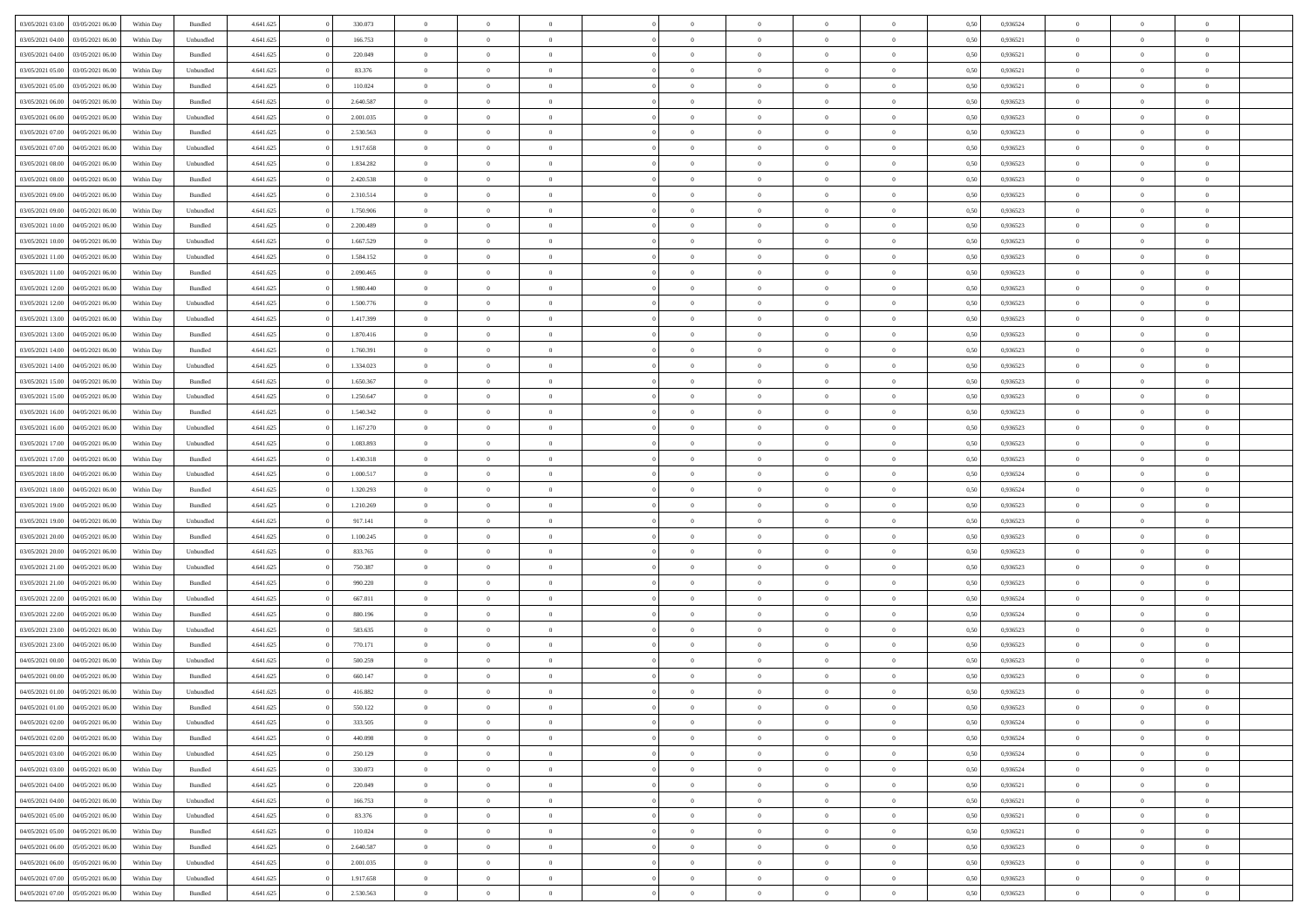|                  |                  |            |                    |           |           | $\overline{0}$ | $\Omega$       |                |                | $\Omega$       | $\theta$       | $\theta$       |      |          | $\theta$       |                |                |  |
|------------------|------------------|------------|--------------------|-----------|-----------|----------------|----------------|----------------|----------------|----------------|----------------|----------------|------|----------|----------------|----------------|----------------|--|
| 03/05/2021 03:00 | 03/05/2021 06:00 | Within Day | Bundled            | 4.641.625 | 330.073   |                |                |                | $\Omega$       |                |                |                | 0.50 | 0,936524 |                | $\theta$       | $\overline{0}$ |  |
| 03/05/2021 04:00 | 03/05/2021 06.00 | Within Day | Unbundled          | 4.641.625 | 166.753   | $\overline{0}$ | $\theta$       | $\overline{0}$ | $\overline{0}$ | $\bf{0}$       | $\overline{0}$ | $\bf{0}$       | 0,50 | 0,936521 | $\theta$       | $\overline{0}$ | $\overline{0}$ |  |
| 03/05/2021 04:00 | 03/05/2021 06:00 | Within Day | Bundled            | 4.641.625 | 220.049   | $\overline{0}$ | $\bf{0}$       | $\overline{0}$ | $\bf{0}$       | $\bf{0}$       | $\bf{0}$       | $\mathbf{0}$   | 0,50 | 0,936521 | $\bf{0}$       | $\overline{0}$ | $\bf{0}$       |  |
| 03/05/2021 05:00 | 03/05/2021 06:00 | Within Dav | Unbundled          | 4.641.625 | 83.376    | $\overline{0}$ | $\overline{0}$ | $\overline{0}$ | $\overline{0}$ | $\bf{0}$       | $\overline{0}$ | $\overline{0}$ | 0.50 | 0.936521 | $\theta$       | $\theta$       | $\overline{0}$ |  |
|                  |                  |            |                    |           |           | $\overline{0}$ | $\theta$       |                |                |                |                |                |      |          | $\theta$       | $\overline{0}$ |                |  |
| 03/05/2021 05:00 | 03/05/2021 06.00 | Within Day | Bundled            | 4.641.625 | 110.024   |                |                | $\overline{0}$ | $\overline{0}$ | $\bf{0}$       | $\overline{0}$ | $\bf{0}$       | 0,50 | 0,936521 |                |                | $\overline{0}$ |  |
| 03/05/2021 06:00 | 04/05/2021 06.00 | Within Day | Bundled            | 4.641.625 | 2.640.587 | $\overline{0}$ | $\overline{0}$ | $\overline{0}$ | $\bf{0}$       | $\overline{0}$ | $\overline{0}$ | $\mathbf{0}$   | 0,50 | 0,936523 | $\bf{0}$       | $\overline{0}$ | $\bf{0}$       |  |
| 03/05/2021 06:00 | 04/05/2021 06:00 | Within Dav | Unbundled          | 4.641.625 | 2.001.035 | $\overline{0}$ | $\overline{0}$ | $\overline{0}$ | $\overline{0}$ | $\overline{0}$ | $\overline{0}$ | $\overline{0}$ | 0.50 | 0.936523 | $\theta$       | $\overline{0}$ | $\overline{0}$ |  |
| 03/05/2021 07:00 | 04/05/2021 06.00 | Within Day | Bundled            | 4.641.625 | 2.530.563 | $\overline{0}$ | $\theta$       | $\overline{0}$ | $\overline{0}$ | $\bf{0}$       | $\overline{0}$ | $\bf{0}$       | 0,50 | 0,936523 | $\theta$       | $\theta$       | $\overline{0}$ |  |
| 03/05/2021 07:00 | 04/05/2021 06.00 | Within Day | Unbundled          | 4.641.625 | 1.917.658 | $\overline{0}$ | $\overline{0}$ | $\overline{0}$ | $\bf{0}$       | $\bf{0}$       | $\bf{0}$       | $\bf{0}$       | 0,50 | 0,936523 | $\,0\,$        | $\overline{0}$ | $\overline{0}$ |  |
|                  |                  |            |                    |           |           |                |                |                |                |                |                |                |      |          |                |                |                |  |
| 03/05/2021 08:00 | 04/05/2021 06:00 | Within Dav | Unbundled          | 4.641.625 | 1.834.282 | $\overline{0}$ | $\overline{0}$ | $\overline{0}$ | $\overline{0}$ | $\overline{0}$ | $\overline{0}$ | $\overline{0}$ | 0.50 | 0.936523 | $\theta$       | $\overline{0}$ | $\overline{0}$ |  |
| 03/05/2021 08:00 | 04/05/2021 06.00 | Within Day | Bundled            | 4.641.625 | 2.420.538 | $\overline{0}$ | $\theta$       | $\overline{0}$ | $\overline{0}$ | $\bf{0}$       | $\overline{0}$ | $\bf{0}$       | 0,50 | 0,936523 | $\,$ 0 $\,$    | $\overline{0}$ | $\overline{0}$ |  |
| 03/05/2021 09:00 | 04/05/2021 06.00 | Within Day | Bundled            | 4.641.625 | 2.310.514 | $\overline{0}$ | $\bf{0}$       | $\overline{0}$ | $\bf{0}$       | $\bf{0}$       | $\bf{0}$       | $\mathbf{0}$   | 0,50 | 0,936523 | $\bf{0}$       | $\overline{0}$ | $\bf{0}$       |  |
| 03/05/2021 09:00 | 04/05/2021 06:00 | Within Day | Unbundled          | 4.641.625 | 1.750.906 | $\overline{0}$ | $\overline{0}$ | $\overline{0}$ | $\overline{0}$ | $\bf{0}$       | $\overline{0}$ | $\overline{0}$ | 0.50 | 0.936523 | $\theta$       | $\theta$       | $\overline{0}$ |  |
| 03/05/2021 10:00 | 04/05/2021 06.00 | Within Day | Bundled            | 4.641.625 | 2.200.489 | $\overline{0}$ | $\theta$       | $\overline{0}$ | $\overline{0}$ | $\bf{0}$       | $\overline{0}$ | $\bf{0}$       | 0,50 | 0,936523 | $\theta$       | $\overline{0}$ | $\overline{0}$ |  |
|                  |                  |            |                    |           |           |                |                |                |                |                |                |                |      |          |                |                |                |  |
| 03/05/2021 10:00 | 04/05/2021 06.00 | Within Day | Unbundled          | 4.641.625 | 1.667.529 | $\overline{0}$ | $\overline{0}$ | $\overline{0}$ | $\bf{0}$       | $\overline{0}$ | $\overline{0}$ | $\mathbf{0}$   | 0,50 | 0,936523 | $\bf{0}$       | $\overline{0}$ | $\bf{0}$       |  |
| 03/05/2021 11:00 | 04/05/2021 06:00 | Within Dav | Unbundled          | 4.641.625 | 1.584.152 | $\overline{0}$ | $\overline{0}$ | $\overline{0}$ | $\overline{0}$ | $\overline{0}$ | $\overline{0}$ | $\overline{0}$ | 0.50 | 0.936523 | $\theta$       | $\overline{0}$ | $\overline{0}$ |  |
| 03/05/2021 11:00 | 04/05/2021 06.00 | Within Day | Bundled            | 4.641.625 | 2.090.465 | $\overline{0}$ | $\theta$       | $\overline{0}$ | $\overline{0}$ | $\bf{0}$       | $\overline{0}$ | $\bf{0}$       | 0,50 | 0,936523 | $\theta$       | $\theta$       | $\overline{0}$ |  |
| 03/05/2021 12:00 | 04/05/2021 06.00 | Within Day | Bundled            | 4.641.625 | 1.980.440 | $\overline{0}$ | $\overline{0}$ | $\overline{0}$ | $\bf{0}$       | $\bf{0}$       | $\bf{0}$       | $\bf{0}$       | 0,50 | 0,936523 | $\,0\,$        | $\overline{0}$ | $\overline{0}$ |  |
| 03/05/2021 12:00 | 04/05/2021 06:00 | Within Day | Unbundled          | 4.641.625 | 1.500.776 | $\overline{0}$ | $\overline{0}$ | $\overline{0}$ | $\overline{0}$ | $\overline{0}$ | $\overline{0}$ | $\overline{0}$ | 0.50 | 0.936523 | $\theta$       | $\overline{0}$ | $\overline{0}$ |  |
|                  |                  |            |                    |           |           |                |                |                |                |                |                |                |      |          |                |                |                |  |
| 03/05/2021 13:00 | 04/05/2021 06.00 | Within Day | Unbundled          | 4.641.625 | 1.417.399 | $\overline{0}$ | $\theta$       | $\overline{0}$ | $\overline{0}$ | $\bf{0}$       | $\overline{0}$ | $\bf{0}$       | 0,50 | 0,936523 | $\,$ 0 $\,$    | $\overline{0}$ | $\overline{0}$ |  |
| 03/05/2021 13:00 | 04/05/2021 06.00 | Within Day | Bundled            | 4.641.625 | 1.870.416 | $\overline{0}$ | $\overline{0}$ | $\overline{0}$ | $\bf{0}$       | $\bf{0}$       | $\bf{0}$       | $\bf{0}$       | 0,50 | 0,936523 | $\,0\,$        | $\overline{0}$ | $\bf{0}$       |  |
| 03/05/2021 14:00 | 04/05/2021 06:00 | Within Day | Bundled            | 4.641.625 | 1.760.391 | $\overline{0}$ | $\overline{0}$ | $\overline{0}$ | $\overline{0}$ | $\bf{0}$       | $\overline{0}$ | $\overline{0}$ | 0.50 | 0.936523 | $\theta$       | $\overline{0}$ | $\overline{0}$ |  |
| 03/05/2021 14:00 | 04/05/2021 06.00 | Within Day | Unbundled          | 4.641.625 | 1.334.023 | $\overline{0}$ | $\theta$       | $\overline{0}$ | $\overline{0}$ | $\bf{0}$       | $\overline{0}$ | $\bf{0}$       | 0,50 | 0,936523 | $\theta$       | $\overline{0}$ | $\overline{0}$ |  |
|                  |                  |            |                    |           |           |                |                |                |                |                |                |                |      |          |                |                |                |  |
| 03/05/2021 15:00 | 04/05/2021 06.00 | Within Day | Bundled            | 4.641.625 | 1.650.367 | $\overline{0}$ | $\overline{0}$ | $\overline{0}$ | $\bf{0}$       | $\overline{0}$ | $\overline{0}$ | $\mathbf{0}$   | 0,50 | 0,936523 | $\overline{0}$ | $\overline{0}$ | $\bf{0}$       |  |
| 03/05/2021 15:00 | 04/05/2021 06:00 | Within Dav | Unbundled          | 4.641.625 | 1.250.647 | $\overline{0}$ | $\overline{0}$ | $\overline{0}$ | $\overline{0}$ | $\overline{0}$ | $\overline{0}$ | $\overline{0}$ | 0.50 | 0.936523 | $\theta$       | $\overline{0}$ | $\overline{0}$ |  |
| 03/05/2021 16:00 | 04/05/2021 06.00 | Within Day | Bundled            | 4.641.625 | 1.540.342 | $\overline{0}$ | $\theta$       | $\overline{0}$ | $\overline{0}$ | $\bf{0}$       | $\overline{0}$ | $\bf{0}$       | 0,50 | 0,936523 | $\theta$       | $\theta$       | $\overline{0}$ |  |
| 03/05/2021 16:00 | 04/05/2021 06.00 | Within Day | Unbundled          | 4.641.625 | 1.167.270 | $\overline{0}$ | $\overline{0}$ | $\overline{0}$ | $\bf{0}$       | $\bf{0}$       | $\bf{0}$       | $\bf{0}$       | 0,50 | 0,936523 | $\,0\,$        | $\overline{0}$ | $\overline{0}$ |  |
| 03/05/2021 17:00 | 04/05/2021 06:00 | Within Day | Unbundled          | 4.641.625 | 1.083.893 | $\overline{0}$ | $\overline{0}$ | $\overline{0}$ | $\overline{0}$ | $\overline{0}$ | $\overline{0}$ | $\overline{0}$ | 0.50 | 0.936523 | $\theta$       | $\overline{0}$ | $\overline{0}$ |  |
|                  |                  |            |                    |           |           |                |                |                |                |                |                |                |      |          |                |                |                |  |
| 03/05/2021 17:00 | 04/05/2021 06.00 | Within Day | Bundled            | 4.641.625 | 1.430.318 | $\overline{0}$ | $\theta$       | $\overline{0}$ | $\overline{0}$ | $\bf{0}$       | $\overline{0}$ | $\bf{0}$       | 0,50 | 0,936523 | $\,$ 0 $\,$    | $\overline{0}$ | $\overline{0}$ |  |
| 03/05/2021 18:00 | 04/05/2021 06.00 | Within Day | Unbundled          | 4.641.625 | 1.000.517 | $\overline{0}$ | $\overline{0}$ | $\overline{0}$ | $\bf{0}$       | $\bf{0}$       | $\bf{0}$       | $\bf{0}$       | 0,50 | 0,936524 | $\bf{0}$       | $\overline{0}$ | $\bf{0}$       |  |
| 03/05/2021 18:00 | 04/05/2021 06.00 | Within Day | Bundled            | 4.641.625 | 1.320.293 | $\overline{0}$ | $\Omega$       | $\Omega$       | $\Omega$       | $\Omega$       | $\overline{0}$ | $\overline{0}$ | 0,50 | 0,936524 | $\,0\,$        | $\theta$       | $\theta$       |  |
| 03/05/2021 19:00 | 04/05/2021 06.00 | Within Day | Bundled            | 4.641.625 | 1.210.269 | $\overline{0}$ | $\theta$       | $\overline{0}$ | $\overline{0}$ | $\bf{0}$       | $\overline{0}$ | $\bf{0}$       | 0,50 | 0,936523 | $\theta$       | $\overline{0}$ | $\overline{0}$ |  |
| 03/05/2021 19:00 | 04/05/2021 06:00 | Within Day | Unbundled          | 4.641.625 | 917.141   | $\overline{0}$ | $\overline{0}$ | $\overline{0}$ | $\overline{0}$ | $\overline{0}$ | $\overline{0}$ | $\mathbf{0}$   | 0,50 | 0,936523 | $\overline{0}$ | $\overline{0}$ | $\bf{0}$       |  |
|                  |                  |            |                    |           |           |                |                |                |                |                |                |                |      |          |                |                |                |  |
| 03/05/2021 20:00 | 04/05/2021 06:00 | Within Day | Bundled            | 4.641.625 | 1.100.245 | $\overline{0}$ | $\Omega$       | $\Omega$       | $\Omega$       | $\bf{0}$       | $\overline{0}$ | $\overline{0}$ | 0.50 | 0.936523 | $\,0\,$        | $\theta$       | $\theta$       |  |
| 03/05/2021 20:00 | 04/05/2021 06.00 | Within Day | Unbundled          | 4.641.625 | 833.765   | $\overline{0}$ | $\theta$       | $\overline{0}$ | $\overline{0}$ | $\bf{0}$       | $\overline{0}$ | $\bf{0}$       | 0,50 | 0,936523 | $\theta$       | $\overline{0}$ | $\overline{0}$ |  |
| 03/05/2021 21:00 | 04/05/2021 06.00 | Within Day | Unbundled          | 4.641.625 | 750.387   | $\overline{0}$ | $\overline{0}$ | $\overline{0}$ | $\overline{0}$ | $\bf{0}$       | $\overline{0}$ | $\bf{0}$       | 0,50 | 0,936523 | $\,0\,$        | $\overline{0}$ | $\bf{0}$       |  |
| 03/05/2021 21:00 | 04/05/2021 06:00 | Within Day | Bundled            | 4.641.625 | 990.220   | $\overline{0}$ | $\Omega$       | $\Omega$       | $\Omega$       | $\overline{0}$ | $\overline{0}$ | $\overline{0}$ | 0.50 | 0.936523 | $\theta$       | $\theta$       | $\theta$       |  |
| 03/05/2021 22:00 | 04/05/2021 06.00 | Within Day | Unbundled          | 4.641.625 | 667.011   | $\overline{0}$ | $\theta$       | $\overline{0}$ | $\overline{0}$ | $\bf{0}$       | $\overline{0}$ | $\bf{0}$       | 0,50 | 0,936524 | $\,$ 0 $\,$    | $\overline{0}$ | $\overline{0}$ |  |
|                  |                  |            |                    |           |           |                |                |                |                | $\bf{0}$       |                |                |      |          |                | $\overline{0}$ | $\bf{0}$       |  |
| 03/05/2021 22.00 | 04/05/2021 06.00 | Within Day | Bundled            | 4.641.625 | 880.196   | $\overline{0}$ | $\overline{0}$ | $\overline{0}$ | $\overline{0}$ |                | $\overline{0}$ | $\bf{0}$       | 0,50 | 0,936524 | $\overline{0}$ |                |                |  |
| 03/05/2021 23:00 | 04/05/2021 06.00 | Within Day | Unbundled          | 4.641.625 | 583.635   | $\overline{0}$ | $\Omega$       | $\Omega$       | $\Omega$       | $\overline{0}$ | $\overline{0}$ | $\overline{0}$ | 0,50 | 0,936523 | $\,0\,$        | $\theta$       | $\theta$       |  |
| 03/05/2021 23:00 | 04/05/2021 06.00 | Within Day | Bundled            | 4.641.625 | 770.171   | $\overline{0}$ | $\overline{0}$ | $\overline{0}$ | $\overline{0}$ | $\,$ 0         | $\overline{0}$ | $\bf{0}$       | 0,50 | 0,936523 | $\,$ 0 $\,$    | $\overline{0}$ | $\overline{0}$ |  |
| 04/05/2021 00:00 | 04/05/2021 06.00 | Within Day | Unbundled          | 4.641.625 | 500.259   | $\overline{0}$ | $\overline{0}$ | $\overline{0}$ | $\overline{0}$ | $\bf{0}$       | $\overline{0}$ | $\mathbf{0}$   | 0,50 | 0,936523 | $\overline{0}$ | $\overline{0}$ | $\bf{0}$       |  |
| 04/05/2021 00:00 | 04/05/2021 06:00 | Within Day | Bundled            | 4.641.625 | 660.147   | $\overline{0}$ | $\Omega$       | $\Omega$       | $\Omega$       | $\Omega$       | $\Omega$       | $\overline{0}$ | 0.50 | 0.936523 | $\theta$       | $\theta$       | $\theta$       |  |
| 04/05/2021 01:00 | 04/05/2021 06:00 | Within Day | Unbundled          | 4.641.625 | 416.882   | $\overline{0}$ | $\overline{0}$ | $\overline{0}$ | $\bf{0}$       | $\,$ 0         | $\overline{0}$ | $\bf{0}$       | 0,50 | 0,936523 | $\,0\,$        | $\,$ 0 $\,$    | $\overline{0}$ |  |
|                  |                  |            |                    |           |           |                |                |                |                |                |                |                |      |          |                |                |                |  |
| 04/05/2021 01:00 | 04/05/2021 06:00 | Within Day | $\mathbf B$ undled | 4.641.625 | 550.122   | $\bf{0}$       | $\bf{0}$       |                |                | $\bf{0}$       |                |                | 0,50 | 0,936523 | $\bf{0}$       | $\overline{0}$ |                |  |
| 04/05/2021 02.00 | 04/05/2021 06:00 | Within Day | Unbundled          | 4.641.625 | 333.505   | $\overline{0}$ | $\overline{0}$ | $\overline{0}$ | $\Omega$       | $\overline{0}$ | $\overline{0}$ | $\overline{0}$ | 0.50 | 0.936524 | $\theta$       | $\theta$       | $\theta$       |  |
| 04/05/2021 02:00 | 04/05/2021 06:00 | Within Day | Bundled            | 4.641.625 | 440.098   | $\overline{0}$ | $\,$ 0         | $\overline{0}$ | $\overline{0}$ | $\,$ 0 $\,$    | $\overline{0}$ | $\,$ 0 $\,$    | 0,50 | 0,936524 | $\,$ 0 $\,$    | $\,$ 0 $\,$    | $\,$ 0         |  |
| 04/05/2021 03:00 | 04/05/2021 06:00 | Within Day | Unbundled          | 4.641.625 | 250.129   | $\overline{0}$ | $\overline{0}$ | $\overline{0}$ | $\overline{0}$ | $\overline{0}$ | $\overline{0}$ | $\mathbf{0}$   | 0,50 | 0,936524 | $\overline{0}$ | $\bf{0}$       | $\bf{0}$       |  |
| 04/05/2021 03:00 | 04/05/2021 06:00 | Within Day | Bundled            | 4.641.625 | 330.073   | $\overline{0}$ | $\overline{0}$ | $\overline{0}$ | $\Omega$       | $\overline{0}$ | $\overline{0}$ | $\overline{0}$ | 0,50 | 0,936524 | $\overline{0}$ | $\theta$       | $\overline{0}$ |  |
|                  |                  |            |                    |           |           |                |                |                |                |                |                |                |      |          |                |                |                |  |
| 04/05/2021 04:00 | 04/05/2021 06:00 | Within Day | Bundled            | 4.641.625 | 220.049   | $\overline{0}$ | $\,$ 0         | $\overline{0}$ | $\overline{0}$ | $\,$ 0 $\,$    | $\overline{0}$ | $\mathbf{0}$   | 0,50 | 0,936521 | $\,$ 0 $\,$    | $\overline{0}$ | $\overline{0}$ |  |
| 04/05/2021 04:00 | 04/05/2021 06:00 | Within Day | Unbundled          | 4.641.625 | 166.753   | $\overline{0}$ | $\overline{0}$ | $\overline{0}$ | $\overline{0}$ | $\overline{0}$ | $\overline{0}$ | $\mathbf{0}$   | 0,50 | 0,936521 | $\overline{0}$ | $\overline{0}$ | $\bf{0}$       |  |
| 04/05/2021 05:00 | 04/05/2021 06:00 | Within Day | Unbundled          | 4.641.625 | 83.376    | $\overline{0}$ | $\overline{0}$ | $\overline{0}$ | $\Omega$       | $\overline{0}$ | $\overline{0}$ | $\bf{0}$       | 0.50 | 0,936521 | $\overline{0}$ | $\theta$       | $\overline{0}$ |  |
| 04/05/2021 05:00 | 04/05/2021 06:00 | Within Day | Bundled            | 4.641.625 | 110.024   | $\overline{0}$ | $\,$ 0         | $\overline{0}$ | $\bf{0}$       | $\bf{0}$       | $\bf{0}$       | $\bf{0}$       | 0,50 | 0,936521 | $\,$ 0 $\,$    | $\overline{0}$ | $\overline{0}$ |  |
| 04/05/2021 06:00 | 05/05/2021 06:00 | Within Day | Bundled            | 4.641.625 | 2.640.587 | $\overline{0}$ | $\bf{0}$       | $\overline{0}$ | $\overline{0}$ | $\overline{0}$ | $\overline{0}$ | $\mathbf{0}$   | 0,50 | 0,936523 | $\overline{0}$ | $\overline{0}$ | $\bf{0}$       |  |
|                  |                  |            |                    |           |           |                |                |                |                |                |                |                |      |          |                |                |                |  |
| 04/05/2021 06:00 | 05/05/2021 06:00 | Within Day | Unbundled          | 4.641.625 | 2.001.035 | $\overline{0}$ | $\overline{0}$ | $\overline{0}$ | $\Omega$       | $\overline{0}$ | $\overline{0}$ | $\overline{0}$ | 0.50 | 0.936523 | $\overline{0}$ | $\overline{0}$ | $\overline{0}$ |  |
| 04/05/2021 07:00 | 05/05/2021 06:00 | Within Day | Unbundled          | 4.641.625 | 1.917.658 | $\overline{0}$ | $\bf{0}$       | $\overline{0}$ | $\overline{0}$ | $\bf{0}$       | $\bf{0}$       | $\mathbf{0}$   | 0,50 | 0,936523 | $\,$ 0 $\,$    | $\,$ 0 $\,$    | $\bf{0}$       |  |
| 04/05/2021 07:00 | 05/05/2021 06:00 | Within Day | Bundled            | 4.641.625 | 2.530.563 | $\overline{0}$ | $\bf{0}$       | $\overline{0}$ | $\bf{0}$       | $\bf{0}$       | $\bf{0}$       | $\bf{0}$       | 0,50 | 0,936523 | $\overline{0}$ | $\overline{0}$ | $\bf{0}$       |  |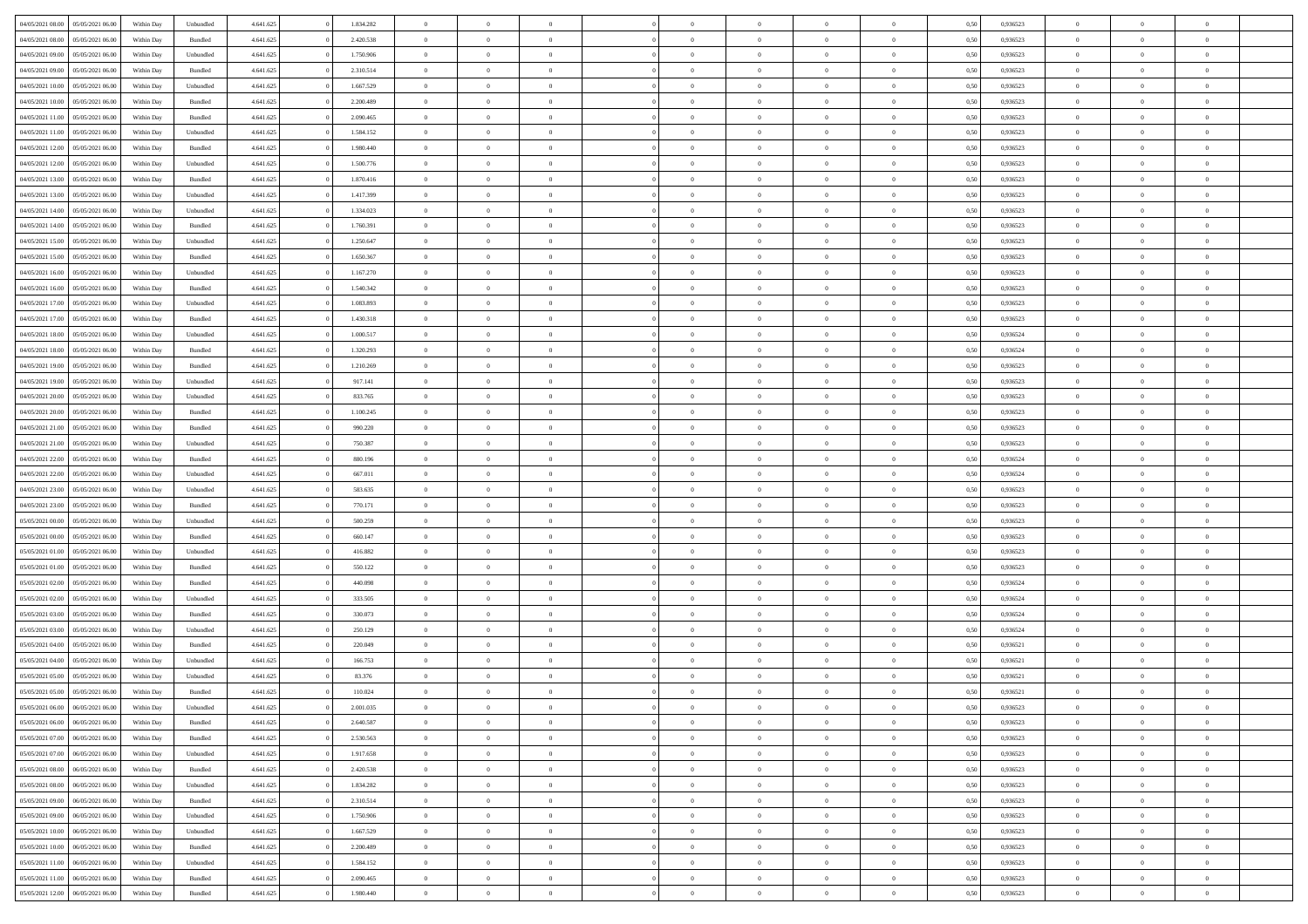| 04/05/2021 08:00                  | 05/05/2021 06:00 | Within Day | Unbundled | 4.641.625 | 1.834.282 | $\overline{0}$ | $\theta$       |                | $\Omega$       | $\Omega$       | $\overline{0}$ | $\theta$       | 0.50 | 0,936523 | $\theta$       | $\overline{0}$ | $\overline{0}$ |  |
|-----------------------------------|------------------|------------|-----------|-----------|-----------|----------------|----------------|----------------|----------------|----------------|----------------|----------------|------|----------|----------------|----------------|----------------|--|
| 04/05/2021 08:00                  | 05/05/2021 06:00 | Within Day | Bundled   | 4.641.625 | 2.420.538 | $\overline{0}$ | $\overline{0}$ | $\overline{0}$ | $\overline{0}$ | $\bf{0}$       | $\overline{0}$ | $\bf{0}$       | 0,50 | 0,936523 | $\theta$       | $\overline{0}$ | $\overline{0}$ |  |
| 04/05/2021 09:00                  | 05/05/2021 06:00 | Within Day | Unbundled | 4.641.625 | 1.750.906 | $\overline{0}$ | $\bf{0}$       | $\overline{0}$ | $\bf{0}$       | $\bf{0}$       | $\bf{0}$       | $\mathbf{0}$   | 0,50 | 0,936523 | $\bf{0}$       | $\overline{0}$ | $\bf{0}$       |  |
| 04/05/2021 09:00                  | 05/05/2021 06:00 | Within Dav | Bundled   | 4.641.625 | 2.310.514 | $\overline{0}$ | $\overline{0}$ | $\overline{0}$ | $\overline{0}$ | $\bf{0}$       | $\overline{0}$ | $\overline{0}$ | 0.50 | 0.936523 | $\theta$       | $\theta$       | $\overline{0}$ |  |
|                                   |                  |            |           |           |           |                |                |                |                |                |                |                |      |          |                |                |                |  |
| 04/05/2021 10:00                  | 05/05/2021 06:00 | Within Day | Unbundled | 4.641.625 | 1.667.529 | $\overline{0}$ | $\theta$       | $\overline{0}$ | $\overline{0}$ | $\bf{0}$       | $\overline{0}$ | $\bf{0}$       | 0,50 | 0,936523 | $\theta$       | $\overline{0}$ | $\overline{0}$ |  |
| 04/05/2021 10:00                  | 05/05/2021 06:00 | Within Day | Bundled   | 4.641.625 | 2.200.489 | $\overline{0}$ | $\overline{0}$ | $\overline{0}$ | $\bf{0}$       | $\overline{0}$ | $\overline{0}$ | $\mathbf{0}$   | 0,50 | 0,936523 | $\bf{0}$       | $\overline{0}$ | $\bf{0}$       |  |
| 04/05/2021 11:00                  | 05/05/2021 06:00 | Within Dav | Bundled   | 4.641.625 | 2.090.465 | $\overline{0}$ | $\overline{0}$ | $\overline{0}$ | $\overline{0}$ | $\overline{0}$ | $\overline{0}$ | $\overline{0}$ | 0.50 | 0.936523 | $\theta$       | $\overline{0}$ | $\overline{0}$ |  |
| 04/05/2021 11:00                  | 05/05/2021 06:00 | Within Day | Unbundled | 4.641.625 | 1.584.152 | $\overline{0}$ | $\theta$       | $\overline{0}$ | $\overline{0}$ | $\bf{0}$       | $\overline{0}$ | $\bf{0}$       | 0,50 | 0,936523 | $\theta$       | $\theta$       | $\overline{0}$ |  |
| 04/05/2021 12:00                  | 05/05/2021 06:00 | Within Day | Bundled   | 4.641.625 | 1.980.440 | $\overline{0}$ | $\overline{0}$ | $\overline{0}$ | $\bf{0}$       | $\bf{0}$       | $\bf{0}$       | $\bf{0}$       | 0,50 | 0,936523 | $\,0\,$        | $\overline{0}$ | $\overline{0}$ |  |
| 04/05/2021 12:00                  | 05/05/2021 06:00 | Within Dav | Unbundled | 4.641.625 | 1.500.776 | $\overline{0}$ | $\overline{0}$ | $\overline{0}$ | $\overline{0}$ | $\overline{0}$ | $\overline{0}$ | $\overline{0}$ | 0.50 | 0.936523 | $\theta$       | $\overline{0}$ | $\overline{0}$ |  |
|                                   |                  |            |           |           |           |                |                |                |                |                |                |                |      |          |                |                |                |  |
| 04/05/2021 13:00                  | 05/05/2021 06:00 | Within Day | Bundled   | 4.641.625 | 1.870.416 | $\overline{0}$ | $\theta$       | $\overline{0}$ | $\overline{0}$ | $\bf{0}$       | $\overline{0}$ | $\bf{0}$       | 0,50 | 0,936523 | $\,$ 0 $\,$    | $\overline{0}$ | $\overline{0}$ |  |
| 04/05/2021 13:00                  | 05/05/2021 06:00 | Within Day | Unbundled | 4.641.625 | 1.417.399 | $\overline{0}$ | $\bf{0}$       | $\overline{0}$ | $\bf{0}$       | $\bf{0}$       | $\bf{0}$       | $\mathbf{0}$   | 0,50 | 0,936523 | $\bf{0}$       | $\overline{0}$ | $\bf{0}$       |  |
| 04/05/2021 14:00                  | 05/05/2021 06:00 | Within Dav | Unbundled | 4.641.625 | 1.334.023 | $\overline{0}$ | $\overline{0}$ | $\overline{0}$ | $\overline{0}$ | $\bf{0}$       | $\overline{0}$ | $\overline{0}$ | 0.50 | 0.936523 | $\theta$       | $\theta$       | $\overline{0}$ |  |
| 04/05/2021 14:00                  | 05/05/2021 06:00 | Within Day | Bundled   | 4.641.625 | 1.760.391 | $\overline{0}$ | $\theta$       | $\overline{0}$ | $\overline{0}$ | $\bf{0}$       | $\overline{0}$ | $\bf{0}$       | 0,50 | 0,936523 | $\theta$       | $\overline{0}$ | $\overline{0}$ |  |
| 04/05/2021 15:00                  | 05/05/2021 06:00 | Within Day | Unbundled | 4.641.625 | 1.250.647 | $\overline{0}$ | $\overline{0}$ | $\overline{0}$ | $\overline{0}$ | $\overline{0}$ | $\overline{0}$ | $\mathbf{0}$   | 0,50 | 0,936523 | $\bf{0}$       | $\overline{0}$ | $\bf{0}$       |  |
| 04/05/2021 15:00                  | 05/05/2021 06:00 | Within Dav | Bundled   | 4.641.625 | 1.650.367 | $\overline{0}$ | $\overline{0}$ | $\overline{0}$ | $\overline{0}$ | $\overline{0}$ | $\overline{0}$ | $\overline{0}$ | 0.50 | 0.936523 | $\theta$       | $\overline{0}$ | $\overline{0}$ |  |
|                                   |                  |            |           |           |           |                |                |                |                |                |                |                |      |          |                |                |                |  |
| 04/05/2021 16:00                  | 05/05/2021 06:00 | Within Day | Unbundled | 4.641.625 | 1.167.270 | $\overline{0}$ | $\theta$       | $\overline{0}$ | $\overline{0}$ | $\bf{0}$       | $\overline{0}$ | $\bf{0}$       | 0,50 | 0,936523 | $\theta$       | $\theta$       | $\overline{0}$ |  |
| 04/05/2021 16:00                  | 05/05/2021 06:00 | Within Day | Bundled   | 4.641.625 | 1.540.342 | $\overline{0}$ | $\overline{0}$ | $\overline{0}$ | $\overline{0}$ | $\bf{0}$       | $\overline{0}$ | $\mathbf{0}$   | 0,50 | 0,936523 | $\,0\,$        | $\overline{0}$ | $\bf{0}$       |  |
| 04/05/2021 17:00                  | 05/05/2021 06:00 | Within Dav | Unbundled | 4.641.625 | 1.083.893 | $\overline{0}$ | $\overline{0}$ | $\overline{0}$ | $\overline{0}$ | $\overline{0}$ | $\overline{0}$ | $\overline{0}$ | 0.50 | 0.936523 | $\theta$       | $\overline{0}$ | $\overline{0}$ |  |
| 04/05/2021 17:00                  | 05/05/2021 06:00 | Within Day | Bundled   | 4.641.625 | 1.430.318 | $\overline{0}$ | $\theta$       | $\overline{0}$ | $\overline{0}$ | $\bf{0}$       | $\overline{0}$ | $\bf{0}$       | 0,50 | 0,936523 | $\,$ 0 $\,$    | $\overline{0}$ | $\overline{0}$ |  |
| 04/05/2021 18:00                  | 05/05/2021 06:00 | Within Day | Unbundled | 4.641.625 | 1.000.517 | $\overline{0}$ | $\overline{0}$ | $\overline{0}$ | $\overline{0}$ | $\bf{0}$       | $\overline{0}$ | $\bf{0}$       | 0,50 | 0,936524 | $\bf{0}$       | $\overline{0}$ | $\bf{0}$       |  |
| 04/05/2021 18:00                  | 05/05/2021 06:00 | Within Day | Bundled   | 4.641.625 | 1.320.293 | $\overline{0}$ | $\overline{0}$ | $\overline{0}$ | $\overline{0}$ | $\bf{0}$       | $\overline{0}$ | $\overline{0}$ | 0.50 | 0.936524 | $\theta$       | $\overline{0}$ | $\overline{0}$ |  |
|                                   |                  |            |           |           |           |                |                |                |                |                |                |                |      |          |                |                |                |  |
| 04/05/2021 19:00                  | 05/05/2021 06:00 | Within Day | Bundled   | 4.641.625 | 1.210.269 | $\overline{0}$ | $\theta$       | $\overline{0}$ | $\overline{0}$ | $\bf{0}$       | $\overline{0}$ | $\,$ 0 $\,$    | 0,50 | 0,936523 | $\theta$       | $\overline{0}$ | $\overline{0}$ |  |
| 04/05/2021 19:00                  | 05/05/2021 06:00 | Within Day | Unbundled | 4.641.625 | 917.141   | $\overline{0}$ | $\overline{0}$ | $\overline{0}$ | $\overline{0}$ | $\overline{0}$ | $\overline{0}$ | $\mathbf{0}$   | 0,50 | 0,936523 | $\bf{0}$       | $\overline{0}$ | $\bf{0}$       |  |
| 04/05/2021 20:00                  | 05/05/2021 06:00 | Within Dav | Unbundled | 4.641.625 | 833.765   | $\overline{0}$ | $\overline{0}$ | $\overline{0}$ | $\overline{0}$ | $\overline{0}$ | $\overline{0}$ | $\overline{0}$ | 0.50 | 0.936523 | $\theta$       | $\overline{0}$ | $\overline{0}$ |  |
| 04/05/2021 20:00                  | 05/05/2021 06:00 | Within Day | Bundled   | 4.641.625 | 1.100.245 | $\overline{0}$ | $\theta$       | $\overline{0}$ | $\overline{0}$ | $\bf{0}$       | $\overline{0}$ | $\bf{0}$       | 0,50 | 0,936523 | $\theta$       | $\theta$       | $\overline{0}$ |  |
| 04/05/2021 21.00                  | 05/05/2021 06:00 | Within Day | Bundled   | 4.641.625 | 990.220   | $\overline{0}$ | $\overline{0}$ | $\overline{0}$ | $\overline{0}$ | $\bf{0}$       | $\overline{0}$ | $\bf{0}$       | 0,50 | 0,936523 | $\,0\,$        | $\overline{0}$ | $\bf{0}$       |  |
| 04/05/2021 21.00                  | 05/05/2021 06:00 | Within Day | Unbundled | 4.641.625 | 750.387   | $\overline{0}$ | $\overline{0}$ | $\overline{0}$ | $\overline{0}$ | $\overline{0}$ | $\overline{0}$ | $\overline{0}$ | 0.50 | 0.936523 | $\theta$       | $\overline{0}$ | $\overline{0}$ |  |
|                                   |                  |            |           |           |           | $\overline{0}$ | $\theta$       | $\overline{0}$ | $\overline{0}$ | $\bf{0}$       | $\overline{0}$ |                |      |          | $\,$ 0 $\,$    | $\overline{0}$ | $\overline{0}$ |  |
| 04/05/2021 22.00                  | 05/05/2021 06:00 | Within Day | Bundled   | 4.641.625 | 880.196   |                |                |                |                |                |                | $\bf{0}$       | 0,50 | 0,936524 |                |                |                |  |
| 04/05/2021 22.00                  | 05/05/2021 06:00 | Within Day | Unbundled | 4.641.625 | 667.011   | $\overline{0}$ | $\overline{0}$ | $\overline{0}$ | $\overline{0}$ | $\bf{0}$       | $\overline{0}$ | $\bf{0}$       | 0,50 | 0,936524 | $\bf{0}$       | $\overline{0}$ | $\bf{0}$       |  |
| 04/05/2021 23.00                  | 05/05/2021 06:00 | Within Day | Unbundled | 4.641.625 | 583.635   | $\overline{0}$ | $\Omega$       | $\Omega$       | $\Omega$       | $\Omega$       | $\overline{0}$ | $\overline{0}$ | 0,50 | 0,936523 | $\,0\,$        | $\theta$       | $\theta$       |  |
| 04/05/2021 23:00                  | 05/05/2021 06:00 | Within Day | Bundled   | 4.641.625 | 770.171   | $\overline{0}$ | $\theta$       | $\overline{0}$ | $\overline{0}$ | $\bf{0}$       | $\overline{0}$ | $\bf{0}$       | 0,50 | 0,936523 | $\theta$       | $\overline{0}$ | $\overline{0}$ |  |
| 05/05/2021 00:00                  | 05/05/2021 06:00 | Within Day | Unbundled | 4.641.625 | 500.259   | $\overline{0}$ | $\overline{0}$ | $\overline{0}$ | $\bf{0}$       | $\overline{0}$ | $\overline{0}$ | $\mathbf{0}$   | 0,50 | 0,936523 | $\overline{0}$ | $\overline{0}$ | $\bf{0}$       |  |
| 05/05/2021 00:00                  | 05/05/2021 06:00 | Within Day | Bundled   | 4.641.625 | 660.147   | $\overline{0}$ | $\Omega$       | $\Omega$       | $\Omega$       | $\overline{0}$ | $\overline{0}$ | $\overline{0}$ | 0.50 | 0.936523 | $\,0\,$        | $\theta$       | $\theta$       |  |
| 05/05/2021 01:00                  | 05/05/2021 06:00 | Within Day | Unbundled | 4.641.625 | 416.882   | $\overline{0}$ | $\theta$       | $\overline{0}$ | $\overline{0}$ | $\bf{0}$       | $\overline{0}$ | $\bf{0}$       | 0,50 | 0,936523 | $\theta$       | $\overline{0}$ | $\overline{0}$ |  |
|                                   |                  |            |           |           |           |                |                |                |                |                |                |                |      |          |                |                |                |  |
| 05/05/2021 01:00                  | 05/05/2021 06:00 | Within Day | Bundled   | 4.641.625 | 550.122   | $\overline{0}$ | $\overline{0}$ | $\overline{0}$ | $\bf{0}$       | $\bf{0}$       | $\bf{0}$       | $\bf{0}$       | 0,50 | 0,936523 | $\bf{0}$       | $\overline{0}$ | $\bf{0}$       |  |
| 05/05/2021 02:00                  | 05/05/2021 06:00 | Within Day | Bundled   | 4.641.625 | 440 098   | $\overline{0}$ | $\Omega$       | $\Omega$       | $\Omega$       | $\theta$       | $\overline{0}$ | $\overline{0}$ | 0.50 | 0.936524 | $\theta$       | $\theta$       | $\theta$       |  |
| 05/05/2021 02:00                  | 05/05/2021 06:00 | Within Day | Unbundled | 4.641.625 | 333.505   | $\overline{0}$ | $\overline{0}$ | $\overline{0}$ | $\overline{0}$ | $\bf{0}$       | $\overline{0}$ | $\bf{0}$       | 0,50 | 0,936524 | $\,$ 0 $\,$    | $\overline{0}$ | $\overline{0}$ |  |
| 05/05/2021 03:00                  | 05/05/2021 06:00 | Within Day | Bundled   | 4.641.625 | 330.073   | $\overline{0}$ | $\overline{0}$ | $\overline{0}$ | $\bf{0}$       | $\bf{0}$       | $\bf{0}$       | $\mathbf{0}$   | 0,50 | 0,936524 | $\overline{0}$ | $\overline{0}$ | $\bf{0}$       |  |
| 05/05/2021 03:00                  | 05/05/2021 06:00 | Within Day | Unbundled | 4.641.625 | 250.129   | $\overline{0}$ | $\Omega$       | $\overline{0}$ | $\Omega$       | $\bf{0}$       | $\overline{0}$ | $\overline{0}$ | 0,50 | 0,936524 | $\,0\,$        | $\theta$       | $\theta$       |  |
| 05/05/2021 04:00                  | 05/05/2021 06:00 | Within Day | Bundled   | 4.641.625 | 220.049   | $\overline{0}$ | $\overline{0}$ | $\overline{0}$ | $\overline{0}$ | $\,$ 0         | $\overline{0}$ | $\bf{0}$       | 0,50 | 0,936521 | $\,$ 0 $\,$    | $\overline{0}$ | $\overline{0}$ |  |
|                                   |                  |            |           |           |           |                |                |                |                |                |                |                |      |          |                |                |                |  |
| 05/05/2021 04:00                  | 05/05/2021 06:00 | Within Day | Unbundled | 4.641.625 | 166.753   | $\overline{0}$ | $\overline{0}$ | $\overline{0}$ | $\bf{0}$       | $\bf{0}$       | $\overline{0}$ | $\mathbf{0}$   | 0,50 | 0,936521 | $\bf{0}$       | $\overline{0}$ | $\bf{0}$       |  |
| 05/05/2021 05:00                  | 05/05/2021 06:00 | Within Day | Unbundled | 4.641.625 | 83.376    | $\overline{0}$ | $\Omega$       | $\Omega$       | $\Omega$       | $\Omega$       | $\Omega$       | $\overline{0}$ | 0.50 | 0.936521 | $\theta$       | $\theta$       | $\theta$       |  |
| 05/05/2021 05:00                  | 05/05/2021 06:00 | Within Day | Bundled   | 4.641.625 | 110.024   | $\overline{0}$ | $\overline{0}$ | $\overline{0}$ | $\bf{0}$       | $\,$ 0         | $\bf{0}$       | $\bf{0}$       | 0,50 | 0,936521 | $\,0\,$        | $\,$ 0 $\,$    | $\overline{0}$ |  |
| 05/05/2021 06:00 06/05/2021 06:00 |                  | Within Day | Unbundled | 4.641.625 | 2.001.035 | $\bf{0}$       | $\bf{0}$       |                |                | $\bf{0}$       |                |                | 0,50 | 0,936523 | $\bf{0}$       | $\overline{0}$ |                |  |
| 05/05/2021 06:00                  | 06/05/2021 06:00 | Within Day | Bundled   | 4.641.625 | 2.640.587 | $\overline{0}$ | $\overline{0}$ | $\overline{0}$ | $\Omega$       | $\overline{0}$ | $\overline{0}$ | $\overline{0}$ | 0.50 | 0.936523 | $\theta$       | $\theta$       | $\theta$       |  |
| 05/05/2021 07:00                  | 06/05/2021 06:00 | Within Day | Bundled   | 4.641.625 | 2.530.563 | $\overline{0}$ | $\,$ 0         | $\overline{0}$ | $\bf{0}$       | $\,$ 0 $\,$    | $\overline{0}$ | $\mathbf{0}$   | 0,50 | 0,936523 | $\,$ 0 $\,$    | $\,$ 0 $\,$    | $\,$ 0         |  |
| 05/05/2021 07:00                  | 06/05/2021 06:00 | Within Day | Unbundled | 4.641.625 | 1.917.658 | $\overline{0}$ | $\overline{0}$ | $\overline{0}$ | $\overline{0}$ | $\overline{0}$ | $\overline{0}$ | $\mathbf{0}$   | 0,50 | 0,936523 | $\overline{0}$ | $\bf{0}$       | $\bf{0}$       |  |
|                                   |                  |            |           |           |           |                |                |                |                |                |                |                |      |          |                |                |                |  |
| 05/05/2021 08:00                  | 06/05/2021 06:00 | Within Day | Bundled   | 4.641.625 | 2.420.538 | $\overline{0}$ | $\theta$       | $\overline{0}$ | $\Omega$       | $\overline{0}$ | $\overline{0}$ | $\bf{0}$       | 0,50 | 0,936523 | $\overline{0}$ | $\theta$       | $\overline{0}$ |  |
| 05/05/2021 08:00                  | 06/05/2021 06:00 | Within Day | Unbundled | 4.641.625 | 1.834.282 | $\overline{0}$ | $\,$ 0         | $\overline{0}$ | $\overline{0}$ | $\overline{0}$ | $\overline{0}$ | $\bf{0}$       | 0,50 | 0,936523 | $\,$ 0 $\,$    | $\overline{0}$ | $\overline{0}$ |  |
| 05/05/2021 09:00                  | 06/05/2021 06:00 | Within Day | Bundled   | 4.641.625 | 2.310.514 | $\overline{0}$ | $\overline{0}$ | $\overline{0}$ | $\overline{0}$ | $\overline{0}$ | $\overline{0}$ | $\mathbf{0}$   | 0,50 | 0,936523 | $\overline{0}$ | $\bf{0}$       | $\bf{0}$       |  |
| 05/05/2021 09:00                  | 06/05/2021 06:00 | Within Day | Unbundled | 4.641.625 | 1.750.906 | $\overline{0}$ | $\overline{0}$ | $\overline{0}$ | $\Omega$       | $\overline{0}$ | $\overline{0}$ | $\bf{0}$       | 0.50 | 0,936523 | $\overline{0}$ | $\theta$       | $\overline{0}$ |  |
| 05/05/2021 10:00                  | 06/05/2021 06:00 | Within Day | Unbundled | 4.641.625 | 1.667.529 | $\overline{0}$ | $\,$ 0         | $\overline{0}$ | $\overline{0}$ | $\bf{0}$       | $\overline{0}$ | $\bf{0}$       | 0,50 | 0,936523 | $\,$ 0 $\,$    | $\overline{0}$ | $\overline{0}$ |  |
| 05/05/2021 10:00                  | 06/05/2021 06:00 | Within Day | Bundled   | 4.641.625 | 2.200.489 | $\overline{0}$ | $\bf{0}$       | $\overline{0}$ | $\overline{0}$ | $\overline{0}$ | $\overline{0}$ | $\mathbf{0}$   | 0,50 | 0,936523 | $\overline{0}$ | $\overline{0}$ | $\bf{0}$       |  |
|                                   |                  |            |           |           |           |                |                |                |                |                |                |                |      |          |                |                |                |  |
| 05/05/2021 11:00                  | 06/05/2021 06:00 | Within Day | Unbundled | 4.641.625 | 1.584.152 | $\overline{0}$ | $\overline{0}$ | $\overline{0}$ | $\Omega$       | $\overline{0}$ | $\overline{0}$ | $\bf{0}$       | 0.50 | 0.936523 | $\overline{0}$ | $\theta$       | $\overline{0}$ |  |
| 05/05/2021 11:00                  | 06/05/2021 06:00 | Within Day | Bundled   | 4.641.625 | 2.090.465 | $\overline{0}$ | $\,$ 0 $\,$    | $\overline{0}$ | $\overline{0}$ | $\bf{0}$       | $\overline{0}$ | $\bf{0}$       | 0,50 | 0,936523 | $\,$ 0 $\,$    | $\,$ 0 $\,$    | $\bf{0}$       |  |
| 05/05/2021 12:00                  | 06/05/2021 06:00 | Within Day | Bundled   | 4.641.625 | 1.980.440 | $\overline{0}$ | $\bf{0}$       | $\overline{0}$ | $\bf{0}$       | $\bf{0}$       | $\overline{0}$ | $\bf{0}$       | 0,50 | 0,936523 | $\overline{0}$ | $\overline{0}$ | $\bf{0}$       |  |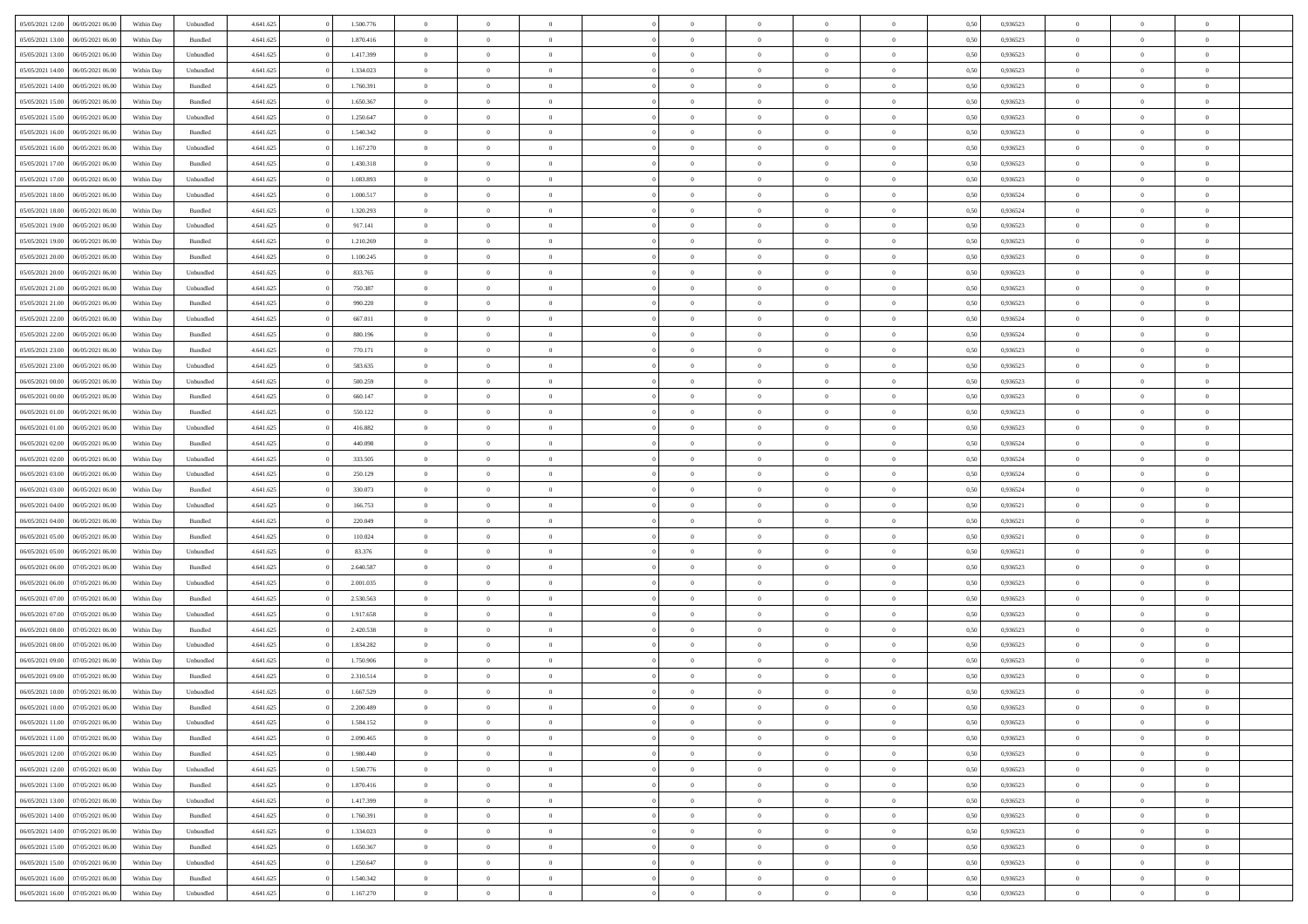| 05/05/2021 12:00                  | 06/05/2021 06:00 | Within Day | Unbundled          | 4.641.625 | 1.500.776 | $\overline{0}$ | $\theta$       |                | $\overline{0}$ | $\bf{0}$       | $\overline{0}$ | $\theta$       | 0,50 | 0,936523 | $\theta$       | $\theta$       | $\overline{0}$           |  |
|-----------------------------------|------------------|------------|--------------------|-----------|-----------|----------------|----------------|----------------|----------------|----------------|----------------|----------------|------|----------|----------------|----------------|--------------------------|--|
|                                   |                  |            |                    |           |           | $\overline{0}$ | $\overline{0}$ |                |                |                |                |                |      |          |                |                | $\overline{0}$           |  |
| 05/05/2021 13:00                  | 06/05/2021 06.00 | Within Day | Bundled            | 4.641.625 | 1.870.416 |                |                | $\overline{0}$ | $\overline{0}$ | $\,$ 0         | $\bf{0}$       | $\bf{0}$       | 0,50 | 0,936523 | $\,$ 0 $\,$    | $\overline{0}$ |                          |  |
| 05/05/2021 13:00                  | 06/05/2021 06:00 | Within Day | Unbundled          | 4.641.625 | 1.417.399 | $\overline{0}$ | $\overline{0}$ | $\overline{0}$ | $\overline{0}$ | $\bf{0}$       | $\overline{0}$ | $\mathbf{0}$   | 0.50 | 0.936523 | $\bf{0}$       | $\overline{0}$ | $\overline{0}$           |  |
| 05/05/2021 14:00                  | 06/05/2021 06:00 | Within Day | Unbundled          | 4.641.625 | 1.334.023 | $\overline{0}$ | $\overline{0}$ | $\overline{0}$ | $\overline{0}$ | $\,$ 0         | $\overline{0}$ | $\overline{0}$ | 0,50 | 0,936523 | $\,$ 0 $\,$    | $\overline{0}$ | $\overline{0}$           |  |
| 05/05/2021 14:00                  | 06/05/2021 06.00 | Within Day | Bundled            | 4.641.625 | 1.760.391 | $\overline{0}$ | $\theta$       | $\overline{0}$ | $\overline{0}$ | $\overline{0}$ | $\overline{0}$ | $\bf{0}$       | 0,50 | 0,936523 | $\,$ 0 $\,$    | $\overline{0}$ | $\overline{0}$           |  |
| 05/05/2021 15:00                  | 06/05/2021 06:00 | Within Day | Bundled            | 4.641.625 | 1.650.367 | $\overline{0}$ | $\overline{0}$ | $\overline{0}$ | $\overline{0}$ | $\bf{0}$       | $\overline{0}$ | $\bf{0}$       | 0.50 | 0.936523 | $\,0\,$        | $\theta$       | $\overline{0}$           |  |
| 05/05/2021 15:00                  | 06/05/2021 06:00 | Within Day | Unbundled          | 4.641.625 | 1.250.647 | $\overline{0}$ | $\overline{0}$ | $\overline{0}$ | $\overline{0}$ | $\bf{0}$       | $\overline{0}$ | $\overline{0}$ | 0,50 | 0,936523 | $\,$ 0 $\,$    | $\theta$       | $\overline{0}$           |  |
| 05/05/2021 16:00                  | 06/05/2021 06.00 | Within Day | Bundled            | 4.641.625 | 1.540.342 | $\overline{0}$ | $\theta$       | $\overline{0}$ | $\overline{0}$ | $\,$ 0         | $\bf{0}$       | $\bf{0}$       | 0,50 | 0,936523 | $\,$ 0 $\,$    | $\overline{0}$ | $\overline{0}$           |  |
| 05/05/2021 16:00                  | 06/05/2021 06:00 | Within Day | Unbundled          | 4.641.625 | 1.167.270 | $\overline{0}$ | $\overline{0}$ | $\overline{0}$ | $\overline{0}$ | $\bf{0}$       | $\overline{0}$ | $\bf{0}$       | 0.50 | 0.936523 | $\,0\,$        | $\overline{0}$ | $\overline{0}$           |  |
| 05/05/2021 17:00                  | 06/05/2021 06:00 | Within Day | Bundled            | 4.641.625 | 1.430.318 | $\overline{0}$ | $\overline{0}$ | $\overline{0}$ | $\overline{0}$ | $\,$ 0         | $\overline{0}$ | $\bf{0}$       | 0,50 | 0,936523 | $\,$ 0 $\,$    | $\overline{0}$ | $\overline{0}$           |  |
|                                   |                  |            |                    |           |           |                |                |                |                |                |                |                |      |          |                |                |                          |  |
| 05/05/2021 17:00                  | 06/05/2021 06.00 | Within Day | Unbundled          | 4.641.625 | 1.083.893 | $\overline{0}$ | $\theta$       | $\overline{0}$ | $\overline{0}$ | $\,$ 0         | $\bf{0}$       | $\bf{0}$       | 0,50 | 0,936523 | $\,$ 0 $\,$    | $\overline{0}$ | $\overline{0}$           |  |
| 05/05/2021 18:00                  | 06/05/2021 06:00 | Within Day | Unbundled          | 4.641.625 | 1.000.517 | $\overline{0}$ | $\overline{0}$ | $\overline{0}$ | $\overline{0}$ | $\bf{0}$       | $\overline{0}$ | $\mathbf{0}$   | 0.50 | 0.936524 | $\bf{0}$       | $\overline{0}$ | $\overline{\phantom{a}}$ |  |
| 05/05/2021 18:00                  | 06/05/2021 06:00 | Within Day | Bundled            | 4.641.625 | 1.320.293 | $\overline{0}$ | $\overline{0}$ | $\overline{0}$ | $\overline{0}$ | $\,$ 0         | $\overline{0}$ | $\overline{0}$ | 0,50 | 0,936524 | $\,$ 0 $\,$    | $\overline{0}$ | $\overline{0}$           |  |
| 05/05/2021 19:00                  | 06/05/2021 06.00 | Within Day | Unbundled          | 4.641.625 | 917.141   | $\overline{0}$ | $\theta$       | $\overline{0}$ | $\overline{0}$ | $\overline{0}$ | $\overline{0}$ | $\bf{0}$       | 0,50 | 0,936523 | $\,$ 0 $\,$    | $\overline{0}$ | $\overline{0}$           |  |
| 05/05/2021 19:00                  | 06/05/2021 06:00 | Within Day | Bundled            | 4.641.625 | 1.210.269 | $\overline{0}$ | $\overline{0}$ | $\overline{0}$ | $\overline{0}$ | $\bf{0}$       | $\overline{0}$ | $\bf{0}$       | 0.50 | 0.936523 | $\theta$       | $\theta$       | $\overline{0}$           |  |
| 05/05/2021 20:00                  | 06/05/2021 06:00 | Within Day | Bundled            | 4.641.625 | 1.100.245 | $\overline{0}$ | $\overline{0}$ | $\overline{0}$ | $\overline{0}$ | $\,$ 0         | $\overline{0}$ | $\bf{0}$       | 0,50 | 0,936523 | $\,$ 0 $\,$    | $\theta$       | $\overline{0}$           |  |
| 05/05/2021 20:00                  | 06/05/2021 06.00 | Within Day | Unbundled          | 4.641.625 | 833.765   | $\overline{0}$ | $\theta$       | $\overline{0}$ | $\overline{0}$ | $\bf{0}$       | $\overline{0}$ | $\bf{0}$       | 0,50 | 0,936523 | $\,$ 0 $\,$    | $\overline{0}$ | $\overline{0}$           |  |
| 05/05/2021 21:00                  | 06/05/2021 06:00 | Within Day | Unbundled          | 4.641.625 | 750,387   | $\overline{0}$ | $\overline{0}$ | $\overline{0}$ | $\overline{0}$ | $\bf{0}$       | $\overline{0}$ | $\bf{0}$       | 0.50 | 0.936523 | $\,0\,$        | $\overline{0}$ | $\overline{\phantom{a}}$ |  |
| 05/05/2021 21:00                  | 06/05/2021 06:00 | Within Day | Bundled            | 4.641.625 | 990.220   | $\overline{0}$ | $\overline{0}$ | $\overline{0}$ | $\overline{0}$ | $\bf{0}$       | $\overline{0}$ | $\bf{0}$       | 0,50 | 0,936523 | $\,$ 0 $\,$    | $\overline{0}$ | $\overline{0}$           |  |
|                                   |                  |            |                    |           |           |                | $\theta$       | $\overline{0}$ | $\overline{0}$ | $\,$ 0         |                |                |      |          | $\,$ 0 $\,$    | $\overline{0}$ | $\overline{0}$           |  |
| 05/05/2021 22.00                  | 06/05/2021 06.00 | Within Day | Unbundled          | 4.641.625 | 667.011   | $\overline{0}$ |                |                |                |                | $\bf{0}$       | $\bf{0}$       | 0,50 | 0,936524 |                |                |                          |  |
| 05/05/2021 22:00                  | 06/05/2021 06:00 | Within Day | Bundled            | 4.641.625 | 880.196   | $\overline{0}$ | $\overline{0}$ | $\overline{0}$ | $\overline{0}$ | $\bf{0}$       | $\overline{0}$ | $\mathbf{0}$   | 0.50 | 0.936524 | $\bf{0}$       | $\overline{0}$ | $\bf{0}$                 |  |
| 05/05/2021 23:00                  | 06/05/2021 06:00 | Within Day | Bundled            | 4.641.625 | 770.171   | $\overline{0}$ | $\overline{0}$ | $\overline{0}$ | $\overline{0}$ | $\bf{0}$       | $\overline{0}$ | $\overline{0}$ | 0,50 | 0,936523 | $\,$ 0 $\,$    | $\overline{0}$ | $\overline{0}$           |  |
| 05/05/2021 23:00                  | 06/05/2021 06.00 | Within Day | Unbundled          | 4.641.625 | 583.635   | $\overline{0}$ | $\theta$       | $\overline{0}$ | $\overline{0}$ | $\,$ 0         | $\overline{0}$ | $\bf{0}$       | 0,50 | 0,936523 | $\,$ 0 $\,$    | $\overline{0}$ | $\overline{0}$           |  |
| 06/05/2021 00:00                  | 06/05/2021 06:00 | Within Day | Unbundled          | 4.641.625 | 500.259   | $\overline{0}$ | $\overline{0}$ | $\overline{0}$ | $\overline{0}$ | $\bf{0}$       | $\overline{0}$ | $\bf{0}$       | 0.50 | 0.936523 | $\,0\,$        | $\theta$       | $\overline{0}$           |  |
| 06/05/2021 00:00                  | 06/05/2021 06:00 | Within Day | Bundled            | 4.641.625 | 660.147   | $\overline{0}$ | $\overline{0}$ | $\overline{0}$ | $\overline{0}$ | $\,$ 0         | $\overline{0}$ | $\overline{0}$ | 0,50 | 0,936523 | $\,$ 0 $\,$    | $\theta$       | $\overline{0}$           |  |
| 06/05/2021 01:00                  | 06/05/2021 06.00 | Within Day | Bundled            | 4.641.625 | 550.122   | $\overline{0}$ | $\theta$       | $\overline{0}$ |                | $\bf{0}$       | $\overline{0}$ | $\bf{0}$       | 0,50 | 0,936523 | $\,$ 0 $\,$    | $\overline{0}$ | $\overline{0}$           |  |
| 06/05/2021 01:00                  | 06/05/2021 06:00 | Within Day | Unbundled          | 4.641.625 | 416.882   | $\overline{0}$ | $\overline{0}$ | $\overline{0}$ | $\overline{0}$ | $\bf{0}$       | $\overline{0}$ | $\bf{0}$       | 0.50 | 0.936523 | $\,0\,$        | $\overline{0}$ | $\overline{0}$           |  |
| 06/05/2021 02:00                  | 06/05/2021 06:00 | Within Day | Bundled            | 4.641.625 | 440.098   | $\overline{0}$ | $\overline{0}$ | $\overline{0}$ | $\overline{0}$ | $\bf{0}$       | $\overline{0}$ | $\bf{0}$       | 0,50 | 0,936524 | $\,$ 0 $\,$    | $\overline{0}$ | $\overline{0}$           |  |
| 06/05/2021 02:00                  | 06/05/2021 06.00 | Within Day | Unbundled          | 4.641.625 | 333.505   | $\overline{0}$ | $\overline{0}$ | $\overline{0}$ | $\overline{0}$ | $\bf{0}$       | $\bf{0}$       | $\bf{0}$       | 0,50 | 0,936524 | $\,$ 0 $\,$    | $\overline{0}$ | $\overline{0}$           |  |
| 06/05/2021 03:00                  | 06/05/2021 06:00 | Within Day | Unbundled          | 4.641.625 | 250.129   | $\overline{0}$ | $\overline{0}$ | $\overline{0}$ | $\overline{0}$ | $\bf{0}$       | $\overline{0}$ | $\mathbf{0}$   | 0.50 | 0.936524 | $\bf{0}$       | $\overline{0}$ | $\overline{\phantom{a}}$ |  |
| 06/05/2021 03:00                  | 06/05/2021 06:00 | Within Dav | Bundled            | 4.641.625 | 330.073   | $\overline{0}$ | $\overline{0}$ | $\overline{0}$ | $\overline{0}$ | $\overline{0}$ | $\overline{0}$ | $\overline{0}$ | 0.50 | 0,936524 | $\theta$       | $\overline{0}$ | $\overline{0}$           |  |
|                                   |                  |            |                    |           |           |                |                |                |                |                |                |                |      |          |                |                |                          |  |
| 06/05/2021 04:00                  | 06/05/2021 06.00 | Within Day | Unbundled          | 4.641.625 | 166.753   | $\overline{0}$ | $\theta$       | $\overline{0}$ | $\overline{0}$ | $\,$ 0         | $\overline{0}$ | $\bf{0}$       | 0,50 | 0,936521 | $\,$ 0 $\,$    | $\overline{0}$ | $\overline{0}$           |  |
| 06/05/2021 04:00                  | 06/05/2021 06:00 | Within Day | Bundled            | 4.641.625 | 220,049   | $\overline{0}$ | $\overline{0}$ | $\overline{0}$ | $\overline{0}$ | $\bf{0}$       | $\overline{0}$ | $\bf{0}$       | 0.50 | 0.936521 | $\,0\,$        | $\theta$       | $\overline{0}$           |  |
| 06/05/2021 05:00                  | 06/05/2021 06:00 | Within Dav | Bundled            | 4.641.625 | 110.024   | $\overline{0}$ | $\overline{0}$ | $\Omega$       | $\overline{0}$ | $\bf{0}$       | $\overline{0}$ | $\overline{0}$ | 0.50 | 0,936521 | $\theta$       | $\overline{0}$ | $\overline{0}$           |  |
| 06/05/2021 05:00                  | 06/05/2021 06.00 | Within Day | Unbundled          | 4.641.625 | 83.376    | $\overline{0}$ | $\theta$       | $\overline{0}$ | $\overline{0}$ | $\,$ 0         | $\overline{0}$ | $\bf{0}$       | 0,50 | 0,936521 | $\,$ 0 $\,$    | $\overline{0}$ | $\overline{0}$           |  |
| 06/05/2021 06:00                  | 07/05/2021 06:00 | Within Day | Bundled            | 4.641.625 | 2.640.587 | $\overline{0}$ | $\overline{0}$ | $\overline{0}$ | $\overline{0}$ | $\bf{0}$       | $\overline{0}$ | $\bf{0}$       | 0.50 | 0.936523 | $\,0\,$        | $\overline{0}$ | $\overline{0}$           |  |
| 06/05/2021 06:00                  | 07/05/2021 06:00 | Within Dav | Unbundled          | 4.641.625 | 2.001.035 | $\overline{0}$ | $\overline{0}$ | $\overline{0}$ | $\overline{0}$ | $\overline{0}$ | $\overline{0}$ | $\overline{0}$ | 0.50 | 0.936523 | $\theta$       | $\overline{0}$ | $\overline{0}$           |  |
| 06/05/2021 07:00                  | 07/05/2021 06.00 | Within Day | Bundled            | 4.641.625 | 2.530.563 | $\overline{0}$ | $\overline{0}$ | $\overline{0}$ | $\overline{0}$ | $\bf{0}$       | $\bf{0}$       | $\bf{0}$       | 0,50 | 0,936523 | $\,$ 0 $\,$    | $\overline{0}$ | $\overline{0}$           |  |
| 06/05/2021 07:00                  | 07/05/2021 06:00 | Within Day | Unbundled          | 4.641.625 | 1.917.658 | $\overline{0}$ | $\overline{0}$ | $\overline{0}$ | $\overline{0}$ | $\bf{0}$       | $\overline{0}$ | $\mathbf{0}$   | 0.50 | 0.936523 | $\bf{0}$       | $\overline{0}$ | $\overline{0}$           |  |
| 06/05/2021 08:00                  | 07/05/2021 06:00 | Within Dav | Bundled            | 4.641.625 | 2.420.538 | $\overline{0}$ | $\overline{0}$ | $\Omega$       | $\overline{0}$ | $\mathbf{0}$   | $\overline{0}$ | $\overline{0}$ | 0.50 | 0.936523 | $\theta$       | $\overline{0}$ | $\overline{0}$           |  |
| 06/05/2021 08:00                  | 07/05/2021 06.00 | Within Day | Unbundled          | 4.641.625 | 1.834.282 | $\overline{0}$ | $\theta$       | $\overline{0}$ | $\overline{0}$ | $\,$ 0         | $\overline{0}$ | $\bf{0}$       | 0,50 | 0,936523 | $\,$ 0 $\,$    | $\overline{0}$ | $\overline{0}$           |  |
| 06/05/2021 09:00                  | 07/05/2021 06:00 |            | Unbundled          | 4.641.625 | 1.750.906 | $\overline{0}$ | $\theta$       | $\overline{0}$ | $\overline{0}$ | $\bf{0}$       | $\Omega$       | $\overline{0}$ | 0.50 | 0.936523 | $\,0\,$        | $\theta$       | $\overline{0}$           |  |
|                                   |                  | Within Day |                    |           |           |                | $\Omega$       | $\Omega$       |                |                |                |                |      |          | $\theta$       |                |                          |  |
| 06/05/2021 09:00                  | 07/05/2021 06:00 | Within Dav | Bundled            | 4.641.625 | 2.310.514 | $\overline{0}$ |                |                | $\Omega$       | $\bf{0}$       | $\overline{0}$ | $\bf{0}$       | 0.50 | 0.936523 |                | $\theta$       | $\overline{0}$           |  |
| 06/05/2021 10:00                  | 07/05/2021 06:00 | Within Day | Unbundled          | 4.641.625 | 1.667.529 | $\overline{0}$ | $\,$ 0 $\,$    | $\overline{0}$ | $\overline{0}$ | $\,$ 0         | $\bf{0}$       | $\bf{0}$       | 0,50 | 0,936523 | $\,$ 0 $\,$    | $\overline{0}$ | $\overline{0}$           |  |
| 06/05/2021 10:00 07/05/2021 06:00 |                  | Within Day | $\mathbf B$ undled | 4.641.625 | 2.200.489 | $\bf{0}$       | $\theta$       |                | $\Omega$       |                |                |                | 0,50 | 0.936523 | $\bf{0}$       | $\theta$       |                          |  |
| 06/05/2021 11:00                  | 07/05/2021 06:00 | Within Day | Unbundled          | 4.641.625 | 1.584.152 | $\overline{0}$ | $\overline{0}$ | $\overline{0}$ | $\overline{0}$ | $\overline{0}$ | $\overline{0}$ | $\mathbf{0}$   | 0,50 | 0.936523 | $\theta$       | $\overline{0}$ | $\overline{0}$           |  |
| 06/05/2021 11:00                  | 07/05/2021 06:00 | Within Day | Bundled            | 4.641.625 | 2.090.465 | $\overline{0}$ | $\overline{0}$ | $\overline{0}$ | $\bf{0}$       | $\overline{0}$ | $\overline{0}$ | $\bf{0}$       | 0,50 | 0,936523 | $\bf{0}$       | $\overline{0}$ | $\bf{0}$                 |  |
| 06/05/2021 12:00                  | 07/05/2021 06:00 | Within Day | Bundled            | 4.641.625 | 1.980.440 | $\overline{0}$ | $\overline{0}$ | $\overline{0}$ | $\overline{0}$ | $\overline{0}$ | $\overline{0}$ | $\mathbf{0}$   | 0.50 | 0.936523 | $\overline{0}$ | $\bf{0}$       | $\bf{0}$                 |  |
| 06/05/2021 12:00                  | 07/05/2021 06:00 | Within Day | Unbundled          | 4.641.625 | 1.500.776 | $\overline{0}$ | $\overline{0}$ | $\overline{0}$ | $\overline{0}$ | $\overline{0}$ | $\overline{0}$ | $\mathbf{0}$   | 0,50 | 0.936523 | $\overline{0}$ | $\theta$       | $\overline{0}$           |  |
| 06/05/2021 13:00                  | 07/05/2021 06:00 | Within Day | Bundled            | 4.641.625 | 1.870.416 | $\overline{0}$ | $\overline{0}$ | $\overline{0}$ | $\overline{0}$ | $\bf{0}$       | $\bf{0}$       | $\bf{0}$       | 0,50 | 0,936523 | $\bf{0}$       | $\overline{0}$ | $\overline{0}$           |  |
| 06/05/2021 13:00                  | 07/05/2021 06:00 | Within Day | Unbundled          | 4.641.625 | 1.417.399 | $\overline{0}$ | $\overline{0}$ | $\overline{0}$ | $\overline{0}$ | $\bf{0}$       | $\overline{0}$ | $\mathbf{0}$   | 0.50 | 0.936523 | $\,$ 0 $\,$    | $\theta$       | $\overline{0}$           |  |
| 06/05/2021 14:00                  | 07/05/2021 06:00 | Within Day | Bundled            | 4.641.625 | 1.760.391 | $\overline{0}$ | $\overline{0}$ | $\overline{0}$ | $\overline{0}$ | $\overline{0}$ | $\overline{0}$ | $\overline{0}$ | 0,50 | 0.936523 | $\overline{0}$ | $\theta$       | $\overline{0}$           |  |
| 06/05/2021 14:00                  | 07/05/2021 06:00 | Within Day | Unbundled          | 4.641.625 | 1.334.023 | $\overline{0}$ | $\,$ 0         | $\overline{0}$ | $\bf{0}$       | $\,$ 0 $\,$    | $\overline{0}$ | $\bf{0}$       | 0,50 | 0,936523 | $\,$ 0 $\,$    | $\overline{0}$ | $\overline{0}$           |  |
| 06/05/2021 15:00                  | 07/05/2021 06:00 |            | Bundled            | 4.641.625 | 1.650.367 | $\overline{0}$ | $\overline{0}$ |                | $\overline{0}$ | $\bf{0}$       | $\overline{0}$ |                | 0.50 | 0.936523 | $\mathbf{0}$   | $\bf{0}$       | $\overline{0}$           |  |
|                                   |                  | Within Day |                    |           |           |                |                | $\overline{0}$ |                |                |                | $\mathbf{0}$   |      |          |                |                |                          |  |
| 06/05/2021 15:00                  | 07/05/2021 06:00 | Within Day | Unbundled          | 4.641.625 | 1.250.647 | $\overline{0}$ | $\overline{0}$ | $\overline{0}$ | $\overline{0}$ | $\overline{0}$ | $\overline{0}$ | $\overline{0}$ | 0,50 | 0.936523 | $\overline{0}$ | $\theta$       | $\overline{0}$           |  |
| 06/05/2021 16:00                  | 07/05/2021 06.00 | Within Day | Bundled            | 4.641.625 | 1.540.342 | $\overline{0}$ | $\overline{0}$ | $\overline{0}$ | $\bf{0}$       | $\bf{0}$       | $\bf{0}$       | $\bf{0}$       | 0,50 | 0,936523 | $\bf{0}$       | $\overline{0}$ | $\bf{0}$                 |  |
| 06/05/2021 16:00 07/05/2021 06:00 |                  | Within Day | Unbundled          | 4.641.625 | 1.167.270 | $\,$ 0 $\,$    | $\,$ 0 $\,$    | $\overline{0}$ | $\overline{0}$ | $\,$ 0 $\,$    | $\,$ 0 $\,$    | $\,$ 0 $\,$    | 0,50 | 0,936523 | $\overline{0}$ | $\,$ 0 $\,$    | $\,$ 0 $\,$              |  |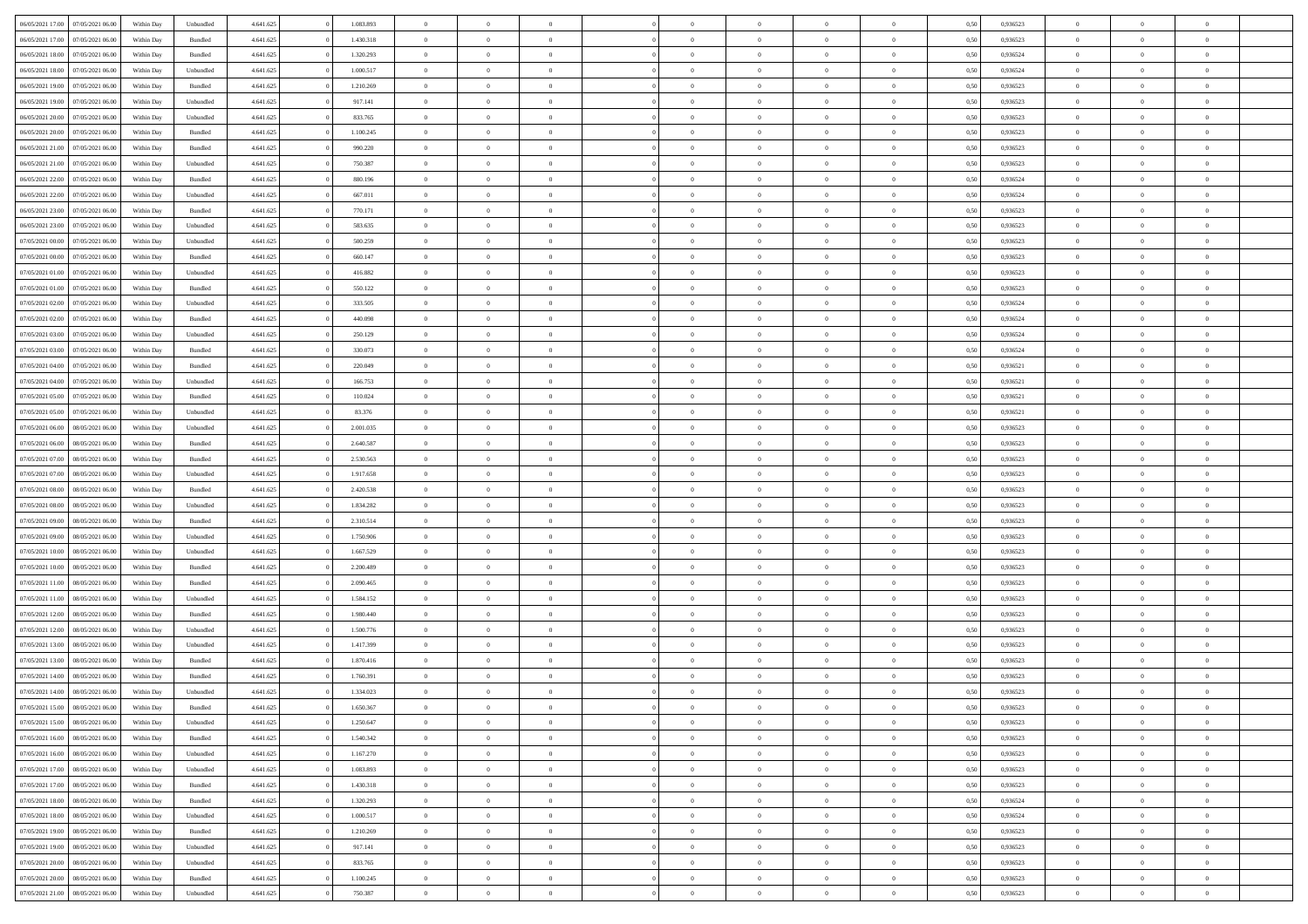| 06/05/2021 17:00 07/05/2021 06:00                        | Within Day               | Unbundled            | 4.641.625              | 1.083.893 | $\overline{0}$ | $\overline{0}$ | $\Omega$       | $\Omega$       | $\theta$       | $\Omega$       | $\overline{0}$       | 0,50         | 0,936523             | $\theta$       | $\theta$       | $\theta$       |  |
|----------------------------------------------------------|--------------------------|----------------------|------------------------|-----------|----------------|----------------|----------------|----------------|----------------|----------------|----------------------|--------------|----------------------|----------------|----------------|----------------|--|
| 06/05/2021 17:00<br>07/05/2021 06:00                     | Within Day               | Bundled              | 4.641.625              | 1.430.318 | $\overline{0}$ | $\overline{0}$ | $\overline{0}$ | $\overline{0}$ | $\theta$       | $\overline{0}$ | $\bf{0}$             | 0,50         | 0,936523             | $\theta$       | $\theta$       | $\overline{0}$ |  |
| 06/05/2021 18:00<br>07/05/2021 06:00                     | Within Day               | Bundled              | 4.641.625              | 1.320.293 | $\overline{0}$ | $\bf{0}$       | $\overline{0}$ | $\overline{0}$ | $\overline{0}$ | $\overline{0}$ | $\bf{0}$             | 0,50         | 0,936524             | $\bf{0}$       | $\overline{0}$ | $\overline{0}$ |  |
| 06/05/2021 18:00<br>07/05/2021 06:00                     | Within Day               | Unbundled            | 4.641.625              | 1.000.517 | $\overline{0}$ | $\overline{0}$ | $\overline{0}$ | $\overline{0}$ | $\theta$       | $\overline{0}$ | $\overline{0}$       | 0.50         | 0.936524             | $\theta$       | $\theta$       | $\overline{0}$ |  |
| 06/05/2021 19:00<br>07/05/2021 06:00                     | Within Day               | Bundled              | 4.641.625              | 1.210.269 | $\overline{0}$ | $\overline{0}$ | $\overline{0}$ | $\overline{0}$ | $\theta$       | $\overline{0}$ | $\bf{0}$             | 0,50         | 0,936523             | $\theta$       | $\theta$       | $\overline{0}$ |  |
| 06/05/2021 19:00<br>07/05/2021 06:00                     | Within Day               | Unbundled            | 4.641.625              | 917.141   | $\overline{0}$ | $\bf{0}$       | $\overline{0}$ | $\overline{0}$ | $\overline{0}$ | $\overline{0}$ | $\bf{0}$             | 0,50         | 0,936523             | $\bf{0}$       | $\overline{0}$ | $\bf{0}$       |  |
| 06/05/2021 20:00<br>07/05/2021 06:00                     | Within Day               | Unbundled            | 4.641.625              | 833.765   | $\overline{0}$ | $\overline{0}$ | $\overline{0}$ | $\overline{0}$ | $\overline{0}$ | $\overline{0}$ | $\overline{0}$       | 0.5(         | 0.936523             | $\theta$       | $\theta$       | $\overline{0}$ |  |
| 06/05/2021 20:00<br>07/05/2021 06:00                     | Within Day               | Bundled              | 4.641.625              | 1.100.245 | $\overline{0}$ | $\theta$       | $\overline{0}$ | $\overline{0}$ | $\theta$       | $\overline{0}$ | $\bf{0}$             | 0,50         | 0,936523             | $\theta$       | $\theta$       | $\overline{0}$ |  |
|                                                          |                          |                      |                        |           |                |                |                |                |                |                |                      |              |                      |                |                |                |  |
| 06/05/2021 21:00<br>07/05/2021 06:00                     | Within Day               | Bundled              | 4.641.625              | 990.220   | $\overline{0}$ | $\bf{0}$       | $\overline{0}$ | $\overline{0}$ | $\overline{0}$ | $\overline{0}$ | $\bf{0}$             | 0,50         | 0,936523             | $\bf{0}$       | $\bf{0}$       | $\overline{0}$ |  |
| 06/05/2021 21:00<br>07/05/2021 06:00                     | Within Day               | Unbundled            | 4.641.625              | 750.387   | $\overline{0}$ | $\overline{0}$ | $\overline{0}$ | $\overline{0}$ | $\overline{0}$ | $\overline{0}$ | $\overline{0}$       | 0.50         | 0.936523             | $\theta$       | $\theta$       | $\overline{0}$ |  |
| 06/05/2021 22:00<br>07/05/2021 06:00                     | Within Day               | Bundled              | 4.641.625              | 880.196   | $\bf{0}$       | $\overline{0}$ | $\overline{0}$ | $\overline{0}$ | $\theta$       | $\overline{0}$ | $\bf{0}$             | 0,50         | 0,936524             | $\theta$       | $\theta$       | $\overline{0}$ |  |
| 06/05/2021 22:00<br>07/05/2021 06:00                     | Within Day               | Unbundled            | 4.641.625              | 667.011   | $\overline{0}$ | $\bf{0}$       | $\overline{0}$ | $\overline{0}$ | $\bf{0}$       | $\overline{0}$ | $\bf{0}$             | 0,50         | 0,936524             | $\bf{0}$       | $\overline{0}$ | $\overline{0}$ |  |
| 06/05/2021 23:00<br>07/05/2021 06:00                     | Within Day               | Bundled              | 4.641.625              | 770.171   | $\overline{0}$ | $\overline{0}$ | $\overline{0}$ | $\overline{0}$ | $\overline{0}$ | $\overline{0}$ | $\overline{0}$       | 0.5(         | 0.936523             | $\theta$       | $\theta$       | $\overline{0}$ |  |
| 06/05/2021 23:00<br>07/05/2021 06:00                     | Within Day               | Unbundled            | 4.641.625              | 583.635   | $\overline{0}$ | $\overline{0}$ | $\overline{0}$ | $\overline{0}$ | $\theta$       | $\overline{0}$ | $\bf{0}$             | 0,50         | 0,936523             | $\theta$       | $\theta$       | $\overline{0}$ |  |
| 07/05/2021 00:00<br>07/05/2021 06:00                     | Within Day               | Unbundled            | 4.641.625              | 500.259   | $\overline{0}$ | $\bf{0}$       | $\overline{0}$ | $\overline{0}$ | $\overline{0}$ | $\overline{0}$ | $\bf{0}$             | 0,50         | 0,936523             | $\bf{0}$       | $\overline{0}$ | $\bf{0}$       |  |
| 07/05/2021 00:00<br>07/05/2021 06:00                     | Within Day               | Bundled              | 4.641.625              | 660.147   | $\overline{0}$ | $\overline{0}$ | $\overline{0}$ | $\overline{0}$ | $\overline{0}$ | $\overline{0}$ | $\overline{0}$       | 0.5(         | 0.936523             | $\theta$       | $\theta$       | $\overline{0}$ |  |
| 07/05/2021 01:00<br>07/05/2021 06:00                     | Within Day               | Unbundled            | 4.641.625              | 416.882   | $\overline{0}$ | $\overline{0}$ | $\overline{0}$ | $\overline{0}$ | $\theta$       | $\overline{0}$ | $\bf{0}$             | 0,50         | 0,936523             | $\theta$       | $\theta$       | $\overline{0}$ |  |
| 07/05/2021 01:00<br>07/05/2021 06:00                     | Within Day               | Bundled              | 4.641.625              | 550.122   | $\overline{0}$ | $\bf{0}$       | $\overline{0}$ | $\overline{0}$ | $\overline{0}$ | $\overline{0}$ | $\bf{0}$             | 0,50         | 0,936523             | $\bf{0}$       | $\overline{0}$ | $\overline{0}$ |  |
| 07/05/2021 02:00<br>07/05/2021 06:00                     | Within Day               | Unbundled            | 4.641.625              | 333.505   | $\overline{0}$ | $\overline{0}$ | $\overline{0}$ | $\overline{0}$ | $\overline{0}$ | $\overline{0}$ | $\overline{0}$       | 0.50         | 0,936524             | $\theta$       | $\theta$       | $\overline{0}$ |  |
| 07/05/2021 02:00<br>07/05/2021 06:00                     | Within Day               | Bundled              | 4.641.625              | 440.098   | $\bf{0}$       | $\overline{0}$ | $\overline{0}$ | $\overline{0}$ | $\theta$       | $\overline{0}$ | $\bf{0}$             | 0,50         | 0,936524             | $\theta$       | $\theta$       | $\overline{0}$ |  |
| 07/05/2021 03:00<br>07/05/2021 06:00                     | Within Day               | Unbundled            | 4.641.625              | 250.129   | $\overline{0}$ | $\bf{0}$       | $\overline{0}$ | $\overline{0}$ | $\overline{0}$ | $\overline{0}$ | $\bf{0}$             | 0,50         | 0,936524             | $\bf{0}$       | $\overline{0}$ | $\overline{0}$ |  |
| 07/05/2021 03:00<br>07/05/2021 06:00                     | Within Day               | Bundled              | 4.641.625              | 330.073   | $\overline{0}$ | $\overline{0}$ | $\overline{0}$ | $\overline{0}$ | $\overline{0}$ | $\overline{0}$ | $\overline{0}$       | 0.50         | 0.936524             | $\theta$       | $\theta$       | $\overline{0}$ |  |
| 07/05/2021 04:00<br>07/05/2021 06:00                     | Within Day               | Bundled              | 4.641.625              | 220.049   | $\overline{0}$ | $\overline{0}$ | $\overline{0}$ | $\overline{0}$ | $\theta$       | $\overline{0}$ | $\bf{0}$             | 0,50         | 0,936521             | $\theta$       | $\theta$       | $\overline{0}$ |  |
| 07/05/2021 04:00<br>07/05/2021 06:00                     | Within Day               | Unbundled            | 4.641.625              | 166.753   | $\overline{0}$ | $\bf{0}$       | $\overline{0}$ | $\overline{0}$ | $\overline{0}$ | $\overline{0}$ | $\bf{0}$             | 0,50         | 0,936521             | $\bf{0}$       | $\overline{0}$ | $\bf{0}$       |  |
| 07/05/2021 05:00<br>07/05/2021 06:00                     | Within Day               | Bundled              | 4.641.625              | 110.024   | $\overline{0}$ | $\overline{0}$ | $\overline{0}$ | $\overline{0}$ | $\overline{0}$ | $\overline{0}$ | $\overline{0}$       | 0.5(         | 0,936521             | $\theta$       | $\theta$       | $\overline{0}$ |  |
| 07/05/2021 05:00<br>07/05/2021 06:00                     | Within Day               | Unbundled            | 4.641.625              | 83.376    | $\overline{0}$ | $\overline{0}$ | $\overline{0}$ | $\overline{0}$ | $\theta$       | $\overline{0}$ | $\bf{0}$             | 0,50         | 0,936521             | $\theta$       | $\theta$       | $\overline{0}$ |  |
| 07/05/2021 06:00<br>08/05/2021 06:00                     | Within Day               | Unbundled            | 4.641.625              | 2.001.035 | $\overline{0}$ | $\bf{0}$       | $\overline{0}$ | $\overline{0}$ | $\overline{0}$ | $\bf{0}$       | $\bf{0}$             | 0,50         | 0,936523             | $\bf{0}$       | $\bf{0}$       | $\overline{0}$ |  |
| 07/05/2021 06:00<br>08/05/2021 06:00                     | Within Day               | Bundled              | 4.641.625              | 2.640.587 | $\overline{0}$ | $\overline{0}$ | $\overline{0}$ | $\overline{0}$ | $\overline{0}$ | $\overline{0}$ | $\overline{0}$       | 0.5(         | 0.936523             | $\theta$       | $\theta$       | $\overline{0}$ |  |
| 07/05/2021 07:00<br>08/05/2021 06:00                     | Within Day               | Bundled              | 4.641.625              | 2.530.563 | $\bf{0}$       | $\overline{0}$ | $\overline{0}$ | $\overline{0}$ | $\theta$       | $\overline{0}$ | $\bf{0}$             | 0,50         | 0,936523             | $\theta$       | $\theta$       | $\overline{0}$ |  |
| 07/05/2021 07:00<br>08/05/2021 06:00                     | Within Day               | Unbundled            | 4.641.625              | 1.917.658 | $\overline{0}$ | $\bf{0}$       | $\overline{0}$ | $\overline{0}$ | $\bf{0}$       | $\overline{0}$ | $\bf{0}$             | 0,50         | 0,936523             | $\bf{0}$       | $\overline{0}$ | $\overline{0}$ |  |
| 07/05/2021 08:00<br>08/05/2021 06:00                     | Within Day               | Bundled              | 4.641.625              | 2.420.538 | $\overline{0}$ | $\overline{0}$ | $\Omega$       | $\Omega$       | $\Omega$       | $\theta$       | $\overline{0}$       | 0.50         | 0,936523             | $\,$ 0 $\,$    | $\Omega$       | $\theta$       |  |
| 07/05/2021 08:00<br>08/05/2021 06:00                     | Within Day               | Unbundled            | 4.641.625              | 1.834.282 | $\bf{0}$       | $\overline{0}$ | $\overline{0}$ | $\overline{0}$ | $\theta$       | $\overline{0}$ | $\bf{0}$             | 0,50         | 0,936523             | $\theta$       | $\theta$       | $\overline{0}$ |  |
| 07/05/2021 09:00<br>08/05/2021 06:00                     | Within Day               | Bundled              | 4.641.625              | 2.310.514 | $\overline{0}$ | $\bf{0}$       | $\overline{0}$ | $\overline{0}$ | $\bf{0}$       | $\overline{0}$ | $\bf{0}$             | 0,50         | 0,936523             | $\bf{0}$       | $\overline{0}$ | $\bf{0}$       |  |
| 07/05/2021 09:00<br>08/05/2021 06:00                     | Within Day               | Unbundled            | 4.641.625              | 1.750.906 | $\overline{0}$ | $\overline{0}$ | $\Omega$       | $\Omega$       | $\overline{0}$ | $\Omega$       | $\overline{0}$       | 0.50         | 0.936523             | $\overline{0}$ | $\Omega$       | $\theta$       |  |
| 07/05/2021 10:00<br>08/05/2021 06:00                     | Within Day               | Unbundled            | 4.641.625              | 1.667.529 | $\bf{0}$       | $\overline{0}$ | $\overline{0}$ | $\overline{0}$ | $\theta$       | $\overline{0}$ | $\bf{0}$             | 0,50         | 0,936523             | $\theta$       | $\theta$       | $\overline{0}$ |  |
| 07/05/2021 10:00<br>08/05/2021 06:00                     | Within Day               | Bundled              | 4.641.625              | 2.200.489 | $\overline{0}$ | $\bf{0}$       | $\overline{0}$ | $\overline{0}$ | $\overline{0}$ | $\bf{0}$       | $\bf{0}$             | 0,50         | 0,936523             | $\bf{0}$       | $\overline{0}$ | $\overline{0}$ |  |
| 07/05/2021 11:00<br>08/05/2021 06:00                     | Within Day               | Bundled              | 4.641.625              | 2.090.465 | $\overline{0}$ | $\theta$       | $\Omega$       | $\Omega$       | $\Omega$       | $\Omega$       | $\overline{0}$       | 0.50         | 0.936523             | $\theta$       | $\Omega$       | $\theta$       |  |
| 07/05/2021 11:00<br>08/05/2021 06:00                     | Within Day               | Unbundled            | 4.641.625              | 1.584.152 | $\bf{0}$       | $\overline{0}$ | $\overline{0}$ | $\overline{0}$ | $\theta$       | $\overline{0}$ | $\bf{0}$             | 0,50         | 0,936523             | $\theta$       | $\theta$       | $\overline{0}$ |  |
| 07/05/2021 12:00<br>08/05/2021 06:00                     | Within Day               | Bundled              | 4.641.625              | 1.980.440 | $\overline{0}$ | $\bf{0}$       | $\overline{0}$ | $\overline{0}$ | $\overline{0}$ | $\overline{0}$ | $\bf{0}$             | 0,50         | 0,936523             | $\bf{0}$       | $\overline{0}$ | $\overline{0}$ |  |
| 07/05/2021 12:00<br>08/05/2021 06:00                     | Within Day               | Unbundled            | 4.641.625              | 1.500.776 | $\overline{0}$ | $\overline{0}$ | $\Omega$       | $\Omega$       | $\theta$       | $\Omega$       | $\overline{0}$       | 0.50         | 0,936523             | $\,$ 0 $\,$    | $\Omega$       | $\theta$       |  |
| 07/05/2021 13:00<br>08/05/2021 06:00                     | Within Day               | Unbundled            | 4.641.625              | 1.417.399 | $\bf{0}$       | $\overline{0}$ | $\overline{0}$ | $\overline{0}$ | $\theta$       | $\overline{0}$ | $\bf{0}$             | 0,50         | 0,936523             | $\theta$       | $\theta$       | $\overline{0}$ |  |
| 07/05/2021 13:00<br>08/05/2021 06:00                     | Within Day               | Bundled              | 4.641.625              | 1.870.416 | $\overline{0}$ | $\bf{0}$       | $\overline{0}$ | $\overline{0}$ | $\bf{0}$       | $\overline{0}$ | $\bf{0}$             | 0,50         | 0,936523             | $\overline{0}$ | $\overline{0}$ | $\bf{0}$       |  |
| 07/05/2021 14:00<br>08/05/2021 06:00                     | Within Day               | Bundled              | 4.641.625              | 1.760.391 | $\overline{0}$ | $\Omega$       | $\Omega$       | $\Omega$       | $\Omega$       | $\theta$       | $\overline{0}$       | 0.50         | 0.936523             | $\theta$       | $\Omega$       | $\theta$       |  |
| 07/05/2021 14:00<br>08/05/2021 06:00                     | Within Day               | Unbundled            | 4.641.625              | 1.334.023 | $\bf{0}$       | $\bf{0}$       | $\overline{0}$ | $\overline{0}$ | $\bf{0}$       | $\overline{0}$ | $\bf{0}$             | 0,50         | 0,936523             | $\bf{0}$       | $\bf{0}$       | $\overline{0}$ |  |
| 07/05/2021 15:00 08/05/2021 06:00                        | Within Day               | Bundled              | 4.641.625              | 1.650.367 |                |                |                |                |                |                |                      | 0,50         | 0,936523             | $\bf{0}$       | $\bf{0}$       |                |  |
| 07/05/2021 15:00 08/05/2021 06:00                        | Within Day               | Unbundled            | 4.641.625              | 1.250.647 | $\Omega$       | $\overline{0}$ | $\Omega$       | $\theta$       | $\Omega$       | $\theta$       | $\overline{0}$       | 0.50         | 0.936523             | $\theta$       | $\theta$       | $\theta$       |  |
| 07/05/2021 16:00<br>08/05/2021 06:00                     | Within Day               | Bundled              | 4.641.625              | 1.540.342 | $\overline{0}$ | $\overline{0}$ | $\overline{0}$ | $\overline{0}$ | $\overline{0}$ | $\overline{0}$ | $\,$ 0 $\,$          | 0,50         | 0,936523             | $\,$ 0 $\,$    | $\,$ 0 $\,$    | $\,$ 0         |  |
| 07/05/2021 16:00<br>08/05/2021 06:00                     | Within Day               | Unbundled            | 4.641.625              | 1.167.270 | $\overline{0}$ | $\overline{0}$ | $\overline{0}$ | $\overline{0}$ | $\overline{0}$ | $\overline{0}$ | $\bf{0}$             | 0,50         | 0,936523             | $\overline{0}$ | $\bf{0}$       | $\overline{0}$ |  |
| 08/05/2021 06:00                                         |                          |                      |                        | 1.083.893 | $\overline{0}$ | $\bf{0}$       | $\overline{0}$ | $\overline{0}$ | $\overline{0}$ | $\overline{0}$ |                      |              |                      | $\bf{0}$       | $\theta$       | $\overline{0}$ |  |
| 07/05/2021 17:00<br>07/05/2021 17:00<br>08/05/2021 06:00 | Within Day<br>Within Day | Unbundled<br>Bundled | 4.641.625<br>4.641.625 | 1.430.318 | $\overline{0}$ | $\overline{0}$ | $\overline{0}$ | $\overline{0}$ | $\overline{0}$ | $\overline{0}$ | $\bf{0}$<br>$\bf{0}$ | 0,50<br>0,50 | 0,936523<br>0,936523 | $\,$ 0 $\,$    | $\,$ 0 $\,$    | $\overline{0}$ |  |
|                                                          |                          |                      |                        |           |                |                |                |                |                |                |                      |              |                      |                |                |                |  |
| 07/05/2021 18:00<br>08/05/2021 06:00                     | Within Day               | Bundled              | 4.641.625              | 1.320.293 | $\overline{0}$ | $\overline{0}$ | $\overline{0}$ | $\overline{0}$ | $\mathbf{0}$   | $\overline{0}$ | $\bf{0}$             | 0,50         | 0,936524             | $\overline{0}$ | $\overline{0}$ | $\overline{0}$ |  |
| 07/05/2021 18:00<br>08/05/2021 06:00                     | Within Day               | Unbundled            | 4.641.625              | 1.000.517 | $\overline{0}$ | $\bf{0}$       | $\overline{0}$ | $\overline{0}$ | $\overline{0}$ | $\overline{0}$ | $\bf{0}$             | 0.50         | 0.936524             | $\overline{0}$ | $\theta$       | $\overline{0}$ |  |
| 07/05/2021 19:00<br>08/05/2021 06:00                     | Within Day               | Bundled              | 4.641.625              | 1.210.269 | $\overline{0}$ | $\,$ 0         | $\overline{0}$ | $\overline{0}$ | $\overline{0}$ | $\overline{0}$ | $\bf{0}$             | 0,50         | 0,936523             | $\,$ 0 $\,$    | $\bf{0}$       | $\overline{0}$ |  |
| 08/05/2021 06:00<br>07/05/2021 19:00                     | Within Day               | Unbundled            | 4.641.625              | 917.141   | $\overline{0}$ | $\bf{0}$       | $\overline{0}$ | $\overline{0}$ | $\overline{0}$ | $\overline{0}$ | $\bf{0}$             | 0,50         | 0,936523             | $\overline{0}$ | $\overline{0}$ | $\bf{0}$       |  |
| 07/05/2021 20:00<br>08/05/2021 06:00                     | Within Day               | Unbundled            | 4.641.625              | 833.765   | $\overline{0}$ | $\overline{0}$ | $\overline{0}$ | $\overline{0}$ | $\overline{0}$ | $\overline{0}$ | $\bf{0}$             | 0.50         | 0.936523             | $\overline{0}$ | $\theta$       | $\overline{0}$ |  |
| 07/05/2021 20:00<br>08/05/2021 06:00                     | Within Day               | Bundled              | 4.641.625              | 1.100.245 | $\overline{0}$ | $\,$ 0         | $\overline{0}$ | $\overline{0}$ | $\overline{0}$ | $\bf{0}$       | $\bf{0}$             | 0,50         | 0,936523             | $\,$ 0 $\,$    | $\,$ 0 $\,$    | $\bf{0}$       |  |
| 07/05/2021 21:00   08/05/2021 06:00                      | Within Day               | Unbundled            | 4.641.625              | 750.387   | $\overline{0}$ | $\bf{0}$       | $\overline{0}$ | $\overline{0}$ | $\overline{0}$ | $\overline{0}$ | $\bf{0}$             | 0,50         | 0,936523             | $\overline{0}$ | $\bf{0}$       | $\overline{0}$ |  |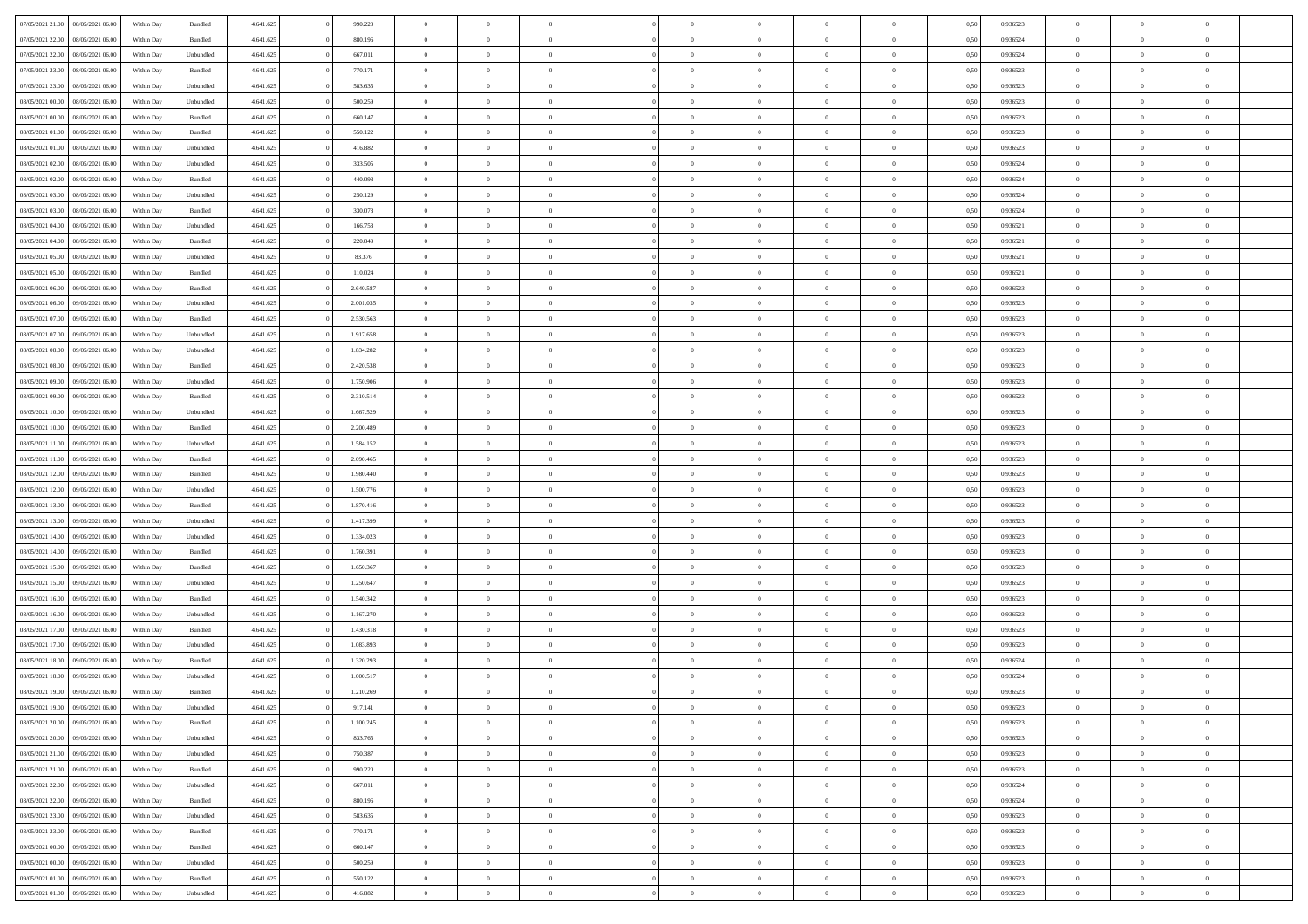| 07/05/2021 21:00 | 08/05/2021 06:00 | Within Day | Bundled   | 4.641.625 | 990.220   | $\overline{0}$ | $\Omega$       |                | $\Omega$       | $\Omega$       | $\overline{0}$ | $\theta$       | 0.50 | 0,936523 | $\theta$       | $\theta$       | $\overline{0}$ |  |
|------------------|------------------|------------|-----------|-----------|-----------|----------------|----------------|----------------|----------------|----------------|----------------|----------------|------|----------|----------------|----------------|----------------|--|
| 07/05/2021 22.00 | 08/05/2021 06:00 | Within Day | Bundled   | 4.641.625 | 880.196   | $\overline{0}$ | $\theta$       | $\overline{0}$ | $\overline{0}$ | $\bf{0}$       | $\overline{0}$ | $\bf{0}$       | 0,50 | 0,936524 | $\theta$       | $\overline{0}$ | $\overline{0}$ |  |
| 07/05/2021 22.00 | 08/05/2021 06:00 | Within Day | Unbundled | 4.641.625 | 667.011   | $\overline{0}$ | $\bf{0}$       | $\overline{0}$ | $\bf{0}$       | $\bf{0}$       | $\bf{0}$       | $\mathbf{0}$   | 0,50 | 0,936524 | $\overline{0}$ | $\overline{0}$ | $\bf{0}$       |  |
|                  |                  |            |           |           |           |                |                |                |                |                |                |                |      |          |                |                |                |  |
| 07/05/2021 23:00 | 08/05/2021 06:00 | Within Dav | Bundled   | 4.641.625 | 770.171   | $\overline{0}$ | $\overline{0}$ | $\overline{0}$ | $\overline{0}$ | $\bf{0}$       | $\overline{0}$ | $\overline{0}$ | 0.50 | 0.936523 | $\theta$       | $\theta$       | $\overline{0}$ |  |
| 07/05/2021 23:00 | 08/05/2021 06:00 | Within Day | Unbundled | 4.641.625 | 583.635   | $\overline{0}$ | $\theta$       | $\overline{0}$ | $\overline{0}$ | $\bf{0}$       | $\overline{0}$ | $\bf{0}$       | 0,50 | 0,936523 | $\theta$       | $\overline{0}$ | $\overline{0}$ |  |
| 08/05/2021 00:00 | 08/05/2021 06:00 | Within Day | Unbundled | 4.641.625 | 500.259   | $\overline{0}$ | $\overline{0}$ | $\overline{0}$ | $\bf{0}$       | $\overline{0}$ | $\overline{0}$ | $\mathbf{0}$   | 0,50 | 0,936523 | $\overline{0}$ | $\overline{0}$ | $\bf{0}$       |  |
| 08/05/2021 00:00 | 08/05/2021 06:00 | Within Dav | Bundled   | 4.641.625 | 660.147   | $\overline{0}$ | $\overline{0}$ | $\overline{0}$ | $\overline{0}$ | $\overline{0}$ | $\overline{0}$ | $\overline{0}$ | 0.50 | 0.936523 | $\theta$       | $\overline{0}$ | $\overline{0}$ |  |
|                  |                  |            |           |           |           |                |                |                |                |                |                |                |      |          |                |                |                |  |
| 08/05/2021 01:00 | 08/05/2021 06:00 | Within Day | Bundled   | 4.641.625 | 550.122   | $\overline{0}$ | $\theta$       | $\overline{0}$ | $\overline{0}$ | $\bf{0}$       | $\overline{0}$ | $\bf{0}$       | 0,50 | 0,936523 | $\theta$       | $\theta$       | $\overline{0}$ |  |
| 08/05/2021 01:00 | 08/05/2021 06:00 | Within Day | Unbundled | 4.641.625 | 416.882   | $\overline{0}$ | $\overline{0}$ | $\overline{0}$ | $\bf{0}$       | $\bf{0}$       | $\bf{0}$       | $\bf{0}$       | 0,50 | 0,936523 | $\,0\,$        | $\overline{0}$ | $\overline{0}$ |  |
| 08/05/2021 02:00 | 08/05/2021 06:00 | Within Dav | Unbundled | 4.641.625 | 333.505   | $\overline{0}$ | $\overline{0}$ | $\overline{0}$ | $\overline{0}$ | $\overline{0}$ | $\overline{0}$ | $\overline{0}$ | 0.50 | 0,936524 | $\theta$       | $\overline{0}$ | $\overline{0}$ |  |
|                  |                  |            |           |           |           |                |                |                |                |                |                |                |      |          |                |                |                |  |
| 08/05/2021 02:00 | 08/05/2021 06:00 | Within Day | Bundled   | 4.641.625 | 440.098   | $\overline{0}$ | $\theta$       | $\overline{0}$ | $\overline{0}$ | $\bf{0}$       | $\overline{0}$ | $\bf{0}$       | 0,50 | 0,936524 | $\,$ 0 $\,$    | $\overline{0}$ | $\overline{0}$ |  |
| 08/05/2021 03:00 | 08/05/2021 06:00 | Within Day | Unbundled | 4.641.625 | 250.129   | $\overline{0}$ | $\bf{0}$       | $\overline{0}$ | $\bf{0}$       | $\bf{0}$       | $\bf{0}$       | $\mathbf{0}$   | 0,50 | 0,936524 | $\overline{0}$ | $\overline{0}$ | $\bf{0}$       |  |
| 08/05/2021 03:00 | 08/05/2021 06:00 | Within Day | Bundled   | 4.641.625 | 330.073   | $\overline{0}$ | $\overline{0}$ | $\overline{0}$ | $\overline{0}$ | $\bf{0}$       | $\overline{0}$ | $\overline{0}$ | 0.50 | 0.936524 | $\theta$       | $\theta$       | $\overline{0}$ |  |
| 08/05/2021 04:00 | 08/05/2021 06:00 | Within Day | Unbundled | 4.641.625 | 166.753   | $\overline{0}$ | $\theta$       | $\overline{0}$ | $\overline{0}$ | $\bf{0}$       | $\overline{0}$ | $\bf{0}$       | 0,50 | 0,936521 | $\theta$       | $\overline{0}$ | $\overline{0}$ |  |
|                  |                  |            |           |           |           |                |                |                |                |                |                |                |      |          |                |                |                |  |
| 08/05/2021 04:00 | 08/05/2021 06:00 | Within Day | Bundled   | 4.641.625 | 220.049   | $\overline{0}$ | $\overline{0}$ | $\overline{0}$ | $\bf{0}$       | $\overline{0}$ | $\overline{0}$ | $\mathbf{0}$   | 0,50 | 0,936521 | $\overline{0}$ | $\overline{0}$ | $\bf{0}$       |  |
| 08/05/2021 05:00 | 08/05/2021 06:00 | Within Dav | Unbundled | 4.641.625 | 83.376    | $\overline{0}$ | $\overline{0}$ | $\overline{0}$ | $\overline{0}$ | $\overline{0}$ | $\overline{0}$ | $\overline{0}$ | 0.50 | 0,936521 | $\theta$       | $\overline{0}$ | $\overline{0}$ |  |
| 08/05/2021 05:00 | 08/05/2021 06:00 | Within Day | Bundled   | 4.641.625 | 110.024   | $\overline{0}$ | $\theta$       | $\overline{0}$ | $\overline{0}$ | $\bf{0}$       | $\overline{0}$ | $\bf{0}$       | 0,50 | 0,936521 | $\theta$       | $\theta$       | $\overline{0}$ |  |
|                  |                  |            |           |           |           |                |                |                |                |                |                |                |      |          |                |                |                |  |
| 08/05/2021 06:00 | 09/05/2021 06:00 | Within Day | Bundled   | 4.641.625 | 2.640.587 | $\overline{0}$ | $\overline{0}$ | $\overline{0}$ | $\overline{0}$ | $\bf{0}$       | $\overline{0}$ | $\mathbf{0}$   | 0,50 | 0,936523 | $\,0\,$        | $\overline{0}$ | $\overline{0}$ |  |
| 08/05/2021 06:00 | 09/05/2021 06:00 | Within Day | Unbundled | 4.641.625 | 2.001.035 | $\overline{0}$ | $\overline{0}$ | $\overline{0}$ | $\overline{0}$ | $\overline{0}$ | $\overline{0}$ | $\overline{0}$ | 0.50 | 0.936523 | $\theta$       | $\overline{0}$ | $\overline{0}$ |  |
| 08/05/2021 07:00 | 09/05/2021 06:00 | Within Day | Bundled   | 4.641.625 | 2.530.563 | $\overline{0}$ | $\theta$       | $\overline{0}$ | $\overline{0}$ | $\bf{0}$       | $\overline{0}$ | $\bf{0}$       | 0,50 | 0,936523 | $\,$ 0 $\,$    | $\overline{0}$ | $\overline{0}$ |  |
| 08/05/2021 07:00 | 09/05/2021 06:00 | Within Day | Unbundled | 4.641.625 | 1.917.658 | $\overline{0}$ | $\overline{0}$ | $\overline{0}$ | $\overline{0}$ | $\bf{0}$       | $\overline{0}$ | $\mathbf{0}$   | 0,50 | 0,936523 | $\,0\,$        | $\overline{0}$ | $\bf{0}$       |  |
|                  |                  |            |           |           |           |                |                |                |                |                |                |                |      |          |                |                |                |  |
| 08/05/2021 08:00 | 09/05/2021 06:00 | Within Day | Unbundled | 4.641.625 | 1.834.282 | $\overline{0}$ | $\overline{0}$ | $\overline{0}$ | $\overline{0}$ | $\overline{0}$ | $\overline{0}$ | $\overline{0}$ | 0.50 | 0.936523 | $\theta$       | $\overline{0}$ | $\overline{0}$ |  |
| 08/05/2021 08:00 | 09/05/2021 06:00 | Within Day | Bundled   | 4.641.625 | 2.420.538 | $\overline{0}$ | $\theta$       | $\overline{0}$ | $\overline{0}$ | $\bf{0}$       | $\overline{0}$ | $\bf{0}$       | 0,50 | 0,936523 | $\,$ 0 $\,$    | $\overline{0}$ | $\overline{0}$ |  |
| 08/05/2021 09:00 | 09/05/2021 06:00 | Within Day | Unbundled | 4.641.625 | 1.750.906 | $\overline{0}$ | $\overline{0}$ | $\overline{0}$ | $\overline{0}$ | $\overline{0}$ | $\overline{0}$ | $\mathbf{0}$   | 0,50 | 0,936523 | $\bf{0}$       | $\overline{0}$ | $\bf{0}$       |  |
| 08/05/2021 09:00 | 09/05/2021 06:00 | Within Dav | Bundled   | 4.641.625 | 2.310.514 | $\overline{0}$ | $\overline{0}$ | $\overline{0}$ | $\overline{0}$ | $\overline{0}$ | $\overline{0}$ | $\overline{0}$ | 0.50 | 0.936523 | $\theta$       | $\overline{0}$ | $\overline{0}$ |  |
|                  |                  |            |           |           |           |                |                |                |                |                |                |                |      |          |                |                |                |  |
| 08/05/2021 10:00 | 09/05/2021 06:00 | Within Day | Unbundled | 4.641.625 | 1.667.529 | $\overline{0}$ | $\theta$       | $\overline{0}$ | $\overline{0}$ | $\bf{0}$       | $\overline{0}$ | $\bf{0}$       | 0,50 | 0,936523 | $\theta$       | $\theta$       | $\overline{0}$ |  |
| 08/05/2021 10:00 | 09/05/2021 06:00 | Within Day | Bundled   | 4.641.625 | 2.200.489 | $\overline{0}$ | $\overline{0}$ | $\overline{0}$ | $\bf{0}$       | $\bf{0}$       | $\bf{0}$       | $\bf{0}$       | 0,50 | 0,936523 | $\,0\,$        | $\overline{0}$ | $\overline{0}$ |  |
| 08/05/2021 11:00 | 09/05/2021 06:00 | Within Day | Unbundled | 4.641.625 | 1.584.152 | $\overline{0}$ | $\overline{0}$ | $\overline{0}$ | $\overline{0}$ | $\overline{0}$ | $\overline{0}$ | $\overline{0}$ | 0.50 | 0.936523 | $\theta$       | $\overline{0}$ | $\overline{0}$ |  |
| 08/05/2021 11:00 | 09/05/2021 06:00 |            | Bundled   | 4.641.625 | 2.090.465 | $\overline{0}$ | $\theta$       | $\overline{0}$ | $\overline{0}$ | $\bf{0}$       | $\overline{0}$ |                |      | 0,936523 | $\,$ 0 $\,$    | $\overline{0}$ | $\overline{0}$ |  |
|                  |                  | Within Day |           |           |           |                |                |                |                |                |                | $\bf{0}$       | 0,50 |          |                |                |                |  |
| 08/05/2021 12:00 | 09/05/2021 06:00 | Within Day | Bundled   | 4.641.625 | 1.980.440 | $\overline{0}$ | $\overline{0}$ | $\overline{0}$ | $\bf{0}$       | $\bf{0}$       | $\bf{0}$       | $\bf{0}$       | 0,50 | 0,936523 | $\bf{0}$       | $\overline{0}$ | $\bf{0}$       |  |
| 08/05/2021 12:00 | 09/05/2021 06:00 | Within Day | Unbundled | 4.641.625 | 1.500.776 | $\overline{0}$ | $\Omega$       | $\overline{0}$ | $\Omega$       | $\bf{0}$       | $\overline{0}$ | $\overline{0}$ | 0,50 | 0,936523 | $\,0\,$        | $\theta$       | $\theta$       |  |
| 08/05/2021 13:00 | 09/05/2021 06:00 | Within Day | Bundled   | 4.641.625 | 1.870.416 | $\overline{0}$ | $\theta$       | $\overline{0}$ | $\overline{0}$ | $\bf{0}$       | $\overline{0}$ | $\bf{0}$       | 0,50 | 0,936523 | $\theta$       | $\overline{0}$ | $\overline{0}$ |  |
|                  |                  |            |           |           |           |                |                |                |                |                |                |                |      |          |                |                |                |  |
| 08/05/2021 13:00 | 09/05/2021 06:00 | Within Day | Unbundled | 4.641.625 | 1.417.399 | $\overline{0}$ | $\overline{0}$ | $\overline{0}$ | $\bf{0}$       | $\overline{0}$ | $\overline{0}$ | $\mathbf{0}$   | 0,50 | 0,936523 | $\bf{0}$       | $\overline{0}$ | $\bf{0}$       |  |
| 08/05/2021 14:00 | 09/05/2021 06:00 | Within Day | Unbundled | 4.641.625 | 1.334.023 | $\overline{0}$ | $\Omega$       | $\Omega$       | $\Omega$       | $\overline{0}$ | $\overline{0}$ | $\overline{0}$ | 0.50 | 0.936523 | $\,0\,$        | $\theta$       | $\theta$       |  |
| 08/05/2021 14:00 | 09/05/2021 06:00 | Within Day | Bundled   | 4.641.625 | 1.760.391 | $\overline{0}$ | $\theta$       | $\overline{0}$ | $\overline{0}$ | $\bf{0}$       | $\overline{0}$ | $\bf{0}$       | 0,50 | 0,936523 | $\theta$       | $\overline{0}$ | $\overline{0}$ |  |
| 08/05/2021 15:00 | 09/05/2021 06:00 | Within Day | Bundled   | 4.641.625 | 1.650.367 | $\overline{0}$ | $\overline{0}$ | $\overline{0}$ | $\bf{0}$       | $\bf{0}$       | $\bf{0}$       | $\bf{0}$       | 0,50 | 0,936523 | $\,0\,$        | $\overline{0}$ | $\bf{0}$       |  |
|                  |                  |            |           |           |           |                |                |                |                |                |                |                |      |          |                |                |                |  |
| 08/05/2021 15:00 | 09/05/2021 06:00 | Within Day | Unbundled | 4.641.625 | 1.250.647 | $\overline{0}$ | $\Omega$       | $\Omega$       | $\Omega$       | $\overline{0}$ | $\overline{0}$ | $\overline{0}$ | 0.50 | 0.936523 | $\,$ 0 $\,$    | $\theta$       | $\theta$       |  |
| 08/05/2021 16:00 | 09/05/2021 06:00 | Within Day | Bundled   | 4.641.625 | 1.540.342 | $\overline{0}$ | $\theta$       | $\overline{0}$ | $\overline{0}$ | $\,$ 0         | $\overline{0}$ | $\bf{0}$       | 0,50 | 0,936523 | $\,$ 0 $\,$    | $\overline{0}$ | $\overline{0}$ |  |
| 08/05/2021 16:00 | 09/05/2021 06:00 | Within Day | Unbundled | 4.641.625 | 1.167.270 | $\overline{0}$ | $\bf{0}$       | $\overline{0}$ | $\bf{0}$       | $\bf{0}$       | $\bf{0}$       | $\mathbf{0}$   | 0,50 | 0,936523 | $\bf{0}$       | $\overline{0}$ | $\bf{0}$       |  |
| 08/05/2021 17:00 | 09/05/2021 06:00 | Within Day | Bundled   | 4.641.625 | 1.430.318 | $\overline{0}$ | $\Omega$       | $\overline{0}$ | $\Omega$       | $\bf{0}$       | $\overline{0}$ | $\overline{0}$ | 0,50 | 0,936523 | $\,0\,$        | $\theta$       | $\theta$       |  |
|                  |                  |            |           |           |           |                |                |                |                |                |                |                |      |          |                |                |                |  |
| 08/05/2021 17:00 | 09/05/2021 06:00 | Within Day | Unbundled | 4.641.625 | 1.083.893 | $\overline{0}$ | $\overline{0}$ | $\overline{0}$ | $\overline{0}$ | $\,$ 0         | $\overline{0}$ | $\bf{0}$       | 0,50 | 0,936523 | $\,$ 0 $\,$    | $\overline{0}$ | $\overline{0}$ |  |
| 08/05/2021 18:00 | 09/05/2021 06:00 | Within Day | Bundled   | 4.641.625 | 1.320.293 | $\overline{0}$ | $\overline{0}$ | $\overline{0}$ | $\bf{0}$       | $\bf{0}$       | $\overline{0}$ | $\mathbf{0}$   | 0,50 | 0,936524 | $\bf{0}$       | $\overline{0}$ | $\bf{0}$       |  |
| 08/05/2021 18:00 | 09/05/2021 06:00 | Within Day | Unbundled | 4.641.625 | 1,000.517 | $\overline{0}$ | $\Omega$       | $\Omega$       | $\Omega$       | $\Omega$       | $\Omega$       | $\overline{0}$ | 0.50 | 0.936524 | $\theta$       | $\theta$       | $\theta$       |  |
| 08/05/2021 19:00 | 09/05/2021 06:00 | Within Day | Bundled   | 4.641.625 | 1.210.269 | $\overline{0}$ | $\overline{0}$ | $\bf{0}$       | $\bf{0}$       | $\,$ 0         | $\bf{0}$       | $\bf{0}$       | 0,50 | 0,936523 | $\,0\,$        | $\,0\,$        | $\overline{0}$ |  |
|                  |                  |            |           |           |           |                |                |                |                |                |                |                |      |          |                |                |                |  |
| 08/05/2021 19:00 | 09/05/2021 06:00 | Within Day | Unbundled | 4.641.625 | 917.141   | $\bf{0}$       | $\bf{0}$       |                |                | $\bf{0}$       |                |                | 0,50 | 0,936523 | $\bf{0}$       | $\overline{0}$ |                |  |
| 08/05/2021 20:00 | 09/05/2021 06:00 | Within Day | Bundled   | 4.641.625 | 1.100.245 | $\overline{0}$ | $\overline{0}$ | $\overline{0}$ | $\Omega$       | $\overline{0}$ | $\overline{0}$ | $\overline{0}$ | 0.50 | 0.936523 | $\theta$       | $\theta$       | $\theta$       |  |
| 08/05/2021 20:00 | 09/05/2021 06:00 | Within Day | Unbundled | 4.641.625 | 833.765   | $\overline{0}$ | $\,$ 0         | $\overline{0}$ | $\bf{0}$       | $\,$ 0 $\,$    | $\overline{0}$ | $\,$ 0 $\,$    | 0,50 | 0,936523 | $\,$ 0 $\,$    | $\,$ 0 $\,$    | $\,$ 0         |  |
|                  |                  |            |           |           |           |                |                |                |                |                |                |                |      |          |                |                |                |  |
| 08/05/2021 21:00 | 09/05/2021 06:00 | Within Day | Unbundled | 4.641.625 | 750.387   | $\overline{0}$ | $\overline{0}$ | $\overline{0}$ | $\overline{0}$ | $\overline{0}$ | $\overline{0}$ | $\mathbf{0}$   | 0,50 | 0,936523 | $\overline{0}$ | $\bf{0}$       | $\bf{0}$       |  |
| 08/05/2021 21:00 | 09/05/2021 06:00 | Within Day | Bundled   | 4.641.625 | 990.220   | $\overline{0}$ | $\overline{0}$ | $\overline{0}$ | $\Omega$       | $\overline{0}$ | $\overline{0}$ | $\overline{0}$ | 0,50 | 0,936523 | $\overline{0}$ | $\theta$       | $\overline{0}$ |  |
| 08/05/2021 22:00 | 09/05/2021 06:00 | Within Day | Unbundled | 4.641.625 | 667.011   | $\overline{0}$ | $\,$ 0         | $\overline{0}$ | $\overline{0}$ | $\,$ 0 $\,$    | $\overline{0}$ | $\mathbf{0}$   | 0,50 | 0,936524 | $\,$ 0 $\,$    | $\overline{0}$ | $\overline{0}$ |  |
| 08/05/2021 22.00 | 09/05/2021 06:00 | Within Day | Bundled   | 4.641.625 | 880.196   | $\overline{0}$ | $\overline{0}$ | $\overline{0}$ | $\overline{0}$ | $\overline{0}$ | $\overline{0}$ | $\mathbf{0}$   | 0,50 | 0,936524 | $\overline{0}$ | $\overline{0}$ | $\bf{0}$       |  |
|                  |                  |            |           |           |           |                |                |                |                |                |                |                |      |          |                |                |                |  |
| 08/05/2021 23:00 | 09/05/2021 06:00 | Within Day | Unbundled | 4.641.625 | 583.635   | $\overline{0}$ | $\overline{0}$ | $\overline{0}$ | $\Omega$       | $\overline{0}$ | $\overline{0}$ | $\bf{0}$       | 0.50 | 0,936523 | $\overline{0}$ | $\theta$       | $\overline{0}$ |  |
| 08/05/2021 23:00 | 09/05/2021 06:00 | Within Day | Bundled   | 4.641.625 | 770.171   | $\overline{0}$ | $\,$ 0         | $\overline{0}$ | $\bf{0}$       | $\bf{0}$       | $\bf{0}$       | $\bf{0}$       | 0,50 | 0,936523 | $\,$ 0 $\,$    | $\overline{0}$ | $\overline{0}$ |  |
| 09/05/2021 00:00 | 09/05/2021 06:00 | Within Day | Bundled   | 4.641.625 | 660.147   | $\overline{0}$ | $\bf{0}$       | $\overline{0}$ | $\overline{0}$ | $\overline{0}$ | $\overline{0}$ | $\mathbf{0}$   | 0,50 | 0,936523 | $\overline{0}$ | $\overline{0}$ | $\bf{0}$       |  |
| 09/05/2021 00:00 | 09/05/2021 06:00 | Within Day | Unbundled | 4.641.625 | 500.259   | $\overline{0}$ | $\overline{0}$ | $\overline{0}$ | $\Omega$       | $\overline{0}$ | $\overline{0}$ | $\overline{0}$ | 0.50 | 0.936523 | $\overline{0}$ | $\overline{0}$ | $\overline{0}$ |  |
|                  |                  |            |           |           |           |                |                |                |                |                |                |                |      |          |                |                |                |  |
| 09/05/2021 01:00 | 09/05/2021 06:00 | Within Day | Bundled   | 4.641.625 | 550.122   | $\overline{0}$ | $\bf{0}$       | $\overline{0}$ | $\overline{0}$ | $\bf{0}$       | $\bf{0}$       | $\mathbf{0}$   | 0,50 | 0,936523 | $\,$ 0 $\,$    | $\,$ 0 $\,$    | $\bf{0}$       |  |
| 09/05/2021 01:00 | 09/05/2021 06:00 | Within Day | Unbundled | 4.641.625 | 416.882   | $\overline{0}$ | $\bf{0}$       | $\overline{0}$ | $\bf{0}$       | $\bf{0}$       | $\bf{0}$       | $\bf{0}$       | 0,50 | 0,936523 | $\overline{0}$ | $\overline{0}$ | $\bf{0}$       |  |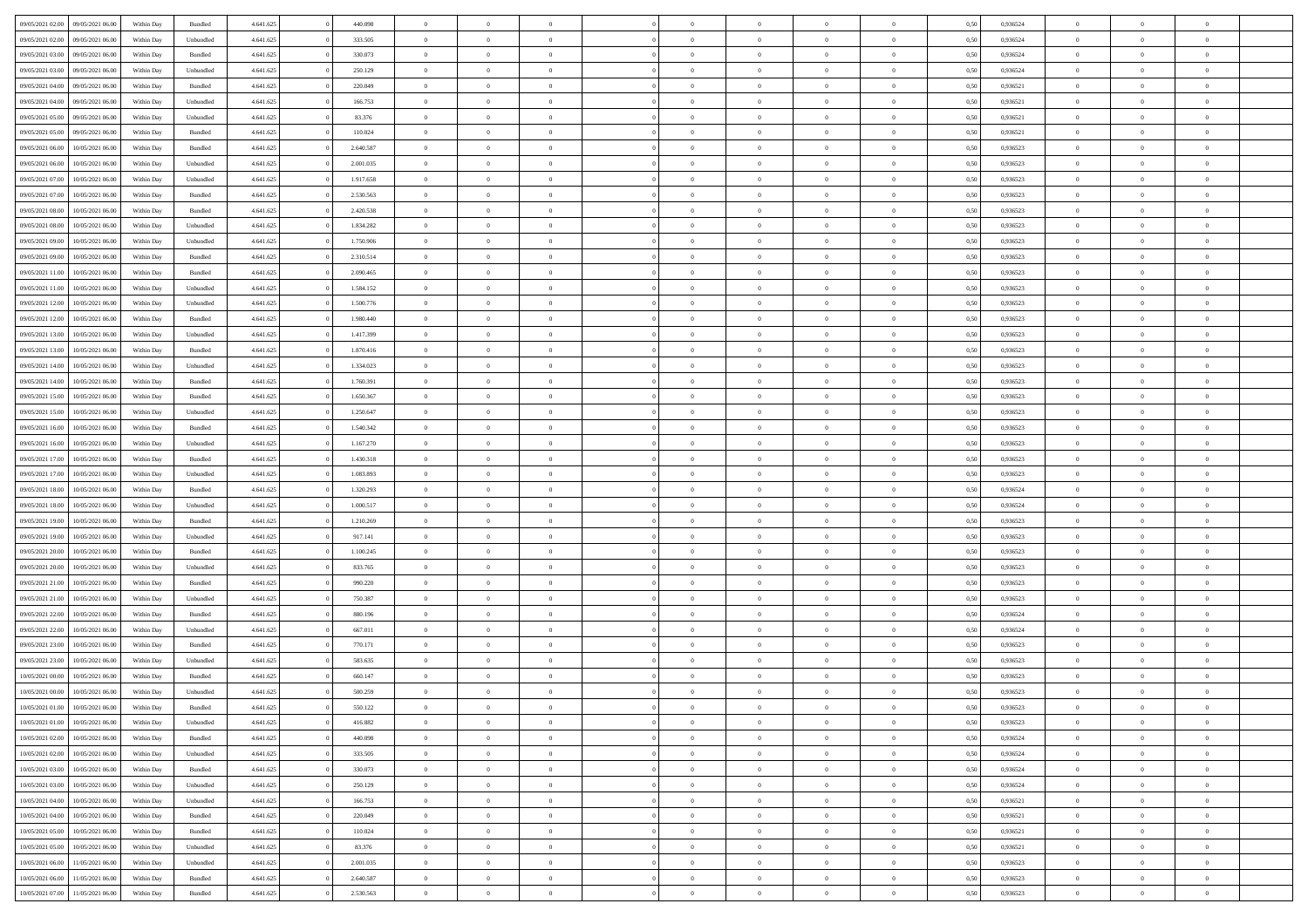|                  |                  |            |                    |           |           | $\overline{0}$ | $\Omega$       |                |                | $\Omega$       |                | $\theta$       |      |          | $\theta$       |                |                |  |
|------------------|------------------|------------|--------------------|-----------|-----------|----------------|----------------|----------------|----------------|----------------|----------------|----------------|------|----------|----------------|----------------|----------------|--|
| 09/05/2021 02:00 | 09/05/2021 06:00 | Within Day | Bundled            | 4.641.625 | 440.098   |                |                |                | $\Omega$       |                | $\overline{0}$ |                | 0,50 | 0,936524 |                | $\theta$       | $\overline{0}$ |  |
| 09/05/2021 02.00 | 09/05/2021 06:00 | Within Day | Unbundled          | 4.641.625 | 333.505   | $\overline{0}$ | $\theta$       | $\overline{0}$ | $\overline{0}$ | $\bf{0}$       | $\overline{0}$ | $\bf{0}$       | 0,50 | 0,936524 | $\theta$       | $\overline{0}$ | $\overline{0}$ |  |
| 09/05/2021 03:00 | 09/05/2021 06:00 | Within Day | Bundled            | 4.641.625 | 330.073   | $\overline{0}$ | $\bf{0}$       | $\overline{0}$ | $\bf{0}$       | $\bf{0}$       | $\bf{0}$       | $\mathbf{0}$   | 0,50 | 0,936524 | $\overline{0}$ | $\overline{0}$ | $\bf{0}$       |  |
| 09/05/2021 03:00 | 09/05/2021 06:00 | Within Day | Unbundled          | 4.641.625 | 250.129   | $\overline{0}$ | $\overline{0}$ | $\overline{0}$ | $\overline{0}$ | $\bf{0}$       | $\overline{0}$ | $\overline{0}$ | 0.50 | 0.936524 | $\theta$       | $\theta$       | $\overline{0}$ |  |
| 09/05/2021 04:00 | 09/05/2021 06:00 | Within Day | Bundled            | 4.641.625 | 220.049   | $\overline{0}$ | $\theta$       | $\overline{0}$ | $\overline{0}$ | $\bf{0}$       | $\overline{0}$ | $\bf{0}$       | 0,50 | 0,936521 | $\theta$       | $\overline{0}$ | $\overline{0}$ |  |
|                  |                  |            |                    |           |           |                |                |                |                |                |                |                |      |          |                |                |                |  |
| 09/05/2021 04:00 | 09/05/2021 06:00 | Within Day | Unbundled          | 4.641.625 | 166.753   | $\overline{0}$ | $\overline{0}$ | $\overline{0}$ | $\bf{0}$       | $\overline{0}$ | $\overline{0}$ | $\mathbf{0}$   | 0,50 | 0,936521 | $\overline{0}$ | $\overline{0}$ | $\bf{0}$       |  |
| 09/05/2021 05:00 | 09/05/2021 06:00 | Within Dav | Unbundled          | 4.641.625 | 83.376    | $\overline{0}$ | $\overline{0}$ | $\overline{0}$ | $\overline{0}$ | $\overline{0}$ | $\overline{0}$ | $\overline{0}$ | 0.50 | 0,936521 | $\theta$       | $\overline{0}$ | $\overline{0}$ |  |
| 09/05/2021 05:00 | 09/05/2021 06:00 | Within Day | Bundled            | 4.641.625 | 110.024   | $\overline{0}$ | $\theta$       | $\overline{0}$ | $\overline{0}$ | $\bf{0}$       | $\overline{0}$ | $\bf{0}$       | 0,50 | 0,936521 | $\theta$       | $\theta$       | $\overline{0}$ |  |
| 09/05/2021 06:00 | 10/05/2021 06:00 | Within Day | Bundled            | 4.641.625 | 2.640.587 | $\overline{0}$ | $\overline{0}$ | $\overline{0}$ | $\bf{0}$       | $\bf{0}$       | $\bf{0}$       | $\bf{0}$       | 0,50 | 0,936523 | $\,0\,$        | $\overline{0}$ | $\overline{0}$ |  |
| 09/05/2021 06:00 | 10/05/2021 06:00 | Within Dav | Unbundled          | 4.641.625 | 2.001.035 | $\overline{0}$ | $\overline{0}$ | $\overline{0}$ | $\overline{0}$ | $\overline{0}$ | $\overline{0}$ | $\overline{0}$ | 0.50 | 0.936523 | $\theta$       | $\overline{0}$ | $\overline{0}$ |  |
| 09/05/2021 07:00 | 10/05/2021 06:00 | Within Day | Unbundled          | 4.641.625 | 1.917.658 | $\overline{0}$ | $\theta$       | $\overline{0}$ | $\overline{0}$ | $\bf{0}$       | $\overline{0}$ | $\bf{0}$       | 0,50 | 0,936523 | $\,$ 0 $\,$    | $\overline{0}$ | $\overline{0}$ |  |
| 09/05/2021 07:00 | 10/05/2021 06:00 | Within Day | Bundled            | 4.641.625 | 2.530.563 | $\overline{0}$ | $\bf{0}$       | $\overline{0}$ | $\bf{0}$       | $\bf{0}$       | $\bf{0}$       | $\mathbf{0}$   | 0,50 | 0,936523 | $\overline{0}$ | $\overline{0}$ | $\bf{0}$       |  |
|                  |                  |            |                    |           |           |                |                |                |                |                |                |                |      |          |                |                |                |  |
| 09/05/2021 08:00 | 10/05/2021 06:00 | Within Day | Bundled            | 4.641.625 | 2.420.538 | $\overline{0}$ | $\overline{0}$ | $\overline{0}$ | $\overline{0}$ | $\overline{0}$ | $\overline{0}$ | $\overline{0}$ | 0.50 | 0.936523 | $\theta$       | $\theta$       | $\overline{0}$ |  |
| 09/05/2021 08:00 | 10/05/2021 06:00 | Within Day | Unbundled          | 4.641.625 | 1.834.282 | $\overline{0}$ | $\theta$       | $\overline{0}$ | $\overline{0}$ | $\bf{0}$       | $\overline{0}$ | $\bf{0}$       | 0,50 | 0,936523 | $\theta$       | $\overline{0}$ | $\overline{0}$ |  |
| 09/05/2021 09:00 | 10/05/2021 06:00 | Within Day | Unbundled          | 4.641.625 | 1.750.906 | $\overline{0}$ | $\overline{0}$ | $\overline{0}$ | $\bf{0}$       | $\overline{0}$ | $\overline{0}$ | $\mathbf{0}$   | 0,50 | 0,936523 | $\overline{0}$ | $\overline{0}$ | $\bf{0}$       |  |
| 09/05/2021 09:00 | 10/05/2021 06:00 | Within Dav | Bundled            | 4.641.625 | 2.310.514 | $\overline{0}$ | $\overline{0}$ | $\overline{0}$ | $\overline{0}$ | $\overline{0}$ | $\overline{0}$ | $\overline{0}$ | 0.50 | 0.936523 | $\theta$       | $\overline{0}$ | $\overline{0}$ |  |
| 09/05/2021 11:00 | 10/05/2021 06:00 | Within Day | Bundled            | 4.641.625 | 2.090.465 | $\overline{0}$ | $\theta$       | $\overline{0}$ | $\overline{0}$ | $\bf{0}$       | $\overline{0}$ | $\bf{0}$       | 0,50 | 0,936523 | $\theta$       | $\theta$       | $\overline{0}$ |  |
| 09/05/2021 11:00 | 10/05/2021 06:00 | Within Day | Unbundled          | 4.641.625 | 1.584.152 | $\overline{0}$ | $\overline{0}$ | $\overline{0}$ | $\bf{0}$       | $\bf{0}$       | $\bf{0}$       | $\mathbf{0}$   | 0,50 | 0,936523 | $\,0\,$        | $\overline{0}$ | $\overline{0}$ |  |
| 09/05/2021 12:00 | 10/05/2021 06:00 | Within Day | Unbundled          | 4.641.625 | 1.500.776 | $\overline{0}$ | $\overline{0}$ | $\overline{0}$ | $\overline{0}$ | $\overline{0}$ | $\overline{0}$ | $\overline{0}$ | 0.50 | 0.936523 | $\theta$       | $\overline{0}$ | $\overline{0}$ |  |
|                  |                  |            |                    |           |           |                |                |                |                |                |                |                |      |          |                |                |                |  |
| 09/05/2021 12:00 | 10/05/2021 06:00 | Within Day | Bundled            | 4.641.625 | 1.980.440 | $\overline{0}$ | $\theta$       | $\overline{0}$ | $\overline{0}$ | $\bf{0}$       | $\overline{0}$ | $\bf{0}$       | 0,50 | 0,936523 | $\,$ 0 $\,$    | $\overline{0}$ | $\overline{0}$ |  |
| 09/05/2021 13:00 | 10/05/2021 06:00 | Within Day | Unbundled          | 4.641.625 | 1.417.399 | $\overline{0}$ | $\overline{0}$ | $\overline{0}$ | $\bf{0}$       | $\bf{0}$       | $\bf{0}$       | $\bf{0}$       | 0,50 | 0,936523 | $\,0\,$        | $\overline{0}$ | $\bf{0}$       |  |
| 09/05/2021 13:00 | 10/05/2021 06:00 | Within Day | Bundled            | 4.641.625 | 1.870.416 | $\overline{0}$ | $\overline{0}$ | $\overline{0}$ | $\overline{0}$ | $\overline{0}$ | $\overline{0}$ | $\overline{0}$ | 0.50 | 0.936523 | $\theta$       | $\overline{0}$ | $\overline{0}$ |  |
| 09/05/2021 14:00 | 10/05/2021 06:00 | Within Day | Unbundled          | 4.641.625 | 1.334.023 | $\overline{0}$ | $\theta$       | $\overline{0}$ | $\overline{0}$ | $\bf{0}$       | $\overline{0}$ | $\bf{0}$       | 0,50 | 0,936523 | $\theta$       | $\overline{0}$ | $\overline{0}$ |  |
| 09/05/2021 14:00 | 10/05/2021 06:00 | Within Day | Bundled            | 4.641.625 | 1.760.391 | $\overline{0}$ | $\overline{0}$ | $\overline{0}$ | $\overline{0}$ | $\overline{0}$ | $\overline{0}$ | $\mathbf{0}$   | 0,50 | 0,936523 | $\bf{0}$       | $\overline{0}$ | $\bf{0}$       |  |
| 09/05/2021 15:00 | 10/05/2021 06:00 | Within Dav | Bundled            | 4.641.625 | 1.650.367 | $\overline{0}$ | $\overline{0}$ | $\overline{0}$ | $\overline{0}$ | $\overline{0}$ | $\overline{0}$ | $\overline{0}$ | 0.50 | 0.936523 | $\theta$       | $\overline{0}$ | $\overline{0}$ |  |
| 09/05/2021 15:00 | 10/05/2021 06:00 |            |                    | 4.641.625 | 1.250.647 | $\overline{0}$ | $\theta$       | $\overline{0}$ | $\overline{0}$ | $\bf{0}$       | $\overline{0}$ |                |      | 0,936523 | $\theta$       | $\theta$       | $\overline{0}$ |  |
|                  |                  | Within Day | Unbundled          |           |           |                |                |                |                |                |                | $\bf{0}$       | 0,50 |          |                |                |                |  |
| 09/05/2021 16:00 | 10/05/2021 06:00 | Within Day | Bundled            | 4.641.625 | 1.540.342 | $\overline{0}$ | $\overline{0}$ | $\overline{0}$ | $\overline{0}$ | $\bf{0}$       | $\overline{0}$ | $\bf{0}$       | 0,50 | 0,936523 | $\,0\,$        | $\overline{0}$ | $\overline{0}$ |  |
| 09/05/2021 16:00 | 10/05/2021 06:00 | Within Day | Unbundled          | 4.641.625 | 1.167.270 | $\overline{0}$ | $\overline{0}$ | $\overline{0}$ | $\overline{0}$ | $\overline{0}$ | $\overline{0}$ | $\overline{0}$ | 0.50 | 0.936523 | $\theta$       | $\overline{0}$ | $\overline{0}$ |  |
| 09/05/2021 17:00 | 10/05/2021 06:00 | Within Day | Bundled            | 4.641.625 | 1.430.318 | $\overline{0}$ | $\theta$       | $\overline{0}$ | $\overline{0}$ | $\bf{0}$       | $\overline{0}$ | $\bf{0}$       | 0,50 | 0,936523 | $\,$ 0 $\,$    | $\overline{0}$ | $\overline{0}$ |  |
| 09/05/2021 17:00 | 10/05/2021 06:00 | Within Day | Unbundled          | 4.641.625 | 1.083.893 | $\overline{0}$ | $\overline{0}$ | $\overline{0}$ | $\overline{0}$ | $\bf{0}$       | $\overline{0}$ | $\bf{0}$       | 0,50 | 0,936523 | $\bf{0}$       | $\overline{0}$ | $\bf{0}$       |  |
| 09/05/2021 18:00 | 10/05/2021 06:00 | Within Day | Bundled            | 4.641.625 | 1.320.293 | $\overline{0}$ | $\Omega$       | $\Omega$       | $\Omega$       | $\Omega$       | $\overline{0}$ | $\overline{0}$ | 0,50 | 0,936524 | $\,0\,$        | $\theta$       | $\theta$       |  |
| 09/05/2021 18:00 | 10/05/2021 06:00 | Within Day | Unbundled          | 4.641.625 | 1.000.517 | $\overline{0}$ | $\theta$       | $\overline{0}$ | $\overline{0}$ | $\bf{0}$       | $\overline{0}$ | $\bf{0}$       | 0,50 | 0,936524 | $\theta$       | $\overline{0}$ | $\overline{0}$ |  |
|                  |                  |            |                    |           |           |                |                |                |                |                |                |                |      |          |                |                |                |  |
| 09/05/2021 19:00 | 10/05/2021 06:00 | Within Day | Bundled            | 4.641.625 | 1.210.269 | $\overline{0}$ | $\overline{0}$ | $\overline{0}$ | $\bf{0}$       | $\overline{0}$ | $\overline{0}$ | $\mathbf{0}$   | 0,50 | 0,936523 | $\bf{0}$       | $\overline{0}$ | $\bf{0}$       |  |
| 09/05/2021 19:00 | 10/05/2021 06:00 | Within Day | Unbundled          | 4.641.625 | 917.141   | $\overline{0}$ | $\Omega$       | $\Omega$       | $\Omega$       | $\overline{0}$ | $\overline{0}$ | $\overline{0}$ | 0.50 | 0.936523 | $\,0\,$        | $\theta$       | $\theta$       |  |
| 09/05/2021 20:00 | 10/05/2021 06:00 | Within Day | Bundled            | 4.641.625 | 1.100.245 | $\overline{0}$ | $\theta$       | $\overline{0}$ | $\overline{0}$ | $\bf{0}$       | $\overline{0}$ | $\bf{0}$       | 0,50 | 0,936523 | $\theta$       | $\overline{0}$ | $\overline{0}$ |  |
| 09/05/2021 20.00 | 10/05/2021 06:00 | Within Day | Unbundled          | 4.641.625 | 833.765   | $\overline{0}$ | $\overline{0}$ | $\overline{0}$ | $\bf{0}$       | $\bf{0}$       | $\bf{0}$       | $\bf{0}$       | 0,50 | 0,936523 | $\,0\,$        | $\overline{0}$ | $\bf{0}$       |  |
| 09/05/2021 21:00 | 10/05/2021 06:00 | Within Day | Bundled            | 4.641.625 | 990.220   | $\overline{0}$ | $\Omega$       | $\Omega$       | $\Omega$       | $\overline{0}$ | $\overline{0}$ | $\overline{0}$ | 0.50 | 0.936523 | $\theta$       | $\theta$       | $\theta$       |  |
| 09/05/2021 21:00 | 10/05/2021 06:00 | Within Day | Unbundled          | 4.641.625 | 750.387   | $\overline{0}$ | $\theta$       | $\overline{0}$ | $\overline{0}$ | $\bf{0}$       | $\overline{0}$ | $\bf{0}$       | 0,50 | 0,936523 | $\,$ 0 $\,$    | $\overline{0}$ | $\overline{0}$ |  |
| 09/05/2021 22.00 | 10/05/2021 06:00 | Within Day | Bundled            | 4.641.625 | 880.196   | $\overline{0}$ | $\overline{0}$ | $\overline{0}$ | $\bf{0}$       | $\bf{0}$       | $\bf{0}$       | $\mathbf{0}$   | 0,50 | 0,936524 | $\bf{0}$       | $\overline{0}$ | $\bf{0}$       |  |
|                  |                  |            |                    |           |           | $\overline{0}$ | $\Omega$       | $\overline{0}$ | $\Omega$       | $\overline{0}$ | $\overline{0}$ | $\overline{0}$ |      |          | $\,0\,$        | $\theta$       | $\theta$       |  |
| 09/05/2021 22.00 | 10/05/2021 06:00 | Within Day | Unbundled          | 4.641.625 | 667.011   |                |                |                |                |                |                |                | 0,50 | 0,936524 |                |                |                |  |
| 09/05/2021 23:00 | 10/05/2021 06:00 | Within Day | Bundled            | 4.641.625 | 770.171   | $\overline{0}$ | $\overline{0}$ | $\overline{0}$ | $\overline{0}$ | $\,$ 0         | $\overline{0}$ | $\bf{0}$       | 0,50 | 0,936523 | $\,$ 0 $\,$    | $\overline{0}$ | $\overline{0}$ |  |
| 09/05/2021 23.00 | 10/05/2021 06:00 | Within Day | Unbundled          | 4.641.625 | 583.635   | $\overline{0}$ | $\overline{0}$ | $\overline{0}$ | $\bf{0}$       | $\bf{0}$       | $\overline{0}$ | $\mathbf{0}$   | 0,50 | 0,936523 | $\bf{0}$       | $\overline{0}$ | $\bf{0}$       |  |
| 10/05/2021 00:00 | 10/05/2021 06:00 | Within Day | Bundled            | 4.641.625 | 660.147   | $\overline{0}$ | $\Omega$       | $\Omega$       | $\Omega$       | $\Omega$       | $\Omega$       | $\overline{0}$ | 0.50 | 0.936523 | $\theta$       | $\theta$       | $\theta$       |  |
| 10/05/2021 00:00 | 10/05/2021 06:00 | Within Day | Unbundled          | 4.641.625 | 500.259   | $\overline{0}$ | $\overline{0}$ | $\bf{0}$       | $\bf{0}$       | $\,$ 0         | $\bf{0}$       | $\bf{0}$       | 0,50 | 0,936523 | $\,0\,$        | $\,$ 0 $\,$    | $\overline{0}$ |  |
| 10/05/2021 01:00 | 10/05/2021 06:00 | Within Day | $\mathbf B$ undled | 4.641.625 | 550.122   | $\bf{0}$       | $\bf{0}$       |                |                | $\bf{0}$       |                |                | 0,50 | 0,936523 | $\bf{0}$       | $\overline{0}$ |                |  |
| 10/05/2021 01:00 | 10/05/2021 06:00 | Within Day | Unbundled          | 4.641.625 | 416.882   | $\overline{0}$ | $\overline{0}$ | $\overline{0}$ | $\Omega$       | $\overline{0}$ | $\overline{0}$ | $\overline{0}$ | 0.50 | 0.936523 | $\theta$       | $\theta$       | $\theta$       |  |
| 10/05/2021 02:00 | 10/05/2021 06:00 | Within Day | Bundled            | 4.641.625 | 440.098   | $\overline{0}$ | $\,$ 0         | $\overline{0}$ | $\bf{0}$       | $\,$ 0 $\,$    | $\overline{0}$ | $\,$ 0 $\,$    | 0,50 | 0,936524 | $\,$ 0 $\,$    | $\,$ 0 $\,$    | $\,$ 0         |  |
|                  |                  |            |                    |           |           |                |                |                |                |                |                |                |      |          |                |                |                |  |
| 10/05/2021 02:00 | 10/05/2021 06:00 | Within Day | Unbundled          | 4.641.625 | 333.505   | $\overline{0}$ | $\overline{0}$ | $\overline{0}$ | $\overline{0}$ | $\overline{0}$ | $\overline{0}$ | $\mathbf{0}$   | 0,50 | 0,936524 | $\overline{0}$ | $\bf{0}$       | $\bf{0}$       |  |
| 10/05/2021 03:00 | 10/05/2021 06:00 | Within Day | $\mathbf B$ undled | 4.641.625 | 330.073   | $\overline{0}$ | $\overline{0}$ | $\overline{0}$ | $\Omega$       | $\overline{0}$ | $\overline{0}$ | $\overline{0}$ | 0,50 | 0,936524 | $\overline{0}$ | $\theta$       | $\overline{0}$ |  |
| 10/05/2021 03:00 | 10/05/2021 06:00 | Within Day | Unbundled          | 4.641.625 | 250.129   | $\overline{0}$ | $\,$ 0         | $\overline{0}$ | $\overline{0}$ | $\,$ 0 $\,$    | $\overline{0}$ | $\mathbf{0}$   | 0,50 | 0,936524 | $\,$ 0 $\,$    | $\overline{0}$ | $\overline{0}$ |  |
| 10/05/2021 04:00 | 10/05/2021 06:00 | Within Day | Unbundled          | 4.641.625 | 166.753   | $\overline{0}$ | $\overline{0}$ | $\overline{0}$ | $\overline{0}$ | $\overline{0}$ | $\overline{0}$ | $\mathbf{0}$   | 0,50 | 0,936521 | $\overline{0}$ | $\overline{0}$ | $\bf{0}$       |  |
| 10/05/2021 04:00 | 10/05/2021 06:00 | Within Day | Bundled            | 4.641.625 | 220.049   | $\overline{0}$ | $\overline{0}$ | $\overline{0}$ | $\Omega$       | $\overline{0}$ | $\overline{0}$ | $\bf{0}$       | 0.50 | 0,936521 | $\overline{0}$ | $\theta$       | $\overline{0}$ |  |
| 10/05/2021 05:00 | 10/05/2021 06:00 | Within Day | Bundled            | 4.641.625 | 110.024   | $\overline{0}$ | $\,$ 0         | $\overline{0}$ | $\bf{0}$       | $\bf{0}$       | $\bf{0}$       | $\bf{0}$       | 0,50 | 0,936521 | $\,$ 0 $\,$    | $\overline{0}$ | $\overline{0}$ |  |
| 10/05/2021 05:00 | 10/05/2021 06:00 | Within Day | Unbundled          | 4.641.625 | 83.376    | $\overline{0}$ | $\bf{0}$       | $\overline{0}$ | $\overline{0}$ | $\overline{0}$ | $\overline{0}$ | $\mathbf{0}$   | 0,50 | 0,936521 | $\overline{0}$ | $\overline{0}$ | $\bf{0}$       |  |
|                  |                  |            |                    |           |           |                |                |                |                |                |                |                |      |          |                |                |                |  |
| 10/05/2021 06:00 | 11/05/2021 06:00 | Within Day | Unbundled          | 4.641.625 | 2.001.035 | $\overline{0}$ | $\overline{0}$ | $\overline{0}$ | $\Omega$       | $\overline{0}$ | $\overline{0}$ | $\overline{0}$ | 0.50 | 0.936523 | $\overline{0}$ | $\overline{0}$ | $\overline{0}$ |  |
| 10/05/2021 06:00 | 11/05/2021 06:00 | Within Day | Bundled            | 4.641.625 | 2.640.587 | $\overline{0}$ | $\bf{0}$       | $\overline{0}$ | $\overline{0}$ | $\bf{0}$       | $\bf{0}$       | $\bf{0}$       | 0,50 | 0,936523 | $\,$ 0 $\,$    | $\,$ 0 $\,$    | $\bf{0}$       |  |
| 10/05/2021 07:00 | 11/05/2021 06:00 | Within Day | Bundled            | 4.641.625 | 2.530.563 | $\overline{0}$ | $\bf{0}$       | $\overline{0}$ | $\bf{0}$       | $\bf{0}$       | $\bf{0}$       | $\bf{0}$       | 0,50 | 0,936523 | $\overline{0}$ | $\overline{0}$ | $\bf{0}$       |  |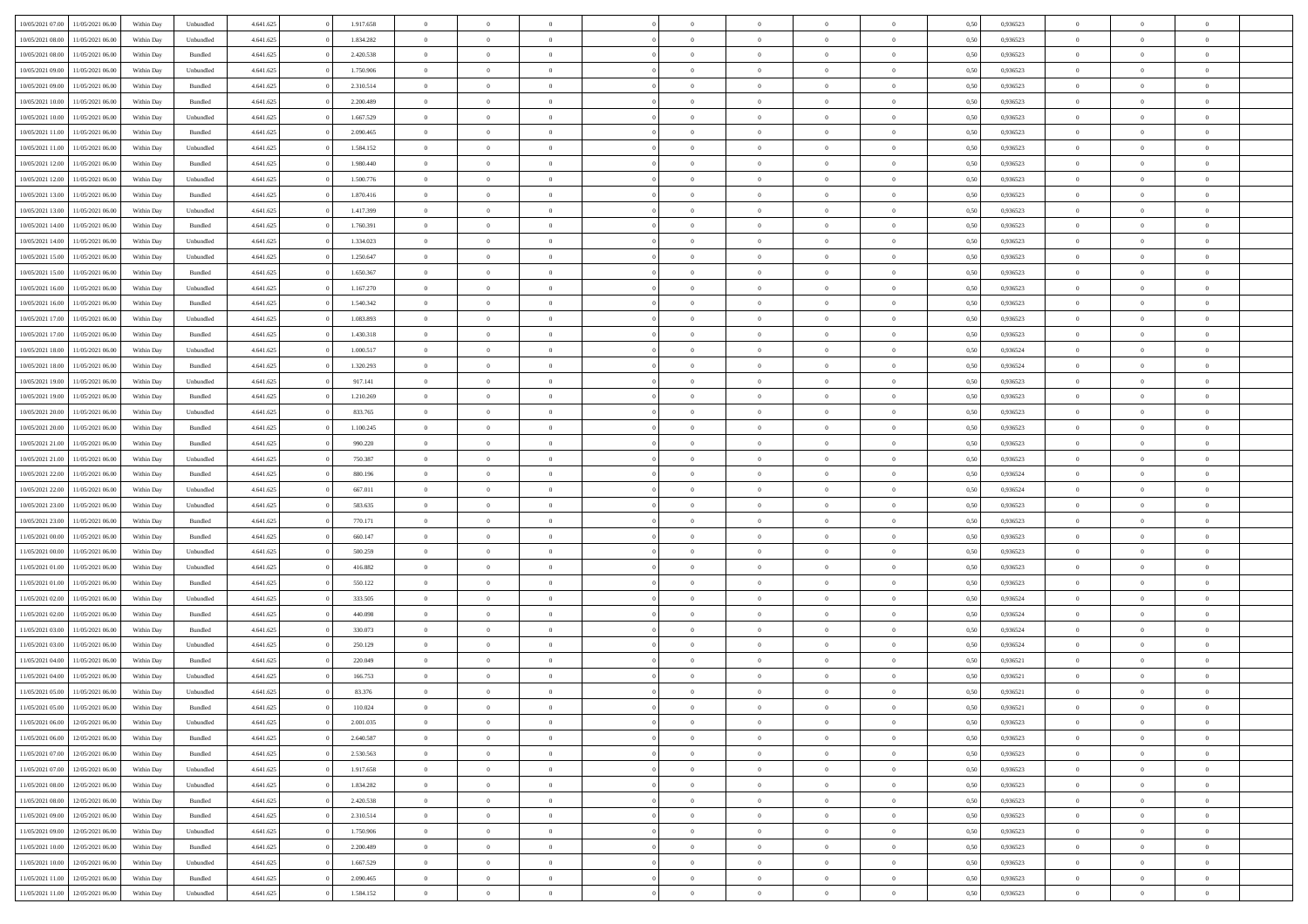| 10/05/2021 07:00 | 11/05/2021 06:00 | Within Day | Unbundled          | 4.641.625 | 1.917.658 | $\overline{0}$ | $\theta$       |                | $\Omega$       | $\Omega$       | $\overline{0}$ | $\theta$       | 0.50 | 0,936523 | $\theta$       | $\overline{0}$ | $\overline{0}$ |  |
|------------------|------------------|------------|--------------------|-----------|-----------|----------------|----------------|----------------|----------------|----------------|----------------|----------------|------|----------|----------------|----------------|----------------|--|
|                  |                  |            |                    |           |           |                |                |                |                |                |                |                |      |          |                |                |                |  |
| 10/05/2021 08:00 | 11/05/2021 06:00 | Within Day | Unbundled          | 4.641.625 | 1.834.282 | $\overline{0}$ | $\theta$       | $\overline{0}$ | $\overline{0}$ | $\bf{0}$       | $\overline{0}$ | $\bf{0}$       | 0,50 | 0,936523 | $\theta$       | $\overline{0}$ | $\overline{0}$ |  |
| 10/05/2021 08:00 | 11/05/2021 06:00 | Within Day | Bundled            | 4.641.625 | 2.420.538 | $\overline{0}$ | $\bf{0}$       | $\overline{0}$ | $\bf{0}$       | $\bf{0}$       | $\bf{0}$       | $\mathbf{0}$   | 0,50 | 0,936523 | $\overline{0}$ | $\overline{0}$ | $\bf{0}$       |  |
| 10/05/2021 09:00 | 11/05/2021 06:00 | Within Dav | Unbundled          | 4.641.625 | 1.750.906 | $\overline{0}$ | $\overline{0}$ | $\overline{0}$ | $\overline{0}$ | $\bf{0}$       | $\overline{0}$ | $\overline{0}$ | 0.50 | 0.936523 | $\theta$       | $\theta$       | $\overline{0}$ |  |
| 10/05/2021 09:00 | 11/05/2021 06:00 | Within Day | Bundled            | 4.641.625 | 2.310.514 | $\overline{0}$ | $\theta$       | $\overline{0}$ | $\overline{0}$ | $\bf{0}$       | $\overline{0}$ | $\bf{0}$       | 0,50 | 0,936523 | $\theta$       | $\overline{0}$ | $\overline{0}$ |  |
| 10/05/2021 10:00 | 11/05/2021 06:00 | Within Day | Bundled            | 4.641.625 | 2.200.489 | $\overline{0}$ | $\overline{0}$ | $\overline{0}$ | $\bf{0}$       | $\overline{0}$ | $\overline{0}$ | $\mathbf{0}$   | 0,50 | 0,936523 | $\overline{0}$ | $\overline{0}$ | $\bf{0}$       |  |
| 10/05/2021 10:00 | 11/05/2021 06:00 | Within Dav | Unbundled          | 4.641.625 | 1.667.529 | $\overline{0}$ | $\overline{0}$ | $\overline{0}$ | $\overline{0}$ | $\overline{0}$ | $\overline{0}$ | $\overline{0}$ | 0.50 | 0.936523 | $\theta$       | $\overline{0}$ | $\overline{0}$ |  |
|                  |                  |            |                    |           |           |                |                |                |                |                |                |                |      |          |                |                |                |  |
| 10/05/2021 11:00 | 11/05/2021 06:00 | Within Day | Bundled            | 4.641.625 | 2.090.465 | $\overline{0}$ | $\theta$       | $\overline{0}$ | $\overline{0}$ | $\bf{0}$       | $\overline{0}$ | $\bf{0}$       | 0,50 | 0,936523 | $\theta$       | $\theta$       | $\overline{0}$ |  |
| 10/05/2021 11:00 | 11/05/2021 06:00 | Within Day | Unbundled          | 4.641.625 | 1.584.152 | $\overline{0}$ | $\overline{0}$ | $\overline{0}$ | $\bf{0}$       | $\bf{0}$       | $\bf{0}$       | $\bf{0}$       | 0,50 | 0,936523 | $\,0\,$        | $\overline{0}$ | $\overline{0}$ |  |
| 10/05/2021 12:00 | 11/05/2021 06:00 | Within Dav | Bundled            | 4.641.625 | 1.980.440 | $\overline{0}$ | $\overline{0}$ | $\overline{0}$ | $\overline{0}$ | $\overline{0}$ | $\overline{0}$ | $\overline{0}$ | 0.50 | 0.936523 | $\theta$       | $\overline{0}$ | $\overline{0}$ |  |
| 10/05/2021 12:00 | 11/05/2021 06:00 | Within Day | Unbundled          | 4.641.625 | 1.500.776 | $\overline{0}$ | $\theta$       | $\overline{0}$ | $\overline{0}$ | $\bf{0}$       | $\overline{0}$ | $\bf{0}$       | 0,50 | 0,936523 | $\,$ 0 $\,$    | $\overline{0}$ | $\overline{0}$ |  |
| 10/05/2021 13:00 | 11/05/2021 06:00 | Within Day | Bundled            | 4.641.625 | 1.870.416 | $\overline{0}$ | $\bf{0}$       | $\overline{0}$ | $\bf{0}$       | $\bf{0}$       | $\bf{0}$       | $\mathbf{0}$   | 0,50 | 0,936523 | $\overline{0}$ | $\overline{0}$ | $\bf{0}$       |  |
| 10/05/2021 13:00 | 11/05/2021 06:00 | Within Day | Unbundled          | 4.641.625 | 1.417.399 | $\overline{0}$ | $\overline{0}$ | $\overline{0}$ | $\overline{0}$ | $\overline{0}$ | $\overline{0}$ | $\overline{0}$ | 0.50 | 0.936523 | $\theta$       | $\theta$       | $\overline{0}$ |  |
| 10/05/2021 14:00 | 11/05/2021 06:00 | Within Day | Bundled            | 4.641.625 | 1.760.391 | $\overline{0}$ | $\theta$       | $\overline{0}$ | $\overline{0}$ | $\bf{0}$       | $\overline{0}$ | $\bf{0}$       | 0,50 | 0,936523 | $\theta$       | $\overline{0}$ | $\overline{0}$ |  |
|                  |                  |            |                    |           |           |                |                |                |                |                |                |                |      |          |                |                |                |  |
| 10/05/2021 14:00 | 11/05/2021 06:00 | Within Day | Unbundled          | 4.641.625 | 1.334.023 | $\overline{0}$ | $\overline{0}$ | $\overline{0}$ | $\bf{0}$       | $\overline{0}$ | $\overline{0}$ | $\mathbf{0}$   | 0,50 | 0,936523 | $\overline{0}$ | $\overline{0}$ | $\bf{0}$       |  |
| 10/05/2021 15:00 | 11/05/2021 06:00 | Within Dav | Unbundled          | 4.641.625 | 1.250.647 | $\overline{0}$ | $\overline{0}$ | $\overline{0}$ | $\overline{0}$ | $\overline{0}$ | $\overline{0}$ | $\overline{0}$ | 0.50 | 0.936523 | $\theta$       | $\overline{0}$ | $\overline{0}$ |  |
| 10/05/2021 15:00 | 11/05/2021 06:00 | Within Day | Bundled            | 4.641.625 | 1.650.367 | $\overline{0}$ | $\theta$       | $\overline{0}$ | $\overline{0}$ | $\bf{0}$       | $\overline{0}$ | $\bf{0}$       | 0,50 | 0,936523 | $\theta$       | $\theta$       | $\overline{0}$ |  |
| 10/05/2021 16:00 | 11/05/2021 06:00 | Within Day | Unbundled          | 4.641.625 | 1.167.270 | $\overline{0}$ | $\overline{0}$ | $\overline{0}$ | $\bf{0}$       | $\bf{0}$       | $\bf{0}$       | $\mathbf{0}$   | 0,50 | 0,936523 | $\,0\,$        | $\overline{0}$ | $\bf{0}$       |  |
| 10/05/2021 16:00 | 11/05/2021 06:00 | Within Day | Bundled            | 4.641.625 | 1.540.342 | $\overline{0}$ | $\overline{0}$ | $\overline{0}$ | $\overline{0}$ | $\overline{0}$ | $\overline{0}$ | $\overline{0}$ | 0.50 | 0.936523 | $\theta$       | $\overline{0}$ | $\overline{0}$ |  |
| 10/05/2021 17:00 | 11/05/2021 06:00 | Within Day | Unbundled          | 4.641.625 | 1.083.893 | $\overline{0}$ | $\theta$       | $\overline{0}$ | $\overline{0}$ | $\bf{0}$       | $\overline{0}$ | $\bf{0}$       | 0,50 | 0,936523 | $\,$ 0 $\,$    | $\overline{0}$ | $\overline{0}$ |  |
| 10/05/2021 17:00 | 11/05/2021 06:00 | Within Day | Bundled            | 4.641.625 | 1.430.318 | $\overline{0}$ | $\overline{0}$ | $\overline{0}$ | $\bf{0}$       | $\bf{0}$       | $\bf{0}$       | $\mathbf{0}$   | 0,50 | 0,936523 | $\bf{0}$       | $\overline{0}$ | $\bf{0}$       |  |
| 10/05/2021 18:00 | 11/05/2021 06:00 | Within Day | Unbundled          | 4.641.625 | 1.000.517 | $\overline{0}$ | $\overline{0}$ | $\overline{0}$ | $\overline{0}$ | $\overline{0}$ | $\overline{0}$ | $\overline{0}$ | 0.50 | 0.936524 | $\theta$       | $\overline{0}$ | $\overline{0}$ |  |
|                  |                  |            |                    |           |           |                |                |                |                |                |                |                |      |          |                |                |                |  |
| 10/05/2021 18:00 | 11/05/2021 06:00 | Within Day | Bundled            | 4.641.625 | 1.320.293 | $\overline{0}$ | $\theta$       | $\overline{0}$ | $\overline{0}$ | $\bf{0}$       | $\overline{0}$ | $\,$ 0 $\,$    | 0,50 | 0,936524 | $\theta$       | $\overline{0}$ | $\overline{0}$ |  |
| 10/05/2021 19:00 | 11/05/2021 06:00 | Within Day | Unbundled          | 4.641.625 | 917.141   | $\overline{0}$ | $\overline{0}$ | $\overline{0}$ | $\bf{0}$       | $\overline{0}$ | $\overline{0}$ | $\mathbf{0}$   | 0,50 | 0,936523 | $\overline{0}$ | $\overline{0}$ | $\bf{0}$       |  |
| 10/05/2021 19:00 | 11/05/2021 06:00 | Within Dav | Bundled            | 4.641.625 | 1.210.269 | $\overline{0}$ | $\overline{0}$ | $\overline{0}$ | $\overline{0}$ | $\overline{0}$ | $\overline{0}$ | $\overline{0}$ | 0.50 | 0.936523 | $\theta$       | $\overline{0}$ | $\overline{0}$ |  |
| 10/05/2021 20:00 | 11/05/2021 06:00 | Within Day | Unbundled          | 4.641.625 | 833.765   | $\overline{0}$ | $\theta$       | $\overline{0}$ | $\overline{0}$ | $\bf{0}$       | $\overline{0}$ | $\bf{0}$       | 0,50 | 0,936523 | $\theta$       | $\theta$       | $\overline{0}$ |  |
| 10/05/2021 20:00 | 11/05/2021 06:00 | Within Day | Bundled            | 4.641.625 | 1.100.245 | $\overline{0}$ | $\overline{0}$ | $\overline{0}$ | $\bf{0}$       | $\bf{0}$       | $\bf{0}$       | $\bf{0}$       | 0,50 | 0,936523 | $\,0\,$        | $\overline{0}$ | $\bf{0}$       |  |
| 10/05/2021 21:00 | 11/05/2021 06:00 | Within Day | Bundled            | 4.641.625 | 990.220   | $\overline{0}$ | $\overline{0}$ | $\overline{0}$ | $\overline{0}$ | $\overline{0}$ | $\overline{0}$ | $\overline{0}$ | 0.50 | 0.936523 | $\theta$       | $\overline{0}$ | $\overline{0}$ |  |
| 10/05/2021 21:00 | 11/05/2021 06:00 | Within Day | Unbundled          | 4.641.625 | 750.387   | $\overline{0}$ | $\theta$       | $\overline{0}$ | $\overline{0}$ | $\bf{0}$       | $\overline{0}$ | $\bf{0}$       | 0,50 | 0,936523 | $\,$ 0 $\,$    | $\overline{0}$ | $\overline{0}$ |  |
|                  |                  |            |                    |           |           |                |                |                |                |                |                |                |      |          |                |                |                |  |
| 10/05/2021 22:00 | 11/05/2021 06:00 | Within Day | Bundled            | 4.641.625 | 880.196   | $\overline{0}$ | $\overline{0}$ | $\overline{0}$ | $\bf{0}$       | $\bf{0}$       | $\bf{0}$       | $\bf{0}$       | 0,50 | 0,936524 | $\overline{0}$ | $\overline{0}$ | $\bf{0}$       |  |
| 10/05/2021 22:00 | 11/05/2021 06.00 | Within Day | Unbundled          | 4.641.625 | 667.011   | $\overline{0}$ | $\Omega$       | $\Omega$       | $\Omega$       | $\Omega$       | $\overline{0}$ | $\overline{0}$ | 0,50 | 0,936524 | $\,0\,$        | $\theta$       | $\theta$       |  |
| 10/05/2021 23:00 | 11/05/2021 06:00 | Within Day | Unbundled          | 4.641.625 | 583.635   | $\overline{0}$ | $\theta$       | $\overline{0}$ | $\overline{0}$ | $\bf{0}$       | $\overline{0}$ | $\bf{0}$       | 0,50 | 0,936523 | $\theta$       | $\overline{0}$ | $\overline{0}$ |  |
| 10/05/2021 23:00 | 11/05/2021 06:00 | Within Day | Bundled            | 4.641.625 | 770.171   | $\overline{0}$ | $\overline{0}$ | $\overline{0}$ | $\bf{0}$       | $\overline{0}$ | $\overline{0}$ | $\mathbf{0}$   | 0,50 | 0,936523 | $\bf{0}$       | $\overline{0}$ | $\bf{0}$       |  |
| 11/05/2021 00:00 | 11/05/2021 06:00 | Within Day | Bundled            | 4.641.625 | 660.147   | $\overline{0}$ | $\Omega$       | $\Omega$       | $\Omega$       | $\overline{0}$ | $\overline{0}$ | $\overline{0}$ | 0.50 | 0.936523 | $\,0\,$        | $\theta$       | $\theta$       |  |
| 11/05/2021 00:00 | 11/05/2021 06:00 | Within Day | Unbundled          | 4.641.625 | 500.259   | $\overline{0}$ | $\theta$       | $\overline{0}$ | $\overline{0}$ | $\bf{0}$       | $\overline{0}$ | $\bf{0}$       | 0,50 | 0,936523 | $\theta$       | $\overline{0}$ | $\overline{0}$ |  |
| 11/05/2021 01:00 | 11/05/2021 06:00 | Within Day | Unbundled          | 4.641.625 | 416.882   | $\overline{0}$ | $\overline{0}$ | $\overline{0}$ | $\bf{0}$       | $\bf{0}$       | $\bf{0}$       | $\bf{0}$       | 0,50 | 0,936523 | $\bf{0}$       | $\overline{0}$ | $\bf{0}$       |  |
| 11/05/2021 01:00 | 11/05/2021 06:00 | Within Day | Bundled            | 4.641.625 | 550.122   | $\overline{0}$ | $\Omega$       | $\Omega$       | $\Omega$       | $\overline{0}$ | $\overline{0}$ | $\overline{0}$ | 0.50 | 0.936523 | $\theta$       | $\theta$       | $\theta$       |  |
|                  |                  |            |                    |           |           | $\overline{0}$ | $\overline{0}$ |                |                |                |                |                |      |          |                |                |                |  |
| 11/05/2021 02:00 | 11/05/2021 06:00 | Within Day | Unbundled          | 4.641.625 | 333.505   |                |                | $\overline{0}$ | $\overline{0}$ | $\bf{0}$       | $\overline{0}$ | $\bf{0}$       | 0,50 | 0,936524 | $\,$ 0 $\,$    | $\overline{0}$ | $\overline{0}$ |  |
| 11/05/2021 02:00 | 11/05/2021 06:00 | Within Day | Bundled            | 4.641.625 | 440.098   | $\overline{0}$ | $\overline{0}$ | $\overline{0}$ | $\bf{0}$       | $\bf{0}$       | $\bf{0}$       | $\mathbf{0}$   | 0,50 | 0,936524 | $\bf{0}$       | $\overline{0}$ | $\bf{0}$       |  |
| 11/05/2021 03:00 | 11/05/2021 06.00 | Within Day | Bundled            | 4.641.625 | 330,073   | $\overline{0}$ | $\Omega$       | $\overline{0}$ | $\Omega$       | $\bf{0}$       | $\overline{0}$ | $\overline{0}$ | 0,50 | 0,936524 | $\,0\,$        | $\theta$       | $\theta$       |  |
| 11/05/2021 03:00 | 11/05/2021 06:00 | Within Day | Unbundled          | 4.641.625 | 250.129   | $\overline{0}$ | $\overline{0}$ | $\overline{0}$ | $\overline{0}$ | $\,$ 0         | $\overline{0}$ | $\bf{0}$       | 0,50 | 0,936524 | $\,$ 0 $\,$    | $\overline{0}$ | $\overline{0}$ |  |
| 11/05/2021 04:00 | 11/05/2021 06:00 | Within Day | Bundled            | 4.641.625 | 220.049   | $\overline{0}$ | $\overline{0}$ | $\overline{0}$ | $\bf{0}$       | $\bf{0}$       | $\overline{0}$ | $\mathbf{0}$   | 0,50 | 0,936521 | $\bf{0}$       | $\overline{0}$ | $\bf{0}$       |  |
| 11/05/2021 04:00 | 11/05/2021 06:00 | Within Day | Unbundled          | 4.641.625 | 166.753   | $\overline{0}$ | $\Omega$       | $\Omega$       | $\Omega$       | $\Omega$       | $\Omega$       | $\overline{0}$ | 0.50 | 0.936521 | $\theta$       | $\theta$       | $\theta$       |  |
| 11/05/2021 05:00 | 11/05/2021 06:00 | Within Day | Unbundled          | 4.641.625 | 83.376    | $\overline{0}$ | $\overline{0}$ | $\overline{0}$ | $\bf{0}$       | $\,$ 0         | $\bf{0}$       | $\bf{0}$       | 0,50 | 0,936521 | $\,0\,$        | $\,0\,$        | $\overline{0}$ |  |
| 11/05/2021 05:00 | 11/05/2021 06:00 | Within Day | $\mathbf B$ undled | 4.641.625 | 110.024   | $\bf{0}$       | $\bf{0}$       |                |                | $\bf{0}$       |                |                | 0,50 | 0,936521 | $\bf{0}$       | $\overline{0}$ |                |  |
| 11/05/2021 06:00 | 12/05/2021 06:00 | Within Day | Unbundled          | 4.641.625 | 2.001.035 | $\overline{0}$ | $\overline{0}$ | $\overline{0}$ | $\Omega$       | $\theta$       | $\overline{0}$ | $\overline{0}$ | 0.50 | 0.936523 | $\theta$       | $\theta$       | $\theta$       |  |
|                  |                  |            |                    |           |           |                |                |                |                |                |                |                |      |          |                |                |                |  |
| 11/05/2021 06:00 | 12/05/2021 06:00 | Within Day | Bundled            | 4.641.625 | 2.640.587 | $\overline{0}$ | $\,$ 0         | $\overline{0}$ | $\bf{0}$       | $\,$ 0 $\,$    | $\overline{0}$ | $\mathbf{0}$   | 0,50 | 0,936523 | $\,$ 0 $\,$    | $\,$ 0 $\,$    | $\,$ 0         |  |
| 11/05/2021 07:00 | 12/05/2021 06:00 | Within Day | Bundled            | 4.641.625 | 2.530.563 | $\overline{0}$ | $\overline{0}$ | $\overline{0}$ | $\overline{0}$ | $\overline{0}$ | $\overline{0}$ | $\mathbf{0}$   | 0,50 | 0,936523 | $\overline{0}$ | $\bf{0}$       | $\bf{0}$       |  |
| 11/05/2021 07:00 | 12/05/2021 06:00 | Within Day | Unbundled          | 4.641.625 | 1.917.658 | $\overline{0}$ | $\theta$       | $\overline{0}$ | $\Omega$       | $\overline{0}$ | $\overline{0}$ | $\bf{0}$       | 0,50 | 0,936523 | $\overline{0}$ | $\theta$       | $\overline{0}$ |  |
| 11/05/2021 08:00 | 12/05/2021 06:00 | Within Day | Unbundled          | 4.641.625 | 1.834.282 | $\overline{0}$ | $\,$ 0         | $\overline{0}$ | $\overline{0}$ | $\overline{0}$ | $\overline{0}$ | $\bf{0}$       | 0,50 | 0,936523 | $\,$ 0 $\,$    | $\overline{0}$ | $\overline{0}$ |  |
| 11/05/2021 08:00 | 12/05/2021 06:00 | Within Day | Bundled            | 4.641.625 | 2.420.538 | $\overline{0}$ | $\overline{0}$ | $\overline{0}$ | $\overline{0}$ | $\overline{0}$ | $\overline{0}$ | $\mathbf{0}$   | 0,50 | 0,936523 | $\overline{0}$ | $\bf{0}$       | $\bf{0}$       |  |
| 11/05/2021 09:00 | 12/05/2021 06:00 | Within Day | Bundled            | 4.641.625 | 2.310.514 | $\overline{0}$ | $\overline{0}$ | $\overline{0}$ | $\Omega$       | $\overline{0}$ | $\overline{0}$ | $\bf{0}$       | 0.50 | 0,936523 | $\overline{0}$ | $\theta$       | $\overline{0}$ |  |
| 11/05/2021 09:00 | 12/05/2021 06:00 | Within Day | Unbundled          | 4.641.625 | 1.750.906 | $\overline{0}$ | $\,$ 0         | $\overline{0}$ | $\bf{0}$       | $\bf{0}$       | $\bf{0}$       | $\bf{0}$       | 0,50 | 0,936523 | $\,$ 0 $\,$    | $\overline{0}$ | $\overline{0}$ |  |
|                  |                  |            |                    |           |           |                | $\bf{0}$       |                |                |                |                |                |      |          |                | $\overline{0}$ | $\bf{0}$       |  |
| 11/05/2021 10:00 | 12/05/2021 06:00 | Within Day | Bundled            | 4.641.625 | 2.200.489 | $\overline{0}$ |                | $\overline{0}$ | $\overline{0}$ | $\overline{0}$ | $\bf{0}$       | $\mathbf{0}$   | 0,50 | 0,936523 | $\overline{0}$ |                |                |  |
| 11/05/2021 10:00 | 12/05/2021 06:00 | Within Day | Unbundled          | 4.641.625 | 1.667.529 | $\overline{0}$ | $\overline{0}$ | $\overline{0}$ | $\Omega$       | $\overline{0}$ | $\overline{0}$ | $\bf{0}$       | 0.50 | 0.936523 | $\overline{0}$ | $\theta$       | $\overline{0}$ |  |
| 11/05/2021 11:00 | 12/05/2021 06:00 | Within Day | Bundled            | 4.641.625 | 2.090.465 | $\overline{0}$ | $\bf{0}$       | $\overline{0}$ | $\overline{0}$ | $\bf{0}$       | $\bf{0}$       | $\mathbf{0}$   | 0,50 | 0,936523 | $\,$ 0 $\,$    | $\,$ 0 $\,$    | $\bf{0}$       |  |
| 11/05/2021 11:00 | 12/05/2021 06:00 | Within Day | Unbundled          | 4.641.625 | 1.584.152 | $\overline{0}$ | $\overline{0}$ | $\overline{0}$ | $\overline{0}$ | $\bf{0}$       | $\bf{0}$       | $\mathbf{0}$   | 0,50 | 0,936523 | $\overline{0}$ | $\bf{0}$       | $\bf{0}$       |  |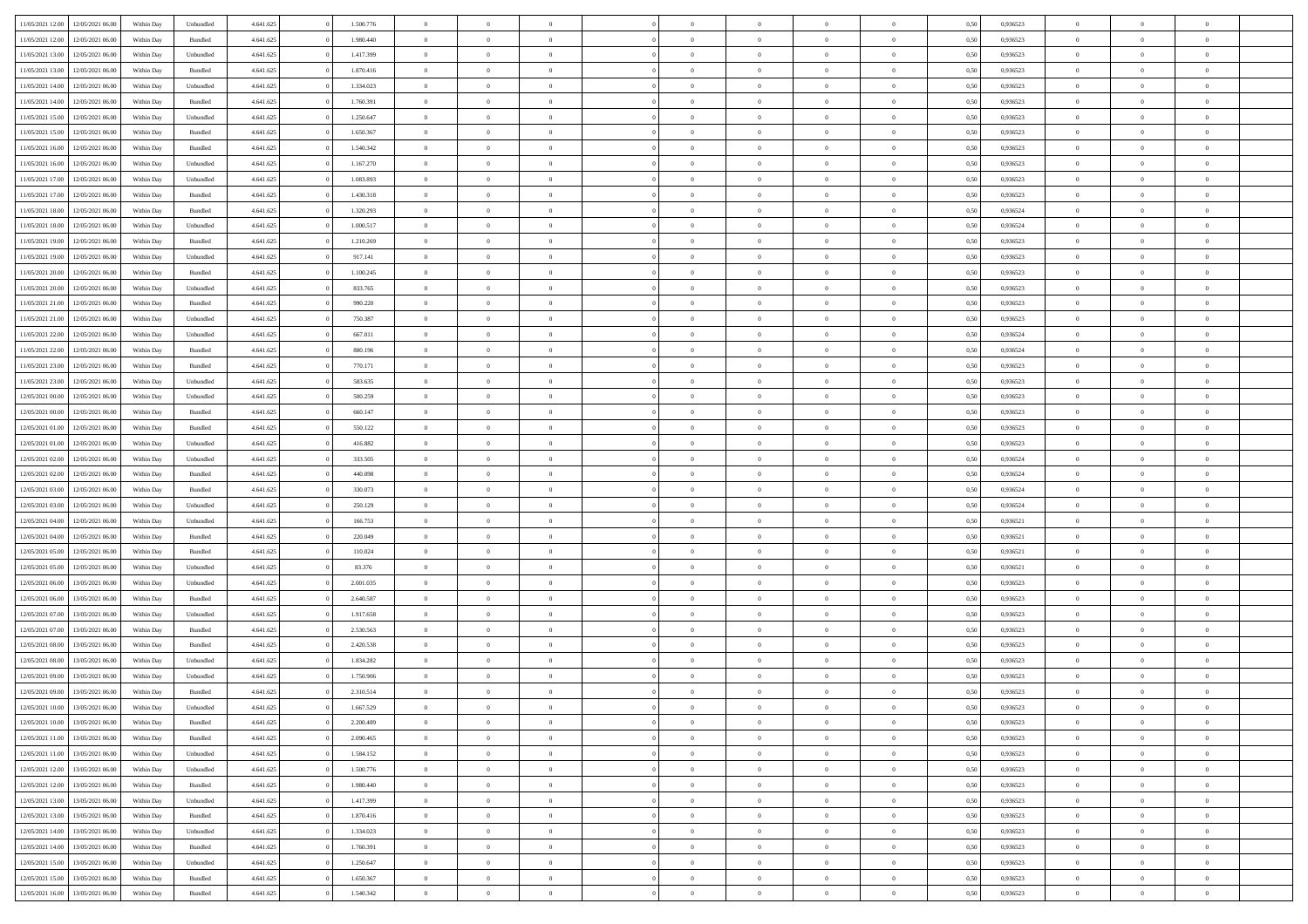| 11/05/2021 12:00                  | 12/05/2021 06:00 | Within Day | Unbundled | 4.641.625 | 1.500.776 | $\overline{0}$ | $\theta$       |                | $\overline{0}$ | $\bf{0}$       | $\overline{0}$ | $\theta$       | 0,50 | 0,936523 | $\theta$             | $\theta$       | $\overline{0}$           |  |
|-----------------------------------|------------------|------------|-----------|-----------|-----------|----------------|----------------|----------------|----------------|----------------|----------------|----------------|------|----------|----------------------|----------------|--------------------------|--|
|                                   |                  |            |           |           |           | $\overline{0}$ | $\overline{0}$ |                |                |                |                |                |      |          |                      |                | $\overline{0}$           |  |
| 11/05/2021 12:00                  | 12/05/2021 06:00 | Within Day | Bundled   | 4.641.625 | 1.980.440 |                |                | $\overline{0}$ | $\overline{0}$ | $\,$ 0         | $\bf{0}$       | $\bf{0}$       | 0,50 | 0,936523 | $\,$ 0 $\,$          | $\overline{0}$ |                          |  |
| 11/05/2021 13:00                  | 12/05/2021 06:00 | Within Day | Unbundled | 4.641.625 | 1.417.399 | $\overline{0}$ | $\overline{0}$ | $\overline{0}$ | $\overline{0}$ | $\bf{0}$       | $\overline{0}$ | $\mathbf{0}$   | 0.50 | 0.936523 | $\bf{0}$             | $\overline{0}$ | $\overline{0}$           |  |
| 11/05/2021 13:00                  | 12/05/2021 06:00 | Within Day | Bundled   | 4.641.625 | 1.870.416 | $\overline{0}$ | $\overline{0}$ | $\overline{0}$ | $\overline{0}$ | $\,$ 0         | $\overline{0}$ | $\overline{0}$ | 0,50 | 0,936523 | $\,$ 0 $\,$          | $\overline{0}$ | $\overline{0}$           |  |
| 11/05/2021 14:00                  | 12/05/2021 06:00 | Within Day | Unbundled | 4.641.625 | 1.334.023 | $\overline{0}$ | $\theta$       | $\overline{0}$ | $\overline{0}$ | $\overline{0}$ | $\overline{0}$ | $\bf{0}$       | 0,50 | 0,936523 | $\,$ 0 $\,$          | $\overline{0}$ | $\overline{0}$           |  |
| 11/05/2021 14:00                  | 12/05/2021 06:00 | Within Day | Bundled   | 4.641.625 | 1.760.391 | $\overline{0}$ | $\overline{0}$ | $\overline{0}$ | $\overline{0}$ | $\bf{0}$       | $\overline{0}$ | $\bf{0}$       | 0.50 | 0.936523 | $\,0\,$              | $\theta$       | $\overline{0}$           |  |
| 11/05/2021 15:00                  | 12/05/2021 06:00 | Within Day | Unbundled | 4.641.625 | 1.250.647 | $\overline{0}$ | $\overline{0}$ | $\overline{0}$ | $\overline{0}$ | $\bf{0}$       | $\overline{0}$ | $\overline{0}$ | 0,50 | 0,936523 | $\,$ 0 $\,$          | $\theta$       | $\overline{0}$           |  |
| 11/05/2021 15:00                  | 12/05/2021 06.00 | Within Day | Bundled   | 4.641.625 | 1.650.367 | $\overline{0}$ | $\theta$       | $\overline{0}$ | $\overline{0}$ | $\,$ 0         | $\bf{0}$       | $\bf{0}$       | 0,50 | 0,936523 | $\,$ 0 $\,$          | $\overline{0}$ | $\overline{0}$           |  |
| 11/05/2021 16:00                  | 12/05/2021 06:00 | Within Day | Bundled   | 4.641.625 | 1.540.342 | $\overline{0}$ | $\overline{0}$ | $\overline{0}$ | $\overline{0}$ | $\bf{0}$       | $\overline{0}$ | $\bf{0}$       | 0.50 | 0.936523 | $\,0\,$              | $\overline{0}$ | $\overline{0}$           |  |
| 11/05/2021 16:00                  | 12/05/2021 06:00 | Within Day | Unbundled | 4.641.625 | 1.167.270 | $\overline{0}$ | $\overline{0}$ | $\overline{0}$ | $\overline{0}$ | $\,$ 0         | $\overline{0}$ | $\bf{0}$       | 0,50 | 0,936523 | $\,$ 0 $\,$          | $\overline{0}$ | $\overline{0}$           |  |
|                                   |                  |            |           |           |           |                |                |                |                |                |                |                |      |          |                      |                |                          |  |
| 11/05/2021 17:00                  | 12/05/2021 06:00 | Within Day | Unbundled | 4.641.625 | 1.083.893 | $\bf{0}$       | $\theta$       | $\overline{0}$ | $\overline{0}$ | $\,$ 0         | $\bf{0}$       | $\bf{0}$       | 0,50 | 0,936523 | $\,$ 0 $\,$          | $\overline{0}$ | $\overline{0}$           |  |
| 11/05/2021 17:00                  | 12/05/2021 06:00 | Within Day | Bundled   | 4.641.625 | 1.430.318 | $\overline{0}$ | $\overline{0}$ | $\overline{0}$ | $\overline{0}$ | $\bf{0}$       | $\overline{0}$ | $\mathbf{0}$   | 0.50 | 0.936523 | $\bf{0}$             | $\overline{0}$ | $\overline{\phantom{a}}$ |  |
| 11/05/2021 18:00                  | 12/05/2021 06:00 | Within Day | Bundled   | 4.641.625 | 1.320.293 | $\overline{0}$ | $\overline{0}$ | $\overline{0}$ | $\overline{0}$ | $\bf{0}$       | $\overline{0}$ | $\overline{0}$ | 0,50 | 0,936524 | $\,$ 0 $\,$          | $\overline{0}$ | $\overline{0}$           |  |
| 11/05/2021 18:00                  | 12/05/2021 06:00 | Within Day | Unbundled | 4.641.625 | 1.000.517 | $\overline{0}$ | $\theta$       | $\overline{0}$ | $\overline{0}$ | $\bf{0}$       | $\overline{0}$ | $\bf{0}$       | 0,50 | 0,936524 | $\,$ 0 $\,$          | $\overline{0}$ | $\overline{0}$           |  |
| 11/05/2021 19:00                  | 12/05/2021 06:00 | Within Day | Bundled   | 4.641.625 | 1.210.269 | $\overline{0}$ | $\overline{0}$ | $\overline{0}$ | $\overline{0}$ | $\,$ 0         | $\overline{0}$ | $\bf{0}$       | 0.50 | 0.936523 | $\,0\,$              | $\theta$       | $\overline{0}$           |  |
| 11/05/2021 19:00                  | 12/05/2021 06:00 | Within Day | Unbundled | 4.641.625 | 917.141   | $\overline{0}$ | $\overline{0}$ | $\overline{0}$ | $\overline{0}$ | $\,$ 0         | $\overline{0}$ | $\bf{0}$       | 0,50 | 0,936523 | $\,$ 0 $\,$          | $\theta$       | $\overline{0}$           |  |
| 11/05/2021 20:00                  | 12/05/2021 06.00 | Within Day | Bundled   | 4.641.625 | 1.100.245 | $\overline{0}$ | $\theta$       | $\overline{0}$ | $\overline{0}$ | $\,$ 0         | $\overline{0}$ | $\bf{0}$       | 0,50 | 0,936523 | $\,$ 0 $\,$          | $\overline{0}$ | $\overline{0}$           |  |
| 11/05/2021 20:00                  | 12/05/2021 06:00 | Within Day | Unbundled | 4.641.625 | 833,765   | $\overline{0}$ | $\overline{0}$ | $\overline{0}$ | $\overline{0}$ | $\bf{0}$       | $\overline{0}$ | $\bf{0}$       | 0.50 | 0.936523 | $\,0\,$              | $\overline{0}$ | $\overline{\phantom{a}}$ |  |
| 11/05/2021 21:00                  | 12/05/2021 06:00 | Within Day | Bundled   | 4.641.625 | 990.220   | $\overline{0}$ | $\overline{0}$ | $\overline{0}$ | $\overline{0}$ | $\bf{0}$       | $\overline{0}$ | $\bf{0}$       | 0,50 | 0,936523 | $\,$ 0 $\,$          | $\overline{0}$ | $\overline{0}$           |  |
| 11/05/2021 21:00                  | 12/05/2021 06:00 | Within Day | Unbundled | 4.641.625 | 750.387   | $\bf{0}$       | $\theta$       | $\overline{0}$ | $\overline{0}$ | $\,$ 0         | $\bf{0}$       | $\bf{0}$       | 0,50 | 0,936523 | $\,$ 0 $\,$          | $\overline{0}$ | $\overline{0}$           |  |
| 11/05/2021 22:00                  | 12/05/2021 06:00 | Within Day | Unbundled | 4.641.625 | 667.011   | $\overline{0}$ | $\overline{0}$ | $\overline{0}$ | $\overline{0}$ | $\bf{0}$       | $\overline{0}$ | $\mathbf{0}$   | 0.50 | 0.936524 | $\bf{0}$             | $\overline{0}$ | $\bf{0}$                 |  |
|                                   |                  |            |           |           |           |                | $\overline{0}$ |                |                |                |                |                |      |          |                      | $\overline{0}$ |                          |  |
| 11/05/2021 22:00                  | 12/05/2021 06:00 | Within Day | Bundled   | 4.641.625 | 880.196   | $\overline{0}$ |                | $\overline{0}$ | $\overline{0}$ | $\bf{0}$       | $\overline{0}$ | $\overline{0}$ | 0,50 | 0,936524 | $\,$ 0 $\,$          |                | $\overline{0}$           |  |
| 11/05/2021 23:00                  | 12/05/2021 06:00 | Within Day | Bundled   | 4.641.625 | 770.171   | $\overline{0}$ | $\theta$       | $\overline{0}$ | $\overline{0}$ | $\,$ 0         | $\overline{0}$ | $\bf{0}$       | 0,50 | 0,936523 | $\,$ 0 $\,$          | $\overline{0}$ | $\overline{0}$           |  |
| 11/05/2021 23:00                  | 12/05/2021 06:00 | Within Day | Unbundled | 4.641.625 | 583.635   | $\overline{0}$ | $\overline{0}$ | $\overline{0}$ | $\overline{0}$ | $\bf{0}$       | $\overline{0}$ | $\bf{0}$       | 0.50 | 0.936523 | $\,0\,$              | $\theta$       | $\overline{0}$           |  |
| 12/05/2021 00:00                  | 12/05/2021 06:00 | Within Day | Unbundled | 4.641.625 | 500.259   | $\overline{0}$ | $\overline{0}$ | $\overline{0}$ | $\overline{0}$ | $\,$ 0         | $\overline{0}$ | $\overline{0}$ | 0,50 | 0,936523 | $\,0\,$              | $\theta$       | $\overline{0}$           |  |
| 12/05/2021 00:00                  | 12/05/2021 06.00 | Within Day | Bundled   | 4.641.625 | 660.147   | $\overline{0}$ | $\theta$       | $\overline{0}$ |                | $\bf{0}$       | $\overline{0}$ | $\bf{0}$       | 0,50 | 0,936523 | $\,$ 0 $\,$          | $\overline{0}$ | $\overline{0}$           |  |
| 12/05/2021 01:00                  | 12/05/2021 06:00 | Within Day | Bundled   | 4.641.625 | 550.122   | $\overline{0}$ | $\overline{0}$ | $\overline{0}$ | $\overline{0}$ | $\bf{0}$       | $\overline{0}$ | $\bf{0}$       | 0.50 | 0.936523 | $\,0\,$              | $\overline{0}$ | $\overline{0}$           |  |
| 12/05/2021 01:00                  | 12/05/2021 06:00 | Within Day | Unbundled | 4.641.625 | 416.882   | $\overline{0}$ | $\overline{0}$ | $\overline{0}$ | $\overline{0}$ | $\bf{0}$       | $\overline{0}$ | $\bf{0}$       | 0,50 | 0,936523 | $\,$ 0 $\,$          | $\overline{0}$ | $\overline{0}$           |  |
| 12/05/2021 02:00                  | 12/05/2021 06:00 | Within Day | Unbundled | 4.641.625 | 333.505   | $\overline{0}$ | $\overline{0}$ | $\overline{0}$ | $\overline{0}$ | $\bf{0}$       | $\bf{0}$       | $\bf{0}$       | 0,50 | 0,936524 | $\,$ 0 $\,$          | $\overline{0}$ | $\overline{0}$           |  |
| 12/05/2021 02:00                  | 12/05/2021 06:00 | Within Day | Bundled   | 4.641.625 | 440 098   | $\overline{0}$ | $\overline{0}$ | $\overline{0}$ | $\overline{0}$ | $\bf{0}$       | $\overline{0}$ | $\mathbf{0}$   | 0.50 | 0.936524 | $\bf{0}$             | $\overline{0}$ | $\overline{\phantom{a}}$ |  |
| 12/05/2021 03:00                  | 12/05/2021 06:00 | Within Dav | Bundled   | 4.641.625 | 330.073   | $\overline{0}$ | $\overline{0}$ | $\overline{0}$ | $\overline{0}$ | $\overline{0}$ | $\overline{0}$ | $\overline{0}$ | 0.50 | 0,936524 | $\theta$             | $\overline{0}$ | $\overline{0}$           |  |
| 12/05/2021 03:00                  | 12/05/2021 06:00 | Within Day | Unbundled | 4.641.625 | 250.129   | $\overline{0}$ | $\theta$       | $\overline{0}$ | $\overline{0}$ | $\,$ 0         | $\overline{0}$ | $\bf{0}$       | 0,50 | 0,936524 | $\,$ 0 $\,$          | $\overline{0}$ | $\overline{0}$           |  |
|                                   |                  |            |           |           | 166,753   |                | $\overline{0}$ |                |                |                | $\overline{0}$ |                | 0.50 | 0.936521 |                      | $\theta$       |                          |  |
| 12/05/2021 04:00                  | 12/05/2021 06:00 | Within Day | Unbundled | 4.641.625 |           | $\overline{0}$ |                | $\overline{0}$ | $\overline{0}$ | $\,$ 0         |                | $\bf{0}$       |      |          | $\,0\,$              |                | $\overline{0}$           |  |
| 12/05/2021 04:00                  | 12/05/2021 06:00 | Within Dav | Bundled   | 4.641.625 | 220.049   | $\overline{0}$ | $\overline{0}$ | $\Omega$       | $\overline{0}$ | $\mathbf{0}$   | $\overline{0}$ | $\overline{0}$ | 0.50 | 0,936521 | $\theta$             | $\overline{0}$ | $\overline{0}$           |  |
| 12/05/2021 05:00                  | 12/05/2021 06:00 | Within Day | Bundled   | 4.641.625 | 110.024   | $\overline{0}$ | $\theta$       | $\overline{0}$ | $\overline{0}$ | $\,$ 0         | $\overline{0}$ | $\bf{0}$       | 0,50 | 0,936521 | $\,$ 0 $\,$          | $\overline{0}$ | $\overline{0}$           |  |
| 12/05/2021 05:00                  | 12/05/2021 06:00 | Within Day | Unbundled | 4.641.625 | 83.376    | $\overline{0}$ | $\overline{0}$ | $\overline{0}$ | $\overline{0}$ | $\bf{0}$       | $\overline{0}$ | $\bf{0}$       | 0.50 | 0.936521 | $\,0\,$              | $\overline{0}$ | $\overline{0}$           |  |
| 12/05/2021 06:00                  | 13/05/2021 06:00 | Within Dav | Unbundled | 4.641.625 | 2.001.035 | $\overline{0}$ | $\overline{0}$ | $\overline{0}$ | $\overline{0}$ | $\overline{0}$ | $\overline{0}$ | $\overline{0}$ | 0.50 | 0.936523 | $\theta$             | $\overline{0}$ | $\overline{0}$           |  |
| 12/05/2021 06:00                  | 13/05/2021 06.00 | Within Day | Bundled   | 4.641.625 | 2.640.587 | $\overline{0}$ | $\overline{0}$ | $\overline{0}$ | $\overline{0}$ | $\bf{0}$       | $\bf{0}$       | $\bf{0}$       | 0,50 | 0,936523 | $\,$ 0 $\,$          | $\overline{0}$ | $\overline{0}$           |  |
| 12/05/2021 07:00                  | 13/05/2021 06:00 | Within Day | Unbundled | 4.641.625 | 1.917.658 | $\overline{0}$ | $\overline{0}$ | $\overline{0}$ | $\overline{0}$ | $\bf{0}$       | $\overline{0}$ | $\mathbf{0}$   | 0.50 | 0.936523 | $\,$ 0 $\,$          | $\overline{0}$ | $\overline{0}$           |  |
| 12/05/2021 07:00                  | 13/05/2021 06:00 | Within Dav | Bundled   | 4.641.625 | 2.530.563 | $\overline{0}$ | $\overline{0}$ | $\Omega$       | $\overline{0}$ | $\mathbf{0}$   | $\overline{0}$ | $\overline{0}$ | 0.50 | 0.936523 | $\theta$             | $\overline{0}$ | $\overline{0}$           |  |
| 12/05/2021 08:00                  | 13/05/2021 06.00 | Within Day | Bundled   | 4.641.625 | 2.420.538 | $\overline{0}$ | $\theta$       | $\overline{0}$ | $\overline{0}$ | $\,$ 0         | $\overline{0}$ | $\bf{0}$       | 0,50 | 0,936523 | $\,$ 0 $\,$          | $\overline{0}$ | $\overline{0}$           |  |
| 12/05/2021 08:00                  | 13/05/2021 06:00 | Within Day | Unbundled | 4.641.625 | 1.834.282 | $\overline{0}$ | $\theta$       | $\overline{0}$ | $\overline{0}$ | $\bf{0}$       | $\overline{0}$ | $\overline{0}$ | 0.50 | 0.936523 | $\,0\,$              | $\theta$       | $\overline{0}$           |  |
| 12/05/2021 09:00                  | 13/05/2021 06:00 | Within Dav | Unbundled | 4.641.625 | 1.750.906 | $\overline{0}$ | $\Omega$       | $\Omega$       | $\Omega$       | $\bf{0}$       | $\overline{0}$ | $\bf{0}$       | 0.50 | 0.936523 | $\theta$             | $\theta$       | $\overline{0}$           |  |
| 12/05/2021 09:00                  | 13/05/2021 06:00 | Within Day | Bundled   | 4.641.625 | 2.310.514 | $\overline{0}$ | $\,$ 0 $\,$    | $\overline{0}$ | $\overline{0}$ | $\,$ 0         | $\bf{0}$       | $\bf{0}$       | 0,50 | 0,936523 | $\,$ 0 $\,$          | $\overline{0}$ | $\overline{0}$           |  |
| 12/05/2021 10:00                  | 13/05/2021 06:00 | Within Day | Unbundled | 4.641.625 | 1.667.529 |                | $\theta$       |                | $\Omega$       |                |                |                | 0,50 | 0.936523 |                      | $\theta$       |                          |  |
|                                   |                  |            |           |           |           | $\bf{0}$       | $\overline{0}$ |                |                | $\overline{0}$ |                |                |      |          | $\bf{0}$<br>$\theta$ | $\overline{0}$ | $\overline{0}$           |  |
| 12/05/2021 10:00                  | 13/05/2021 06:00 | Within Day | Bundled   | 4.641.625 | 2.200.489 | $\overline{0}$ |                | $\overline{0}$ | $\overline{0}$ |                | $\overline{0}$ | $\mathbf{0}$   | 0,50 | 0.936523 |                      |                |                          |  |
| 12/05/2021 11:00                  | 13/05/2021 06:00 | Within Day | Bundled   | 4.641.625 | 2.090.465 | $\overline{0}$ | $\overline{0}$ | $\overline{0}$ | $\bf{0}$       | $\overline{0}$ | $\overline{0}$ | $\bf{0}$       | 0,50 | 0,936523 | $\bf{0}$             | $\overline{0}$ | $\bf{0}$                 |  |
| 12/05/2021 11:00                  | 13/05/2021 06:00 | Within Day | Unbundled | 4.641.625 | 1.584.152 | $\overline{0}$ | $\overline{0}$ | $\overline{0}$ | $\overline{0}$ | $\overline{0}$ | $\overline{0}$ | $\mathbf{0}$   | 0.50 | 0.936523 | $\overline{0}$       | $\bf{0}$       | $\bf{0}$                 |  |
| 12/05/2021 12:00                  | 13/05/2021 06:00 | Within Day | Unbundled | 4.641.625 | 1.500.776 | $\overline{0}$ | $\overline{0}$ | $\overline{0}$ | $\overline{0}$ | $\overline{0}$ | $\overline{0}$ | $\mathbf{0}$   | 0,50 | 0.936523 | $\overline{0}$       | $\theta$       | $\overline{0}$           |  |
| 12/05/2021 12:00                  | 13/05/2021 06:00 | Within Day | Bundled   | 4.641.625 | 1.980.440 | $\overline{0}$ | $\overline{0}$ | $\overline{0}$ | $\overline{0}$ | $\bf{0}$       | $\bf{0}$       | $\bf{0}$       | 0,50 | 0,936523 | $\,$ 0 $\,$          | $\overline{0}$ | $\overline{0}$           |  |
| 12/05/2021 13:00                  | 13/05/2021 06:00 | Within Day | Unbundled | 4.641.625 | 1.417.399 | $\overline{0}$ | $\overline{0}$ | $\overline{0}$ | $\overline{0}$ | $\bf{0}$       | $\overline{0}$ | $\mathbf{0}$   | 0.50 | 0.936523 | $\,$ 0 $\,$          | $\theta$       | $\overline{0}$           |  |
| 12/05/2021 13:00                  | 13/05/2021 06:00 | Within Day | Bundled   | 4.641.625 | 1.870.416 | $\overline{0}$ | $\overline{0}$ | $\overline{0}$ | $\overline{0}$ | $\overline{0}$ | $\overline{0}$ | $\overline{0}$ | 0,50 | 0.936523 | $\overline{0}$       | $\theta$       | $\overline{0}$           |  |
| 12/05/2021 14:00                  | 13/05/2021 06:00 | Within Day | Unbundled | 4.641.625 | 1.334.023 | $\overline{0}$ | $\,$ 0         | $\overline{0}$ | $\bf{0}$       | $\,$ 0 $\,$    | $\overline{0}$ | $\bf{0}$       | 0,50 | 0,936523 | $\,$ 0 $\,$          | $\overline{0}$ | $\overline{0}$           |  |
| 12/05/2021 14:00                  | 13/05/2021 06:00 | Within Day | Bundled   | 4.641.625 | 1.760.391 | $\overline{0}$ | $\overline{0}$ | $\overline{0}$ | $\overline{0}$ | $\bf{0}$       | $\overline{0}$ | $\mathbf{0}$   | 0.50 | 0.936523 | $\mathbf{0}$         | $\bf{0}$       | $\bf{0}$                 |  |
| 12/05/2021 15:00                  | 13/05/2021 06:00 | Within Day | Unbundled | 4.641.625 | 1.250.647 | $\overline{0}$ | $\overline{0}$ | $\overline{0}$ | $\overline{0}$ | $\overline{0}$ | $\overline{0}$ | $\overline{0}$ | 0,50 | 0.936523 | $\overline{0}$       | $\theta$       | $\overline{0}$           |  |
| 12/05/2021 15:00                  | 13/05/2021 06:00 | Within Day | Bundled   | 4.641.625 | 1.650.367 | $\overline{0}$ | $\overline{0}$ | $\overline{0}$ | $\bf{0}$       | $\bf{0}$       | $\bf{0}$       | $\bf{0}$       | 0,50 | 0,936523 | $\bf{0}$             | $\overline{0}$ | $\bf{0}$                 |  |
|                                   |                  |            |           |           |           |                |                |                |                |                |                |                |      |          |                      |                |                          |  |
| 12/05/2021 16:00 13/05/2021 06:00 |                  | Within Day | Bundled   | 4.641.625 | 1.540.342 | $\,$ 0 $\,$    | $\,$ 0 $\,$    | $\overline{0}$ | $\overline{0}$ | $\,$ 0 $\,$    | $\,$ 0 $\,$    | $\,$ 0 $\,$    | 0,50 | 0,936523 | $\mathbf{0}^-$       | $\,$ 0 $\,$    | $\,$ 0 $\,$              |  |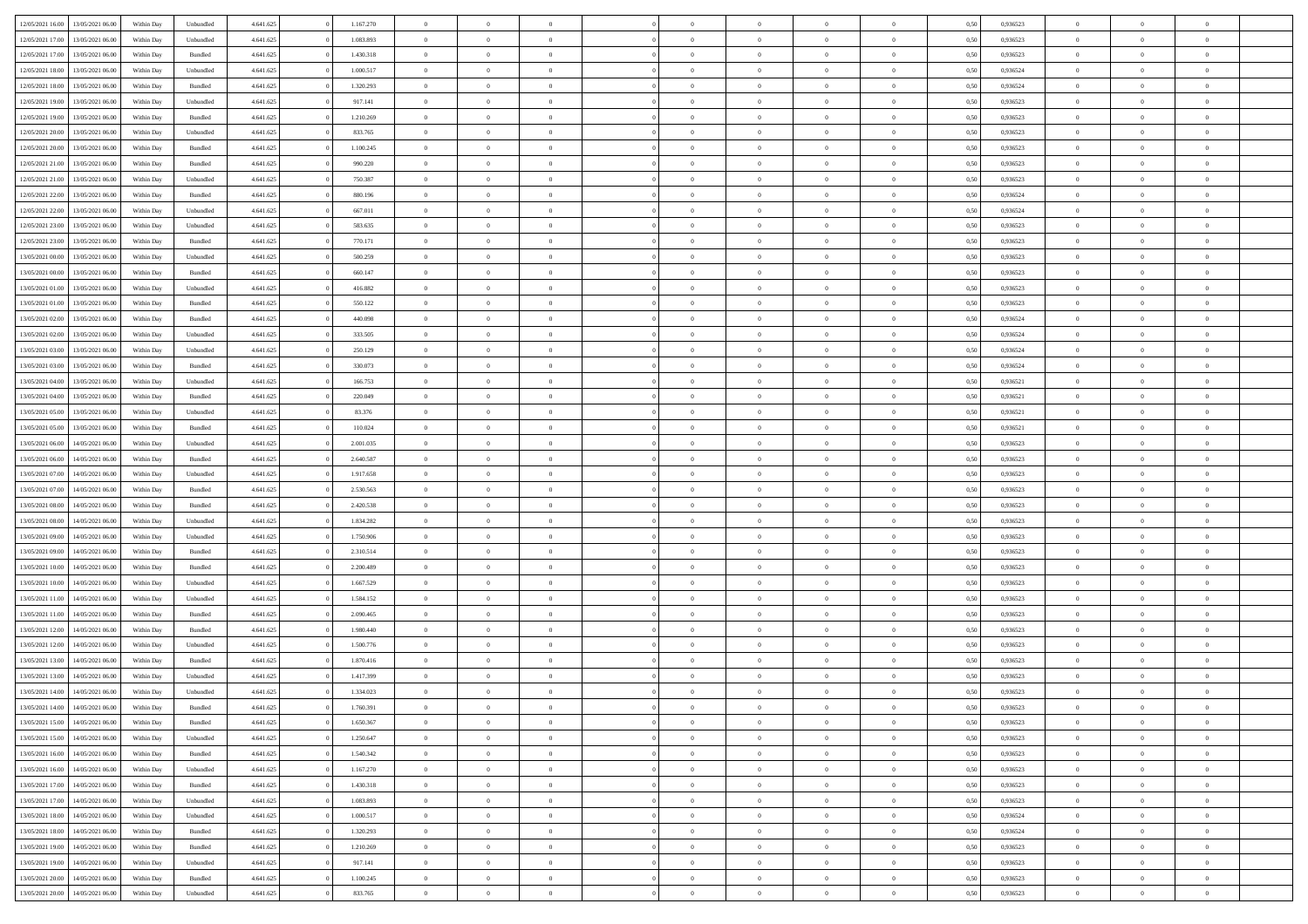| 12/05/2021 16:00 | 13/05/2021 06:00 | Within Day | Unbundled          | 4.641.625 | 1.167.270 | $\overline{0}$ | $\theta$       |                | $\Omega$       | $\Omega$       | $\theta$       | $\theta$       | 0.50 | 0,936523 | $\theta$       | $\overline{0}$ | $\overline{0}$ |  |
|------------------|------------------|------------|--------------------|-----------|-----------|----------------|----------------|----------------|----------------|----------------|----------------|----------------|------|----------|----------------|----------------|----------------|--|
|                  |                  |            |                    |           |           |                |                |                |                |                |                |                |      |          |                |                |                |  |
| 12/05/2021 17:00 | 13/05/2021 06:00 | Within Day | Unbundled          | 4.641.625 | 1.083.893 | $\overline{0}$ | $\theta$       | $\overline{0}$ | $\overline{0}$ | $\bf{0}$       | $\overline{0}$ | $\,$ 0 $\,$    | 0,50 | 0,936523 | $\theta$       | $\overline{0}$ | $\overline{0}$ |  |
| 12/05/2021 17:00 | 13/05/2021 06:00 | Within Day | Bundled            | 4.641.625 | 1.430.318 | $\overline{0}$ | $\bf{0}$       | $\overline{0}$ | $\bf{0}$       | $\bf{0}$       | $\bf{0}$       | $\mathbf{0}$   | 0,50 | 0,936523 | $\overline{0}$ | $\overline{0}$ | $\bf{0}$       |  |
| 12/05/2021 18:00 | 13/05/2021 06:00 | Within Dav | Unbundled          | 4.641.625 | 1.000.517 | $\overline{0}$ | $\overline{0}$ | $\overline{0}$ | $\overline{0}$ | $\bf{0}$       | $\overline{0}$ | $\overline{0}$ | 0.50 | 0.936524 | $\theta$       | $\theta$       | $\overline{0}$ |  |
| 12/05/2021 18:00 | 13/05/2021 06:00 | Within Day | Bundled            | 4.641.625 | 1.320.293 | $\overline{0}$ | $\theta$       | $\overline{0}$ | $\overline{0}$ | $\bf{0}$       | $\overline{0}$ | $\bf{0}$       | 0,50 | 0,936524 | $\theta$       | $\overline{0}$ | $\overline{0}$ |  |
|                  |                  |            |                    |           |           |                |                |                |                |                |                |                |      |          |                |                |                |  |
| 12/05/2021 19:00 | 13/05/2021 06:00 | Within Day | Unbundled          | 4.641.625 | 917.141   | $\overline{0}$ | $\overline{0}$ | $\overline{0}$ | $\bf{0}$       | $\overline{0}$ | $\overline{0}$ | $\mathbf{0}$   | 0,50 | 0,936523 | $\overline{0}$ | $\overline{0}$ | $\bf{0}$       |  |
| 12/05/2021 19:00 | 13/05/2021 06:00 | Within Dav | Bundled            | 4.641.625 | 1.210.269 | $\overline{0}$ | $\overline{0}$ | $\overline{0}$ | $\overline{0}$ | $\overline{0}$ | $\overline{0}$ | $\overline{0}$ | 0.50 | 0.936523 | $\theta$       | $\overline{0}$ | $\overline{0}$ |  |
| 12/05/2021 20:00 | 13/05/2021 06:00 | Within Day | Unbundled          | 4.641.625 | 833.765   | $\overline{0}$ | $\theta$       | $\overline{0}$ | $\overline{0}$ | $\bf{0}$       | $\overline{0}$ | $\bf{0}$       | 0,50 | 0,936523 | $\theta$       | $\theta$       | $\overline{0}$ |  |
| 12/05/2021 20:00 | 13/05/2021 06:00 | Within Day | Bundled            | 4.641.625 | 1.100.245 | $\overline{0}$ | $\overline{0}$ | $\overline{0}$ | $\bf{0}$       | $\bf{0}$       | $\bf{0}$       | $\mathbf{0}$   | 0,50 | 0,936523 | $\,0\,$        | $\overline{0}$ | $\overline{0}$ |  |
| 12/05/2021 21:00 | 13/05/2021 06:00 | Within Dav | Bundled            | 4.641.625 | 990.220   | $\overline{0}$ | $\overline{0}$ | $\overline{0}$ | $\overline{0}$ | $\overline{0}$ | $\overline{0}$ | $\overline{0}$ | 0.50 | 0.936523 | $\theta$       | $\overline{0}$ | $\overline{0}$ |  |
| 12/05/2021 21:00 | 13/05/2021 06:00 | Within Day | Unbundled          | 4.641.625 | 750.387   | $\overline{0}$ | $\theta$       | $\overline{0}$ | $\overline{0}$ | $\bf{0}$       | $\overline{0}$ | $\bf{0}$       | 0,50 | 0,936523 | $\,$ 0 $\,$    | $\overline{0}$ | $\overline{0}$ |  |
| 12/05/2021 22:00 | 13/05/2021 06:00 | Within Day | Bundled            | 4.641.625 | 880.196   | $\overline{0}$ | $\bf{0}$       | $\overline{0}$ | $\bf{0}$       | $\bf{0}$       | $\bf{0}$       | $\mathbf{0}$   | 0,50 | 0,936524 | $\overline{0}$ | $\overline{0}$ | $\bf{0}$       |  |
|                  |                  |            |                    |           |           |                |                |                |                |                |                |                |      |          | $\theta$       |                |                |  |
| 12/05/2021 22:00 | 13/05/2021 06:00 | Within Day | Unbundled          | 4.641.625 | 667.011   | $\overline{0}$ | $\overline{0}$ | $\overline{0}$ | $\overline{0}$ | $\bf{0}$       | $\overline{0}$ | $\overline{0}$ | 0.50 | 0.936524 |                | $\theta$       | $\overline{0}$ |  |
| 12/05/2021 23:00 | 13/05/2021 06:00 | Within Day | Unbundled          | 4.641.625 | 583.635   | $\overline{0}$ | $\theta$       | $\overline{0}$ | $\overline{0}$ | $\bf{0}$       | $\overline{0}$ | $\bf{0}$       | 0,50 | 0,936523 | $\theta$       | $\overline{0}$ | $\overline{0}$ |  |
| 12/05/2021 23:00 | 13/05/2021 06:00 | Within Day | Bundled            | 4.641.625 | 770.171   | $\overline{0}$ | $\overline{0}$ | $\overline{0}$ | $\bf{0}$       | $\overline{0}$ | $\overline{0}$ | $\mathbf{0}$   | 0,50 | 0,936523 | $\overline{0}$ | $\overline{0}$ | $\bf{0}$       |  |
| 13/05/2021 00:00 | 13/05/2021 06:00 | Within Dav | Unbundled          | 4.641.625 | 500.259   | $\overline{0}$ | $\overline{0}$ | $\overline{0}$ | $\overline{0}$ | $\overline{0}$ | $\overline{0}$ | $\overline{0}$ | 0.50 | 0.936523 | $\theta$       | $\overline{0}$ | $\overline{0}$ |  |
| 13/05/2021 00:00 | 13/05/2021 06:00 | Within Day | Bundled            | 4.641.625 | 660.147   | $\overline{0}$ | $\theta$       | $\overline{0}$ | $\overline{0}$ | $\bf{0}$       | $\overline{0}$ | $\bf{0}$       | 0,50 | 0,936523 | $\theta$       | $\theta$       | $\overline{0}$ |  |
| 13/05/2021 01:00 | 13/05/2021 06:00 | Within Day | Unbundled          | 4.641.625 | 416.882   | $\overline{0}$ | $\overline{0}$ | $\overline{0}$ | $\bf{0}$       | $\bf{0}$       | $\bf{0}$       | $\mathbf{0}$   | 0,50 | 0,936523 | $\,0\,$        | $\overline{0}$ | $\bf{0}$       |  |
| 13/05/2021 01:00 | 13/05/2021 06:00 | Within Day | Bundled            | 4.641.625 | 550.122   | $\overline{0}$ | $\overline{0}$ | $\overline{0}$ | $\overline{0}$ | $\overline{0}$ | $\overline{0}$ | $\overline{0}$ | 0.50 | 0.936523 | $\theta$       | $\overline{0}$ | $\overline{0}$ |  |
|                  |                  |            |                    |           |           | $\overline{0}$ |                |                |                |                |                |                |      |          |                |                |                |  |
| 13/05/2021 02:00 | 13/05/2021 06:00 | Within Day | Bundled            | 4.641.625 | 440.098   |                | $\theta$       | $\overline{0}$ | $\overline{0}$ | $\bf{0}$       | $\overline{0}$ | $\bf{0}$       | 0,50 | 0,936524 | $\,$ 0 $\,$    | $\overline{0}$ | $\overline{0}$ |  |
| 13/05/2021 02:00 | 13/05/2021 06:00 | Within Day | Unbundled          | 4.641.625 | 333.505   | $\overline{0}$ | $\overline{0}$ | $\overline{0}$ | $\bf{0}$       | $\bf{0}$       | $\bf{0}$       | $\mathbf{0}$   | 0,50 | 0,936524 | $\bf{0}$       | $\overline{0}$ | $\bf{0}$       |  |
| 13/05/2021 03:00 | 13/05/2021 06:00 | Within Day | Unbundled          | 4.641.625 | 250.129   | $\overline{0}$ | $\overline{0}$ | $\overline{0}$ | $\overline{0}$ | $\overline{0}$ | $\overline{0}$ | $\overline{0}$ | 0.50 | 0.936524 | $\theta$       | $\overline{0}$ | $\overline{0}$ |  |
| 13/05/2021 03:00 | 13/05/2021 06:00 | Within Day | Bundled            | 4.641.625 | 330.073   | $\overline{0}$ | $\theta$       | $\overline{0}$ | $\overline{0}$ | $\bf{0}$       | $\overline{0}$ | $\,$ 0 $\,$    | 0,50 | 0,936524 | $\,$ 0 $\,$    | $\overline{0}$ | $\overline{0}$ |  |
| 13/05/2021 04:00 | 13/05/2021 06:00 | Within Day | Unbundled          | 4.641.625 | 166.753   | $\overline{0}$ | $\overline{0}$ | $\overline{0}$ | $\bf{0}$       | $\overline{0}$ | $\overline{0}$ | $\mathbf{0}$   | 0,50 | 0,936521 | $\overline{0}$ | $\overline{0}$ | $\bf{0}$       |  |
| 13/05/2021 04:00 | 13/05/2021 06:00 | Within Dav | Bundled            | 4.641.625 | 220.049   | $\overline{0}$ | $\overline{0}$ | $\overline{0}$ | $\overline{0}$ | $\overline{0}$ | $\overline{0}$ | $\overline{0}$ | 0.50 | 0,936521 | $\theta$       | $\overline{0}$ | $\overline{0}$ |  |
| 13/05/2021 05:00 | 13/05/2021 06:00 | Within Day | Unbundled          | 4.641.625 | 83.376    | $\overline{0}$ | $\theta$       | $\overline{0}$ | $\overline{0}$ | $\bf{0}$       | $\overline{0}$ | $\bf{0}$       | 0,50 | 0,936521 | $\theta$       | $\theta$       | $\overline{0}$ |  |
|                  |                  |            |                    |           |           |                |                |                |                |                |                |                |      |          |                |                |                |  |
| 13/05/2021 05:00 | 13/05/2021 06:00 | Within Day | Bundled            | 4.641.625 | 110.024   | $\overline{0}$ | $\overline{0}$ | $\overline{0}$ | $\bf{0}$       | $\bf{0}$       | $\bf{0}$       | $\bf{0}$       | 0,50 | 0,936521 | $\,0\,$        | $\overline{0}$ | $\overline{0}$ |  |
| 13/05/2021 06:00 | 14/05/2021 06:00 | Within Day | Unbundled          | 4.641.625 | 2.001.035 | $\overline{0}$ | $\overline{0}$ | $\overline{0}$ | $\overline{0}$ | $\overline{0}$ | $\overline{0}$ | $\overline{0}$ | 0.50 | 0.936523 | $\theta$       | $\overline{0}$ | $\overline{0}$ |  |
| 13/05/2021 06:00 | 14/05/2021 06:00 | Within Day | Bundled            | 4.641.625 | 2.640.587 | $\overline{0}$ | $\theta$       | $\overline{0}$ | $\overline{0}$ | $\bf{0}$       | $\overline{0}$ | $\bf{0}$       | 0,50 | 0,936523 | $\,$ 0 $\,$    | $\overline{0}$ | $\overline{0}$ |  |
| 13/05/2021 07:00 | 14/05/2021 06:00 | Within Day | Unbundled          | 4.641.625 | 1.917.658 | $\overline{0}$ | $\bf{0}$       | $\overline{0}$ | $\bf{0}$       | $\bf{0}$       | $\bf{0}$       | $\bf{0}$       | 0,50 | 0,936523 | $\bf{0}$       | $\overline{0}$ | $\bf{0}$       |  |
| 13/05/2021 07:00 | 14/05/2021 06:00 | Within Day | Bundled            | 4.641.625 | 2.530.563 | $\overline{0}$ | $\Omega$       | $\overline{0}$ | $\Omega$       | $\bf{0}$       | $\overline{0}$ | $\overline{0}$ | 0,50 | 0,936523 | $\,0\,$        | $\theta$       | $\theta$       |  |
| 13/05/2021 08:00 | 14/05/2021 06:00 | Within Day | Bundled            | 4.641.625 | 2.420.538 | $\overline{0}$ | $\theta$       | $\overline{0}$ | $\overline{0}$ | $\bf{0}$       | $\overline{0}$ | $\bf{0}$       | 0,50 | 0,936523 | $\theta$       | $\overline{0}$ | $\overline{0}$ |  |
| 13/05/2021 08:00 | 14/05/2021 06:00 | Within Day | Unbundled          | 4.641.625 | 1.834.282 | $\overline{0}$ | $\overline{0}$ | $\overline{0}$ | $\bf{0}$       | $\overline{0}$ | $\overline{0}$ | $\mathbf{0}$   | 0,50 | 0,936523 | $\overline{0}$ | $\overline{0}$ | $\bf{0}$       |  |
|                  |                  |            |                    |           |           |                |                |                |                |                |                |                |      |          |                |                |                |  |
| 13/05/2021 09:00 | 14/05/2021 06:00 | Within Day | Unbundled          | 4.641.625 | 1.750.906 | $\overline{0}$ | $\Omega$       | $\Omega$       | $\Omega$       | $\overline{0}$ | $\overline{0}$ | $\overline{0}$ | 0.50 | 0.936523 | $\,0\,$        | $\theta$       | $\theta$       |  |
| 13/05/2021 09:00 | 14/05/2021 06:00 | Within Day | Bundled            | 4.641.625 | 2.310.514 | $\overline{0}$ | $\theta$       | $\overline{0}$ | $\overline{0}$ | $\bf{0}$       | $\overline{0}$ | $\bf{0}$       | 0,50 | 0,936523 | $\theta$       | $\overline{0}$ | $\overline{0}$ |  |
| 13/05/2021 10:00 | 14/05/2021 06:00 | Within Day | Bundled            | 4.641.625 | 2.200.489 | $\overline{0}$ | $\overline{0}$ | $\overline{0}$ | $\bf{0}$       | $\bf{0}$       | $\bf{0}$       | $\mathbf{0}$   | 0,50 | 0,936523 | $\bf{0}$       | $\overline{0}$ | $\bf{0}$       |  |
| 13/05/2021 10:00 | 14/05/2021 06:00 | Within Day | Unbundled          | 4.641.625 | 1.667.529 | $\overline{0}$ | $\Omega$       | $\Omega$       | $\Omega$       | $\overline{0}$ | $\overline{0}$ | $\overline{0}$ | 0.50 | 0.936523 | $\,$ 0 $\,$    | $\theta$       | $\theta$       |  |
| 13/05/2021 11:00 | 14/05/2021 06:00 | Within Day | Unbundled          | 4.641.625 | 1.584.152 | $\overline{0}$ | $\theta$       | $\overline{0}$ | $\overline{0}$ | $\,$ 0         | $\overline{0}$ | $\bf{0}$       | 0,50 | 0,936523 | $\,$ 0 $\,$    | $\overline{0}$ | $\overline{0}$ |  |
| 13/05/2021 11:00 | 14/05/2021 06:00 | Within Day | Bundled            | 4.641.625 | 2.090.465 | $\overline{0}$ | $\bf{0}$       | $\overline{0}$ | $\bf{0}$       | $\bf{0}$       | $\bf{0}$       | $\mathbf{0}$   | 0,50 | 0,936523 | $\overline{0}$ | $\overline{0}$ | $\bf{0}$       |  |
| 13/05/2021 12:00 | 14/05/2021 06:00 | Within Day | Bundled            | 4.641.625 | 1.980.440 | $\overline{0}$ | $\Omega$       | $\overline{0}$ | $\Omega$       | $\bf{0}$       | $\overline{0}$ | $\overline{0}$ | 0,50 | 0,936523 | $\,0\,$        | $\theta$       | $\theta$       |  |
| 13/05/2021 12:00 | 14/05/2021 06:00 | Within Day | Unbundled          | 4.641.625 | 1.500.776 | $\overline{0}$ | $\overline{0}$ | $\overline{0}$ | $\overline{0}$ | $\,$ 0         | $\overline{0}$ | $\bf{0}$       | 0,50 | 0,936523 | $\,$ 0 $\,$    | $\overline{0}$ | $\overline{0}$ |  |
|                  |                  |            |                    |           |           |                |                |                |                |                |                |                |      |          |                |                |                |  |
| 13/05/2021 13:00 | 14/05/2021 06:00 | Within Day | Bundled            | 4.641.625 | 1.870.416 | $\overline{0}$ | $\overline{0}$ | $\overline{0}$ | $\bf{0}$       | $\bf{0}$       | $\overline{0}$ | $\mathbf{0}$   | 0,50 | 0,936523 | $\overline{0}$ | $\overline{0}$ | $\bf{0}$       |  |
| 13/05/2021 13:00 | 14/05/2021 06:00 | Within Day | Unbundled          | 4.641.625 | 1.417.399 | $\overline{0}$ | $\Omega$       | $\Omega$       | $\Omega$       | $\Omega$       | $\Omega$       | $\overline{0}$ | 0.50 | 0.936523 | $\theta$       | $\theta$       | $\theta$       |  |
| 13/05/2021 14:00 | 14/05/2021 06:00 | Within Day | Unbundled          | 4.641.625 | 1.334.023 | $\overline{0}$ | $\overline{0}$ | $\overline{0}$ | $\bf{0}$       | $\,$ 0         | $\bf{0}$       | $\bf{0}$       | 0,50 | 0,936523 | $\,0\,$        | $\,$ 0 $\,$    | $\overline{0}$ |  |
| 13/05/2021 14:00 | 14/05/2021 06:00 | Within Day | $\mathbf B$ undled | 4.641.625 | 1.760.391 | $\bf{0}$       | $\bf{0}$       |                |                | $\bf{0}$       |                |                | 0,50 | 0,936523 | $\bf{0}$       | $\overline{0}$ |                |  |
| 13/05/2021 15:00 | 14/05/2021 06:00 | Within Day | Bundled            | 4.641.625 | 1.650.367 | $\overline{0}$ | $\overline{0}$ | $\overline{0}$ | $\Omega$       | $\overline{0}$ | $\overline{0}$ | $\overline{0}$ | 0.50 | 0.936523 | $\theta$       | $\theta$       | $\theta$       |  |
| 13/05/2021 15:00 | 14/05/2021 06:00 | Within Day | Unbundled          | 4.641.625 | 1.250.647 | $\overline{0}$ | $\,$ 0         | $\overline{0}$ | $\bf{0}$       | $\,$ 0 $\,$    | $\overline{0}$ | $\mathbf{0}$   | 0,50 | 0,936523 | $\,$ 0 $\,$    | $\,$ 0 $\,$    | $\,$ 0         |  |
| 13/05/2021 16:00 | 14/05/2021 06:00 | Within Day | Bundled            | 4.641.625 | 1.540.342 | $\overline{0}$ | $\overline{0}$ | $\overline{0}$ | $\overline{0}$ | $\overline{0}$ | $\overline{0}$ | $\mathbf{0}$   | 0,50 | 0,936523 | $\overline{0}$ | $\bf{0}$       | $\bf{0}$       |  |
|                  |                  |            |                    |           |           |                |                |                |                |                |                |                |      |          |                |                |                |  |
| 13/05/2021 16:00 | 14/05/2021 06:00 | Within Day | Unbundled          | 4.641.625 | 1.167.270 | $\overline{0}$ | $\overline{0}$ | $\overline{0}$ | $\Omega$       | $\overline{0}$ | $\overline{0}$ | $\overline{0}$ | 0,50 | 0,936523 | $\overline{0}$ | $\theta$       | $\overline{0}$ |  |
| 13/05/2021 17:00 | 14/05/2021 06:00 | Within Day | Bundled            | 4.641.625 | 1.430.318 | $\overline{0}$ | $\,$ 0         | $\overline{0}$ | $\overline{0}$ | $\,$ 0 $\,$    | $\overline{0}$ | $\mathbf{0}$   | 0,50 | 0,936523 | $\,$ 0 $\,$    | $\overline{0}$ | $\overline{0}$ |  |
| 13/05/2021 17:00 | 14/05/2021 06:00 | Within Day | Unbundled          | 4.641.625 | 1.083.893 | $\overline{0}$ | $\overline{0}$ | $\overline{0}$ | $\overline{0}$ | $\overline{0}$ | $\overline{0}$ | $\mathbf{0}$   | 0,50 | 0,936523 | $\overline{0}$ | $\overline{0}$ | $\bf{0}$       |  |
| 13/05/2021 18:00 | 14/05/2021 06:00 | Within Day | Unbundled          | 4.641.625 | 1.000.517 | $\overline{0}$ | $\overline{0}$ | $\overline{0}$ | $\Omega$       | $\overline{0}$ | $\overline{0}$ | $\bf{0}$       | 0.50 | 0,936524 | $\overline{0}$ | $\theta$       | $\overline{0}$ |  |
| 13/05/2021 18:00 | 14/05/2021 06:00 | Within Day | Bundled            | 4.641.625 | 1.320.293 | $\overline{0}$ | $\,$ 0         | $\overline{0}$ | $\bf{0}$       | $\bf{0}$       | $\bf{0}$       | $\bf{0}$       | 0,50 | 0,936524 | $\,$ 0 $\,$    | $\overline{0}$ | $\overline{0}$ |  |
| 13/05/2021 19:00 | 14/05/2021 06:00 | Within Day | Bundled            | 4.641.625 | 1.210.269 | $\overline{0}$ | $\bf{0}$       | $\overline{0}$ | $\overline{0}$ | $\overline{0}$ | $\overline{0}$ | $\mathbf{0}$   | 0,50 | 0,936523 | $\overline{0}$ | $\overline{0}$ | $\bf{0}$       |  |
| 13/05/2021 19:00 | 14/05/2021 06:00 | Within Day | Unbundled          | 4.641.625 | 917.141   | $\overline{0}$ | $\overline{0}$ | $\overline{0}$ | $\Omega$       | $\overline{0}$ | $\overline{0}$ | $\bf{0}$       | 0.50 | 0.936523 | $\overline{0}$ | $\theta$       | $\overline{0}$ |  |
| 13/05/2021 20:00 | 14/05/2021 06:00 |            | Bundled            | 4.641.625 | 1.100.245 | $\overline{0}$ | $\bf{0}$       |                | $\overline{0}$ | $\bf{0}$       |                |                |      | 0,936523 | $\,$ 0 $\,$    | $\,$ 0 $\,$    | $\bf{0}$       |  |
|                  |                  | Within Day |                    |           |           |                |                | $\overline{0}$ |                |                | $\bf{0}$       | $\mathbf{0}$   | 0,50 |          |                |                |                |  |
| 13/05/2021 20:00 | 14/05/2021 06:00 | Within Day | Unbundled          | 4.641.625 | 833.765   | $\overline{0}$ | $\overline{0}$ | $\overline{0}$ | $\overline{0}$ | $\bf{0}$       | $\bf{0}$       | $\mathbf{0}$   | 0,50 | 0,936523 | $\overline{0}$ | $\bf{0}$       | $\bf{0}$       |  |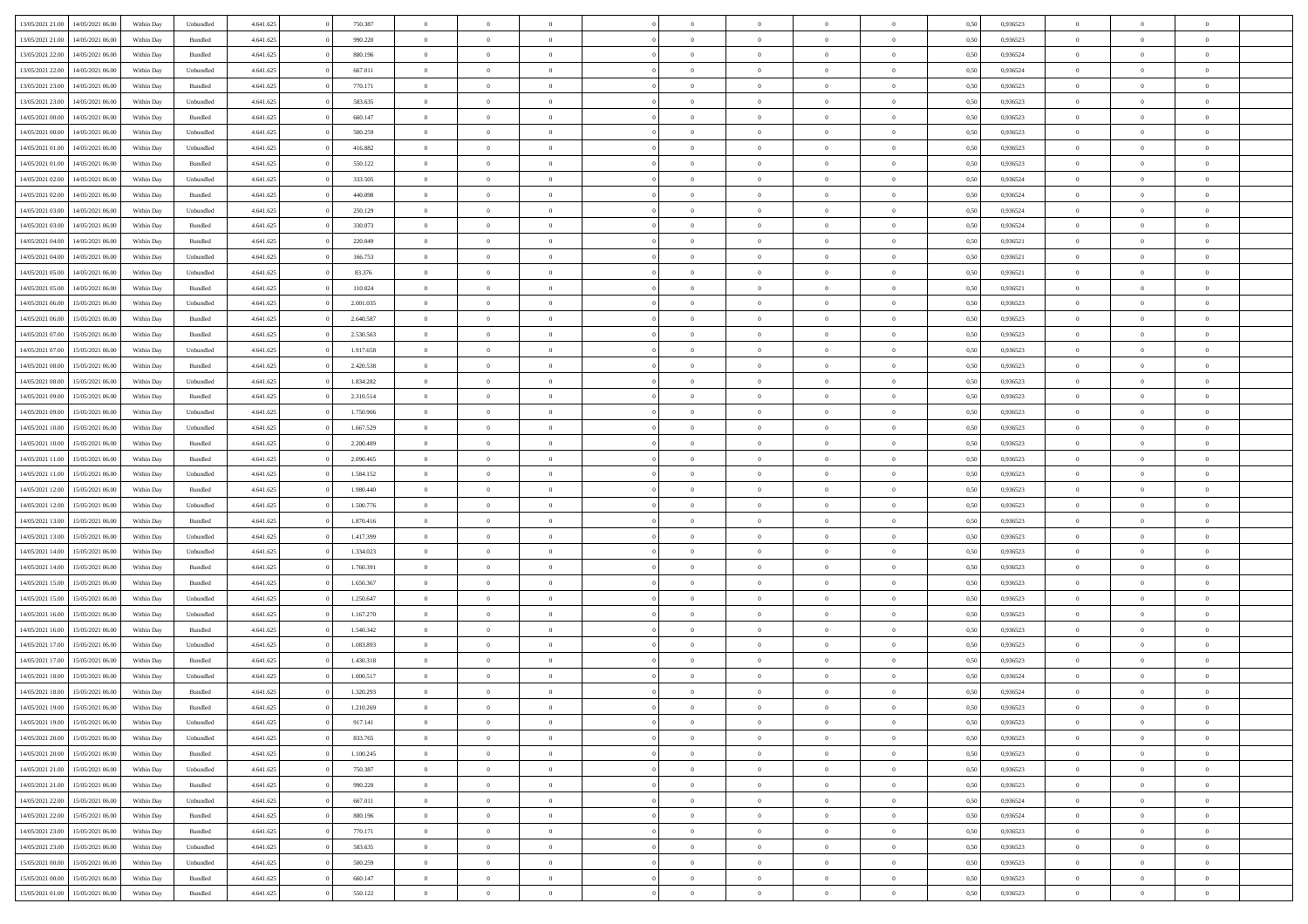| 13/05/2021 21:00 | 14/05/2021 06:00 | Within Day | Unbundled          | 4.641.625 | 750.387   | $\overline{0}$ | $\theta$       |                | $\Omega$       | $\Omega$       | $\theta$       | $\theta$       | 0.50 | 0.936523 | $\theta$       | $\overline{0}$ | $\overline{0}$ |  |
|------------------|------------------|------------|--------------------|-----------|-----------|----------------|----------------|----------------|----------------|----------------|----------------|----------------|------|----------|----------------|----------------|----------------|--|
| 13/05/2021 21:00 | 14/05/2021 06:00 | Within Day | Bundled            | 4.641.625 | 990.220   | $\overline{0}$ | $\overline{0}$ | $\overline{0}$ | $\overline{0}$ | $\bf{0}$       | $\overline{0}$ | $\bf{0}$       | 0,50 | 0,936523 | $\theta$       | $\overline{0}$ | $\overline{0}$ |  |
| 13/05/2021 22:00 | 14/05/2021 06:00 | Within Day | Bundled            | 4.641.625 | 880.196   | $\overline{0}$ | $\bf{0}$       | $\overline{0}$ | $\bf{0}$       | $\bf{0}$       | $\bf{0}$       | $\mathbf{0}$   | 0,50 | 0,936524 | $\overline{0}$ | $\overline{0}$ | $\bf{0}$       |  |
| 13/05/2021 22:00 | 14/05/2021 06:00 | Within Dav | Unbundled          | 4.641.625 | 667.011   | $\overline{0}$ | $\overline{0}$ | $\overline{0}$ | $\overline{0}$ | $\bf{0}$       | $\overline{0}$ | $\overline{0}$ | 0.50 | 0.936524 | $\theta$       | $\theta$       | $\overline{0}$ |  |
|                  |                  |            |                    |           |           |                |                |                |                |                |                |                |      |          |                |                |                |  |
| 13/05/2021 23:00 | 14/05/2021 06:00 | Within Day | Bundled            | 4.641.625 | 770.171   | $\overline{0}$ | $\theta$       | $\overline{0}$ | $\overline{0}$ | $\bf{0}$       | $\overline{0}$ | $\bf{0}$       | 0,50 | 0,936523 | $\theta$       | $\overline{0}$ | $\overline{0}$ |  |
| 13/05/2021 23:00 | 14/05/2021 06:00 | Within Day | Unbundled          | 4.641.625 | 583.635   | $\overline{0}$ | $\overline{0}$ | $\overline{0}$ | $\bf{0}$       | $\overline{0}$ | $\overline{0}$ | $\mathbf{0}$   | 0,50 | 0,936523 | $\overline{0}$ | $\overline{0}$ | $\bf{0}$       |  |
| 14/05/2021 00:00 | 14/05/2021 06:00 | Within Dav | Bundled            | 4.641.625 | 660.147   | $\overline{0}$ | $\overline{0}$ | $\overline{0}$ | $\overline{0}$ | $\overline{0}$ | $\overline{0}$ | $\overline{0}$ | 0.50 | 0.936523 | $\theta$       | $\overline{0}$ | $\overline{0}$ |  |
| 14/05/2021 00:00 | 14/05/2021 06:00 | Within Day | Unbundled          | 4.641.625 | 500.259   | $\overline{0}$ | $\theta$       | $\overline{0}$ | $\overline{0}$ | $\bf{0}$       | $\overline{0}$ | $\bf{0}$       | 0,50 | 0,936523 | $\theta$       | $\theta$       | $\overline{0}$ |  |
|                  |                  |            |                    |           |           |                |                |                |                |                |                |                |      |          |                |                |                |  |
| 14/05/2021 01:00 | 14/05/2021 06:00 | Within Day | Unbundled          | 4.641.625 | 416.882   | $\overline{0}$ | $\overline{0}$ | $\overline{0}$ | $\bf{0}$       | $\bf{0}$       | $\bf{0}$       | $\bf{0}$       | 0,50 | 0,936523 | $\,0\,$        | $\overline{0}$ | $\overline{0}$ |  |
| 14/05/2021 01:00 | 14/05/2021 06:00 | Within Dav | Bundled            | 4.641.625 | 550.122   | $\overline{0}$ | $\overline{0}$ | $\overline{0}$ | $\overline{0}$ | $\overline{0}$ | $\overline{0}$ | $\overline{0}$ | 0.50 | 0.936523 | $\theta$       | $\overline{0}$ | $\overline{0}$ |  |
| 14/05/2021 02:00 | 14/05/2021 06:00 | Within Day | Unbundled          | 4.641.625 | 333.505   | $\overline{0}$ | $\theta$       | $\overline{0}$ | $\overline{0}$ | $\bf{0}$       | $\overline{0}$ | $\bf{0}$       | 0,50 | 0,936524 | $\,$ 0 $\,$    | $\overline{0}$ | $\overline{0}$ |  |
| 14/05/2021 02:00 | 14/05/2021 06:00 | Within Day | Bundled            | 4.641.625 | 440.098   | $\overline{0}$ | $\bf{0}$       | $\overline{0}$ | $\bf{0}$       | $\bf{0}$       | $\bf{0}$       | $\mathbf{0}$   | 0,50 | 0,936524 | $\overline{0}$ | $\overline{0}$ | $\bf{0}$       |  |
| 14/05/2021 03:00 | 14/05/2021 06:00 | Within Day | Unbundled          | 4.641.625 | 250.129   | $\overline{0}$ | $\overline{0}$ | $\overline{0}$ | $\overline{0}$ | $\bf{0}$       | $\overline{0}$ | $\overline{0}$ | 0.50 | 0,936524 | $\theta$       | $\theta$       | $\overline{0}$ |  |
|                  |                  |            |                    |           |           |                |                |                |                |                |                |                |      |          |                |                |                |  |
| 14/05/2021 03:00 | 14/05/2021 06:00 | Within Day | Bundled            | 4.641.625 | 330.073   | $\overline{0}$ | $\theta$       | $\overline{0}$ | $\overline{0}$ | $\bf{0}$       | $\overline{0}$ | $\bf{0}$       | 0,50 | 0,936524 | $\theta$       | $\overline{0}$ | $\overline{0}$ |  |
| 14/05/2021 04:00 | 14/05/2021 06:00 | Within Day | Bundled            | 4.641.625 | 220.049   | $\overline{0}$ | $\overline{0}$ | $\overline{0}$ | $\bf{0}$       | $\overline{0}$ | $\overline{0}$ | $\mathbf{0}$   | 0,50 | 0,936521 | $\overline{0}$ | $\overline{0}$ | $\bf{0}$       |  |
| 14/05/2021 04:00 | 14/05/2021 06:00 | Within Dav | Unbundled          | 4.641.625 | 166.753   | $\overline{0}$ | $\overline{0}$ | $\overline{0}$ | $\overline{0}$ | $\overline{0}$ | $\overline{0}$ | $\overline{0}$ | 0.50 | 0,936521 | $\theta$       | $\overline{0}$ | $\overline{0}$ |  |
| 14/05/2021 05:00 | 14/05/2021 06:00 | Within Day | Unbundled          | 4.641.625 | 83.376    | $\overline{0}$ | $\theta$       | $\overline{0}$ | $\overline{0}$ | $\bf{0}$       | $\overline{0}$ | $\bf{0}$       | 0,50 | 0,936521 | $\theta$       | $\theta$       | $\overline{0}$ |  |
|                  |                  |            |                    |           |           |                |                |                |                |                |                |                |      |          |                |                |                |  |
| 14/05/2021 05:00 | 14/05/2021 06:00 | Within Day | Bundled            | 4.641.625 | 110.024   | $\overline{0}$ | $\overline{0}$ | $\overline{0}$ | $\bf{0}$       | $\bf{0}$       | $\bf{0}$       | $\mathbf{0}$   | 0,50 | 0,936521 | $\,0\,$        | $\overline{0}$ | $\overline{0}$ |  |
| 14/05/2021 06:00 | 15/05/2021 06:00 | Within Day | Unbundled          | 4.641.625 | 2.001.035 | $\overline{0}$ | $\overline{0}$ | $\overline{0}$ | $\overline{0}$ | $\overline{0}$ | $\overline{0}$ | $\overline{0}$ | 0.50 | 0.936523 | $\theta$       | $\overline{0}$ | $\overline{0}$ |  |
| 14/05/2021 06:00 | 15/05/2021 06:00 | Within Day | Bundled            | 4.641.625 | 2.640.587 | $\overline{0}$ | $\theta$       | $\overline{0}$ | $\overline{0}$ | $\bf{0}$       | $\overline{0}$ | $\bf{0}$       | 0,50 | 0,936523 | $\,$ 0 $\,$    | $\overline{0}$ | $\overline{0}$ |  |
| 14/05/2021 07:00 | 15/05/2021 06:00 | Within Day | Bundled            | 4.641.625 | 2.530.563 | $\overline{0}$ | $\overline{0}$ | $\overline{0}$ | $\bf{0}$       | $\bf{0}$       | $\bf{0}$       | $\mathbf{0}$   | 0,50 | 0,936523 | $\,0\,$        | $\overline{0}$ | $\bf{0}$       |  |
| 14/05/2021 07:00 | 15/05/2021 06:00 | Within Day | Unbundled          | 4.641.625 | 1.917.658 | $\overline{0}$ | $\overline{0}$ | $\overline{0}$ | $\overline{0}$ | $\overline{0}$ | $\overline{0}$ | $\overline{0}$ | 0.50 | 0.936523 | $\theta$       | $\overline{0}$ | $\overline{0}$ |  |
|                  |                  |            |                    |           |           |                |                |                |                |                |                |                |      |          |                |                |                |  |
| 14/05/2021 08:00 | 15/05/2021 06:00 | Within Day | Bundled            | 4.641.625 | 2.420.538 | $\overline{0}$ | $\theta$       | $\overline{0}$ | $\overline{0}$ | $\bf{0}$       | $\overline{0}$ | $\bf{0}$       | 0,50 | 0,936523 | $\theta$       | $\overline{0}$ | $\overline{0}$ |  |
| 14/05/2021 08:00 | 15/05/2021 06:00 | Within Day | Unbundled          | 4.641.625 | 1.834.282 | $\overline{0}$ | $\overline{0}$ | $\overline{0}$ | $\bf{0}$       | $\overline{0}$ | $\overline{0}$ | $\mathbf{0}$   | 0,50 | 0,936523 | $\overline{0}$ | $\overline{0}$ | $\bf{0}$       |  |
| 14/05/2021 09:00 | 15/05/2021 06:00 | Within Dav | Bundled            | 4.641.625 | 2.310.514 | $\overline{0}$ | $\overline{0}$ | $\overline{0}$ | $\overline{0}$ | $\overline{0}$ | $\overline{0}$ | $\overline{0}$ | 0.50 | 0.936523 | $\theta$       | $\overline{0}$ | $\overline{0}$ |  |
| 14/05/2021 09:00 | 15/05/2021 06:00 | Within Day | Unbundled          | 4.641.625 | 1.750.906 | $\overline{0}$ | $\theta$       | $\overline{0}$ | $\overline{0}$ | $\bf{0}$       | $\overline{0}$ | $\bf{0}$       | 0,50 | 0,936523 | $\theta$       | $\theta$       | $\overline{0}$ |  |
| 14/05/2021 10:00 | 15/05/2021 06:00 | Within Day | Unbundled          | 4.641.625 | 1.667.529 | $\overline{0}$ | $\overline{0}$ | $\overline{0}$ | $\bf{0}$       | $\bf{0}$       | $\bf{0}$       | $\bf{0}$       | 0,50 | 0,936523 | $\,0\,$        | $\overline{0}$ | $\overline{0}$ |  |
|                  |                  |            |                    |           |           |                |                |                |                |                |                |                |      |          |                |                |                |  |
| 14/05/2021 10:00 | 15/05/2021 06:00 | Within Day | Bundled            | 4.641.625 | 2.200.489 | $\overline{0}$ | $\overline{0}$ | $\overline{0}$ | $\overline{0}$ | $\overline{0}$ | $\overline{0}$ | $\overline{0}$ | 0.50 | 0.936523 | $\theta$       | $\overline{0}$ | $\overline{0}$ |  |
| 14/05/2021 11:00 | 15/05/2021 06:00 | Within Day | Bundled            | 4.641.625 | 2.090.465 | $\overline{0}$ | $\theta$       | $\overline{0}$ | $\overline{0}$ | $\bf{0}$       | $\overline{0}$ | $\bf{0}$       | 0,50 | 0,936523 | $\,$ 0 $\,$    | $\overline{0}$ | $\overline{0}$ |  |
| 14/05/2021 11:00 | 15/05/2021 06:00 | Within Day | Unbundled          | 4.641.625 | 1.584.152 | $\overline{0}$ | $\overline{0}$ | $\overline{0}$ | $\bf{0}$       | $\bf{0}$       | $\bf{0}$       | $\bf{0}$       | 0,50 | 0,936523 | $\bf{0}$       | $\overline{0}$ | $\bf{0}$       |  |
| 14/05/2021 12:00 | 15/05/2021 06:00 | Within Day | Bundled            | 4.641.625 | 1.980.440 | $\overline{0}$ | $\Omega$       | $\Omega$       | $\Omega$       | $\Omega$       | $\overline{0}$ | $\overline{0}$ | 0,50 | 0,936523 | $\,0\,$        | $\theta$       | $\theta$       |  |
| 14/05/2021 12:00 | 15/05/2021 06:00 |            |                    | 4.641.625 | 1.500.776 | $\overline{0}$ | $\theta$       | $\overline{0}$ | $\overline{0}$ | $\bf{0}$       | $\overline{0}$ |                |      | 0,936523 | $\theta$       | $\overline{0}$ | $\overline{0}$ |  |
|                  |                  | Within Day | Unbundled          |           |           |                |                |                |                |                |                | $\bf{0}$       | 0,50 |          |                |                |                |  |
| 14/05/2021 13:00 | 15/05/2021 06:00 | Within Day | Bundled            | 4.641.625 | 1.870.416 | $\overline{0}$ | $\overline{0}$ | $\overline{0}$ | $\bf{0}$       | $\overline{0}$ | $\overline{0}$ | $\mathbf{0}$   | 0,50 | 0,936523 | $\overline{0}$ | $\overline{0}$ | $\bf{0}$       |  |
| 14/05/2021 13:00 | 15/05/2021 06:00 | Within Day | Unbundled          | 4.641.625 | 1.417.399 | $\overline{0}$ | $\Omega$       | $\Omega$       | $\Omega$       | $\overline{0}$ | $\overline{0}$ | $\overline{0}$ | 0.50 | 0.936523 | $\,0\,$        | $\theta$       | $\theta$       |  |
| 14/05/2021 14:00 | 15/05/2021 06:00 | Within Day | Unbundled          | 4.641.625 | 1.334.023 | $\overline{0}$ | $\theta$       | $\overline{0}$ | $\overline{0}$ | $\bf{0}$       | $\overline{0}$ | $\bf{0}$       | 0,50 | 0,936523 | $\theta$       | $\overline{0}$ | $\overline{0}$ |  |
| 14/05/2021 14:00 | 15/05/2021 06:00 | Within Day | Bundled            | 4.641.625 | 1.760.391 | $\overline{0}$ | $\overline{0}$ | $\overline{0}$ | $\bf{0}$       | $\bf{0}$       | $\bf{0}$       | $\bf{0}$       | 0,50 | 0,936523 | $\,0\,$        | $\overline{0}$ | $\bf{0}$       |  |
|                  |                  |            |                    |           |           |                |                |                |                |                |                |                |      |          |                |                |                |  |
| 14/05/2021 15:00 | 15/05/2021 06:00 | Within Day | Bundled            | 4.641.625 | 1.650.367 | $\overline{0}$ | $\Omega$       | $\Omega$       | $\Omega$       | $\overline{0}$ | $\overline{0}$ | $\overline{0}$ | 0.50 | 0.936523 | $\,$ 0 $\,$    | $\theta$       | $\theta$       |  |
| 14/05/2021 15:00 | 15/05/2021 06:00 | Within Day | Unbundled          | 4.641.625 | 1.250.647 | $\overline{0}$ | $\theta$       | $\overline{0}$ | $\overline{0}$ | $\,$ 0         | $\overline{0}$ | $\bf{0}$       | 0,50 | 0,936523 | $\,$ 0 $\,$    | $\overline{0}$ | $\overline{0}$ |  |
| 14/05/2021 16:00 | 15/05/2021 06:00 | Within Day | Unbundled          | 4.641.625 | 1.167.270 | $\overline{0}$ | $\bf{0}$       | $\overline{0}$ | $\bf{0}$       | $\bf{0}$       | $\bf{0}$       | $\mathbf{0}$   | 0,50 | 0,936523 | $\bf{0}$       | $\overline{0}$ | $\bf{0}$       |  |
| 14/05/2021 16:00 | 15/05/2021 06:00 | Within Day | Bundled            | 4.641.625 | 1.540.342 | $\overline{0}$ | $\Omega$       | $\overline{0}$ | $\Omega$       | $\bf{0}$       | $\overline{0}$ | $\overline{0}$ | 0,50 | 0,936523 | $\,0\,$        | $\theta$       | $\theta$       |  |
| 14/05/2021 17:00 | 15/05/2021 06:00 | Within Day | Unbundled          | 4.641.625 | 1.083.893 | $\overline{0}$ | $\theta$       | $\overline{0}$ | $\overline{0}$ | $\,$ 0         | $\overline{0}$ | $\bf{0}$       | 0,50 | 0,936523 | $\,$ 0 $\,$    | $\overline{0}$ | $\overline{0}$ |  |
|                  |                  |            |                    |           |           |                |                |                |                |                |                |                |      |          |                |                |                |  |
| 14/05/2021 17:00 | 15/05/2021 06:00 | Within Day | Bundled            | 4.641.625 | 1.430.318 | $\overline{0}$ | $\overline{0}$ | $\overline{0}$ | $\bf{0}$       | $\bf{0}$       | $\overline{0}$ | $\mathbf{0}$   | 0,50 | 0,936523 | $\bf{0}$       | $\overline{0}$ | $\bf{0}$       |  |
| 14/05/2021 18:00 | 15/05/2021 06:00 | Within Day | Unbundled          | 4.641.625 | 1,000.517 | $\overline{0}$ | $\Omega$       | $\Omega$       | $\Omega$       | $\Omega$       | $\Omega$       | $\overline{0}$ | 0.50 | 0.936524 | $\theta$       | $\theta$       | $\theta$       |  |
| 14/05/2021 18:00 | 15/05/2021 06:00 | Within Day | Bundled            | 4.641.625 | 1.320.293 | $\overline{0}$ | $\overline{0}$ | $\overline{0}$ | $\bf{0}$       | $\,$ 0         | $\bf{0}$       | $\bf{0}$       | 0,50 | 0,936524 | $\,0\,$        | $\,$ 0 $\,$    | $\overline{0}$ |  |
| 14/05/2021 19:00 | 15/05/2021 06:00 | Within Day | $\mathbf B$ undled | 4.641.625 | 1.210.269 | $\bf{0}$       | $\bf{0}$       |                |                | $\bf{0}$       |                |                | 0,50 | 0,936523 | $\bf{0}$       | $\overline{0}$ |                |  |
| 14/05/2021 19:00 | 15/05/2021 06:00 |            |                    | 4.641.625 | 917.141   | $\overline{0}$ | $\overline{0}$ | $\overline{0}$ | $\Omega$       | $\overline{0}$ | $\overline{0}$ | $\overline{0}$ | 0.50 | 0.936523 | $\theta$       | $\theta$       | $\theta$       |  |
|                  |                  | Within Day | Unbundled          |           |           |                |                |                |                |                |                |                |      |          |                |                |                |  |
| 14/05/2021 20:00 | 15/05/2021 06:00 | Within Day | Unbundled          | 4.641.625 | 833.765   | $\overline{0}$ | $\,$ 0         | $\overline{0}$ | $\bf{0}$       | $\,$ 0 $\,$    | $\overline{0}$ | $\,$ 0 $\,$    | 0,50 | 0,936523 | $\,$ 0 $\,$    | $\,$ 0 $\,$    | $\,$ 0         |  |
| 14/05/2021 20:00 | 15/05/2021 06:00 | Within Day | Bundled            | 4.641.625 | 1.100.245 | $\overline{0}$ | $\overline{0}$ | $\overline{0}$ | $\overline{0}$ | $\overline{0}$ | $\overline{0}$ | $\mathbf{0}$   | 0,50 | 0,936523 | $\overline{0}$ | $\bf{0}$       | $\bf{0}$       |  |
| 14/05/2021 21:00 | 15/05/2021 06:00 | Within Day | Unbundled          | 4.641.625 | 750.387   | $\overline{0}$ | $\overline{0}$ | $\overline{0}$ | $\Omega$       | $\overline{0}$ | $\overline{0}$ | $\overline{0}$ | 0,50 | 0,936523 | $\overline{0}$ | $\theta$       | $\overline{0}$ |  |
| 14/05/2021 21:00 | 15/05/2021 06:00 | Within Day | Bundled            | 4.641.625 | 990.220   | $\overline{0}$ | $\,$ 0         | $\overline{0}$ | $\overline{0}$ | $\,$ 0 $\,$    | $\overline{0}$ | $\mathbf{0}$   | 0,50 | 0,936523 | $\,$ 0 $\,$    | $\overline{0}$ | $\overline{0}$ |  |
|                  |                  |            |                    |           |           |                |                |                |                |                |                |                |      |          |                |                |                |  |
| 14/05/2021 22.00 | 15/05/2021 06:00 | Within Day | Unbundled          | 4.641.625 | 667.011   | $\overline{0}$ | $\overline{0}$ | $\overline{0}$ | $\overline{0}$ | $\overline{0}$ | $\overline{0}$ | $\mathbf{0}$   | 0,50 | 0,936524 | $\overline{0}$ | $\overline{0}$ | $\bf{0}$       |  |
| 14/05/2021 22:00 | 15/05/2021 06:00 | Within Day | Bundled            | 4.641.625 | 880.196   | $\overline{0}$ | $\overline{0}$ | $\overline{0}$ | $\Omega$       | $\overline{0}$ | $\overline{0}$ | $\bf{0}$       | 0.50 | 0,936524 | $\overline{0}$ | $\theta$       | $\overline{0}$ |  |
| 14/05/2021 23:00 | 15/05/2021 06:00 | Within Day | Bundled            | 4.641.625 | 770.171   | $\overline{0}$ | $\,$ 0         | $\overline{0}$ | $\bf{0}$       | $\bf{0}$       | $\bf{0}$       | $\bf{0}$       | 0,50 | 0,936523 | $\,$ 0 $\,$    | $\overline{0}$ | $\overline{0}$ |  |
| 14/05/2021 23:00 | 15/05/2021 06:00 | Within Day | Unbundled          | 4.641.625 | 583.635   | $\overline{0}$ | $\bf{0}$       | $\overline{0}$ | $\overline{0}$ | $\overline{0}$ | $\overline{0}$ | $\mathbf{0}$   | 0,50 | 0,936523 | $\overline{0}$ | $\overline{0}$ | $\bf{0}$       |  |
| 15/05/2021 00:00 |                  |            |                    |           |           | $\overline{0}$ | $\overline{0}$ | $\overline{0}$ | $\Omega$       | $\overline{0}$ | $\overline{0}$ |                | 0.50 | 0.936523 | $\overline{0}$ | $\overline{0}$ | $\overline{0}$ |  |
|                  | 15/05/2021 06:00 | Within Day | Unbundled          | 4.641.625 | 500.259   |                |                |                |                |                |                | $\overline{0}$ |      |          |                |                |                |  |
| 15/05/2021 00:00 | 15/05/2021 06:00 | Within Day | Bundled            | 4.641.625 | 660.147   | $\overline{0}$ | $\bf{0}$       | $\overline{0}$ | $\overline{0}$ | $\bf{0}$       | $\bf{0}$       | $\mathbf{0}$   | 0,50 | 0,936523 | $\,$ 0 $\,$    | $\,$ 0 $\,$    | $\bf{0}$       |  |
| 15/05/2021 01:00 | 15/05/2021 06:00 | Within Day | Bundled            | 4.641.625 | 550.122   | $\overline{0}$ | $\bf{0}$       | $\overline{0}$ | $\bf{0}$       | $\bf{0}$       | $\bf{0}$       | $\bf{0}$       | 0,50 | 0,936523 | $\overline{0}$ | $\overline{0}$ | $\bf{0}$       |  |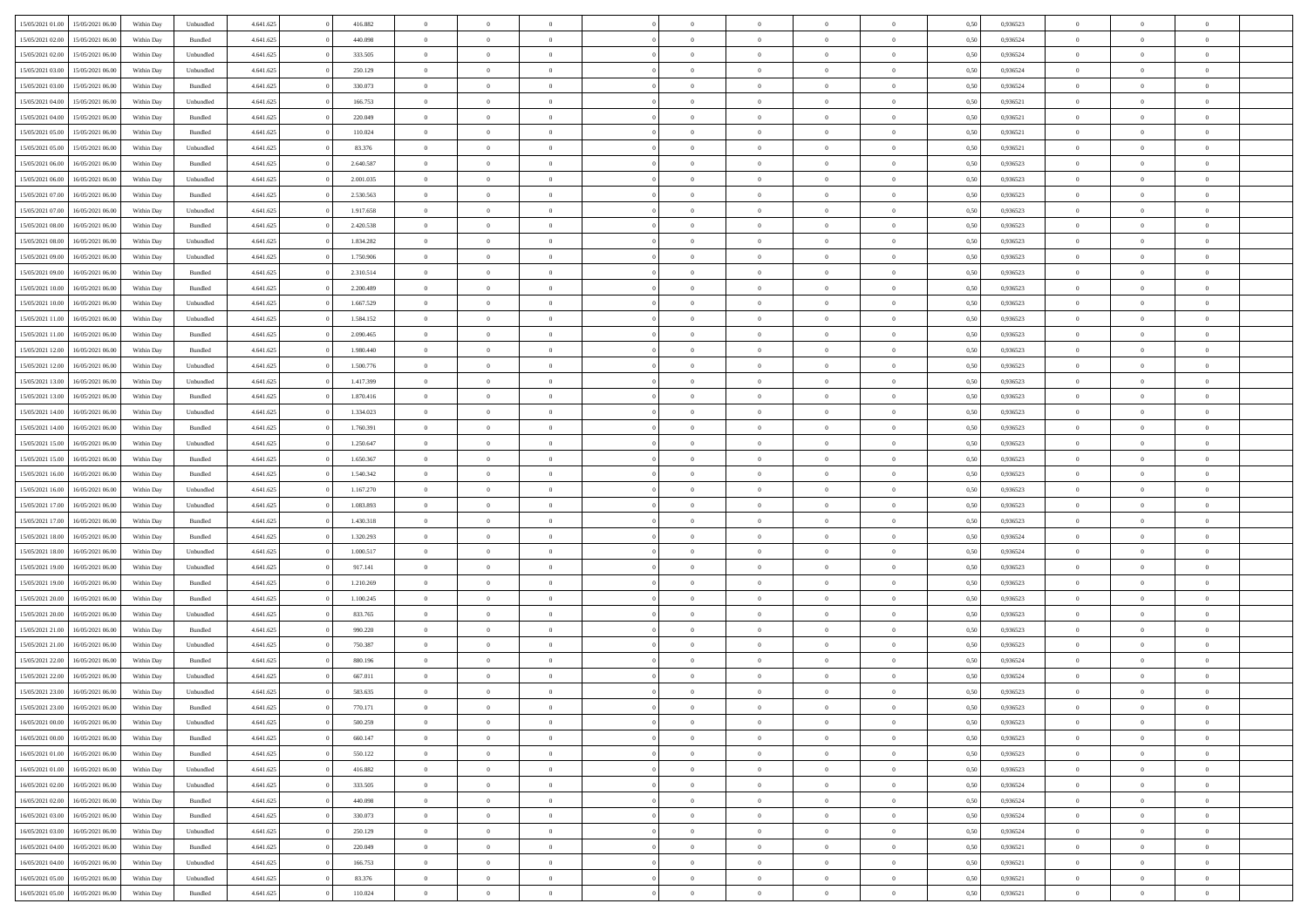| 15/05/2021 01:00 | 15/05/2021 06:00 | Within Day | Unbundled          | 4.641.625 | 416.882   | $\overline{0}$ | $\theta$       |                | $\Omega$       | $\Omega$       | $\overline{0}$ | $\theta$       | 0.50 | 0,936523 | $\theta$       | $\overline{0}$ | $\overline{0}$ |  |
|------------------|------------------|------------|--------------------|-----------|-----------|----------------|----------------|----------------|----------------|----------------|----------------|----------------|------|----------|----------------|----------------|----------------|--|
| 15/05/2021 02:00 | 15/05/2021 06:00 | Within Day | Bundled            | 4.641.625 | 440.098   | $\overline{0}$ | $\overline{0}$ | $\overline{0}$ | $\overline{0}$ | $\bf{0}$       | $\overline{0}$ | $\bf{0}$       | 0,50 | 0,936524 | $\theta$       | $\overline{0}$ | $\overline{0}$ |  |
| 15/05/2021 02:00 | 15/05/2021 06:00 | Within Day | Unbundled          | 4.641.625 | 333.505   | $\overline{0}$ | $\bf{0}$       | $\overline{0}$ | $\bf{0}$       | $\bf{0}$       | $\bf{0}$       | $\mathbf{0}$   | 0,50 | 0,936524 | $\bf{0}$       | $\overline{0}$ | $\bf{0}$       |  |
|                  |                  |            |                    |           |           |                |                |                |                |                |                |                |      |          | $\theta$       |                |                |  |
| 15/05/2021 03:00 | 15/05/2021 06:00 | Within Dav | Unbundled          | 4.641.625 | 250.129   | $\overline{0}$ | $\overline{0}$ | $\overline{0}$ | $\overline{0}$ | $\bf{0}$       | $\overline{0}$ | $\overline{0}$ | 0.50 | 0.936524 |                | $\theta$       | $\overline{0}$ |  |
| 15/05/2021 03:00 | 15/05/2021 06:00 | Within Day | Bundled            | 4.641.625 | 330.073   | $\overline{0}$ | $\theta$       | $\overline{0}$ | $\overline{0}$ | $\bf{0}$       | $\overline{0}$ | $\bf{0}$       | 0,50 | 0,936524 | $\theta$       | $\overline{0}$ | $\overline{0}$ |  |
| 15/05/2021 04:00 | 15/05/2021 06:00 | Within Day | Unbundled          | 4.641.625 | 166.753   | $\overline{0}$ | $\overline{0}$ | $\overline{0}$ | $\bf{0}$       | $\overline{0}$ | $\overline{0}$ | $\mathbf{0}$   | 0,50 | 0,936521 | $\bf{0}$       | $\overline{0}$ | $\bf{0}$       |  |
| 15/05/2021 04:00 | 15/05/2021 06:00 | Within Dav | Bundled            | 4.641.625 | 220.049   | $\overline{0}$ | $\overline{0}$ | $\overline{0}$ | $\overline{0}$ | $\overline{0}$ | $\overline{0}$ | $\overline{0}$ | 0.50 | 0,936521 | $\theta$       | $\overline{0}$ | $\overline{0}$ |  |
|                  |                  |            |                    |           |           |                |                |                |                |                |                |                |      |          |                |                |                |  |
| 15/05/2021 05:00 | 15/05/2021 06:00 | Within Day | Bundled            | 4.641.625 | 110.024   | $\overline{0}$ | $\theta$       | $\overline{0}$ | $\overline{0}$ | $\bf{0}$       | $\overline{0}$ | $\bf{0}$       | 0,50 | 0,936521 | $\theta$       | $\theta$       | $\overline{0}$ |  |
| 15/05/2021 05:00 | 15/05/2021 06:00 | Within Day | Unbundled          | 4.641.625 | 83.376    | $\overline{0}$ | $\overline{0}$ | $\overline{0}$ | $\bf{0}$       | $\bf{0}$       | $\bf{0}$       | $\bf{0}$       | 0,50 | 0,936521 | $\,0\,$        | $\overline{0}$ | $\overline{0}$ |  |
| 15/05/2021 06:00 | 16/05/2021 06:00 | Within Dav | Bundled            | 4.641.625 | 2.640.587 | $\overline{0}$ | $\overline{0}$ | $\overline{0}$ | $\overline{0}$ | $\overline{0}$ | $\overline{0}$ | $\overline{0}$ | 0.50 | 0.936523 | $\theta$       | $\overline{0}$ | $\overline{0}$ |  |
| 15/05/2021 06:00 | 16/05/2021 06:00 |            |                    | 4.641.625 | 2.001.035 | $\overline{0}$ | $\theta$       | $\overline{0}$ | $\overline{0}$ | $\bf{0}$       | $\overline{0}$ |                |      | 0,936523 | $\,$ 0 $\,$    | $\overline{0}$ | $\overline{0}$ |  |
|                  |                  | Within Day | Unbundled          |           |           |                |                |                |                |                |                | $\bf{0}$       | 0,50 |          |                |                |                |  |
| 15/05/2021 07:00 | 16/05/2021 06:00 | Within Day | Bundled            | 4.641.625 | 2.530.563 | $\overline{0}$ | $\bf{0}$       | $\overline{0}$ | $\bf{0}$       | $\bf{0}$       | $\bf{0}$       | $\mathbf{0}$   | 0,50 | 0,936523 | $\overline{0}$ | $\overline{0}$ | $\bf{0}$       |  |
| 15/05/2021 07:00 | 16/05/2021 06:00 | Within Day | Unbundled          | 4.641.625 | 1.917.658 | $\overline{0}$ | $\overline{0}$ | $\overline{0}$ | $\overline{0}$ | $\bf{0}$       | $\overline{0}$ | $\overline{0}$ | 0.50 | 0.936523 | $\theta$       | $\theta$       | $\overline{0}$ |  |
| 15/05/2021 08:00 | 16/05/2021 06:00 | Within Day | Bundled            | 4.641.625 | 2.420.538 | $\overline{0}$ | $\theta$       | $\overline{0}$ | $\overline{0}$ | $\bf{0}$       | $\overline{0}$ | $\bf{0}$       | 0,50 | 0,936523 | $\theta$       | $\overline{0}$ | $\overline{0}$ |  |
|                  |                  |            |                    |           |           |                |                |                |                |                |                |                |      |          |                |                |                |  |
| 15/05/2021 08:00 | 16/05/2021 06:00 | Within Day | Unbundled          | 4.641.625 | 1.834.282 | $\overline{0}$ | $\overline{0}$ | $\overline{0}$ | $\bf{0}$       | $\overline{0}$ | $\overline{0}$ | $\mathbf{0}$   | 0,50 | 0,936523 | $\overline{0}$ | $\overline{0}$ | $\bf{0}$       |  |
| 15/05/2021 09:00 | 16/05/2021 06:00 | Within Dav | Unbundled          | 4.641.625 | 1.750.906 | $\overline{0}$ | $\overline{0}$ | $\overline{0}$ | $\overline{0}$ | $\overline{0}$ | $\overline{0}$ | $\overline{0}$ | 0.50 | 0.936523 | $\theta$       | $\overline{0}$ | $\overline{0}$ |  |
| 15/05/2021 09:00 | 16/05/2021 06:00 | Within Day | Bundled            | 4.641.625 | 2.310.514 | $\overline{0}$ | $\theta$       | $\overline{0}$ | $\overline{0}$ | $\bf{0}$       | $\overline{0}$ | $\bf{0}$       | 0,50 | 0,936523 | $\theta$       | $\theta$       | $\overline{0}$ |  |
| 15/05/2021 10:00 | 16/05/2021 06:00 | Within Day | Bundled            | 4.641.625 | 2.200.489 | $\overline{0}$ | $\overline{0}$ | $\overline{0}$ | $\bf{0}$       | $\bf{0}$       | $\bf{0}$       | $\mathbf{0}$   | 0,50 | 0,936523 | $\,0\,$        | $\overline{0}$ | $\overline{0}$ |  |
| 15/05/2021 10:00 | 16/05/2021 06:00 |            | Unbundled          | 4.641.625 | 1.667.529 | $\overline{0}$ | $\overline{0}$ | $\overline{0}$ | $\overline{0}$ | $\overline{0}$ | $\overline{0}$ | $\overline{0}$ | 0.50 | 0.936523 | $\theta$       | $\overline{0}$ | $\overline{0}$ |  |
|                  |                  | Within Day |                    |           |           |                |                |                |                |                |                |                |      |          |                |                |                |  |
| 15/05/2021 11:00 | 16/05/2021 06:00 | Within Day | Unbundled          | 4.641.625 | 1.584.152 | $\overline{0}$ | $\theta$       | $\overline{0}$ | $\overline{0}$ | $\bf{0}$       | $\overline{0}$ | $\bf{0}$       | 0,50 | 0,936523 | $\,$ 0 $\,$    | $\overline{0}$ | $\overline{0}$ |  |
| 15/05/2021 11:00 | 16/05/2021 06:00 | Within Day | Bundled            | 4.641.625 | 2.090.465 | $\overline{0}$ | $\overline{0}$ | $\overline{0}$ | $\bf{0}$       | $\bf{0}$       | $\bf{0}$       | $\bf{0}$       | 0,50 | 0,936523 | $\bf{0}$       | $\overline{0}$ | $\bf{0}$       |  |
| 15/05/2021 12:00 | 16/05/2021 06:00 | Within Day | Bundled            | 4.641.625 | 1.980.440 | $\overline{0}$ | $\overline{0}$ | $\overline{0}$ | $\overline{0}$ | $\overline{0}$ | $\overline{0}$ | $\overline{0}$ | 0.50 | 0.936523 | $\theta$       | $\overline{0}$ | $\overline{0}$ |  |
|                  |                  |            |                    |           |           | $\overline{0}$ | $\theta$       | $\overline{0}$ | $\overline{0}$ | $\bf{0}$       | $\overline{0}$ |                |      |          | $\theta$       | $\overline{0}$ | $\overline{0}$ |  |
| 15/05/2021 12:00 | 16/05/2021 06:00 | Within Day | Unbundled          | 4.641.625 | 1.500.776 |                |                |                |                |                |                | $\bf{0}$       | 0,50 | 0,936523 |                |                |                |  |
| 15/05/2021 13:00 | 16/05/2021 06:00 | Within Day | Unbundled          | 4.641.625 | 1.417.399 | $\overline{0}$ | $\overline{0}$ | $\overline{0}$ | $\bf{0}$       | $\overline{0}$ | $\overline{0}$ | $\mathbf{0}$   | 0,50 | 0,936523 | $\bf{0}$       | $\overline{0}$ | $\bf{0}$       |  |
| 15/05/2021 13:00 | 16/05/2021 06:00 | Within Dav | Bundled            | 4.641.625 | 1.870.416 | $\overline{0}$ | $\overline{0}$ | $\overline{0}$ | $\overline{0}$ | $\overline{0}$ | $\overline{0}$ | $\overline{0}$ | 0.50 | 0.936523 | $\theta$       | $\overline{0}$ | $\overline{0}$ |  |
| 15/05/2021 14:00 | 16/05/2021 06:00 | Within Day | Unbundled          | 4.641.625 | 1.334.023 | $\overline{0}$ | $\theta$       | $\overline{0}$ | $\overline{0}$ | $\bf{0}$       | $\overline{0}$ | $\bf{0}$       | 0,50 | 0,936523 | $\theta$       | $\theta$       | $\overline{0}$ |  |
|                  |                  |            |                    |           |           |                |                |                |                |                |                |                |      |          |                |                |                |  |
| 15/05/2021 14:00 | 16/05/2021 06:00 | Within Day | Bundled            | 4.641.625 | 1.760.391 | $\overline{0}$ | $\overline{0}$ | $\overline{0}$ | $\bf{0}$       | $\bf{0}$       | $\bf{0}$       | $\bf{0}$       | 0,50 | 0,936523 | $\,0\,$        | $\overline{0}$ | $\overline{0}$ |  |
| 15/05/2021 15:00 | 16/05/2021 06:00 | Within Day | Unbundled          | 4.641.625 | 1.250.647 | $\overline{0}$ | $\overline{0}$ | $\overline{0}$ | $\overline{0}$ | $\overline{0}$ | $\overline{0}$ | $\overline{0}$ | 0.50 | 0.936523 | $\theta$       | $\overline{0}$ | $\overline{0}$ |  |
| 15/05/2021 15:00 | 16/05/2021 06:00 | Within Day | Bundled            | 4.641.625 | 1.650.367 | $\overline{0}$ | $\theta$       | $\overline{0}$ | $\overline{0}$ | $\bf{0}$       | $\overline{0}$ | $\bf{0}$       | 0,50 | 0,936523 | $\,$ 0 $\,$    | $\overline{0}$ | $\overline{0}$ |  |
| 15/05/2021 16:00 | 16/05/2021 06:00 | Within Day | Bundled            | 4.641.625 | 1.540.342 | $\overline{0}$ | $\overline{0}$ | $\overline{0}$ | $\bf{0}$       | $\bf{0}$       | $\overline{0}$ | $\bf{0}$       | 0,50 | 0,936523 | $\overline{0}$ | $\overline{0}$ | $\bf{0}$       |  |
|                  |                  |            |                    |           |           | $\overline{0}$ | $\Omega$       | $\Omega$       | $\Omega$       | $\Omega$       |                |                |      |          |                | $\theta$       | $\theta$       |  |
| 15/05/2021 16:00 | 16/05/2021 06:00 | Within Day | Unbundled          | 4.641.625 | 1.167.270 |                |                |                |                |                | $\overline{0}$ | $\overline{0}$ | 0,50 | 0,936523 | $\,0\,$        |                |                |  |
| 15/05/2021 17:00 | 16/05/2021 06:00 | Within Day | Unbundled          | 4.641.625 | 1.083.893 | $\overline{0}$ | $\theta$       | $\overline{0}$ | $\overline{0}$ | $\bf{0}$       | $\overline{0}$ | $\bf{0}$       | 0,50 | 0,936523 | $\theta$       | $\overline{0}$ | $\overline{0}$ |  |
| 15/05/2021 17:00 | 16/05/2021 06:00 | Within Day | Bundled            | 4.641.625 | 1.430.318 | $\overline{0}$ | $\overline{0}$ | $\overline{0}$ | $\overline{0}$ | $\overline{0}$ | $\overline{0}$ | $\mathbf{0}$   | 0,50 | 0,936523 | $\overline{0}$ | $\overline{0}$ | $\bf{0}$       |  |
| 15/05/2021 18:00 | 16/05/2021 06:00 | Within Day | Bundled            | 4.641.625 | 1.320.293 | $\overline{0}$ | $\Omega$       | $\Omega$       | $\Omega$       | $\overline{0}$ | $\overline{0}$ | $\overline{0}$ | 0.50 | 0.936524 | $\,0\,$        | $\theta$       | $\theta$       |  |
| 15/05/2021 18:00 | 16/05/2021 06:00 |            |                    | 4.641.625 | 1.000.517 | $\overline{0}$ | $\theta$       | $\overline{0}$ | $\overline{0}$ | $\bf{0}$       | $\overline{0}$ |                |      | 0,936524 | $\theta$       | $\overline{0}$ | $\overline{0}$ |  |
|                  |                  | Within Day | Unbundled          |           |           |                |                |                |                |                |                | $\bf{0}$       | 0,50 |          |                |                |                |  |
| 15/05/2021 19:00 | 16/05/2021 06:00 | Within Day | Unbundled          | 4.641.625 | 917.141   | $\overline{0}$ | $\overline{0}$ | $\overline{0}$ | $\overline{0}$ | $\bf{0}$       | $\overline{0}$ | $\bf{0}$       | 0,50 | 0,936523 | $\bf{0}$       | $\overline{0}$ | $\bf{0}$       |  |
| 15/05/2021 19:00 | 16/05/2021 06:00 | Within Day | Bundled            | 4.641.625 | 1.210.269 | $\overline{0}$ | $\Omega$       | $\Omega$       | $\Omega$       | $\overline{0}$ | $\overline{0}$ | $\overline{0}$ | 0.50 | 0.936523 | $\,$ 0 $\,$    | $\theta$       | $\theta$       |  |
| 15/05/2021 20:00 | 16/05/2021 06:00 | Within Day | Bundled            | 4.641.625 | 1.100.245 | $\overline{0}$ | $\theta$       | $\overline{0}$ | $\overline{0}$ | $\,$ 0         | $\overline{0}$ | $\bf{0}$       | 0,50 | 0,936523 | $\,$ 0 $\,$    | $\overline{0}$ | $\overline{0}$ |  |
|                  |                  |            |                    |           |           |                |                |                |                |                |                |                |      |          |                |                |                |  |
| 15/05/2021 20:00 | 16/05/2021 06:00 | Within Day | Unbundled          | 4.641.625 | 833.765   | $\overline{0}$ | $\bf{0}$       | $\overline{0}$ | $\overline{0}$ | $\bf{0}$       | $\overline{0}$ | $\mathbf{0}$   | 0,50 | 0,936523 | $\overline{0}$ | $\overline{0}$ | $\bf{0}$       |  |
| 15/05/2021 21:00 | 16/05/2021 06:00 | Within Day | Bundled            | 4.641.625 | 990.220   | $\overline{0}$ | $\Omega$       | $\overline{0}$ | $\Omega$       | $\overline{0}$ | $\overline{0}$ | $\overline{0}$ | 0,50 | 0,936523 | $\,0\,$        | $\theta$       | $\theta$       |  |
| 15/05/2021 21:00 | 16/05/2021 06:00 | Within Day | Unbundled          | 4.641.625 | 750.387   | $\overline{0}$ | $\overline{0}$ | $\overline{0}$ | $\overline{0}$ | $\,$ 0         | $\overline{0}$ | $\bf{0}$       | 0,50 | 0,936523 | $\,$ 0 $\,$    | $\overline{0}$ | $\overline{0}$ |  |
| 15/05/2021 22.00 | 16/05/2021 06:00 | Within Day | Bundled            | 4.641.625 | 880.196   | $\overline{0}$ | $\overline{0}$ | $\overline{0}$ | $\overline{0}$ | $\bf{0}$       | $\overline{0}$ | $\mathbf{0}$   | 0,50 | 0,936524 | $\overline{0}$ | $\overline{0}$ | $\bf{0}$       |  |
| 15/05/2021 22.00 | 16/05/2021 06:00 | Within Day | Unbundled          | 4.641.625 | 667.011   | $\overline{0}$ | $\Omega$       | $\Omega$       | $\Omega$       | $\Omega$       | $\Omega$       | $\overline{0}$ | 0.50 | 0.936524 | $\theta$       | $\theta$       | $\theta$       |  |
|                  |                  |            |                    |           |           |                |                |                |                |                |                |                |      |          |                |                |                |  |
| 15/05/2021 23:00 | 16/05/2021 06:00 | Within Day | Unbundled          | 4.641.625 | 583.635   | $\overline{0}$ | $\overline{0}$ | $\overline{0}$ | $\bf{0}$       | $\,$ 0         | $\overline{0}$ | $\bf{0}$       | 0,50 | 0,936523 | $\,0\,$        | $\,0\,$        | $\overline{0}$ |  |
| 15/05/2021 23:00 | 16/05/2021 06:00 | Within Day | $\mathbf B$ undled | 4.641.625 | 770.171   | $\bf{0}$       | $\bf{0}$       |                |                | $\bf{0}$       |                |                | 0,50 | 0,936523 | $\bf{0}$       | $\overline{0}$ |                |  |
| 16/05/2021 00:00 | 16/05/2021 06:00 | Within Day | Unbundled          | 4.641.625 | 500.259   | $\overline{0}$ | $\overline{0}$ | $\overline{0}$ | $\Omega$       | $\overline{0}$ | $\overline{0}$ | $\overline{0}$ | 0,50 | 0.936523 | $\theta$       | $\theta$       | $\theta$       |  |
| 16/05/2021 00:00 | 16/05/2021 06:00 | Within Day | Bundled            | 4.641.625 | 660.147   | $\overline{0}$ | $\bf{0}$       | $\overline{0}$ | $\overline{0}$ | $\,$ 0 $\,$    | $\overline{0}$ | $\,$ 0 $\,$    | 0,50 | 0,936523 | $\,$ 0 $\,$    | $\,$ 0 $\,$    | $\,$ 0         |  |
|                  |                  |            |                    |           |           |                |                |                |                |                |                |                |      |          |                |                |                |  |
| 16/05/2021 01:00 | 16/05/2021 06:00 | Within Day | Bundled            | 4.641.625 | 550.122   | $\overline{0}$ | $\overline{0}$ | $\overline{0}$ | $\overline{0}$ | $\overline{0}$ | $\overline{0}$ | $\mathbf{0}$   | 0,50 | 0,936523 | $\overline{0}$ | $\bf{0}$       | $\bf{0}$       |  |
| 16/05/2021 01:00 | 16/05/2021 06:00 | Within Day | Unbundled          | 4.641.625 | 416.882   | $\overline{0}$ | $\overline{0}$ | $\overline{0}$ | $\Omega$       | $\overline{0}$ | $\overline{0}$ | $\overline{0}$ | 0,50 | 0,936523 | $\overline{0}$ | $\theta$       | $\overline{0}$ |  |
| 16/05/2021 02:00 | 16/05/2021 06:00 | Within Day | Unbundled          | 4.641.625 | 333.505   | $\overline{0}$ | $\,$ 0         | $\overline{0}$ | $\overline{0}$ | $\,$ 0 $\,$    | $\overline{0}$ | $\mathbf{0}$   | 0,50 | 0,936524 | $\,$ 0 $\,$    | $\overline{0}$ | $\overline{0}$ |  |
| 16/05/2021 02:00 | 16/05/2021 06:00 | Within Day | Bundled            | 4.641.625 | 440.098   | $\overline{0}$ | $\overline{0}$ | $\overline{0}$ | $\overline{0}$ | $\overline{0}$ | $\overline{0}$ | $\mathbf{0}$   | 0,50 | 0,936524 | $\overline{0}$ | $\overline{0}$ | $\bf{0}$       |  |
|                  |                  |            |                    |           |           |                |                |                |                |                |                |                |      |          |                |                |                |  |
| 16/05/2021 03:00 | 16/05/2021 06:00 | Within Day | Bundled            | 4.641.625 | 330.073   | $\overline{0}$ | $\overline{0}$ | $\overline{0}$ | $\Omega$       | $\overline{0}$ | $\overline{0}$ | $\bf{0}$       | 0.50 | 0,936524 | $\overline{0}$ | $\theta$       | $\overline{0}$ |  |
| 16/05/2021 03:00 | 16/05/2021 06:00 | Within Day | Unbundled          | 4.641.625 | 250.129   | $\overline{0}$ | $\,$ 0         | $\overline{0}$ | $\bf{0}$       | $\bf{0}$       | $\bf{0}$       | $\bf{0}$       | 0,50 | 0,936524 | $\,$ 0 $\,$    | $\overline{0}$ | $\overline{0}$ |  |
| 16/05/2021 04:00 | 16/05/2021 06:00 | Within Day | Bundled            | 4.641.625 | 220.049   | $\overline{0}$ | $\bf{0}$       | $\overline{0}$ | $\overline{0}$ | $\overline{0}$ | $\overline{0}$ | $\mathbf{0}$   | 0,50 | 0,936521 | $\overline{0}$ | $\overline{0}$ | $\bf{0}$       |  |
| 16/05/2021 04:00 | 16/05/2021 06:00 | Within Day | Unbundled          | 4.641.625 | 166.753   | $\overline{0}$ | $\overline{0}$ | $\overline{0}$ | $\Omega$       | $\overline{0}$ | $\overline{0}$ | $\overline{0}$ | 0.50 | 0.936521 | $\overline{0}$ | $\overline{0}$ | $\overline{0}$ |  |
|                  |                  |            |                    |           |           |                |                |                |                |                |                |                |      |          |                |                |                |  |
| 16/05/2021 05:00 | 16/05/2021 06:00 | Within Day | Unbundled          | 4.641.625 | 83.376    | $\overline{0}$ | $\bf{0}$       | $\overline{0}$ | $\bf{0}$       | $\bf{0}$       | $\bf{0}$       | $\mathbf{0}$   | 0,50 | 0,936521 | $\,$ 0 $\,$    | $\,$ 0 $\,$    | $\bf{0}$       |  |
| 16/05/2021 05:00 | 16/05/2021 06:00 | Within Day | Bundled            | 4.641.625 | 110.024   | $\overline{0}$ | $\overline{0}$ | $\overline{0}$ | $\overline{0}$ | $\overline{0}$ | $\bf{0}$       | $\mathbf{0}$   | 0,50 | 0,936521 | $\overline{0}$ | $\bf{0}$       | $\bf{0}$       |  |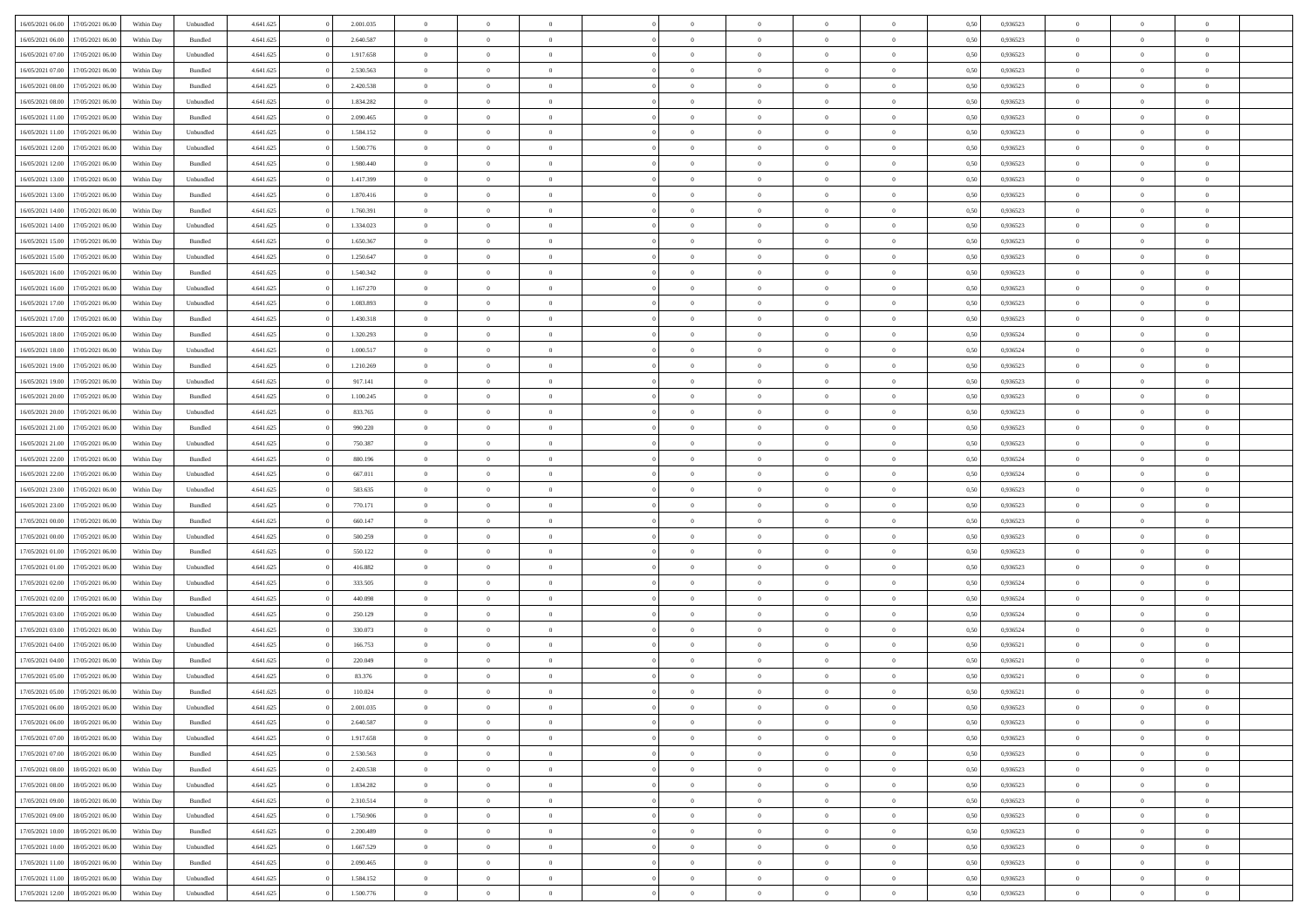| 16/05/2021 06:00                  | 17/05/2021 06:00 | Within Day | Unbundled                   | 4.641.625 | 2.001.035 | $\overline{0}$ | $\theta$       |                | $\overline{0}$ | $\bf{0}$       | $\overline{0}$ | $\theta$       | 0,50 | 0,936523 | $\theta$       | $\theta$       | $\theta$       |  |
|-----------------------------------|------------------|------------|-----------------------------|-----------|-----------|----------------|----------------|----------------|----------------|----------------|----------------|----------------|------|----------|----------------|----------------|----------------|--|
| 16/05/2021 06:00                  | 17/05/2021 06.00 | Within Day | Bundled                     | 4.641.625 | 2.640.587 | $\overline{0}$ | $\overline{0}$ | $\overline{0}$ | $\overline{0}$ | $\bf{0}$       | $\bf{0}$       | $\bf{0}$       | 0,50 | 0,936523 | $\,$ 0 $\,$    | $\overline{0}$ | $\overline{0}$ |  |
|                                   |                  |            |                             |           |           |                |                |                |                |                |                |                |      |          |                |                |                |  |
| 16/05/2021 07:00                  | 17/05/2021 06:00 | Within Day | Unbundled                   | 4.641.625 | 1.917.658 | $\overline{0}$ | $\overline{0}$ | $\overline{0}$ | $\overline{0}$ | $\overline{0}$ | $\overline{0}$ | $\mathbf{0}$   | 0.50 | 0.936523 | $\overline{0}$ | $\,$ 0 $\,$    | $\bf{0}$       |  |
| 16/05/2021 07:00                  | 17/05/2021 06:00 | Within Day | Bundled                     | 4.641.625 | 2.530.563 | $\overline{0}$ | $\overline{0}$ | $\overline{0}$ | $\overline{0}$ | $\,0\,$        | $\overline{0}$ | $\overline{0}$ | 0,50 | 0,936523 | $\,$ 0 $\,$    | $\overline{0}$ | $\overline{0}$ |  |
| 16/05/2021 08:00                  | 17/05/2021 06.00 | Within Day | Bundled                     | 4.641.625 | 2.420.538 | $\overline{0}$ | $\overline{0}$ | $\overline{0}$ | $\overline{0}$ | $\,$ 0         | $\overline{0}$ | $\bf{0}$       | 0,50 | 0,936523 | $\,$ 0 $\,$    | $\overline{0}$ | $\overline{0}$ |  |
| 16/05/2021 08:00                  | 17/05/2021 06:00 | Within Day | Unbundled                   | 4.641.625 | 1.834.282 | $\overline{0}$ | $\overline{0}$ | $\overline{0}$ | $\overline{0}$ | $\bf{0}$       | $\overline{0}$ | $\bf{0}$       | 0.50 | 0.936523 | $\,0\,$        | $\overline{0}$ | $\overline{0}$ |  |
| 16/05/2021 11:00                  | 17/05/2021 06:00 | Within Day | Bundled                     | 4.641.625 | 2.090.465 | $\overline{0}$ | $\overline{0}$ | $\overline{0}$ | $\overline{0}$ | $\bf{0}$       | $\overline{0}$ | $\bf{0}$       | 0,50 | 0,936523 | $\,$ 0 $\,$    | $\overline{0}$ | $\overline{0}$ |  |
| 16/05/2021 11:00                  | 17/05/2021 06.00 | Within Day | Unbundled                   | 4.641.625 | 1.584.152 | $\overline{0}$ | $\overline{0}$ | $\overline{0}$ | $\overline{0}$ | $\,$ 0         | $\bf{0}$       | $\bf{0}$       | 0,50 | 0,936523 | $\,$ 0 $\,$    | $\overline{0}$ | $\overline{0}$ |  |
| 16/05/2021 12:00                  | 17/05/2021 06:00 | Within Day | Unbundled                   | 4.641.625 | 1.500.776 | $\overline{0}$ | $\overline{0}$ | $\overline{0}$ | $\overline{0}$ | $\bf{0}$       | $\overline{0}$ | $\mathbf{0}$   | 0.50 | 0.936523 | $\bf{0}$       | $\overline{0}$ | $\bf{0}$       |  |
| 16/05/2021 12:00                  | 17/05/2021 06:00 | Within Day | Bundled                     | 4.641.625 | 1.980.440 | $\overline{0}$ | $\overline{0}$ | $\overline{0}$ | $\overline{0}$ | $\bf{0}$       | $\overline{0}$ | $\bf{0}$       | 0,50 | 0,936523 | $\,$ 0 $\,$    | $\overline{0}$ | $\overline{0}$ |  |
| 16/05/2021 13:00                  | 17/05/2021 06.00 | Within Day | Unbundled                   | 4.641.625 | 1.417.399 | $\overline{0}$ | $\overline{0}$ | $\overline{0}$ | $\overline{0}$ | $\bf{0}$       | $\bf{0}$       | $\bf{0}$       | 0,50 | 0,936523 | $\,$ 0 $\,$    | $\overline{0}$ | $\overline{0}$ |  |
| 16/05/2021 13:00                  | 17/05/2021 06:00 | Within Day | Bundled                     | 4.641.625 | 1.870.416 | $\overline{0}$ | $\overline{0}$ | $\overline{0}$ | $\overline{0}$ | $\bf{0}$       | $\overline{0}$ | $\mathbf{0}$   | 0.50 | 0.936523 | $\overline{0}$ | $\,$ 0 $\,$    | $\bf{0}$       |  |
|                                   |                  |            |                             |           |           | $\overline{0}$ | $\overline{0}$ | $\overline{0}$ | $\overline{0}$ | $\bf{0}$       | $\overline{0}$ | $\overline{0}$ |      |          | $\,$ 0 $\,$    | $\overline{0}$ |                |  |
| 16/05/2021 14:00                  | 17/05/2021 06:00 | Within Day | Bundled                     | 4.641.625 | 1.760.391 |                |                |                |                |                |                |                | 0,50 | 0,936523 |                |                | $\overline{0}$ |  |
| 16/05/2021 14:00                  | 17/05/2021 06.00 | Within Day | Unbundled                   | 4.641.625 | 1.334.023 | $\overline{0}$ | $\theta$       | $\overline{0}$ | $\overline{0}$ | $\,$ 0         | $\overline{0}$ | $\bf{0}$       | 0,50 | 0,936523 | $\,$ 0 $\,$    | $\overline{0}$ | $\overline{0}$ |  |
| 16/05/2021 15:00                  | 17/05/2021 06:00 | Within Day | Bundled                     | 4.641.625 | 1.650.367 | $\overline{0}$ | $\overline{0}$ | $\overline{0}$ | $\overline{0}$ | $\bf{0}$       | $\overline{0}$ | $\bf{0}$       | 0.50 | 0.936523 | $\,0\,$        | $\overline{0}$ | $\overline{0}$ |  |
| 16/05/2021 15:00                  | 17/05/2021 06:00 | Within Day | Unbundled                   | 4.641.625 | 1.250.647 | $\overline{0}$ | $\overline{0}$ | $\overline{0}$ | $\overline{0}$ | $\bf{0}$       | $\overline{0}$ | $\bf{0}$       | 0,50 | 0,936523 | $\,$ 0 $\,$    | $\theta$       | $\overline{0}$ |  |
| 16/05/2021 16:00                  | 17/05/2021 06.00 | Within Day | Bundled                     | 4.641.625 | 1.540.342 | $\overline{0}$ | $\overline{0}$ | $\overline{0}$ | $\overline{0}$ | $\,$ 0         | $\overline{0}$ | $\bf{0}$       | 0,50 | 0,936523 | $\,$ 0 $\,$    | $\overline{0}$ | $\overline{0}$ |  |
| 16/05/2021 16:00                  | 17/05/2021 06:00 | Within Day | Unbundled                   | 4.641.625 | 1.167.270 | $\overline{0}$ | $\overline{0}$ | $\overline{0}$ | $\overline{0}$ | $\bf{0}$       | $\overline{0}$ | $\mathbf{0}$   | 0.50 | 0.936523 | $\bf{0}$       | $\overline{0}$ | $\bf{0}$       |  |
| 16/05/2021 17:00                  | 17/05/2021 06:00 | Within Day | Unbundled                   | 4.641.625 | 1.083.893 | $\overline{0}$ | $\overline{0}$ | $\overline{0}$ | $\overline{0}$ | $\bf{0}$       | $\overline{0}$ | $\bf{0}$       | 0,50 | 0,936523 | $\,$ 0 $\,$    | $\overline{0}$ | $\overline{0}$ |  |
| 16/05/2021 17:00                  | 17/05/2021 06.00 | Within Day | Bundled                     | 4.641.625 | 1.430.318 | $\overline{0}$ | $\overline{0}$ | $\overline{0}$ | $\overline{0}$ | $\bf{0}$       | $\overline{0}$ | $\bf{0}$       | 0,50 | 0,936523 | $\,$ 0 $\,$    | $\overline{0}$ | $\overline{0}$ |  |
| 16/05/2021 18:00                  | 17/05/2021 06:00 | Within Day | $\mathbf B$ undled          | 4.641.625 | 1.320.293 | $\overline{0}$ | $\overline{0}$ | $\overline{0}$ | $\overline{0}$ | $\bf{0}$       | $\overline{0}$ | $\mathbf{0}$   | 0.50 | 0.936524 | $\overline{0}$ | $\,$ 0 $\,$    | $\overline{0}$ |  |
| 16/05/2021 18:00                  | 17/05/2021 06:00 | Within Day | Unbundled                   | 4.641.625 | 1.000.517 | $\overline{0}$ | $\overline{0}$ | $\overline{0}$ | $\overline{0}$ | $\,0\,$        | $\overline{0}$ | $\overline{0}$ | 0,50 | 0,936524 | $\,$ 0 $\,$    | $\overline{0}$ | $\overline{0}$ |  |
| 16/05/2021 19:00                  | 17/05/2021 06.00 | Within Day | Bundled                     | 4.641.625 | 1.210.269 | $\overline{0}$ | $\overline{0}$ | $\overline{0}$ | $\overline{0}$ | $\bf{0}$       | $\overline{0}$ | $\bf{0}$       | 0,50 | 0,936523 | $\,$ 0 $\,$    | $\overline{0}$ | $\overline{0}$ |  |
|                                   |                  |            |                             |           |           |                |                |                |                |                |                |                |      |          |                |                |                |  |
| 16/05/2021 19:00                  | 17/05/2021 06:00 | Within Day | Unbundled                   | 4.641.625 | 917.141   | $\overline{0}$ | $\overline{0}$ | $\overline{0}$ | $\overline{0}$ | $\bf{0}$       | $\overline{0}$ | $\bf{0}$       | 0.50 | 0.936523 | $\,0\,$        | $\overline{0}$ | $\overline{0}$ |  |
| 16/05/2021 20:00                  | 17/05/2021 06:00 | Within Day | Bundled                     | 4.641.625 | 1.100.245 | $\overline{0}$ | $\overline{0}$ | $\overline{0}$ | $\overline{0}$ | $\bf{0}$       | $\overline{0}$ | $\bf{0}$       | 0,50 | 0,936523 | $\,$ 0 $\,$    | $\theta$       | $\overline{0}$ |  |
| 16/05/2021 20:00                  | 17/05/2021 06.00 | Within Day | Unbundled                   | 4.641.625 | 833.765   | $\overline{0}$ | $\overline{0}$ | $\overline{0}$ | $\overline{0}$ | $\,$ 0         | $\overline{0}$ | $\bf{0}$       | 0,50 | 0,936523 | $\,$ 0 $\,$    | $\overline{0}$ | $\overline{0}$ |  |
| 16/05/2021 21:00                  | 17/05/2021 06:00 | Within Day | Bundled                     | 4.641.625 | 990.220   | $\overline{0}$ | $\overline{0}$ | $\overline{0}$ | $\overline{0}$ | $\bf{0}$       | $\overline{0}$ | $\mathbf{0}$   | 0.50 | 0.936523 | $\bf{0}$       | $\overline{0}$ | $\bf{0}$       |  |
| 16/05/2021 21:00                  | 17/05/2021 06:00 | Within Day | Unbundled                   | 4.641.625 | 750.387   | $\overline{0}$ | $\overline{0}$ | $\overline{0}$ | $\overline{0}$ | $\bf{0}$       | $\overline{0}$ | $\bf{0}$       | 0,50 | 0,936523 | $\,$ 0 $\,$    | $\overline{0}$ | $\overline{0}$ |  |
| 16/05/2021 22:00                  | 17/05/2021 06.00 | Within Day | Bundled                     | 4.641.625 | 880.196   | $\overline{0}$ | $\overline{0}$ | $\overline{0}$ | $\bf{0}$       | $\bf{0}$       | $\bf{0}$       | $\bf{0}$       | 0,50 | 0,936524 | $\,$ 0 $\,$    | $\overline{0}$ | $\overline{0}$ |  |
| 16/05/2021 22:00                  | 17/05/2021 06:00 | Within Day | Unbundled                   | 4.641.625 | 667.011   | $\overline{0}$ | $\overline{0}$ | $\overline{0}$ | $\overline{0}$ | $\bf{0}$       | $\overline{0}$ | $\mathbf{0}$   | 0.50 | 0.936524 | $\overline{0}$ | $\,$ 0 $\,$    | $\overline{0}$ |  |
| 16/05/2021 23:00                  | 17/05/2021 06:00 | Within Dav | Unbundled                   | 4.641.625 | 583.635   | $\overline{0}$ | $\overline{0}$ | $\overline{0}$ | $\overline{0}$ | $\overline{0}$ | $\overline{0}$ | $\mathbf{0}$   | 0,50 | 0.936523 | $\theta$       | $\overline{0}$ | $\overline{0}$ |  |
| 16/05/2021 23:00                  | 17/05/2021 06.00 | Within Day | Bundled                     | 4.641.625 | 770.171   | $\overline{0}$ | $\overline{0}$ | $\overline{0}$ | $\overline{0}$ | $\bf{0}$       | $\bf{0}$       | $\bf{0}$       | 0,50 | 0,936523 | $\,$ 0 $\,$    | $\overline{0}$ | $\overline{0}$ |  |
| 17/05/2021 00:00                  | 17/05/2021 06:00 | Within Day | Bundled                     | 4.641.625 | 660.147   | $\overline{0}$ | $\overline{0}$ | $\overline{0}$ | $\overline{0}$ | $\bf{0}$       | $\overline{0}$ | $\bf{0}$       | 0.50 | 0.936523 | $\,0\,$        | $\overline{0}$ | $\overline{0}$ |  |
| 17/05/2021 00:00                  | 17/05/2021 06:00 | Within Dav | Unbundled                   | 4.641.625 | 500.259   | $\overline{0}$ | $\overline{0}$ | $\Omega$       | $\overline{0}$ | $\mathbf{0}$   | $\overline{0}$ | $\overline{0}$ | 0,50 | 0.936523 | $\theta$       | $\overline{0}$ | $\overline{0}$ |  |
| 17/05/2021 01:00                  | 17/05/2021 06.00 | Within Day | Bundled                     | 4.641.625 | 550.122   | $\overline{0}$ | $\overline{0}$ | $\overline{0}$ | $\overline{0}$ | $\,$ 0         | $\bf{0}$       | $\bf{0}$       | 0,50 | 0,936523 | $\,$ 0 $\,$    | $\overline{0}$ | $\overline{0}$ |  |
|                                   | 17/05/2021 06:00 |            |                             |           | 416.882   |                | $\overline{0}$ |                |                |                | $\overline{0}$ |                | 0.50 | 0.936523 |                |                |                |  |
| 17/05/2021 01:00                  |                  | Within Day | Unbundled                   | 4.641.625 |           | $\overline{0}$ |                | $\overline{0}$ | $\overline{0}$ | $\bf{0}$       |                | $\mathbf{0}$   |      |          | $\bf{0}$       | $\overline{0}$ | $\bf{0}$       |  |
| 17/05/2021 02:00                  | 17/05/2021 06:00 | Within Dav | Unbundled                   | 4.641.625 | 333.505   | $\overline{0}$ | $\overline{0}$ | $\overline{0}$ | $\overline{0}$ | $\overline{0}$ | $\overline{0}$ | $\overline{0}$ | 0,50 | 0,936524 | $\theta$       | $\overline{0}$ | $\overline{0}$ |  |
| 17/05/2021 02:00                  | 17/05/2021 06.00 | Within Day | Bundled                     | 4.641.625 | 440.098   | $\overline{0}$ | $\overline{0}$ | $\overline{0}$ | $\bf{0}$       | $\bf{0}$       | $\bf{0}$       | $\bf{0}$       | 0,50 | 0,936524 | $\,$ 0 $\,$    | $\overline{0}$ | $\overline{0}$ |  |
| 17/05/2021 03:00                  | 17/05/2021 06:00 | Within Day | Unbundled                   | 4.641.625 | 250.129   | $\overline{0}$ | $\overline{0}$ | $\overline{0}$ | $\overline{0}$ | $\bf{0}$       | $\overline{0}$ | $\mathbf{0}$   | 0.50 | 0.936524 | $\overline{0}$ | $\,$ 0 $\,$    | $\overline{0}$ |  |
| 17/05/2021 03:00                  | 17/05/2021 06:00 | Within Dav | Bundled                     | 4.641.625 | 330.073   | $\overline{0}$ | $\overline{0}$ | $\Omega$       | $\overline{0}$ | $\overline{0}$ | $\overline{0}$ | $\mathbf{0}$   | 0.50 | 0,936524 | $\theta$       | $\overline{0}$ | $\overline{0}$ |  |
| 17/05/2021 04:00                  | 17/05/2021 06.00 | Within Day | Unbundled                   | 4.641.625 | 166.753   | $\overline{0}$ | $\overline{0}$ | $\overline{0}$ | $\overline{0}$ | $\bf{0}$       | $\overline{0}$ | $\bf{0}$       | 0,50 | 0,936521 | $\,$ 0 $\,$    | $\overline{0}$ | $\overline{0}$ |  |
| 17/05/2021 04:00                  | 17/05/2021 06:00 | Within Day | Bundled                     | 4.641.625 | 220,049   | $\overline{0}$ | $\overline{0}$ | $\overline{0}$ | $\overline{0}$ | $\bf{0}$       | $\overline{0}$ | $\bf{0}$       | 0.50 | 0.936521 | $\,0\,$        | $\theta$       | $\overline{0}$ |  |
| 17/05/2021 05:00                  | 17/05/2021 06:00 | Within Dav | Unbundled                   | 4.641.625 | 83.376    | $\overline{0}$ | $\theta$       | $\Omega$       | $\overline{0}$ | $\bf{0}$       | $\overline{0}$ | $\overline{0}$ | 0.50 | 0,936521 | $\theta$       | $\overline{0}$ | $\overline{0}$ |  |
| 17/05/2021 05:00                  | 17/05/2021 06:00 | Within Day | Bundled                     | 4.641.625 | 110.024   | $\overline{0}$ | $\overline{0}$ | $\overline{0}$ | $\bf{0}$       | $\,$ 0         | $\bf{0}$       | $\bf{0}$       | 0,50 | 0,936521 | $\,$ 0 $\,$    | $\overline{0}$ | $\overline{0}$ |  |
| 17/05/2021 06:00                  | 18/05/2021 06:00 | Within Day | $\ensuremath{\mathsf{Unb}}$ | 4.641.625 | 2.001.035 | $\bf{0}$       | $\theta$       |                | $^{\circ}$     | $\Omega$       |                |                | 0,50 | 0.936523 | $\bf{0}$       | $\theta$       |                |  |
| 17/05/2021 06:00                  | 18/05/2021 06:00 | Within Day | Bundled                     | 4.641.625 | 2.640.587 | $\overline{0}$ | $\overline{0}$ | $\overline{0}$ | $\overline{0}$ | $\overline{0}$ | $\overline{0}$ | $\overline{0}$ | 0,50 | 0.936523 | $\theta$       | $\overline{0}$ | $\overline{0}$ |  |
| 17/05/2021 07:00                  | 18/05/2021 06:00 | Within Day | Unbundled                   | 4.641.625 | 1.917.658 | $\overline{0}$ | $\overline{0}$ | $\overline{0}$ | $\bf{0}$       | $\overline{0}$ | $\overline{0}$ | $\mathbf{0}$   | 0,50 | 0,936523 | $\bf{0}$       | $\overline{0}$ | $\bf{0}$       |  |
|                                   |                  |            |                             |           |           |                |                |                | $\overline{0}$ |                | $\overline{0}$ |                | 0.50 | 0.936523 | $\overline{0}$ |                |                |  |
| 17/05/2021 07:00                  | 18/05/2021 06:00 | Within Day | Bundled                     | 4.641.625 | 2.530.563 | $\overline{0}$ | $\overline{0}$ | $\overline{0}$ |                | $\bf{0}$       |                | $\mathbf{0}$   |      |          |                | $\bf{0}$       | $\bf{0}$       |  |
| 17/05/2021 08:00                  | 18/05/2021 06:00 | Within Day | Bundled                     | 4.641.625 | 2.420.538 | $\overline{0}$ | $\overline{0}$ | $\overline{0}$ | $\overline{0}$ | $\mathbf{0}$   | $\overline{0}$ | $\overline{0}$ | 0,50 | 0.936523 | $\overline{0}$ | $\theta$       | $\overline{0}$ |  |
| 17/05/2021 08:00                  | 18/05/2021 06:00 | Within Day | Unbundled                   | 4.641.625 | 1.834.282 | $\overline{0}$ | $\overline{0}$ | $\overline{0}$ | $\overline{0}$ | $\bf{0}$       | $\overline{0}$ | $\bf{0}$       | 0,50 | 0,936523 | $\bf{0}$       | $\overline{0}$ | $\overline{0}$ |  |
| 17/05/2021 09:00                  | 18/05/2021 06:00 | Within Day | Bundled                     | 4.641.625 | 2.310.514 | $\overline{0}$ | $\overline{0}$ | $\overline{0}$ | $\overline{0}$ | $\bf{0}$       | $\overline{0}$ | $\mathbf{0}$   | 0.50 | 0.936523 | $\,$ 0 $\,$    | $\theta$       | $\overline{0}$ |  |
| 17/05/2021 09:00                  | 18/05/2021 06:00 | Within Day | Unbundled                   | 4.641.625 | 1.750.906 | $\overline{0}$ | $\overline{0}$ | $\overline{0}$ | $\overline{0}$ | $\overline{0}$ | $\overline{0}$ | $\overline{0}$ | 0,50 | 0.936523 | $\overline{0}$ | $\theta$       | $\overline{0}$ |  |
| 17/05/2021 10:00                  | 18/05/2021 06:00 | Within Day | Bundled                     | 4.641.625 | 2.200.489 | $\overline{0}$ | $\,$ 0         | $\overline{0}$ | $\bf{0}$       | $\,$ 0 $\,$    | $\overline{0}$ | $\bf{0}$       | 0,50 | 0,936523 | $\,$ 0 $\,$    | $\overline{0}$ | $\overline{0}$ |  |
| 17/05/2021 10:00                  | 18/05/2021 06:00 | Within Day | Unbundled                   | 4.641.625 | 1.667.529 | $\overline{0}$ | $\overline{0}$ | $\overline{0}$ | $\overline{0}$ | $\bf{0}$       | $\overline{0}$ | $\mathbf{0}$   | 0.50 | 0.936523 | $\mathbf{0}$   | $\,$ 0 $\,$    | $\overline{0}$ |  |
| 17/05/2021 11:00                  | 18/05/2021 06:00 | Within Dav | Bundled                     | 4.641.625 | 2.090.465 | $\overline{0}$ | $\overline{0}$ | $\overline{0}$ | $\overline{0}$ | $\overline{0}$ | $\overline{0}$ | $\overline{0}$ | 0,50 | 0.936523 | $\overline{0}$ | $\theta$       | $\overline{0}$ |  |
| 17/05/2021 11:00                  | 18/05/2021 06:00 | Within Day | Unbundled                   | 4.641.625 | 1.584.152 | $\overline{0}$ | $\overline{0}$ | $\overline{0}$ | $\bf{0}$       | $\bf{0}$       | $\overline{0}$ | $\bf{0}$       | 0,50 | 0,936523 | $\bf{0}$       | $\overline{0}$ | $\bf{0}$       |  |
| 17/05/2021 12:00 18/05/2021 06:00 |                  | Within Day | Unbundled                   | 4.641.625 | 1.500.776 | $\overline{0}$ | $\,$ 0 $\,$    | $\overline{0}$ | $\overline{0}$ | $\,$ 0 $\,$    | $\overline{0}$ | $\,$ 0 $\,$    | 0,50 | 0,936523 | $\overline{0}$ | $\,$ 0 $\,$    | $\,$ 0 $\,$    |  |
|                                   |                  |            |                             |           |           |                |                |                |                |                |                |                |      |          |                |                |                |  |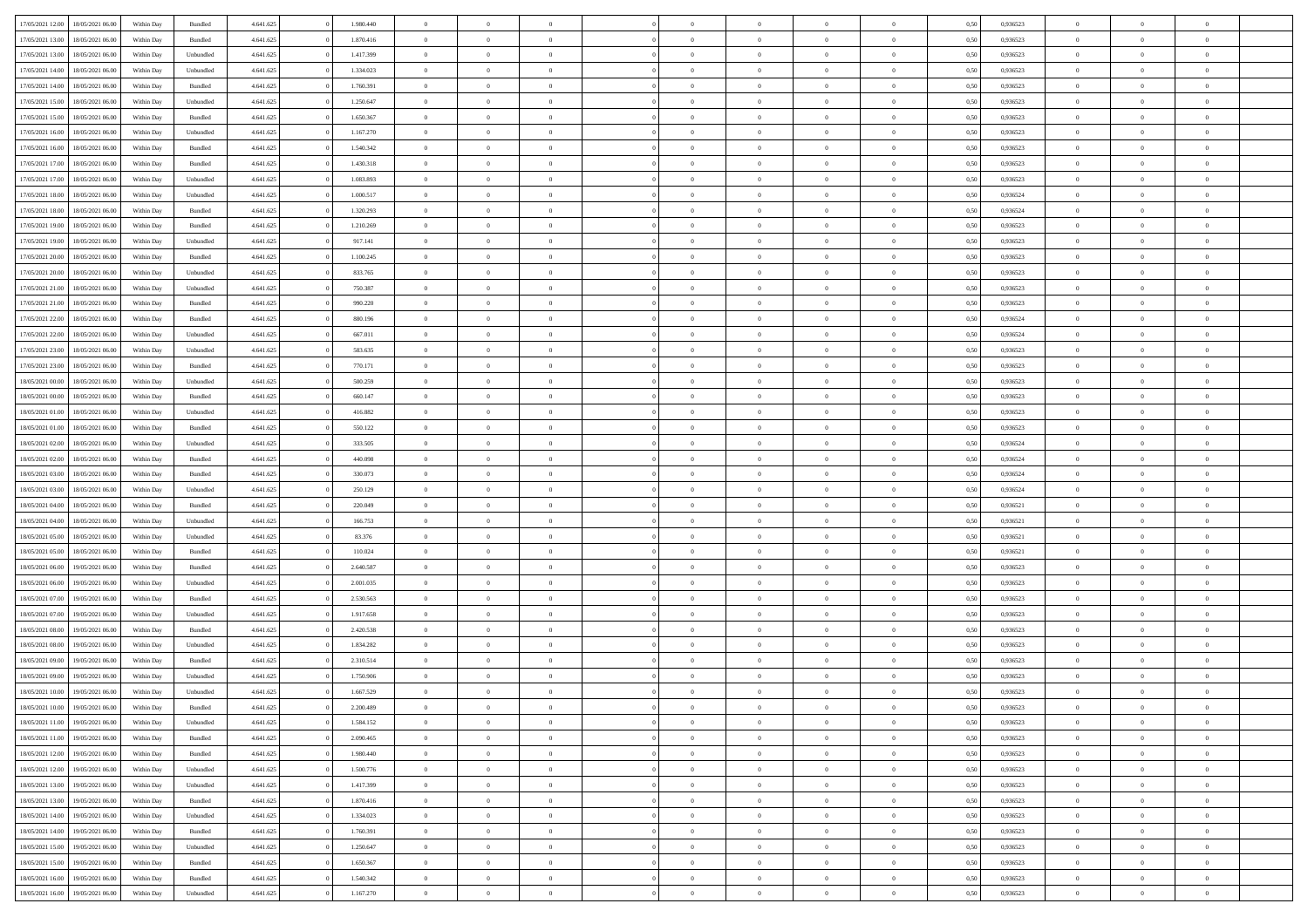| 17/05/2021 12:00                  | 18/05/2021 06:00 | Within Day | Bundled            | 4.641.625 | 1.980.440 | $\overline{0}$ | $\theta$       |                | $\overline{0}$ | $\bf{0}$       | $\overline{0}$ | $\theta$       | 0,50 | 0,936523 | $\theta$       | $\theta$       | $\theta$                 |  |
|-----------------------------------|------------------|------------|--------------------|-----------|-----------|----------------|----------------|----------------|----------------|----------------|----------------|----------------|------|----------|----------------|----------------|--------------------------|--|
|                                   |                  |            |                    |           |           | $\overline{0}$ | $\overline{0}$ |                |                |                |                |                |      |          |                |                | $\overline{0}$           |  |
| 17/05/2021 13:00                  | 18/05/2021 06:00 | Within Day | Bundled            | 4.641.625 | 1.870.416 |                |                | $\overline{0}$ | $\overline{0}$ | $\,$ 0         | $\overline{0}$ | $\bf{0}$       | 0,50 | 0,936523 | $\,$ 0 $\,$    | $\overline{0}$ |                          |  |
| 17/05/2021 13:00                  | 18/05/2021 06:00 | Within Day | Unbundled          | 4.641.625 | 1.417.399 | $\overline{0}$ | $\overline{0}$ | $\overline{0}$ | $\overline{0}$ | $\bf{0}$       | $\overline{0}$ | $\mathbf{0}$   | 0.50 | 0.936523 | $\bf{0}$       | $\overline{0}$ | $\overline{0}$           |  |
| 17/05/2021 14:00                  | 18/05/2021 06:00 | Within Day | Unbundled          | 4.641.625 | 1.334.023 | $\overline{0}$ | $\overline{0}$ | $\overline{0}$ | $\overline{0}$ | $\,$ 0         | $\overline{0}$ | $\overline{0}$ | 0,50 | 0,936523 | $\,$ 0 $\,$    | $\overline{0}$ | $\overline{0}$           |  |
| 17/05/2021 14:00                  | 18/05/2021 06:00 | Within Day | Bundled            | 4.641.625 | 1.760.391 | $\overline{0}$ | $\theta$       | $\overline{0}$ | $\overline{0}$ | $\overline{0}$ | $\overline{0}$ | $\bf{0}$       | 0,50 | 0,936523 | $\,$ 0 $\,$    | $\overline{0}$ | $\overline{0}$           |  |
| 17/05/2021 15:00                  | 18/05/2021 06:00 | Within Day | Unbundled          | 4.641.625 | 1.250.647 | $\overline{0}$ | $\overline{0}$ | $\overline{0}$ | $\overline{0}$ | $\bf{0}$       | $\overline{0}$ | $\bf{0}$       | 0.50 | 0.936523 | $\,0\,$        | $\theta$       | $\overline{0}$           |  |
| 17/05/2021 15:00                  | 18/05/2021 06:00 | Within Day | Bundled            | 4.641.625 | 1.650.367 | $\overline{0}$ | $\overline{0}$ | $\overline{0}$ | $\overline{0}$ | $\bf{0}$       | $\overline{0}$ | $\overline{0}$ | 0,50 | 0,936523 | $\,$ 0 $\,$    | $\theta$       | $\overline{0}$           |  |
| 17/05/2021 16:00                  | 18/05/2021 06:00 | Within Day | Unbundled          | 4.641.625 | 1.167.270 | $\overline{0}$ | $\theta$       | $\overline{0}$ | $\overline{0}$ | $\,$ 0         | $\overline{0}$ | $\bf{0}$       | 0,50 | 0,936523 | $\,$ 0 $\,$    | $\overline{0}$ | $\overline{0}$           |  |
| 17/05/2021 16:00                  | 18/05/2021 06:00 | Within Day | Bundled            | 4.641.625 | 1.540.342 | $\overline{0}$ | $\overline{0}$ | $\overline{0}$ | $\overline{0}$ | $\bf{0}$       | $\overline{0}$ | $\bf{0}$       | 0.50 | 0.936523 | $\,0\,$        | $\overline{0}$ | $\overline{0}$           |  |
| 17/05/2021 17:00                  | 18/05/2021 06:00 | Within Day | Bundled            | 4.641.625 | 1.430.318 | $\overline{0}$ | $\overline{0}$ | $\overline{0}$ | $\overline{0}$ | $\,$ 0         | $\overline{0}$ | $\bf{0}$       | 0,50 | 0,936523 | $\,$ 0 $\,$    | $\overline{0}$ | $\overline{0}$           |  |
|                                   |                  |            |                    |           |           |                |                |                |                |                |                |                |      |          |                |                |                          |  |
| 17/05/2021 17:00                  | 18/05/2021 06:00 | Within Day | Unbundled          | 4.641.625 | 1.083.893 | $\overline{0}$ | $\theta$       | $\overline{0}$ | $\overline{0}$ | $\,$ 0         | $\bf{0}$       | $\bf{0}$       | 0,50 | 0,936523 | $\,$ 0 $\,$    | $\overline{0}$ | $\overline{0}$           |  |
| 17/05/2021 18:00                  | 18/05/2021 06:00 | Within Day | Unbundled          | 4.641.625 | 1.000.517 | $\overline{0}$ | $\overline{0}$ | $\overline{0}$ | $\overline{0}$ | $\bf{0}$       | $\overline{0}$ | $\mathbf{0}$   | 0.50 | 0.936524 | $\bf{0}$       | $\overline{0}$ | $\bf{0}$                 |  |
| 17/05/2021 18:00                  | 18/05/2021 06:00 | Within Day | Bundled            | 4.641.625 | 1.320.293 | $\overline{0}$ | $\overline{0}$ | $\overline{0}$ | $\overline{0}$ | $\bf{0}$       | $\overline{0}$ | $\overline{0}$ | 0,50 | 0,936524 | $\,$ 0 $\,$    | $\overline{0}$ | $\overline{0}$           |  |
| 17/05/2021 19:00                  | 18/05/2021 06:00 | Within Day | Bundled            | 4.641.625 | 1.210.269 | $\overline{0}$ | $\theta$       | $\overline{0}$ | $\overline{0}$ | $\overline{0}$ | $\overline{0}$ | $\bf{0}$       | 0,50 | 0,936523 | $\,$ 0 $\,$    | $\overline{0}$ | $\overline{0}$           |  |
| 17/05/2021 19:00                  | 18/05/2021 06:00 | Within Day | Unbundled          | 4.641.625 | 917.141   | $\overline{0}$ | $\overline{0}$ | $\overline{0}$ | $\overline{0}$ | $\bf{0}$       | $\overline{0}$ | $\bf{0}$       | 0.50 | 0.936523 | $\theta$       | $\theta$       | $\overline{0}$           |  |
| 17/05/2021 20:00                  | 18/05/2021 06:00 | Within Day | Bundled            | 4.641.625 | 1.100.245 | $\overline{0}$ | $\overline{0}$ | $\overline{0}$ | $\overline{0}$ | $\,$ 0         | $\overline{0}$ | $\bf{0}$       | 0,50 | 0,936523 | $\,$ 0 $\,$    | $\theta$       | $\overline{0}$           |  |
| 17/05/2021 20:00                  | 18/05/2021 06:00 | Within Day | Unbundled          | 4.641.625 | 833.765   | $\overline{0}$ | $\theta$       | $\overline{0}$ | $\overline{0}$ | $\,$ 0         | $\overline{0}$ | $\bf{0}$       | 0,50 | 0,936523 | $\,$ 0 $\,$    | $\overline{0}$ | $\overline{0}$           |  |
| 17/05/2021 21:00                  | 18/05/2021 06:00 | Within Day | Unbundled          | 4.641.625 | 750,387   | $\overline{0}$ | $\overline{0}$ | $\overline{0}$ | $\overline{0}$ | $\bf{0}$       | $\overline{0}$ | $\bf{0}$       | 0.50 | 0.936523 | $\,0\,$        | $\overline{0}$ | $\overline{\phantom{a}}$ |  |
| 17/05/2021 21:00                  | 18/05/2021 06:00 | Within Day | Bundled            | 4.641.625 | 990.220   | $\overline{0}$ | $\overline{0}$ | $\overline{0}$ | $\overline{0}$ | $\bf{0}$       | $\overline{0}$ | $\bf{0}$       | 0,50 | 0,936523 | $\,$ 0 $\,$    | $\overline{0}$ | $\overline{0}$           |  |
|                                   |                  |            |                    |           |           |                | $\theta$       | $\overline{0}$ | $\overline{0}$ | $\,$ 0         |                |                |      |          | $\,$ 0 $\,$    | $\overline{0}$ | $\overline{0}$           |  |
| 17/05/2021 22:00                  | 18/05/2021 06:00 | Within Day | Bundled            | 4.641.625 | 880.196   | $\overline{0}$ |                |                |                |                | $\bf{0}$       | $\bf{0}$       | 0,50 | 0,936524 |                |                |                          |  |
| 17/05/2021 22:00                  | 18/05/2021 06:00 | Within Day | Unbundled          | 4.641.625 | 667.011   | $\overline{0}$ | $\overline{0}$ | $\overline{0}$ | $\overline{0}$ | $\bf{0}$       | $\overline{0}$ | $\mathbf{0}$   | 0.50 | 0.936524 | $\bf{0}$       | $\overline{0}$ | $\bf{0}$                 |  |
| 17/05/2021 23:00                  | 18/05/2021 06:00 | Within Day | Unbundled          | 4.641.625 | 583.635   | $\overline{0}$ | $\overline{0}$ | $\overline{0}$ | $\overline{0}$ | $\,$ 0         | $\overline{0}$ | $\overline{0}$ | 0,50 | 0,936523 | $\,$ 0 $\,$    | $\overline{0}$ | $\overline{0}$           |  |
| 17/05/2021 23:00                  | 18/05/2021 06:00 | Within Day | Bundled            | 4.641.625 | 770.171   | $\overline{0}$ | $\theta$       | $\overline{0}$ | $\overline{0}$ | $\,$ 0         | $\overline{0}$ | $\bf{0}$       | 0,50 | 0,936523 | $\,$ 0 $\,$    | $\overline{0}$ | $\overline{0}$           |  |
| 18/05/2021 00:00                  | 18/05/2021 06:00 | Within Day | Unbundled          | 4.641.625 | 500.259   | $\overline{0}$ | $\overline{0}$ | $\overline{0}$ | $\overline{0}$ | $\bf{0}$       | $\overline{0}$ | $\bf{0}$       | 0.50 | 0.936523 | $\,0\,$        | $\theta$       | $\overline{0}$           |  |
| 18/05/2021 00:00                  | 18/05/2021 06:00 | Within Day | Bundled            | 4.641.625 | 660.147   | $\overline{0}$ | $\overline{0}$ | $\overline{0}$ | $\overline{0}$ | $\,$ 0         | $\overline{0}$ | $\overline{0}$ | 0,50 | 0,936523 | $\,0\,$        | $\theta$       | $\overline{0}$           |  |
| 18/05/2021 01:00                  | 18/05/2021 06:00 | Within Day | Unbundled          | 4.641.625 | 416.882   | $\overline{0}$ | $\theta$       | $\overline{0}$ |                | $\bf{0}$       | $\overline{0}$ | $\bf{0}$       | 0,50 | 0,936523 | $\,$ 0 $\,$    | $\overline{0}$ | $\overline{0}$           |  |
| 18/05/2021 01:00                  | 18/05/2021 06:00 | Within Day | Bundled            | 4.641.625 | 550.122   | $\overline{0}$ | $\overline{0}$ | $\overline{0}$ | $\overline{0}$ | $\bf{0}$       | $\overline{0}$ | $\bf{0}$       | 0.50 | 0.936523 | $\,0\,$        | $\overline{0}$ | $\overline{0}$           |  |
| 18/05/2021 02:00                  | 18/05/2021 06:00 | Within Day | Unbundled          | 4.641.625 | 333.505   | $\overline{0}$ | $\overline{0}$ | $\overline{0}$ | $\overline{0}$ | $\bf{0}$       | $\overline{0}$ | $\bf{0}$       | 0,50 | 0,936524 | $\,$ 0 $\,$    | $\overline{0}$ | $\overline{0}$           |  |
| 18/05/2021 02:00                  | 18/05/2021 06:00 | Within Day | Bundled            | 4.641.625 | 440.098   | $\overline{0}$ | $\overline{0}$ | $\overline{0}$ | $\overline{0}$ | $\bf{0}$       | $\bf{0}$       | $\bf{0}$       | 0,50 | 0,936524 | $\,$ 0 $\,$    | $\overline{0}$ | $\overline{0}$           |  |
|                                   |                  |            | Bundled            |           | 330.073   |                | $\overline{0}$ | $\overline{0}$ | $\overline{0}$ |                | $\overline{0}$ |                | 0.50 | 0.936524 | $\bf{0}$       | $\overline{0}$ | $\bf{0}$                 |  |
| 18/05/2021 03:00                  | 18/05/2021 06:00 | Within Day |                    | 4.641.625 |           | $\overline{0}$ |                |                |                | $\bf{0}$       |                | $\mathbf{0}$   |      |          |                |                |                          |  |
| 18/05/2021 03:00                  | 18/05/2021 06:00 | Within Dav | Unbundled          | 4.641.625 | 250.129   | $\overline{0}$ | $\overline{0}$ | $\overline{0}$ | $\overline{0}$ | $\overline{0}$ | $\overline{0}$ | $\overline{0}$ | 0.50 | 0,936524 | $\theta$       | $\overline{0}$ | $\overline{0}$           |  |
| 18/05/2021 04:00                  | 18/05/2021 06:00 | Within Day | Bundled            | 4.641.625 | 220.049   | $\overline{0}$ | $\theta$       | $\overline{0}$ | $\overline{0}$ | $\,$ 0         | $\overline{0}$ | $\bf{0}$       | 0,50 | 0,936521 | $\,$ 0 $\,$    | $\overline{0}$ | $\overline{0}$           |  |
| 18/05/2021 04:00                  | 18/05/2021 06:00 | Within Day | Unbundled          | 4.641.625 | 166,753   | $\overline{0}$ | $\overline{0}$ | $\overline{0}$ | $\overline{0}$ | $\bf{0}$       | $\overline{0}$ | $\bf{0}$       | 0.50 | 0.936521 | $\,0\,$        | $\theta$       | $\overline{0}$           |  |
| 18/05/2021 05:00                  | 18/05/2021 06:00 | Within Dav | Unbundled          | 4.641.625 | 83.376    | $\overline{0}$ | $\overline{0}$ | $\Omega$       | $\overline{0}$ | $\mathbf{0}$   | $\overline{0}$ | $\overline{0}$ | 0.50 | 0,936521 | $\theta$       | $\overline{0}$ | $\overline{0}$           |  |
| 18/05/2021 05:00                  | 18/05/2021 06:00 | Within Day | Bundled            | 4.641.625 | 110.024   | $\overline{0}$ | $\theta$       | $\overline{0}$ | $\overline{0}$ | $\,$ 0         | $\overline{0}$ | $\bf{0}$       | 0,50 | 0,936521 | $\,$ 0 $\,$    | $\overline{0}$ | $\overline{0}$           |  |
| 18/05/2021 06:00                  | 19/05/2021 06:00 | Within Day | Bundled            | 4.641.625 | 2.640.587 | $\overline{0}$ | $\overline{0}$ | $\overline{0}$ | $\overline{0}$ | $\bf{0}$       | $\overline{0}$ | $\bf{0}$       | 0.50 | 0.936523 | $\,0\,$        | $\overline{0}$ | $\overline{0}$           |  |
| 18/05/2021 06:00                  | 19/05/2021 06:00 | Within Dav | Unbundled          | 4.641.625 | 2.001.035 | $\overline{0}$ | $\overline{0}$ | $\overline{0}$ | $\overline{0}$ | $\overline{0}$ | $\overline{0}$ | $\overline{0}$ | 0.50 | 0.936523 | $\theta$       | $\overline{0}$ | $\overline{0}$           |  |
| 18/05/2021 07:00                  | 19/05/2021 06.00 | Within Day | Bundled            | 4.641.625 | 2.530.563 | $\overline{0}$ | $\overline{0}$ | $\overline{0}$ | $\overline{0}$ | $\bf{0}$       | $\overline{0}$ | $\bf{0}$       | 0,50 | 0,936523 | $\,$ 0 $\,$    | $\overline{0}$ | $\overline{0}$           |  |
| 18/05/2021 07:00                  | 19/05/2021 06:00 | Within Day | Unbundled          | 4.641.625 | 1.917.658 | $\overline{0}$ | $\overline{0}$ | $\overline{0}$ | $\overline{0}$ | $\bf{0}$       | $\overline{0}$ | $\mathbf{0}$   | 0.50 | 0.936523 | $\bf{0}$       | $\overline{0}$ | $\overline{0}$           |  |
| 18/05/2021 08:00                  | 19/05/2021 06:00 | Within Dav | Bundled            | 4.641.625 | 2.420.538 | $\overline{0}$ | $\overline{0}$ | $\Omega$       | $\overline{0}$ | $\mathbf{0}$   | $\overline{0}$ | $\overline{0}$ | 0.50 | 0.936523 | $\theta$       | $\overline{0}$ | $\overline{0}$           |  |
|                                   |                  |            |                    |           |           | $\overline{0}$ | $\theta$       | $\overline{0}$ | $\overline{0}$ | $\,$ 0         | $\overline{0}$ |                |      |          | $\,$ 0 $\,$    | $\overline{0}$ | $\overline{0}$           |  |
| 18/05/2021 08:00                  | 19/05/2021 06.00 | Within Day | Unbundled          | 4.641.625 | 1.834.282 |                |                |                |                |                |                | $\bf{0}$       | 0,50 | 0,936523 |                |                |                          |  |
| 18/05/2021 09:00                  | 19/05/2021 06:00 | Within Day | Bundled            | 4.641.625 | 2.310.514 | $\overline{0}$ | $\theta$       | $\overline{0}$ | $\overline{0}$ | $\bf{0}$       | $\Omega$       | $\bf{0}$       | 0.50 | 0.936523 | $\,0\,$        | $\theta$       | $\overline{0}$           |  |
| 18/05/2021 09:00                  | 19/05/2021 06:00 | Within Dav | Unbundled          | 4.641.625 | 1.750.906 | $\overline{0}$ | $\Omega$       | $\Omega$       | $\Omega$       | $\bf{0}$       | $\overline{0}$ | $\overline{0}$ | 0.50 | 0.936523 | $\theta$       | $\theta$       | $\overline{0}$           |  |
| 18/05/2021 10:00                  | 19/05/2021 06:00 | Within Day | Unbundled          | 4.641.625 | 1.667.529 | $\overline{0}$ | $\,$ 0 $\,$    | $\overline{0}$ | $\overline{0}$ | $\,$ 0         | $\overline{0}$ | $\bf{0}$       | 0,50 | 0,936523 | $\,$ 0 $\,$    | $\overline{0}$ | $\overline{0}$           |  |
| 18/05/2021 10:00                  | 19/05/2021 06:00 | Within Day | $\mathbf B$ undled | 4.641.625 | 2.200.489 | $\bf{0}$       | $\theta$       |                | $\Omega$       | $\Omega$       |                |                | 0,50 | 0.936523 | $\bf{0}$       | $\theta$       |                          |  |
| 18/05/2021 11:00                  | 19/05/2021 06:00 | Within Day | Unbundled          | 4.641.625 | 1.584.152 | $\overline{0}$ | $\overline{0}$ | $\overline{0}$ | $\overline{0}$ | $\overline{0}$ | $\overline{0}$ | $\overline{0}$ | 0,50 | 0.936523 | $\theta$       | $\overline{0}$ | $\overline{0}$           |  |
| 18/05/2021 11:00                  | 19/05/2021 06:00 | Within Day | Bundled            | 4.641.625 | 2.090.465 | $\overline{0}$ | $\overline{0}$ | $\overline{0}$ | $\overline{0}$ | $\overline{0}$ | $\overline{0}$ | $\bf{0}$       | 0,50 | 0,936523 | $\bf{0}$       | $\overline{0}$ | $\bf{0}$                 |  |
| 18/05/2021 12:00                  | 19/05/2021 06:00 | Within Day | Bundled            | 4.641.625 | 1.980.440 | $\overline{0}$ | $\overline{0}$ | $\overline{0}$ | $\overline{0}$ | $\overline{0}$ | $\overline{0}$ | $\mathbf{0}$   | 0.50 | 0.936523 | $\overline{0}$ | $\bf{0}$       | $\bf{0}$                 |  |
| 18/05/2021 12:00                  | 19/05/2021 06:00 | Within Day | Unbundled          | 4.641.625 | 1.500.776 | $\overline{0}$ | $\overline{0}$ | $\overline{0}$ | $\overline{0}$ | $\overline{0}$ | $\overline{0}$ | $\overline{0}$ | 0,50 | 0.936523 | $\overline{0}$ | $\theta$       | $\overline{0}$           |  |
| 18/05/2021 13:00                  | 19/05/2021 06:00 | Within Day | Unbundled          | 4.641.625 | 1.417.399 | $\overline{0}$ | $\overline{0}$ | $\overline{0}$ | $\overline{0}$ | $\bf{0}$       | $\bf{0}$       | $\bf{0}$       | 0,50 | 0,936523 | $\bf{0}$       | $\overline{0}$ | $\overline{0}$           |  |
| 18/05/2021 13:00                  | 19/05/2021 06:00 | Within Day | Bundled            | 4.641.625 | 1.870.416 | $\overline{0}$ | $\overline{0}$ | $\overline{0}$ | $\overline{0}$ | $\bf{0}$       | $\overline{0}$ | $\mathbf{0}$   | 0.50 | 0.936523 | $\,$ 0 $\,$    | $\theta$       | $\overline{0}$           |  |
| 18/05/2021 14:00                  | 19/05/2021 06:00 | Within Day | Unbundled          | 4.641.625 | 1.334.023 | $\overline{0}$ | $\overline{0}$ | $\overline{0}$ | $\overline{0}$ | $\overline{0}$ | $\overline{0}$ | $\overline{0}$ | 0,50 | 0.936523 | $\overline{0}$ | $\theta$       | $\overline{0}$           |  |
|                                   |                  |            |                    |           |           |                |                |                |                |                |                |                |      |          |                |                |                          |  |
| 18/05/2021 14:00                  | 19/05/2021 06:00 | Within Day | Bundled            | 4.641.625 | 1.760.391 | $\overline{0}$ | $\,$ 0         | $\overline{0}$ | $\bf{0}$       | $\,$ 0 $\,$    | $\overline{0}$ | $\bf{0}$       | 0,50 | 0,936523 | $\,$ 0 $\,$    | $\overline{0}$ | $\overline{0}$           |  |
| 18/05/2021 15:00                  | 19/05/2021 06:00 | Within Day | Unbundled          | 4.641.625 | 1.250.647 | $\overline{0}$ | $\overline{0}$ | $\overline{0}$ | $\overline{0}$ | $\bf{0}$       | $\overline{0}$ | $\mathbf{0}$   | 0.50 | 0.936523 | $\mathbf{0}$   | $\bf{0}$       | $\bf{0}$                 |  |
| 18/05/2021 15:00                  | 19/05/2021 06:00 | Within Dav | Bundled            | 4.641.625 | 1.650.367 | $\overline{0}$ | $\overline{0}$ | $\overline{0}$ | $\overline{0}$ | $\overline{0}$ | $\overline{0}$ | $\overline{0}$ | 0,50 | 0.936523 | $\overline{0}$ | $\theta$       | $\overline{0}$           |  |
| 18/05/2021 16:00                  | 19/05/2021 06:00 | Within Day | Bundled            | 4.641.625 | 1.540.342 | $\overline{0}$ | $\overline{0}$ | $\overline{0}$ | $\bf{0}$       | $\bf{0}$       | $\bf{0}$       | $\bf{0}$       | 0,50 | 0,936523 | $\bf{0}$       | $\overline{0}$ | $\bf{0}$                 |  |
| 18/05/2021 16:00 19/05/2021 06:00 |                  | Within Day | Unbundled          | 4.641.625 | 1.167.270 | $\,$ 0 $\,$    | $\,$ 0 $\,$    | $\overline{0}$ | $\overline{0}$ | $\,$ 0 $\,$    | $\,$ 0 $\,$    | $\,$ 0 $\,$    | 0,50 | 0,936523 | $\mathbf{0}^-$ | $\,$ 0 $\,$    | $\,$ 0 $\,$              |  |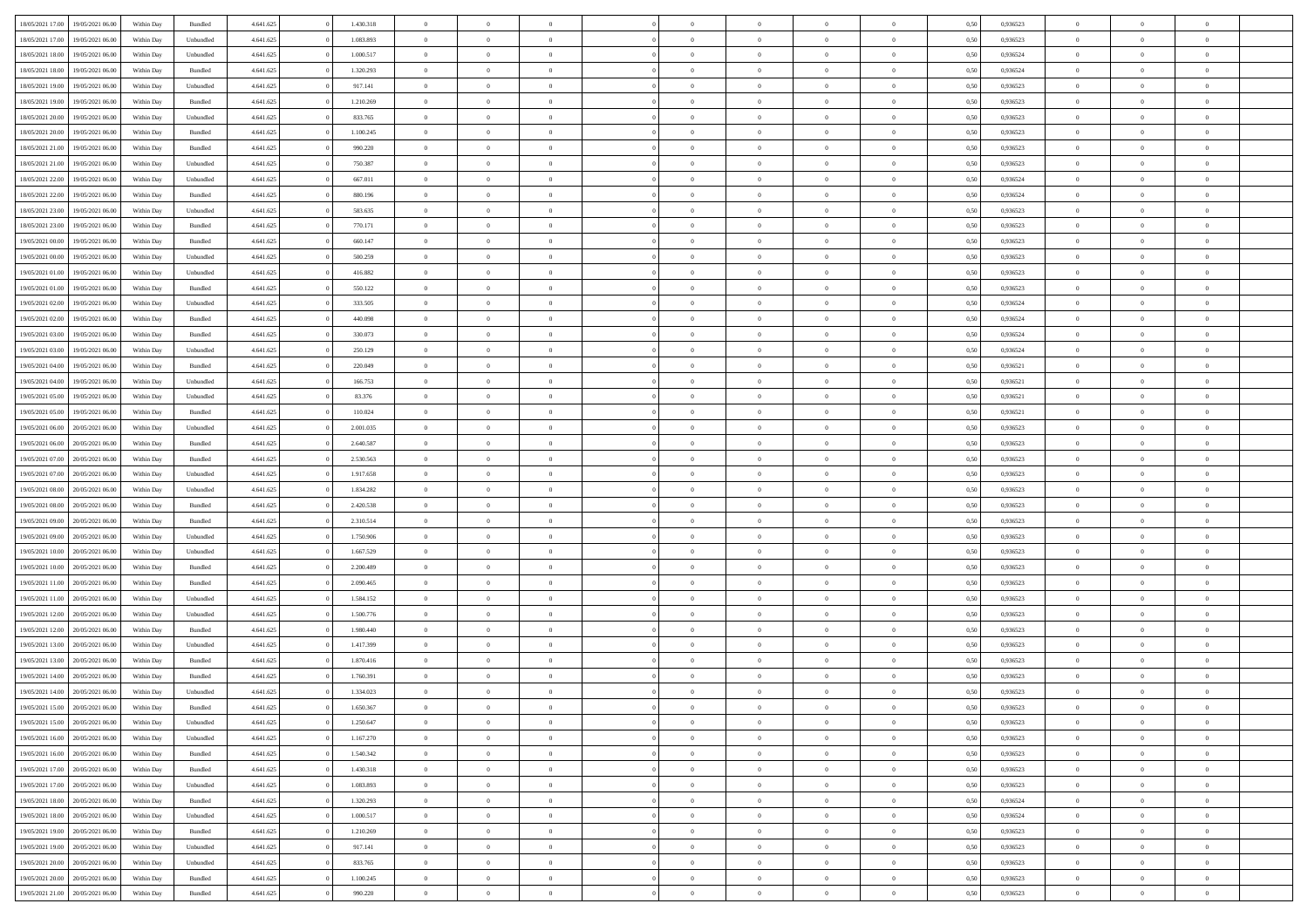|                  |                  |            |                    |           |           |                | $\Omega$       |                |                | $\Omega$       |                | $\theta$       |      |          | $\theta$       |                |                |  |
|------------------|------------------|------------|--------------------|-----------|-----------|----------------|----------------|----------------|----------------|----------------|----------------|----------------|------|----------|----------------|----------------|----------------|--|
| 18/05/2021 17:00 | 19/05/2021 06:00 | Within Day | Bundled            | 4.641.625 | 1.430.318 | $\overline{0}$ |                |                | $\Omega$       |                | $\overline{0}$ |                | 0,50 | 0,936523 |                | $\theta$       | $\overline{0}$ |  |
| 18/05/2021 17:00 | 19/05/2021 06:00 | Within Day | Unbundled          | 4.641.625 | 1.083.893 | $\overline{0}$ | $\theta$       | $\overline{0}$ | $\overline{0}$ | $\bf{0}$       | $\overline{0}$ | $\bf{0}$       | 0,50 | 0,936523 | $\theta$       | $\overline{0}$ | $\overline{0}$ |  |
| 18/05/2021 18:00 | 19/05/2021 06:00 | Within Day | Unbundled          | 4.641.625 | 1.000.517 | $\overline{0}$ | $\bf{0}$       | $\overline{0}$ | $\bf{0}$       | $\bf{0}$       | $\bf{0}$       | $\mathbf{0}$   | 0,50 | 0,936524 | $\overline{0}$ | $\overline{0}$ | $\bf{0}$       |  |
| 18/05/2021 18:00 | 19/05/2021 06:00 | Within Dav | Bundled            | 4.641.625 | 1.320.293 | $\overline{0}$ | $\overline{0}$ | $\overline{0}$ | $\overline{0}$ | $\bf{0}$       | $\overline{0}$ | $\overline{0}$ | 0.50 | 0.936524 | $\theta$       | $\theta$       | $\overline{0}$ |  |
| 18/05/2021 19:00 | 19/05/2021 06:00 | Within Day | Unbundled          | 4.641.625 | 917.141   | $\overline{0}$ | $\theta$       | $\overline{0}$ | $\overline{0}$ | $\bf{0}$       | $\overline{0}$ | $\bf{0}$       | 0,50 | 0,936523 | $\theta$       | $\overline{0}$ | $\overline{0}$ |  |
|                  |                  |            |                    |           |           |                |                |                |                |                |                |                |      |          |                |                |                |  |
| 18/05/2021 19:00 | 19/05/2021 06:00 | Within Day | Bundled            | 4.641.625 | 1.210.269 | $\overline{0}$ | $\overline{0}$ | $\overline{0}$ | $\bf{0}$       | $\overline{0}$ | $\overline{0}$ | $\mathbf{0}$   | 0,50 | 0,936523 | $\overline{0}$ | $\overline{0}$ | $\bf{0}$       |  |
| 18/05/2021 20:00 | 19/05/2021 06:00 | Within Dav | Unbundled          | 4.641.625 | 833.765   | $\overline{0}$ | $\overline{0}$ | $\overline{0}$ | $\overline{0}$ | $\overline{0}$ | $\overline{0}$ | $\overline{0}$ | 0.50 | 0.936523 | $\theta$       | $\overline{0}$ | $\overline{0}$ |  |
| 18/05/2021 20:00 | 19/05/2021 06:00 | Within Day | Bundled            | 4.641.625 | 1.100.245 | $\overline{0}$ | $\theta$       | $\overline{0}$ | $\overline{0}$ | $\bf{0}$       | $\overline{0}$ | $\bf{0}$       | 0,50 | 0,936523 | $\theta$       | $\theta$       | $\overline{0}$ |  |
| 18/05/2021 21:00 | 19/05/2021 06:00 | Within Day | Bundled            | 4.641.625 | 990.220   | $\overline{0}$ | $\overline{0}$ | $\overline{0}$ | $\bf{0}$       | $\bf{0}$       | $\bf{0}$       | $\bf{0}$       | 0,50 | 0,936523 | $\,0\,$        | $\overline{0}$ | $\overline{0}$ |  |
| 18/05/2021 21:00 | 19/05/2021 06:00 | Within Dav | Unbundled          | 4.641.625 | 750.387   | $\overline{0}$ | $\overline{0}$ | $\overline{0}$ | $\overline{0}$ | $\overline{0}$ | $\overline{0}$ | $\overline{0}$ | 0.50 | 0.936523 | $\theta$       | $\overline{0}$ | $\overline{0}$ |  |
| 18/05/2021 22:00 | 19/05/2021 06:00 | Within Day | Unbundled          | 4.641.625 | 667.011   | $\overline{0}$ | $\theta$       | $\overline{0}$ | $\overline{0}$ | $\bf{0}$       | $\overline{0}$ | $\bf{0}$       | 0,50 | 0,936524 | $\,$ 0 $\,$    | $\overline{0}$ | $\overline{0}$ |  |
| 18/05/2021 22:00 | 19/05/2021 06:00 | Within Day | Bundled            | 4.641.625 | 880.196   | $\overline{0}$ | $\overline{0}$ | $\overline{0}$ | $\bf{0}$       | $\bf{0}$       | $\bf{0}$       | $\mathbf{0}$   | 0,50 | 0,936524 | $\overline{0}$ | $\overline{0}$ | $\bf{0}$       |  |
|                  |                  |            |                    |           |           |                |                |                |                |                |                |                |      |          | $\theta$       |                |                |  |
| 18/05/2021 23:00 | 19/05/2021 06:00 | Within Day | Unbundled          | 4.641.625 | 583.635   | $\overline{0}$ | $\overline{0}$ | $\overline{0}$ | $\overline{0}$ | $\bf{0}$       | $\overline{0}$ | $\overline{0}$ | 0.50 | 0.936523 |                | $\theta$       | $\overline{0}$ |  |
| 18/05/2021 23:00 | 19/05/2021 06:00 | Within Day | Bundled            | 4.641.625 | 770.171   | $\overline{0}$ | $\theta$       | $\overline{0}$ | $\overline{0}$ | $\bf{0}$       | $\overline{0}$ | $\bf{0}$       | 0,50 | 0,936523 | $\theta$       | $\overline{0}$ | $\overline{0}$ |  |
| 19/05/2021 00:00 | 19/05/2021 06:00 | Within Day | Bundled            | 4.641.625 | 660.147   | $\overline{0}$ | $\overline{0}$ | $\overline{0}$ | $\overline{0}$ | $\overline{0}$ | $\overline{0}$ | $\mathbf{0}$   | 0,50 | 0,936523 | $\overline{0}$ | $\overline{0}$ | $\bf{0}$       |  |
| 19/05/2021 00:00 | 19/05/2021 06:00 | Within Dav | Unbundled          | 4.641.625 | 500.259   | $\overline{0}$ | $\overline{0}$ | $\overline{0}$ | $\overline{0}$ | $\overline{0}$ | $\overline{0}$ | $\overline{0}$ | 0.50 | 0.936523 | $\theta$       | $\overline{0}$ | $\overline{0}$ |  |
| 19/05/2021 01:00 | 19/05/2021 06:00 | Within Day | Unbundled          | 4.641.625 | 416.882   | $\overline{0}$ | $\theta$       | $\overline{0}$ | $\overline{0}$ | $\bf{0}$       | $\overline{0}$ | $\bf{0}$       | 0,50 | 0,936523 | $\theta$       | $\theta$       | $\overline{0}$ |  |
| 19/05/2021 01:00 | 19/05/2021 06:00 | Within Day | Bundled            | 4.641.625 | 550.122   | $\overline{0}$ | $\overline{0}$ | $\overline{0}$ | $\overline{0}$ | $\bf{0}$       | $\overline{0}$ | $\mathbf{0}$   | 0,50 | 0,936523 | $\,0\,$        | $\overline{0}$ | $\bf{0}$       |  |
| 19/05/2021 02:00 | 19/05/2021 06:00 | Within Dav | Unbundled          | 4.641.625 | 333.505   | $\overline{0}$ | $\overline{0}$ | $\overline{0}$ | $\overline{0}$ | $\overline{0}$ | $\overline{0}$ | $\overline{0}$ | 0.50 | 0,936524 | $\theta$       | $\overline{0}$ | $\overline{0}$ |  |
|                  |                  |            |                    |           |           |                |                |                |                |                |                |                |      |          |                |                |                |  |
| 19/05/2021 02:00 | 19/05/2021 06:00 | Within Day | Bundled            | 4.641.625 | 440.098   | $\overline{0}$ | $\theta$       | $\overline{0}$ | $\overline{0}$ | $\bf{0}$       | $\overline{0}$ | $\bf{0}$       | 0,50 | 0,936524 | $\,$ 0 $\,$    | $\overline{0}$ | $\overline{0}$ |  |
| 19/05/2021 03:00 | 19/05/2021 06:00 | Within Day | Bundled            | 4.641.625 | 330.073   | $\overline{0}$ | $\overline{0}$ | $\overline{0}$ | $\overline{0}$ | $\bf{0}$       | $\overline{0}$ | $\mathbf{0}$   | 0,50 | 0,936524 | $\bf{0}$       | $\overline{0}$ | $\bf{0}$       |  |
| 19/05/2021 03:00 | 19/05/2021 06:00 | Within Day | Unbundled          | 4.641.625 | 250.129   | $\overline{0}$ | $\overline{0}$ | $\overline{0}$ | $\overline{0}$ | $\overline{0}$ | $\overline{0}$ | $\overline{0}$ | 0.50 | 0.936524 | $\theta$       | $\overline{0}$ | $\overline{0}$ |  |
| 19/05/2021 04:00 | 19/05/2021 06:00 | Within Day | Bundled            | 4.641.625 | 220.049   | $\overline{0}$ | $\theta$       | $\overline{0}$ | $\overline{0}$ | $\bf{0}$       | $\overline{0}$ | $\bf{0}$       | 0,50 | 0,936521 | $\,$ 0 $\,$    | $\overline{0}$ | $\overline{0}$ |  |
| 19/05/2021 04:00 | 19/05/2021 06:00 | Within Day | Unbundled          | 4.641.625 | 166.753   | $\overline{0}$ | $\overline{0}$ | $\overline{0}$ | $\overline{0}$ | $\overline{0}$ | $\overline{0}$ | $\mathbf{0}$   | 0,50 | 0,936521 | $\overline{0}$ | $\overline{0}$ | $\bf{0}$       |  |
| 19/05/2021 05:00 | 19/05/2021 06:00 | Within Dav | Unbundled          | 4.641.625 | 83.376    | $\overline{0}$ | $\overline{0}$ | $\overline{0}$ | $\overline{0}$ | $\overline{0}$ | $\overline{0}$ | $\overline{0}$ | 0.50 | 0,936521 | $\theta$       | $\overline{0}$ | $\overline{0}$ |  |
| 19/05/2021 05:00 | 19/05/2021 06:00 |            |                    | 4.641.625 | 110.024   | $\overline{0}$ | $\theta$       | $\overline{0}$ | $\overline{0}$ | $\bf{0}$       | $\overline{0}$ |                |      | 0,936521 | $\theta$       | $\theta$       | $\overline{0}$ |  |
|                  |                  | Within Day | Bundled            |           |           |                |                |                |                |                |                | $\bf{0}$       | 0,50 |          |                |                |                |  |
| 19/05/2021 06:00 | 20/05/2021 06:00 | Within Day | Unbundled          | 4.641.625 | 2.001.035 | $\overline{0}$ | $\overline{0}$ | $\overline{0}$ | $\overline{0}$ | $\bf{0}$       | $\overline{0}$ | $\bf{0}$       | 0,50 | 0,936523 | $\,0\,$        | $\overline{0}$ | $\overline{0}$ |  |
| 19/05/2021 06:00 | 20/05/2021 06:00 | Within Day | Bundled            | 4.641.625 | 2.640.587 | $\overline{0}$ | $\overline{0}$ | $\overline{0}$ | $\overline{0}$ | $\overline{0}$ | $\overline{0}$ | $\overline{0}$ | 0.50 | 0.936523 | $\theta$       | $\overline{0}$ | $\overline{0}$ |  |
| 19/05/2021 07:00 | 20/05/2021 06:00 | Within Day | Bundled            | 4.641.625 | 2.530.563 | $\overline{0}$ | $\theta$       | $\overline{0}$ | $\overline{0}$ | $\bf{0}$       | $\overline{0}$ | $\bf{0}$       | 0,50 | 0,936523 | $\,$ 0 $\,$    | $\overline{0}$ | $\overline{0}$ |  |
| 19/05/2021 07:00 | 20/05/2021 06:00 | Within Day | Unbundled          | 4.641.625 | 1.917.658 | $\overline{0}$ | $\bf{0}$       | $\overline{0}$ | $\overline{0}$ | $\bf{0}$       | $\overline{0}$ | $\mathbf{0}$   | 0,50 | 0,936523 | $\overline{0}$ | $\overline{0}$ | $\bf{0}$       |  |
| 19/05/2021 08:00 | 20/05/2021 06:00 | Within Day | Unbundled          | 4.641.625 | 1.834.282 | $\overline{0}$ | $\Omega$       | $\Omega$       | $\Omega$       | $\Omega$       | $\overline{0}$ | $\overline{0}$ | 0,50 | 0,936523 | $\,0\,$        | $\theta$       | $\theta$       |  |
| 19/05/2021 08:00 | 20/05/2021 06:00 | Within Day | Bundled            | 4.641.625 | 2.420.538 | $\overline{0}$ | $\theta$       | $\overline{0}$ | $\overline{0}$ | $\bf{0}$       | $\overline{0}$ | $\bf{0}$       | 0,50 | 0,936523 | $\theta$       | $\overline{0}$ | $\overline{0}$ |  |
|                  |                  |            |                    |           |           |                |                |                |                |                |                |                |      |          |                |                |                |  |
| 19/05/2021 09:00 | 20/05/2021 06:00 | Within Day | Bundled            | 4.641.625 | 2.310.514 | $\overline{0}$ | $\overline{0}$ | $\overline{0}$ | $\bf{0}$       | $\overline{0}$ | $\overline{0}$ | $\mathbf{0}$   | 0,50 | 0,936523 | $\overline{0}$ | $\overline{0}$ | $\bf{0}$       |  |
| 19/05/2021 09:00 | 20/05/2021 06:00 | Within Day | Unbundled          | 4.641.625 | 1.750.906 | $\overline{0}$ | $\Omega$       | $\Omega$       | $\Omega$       | $\overline{0}$ | $\overline{0}$ | $\overline{0}$ | 0.50 | 0.936523 | $\,0\,$        | $\theta$       | $\theta$       |  |
| 19/05/2021 10:00 | 20/05/2021 06:00 | Within Day | Unbundled          | 4.641.625 | 1.667.529 | $\overline{0}$ | $\theta$       | $\overline{0}$ | $\overline{0}$ | $\bf{0}$       | $\overline{0}$ | $\bf{0}$       | 0,50 | 0,936523 | $\theta$       | $\overline{0}$ | $\overline{0}$ |  |
| 19/05/2021 10:00 | 20/05/2021 06:00 | Within Day | Bundled            | 4.641.625 | 2.200.489 | $\overline{0}$ | $\overline{0}$ | $\overline{0}$ | $\bf{0}$       | $\bf{0}$       | $\bf{0}$       | $\mathbf{0}$   | 0,50 | 0,936523 | $\bf{0}$       | $\overline{0}$ | $\bf{0}$       |  |
| 19/05/2021 11:00 | 20/05/2021 06:00 | Within Day | Bundled            | 4.641.625 | 2.090.465 | $\overline{0}$ | $\Omega$       | $\Omega$       | $\Omega$       | $\overline{0}$ | $\overline{0}$ | $\overline{0}$ | 0.50 | 0.936523 | $\,$ 0 $\,$    | $\theta$       | $\theta$       |  |
| 19/05/2021 11:00 | 20/05/2021 06:00 | Within Day | Unbundled          | 4.641.625 | 1.584.152 | $\overline{0}$ | $\theta$       | $\overline{0}$ | $\overline{0}$ | $\,$ 0         | $\overline{0}$ | $\bf{0}$       | 0,50 | 0,936523 | $\,$ 0 $\,$    | $\overline{0}$ | $\overline{0}$ |  |
| 19/05/2021 12:00 | 20/05/2021 06:00 | Within Day | Unbundled          | 4.641.625 | 1.500.776 | $\overline{0}$ | $\bf{0}$       | $\overline{0}$ | $\bf{0}$       | $\bf{0}$       | $\bf{0}$       | $\mathbf{0}$   | 0,50 | 0,936523 | $\overline{0}$ | $\overline{0}$ | $\bf{0}$       |  |
|                  |                  |            |                    |           | 1.980.440 | $\overline{0}$ | $\Omega$       | $\overline{0}$ | $\Omega$       | $\overline{0}$ | $\overline{0}$ | $\overline{0}$ |      |          | $\,0\,$        | $\theta$       | $\theta$       |  |
| 19/05/2021 12:00 | 20/05/2021 06:00 | Within Day | Bundled            | 4.641.625 |           |                |                |                |                |                |                |                | 0,50 | 0,936523 |                |                |                |  |
| 19/05/2021 13:00 | 20/05/2021 06:00 | Within Day | Unbundled          | 4.641.625 | 1.417.399 | $\overline{0}$ | $\overline{0}$ | $\overline{0}$ | $\overline{0}$ | $\,$ 0         | $\overline{0}$ | $\bf{0}$       | 0,50 | 0,936523 | $\,$ 0 $\,$    | $\overline{0}$ | $\overline{0}$ |  |
| 19/05/2021 13:00 | 20/05/2021 06:00 | Within Day | Bundled            | 4.641.625 | 1.870.416 | $\overline{0}$ | $\overline{0}$ | $\overline{0}$ | $\bf{0}$       | $\bf{0}$       | $\overline{0}$ | $\mathbf{0}$   | 0,50 | 0,936523 | $\overline{0}$ | $\overline{0}$ | $\bf{0}$       |  |
| 19/05/2021 14:00 | 20/05/2021 06:00 | Within Day | Bundled            | 4.641.625 | 1.760.391 | $\overline{0}$ | $\Omega$       | $\Omega$       | $\Omega$       | $\Omega$       | $\Omega$       | $\overline{0}$ | 0.50 | 0.936523 | $\theta$       | $\theta$       | $\theta$       |  |
| 19/05/2021 14:00 | 20/05/2021 06:00 | Within Day | Unbundled          | 4.641.625 | 1.334.023 | $\overline{0}$ | $\overline{0}$ | $\overline{0}$ | $\bf{0}$       | $\,$ 0         | $\bf{0}$       | $\bf{0}$       | 0,50 | 0,936523 | $\,0\,$        | $\,0\,$        | $\overline{0}$ |  |
| 19/05/2021 15:00 | 20/05/2021 06:00 | Within Day | $\mathbf B$ undled | 4.641.625 | 1.650.367 | $\bf{0}$       | $\bf{0}$       |                |                | $\bf{0}$       |                |                | 0,50 | 0,936523 | $\bf{0}$       | $\overline{0}$ |                |  |
| 19/05/2021 15:00 | 20/05/2021 06:00 | Within Day | Unbundled          | 4.641.625 | 1.250.647 | $\overline{0}$ | $\overline{0}$ | $\overline{0}$ | $\Omega$       | $\overline{0}$ | $\overline{0}$ | $\overline{0}$ | 0.50 | 0.936523 | $\theta$       | $\theta$       | $\theta$       |  |
| 19/05/2021 16:00 | 20/05/2021 06:00 | Within Day | Unbundled          | 4.641.625 | 1.167.270 | $\overline{0}$ | $\,$ 0         | $\overline{0}$ | $\bf{0}$       | $\,$ 0 $\,$    | $\overline{0}$ | $\mathbf{0}$   | 0,50 | 0,936523 | $\,$ 0 $\,$    | $\,$ 0 $\,$    | $\,$ 0         |  |
| 19/05/2021 16:00 | 20/05/2021 06:00 | Within Day | Bundled            | 4.641.625 | 1.540.342 | $\overline{0}$ | $\overline{0}$ | $\overline{0}$ | $\overline{0}$ | $\overline{0}$ | $\overline{0}$ | $\mathbf{0}$   | 0,50 | 0,936523 | $\overline{0}$ | $\bf{0}$       | $\bf{0}$       |  |
|                  |                  |            |                    |           |           |                |                |                |                |                |                |                |      |          |                |                |                |  |
| 19/05/2021 17:00 | 20/05/2021 06:00 | Within Day | Bundled            | 4.641.625 | 1.430.318 | $\overline{0}$ | $\overline{0}$ | $\overline{0}$ | $\Omega$       | $\overline{0}$ | $\overline{0}$ | $\overline{0}$ | 0,50 | 0,936523 | $\overline{0}$ | $\theta$       | $\overline{0}$ |  |
| 19/05/2021 17:00 | 20/05/2021 06:00 | Within Day | Unbundled          | 4.641.625 | 1.083.893 | $\overline{0}$ | $\,$ 0         | $\overline{0}$ | $\overline{0}$ | $\overline{0}$ | $\overline{0}$ | $\bf{0}$       | 0,50 | 0,936523 | $\,$ 0 $\,$    | $\overline{0}$ | $\overline{0}$ |  |
| 19/05/2021 18:00 | 20/05/2021 06:00 | Within Day | Bundled            | 4.641.625 | 1.320.293 | $\overline{0}$ | $\overline{0}$ | $\overline{0}$ | $\overline{0}$ | $\overline{0}$ | $\overline{0}$ | $\mathbf{0}$   | 0,50 | 0,936524 | $\overline{0}$ | $\overline{0}$ | $\bf{0}$       |  |
| 19/05/2021 18:00 | 20/05/2021 06:00 | Within Day | Unbundled          | 4.641.625 | 1.000.517 | $\overline{0}$ | $\overline{0}$ | $\overline{0}$ | $\Omega$       | $\overline{0}$ | $\overline{0}$ | $\bf{0}$       | 0.50 | 0,936524 | $\overline{0}$ | $\theta$       | $\overline{0}$ |  |
| 19/05/2021 19:00 | 20/05/2021 06:00 | Within Day | Bundled            | 4.641.625 | 1.210.269 | $\overline{0}$ | $\,$ 0         | $\overline{0}$ | $\bf{0}$       | $\bf{0}$       | $\bf{0}$       | $\bf{0}$       | 0,50 | 0,936523 | $\,$ 0 $\,$    | $\overline{0}$ | $\overline{0}$ |  |
| 19/05/2021 19:00 | 20/05/2021 06:00 | Within Day | Unbundled          | 4.641.625 | 917.141   | $\overline{0}$ | $\bf{0}$       | $\overline{0}$ | $\overline{0}$ | $\overline{0}$ | $\overline{0}$ | $\mathbf{0}$   | 0,50 | 0,936523 | $\overline{0}$ | $\overline{0}$ | $\bf{0}$       |  |
|                  |                  |            |                    |           |           |                |                |                |                |                |                |                |      |          |                |                |                |  |
| 19/05/2021 20:00 | 20/05/2021 06:00 | Within Day | Unbundled          | 4.641.625 | 833.765   | $\overline{0}$ | $\overline{0}$ | $\overline{0}$ | $\Omega$       | $\overline{0}$ | $\overline{0}$ | $\bf{0}$       | 0.50 | 0.936523 | $\overline{0}$ | $\theta$       | $\overline{0}$ |  |
| 19/05/2021 20:00 | 20/05/2021 06:00 | Within Day | Bundled            | 4.641.625 | 1.100.245 | $\overline{0}$ | $\bf{0}$       | $\overline{0}$ | $\overline{0}$ | $\bf{0}$       | $\overline{0}$ | $\bf{0}$       | 0,50 | 0,936523 | $\,$ 0 $\,$    | $\,$ 0 $\,$    | $\bf{0}$       |  |
| 19/05/2021 21:00 | 20/05/2021 06:00 | Within Day | Bundled            | 4.641.625 | 990.220   | $\overline{0}$ | $\bf{0}$       | $\overline{0}$ | $\bf{0}$       | $\bf{0}$       | $\overline{0}$ | $\bf{0}$       | 0,50 | 0,936523 | $\overline{0}$ | $\overline{0}$ | $\bf{0}$       |  |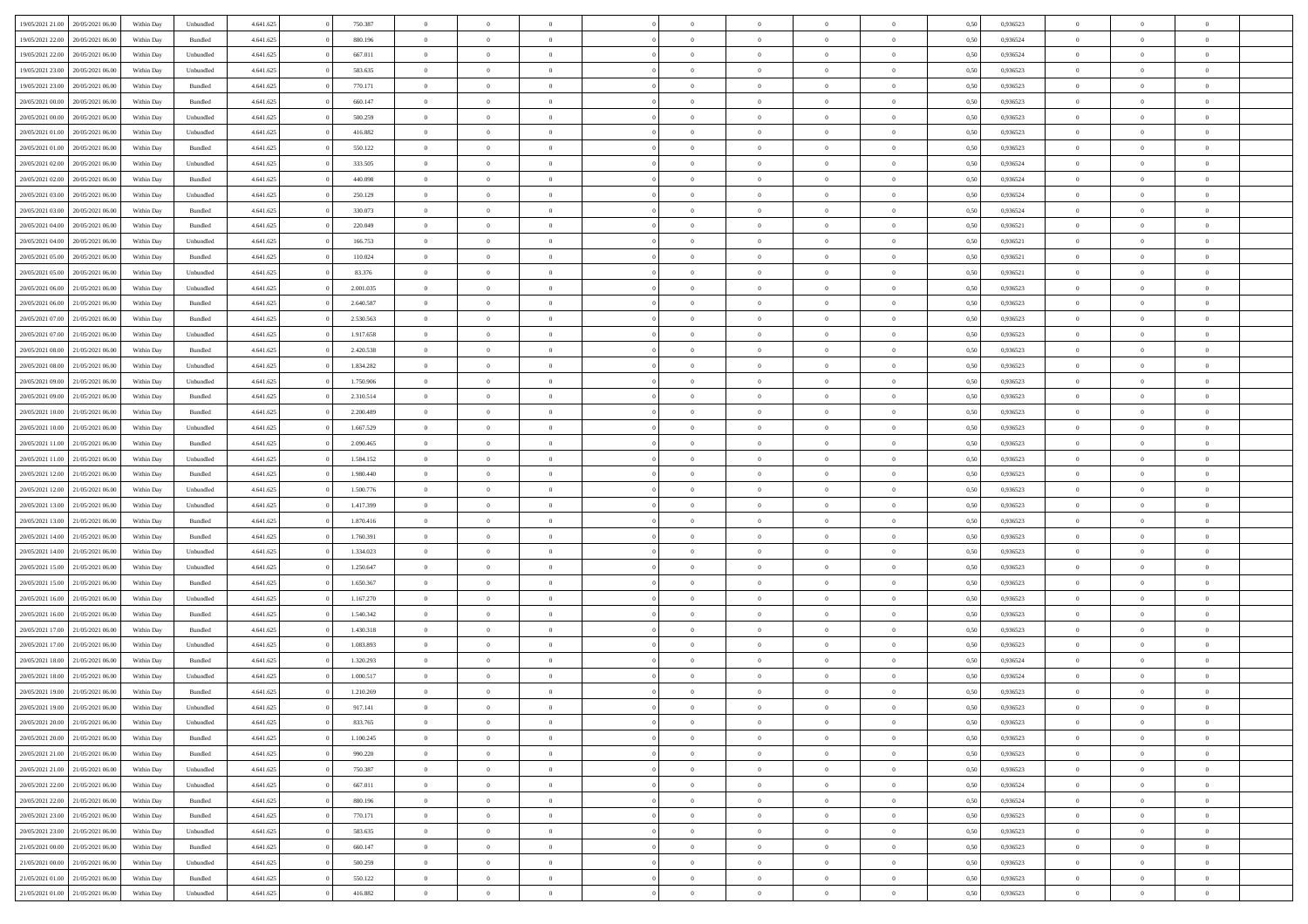| 19/05/2021 21:00                  | 20/05/2021 06:00 | Within Day | Unbundled | 4.641.625 | 750.387   | $\overline{0}$ | $\theta$       |                | $\Omega$       | $\Omega$       | $\theta$       | $\theta$       | 0.50 | 0,936523 | $\theta$       | $\overline{0}$ | $\theta$       |  |
|-----------------------------------|------------------|------------|-----------|-----------|-----------|----------------|----------------|----------------|----------------|----------------|----------------|----------------|------|----------|----------------|----------------|----------------|--|
| 19/05/2021 22:00                  | 20/05/2021 06:00 | Within Day | Bundled   | 4.641.625 | 880.196   | $\overline{0}$ | $\overline{0}$ | $\overline{0}$ | $\overline{0}$ | $\bf{0}$       | $\overline{0}$ | $\bf{0}$       | 0,50 | 0,936524 | $\theta$       | $\overline{0}$ | $\overline{0}$ |  |
| 19/05/2021 22.00                  | 20/05/2021 06:00 | Within Day | Unbundled | 4.641.625 | 667.011   | $\overline{0}$ | $\bf{0}$       | $\overline{0}$ | $\overline{0}$ | $\bf{0}$       | $\overline{0}$ | $\mathbf{0}$   | 0,50 | 0,936524 | $\overline{0}$ | $\overline{0}$ | $\bf{0}$       |  |
|                                   |                  |            |           |           |           |                |                |                |                |                |                |                |      |          |                |                |                |  |
| 19/05/2021 23:00                  | 20/05/2021 06:00 | Within Day | Unbundled | 4.641.625 | 583.635   | $\overline{0}$ | $\overline{0}$ | $\overline{0}$ | $\overline{0}$ | $\bf{0}$       | $\overline{0}$ | $\overline{0}$ | 0.50 | 0.936523 | $\theta$       | $\theta$       | $\overline{0}$ |  |
| 19/05/2021 23:00                  | 20/05/2021 06:00 | Within Day | Bundled   | 4.641.625 | 770.171   | $\overline{0}$ | $\theta$       | $\overline{0}$ | $\overline{0}$ | $\bf{0}$       | $\overline{0}$ | $\bf{0}$       | 0,50 | 0,936523 | $\theta$       | $\overline{0}$ | $\overline{0}$ |  |
| 20/05/2021 00:00                  | 20/05/2021 06:00 | Within Day | Bundled   | 4.641.625 | 660.147   | $\overline{0}$ | $\overline{0}$ | $\overline{0}$ | $\overline{0}$ | $\overline{0}$ | $\overline{0}$ | $\mathbf{0}$   | 0,50 | 0,936523 | $\overline{0}$ | $\overline{0}$ | $\bf{0}$       |  |
| 20/05/2021 00:00                  | 20/05/2021 06:00 | Within Dav | Unbundled | 4.641.625 | 500.259   | $\overline{0}$ | $\overline{0}$ | $\overline{0}$ | $\overline{0}$ | $\overline{0}$ | $\overline{0}$ | $\overline{0}$ | 0.50 | 0.936523 | $\theta$       | $\overline{0}$ | $\overline{0}$ |  |
|                                   |                  |            |           |           |           |                |                |                |                |                |                |                |      |          |                |                |                |  |
| 20/05/2021 01:00                  | 20/05/2021 06:00 | Within Day | Unbundled | 4.641.625 | 416.882   | $\overline{0}$ | $\theta$       | $\overline{0}$ | $\overline{0}$ | $\bf{0}$       | $\overline{0}$ | $\bf{0}$       | 0,50 | 0,936523 | $\theta$       | $\theta$       | $\overline{0}$ |  |
| 20/05/2021 01:00                  | 20/05/2021 06:00 | Within Day | Bundled   | 4.641.625 | 550.122   | $\overline{0}$ | $\overline{0}$ | $\overline{0}$ | $\overline{0}$ | $\bf{0}$       | $\overline{0}$ | $\bf{0}$       | 0,50 | 0,936523 | $\,0\,$        | $\overline{0}$ | $\overline{0}$ |  |
| 20/05/2021 02:00                  | 20/05/2021 06:00 | Within Dav | Unbundled | 4.641.625 | 333.505   | $\overline{0}$ | $\overline{0}$ | $\overline{0}$ | $\overline{0}$ | $\overline{0}$ | $\overline{0}$ | $\overline{0}$ | 0.50 | 0,936524 | $\theta$       | $\overline{0}$ | $\overline{0}$ |  |
|                                   |                  |            |           |           |           |                |                |                |                |                |                |                |      |          |                |                |                |  |
| 20/05/2021 02:00                  | 20/05/2021 06:00 | Within Day | Bundled   | 4.641.625 | 440.098   | $\overline{0}$ | $\theta$       | $\overline{0}$ | $\overline{0}$ | $\bf{0}$       | $\overline{0}$ | $\bf{0}$       | 0,50 | 0,936524 | $\,$ 0 $\,$    | $\overline{0}$ | $\overline{0}$ |  |
| 20/05/2021 03:00                  | 20/05/2021 06:00 | Within Day | Unbundled | 4.641.625 | 250.129   | $\overline{0}$ | $\bf{0}$       | $\overline{0}$ | $\overline{0}$ | $\bf{0}$       | $\overline{0}$ | $\mathbf{0}$   | 0,50 | 0,936524 | $\overline{0}$ | $\overline{0}$ | $\bf{0}$       |  |
| 20/05/2021 03:00                  | 20/05/2021 06:00 | Within Dav | Bundled   | 4.641.625 | 330.073   | $\overline{0}$ | $\overline{0}$ | $\overline{0}$ | $\overline{0}$ | $\bf{0}$       | $\overline{0}$ | $\overline{0}$ | 0.50 | 0,936524 | $\theta$       | $\theta$       | $\overline{0}$ |  |
| 20/05/2021 04:00                  | 20/05/2021 06:00 | Within Day | Bundled   | 4.641.625 | 220.049   | $\overline{0}$ | $\theta$       | $\overline{0}$ | $\overline{0}$ | $\bf{0}$       | $\overline{0}$ | $\bf{0}$       | 0,50 | 0,936521 | $\theta$       | $\overline{0}$ | $\overline{0}$ |  |
|                                   |                  |            |           |           |           |                |                |                |                |                |                |                |      |          |                |                |                |  |
| 20/05/2021 04:00                  | 20/05/2021 06:00 | Within Day | Unbundled | 4.641.625 | 166.753   | $\overline{0}$ | $\overline{0}$ | $\overline{0}$ | $\overline{0}$ | $\overline{0}$ | $\overline{0}$ | $\mathbf{0}$   | 0,50 | 0,936521 | $\overline{0}$ | $\overline{0}$ | $\bf{0}$       |  |
| 20/05/2021 05:00                  | 20/05/2021 06:00 | Within Dav | Bundled   | 4.641.625 | 110.024   | $\overline{0}$ | $\overline{0}$ | $\overline{0}$ | $\overline{0}$ | $\overline{0}$ | $\overline{0}$ | $\overline{0}$ | 0.50 | 0,936521 | $\theta$       | $\overline{0}$ | $\overline{0}$ |  |
| 20/05/2021 05:00                  | 20/05/2021 06:00 | Within Day | Unbundled | 4.641.625 | 83.376    | $\overline{0}$ | $\theta$       | $\overline{0}$ | $\overline{0}$ | $\bf{0}$       | $\overline{0}$ | $\bf{0}$       | 0,50 | 0,936521 | $\theta$       | $\theta$       | $\overline{0}$ |  |
|                                   |                  |            |           |           |           |                | $\overline{0}$ |                |                | $\bf{0}$       |                |                |      |          | $\,0\,$        | $\overline{0}$ | $\overline{0}$ |  |
| 20/05/2021 06:00                  | 21/05/2021 06:00 | Within Day | Unbundled | 4.641.625 | 2.001.035 | $\overline{0}$ |                | $\overline{0}$ | $\bf{0}$       |                | $\bf{0}$       | $\mathbf{0}$   | 0,50 | 0,936523 |                |                |                |  |
| 20/05/2021 06:00                  | 21/05/2021 06:00 | Within Dav | Bundled   | 4.641.625 | 2.640.587 | $\overline{0}$ | $\overline{0}$ | $\overline{0}$ | $\overline{0}$ | $\overline{0}$ | $\overline{0}$ | $\overline{0}$ | 0.50 | 0.936523 | $\theta$       | $\overline{0}$ | $\overline{0}$ |  |
| 20/05/2021 07:00                  | 21/05/2021 06:00 | Within Day | Bundled   | 4.641.625 | 2.530.563 | $\overline{0}$ | $\theta$       | $\overline{0}$ | $\overline{0}$ | $\bf{0}$       | $\overline{0}$ | $\bf{0}$       | 0,50 | 0,936523 | $\,$ 0 $\,$    | $\overline{0}$ | $\overline{0}$ |  |
| 20/05/2021 07:00                  | 21/05/2021 06:00 | Within Day | Unbundled | 4.641.625 | 1.917.658 | $\overline{0}$ | $\overline{0}$ | $\overline{0}$ | $\bf{0}$       | $\bf{0}$       | $\bf{0}$       | $\mathbf{0}$   | 0,50 | 0,936523 | $\overline{0}$ | $\overline{0}$ | $\bf{0}$       |  |
|                                   | 21/05/2021 06:00 |            | Bundled   | 4.641.625 | 2.420.538 | $\overline{0}$ | $\overline{0}$ | $\overline{0}$ |                | $\bf{0}$       | $\overline{0}$ | $\overline{0}$ | 0.50 | 0.936523 | $\theta$       | $\overline{0}$ | $\overline{0}$ |  |
| 20/05/2021 08:00                  |                  | Within Day |           |           |           |                |                |                | $\overline{0}$ |                |                |                |      |          |                |                |                |  |
| 20/05/2021 08:00                  | 21/05/2021 06:00 | Within Day | Unbundled | 4.641.625 | 1.834.282 | $\overline{0}$ | $\theta$       | $\overline{0}$ | $\overline{0}$ | $\bf{0}$       | $\overline{0}$ | $\bf{0}$       | 0,50 | 0,936523 | $\theta$       | $\overline{0}$ | $\overline{0}$ |  |
| 20/05/2021 09:00                  | 21/05/2021 06:00 | Within Day | Unbundled | 4.641.625 | 1.750.906 | $\overline{0}$ | $\overline{0}$ | $\overline{0}$ | $\bf{0}$       | $\overline{0}$ | $\overline{0}$ | $\mathbf{0}$   | 0,50 | 0,936523 | $\overline{0}$ | $\overline{0}$ | $\bf{0}$       |  |
| 20/05/2021 09:00                  | 21/05/2021 06:00 | Within Dav | Bundled   | 4.641.625 | 2.310.514 | $\overline{0}$ | $\overline{0}$ | $\overline{0}$ | $\overline{0}$ | $\overline{0}$ | $\overline{0}$ | $\overline{0}$ | 0.50 | 0.936523 | $\theta$       | $\overline{0}$ | $\overline{0}$ |  |
|                                   |                  |            |           |           |           |                |                |                |                |                |                |                |      |          |                |                |                |  |
| 20/05/2021 10:00                  | 21/05/2021 06:00 | Within Day | Bundled   | 4.641.625 | 2.200.489 | $\overline{0}$ | $\theta$       | $\overline{0}$ | $\overline{0}$ | $\bf{0}$       | $\overline{0}$ | $\bf{0}$       | 0,50 | 0,936523 | $\theta$       | $\theta$       | $\overline{0}$ |  |
| 20/05/2021 10:00                  | 21/05/2021 06:00 | Within Day | Unbundled | 4.641.625 | 1.667.529 | $\overline{0}$ | $\overline{0}$ | $\overline{0}$ | $\bf{0}$       | $\bf{0}$       | $\bf{0}$       | $\bf{0}$       | 0,50 | 0,936523 | $\,0\,$        | $\overline{0}$ | $\overline{0}$ |  |
| 20/05/2021 11:00                  | 21/05/2021 06:00 | Within Day | Bundled   | 4.641.625 | 2.090.465 | $\overline{0}$ | $\overline{0}$ | $\overline{0}$ | $\overline{0}$ | $\overline{0}$ | $\overline{0}$ | $\overline{0}$ | 0.50 | 0.936523 | $\theta$       | $\overline{0}$ | $\overline{0}$ |  |
| 20/05/2021 11:00                  | 21/05/2021 06:00 | Within Day | Unbundled | 4.641.625 | 1.584.152 | $\overline{0}$ | $\theta$       | $\overline{0}$ | $\overline{0}$ | $\bf{0}$       | $\overline{0}$ | $\bf{0}$       | 0,50 | 0,936523 | $\,$ 0 $\,$    | $\overline{0}$ | $\overline{0}$ |  |
|                                   |                  |            |           |           |           |                |                |                |                |                |                |                |      |          |                |                |                |  |
| 20/05/2021 12:00                  | 21/05/2021 06:00 | Within Day | Bundled   | 4.641.625 | 1.980.440 | $\overline{0}$ | $\overline{0}$ | $\overline{0}$ | $\bf{0}$       | $\bf{0}$       | $\bf{0}$       | $\bf{0}$       | 0,50 | 0,936523 | $\overline{0}$ | $\overline{0}$ | $\bf{0}$       |  |
| 20/05/2021 12:00                  | 21/05/2021 06:00 | Within Day | Unbundled | 4.641.625 | 1.500.776 | $\overline{0}$ | $\Omega$       | $\Omega$       | $\Omega$       | $\Omega$       | $\overline{0}$ | $\overline{0}$ | 0,50 | 0,936523 | $\,0\,$        | $\theta$       | $\theta$       |  |
| 20/05/2021 13:00                  | 21/05/2021 06:00 | Within Day | Unbundled | 4.641.625 | 1.417.399 | $\overline{0}$ | $\theta$       | $\overline{0}$ | $\overline{0}$ | $\bf{0}$       | $\overline{0}$ | $\bf{0}$       | 0,50 | 0,936523 | $\theta$       | $\overline{0}$ | $\overline{0}$ |  |
| 20/05/2021 13:00                  | 21/05/2021 06:00 | Within Day | Bundled   | 4.641.625 | 1.870.416 | $\overline{0}$ | $\overline{0}$ | $\overline{0}$ | $\bf{0}$       | $\overline{0}$ | $\overline{0}$ | $\mathbf{0}$   | 0,50 | 0,936523 | $\overline{0}$ | $\overline{0}$ | $\bf{0}$       |  |
|                                   |                  |            |           |           |           |                |                |                |                |                |                |                |      |          |                |                |                |  |
| 20/05/2021 14:00                  | 21/05/2021 06:00 | Within Day | Bundled   | 4.641.625 | 1.760.391 | $\overline{0}$ | $\Omega$       | $\Omega$       | $\Omega$       | $\bf{0}$       | $\overline{0}$ | $\overline{0}$ | 0.50 | 0.936523 | $\,0\,$        | $\theta$       | $\theta$       |  |
| 20/05/2021 14:00                  | 21/05/2021 06:00 | Within Day | Unbundled | 4.641.625 | 1.334.023 | $\overline{0}$ | $\theta$       | $\overline{0}$ | $\overline{0}$ | $\bf{0}$       | $\overline{0}$ | $\bf{0}$       | 0,50 | 0,936523 | $\theta$       | $\overline{0}$ | $\overline{0}$ |  |
| 20/05/2021 15:00                  | 21/05/2021 06:00 | Within Day | Unbundled | 4.641.625 | 1.250.647 | $\overline{0}$ | $\overline{0}$ | $\overline{0}$ | $\bf{0}$       | $\bf{0}$       | $\bf{0}$       | $\bf{0}$       | 0,50 | 0,936523 | $\,0\,$        | $\overline{0}$ | $\bf{0}$       |  |
| 20/05/2021 15:00                  | 21/05/2021 06:00 | Within Day | Bundled   | 4.641.625 | 1.650.367 | $\overline{0}$ | $\Omega$       | $\Omega$       | $\Omega$       | $\theta$       | $\overline{0}$ | $\overline{0}$ | 0.50 | 0.936523 | $\theta$       | $\theta$       | $\theta$       |  |
|                                   |                  |            |           |           |           |                |                |                |                |                |                |                |      |          |                |                |                |  |
| 20/05/2021 16:00                  | 21/05/2021 06:00 | Within Day | Unbundled | 4.641.625 | 1.167.270 | $\overline{0}$ | $\theta$       | $\overline{0}$ | $\overline{0}$ | $\bf{0}$       | $\overline{0}$ | $\bf{0}$       | 0,50 | 0,936523 | $\,$ 0 $\,$    | $\overline{0}$ | $\overline{0}$ |  |
| 20/05/2021 16:00                  | 21/05/2021 06:00 | Within Day | Bundled   | 4.641.625 | 1.540.342 | $\overline{0}$ | $\bf{0}$       | $\overline{0}$ | $\overline{0}$ | $\bf{0}$       | $\overline{0}$ | $\mathbf{0}$   | 0,50 | 0,936523 | $\overline{0}$ | $\overline{0}$ | $\bf{0}$       |  |
| 20/05/2021 17:00                  | 21/05/2021 06:00 | Within Day | Bundled   | 4.641.625 | 1.430.318 | $\overline{0}$ | $\Omega$       | $\Omega$       | $\Omega$       | $\overline{0}$ | $\overline{0}$ | $\overline{0}$ | 0,50 | 0,936523 | $\,0\,$        | $\theta$       | $\theta$       |  |
| 20/05/2021 17:00                  | 21/05/2021 06:00 | Within Day | Unbundled | 4.641.625 | 1.083.893 | $\overline{0}$ | $\theta$       | $\overline{0}$ | $\overline{0}$ | $\bf{0}$       | $\overline{0}$ | $\bf{0}$       | 0,50 | 0,936523 | $\,$ 0 $\,$    | $\overline{0}$ | $\overline{0}$ |  |
|                                   |                  |            |           |           |           |                |                |                |                |                |                |                |      |          |                |                |                |  |
| 20/05/2021 18:00                  | 21/05/2021 06:00 | Within Day | Bundled   | 4.641.625 | 1.320.293 | $\overline{0}$ | $\overline{0}$ | $\overline{0}$ | $\overline{0}$ | $\bf{0}$       | $\overline{0}$ | $\mathbf{0}$   | 0,50 | 0,936524 | $\overline{0}$ | $\overline{0}$ | $\bf{0}$       |  |
| 20/05/2021 18:00                  | 21/05/2021 06:00 | Within Day | Unbundled | 4.641.625 | 1,000.517 | $\overline{0}$ | $\Omega$       | $\Omega$       | $\Omega$       | $\Omega$       | $\Omega$       | $\overline{0}$ | 0.50 | 0.936524 | $\theta$       | $\theta$       | $\theta$       |  |
| 20/05/2021 19:00                  | 21/05/2021 06:00 | Within Day | Bundled   | 4.641.625 | 1.210.269 | $\overline{0}$ | $\overline{0}$ | $\overline{0}$ | $\bf{0}$       | $\,$ 0         | $\overline{0}$ | $\bf{0}$       | 0,50 | 0,936523 | $\,0\,$        | $\,0\,$        | $\overline{0}$ |  |
| 20/05/2021 19:00                  | 21/05/2021 06:00 | Within Day | Unbundled | 4.641.625 | 917.141   | $\bf{0}$       | $\bf{0}$       |                |                | $\bf{0}$       |                |                | 0,50 | 0,936523 | $\bf{0}$       | $\overline{0}$ |                |  |
|                                   |                  |            |           |           |           |                |                |                |                |                |                |                |      |          |                |                |                |  |
| 20/05/2021 20:00                  | 21/05/2021 06:00 | Within Day | Unbundled | 4.641.625 | 833.765   | $\overline{0}$ | $\overline{0}$ | $\overline{0}$ | $\Omega$       | $\overline{0}$ | $\overline{0}$ | $\overline{0}$ | 0.50 | 0.936523 | $\theta$       | $\theta$       | $\Omega$       |  |
| 20/05/2021 20:00                  | 21/05/2021 06:00 | Within Day | Bundled   | 4.641.625 | 1.100.245 | $\overline{0}$ | $\,$ 0         | $\overline{0}$ | $\overline{0}$ | $\,$ 0 $\,$    | $\overline{0}$ | $\,$ 0 $\,$    | 0,50 | 0,936523 | $\,$ 0 $\,$    | $\,$ 0 $\,$    | $\,$ 0         |  |
| 20/05/2021 21:00                  | 21/05/2021 06:00 | Within Day | Bundled   | 4.641.625 | 990.220   | $\overline{0}$ | $\overline{0}$ | $\overline{0}$ | $\overline{0}$ | $\overline{0}$ | $\overline{0}$ | $\mathbf{0}$   | 0,50 | 0,936523 | $\overline{0}$ | $\bf{0}$       | $\bf{0}$       |  |
|                                   |                  |            |           |           |           | $\overline{0}$ | $\overline{0}$ |                | $\Omega$       | $\overline{0}$ | $\overline{0}$ |                |      |          |                | $\theta$       | $\overline{0}$ |  |
| 20/05/2021 21:00                  | 21/05/2021 06:00 | Within Day | Unbundled | 4.641.625 | 750.387   |                |                | $\overline{0}$ |                |                |                | $\overline{0}$ | 0,50 | 0,936523 | $\overline{0}$ |                |                |  |
| 20/05/2021 22:00                  | 21/05/2021 06:00 | Within Day | Unbundled | 4.641.625 | 667.011   | $\overline{0}$ | $\,$ 0         | $\overline{0}$ | $\overline{0}$ | $\,$ 0 $\,$    | $\overline{0}$ | $\mathbf{0}$   | 0,50 | 0,936524 | $\,$ 0 $\,$    | $\overline{0}$ | $\overline{0}$ |  |
| 20/05/2021 22:00                  | 21/05/2021 06:00 | Within Day | Bundled   | 4.641.625 | 880.196   | $\overline{0}$ | $\overline{0}$ | $\overline{0}$ | $\overline{0}$ | $\overline{0}$ | $\overline{0}$ | $\mathbf{0}$   | 0,50 | 0,936524 | $\overline{0}$ | $\overline{0}$ | $\bf{0}$       |  |
| 20/05/2021 23:00                  | 21/05/2021 06:00 | Within Day | Bundled   | 4.641.625 | 770.171   | $\overline{0}$ | $\overline{0}$ | $\overline{0}$ | $\Omega$       | $\overline{0}$ | $\overline{0}$ | $\bf{0}$       | 0.50 | 0,936523 | $\overline{0}$ | $\theta$       | $\overline{0}$ |  |
|                                   |                  |            |           |           |           |                |                |                |                |                |                |                |      |          |                |                |                |  |
| 20/05/2021 23:00                  | 21/05/2021 06:00 | Within Day | Unbundled | 4.641.625 | 583.635   | $\overline{0}$ | $\,$ 0         | $\overline{0}$ | $\overline{0}$ | $\bf{0}$       | $\overline{0}$ | $\bf{0}$       | 0,50 | 0,936523 | $\,$ 0 $\,$    | $\overline{0}$ | $\overline{0}$ |  |
| 21/05/2021 00:00                  | 21/05/2021 06:00 | Within Day | Bundled   | 4.641.625 | 660.147   | $\overline{0}$ | $\bf{0}$       | $\overline{0}$ | $\overline{0}$ | $\overline{0}$ | $\overline{0}$ | $\mathbf{0}$   | 0,50 | 0,936523 | $\overline{0}$ | $\overline{0}$ | $\bf{0}$       |  |
| 21/05/2021 00:00                  | 21/05/2021 06:00 | Within Day | Unbundled | 4.641.625 | 500.259   | $\overline{0}$ | $\overline{0}$ | $\overline{0}$ | $\Omega$       | $\overline{0}$ | $\overline{0}$ | $\overline{0}$ | 0.50 | 0.936523 | $\overline{0}$ | $\theta$       | $\overline{0}$ |  |
| 21/05/2021 01:00                  | 21/05/2021 06:00 | Within Day | Bundled   | 4.641.625 | 550.122   | $\overline{0}$ | $\bf{0}$       | $\overline{0}$ | $\overline{0}$ | $\bf{0}$       | $\bf{0}$       | $\mathbf{0}$   | 0,50 | 0,936523 | $\,$ 0 $\,$    | $\,$ 0 $\,$    | $\bf{0}$       |  |
|                                   |                  |            |           |           |           |                |                |                |                |                |                |                |      |          |                |                |                |  |
| 21/05/2021 01:00 21/05/2021 06:00 |                  | Within Day | Unbundled | 4.641.625 | 416.882   | $\overline{0}$ | $\bf{0}$       | $\overline{0}$ | $\bf{0}$       | $\bf{0}$       | $\bf{0}$       | $\bf{0}$       | 0,50 | 0,936523 | $\overline{0}$ | $\overline{0}$ | $\bf{0}$       |  |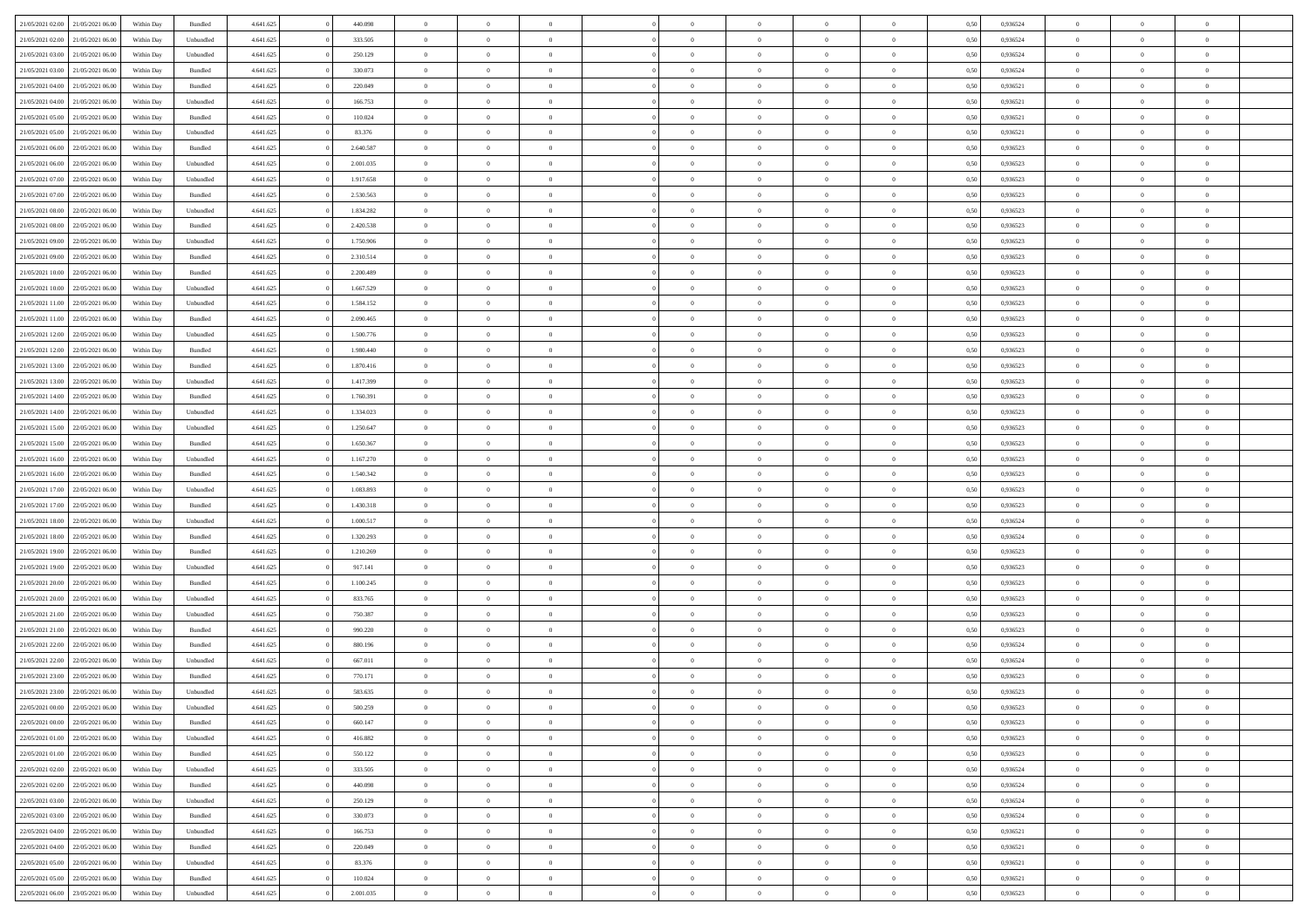| 21/05/2021 02:00                  | 21/05/2021 06:00 | Within Day | Bundled   | 4.641.625 | 440.098   | $\overline{0}$ | $\Omega$       |                | $\Omega$       | $\Omega$       | $\theta$       | $\theta$       | 0,50 | 0,936524 | $\theta$       | $\theta$       | $\overline{0}$ |  |
|-----------------------------------|------------------|------------|-----------|-----------|-----------|----------------|----------------|----------------|----------------|----------------|----------------|----------------|------|----------|----------------|----------------|----------------|--|
|                                   |                  |            |           |           |           |                |                |                |                |                |                |                |      |          |                |                |                |  |
| 21/05/2021 02:00                  | 21/05/2021 06:00 | Within Day | Unbundled | 4.641.625 | 333.505   | $\overline{0}$ | $\theta$       | $\overline{0}$ | $\overline{0}$ | $\bf{0}$       | $\overline{0}$ | $\bf{0}$       | 0,50 | 0,936524 | $\theta$       | $\overline{0}$ | $\overline{0}$ |  |
| 21/05/2021 03:00                  | 21/05/2021 06:00 | Within Day | Unbundled | 4.641.625 | 250.129   | $\overline{0}$ | $\bf{0}$       | $\overline{0}$ | $\bf{0}$       | $\bf{0}$       | $\bf{0}$       | $\mathbf{0}$   | 0,50 | 0,936524 | $\bf{0}$       | $\overline{0}$ | $\bf{0}$       |  |
| 21/05/2021 03:00                  | 21/05/2021 06:00 | Within Dav | Bundled   | 4.641.625 | 330.073   | $\overline{0}$ | $\overline{0}$ | $\overline{0}$ | $\overline{0}$ | $\bf{0}$       | $\overline{0}$ | $\overline{0}$ | 0.50 | 0.936524 | $\theta$       | $\theta$       | $\overline{0}$ |  |
|                                   |                  |            |           |           |           |                |                |                |                |                |                |                |      |          |                |                |                |  |
| 21/05/2021 04:00                  | 21/05/2021 06:00 | Within Day | Bundled   | 4.641.625 | 220.049   | $\overline{0}$ | $\theta$       | $\overline{0}$ | $\overline{0}$ | $\bf{0}$       | $\overline{0}$ | $\bf{0}$       | 0,50 | 0,936521 | $\theta$       | $\overline{0}$ | $\overline{0}$ |  |
| 21/05/2021 04:00                  | 21/05/2021 06:00 | Within Day | Unbundled | 4.641.625 | 166.753   | $\overline{0}$ | $\overline{0}$ | $\overline{0}$ | $\bf{0}$       | $\overline{0}$ | $\overline{0}$ | $\mathbf{0}$   | 0,50 | 0,936521 | $\bf{0}$       | $\overline{0}$ | $\bf{0}$       |  |
| 21/05/2021 05:00                  | 21/05/2021 06:00 | Within Dav | Bundled   | 4.641.625 | 110.024   | $\overline{0}$ | $\overline{0}$ | $\overline{0}$ | $\overline{0}$ | $\overline{0}$ | $\overline{0}$ | $\overline{0}$ | 0.50 | 0,936521 | $\theta$       | $\overline{0}$ | $\overline{0}$ |  |
| 21/05/2021 05:00                  | 21/05/2021 06:00 | Within Day | Unbundled | 4.641.625 | 83.376    | $\overline{0}$ | $\theta$       | $\overline{0}$ | $\overline{0}$ | $\bf{0}$       | $\overline{0}$ | $\bf{0}$       | 0,50 | 0,936521 | $\theta$       | $\theta$       | $\overline{0}$ |  |
|                                   |                  |            |           |           |           |                | $\overline{0}$ |                |                | $\bf{0}$       |                |                |      |          | $\,0\,$        | $\overline{0}$ | $\overline{0}$ |  |
| 21/05/2021 06:00                  | 22/05/2021 06:00 | Within Day | Bundled   | 4.641.625 | 2.640.587 | $\overline{0}$ |                | $\overline{0}$ | $\bf{0}$       |                | $\bf{0}$       | $\bf{0}$       | 0,50 | 0,936523 |                |                |                |  |
| 21/05/2021 06:00                  | 22/05/2021 06:00 | Within Dav | Unbundled | 4.641.625 | 2.001.035 | $\overline{0}$ | $\overline{0}$ | $\overline{0}$ | $\overline{0}$ | $\overline{0}$ | $\overline{0}$ | $\overline{0}$ | 0.50 | 0.936523 | $\theta$       | $\overline{0}$ | $\overline{0}$ |  |
| 21/05/2021 07:00                  | 22/05/2021 06:00 | Within Day | Unbundled | 4.641.625 | 1.917.658 | $\overline{0}$ | $\theta$       | $\overline{0}$ | $\overline{0}$ | $\bf{0}$       | $\overline{0}$ | $\bf{0}$       | 0,50 | 0,936523 | $\theta$       | $\overline{0}$ | $\overline{0}$ |  |
| 21/05/2021 07:00                  | 22/05/2021 06:00 | Within Day | Bundled   | 4.641.625 | 2.530.563 | $\overline{0}$ | $\overline{0}$ | $\overline{0}$ | $\bf{0}$       | $\bf{0}$       | $\bf{0}$       | $\mathbf{0}$   | 0,50 | 0,936523 | $\overline{0}$ | $\overline{0}$ | $\bf{0}$       |  |
| 21/05/2021 08:00                  | 22/05/2021 06:00 | Within Day | Unbundled | 4.641.625 | 1.834.282 | $\overline{0}$ | $\overline{0}$ | $\overline{0}$ | $\overline{0}$ | $\bf{0}$       | $\overline{0}$ | $\overline{0}$ | 0.50 | 0.936523 | $\theta$       | $\theta$       | $\overline{0}$ |  |
|                                   |                  |            |           |           |           | $\overline{0}$ | $\theta$       |                |                | $\bf{0}$       |                |                |      |          | $\theta$       | $\overline{0}$ |                |  |
| 21/05/2021 08:00                  | 22/05/2021 06:00 | Within Day | Bundled   | 4.641.625 | 2.420.538 |                |                | $\overline{0}$ | $\overline{0}$ |                | $\overline{0}$ | $\overline{0}$ | 0,50 | 0,936523 |                |                | $\overline{0}$ |  |
| 21/05/2021 09:00                  | 22/05/2021 06:00 | Within Day | Unbundled | 4.641.625 | 1.750.906 | $\overline{0}$ | $\overline{0}$ | $\overline{0}$ | $\bf{0}$       | $\overline{0}$ | $\overline{0}$ | $\mathbf{0}$   | 0,50 | 0,936523 | $\overline{0}$ | $\overline{0}$ | $\bf{0}$       |  |
| 21/05/2021 09:00                  | 22/05/2021 06:00 | Within Dav | Bundled   | 4.641.625 | 2.310.514 | $\overline{0}$ | $\overline{0}$ | $\overline{0}$ | $\overline{0}$ | $\overline{0}$ | $\overline{0}$ | $\overline{0}$ | 0.50 | 0.936523 | $\theta$       | $\overline{0}$ | $\overline{0}$ |  |
| 21/05/2021 10:00                  | 22/05/2021 06:00 | Within Day | Bundled   | 4.641.625 | 2.200.489 | $\overline{0}$ | $\theta$       | $\overline{0}$ | $\overline{0}$ | $\bf{0}$       | $\overline{0}$ | $\bf{0}$       | 0,50 | 0,936523 | $\theta$       | $\theta$       | $\overline{0}$ |  |
| 21/05/2021 10:00                  | 22/05/2021 06:00 | Within Day | Unbundled | 4.641.625 | 1.667.529 | $\overline{0}$ | $\overline{0}$ | $\overline{0}$ | $\bf{0}$       | $\bf{0}$       | $\bf{0}$       | $\bf{0}$       | 0,50 | 0,936523 | $\,0\,$        | $\overline{0}$ | $\overline{0}$ |  |
|                                   |                  |            |           |           |           |                |                |                |                |                |                |                |      |          |                |                |                |  |
| 21/05/2021 11:00                  | 22/05/2021 06:00 | Within Dav | Unbundled | 4.641.625 | 1.584.152 | $\overline{0}$ | $\overline{0}$ | $\overline{0}$ | $\overline{0}$ | $\overline{0}$ | $\overline{0}$ | $\overline{0}$ | 0.50 | 0.936523 | $\theta$       | $\overline{0}$ | $\overline{0}$ |  |
| 21/05/2021 11:00                  | 22/05/2021 06:00 | Within Day | Bundled   | 4.641.625 | 2.090.465 | $\overline{0}$ | $\theta$       | $\overline{0}$ | $\overline{0}$ | $\bf{0}$       | $\overline{0}$ | $\bf{0}$       | 0,50 | 0,936523 | $\theta$       | $\overline{0}$ | $\overline{0}$ |  |
| 21/05/2021 12:00                  | 22/05/2021 06:00 | Within Day | Unbundled | 4.641.625 | 1.500.776 | $\overline{0}$ | $\overline{0}$ | $\overline{0}$ | $\bf{0}$       | $\bf{0}$       | $\bf{0}$       | $\bf{0}$       | 0,50 | 0,936523 | $\bf{0}$       | $\overline{0}$ | $\bf{0}$       |  |
| 21/05/2021 12:00                  | 22/05/2021 06:00 | Within Day | Bundled   | 4.641.625 | 1.980.440 | $\overline{0}$ | $\overline{0}$ | $\overline{0}$ | $\overline{0}$ | $\bf{0}$       | $\overline{0}$ | $\overline{0}$ | 0.50 | 0.936523 | $\theta$       | $\overline{0}$ | $\overline{0}$ |  |
| 21/05/2021 13:00                  | 22/05/2021 06:00 | Within Day |           | 4.641.625 | 1.870.416 | $\overline{0}$ | $\theta$       | $\overline{0}$ | $\overline{0}$ | $\bf{0}$       | $\overline{0}$ |                |      | 0,936523 | $\theta$       | $\overline{0}$ | $\overline{0}$ |  |
|                                   |                  |            | Bundled   |           |           |                |                |                |                |                |                | $\bf{0}$       | 0,50 |          |                |                |                |  |
| 21/05/2021 13:00                  | 22/05/2021 06:00 | Within Day | Unbundled | 4.641.625 | 1.417.399 | $\overline{0}$ | $\overline{0}$ | $\overline{0}$ | $\bf{0}$       | $\overline{0}$ | $\overline{0}$ | $\mathbf{0}$   | 0,50 | 0,936523 | $\overline{0}$ | $\overline{0}$ | $\bf{0}$       |  |
| 21/05/2021 14:00                  | 22/05/2021 06:00 | Within Dav | Bundled   | 4.641.625 | 1.760.391 | $\overline{0}$ | $\overline{0}$ | $\overline{0}$ | $\overline{0}$ | $\overline{0}$ | $\overline{0}$ | $\overline{0}$ | 0.50 | 0.936523 | $\theta$       | $\overline{0}$ | $\overline{0}$ |  |
| 21/05/2021 14:00                  | 22/05/2021 06:00 | Within Day | Unbundled | 4.641.625 | 1.334.023 | $\overline{0}$ | $\theta$       | $\overline{0}$ | $\overline{0}$ | $\bf{0}$       | $\overline{0}$ | $\bf{0}$       | 0,50 | 0,936523 | $\theta$       | $\theta$       | $\overline{0}$ |  |
| 21/05/2021 15:00                  | 22/05/2021 06:00 | Within Day | Unbundled | 4.641.625 | 1.250.647 | $\overline{0}$ | $\overline{0}$ | $\overline{0}$ | $\bf{0}$       | $\bf{0}$       | $\bf{0}$       | $\bf{0}$       | 0,50 | 0,936523 | $\,0\,$        | $\overline{0}$ | $\overline{0}$ |  |
|                                   | 22/05/2021 06:00 |            | Bundled   | 4.641.625 | 1.650.367 | $\overline{0}$ | $\overline{0}$ | $\overline{0}$ | $\overline{0}$ | $\overline{0}$ | $\overline{0}$ | $\overline{0}$ | 0.50 | 0.936523 | $\theta$       | $\overline{0}$ | $\overline{0}$ |  |
| 21/05/2021 15:00                  |                  | Within Day |           |           |           |                |                |                |                |                |                |                |      |          |                |                |                |  |
| 21/05/2021 16:00                  | 22/05/2021 06:00 | Within Day | Unbundled | 4.641.625 | 1.167.270 | $\overline{0}$ | $\theta$       | $\overline{0}$ | $\overline{0}$ | $\bf{0}$       | $\overline{0}$ | $\bf{0}$       | 0,50 | 0,936523 | $\,$ 0 $\,$    | $\overline{0}$ | $\overline{0}$ |  |
| 21/05/2021 16:00                  | 22/05/2021 06:00 | Within Day | Bundled   | 4.641.625 | 1.540.342 | $\overline{0}$ | $\overline{0}$ | $\overline{0}$ | $\bf{0}$       | $\bf{0}$       | $\bf{0}$       | $\bf{0}$       | 0,50 | 0,936523 | $\bf{0}$       | $\overline{0}$ | $\bf{0}$       |  |
| 21/05/2021 17:00                  | 22/05/2021 06:00 | Within Day | Unbundled | 4.641.625 | 1.083.893 | $\overline{0}$ | $\Omega$       | $\Omega$       | $\Omega$       | $\Omega$       | $\Omega$       | $\overline{0}$ | 0,50 | 0,936523 | $\,0\,$        | $\theta$       | $\theta$       |  |
| 21/05/2021 17:00                  | 22/05/2021 06:00 | Within Day | Bundled   | 4.641.625 | 1.430.318 | $\overline{0}$ | $\theta$       | $\overline{0}$ | $\overline{0}$ | $\bf{0}$       | $\overline{0}$ | $\bf{0}$       | 0,50 | 0,936523 | $\theta$       | $\overline{0}$ | $\overline{0}$ |  |
|                                   |                  |            |           |           |           |                |                |                |                |                |                |                |      |          |                |                |                |  |
| 21/05/2021 18:00                  | 22/05/2021 06:00 | Within Day | Unbundled | 4.641.625 | 1.000.517 | $\overline{0}$ | $\overline{0}$ | $\overline{0}$ | $\bf{0}$       | $\overline{0}$ | $\overline{0}$ | $\mathbf{0}$   | 0,50 | 0,936524 | $\bf{0}$       | $\overline{0}$ | $\bf{0}$       |  |
| 21/05/2021 18:00                  | 22/05/2021 06:00 | Within Day | Bundled   | 4.641.625 | 1.320.293 | $\overline{0}$ | $\Omega$       | $\Omega$       | $\Omega$       | $\bf{0}$       | $\overline{0}$ | $\overline{0}$ | 0.50 | 0.936524 | $\,0\,$        | $\theta$       | $\theta$       |  |
| 21/05/2021 19:00                  | 22/05/2021 06:00 | Within Day | Bundled   | 4.641.625 | 1.210.269 | $\overline{0}$ | $\theta$       | $\overline{0}$ | $\overline{0}$ | $\bf{0}$       | $\overline{0}$ | $\bf{0}$       | 0,50 | 0,936523 | $\theta$       | $\overline{0}$ | $\overline{0}$ |  |
| 21/05/2021 19:00                  | 22/05/2021 06:00 | Within Day | Unbundled | 4.641.625 | 917.141   | $\overline{0}$ | $\overline{0}$ | $\overline{0}$ | $\bf{0}$       | $\bf{0}$       | $\bf{0}$       | $\bf{0}$       | 0,50 | 0,936523 | $\bf{0}$       | $\overline{0}$ | $\bf{0}$       |  |
| 21/05/2021 20:00                  | 22/05/2021 06:00 | Within Day | Bundled   | 4.641.625 | 1.100.245 | $\overline{0}$ | $\Omega$       | $\Omega$       | $\Omega$       | $\theta$       | $\theta$       | $\overline{0}$ | 0.50 | 0.936523 | $\theta$       | $\theta$       | $\theta$       |  |
|                                   |                  |            |           |           |           |                |                |                |                |                |                |                |      |          |                |                |                |  |
| 21/05/2021 20:00                  | 22/05/2021 06:00 | Within Day | Unbundled | 4.641.625 | 833.765   | $\overline{0}$ | $\theta$       | $\overline{0}$ | $\overline{0}$ | $\bf{0}$       | $\overline{0}$ | $\bf{0}$       | 0,50 | 0,936523 | $\,$ 0 $\,$    | $\overline{0}$ | $\overline{0}$ |  |
| 21/05/2021 21:00                  | 22/05/2021 06:00 | Within Day | Unbundled | 4.641.625 | 750.387   | $\overline{0}$ | $\bf{0}$       | $\overline{0}$ | $\bf{0}$       | $\bf{0}$       | $\bf{0}$       | $\mathbf{0}$   | 0,50 | 0,936523 | $\bf{0}$       | $\overline{0}$ | $\bf{0}$       |  |
| 21/05/2021 21:00                  | 22/05/2021 06:00 | Within Day | Bundled   | 4.641.625 | 990.220   | $\overline{0}$ | $\Omega$       | $\Omega$       | $\Omega$       | $\overline{0}$ | $\overline{0}$ | $\overline{0}$ | 0,50 | 0,936523 | $\,0\,$        | $\theta$       | $\theta$       |  |
| 21/05/2021 22:00                  | 22/05/2021 06:00 | Within Day | Bundled   | 4.641.625 | 880.196   | $\overline{0}$ | $\overline{0}$ | $\overline{0}$ | $\overline{0}$ | $\bf{0}$       | $\overline{0}$ | $\bf{0}$       | 0,50 | 0,936524 | $\,$ 0 $\,$    | $\overline{0}$ | $\overline{0}$ |  |
| 21/05/2021 22.00                  | 22/05/2021 06:00 | Within Day | Unbundled | 4.641.625 | 667.011   | $\overline{0}$ | $\overline{0}$ | $\overline{0}$ | $\bf{0}$       | $\bf{0}$       | $\bf{0}$       | $\mathbf{0}$   | 0,50 | 0,936524 | $\bf{0}$       | $\overline{0}$ | $\bf{0}$       |  |
|                                   |                  |            |           |           |           |                |                |                |                |                |                |                |      |          |                |                |                |  |
| 21/05/2021 23:00                  | 22/05/2021 06:00 | Within Day | Bundled   | 4.641.625 | 770.171   | $\overline{0}$ | $\Omega$       | $\Omega$       | $\Omega$       | $\Omega$       | $\Omega$       | $\overline{0}$ | 0.50 | 0.936523 | $\theta$       | $\theta$       | $\theta$       |  |
| 21/05/2021 23:00                  | 22/05/2021 06:00 | Within Day | Unbundled | 4.641.625 | 583.635   | $\overline{0}$ | $\overline{0}$ | $\overline{0}$ | $\bf{0}$       | $\,$ 0         | $\bf{0}$       | $\bf{0}$       | 0,50 | 0,936523 | $\,0\,$        | $\,$ 0 $\,$    | $\overline{0}$ |  |
| 22/05/2021 00:00 22/05/2021 06:00 |                  | Within Day | Unbundled | 4.641.625 | 500.259   | $\bf{0}$       | $\bf{0}$       |                |                | $\bf{0}$       |                |                | 0,50 | 0,936523 | $\bf{0}$       | $\overline{0}$ |                |  |
| 22/05/2021 00:00                  | 22/05/2021 06:00 | Within Day | Bundled   | 4.641.625 | 660.147   | $\overline{0}$ | $\overline{0}$ | $\overline{0}$ | $\Omega$       | $\overline{0}$ | $\overline{0}$ | $\overline{0}$ | 0.50 | 0.936523 | $\theta$       | $\theta$       | $\theta$       |  |
| 22/05/2021 01:00                  | 22/05/2021 06:00 | Within Day | Unbundled | 4.641.625 | 416.882   | $\overline{0}$ | $\bf{0}$       | $\overline{0}$ | $\bf{0}$       | $\,$ 0 $\,$    | $\overline{0}$ | $\mathbf{0}$   | 0,50 | 0,936523 | $\,$ 0 $\,$    | $\,$ 0 $\,$    | $\,$ 0         |  |
|                                   |                  |            |           |           |           |                |                |                |                |                |                |                |      |          |                |                |                |  |
| 22/05/2021 01:00                  | 22/05/2021 06:00 | Within Day | Bundled   | 4.641.625 | 550.122   | $\overline{0}$ | $\overline{0}$ | $\overline{0}$ | $\overline{0}$ | $\overline{0}$ | $\overline{0}$ | $\mathbf{0}$   | 0,50 | 0,936523 | $\overline{0}$ | $\bf{0}$       | $\bf{0}$       |  |
| 22/05/2021 02:00                  | 22/05/2021 06:00 | Within Day | Unbundled | 4.641.625 | 333.505   | $\overline{0}$ | $\overline{0}$ | $\overline{0}$ | $\Omega$       | $\overline{0}$ | $\overline{0}$ | $\overline{0}$ | 0,50 | 0,936524 | $\overline{0}$ | $\theta$       | $\overline{0}$ |  |
| 22/05/2021 02:00                  | 22/05/2021 06:00 | Within Day | Bundled   | 4.641.625 | 440.098   | $\overline{0}$ | $\,$ 0         | $\overline{0}$ | $\overline{0}$ | $\,$ 0 $\,$    | $\overline{0}$ | $\mathbf{0}$   | 0,50 | 0,936524 | $\,$ 0 $\,$    | $\overline{0}$ | $\overline{0}$ |  |
| 22/05/2021 03:00                  | 22/05/2021 06:00 | Within Day | Unbundled | 4.641.625 | 250.129   | $\overline{0}$ | $\overline{0}$ | $\overline{0}$ | $\overline{0}$ | $\overline{0}$ | $\overline{0}$ | $\mathbf{0}$   | 0,50 | 0,936524 | $\overline{0}$ | $\overline{0}$ | $\bf{0}$       |  |
|                                   | 22/05/2021 06:00 |            |           |           | 330.073   | $\overline{0}$ | $\overline{0}$ | $\overline{0}$ | $\Omega$       | $\overline{0}$ | $\overline{0}$ |                | 0.50 |          |                | $\theta$       | $\overline{0}$ |  |
| 22/05/2021 03:00                  |                  | Within Day | Bundled   | 4.641.625 |           |                |                |                |                |                |                | $\bf{0}$       |      | 0,936524 | $\overline{0}$ |                |                |  |
| 22/05/2021 04:00                  | 22/05/2021 06:00 | Within Day | Unbundled | 4.641.625 | 166.753   | $\overline{0}$ | $\,$ 0         | $\overline{0}$ | $\bf{0}$       | $\bf{0}$       | $\bf{0}$       | $\bf{0}$       | 0,50 | 0,936521 | $\,$ 0 $\,$    | $\overline{0}$ | $\overline{0}$ |  |
| 22/05/2021 04:00                  | 22/05/2021 06:00 | Within Day | Bundled   | 4.641.625 | 220.049   | $\overline{0}$ | $\bf{0}$       | $\overline{0}$ | $\overline{0}$ | $\overline{0}$ | $\overline{0}$ | $\mathbf{0}$   | 0,50 | 0,936521 | $\overline{0}$ | $\overline{0}$ | $\bf{0}$       |  |
| 22/05/2021 05:00                  | 22/05/2021 06:00 | Within Day | Unbundled | 4.641.625 | 83.376    | $\overline{0}$ | $\overline{0}$ | $\overline{0}$ | $\Omega$       | $\overline{0}$ | $\overline{0}$ | $\overline{0}$ | 0.50 | 0.936521 | $\overline{0}$ | $\theta$       | $\overline{0}$ |  |
| 22/05/2021 05:00                  | 22/05/2021 06:00 | Within Day | Bundled   | 4.641.625 | 110.024   | $\overline{0}$ | $\bf{0}$       | $\overline{0}$ | $\overline{0}$ | $\bf{0}$       | $\bf{0}$       | $\mathbf{0}$   | 0,50 | 0,936521 | $\,$ 0 $\,$    | $\,$ 0 $\,$    | $\bf{0}$       |  |
|                                   |                  |            |           |           |           |                |                |                |                |                |                |                |      |          |                |                |                |  |
| 22/05/2021 06:00 23/05/2021 06:00 |                  | Within Day | Unbundled | 4.641.625 | 2.001.035 | $\overline{0}$ | $\overline{0}$ | $\overline{0}$ | $\overline{0}$ | $\overline{0}$ | $\bf{0}$       | $\mathbf{0}$   | 0,50 | 0,936523 | $\overline{0}$ | $\bf{0}$       | $\bf{0}$       |  |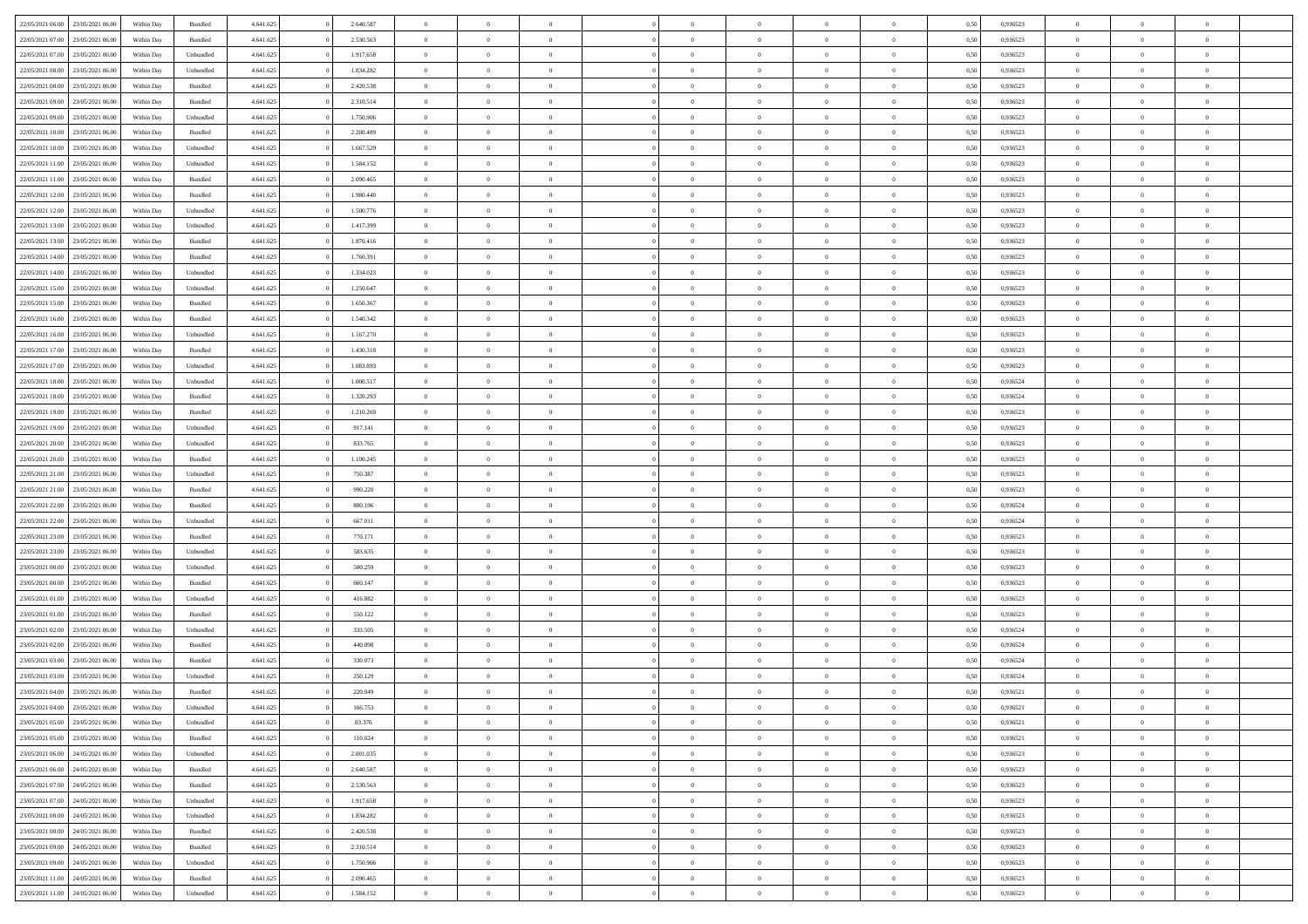| 22/05/2021 06:00 23/05/2021 06:00<br>Within Day<br>4.641.625<br>2.640.587<br>Bundled<br>$\overline{0}$<br>$\overline{0}$<br>$\Omega$<br>$\theta$<br>$\Omega$                                          |                            |                  |                |                |                |  |
|-------------------------------------------------------------------------------------------------------------------------------------------------------------------------------------------------------|----------------------------|------------------|----------------|----------------|----------------|--|
|                                                                                                                                                                                                       | $\Omega$<br>$\overline{0}$ | 0,50<br>0,936523 | $\theta$       | $\theta$       | $\theta$       |  |
| 22/05/2021 07:00<br>23/05/2021 06:00<br>Bundled<br>4.641.625<br>2.530.563<br>Within Day<br>$\overline{0}$<br>$\overline{0}$<br>$\overline{0}$<br>$\overline{0}$<br>$\theta$<br>$\overline{0}$         | $\bf{0}$                   | 0,936523<br>0,50 | $\theta$       | $\theta$       | $\overline{0}$ |  |
| 22/05/2021 07:00<br>23/05/2021 06:00<br>Within Day<br>Unbundled<br>4.641.625<br>1.917.658<br>$\overline{0}$<br>$\bf{0}$<br>$\overline{0}$<br>$\overline{0}$<br>$\overline{0}$<br>$\overline{0}$       | $\bf{0}$                   | 0,50<br>0,936523 | $\bf{0}$       | $\overline{0}$ | $\overline{0}$ |  |
| 22/05/2021 08:00<br>23/05/2021 06:00<br>4.641.625<br>1.834.282<br>$\overline{0}$<br>Within Day<br>Unbundled<br>$\overline{0}$<br>$\theta$<br>$\overline{0}$<br>$\overline{0}$<br>$\overline{0}$       | $\overline{0}$             | 0.50<br>0.936523 | $\theta$       | $\theta$       | $\overline{0}$ |  |
| 22/05/2021 08:00<br>23/05/2021 06:00<br>Bundled<br>4.641.625<br>2.420.538<br>Within Day<br>$\overline{0}$<br>$\overline{0}$<br>$\overline{0}$<br>$\overline{0}$<br>$\theta$<br>$\overline{0}$         | $\bf{0}$                   | 0,936523<br>0,50 | $\theta$       | $\theta$       | $\overline{0}$ |  |
| 22/05/2021 09:00<br>23/05/2021 06:00<br>Within Day<br>Bundled<br>4.641.625<br>2.310.514<br>$\overline{0}$<br>$\bf{0}$<br>$\overline{0}$<br>$\overline{0}$<br>$\overline{0}$<br>$\overline{0}$         | $\bf{0}$                   | 0,50<br>0,936523 | $\bf{0}$       | $\overline{0}$ | $\bf{0}$       |  |
| 22/05/2021 09:00<br>23/05/2021 06:00<br>4.641.625<br>1.750.906<br>$\overline{0}$<br>Within Day<br>Unbundled<br>$\overline{0}$<br>$\overline{0}$<br>$\overline{0}$<br>$\overline{0}$<br>$\overline{0}$ | $\overline{0}$             | 0.936523<br>0.5( | $\theta$       | $\theta$       | $\overline{0}$ |  |
| 22/05/2021 10:00<br>23/05/2021 06:00<br>4.641.625<br>2.200.489<br>Within Day<br>Bundled<br>$\overline{0}$<br>$\overline{0}$<br>$\overline{0}$<br>$\overline{0}$<br>$\theta$<br>$\overline{0}$         | $\bf{0}$                   | 0,936523<br>0,50 | $\theta$       | $\theta$       | $\overline{0}$ |  |
|                                                                                                                                                                                                       |                            |                  |                |                |                |  |
| 22/05/2021 10:00<br>23/05/2021 06:00<br>Within Day<br>Unbundled<br>4.641.625<br>1.667.529<br>$\overline{0}$<br>$\bf{0}$<br>$\overline{0}$<br>$\overline{0}$<br>$\overline{0}$<br>$\overline{0}$       | $\bf{0}$                   | 0,50<br>0,936523 | $\bf{0}$       | $\bf{0}$       | $\overline{0}$ |  |
| 22/05/2021 11:00<br>23/05/2021 06:00<br>4.641.625<br>1.584.152<br>$\overline{0}$<br>$\overline{0}$<br>$\overline{0}$<br>Within Day<br>Unbundled<br>$\overline{0}$<br>$\overline{0}$<br>$\overline{0}$ | $\overline{0}$             | 0.936523<br>0.50 | $\theta$       | $\theta$       | $\overline{0}$ |  |
| 22/05/2021 11:00<br>23/05/2021 06:00<br>Bundled<br>4.641.625<br>2.090.465<br>Within Day<br>$\bf{0}$<br>$\overline{0}$<br>$\overline{0}$<br>$\overline{0}$<br>$\theta$<br>$\overline{0}$               | $\bf{0}$                   | 0,936523<br>0,50 | $\theta$       | $\theta$       | $\overline{0}$ |  |
| 22/05/2021 12:00<br>23/05/2021 06:00<br>Within Day<br>Bundled<br>4.641.625<br>1.980.440<br>$\overline{0}$<br>$\bf{0}$<br>$\overline{0}$<br>$\overline{0}$<br>$\bf{0}$<br>$\overline{0}$               | $\bf{0}$                   | 0,50<br>0,936523 | $\bf{0}$       | $\overline{0}$ | $\overline{0}$ |  |
| 22/05/2021 12:00<br>23/05/2021 06:00<br>4.641.625<br>1.500.776<br>$\overline{0}$<br>Within Day<br>Unbundled<br>$\overline{0}$<br>$\overline{0}$<br>$\overline{0}$<br>$\overline{0}$<br>$\overline{0}$ | $\overline{0}$             | 0.936523<br>0.5( | $\theta$       | $\theta$       | $\overline{0}$ |  |
| 22/05/2021 13:00<br>23/05/2021 06:00<br>Unbundled<br>4.641.625<br>1.417.399<br>Within Day<br>$\overline{0}$<br>$\theta$<br>$\overline{0}$<br>$\overline{0}$<br>$\theta$<br>$\overline{0}$             | $\bf{0}$                   | 0,936523<br>0,50 | $\theta$       | $\theta$       | $\overline{0}$ |  |
| 22/05/2021 13:00<br>23/05/2021 06:00<br>Within Day<br>Bundled<br>4.641.625<br>1.870.416<br>$\overline{0}$<br>$\bf{0}$<br>$\overline{0}$<br>$\overline{0}$<br>$\overline{0}$<br>$\overline{0}$         | $\bf{0}$                   | 0,50<br>0,936523 | $\bf{0}$       | $\overline{0}$ | $\bf{0}$       |  |
| 22/05/2021 14:00<br>23/05/2021 06:00<br>4.641.625<br>1.760.391<br>$\overline{0}$<br>$\overline{0}$<br>Within Day<br>Bundled<br>$\overline{0}$<br>$\overline{0}$<br>$\overline{0}$<br>$\overline{0}$   | $\overline{0}$             | 0.936523<br>0.5( | $\theta$       | $\theta$       | $\overline{0}$ |  |
| 22/05/2021 14:00<br>23/05/2021 06:00<br>4.641.625<br>1.334.023<br>Within Day<br>Unbundled<br>$\overline{0}$<br>$\theta$<br>$\overline{0}$<br>$\overline{0}$<br>$\theta$<br>$\overline{0}$             | $\bf{0}$                   | 0,936523<br>0,50 | $\theta$       | $\theta$       | $\overline{0}$ |  |
| 22/05/2021 15:00<br>23/05/2021 06:00<br>Within Day<br>Unbundled<br>4.641.625<br>1.250.647<br>$\overline{0}$<br>$\bf{0}$<br>$\overline{0}$<br>$\overline{0}$<br>$\overline{0}$<br>$\bf{0}$             | $\bf{0}$                   | 0,50<br>0,936523 | $\bf{0}$       | $\overline{0}$ | $\overline{0}$ |  |
| 22/05/2021 15:00<br>23/05/2021 06:00<br>4.641.625<br>1.650.367<br>$\overline{0}$<br>$\overline{0}$<br>$\overline{0}$<br>Within Day<br>Bundled<br>$\overline{0}$<br>$\overline{0}$<br>$\overline{0}$   | $\overline{0}$             | 0.936523<br>0.50 | $\theta$       | $\theta$       | $\overline{0}$ |  |
| 22/05/2021 16:00<br>23/05/2021 06:00<br>Bundled<br>4.641.625<br>1.540.342<br>Within Day<br>$\bf{0}$<br>$\overline{0}$<br>$\overline{0}$<br>$\overline{0}$<br>$\theta$<br>$\overline{0}$               | $\bf{0}$                   | 0,936523<br>0,50 | $\theta$       | $\theta$       | $\overline{0}$ |  |
| 22/05/2021 16:00<br>23/05/2021 06:00<br>Within Day<br>Unbundled<br>4.641.625<br>1.167.270<br>$\overline{0}$<br>$\bf{0}$<br>$\overline{0}$<br>$\overline{0}$<br>$\overline{0}$<br>$\overline{0}$       | $\bf{0}$                   | 0,50<br>0,936523 | $\bf{0}$       | $\overline{0}$ | $\overline{0}$ |  |
| 22/05/2021 17:00<br>23/05/2021 06:00<br>4.641.625<br>1.430.318<br>$\overline{0}$<br>Within Day<br>Bundled<br>$\overline{0}$<br>$\overline{0}$<br>$\overline{0}$<br>$\overline{0}$<br>$\overline{0}$   | $\overline{0}$             | 0.50<br>0.936523 | $\theta$       | $\theta$       | $\overline{0}$ |  |
| 22/05/2021 17:00<br>23/05/2021 06:00<br>4.641.625<br>1.083.893<br>Within Day<br>Unbundled<br>$\overline{0}$<br>$\overline{0}$<br>$\overline{0}$<br>$\overline{0}$<br>$\theta$<br>$\overline{0}$       | $\bf{0}$                   | 0,936523<br>0,50 | $\theta$       | $\theta$       | $\overline{0}$ |  |
| 22/05/2021 18:00<br>23/05/2021 06:00<br>Within Day<br>Unbundled<br>4.641.625<br>1.000.517<br>$\overline{0}$<br>$\bf{0}$<br>$\overline{0}$<br>$\overline{0}$<br>$\overline{0}$<br>$\overline{0}$       | $\bf{0}$                   | 0,50<br>0,936524 | $\overline{0}$ | $\overline{0}$ | $\bf{0}$       |  |
| 22/05/2021 18:00<br>23/05/2021 06:00<br>4.641.625<br>1.320.293<br>$\overline{0}$<br>Within Day<br>Bundled<br>$\overline{0}$<br>$\overline{0}$<br>$\overline{0}$<br>$\overline{0}$<br>$\overline{0}$   | $\overline{0}$             | 0,936524<br>0.5( | $\theta$       | $\theta$       | $\overline{0}$ |  |
| 22/05/2021 19:00<br>23/05/2021 06:00<br>4.641.625<br>1.210.269<br>Within Day<br>Bundled<br>$\overline{0}$<br>$\overline{0}$<br>$\overline{0}$<br>$\overline{0}$<br>$\theta$<br>$\overline{0}$         | $\bf{0}$                   | 0,936523<br>0,50 | $\theta$       | $\theta$       | $\overline{0}$ |  |
|                                                                                                                                                                                                       |                            |                  |                |                |                |  |
| 22/05/2021 19:00<br>23/05/2021 06:00<br>Within Day<br>Unbundled<br>4.641.625<br>917.141<br>$\overline{0}$<br>$\bf{0}$<br>$\overline{0}$<br>$\overline{0}$<br>$\overline{0}$<br>$\bf{0}$               | $\bf{0}$                   | 0,50<br>0,936523 | $\bf{0}$       | $\bf{0}$       | $\overline{0}$ |  |
| 22/05/2021 20:00<br>23/05/2021 06:00<br>Unbundled<br>833.765<br>$\overline{0}$<br>$\overline{0}$<br>Within Day<br>4.641.625<br>$\overline{0}$<br>$\overline{0}$<br>$\overline{0}$<br>$\overline{0}$   | $\overline{0}$             | 0.936523<br>0.5( | $\theta$       | $\theta$       | $\overline{0}$ |  |
| 22/05/2021 20:00<br>23/05/2021 06:00<br>Bundled<br>4.641.625<br>1.100.245<br>Within Day<br>$\bf{0}$<br>$\overline{0}$<br>$\overline{0}$<br>$\overline{0}$<br>$\theta$<br>$\overline{0}$               | $\bf{0}$                   | 0,936523<br>0,50 | $\theta$       | $\theta$       | $\overline{0}$ |  |
| 22/05/2021 21:00<br>23/05/2021 06:00<br>Within Day<br>Unbundled<br>4.641.625<br>750.387<br>$\overline{0}$<br>$\bf{0}$<br>$\overline{0}$<br>$\overline{0}$<br>$\bf{0}$<br>$\overline{0}$               | $\bf{0}$                   | 0,50<br>0,936523 | $\bf{0}$       | $\overline{0}$ | $\overline{0}$ |  |
| 22/05/2021 21:00<br>23/05/2021 06:00<br>4.641.625<br>$\overline{0}$<br>Within Day<br>Bundled<br>990.220<br>$\overline{0}$<br>$\Omega$<br>$\Omega$<br>$\Omega$<br>$\theta$                             | $\overline{0}$             | 0,936523<br>0,50 | $\,$ 0 $\,$    | $\Omega$       | $\theta$       |  |
| 22/05/2021 22:00<br>23/05/2021 06:00<br>4.641.625<br>880.196<br>Within Day<br>Bundled<br>$\overline{0}$<br>$\overline{0}$<br>$\overline{0}$<br>$\overline{0}$<br>$\theta$<br>$\overline{0}$           | $\bf{0}$                   | 0,936524<br>0,50 | $\theta$       | $\theta$       | $\overline{0}$ |  |
| 22/05/2021 22:00<br>23/05/2021 06:00<br>Within Day<br>Unbundled<br>4.641.625<br>667.011<br>$\overline{0}$<br>$\bf{0}$<br>$\overline{0}$<br>$\overline{0}$<br>$\bf{0}$<br>$\overline{0}$               | $\bf{0}$                   | 0,50<br>0,936524 | $\bf{0}$       | $\overline{0}$ | $\bf{0}$       |  |
| 22/05/2021 23:00<br>23/05/2021 06:00<br>Bundled<br>4.641.625<br>770.171<br>$\overline{0}$<br>$\overline{0}$<br>Within Day<br>$\overline{0}$<br>$\Omega$<br>$\Omega$<br>$\Omega$                       | $\overline{0}$             | 0.936523<br>0.50 | $\overline{0}$ | $\overline{0}$ | $\theta$       |  |
| 22/05/2021 23:00<br>23/05/2021 06:00<br>4.641.625<br>583.635<br>Within Day<br>Unbundled<br>$\bf{0}$<br>$\overline{0}$<br>$\overline{0}$<br>$\overline{0}$<br>$\theta$<br>$\overline{0}$               | $\bf{0}$                   | 0,936523<br>0,50 | $\theta$       | $\theta$       | $\overline{0}$ |  |
| 23/05/2021 00:00<br>23/05/2021 06:00<br>Within Day<br>Unbundled<br>4.641.625<br>500.259<br>$\overline{0}$<br>$\bf{0}$<br>$\overline{0}$<br>$\overline{0}$<br>$\overline{0}$<br>$\bf{0}$               | $\bf{0}$                   | 0,50<br>0,936523 | $\bf{0}$       | $\overline{0}$ | $\overline{0}$ |  |
| 23/05/2021 00:00<br>23/05/2021 06:00<br>4.641.625<br>660.147<br>$\overline{0}$<br>$\theta$<br>$\Omega$<br>Within Day<br>Bundled<br>$\Omega$<br>$\Omega$<br>$\Omega$                                   | $\overline{0}$             | 0.936523<br>0.50 | $\theta$       | $\Omega$       | $\theta$       |  |
| 23/05/2021 01:00<br>23/05/2021 06:00<br>Unbundled<br>4.641.625<br>416.882<br>Within Day<br>$\bf{0}$<br>$\overline{0}$<br>$\overline{0}$<br>$\overline{0}$<br>$\theta$<br>$\overline{0}$               | $\bf{0}$                   | 0,936523<br>0,50 | $\theta$       | $\theta$       | $\overline{0}$ |  |
| 23/05/2021 01:00<br>23/05/2021 06:00<br>Within Day<br>Bundled<br>4.641.625<br>550.122<br>$\overline{0}$<br>$\bf{0}$<br>$\overline{0}$<br>$\overline{0}$<br>$\overline{0}$<br>$\overline{0}$           | $\bf{0}$                   | 0,50<br>0,936523 | $\bf{0}$       | $\overline{0}$ | $\overline{0}$ |  |
| 23/05/2021 02:00<br>23/05/2021 06:00<br>4.641.625<br>333.505<br>Within Day<br>Unbundled<br>$\overline{0}$<br>$\overline{0}$<br>$\Omega$<br>$\Omega$<br>$\theta$<br>$\Omega$                           | $\overline{0}$             | 0,936524<br>0.50 | $\,$ 0 $\,$    | $\Omega$       | $\theta$       |  |
| 23/05/2021 02:00<br>23/05/2021 06:00<br>4.641.625<br>440.098<br>Within Day<br>Bundled<br>$\bf{0}$<br>$\overline{0}$<br>$\overline{0}$<br>$\overline{0}$<br>$\theta$<br>$\overline{0}$                 | $\bf{0}$                   | 0,936524<br>0,50 | $\theta$       | $\theta$       | $\overline{0}$ |  |
| 23/05/2021 03:00<br>23/05/2021 06:00<br>Within Day<br>Bundled<br>4.641.625<br>330.073<br>$\overline{0}$<br>$\bf{0}$<br>$\overline{0}$<br>$\overline{0}$<br>$\bf{0}$<br>$\overline{0}$                 | $\bf{0}$                   | 0,50<br>0,936524 | $\bf{0}$       | $\overline{0}$ | $\bf{0}$       |  |
| 23/05/2021 03:00<br>23/05/2021 06:00<br>4.641.625<br>250.129<br>$\overline{0}$<br>Within Day<br>Unbundled<br>$\Omega$<br>$\Omega$<br>$\Omega$<br>$\Omega$<br>$\theta$                                 | $\overline{0}$             | 0.936524<br>0.50 | $\theta$       | $\Omega$       | $\theta$       |  |
| 23/05/2021 04:00 23/05/2021 06:00<br>Bundled<br>4.641.625<br>220.049<br>Within Day<br>$\bf{0}$<br>$\bf{0}$<br>$\overline{0}$<br>$\overline{0}$<br>$\bf{0}$<br>$\bf{0}$                                | $\bf{0}$                   | 0,936521<br>0,50 | $\bf{0}$       | $\bf{0}$       | $\overline{0}$ |  |
| 23/05/2021 04:00 23/05/2021 06:00<br>Within Day<br>Unbundled<br>4.641.625<br>166.753<br>$\bf{0}$                                                                                                      |                            | 0,50<br>0,936521 | $\bf{0}$       | $\bf{0}$       |                |  |
| 23/05/2021 05:00 23/05/2021 06:00<br>4.641.625<br>$\overline{0}$<br>Within Day<br>83.376<br>$\Omega$<br>$\theta$<br>$\Omega$<br>$\theta$<br>$\Omega$                                                  | $\overline{0}$             | 0.50<br>0.936521 | $\theta$       | $\theta$       | $\theta$       |  |
| Unbundled                                                                                                                                                                                             |                            |                  |                |                |                |  |
| 23/05/2021 05:00<br>23/05/2021 06:00<br>Within Day<br>Bundled<br>4.641.625<br>110.024<br>$\overline{0}$<br>$\overline{0}$<br>$\overline{0}$<br>$\overline{0}$<br>$\overline{0}$<br>$\overline{0}$     | $\,$ 0 $\,$                | 0,936521<br>0,50 | $\,$ 0 $\,$    | $\,$ 0 $\,$    | $\,$ 0         |  |
| 24/05/2021 06:00<br>23/05/2021 06:00<br>Within Day<br>Unbundled<br>4.641.625<br>2.001.035<br>$\overline{0}$<br>$\overline{0}$<br>$\overline{0}$<br>$\overline{0}$<br>$\overline{0}$<br>$\overline{0}$ | $\bf{0}$                   | 0,50<br>0,936523 | $\bf{0}$       | $\bf{0}$       | $\bf{0}$       |  |
| 23/05/2021 06:00<br>24/05/2021 06:00<br>Within Day<br>Bundled<br>4.641.625<br>2.640.587<br>$\overline{0}$<br>$\bf{0}$<br>$\overline{0}$<br>$\overline{0}$<br>$\overline{0}$<br>$\overline{0}$         | $\bf{0}$                   | 0,50<br>0,936523 | $\bf{0}$       | $\theta$       | $\overline{0}$ |  |
| 23/05/2021 07:00<br>24/05/2021 06:00<br>Within Day<br>Bundled<br>4.641.625<br>2.530.563<br>$\overline{0}$<br>$\overline{0}$<br>$\overline{0}$<br>$\overline{0}$<br>$\overline{0}$<br>$\overline{0}$   | $\bf{0}$                   | 0,936523<br>0,50 | $\,$ 0 $\,$    | $\,$ 0 $\,$    | $\overline{0}$ |  |
| 23/05/2021 07:00<br>24/05/2021 06:00<br>Within Day<br>Unbundled<br>4.641.625<br>1.917.658<br>$\overline{0}$<br>$\overline{0}$<br>$\overline{0}$<br>$\overline{0}$<br>$\overline{0}$<br>$\overline{0}$ | $\bf{0}$                   | 0,50<br>0,936523 | $\overline{0}$ | $\overline{0}$ | $\bf{0}$       |  |
| 1.834.282<br>$\overline{0}$<br>23/05/2021 08:00<br>24/05/2021 06:00<br>Within Day<br>Unbundled<br>4.641.625<br>$\overline{0}$<br>$\overline{0}$<br>$\overline{0}$<br>$\overline{0}$<br>$\overline{0}$ | $\bf{0}$                   | 0.50<br>0,936523 | $\overline{0}$ | $\theta$       | $\overline{0}$ |  |
| 23/05/2021 08:00<br>24/05/2021 06:00<br>Bundled<br>4.641.625<br>2.420.538<br>$\overline{0}$<br>$\,$ 0<br>Within Day<br>$\overline{0}$<br>$\overline{0}$<br>$\overline{0}$<br>$\overline{0}$           | $\bf{0}$                   | 0,936523<br>0,50 | $\,$ 0 $\,$    | $\bf{0}$       | $\overline{0}$ |  |
| 24/05/2021 06:00<br>23/05/2021 09:00<br>Within Day<br>Bundled<br>4.641.625<br>2.310.514<br>$\overline{0}$<br>$\bf{0}$<br>$\overline{0}$<br>$\overline{0}$<br>$\overline{0}$<br>$\overline{0}$         | $\bf{0}$                   | 0,50<br>0,936523 | $\bf{0}$       | $\overline{0}$ | $\bf{0}$       |  |
| 24/05/2021 06:00<br>23/05/2021 09:00<br>Within Day<br>Unbundled<br>4.641.625<br>1.750.906<br>$\overline{0}$<br>$\overline{0}$<br>$\overline{0}$<br>$\overline{0}$<br>$\overline{0}$<br>$\overline{0}$ | $\bf{0}$                   | 0.936523<br>0.50 | $\bf{0}$       | $\theta$       | $\overline{0}$ |  |
| 23/05/2021 11:00<br>24/05/2021 06:00<br>Bundled<br>4.641.625<br>2.090.465<br>$\overline{0}$<br>$\,$ 0<br>Within Day<br>$\overline{0}$<br>$\overline{0}$<br>$\bf{0}$<br>$\bf{0}$                       | $\bf{0}$                   | 0,936523<br>0,50 | $\,$ 0 $\,$    | $\,$ 0 $\,$    | $\overline{0}$ |  |
| 23/05/2021 11:00 24/05/2021 06:00<br>Within Day<br>Unbundled<br>4.641.625<br>1.584.152<br>$\overline{0}$<br>$\bf{0}$<br>$\overline{0}$<br>$\overline{0}$<br>$\overline{0}$                            | $\overline{0}$<br>$\bf{0}$ | 0,50<br>0,936523 | $\bf{0}$       | $\overline{0}$ | $\bf{0}$       |  |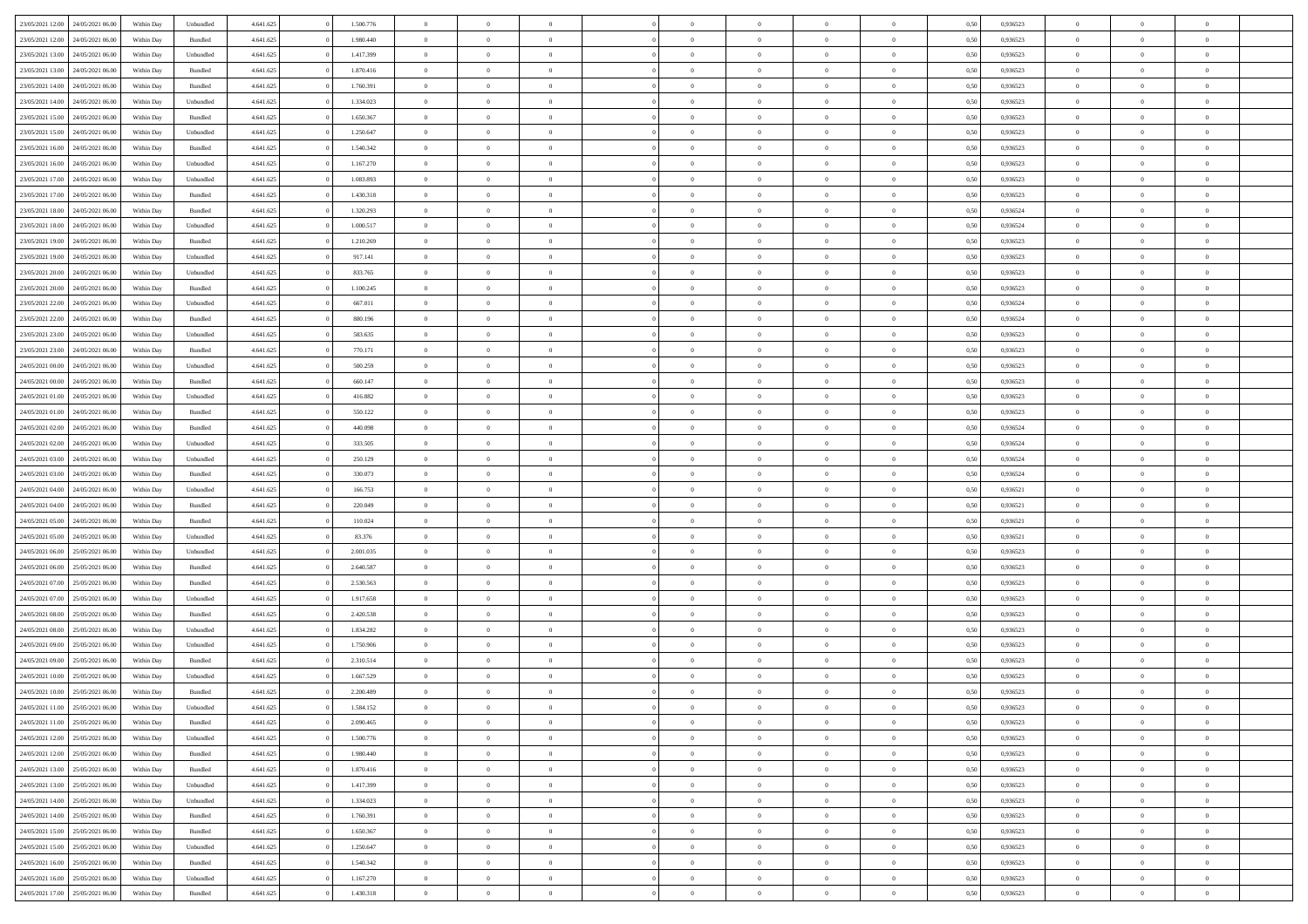| 23/05/2021 12:00                  | 24/05/2021 06:00 | Within Day | Unbundled | 4.641.625 | 1.500.776 | $\overline{0}$ | $\theta$       |                | $\overline{0}$ | $\bf{0}$       | $\overline{0}$ | $\theta$       | 0,50 | 0,936523 | $\theta$       | $\theta$       | $\overline{0}$           |  |
|-----------------------------------|------------------|------------|-----------|-----------|-----------|----------------|----------------|----------------|----------------|----------------|----------------|----------------|------|----------|----------------|----------------|--------------------------|--|
|                                   |                  |            |           |           |           | $\overline{0}$ | $\overline{0}$ |                |                |                |                |                |      |          |                |                | $\overline{0}$           |  |
| 23/05/2021 12:00                  | 24/05/2021 06.00 | Within Day | Bundled   | 4.641.625 | 1.980.440 |                |                | $\overline{0}$ | $\overline{0}$ | $\,$ 0         | $\bf{0}$       | $\bf{0}$       | 0,50 | 0,936523 | $\,$ 0 $\,$    | $\overline{0}$ |                          |  |
| 23/05/2021 13:00                  | 24/05/2021 06:00 | Within Day | Unbundled | 4.641.625 | 1.417.399 | $\overline{0}$ | $\overline{0}$ | $\overline{0}$ | $\overline{0}$ | $\bf{0}$       | $\overline{0}$ | $\mathbf{0}$   | 0.50 | 0.936523 | $\bf{0}$       | $\overline{0}$ | $\overline{0}$           |  |
| 23/05/2021 13:00                  | 24/05/2021 06.00 | Within Day | Bundled   | 4.641.625 | 1.870.416 | $\overline{0}$ | $\overline{0}$ | $\overline{0}$ | $\overline{0}$ | $\bf{0}$       | $\overline{0}$ | $\overline{0}$ | 0,50 | 0,936523 | $\,$ 0 $\,$    | $\overline{0}$ | $\overline{0}$           |  |
| 23/05/2021 14:00                  | 24/05/2021 06.00 | Within Day | Bundled   | 4.641.625 | 1.760.391 | $\overline{0}$ | $\theta$       | $\overline{0}$ |                | $\overline{0}$ | $\overline{0}$ | $\bf{0}$       | 0,50 | 0,936523 | $\theta$       | $\overline{0}$ | $\overline{0}$           |  |
| 23/05/2021 14:00                  | 24/05/2021 06:00 | Within Day | Unbundled | 4.641.625 | 1.334.023 | $\overline{0}$ | $\overline{0}$ | $\overline{0}$ | $\overline{0}$ | $\bf{0}$       | $\overline{0}$ | $\bf{0}$       | 0.50 | 0.936523 | $\,0\,$        | $\theta$       | $\overline{0}$           |  |
| 23/05/2021 15:00                  | 24/05/2021 06.00 | Within Day | Bundled   | 4.641.625 | 1.650.367 | $\overline{0}$ | $\overline{0}$ | $\overline{0}$ | $\overline{0}$ | $\,$ 0         | $\overline{0}$ | $\overline{0}$ | 0,50 | 0,936523 | $\,$ 0 $\,$    | $\theta$       | $\overline{0}$           |  |
| 23/05/2021 15:00                  | 24/05/2021 06.00 | Within Day | Unbundled | 4.641.625 | 1.250.647 | $\overline{0}$ | $\theta$       | $\overline{0}$ | $\overline{0}$ | $\bf{0}$       | $\overline{0}$ | $\bf{0}$       | 0,50 | 0,936523 | $\,$ 0 $\,$    | $\overline{0}$ | $\overline{0}$           |  |
| 23/05/2021 16:00                  | 24/05/2021 06:00 | Within Day | Bundled   | 4.641.625 | 1.540.342 | $\overline{0}$ | $\overline{0}$ | $\overline{0}$ | $\overline{0}$ | $\bf{0}$       | $\overline{0}$ | $\bf{0}$       | 0.50 | 0.936523 | $\,0\,$        | $\overline{0}$ | $\overline{0}$           |  |
| 23/05/2021 16:00                  | 24/05/2021 06.00 | Within Day | Unbundled | 4.641.625 | 1.167.270 | $\overline{0}$ | $\overline{0}$ | $\overline{0}$ | $\overline{0}$ | $\,$ 0         | $\overline{0}$ | $\bf{0}$       | 0,50 | 0,936523 | $\,$ 0 $\,$    | $\overline{0}$ | $\overline{0}$           |  |
|                                   |                  |            |           |           |           |                |                |                |                |                |                |                |      |          |                |                |                          |  |
| 23/05/2021 17:00                  | 24/05/2021 06.00 | Within Day | Unbundled | 4.641.625 | 1.083.893 | $\overline{0}$ | $\theta$       | $\overline{0}$ | $\overline{0}$ | $\,$ 0         | $\overline{0}$ | $\bf{0}$       | 0,50 | 0,936523 | $\,$ 0 $\,$    | $\overline{0}$ | $\overline{0}$           |  |
| 23/05/2021 17:00                  | 24/05/2021 06:00 | Within Day | Bundled   | 4.641.625 | 1.430.318 | $\overline{0}$ | $\overline{0}$ | $\overline{0}$ | $\overline{0}$ | $\bf{0}$       | $\overline{0}$ | $\mathbf{0}$   | 0.50 | 0.936523 | $\bf{0}$       | $\overline{0}$ | $\overline{\phantom{a}}$ |  |
| 23/05/2021 18:00                  | 24/05/2021 06.00 | Within Day | Bundled   | 4.641.625 | 1.320.293 | $\overline{0}$ | $\overline{0}$ | $\overline{0}$ | $\overline{0}$ | $\,$ 0         | $\overline{0}$ | $\overline{0}$ | 0,50 | 0,936524 | $\,$ 0 $\,$    | $\overline{0}$ | $\overline{0}$           |  |
| 23/05/2021 18:00                  | 24/05/2021 06.00 | Within Day | Unbundled | 4.641.625 | 1.000.517 | $\overline{0}$ | $\theta$       | $\overline{0}$ | $\overline{0}$ | $\overline{0}$ | $\overline{0}$ | $\bf{0}$       | 0,50 | 0,936524 | $\,$ 0 $\,$    | $\overline{0}$ | $\overline{0}$           |  |
| 23/05/2021 19:00                  | 24/05/2021 06:00 | Within Day | Bundled   | 4.641.625 | 1.210.269 | $\overline{0}$ | $\overline{0}$ | $\overline{0}$ | $\overline{0}$ | $\,$ 0         | $\overline{0}$ | $\bf{0}$       | 0.50 | 0.936523 | $\theta$       | $\theta$       | $\overline{0}$           |  |
| 23/05/2021 19:00                  | 24/05/2021 06.00 | Within Day | Unbundled | 4.641.625 | 917.141   | $\overline{0}$ | $\overline{0}$ | $\overline{0}$ | $\overline{0}$ | $\,$ 0         | $\overline{0}$ | $\bf{0}$       | 0,50 | 0,936523 | $\theta$       | $\theta$       | $\overline{0}$           |  |
| 23/05/2021 20:00                  | 24/05/2021 06.00 | Within Day | Unbundled | 4.641.625 | 833.765   | $\overline{0}$ | $\theta$       | $\overline{0}$ | $\overline{0}$ | $\bf{0}$       | $\overline{0}$ | $\bf{0}$       | 0,50 | 0,936523 | $\,$ 0 $\,$    | $\overline{0}$ | $\overline{0}$           |  |
| 23/05/2021 20:00                  | 24/05/2021 06:00 | Within Day | Bundled   | 4.641.625 | 1.100.245 | $\overline{0}$ | $\overline{0}$ | $\overline{0}$ | $\overline{0}$ | $\bf{0}$       | $\overline{0}$ | $\bf{0}$       | 0.50 | 0.936523 | $\,0\,$        | $\overline{0}$ | $\overline{0}$           |  |
| 23/05/2021 22:00                  | 24/05/2021 06.00 | Within Day | Unbundled | 4.641.625 | 667.011   | $\overline{0}$ | $\overline{0}$ | $\overline{0}$ | $\overline{0}$ | $\,$ 0         | $\overline{0}$ | $\bf{0}$       | 0,50 | 0,936524 | $\,$ 0 $\,$    | $\overline{0}$ | $\overline{0}$           |  |
| 23/05/2021 22:00                  | 24/05/2021 06.00 | Within Day | Bundled   | 4.641.625 | 880.196   | $\overline{0}$ | $\theta$       | $\overline{0}$ | $\overline{0}$ | $\,$ 0         | $\bf{0}$       | $\bf{0}$       | 0,50 | 0,936524 | $\,$ 0 $\,$    | $\overline{0}$ | $\overline{0}$           |  |
|                                   |                  |            |           |           |           |                |                |                |                |                |                |                |      |          |                |                |                          |  |
| 23/05/2021 23:00                  | 24/05/2021 06:00 | Within Day | Unbundled | 4.641.625 | 583.635   | $\overline{0}$ | $\overline{0}$ | $\overline{0}$ | $\overline{0}$ | $\bf{0}$       | $\overline{0}$ | $\mathbf{0}$   | 0.50 | 0.936523 | $\bf{0}$       | $\overline{0}$ | $\overline{\phantom{a}}$ |  |
| 23/05/2021 23:00                  | 24/05/2021 06.00 | Within Day | Bundled   | 4.641.625 | 770.171   | $\overline{0}$ | $\overline{0}$ | $\overline{0}$ | $\overline{0}$ | $\bf{0}$       | $\overline{0}$ | $\overline{0}$ | 0,50 | 0,936523 | $\theta$       | $\overline{0}$ | $\overline{0}$           |  |
| 24/05/2021 00:00                  | 24/05/2021 06.00 | Within Day | Unbundled | 4.641.625 | 500.259   | $\overline{0}$ | $\theta$       | $\overline{0}$ | $\overline{0}$ | $\bf{0}$       | $\overline{0}$ | $\bf{0}$       | 0,50 | 0,936523 | $\,$ 0 $\,$    | $\overline{0}$ | $\overline{0}$           |  |
| 24/05/2021 00:00                  | 24/05/2021 06:00 | Within Day | Bundled   | 4.641.625 | 660.147   | $\overline{0}$ | $\overline{0}$ | $\overline{0}$ | $\overline{0}$ | $\bf{0}$       | $\overline{0}$ | $\bf{0}$       | 0.50 | 0.936523 | $\,0\,$        | $\theta$       | $\overline{0}$           |  |
| 24/05/2021 01:00                  | 24/05/2021 06.00 | Within Day | Unbundled | 4.641.625 | 416.882   | $\overline{0}$ | $\overline{0}$ | $\overline{0}$ | $\overline{0}$ | $\,$ 0         | $\overline{0}$ | $\overline{0}$ | 0,50 | 0,936523 | $\,$ 0 $\,$    | $\theta$       | $\overline{0}$           |  |
| 24/05/2021 01:00                  | 24/05/2021 06.00 | Within Day | Bundled   | 4.641.625 | 550.122   | $\overline{0}$ | $\theta$       | $\overline{0}$ |                | $\bf{0}$       | $\overline{0}$ | $\bf{0}$       | 0,50 | 0,936523 | $\,$ 0 $\,$    | $\overline{0}$ | $\overline{0}$           |  |
| 24/05/2021 02:00                  | 24/05/2021 06:00 | Within Day | Bundled   | 4.641.625 | 440.098   | $\overline{0}$ | $\overline{0}$ | $\overline{0}$ | $\overline{0}$ | $\bf{0}$       | $\overline{0}$ | $\bf{0}$       | 0.50 | 0.936524 | $\,0\,$        | $\overline{0}$ | $\overline{0}$           |  |
| 24/05/2021 02:00                  | 24/05/2021 06:00 | Within Day | Unbundled | 4.641.625 | 333.505   | $\overline{0}$ | $\overline{0}$ | $\overline{0}$ | $\overline{0}$ | $\,$ 0         | $\overline{0}$ | $\bf{0}$       | 0,50 | 0,936524 | $\,$ 0 $\,$    | $\overline{0}$ | $\overline{0}$           |  |
| 24/05/2021 03:00                  | 24/05/2021 06.00 | Within Day | Unbundled | 4.641.625 | 250.129   | $\overline{0}$ | $\overline{0}$ | $\overline{0}$ | $\overline{0}$ | $\bf{0}$       | $\bf{0}$       | $\bf{0}$       | 0,50 | 0,936524 | $\,$ 0 $\,$    | $\overline{0}$ | $\overline{0}$           |  |
| 24/05/2021 03:00                  | 24/05/2021 06:00 | Within Day | Bundled   | 4.641.625 | 330.073   | $\overline{0}$ | $\overline{0}$ | $\overline{0}$ | $\overline{0}$ | $\bf{0}$       | $\overline{0}$ | $\mathbf{0}$   | 0.50 | 0.936524 | $\bf{0}$       | $\overline{0}$ | $\overline{\phantom{a}}$ |  |
| 24/05/2021 04:00                  | 24/05/2021 06:00 | Within Dav | Unbundled | 4.641.625 | 166.753   | $\overline{0}$ | $\overline{0}$ | $\overline{0}$ | $\overline{0}$ | $\bf{0}$       | $\overline{0}$ | $\overline{0}$ | 0.50 | 0,936521 | $\theta$       | $\overline{0}$ | $\overline{0}$           |  |
|                                   |                  |            |           |           |           |                |                |                |                |                |                |                |      |          |                |                |                          |  |
| 24/05/2021 04:00                  | 24/05/2021 06.00 | Within Day | Bundled   | 4.641.625 | 220.049   | $\overline{0}$ | $\theta$       | $\overline{0}$ | $\overline{0}$ | $\bf{0}$       | $\overline{0}$ | $\bf{0}$       | 0,50 | 0,936521 | $\,$ 0 $\,$    | $\overline{0}$ | $\overline{0}$           |  |
| 24/05/2021 05:00                  | 24/05/2021 06:00 | Within Day | Bundled   | 4.641.625 | 110.024   | $\overline{0}$ | $\overline{0}$ | $\overline{0}$ | $\overline{0}$ | $\,$ 0         | $\overline{0}$ | $\bf{0}$       | 0.50 | 0.936521 | $\,0\,$        | $\theta$       | $\overline{0}$           |  |
| 24/05/2021 05:00                  | 24/05/2021 06:00 | Within Dav | Unbundled | 4.641.625 | 83.376    | $\overline{0}$ | $\theta$       | $\Omega$       | $\overline{0}$ | $\bf{0}$       | $\overline{0}$ | $\overline{0}$ | 0.50 | 0,936521 | $\theta$       | $\overline{0}$ | $\overline{0}$           |  |
| 24/05/2021 06:00                  | 25/05/2021 06.00 | Within Day | Unbundled | 4.641.625 | 2.001.035 | $\overline{0}$ | $\theta$       | $\overline{0}$ | $\overline{0}$ | $\,$ 0         | $\overline{0}$ | $\bf{0}$       | 0,50 | 0,936523 | $\,$ 0 $\,$    | $\overline{0}$ | $\overline{0}$           |  |
| 24/05/2021 06:00                  | 25/05/2021 06:00 | Within Day | Bundled   | 4.641.625 | 2.640.587 | $\overline{0}$ | $\overline{0}$ | $\overline{0}$ | $\overline{0}$ | $\bf{0}$       | $\overline{0}$ | $\bf{0}$       | 0.50 | 0.936523 | $\,0\,$        | $\overline{0}$ | $\overline{0}$           |  |
| 24/05/2021 07:00                  | 25/05/2021 06:00 | Within Dav | Bundled   | 4.641.625 | 2.530.563 | $\overline{0}$ | $\overline{0}$ | $\overline{0}$ | $\overline{0}$ | $\overline{0}$ | $\overline{0}$ | $\overline{0}$ | 0.50 | 0.936523 | $\theta$       | $\overline{0}$ | $\overline{0}$           |  |
| 24/05/2021 07:00                  | 25/05/2021 06.0  | Within Day | Unbundled | 4.641.625 | 1.917.658 | $\bf{0}$       | $\overline{0}$ | $\overline{0}$ | $\overline{0}$ | $\bf{0}$       | $\bf{0}$       | $\bf{0}$       | 0,50 | 0,936523 | $\,$ 0 $\,$    | $\overline{0}$ | $\overline{0}$           |  |
| 24/05/2021 08:00                  | 25/05/2021 06:00 | Within Day | Bundled   | 4.641.625 | 2.420.538 | $\overline{0}$ | $\overline{0}$ | $\overline{0}$ | $\overline{0}$ | $\bf{0}$       | $\overline{0}$ | $\mathbf{0}$   | 0.50 | 0.936523 | $\bf{0}$       | $\overline{0}$ | $\overline{0}$           |  |
| 24/05/2021 08:00                  | 25/05/2021 06:00 | Within Dav | Unbundled | 4.641.625 | 1.834.282 | $\overline{0}$ | $\overline{0}$ | $\Omega$       | $\overline{0}$ | $\bf{0}$       | $\overline{0}$ | $\overline{0}$ | 0.50 | 0.936523 | $\theta$       | $\overline{0}$ | $\overline{0}$           |  |
| 24/05/2021 09:00                  | 25/05/2021 06.00 | Within Day | Unbundled | 4.641.625 | 1.750.906 | $\overline{0}$ | $\theta$       | $\overline{0}$ | $\overline{0}$ | $\,$ 0         | $\overline{0}$ | $\bf{0}$       | 0,50 | 0,936523 | $\,$ 0 $\,$    | $\overline{0}$ | $\overline{0}$           |  |
| 24/05/2021 09:00                  | 25/05/2021 06:00 | Within Day | Bundled   | 4.641.625 | 2.310.514 | $\overline{0}$ | $\theta$       | $\overline{0}$ | $\overline{0}$ | $\bf{0}$       | $\Omega$       | $\overline{0}$ | 0.50 | 0.936523 | $\,0\,$        | $\theta$       | $\overline{0}$           |  |
| 24/05/2021 10:00                  | 25/05/2021 06:00 | Within Dav | Unbundled | 4.641.625 | 1.667.529 | $\overline{0}$ | $\Omega$       | $\Omega$       | $\Omega$       | $\bf{0}$       | $\overline{0}$ |                | 0.50 | 0.936523 | $\theta$       | $\theta$       | $\overline{0}$           |  |
|                                   |                  |            |           |           |           |                |                |                |                |                |                | $\bf{0}$       |      |          |                |                |                          |  |
| 24/05/2021 10:00                  | 25/05/2021 06:00 | Within Day | Bundled   | 4.641.625 | 2.200.489 | $\bf{0}$       | $\,$ 0 $\,$    | $\overline{0}$ | $\overline{0}$ | $\,$ 0         | $\bf{0}$       | $\bf{0}$       | 0,50 | 0,936523 | $\,$ 0 $\,$    | $\overline{0}$ | $\overline{0}$           |  |
| 24/05/2021 11:00                  | 25/05/2021 06:00 | Within Day | Unbundled | 4.641.625 | 1.584.152 | $\bf{0}$       | $\theta$       |                |                |                |                |                | 0,50 | 0.936523 | $\bf{0}$       | $\theta$       |                          |  |
| 24/05/2021 11:00                  | 25/05/2021 06:00 | Within Day | Bundled   | 4.641.625 | 2.090.465 | $\overline{0}$ | $\overline{0}$ | $\overline{0}$ | $\overline{0}$ | $\overline{0}$ | $\overline{0}$ | $\mathbf{0}$   | 0,50 | 0.936523 | $\theta$       | $\overline{0}$ | $\overline{0}$           |  |
| 24/05/2021 12:00                  | 25/05/2021 06:00 | Within Day | Unbundled | 4.641.625 | 1.500.776 | $\overline{0}$ | $\overline{0}$ | $\overline{0}$ | $\bf{0}$       | $\overline{0}$ | $\overline{0}$ | $\bf{0}$       | 0,50 | 0,936523 | $\bf{0}$       | $\overline{0}$ | $\bf{0}$                 |  |
| 24/05/2021 12:00                  | 25/05/2021 06:00 | Within Day | Bundled   | 4.641.625 | 1.980.440 | $\overline{0}$ | $\overline{0}$ | $\overline{0}$ | $\overline{0}$ | $\overline{0}$ | $\overline{0}$ | $\mathbf{0}$   | 0.50 | 0.936523 | $\overline{0}$ | $\bf{0}$       | $\bf{0}$                 |  |
| 24/05/2021 13:00                  | 25/05/2021 06:00 | Within Day | Bundled   | 4.641.625 | 1.870.416 | $\overline{0}$ | $\overline{0}$ | $\overline{0}$ | $\overline{0}$ | $\overline{0}$ | $\overline{0}$ | $\mathbf{0}$   | 0,50 | 0.936523 | $\overline{0}$ | $\theta$       | $\overline{0}$           |  |
| 24/05/2021 13:00                  | 25/05/2021 06:00 | Within Day | Unbundled | 4.641.625 | 1.417.399 | $\overline{0}$ | $\overline{0}$ | $\overline{0}$ | $\overline{0}$ | $\bf{0}$       | $\bf{0}$       | $\bf{0}$       | 0,50 | 0,936523 | $\bf{0}$       | $\overline{0}$ | $\overline{0}$           |  |
| 24/05/2021 14:00                  | 25/05/2021 06:00 | Within Day | Unbundled | 4.641.625 | 1.334.023 | $\overline{0}$ | $\overline{0}$ | $\overline{0}$ | $\overline{0}$ | $\bf{0}$       | $\overline{0}$ | $\mathbf{0}$   | 0.50 | 0.936523 | $\,$ 0 $\,$    | $\theta$       | $\overline{0}$           |  |
| 24/05/2021 14:00                  | 25/05/2021 06:00 | Within Day | Bundled   | 4.641.625 | 1.760.391 | $\overline{0}$ | $\overline{0}$ | $\overline{0}$ | $\overline{0}$ | $\overline{0}$ | $\overline{0}$ | $\overline{0}$ | 0,50 | 0.936523 | $\overline{0}$ | $\theta$       | $\overline{0}$           |  |
| 24/05/2021 15:00                  | 25/05/2021 06:00 | Within Day | Bundled   | 4.641.625 | 1.650.367 | $\overline{0}$ | $\,$ 0         | $\overline{0}$ | $\bf{0}$       | $\,$ 0 $\,$    | $\overline{0}$ | $\bf{0}$       | 0,50 | 0,936523 | $\,$ 0 $\,$    | $\overline{0}$ | $\overline{0}$           |  |
| 24/05/2021 15:00                  | 25/05/2021 06:00 | Within Day | Unbundled | 4.641.625 | 1.250.647 | $\overline{0}$ | $\overline{0}$ | $\overline{0}$ | $\overline{0}$ | $\bf{0}$       | $\overline{0}$ | $\mathbf{0}$   | 0.50 | 0.936523 | $\mathbf{0}$   | $\bf{0}$       | $\overline{0}$           |  |
|                                   |                  |            |           |           |           |                | $\overline{0}$ |                |                | $\overline{0}$ |                |                |      |          |                | $\theta$       | $\overline{0}$           |  |
| 24/05/2021 16:00                  | 25/05/2021 06:00 | Within Day | Bundled   | 4.641.625 | 1.540.342 | $\overline{0}$ |                | $\overline{0}$ | $\overline{0}$ |                | $\overline{0}$ | $\overline{0}$ | 0,50 | 0.936523 | $\overline{0}$ |                |                          |  |
| 24/05/2021 16:00                  | 25/05/2021 06:00 | Within Day | Unbundled | 4.641.625 | 1.167.270 | $\overline{0}$ | $\overline{0}$ | $\overline{0}$ | $\bf{0}$       | $\bf{0}$       | $\bf{0}$       | $\bf{0}$       | 0,50 | 0,936523 | $\bf{0}$       | $\overline{0}$ | $\bf{0}$                 |  |
| 24/05/2021 17:00 25/05/2021 06:00 |                  | Within Day | Bundled   | 4.641.625 | 1.430.318 | $\,$ 0 $\,$    | $\,$ 0 $\,$    | $\overline{0}$ | $\overline{0}$ | $\,$ 0 $\,$    | $\,$ 0 $\,$    | $\,$ 0 $\,$    | 0,50 | 0,936523 | $\mathbf{0}^-$ | $\,$ 0 $\,$    | $\,$ 0 $\,$              |  |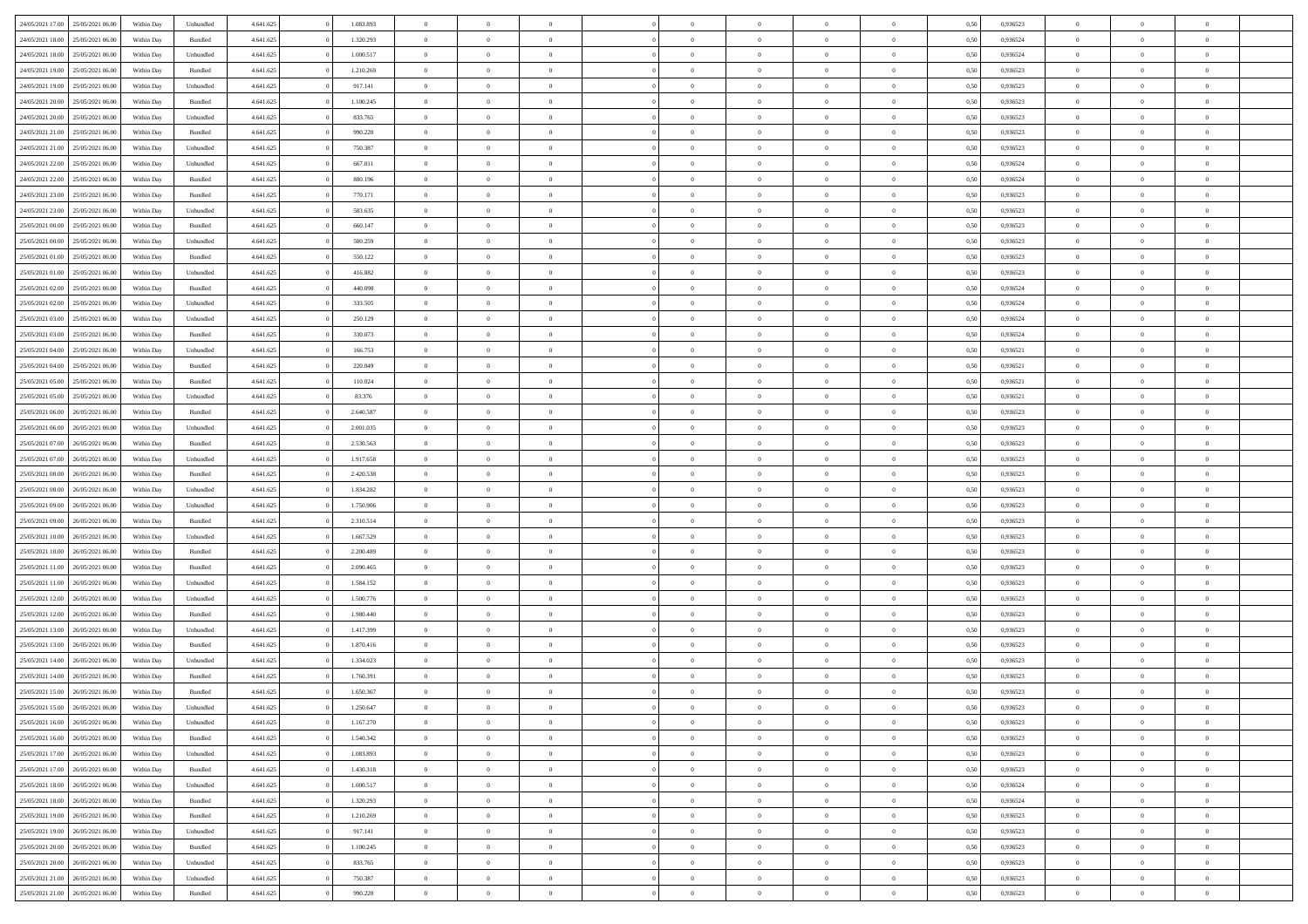| 24/05/2021 17:00 | 25/05/2021 06:00 | Within Day | Unbundled | 4.641.625 | 1.083.893 | $\overline{0}$ | $\theta$       |                | $\Omega$       | $\Omega$       | $\theta$       | $\theta$       | 0,50 | 0,936523 | $\theta$       | $\overline{0}$ | $\theta$       |  |
|------------------|------------------|------------|-----------|-----------|-----------|----------------|----------------|----------------|----------------|----------------|----------------|----------------|------|----------|----------------|----------------|----------------|--|
| 24/05/2021 18:00 | 25/05/2021 06:00 | Within Day | Bundled   | 4.641.625 | 1.320.293 | $\overline{0}$ | $\theta$       | $\overline{0}$ | $\overline{0}$ | $\bf{0}$       | $\overline{0}$ | $\bf{0}$       | 0,50 | 0,936524 | $\theta$       | $\overline{0}$ | $\overline{0}$ |  |
| 24/05/2021 18:00 | 25/05/2021 06:00 | Within Day | Unbundled | 4.641.625 | 1.000.517 | $\overline{0}$ | $\bf{0}$       | $\overline{0}$ | $\bf{0}$       | $\bf{0}$       | $\bf{0}$       | $\mathbf{0}$   | 0,50 | 0,936524 | $\overline{0}$ | $\overline{0}$ | $\bf{0}$       |  |
|                  |                  |            |           |           |           |                |                |                |                |                |                |                |      |          | $\theta$       |                |                |  |
| 24/05/2021 19:00 | 25/05/2021 06:00 | Within Dav | Bundled   | 4.641.625 | 1.210.269 | $\overline{0}$ | $\overline{0}$ | $\overline{0}$ | $\overline{0}$ | $\bf{0}$       | $\overline{0}$ | $\overline{0}$ | 0.50 | 0.936523 |                | $\theta$       | $\overline{0}$ |  |
| 24/05/2021 19:00 | 25/05/2021 06:00 | Within Day | Unbundled | 4.641.625 | 917.141   | $\overline{0}$ | $\theta$       | $\overline{0}$ | $\overline{0}$ | $\bf{0}$       | $\overline{0}$ | $\bf{0}$       | 0,50 | 0,936523 | $\theta$       | $\overline{0}$ | $\overline{0}$ |  |
| 24/05/2021 20:00 | 25/05/2021 06:00 | Within Day | Bundled   | 4.641.625 | 1.100.245 | $\overline{0}$ | $\overline{0}$ | $\overline{0}$ | $\bf{0}$       | $\overline{0}$ | $\overline{0}$ | $\mathbf{0}$   | 0,50 | 0,936523 | $\overline{0}$ | $\overline{0}$ | $\bf{0}$       |  |
| 24/05/2021 20:00 | 25/05/2021 06:00 | Within Dav | Unbundled | 4.641.625 | 833.765   | $\overline{0}$ | $\overline{0}$ | $\overline{0}$ | $\overline{0}$ | $\overline{0}$ | $\overline{0}$ | $\overline{0}$ | 0.50 | 0.936523 | $\theta$       | $\overline{0}$ | $\overline{0}$ |  |
|                  |                  |            |           |           |           |                |                |                |                |                |                |                |      |          |                |                |                |  |
| 24/05/2021 21:00 | 25/05/2021 06:00 | Within Day | Bundled   | 4.641.625 | 990.220   | $\overline{0}$ | $\theta$       | $\overline{0}$ | $\overline{0}$ | $\bf{0}$       | $\overline{0}$ | $\bf{0}$       | 0,50 | 0,936523 | $\theta$       | $\theta$       | $\overline{0}$ |  |
| 24/05/2021 21:00 | 25/05/2021 06:00 | Within Day | Unbundled | 4.641.625 | 750.387   | $\overline{0}$ | $\overline{0}$ | $\overline{0}$ | $\bf{0}$       | $\bf{0}$       | $\bf{0}$       | $\mathbf{0}$   | 0,50 | 0,936523 | $\,0\,$        | $\overline{0}$ | $\overline{0}$ |  |
| 24/05/2021 22.00 | 25/05/2021 06:00 | Within Dav | Unbundled | 4.641.625 | 667.011   | $\overline{0}$ | $\overline{0}$ | $\overline{0}$ | $\overline{0}$ | $\overline{0}$ | $\overline{0}$ | $\overline{0}$ | 0.50 | 0,936524 | $\theta$       | $\overline{0}$ | $\overline{0}$ |  |
| 24/05/2021 22:00 | 25/05/2021 06:00 |            | Bundled   | 4.641.625 | 880.196   | $\overline{0}$ | $\theta$       | $\overline{0}$ | $\overline{0}$ | $\bf{0}$       | $\overline{0}$ |                |      | 0,936524 | $\,$ 0 $\,$    | $\overline{0}$ | $\overline{0}$ |  |
|                  |                  | Within Day |           |           |           |                |                |                |                |                |                | $\bf{0}$       | 0,50 |          |                |                |                |  |
| 24/05/2021 23.00 | 25/05/2021 06:00 | Within Day | Bundled   | 4.641.625 | 770.171   | $\overline{0}$ | $\overline{0}$ | $\overline{0}$ | $\bf{0}$       | $\bf{0}$       | $\bf{0}$       | $\mathbf{0}$   | 0,50 | 0,936523 | $\overline{0}$ | $\overline{0}$ | $\bf{0}$       |  |
| 24/05/2021 23:00 | 25/05/2021 06:00 | Within Day | Unbundled | 4.641.625 | 583.635   | $\overline{0}$ | $\overline{0}$ | $\overline{0}$ | $\overline{0}$ | $\bf{0}$       | $\overline{0}$ | $\overline{0}$ | 0.50 | 0.936523 | $\theta$       | $\theta$       | $\overline{0}$ |  |
| 25/05/2021 00:00 | 25/05/2021 06:00 | Within Day | Bundled   | 4.641.625 | 660.147   | $\overline{0}$ | $\theta$       | $\overline{0}$ | $\overline{0}$ | $\bf{0}$       | $\overline{0}$ | $\bf{0}$       | 0,50 | 0,936523 | $\theta$       | $\overline{0}$ | $\overline{0}$ |  |
|                  |                  |            |           |           |           |                |                |                |                |                |                |                |      |          |                |                |                |  |
| 25/05/2021 00:00 | 25/05/2021 06:00 | Within Day | Unbundled | 4.641.625 | 500.259   | $\overline{0}$ | $\overline{0}$ | $\overline{0}$ | $\bf{0}$       | $\overline{0}$ | $\overline{0}$ | $\mathbf{0}$   | 0,50 | 0,936523 | $\bf{0}$       | $\overline{0}$ | $\bf{0}$       |  |
| 25/05/2021 01:00 | 25/05/2021 06:00 | Within Dav | Bundled   | 4.641.625 | 550.122   | $\overline{0}$ | $\overline{0}$ | $\overline{0}$ | $\overline{0}$ | $\overline{0}$ | $\overline{0}$ | $\overline{0}$ | 0.50 | 0.936523 | $\theta$       | $\overline{0}$ | $\overline{0}$ |  |
| 25/05/2021 01:00 | 25/05/2021 06:00 | Within Day | Unbundled | 4.641.625 | 416.882   | $\overline{0}$ | $\theta$       | $\overline{0}$ | $\overline{0}$ | $\bf{0}$       | $\overline{0}$ | $\bf{0}$       | 0,50 | 0,936523 | $\theta$       | $\theta$       | $\overline{0}$ |  |
| 25/05/2021 02:00 | 25/05/2021 06:00 | Within Day | Bundled   | 4.641.625 | 440,098   | $\overline{0}$ | $\overline{0}$ | $\overline{0}$ | $\bf{0}$       | $\bf{0}$       | $\bf{0}$       | $\mathbf{0}$   | 0,50 | 0,936524 | $\,0\,$        | $\overline{0}$ | $\bf{0}$       |  |
| 25/05/2021 02:00 | 25/05/2021 06:00 |            | Unbundled | 4.641.625 | 333.505   | $\overline{0}$ | $\overline{0}$ | $\overline{0}$ | $\overline{0}$ | $\overline{0}$ | $\overline{0}$ | $\overline{0}$ | 0.50 | 0,936524 | $\theta$       | $\overline{0}$ | $\overline{0}$ |  |
|                  |                  | Within Day |           |           |           |                |                |                |                |                |                |                |      |          |                |                |                |  |
| 25/05/2021 03:00 | 25/05/2021 06:00 | Within Day | Unbundled | 4.641.625 | 250.129   | $\overline{0}$ | $\theta$       | $\overline{0}$ | $\overline{0}$ | $\bf{0}$       | $\overline{0}$ | $\bf{0}$       | 0,50 | 0,936524 | $\,$ 0 $\,$    | $\overline{0}$ | $\overline{0}$ |  |
| 25/05/2021 03:00 | 25/05/2021 06:00 | Within Day | Bundled   | 4.641.625 | 330.073   | $\overline{0}$ | $\overline{0}$ | $\overline{0}$ | $\bf{0}$       | $\bf{0}$       | $\bf{0}$       | $\mathbf{0}$   | 0,50 | 0,936524 | $\bf{0}$       | $\overline{0}$ | $\bf{0}$       |  |
| 25/05/2021 04:00 | 25/05/2021 06:00 | Within Day | Unbundled | 4.641.625 | 166.753   | $\overline{0}$ | $\overline{0}$ | $\overline{0}$ | $\overline{0}$ | $\overline{0}$ | $\overline{0}$ | $\overline{0}$ | 0.50 | 0.936521 | $\theta$       | $\overline{0}$ | $\overline{0}$ |  |
| 25/05/2021 04:00 | 25/05/2021 06:00 | Within Day | Bundled   | 4.641.625 | 220.049   | $\overline{0}$ | $\theta$       | $\overline{0}$ | $\overline{0}$ | $\bf{0}$       | $\overline{0}$ | $\,$ 0 $\,$    | 0,50 | 0,936521 | $\,$ 0 $\,$    | $\overline{0}$ | $\overline{0}$ |  |
|                  |                  |            |           |           |           |                |                |                |                |                |                |                |      |          |                |                |                |  |
| 25/05/2021 05:00 | 25/05/2021 06:00 | Within Day | Bundled   | 4.641.625 | 110.024   | $\overline{0}$ | $\overline{0}$ | $\overline{0}$ | $\bf{0}$       | $\overline{0}$ | $\overline{0}$ | $\mathbf{0}$   | 0,50 | 0,936521 | $\bf{0}$       | $\overline{0}$ | $\bf{0}$       |  |
| 25/05/2021 05:00 | 25/05/2021 06:00 | Within Dav | Unbundled | 4.641.625 | 83.376    | $\overline{0}$ | $\overline{0}$ | $\overline{0}$ | $\overline{0}$ | $\overline{0}$ | $\overline{0}$ | $\overline{0}$ | 0.50 | 0,936521 | $\theta$       | $\overline{0}$ | $\overline{0}$ |  |
| 25/05/2021 06:00 | 26/05/2021 06:00 | Within Day | Bundled   | 4.641.625 | 2.640.587 | $\overline{0}$ | $\theta$       | $\overline{0}$ | $\overline{0}$ | $\bf{0}$       | $\overline{0}$ | $\bf{0}$       | 0,50 | 0,936523 | $\theta$       | $\theta$       | $\overline{0}$ |  |
| 25/05/2021 06:00 | 26/05/2021 06:00 | Within Day | Unbundled | 4.641.625 | 2.001.035 | $\overline{0}$ | $\overline{0}$ | $\overline{0}$ | $\bf{0}$       | $\bf{0}$       | $\bf{0}$       | $\mathbf{0}$   | 0,50 | 0,936523 | $\,0\,$        | $\overline{0}$ | $\overline{0}$ |  |
|                  |                  |            |           |           |           |                |                |                |                |                |                |                |      |          |                |                |                |  |
| 25/05/2021 07:00 | 26/05/2021 06:00 | Within Day | Bundled   | 4.641.625 | 2.530.563 | $\overline{0}$ | $\overline{0}$ | $\overline{0}$ | $\overline{0}$ | $\overline{0}$ | $\overline{0}$ | $\overline{0}$ | 0.50 | 0.936523 | $\theta$       | $\overline{0}$ | $\overline{0}$ |  |
| 25/05/2021 07:00 | 26/05/2021 06:00 | Within Day | Unbundled | 4.641.625 | 1.917.658 | $\overline{0}$ | $\theta$       | $\overline{0}$ | $\overline{0}$ | $\bf{0}$       | $\overline{0}$ | $\bf{0}$       | 0,50 | 0,936523 | $\,$ 0 $\,$    | $\overline{0}$ | $\overline{0}$ |  |
| 25/05/2021 08:00 | 26/05/2021 06:00 | Within Day | Bundled   | 4.641.625 | 2.420.538 | $\overline{0}$ | $\overline{0}$ | $\overline{0}$ | $\bf{0}$       | $\bf{0}$       | $\bf{0}$       | $\mathbf{0}$   | 0,50 | 0,936523 | $\overline{0}$ | $\overline{0}$ | $\bf{0}$       |  |
| 25/05/2021 08:00 | 26/05/2021 06:00 |            |           | 4.641.625 | 1.834.282 | $\overline{0}$ | $\Omega$       | $\overline{0}$ | $\Omega$       | $\Omega$       | $\overline{0}$ | $\overline{0}$ | 0,50 | 0,936523 | $\,0\,$        | $\theta$       | $\theta$       |  |
|                  |                  | Within Day | Unbundled |           |           |                |                |                |                |                |                |                |      |          |                |                |                |  |
| 25/05/2021 09:00 | 26/05/2021 06:00 | Within Day | Unbundled | 4.641.625 | 1.750.906 | $\overline{0}$ | $\theta$       | $\overline{0}$ | $\overline{0}$ | $\bf{0}$       | $\overline{0}$ | $\bf{0}$       | 0,50 | 0,936523 | $\theta$       | $\overline{0}$ | $\overline{0}$ |  |
| 25/05/2021 09:00 | 26/05/2021 06:00 | Within Day | Bundled   | 4.641.625 | 2.310.514 | $\overline{0}$ | $\overline{0}$ | $\overline{0}$ | $\bf{0}$       | $\overline{0}$ | $\overline{0}$ | $\mathbf{0}$   | 0,50 | 0,936523 | $\overline{0}$ | $\overline{0}$ | $\bf{0}$       |  |
| 25/05/2021 10:00 | 26/05/2021 06:00 | Within Day | Unbundled | 4.641.625 | 1.667.529 | $\overline{0}$ | $\Omega$       | $\Omega$       | $\Omega$       | $\overline{0}$ | $\overline{0}$ | $\overline{0}$ | 0.50 | 0.936523 | $\,0\,$        | $\theta$       | $\theta$       |  |
| 25/05/2021 10:00 | 26/05/2021 06:00 | Within Day | Bundled   | 4.641.625 | 2.200.489 | $\overline{0}$ | $\theta$       | $\overline{0}$ | $\overline{0}$ | $\bf{0}$       | $\overline{0}$ | $\bf{0}$       | 0,50 | 0,936523 | $\theta$       | $\overline{0}$ | $\overline{0}$ |  |
|                  |                  |            |           |           |           |                |                |                |                |                |                |                |      |          |                |                |                |  |
| 25/05/2021 11:00 | 26/05/2021 06:00 | Within Day | Bundled   | 4.641.625 | 2.090.465 | $\overline{0}$ | $\overline{0}$ | $\overline{0}$ | $\bf{0}$       | $\bf{0}$       | $\bf{0}$       | $\mathbf{0}$   | 0,50 | 0,936523 | $\bf{0}$       | $\overline{0}$ | $\bf{0}$       |  |
| 25/05/2021 11:00 | 26/05/2021 06:00 | Within Day | Unbundled | 4.641.625 | 1.584.152 | $\overline{0}$ | $\Omega$       | $\Omega$       | $\Omega$       | $\overline{0}$ | $\overline{0}$ | $\overline{0}$ | 0.50 | 0.936523 | $\,$ 0 $\,$    | $\theta$       | $\theta$       |  |
| 25/05/2021 12:00 | 26/05/2021 06:00 | Within Day | Unbundled | 4.641.625 | 1.500.776 | $\overline{0}$ | $\theta$       | $\overline{0}$ | $\overline{0}$ | $\,$ 0         | $\overline{0}$ | $\bf{0}$       | 0,50 | 0,936523 | $\,$ 0 $\,$    | $\overline{0}$ | $\overline{0}$ |  |
| 25/05/2021 12:00 | 26/05/2021 06:00 | Within Day | Bundled   | 4.641.625 | 1.980.440 | $\overline{0}$ | $\bf{0}$       | $\overline{0}$ | $\bf{0}$       | $\bf{0}$       | $\bf{0}$       | $\mathbf{0}$   | 0,50 | 0,936523 | $\overline{0}$ | $\overline{0}$ | $\bf{0}$       |  |
|                  |                  |            |           |           |           |                |                |                |                |                |                |                |      |          |                |                |                |  |
| 25/05/2021 13:00 | 26/05/2021 06:00 | Within Day | Unbundled | 4.641.625 | 1.417.399 | $\overline{0}$ | $\Omega$       | $\overline{0}$ | $\Omega$       | $\overline{0}$ | $\overline{0}$ | $\overline{0}$ | 0,50 | 0,936523 | $\,0\,$        | $\theta$       | $\theta$       |  |
| 25/05/2021 13:00 | 26/05/2021 06:00 | Within Day | Bundled   | 4.641.625 | 1.870.416 | $\overline{0}$ | $\overline{0}$ | $\overline{0}$ | $\overline{0}$ | $\,$ 0         | $\overline{0}$ | $\bf{0}$       | 0,50 | 0,936523 | $\,$ 0 $\,$    | $\overline{0}$ | $\overline{0}$ |  |
| 25/05/2021 14:00 | 26/05/2021 06:00 | Within Day | Unbundled | 4.641.625 | 1.334.023 | $\overline{0}$ | $\overline{0}$ | $\overline{0}$ | $\bf{0}$       | $\bf{0}$       | $\overline{0}$ | $\mathbf{0}$   | 0,50 | 0,936523 | $\overline{0}$ | $\overline{0}$ | $\bf{0}$       |  |
| 25/05/2021 14:00 | 26/05/2021 06:00 | Within Day | Bundled   | 4.641.625 | 1.760.391 | $\overline{0}$ | $\Omega$       | $\Omega$       | $\Omega$       | $\Omega$       | $\Omega$       | $\overline{0}$ | 0.50 | 0.936523 | $\theta$       | $\theta$       | $\theta$       |  |
| 25/05/2021 15:00 | 26/05/2021 06:00 | Within Day | Bundled   | 4.641.625 | 1.650.367 | $\overline{0}$ | $\overline{0}$ | $\overline{0}$ | $\bf{0}$       | $\,$ 0         | $\bf{0}$       | $\bf{0}$       | 0,50 | 0,936523 | $\,0\,$        | $\,0\,$        | $\overline{0}$ |  |
|                  |                  |            |           |           |           |                |                |                |                |                |                |                |      |          |                |                |                |  |
| 25/05/2021 15:00 | 26/05/2021 06:00 | Within Day | Unbundled | 4.641.625 | 1.250.647 | $\bf{0}$       | $\bf{0}$       |                |                | $\bf{0}$       |                |                | 0,50 | 0,936523 | $\bf{0}$       | $\overline{0}$ |                |  |
| 25/05/2021 16:00 | 26/05/2021 06:00 | Within Day | Unbundled | 4.641.625 | 1.167.270 | $\overline{0}$ | $\overline{0}$ | $\overline{0}$ | $\Omega$       | $\overline{0}$ | $\overline{0}$ | $\overline{0}$ | 0.50 | 0.936523 | $\theta$       | $\theta$       | $\theta$       |  |
| 25/05/2021 16:00 | 26/05/2021 06:00 | Within Day | Bundled   | 4.641.625 | 1.540.342 | $\overline{0}$ | $\,$ 0         | $\overline{0}$ | $\bf{0}$       | $\,$ 0 $\,$    | $\overline{0}$ | $\mathbf{0}$   | 0,50 | 0,936523 | $\,$ 0 $\,$    | $\,$ 0 $\,$    | $\,$ 0         |  |
| 25/05/2021 17:00 | 26/05/2021 06:00 | Within Day | Unbundled | 4.641.625 | 1.083.893 | $\overline{0}$ | $\overline{0}$ | $\overline{0}$ | $\overline{0}$ | $\overline{0}$ | $\overline{0}$ | $\mathbf{0}$   | 0,50 | 0,936523 | $\overline{0}$ | $\bf{0}$       | $\bf{0}$       |  |
|                  |                  |            |           |           |           |                |                |                |                |                |                |                |      |          |                |                |                |  |
| 25/05/2021 17:00 | 26/05/2021 06:00 | Within Day | Bundled   | 4.641.625 | 1.430.318 | $\overline{0}$ | $\overline{0}$ | $\overline{0}$ | $\Omega$       | $\overline{0}$ | $\overline{0}$ | $\overline{0}$ | 0,50 | 0,936523 | $\overline{0}$ | $\theta$       | $\overline{0}$ |  |
| 25/05/2021 18:00 | 26/05/2021 06:00 | Within Day | Unbundled | 4.641.625 | 1.000.517 | $\overline{0}$ | $\,$ 0         | $\overline{0}$ | $\overline{0}$ | $\,$ 0 $\,$    | $\overline{0}$ | $\mathbf{0}$   | 0,50 | 0,936524 | $\,$ 0 $\,$    | $\overline{0}$ | $\overline{0}$ |  |
| 25/05/2021 18:00 | 26/05/2021 06:00 | Within Day | Bundled   | 4.641.625 | 1.320.293 | $\overline{0}$ | $\overline{0}$ | $\overline{0}$ | $\overline{0}$ | $\overline{0}$ | $\overline{0}$ | $\mathbf{0}$   | 0,50 | 0,936524 | $\overline{0}$ | $\overline{0}$ | $\bf{0}$       |  |
| 25/05/2021 19:00 | 26/05/2021 06:00 | Within Day | Bundled   | 4.641.625 | 1.210.269 | $\overline{0}$ | $\overline{0}$ | $\overline{0}$ | $\Omega$       | $\overline{0}$ | $\overline{0}$ | $\bf{0}$       | 0.50 | 0,936523 | $\overline{0}$ | $\theta$       | $\overline{0}$ |  |
|                  |                  |            |           |           |           |                |                |                |                |                |                |                |      |          |                |                |                |  |
| 25/05/2021 19:00 | 26/05/2021 06:00 | Within Day | Unbundled | 4.641.625 | 917.141   | $\overline{0}$ | $\,$ 0         | $\overline{0}$ | $\bf{0}$       | $\bf{0}$       | $\bf{0}$       | $\bf{0}$       | 0,50 | 0,936523 | $\,$ 0 $\,$    | $\overline{0}$ | $\overline{0}$ |  |
| 25/05/2021 20:00 | 26/05/2021 06:00 | Within Day | Bundled   | 4.641.625 | 1.100.245 | $\overline{0}$ | $\bf{0}$       | $\overline{0}$ | $\overline{0}$ | $\overline{0}$ | $\overline{0}$ | $\mathbf{0}$   | 0,50 | 0,936523 | $\overline{0}$ | $\overline{0}$ | $\bf{0}$       |  |
| 25/05/2021 20:00 | 26/05/2021 06:00 | Within Day | Unbundled | 4.641.625 | 833.765   | $\overline{0}$ | $\overline{0}$ | $\overline{0}$ | $\Omega$       | $\overline{0}$ | $\overline{0}$ | $\overline{0}$ | 0.50 | 0.936523 | $\overline{0}$ | $\theta$       | $\overline{0}$ |  |
| 25/05/2021 21:00 | 26/05/2021 06:00 | Within Day | Unbundled | 4.641.625 | 750.387   | $\overline{0}$ | $\bf{0}$       | $\overline{0}$ | $\overline{0}$ | $\bf{0}$       | $\bf{0}$       | $\mathbf{0}$   | 0,50 | 0,936523 | $\,$ 0 $\,$    | $\,$ 0 $\,$    | $\bf{0}$       |  |
|                  |                  |            |           |           |           |                |                |                |                |                |                |                |      |          |                |                |                |  |
| 25/05/2021 21:00 | 26/05/2021 06:00 | Within Day | Bundled   | 4.641.625 | 990.220   | $\overline{0}$ | $\overline{0}$ | $\overline{0}$ | $\overline{0}$ | $\bf{0}$       | $\bf{0}$       | $\mathbf{0}$   | 0,50 | 0,936523 | $\overline{0}$ | $\bf{0}$       | $\bf{0}$       |  |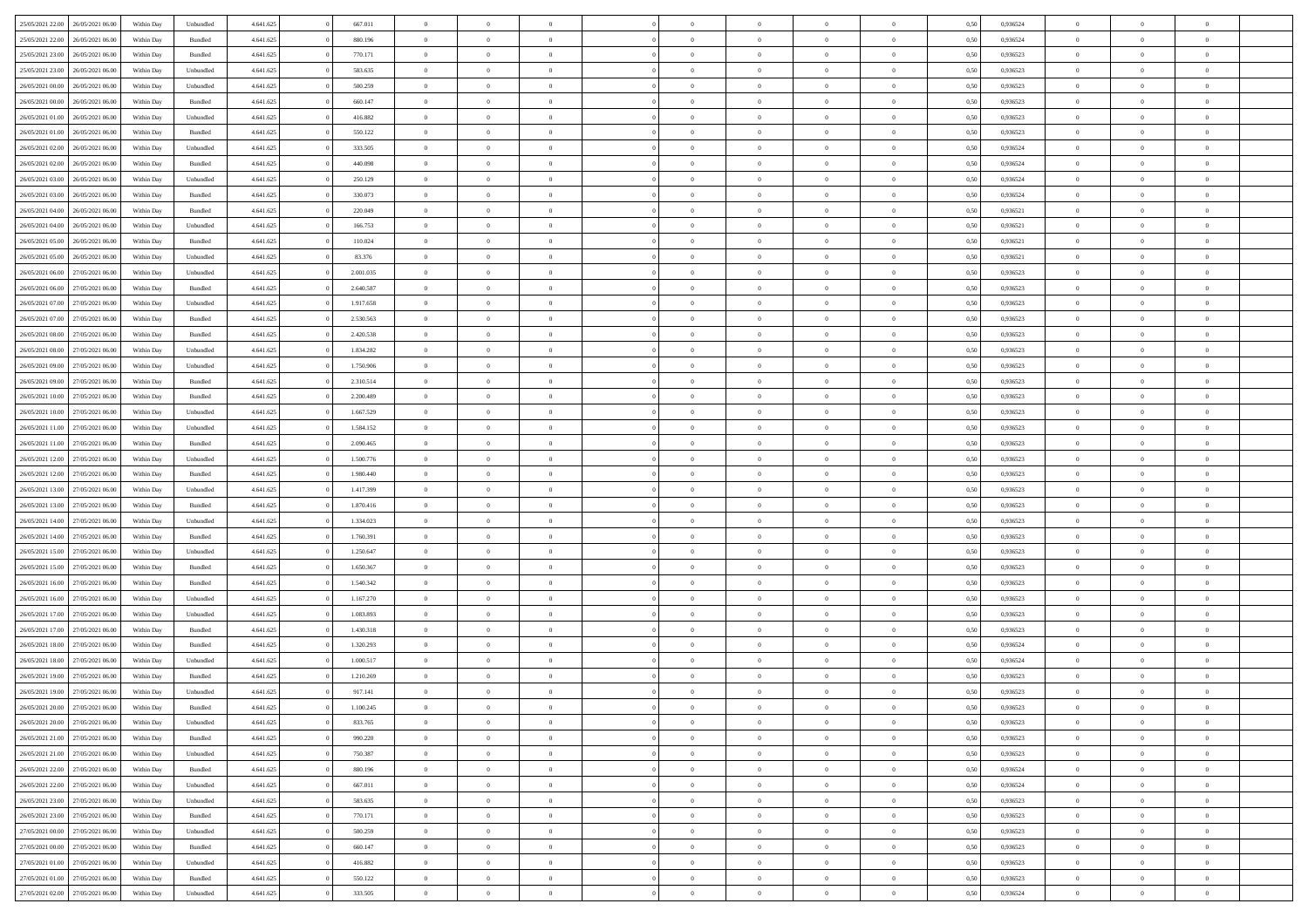| 25/05/2021 22:00                  | 26/05/2021 06:00 | Within Day | Unbundled          | 4.641.625 | 667.011   | $\overline{0}$ | $\theta$       |                | $\Omega$       | $\Omega$       | $\theta$       | $\theta$       | 0.50 | 0,936524 | $\theta$       | $\overline{0}$ | $\theta$       |  |
|-----------------------------------|------------------|------------|--------------------|-----------|-----------|----------------|----------------|----------------|----------------|----------------|----------------|----------------|------|----------|----------------|----------------|----------------|--|
| 25/05/2021 22:00                  | 26/05/2021 06:00 | Within Day | Bundled            | 4.641.625 | 880.196   | $\overline{0}$ | $\theta$       | $\overline{0}$ | $\overline{0}$ | $\bf{0}$       | $\overline{0}$ | $\bf{0}$       | 0,50 | 0,936524 | $\theta$       | $\overline{0}$ | $\overline{0}$ |  |
| 25/05/2021 23:00                  | 26/05/2021 06:00 | Within Day | Bundled            | 4.641.625 | 770.171   | $\overline{0}$ | $\bf{0}$       | $\overline{0}$ | $\bf{0}$       | $\bf{0}$       | $\bf{0}$       | $\mathbf{0}$   | 0,50 | 0,936523 | $\overline{0}$ | $\overline{0}$ | $\bf{0}$       |  |
| 25/05/2021 23:00                  | 26/05/2021 06:00 | Within Day | Unbundled          | 4.641.625 | 583.635   | $\overline{0}$ | $\overline{0}$ | $\overline{0}$ | $\overline{0}$ | $\bf{0}$       | $\overline{0}$ | $\overline{0}$ | 0.50 | 0.936523 | $\theta$       | $\theta$       | $\overline{0}$ |  |
| 26/05/2021 00:00                  | 26/05/2021 06:00 | Within Day | Unbundled          | 4.641.625 | 500.259   | $\overline{0}$ | $\theta$       | $\overline{0}$ | $\overline{0}$ | $\bf{0}$       | $\overline{0}$ | $\bf{0}$       | 0,50 | 0,936523 | $\theta$       | $\overline{0}$ | $\overline{0}$ |  |
|                                   |                  |            |                    |           |           |                |                |                |                |                |                |                |      |          |                |                |                |  |
| 26/05/2021 00:00                  | 26/05/2021 06:00 | Within Day | Bundled            | 4.641.625 | 660.147   | $\overline{0}$ | $\overline{0}$ | $\overline{0}$ | $\bf{0}$       | $\overline{0}$ | $\overline{0}$ | $\mathbf{0}$   | 0,50 | 0,936523 | $\overline{0}$ | $\overline{0}$ | $\bf{0}$       |  |
| 26/05/2021 01:00                  | 26/05/2021 06:00 | Within Dav | Unbundled          | 4.641.625 | 416.882   | $\overline{0}$ | $\overline{0}$ | $\overline{0}$ | $\overline{0}$ | $\overline{0}$ | $\overline{0}$ | $\overline{0}$ | 0.50 | 0.936523 | $\theta$       | $\overline{0}$ | $\overline{0}$ |  |
| 26/05/2021 01:00                  | 26/05/2021 06:00 | Within Day | Bundled            | 4.641.625 | 550.122   | $\overline{0}$ | $\theta$       | $\overline{0}$ | $\overline{0}$ | $\bf{0}$       | $\overline{0}$ | $\bf{0}$       | 0,50 | 0,936523 | $\theta$       | $\theta$       | $\overline{0}$ |  |
| 26/05/2021 02:00                  | 26/05/2021 06:00 | Within Day | Unbundled          | 4.641.625 | 333.505   | $\overline{0}$ | $\overline{0}$ | $\overline{0}$ | $\bf{0}$       | $\bf{0}$       | $\bf{0}$       | $\bf{0}$       | 0,50 | 0,936524 | $\,0\,$        | $\overline{0}$ | $\overline{0}$ |  |
| 26/05/2021 02:00                  | 26/05/2021 06:00 | Within Dav | Bundled            | 4.641.625 | 440.098   | $\overline{0}$ | $\overline{0}$ | $\overline{0}$ | $\overline{0}$ | $\overline{0}$ | $\overline{0}$ | $\overline{0}$ | 0.50 | 0,936524 | $\theta$       | $\overline{0}$ | $\overline{0}$ |  |
| 26/05/2021 03:00                  | 26/05/2021 06:00 | Within Day | Unbundled          | 4.641.625 | 250.129   | $\overline{0}$ | $\theta$       | $\overline{0}$ | $\overline{0}$ | $\bf{0}$       | $\overline{0}$ | $\bf{0}$       | 0,50 | 0,936524 | $\,$ 0 $\,$    | $\overline{0}$ | $\overline{0}$ |  |
| 26/05/2021 03:00                  | 26/05/2021 06:00 | Within Day | Bundled            | 4.641.625 | 330.073   | $\overline{0}$ | $\bf{0}$       | $\overline{0}$ | $\bf{0}$       | $\bf{0}$       | $\bf{0}$       | $\mathbf{0}$   | 0,50 | 0,936524 | $\overline{0}$ | $\overline{0}$ | $\bf{0}$       |  |
|                                   |                  |            |                    |           |           |                |                |                |                |                |                |                |      |          |                |                |                |  |
| 26/05/2021 04:00                  | 26/05/2021 06:00 | Within Day | Bundled            | 4.641.625 | 220.049   | $\overline{0}$ | $\overline{0}$ | $\overline{0}$ | $\overline{0}$ | $\bf{0}$       | $\overline{0}$ | $\overline{0}$ | 0.50 | 0,936521 | $\theta$       | $\theta$       | $\overline{0}$ |  |
| 26/05/2021 04:00                  | 26/05/2021 06:00 | Within Day | Unbundled          | 4.641.625 | 166.753   | $\overline{0}$ | $\theta$       | $\overline{0}$ | $\overline{0}$ | $\bf{0}$       | $\overline{0}$ | $\bf{0}$       | 0,50 | 0,936521 | $\theta$       | $\overline{0}$ | $\overline{0}$ |  |
| 26/05/2021 05:00                  | 26/05/2021 06:00 | Within Day | Bundled            | 4.641.625 | 110.024   | $\overline{0}$ | $\overline{0}$ | $\overline{0}$ | $\bf{0}$       | $\overline{0}$ | $\overline{0}$ | $\mathbf{0}$   | 0,50 | 0,936521 | $\overline{0}$ | $\overline{0}$ | $\bf{0}$       |  |
| 26/05/2021 05:00                  | 26/05/2021 06:00 | Within Dav | Unbundled          | 4.641.625 | 83.376    | $\overline{0}$ | $\overline{0}$ | $\overline{0}$ | $\overline{0}$ | $\overline{0}$ | $\overline{0}$ | $\overline{0}$ | 0.50 | 0,936521 | $\theta$       | $\overline{0}$ | $\overline{0}$ |  |
| 26/05/2021 06:00                  | 27/05/2021 06:00 | Within Day | Unbundled          | 4.641.625 | 2.001.035 | $\overline{0}$ | $\theta$       | $\overline{0}$ | $\overline{0}$ | $\bf{0}$       | $\overline{0}$ | $\bf{0}$       | 0,50 | 0,936523 | $\theta$       | $\theta$       | $\overline{0}$ |  |
| 26/05/2021 06:00                  | 27/05/2021 06:00 | Within Day | Bundled            | 4.641.625 | 2.640.587 | $\overline{0}$ | $\overline{0}$ | $\overline{0}$ | $\bf{0}$       | $\bf{0}$       | $\bf{0}$       | $\mathbf{0}$   | 0,50 | 0,936523 | $\,0\,$        | $\overline{0}$ | $\overline{0}$ |  |
| 26/05/2021 07:00                  | 27/05/2021 06:00 | Within Dav | Unbundled          | 4.641.625 | 1.917.658 | $\overline{0}$ | $\overline{0}$ | $\overline{0}$ | $\overline{0}$ | $\overline{0}$ | $\overline{0}$ | $\overline{0}$ | 0.50 | 0.936523 | $\theta$       | $\overline{0}$ | $\overline{0}$ |  |
|                                   |                  |            |                    |           |           |                |                |                |                |                |                |                |      |          |                |                |                |  |
| 26/05/2021 07:00                  | 27/05/2021 06:00 | Within Day | Bundled            | 4.641.625 | 2.530.563 | $\overline{0}$ | $\theta$       | $\overline{0}$ | $\overline{0}$ | $\bf{0}$       | $\overline{0}$ | $\bf{0}$       | 0,50 | 0,936523 | $\theta$       | $\overline{0}$ | $\overline{0}$ |  |
| 26/05/2021 08:00                  | 27/05/2021 06:00 | Within Day | Bundled            | 4.641.625 | 2.420.538 | $\overline{0}$ | $\overline{0}$ | $\overline{0}$ | $\bf{0}$       | $\bf{0}$       | $\bf{0}$       | $\bf{0}$       | 0,50 | 0,936523 | $\,0\,$        | $\overline{0}$ | $\bf{0}$       |  |
| 26/05/2021 08:00                  | 27/05/2021 06:00 | Within Day | Unbundled          | 4.641.625 | 1.834.282 | $\overline{0}$ | $\overline{0}$ | $\overline{0}$ | $\overline{0}$ | $\bf{0}$       | $\overline{0}$ | $\overline{0}$ | 0.50 | 0.936523 | $\theta$       | $\overline{0}$ | $\overline{0}$ |  |
| 26/05/2021 09:00                  | 27/05/2021 06:00 | Within Day | Unbundled          | 4.641.625 | 1.750.906 | $\overline{0}$ | $\theta$       | $\overline{0}$ | $\overline{0}$ | $\bf{0}$       | $\overline{0}$ | $\bf{0}$       | 0,50 | 0,936523 | $\theta$       | $\overline{0}$ | $\overline{0}$ |  |
| 26/05/2021 09:00                  | 27/05/2021 06:00 | Within Day | Bundled            | 4.641.625 | 2.310.514 | $\overline{0}$ | $\overline{0}$ | $\overline{0}$ | $\bf{0}$       | $\overline{0}$ | $\overline{0}$ | $\mathbf{0}$   | 0,50 | 0,936523 | $\bf{0}$       | $\overline{0}$ | $\bf{0}$       |  |
| 26/05/2021 10:00                  | 27/05/2021 06:00 | Within Dav | Bundled            | 4.641.625 | 2.200.489 | $\overline{0}$ | $\overline{0}$ | $\overline{0}$ | $\overline{0}$ | $\overline{0}$ | $\overline{0}$ | $\overline{0}$ | 0.50 | 0.936523 | $\theta$       | $\overline{0}$ | $\overline{0}$ |  |
| 26/05/2021 10:00                  | 27/05/2021 06:00 | Within Day | Unbundled          | 4.641.625 | 1.667.529 | $\overline{0}$ | $\theta$       | $\overline{0}$ | $\overline{0}$ | $\bf{0}$       | $\overline{0}$ | $\bf{0}$       | 0,50 | 0,936523 | $\theta$       | $\theta$       | $\overline{0}$ |  |
|                                   |                  |            |                    |           |           |                |                |                |                |                |                |                |      |          |                |                |                |  |
| 26/05/2021 11:00                  | 27/05/2021 06:00 | Within Day | Unbundled          | 4.641.625 | 1.584.152 | $\overline{0}$ | $\overline{0}$ | $\overline{0}$ | $\bf{0}$       | $\bf{0}$       | $\bf{0}$       | $\bf{0}$       | 0,50 | 0,936523 | $\,0\,$        | $\overline{0}$ | $\overline{0}$ |  |
| 26/05/2021 11:00                  | 27/05/2021 06:00 | Within Day | Bundled            | 4.641.625 | 2.090.465 | $\overline{0}$ | $\overline{0}$ | $\overline{0}$ | $\overline{0}$ | $\overline{0}$ | $\overline{0}$ | $\overline{0}$ | 0.50 | 0.936523 | $\theta$       | $\overline{0}$ | $\overline{0}$ |  |
| 26/05/2021 12:00                  | 27/05/2021 06:00 | Within Day | Unbundled          | 4.641.625 | 1.500.776 | $\overline{0}$ | $\theta$       | $\overline{0}$ | $\overline{0}$ | $\bf{0}$       | $\overline{0}$ | $\bf{0}$       | 0,50 | 0,936523 | $\,$ 0 $\,$    | $\overline{0}$ | $\overline{0}$ |  |
| 26/05/2021 12:00                  | 27/05/2021 06:00 | Within Day | Bundled            | 4.641.625 | 1.980.440 | $\overline{0}$ | $\overline{0}$ | $\overline{0}$ | $\bf{0}$       | $\bf{0}$       | $\bf{0}$       | $\bf{0}$       | 0,50 | 0,936523 | $\bf{0}$       | $\overline{0}$ | $\bf{0}$       |  |
| 26/05/2021 13:00                  | 27/05/2021 06:00 | Within Day | Unbundled          | 4.641.625 | 1.417.399 | $\overline{0}$ | $\Omega$       | $\Omega$       | $\Omega$       | $\Omega$       | $\overline{0}$ | $\overline{0}$ | 0,50 | 0,936523 | $\,0\,$        | $\theta$       | $\theta$       |  |
| 26/05/2021 13:00                  | 27/05/2021 06:00 | Within Day | Bundled            | 4.641.625 | 1.870.416 | $\overline{0}$ | $\theta$       | $\overline{0}$ | $\overline{0}$ | $\bf{0}$       | $\overline{0}$ | $\bf{0}$       | 0,50 | 0,936523 | $\theta$       | $\overline{0}$ | $\overline{0}$ |  |
| 26/05/2021 14:00                  | 27/05/2021 06:00 | Within Day | Unbundled          | 4.641.625 | 1.334.023 | $\overline{0}$ | $\overline{0}$ | $\overline{0}$ | $\bf{0}$       | $\overline{0}$ | $\overline{0}$ | $\mathbf{0}$   | 0,50 | 0,936523 | $\bf{0}$       | $\overline{0}$ | $\bf{0}$       |  |
|                                   |                  |            |                    |           |           |                |                |                |                |                |                |                |      |          |                |                |                |  |
| 26/05/2021 14:00                  | 27/05/2021 06:00 | Within Day | Bundled            | 4.641.625 | 1.760.391 | $\overline{0}$ | $\Omega$       | $\Omega$       | $\Omega$       | $\bf{0}$       | $\overline{0}$ | $\overline{0}$ | 0.50 | 0.936523 | $\,0\,$        | $\theta$       | $\theta$       |  |
| 26/05/2021 15:00                  | 27/05/2021 06:00 | Within Day | Unbundled          | 4.641.625 | 1.250.647 | $\overline{0}$ | $\theta$       | $\overline{0}$ | $\overline{0}$ | $\bf{0}$       | $\overline{0}$ | $\bf{0}$       | 0,50 | 0,936523 | $\theta$       | $\overline{0}$ | $\overline{0}$ |  |
| 26/05/2021 15:00                  | 27/05/2021 06:00 | Within Day | Bundled            | 4.641.625 | 1.650.367 | $\overline{0}$ | $\overline{0}$ | $\overline{0}$ | $\bf{0}$       | $\bf{0}$       | $\bf{0}$       | $\bf{0}$       | 0,50 | 0,936523 | $\,0\,$        | $\overline{0}$ | $\bf{0}$       |  |
| 26/05/2021 16:00                  | 27/05/2021 06:00 | Within Day | Bundled            | 4.641.625 | 1.540.342 | $\overline{0}$ | $\Omega$       | $\Omega$       | $\Omega$       | $\theta$       | $\overline{0}$ | $\overline{0}$ | 0.50 | 0.936523 | $\,$ 0 $\,$    | $\theta$       | $\theta$       |  |
| 26/05/2021 16:00                  | 27/05/2021 06:00 | Within Day | Unbundled          | 4.641.625 | 1.167.270 | $\overline{0}$ | $\theta$       | $\overline{0}$ | $\overline{0}$ | $\bf{0}$       | $\overline{0}$ | $\bf{0}$       | 0,50 | 0,936523 | $\,$ 0 $\,$    | $\overline{0}$ | $\overline{0}$ |  |
| 26/05/2021 17:00                  | 27/05/2021 06:00 | Within Day | Unbundled          | 4.641.625 | 1.083.893 | $\overline{0}$ | $\bf{0}$       | $\overline{0}$ | $\bf{0}$       | $\bf{0}$       | $\bf{0}$       | $\mathbf{0}$   | 0,50 | 0,936523 | $\bf{0}$       | $\overline{0}$ | $\bf{0}$       |  |
| 26/05/2021 17:00                  | 27/05/2021 06:00 | Within Day | Bundled            | 4.641.625 | 1.430.318 | $\overline{0}$ | $\Omega$       | $\Omega$       | $\Omega$       | $\overline{0}$ | $\overline{0}$ | $\overline{0}$ | 0,50 | 0,936523 | $\,0\,$        | $\theta$       | $\theta$       |  |
| 26/05/2021 18:00                  | 27/05/2021 06:00 | Within Day | Bundled            | 4.641.625 | 1.320.293 | $\overline{0}$ | $\theta$       | $\overline{0}$ | $\overline{0}$ | $\bf{0}$       | $\overline{0}$ | $\bf{0}$       | 0,50 | 0,936524 | $\,$ 0 $\,$    | $\overline{0}$ | $\overline{0}$ |  |
|                                   |                  |            |                    |           |           |                |                |                |                |                |                |                |      |          |                |                |                |  |
| 26/05/2021 18:00                  | 27/05/2021 06:00 | Within Day | Unbundled          | 4.641.625 | 1.000.517 | $\overline{0}$ | $\overline{0}$ | $\overline{0}$ | $\bf{0}$       | $\bf{0}$       | $\bf{0}$       | $\mathbf{0}$   | 0,50 | 0,936524 | $\bf{0}$       | $\overline{0}$ | $\bf{0}$       |  |
| 26/05/2021 19:00                  | 27/05/2021 06:00 | Within Day | Bundled            | 4.641.625 | 1.210.269 | $\overline{0}$ | $\Omega$       | $\Omega$       | $\Omega$       | $\Omega$       | $\Omega$       | $\overline{0}$ | 0.50 | 0.936523 | $\theta$       | $\theta$       | $\theta$       |  |
| 26/05/2021 19:00                  | 27/05/2021 06:00 | Within Day | Unbundled          | 4.641.625 | 917.141   | $\overline{0}$ | $\overline{0}$ | $\overline{0}$ | $\bf{0}$       | $\,$ 0         | $\bf{0}$       | $\bf{0}$       | 0,50 | 0,936523 | $\,0\,$        | $\,$ 0 $\,$    | $\overline{0}$ |  |
| 26/05/2021 20:00                  | 27/05/2021 06:00 | Within Day | $\mathbf B$ undled | 4.641.625 | 1.100.245 | $\bf{0}$       | $\bf{0}$       |                |                | $\bf{0}$       |                |                | 0,50 | 0,936523 | $\bf{0}$       | $\overline{0}$ |                |  |
| 26/05/2021 20:00                  | 27/05/2021 06:00 | Within Day | Unbundled          | 4.641.625 | 833.765   | $\overline{0}$ | $\overline{0}$ | $\overline{0}$ | $\Omega$       | $\overline{0}$ | $\overline{0}$ | $\overline{0}$ | 0.50 | 0.936523 | $\theta$       | $\theta$       | $\Omega$       |  |
| 26/05/2021 21:00                  | 27/05/2021 06:00 | Within Day | Bundled            | 4.641.625 | 990.220   | $\overline{0}$ | $\,$ 0         | $\overline{0}$ | $\bf{0}$       | $\,$ 0 $\,$    | $\overline{0}$ | $\,$ 0 $\,$    | 0,50 | 0,936523 | $\,$ 0 $\,$    | $\,$ 0 $\,$    | $\,$ 0         |  |
| 26/05/2021 21.00                  | 27/05/2021 06:00 | Within Day | Unbundled          | 4.641.625 | 750.387   | $\overline{0}$ | $\overline{0}$ | $\overline{0}$ | $\overline{0}$ | $\overline{0}$ | $\overline{0}$ | $\mathbf{0}$   | 0,50 | 0,936523 | $\overline{0}$ | $\bf{0}$       | $\bf{0}$       |  |
|                                   |                  |            |                    |           |           |                |                |                |                |                |                |                |      |          |                |                |                |  |
| 26/05/2021 22:00                  | 27/05/2021 06:00 | Within Day | $\mathbf B$ undled | 4.641.625 | 880.196   | $\overline{0}$ | $\overline{0}$ | $\overline{0}$ | $\Omega$       | $\overline{0}$ | $\overline{0}$ | $\overline{0}$ | 0,50 | 0,936524 | $\overline{0}$ | $\theta$       | $\overline{0}$ |  |
| 26/05/2021 22.00                  | 27/05/2021 06:00 | Within Day | Unbundled          | 4.641.625 | 667.011   | $\overline{0}$ | $\,$ 0         | $\overline{0}$ | $\overline{0}$ | $\,$ 0 $\,$    | $\overline{0}$ | $\mathbf{0}$   | 0,50 | 0,936524 | $\,$ 0 $\,$    | $\overline{0}$ | $\overline{0}$ |  |
| 26/05/2021 23.00                  | 27/05/2021 06:00 | Within Day | Unbundled          | 4.641.625 | 583.635   | $\overline{0}$ | $\overline{0}$ | $\overline{0}$ | $\overline{0}$ | $\overline{0}$ | $\overline{0}$ | $\mathbf{0}$   | 0,50 | 0,936523 | $\overline{0}$ | $\overline{0}$ | $\bf{0}$       |  |
| 26/05/2021 23:00                  | 27/05/2021 06:00 | Within Day | Bundled            | 4.641.625 | 770.171   | $\overline{0}$ | $\overline{0}$ | $\overline{0}$ | $\Omega$       | $\overline{0}$ | $\overline{0}$ | $\bf{0}$       | 0.50 | 0,936523 | $\overline{0}$ | $\theta$       | $\overline{0}$ |  |
| 27/05/2021 00:00                  | 27/05/2021 06:00 | Within Day | Unbundled          | 4.641.625 | 500.259   | $\overline{0}$ | $\,$ 0         | $\overline{0}$ | $\bf{0}$       | $\bf{0}$       | $\bf{0}$       | $\bf{0}$       | 0,50 | 0,936523 | $\,$ 0 $\,$    | $\overline{0}$ | $\overline{0}$ |  |
| 27/05/2021 00:00                  | 27/05/2021 06:00 | Within Day | Bundled            | 4.641.625 | 660.147   | $\overline{0}$ | $\bf{0}$       | $\overline{0}$ | $\overline{0}$ | $\overline{0}$ | $\overline{0}$ | $\mathbf{0}$   | 0,50 | 0,936523 | $\overline{0}$ | $\overline{0}$ | $\bf{0}$       |  |
| 27/05/2021 01:00                  | 27/05/2021 06:00 | Within Day | Unbundled          | 4.641.625 | 416.882   | $\overline{0}$ | $\overline{0}$ | $\overline{0}$ | $\Omega$       | $\overline{0}$ | $\overline{0}$ | $\overline{0}$ | 0.50 | 0.936523 | $\overline{0}$ | $\theta$       | $\overline{0}$ |  |
|                                   |                  |            |                    |           |           |                |                |                |                |                |                |                |      |          |                |                |                |  |
| 27/05/2021 01:00                  | 27/05/2021 06:00 | Within Day | Bundled            | 4.641.625 | 550.122   | $\overline{0}$ | $\bf{0}$       | $\overline{0}$ | $\overline{0}$ | $\bf{0}$       | $\bf{0}$       | $\mathbf{0}$   | 0,50 | 0,936523 | $\,$ 0 $\,$    | $\,$ 0 $\,$    | $\bf{0}$       |  |
| 27/05/2021 02.00 27/05/2021 06.00 |                  | Within Day | Unbundled          | 4.641.625 | 333.505   | $\overline{0}$ | $\bf{0}$       | $\overline{0}$ | $\bf{0}$       | $\bf{0}$       | $\bf{0}$       | $\bf{0}$       | 0,50 | 0,936524 | $\overline{0}$ | $\overline{0}$ | $\bf{0}$       |  |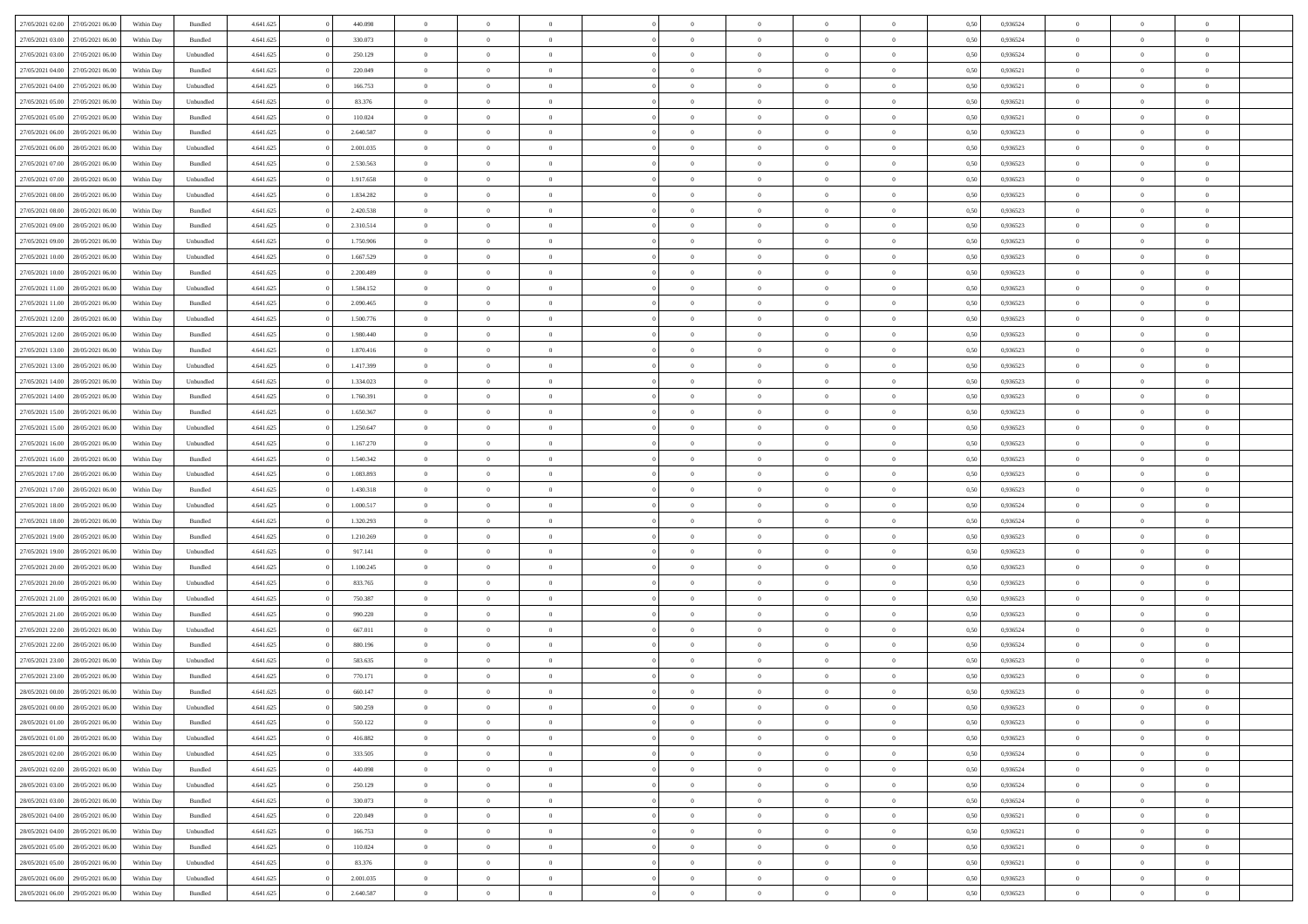| 27/05/2021 02:00 | 27/05/2021 06:00 | Within Day | Bundled   | 4.641.625 | 440.098   | $\overline{0}$ | $\Omega$       |                | $\Omega$       | $\Omega$       | $\theta$       | $\theta$       | 0.50 | 0,936524 | $\theta$       | $\theta$       | $\overline{0}$ |  |
|------------------|------------------|------------|-----------|-----------|-----------|----------------|----------------|----------------|----------------|----------------|----------------|----------------|------|----------|----------------|----------------|----------------|--|
| 27/05/2021 03:00 | 27/05/2021 06:00 | Within Day | Bundled   | 4.641.625 | 330.073   | $\overline{0}$ | $\theta$       | $\overline{0}$ | $\overline{0}$ | $\bf{0}$       | $\overline{0}$ | $\bf{0}$       | 0,50 | 0,936524 | $\theta$       | $\overline{0}$ | $\overline{0}$ |  |
| 27/05/2021 03:00 | 27/05/2021 06:00 | Within Day | Unbundled | 4.641.625 | 250.129   | $\overline{0}$ | $\bf{0}$       | $\overline{0}$ | $\bf{0}$       | $\bf{0}$       | $\bf{0}$       | $\mathbf{0}$   | 0,50 | 0,936524 | $\overline{0}$ | $\overline{0}$ | $\bf{0}$       |  |
| 27/05/2021 04:00 | 27/05/2021 06:00 | Within Dav | Bundled   | 4.641.625 | 220.049   | $\overline{0}$ | $\overline{0}$ | $\overline{0}$ | $\overline{0}$ | $\bf{0}$       | $\overline{0}$ | $\overline{0}$ | 0.50 | 0.936521 | $\theta$       | $\theta$       | $\overline{0}$ |  |
| 27/05/2021 04:00 | 27/05/2021 06:00 | Within Day | Unbundled | 4.641.625 | 166.753   | $\overline{0}$ | $\theta$       | $\overline{0}$ | $\overline{0}$ | $\bf{0}$       | $\overline{0}$ | $\bf{0}$       | 0,50 | 0,936521 | $\theta$       | $\overline{0}$ | $\overline{0}$ |  |
|                  |                  |            |           |           |           |                |                |                |                |                |                |                |      |          |                |                |                |  |
| 27/05/2021 05:00 | 27/05/2021 06:00 | Within Day | Unbundled | 4.641.625 | 83.376    | $\overline{0}$ | $\overline{0}$ | $\overline{0}$ | $\bf{0}$       | $\overline{0}$ | $\overline{0}$ | $\mathbf{0}$   | 0,50 | 0,936521 | $\overline{0}$ | $\overline{0}$ | $\bf{0}$       |  |
| 27/05/2021 05:00 | 27/05/2021 06:00 | Within Dav | Bundled   | 4.641.625 | 110.024   | $\overline{0}$ | $\overline{0}$ | $\overline{0}$ | $\overline{0}$ | $\overline{0}$ | $\overline{0}$ | $\overline{0}$ | 0.50 | 0,936521 | $\theta$       | $\overline{0}$ | $\overline{0}$ |  |
| 27/05/2021 06:00 | 28/05/2021 06:00 | Within Day | Bundled   | 4.641.625 | 2.640.587 | $\overline{0}$ | $\theta$       | $\overline{0}$ | $\overline{0}$ | $\bf{0}$       | $\overline{0}$ | $\bf{0}$       | 0,50 | 0,936523 | $\theta$       | $\theta$       | $\overline{0}$ |  |
| 27/05/2021 06:00 | 28/05/2021 06:00 | Within Day | Unbundled | 4.641.625 | 2.001.035 | $\overline{0}$ | $\overline{0}$ | $\overline{0}$ | $\bf{0}$       | $\bf{0}$       | $\bf{0}$       | $\bf{0}$       | 0,50 | 0,936523 | $\,0\,$        | $\overline{0}$ | $\overline{0}$ |  |
| 27/05/2021 07:00 | 28/05/2021 06:00 | Within Dav | Bundled   | 4.641.625 | 2.530.563 | $\overline{0}$ | $\overline{0}$ | $\overline{0}$ | $\overline{0}$ | $\overline{0}$ | $\overline{0}$ | $\overline{0}$ | 0.50 | 0.936523 | $\theta$       | $\overline{0}$ | $\overline{0}$ |  |
| 27/05/2021 07:00 | 28/05/2021 06:00 | Within Day | Unbundled | 4.641.625 | 1.917.658 | $\overline{0}$ | $\theta$       | $\overline{0}$ | $\overline{0}$ | $\bf{0}$       | $\overline{0}$ | $\bf{0}$       | 0,50 | 0,936523 | $\,$ 0 $\,$    | $\overline{0}$ | $\overline{0}$ |  |
| 27/05/2021 08:00 | 28/05/2021 06:00 | Within Day | Unbundled | 4.641.625 | 1.834.282 | $\overline{0}$ | $\bf{0}$       | $\overline{0}$ | $\bf{0}$       | $\bf{0}$       | $\bf{0}$       | $\mathbf{0}$   | 0,50 | 0,936523 | $\bf{0}$       | $\overline{0}$ | $\bf{0}$       |  |
|                  |                  |            |           |           |           |                |                |                |                |                |                |                |      |          |                |                |                |  |
| 27/05/2021 08:00 | 28/05/2021 06:00 | Within Day | Bundled   | 4.641.625 | 2.420.538 | $\overline{0}$ | $\overline{0}$ | $\overline{0}$ | $\overline{0}$ | $\bf{0}$       | $\overline{0}$ | $\overline{0}$ | 0.50 | 0.936523 | $\theta$       | $\theta$       | $\overline{0}$ |  |
| 27/05/2021 09:00 | 28/05/2021 06:00 | Within Day | Bundled   | 4.641.625 | 2.310.514 | $\overline{0}$ | $\theta$       | $\overline{0}$ | $\overline{0}$ | $\bf{0}$       | $\overline{0}$ | $\bf{0}$       | 0,50 | 0,936523 | $\theta$       | $\overline{0}$ | $\overline{0}$ |  |
| 27/05/2021 09:00 | 28/05/2021 06:00 | Within Day | Unbundled | 4.641.625 | 1.750.906 | $\overline{0}$ | $\overline{0}$ | $\overline{0}$ | $\bf{0}$       | $\overline{0}$ | $\overline{0}$ | $\mathbf{0}$   | 0,50 | 0,936523 | $\bf{0}$       | $\overline{0}$ | $\bf{0}$       |  |
| 27/05/2021 10:00 | 28/05/2021 06:00 | Within Dav | Unbundled | 4.641.625 | 1.667.529 | $\overline{0}$ | $\overline{0}$ | $\overline{0}$ | $\overline{0}$ | $\overline{0}$ | $\overline{0}$ | $\overline{0}$ | 0.50 | 0.936523 | $\theta$       | $\overline{0}$ | $\overline{0}$ |  |
| 27/05/2021 10:00 | 28/05/2021 06:00 | Within Day | Bundled   | 4.641.625 | 2.200.489 | $\overline{0}$ | $\theta$       | $\overline{0}$ | $\overline{0}$ | $\bf{0}$       | $\overline{0}$ | $\bf{0}$       | 0,50 | 0,936523 | $\theta$       | $\theta$       | $\overline{0}$ |  |
| 27/05/2021 11:00 | 28/05/2021 06:00 | Within Day | Unbundled | 4.641.625 | 1.584.152 | $\overline{0}$ | $\overline{0}$ | $\overline{0}$ | $\bf{0}$       | $\bf{0}$       | $\bf{0}$       | $\bf{0}$       | 0,50 | 0,936523 | $\,0\,$        | $\overline{0}$ | $\overline{0}$ |  |
| 27/05/2021 11:00 | 28/05/2021 06:00 | Within Day | Bundled   | 4.641.625 | 2.090.465 | $\overline{0}$ | $\overline{0}$ | $\overline{0}$ | $\overline{0}$ | $\overline{0}$ | $\overline{0}$ | $\overline{0}$ | 0.50 | 0.936523 | $\theta$       | $\overline{0}$ | $\overline{0}$ |  |
|                  |                  |            |           |           |           |                |                |                |                |                |                |                |      |          |                |                |                |  |
| 27/05/2021 12:00 | 28/05/2021 06:00 | Within Day | Unbundled | 4.641.625 | 1.500.776 | $\overline{0}$ | $\theta$       | $\overline{0}$ | $\overline{0}$ | $\bf{0}$       | $\overline{0}$ | $\bf{0}$       | 0,50 | 0,936523 | $\,$ 0 $\,$    | $\overline{0}$ | $\overline{0}$ |  |
| 27/05/2021 12:00 | 28/05/2021 06:00 | Within Day | Bundled   | 4.641.625 | 1.980.440 | $\overline{0}$ | $\overline{0}$ | $\overline{0}$ | $\bf{0}$       | $\bf{0}$       | $\bf{0}$       | $\bf{0}$       | 0,50 | 0,936523 | $\bf{0}$       | $\overline{0}$ | $\bf{0}$       |  |
| 27/05/2021 13:00 | 28/05/2021 06:00 | Within Day | Bundled   | 4.641.625 | 1.870.416 | $\overline{0}$ | $\overline{0}$ | $\overline{0}$ | $\overline{0}$ | $\bf{0}$       | $\overline{0}$ | $\overline{0}$ | 0.50 | 0.936523 | $\theta$       | $\overline{0}$ | $\overline{0}$ |  |
| 27/05/2021 13:00 | 28/05/2021 06:00 | Within Day | Unbundled | 4.641.625 | 1.417.399 | $\overline{0}$ | $\theta$       | $\overline{0}$ | $\overline{0}$ | $\bf{0}$       | $\overline{0}$ | $\bf{0}$       | 0,50 | 0,936523 | $\theta$       | $\overline{0}$ | $\overline{0}$ |  |
| 27/05/2021 14:00 | 28/05/2021 06:00 | Within Day | Unbundled | 4.641.625 | 1.334.023 | $\overline{0}$ | $\overline{0}$ | $\overline{0}$ | $\bf{0}$       | $\overline{0}$ | $\overline{0}$ | $\mathbf{0}$   | 0,50 | 0,936523 | $\bf{0}$       | $\overline{0}$ | $\bf{0}$       |  |
| 27/05/2021 14:00 | 28/05/2021 06:00 | Within Dav | Bundled   | 4.641.625 | 1.760.391 | $\overline{0}$ | $\overline{0}$ | $\overline{0}$ | $\overline{0}$ | $\overline{0}$ | $\overline{0}$ | $\overline{0}$ | 0.50 | 0.936523 | $\theta$       | $\overline{0}$ | $\overline{0}$ |  |
| 27/05/2021 15:00 | 28/05/2021 06:00 | Within Day | Bundled   | 4.641.625 | 1.650.367 | $\overline{0}$ | $\theta$       | $\overline{0}$ | $\overline{0}$ | $\bf{0}$       | $\overline{0}$ | $\bf{0}$       | 0,50 | 0,936523 | $\theta$       | $\theta$       | $\overline{0}$ |  |
|                  |                  |            |           |           |           |                |                |                |                |                |                |                |      |          |                |                |                |  |
| 27/05/2021 15:00 | 28/05/2021 06:00 | Within Day | Unbundled | 4.641.625 | 1.250.647 | $\overline{0}$ | $\overline{0}$ | $\overline{0}$ | $\overline{0}$ | $\bf{0}$       | $\overline{0}$ | $\bf{0}$       | 0,50 | 0,936523 | $\,0\,$        | $\overline{0}$ | $\overline{0}$ |  |
| 27/05/2021 16:00 | 28/05/2021 06:00 | Within Day | Unbundled | 4.641.625 | 1.167.270 | $\overline{0}$ | $\overline{0}$ | $\overline{0}$ | $\overline{0}$ | $\overline{0}$ | $\overline{0}$ | $\overline{0}$ | 0.50 | 0.936523 | $\theta$       | $\overline{0}$ | $\overline{0}$ |  |
| 27/05/2021 16:00 | 28/05/2021 06:00 | Within Day | Bundled   | 4.641.625 | 1.540.342 | $\overline{0}$ | $\theta$       | $\overline{0}$ | $\overline{0}$ | $\bf{0}$       | $\overline{0}$ | $\bf{0}$       | 0,50 | 0,936523 | $\,$ 0 $\,$    | $\overline{0}$ | $\overline{0}$ |  |
| 27/05/2021 17:00 | 28/05/2021 06:00 | Within Day | Unbundled | 4.641.625 | 1.083.893 | $\overline{0}$ | $\overline{0}$ | $\overline{0}$ | $\overline{0}$ | $\bf{0}$       | $\overline{0}$ | $\bf{0}$       | 0,50 | 0,936523 | $\bf{0}$       | $\overline{0}$ | $\bf{0}$       |  |
| 27/05/2021 17:00 | 28/05/2021 06:00 | Within Day | Bundled   | 4.641.625 | 1.430.318 | $\overline{0}$ | $\Omega$       | $\Omega$       | $\Omega$       | $\Omega$       | $\overline{0}$ | $\overline{0}$ | 0,50 | 0,936523 | $\,0\,$        | $\theta$       | $\theta$       |  |
| 27/05/2021 18:00 | 28/05/2021 06:00 | Within Day | Unbundled | 4.641.625 | 1.000.517 | $\overline{0}$ | $\theta$       | $\overline{0}$ | $\overline{0}$ | $\bf{0}$       | $\overline{0}$ | $\bf{0}$       | 0,50 | 0,936524 | $\theta$       | $\overline{0}$ | $\overline{0}$ |  |
| 27/05/2021 18:00 | 28/05/2021 06:00 | Within Day | Bundled   | 4.641.625 | 1.320.293 | $\overline{0}$ | $\overline{0}$ | $\overline{0}$ | $\overline{0}$ | $\overline{0}$ | $\overline{0}$ | $\mathbf{0}$   | 0,50 | 0,936524 | $\bf{0}$       | $\overline{0}$ | $\bf{0}$       |  |
|                  |                  |            |           |           |           |                |                |                |                |                |                |                |      |          |                |                |                |  |
| 27/05/2021 19:00 | 28/05/2021 06:00 | Within Day | Bundled   | 4.641.625 | 1.210.269 | $\overline{0}$ | $\Omega$       | $\Omega$       | $\Omega$       | $\bf{0}$       | $\overline{0}$ | $\overline{0}$ | 0.50 | 0.936523 | $\,0\,$        | $\theta$       | $\theta$       |  |
| 27/05/2021 19:00 | 28/05/2021 06:00 | Within Day | Unbundled | 4.641.625 | 917.141   | $\overline{0}$ | $\theta$       | $\overline{0}$ | $\overline{0}$ | $\bf{0}$       | $\overline{0}$ | $\bf{0}$       | 0,50 | 0,936523 | $\theta$       | $\overline{0}$ | $\overline{0}$ |  |
| 27/05/2021 20:00 | 28/05/2021 06:00 | Within Day | Bundled   | 4.641.625 | 1.100.245 | $\overline{0}$ | $\overline{0}$ | $\overline{0}$ | $\overline{0}$ | $\bf{0}$       | $\overline{0}$ | $\bf{0}$       | 0,50 | 0,936523 | $\bf{0}$       | $\overline{0}$ | $\bf{0}$       |  |
| 27/05/2021 20:00 | 28/05/2021 06:00 | Within Day | Unbundled | 4.641.625 | 833,765   | $\overline{0}$ | $\Omega$       | $\Omega$       | $\Omega$       | $\theta$       | $\overline{0}$ | $\overline{0}$ | 0.50 | 0.936523 | $\theta$       | $\theta$       | $\theta$       |  |
| 27/05/2021 21:00 | 28/05/2021 06:00 | Within Day | Unbundled | 4.641.625 | 750.387   | $\overline{0}$ | $\theta$       | $\overline{0}$ | $\overline{0}$ | $\bf{0}$       | $\overline{0}$ | $\bf{0}$       | 0,50 | 0,936523 | $\,$ 0 $\,$    | $\overline{0}$ | $\overline{0}$ |  |
| 27/05/2021 21.00 | 28/05/2021 06:00 | Within Day | Bundled   | 4.641.625 | 990.220   | $\overline{0}$ | $\overline{0}$ | $\overline{0}$ | $\overline{0}$ | $\bf{0}$       | $\overline{0}$ | $\mathbf{0}$   | 0,50 | 0,936523 | $\overline{0}$ | $\overline{0}$ | $\bf{0}$       |  |
| 27/05/2021 22:00 | 28/05/2021 06:00 | Within Day | Unbundled | 4.641.625 | 667.011   | $\overline{0}$ | $\Omega$       | $\overline{0}$ | $\Omega$       | $\overline{0}$ | $\overline{0}$ | $\overline{0}$ | 0,50 | 0,936524 | $\,0\,$        | $\theta$       | $\theta$       |  |
| 27/05/2021 22:00 | 28/05/2021 06:00 | Within Day | Bundled   | 4.641.625 | 880.196   | $\overline{0}$ | $\overline{0}$ | $\overline{0}$ | $\overline{0}$ | $\,$ 0         | $\overline{0}$ | $\bf{0}$       | 0,50 | 0,936524 | $\,$ 0 $\,$    | $\overline{0}$ | $\overline{0}$ |  |
|                  |                  |            |           |           |           |                |                |                |                |                |                |                |      |          |                |                |                |  |
| 27/05/2021 23:00 | 28/05/2021 06:00 | Within Day | Unbundled | 4.641.625 | 583.635   | $\overline{0}$ | $\overline{0}$ | $\overline{0}$ | $\bf{0}$       | $\bf{0}$       | $\bf{0}$       | $\mathbf{0}$   | 0,50 | 0,936523 | $\overline{0}$ | $\overline{0}$ | $\bf{0}$       |  |
| 27/05/2021 23:00 | 28/05/2021 06:00 | Within Day | Bundled   | 4.641.625 | 770.171   | $\overline{0}$ | $\Omega$       | $\Omega$       | $\Omega$       | $\Omega$       | $\Omega$       | $\overline{0}$ | 0.50 | 0.936523 | $\theta$       | $\theta$       | $\theta$       |  |
| 28/05/2021 00:00 | 28/05/2021 06:00 | Within Day | Bundled   | 4.641.625 | 660.147   | $\overline{0}$ | $\overline{0}$ | $\overline{0}$ | $\bf{0}$       | $\,$ 0         | $\bf{0}$       | $\bf{0}$       | 0,50 | 0,936523 | $\,0\,$        | $\,$ 0 $\,$    | $\overline{0}$ |  |
| 28/05/2021 00:00 | 28/05/2021 06:00 | Within Day | Unbundled | 4.641.625 | 500.259   | $\bf{0}$       | $\bf{0}$       |                |                | $\bf{0}$       |                |                | 0,50 | 0,936523 | $\bf{0}$       | $\overline{0}$ |                |  |
| 28/05/2021 01:00 | 28/05/2021 06:00 | Within Day | Bundled   | 4.641.625 | 550.122   | $\overline{0}$ | $\overline{0}$ | $\overline{0}$ | $\Omega$       | $\overline{0}$ | $\overline{0}$ | $\overline{0}$ | 0.50 | 0.936523 | $\theta$       | $\theta$       | $\theta$       |  |
| 28/05/2021 01:00 | 28/05/2021 06:00 | Within Day | Unbundled | 4.641.625 | 416.882   | $\overline{0}$ | $\,$ 0         | $\overline{0}$ | $\bf{0}$       | $\,$ 0 $\,$    | $\overline{0}$ | $\,$ 0 $\,$    | 0,50 | 0,936523 | $\,$ 0 $\,$    | $\,$ 0 $\,$    | $\,$ 0         |  |
| 28/05/2021 02:00 | 28/05/2021 06:00 | Within Day | Unbundled | 4.641.625 | 333.505   | $\overline{0}$ | $\overline{0}$ | $\overline{0}$ | $\overline{0}$ | $\overline{0}$ | $\overline{0}$ | $\mathbf{0}$   | 0,50 | 0,936524 | $\overline{0}$ | $\bf{0}$       | $\bf{0}$       |  |
|                  |                  |            |           |           |           |                |                |                |                |                |                |                |      |          |                |                |                |  |
| 28/05/2021 02:00 | 28/05/2021 06:00 | Within Day | Bundled   | 4.641.625 | 440,098   | $\overline{0}$ | $\overline{0}$ | $\overline{0}$ | $\Omega$       | $\overline{0}$ | $\overline{0}$ | $\overline{0}$ | 0,50 | 0,936524 | $\overline{0}$ | $\theta$       | $\overline{0}$ |  |
| 28/05/2021 03:00 | 28/05/2021 06:00 | Within Day | Unbundled | 4.641.625 | 250.129   | $\overline{0}$ | $\,$ 0         | $\overline{0}$ | $\overline{0}$ | $\,$ 0 $\,$    | $\overline{0}$ | $\mathbf{0}$   | 0,50 | 0,936524 | $\,$ 0 $\,$    | $\overline{0}$ | $\overline{0}$ |  |
| 28/05/2021 03:00 | 28/05/2021 06:00 | Within Day | Bundled   | 4.641.625 | 330.073   | $\overline{0}$ | $\overline{0}$ | $\overline{0}$ | $\overline{0}$ | $\overline{0}$ | $\overline{0}$ | $\mathbf{0}$   | 0,50 | 0,936524 | $\overline{0}$ | $\overline{0}$ | $\bf{0}$       |  |
| 28/05/2021 04:00 | 28/05/2021 06:00 | Within Day | Bundled   | 4.641.625 | 220.049   | $\overline{0}$ | $\overline{0}$ | $\overline{0}$ | $\Omega$       | $\overline{0}$ | $\overline{0}$ | $\bf{0}$       | 0.50 | 0,936521 | $\overline{0}$ | $\theta$       | $\overline{0}$ |  |
| 28/05/2021 04:00 | 28/05/2021 06:00 | Within Day | Unbundled | 4.641.625 | 166.753   | $\overline{0}$ | $\,$ 0         | $\overline{0}$ | $\bf{0}$       | $\bf{0}$       | $\bf{0}$       | $\bf{0}$       | 0,50 | 0,936521 | $\,$ 0 $\,$    | $\overline{0}$ | $\overline{0}$ |  |
| 28/05/2021 05:00 | 28/05/2021 06:00 | Within Day | Bundled   | 4.641.625 | 110.024   | $\overline{0}$ | $\bf{0}$       | $\overline{0}$ | $\overline{0}$ | $\overline{0}$ | $\overline{0}$ | $\mathbf{0}$   | 0,50 | 0,936521 | $\overline{0}$ | $\overline{0}$ | $\bf{0}$       |  |
| 28/05/2021 05:00 | 28/05/2021 06:00 | Within Day | Unbundled | 4.641.625 | 83.376    | $\overline{0}$ | $\overline{0}$ | $\overline{0}$ | $\Omega$       | $\overline{0}$ | $\overline{0}$ | $\overline{0}$ | 0.50 | 0.936521 | $\overline{0}$ | $\theta$       | $\overline{0}$ |  |
|                  |                  |            |           |           |           |                |                |                |                |                |                |                |      |          |                |                |                |  |
| 28/05/2021 06:00 | 29/05/2021 06:00 | Within Day | Unbundled | 4.641.625 | 2.001.035 | $\overline{0}$ | $\bf{0}$       | $\overline{0}$ | $\overline{0}$ | $\bf{0}$       | $\bf{0}$       | $\bf{0}$       | 0,50 | 0,936523 | $\,$ 0 $\,$    | $\,$ 0 $\,$    | $\bf{0}$       |  |
| 28/05/2021 06:00 | 29/05/2021 06:00 | Within Day | Bundled   | 4.641.625 | 2.640.587 | $\overline{0}$ | $\bf{0}$       | $\overline{0}$ | $\bf{0}$       | $\bf{0}$       | $\bf{0}$       | $\bf{0}$       | 0,50 | 0,936523 | $\overline{0}$ | $\overline{0}$ | $\bf{0}$       |  |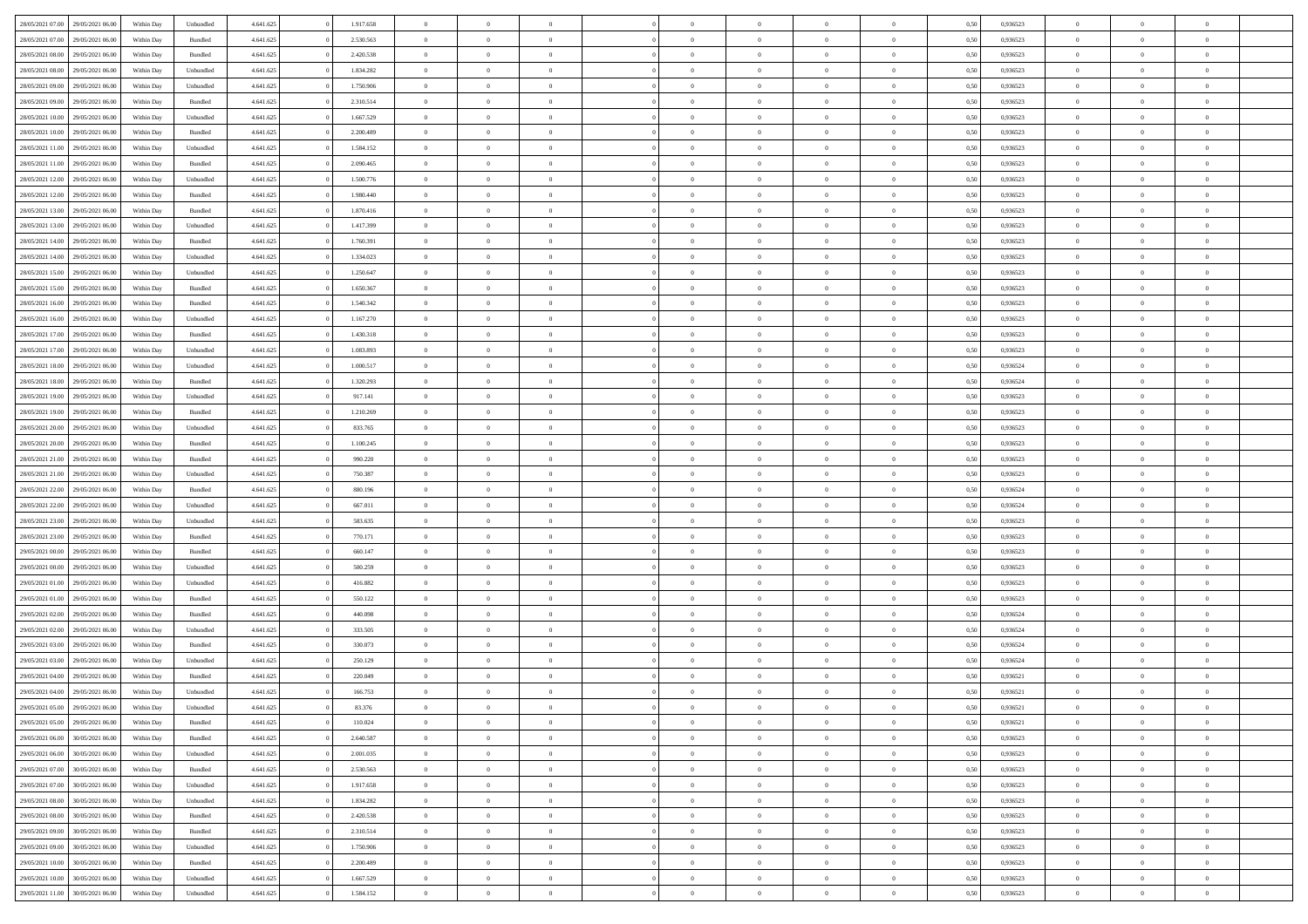| 28/05/2021 07:00 | 29/05/2021 06:00 | Within Day | Unbundled | 4.641.625 | 1.917.658 | $\overline{0}$ | $\theta$       |                | $\Omega$       | $\Omega$       | $\theta$       | $\theta$       | 0.50 | 0,936523 | $\theta$       | $\overline{0}$ | $\overline{0}$ |  |
|------------------|------------------|------------|-----------|-----------|-----------|----------------|----------------|----------------|----------------|----------------|----------------|----------------|------|----------|----------------|----------------|----------------|--|
|                  |                  |            |           |           |           |                |                |                |                |                |                |                |      |          |                |                |                |  |
| 28/05/2021 07:00 | 29/05/2021 06:00 | Within Day | Bundled   | 4.641.625 | 2.530.563 | $\overline{0}$ | $\theta$       | $\overline{0}$ | $\overline{0}$ | $\bf{0}$       | $\overline{0}$ | $\bf{0}$       | 0,50 | 0,936523 | $\theta$       | $\overline{0}$ | $\overline{0}$ |  |
| 28/05/2021 08:00 | 29/05/2021 06:00 | Within Day | Bundled   | 4.641.625 | 2.420.538 | $\overline{0}$ | $\bf{0}$       | $\overline{0}$ | $\bf{0}$       | $\bf{0}$       | $\bf{0}$       | $\mathbf{0}$   | 0,50 | 0,936523 | $\bf{0}$       | $\overline{0}$ | $\bf{0}$       |  |
| 28/05/2021 08:00 | 29/05/2021 06:00 | Within Day | Unbundled | 4.641.625 | 1.834.282 | $\overline{0}$ | $\overline{0}$ | $\overline{0}$ | $\overline{0}$ | $\bf{0}$       | $\overline{0}$ | $\overline{0}$ | 0.50 | 0.936523 | $\theta$       | $\theta$       | $\overline{0}$ |  |
|                  |                  |            |           |           |           |                |                |                |                |                |                |                |      |          |                |                |                |  |
| 28/05/2021 09:00 | 29/05/2021 06:00 | Within Day | Unbundled | 4.641.625 | 1.750.906 | $\overline{0}$ | $\theta$       | $\overline{0}$ | $\overline{0}$ | $\bf{0}$       | $\overline{0}$ | $\bf{0}$       | 0,50 | 0,936523 | $\theta$       | $\overline{0}$ | $\overline{0}$ |  |
| 28/05/2021 09:00 | 29/05/2021 06:00 | Within Day | Bundled   | 4.641.625 | 2.310.514 | $\overline{0}$ | $\overline{0}$ | $\overline{0}$ | $\bf{0}$       | $\overline{0}$ | $\overline{0}$ | $\mathbf{0}$   | 0,50 | 0,936523 | $\bf{0}$       | $\overline{0}$ | $\bf{0}$       |  |
| 28/05/2021 10:00 | 29/05/2021 06:00 | Within Dav | Unbundled | 4.641.625 | 1.667.529 | $\overline{0}$ | $\overline{0}$ | $\overline{0}$ | $\overline{0}$ | $\overline{0}$ | $\overline{0}$ | $\overline{0}$ | 0.50 | 0.936523 | $\theta$       | $\overline{0}$ | $\overline{0}$ |  |
| 28/05/2021 10:00 | 29/05/2021 06:00 | Within Day | Bundled   | 4.641.625 | 2.200.489 | $\overline{0}$ | $\theta$       | $\overline{0}$ | $\overline{0}$ | $\bf{0}$       | $\overline{0}$ | $\bf{0}$       | 0,50 | 0,936523 | $\theta$       | $\theta$       | $\overline{0}$ |  |
|                  |                  |            |           |           |           |                | $\overline{0}$ |                |                | $\bf{0}$       |                |                |      |          | $\,0\,$        | $\overline{0}$ | $\overline{0}$ |  |
| 28/05/2021 11:00 | 29/05/2021 06:00 | Within Day | Unbundled | 4.641.625 | 1.584.152 | $\overline{0}$ |                | $\overline{0}$ | $\bf{0}$       |                | $\bf{0}$       | $\bf{0}$       | 0,50 | 0,936523 |                |                |                |  |
| 28/05/2021 11:00 | 29/05/2021 06:00 | Within Dav | Bundled   | 4.641.625 | 2.090.465 | $\overline{0}$ | $\overline{0}$ | $\overline{0}$ | $\overline{0}$ | $\overline{0}$ | $\overline{0}$ | $\overline{0}$ | 0.50 | 0.936523 | $\theta$       | $\overline{0}$ | $\overline{0}$ |  |
| 28/05/2021 12:00 | 29/05/2021 06:00 | Within Day | Unbundled | 4.641.625 | 1.500.776 | $\overline{0}$ | $\theta$       | $\overline{0}$ | $\overline{0}$ | $\bf{0}$       | $\overline{0}$ | $\bf{0}$       | 0,50 | 0,936523 | $\,$ 0 $\,$    | $\overline{0}$ | $\overline{0}$ |  |
| 28/05/2021 12:00 | 29/05/2021 06:00 | Within Day | Bundled   | 4.641.625 | 1.980.440 | $\overline{0}$ | $\bf{0}$       | $\overline{0}$ | $\bf{0}$       | $\bf{0}$       | $\bf{0}$       | $\mathbf{0}$   | 0,50 | 0,936523 | $\bf{0}$       | $\overline{0}$ | $\bf{0}$       |  |
| 28/05/2021 13:00 | 29/05/2021 06:00 | Within Dav | Bundled   | 4.641.625 | 1.870.416 | $\overline{0}$ | $\overline{0}$ | $\overline{0}$ | $\overline{0}$ | $\bf{0}$       | $\overline{0}$ | $\overline{0}$ | 0.50 | 0.936523 | $\theta$       | $\theta$       | $\overline{0}$ |  |
|                  |                  |            |           |           |           |                |                |                |                |                |                |                |      |          |                |                |                |  |
| 28/05/2021 13:00 | 29/05/2021 06:00 | Within Day | Unbundled | 4.641.625 | 1.417.399 | $\overline{0}$ | $\theta$       | $\overline{0}$ | $\overline{0}$ | $\bf{0}$       | $\overline{0}$ | $\overline{0}$ | 0,50 | 0,936523 | $\theta$       | $\overline{0}$ | $\overline{0}$ |  |
| 28/05/2021 14:00 | 29/05/2021 06:00 | Within Day | Bundled   | 4.641.625 | 1.760.391 | $\overline{0}$ | $\overline{0}$ | $\overline{0}$ | $\bf{0}$       | $\overline{0}$ | $\overline{0}$ | $\mathbf{0}$   | 0,50 | 0,936523 | $\bf{0}$       | $\overline{0}$ | $\bf{0}$       |  |
| 28/05/2021 14:00 | 29/05/2021 06:00 | Within Dav | Unbundled | 4.641.625 | 1.334.023 | $\overline{0}$ | $\overline{0}$ | $\overline{0}$ | $\overline{0}$ | $\overline{0}$ | $\overline{0}$ | $\overline{0}$ | 0.50 | 0.936523 | $\theta$       | $\overline{0}$ | $\overline{0}$ |  |
| 28/05/2021 15:00 | 29/05/2021 06:00 | Within Day | Unbundled | 4.641.625 | 1.250.647 | $\overline{0}$ | $\theta$       | $\overline{0}$ | $\overline{0}$ | $\bf{0}$       | $\overline{0}$ | $\bf{0}$       | 0,50 | 0,936523 | $\theta$       | $\theta$       | $\overline{0}$ |  |
| 28/05/2021 15:00 | 29/05/2021 06:00 | Within Day | Bundled   | 4.641.625 | 1.650.367 | $\overline{0}$ | $\overline{0}$ | $\overline{0}$ | $\bf{0}$       | $\bf{0}$       | $\bf{0}$       | $\bf{0}$       | 0,50 | 0,936523 | $\,0\,$        | $\overline{0}$ | $\overline{0}$ |  |
|                  |                  |            |           |           |           |                |                |                |                |                |                |                |      |          |                |                |                |  |
| 28/05/2021 16:00 | 29/05/2021 06:00 | Within Dav | Bundled   | 4.641.625 | 1.540.342 | $\overline{0}$ | $\overline{0}$ | $\overline{0}$ | $\overline{0}$ | $\overline{0}$ | $\overline{0}$ | $\overline{0}$ | 0.50 | 0.936523 | $\theta$       | $\overline{0}$ | $\overline{0}$ |  |
| 28/05/2021 16:00 | 29/05/2021 06:00 | Within Day | Unbundled | 4.641.625 | 1.167.270 | $\overline{0}$ | $\theta$       | $\overline{0}$ | $\overline{0}$ | $\bf{0}$       | $\overline{0}$ | $\bf{0}$       | 0,50 | 0,936523 | $\theta$       | $\overline{0}$ | $\overline{0}$ |  |
| 28/05/2021 17:00 | 29/05/2021 06:00 | Within Day | Bundled   | 4.641.625 | 1.430.318 | $\overline{0}$ | $\overline{0}$ | $\overline{0}$ | $\bf{0}$       | $\bf{0}$       | $\bf{0}$       | $\bf{0}$       | 0,50 | 0,936523 | $\overline{0}$ | $\overline{0}$ | $\bf{0}$       |  |
| 28/05/2021 17:00 | 29/05/2021 06:00 | Within Day | Unbundled | 4.641.625 | 1.083.893 | $\overline{0}$ | $\overline{0}$ | $\overline{0}$ | $\overline{0}$ | $\bf{0}$       | $\overline{0}$ | $\overline{0}$ | 0.50 | 0.936523 | $\theta$       | $\overline{0}$ | $\overline{0}$ |  |
|                  |                  |            |           |           |           | $\overline{0}$ | $\theta$       |                |                | $\bf{0}$       |                |                |      |          | $\theta$       | $\overline{0}$ |                |  |
| 28/05/2021 18:00 | 29/05/2021 06:00 | Within Day | Unbundled | 4.641.625 | 1.000.517 |                |                | $\overline{0}$ | $\overline{0}$ |                | $\overline{0}$ | $\bf{0}$       | 0,50 | 0,936524 |                |                | $\overline{0}$ |  |
| 28/05/2021 18:00 | 29/05/2021 06:00 | Within Day | Bundled   | 4.641.625 | 1.320.293 | $\overline{0}$ | $\overline{0}$ | $\overline{0}$ | $\bf{0}$       | $\overline{0}$ | $\overline{0}$ | $\mathbf{0}$   | 0,50 | 0,936524 | $\overline{0}$ | $\overline{0}$ | $\bf{0}$       |  |
| 28/05/2021 19:00 | 29/05/2021 06:00 | Within Dav | Unbundled | 4.641.625 | 917.141   | $\overline{0}$ | $\overline{0}$ | $\overline{0}$ | $\overline{0}$ | $\overline{0}$ | $\overline{0}$ | $\overline{0}$ | 0.50 | 0.936523 | $\theta$       | $\overline{0}$ | $\overline{0}$ |  |
| 28/05/2021 19:00 | 29/05/2021 06:00 | Within Day | Bundled   | 4.641.625 | 1.210.269 | $\overline{0}$ | $\theta$       | $\overline{0}$ | $\overline{0}$ | $\bf{0}$       | $\overline{0}$ | $\bf{0}$       | 0,50 | 0,936523 | $\theta$       | $\theta$       | $\overline{0}$ |  |
| 28/05/2021 20:00 | 29/05/2021 06:00 | Within Day | Unbundled | 4.641.625 | 833.765   | $\overline{0}$ | $\overline{0}$ | $\overline{0}$ | $\bf{0}$       | $\bf{0}$       | $\bf{0}$       | $\bf{0}$       | 0,50 | 0,936523 | $\,0\,$        | $\overline{0}$ | $\overline{0}$ |  |
|                  |                  |            |           |           |           |                |                |                |                |                |                |                |      |          |                |                |                |  |
| 28/05/2021 20:00 | 29/05/2021 06:00 | Within Day | Bundled   | 4.641.625 | 1.100.245 | $\overline{0}$ | $\overline{0}$ | $\overline{0}$ | $\overline{0}$ | $\overline{0}$ | $\overline{0}$ | $\overline{0}$ | 0.50 | 0.936523 | $\theta$       | $\overline{0}$ | $\overline{0}$ |  |
| 28/05/2021 21:00 | 29/05/2021 06:00 | Within Day | Bundled   | 4.641.625 | 990.220   | $\overline{0}$ | $\theta$       | $\overline{0}$ | $\overline{0}$ | $\bf{0}$       | $\overline{0}$ | $\bf{0}$       | 0,50 | 0,936523 | $\,$ 0 $\,$    | $\overline{0}$ | $\overline{0}$ |  |
| 28/05/2021 21.00 | 29/05/2021 06:00 | Within Day | Unbundled | 4.641.625 | 750.387   | $\overline{0}$ | $\overline{0}$ | $\overline{0}$ | $\bf{0}$       | $\bf{0}$       | $\bf{0}$       | $\bf{0}$       | 0,50 | 0,936523 | $\overline{0}$ | $\overline{0}$ | $\bf{0}$       |  |
| 28/05/2021 22:00 | 29/05/2021 06:00 | Within Day | Bundled   | 4.641.625 | 880,196   | $\overline{0}$ | $\Omega$       | $\Omega$       | $\Omega$       | $\Omega$       | $\Omega$       | $\overline{0}$ | 0,50 | 0,936524 | $\,0\,$        | $\theta$       | $\theta$       |  |
| 28/05/2021 22:00 | 29/05/2021 06:00 | Within Day | Unbundled | 4.641.625 | 667.011   | $\overline{0}$ | $\theta$       | $\overline{0}$ | $\overline{0}$ | $\bf{0}$       | $\overline{0}$ | $\bf{0}$       | 0,50 | 0,936524 | $\theta$       | $\overline{0}$ | $\overline{0}$ |  |
|                  |                  |            |           |           |           |                |                |                |                |                |                |                |      |          |                |                |                |  |
| 28/05/2021 23:00 | 29/05/2021 06:00 | Within Day | Unbundled | 4.641.625 | 583.635   | $\overline{0}$ | $\overline{0}$ | $\overline{0}$ | $\bf{0}$       | $\overline{0}$ | $\overline{0}$ | $\mathbf{0}$   | 0,50 | 0,936523 | $\overline{0}$ | $\overline{0}$ | $\bf{0}$       |  |
| 28/05/2021 23:00 | 29/05/2021 06:00 | Within Day | Bundled   | 4.641.625 | 770.171   | $\overline{0}$ | $\Omega$       | $\Omega$       | $\Omega$       | $\bf{0}$       | $\overline{0}$ | $\overline{0}$ | 0.50 | 0.936523 | $\theta$       | $\theta$       | $\theta$       |  |
| 29/05/2021 00:00 | 29/05/2021 06:00 | Within Day | Bundled   | 4.641.625 | 660.147   | $\overline{0}$ | $\theta$       | $\overline{0}$ | $\overline{0}$ | $\bf{0}$       | $\overline{0}$ | $\bf{0}$       | 0,50 | 0,936523 | $\theta$       | $\overline{0}$ | $\overline{0}$ |  |
| 29/05/2021 00:00 | 29/05/2021 06:00 | Within Day | Unbundled | 4.641.625 | 500.259   | $\overline{0}$ | $\overline{0}$ | $\overline{0}$ | $\bf{0}$       | $\bf{0}$       | $\bf{0}$       | $\bf{0}$       | 0,50 | 0,936523 | $\bf{0}$       | $\overline{0}$ | $\bf{0}$       |  |
|                  |                  |            |           |           |           |                |                |                |                |                |                |                |      |          |                |                |                |  |
| 29/05/2021 01:00 | 29/05/2021 06:00 | Within Day | Unbundled | 4.641.625 | 416.882   | $\overline{0}$ | $\Omega$       | $\Omega$       | $\Omega$       | $\theta$       | $\theta$       | $\overline{0}$ | 0.50 | 0.936523 | $\theta$       | $\theta$       | $\theta$       |  |
| 29/05/2021 01:00 | 29/05/2021 06:00 | Within Day | Bundled   | 4.641.625 | 550.122   | $\overline{0}$ | $\theta$       | $\overline{0}$ | $\overline{0}$ | $\bf{0}$       | $\overline{0}$ | $\bf{0}$       | 0,50 | 0,936523 | $\,$ 0 $\,$    | $\overline{0}$ | $\overline{0}$ |  |
| 29/05/2021 02:00 | 29/05/2021 06:00 | Within Day | Bundled   | 4.641.625 | 440.098   | $\overline{0}$ | $\bf{0}$       | $\overline{0}$ | $\bf{0}$       | $\bf{0}$       | $\bf{0}$       | $\mathbf{0}$   | 0,50 | 0,936524 | $\bf{0}$       | $\overline{0}$ | $\bf{0}$       |  |
| 29/05/2021 02.00 | 29/05/2021 06:00 | Within Day | Unbundled | 4.641.625 | 333.505   | $\overline{0}$ | $\Omega$       | $\Omega$       | $\Omega$       | $\overline{0}$ | $\overline{0}$ | $\overline{0}$ | 0,50 | 0,936524 | $\,0\,$        | $\theta$       | $\theta$       |  |
| 29/05/2021 03:00 | 29/05/2021 06:00 | Within Day | Bundled   | 4.641.625 | 330.073   | $\overline{0}$ | $\overline{0}$ | $\overline{0}$ | $\overline{0}$ | $\bf{0}$       | $\overline{0}$ | $\bf{0}$       | 0,50 | 0,936524 | $\,$ 0 $\,$    | $\overline{0}$ | $\overline{0}$ |  |
|                  |                  |            |           |           |           |                |                |                |                |                |                |                |      |          |                |                |                |  |
| 29/05/2021 03:00 | 29/05/2021 06:00 | Within Day | Unbundled | 4.641.625 | 250.129   | $\overline{0}$ | $\overline{0}$ | $\overline{0}$ | $\bf{0}$       | $\bf{0}$       | $\bf{0}$       | $\mathbf{0}$   | 0,50 | 0,936524 | $\bf{0}$       | $\overline{0}$ | $\bf{0}$       |  |
| 29/05/2021 04:00 | 29/05/2021 06:00 | Within Day | Bundled   | 4.641.625 | 220,049   | $\overline{0}$ | $\Omega$       | $\Omega$       | $\Omega$       | $\Omega$       | $\Omega$       | $\overline{0}$ | 0.50 | 0.936521 | $\theta$       | $\theta$       | $\theta$       |  |
| 29/05/2021 04:00 | 29/05/2021 06:00 | Within Day | Unbundled | 4.641.625 | 166.753   | $\overline{0}$ | $\overline{0}$ | $\overline{0}$ | $\bf{0}$       | $\,$ 0         | $\bf{0}$       | $\bf{0}$       | 0,50 | 0,936521 | $\,0\,$        | $\,$ 0 $\,$    | $\overline{0}$ |  |
| 29/05/2021 05:00 | 29/05/2021 06:00 | Within Day | Unbundled | 4.641.625 | 83.376    | $\bf{0}$       | $\bf{0}$       |                |                |                |                |                | 0,50 | 0,936521 | $\bf{0}$       | $\overline{0}$ |                |  |
| 29/05/2021 05:00 | 29/05/2021 06:00 | Within Day | Bundled   | 4.641.625 | 110.024   | $\overline{0}$ | $\overline{0}$ | $\overline{0}$ | $\Omega$       | $\overline{0}$ | $\overline{0}$ | $\overline{0}$ | 0.50 | 0.936521 | $\theta$       | $\theta$       | $\Omega$       |  |
|                  |                  |            |           |           |           |                |                |                |                |                |                |                |      |          |                |                |                |  |
| 29/05/2021 06:00 | 30/05/2021 06:00 | Within Day | Bundled   | 4.641.625 | 2.640.587 | $\overline{0}$ | $\,$ 0         | $\overline{0}$ | $\bf{0}$       | $\,$ 0 $\,$    | $\overline{0}$ | $\mathbf{0}$   | 0,50 | 0,936523 | $\,$ 0 $\,$    | $\,$ 0 $\,$    | $\,$ 0         |  |
| 29/05/2021 06:00 | 30/05/2021 06:00 | Within Day | Unbundled | 4.641.625 | 2.001.035 | $\overline{0}$ | $\overline{0}$ | $\overline{0}$ | $\overline{0}$ | $\overline{0}$ | $\overline{0}$ | $\mathbf{0}$   | 0,50 | 0,936523 | $\overline{0}$ | $\bf{0}$       | $\bf{0}$       |  |
| 29/05/2021 07:00 | 30/05/2021 06:00 | Within Day | Bundled   | 4.641.625 | 2.530.563 | $\overline{0}$ | $\theta$       | $\overline{0}$ | $\Omega$       | $\overline{0}$ | $\overline{0}$ | $\bf{0}$       | 0,50 | 0,936523 | $\overline{0}$ | $\theta$       | $\overline{0}$ |  |
| 29/05/2021 07:00 | 30/05/2021 06:00 | Within Day | Unbundled | 4.641.625 | 1.917.658 | $\overline{0}$ | $\,$ 0         | $\overline{0}$ | $\overline{0}$ | $\overline{0}$ | $\overline{0}$ | $\bf{0}$       | 0,50 | 0,936523 | $\,$ 0 $\,$    | $\overline{0}$ | $\overline{0}$ |  |
|                  |                  |            |           |           |           |                |                |                |                |                |                |                |      |          |                |                |                |  |
| 29/05/2021 08:00 | 30/05/2021 06:00 | Within Day | Unbundled | 4.641.625 | 1.834.282 | $\overline{0}$ | $\overline{0}$ | $\overline{0}$ | $\overline{0}$ | $\overline{0}$ | $\overline{0}$ | $\mathbf{0}$   | 0,50 | 0,936523 | $\overline{0}$ | $\bf{0}$       | $\bf{0}$       |  |
| 29/05/2021 08:00 | 30/05/2021 06:00 | Within Day | Bundled   | 4.641.625 | 2.420.538 | $\overline{0}$ | $\overline{0}$ | $\overline{0}$ | $\Omega$       | $\overline{0}$ | $\overline{0}$ | $\bf{0}$       | 0.50 | 0,936523 | $\overline{0}$ | $\theta$       | $\overline{0}$ |  |
| 29/05/2021 09:00 | 30/05/2021 06:00 | Within Day | Bundled   | 4.641.625 | 2.310.514 | $\overline{0}$ | $\,$ 0         | $\overline{0}$ | $\bf{0}$       | $\bf{0}$       | $\bf{0}$       | $\bf{0}$       | 0,50 | 0,936523 | $\,$ 0 $\,$    | $\overline{0}$ | $\overline{0}$ |  |
| 29/05/2021 09:00 | 30/05/2021 06:00 | Within Day | Unbundled | 4.641.625 | 1.750.906 | $\overline{0}$ | $\bf{0}$       | $\overline{0}$ | $\overline{0}$ | $\overline{0}$ | $\bf{0}$       | $\mathbf{0}$   | 0,50 | 0,936523 | $\overline{0}$ | $\overline{0}$ | $\bf{0}$       |  |
| 29/05/2021 10:00 | 30/05/2021 06:00 | Within Day | Bundled   | 4.641.625 | 2.200.489 | $\overline{0}$ | $\overline{0}$ | $\overline{0}$ | $\Omega$       | $\overline{0}$ | $\overline{0}$ | $\bf{0}$       | 0.50 | 0.936523 | $\overline{0}$ | $\overline{0}$ | $\overline{0}$ |  |
|                  |                  |            |           |           |           |                |                |                |                |                |                |                |      |          |                |                |                |  |
| 29/05/2021 10:00 | 30/05/2021 06:00 | Within Day | Unbundled | 4.641.625 | 1.667.529 | $\overline{0}$ | $\bf{0}$       | $\overline{0}$ | $\overline{0}$ | $\bf{0}$       | $\bf{0}$       | $\mathbf{0}$   | 0,50 | 0,936523 | $\,$ 0 $\,$    | $\,$ 0 $\,$    | $\bf{0}$       |  |
| 29/05/2021 11:00 | 30/05/2021 06:00 | Within Day | Unbundled | 4.641.625 | 1.584.152 | $\overline{0}$ | $\overline{0}$ | $\overline{0}$ | $\overline{0}$ | $\bf{0}$       | $\bf{0}$       | $\mathbf{0}$   | 0,50 | 0,936523 | $\overline{0}$ | $\bf{0}$       | $\bf{0}$       |  |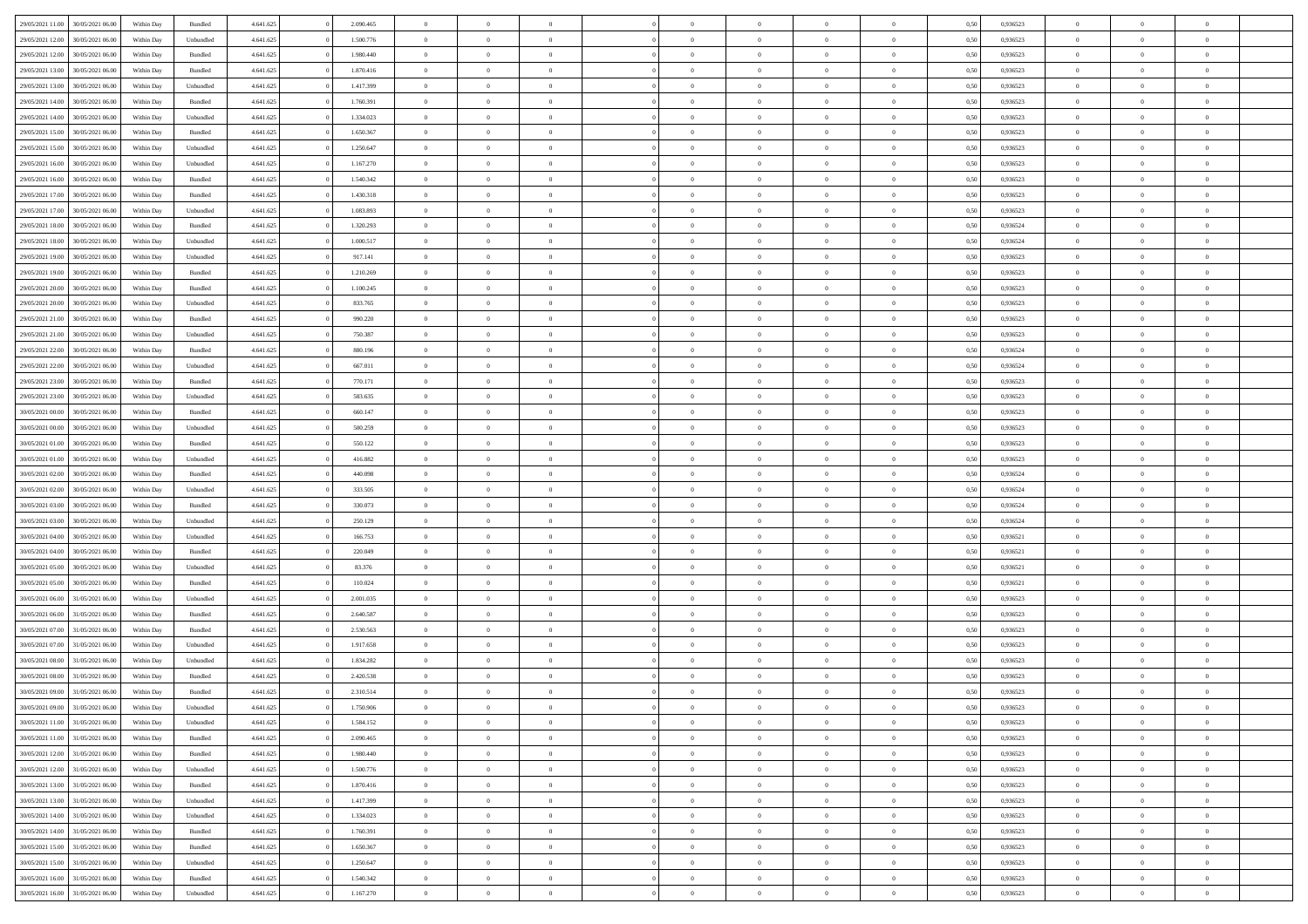| 29/05/2021 11:00                  | 30/05/2021 06:00 | Within Day | Bundled                     | 4.641.625 | 2.090.465 | $\overline{0}$ | $\theta$       |                | $\overline{0}$ | $\bf{0}$       | $\overline{0}$ | $\theta$       | 0,50 | 0,936523 | $\theta$       | $\theta$       | $\theta$       |  |
|-----------------------------------|------------------|------------|-----------------------------|-----------|-----------|----------------|----------------|----------------|----------------|----------------|----------------|----------------|------|----------|----------------|----------------|----------------|--|
|                                   |                  |            |                             |           |           | $\overline{0}$ |                | $\overline{0}$ |                |                |                |                |      |          |                |                | $\overline{0}$ |  |
| 29/05/2021 12:00                  | 30/05/2021 06.00 | Within Day | Unbundled                   | 4.641.625 | 1.500.776 |                | $\overline{0}$ |                | $\overline{0}$ | $\bf{0}$       | $\bf{0}$       | $\bf{0}$       | 0,50 | 0,936523 | $\,$ 0 $\,$    | $\overline{0}$ |                |  |
| 29/05/2021 12:00                  | 30/05/2021 06:00 | Within Day | Bundled                     | 4.641.625 | 1.980.440 | $\overline{0}$ | $\overline{0}$ | $\overline{0}$ | $\overline{0}$ | $\bf{0}$       | $\overline{0}$ | $\mathbf{0}$   | 0.50 | 0.936523 | $\mathbf{0}$   | $\,$ 0 $\,$    | $\bf{0}$       |  |
| 29/05/2021 13:00                  | 30/05/2021 06:00 | Within Day | Bundled                     | 4.641.625 | 1.870.416 | $\overline{0}$ | $\overline{0}$ | $\overline{0}$ | $\overline{0}$ | $\,0\,$        | $\overline{0}$ | $\overline{0}$ | 0,50 | 0,936523 | $\,$ 0 $\,$    | $\overline{0}$ | $\overline{0}$ |  |
| 29/05/2021 13:00                  | 30/05/2021 06.00 | Within Day | Unbundled                   | 4.641.625 | 1.417.399 | $\overline{0}$ | $\overline{0}$ | $\overline{0}$ | $\overline{0}$ | $\,$ 0         | $\overline{0}$ | $\bf{0}$       | 0,50 | 0,936523 | $\,$ 0 $\,$    | $\overline{0}$ | $\overline{0}$ |  |
| 29/05/2021 14:00                  | 30/05/2021 06:00 | Within Day | Bundled                     | 4.641.625 | 1.760.391 | $\overline{0}$ | $\overline{0}$ | $\overline{0}$ | $\overline{0}$ | $\bf{0}$       | $\overline{0}$ | $\bf{0}$       | 0.50 | 0.936523 | $\,0\,$        | $\overline{0}$ | $\overline{0}$ |  |
| 29/05/2021 14:00                  | 30/05/2021 06:00 | Within Day | Unbundled                   | 4.641.625 | 1.334.023 | $\overline{0}$ | $\overline{0}$ | $\overline{0}$ | $\overline{0}$ | $\bf{0}$       | $\overline{0}$ | $\bf{0}$       | 0,50 | 0,936523 | $\,$ 0 $\,$    | $\overline{0}$ | $\overline{0}$ |  |
| 29/05/2021 15:00                  | 30/05/2021 06.00 | Within Day | Bundled                     | 4.641.625 | 1.650.367 | $\overline{0}$ | $\overline{0}$ | $\overline{0}$ | $\overline{0}$ | $\,$ 0         | $\bf{0}$       | $\bf{0}$       | 0,50 | 0,936523 | $\,$ 0 $\,$    | $\overline{0}$ | $\overline{0}$ |  |
| 29/05/2021 15:00                  | 30/05/2021 06:00 | Within Day | Unbundled                   | 4.641.625 | 1.250.647 | $\overline{0}$ | $\overline{0}$ | $\overline{0}$ | $\overline{0}$ | $\bf{0}$       | $\overline{0}$ | $\mathbf{0}$   | 0.50 | 0.936523 | $\bf{0}$       | $\overline{0}$ | $\bf{0}$       |  |
| 29/05/2021 16:00                  | 30/05/2021 06:00 | Within Day | Unbundled                   | 4.641.625 | 1.167.270 | $\overline{0}$ | $\overline{0}$ | $\overline{0}$ | $\overline{0}$ | $\bf{0}$       | $\overline{0}$ | $\bf{0}$       | 0,50 | 0,936523 | $\,$ 0 $\,$    | $\overline{0}$ | $\overline{0}$ |  |
|                                   |                  |            |                             |           |           |                |                |                |                |                |                |                |      |          |                |                |                |  |
| 29/05/2021 16:00                  | 30/05/2021 06.00 | Within Day | Bundled                     | 4.641.625 | 1.540.342 | $\overline{0}$ | $\overline{0}$ | $\overline{0}$ | $\overline{0}$ | $\bf{0}$       | $\bf{0}$       | $\bf{0}$       | 0,50 | 0,936523 | $\,$ 0 $\,$    | $\overline{0}$ | $\overline{0}$ |  |
| 29/05/2021 17:00                  | 30/05/2021 06:00 | Within Day | Bundled                     | 4.641.625 | 1.430.318 | $\overline{0}$ | $\overline{0}$ | $\overline{0}$ | $\overline{0}$ | $\bf{0}$       | $\overline{0}$ | $\mathbf{0}$   | 0.50 | 0.936523 | $\overline{0}$ | $\,$ 0 $\,$    | $\bf{0}$       |  |
| 29/05/2021 17:00                  | 30/05/2021 06:00 | Within Day | Unbundled                   | 4.641.625 | 1.083.893 | $\overline{0}$ | $\overline{0}$ | $\overline{0}$ | $\overline{0}$ | $\bf{0}$       | $\overline{0}$ | $\overline{0}$ | 0,50 | 0,936523 | $\,$ 0 $\,$    | $\overline{0}$ | $\overline{0}$ |  |
| 29/05/2021 18:00                  | 30/05/2021 06.00 | Within Day | Bundled                     | 4.641.625 | 1.320.293 | $\overline{0}$ | $\theta$       | $\overline{0}$ | $\overline{0}$ | $\,$ 0         | $\bf{0}$       | $\bf{0}$       | 0,50 | 0,936524 | $\,$ 0 $\,$    | $\overline{0}$ | $\overline{0}$ |  |
| 29/05/2021 18:00                  | 30/05/2021 06:00 | Within Day | Unbundled                   | 4.641.625 | 1.000.517 | $\overline{0}$ | $\overline{0}$ | $\overline{0}$ | $\overline{0}$ | $\bf{0}$       | $\overline{0}$ | $\bf{0}$       | 0.50 | 0.936524 | $\,0\,$        | $\overline{0}$ | $\overline{0}$ |  |
| 29/05/2021 19:00                  | 30/05/2021 06:00 | Within Day | Unbundled                   | 4.641.625 | 917.141   | $\overline{0}$ | $\overline{0}$ | $\overline{0}$ | $\overline{0}$ | $\bf{0}$       | $\overline{0}$ | $\bf{0}$       | 0,50 | 0,936523 | $\,$ 0 $\,$    | $\theta$       | $\overline{0}$ |  |
| 29/05/2021 19:00                  | 30/05/2021 06.00 | Within Day | Bundled                     | 4.641.625 | 1.210.269 | $\overline{0}$ | $\overline{0}$ | $\overline{0}$ | $\overline{0}$ | $\,$ 0         | $\bf{0}$       | $\bf{0}$       | 0,50 | 0,936523 | $\,$ 0 $\,$    | $\overline{0}$ | $\overline{0}$ |  |
| 29/05/2021 20:00                  | 30/05/2021 06:00 | Within Day | Bundled                     | 4.641.625 | 1.100.245 | $\overline{0}$ | $\overline{0}$ | $\overline{0}$ | $\overline{0}$ | $\overline{0}$ | $\overline{0}$ | $\mathbf{0}$   | 0.50 | 0.936523 | $\bf{0}$       | $\overline{0}$ | $\bf{0}$       |  |
| 29/05/2021 20:00                  | 30/05/2021 06:00 | Within Day | Unbundled                   | 4.641.625 | 833.765   | $\overline{0}$ | $\,$ 0         | $\overline{0}$ | $\overline{0}$ | $\bf{0}$       | $\overline{0}$ | $\bf{0}$       | 0,50 | 0,936523 | $\,$ 0 $\,$    | $\overline{0}$ | $\overline{0}$ |  |
| 29/05/2021 21:00                  | 30/05/2021 06.00 | Within Day | Bundled                     | 4.641.625 | 990.220   | $\bf{0}$       | $\overline{0}$ | $\overline{0}$ | $\overline{0}$ | $\bf{0}$       | $\bf{0}$       | $\bf{0}$       | 0,50 | 0,936523 | $\,$ 0 $\,$    | $\overline{0}$ | $\overline{0}$ |  |
|                                   |                  |            |                             |           |           |                |                |                |                |                |                |                |      |          |                |                |                |  |
| 29/05/2021 21:00                  | 30/05/2021 06:00 | Within Day | Unbundled                   | 4.641.625 | 750.387   | $\overline{0}$ | $\overline{0}$ | $\overline{0}$ | $\overline{0}$ | $\bf{0}$       | $\overline{0}$ | $\mathbf{0}$   | 0.50 | 0.936523 | $\overline{0}$ | $\,$ 0 $\,$    | $\overline{0}$ |  |
| 29/05/2021 22:00                  | 30/05/2021 06:00 | Within Day | Bundled                     | 4.641.625 | 880.196   | $\overline{0}$ | $\overline{0}$ | $\overline{0}$ | $\overline{0}$ | $\,$ 0 $\,$    | $\overline{0}$ | $\overline{0}$ | 0,50 | 0,936524 | $\,$ 0 $\,$    | $\overline{0}$ | $\overline{0}$ |  |
| 29/05/2021 22:00                  | 30/05/2021 06.00 | Within Day | Unbundled                   | 4.641.625 | 667.011   | $\overline{0}$ | $\overline{0}$ | $\overline{0}$ | $\overline{0}$ | $\bf{0}$       | $\bf{0}$       | $\bf{0}$       | 0,50 | 0,936524 | $\,$ 0 $\,$    | $\overline{0}$ | $\overline{0}$ |  |
| 29/05/2021 23:00                  | 30/05/2021 06:00 | Within Day | Bundled                     | 4.641.625 | 770.171   | $\overline{0}$ | $\overline{0}$ | $\overline{0}$ | $\overline{0}$ | $\bf{0}$       | $\overline{0}$ | $\bf{0}$       | 0.50 | 0.936523 | $\,0\,$        | $\overline{0}$ | $\overline{0}$ |  |
| 29/05/2021 23:00                  | 30/05/2021 06:00 | Within Day | Unbundled                   | 4.641.625 | 583.635   | $\overline{0}$ | $\overline{0}$ | $\overline{0}$ | $\overline{0}$ | $\bf{0}$       | $\overline{0}$ | $\bf{0}$       | 0,50 | 0,936523 | $\,$ 0 $\,$    | $\theta$       | $\overline{0}$ |  |
| 30/05/2021 00:00                  | 30/05/2021 06.00 | Within Day | Bundled                     | 4.641.625 | 660.147   | $\overline{0}$ | $\overline{0}$ | $\overline{0}$ | $\overline{0}$ | $\,$ 0         | $\bf{0}$       | $\bf{0}$       | 0,50 | 0,936523 | $\,$ 0 $\,$    | $\overline{0}$ | $\overline{0}$ |  |
| 30/05/2021 00:00                  | 30/05/2021 06:00 | Within Day | Unbundled                   | 4.641.625 | 500.259   | $\overline{0}$ | $\overline{0}$ | $\overline{0}$ | $\overline{0}$ | $\bf{0}$       | $\overline{0}$ | $\mathbf{0}$   | 0.50 | 0.936523 | $\bf{0}$       | $\overline{0}$ | $\bf{0}$       |  |
| 30/05/2021 01:00                  | 30/05/2021 06:00 | Within Day | Bundled                     | 4.641.625 | 550.122   | $\overline{0}$ | $\overline{0}$ | $\overline{0}$ | $\overline{0}$ | $\bf{0}$       | $\overline{0}$ | $\bf{0}$       | 0,50 | 0,936523 | $\,$ 0 $\,$    | $\overline{0}$ | $\overline{0}$ |  |
| 30/05/2021 01:00                  | 30/05/2021 06.00 | Within Day | Unbundled                   | 4.641.625 | 416.882   | $\overline{0}$ | $\overline{0}$ | $\overline{0}$ | $\bf{0}$       | $\bf{0}$       | $\bf{0}$       | $\bf{0}$       | 0,50 | 0,936523 | $\,$ 0 $\,$    | $\overline{0}$ | $\overline{0}$ |  |
| 30/05/2021 02:00                  | 30/05/2021 06:00 | Within Day | Bundled                     | 4.641.625 | 440 098   | $\overline{0}$ | $\overline{0}$ | $\overline{0}$ | $\overline{0}$ | $\bf{0}$       | $\overline{0}$ | $\mathbf{0}$   | 0.50 | 0.936524 | $\overline{0}$ | $\,$ 0 $\,$    | $\overline{0}$ |  |
| 30/05/2021 02:00                  | 30/05/2021 06:00 | Within Dav | Unbundled                   | 4.641.625 | 333.505   | $\overline{0}$ | $\overline{0}$ | $\overline{0}$ | $\overline{0}$ | $\overline{0}$ | $\overline{0}$ | $\mathbf{0}$   | 0.50 | 0,936524 | $\theta$       | $\overline{0}$ | $\overline{0}$ |  |
|                                   |                  |            |                             |           |           | $\overline{0}$ | $\overline{0}$ | $\overline{0}$ | $\overline{0}$ | $\bf{0}$       |                |                |      |          | $\,$ 0 $\,$    | $\overline{0}$ | $\overline{0}$ |  |
| 30/05/2021 03:00                  | 30/05/2021 06.00 | Within Day | Bundled                     | 4.641.625 | 330.073   |                |                |                |                |                | $\bf{0}$       | $\bf{0}$       | 0,50 | 0,936524 |                |                |                |  |
| 30/05/2021 03:00                  | 30/05/2021 06:00 | Within Day | Unbundled                   | 4.641.625 | 250.129   | $\overline{0}$ | $\overline{0}$ | $\overline{0}$ | $\overline{0}$ | $\bf{0}$       | $\overline{0}$ | $\bf{0}$       | 0.50 | 0.936524 | $\,0\,$        | $\overline{0}$ | $\overline{0}$ |  |
| 30/05/2021 04:00                  | 30/05/2021 06:00 | Within Dav | Unbundled                   | 4.641.625 | 166.753   | $\overline{0}$ | $\overline{0}$ | $\Omega$       | $\overline{0}$ | $\mathbf{0}$   | $\overline{0}$ | $\overline{0}$ | 0,50 | 0,936521 | $\theta$       | $\overline{0}$ | $\overline{0}$ |  |
| 30/05/2021 04:00                  | 30/05/2021 06.00 | Within Day | Bundled                     | 4.641.625 | 220.049   | $\overline{0}$ | $\overline{0}$ | $\overline{0}$ | $\overline{0}$ | $\bf{0}$       | $\bf{0}$       | $\bf{0}$       | 0,50 | 0,936521 | $\,$ 0 $\,$    | $\overline{0}$ | $\overline{0}$ |  |
| 30/05/2021 05:00                  | 30/05/2021 06:00 | Within Day | Unbundled                   | 4.641.625 | 83.376    | $\overline{0}$ | $\overline{0}$ | $\overline{0}$ | $\overline{0}$ | $\bf{0}$       | $\overline{0}$ | $\mathbf{0}$   | 0.50 | 0.936521 | $\bf{0}$       | $\overline{0}$ | $\bf{0}$       |  |
| 30/05/2021 05:00                  | 30/05/2021 06:00 | Within Dav | Bundled                     | 4.641.625 | 110.024   | $\overline{0}$ | $\overline{0}$ | $\overline{0}$ | $\overline{0}$ | $\overline{0}$ | $\overline{0}$ | $\overline{0}$ | 0,50 | 0,936521 | $\theta$       | $\overline{0}$ | $\overline{0}$ |  |
| 30/05/2021 06:00                  | 31/05/2021 06.00 | Within Day | Unbundled                   | 4.641.625 | 2.001.035 | $\overline{0}$ | $\overline{0}$ | $\overline{0}$ | $\bf{0}$       | $\bf{0}$       | $\bf{0}$       | $\bf{0}$       | 0,50 | 0,936523 | $\,$ 0 $\,$    | $\overline{0}$ | $\overline{0}$ |  |
| 30/05/2021 06:00                  | 31/05/2021 06:00 | Within Day | Bundled                     | 4.641.625 | 2.640.587 | $\overline{0}$ | $\overline{0}$ | $\overline{0}$ | $\overline{0}$ | $\bf{0}$       | $\overline{0}$ | $\mathbf{0}$   | 0.50 | 0.936523 | $\overline{0}$ | $\,$ 0 $\,$    | $\overline{0}$ |  |
| 30/05/2021 07:00                  | 31/05/2021 06:00 | Within Dav | Bundled                     | 4.641.625 | 2.530.563 | $\overline{0}$ | $\overline{0}$ | $\overline{0}$ | $\overline{0}$ | $\overline{0}$ | $\overline{0}$ | $\mathbf{0}$   | 0.50 | 0.936523 | $\theta$       | $\overline{0}$ | $\overline{0}$ |  |
| 30/05/2021 07:00                  | 31/05/2021 06.00 | Within Day | Unbundled                   | 4.641.625 | 1.917.658 | $\overline{0}$ | $\overline{0}$ | $\overline{0}$ | $\overline{0}$ | $\bf{0}$       | $\overline{0}$ | $\bf{0}$       | 0,50 | 0,936523 | $\,$ 0 $\,$    | $\overline{0}$ | $\overline{0}$ |  |
| 30/05/2021 08:00                  | 31/05/2021 06:00 | Within Day | Unbundled                   | 4.641.625 | 1.834.282 | $\overline{0}$ | $\overline{0}$ | $\overline{0}$ | $\overline{0}$ | $\bf{0}$       | $\overline{0}$ | $\bf{0}$       | 0.50 | 0.936523 | $\,0\,$        | $\theta$       | $\overline{0}$ |  |
| 30/05/2021 08:00                  | 31/05/2021 06:00 | Within Dav | Bundled                     | 4.641.625 | 2.420.538 | $\overline{0}$ | $\theta$       | $\Omega$       | $\overline{0}$ | $\bf{0}$       | $\overline{0}$ | $\overline{0}$ | 0.50 | 0.936523 | $\theta$       | $\overline{0}$ | $\overline{0}$ |  |
| 30/05/2021 09:00                  | 31/05/2021 06:00 | Within Day | Bundled                     | 4.641.625 | 2.310.514 | $\overline{0}$ | $\overline{0}$ | $\overline{0}$ | $\bf{0}$       | $\,$ 0         | $\bf{0}$       | $\bf{0}$       | 0,50 | 0,936523 | $\,$ 0 $\,$    | $\overline{0}$ | $\overline{0}$ |  |
|                                   |                  |            |                             |           |           |                |                |                |                |                |                |                |      |          |                |                |                |  |
| 30/05/2021 09:00                  | 31/05/2021 06:00 | Within Day | $\ensuremath{\mathsf{Unb}}$ | 4.641.625 | 1.750.906 | $\bf{0}$       | $\theta$       |                | $^{\circ}$     | $\Omega$       |                |                | 0,50 | 0.936523 | $\bf{0}$       | $\theta$       |                |  |
| 30/05/2021 11:00                  | 31/05/2021 06:00 | Within Day | Unbundled                   | 4.641.625 | 1.584.152 | $\overline{0}$ | $\overline{0}$ | $\overline{0}$ | $\overline{0}$ | $\overline{0}$ | $\overline{0}$ | $\mathbf{0}$   | 0,50 | 0.936523 | $\theta$       | $\overline{0}$ | $\overline{0}$ |  |
| 30/05/2021 11:00                  | 31/05/2021 06:00 | Within Day | Bundled                     | 4.641.625 | 2.090.465 | $\overline{0}$ | $\overline{0}$ | $\overline{0}$ | $\bf{0}$       | $\overline{0}$ | $\overline{0}$ | $\mathbf{0}$   | 0,50 | 0,936523 | $\bf{0}$       | $\overline{0}$ | $\bf{0}$       |  |
| 30/05/2021 12:00                  | 31/05/2021 06:00 | Within Day | Bundled                     | 4.641.625 | 1.980.440 | $\overline{0}$ | $\overline{0}$ | $\overline{0}$ | $\overline{0}$ | $\overline{0}$ | $\overline{0}$ | $\mathbf{0}$   | 0.50 | 0.936523 | $\overline{0}$ | $\bf{0}$       | $\bf{0}$       |  |
| 30/05/2021 12:00                  | 31/05/2021 06:00 | Within Day | Unbundled                   | 4.641.625 | 1.500.776 | $\overline{0}$ | $\overline{0}$ | $\overline{0}$ | $\overline{0}$ | $\overline{0}$ | $\overline{0}$ | $\mathbf{0}$   | 0,50 | 0.936523 | $\overline{0}$ | $\theta$       | $\overline{0}$ |  |
| 30/05/2021 13:00                  | 31/05/2021 06:00 | Within Day | Bundled                     | 4.641.625 | 1.870.416 | $\overline{0}$ | $\overline{0}$ | $\overline{0}$ | $\overline{0}$ | $\bf{0}$       | $\bf{0}$       | $\bf{0}$       | 0,50 | 0,936523 | $\,0\,$        | $\overline{0}$ | $\overline{0}$ |  |
| 30/05/2021 13:00                  | 31/05/2021 06:00 | Within Day | Unbundled                   | 4.641.625 | 1.417.399 | $\overline{0}$ | $\overline{0}$ | $\overline{0}$ | $\overline{0}$ | $\bf{0}$       | $\overline{0}$ | $\mathbf{0}$   | 0.50 | 0.936523 | $\,$ 0 $\,$    | $\theta$       | $\overline{0}$ |  |
| 30/05/2021 14:00                  | 31/05/2021 06:00 | Within Day | Unbundled                   | 4.641.625 | 1.334.023 | $\overline{0}$ | $\overline{0}$ | $\overline{0}$ | $\overline{0}$ | $\overline{0}$ | $\overline{0}$ | $\overline{0}$ | 0,50 | 0.936523 | $\overline{0}$ | $\theta$       | $\overline{0}$ |  |
| 30/05/2021 14:00                  | 31/05/2021 06:00 | Within Day | Bundled                     | 4.641.625 | 1.760.391 | $\overline{0}$ | $\,$ 0         | $\overline{0}$ | $\bf{0}$       | $\,$ 0 $\,$    | $\overline{0}$ | $\bf{0}$       | 0,50 | 0,936523 | $\,$ 0 $\,$    | $\overline{0}$ | $\overline{0}$ |  |
| 30/05/2021 15:00                  | 31/05/2021 06:00 | Within Day | Bundled                     | 4.641.625 | 1.650.367 | $\overline{0}$ | $\overline{0}$ | $\overline{0}$ | $\overline{0}$ | $\bf{0}$       | $\overline{0}$ | $\mathbf{0}$   | 0.50 | 0.936523 | $\mathbf{0}$   | $\,$ 0 $\,$    | $\overline{0}$ |  |
| 30/05/2021 15:00                  | 31/05/2021 06:00 | Within Day | Unbundled                   | 4.641.625 | 1.250.647 | $\overline{0}$ | $\overline{0}$ | $\overline{0}$ | $\overline{0}$ | $\overline{0}$ | $\overline{0}$ | $\overline{0}$ | 0,50 | 0.936523 | $\overline{0}$ | $\theta$       | $\overline{0}$ |  |
| 30/05/2021 16:00                  | 31/05/2021 06.00 | Within Day | Bundled                     | 4.641.625 | 1.540.342 | $\overline{0}$ | $\overline{0}$ | $\overline{0}$ | $\bf{0}$       | $\bf{0}$       | $\bf{0}$       | $\bf{0}$       | 0,50 | 0,936523 | $\bf{0}$       | $\overline{0}$ | $\bf{0}$       |  |
|                                   |                  |            |                             |           |           |                |                |                |                |                |                |                |      |          |                |                |                |  |
| 30/05/2021 16:00 31/05/2021 06:00 |                  | Within Day | Unbundled                   | 4.641.625 | 1.167.270 | $\,$ 0 $\,$    | $\,$ 0 $\,$    | $\overline{0}$ | $\overline{0}$ | $\,$ 0 $\,$    | $\,$ 0 $\,$    | $\,$ 0 $\,$    | 0,50 | 0,936523 | $\overline{0}$ | $\,$ 0 $\,$    | $\,$ 0 $\,$    |  |